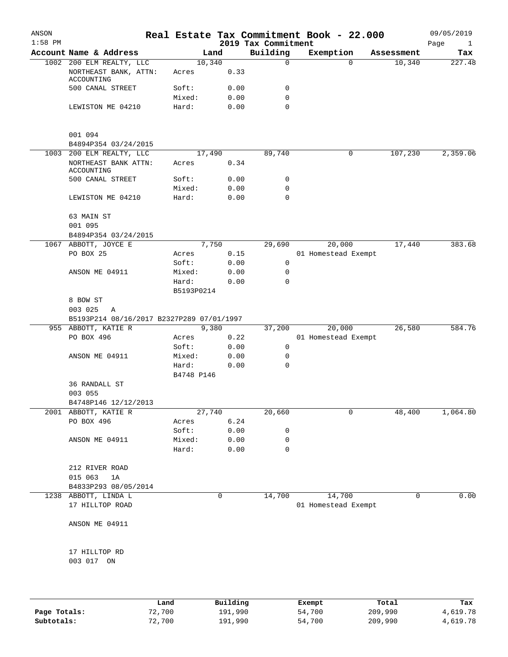| ANSON<br>$1:58$ PM |                                                                |                     |              | 2019 Tax Commitment | Real Estate Tax Commitment Book - 22.000 |            | 09/05/2019<br>Page<br>$\mathbf{1}$ |
|--------------------|----------------------------------------------------------------|---------------------|--------------|---------------------|------------------------------------------|------------|------------------------------------|
|                    | Account Name & Address                                         |                     | Land         | Building            | Exemption                                | Assessment | Tax                                |
|                    | 1002 200 ELM REALTY, LLC<br>NORTHEAST BANK, ATTN:              | 10,340<br>Acres     | 0.33         | $\mathbf 0$         | $\Omega$                                 | 10,340     | 227.48                             |
|                    | ACCOUNTING<br>500 CANAL STREET                                 | Soft:               | 0.00         | 0                   |                                          |            |                                    |
|                    |                                                                | Mixed:              | 0.00         | 0                   |                                          |            |                                    |
|                    | LEWISTON ME 04210                                              | Hard:               | 0.00         | $\mathbf 0$         |                                          |            |                                    |
|                    | 001 094                                                        |                     |              |                     |                                          |            |                                    |
|                    | B4894P354 03/24/2015                                           |                     |              |                     |                                          |            |                                    |
|                    | 1003 200 ELM REALTY, LLC<br>NORTHEAST BANK ATTN:<br>ACCOUNTING | 17,490<br>Acres     | 0.34         | 89,740              | 0                                        | 107,230    | 2,359.06                           |
|                    | 500 CANAL STREET                                               | Soft:               | 0.00         | 0                   |                                          |            |                                    |
|                    |                                                                | Mixed:              | 0.00         | $\mathbf 0$         |                                          |            |                                    |
|                    | LEWISTON ME 04210                                              | Hard:               | 0.00         | $\mathbf 0$         |                                          |            |                                    |
|                    | 63 MAIN ST<br>001 095                                          |                     |              |                     |                                          |            |                                    |
|                    | B4894P354 03/24/2015                                           |                     |              |                     |                                          |            |                                    |
|                    | 1067 ABBOTT, JOYCE E                                           |                     | 7,750        | 29,690              | 20,000                                   | 17,440     | 383.68                             |
|                    | PO BOX 25                                                      | Acres               | 0.15         |                     | 01 Homestead Exempt                      |            |                                    |
|                    |                                                                | Soft:               | 0.00         | $\mathsf{O}$        |                                          |            |                                    |
|                    | ANSON ME 04911                                                 | Mixed:              | 0.00         | $\mathbf 0$         |                                          |            |                                    |
|                    |                                                                | Hard:<br>B5193P0214 | 0.00         | $\Omega$            |                                          |            |                                    |
|                    | 8 BOW ST                                                       |                     |              |                     |                                          |            |                                    |
|                    | 003 025<br>Α                                                   |                     |              |                     |                                          |            |                                    |
|                    | B5193P214 08/16/2017 B2327P289 07/01/1997                      |                     |              |                     |                                          |            |                                    |
|                    | 955 ABBOTT, KATIE R                                            |                     | 9,380        | 37,200              | 20,000                                   | 26,580     | 584.76                             |
|                    | PO BOX 496                                                     | Acres               | 0.22         |                     | 01 Homestead Exempt                      |            |                                    |
|                    |                                                                | Soft:               | 0.00         | 0                   |                                          |            |                                    |
|                    | ANSON ME 04911                                                 | Mixed:              | 0.00         | 0                   |                                          |            |                                    |
|                    |                                                                | Hard:               | 0.00         | $\mathbf 0$         |                                          |            |                                    |
|                    | 36 RANDALL ST                                                  | B4748 P146          |              |                     |                                          |            |                                    |
|                    | 003 055                                                        |                     |              |                     |                                          |            |                                    |
|                    | B4748P146 12/12/2013                                           |                     |              |                     |                                          |            |                                    |
|                    | 2001 ABBOTT, KATIE R                                           | 27,740              |              | 20,660              | 0                                        | 48,400     | 1,064.80                           |
|                    | PO BOX 496                                                     | Acres               | 6.24         |                     |                                          |            |                                    |
|                    |                                                                | Soft:               | 0.00         | 0                   |                                          |            |                                    |
|                    | ANSON ME 04911                                                 | Mixed:              | 0.00         | 0                   |                                          |            |                                    |
|                    |                                                                | Hard:               | 0.00         | 0                   |                                          |            |                                    |
|                    | 212 RIVER ROAD                                                 |                     |              |                     |                                          |            |                                    |
|                    | 015 063<br>1A                                                  |                     |              |                     |                                          |            |                                    |
|                    | B4833P293 08/05/2014                                           |                     |              |                     |                                          |            |                                    |
|                    | 1238 ABBOTT, LINDA L                                           |                     | $\mathsf{O}$ | 14,700              | 14,700                                   | 0          | 0.00                               |
|                    | 17 HILLTOP ROAD                                                |                     |              |                     | 01 Homestead Exempt                      |            |                                    |
|                    | ANSON ME 04911                                                 |                     |              |                     |                                          |            |                                    |
|                    | 17 HILLTOP RD<br>003 017 ON                                    |                     |              |                     |                                          |            |                                    |
|                    |                                                                |                     |              |                     |                                          |            |                                    |

|              | Land   | Building | Exempt | Total   | Tax      |
|--------------|--------|----------|--------|---------|----------|
| Page Totals: | 72,700 | 191,990  | 54,700 | 209,990 | 4,619.78 |
| Subtotals:   | 72,700 | 191,990  | 54,700 | 209,990 | 4,619.78 |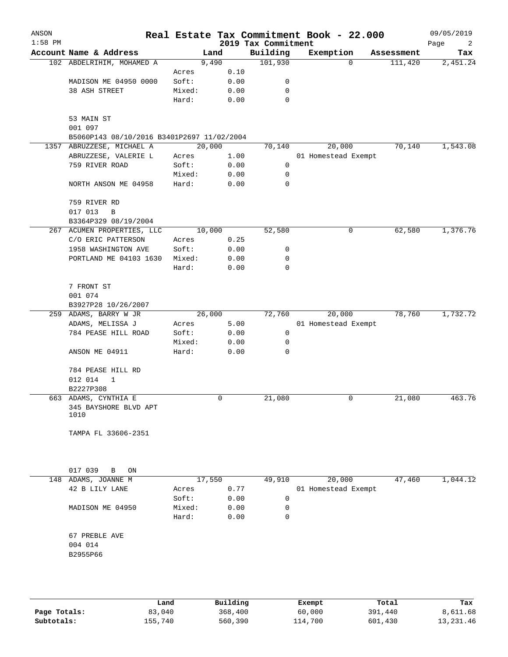| ANSON     |                                                       |                |                                     |                                 | Real Estate Tax Commitment Book - 22.000 |                     | 09/05/2019       |
|-----------|-------------------------------------------------------|----------------|-------------------------------------|---------------------------------|------------------------------------------|---------------------|------------------|
| $1:58$ PM | Account Name & Address                                |                | Land                                | 2019 Tax Commitment<br>Building | Exemption                                | Assessment          | Page<br>2<br>Tax |
|           | 102 ABDELRIHIM, MOHAMED A                             |                | 9,490                               | 101,930                         |                                          | $\Omega$<br>111,420 | 2,451.24         |
|           |                                                       | Acres          | 0.10                                |                                 |                                          |                     |                  |
|           | MADISON ME 04950 0000                                 | Soft:          | 0.00                                | 0                               |                                          |                     |                  |
|           | 38 ASH STREET                                         | Mixed:         | 0.00                                | 0                               |                                          |                     |                  |
|           |                                                       | Hard:          | 0.00                                | 0                               |                                          |                     |                  |
|           | 53 MAIN ST<br>001 097                                 |                |                                     |                                 |                                          |                     |                  |
|           | B5060P143 08/10/2016 B3401P2697 11/02/2004            |                |                                     |                                 |                                          |                     |                  |
|           | 1357 ABRUZZESE, MICHAEL A                             |                | 20,000                              | 70,140                          | 20,000                                   | 70,140              | 1,543.08         |
|           | ABRUZZESE, VALERIE L                                  | Acres          | 1.00                                |                                 | 01 Homestead Exempt                      |                     |                  |
|           | 759 RIVER ROAD                                        | Soft:          | 0.00                                | 0                               |                                          |                     |                  |
|           |                                                       | Mixed:         | 0.00                                | $\mathbf 0$                     |                                          |                     |                  |
|           | NORTH ANSON ME 04958                                  | Hard:          | 0.00                                | 0                               |                                          |                     |                  |
|           | 759 RIVER RD                                          |                |                                     |                                 |                                          |                     |                  |
|           | 017 013<br>B                                          |                |                                     |                                 |                                          |                     |                  |
|           | B3364P329 08/19/2004                                  |                |                                     |                                 |                                          |                     |                  |
|           | 267 ACUMEN PROPERTIES, LLC                            |                | 10,000                              | 52,580                          |                                          | 62,580<br>0         | 1,376.76         |
|           | C/O ERIC PATTERSON                                    | Acres          | 0.25                                |                                 |                                          |                     |                  |
|           | 1958 WASHINGTON AVE                                   | Soft:          | 0.00                                | 0                               |                                          |                     |                  |
|           | PORTLAND ME 04103 1630                                | Mixed:         | 0.00                                | 0                               |                                          |                     |                  |
|           |                                                       | Hard:          | 0.00                                | 0                               |                                          |                     |                  |
|           | 7 FRONT ST                                            |                |                                     |                                 |                                          |                     |                  |
|           | 001 074                                               |                |                                     |                                 |                                          |                     |                  |
|           | B3927P28 10/26/2007                                   |                |                                     |                                 |                                          |                     |                  |
|           | 259 ADAMS, BARRY W JR                                 |                | 26,000                              | 72,760                          | 20,000                                   | 78,760              | 1,732.72         |
|           | ADAMS, MELISSA J                                      | Acres          | 5.00                                |                                 | 01 Homestead Exempt                      |                     |                  |
|           | 784 PEASE HILL ROAD                                   | Soft:          | 0.00                                | $\mathbf 0$                     |                                          |                     |                  |
|           |                                                       | Mixed:         | 0.00                                | 0                               |                                          |                     |                  |
|           | ANSON ME 04911                                        | Hard:          | 0.00                                | 0                               |                                          |                     |                  |
|           | 784 PEASE HILL RD                                     |                |                                     |                                 |                                          |                     |                  |
|           | 012 014<br>1                                          |                |                                     |                                 |                                          |                     |                  |
|           | B2227P308                                             |                |                                     |                                 |                                          |                     |                  |
|           | 663 ADAMS, CYNTHIA E<br>345 BAYSHORE BLVD APT<br>1010 |                | 0                                   | 21,080                          |                                          | 21,080<br>0         | 463.76           |
|           | TAMPA FL 33606-2351                                   |                |                                     |                                 |                                          |                     |                  |
|           |                                                       |                |                                     |                                 |                                          |                     |                  |
|           | 017 039<br>В<br>ON                                    |                |                                     |                                 | 20,000                                   |                     |                  |
|           | 148 ADAMS, JOANNE M                                   |                | 17,550                              | 49,910                          |                                          | 47,460              | 1,044.12         |
|           | 42 B LILY LANE                                        | Acres<br>Soft: | 0.77                                |                                 | 01 Homestead Exempt                      |                     |                  |
|           |                                                       |                | 0.00                                | $\mathbf 0$                     |                                          |                     |                  |
|           | MADISON ME 04950                                      | Mixed:         | 0.00                                | 0                               |                                          |                     |                  |
|           |                                                       | Hard:          | 0.00                                | 0                               |                                          |                     |                  |
|           | 67 PREBLE AVE                                         |                |                                     |                                 |                                          |                     |                  |
|           | 004 014                                               |                |                                     |                                 |                                          |                     |                  |
|           | B2955P66                                              |                |                                     |                                 |                                          |                     |                  |
|           |                                                       |                |                                     |                                 |                                          |                     |                  |
|           |                                                       |                |                                     |                                 |                                          |                     |                  |
|           | المصدر                                                |                | $D_{\text{rel}}$ is a set of $\sim$ |                                 | $P$ <sub>i</sub> came <sup>t</sup>       | $T - + -1$          | ш.,              |

|              | Land    | Building | Exempt  | Total   | Tax         |
|--------------|---------|----------|---------|---------|-------------|
| Page Totals: | 83,040  | 368,400  | 60,000  | 391,440 | 8,611.68    |
| Subtotals:   | 155,740 | 560,390  | 114,700 | 601,430 | 13, 231, 46 |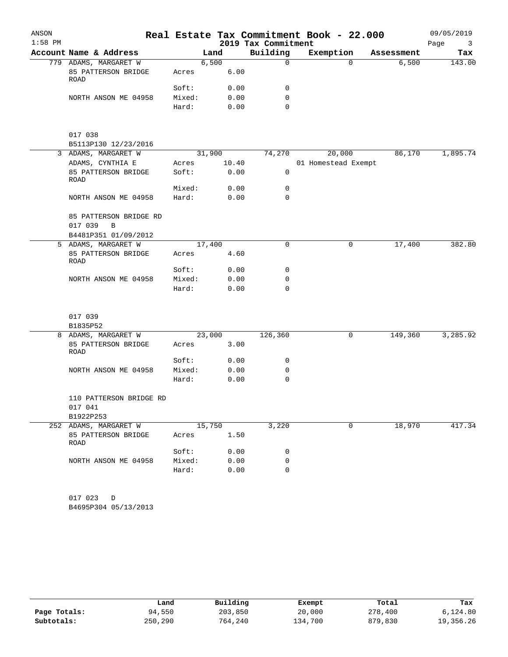| ANSON     |                                                   |        |        | Real Estate Tax Commitment Book - 22.000 |                     |          |            | 09/05/2019 |
|-----------|---------------------------------------------------|--------|--------|------------------------------------------|---------------------|----------|------------|------------|
| $1:58$ PM |                                                   |        |        | 2019 Tax Commitment                      |                     |          |            | Page<br>3  |
|           | Account Name & Address                            |        | Land   | Building                                 | Exemption           |          | Assessment | Tax        |
|           | 779 ADAMS, MARGARET W                             |        | 6,500  | $\Omega$                                 |                     | $\Omega$ | 6,500      | 143.00     |
|           | 85 PATTERSON BRIDGE<br>ROAD                       | Acres  | 6.00   |                                          |                     |          |            |            |
|           |                                                   | Soft:  | 0.00   | 0                                        |                     |          |            |            |
|           | NORTH ANSON ME 04958                              | Mixed: | 0.00   | 0                                        |                     |          |            |            |
|           |                                                   | Hard:  | 0.00   | 0                                        |                     |          |            |            |
|           | 017 038                                           |        |        |                                          |                     |          |            |            |
|           | B5113P130 12/23/2016                              |        |        |                                          |                     |          |            |            |
|           | 3 ADAMS, MARGARET W                               |        | 31,900 | 74,270                                   |                     | 20,000   | 86,170     | 1,895.74   |
|           | ADAMS, CYNTHIA E                                  | Acres  | 10.40  |                                          | 01 Homestead Exempt |          |            |            |
|           | 85 PATTERSON BRIDGE<br><b>ROAD</b>                | Soft:  | 0.00   | $\mathbf 0$                              |                     |          |            |            |
|           |                                                   | Mixed: | 0.00   | 0                                        |                     |          |            |            |
|           | NORTH ANSON ME 04958                              | Hard:  | 0.00   | 0                                        |                     |          |            |            |
|           | 85 PATTERSON BRIDGE RD<br>017 039<br>$\, {\bf B}$ |        |        |                                          |                     |          |            |            |
|           | B4481P351 01/09/2012                              |        |        |                                          |                     |          |            |            |
|           | 5 ADAMS, MARGARET W                               |        | 17,400 | 0                                        |                     | 0        | 17,400     | 382.80     |
|           | 85 PATTERSON BRIDGE<br>ROAD                       | Acres  | 4.60   |                                          |                     |          |            |            |
|           |                                                   | Soft:  | 0.00   | 0                                        |                     |          |            |            |
|           | NORTH ANSON ME 04958                              | Mixed: | 0.00   | 0                                        |                     |          |            |            |
|           |                                                   | Hard:  | 0.00   | 0                                        |                     |          |            |            |
|           | 017 039                                           |        |        |                                          |                     |          |            |            |
|           | B1835P52                                          |        |        |                                          |                     |          |            |            |
|           | 8 ADAMS, MARGARET W                               |        | 23,000 | 126,360                                  |                     | 0        | 149,360    | 3,285.92   |
|           | 85 PATTERSON BRIDGE<br>ROAD                       | Acres  | 3.00   |                                          |                     |          |            |            |
|           |                                                   | Soft:  | 0.00   | 0                                        |                     |          |            |            |
|           | NORTH ANSON ME 04958                              | Mixed: | 0.00   | 0                                        |                     |          |            |            |
|           |                                                   | Hard:  | 0.00   | 0                                        |                     |          |            |            |
|           | 110 PATTERSON BRIDGE RD<br>017 041<br>B1922P253   |        |        |                                          |                     |          |            |            |
|           | 252 ADAMS, MARGARET W                             |        | 15,750 | 3,220                                    |                     | 0        | 18,970     | 417.34     |
|           | 85 PATTERSON BRIDGE<br>ROAD                       | Acres  | 1.50   |                                          |                     |          |            |            |
|           |                                                   | Soft:  | 0.00   | 0                                        |                     |          |            |            |
|           | NORTH ANSON ME 04958                              | Mixed: | 0.00   | 0                                        |                     |          |            |            |
|           |                                                   | Hard:  | 0.00   | 0                                        |                     |          |            |            |
|           | 017 023<br>D                                      |        |        |                                          |                     |          |            |            |

B4695P304 05/13/2013

|              | Land    | Building | Exempt  | Total   | Tax       |
|--------------|---------|----------|---------|---------|-----------|
| Page Totals: | 94,550  | 203,850  | 20,000  | 278,400 | 6,124.80  |
| Subtotals:   | 250,290 | 764,240  | 134,700 | 879,830 | 19,356.26 |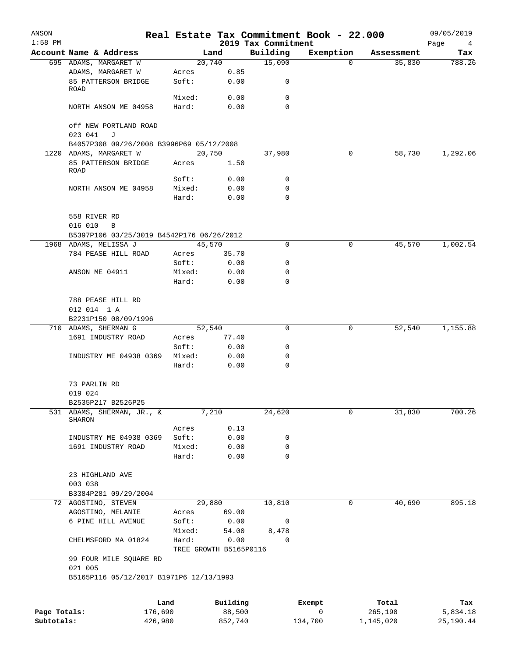| ANSON<br>$1:58$ PM |                                                           |                 |                                |                                 | Real Estate Tax Commitment Book - 22.000 |                  | 09/05/2019       |
|--------------------|-----------------------------------------------------------|-----------------|--------------------------------|---------------------------------|------------------------------------------|------------------|------------------|
|                    | Account Name & Address                                    |                 | Land                           | 2019 Tax Commitment<br>Building | Exemption                                | Assessment       | Page<br>4<br>Tax |
|                    | 695 ADAMS, MARGARET W                                     |                 | 20,740                         | 15,090                          | $\Omega$                                 | 35,830           | 788.26           |
|                    | ADAMS, MARGARET W                                         | Acres           | 0.85                           |                                 |                                          |                  |                  |
|                    | 85 PATTERSON BRIDGE<br>ROAD                               | Soft:           | 0.00                           | 0                               |                                          |                  |                  |
|                    |                                                           | Mixed:          | 0.00                           | 0                               |                                          |                  |                  |
|                    | NORTH ANSON ME 04958                                      | Hard:           | 0.00                           | $\Omega$                        |                                          |                  |                  |
|                    | off NEW PORTLAND ROAD<br>023 041<br>J                     |                 |                                |                                 |                                          |                  |                  |
|                    | B4057P308 09/26/2008 B3996P69 05/12/2008                  |                 |                                |                                 |                                          |                  |                  |
|                    | 1220 ADAMS, MARGARET W<br>85 PATTERSON BRIDGE             | Acres           | 20,750<br>1.50                 | 37,980                          | 0                                        | 58,730           | 1,292.06         |
|                    | ROAD                                                      |                 |                                |                                 |                                          |                  |                  |
|                    |                                                           | Soft:           | 0.00                           | 0<br>$\mathbf 0$                |                                          |                  |                  |
|                    | NORTH ANSON ME 04958                                      | Mixed:<br>Hard: | 0.00<br>0.00                   | $\Omega$                        |                                          |                  |                  |
|                    |                                                           |                 |                                |                                 |                                          |                  |                  |
|                    | 558 RIVER RD                                              |                 |                                |                                 |                                          |                  |                  |
|                    | 016 010<br>B<br>B5397P106 03/25/3019 B4542P176 06/26/2012 |                 |                                |                                 |                                          |                  |                  |
|                    | 1968 ADAMS, MELISSA J                                     |                 | 45,570                         | $\Omega$                        | 0                                        | 45,570           | 1,002.54         |
|                    | 784 PEASE HILL ROAD                                       | Acres           | 35.70                          |                                 |                                          |                  |                  |
|                    |                                                           | Soft:           | 0.00                           | $\mathbf 0$                     |                                          |                  |                  |
|                    | ANSON ME 04911                                            | Mixed:          | 0.00                           | 0                               |                                          |                  |                  |
|                    |                                                           | Hard:           | 0.00                           | 0                               |                                          |                  |                  |
|                    | 788 PEASE HILL RD                                         |                 |                                |                                 |                                          |                  |                  |
|                    | 012 014 1 A                                               |                 |                                |                                 |                                          |                  |                  |
|                    | B2231P150 08/09/1996                                      |                 |                                |                                 |                                          |                  |                  |
|                    | 710 ADAMS, SHERMAN G                                      |                 | 52,540                         | 0                               | 0                                        | 52,540           | 1,155.88         |
|                    | 1691 INDUSTRY ROAD                                        | Acres           | 77.40                          |                                 |                                          |                  |                  |
|                    |                                                           | Soft:           | 0.00                           | 0                               |                                          |                  |                  |
|                    | INDUSTRY ME 04938 0369                                    | Mixed:          | 0.00                           | 0                               |                                          |                  |                  |
|                    |                                                           | Hard:           | 0.00                           | $\mathbf 0$                     |                                          |                  |                  |
|                    | 73 PARLIN RD<br>019 024                                   |                 |                                |                                 |                                          |                  |                  |
|                    | B2535P217 B2526P25                                        |                 |                                |                                 |                                          |                  |                  |
| 531                | ADAMS, SHERMAN, JR., &                                    |                 | 7,210                          | 24,620                          | 0                                        | 31,830           | 700.26           |
|                    | SHARON                                                    | Acres           | 0.13                           |                                 |                                          |                  |                  |
|                    | INDUSTRY ME 04938 0369                                    | Soft:           | 0.00                           | 0                               |                                          |                  |                  |
|                    | 1691 INDUSTRY ROAD                                        | Mixed:          | 0.00                           | 0                               |                                          |                  |                  |
|                    |                                                           | Hard:           | 0.00                           | 0                               |                                          |                  |                  |
|                    | 23 HIGHLAND AVE                                           |                 |                                |                                 |                                          |                  |                  |
|                    | 003 038                                                   |                 |                                |                                 |                                          |                  |                  |
|                    | B3384P281 09/29/2004                                      |                 |                                |                                 |                                          |                  |                  |
|                    | 72 AGOSTINO, STEVEN                                       |                 | 29,880                         | 10,810                          | 0                                        | 40,690           | 895.18           |
|                    | AGOSTINO, MELANIE                                         | Acres           | 69.00                          |                                 |                                          |                  |                  |
|                    | 6 PINE HILL AVENUE                                        | Soft:           | 0.00                           | 0                               |                                          |                  |                  |
|                    |                                                           | Mixed:          | 54.00                          | 8,478                           |                                          |                  |                  |
|                    | CHELMSFORD MA 01824                                       | Hard:           | 0.00<br>TREE GROWTH B5165P0116 | $\Omega$                        |                                          |                  |                  |
|                    | 99 FOUR MILE SQUARE RD                                    |                 |                                |                                 |                                          |                  |                  |
|                    | 021 005<br>B5165P116 05/12/2017 B1971P6 12/13/1993        |                 |                                |                                 |                                          |                  |                  |
|                    |                                                           |                 |                                |                                 |                                          |                  |                  |
| Page Totals:       | Land<br>176,690                                           |                 | Building<br>88,500             |                                 | Exempt<br>0                              | Total<br>265,190 | Tax<br>5,834.18  |
| Subtotals:         | 426,980                                                   |                 | 852,740                        |                                 | 134,700                                  | 1,145,020        | 25,190.44        |
|                    |                                                           |                 |                                |                                 |                                          |                  |                  |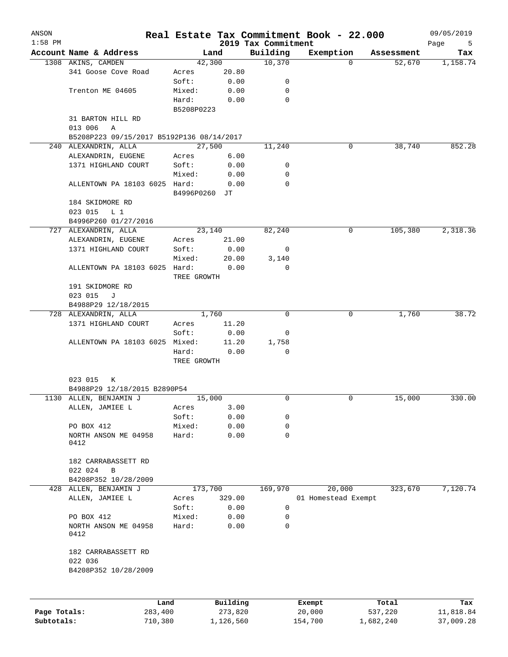| ANSON<br>$1:58$ PM |                                                        |                |          | 2019 Tax Commitment | Real Estate Tax Commitment Book - 22.000 |            | 09/05/2019<br>Page<br>5 |  |
|--------------------|--------------------------------------------------------|----------------|----------|---------------------|------------------------------------------|------------|-------------------------|--|
|                    | Account Name & Address                                 |                | Land     | Building            | Exemption                                | Assessment | Tax                     |  |
|                    | 1308 AKINS, CAMDEN                                     |                | 42,300   | 10,370              | $\Omega$                                 | 52,670     | 1,158.74                |  |
|                    | 341 Goose Cove Road                                    | Acres          | 20.80    |                     |                                          |            |                         |  |
|                    |                                                        | Soft:          | 0.00     | 0                   |                                          |            |                         |  |
|                    | Trenton ME 04605                                       | Mixed:         | 0.00     | 0                   |                                          |            |                         |  |
|                    |                                                        | Hard:          | 0.00     | $\mathbf 0$         |                                          |            |                         |  |
|                    |                                                        | B5208P0223     |          |                     |                                          |            |                         |  |
|                    | 31 BARTON HILL RD                                      |                |          |                     |                                          |            |                         |  |
|                    | 013 006<br>Α                                           |                |          |                     |                                          |            |                         |  |
|                    | B5208P223 09/15/2017 B5192P136 08/14/2017              |                |          |                     |                                          |            |                         |  |
|                    | 240 ALEXANDRIN, ALLA                                   |                | 27,500   | 11,240              | 0                                        | 38,740     | 852.28                  |  |
|                    | ALEXANDRIN, EUGENE                                     | Acres          | 6.00     |                     |                                          |            |                         |  |
|                    | 1371 HIGHLAND COURT                                    | Soft:          | 0.00     | 0                   |                                          |            |                         |  |
|                    |                                                        | Mixed:         | 0.00     | 0                   |                                          |            |                         |  |
|                    | ALLENTOWN PA 18103 6025 Hard:                          |                | 0.00     | 0                   |                                          |            |                         |  |
|                    |                                                        | B4996P0260     | JT       |                     |                                          |            |                         |  |
|                    | 184 SKIDMORE RD<br>023 015                             |                |          |                     |                                          |            |                         |  |
|                    | L <sub>1</sub><br>B4996P260 01/27/2016                 |                |          |                     |                                          |            |                         |  |
|                    | 727 ALEXANDRIN, ALLA                                   |                | 23,140   | 82,240              | 0                                        | 105,380    | 2,318.36                |  |
|                    | ALEXANDRIN, EUGENE                                     | Acres          | 21.00    |                     |                                          |            |                         |  |
|                    | 1371 HIGHLAND COURT                                    | Soft:          | 0.00     | 0                   |                                          |            |                         |  |
|                    |                                                        | Mixed:         | 20.00    | 3,140               |                                          |            |                         |  |
|                    | ALLENTOWN PA 18103 6025 Hard:                          |                | 0.00     | 0                   |                                          |            |                         |  |
|                    |                                                        | TREE GROWTH    |          |                     |                                          |            |                         |  |
|                    | 191 SKIDMORE RD                                        |                |          |                     |                                          |            |                         |  |
|                    | 023 015<br>J                                           |                |          |                     |                                          |            |                         |  |
|                    | B4988P29 12/18/2015                                    |                |          |                     |                                          |            |                         |  |
|                    | 728 ALEXANDRIN, ALLA                                   |                | 1,760    | 0                   | 0                                        | 1,760      | 38.72                   |  |
|                    | 1371 HIGHLAND COURT                                    | Acres          | 11.20    |                     |                                          |            |                         |  |
|                    |                                                        | Soft:          | 0.00     | 0                   |                                          |            |                         |  |
|                    | ALLENTOWN PA 18103 6025 Mixed:                         |                | 11.20    | 1,758               |                                          |            |                         |  |
|                    |                                                        | Hard:          | 0.00     | 0                   |                                          |            |                         |  |
|                    |                                                        | TREE GROWTH    |          |                     |                                          |            |                         |  |
|                    |                                                        |                |          |                     |                                          |            |                         |  |
|                    | 023 015<br>К                                           |                |          |                     |                                          |            |                         |  |
|                    | B4988P29 12/18/2015 B2890P54<br>1130 ALLEN, BENJAMIN J |                | 15,000   | 0                   | 0                                        | 15,000     | 330.00                  |  |
|                    | ALLEN, JAMIEE L                                        | Acres          | 3.00     |                     |                                          |            |                         |  |
|                    |                                                        | Soft:          | 0.00     | 0                   |                                          |            |                         |  |
|                    | PO BOX 412                                             | Mixed:         | 0.00     | 0                   |                                          |            |                         |  |
|                    | NORTH ANSON ME 04958                                   | Hard:          | 0.00     | 0                   |                                          |            |                         |  |
|                    | 0412                                                   |                |          |                     |                                          |            |                         |  |
|                    |                                                        |                |          |                     |                                          |            |                         |  |
|                    | 182 CARRABASSETT RD                                    |                |          |                     |                                          |            |                         |  |
|                    | 022 024<br>B                                           |                |          |                     |                                          |            |                         |  |
|                    | B4208P352 10/28/2009                                   |                |          |                     |                                          |            | 7,120.74                |  |
| 428                | ALLEN, BENJAMIN J<br>ALLEN, JAMIEE L                   | 173,700        | 329.00   | 169,970             | 20,000<br>01 Homestead Exempt            | 323,670    |                         |  |
|                    |                                                        | Acres<br>Soft: | 0.00     | 0                   |                                          |            |                         |  |
|                    | PO BOX 412                                             | Mixed:         | 0.00     | 0                   |                                          |            |                         |  |
|                    | NORTH ANSON ME 04958                                   | Hard:          | 0.00     | $\mathbf 0$         |                                          |            |                         |  |
|                    | 0412                                                   |                |          |                     |                                          |            |                         |  |
|                    |                                                        |                |          |                     |                                          |            |                         |  |
|                    | 182 CARRABASSETT RD                                    |                |          |                     |                                          |            |                         |  |
|                    | 022 036                                                |                |          |                     |                                          |            |                         |  |
|                    | B4208P352 10/28/2009                                   |                |          |                     |                                          |            |                         |  |
|                    |                                                        |                |          |                     |                                          |            |                         |  |
|                    | Land                                                   |                | Building |                     | Exempt                                   | Total      | Tax                     |  |
| Page Totals:       | 283,400                                                |                | 273,820  |                     | 20,000                                   | 537,220    | 11,818.84               |  |

**Subtotals:** 710,380 1,126,560 154,700 1,682,240 37,009.28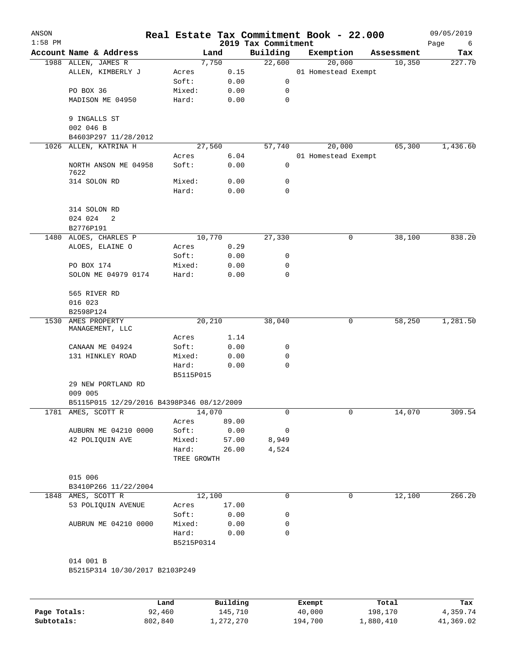| ANSON<br>$1:58$ PM |                                             |                     |                     |                                 | Real Estate Tax Commitment Book - 22.000 |         |            | 09/05/2019       |
|--------------------|---------------------------------------------|---------------------|---------------------|---------------------------------|------------------------------------------|---------|------------|------------------|
|                    | Account Name & Address                      | Land                |                     | 2019 Tax Commitment<br>Building | Exemption                                |         | Assessment | Page<br>6<br>Tax |
|                    | 1988 ALLEN, JAMES R                         | 7,750               |                     | 22,600                          | 20,000                                   |         | 10,350     | 227.70           |
|                    | ALLEN, KIMBERLY J                           | Acres               | 0.15                |                                 | 01 Homestead Exempt                      |         |            |                  |
|                    |                                             | Soft:               | 0.00                | 0                               |                                          |         |            |                  |
|                    | PO BOX 36                                   | Mixed:              | 0.00                | 0                               |                                          |         |            |                  |
|                    | MADISON ME 04950                            | Hard:               | 0.00                | 0                               |                                          |         |            |                  |
|                    | 9 INGALLS ST                                |                     |                     |                                 |                                          |         |            |                  |
|                    | 002 046 B                                   |                     |                     |                                 |                                          |         |            |                  |
|                    | B4603P297 11/28/2012                        |                     |                     |                                 |                                          |         |            |                  |
| 1026               | ALLEN, KATRINA H                            | 27,560              |                     | 57,740                          | 20,000                                   |         | 65,300     | 1,436.60         |
|                    |                                             | Acres               | 6.04                |                                 | 01 Homestead Exempt                      |         |            |                  |
|                    | NORTH ANSON ME 04958<br>7622                | Soft:               | 0.00                | 0                               |                                          |         |            |                  |
|                    | 314 SOLON RD                                | Mixed:              | 0.00                | 0                               |                                          |         |            |                  |
|                    |                                             | Hard:               | 0.00                | 0                               |                                          |         |            |                  |
|                    | 314 SOLON RD                                |                     |                     |                                 |                                          |         |            |                  |
|                    | 024 024<br>2<br>B2776P191                   |                     |                     |                                 |                                          |         |            |                  |
| 1480               | ALOES, CHARLES P                            | 10,770              |                     | 27,330                          |                                          | 0       | 38,100     | 838.20           |
|                    | ALOES, ELAINE O                             | Acres               | 0.29                |                                 |                                          |         |            |                  |
|                    |                                             | Soft:               | 0.00                | 0                               |                                          |         |            |                  |
|                    | PO BOX 174                                  | Mixed:              | 0.00                | 0                               |                                          |         |            |                  |
|                    | SOLON ME 04979 0174                         | Hard:               | 0.00                | 0                               |                                          |         |            |                  |
|                    | 565 RIVER RD                                |                     |                     |                                 |                                          |         |            |                  |
|                    | 016 023                                     |                     |                     |                                 |                                          |         |            |                  |
|                    | B2598P124                                   |                     |                     |                                 |                                          |         |            |                  |
| 1530               | AMES PROPERTY                               | 20,210              |                     | 38,040                          |                                          | 0       | 58,250     | 1,281.50         |
|                    | MANAGEMENT, LLC                             |                     |                     |                                 |                                          |         |            |                  |
|                    |                                             | Acres               | 1.14                |                                 |                                          |         |            |                  |
|                    | CANAAN ME 04924                             | Soft:               | 0.00                | 0                               |                                          |         |            |                  |
|                    | 131 HINKLEY ROAD                            | Mixed:              | 0.00                | 0                               |                                          |         |            |                  |
|                    |                                             | Hard:               | 0.00                | 0                               |                                          |         |            |                  |
|                    |                                             | B5115P015           |                     |                                 |                                          |         |            |                  |
|                    | 29 NEW PORTLAND RD<br>009 005               |                     |                     |                                 |                                          |         |            |                  |
|                    | B5115P015 12/29/2016 B4398P346 08/12/2009   |                     |                     |                                 |                                          |         |            |                  |
|                    | 1781 AMES, SCOTT R                          | 14,070              |                     | 0                               |                                          | 0       | 14,070     | 309.54           |
|                    |                                             | Acres               | 89.00               |                                 |                                          |         |            |                  |
|                    | AUBURN ME 04210 0000                        | Soft:               | 0.00                | 0                               |                                          |         |            |                  |
|                    | 42 POLIQUIN AVE                             | Mixed:              | 57.00               | 8,949                           |                                          |         |            |                  |
|                    |                                             | Hard:               | 26.00               | 4,524                           |                                          |         |            |                  |
|                    |                                             | TREE GROWTH         |                     |                                 |                                          |         |            |                  |
|                    | 015 006                                     |                     |                     |                                 |                                          |         |            |                  |
|                    | B3410P266 11/22/2004                        |                     |                     |                                 |                                          |         |            |                  |
|                    | 1848 AMES, SCOTT R                          | 12,100              |                     | 0                               |                                          | 0       | 12,100     | 266.20           |
|                    | 53 POLIQUIN AVENUE                          | Acres               | 17.00               |                                 |                                          |         |            |                  |
|                    |                                             | Soft:               | 0.00                | 0                               |                                          |         |            |                  |
|                    | AUBRUN ME 04210 0000                        | Mixed:              | 0.00                | 0                               |                                          |         |            |                  |
|                    |                                             | Hard:<br>B5215P0314 | 0.00                | 0                               |                                          |         |            |                  |
|                    |                                             |                     |                     |                                 |                                          |         |            |                  |
|                    | 014 001 B<br>B5215P314 10/30/2017 B2103P249 |                     |                     |                                 |                                          |         |            |                  |
|                    |                                             |                     |                     |                                 |                                          |         |            |                  |
|                    |                                             |                     |                     |                                 |                                          |         |            |                  |
| Page Totals:       | Land<br>92,460                              |                     | Building<br>145,710 |                                 | Exempt<br>40,000                         | 198,170 | Total      | Tax<br>4,359.74  |

**Subtotals:** 802,840 1,272,270 194,700 1,880,410 41,369.02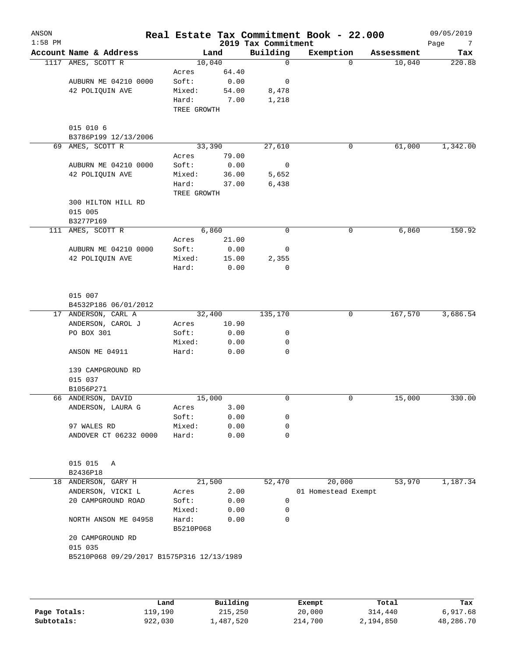| ANSON<br>$1:58$ PM |                                           |                    |       | 2019 Tax Commitment | Real Estate Tax Commitment Book - 22.000 |            | 09/05/2019<br>Page<br>7 |
|--------------------|-------------------------------------------|--------------------|-------|---------------------|------------------------------------------|------------|-------------------------|
|                    | Account Name & Address                    |                    | Land  | Building            | Exemption                                | Assessment | Tax                     |
|                    | 1117 AMES, SCOTT R                        | 10,040             |       | 0                   | $\Omega$                                 | 10,040     | 220.88                  |
|                    |                                           | Acres              | 64.40 |                     |                                          |            |                         |
|                    | AUBURN ME 04210 0000                      | Soft:              | 0.00  | 0                   |                                          |            |                         |
|                    | 42 POLIQUIN AVE                           | Mixed:             | 54.00 | 8,478               |                                          |            |                         |
|                    |                                           | Hard:              | 7.00  | 1,218               |                                          |            |                         |
|                    |                                           | TREE GROWTH        |       |                     |                                          |            |                         |
|                    | 015 010 6                                 |                    |       |                     |                                          |            |                         |
|                    | B3786P199 12/13/2006                      |                    |       |                     |                                          |            |                         |
| 69                 | AMES, SCOTT R                             | 33,390             |       | 27,610              | 0                                        | 61,000     | 1,342.00                |
|                    |                                           | Acres              | 79.00 |                     |                                          |            |                         |
|                    | AUBURN ME 04210 0000                      | Soft:              | 0.00  | $\overline{0}$      |                                          |            |                         |
|                    | 42 POLIQUIN AVE                           | Mixed:             | 36.00 | 5,652               |                                          |            |                         |
|                    |                                           | Hard:              | 37.00 | 6,438               |                                          |            |                         |
|                    |                                           | TREE GROWTH        |       |                     |                                          |            |                         |
|                    | 300 HILTON HILL RD                        |                    |       |                     |                                          |            |                         |
|                    | 015 005                                   |                    |       |                     |                                          |            |                         |
|                    | B3277P169                                 |                    |       |                     |                                          |            |                         |
|                    | 111 AMES, SCOTT R                         |                    | 6,860 | $\mathbf 0$         | 0                                        | 6,860      | 150.92                  |
|                    |                                           | Acres              | 21.00 |                     |                                          |            |                         |
|                    | AUBURN ME 04210 0000                      | Soft:              | 0.00  | 0                   |                                          |            |                         |
|                    | 42 POLIQUIN AVE                           | Mixed:             | 15.00 | 2,355               |                                          |            |                         |
|                    |                                           | Hard:              | 0.00  | 0                   |                                          |            |                         |
|                    | 015 007                                   |                    |       |                     |                                          |            |                         |
|                    | B4532P186 06/01/2012                      |                    |       |                     |                                          |            |                         |
|                    | 17 ANDERSON, CARL A                       | 32,400             |       | 135,170             | 0                                        | 167,570    | 3,686.54                |
|                    | ANDERSON, CAROL J                         | Acres              | 10.90 |                     |                                          |            |                         |
|                    | PO BOX 301                                | Soft:              | 0.00  | 0                   |                                          |            |                         |
|                    |                                           | Mixed:             | 0.00  | 0                   |                                          |            |                         |
|                    | ANSON ME 04911                            | Hard:              | 0.00  | 0                   |                                          |            |                         |
|                    | 139 CAMPGROUND RD                         |                    |       |                     |                                          |            |                         |
|                    | 015 037                                   |                    |       |                     |                                          |            |                         |
|                    | B1056P271                                 |                    |       |                     |                                          |            |                         |
|                    | 66 ANDERSON, DAVID                        | 15,000             |       | 0                   | 0                                        | 15,000     | 330.00                  |
|                    | ANDERSON, LAURA G                         | Acres              | 3.00  |                     |                                          |            |                         |
|                    |                                           | Soft:              | 0.00  | 0                   |                                          |            |                         |
|                    | 97 WALES RD                               | Mixed:             | 0.00  | 0                   |                                          |            |                         |
|                    | ANDOVER CT 06232 0000                     | Hard:              | 0.00  | 0                   |                                          |            |                         |
|                    | 015 015<br>Α                              |                    |       |                     |                                          |            |                         |
|                    | B2436P18                                  |                    |       |                     |                                          |            |                         |
| 18                 | ANDERSON, GARY H                          | 21,500             |       | 52,470              | 20,000                                   | 53,970     | 1,187.34                |
|                    | ANDERSON, VICKI L                         | Acres              | 2.00  |                     | 01 Homestead Exempt                      |            |                         |
|                    | 20 CAMPGROUND ROAD                        | Soft:              | 0.00  | 0                   |                                          |            |                         |
|                    |                                           | Mixed:             | 0.00  | 0                   |                                          |            |                         |
|                    | NORTH ANSON ME 04958                      | Hard:<br>B5210P068 | 0.00  | 0                   |                                          |            |                         |
|                    | 20 CAMPGROUND RD                          |                    |       |                     |                                          |            |                         |
|                    | 015 035                                   |                    |       |                     |                                          |            |                         |
|                    | B5210P068 09/29/2017 B1575P316 12/13/1989 |                    |       |                     |                                          |            |                         |
|                    |                                           |                    |       |                     |                                          |            |                         |
|                    |                                           |                    |       |                     |                                          |            |                         |
|                    |                                           |                    |       |                     |                                          |            |                         |
|                    |                                           |                    |       |                     |                                          |            |                         |

|              | Land    | Building  | Exempt  | Total     | Tax       |
|--------------|---------|-----------|---------|-----------|-----------|
| Page Totals: | 119,190 | 215,250   | 20,000  | 314,440   | 6,917.68  |
| Subtotals:   | 922,030 | 1,487,520 | 214,700 | 2,194,850 | 48,286.70 |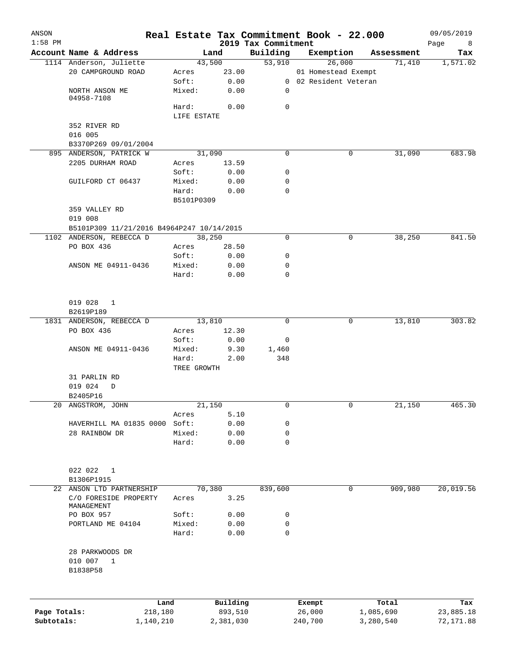| ANSON<br>$1:58$ PM |                                                 | Real Estate Tax Commitment Book - 22.000 |                     | 2019 Tax Commitment |                       |        |                    | 09/05/2019<br>Page<br>8 <sup>8</sup> |
|--------------------|-------------------------------------------------|------------------------------------------|---------------------|---------------------|-----------------------|--------|--------------------|--------------------------------------|
|                    | Account Name & Address                          |                                          | Land                | Building            | Exemption             |        | Assessment         | Tax                                  |
|                    | 1114 Anderson, Juliette                         | 43,500                                   |                     | 53,910              |                       | 26,000 | 71,410             | 1,571.02                             |
|                    | 20 CAMPGROUND ROAD                              | Acres                                    | 23.00               |                     | 01 Homestead Exempt   |        |                    |                                      |
|                    |                                                 | Soft:                                    | 0.00                |                     | 0 02 Resident Veteran |        |                    |                                      |
|                    | NORTH ANSON ME                                  | Mixed:                                   | 0.00                | 0                   |                       |        |                    |                                      |
|                    | 04958-7108                                      |                                          |                     |                     |                       |        |                    |                                      |
|                    |                                                 | Hard:                                    | 0.00                | $\mathbf 0$         |                       |        |                    |                                      |
|                    |                                                 | LIFE ESTATE                              |                     |                     |                       |        |                    |                                      |
|                    | 352 RIVER RD                                    |                                          |                     |                     |                       |        |                    |                                      |
|                    | 016 005                                         |                                          |                     |                     |                       |        |                    |                                      |
|                    | B3370P269 09/01/2004<br>895 ANDERSON, PATRICK W | 31,090                                   |                     | 0                   |                       | 0      | 31,090             | 683.98                               |
|                    | 2205 DURHAM ROAD                                | Acres                                    | 13.59               |                     |                       |        |                    |                                      |
|                    |                                                 | Soft:                                    | 0.00                | 0                   |                       |        |                    |                                      |
|                    | GUILFORD CT 06437                               | Mixed:                                   | 0.00                | 0                   |                       |        |                    |                                      |
|                    |                                                 | Hard:                                    | 0.00                | 0                   |                       |        |                    |                                      |
|                    |                                                 | B5101P0309                               |                     |                     |                       |        |                    |                                      |
|                    | 359 VALLEY RD                                   |                                          |                     |                     |                       |        |                    |                                      |
|                    | 019 008                                         |                                          |                     |                     |                       |        |                    |                                      |
|                    | B5101P309 11/21/2016 B4964P247 10/14/2015       |                                          |                     |                     |                       |        |                    |                                      |
|                    | 1102 ANDERSON, REBECCA D                        | 38,250                                   |                     | $\mathbf 0$         |                       | 0      | 38,250             | 841.50                               |
|                    | PO BOX 436                                      | Acres                                    | 28.50               |                     |                       |        |                    |                                      |
|                    |                                                 | Soft:                                    | 0.00                | 0                   |                       |        |                    |                                      |
|                    | ANSON ME 04911-0436                             | Mixed:                                   | 0.00                | 0                   |                       |        |                    |                                      |
|                    |                                                 | Hard:                                    | 0.00                | 0                   |                       |        |                    |                                      |
|                    |                                                 |                                          |                     |                     |                       |        |                    |                                      |
|                    |                                                 |                                          |                     |                     |                       |        |                    |                                      |
|                    | 019 028 1                                       |                                          |                     |                     |                       |        |                    |                                      |
|                    | B2619P189                                       |                                          |                     |                     |                       |        |                    |                                      |
|                    | 1831 ANDERSON, REBECCA D                        | 13,810                                   |                     | 0                   |                       | 0      | 13,810             | 303.82                               |
|                    | PO BOX 436                                      | Acres                                    | 12.30               |                     |                       |        |                    |                                      |
|                    |                                                 | Soft:                                    | 0.00                | 0                   |                       |        |                    |                                      |
|                    | ANSON ME 04911-0436                             | Mixed:<br>Hard:                          | 9.30<br>2.00        | 1,460<br>348        |                       |        |                    |                                      |
|                    |                                                 | TREE GROWTH                              |                     |                     |                       |        |                    |                                      |
|                    | 31 PARLIN RD                                    |                                          |                     |                     |                       |        |                    |                                      |
|                    | 019 024<br>D                                    |                                          |                     |                     |                       |        |                    |                                      |
|                    | B2405P16                                        |                                          |                     |                     |                       |        |                    |                                      |
| 20                 | ANGSTROM, JOHN                                  | 21,150                                   |                     | 0                   |                       | 0      | 21,150             | 465.30                               |
|                    |                                                 | Acres                                    | 5.10                |                     |                       |        |                    |                                      |
|                    | HAVERHILL MA 01835 0000                         | Soft:                                    | 0.00                | 0                   |                       |        |                    |                                      |
|                    | 28 RAINBOW DR                                   | Mixed:                                   | 0.00                | 0                   |                       |        |                    |                                      |
|                    |                                                 | Hard:                                    | 0.00                | 0                   |                       |        |                    |                                      |
|                    |                                                 |                                          |                     |                     |                       |        |                    |                                      |
|                    | 022 022                                         |                                          |                     |                     |                       |        |                    |                                      |
|                    | $\mathbf{1}$<br>B1306P1915                      |                                          |                     |                     |                       |        |                    |                                      |
|                    | 22 ANSON LTD PARTNERSHIP                        | 70,380                                   |                     | 839,600             |                       | 0      | 909,980            | 20,019.56                            |
|                    | C/O FORESIDE PROPERTY                           | Acres                                    | 3.25                |                     |                       |        |                    |                                      |
|                    | MANAGEMENT                                      |                                          |                     |                     |                       |        |                    |                                      |
|                    | PO BOX 957                                      | Soft:                                    | 0.00                | 0                   |                       |        |                    |                                      |
|                    | PORTLAND ME 04104                               | Mixed:                                   | 0.00                | 0                   |                       |        |                    |                                      |
|                    |                                                 | Hard:                                    | 0.00                | 0                   |                       |        |                    |                                      |
|                    | 28 PARKWOODS DR                                 |                                          |                     |                     |                       |        |                    |                                      |
|                    | 010 007<br>$\mathbf{1}$                         |                                          |                     |                     |                       |        |                    |                                      |
|                    | B1838P58                                        |                                          |                     |                     |                       |        |                    |                                      |
|                    |                                                 |                                          |                     |                     |                       |        |                    |                                      |
|                    |                                                 |                                          |                     |                     |                       |        |                    |                                      |
| Page Totals:       | Land<br>218,180                                 |                                          | Building<br>893,510 |                     | Exempt<br>26,000      |        | Total<br>1,085,690 | Tax<br>23,885.18                     |
| Subtotals:         | 1,140,210                                       |                                          | 2,381,030           |                     | 240,700               |        | 3,280,540          | 72,171.88                            |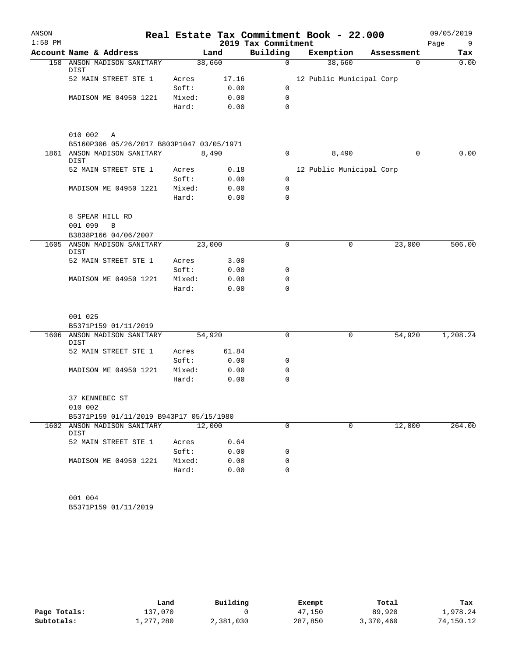| ANSON     |                                           |        |       | Real Estate Tax Commitment Book - 22.000 |                          |            | 09/05/2019 |
|-----------|-------------------------------------------|--------|-------|------------------------------------------|--------------------------|------------|------------|
| $1:58$ PM |                                           |        |       | 2019 Tax Commitment                      |                          |            | Page<br>9  |
|           | Account Name & Address                    |        | Land  | Building                                 | Exemption                | Assessment | Tax        |
|           | 158 ANSON MADISON SANITARY<br>DIST        | 38,660 |       | $\Omega$                                 | 38,660                   | $\Omega$   | 0.00       |
|           | 52 MAIN STREET STE 1                      | Acres  | 17.16 |                                          | 12 Public Municipal Corp |            |            |
|           |                                           | Soft:  | 0.00  | $\mathbf 0$                              |                          |            |            |
|           | MADISON ME 04950 1221                     | Mixed: | 0.00  | 0                                        |                          |            |            |
|           |                                           | Hard:  | 0.00  | $\mathbf 0$                              |                          |            |            |
|           | 010 002<br>Α                              |        |       |                                          |                          |            |            |
|           | B5160P306 05/26/2017 B803P1047 03/05/1971 |        |       |                                          |                          |            |            |
|           | 1861 ANSON MADISON SANITARY<br>DIST       | 8,490  |       | $\mathbf 0$                              | 8,490                    | 0          | 0.00       |
|           | 52 MAIN STREET STE 1                      | Acres  | 0.18  |                                          | 12 Public Municipal Corp |            |            |
|           |                                           | Soft:  | 0.00  | 0                                        |                          |            |            |
|           | MADISON ME 04950 1221                     | Mixed: | 0.00  | 0                                        |                          |            |            |
|           |                                           | Hard:  | 0.00  | $\mathbf 0$                              |                          |            |            |
|           | 8 SPEAR HILL RD                           |        |       |                                          |                          |            |            |
|           | 001 099<br>B                              |        |       |                                          |                          |            |            |
|           | B3838P166 04/06/2007                      |        |       |                                          |                          |            |            |
|           | 1605 ANSON MADISON SANITARY<br>DIST       | 23,000 |       | 0                                        | 0                        | 23,000     | 506.00     |
|           | 52 MAIN STREET STE 1                      | Acres  | 3.00  |                                          |                          |            |            |
|           |                                           | Soft:  | 0.00  | 0                                        |                          |            |            |
|           | MADISON ME 04950 1221                     | Mixed: | 0.00  | 0                                        |                          |            |            |
|           |                                           | Hard:  | 0.00  | $\mathbf 0$                              |                          |            |            |
|           | 001 025                                   |        |       |                                          |                          |            |            |
|           | B5371P159 01/11/2019                      |        |       |                                          |                          |            |            |
|           | 1606 ANSON MADISON SANITARY<br>DIST       | 54,920 |       | $\mathbf 0$                              | 0                        | 54,920     | 1,208.24   |
|           | 52 MAIN STREET STE 1                      | Acres  | 61.84 |                                          |                          |            |            |
|           |                                           | Soft:  | 0.00  | 0                                        |                          |            |            |
|           | MADISON ME 04950 1221                     | Mixed: | 0.00  | 0                                        |                          |            |            |
|           |                                           | Hard:  | 0.00  | $\mathbf 0$                              |                          |            |            |
|           | 37 KENNEBEC ST                            |        |       |                                          |                          |            |            |
|           | 010 002                                   |        |       |                                          |                          |            |            |
|           | B5371P159 01/11/2019 B943P17 05/15/1980   |        |       |                                          |                          |            |            |
| 1602      | ANSON MADISON SANITARY<br>DIST            | 12,000 |       | 0                                        | 0                        | 12,000     | 264.00     |
|           | 52 MAIN STREET STE 1                      | Acres  | 0.64  |                                          |                          |            |            |
|           |                                           | Soft:  | 0.00  | 0                                        |                          |            |            |
|           | MADISON ME 04950 1221                     | Mixed: | 0.00  | 0                                        |                          |            |            |
|           |                                           | Hard:  | 0.00  | $\mathbf 0$                              |                          |            |            |
|           |                                           |        |       |                                          |                          |            |            |
|           | 001 004                                   |        |       |                                          |                          |            |            |

B5371P159 01/11/2019

|              | Land      | Building  | Exempt  | Total     | Tax       |
|--------------|-----------|-----------|---------|-----------|-----------|
| Page Totals: | 137,070   |           | 47,150  | 89,920    | 1,978.24  |
| Subtotals:   | 1,277,280 | 2,381,030 | 287,850 | 3,370,460 | 74,150.12 |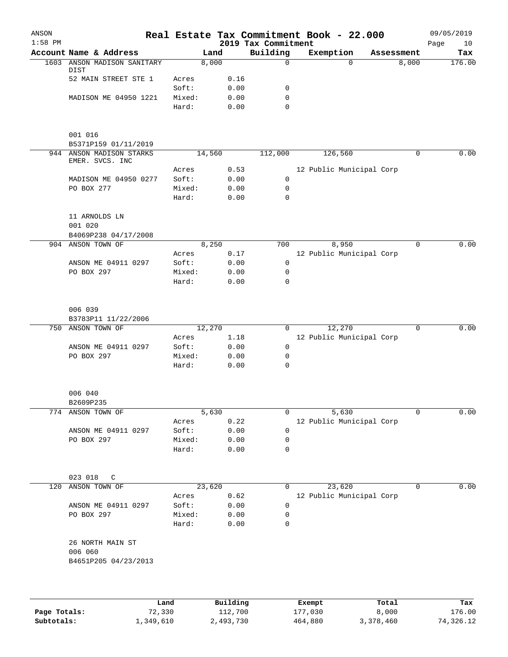| ANSON<br>$1:58$ PM |                                           |                 |                     |              | 2019 Tax Commitment | Real Estate Tax Commitment Book - 22.000 |             |             | Page | 09/05/2019<br>10 |
|--------------------|-------------------------------------------|-----------------|---------------------|--------------|---------------------|------------------------------------------|-------------|-------------|------|------------------|
|                    | Account Name & Address                    |                 | Land                |              | Building            | Exemption                                |             | Assessment  |      | Tax              |
| 1603               | ANSON MADISON SANITARY<br>DIST            |                 | 8,000               |              | $\mathbf 0$         | $\Omega$                                 |             | 8,000       |      | 176.00           |
|                    | 52 MAIN STREET STE 1                      | Acres           |                     | 0.16         |                     |                                          |             |             |      |                  |
|                    |                                           | Soft:           |                     | 0.00         | 0                   |                                          |             |             |      |                  |
|                    | MADISON ME 04950 1221                     | Mixed:          |                     | 0.00         | 0                   |                                          |             |             |      |                  |
|                    |                                           | Hard:           |                     | 0.00         | $\mathbf 0$         |                                          |             |             |      |                  |
|                    | 001 016                                   |                 |                     |              |                     |                                          |             |             |      |                  |
|                    | B5371P159 01/11/2019                      |                 |                     |              |                     |                                          |             |             |      |                  |
|                    | 944 ANSON MADISON STARKS                  |                 | 14,560              |              | 112,000             | 126,560                                  |             | 0           |      | 0.00             |
|                    | EMER. SVCS. INC                           | Acres           |                     | 0.53         |                     | 12 Public Municipal Corp                 |             |             |      |                  |
|                    | MADISON ME 04950 0277                     | Soft:           |                     | 0.00         | 0                   |                                          |             |             |      |                  |
|                    | PO BOX 277                                | Mixed:          |                     | 0.00         | 0                   |                                          |             |             |      |                  |
|                    |                                           | Hard:           |                     | 0.00         | 0                   |                                          |             |             |      |                  |
|                    | 11 ARNOLDS LN                             |                 |                     |              |                     |                                          |             |             |      |                  |
|                    | 001 020                                   |                 |                     |              |                     |                                          |             |             |      |                  |
|                    | B4069P238 04/17/2008<br>904 ANSON TOWN OF |                 | 8,250               |              | 700                 | 8,950                                    |             | 0           |      | 0.00             |
|                    |                                           | Acres           |                     | 0.17         |                     | 12 Public Municipal Corp                 |             |             |      |                  |
|                    | ANSON ME 04911 0297                       | Soft:           |                     | 0.00         | 0                   |                                          |             |             |      |                  |
|                    | PO BOX 297                                | Mixed:          |                     | 0.00         | 0                   |                                          |             |             |      |                  |
|                    |                                           | Hard:           |                     | 0.00         | $\mathbf 0$         |                                          |             |             |      |                  |
|                    | 006 039                                   |                 |                     |              |                     |                                          |             |             |      |                  |
|                    | B3783P11 11/22/2006                       |                 |                     |              |                     |                                          |             |             |      |                  |
| 750                | ANSON TOWN OF                             |                 | 12,270              |              | 0                   | 12,270                                   |             | $\mathbf 0$ |      | 0.00             |
|                    |                                           | Acres           |                     | 1.18         |                     | 12 Public Municipal Corp                 |             |             |      |                  |
|                    | ANSON ME 04911 0297                       | Soft:           |                     | 0.00         | $\mathsf{O}$        |                                          |             |             |      |                  |
|                    | PO BOX 297                                | Mixed:          |                     | 0.00         | 0                   |                                          |             |             |      |                  |
|                    |                                           | Hard:           |                     | 0.00         | 0                   |                                          |             |             |      |                  |
|                    | 006 040                                   |                 |                     |              |                     |                                          |             |             |      |                  |
|                    | B2609P235                                 |                 |                     |              |                     |                                          |             |             |      |                  |
|                    | 774 ANSON TOWN OF                         |                 | 5,630               |              | 0                   | 5,630                                    |             | 0           |      | 0.00             |
|                    |                                           | Acres           |                     | 0.22         | 0                   | 12 Public Municipal Corp                 |             |             |      |                  |
|                    | ANSON ME 04911 0297<br>PO BOX 297         | Soft:<br>Mixed: |                     | 0.00<br>0.00 | 0                   |                                          |             |             |      |                  |
|                    |                                           | Hard:           |                     | 0.00         | 0                   |                                          |             |             |      |                  |
|                    |                                           |                 |                     |              |                     |                                          |             |             |      |                  |
|                    | 023 018<br>C                              |                 |                     |              |                     |                                          |             |             |      |                  |
| 120                | ANSON TOWN OF                             | Acres           | 23,620              | 0.62         | 0                   | 23,620<br>12 Public Municipal Corp       |             | 0           |      | 0.00             |
|                    | ANSON ME 04911 0297                       | Soft:           |                     | 0.00         | 0                   |                                          |             |             |      |                  |
|                    | PO BOX 297                                | Mixed:          |                     | 0.00         | 0                   |                                          |             |             |      |                  |
|                    |                                           | Hard:           |                     | 0.00         | 0                   |                                          |             |             |      |                  |
|                    | 26 NORTH MAIN ST                          |                 |                     |              |                     |                                          |             |             |      |                  |
|                    | 006 060<br>B4651P205 04/23/2013           |                 |                     |              |                     |                                          |             |             |      |                  |
|                    |                                           |                 |                     |              |                     |                                          |             |             |      |                  |
|                    |                                           |                 | $D_{11}$ ; iii dina |              |                     | Pusamok                                  | <b>Tota</b> |             |      |                  |

|              | Land      | Building  | Exempt  | Total     | Tax       |
|--------------|-----------|-----------|---------|-----------|-----------|
| Page Totals: | 72,330    | 112,700   | 177,030 | 8,000     | 176.00    |
| Subtotals:   | ⊥,349,610 | 2,493,730 | 464,880 | 3,378,460 | 74,326.12 |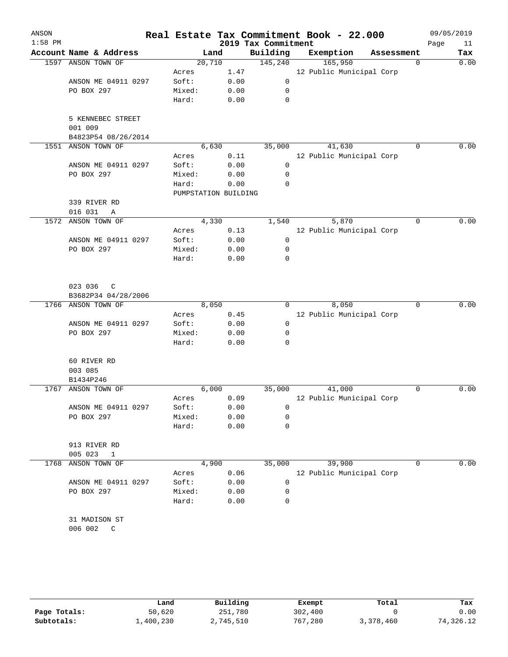| ANSON<br>$1:58$ PM |                                      |                               |      | 2019 Tax Commitment | Real Estate Tax Commitment Book - 22.000 |            |             | 09/05/2019<br>Page<br>11 |
|--------------------|--------------------------------------|-------------------------------|------|---------------------|------------------------------------------|------------|-------------|--------------------------|
|                    | Account Name & Address               | Land                          |      | Building            | Exemption                                | Assessment |             | Tax                      |
| 1597               | ANSON TOWN OF                        | 20,710                        |      | 145,240             | 165,950                                  |            | $\mathbf 0$ | 0.00                     |
|                    |                                      | Acres                         | 1.47 |                     | 12 Public Municipal Corp                 |            |             |                          |
|                    | ANSON ME 04911 0297                  | Soft:                         | 0.00 | 0                   |                                          |            |             |                          |
|                    | PO BOX 297                           | Mixed:                        | 0.00 | 0                   |                                          |            |             |                          |
|                    |                                      | Hard:                         | 0.00 | $\mathbf 0$         |                                          |            |             |                          |
|                    | 5 KENNEBEC STREET<br>001 009         |                               |      |                     |                                          |            |             |                          |
| 1551               | B4823P54 08/26/2014<br>ANSON TOWN OF | 6,630                         |      | 35,000              | 41,630                                   |            | $\Omega$    | 0.00                     |
|                    |                                      | Acres                         | 0.11 |                     | 12 Public Municipal Corp                 |            |             |                          |
|                    | ANSON ME 04911 0297                  | Soft:                         | 0.00 | 0                   |                                          |            |             |                          |
|                    | PO BOX 297                           | Mixed:                        | 0.00 | 0                   |                                          |            |             |                          |
|                    |                                      |                               |      | 0                   |                                          |            |             |                          |
|                    |                                      | Hard:<br>PUMPSTATION BUILDING | 0.00 |                     |                                          |            |             |                          |
|                    |                                      |                               |      |                     |                                          |            |             |                          |
|                    | 339 RIVER RD<br>016 031              |                               |      |                     |                                          |            |             |                          |
|                    | Α<br>ANSON TOWN OF                   |                               |      |                     | 5,870                                    |            | $\mathbf 0$ | 0.00                     |
| 1572               |                                      | 4,330                         |      | 1,540               |                                          |            |             |                          |
|                    |                                      | Acres                         | 0.13 |                     | 12 Public Municipal Corp                 |            |             |                          |
|                    | ANSON ME 04911 0297                  | Soft:                         | 0.00 | 0                   |                                          |            |             |                          |
|                    | PO BOX 297                           | Mixed:                        | 0.00 | 0                   |                                          |            |             |                          |
|                    |                                      | Hard:                         | 0.00 | 0                   |                                          |            |             |                          |
|                    | 023 036<br>$\mathsf{C}$              |                               |      |                     |                                          |            |             |                          |
|                    | B3682P34 04/28/2006                  |                               |      |                     |                                          |            |             |                          |
| 1766               | ANSON TOWN OF                        | 8,050                         |      | 0                   | 8,050                                    |            | 0           | 0.00                     |
|                    |                                      | Acres                         | 0.45 |                     | 12 Public Municipal Corp                 |            |             |                          |
|                    | ANSON ME 04911 0297                  | Soft:                         | 0.00 | 0                   |                                          |            |             |                          |
|                    | PO BOX 297                           | Mixed:                        | 0.00 | 0                   |                                          |            |             |                          |
|                    |                                      | Hard:                         | 0.00 | 0                   |                                          |            |             |                          |
|                    | 60 RIVER RD                          |                               |      |                     |                                          |            |             |                          |
|                    | 003 085                              |                               |      |                     |                                          |            |             |                          |
|                    | B1434P246                            |                               |      |                     |                                          |            |             |                          |
| 1767               | ANSON TOWN OF                        | 6,000                         |      | 35,000              | 41,000                                   |            | 0           | 0.00                     |
|                    |                                      | Acres                         | 0.09 |                     | 12 Public Municipal Corp                 |            |             |                          |
|                    | ANSON ME 04911 0297                  | Soft:                         | 0.00 | 0                   |                                          |            |             |                          |
|                    | PO BOX 297                           | Mixed:                        | 0.00 | 0                   |                                          |            |             |                          |
|                    |                                      | Hard:                         | 0.00 | $\mathbf 0$         |                                          |            |             |                          |
|                    | 913 RIVER RD<br>005 023              |                               |      |                     |                                          |            |             |                          |
| 1768               | 1<br>ANSON TOWN OF                   | 4,900                         |      | 35,000              | 39,900                                   |            | 0           | 0.00                     |
|                    |                                      |                               |      |                     |                                          |            |             |                          |
|                    |                                      | Acres                         | 0.06 |                     | 12 Public Municipal Corp                 |            |             |                          |
|                    | ANSON ME 04911 0297                  | Soft:                         | 0.00 | 0                   |                                          |            |             |                          |
|                    | PO BOX 297                           | Mixed:                        | 0.00 | 0                   |                                          |            |             |                          |
|                    |                                      | Hard:                         | 0.00 | 0                   |                                          |            |             |                          |
|                    | 31 MADISON ST                        |                               |      |                     |                                          |            |             |                          |
|                    | 006 002<br>$\mathbb{C}$              |                               |      |                     |                                          |            |             |                          |
|                    |                                      |                               |      |                     |                                          |            |             |                          |

|              | Land      | Building  | Exempt  | Total     | Tax       |
|--------------|-----------|-----------|---------|-----------|-----------|
| Page Totals: | 50,620    | 251,780   | 302,400 |           | 0.00      |
| Subtotals:   | ⊥,400,230 | 2,745,510 | 767,280 | 3,378,460 | 74,326.12 |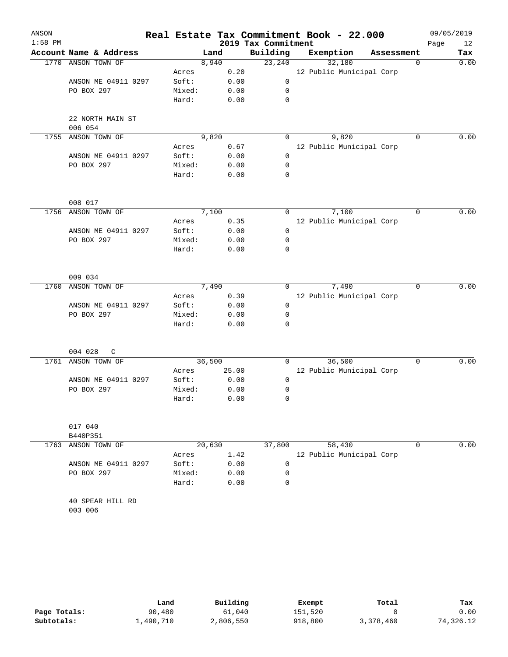| ANSON     |                             |                 |              |                     | Real Estate Tax Commitment Book - 22.000 |             | 09/05/2019 |
|-----------|-----------------------------|-----------------|--------------|---------------------|------------------------------------------|-------------|------------|
| $1:58$ PM |                             |                 |              | 2019 Tax Commitment |                                          |             | 12<br>Page |
|           | Account Name & Address      |                 | Land         | Building            | Exemption                                | Assessment  | Tax        |
| 1770      | ANSON TOWN OF               |                 | 8,940        | 23,240              | 32,180                                   | $\Omega$    | 0.00       |
|           |                             | Acres           | 0.20         |                     | 12 Public Municipal Corp                 |             |            |
|           | ANSON ME 04911 0297         | Soft:           | 0.00         | $\mathbf 0$         |                                          |             |            |
|           | PO BOX 297                  | Mixed:          | 0.00         | 0                   |                                          |             |            |
|           |                             | Hard:           | 0.00         | $\mathbf 0$         |                                          |             |            |
|           | 22 NORTH MAIN ST<br>006 054 |                 |              |                     |                                          |             |            |
| 1755      | ANSON TOWN OF               |                 | 9,820        | 0                   | 9,820                                    | $\mathbf 0$ | 0.00       |
|           |                             | Acres           | 0.67         |                     | 12 Public Municipal Corp                 |             |            |
|           | ANSON ME 04911 0297         | Soft:           | 0.00         | $\mathbf 0$         |                                          |             |            |
|           | PO BOX 297                  | Mixed:          | 0.00         | 0                   |                                          |             |            |
|           |                             | Hard:           | 0.00         | $\mathbf 0$         |                                          |             |            |
|           | 008 017                     |                 |              |                     |                                          |             |            |
| 1756      | ANSON TOWN OF               |                 | 7,100        | 0                   | 7,100                                    | $\mathbf 0$ | 0.00       |
|           |                             | Acres           | 0.35         |                     | 12 Public Municipal Corp                 |             |            |
|           | ANSON ME 04911 0297         | Soft:           | 0.00         | 0                   |                                          |             |            |
|           | PO BOX 297                  | Mixed:          | 0.00         | 0                   |                                          |             |            |
|           |                             | Hard:           | 0.00         | 0                   |                                          |             |            |
|           | 009 034                     |                 |              |                     |                                          |             |            |
| 1760      | ANSON TOWN OF               |                 | 7,490        | 0                   | 7,490                                    | $\mathbf 0$ | 0.00       |
|           |                             | Acres           | 0.39         |                     | 12 Public Municipal Corp                 |             |            |
|           | ANSON ME 04911 0297         | Soft:           | 0.00         | 0                   |                                          |             |            |
|           | PO BOX 297                  | Mixed:          | 0.00         | 0                   |                                          |             |            |
|           |                             | Hard:           | 0.00         | 0                   |                                          |             |            |
|           |                             |                 |              |                     |                                          |             |            |
|           | 004 028<br>$\mathsf{C}$     |                 |              |                     |                                          |             |            |
|           | 1761 ANSON TOWN OF          |                 | 36,500       | $\Omega$            | 36,500                                   | $\mathbf 0$ | 0.00       |
|           |                             | Acres           | 25.00        |                     | 12 Public Municipal Corp                 |             |            |
|           | ANSON ME 04911 0297         | Soft:           | 0.00         | 0                   |                                          |             |            |
|           | PO BOX 297                  | Mixed:<br>Hard: | 0.00<br>0.00 | 0<br>0              |                                          |             |            |
|           |                             |                 |              |                     |                                          |             |            |
|           | 017 040                     |                 |              |                     |                                          |             |            |
|           | B440P351                    |                 |              |                     |                                          |             |            |
| 1763      | ANSON TOWN OF               |                 | 20,630       | 37,800              | 58,430                                   | $\mathbf 0$ | 0.00       |
|           |                             | Acres           | 1.42         |                     | 12 Public Municipal Corp                 |             |            |
|           | ANSON ME 04911 0297         | Soft:           | 0.00         | $\mathbf 0$         |                                          |             |            |
|           | PO BOX 297                  | Mixed:          | 0.00         | 0                   |                                          |             |            |
|           |                             | Hard:           | 0.00         | $\mathbf 0$         |                                          |             |            |
|           | 40 SPEAR HILL RD<br>003 006 |                 |              |                     |                                          |             |            |
|           |                             |                 |              |                     |                                          |             |            |

|              | Land      | Building  | Exempt  | Total     | Tax       |
|--------------|-----------|-----------|---------|-----------|-----------|
| Page Totals: | 90,480    | 61,040    | 151,520 |           | 0.00      |
| Subtotals:   | 1,490,710 | 2,806,550 | 918,800 | 3,378,460 | 74,326.12 |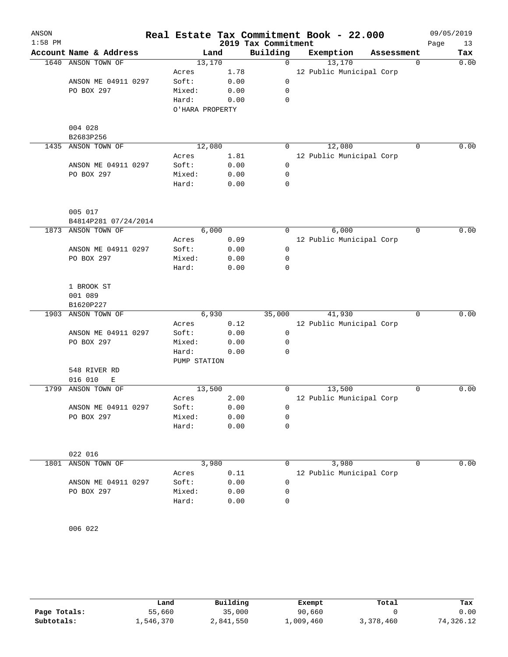| ANSON     |                                            |                 |      |                     | Real Estate Tax Commitment Book - 22.000 |            |          | 09/05/2019 |      |
|-----------|--------------------------------------------|-----------------|------|---------------------|------------------------------------------|------------|----------|------------|------|
| $1:58$ PM |                                            |                 |      | 2019 Tax Commitment |                                          |            |          | Page       | 13   |
|           | Account Name & Address                     | Land            |      | Building            | Exemption                                | Assessment |          |            | Tax  |
| 1640      | ANSON TOWN OF                              | 13,170          |      | $\Omega$            | 13,170                                   |            | $\Omega$ |            | 0.00 |
|           |                                            | Acres           | 1.78 |                     | 12 Public Municipal Corp                 |            |          |            |      |
|           | ANSON ME 04911 0297                        | Soft:           | 0.00 | $\mathbf 0$         |                                          |            |          |            |      |
|           | PO BOX 297                                 | Mixed:          | 0.00 | 0                   |                                          |            |          |            |      |
|           |                                            | Hard:           | 0.00 | 0                   |                                          |            |          |            |      |
|           |                                            | O'HARA PROPERTY |      |                     |                                          |            |          |            |      |
|           | 004 028                                    |                 |      |                     |                                          |            |          |            |      |
|           | B2683P256                                  |                 |      |                     |                                          |            |          |            |      |
|           | 1435 ANSON TOWN OF                         | 12,080          |      | 0                   | 12,080                                   |            | $\Omega$ |            | 0.00 |
|           |                                            | Acres           | 1.81 |                     | 12 Public Municipal Corp                 |            |          |            |      |
|           | ANSON ME 04911 0297                        | Soft:           | 0.00 | $\mathbf 0$         |                                          |            |          |            |      |
|           | PO BOX 297                                 | Mixed:          | 0.00 | 0                   |                                          |            |          |            |      |
|           |                                            | Hard:           | 0.00 | $\mathbf 0$         |                                          |            |          |            |      |
|           |                                            |                 |      |                     |                                          |            |          |            |      |
|           | 005 017                                    |                 |      |                     |                                          |            |          |            |      |
|           | B4814P281 07/24/2014<br>1873 ANSON TOWN OF | 6,000           |      | 0                   | 6,000                                    |            | 0        |            | 0.00 |
|           |                                            | Acres           | 0.09 |                     | 12 Public Municipal Corp                 |            |          |            |      |
|           | ANSON ME 04911 0297                        | Soft:           | 0.00 | 0                   |                                          |            |          |            |      |
|           | PO BOX 297                                 | Mixed:          |      | 0                   |                                          |            |          |            |      |
|           |                                            | Hard:           | 0.00 | $\mathbf 0$         |                                          |            |          |            |      |
|           |                                            |                 | 0.00 |                     |                                          |            |          |            |      |
|           | 1 BROOK ST                                 |                 |      |                     |                                          |            |          |            |      |
|           | 001 089                                    |                 |      |                     |                                          |            |          |            |      |
|           | B1620P227                                  |                 |      |                     |                                          |            |          |            |      |
| 1903      | ANSON TOWN OF                              | 6,930           |      | 35,000              | 41,930                                   |            | 0        |            | 0.00 |
|           |                                            | Acres           | 0.12 |                     | 12 Public Municipal Corp                 |            |          |            |      |
|           | ANSON ME 04911 0297                        | Soft:           | 0.00 | 0                   |                                          |            |          |            |      |
|           | PO BOX 297                                 | Mixed:          | 0.00 | 0                   |                                          |            |          |            |      |
|           |                                            | Hard:           | 0.00 | 0                   |                                          |            |          |            |      |
|           |                                            | PUMP STATION    |      |                     |                                          |            |          |            |      |
|           | 548 RIVER RD                               |                 |      |                     |                                          |            |          |            |      |
|           | 016 010<br>Ε                               |                 |      |                     |                                          |            |          |            |      |
| 1799      | ANSON TOWN OF                              | 13,500          |      | 0                   | 13,500                                   |            | 0        |            | 0.00 |
|           |                                            | Acres           | 2.00 |                     | 12 Public Municipal Corp                 |            |          |            |      |
|           | ANSON ME 04911 0297                        | Soft:           | 0.00 | 0                   |                                          |            |          |            |      |
|           | PO BOX 297                                 | Mixed:          | 0.00 | 0                   |                                          |            |          |            |      |
|           |                                            | Hard:           | 0.00 | 0                   |                                          |            |          |            |      |
|           |                                            |                 |      |                     |                                          |            |          |            |      |
|           | 022 016                                    |                 |      |                     |                                          |            |          |            |      |
| 1801      | ANSON TOWN OF                              | 3,980           |      | 0                   | 3,980                                    |            | 0        |            | 0.00 |
|           |                                            | Acres           | 0.11 |                     | 12 Public Municipal Corp                 |            |          |            |      |
|           | ANSON ME 04911 0297                        | Soft:           | 0.00 | 0                   |                                          |            |          |            |      |
|           | PO BOX 297                                 | Mixed:          | 0.00 | 0                   |                                          |            |          |            |      |
|           |                                            | Hard:           | 0.00 | 0                   |                                          |            |          |            |      |
|           |                                            |                 |      |                     |                                          |            |          |            |      |
|           | 006 022                                    |                 |      |                     |                                          |            |          |            |      |

|              | Land      | Building  | Exempt    | Total     | Tax       |
|--------------|-----------|-----------|-----------|-----------|-----------|
| Page Totals: | 55,660    | 35,000    | 90,660    |           | 0.00      |
| Subtotals:   | 1,546,370 | 2,841,550 | ⊥,009,460 | 3,378,460 | 74,326.12 |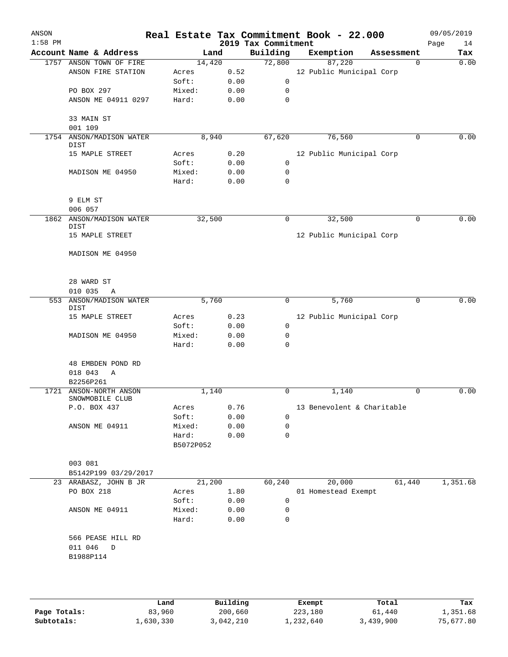| ANSON<br>$1:58$ PM |                                           |           |      | 2019 Tax Commitment | Real Estate Tax Commitment Book - 22.000 |             | 09/05/2019<br>Page<br>14 |
|--------------------|-------------------------------------------|-----------|------|---------------------|------------------------------------------|-------------|--------------------------|
|                    | Account Name & Address                    | Land      |      | Building            | Exemption                                | Assessment  | Tax                      |
|                    | 1757 ANSON TOWN OF FIRE                   | 14,420    |      | 72,800              | 87,220                                   | $\Omega$    | 0.00                     |
|                    | ANSON FIRE STATION                        | Acres     | 0.52 |                     | 12 Public Municipal Corp                 |             |                          |
|                    |                                           | Soft:     | 0.00 | $\mathbf 0$         |                                          |             |                          |
|                    | PO BOX 297                                | Mixed:    | 0.00 | $\mathbf 0$         |                                          |             |                          |
|                    | ANSON ME 04911 0297                       | Hard:     | 0.00 | $\mathbf 0$         |                                          |             |                          |
|                    | 33 MAIN ST<br>001 109                     |           |      |                     |                                          |             |                          |
|                    | 1754 ANSON/MADISON WATER<br>DIST          | 8,940     |      | 67,620              | 76,560                                   | 0           | 0.00                     |
|                    | 15 MAPLE STREET                           | Acres     | 0.20 |                     | 12 Public Municipal Corp                 |             |                          |
|                    |                                           | Soft:     | 0.00 | $\mathbf 0$         |                                          |             |                          |
|                    | MADISON ME 04950                          | Mixed:    | 0.00 | 0                   |                                          |             |                          |
|                    |                                           | Hard:     | 0.00 | $\mathbf 0$         |                                          |             |                          |
|                    | 9 ELM ST<br>006 057                       |           |      |                     |                                          |             |                          |
| 1862               | ANSON/MADISON WATER                       | 32,500    |      | $\mathsf{O}$        | 32,500                                   | 0           | 0.00                     |
|                    | DIST<br>15 MAPLE STREET                   |           |      |                     | 12 Public Municipal Corp                 |             |                          |
|                    | MADISON ME 04950                          |           |      |                     |                                          |             |                          |
|                    | 28 WARD ST                                |           |      |                     |                                          |             |                          |
|                    | 010 035<br>Α                              |           |      |                     |                                          |             |                          |
| 553                | ANSON/MADISON WATER<br>DIST               | 5,760     |      | $\mathbf 0$         | 5,760                                    | $\mathbf 0$ | 0.00                     |
|                    | 15 MAPLE STREET                           | Acres     | 0.23 |                     | 12 Public Municipal Corp                 |             |                          |
|                    |                                           | Soft:     | 0.00 | 0                   |                                          |             |                          |
|                    | MADISON ME 04950                          | Mixed:    | 0.00 | 0                   |                                          |             |                          |
|                    |                                           | Hard:     | 0.00 | 0                   |                                          |             |                          |
|                    | 48 EMBDEN POND RD<br>018 043<br>Α         |           |      |                     |                                          |             |                          |
|                    | B2256P261                                 |           |      |                     |                                          |             |                          |
|                    | 1721 ANSON-NORTH ANSON<br>SNOWMOBILE CLUB | 1,140     |      | 0                   | 1,140                                    | 0           | 0.00                     |
|                    | P.O. BOX 437                              | Acres     | 0.76 |                     | 13 Benevolent & Charitable               |             |                          |
|                    |                                           | Soft:     | 0.00 | 0                   |                                          |             |                          |
|                    | ANSON ME 04911                            | Mixed:    | 0.00 | 0                   |                                          |             |                          |
|                    |                                           | Hard:     | 0.00 | $\mathbf 0$         |                                          |             |                          |
|                    |                                           | B5072P052 |      |                     |                                          |             |                          |
|                    | 003 081                                   |           |      |                     |                                          |             |                          |
|                    | B5142P199 03/29/2017                      |           |      |                     |                                          |             |                          |
|                    | 23 ARABASZ, JOHN B JR                     | 21,200    |      | 60,240              | 20,000                                   | 61,440      | 1,351.68                 |
|                    | PO BOX 218                                | Acres     | 1.80 |                     | 01 Homestead Exempt                      |             |                          |
|                    |                                           | Soft:     | 0.00 | 0                   |                                          |             |                          |
|                    | ANSON ME 04911                            | Mixed:    | 0.00 | 0                   |                                          |             |                          |
|                    |                                           | Hard:     | 0.00 | 0                   |                                          |             |                          |
|                    | 566 PEASE HILL RD                         |           |      |                     |                                          |             |                          |
|                    | 011 046<br>D                              |           |      |                     |                                          |             |                          |
|                    | B1988P114                                 |           |      |                     |                                          |             |                          |
|                    |                                           |           |      |                     |                                          |             |                          |
|                    |                                           |           |      |                     |                                          |             |                          |

|              | Land      | Building  | Exempt    | Total     | Tax       |
|--------------|-----------|-----------|-----------|-----------|-----------|
| Page Totals: | 83,960    | 200,660   | 223,180   | 61,440    | 1,351.68  |
| Subtotals:   | 1,630,330 | 3,042,210 | 1,232,640 | 3,439,900 | 75,677.80 |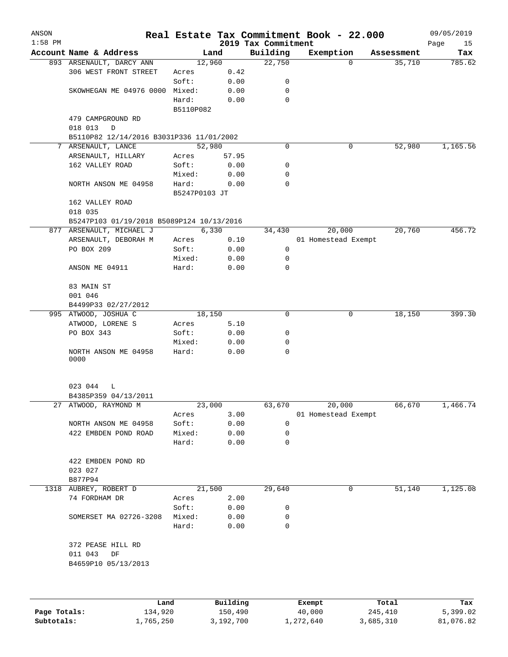| ANSON        |                                           |               |           |                                 | Real Estate Tax Commitment Book - 22.000 |            | 09/05/2019        |
|--------------|-------------------------------------------|---------------|-----------|---------------------------------|------------------------------------------|------------|-------------------|
| $1:58$ PM    | Account Name & Address                    |               | Land      | 2019 Tax Commitment<br>Building | Exemption                                | Assessment | Page<br>15<br>Tax |
|              | 893 ARSENAULT, DARCY ANN                  | 12,960        |           | 22,750                          | $\Omega$                                 | 35,710     | 785.62            |
|              | 306 WEST FRONT STREET                     | Acres         | 0.42      |                                 |                                          |            |                   |
|              |                                           | Soft:         | 0.00      | 0                               |                                          |            |                   |
|              | SKOWHEGAN ME 04976 0000 Mixed:            |               | 0.00      | 0                               |                                          |            |                   |
|              |                                           | Hard:         | 0.00      | 0                               |                                          |            |                   |
|              |                                           | B5110P082     |           |                                 |                                          |            |                   |
|              | 479 CAMPGROUND RD                         |               |           |                                 |                                          |            |                   |
|              | 018 013<br>D                              |               |           |                                 |                                          |            |                   |
|              | B5110P82 12/14/2016 B3031P336 11/01/2002  |               |           |                                 |                                          |            |                   |
|              | 7 ARSENAULT, LANCE                        | 52,980        |           | 0                               | $\mathbf 0$                              | 52,980     | 1,165.56          |
|              | ARSENAULT, HILLARY                        | Acres         | 57.95     |                                 |                                          |            |                   |
|              | 162 VALLEY ROAD                           | Soft:         | 0.00      | 0                               |                                          |            |                   |
|              |                                           | Mixed:        | 0.00      | 0                               |                                          |            |                   |
|              | NORTH ANSON ME 04958                      | Hard:         | 0.00      | $\mathbf 0$                     |                                          |            |                   |
|              |                                           | B5247P0103 JT |           |                                 |                                          |            |                   |
|              | 162 VALLEY ROAD                           |               |           |                                 |                                          |            |                   |
|              | 018 035                                   |               |           |                                 |                                          |            |                   |
|              | B5247P103 01/19/2018 B5089P124 10/13/2016 |               |           |                                 |                                          |            |                   |
|              | 877 ARSENAULT, MICHAEL J                  |               | 6,330     | 34,430                          | 20,000                                   | 20,760     | 456.72            |
|              | ARSENAULT, DEBORAH M                      | Acres         | 0.10      |                                 | 01 Homestead Exempt                      |            |                   |
|              | PO BOX 209                                | Soft:         | 0.00      | 0                               |                                          |            |                   |
|              |                                           | Mixed:        | 0.00      | 0                               |                                          |            |                   |
|              | ANSON ME 04911                            | Hard:         | 0.00      | 0                               |                                          |            |                   |
|              |                                           |               |           |                                 |                                          |            |                   |
|              | 83 MAIN ST                                |               |           |                                 |                                          |            |                   |
|              | 001 046                                   |               |           |                                 |                                          |            |                   |
|              | B4499P33 02/27/2012                       |               |           |                                 |                                          |            |                   |
|              | 995 ATWOOD, JOSHUA C                      | 18,150        |           | 0                               | 0                                        | 18,150     | 399.30            |
|              | ATWOOD, LORENE S                          | Acres         | 5.10      |                                 |                                          |            |                   |
|              | PO BOX 343                                | Soft:         | 0.00      | 0                               |                                          |            |                   |
|              |                                           | Mixed:        | 0.00      | 0                               |                                          |            |                   |
|              | NORTH ANSON ME 04958                      | Hard:         | 0.00      | 0                               |                                          |            |                   |
|              | 0000                                      |               |           |                                 |                                          |            |                   |
|              | 023 044<br>L                              |               |           |                                 |                                          |            |                   |
|              | B4385P359 04/13/2011                      |               |           |                                 |                                          |            |                   |
|              | 27 ATWOOD, RAYMOND M                      | 23,000        |           | 63,670                          | 20,000                                   | 66,670     | 1,466.74          |
|              |                                           | Acres         | 3.00      |                                 | 01 Homestead Exempt                      |            |                   |
|              | NORTH ANSON ME 04958                      | Soft:         | 0.00      | 0                               |                                          |            |                   |
|              | 422 EMBDEN POND ROAD                      | Mixed:        | 0.00      | 0                               |                                          |            |                   |
|              |                                           | Hard:         | 0.00      | $\mathbf 0$                     |                                          |            |                   |
|              |                                           |               |           |                                 |                                          |            |                   |
|              | 422 EMBDEN POND RD                        |               |           |                                 |                                          |            |                   |
|              | 023 027                                   |               |           |                                 |                                          |            |                   |
|              | B877P94                                   |               |           |                                 |                                          |            |                   |
| 1318         | AUBREY, ROBERT D                          | 21,500        |           | 29,640                          | 0                                        | 51,140     | 1,125.08          |
|              | 74 FORDHAM DR                             | Acres         | 2.00      |                                 |                                          |            |                   |
|              |                                           | Soft:         | 0.00      | 0                               |                                          |            |                   |
|              | SOMERSET MA 02726-3208                    | Mixed:        | 0.00      | 0                               |                                          |            |                   |
|              |                                           | Hard:         | 0.00      | 0                               |                                          |            |                   |
|              |                                           |               |           |                                 |                                          |            |                   |
|              | 372 PEASE HILL RD                         |               |           |                                 |                                          |            |                   |
|              | 011 043<br>DF                             |               |           |                                 |                                          |            |                   |
|              | B4659P10 05/13/2013                       |               |           |                                 |                                          |            |                   |
|              |                                           |               |           |                                 |                                          |            |                   |
|              | Land                                      |               | Building  |                                 | Exempt                                   | Total      | Tax               |
| Page Totals: | 134,920                                   |               | 150,490   |                                 | 40,000                                   | 245,410    | 5,399.02          |
| Subtotals:   | 1,765,250                                 |               | 3,192,700 |                                 | 1,272,640                                | 3,685,310  | 81,076.82         |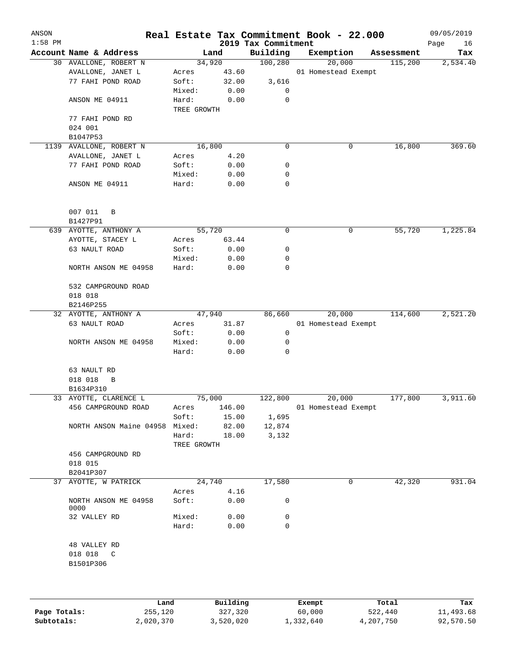| ANSON<br>$1:58$ PM |                              |                 |              | 2019 Tax Commitment | Real Estate Tax Commitment Book - 22.000 |            | 09/05/2019<br>Page<br>16 |
|--------------------|------------------------------|-----------------|--------------|---------------------|------------------------------------------|------------|--------------------------|
|                    | Account Name & Address       |                 | Land         | Building            | Exemption                                | Assessment | Tax                      |
|                    | 30 AVALLONE, ROBERT N        |                 | 34,920       | 100, 280            | 20,000                                   | 115,200    | 2,534.40                 |
|                    | AVALLONE, JANET L            | Acres           | 43.60        |                     | 01 Homestead Exempt                      |            |                          |
|                    | 77 FAHI POND ROAD            | Soft:           | 32.00        | 3,616               |                                          |            |                          |
|                    |                              | Mixed:          | 0.00         | 0                   |                                          |            |                          |
|                    | ANSON ME 04911               | Hard:           | 0.00         | 0                   |                                          |            |                          |
|                    |                              | TREE GROWTH     |              |                     |                                          |            |                          |
|                    | 77 FAHI POND RD              |                 |              |                     |                                          |            |                          |
|                    | 024 001                      |                 |              |                     |                                          |            |                          |
|                    | B1047P53                     |                 |              |                     |                                          |            |                          |
|                    | 1139 AVALLONE, ROBERT N      |                 | 16,800       | 0                   | 0                                        | 16,800     | 369.60                   |
|                    | AVALLONE, JANET L            | Acres           | 4.20         |                     |                                          |            |                          |
|                    | 77 FAHI POND ROAD            | Soft:           | 0.00         | 0                   |                                          |            |                          |
|                    |                              | Mixed:          | 0.00         | 0                   |                                          |            |                          |
|                    | ANSON ME 04911               | Hard:           | 0.00         | 0                   |                                          |            |                          |
|                    |                              |                 |              |                     |                                          |            |                          |
|                    | 007 011<br>B<br>B1427P91     |                 |              |                     |                                          |            |                          |
|                    | 639 AYOTTE, ANTHONY A        |                 | 55,720       | 0                   | 0                                        | 55,720     | 1,225.84                 |
|                    | AYOTTE, STACEY L             | Acres           | 63.44        |                     |                                          |            |                          |
|                    | 63 NAULT ROAD                | Soft:           | 0.00         | 0                   |                                          |            |                          |
|                    |                              | Mixed:          | 0.00         | 0                   |                                          |            |                          |
|                    | NORTH ANSON ME 04958         | Hard:           | 0.00         | 0                   |                                          |            |                          |
|                    | 532 CAMPGROUND ROAD          |                 |              |                     |                                          |            |                          |
|                    | 018 018                      |                 |              |                     |                                          |            |                          |
|                    |                              |                 |              |                     |                                          |            |                          |
|                    | B2146P255                    |                 |              |                     |                                          |            |                          |
|                    | 32 AYOTTE, ANTHONY A         |                 | 47,940       | 86,660              | 20,000                                   | 114,600    | 2,521.20                 |
|                    | 63 NAULT ROAD                | Acres           | 31.87        |                     | 01 Homestead Exempt                      |            |                          |
|                    |                              | Soft:           | 0.00         | 0                   |                                          |            |                          |
|                    | NORTH ANSON ME 04958         | Mixed:<br>Hard: | 0.00<br>0.00 | 0<br>0              |                                          |            |                          |
|                    |                              |                 |              |                     |                                          |            |                          |
|                    | 63 NAULT RD                  |                 |              |                     |                                          |            |                          |
|                    | 018 018<br>B                 |                 |              |                     |                                          |            |                          |
|                    | B1634P310                    |                 |              |                     |                                          |            |                          |
|                    | 33 AYOTTE, CLARENCE L        |                 | 75,000       | 122,800             | 20,000                                   | 177,800    | 3,911.60                 |
|                    | 456 CAMPGROUND ROAD          | Acres           | 146.00       |                     | 01 Homestead Exempt                      |            |                          |
|                    |                              | Soft:           | 15.00        | 1,695               |                                          |            |                          |
|                    | NORTH ANSON Maine 04958      | Mixed:          | 82.00        | 12,874              |                                          |            |                          |
|                    |                              | Hard:           | 18.00        | 3,132               |                                          |            |                          |
|                    |                              | TREE GROWTH     |              |                     |                                          |            |                          |
|                    | 456 CAMPGROUND RD            |                 |              |                     |                                          |            |                          |
|                    | 018 015                      |                 |              |                     |                                          |            |                          |
|                    | B2041P307                    |                 |              |                     |                                          |            |                          |
| 37                 | AYOTTE, W PATRICK            |                 | 24,740       | 17,580              | 0                                        | 42,320     | 931.04                   |
|                    |                              | Acres           | 4.16         |                     |                                          |            |                          |
|                    | NORTH ANSON ME 04958<br>0000 | Soft:           | 0.00         | 0                   |                                          |            |                          |
|                    | 32 VALLEY RD                 | Mixed:          | 0.00         | 0                   |                                          |            |                          |
|                    |                              | Hard:           | 0.00         | 0                   |                                          |            |                          |
|                    | 48 VALLEY RD                 |                 |              |                     |                                          |            |                          |
|                    | 018 018<br>C                 |                 |              |                     |                                          |            |                          |
|                    | B1501P306                    |                 |              |                     |                                          |            |                          |
|                    |                              |                 |              |                     |                                          |            |                          |
|                    |                              |                 |              |                     |                                          |            |                          |
|                    | Land                         |                 | Building     |                     | <b>Exempt</b>                            | Total      | Tax                      |

|              | Land      | Building  | Exempt    | Total     | Tax       |
|--------------|-----------|-----------|-----------|-----------|-----------|
| Page Totals: | 255,120   | 327,320   | 60,000    | 522,440   | 11,493.68 |
| Subtotals:   | 2,020,370 | 3,520,020 | 1,332,640 | 4,207,750 | 92,570.50 |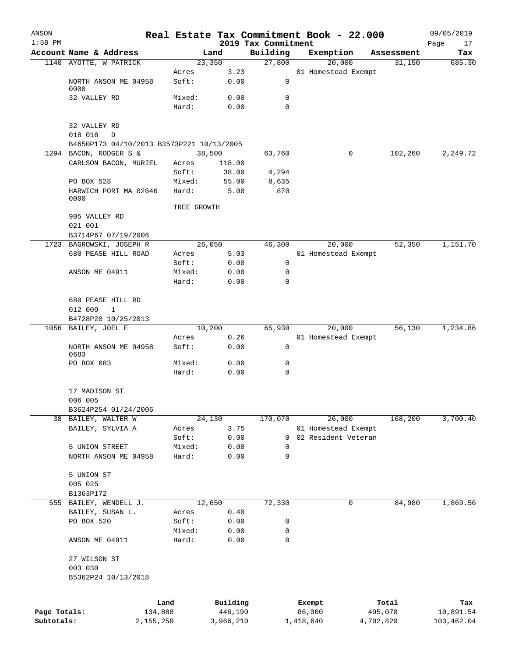| ANSON<br>$1:58$ PM |                                                                     |                 |                     | 2019 Tax Commitment | Real Estate Tax Commitment Book - 22.000 |                  | 09/05/2019        |
|--------------------|---------------------------------------------------------------------|-----------------|---------------------|---------------------|------------------------------------------|------------------|-------------------|
|                    | Account Name & Address                                              |                 | Land                | Building            | Exemption                                | Assessment       | Page<br>17<br>Tax |
|                    | 1140 AYOTTE, W PATRICK                                              |                 | 23,350              | 27,800              | 20,000                                   | 31,150           | 685.30            |
|                    |                                                                     | Acres           | 3.23                |                     | 01 Homestead Exempt                      |                  |                   |
|                    | NORTH ANSON ME 04958<br>0000                                        | Soft:           | 0.00                | 0                   |                                          |                  |                   |
|                    | 32 VALLEY RD                                                        | Mixed:          | 0.00                | 0                   |                                          |                  |                   |
|                    |                                                                     | Hard:           | 0.00                | 0                   |                                          |                  |                   |
|                    | 32 VALLEY RD                                                        |                 |                     |                     |                                          |                  |                   |
|                    | 018 018<br>$\Box$                                                   |                 |                     |                     |                                          |                  |                   |
|                    | B4650P173 04/10/2013 B3573P221 10/13/2005<br>1294 BACON, RODGER S & |                 |                     |                     | 0                                        |                  |                   |
|                    | CARLSON BACON, MURIEL                                               | Acres           | 38,500<br>118.00    | 63,760              |                                          | 102,260          | 2,249.72          |
|                    |                                                                     | Soft:           | 38.00               | 4,294               |                                          |                  |                   |
|                    | PO BOX 528                                                          | Mixed:          | 55.00               | 8,635               |                                          |                  |                   |
|                    | HARWICH PORT MA 02646<br>0000                                       | Hard:           | 5.00                | 870                 |                                          |                  |                   |
|                    |                                                                     | TREE GROWTH     |                     |                     |                                          |                  |                   |
|                    | 905 VALLEY RD                                                       |                 |                     |                     |                                          |                  |                   |
|                    | 021 001                                                             |                 |                     |                     |                                          |                  |                   |
|                    | B3714P67 07/19/2006                                                 |                 |                     |                     |                                          |                  |                   |
|                    | 1723 BAGROWSKI, JOSEPH R                                            |                 | 26,050              | 46,300              | 20,000                                   | 52,350           | 1,151.70          |
|                    | 680 PEASE HILL ROAD                                                 | Acres           | 5.03                |                     | 01 Homestead Exempt                      |                  |                   |
|                    |                                                                     | Soft:           | 0.00                | 0                   |                                          |                  |                   |
|                    | ANSON ME 04911                                                      | Mixed:          | 0.00                | 0                   |                                          |                  |                   |
|                    |                                                                     | Hard:           | 0.00                | 0                   |                                          |                  |                   |
|                    | 680 PEASE HILL RD                                                   |                 |                     |                     |                                          |                  |                   |
|                    | 012 009<br>$\mathbf{1}$                                             |                 |                     |                     |                                          |                  |                   |
|                    | B4728P20 10/25/2013                                                 |                 |                     |                     |                                          |                  |                   |
|                    | 1056 BAILEY, JOEL E                                                 |                 | 10,200              | 65,930              | 20,000                                   | 56,130           | 1,234.86          |
|                    |                                                                     | Acres           | 0.26                |                     | 01 Homestead Exempt                      |                  |                   |
|                    | NORTH ANSON ME 04958<br>0683                                        | Soft:           | 0.00                | 0                   |                                          |                  |                   |
|                    | PO BOX 683                                                          | Mixed:          | 0.00                | 0                   |                                          |                  |                   |
|                    |                                                                     | Hard:           | 0.00                | $\mathbf 0$         |                                          |                  |                   |
|                    | 17 MADISON ST                                                       |                 |                     |                     |                                          |                  |                   |
|                    | 006 005                                                             |                 |                     |                     |                                          |                  |                   |
|                    | B3624P254 01/24/2006                                                |                 |                     |                     |                                          |                  |                   |
|                    | 38 BAILEY, WALTER W                                                 |                 | 24,130              | 170,070             | 26,000                                   | 168,200          | 3,700.40          |
|                    | BAILEY, SYLVIA A                                                    | Acres           | 3.75                |                     | 01 Homestead Exempt                      |                  |                   |
|                    |                                                                     | Soft:           | 0.00                | 0                   | 02 Resident Veteran                      |                  |                   |
|                    | 5 UNION STREET<br>NORTH ANSON ME 04958                              | Mixed:<br>Hard: | 0.00<br>0.00        | 0<br>0              |                                          |                  |                   |
|                    |                                                                     |                 |                     |                     |                                          |                  |                   |
|                    | 5 UNION ST                                                          |                 |                     |                     |                                          |                  |                   |
|                    | 005 025                                                             |                 |                     |                     |                                          |                  |                   |
|                    | B1363P172                                                           |                 |                     |                     |                                          |                  |                   |
|                    | 555 BAILEY, WENDELL J.                                              |                 | 12,650              | 72,330              | 0                                        | 84,980           | 1,869.56          |
|                    | BAILEY, SUSAN L.                                                    | Acres           | 0.40                |                     |                                          |                  |                   |
|                    | PO BOX 520                                                          | Soft:           | 0.00                | 0                   |                                          |                  |                   |
|                    |                                                                     | Mixed:          | 0.00                | 0                   |                                          |                  |                   |
|                    | ANSON ME 04911                                                      | Hard:           | 0.00                | 0                   |                                          |                  |                   |
|                    | 27 WILSON ST                                                        |                 |                     |                     |                                          |                  |                   |
|                    | 003 030                                                             |                 |                     |                     |                                          |                  |                   |
|                    | B5362P24 10/13/2018                                                 |                 |                     |                     |                                          |                  |                   |
|                    |                                                                     |                 |                     |                     |                                          |                  |                   |
| Page Totals:       |                                                                     | Land<br>134,880 | Building<br>446,190 |                     | Exempt<br>86,000                         | Total<br>495,070 | Tax<br>10,891.54  |
| Subtotals:         |                                                                     | 2,155,250       | 3,966,210           |                     | 1,418,640                                | 4,702,820        | 103,462.04        |
|                    |                                                                     |                 |                     |                     |                                          |                  |                   |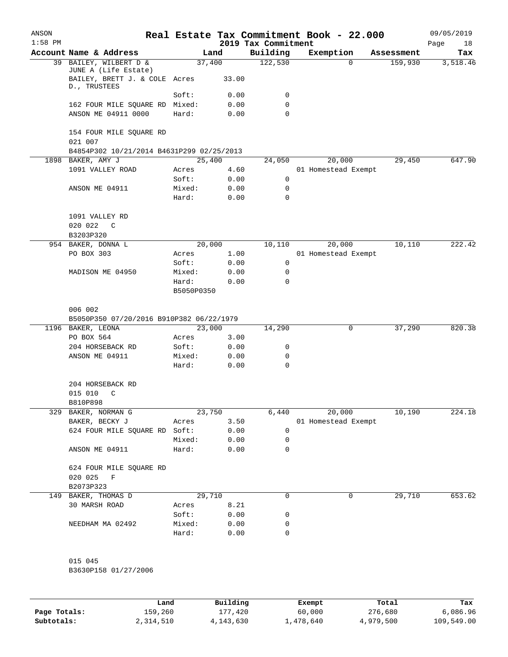| ANSON<br>$1:58$ PM |                                                                                 |                     |                 | 2019 Tax Commitment | Real Estate Tax Commitment Book - 22.000 |            | 09/05/2019<br>Page<br>18 |
|--------------------|---------------------------------------------------------------------------------|---------------------|-----------------|---------------------|------------------------------------------|------------|--------------------------|
|                    | Account Name & Address                                                          |                     | Land            | Building            | Exemption                                | Assessment | Tax                      |
|                    | 39 BAILEY, WILBERT D &<br>JUNE A (Life Estate)<br>BAILEY, BRETT J. & COLE Acres |                     | 37,400<br>33.00 | 122,530             | $\Omega$                                 | 159,930    | 3,518.46                 |
|                    | D., TRUSTEES                                                                    | Soft:               | 0.00            | 0                   |                                          |            |                          |
|                    | 162 FOUR MILE SQUARE RD Mixed:                                                  |                     | 0.00            | 0                   |                                          |            |                          |
|                    | ANSON ME 04911 0000                                                             | Hard:               | 0.00            | 0                   |                                          |            |                          |
|                    | 154 FOUR MILE SQUARE RD<br>021 007                                              |                     |                 |                     |                                          |            |                          |
|                    | B4854P302 10/21/2014 B4631P299 02/25/2013                                       |                     |                 |                     |                                          |            |                          |
|                    | 1898 BAKER, AMY J                                                               |                     | 25,400          | 24,050              | 20,000                                   | 29,450     | 647.90                   |
|                    | 1091 VALLEY ROAD                                                                | Acres<br>Soft:      | 4.60<br>0.00    | 0                   | 01 Homestead Exempt                      |            |                          |
|                    | ANSON ME 04911                                                                  | Mixed:              | 0.00            | 0                   |                                          |            |                          |
|                    |                                                                                 | Hard:               | 0.00            | 0                   |                                          |            |                          |
|                    | 1091 VALLEY RD<br>020 022<br>C                                                  |                     |                 |                     |                                          |            |                          |
|                    | B3203P320                                                                       |                     |                 |                     |                                          |            |                          |
|                    | 954 BAKER, DONNA L                                                              |                     | 20,000          | 10,110              | 20,000                                   | 10,110     | 222.42                   |
|                    | PO BOX 303                                                                      | Acres               | 1.00            |                     | 01 Homestead Exempt                      |            |                          |
|                    |                                                                                 | Soft:               | 0.00            | 0                   |                                          |            |                          |
|                    | MADISON ME 04950                                                                | Mixed:              | 0.00            | 0                   |                                          |            |                          |
|                    |                                                                                 | Hard:<br>B5050P0350 | 0.00            | 0                   |                                          |            |                          |
|                    | 006 002                                                                         |                     |                 |                     |                                          |            |                          |
|                    | B5050P350 07/20/2016 B910P382 06/22/1979                                        |                     |                 |                     |                                          |            |                          |
|                    | 1196 BAKER, LEONA                                                               |                     | 23,000          | 14,290              | 0                                        | 37,290     | 820.38                   |
|                    | PO BOX 564                                                                      | Acres               | 3.00            |                     |                                          |            |                          |
|                    | 204 HORSEBACK RD                                                                | Soft:               | 0.00            | 0                   |                                          |            |                          |
|                    | ANSON ME 04911                                                                  | Mixed:<br>Hard:     | 0.00<br>0.00    | 0<br>0              |                                          |            |                          |
|                    | 204 HORSEBACK RD<br>015 010<br>C                                                |                     |                 |                     |                                          |            |                          |
|                    | B810P898                                                                        |                     |                 |                     |                                          |            |                          |
|                    | 329 BAKER, NORMAN G                                                             |                     | 23,750          | 6,440               | 20,000                                   | 10,190     | 224.18                   |
|                    | BAKER, BECKY J                                                                  | Acres               | 3.50            |                     | 01 Homestead Exempt                      |            |                          |
|                    | 624 FOUR MILE SQUARE RD Soft:                                                   |                     | 0.00            | 0                   |                                          |            |                          |
|                    |                                                                                 | Mixed:              | 0.00            | 0                   |                                          |            |                          |
|                    | ANSON ME 04911                                                                  | Hard:               | 0.00            | 0                   |                                          |            |                          |
|                    | 624 FOUR MILE SQUARE RD<br>020 025 F                                            |                     |                 |                     |                                          |            |                          |
|                    | B2073P323                                                                       |                     |                 |                     |                                          |            |                          |
|                    | 149 BAKER, THOMAS D                                                             |                     | 29,710          | 0                   | 0                                        | 29,710     | 653.62                   |
|                    | 30 MARSH ROAD                                                                   | Acres               | 8.21            |                     |                                          |            |                          |
|                    |                                                                                 | Soft:               | 0.00            | 0                   |                                          |            |                          |
|                    | NEEDHAM MA 02492                                                                | Mixed:<br>Hard:     | 0.00<br>0.00    | 0<br>0              |                                          |            |                          |
|                    | 015 045                                                                         |                     |                 |                     |                                          |            |                          |
|                    | B3630P158 01/27/2006                                                            |                     |                 |                     |                                          |            |                          |
|                    |                                                                                 |                     |                 |                     |                                          |            |                          |

|              | Land      | Building  | Exempt    | Total     | Tax        |
|--------------|-----------|-----------|-----------|-----------|------------|
| Page Totals: | 159,260   | 177.420   | 60,000    | 276,680   | 6,086.96   |
| Subtotals:   | 2,314,510 | 4,143,630 | 1,478,640 | 4,979,500 | 109,549.00 |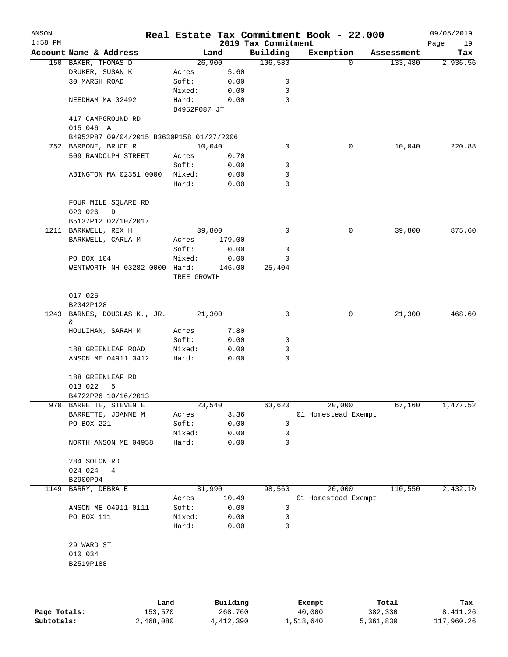| ANSON        |                                           |                |              |                     | Real Estate Tax Commitment Book - 22.000 |           |            | 09/05/2019 |
|--------------|-------------------------------------------|----------------|--------------|---------------------|------------------------------------------|-----------|------------|------------|
| $1:58$ PM    |                                           |                |              | 2019 Tax Commitment |                                          |           |            | Page<br>19 |
|              | Account Name & Address                    |                | Land         | Building            | Exemption                                |           | Assessment | Tax        |
|              | 150 BAKER, THOMAS D                       |                | 26,900       | 106,580             |                                          | $\Omega$  | 133,480    | 2,936.56   |
|              | DRUKER, SUSAN K<br>30 MARSH ROAD          | Acres<br>Soft: | 5.60<br>0.00 | 0                   |                                          |           |            |            |
|              |                                           | Mixed:         | 0.00         | 0                   |                                          |           |            |            |
|              | NEEDHAM MA 02492                          | Hard:          | 0.00         | $\mathbf 0$         |                                          |           |            |            |
|              |                                           | B4952P087 JT   |              |                     |                                          |           |            |            |
|              | 417 CAMPGROUND RD                         |                |              |                     |                                          |           |            |            |
|              | 015 046 A                                 |                |              |                     |                                          |           |            |            |
|              | B4952P87 09/04/2015 B3630P158 01/27/2006  |                |              |                     |                                          |           |            |            |
|              | 752 BARBONE, BRUCE R                      |                | 10,040       | 0                   |                                          | 0         | 10,040     | 220.88     |
|              | 509 RANDOLPH STREET                       | Acres          | 0.70         |                     |                                          |           |            |            |
|              |                                           | Soft:          | 0.00         | 0                   |                                          |           |            |            |
|              | ABINGTON MA 02351 0000                    | Mixed:         | 0.00         | 0                   |                                          |           |            |            |
|              |                                           | Hard:          | 0.00         | 0                   |                                          |           |            |            |
|              |                                           |                |              |                     |                                          |           |            |            |
|              | FOUR MILE SQUARE RD                       |                |              |                     |                                          |           |            |            |
|              | 020 026<br>D                              |                |              |                     |                                          |           |            |            |
|              | B5137P12 02/10/2017                       |                |              |                     |                                          |           |            |            |
|              | 1211 BARKWELL, REX H                      |                | 39,800       | 0                   |                                          | 0         | 39,800     | 875.60     |
|              | BARKWELL, CARLA M                         | Acres          | 179.00       |                     |                                          |           |            |            |
|              |                                           | Soft:          | 0.00         | 0                   |                                          |           |            |            |
|              | PO BOX 104                                | Mixed:         | 0.00         | 0                   |                                          |           |            |            |
|              | WENTWORTH NH 03282 0000 Hard:             |                | 146.00       | 25,404              |                                          |           |            |            |
|              |                                           | TREE GROWTH    |              |                     |                                          |           |            |            |
|              |                                           |                |              |                     |                                          |           |            |            |
|              | 017 025                                   |                |              |                     |                                          |           |            |            |
|              | B2342P128<br>1243 BARNES, DOUGLAS K., JR. |                | 21,300       | 0                   |                                          | 0         | 21,300     | 468.60     |
|              | &                                         |                |              |                     |                                          |           |            |            |
|              | HOULIHAN, SARAH M                         | Acres          | 7.80         |                     |                                          |           |            |            |
|              |                                           | Soft:          | 0.00         | 0                   |                                          |           |            |            |
|              | 188 GREENLEAF ROAD                        | Mixed:         | 0.00         | 0                   |                                          |           |            |            |
|              | ANSON ME 04911 3412                       | Hard:          | 0.00         | 0                   |                                          |           |            |            |
|              | 188 GREENLEAF RD                          |                |              |                     |                                          |           |            |            |
|              | 013 022<br>5                              |                |              |                     |                                          |           |            |            |
|              | B4722P26 10/16/2013                       |                |              |                     |                                          |           |            |            |
| 970          | BARRETTE, STEVEN E                        |                | 23,540       | 63,620              | 20,000                                   |           | 67,160     | 1,477.52   |
|              | BARRETTE, JOANNE M                        | Acres          | 3.36         |                     | 01 Homestead Exempt                      |           |            |            |
|              | PO BOX 221                                | Soft:          | 0.00         | 0                   |                                          |           |            |            |
|              |                                           | Mixed:         | 0.00         | $\mathsf{O}\xspace$ |                                          |           |            |            |
|              | NORTH ANSON ME 04958                      | Hard:          | 0.00         | 0                   |                                          |           |            |            |
|              |                                           |                |              |                     |                                          |           |            |            |
|              | 284 SOLON RD                              |                |              |                     |                                          |           |            |            |
|              | 024 024<br>4                              |                |              |                     |                                          |           |            |            |
|              | B2900P94                                  |                |              |                     |                                          |           |            |            |
| 1149         | BARRY, DEBRA E                            |                | 31,990       | 98,560              | 20,000                                   |           | 110,550    | 2,432.10   |
|              |                                           | Acres          | 10.49        |                     | 01 Homestead Exempt                      |           |            |            |
|              | ANSON ME 04911 0111                       | Soft:          | 0.00         | $\mathsf{O}\xspace$ |                                          |           |            |            |
|              | PO BOX 111                                | Mixed:         | 0.00         | 0                   |                                          |           |            |            |
|              |                                           | Hard:          | 0.00         | 0                   |                                          |           |            |            |
|              |                                           |                |              |                     |                                          |           |            |            |
|              | 29 WARD ST                                |                |              |                     |                                          |           |            |            |
|              | 010 034<br>B2519P188                      |                |              |                     |                                          |           |            |            |
|              |                                           |                |              |                     |                                          |           |            |            |
|              |                                           |                |              |                     |                                          |           |            |            |
|              |                                           | Land           | Building     |                     | Exempt                                   |           | Total      | Tax        |
| Page Totals: | 153,570                                   |                | 268,760      |                     | 40,000                                   | 382,330   |            | 8,411.26   |
| Subtotals:   | 2,468,080                                 |                | 4, 412, 390  |                     | 1,518,640                                | 5,361,830 |            | 117,960.26 |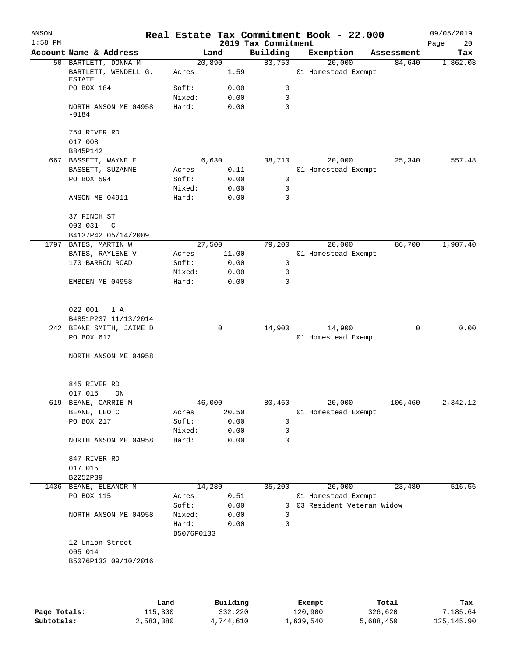| ANSON<br>$1:58$ PM |                                        |                     |               | 2019 Tax Commitment | Real Estate Tax Commitment Book - 22.000 |            | 09/05/2019<br>Page<br>20 |
|--------------------|----------------------------------------|---------------------|---------------|---------------------|------------------------------------------|------------|--------------------------|
|                    | Account Name & Address                 |                     | Land          | Building            | Exemption                                | Assessment | Tax                      |
|                    | 50 BARTLETT, DONNA M                   |                     | 20,890        | 83,750              | 20,000                                   | 84,640     | 1,862.08                 |
|                    | BARTLETT, WENDELL G.<br><b>ESTATE</b>  | Acres               | 1.59          |                     | 01 Homestead Exempt                      |            |                          |
|                    | PO BOX 184                             | Soft:<br>Mixed:     | 0.00<br>0.00  | 0<br>0              |                                          |            |                          |
|                    | NORTH ANSON ME 04958<br>$-0184$        | Hard:               | 0.00          | $\mathbf 0$         |                                          |            |                          |
|                    | 754 RIVER RD<br>017 008<br>B845P142    |                     |               |                     |                                          |            |                          |
|                    | 667 BASSETT, WAYNE E                   |                     | 6,630         | 38,710              | 20,000                                   | 25,340     | 557.48                   |
|                    | BASSETT, SUZANNE                       | Acres               | 0.11          |                     | 01 Homestead Exempt                      |            |                          |
|                    | PO BOX 594                             | Soft:               | 0.00          | 0                   |                                          |            |                          |
|                    |                                        | Mixed:              | 0.00          | 0                   |                                          |            |                          |
|                    | ANSON ME 04911                         | Hard:               | 0.00          | $\mathbf 0$         |                                          |            |                          |
|                    | 37 FINCH ST<br>003 031<br>$\mathsf{C}$ |                     |               |                     |                                          |            |                          |
| 1797               | B4137P42 05/14/2009                    |                     | 27,500        |                     | 20,000                                   | 86,700     | 1,907.40                 |
|                    | BATES, MARTIN W<br>BATES, RAYLENE V    |                     |               | 79,200              | 01 Homestead Exempt                      |            |                          |
|                    | 170 BARRON ROAD                        | Acres<br>Soft:      | 11.00<br>0.00 | 0                   |                                          |            |                          |
|                    |                                        |                     |               | 0                   |                                          |            |                          |
|                    | EMBDEN ME 04958                        | Mixed:<br>Hard:     | 0.00<br>0.00  | 0                   |                                          |            |                          |
|                    | 022 001<br>1 A                         |                     |               |                     |                                          |            |                          |
|                    | B4851P237 11/13/2014                   |                     |               |                     |                                          |            |                          |
|                    | 242 BEANE SMITH, JAIME D               |                     | 0             | 14,900              | 14,900                                   | 0          | 0.00                     |
|                    | PO BOX 612                             |                     |               |                     | 01 Homestead Exempt                      |            |                          |
|                    | NORTH ANSON ME 04958                   |                     |               |                     |                                          |            |                          |
|                    | 845 RIVER RD<br>017 015<br>ON          |                     |               |                     |                                          |            |                          |
| 619                | BEANE, CARRIE M                        |                     | 46,000        | 80,460              | 20,000                                   | 106,460    | 2,342.12                 |
|                    | BEANE, LEO C                           | Acres               | 20.50         |                     | 01 Homestead Exempt                      |            |                          |
|                    | PO BOX 217                             | Soft:               | 0.00          | 0                   |                                          |            |                          |
|                    |                                        | Mixed:              | 0.00          | 0                   |                                          |            |                          |
|                    | NORTH ANSON ME 04958                   | Hard:               | 0.00          | 0                   |                                          |            |                          |
|                    | 847 RIVER RD<br>017 015                |                     |               |                     |                                          |            |                          |
|                    | B2252P39                               |                     |               |                     |                                          |            |                          |
|                    | 1436 BEANE, ELEANOR M                  |                     | 14,280        | 35,200              | 26,000                                   | 23,480     | 516.56                   |
|                    | PO BOX 115                             | Acres               | 0.51          |                     | 01 Homestead Exempt                      |            |                          |
|                    |                                        | Soft:               | 0.00          | $\mathbf{0}$        | 03 Resident Veteran Widow                |            |                          |
|                    | NORTH ANSON ME 04958                   | Mixed:              | 0.00          | 0                   |                                          |            |                          |
|                    |                                        | Hard:<br>B5076P0133 | 0.00          | 0                   |                                          |            |                          |
|                    | 12 Union Street                        |                     |               |                     |                                          |            |                          |
|                    | 005 014                                |                     |               |                     |                                          |            |                          |
|                    | B5076P133 09/10/2016                   |                     |               |                     |                                          |            |                          |
|                    |                                        |                     |               |                     |                                          |            |                          |

|              | Land      | Building  | Exempt    | Total     | Tax         |
|--------------|-----------|-----------|-----------|-----------|-------------|
| Page Totals: | 115,300   | 332,220   | 120,900   | 326,620   | 7,185.64    |
| Subtotals:   | 2,583,380 | 4,744,610 | 1,639,540 | 5,688,450 | 125, 145.90 |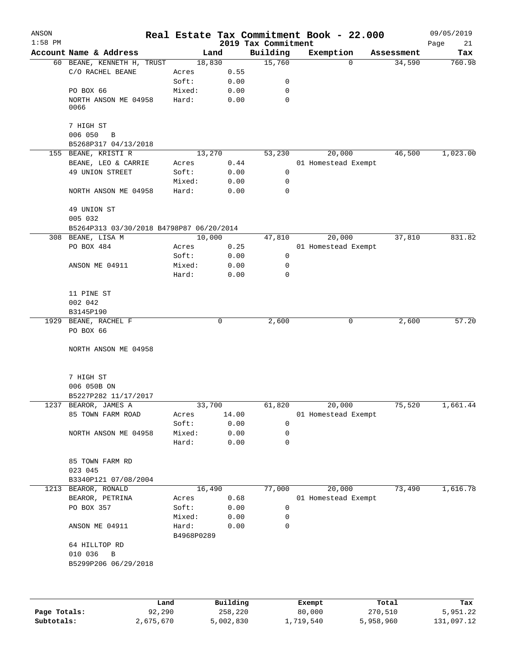| ANSON        |                                                   |            |                     |                                 | Real Estate Tax Commitment Book - 22.000 |                  | 09/05/2019        |
|--------------|---------------------------------------------------|------------|---------------------|---------------------------------|------------------------------------------|------------------|-------------------|
| $1:58$ PM    | Account Name & Address                            |            | Land                | 2019 Tax Commitment<br>Building | Exemption                                | Assessment       | Page<br>21<br>Tax |
|              | 60 BEANE, KENNETH H, TRUST                        | 18,830     |                     | 15,760                          | $\Omega$                                 | 34,590           | 760.98            |
|              | C/O RACHEL BEANE                                  | Acres      | 0.55                |                                 |                                          |                  |                   |
|              |                                                   | Soft:      | 0.00                | 0                               |                                          |                  |                   |
|              | PO BOX 66                                         | Mixed:     | 0.00                | $\mathbf 0$                     |                                          |                  |                   |
|              | NORTH ANSON ME 04958                              | Hard:      | 0.00                | $\mathbf 0$                     |                                          |                  |                   |
|              | 0066                                              |            |                     |                                 |                                          |                  |                   |
|              | 7 HIGH ST                                         |            |                     |                                 |                                          |                  |                   |
|              | 006 050<br>$\overline{B}$<br>B5268P317 04/13/2018 |            |                     |                                 |                                          |                  |                   |
|              | 155 BEANE, KRISTI R                               |            | 13,270              | 53,230                          | 20,000                                   | 46,500           | 1,023.00          |
|              | BEANE, LEO & CARRIE                               | Acres      | 0.44                |                                 | 01 Homestead Exempt                      |                  |                   |
|              | 49 UNION STREET                                   | Soft:      | 0.00                | 0                               |                                          |                  |                   |
|              |                                                   | Mixed:     | 0.00                | $\mathbf 0$                     |                                          |                  |                   |
|              | NORTH ANSON ME 04958                              | Hard:      | 0.00                | $\mathbf 0$                     |                                          |                  |                   |
|              | 49 UNION ST                                       |            |                     |                                 |                                          |                  |                   |
|              | 005 032                                           |            |                     |                                 |                                          |                  |                   |
|              | B5264P313 03/30/2018 B4798P87 06/20/2014          |            |                     |                                 |                                          |                  |                   |
|              | 308 BEANE, LISA M                                 |            | 10,000              | 47,810                          | 20,000                                   | 37,810           | 831.82            |
|              | PO BOX 484                                        | Acres      | 0.25                |                                 | 01 Homestead Exempt                      |                  |                   |
|              |                                                   | Soft:      | 0.00                | 0                               |                                          |                  |                   |
|              | ANSON ME 04911                                    | Mixed:     | 0.00                | 0                               |                                          |                  |                   |
|              |                                                   | Hard:      | 0.00                | $\mathbf 0$                     |                                          |                  |                   |
|              | 11 PINE ST                                        |            |                     |                                 |                                          |                  |                   |
|              | 002 042                                           |            |                     |                                 |                                          |                  |                   |
|              | B3145P190                                         |            |                     |                                 |                                          |                  |                   |
|              | 1929 BEANE, RACHEL F                              |            | 0                   | 2,600                           | 0                                        | 2,600            | 57.20             |
|              | PO BOX 66                                         |            |                     |                                 |                                          |                  |                   |
|              | NORTH ANSON ME 04958                              |            |                     |                                 |                                          |                  |                   |
|              |                                                   |            |                     |                                 |                                          |                  |                   |
|              | 7 HIGH ST                                         |            |                     |                                 |                                          |                  |                   |
|              | 006 050B ON                                       |            |                     |                                 |                                          |                  |                   |
|              | B5227P282 11/17/2017                              |            |                     |                                 |                                          |                  |                   |
|              | 1237 BEAROR, JAMES A                              | 33,700     |                     | 61,820                          | 20,000                                   | 75,520           | 1,661.44          |
|              | 85 TOWN FARM ROAD                                 | Acres      | 14.00               |                                 | 01 Homestead Exempt                      |                  |                   |
|              |                                                   | Soft:      | 0.00                | 0                               |                                          |                  |                   |
|              | NORTH ANSON ME 04958                              | Mixed:     | 0.00                | 0                               |                                          |                  |                   |
|              |                                                   | Hard:      | 0.00                | 0                               |                                          |                  |                   |
|              | 85 TOWN FARM RD                                   |            |                     |                                 |                                          |                  |                   |
|              | 023 045                                           |            |                     |                                 |                                          |                  |                   |
|              | B3340P121 07/08/2004                              |            |                     |                                 |                                          |                  |                   |
| 1213         | BEAROR, RONALD                                    | 16,490     |                     | 77,000                          | 20,000                                   | 73,490           | 1,616.78          |
|              | BEAROR, PETRINA                                   | Acres      | 0.68                |                                 | 01 Homestead Exempt                      |                  |                   |
|              | PO BOX 357                                        | Soft:      | 0.00                | 0                               |                                          |                  |                   |
|              |                                                   | Mixed:     | 0.00                | 0                               |                                          |                  |                   |
|              | ANSON ME 04911                                    | Hard:      | 0.00                | 0                               |                                          |                  |                   |
|              | 64 HILLTOP RD                                     | B4968P0289 |                     |                                 |                                          |                  |                   |
|              | 010 036<br>В                                      |            |                     |                                 |                                          |                  |                   |
|              | B5299P206 06/29/2018                              |            |                     |                                 |                                          |                  |                   |
|              |                                                   |            |                     |                                 |                                          |                  |                   |
|              |                                                   |            |                     |                                 |                                          |                  |                   |
| Page Totals: | 92,290                                            | Land       | Building<br>258,220 |                                 | Exempt<br>80,000                         | Total<br>270,510 | Tax<br>5,951.22   |
|              |                                                   |            |                     |                                 |                                          |                  |                   |

**Subtotals:** 2,675,670 5,002,830 1,719,540 5,958,960 131,097.12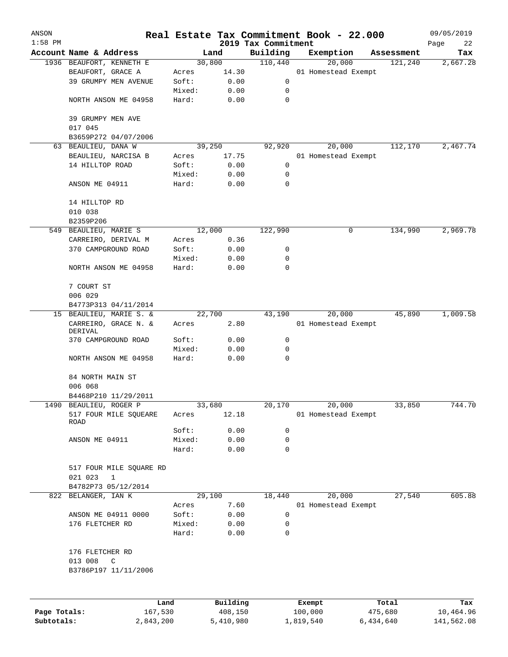| ANSON<br>$1:58$ PM |                               |        |          |                                 | Real Estate Tax Commitment Book - 22.000 |            | 09/05/2019        |
|--------------------|-------------------------------|--------|----------|---------------------------------|------------------------------------------|------------|-------------------|
|                    | Account Name & Address        |        | Land     | 2019 Tax Commitment<br>Building | Exemption                                | Assessment | Page<br>22<br>Tax |
|                    | 1936 BEAUFORT, KENNETH E      |        | 30,800   | 110,440                         | 20,000                                   | 121,240    | 2,667.28          |
|                    | BEAUFORT, GRACE A             | Acres  | 14.30    |                                 | 01 Homestead Exempt                      |            |                   |
|                    | 39 GRUMPY MEN AVENUE          | Soft:  | 0.00     | 0                               |                                          |            |                   |
|                    |                               | Mixed: | 0.00     | 0                               |                                          |            |                   |
|                    | NORTH ANSON ME 04958          | Hard:  | 0.00     | 0                               |                                          |            |                   |
|                    |                               |        |          |                                 |                                          |            |                   |
|                    | 39 GRUMPY MEN AVE             |        |          |                                 |                                          |            |                   |
|                    | 017 045                       |        |          |                                 |                                          |            |                   |
|                    | B3659P272 04/07/2006          |        |          |                                 |                                          |            |                   |
|                    | 63 BEAULIEU, DANA W           |        | 39,250   | 92,920                          | 20,000                                   | 112,170    | 2,467.74          |
|                    | BEAULIEU, NARCISA B           | Acres  | 17.75    |                                 | 01 Homestead Exempt                      |            |                   |
|                    | 14 HILLTOP ROAD               | Soft:  | 0.00     | 0                               |                                          |            |                   |
|                    |                               | Mixed: | 0.00     | 0                               |                                          |            |                   |
|                    | ANSON ME 04911                | Hard:  | 0.00     | $\mathbf 0$                     |                                          |            |                   |
|                    |                               |        |          |                                 |                                          |            |                   |
|                    | 14 HILLTOP RD                 |        |          |                                 |                                          |            |                   |
|                    | 010 038                       |        |          |                                 |                                          |            |                   |
|                    | B2359P206                     |        |          |                                 |                                          |            |                   |
|                    | 549 BEAULIEU, MARIE S         |        | 12,000   | 122,990                         | 0                                        | 134,990    | 2,969.78          |
|                    | CARREIRO, DERIVAL M           | Acres  | 0.36     |                                 |                                          |            |                   |
|                    | 370 CAMPGROUND ROAD           | Soft:  | 0.00     | 0                               |                                          |            |                   |
|                    |                               | Mixed: | 0.00     | 0                               |                                          |            |                   |
|                    | NORTH ANSON ME 04958          | Hard:  | 0.00     | $\mathbf 0$                     |                                          |            |                   |
|                    |                               |        |          |                                 |                                          |            |                   |
|                    | 7 COURT ST                    |        |          |                                 |                                          |            |                   |
|                    | 006 029                       |        |          |                                 |                                          |            |                   |
|                    | B4773P313 04/11/2014          |        |          |                                 |                                          |            |                   |
|                    | 15 BEAULIEU, MARIE S. &       |        | 22,700   | 43,190                          | 20,000                                   | 45,890     | 1,009.58          |
|                    | CARREIRO, GRACE N. &          | Acres  | 2.80     |                                 | 01 Homestead Exempt                      |            |                   |
|                    | DERIVAL                       |        |          |                                 |                                          |            |                   |
|                    | 370 CAMPGROUND ROAD           | Soft:  | 0.00     | 0                               |                                          |            |                   |
|                    |                               | Mixed: | 0.00     | 0                               |                                          |            |                   |
|                    | NORTH ANSON ME 04958          | Hard:  | 0.00     | $\mathbf 0$                     |                                          |            |                   |
|                    |                               |        |          |                                 |                                          |            |                   |
|                    | 84 NORTH MAIN ST              |        |          |                                 |                                          |            |                   |
|                    | 006 068                       |        |          |                                 |                                          |            |                   |
|                    | B4468P210 11/29/2011          |        |          |                                 |                                          |            |                   |
|                    | 1490 BEAULIEU, ROGER P        |        | 33,680   | 20,170                          | 20,000                                   | 33,850     | 744.70            |
|                    | 517 FOUR MILE SQUEARE<br>ROAD | Acres  | 12.18    |                                 | 01 Homestead Exempt                      |            |                   |
|                    |                               | Soft:  | 0.00     | 0                               |                                          |            |                   |
|                    | ANSON ME 04911                | Mixed: | 0.00     | 0                               |                                          |            |                   |
|                    |                               | Hard:  | 0.00     | 0                               |                                          |            |                   |
|                    |                               |        |          |                                 |                                          |            |                   |
|                    | 517 FOUR MILE SQUARE RD       |        |          |                                 |                                          |            |                   |
|                    | 021 023<br>$\mathbf{1}$       |        |          |                                 |                                          |            |                   |
|                    | B4782P73 05/12/2014           |        |          |                                 |                                          |            |                   |
|                    | 822 BELANGER, IAN K           |        | 29,100   | 18,440                          | 20,000                                   | 27,540     | 605.88            |
|                    |                               | Acres  | 7.60     |                                 | 01 Homestead Exempt                      |            |                   |
|                    | ANSON ME 04911 0000           | Soft:  | 0.00     | 0                               |                                          |            |                   |
|                    | 176 FLETCHER RD               | Mixed: | 0.00     | 0                               |                                          |            |                   |
|                    |                               | Hard:  | 0.00     | 0                               |                                          |            |                   |
|                    |                               |        |          |                                 |                                          |            |                   |
|                    | 176 FLETCHER RD               |        |          |                                 |                                          |            |                   |
|                    | 013 008<br>C                  |        |          |                                 |                                          |            |                   |
|                    | B3786P197 11/11/2006          |        |          |                                 |                                          |            |                   |
|                    |                               |        |          |                                 |                                          |            |                   |
|                    |                               |        |          |                                 |                                          |            |                   |
|                    |                               | Land   | Building |                                 | Exempt                                   | Total      | Tax               |
| Page Totals:       | 167,530                       |        | 408,150  |                                 | 100,000                                  | 475,680    | 10,464.96         |

**Subtotals:** 2,843,200 5,410,980 1,819,540 6,434,640 141,562.08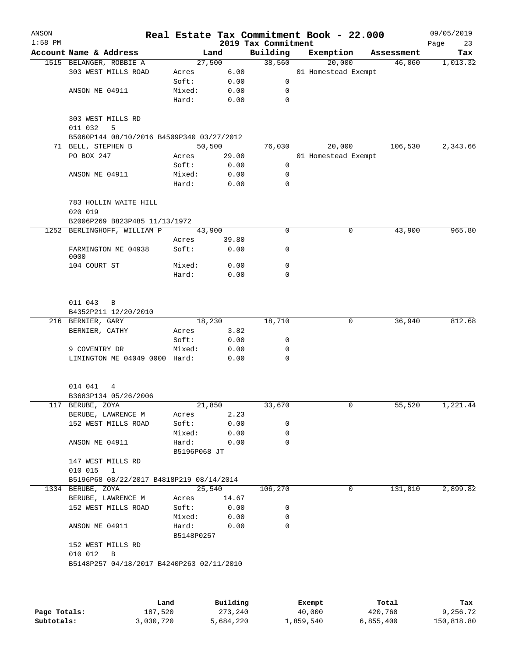| ANSON     |                                                           |                 |                |                                 | Real Estate Tax Commitment Book - 22.000 |              | 09/05/2019        |
|-----------|-----------------------------------------------------------|-----------------|----------------|---------------------------------|------------------------------------------|--------------|-------------------|
| $1:58$ PM | Account Name & Address                                    |                 | Land           | 2019 Tax Commitment<br>Building | Exemption                                | Assessment   | 23<br>Page<br>Tax |
|           | 1515 BELANGER, ROBBIE A                                   |                 | 27,500         | 38,560                          | 20,000                                   | 46,060       | 1,013.32          |
|           | 303 WEST MILLS ROAD                                       | Acres           | 6.00           |                                 | 01 Homestead Exempt                      |              |                   |
|           |                                                           | Soft:           | 0.00           | 0                               |                                          |              |                   |
|           | ANSON ME 04911                                            | Mixed:          | 0.00           | 0                               |                                          |              |                   |
|           |                                                           | Hard:           | 0.00           | 0                               |                                          |              |                   |
|           | 303 WEST MILLS RD<br>011 032<br>5                         |                 |                |                                 |                                          |              |                   |
|           | B5060P144 08/10/2016 B4509P340 03/27/2012                 |                 |                |                                 |                                          |              |                   |
|           | 71 BELL, STEPHEN B                                        |                 | 50, 500        | 76,030                          | 20,000                                   | 106,530      | 2,343.66          |
|           | PO BOX 247                                                | Acres           | 29.00          |                                 | 01 Homestead Exempt                      |              |                   |
|           |                                                           | Soft:           | 0.00           | 0                               |                                          |              |                   |
|           | ANSON ME 04911                                            | Mixed:<br>Hard: | 0.00<br>0.00   | 0<br>$\mathbf 0$                |                                          |              |                   |
|           | 783 HOLLIN WAITE HILL<br>020 019                          |                 |                |                                 |                                          |              |                   |
|           | B2006P269 B823P485 11/13/1972                             |                 |                |                                 |                                          |              |                   |
|           | 1252 BERLINGHOFF, WILLIAM P                               |                 | 43,900         | 0                               |                                          | 0<br>43,900  | 965.80            |
|           |                                                           | Acres           | 39.80          |                                 |                                          |              |                   |
|           | FARMINGTON ME 04938<br>0000                               | Soft:           | 0.00           | 0                               |                                          |              |                   |
|           | 104 COURT ST                                              | Mixed:          | 0.00           | 0                               |                                          |              |                   |
|           |                                                           | Hard:           | 0.00           | 0                               |                                          |              |                   |
|           | 011 043<br>B<br>B4352P211 12/20/2010                      |                 |                |                                 |                                          |              |                   |
|           | 216 BERNIER, GARY                                         |                 | 18,230         | 18,710                          |                                          | 36,940<br>0  | 812.68            |
|           | BERNIER, CATHY                                            | Acres           | 3.82           |                                 |                                          |              |                   |
|           | 9 COVENTRY DR                                             | Soft:<br>Mixed: | 0.00<br>0.00   | 0<br>0                          |                                          |              |                   |
|           | LIMINGTON ME 04049 0000 Hard:                             |                 | 0.00           | $\mathbf 0$                     |                                          |              |                   |
|           |                                                           |                 |                |                                 |                                          |              |                   |
|           | 014 041<br>4                                              |                 |                |                                 |                                          |              |                   |
| 117       | B3683P134 05/26/2006<br>BERUBE, ZOYA                      |                 |                |                                 |                                          | 0            | 1,221.44          |
|           | BERUBE, LAWRENCE M                                        | Acres           | 21,850<br>2.23 | 33,670                          |                                          | 55,520       |                   |
|           | 152 WEST MILLS ROAD                                       | Soft:           | 0.00           | 0                               |                                          |              |                   |
|           |                                                           | Mixed:          | 0.00           | 0                               |                                          |              |                   |
|           | ANSON ME 04911                                            | Hard:           | 0.00           | 0                               |                                          |              |                   |
|           | 147 WEST MILLS RD                                         | B5196P068 JT    |                |                                 |                                          |              |                   |
|           | 010 015<br>1                                              |                 |                |                                 |                                          |              |                   |
|           | B5196P68 08/22/2017 B4818P219 08/14/2014                  |                 |                |                                 |                                          | 131,810<br>0 |                   |
|           | 1334 BERUBE, ZOYA                                         |                 | 25,540         | 106,270                         |                                          |              | 2,899.82          |
|           | BERUBE, LAWRENCE M<br>152 WEST MILLS ROAD                 | Acres<br>Soft:  | 14.67<br>0.00  | 0                               |                                          |              |                   |
|           |                                                           | Mixed:          | 0.00           | 0                               |                                          |              |                   |
|           | ANSON ME 04911                                            | Hard:           | 0.00           | $\mathbf 0$                     |                                          |              |                   |
|           | 152 WEST MILLS RD                                         | B5148P0257      |                |                                 |                                          |              |                   |
|           | 010 012<br>B<br>B5148P257 04/18/2017 B4240P263 02/11/2010 |                 |                |                                 |                                          |              |                   |
|           |                                                           |                 |                |                                 |                                          |              |                   |
|           |                                                           | Land            | Building       |                                 | <b>Exempt</b>                            | Total        | Tax               |

|              | Land      | Building  | Exempt    | Total     | Tax        |
|--------------|-----------|-----------|-----------|-----------|------------|
| Page Totals: | 187,520   | 273,240   | 40,000    | 420,760   | 9,256.72   |
| Subtotals:   | 3,030,720 | 5,684,220 | 1,859,540 | 6,855,400 | 150,818.80 |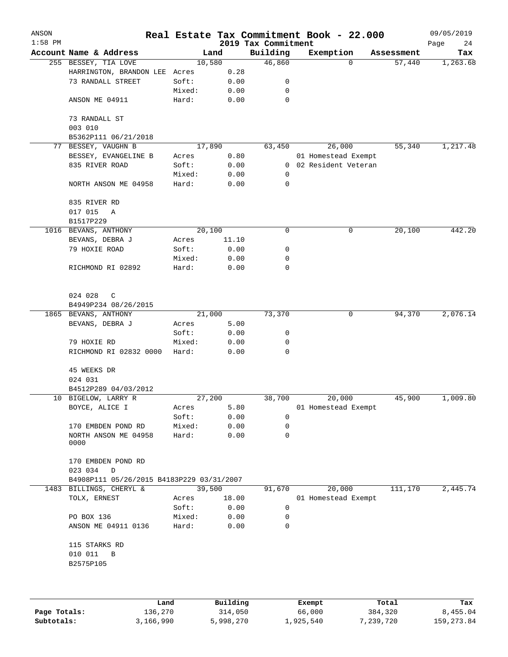| ANSON<br>$1:58$ PM |                                           |        |       | 2019 Tax Commitment | Real Estate Tax Commitment Book - 22.000 |            | 09/05/2019<br>Page<br>24 |
|--------------------|-------------------------------------------|--------|-------|---------------------|------------------------------------------|------------|--------------------------|
|                    | Account Name & Address                    | Land   |       | Building            | Exemption                                | Assessment | Tax                      |
|                    | 255 BESSEY, TIA LOVE                      | 10,580 |       | 46,860              | $\Omega$                                 | 57,440     | 1,263.68                 |
|                    | HARRINGTON, BRANDON LEE                   | Acres  | 0.28  |                     |                                          |            |                          |
|                    | 73 RANDALL STREET                         | Soft:  | 0.00  | 0                   |                                          |            |                          |
|                    |                                           | Mixed: | 0.00  | 0                   |                                          |            |                          |
|                    | ANSON ME 04911                            | Hard:  | 0.00  | $\mathbf 0$         |                                          |            |                          |
|                    | 73 RANDALL ST                             |        |       |                     |                                          |            |                          |
|                    | 003 010                                   |        |       |                     |                                          |            |                          |
|                    | B5362P111 06/21/2018                      |        |       |                     |                                          |            |                          |
|                    | 77 BESSEY, VAUGHN B                       | 17,890 |       | 63,450              | 26,000                                   | 55,340     | 1,217.48                 |
|                    | BESSEY, EVANGELINE B                      | Acres  | 0.80  |                     | 01 Homestead Exempt                      |            |                          |
|                    | 835 RIVER ROAD                            | Soft:  | 0.00  | $\mathbf{0}$        | 02 Resident Veteran                      |            |                          |
|                    |                                           | Mixed: | 0.00  | 0                   |                                          |            |                          |
|                    | NORTH ANSON ME 04958                      | Hard:  | 0.00  | $\mathbf 0$         |                                          |            |                          |
|                    | 835 RIVER RD                              |        |       |                     |                                          |            |                          |
|                    | 017 015<br>Α                              |        |       |                     |                                          |            |                          |
|                    | B1517P229                                 |        |       |                     |                                          |            |                          |
|                    | 1016 BEVANS, ANTHONY                      | 20,100 |       | 0                   | 0                                        | 20,100     | 442.20                   |
|                    | BEVANS, DEBRA J                           | Acres  | 11.10 |                     |                                          |            |                          |
|                    | 79 HOXIE ROAD                             | Soft:  | 0.00  | 0                   |                                          |            |                          |
|                    |                                           | Mixed: | 0.00  | 0                   |                                          |            |                          |
|                    | RICHMOND RI 02892                         | Hard:  | 0.00  | 0                   |                                          |            |                          |
|                    |                                           |        |       |                     |                                          |            |                          |
|                    | 024 028<br>C                              |        |       |                     |                                          |            |                          |
|                    | B4949P234 08/26/2015                      |        |       |                     |                                          |            |                          |
|                    | 1865 BEVANS, ANTHONY                      | 21,000 |       | 73,370              | 0                                        | 94,370     | 2,076.14                 |
|                    | BEVANS, DEBRA J                           | Acres  | 5.00  |                     |                                          |            |                          |
|                    |                                           | Soft:  | 0.00  | 0                   |                                          |            |                          |
|                    | 79 HOXIE RD                               | Mixed: | 0.00  | 0                   |                                          |            |                          |
|                    | RICHMOND RI 02832 0000                    | Hard:  | 0.00  | 0                   |                                          |            |                          |
|                    | 45 WEEKS DR                               |        |       |                     |                                          |            |                          |
|                    | 024 031                                   |        |       |                     |                                          |            |                          |
|                    | B4512P289 04/03/2012                      |        |       |                     |                                          |            |                          |
|                    | 10 BIGELOW, LARRY R                       | 27,200 |       | 38,700              | 20,000                                   | 45,900     | 1,009.80                 |
|                    | BOYCE, ALICE I                            | Acres  | 5.80  |                     | 01 Homestead Exempt                      |            |                          |
|                    |                                           | Soft:  | 0.00  | 0                   |                                          |            |                          |
|                    | 170 EMBDEN POND RD                        | Mixed: | 0.00  | 0                   |                                          |            |                          |
|                    | NORTH ANSON ME 04958<br>0000              | Hard:  | 0.00  | 0                   |                                          |            |                          |
|                    | 170 EMBDEN POND RD                        |        |       |                     |                                          |            |                          |
|                    | 023 034<br>$\mathbb D$                    |        |       |                     |                                          |            |                          |
|                    | B4908P111 05/26/2015 B4183P229 03/31/2007 |        |       |                     |                                          |            |                          |
|                    | 1483 BILLINGS, CHERYL &                   | 39,500 |       | 91,670              | 20,000                                   | 111,170    | 2,445.74                 |
|                    | TOLX, ERNEST                              | Acres  | 18.00 |                     | 01 Homestead Exempt                      |            |                          |
|                    |                                           | Soft:  | 0.00  | 0                   |                                          |            |                          |
|                    | PO BOX 136                                | Mixed: | 0.00  | 0                   |                                          |            |                          |
|                    | ANSON ME 04911 0136                       | Hard:  | 0.00  | 0                   |                                          |            |                          |
|                    | 115 STARKS RD                             |        |       |                     |                                          |            |                          |
|                    | 010 011<br>$\, {\bf B}$                   |        |       |                     |                                          |            |                          |
|                    | B2575P105                                 |        |       |                     |                                          |            |                          |
|                    |                                           |        |       |                     |                                          |            |                          |
|                    |                                           |        |       |                     |                                          |            |                          |
|                    |                                           |        |       |                     |                                          |            |                          |

|              | Land      | Building  | Exempt    | Total     | Tax        |
|--------------|-----------|-----------|-----------|-----------|------------|
| Page Totals: | 136,270   | 314,050   | 66,000    | 384,320   | 8,455.04   |
| Subtotals:   | 3,166,990 | 5,998,270 | 1,925,540 | 7,239,720 | 159,273.84 |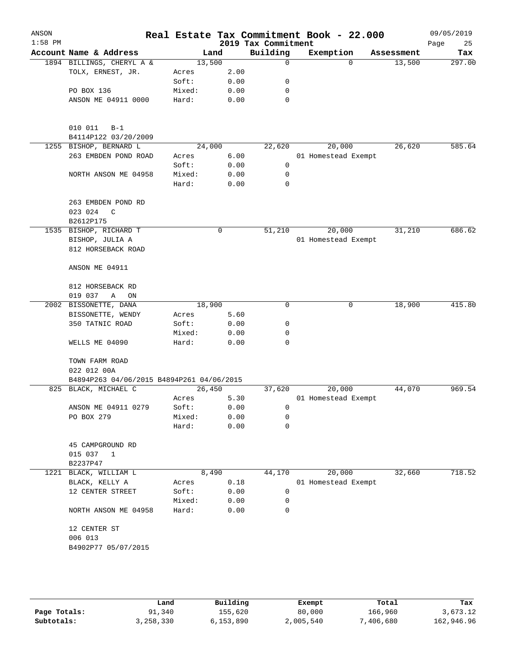| 2019 Tax Commitment<br>Account Name & Address<br>Building<br>Exemption<br>Land<br>Assessment<br>Tax<br>1894 BILLINGS, CHERYL A &<br>13,500<br>$\mathbf 0$<br>13,500<br>297.00<br>$\Omega$<br>2.00<br>TOLX, ERNEST, JR.<br>Acres<br>0.00<br>Soft:<br>0<br>PO BOX 136<br>Mixed:<br>0.00<br>0<br>ANSON ME 04911 0000<br>Hard:<br>0.00<br>0<br>010 011<br>$B-1$<br>B4114P122 03/20/2009<br>585.64<br>1255 BISHOP, BERNARD L<br>24,000<br>22,620<br>20,000<br>26,620<br>263 EMBDEN POND ROAD<br>6.00<br>01 Homestead Exempt<br>Acres<br>Soft:<br>0.00<br>0<br>Mixed:<br>0.00<br>0<br>NORTH ANSON ME 04958<br>Hard:<br>0.00<br>0<br>263 EMBDEN POND RD<br>023 024<br>C<br>B2612P175<br>1535 BISHOP, RICHARD T<br>31,210<br>0<br>51,210<br>20,000<br>BISHOP, JULIA A<br>01 Homestead Exempt<br>812 HORSEBACK ROAD<br>ANSON ME 04911<br>812 HORSEBACK RD<br>019 037<br>Α<br>ON<br>18,900<br>$\mathbf 0$<br>18,900<br>415.80<br>2002 BISSONETTE, DANA<br>0<br>BISSONETTE, WENDY<br>Acres<br>5.60<br>350 TATNIC ROAD<br>Soft:<br>0.00<br>0<br>Mixed:<br>0.00<br>0<br>$\mathbf 0$<br>WELLS ME 04090<br>Hard:<br>0.00<br>TOWN FARM ROAD<br>022 012 00A<br>B4894P263 04/06/2015 B4894P261 04/06/2015<br>825 BLACK, MICHAEL C<br>26,450<br>37,620<br>20,000<br>44,070<br>5.30<br>01 Homestead Exempt<br>Acres<br>ANSON ME 04911 0279<br>Soft:<br>0.00<br>0<br>PO BOX 279<br>Mixed:<br>0<br>0.00<br>Hard:<br>0.00<br>0<br>45 CAMPGROUND RD<br>015 037<br>1<br>B2237P47<br>8,490<br>20,000<br>1221 BLACK, WILLIAM L<br>44,170<br>32,660<br>718.52<br>BLACK, KELLY A<br>Acres<br>0.18<br>01 Homestead Exempt<br>12 CENTER STREET<br>Soft:<br>0.00<br>0<br>0<br>Mixed:<br>0.00<br>NORTH ANSON ME 04958<br>Hard:<br>0.00<br>0<br>12 CENTER ST<br>006 013<br>B4902P77 05/07/2015 | ANSON<br>$1:58$ PM |  |  | Real Estate Tax Commitment Book - 22.000 | 09/05/2019<br>Page<br>25 |
|--------------------------------------------------------------------------------------------------------------------------------------------------------------------------------------------------------------------------------------------------------------------------------------------------------------------------------------------------------------------------------------------------------------------------------------------------------------------------------------------------------------------------------------------------------------------------------------------------------------------------------------------------------------------------------------------------------------------------------------------------------------------------------------------------------------------------------------------------------------------------------------------------------------------------------------------------------------------------------------------------------------------------------------------------------------------------------------------------------------------------------------------------------------------------------------------------------------------------------------------------------------------------------------------------------------------------------------------------------------------------------------------------------------------------------------------------------------------------------------------------------------------------------------------------------------------------------------------------------------------------------------------------------------------------------------------------------------------------------------------------------------|--------------------|--|--|------------------------------------------|--------------------------|
|                                                                                                                                                                                                                                                                                                                                                                                                                                                                                                                                                                                                                                                                                                                                                                                                                                                                                                                                                                                                                                                                                                                                                                                                                                                                                                                                                                                                                                                                                                                                                                                                                                                                                                                                                              |                    |  |  |                                          |                          |
|                                                                                                                                                                                                                                                                                                                                                                                                                                                                                                                                                                                                                                                                                                                                                                                                                                                                                                                                                                                                                                                                                                                                                                                                                                                                                                                                                                                                                                                                                                                                                                                                                                                                                                                                                              |                    |  |  |                                          |                          |
|                                                                                                                                                                                                                                                                                                                                                                                                                                                                                                                                                                                                                                                                                                                                                                                                                                                                                                                                                                                                                                                                                                                                                                                                                                                                                                                                                                                                                                                                                                                                                                                                                                                                                                                                                              |                    |  |  |                                          |                          |
|                                                                                                                                                                                                                                                                                                                                                                                                                                                                                                                                                                                                                                                                                                                                                                                                                                                                                                                                                                                                                                                                                                                                                                                                                                                                                                                                                                                                                                                                                                                                                                                                                                                                                                                                                              |                    |  |  |                                          |                          |
|                                                                                                                                                                                                                                                                                                                                                                                                                                                                                                                                                                                                                                                                                                                                                                                                                                                                                                                                                                                                                                                                                                                                                                                                                                                                                                                                                                                                                                                                                                                                                                                                                                                                                                                                                              |                    |  |  |                                          |                          |
|                                                                                                                                                                                                                                                                                                                                                                                                                                                                                                                                                                                                                                                                                                                                                                                                                                                                                                                                                                                                                                                                                                                                                                                                                                                                                                                                                                                                                                                                                                                                                                                                                                                                                                                                                              |                    |  |  |                                          |                          |
|                                                                                                                                                                                                                                                                                                                                                                                                                                                                                                                                                                                                                                                                                                                                                                                                                                                                                                                                                                                                                                                                                                                                                                                                                                                                                                                                                                                                                                                                                                                                                                                                                                                                                                                                                              |                    |  |  |                                          |                          |
|                                                                                                                                                                                                                                                                                                                                                                                                                                                                                                                                                                                                                                                                                                                                                                                                                                                                                                                                                                                                                                                                                                                                                                                                                                                                                                                                                                                                                                                                                                                                                                                                                                                                                                                                                              |                    |  |  |                                          |                          |
|                                                                                                                                                                                                                                                                                                                                                                                                                                                                                                                                                                                                                                                                                                                                                                                                                                                                                                                                                                                                                                                                                                                                                                                                                                                                                                                                                                                                                                                                                                                                                                                                                                                                                                                                                              |                    |  |  |                                          |                          |
|                                                                                                                                                                                                                                                                                                                                                                                                                                                                                                                                                                                                                                                                                                                                                                                                                                                                                                                                                                                                                                                                                                                                                                                                                                                                                                                                                                                                                                                                                                                                                                                                                                                                                                                                                              |                    |  |  |                                          |                          |
|                                                                                                                                                                                                                                                                                                                                                                                                                                                                                                                                                                                                                                                                                                                                                                                                                                                                                                                                                                                                                                                                                                                                                                                                                                                                                                                                                                                                                                                                                                                                                                                                                                                                                                                                                              |                    |  |  |                                          |                          |
|                                                                                                                                                                                                                                                                                                                                                                                                                                                                                                                                                                                                                                                                                                                                                                                                                                                                                                                                                                                                                                                                                                                                                                                                                                                                                                                                                                                                                                                                                                                                                                                                                                                                                                                                                              |                    |  |  |                                          |                          |
|                                                                                                                                                                                                                                                                                                                                                                                                                                                                                                                                                                                                                                                                                                                                                                                                                                                                                                                                                                                                                                                                                                                                                                                                                                                                                                                                                                                                                                                                                                                                                                                                                                                                                                                                                              |                    |  |  |                                          |                          |
|                                                                                                                                                                                                                                                                                                                                                                                                                                                                                                                                                                                                                                                                                                                                                                                                                                                                                                                                                                                                                                                                                                                                                                                                                                                                                                                                                                                                                                                                                                                                                                                                                                                                                                                                                              |                    |  |  |                                          |                          |
|                                                                                                                                                                                                                                                                                                                                                                                                                                                                                                                                                                                                                                                                                                                                                                                                                                                                                                                                                                                                                                                                                                                                                                                                                                                                                                                                                                                                                                                                                                                                                                                                                                                                                                                                                              |                    |  |  |                                          |                          |
|                                                                                                                                                                                                                                                                                                                                                                                                                                                                                                                                                                                                                                                                                                                                                                                                                                                                                                                                                                                                                                                                                                                                                                                                                                                                                                                                                                                                                                                                                                                                                                                                                                                                                                                                                              |                    |  |  |                                          |                          |
|                                                                                                                                                                                                                                                                                                                                                                                                                                                                                                                                                                                                                                                                                                                                                                                                                                                                                                                                                                                                                                                                                                                                                                                                                                                                                                                                                                                                                                                                                                                                                                                                                                                                                                                                                              |                    |  |  |                                          |                          |
|                                                                                                                                                                                                                                                                                                                                                                                                                                                                                                                                                                                                                                                                                                                                                                                                                                                                                                                                                                                                                                                                                                                                                                                                                                                                                                                                                                                                                                                                                                                                                                                                                                                                                                                                                              |                    |  |  |                                          |                          |
|                                                                                                                                                                                                                                                                                                                                                                                                                                                                                                                                                                                                                                                                                                                                                                                                                                                                                                                                                                                                                                                                                                                                                                                                                                                                                                                                                                                                                                                                                                                                                                                                                                                                                                                                                              |                    |  |  |                                          | 686.62                   |
|                                                                                                                                                                                                                                                                                                                                                                                                                                                                                                                                                                                                                                                                                                                                                                                                                                                                                                                                                                                                                                                                                                                                                                                                                                                                                                                                                                                                                                                                                                                                                                                                                                                                                                                                                              |                    |  |  |                                          |                          |
|                                                                                                                                                                                                                                                                                                                                                                                                                                                                                                                                                                                                                                                                                                                                                                                                                                                                                                                                                                                                                                                                                                                                                                                                                                                                                                                                                                                                                                                                                                                                                                                                                                                                                                                                                              |                    |  |  |                                          |                          |
|                                                                                                                                                                                                                                                                                                                                                                                                                                                                                                                                                                                                                                                                                                                                                                                                                                                                                                                                                                                                                                                                                                                                                                                                                                                                                                                                                                                                                                                                                                                                                                                                                                                                                                                                                              |                    |  |  |                                          |                          |
|                                                                                                                                                                                                                                                                                                                                                                                                                                                                                                                                                                                                                                                                                                                                                                                                                                                                                                                                                                                                                                                                                                                                                                                                                                                                                                                                                                                                                                                                                                                                                                                                                                                                                                                                                              |                    |  |  |                                          |                          |
|                                                                                                                                                                                                                                                                                                                                                                                                                                                                                                                                                                                                                                                                                                                                                                                                                                                                                                                                                                                                                                                                                                                                                                                                                                                                                                                                                                                                                                                                                                                                                                                                                                                                                                                                                              |                    |  |  |                                          |                          |
|                                                                                                                                                                                                                                                                                                                                                                                                                                                                                                                                                                                                                                                                                                                                                                                                                                                                                                                                                                                                                                                                                                                                                                                                                                                                                                                                                                                                                                                                                                                                                                                                                                                                                                                                                              |                    |  |  |                                          |                          |
|                                                                                                                                                                                                                                                                                                                                                                                                                                                                                                                                                                                                                                                                                                                                                                                                                                                                                                                                                                                                                                                                                                                                                                                                                                                                                                                                                                                                                                                                                                                                                                                                                                                                                                                                                              |                    |  |  |                                          |                          |
|                                                                                                                                                                                                                                                                                                                                                                                                                                                                                                                                                                                                                                                                                                                                                                                                                                                                                                                                                                                                                                                                                                                                                                                                                                                                                                                                                                                                                                                                                                                                                                                                                                                                                                                                                              |                    |  |  |                                          |                          |
|                                                                                                                                                                                                                                                                                                                                                                                                                                                                                                                                                                                                                                                                                                                                                                                                                                                                                                                                                                                                                                                                                                                                                                                                                                                                                                                                                                                                                                                                                                                                                                                                                                                                                                                                                              |                    |  |  |                                          |                          |
|                                                                                                                                                                                                                                                                                                                                                                                                                                                                                                                                                                                                                                                                                                                                                                                                                                                                                                                                                                                                                                                                                                                                                                                                                                                                                                                                                                                                                                                                                                                                                                                                                                                                                                                                                              |                    |  |  |                                          |                          |
|                                                                                                                                                                                                                                                                                                                                                                                                                                                                                                                                                                                                                                                                                                                                                                                                                                                                                                                                                                                                                                                                                                                                                                                                                                                                                                                                                                                                                                                                                                                                                                                                                                                                                                                                                              |                    |  |  |                                          |                          |
|                                                                                                                                                                                                                                                                                                                                                                                                                                                                                                                                                                                                                                                                                                                                                                                                                                                                                                                                                                                                                                                                                                                                                                                                                                                                                                                                                                                                                                                                                                                                                                                                                                                                                                                                                              |                    |  |  |                                          |                          |
|                                                                                                                                                                                                                                                                                                                                                                                                                                                                                                                                                                                                                                                                                                                                                                                                                                                                                                                                                                                                                                                                                                                                                                                                                                                                                                                                                                                                                                                                                                                                                                                                                                                                                                                                                              |                    |  |  |                                          |                          |
|                                                                                                                                                                                                                                                                                                                                                                                                                                                                                                                                                                                                                                                                                                                                                                                                                                                                                                                                                                                                                                                                                                                                                                                                                                                                                                                                                                                                                                                                                                                                                                                                                                                                                                                                                              |                    |  |  |                                          |                          |
|                                                                                                                                                                                                                                                                                                                                                                                                                                                                                                                                                                                                                                                                                                                                                                                                                                                                                                                                                                                                                                                                                                                                                                                                                                                                                                                                                                                                                                                                                                                                                                                                                                                                                                                                                              |                    |  |  |                                          |                          |
|                                                                                                                                                                                                                                                                                                                                                                                                                                                                                                                                                                                                                                                                                                                                                                                                                                                                                                                                                                                                                                                                                                                                                                                                                                                                                                                                                                                                                                                                                                                                                                                                                                                                                                                                                              |                    |  |  |                                          | 969.54                   |
|                                                                                                                                                                                                                                                                                                                                                                                                                                                                                                                                                                                                                                                                                                                                                                                                                                                                                                                                                                                                                                                                                                                                                                                                                                                                                                                                                                                                                                                                                                                                                                                                                                                                                                                                                              |                    |  |  |                                          |                          |
|                                                                                                                                                                                                                                                                                                                                                                                                                                                                                                                                                                                                                                                                                                                                                                                                                                                                                                                                                                                                                                                                                                                                                                                                                                                                                                                                                                                                                                                                                                                                                                                                                                                                                                                                                              |                    |  |  |                                          |                          |
|                                                                                                                                                                                                                                                                                                                                                                                                                                                                                                                                                                                                                                                                                                                                                                                                                                                                                                                                                                                                                                                                                                                                                                                                                                                                                                                                                                                                                                                                                                                                                                                                                                                                                                                                                              |                    |  |  |                                          |                          |
|                                                                                                                                                                                                                                                                                                                                                                                                                                                                                                                                                                                                                                                                                                                                                                                                                                                                                                                                                                                                                                                                                                                                                                                                                                                                                                                                                                                                                                                                                                                                                                                                                                                                                                                                                              |                    |  |  |                                          |                          |
|                                                                                                                                                                                                                                                                                                                                                                                                                                                                                                                                                                                                                                                                                                                                                                                                                                                                                                                                                                                                                                                                                                                                                                                                                                                                                                                                                                                                                                                                                                                                                                                                                                                                                                                                                              |                    |  |  |                                          |                          |
|                                                                                                                                                                                                                                                                                                                                                                                                                                                                                                                                                                                                                                                                                                                                                                                                                                                                                                                                                                                                                                                                                                                                                                                                                                                                                                                                                                                                                                                                                                                                                                                                                                                                                                                                                              |                    |  |  |                                          |                          |
|                                                                                                                                                                                                                                                                                                                                                                                                                                                                                                                                                                                                                                                                                                                                                                                                                                                                                                                                                                                                                                                                                                                                                                                                                                                                                                                                                                                                                                                                                                                                                                                                                                                                                                                                                              |                    |  |  |                                          |                          |
|                                                                                                                                                                                                                                                                                                                                                                                                                                                                                                                                                                                                                                                                                                                                                                                                                                                                                                                                                                                                                                                                                                                                                                                                                                                                                                                                                                                                                                                                                                                                                                                                                                                                                                                                                              |                    |  |  |                                          |                          |
|                                                                                                                                                                                                                                                                                                                                                                                                                                                                                                                                                                                                                                                                                                                                                                                                                                                                                                                                                                                                                                                                                                                                                                                                                                                                                                                                                                                                                                                                                                                                                                                                                                                                                                                                                              |                    |  |  |                                          |                          |
|                                                                                                                                                                                                                                                                                                                                                                                                                                                                                                                                                                                                                                                                                                                                                                                                                                                                                                                                                                                                                                                                                                                                                                                                                                                                                                                                                                                                                                                                                                                                                                                                                                                                                                                                                              |                    |  |  |                                          |                          |
|                                                                                                                                                                                                                                                                                                                                                                                                                                                                                                                                                                                                                                                                                                                                                                                                                                                                                                                                                                                                                                                                                                                                                                                                                                                                                                                                                                                                                                                                                                                                                                                                                                                                                                                                                              |                    |  |  |                                          |                          |
|                                                                                                                                                                                                                                                                                                                                                                                                                                                                                                                                                                                                                                                                                                                                                                                                                                                                                                                                                                                                                                                                                                                                                                                                                                                                                                                                                                                                                                                                                                                                                                                                                                                                                                                                                              |                    |  |  |                                          |                          |
|                                                                                                                                                                                                                                                                                                                                                                                                                                                                                                                                                                                                                                                                                                                                                                                                                                                                                                                                                                                                                                                                                                                                                                                                                                                                                                                                                                                                                                                                                                                                                                                                                                                                                                                                                              |                    |  |  |                                          |                          |
|                                                                                                                                                                                                                                                                                                                                                                                                                                                                                                                                                                                                                                                                                                                                                                                                                                                                                                                                                                                                                                                                                                                                                                                                                                                                                                                                                                                                                                                                                                                                                                                                                                                                                                                                                              |                    |  |  |                                          |                          |
|                                                                                                                                                                                                                                                                                                                                                                                                                                                                                                                                                                                                                                                                                                                                                                                                                                                                                                                                                                                                                                                                                                                                                                                                                                                                                                                                                                                                                                                                                                                                                                                                                                                                                                                                                              |                    |  |  |                                          |                          |
|                                                                                                                                                                                                                                                                                                                                                                                                                                                                                                                                                                                                                                                                                                                                                                                                                                                                                                                                                                                                                                                                                                                                                                                                                                                                                                                                                                                                                                                                                                                                                                                                                                                                                                                                                              |                    |  |  |                                          |                          |
|                                                                                                                                                                                                                                                                                                                                                                                                                                                                                                                                                                                                                                                                                                                                                                                                                                                                                                                                                                                                                                                                                                                                                                                                                                                                                                                                                                                                                                                                                                                                                                                                                                                                                                                                                              |                    |  |  |                                          |                          |
|                                                                                                                                                                                                                                                                                                                                                                                                                                                                                                                                                                                                                                                                                                                                                                                                                                                                                                                                                                                                                                                                                                                                                                                                                                                                                                                                                                                                                                                                                                                                                                                                                                                                                                                                                              |                    |  |  |                                          |                          |

|              | Land      | Building  | Exempt    | Total    | Tax        |
|--------------|-----------|-----------|-----------|----------|------------|
| Page Totals: | 91,340    | 155,620   | 80,000    | 166,960  | 3,673.12   |
| Subtotals:   | 3,258,330 | 6,153,890 | 2,005,540 | 406,680, | 162,946.96 |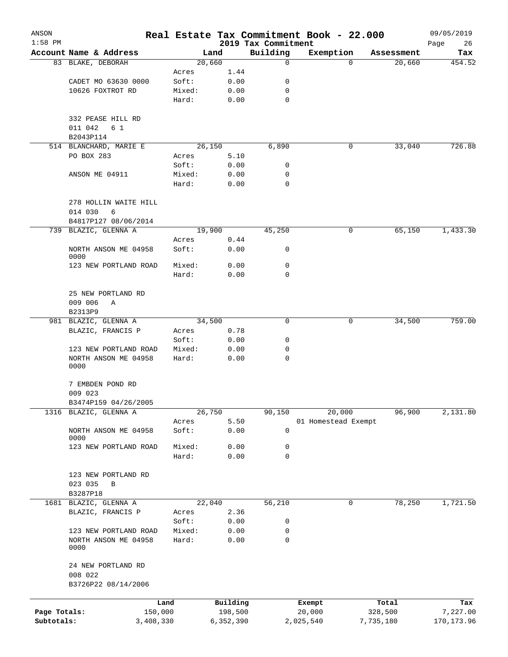| ANSON<br>$1:58$ PM |                               |         |           |                                 | Real Estate Tax Commitment Book - 22.000 |            | 09/05/2019        |
|--------------------|-------------------------------|---------|-----------|---------------------------------|------------------------------------------|------------|-------------------|
|                    | Account Name & Address        |         | Land      | 2019 Tax Commitment<br>Building | Exemption                                | Assessment | Page<br>26<br>Tax |
|                    | 83 BLAKE, DEBORAH             |         | 20,660    | 0                               | $\Omega$                                 | 20,660     | 454.52            |
|                    |                               | Acres   | 1.44      |                                 |                                          |            |                   |
|                    | CADET MO 63630 0000           | Soft:   | 0.00      | 0                               |                                          |            |                   |
|                    | 10626 FOXTROT RD              | Mixed:  | 0.00      | $\mathbf 0$                     |                                          |            |                   |
|                    |                               | Hard:   | 0.00      | $\mathbf 0$                     |                                          |            |                   |
|                    | 332 PEASE HILL RD             |         |           |                                 |                                          |            |                   |
|                    | 011 042<br>6 1                |         |           |                                 |                                          |            |                   |
|                    | B2043P114                     |         |           |                                 |                                          |            |                   |
|                    | 514 BLANCHARD, MARIE E        |         | 26,150    | 6,890                           | 0                                        | 33,040     | 726.88            |
|                    | PO BOX 283                    | Acres   | 5.10      |                                 |                                          |            |                   |
|                    |                               | Soft:   | 0.00      | 0                               |                                          |            |                   |
|                    | ANSON ME 04911                | Mixed:  | 0.00      | 0                               |                                          |            |                   |
|                    |                               | Hard:   | 0.00      | $\Omega$                        |                                          |            |                   |
|                    | 278 HOLLIN WAITE HILL         |         |           |                                 |                                          |            |                   |
|                    | 014 030<br>6                  |         |           |                                 |                                          |            |                   |
|                    | B4817P127 08/06/2014          |         |           |                                 |                                          |            |                   |
|                    | 739 BLAZIC, GLENNA A          |         | 19,900    | 45,250                          | 0                                        | 65,150     | 1,433.30          |
|                    |                               | Acres   | 0.44      |                                 |                                          |            |                   |
|                    | NORTH ANSON ME 04958<br>0000  | Soft:   | 0.00      | 0                               |                                          |            |                   |
|                    | 123 NEW PORTLAND ROAD         | Mixed:  | 0.00      | 0                               |                                          |            |                   |
|                    |                               | Hard:   | 0.00      | 0                               |                                          |            |                   |
|                    | 25 NEW PORTLAND RD            |         |           |                                 |                                          |            |                   |
|                    | 009 006<br>Α                  |         |           |                                 |                                          |            |                   |
|                    | B2313P9                       |         |           |                                 |                                          |            |                   |
|                    | 981 BLAZIC, GLENNA A          |         | 34,500    | 0                               | 0                                        | 34,500     | 759.00            |
|                    | BLAZIC, FRANCIS P             | Acres   | 0.78      |                                 |                                          |            |                   |
|                    |                               | Soft:   | 0.00      | 0                               |                                          |            |                   |
|                    | 123 NEW PORTLAND ROAD         | Mixed:  | 0.00      | 0                               |                                          |            |                   |
|                    | NORTH ANSON ME 04958<br>0000  | Hard:   | 0.00      | 0                               |                                          |            |                   |
|                    | 7 EMBDEN POND RD              |         |           |                                 |                                          |            |                   |
|                    | 009 023                       |         |           |                                 |                                          |            |                   |
|                    | B3474P159 04/26/2005          |         |           |                                 |                                          |            |                   |
| 1316               | BLAZIC, GLENNA A              |         | 26,750    | 90,150                          | 20,000                                   | 96,900     | 2,131.80          |
|                    |                               | Acres   | 5.50      |                                 | 01 Homestead Exempt                      |            |                   |
|                    | NORTH ANSON ME 04958<br>0000  | Soft:   | 0.00      | $\mathbf 0$                     |                                          |            |                   |
|                    | 123 NEW PORTLAND ROAD         | Mixed:  | 0.00      | 0                               |                                          |            |                   |
|                    |                               | Hard:   | 0.00      | $\mathbf 0$                     |                                          |            |                   |
|                    | 123 NEW PORTLAND RD           |         |           |                                 |                                          |            |                   |
|                    | 023 035<br>В                  |         |           |                                 |                                          |            |                   |
|                    | B3287P18                      |         |           |                                 |                                          |            |                   |
|                    | 1681 BLAZIC, GLENNA A         |         | 22,040    | 56,210                          | 0                                        | 78,250     | 1,721.50          |
|                    | BLAZIC, FRANCIS P             | Acres   | 2.36      |                                 |                                          |            |                   |
|                    |                               | Soft:   | 0.00      | 0                               |                                          |            |                   |
|                    | 123 NEW PORTLAND ROAD         | Mixed:  | 0.00      | 0                               |                                          |            |                   |
|                    | NORTH ANSON ME 04958<br>0000  | Hard:   | 0.00      | $\mathbf 0$                     |                                          |            |                   |
|                    | 24 NEW PORTLAND RD<br>008 022 |         |           |                                 |                                          |            |                   |
|                    | B3726P22 08/14/2006           |         |           |                                 |                                          |            |                   |
|                    |                               | Land    | Building  |                                 | Exempt                                   | Total      | Tax               |
| Page Totals:       |                               | 150,000 | 198,500   |                                 | 20,000                                   | 328,500    | 7,227.00          |
| Subtotals:         | 3,408,330                     |         | 6,352,390 |                                 | 2,025,540                                | 7,735,180  | 170, 173.96       |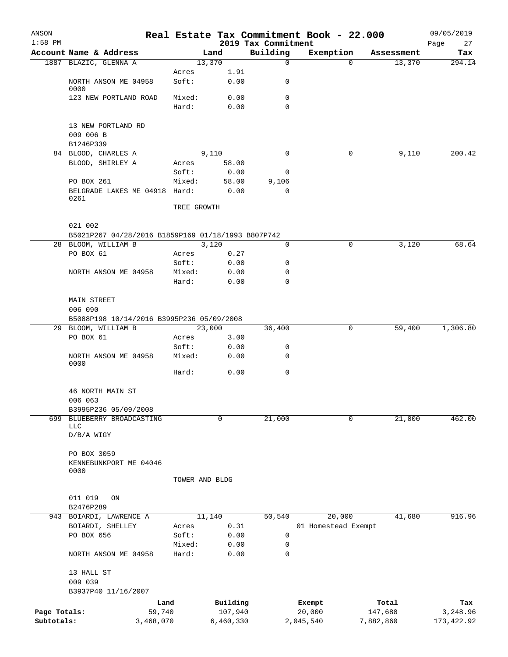| ANSON<br>$1:58$ PM |                                                               |                |           | 2019 Tax Commitment | Real Estate Tax Commitment Book - 22.000 |            | 09/05/2019<br>27<br>Page |
|--------------------|---------------------------------------------------------------|----------------|-----------|---------------------|------------------------------------------|------------|--------------------------|
|                    | Account Name & Address                                        |                | Land      | Building            | Exemption                                | Assessment | Tax                      |
|                    | 1887 BLAZIC, GLENNA A                                         |                | 13,370    | $\mathsf{O}$        | $\Omega$                                 | 13,370     | 294.14                   |
|                    |                                                               | Acres          | 1.91      |                     |                                          |            |                          |
|                    | NORTH ANSON ME 04958<br>0000                                  | Soft:          | 0.00      | 0                   |                                          |            |                          |
|                    | 123 NEW PORTLAND ROAD                                         | Mixed:         | 0.00      | $\mathbf 0$         |                                          |            |                          |
|                    |                                                               | Hard:          | 0.00      | $\Omega$            |                                          |            |                          |
|                    | 13 NEW PORTLAND RD                                            |                |           |                     |                                          |            |                          |
|                    | 009 006 B<br>B1246P339                                        |                |           |                     |                                          |            |                          |
|                    | 84 BLOOD, CHARLES A                                           |                | 9,110     | $\Omega$            | 0                                        | 9,110      | 200.42                   |
|                    | BLOOD, SHIRLEY A                                              | Acres          | 58.00     |                     |                                          |            |                          |
|                    |                                                               | Soft:          | 0.00      | 0                   |                                          |            |                          |
|                    | PO BOX 261                                                    | Mixed:         | 58.00     | 9,106               |                                          |            |                          |
|                    | BELGRADE LAKES ME 04918 Hard:                                 |                | 0.00      | 0                   |                                          |            |                          |
|                    | 0261                                                          | TREE GROWTH    |           |                     |                                          |            |                          |
|                    |                                                               |                |           |                     |                                          |            |                          |
|                    | 021 002<br>B5021P267 04/28/2016 B1859P169 01/18/1993 B807P742 |                |           |                     |                                          |            |                          |
|                    | 28 BLOOM, WILLIAM B                                           |                | 3,120     | 0                   | 0                                        | 3,120      | 68.64                    |
|                    | PO BOX 61                                                     | Acres          | 0.27      |                     |                                          |            |                          |
|                    |                                                               | Soft:          | 0.00      | 0                   |                                          |            |                          |
|                    | NORTH ANSON ME 04958                                          | Mixed:         | 0.00      | 0                   |                                          |            |                          |
|                    |                                                               | Hard:          | 0.00      | $\mathbf 0$         |                                          |            |                          |
|                    | MAIN STREET                                                   |                |           |                     |                                          |            |                          |
|                    | 006 090                                                       |                |           |                     |                                          |            |                          |
|                    | B5088P198 10/14/2016 B3995P236 05/09/2008                     |                |           |                     |                                          |            |                          |
|                    | 29 BLOOM, WILLIAM B                                           |                | 23,000    | 36,400              | 0                                        | 59,400     | 1,306.80                 |
|                    | PO BOX 61                                                     | Acres          | 3.00      |                     |                                          |            |                          |
|                    |                                                               | Soft:          | 0.00      | 0                   |                                          |            |                          |
|                    | NORTH ANSON ME 04958<br>0000                                  | Mixed:         | 0.00      | 0                   |                                          |            |                          |
|                    |                                                               | Hard:          | 0.00      | $\mathbf 0$         |                                          |            |                          |
|                    | 46 NORTH MAIN ST                                              |                |           |                     |                                          |            |                          |
|                    | 006 063                                                       |                |           |                     |                                          |            |                          |
|                    | B3995P236 05/09/2008                                          |                |           |                     |                                          |            |                          |
| 699                | BLUEBERRY BROADCASTING<br><b>LLC</b>                          |                | 0         | 21,000              | 0                                        | 21,000     | 462.00                   |
|                    | $D/B/A$ WIGY                                                  |                |           |                     |                                          |            |                          |
|                    | PO BOX 3059                                                   |                |           |                     |                                          |            |                          |
|                    | KENNEBUNKPORT ME 04046                                        |                |           |                     |                                          |            |                          |
|                    | 0000                                                          | TOWER AND BLDG |           |                     |                                          |            |                          |
|                    |                                                               |                |           |                     |                                          |            |                          |
|                    | 011 019<br>ON<br>B2476P289                                    |                |           |                     |                                          |            |                          |
|                    | 943 BOIARDI, LAWRENCE A                                       |                | 11,140    | 50,540              | 20,000                                   | 41,680     | 916.96                   |
|                    | BOIARDI, SHELLEY                                              | Acres          | 0.31      |                     | 01 Homestead Exempt                      |            |                          |
|                    | PO BOX 656                                                    | Soft:          | 0.00      | 0                   |                                          |            |                          |
|                    |                                                               | Mixed:         | 0.00      | 0                   |                                          |            |                          |
|                    | NORTH ANSON ME 04958                                          | Hard:          | 0.00      | 0                   |                                          |            |                          |
|                    | 13 HALL ST                                                    |                |           |                     |                                          |            |                          |
|                    | 009 039                                                       |                |           |                     |                                          |            |                          |
|                    | B3937P40 11/16/2007                                           |                |           |                     |                                          |            |                          |
|                    | Land                                                          |                | Building  |                     | Exempt                                   | Total      | Tax                      |
| Page Totals:       | 59,740                                                        |                | 107,940   |                     | 20,000                                   | 147,680    | 3,248.96                 |
| Subtotals:         | 3,468,070                                                     |                | 6,460,330 |                     | 2,045,540                                | 7,882,860  | 173, 422.92              |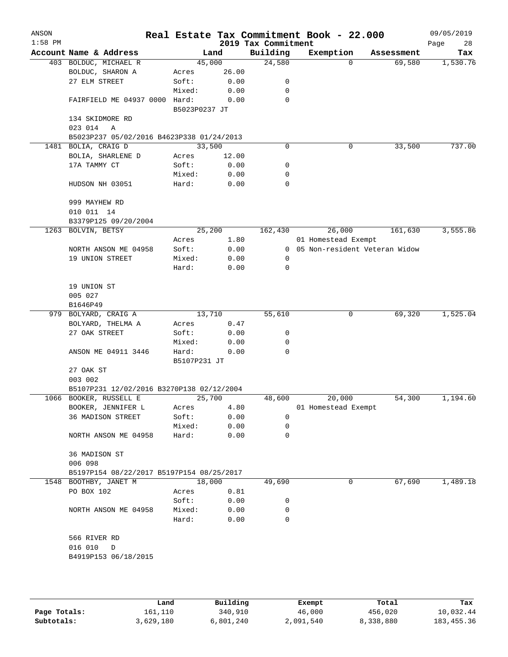| ANSON<br>$1:58$ PM |                                           |                        |              | 2019 Tax Commitment | Real Estate Tax Commitment Book - 22.000 |            | 09/05/2019<br>Page<br>28 |
|--------------------|-------------------------------------------|------------------------|--------------|---------------------|------------------------------------------|------------|--------------------------|
|                    | Account Name & Address                    |                        | Land         | Building            | Exemption                                | Assessment | Tax                      |
|                    | 403 BOLDUC, MICHAEL R                     | 45,000                 |              | 24,580              | $\Omega$                                 | 69,580     | 1,530.76                 |
|                    | BOLDUC, SHARON A                          | Acres                  | 26.00        |                     |                                          |            |                          |
|                    | 27 ELM STREET                             | Soft:                  | 0.00         | 0                   |                                          |            |                          |
|                    |                                           | Mixed:                 | 0.00         | 0                   |                                          |            |                          |
|                    | FAIRFIELD ME 04937 0000                   | Hard:<br>B5023P0237 JT | 0.00         | 0                   |                                          |            |                          |
|                    | 134 SKIDMORE RD                           |                        |              |                     |                                          |            |                          |
|                    | 023 014<br>Α                              |                        |              |                     |                                          |            |                          |
|                    | B5023P237 05/02/2016 B4623P338 01/24/2013 |                        |              |                     |                                          |            |                          |
|                    | 1481 BOLIA, CRAIG D                       | 33,500                 |              | 0                   | 0                                        | 33,500     | 737.00                   |
|                    | BOLIA, SHARLENE D                         | Acres                  | 12.00        |                     |                                          |            |                          |
|                    | 17A TAMMY CT                              | Soft:                  | 0.00         | 0                   |                                          |            |                          |
|                    |                                           | Mixed:                 | 0.00         | 0<br>0              |                                          |            |                          |
|                    | HUDSON NH 03051                           | Hard:                  | 0.00         |                     |                                          |            |                          |
|                    | 999 MAYHEW RD                             |                        |              |                     |                                          |            |                          |
|                    | 010 011 14                                |                        |              |                     |                                          |            |                          |
|                    | B3379P125 09/20/2004                      |                        |              |                     |                                          |            |                          |
|                    | 1263 BOLVIN, BETSY                        | 25, 200                |              | 162,430             | 26,000                                   | 161,630    | 3,555.86                 |
|                    |                                           | Acres                  | 1.80         |                     | 01 Homestead Exempt                      |            |                          |
|                    | NORTH ANSON ME 04958                      | Soft:                  | 0.00         |                     | 0 05 Non-resident Veteran Widow          |            |                          |
|                    | 19 UNION STREET                           | Mixed:                 | 0.00         | 0                   |                                          |            |                          |
|                    |                                           | Hard:                  | 0.00         | $\mathbf 0$         |                                          |            |                          |
|                    |                                           |                        |              |                     |                                          |            |                          |
|                    | 19 UNION ST                               |                        |              |                     |                                          |            |                          |
|                    | 005 027                                   |                        |              |                     |                                          |            |                          |
|                    | B1646P49                                  | 13,710                 |              | 55,610              | 0                                        | 69,320     | 1,525.04                 |
|                    | 979 BOLYARD, CRAIG A<br>BOLYARD, THELMA A | Acres                  | 0.47         |                     |                                          |            |                          |
|                    | 27 OAK STREET                             | Soft:                  | 0.00         | 0                   |                                          |            |                          |
|                    |                                           | Mixed:                 | 0.00         | 0                   |                                          |            |                          |
|                    | ANSON ME 04911 3446                       | Hard:                  | 0.00         | $\Omega$            |                                          |            |                          |
|                    |                                           | B5107P231 JT           |              |                     |                                          |            |                          |
|                    | 27 OAK ST                                 |                        |              |                     |                                          |            |                          |
|                    | 003 002                                   |                        |              |                     |                                          |            |                          |
|                    | B5107P231 12/02/2016 B3270P138 02/12/2004 |                        |              |                     |                                          |            |                          |
|                    | 1066 BOOKER, RUSSELL E                    | 25,700                 |              | 48,600              | 20,000                                   | 54,300     | 1,194.60                 |
|                    | BOOKER, JENNIFER L                        | Acres                  | 4.80         |                     | 01 Homestead Exempt                      |            |                          |
|                    | 36 MADISON STREET                         | Soft:                  | 0.00         | $\mathbf 0$         |                                          |            |                          |
|                    | NORTH ANSON ME 04958                      | Mixed:<br>Hard:        | 0.00<br>0.00 | $\mathbf 0$<br>0    |                                          |            |                          |
|                    |                                           |                        |              |                     |                                          |            |                          |
|                    | 36 MADISON ST                             |                        |              |                     |                                          |            |                          |
|                    | 006 098                                   |                        |              |                     |                                          |            |                          |
|                    | B5197P154 08/22/2017 B5197P154 08/25/2017 |                        |              |                     |                                          |            |                          |
|                    | 1548 BOOTHBY, JANET M                     | 18,000                 |              | 49,690              | 0                                        | 67,690     | 1,489.18                 |
|                    | PO BOX 102                                | Acres                  | 0.81         |                     |                                          |            |                          |
|                    |                                           | Soft:                  | 0.00         | 0                   |                                          |            |                          |
|                    | NORTH ANSON ME 04958                      | Mixed:                 | 0.00         | 0                   |                                          |            |                          |
|                    |                                           | Hard:                  | 0.00         | 0                   |                                          |            |                          |
|                    |                                           |                        |              |                     |                                          |            |                          |
|                    | 566 RIVER RD                              |                        |              |                     |                                          |            |                          |
|                    | 016 010 D                                 |                        |              |                     |                                          |            |                          |
|                    | B4919P153 06/18/2015                      |                        |              |                     |                                          |            |                          |
|                    |                                           |                        |              |                     |                                          |            |                          |
|                    |                                           |                        |              |                     |                                          |            |                          |
|                    |                                           |                        |              |                     |                                          |            |                          |

|              | Land      | Building  | Exempt    | Total     | Tax         |
|--------------|-----------|-----------|-----------|-----------|-------------|
| Page Totals: | 161,110   | 340,910   | 46,000    | 456,020   | 10,032.44   |
| Subtotals:   | 3,629,180 | 6,801,240 | 2,091,540 | 8,338,880 | 183, 455.36 |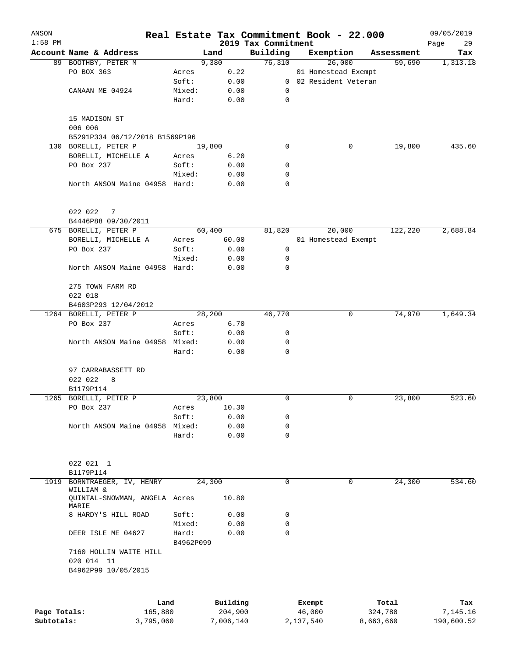| ANSON<br>$1:58$ PM |                                        |                    |              | 2019 Tax Commitment | Real Estate Tax Commitment Book - 22.000 |            | 09/05/2019<br>29<br>Page |
|--------------------|----------------------------------------|--------------------|--------------|---------------------|------------------------------------------|------------|--------------------------|
|                    | Account Name & Address                 |                    | Land         | Building            | Exemption                                | Assessment | Tax                      |
|                    | 89 BOOTHBY, PETER M                    |                    | 9,380        | 76,310              | 26,000                                   | 59,690     | 1,313.18                 |
|                    | PO BOX 363                             | Acres              | 0.22         |                     | 01 Homestead Exempt                      |            |                          |
|                    |                                        | Soft:              | 0.00         |                     | 0 02 Resident Veteran                    |            |                          |
|                    | CANAAN ME 04924                        | Mixed:             | 0.00         | 0                   |                                          |            |                          |
|                    |                                        | Hard:              | 0.00         | 0                   |                                          |            |                          |
|                    | 15 MADISON ST<br>006 006               |                    |              |                     |                                          |            |                          |
|                    | B5291P334 06/12/2018 B1569P196         |                    |              |                     |                                          |            |                          |
|                    | 130 BORELLI, PETER P                   |                    | 19,800       | $\mathbf 0$         | 0                                        | 19,800     | 435.60                   |
|                    | BORELLI, MICHELLE A                    | Acres              | 6.20         |                     |                                          |            |                          |
|                    | PO Box 237                             | Soft:              | 0.00         | 0                   |                                          |            |                          |
|                    |                                        | Mixed:             | 0.00         | 0                   |                                          |            |                          |
|                    | North ANSON Maine 04958 Hard:          |                    | 0.00         | $\mathbf 0$         |                                          |            |                          |
|                    | 022 022 7                              |                    |              |                     |                                          |            |                          |
|                    | B4446P88 09/30/2011                    |                    |              |                     |                                          |            |                          |
|                    | 675 BORELLI, PETER P                   |                    | 60,400       | 81,820              | 20,000                                   | 122,220    | 2,688.84                 |
|                    | BORELLI, MICHELLE A                    | Acres              | 60.00        |                     | 01 Homestead Exempt                      |            |                          |
|                    | PO Box 237                             | Soft:              | 0.00         | 0                   |                                          |            |                          |
|                    |                                        | Mixed:             | 0.00         | 0                   |                                          |            |                          |
|                    | North ANSON Maine 04958 Hard:          |                    | 0.00         | 0                   |                                          |            |                          |
|                    | 275 TOWN FARM RD                       |                    |              |                     |                                          |            |                          |
|                    | 022 018                                |                    |              |                     |                                          |            |                          |
|                    | B4603P293 12/04/2012                   |                    |              |                     |                                          |            |                          |
|                    | 1264 BORELLI, PETER P                  |                    | 28,200       | 46,770              | 0                                        | 74,970     | 1,649.34                 |
|                    | PO Box 237                             | Acres              | 6.70         |                     |                                          |            |                          |
|                    |                                        | Soft:              | 0.00         | 0                   |                                          |            |                          |
|                    | North ANSON Maine 04958 Mixed:         | Hard:              | 0.00<br>0.00 | 0<br>$\mathbf 0$    |                                          |            |                          |
|                    | 97 CARRABASSETT RD                     |                    |              |                     |                                          |            |                          |
|                    | 022 022<br>8<br>B1179P114              |                    |              |                     |                                          |            |                          |
|                    | 1265 BORELLI, PETER P                  |                    | 23,800       | $\mathbf 0$         | 0                                        | 23,800     | 523.60                   |
|                    | PO Box 237                             | Acres              | 10.30        |                     |                                          |            |                          |
|                    |                                        | Soft:              | 0.00         | 0                   |                                          |            |                          |
|                    | North ANSON Maine 04958                | Mixed:             | 0.00         | $\mathbf 0$         |                                          |            |                          |
|                    |                                        | Hard:              | 0.00         | $\mathbf 0$         |                                          |            |                          |
|                    | 022 021 1                              |                    |              |                     |                                          |            |                          |
|                    | B1179P114                              |                    |              |                     |                                          |            |                          |
| 1919               | BORNTRAEGER, IV, HENRY<br>WILLIAM &    |                    | 24,300       | $\mathbf 0$         | 0                                        | 24,300     | 534.60                   |
|                    | QUINTAL-SNOWMAN, ANGELA Acres<br>MARIE |                    | 10.80        |                     |                                          |            |                          |
|                    | 8 HARDY'S HILL ROAD                    | Soft:              | 0.00         | 0                   |                                          |            |                          |
|                    |                                        | Mixed:             | 0.00         | 0                   |                                          |            |                          |
|                    | DEER ISLE ME 04627                     | Hard:<br>B4962P099 | 0.00         | $\mathbf 0$         |                                          |            |                          |
|                    | 7160 HOLLIN WAITE HILL<br>020 014 11   |                    |              |                     |                                          |            |                          |
|                    | B4962P99 10/05/2015                    |                    |              |                     |                                          |            |                          |
|                    |                                        |                    |              |                     |                                          |            |                          |
|                    | Land                                   |                    | Building     |                     | Exempt                                   | Total      | Tax                      |
| Page Totals:       | 165,880                                |                    | 204,900      |                     | 46,000                                   | 324,780    | 7,145.16                 |

**Subtotals:** 3,795,060 7,006,140 2,137,540 8,663,660 190,600.52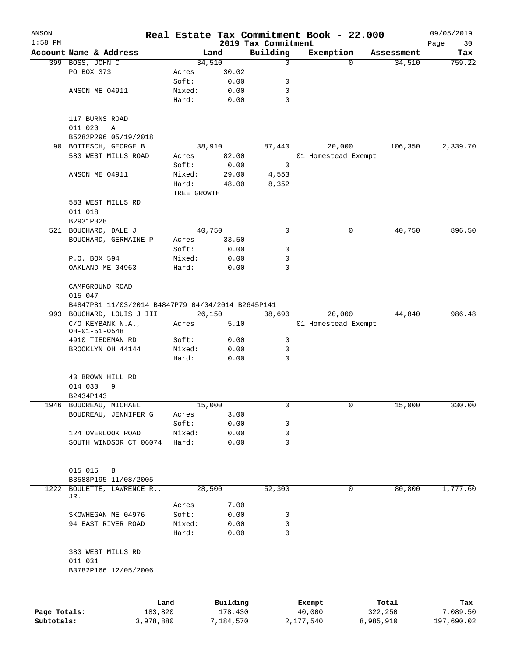| ANSON        |                                                              |                |          |                                 | Real Estate Tax Commitment Book - 22.000 |            | 09/05/2019        |
|--------------|--------------------------------------------------------------|----------------|----------|---------------------------------|------------------------------------------|------------|-------------------|
| $1:58$ PM    | Account Name & Address                                       |                | Land     | 2019 Tax Commitment<br>Building | Exemption                                | Assessment | Page<br>30<br>Tax |
|              | 399 BOSS, JOHN C                                             |                | 34,510   | 0                               | $\Omega$                                 | 34,510     | 759.22            |
|              | PO BOX 373                                                   | Acres          | 30.02    |                                 |                                          |            |                   |
|              |                                                              | Soft:          | 0.00     | 0                               |                                          |            |                   |
|              | ANSON ME 04911                                               | Mixed:         | 0.00     | 0                               |                                          |            |                   |
|              |                                                              | Hard:          | 0.00     | 0                               |                                          |            |                   |
|              | 117 BURNS ROAD                                               |                |          |                                 |                                          |            |                   |
|              | 011 020<br>Α                                                 |                |          |                                 |                                          |            |                   |
|              | B5282P296 05/19/2018                                         |                |          |                                 |                                          |            |                   |
|              | 90 BOTTESCH, GEORGE B                                        |                | 38,910   | 87,440                          | 20,000                                   | 106, 350   | 2,339.70          |
|              | 583 WEST MILLS ROAD                                          | Acres          | 82.00    |                                 | 01 Homestead Exempt                      |            |                   |
|              |                                                              | Soft:          | 0.00     | $\overline{0}$                  |                                          |            |                   |
|              | ANSON ME 04911                                               | Mixed:         | 29.00    | 4,553                           |                                          |            |                   |
|              |                                                              | Hard:          | 48.00    | 8,352                           |                                          |            |                   |
|              |                                                              | TREE GROWTH    |          |                                 |                                          |            |                   |
|              | 583 WEST MILLS RD<br>011 018                                 |                |          |                                 |                                          |            |                   |
|              | B2931P328                                                    |                |          |                                 |                                          |            |                   |
|              | 521 BOUCHARD, DALE J                                         |                | 40,750   | 0                               | 0                                        | 40,750     | 896.50            |
|              | BOUCHARD, GERMAINE P                                         |                | 33.50    |                                 |                                          |            |                   |
|              |                                                              | Acres<br>Soft: |          | 0                               |                                          |            |                   |
|              |                                                              |                | 0.00     |                                 |                                          |            |                   |
|              | P.O. BOX 594                                                 | Mixed:         | 0.00     | 0                               |                                          |            |                   |
|              | OAKLAND ME 04963                                             | Hard:          | 0.00     | 0                               |                                          |            |                   |
|              | CAMPGROUND ROAD                                              |                |          |                                 |                                          |            |                   |
|              | 015 047<br>B4847P81 11/03/2014 B4847P79 04/04/2014 B2645P141 |                |          |                                 |                                          |            |                   |
|              |                                                              |                |          |                                 |                                          |            |                   |
|              | 993 BOUCHARD, LOUIS J III                                    |                | 26,150   | 38,690                          | 20,000                                   | 44,840     | 986.48            |
|              | C/O KEYBANK N.A.,<br>OH-01-51-0548                           | Acres          | 5.10     |                                 | 01 Homestead Exempt                      |            |                   |
|              | 4910 TIEDEMAN RD                                             | Soft:          | 0.00     | 0                               |                                          |            |                   |
|              | BROOKLYN OH 44144                                            | Mixed:         | 0.00     | 0                               |                                          |            |                   |
|              |                                                              | Hard:          | 0.00     | $\mathbf 0$                     |                                          |            |                   |
|              | 43 BROWN HILL RD                                             |                |          |                                 |                                          |            |                   |
|              | 014 030<br>9                                                 |                |          |                                 |                                          |            |                   |
|              | B2434P143                                                    |                |          |                                 |                                          |            |                   |
|              | 1946 BOUDREAU, MICHAEL                                       |                | 15,000   | 0                               | 0                                        | 15,000     | 330.00            |
|              | BOUDREAU, JENNIFER G                                         | Acres          | 3.00     |                                 |                                          |            |                   |
|              |                                                              | Soft:          | 0.00     | 0                               |                                          |            |                   |
|              | 124 OVERLOOK ROAD                                            | Mixed:         | 0.00     | 0                               |                                          |            |                   |
|              | SOUTH WINDSOR CT 06074                                       | Hard:          | 0.00     | 0                               |                                          |            |                   |
|              |                                                              |                |          |                                 |                                          |            |                   |
|              | 015 015<br>B                                                 |                |          |                                 |                                          |            |                   |
|              | B3588P195 11/08/2005                                         |                |          |                                 |                                          |            |                   |
|              | 1222 BOULETTE, LAWRENCE R.,<br>JR.                           |                | 28,500   | 52,300                          | 0                                        | 80,800     | 1,777.60          |
|              |                                                              | Acres          | 7.00     |                                 |                                          |            |                   |
|              | SKOWHEGAN ME 04976                                           | Soft:          | 0.00     | 0                               |                                          |            |                   |
|              | 94 EAST RIVER ROAD                                           | Mixed:         | 0.00     | 0                               |                                          |            |                   |
|              |                                                              | Hard:          | 0.00     | $\mathbf 0$                     |                                          |            |                   |
|              | 383 WEST MILLS RD                                            |                |          |                                 |                                          |            |                   |
|              | 011 031                                                      |                |          |                                 |                                          |            |                   |
|              | B3782P166 12/05/2006                                         |                |          |                                 |                                          |            |                   |
|              |                                                              |                |          |                                 |                                          |            |                   |
|              | Land                                                         |                | Building |                                 | Exempt                                   | Total      | Tax               |
| Page Totals: | 183,820                                                      |                | 178,430  |                                 | 40,000                                   | 322,250    | 7,089.50          |

**Subtotals:** 3,978,880 7,184,570 2,177,540 8,985,910 197,690.02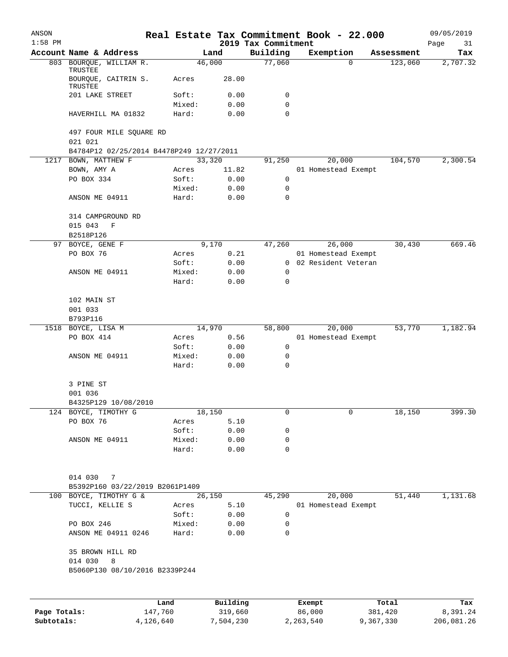| ANSON<br>$1:58$ PM |                                                                |                 |                     |                                 | Real Estate Tax Commitment Book - 22.000 |                  | 09/05/2019        |
|--------------------|----------------------------------------------------------------|-----------------|---------------------|---------------------------------|------------------------------------------|------------------|-------------------|
|                    | Account Name & Address                                         |                 | Land                | 2019 Tax Commitment<br>Building | Exemption                                | Assessment       | Page<br>31<br>Tax |
|                    | 803 BOURQUE, WILLIAM R.                                        |                 | 46,000              | 77,060                          | $\Omega$                                 | 123,060          | 2,707.32          |
|                    | TRUSTEE<br>BOURQUE, CAITRIN S.<br>TRUSTEE                      | Acres           | 28.00               |                                 |                                          |                  |                   |
|                    | 201 LAKE STREET                                                | Soft:           | 0.00                | 0                               |                                          |                  |                   |
|                    |                                                                | Mixed:          | 0.00                | 0                               |                                          |                  |                   |
|                    | HAVERHILL MA 01832                                             | Hard:           | 0.00                | $\Omega$                        |                                          |                  |                   |
|                    | 497 FOUR MILE SQUARE RD<br>021 021                             |                 |                     |                                 |                                          |                  |                   |
|                    | B4784P12 02/25/2014 B4478P249 12/27/2011                       |                 |                     |                                 |                                          |                  |                   |
|                    | 1217 BOWN, MATTHEW F                                           |                 | 33,320              | 91,250                          | 20,000                                   | 104,570          | 2,300.54          |
|                    | $\texttt{BOWN}\xspace$ , $\texttt{AMY}\xspace$ A<br>PO BOX 334 | Acres<br>Soft:  | 11.82<br>0.00       | $\mathbf 0$                     | 01 Homestead Exempt                      |                  |                   |
|                    |                                                                | Mixed:          | 0.00                | 0                               |                                          |                  |                   |
|                    | ANSON ME 04911                                                 | Hard:           | 0.00                | 0                               |                                          |                  |                   |
|                    | 314 CAMPGROUND RD<br>015 043<br>F                              |                 |                     |                                 |                                          |                  |                   |
|                    | B2518P126                                                      |                 |                     |                                 |                                          |                  |                   |
|                    | 97 BOYCE, GENE F                                               |                 | 9,170               | 47,260                          | 26,000                                   | 30,430           | 669.46            |
|                    | PO BOX 76                                                      | Acres           | 0.21                |                                 | 01 Homestead Exempt                      |                  |                   |
|                    |                                                                | Soft:           | 0.00                | 0                               | 02 Resident Veteran                      |                  |                   |
|                    | ANSON ME 04911                                                 | Mixed:          | 0.00                | $\mathbf 0$                     |                                          |                  |                   |
|                    |                                                                | Hard:           | 0.00                | 0                               |                                          |                  |                   |
|                    | 102 MAIN ST<br>001 033                                         |                 |                     |                                 |                                          |                  |                   |
|                    | B793P116                                                       |                 |                     |                                 |                                          |                  |                   |
|                    | 1518 BOYCE, LISA M                                             |                 | 14,970              | 58,800                          | 20,000                                   | 53,770           | 1,182.94          |
|                    | PO BOX 414                                                     | Acres           | 0.56                |                                 | 01 Homestead Exempt                      |                  |                   |
|                    |                                                                | Soft:           | 0.00                | 0                               |                                          |                  |                   |
|                    | ANSON ME 04911                                                 | Mixed:          | 0.00                | 0                               |                                          |                  |                   |
|                    |                                                                | Hard:           | 0.00                | 0                               |                                          |                  |                   |
|                    | 3 PINE ST                                                      |                 |                     |                                 |                                          |                  |                   |
|                    | 001 036                                                        |                 |                     |                                 |                                          |                  |                   |
|                    | B4325P129 10/08/2010                                           |                 |                     | 0                               | 0                                        |                  | 399.30            |
|                    | 124 BOYCE, TIMOTHY G<br>PO BOX 76                              | Acres           | 18,150<br>5.10      |                                 |                                          | 18,150           |                   |
|                    |                                                                | Soft:           | 0.00                | 0                               |                                          |                  |                   |
|                    | ANSON ME 04911                                                 | Mixed:          | 0.00                | 0                               |                                          |                  |                   |
|                    |                                                                | Hard:           | 0.00                | 0                               |                                          |                  |                   |
|                    | 014 030<br>7<br>B5392P160 03/22/2019 B2061P1409                |                 |                     |                                 |                                          |                  |                   |
| 100                | BOYCE, TIMOTHY G &                                             |                 | 26,150              | 45,290                          | 20,000                                   | 51,440           | 1,131.68          |
|                    | TUCCI, KELLIE S                                                | Acres           | 5.10                |                                 | 01 Homestead Exempt                      |                  |                   |
|                    |                                                                | Soft:           | 0.00                | 0                               |                                          |                  |                   |
|                    | PO BOX 246                                                     | Mixed:          | 0.00                | 0                               |                                          |                  |                   |
|                    | ANSON ME 04911 0246                                            | Hard:           | 0.00                | $\mathbf 0$                     |                                          |                  |                   |
|                    | 35 BROWN HILL RD<br>014 030<br>8                               |                 |                     |                                 |                                          |                  |                   |
|                    | B5060P130 08/10/2016 B2339P244                                 |                 |                     |                                 |                                          |                  |                   |
|                    |                                                                |                 |                     |                                 |                                          |                  |                   |
| Page Totals:       |                                                                | Land<br>147,760 | Building<br>319,660 |                                 | Exempt<br>86,000                         | Total<br>381,420 | Tax<br>8,391.24   |
|                    |                                                                |                 |                     |                                 |                                          |                  |                   |

**Subtotals:** 4,126,640 7,504,230 2,263,540 9,367,330 206,081.26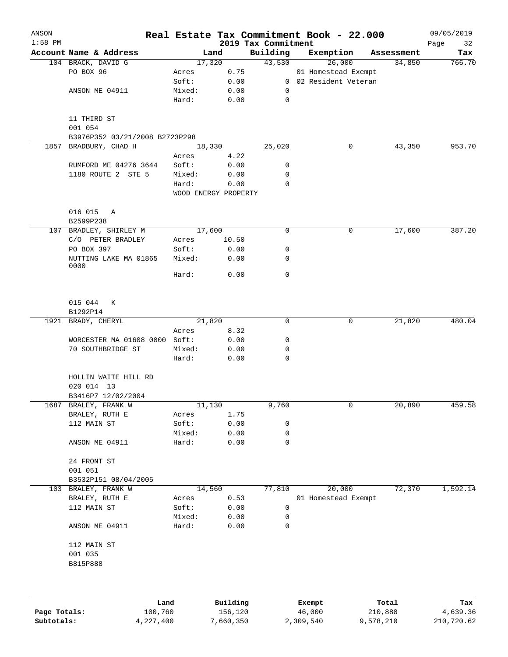| ANSON     |                                    |                      |       |                                 | Real Estate Tax Commitment Book - 22.000 |            | 09/05/2019        |
|-----------|------------------------------------|----------------------|-------|---------------------------------|------------------------------------------|------------|-------------------|
| $1:58$ PM | Account Name & Address             | Land                 |       | 2019 Tax Commitment<br>Building | Exemption                                | Assessment | 32<br>Page<br>Tax |
|           | 104 BRACK, DAVID G                 | 17,320               |       | 43,530                          | 26,000                                   | 34,850     | 766.70            |
|           | PO BOX 96                          | Acres                | 0.75  |                                 | 01 Homestead Exempt                      |            |                   |
|           |                                    | Soft:                | 0.00  |                                 | 0 02 Resident Veteran                    |            |                   |
|           | ANSON ME 04911                     | Mixed:               | 0.00  | 0                               |                                          |            |                   |
|           |                                    | Hard:                | 0.00  | 0                               |                                          |            |                   |
|           | 11 THIRD ST                        |                      |       |                                 |                                          |            |                   |
|           | 001 054                            |                      |       |                                 |                                          |            |                   |
|           | B3976P352 03/21/2008 B2723P298     |                      |       |                                 |                                          |            |                   |
|           | 1857 BRADBURY, CHAD H              | 18,330               |       | 25,020                          | 0                                        | 43,350     | 953.70            |
|           |                                    | Acres                | 4.22  |                                 |                                          |            |                   |
|           | RUMFORD ME 04276 3644              | Soft:                | 0.00  | 0                               |                                          |            |                   |
|           | 1180 ROUTE 2 STE 5                 | Mixed:               | 0.00  | 0                               |                                          |            |                   |
|           |                                    | Hard:                | 0.00  | 0                               |                                          |            |                   |
|           |                                    | WOOD ENERGY PROPERTY |       |                                 |                                          |            |                   |
|           | 016 015 A                          |                      |       |                                 |                                          |            |                   |
|           | B2599P238                          |                      |       |                                 |                                          |            |                   |
|           | 107 BRADLEY, SHIRLEY M             | 17,600               |       | 0                               | 0                                        | 17,600     | 387.20            |
|           | C/O PETER BRADLEY                  | Acres                | 10.50 |                                 |                                          |            |                   |
|           | PO BOX 397                         | Soft:                | 0.00  | 0                               |                                          |            |                   |
|           | NUTTING LAKE MA 01865<br>0000      | Mixed:               | 0.00  | 0                               |                                          |            |                   |
|           |                                    | Hard:                | 0.00  | 0                               |                                          |            |                   |
|           | 015 044                            |                      |       |                                 |                                          |            |                   |
|           | К                                  |                      |       |                                 |                                          |            |                   |
|           | B1292P14                           |                      |       |                                 |                                          |            |                   |
|           | 1921 BRADY, CHERYL                 | 21,820               |       | 0                               | 0                                        | 21,820     | 480.04            |
|           |                                    | Acres                | 8.32  |                                 |                                          |            |                   |
|           | WORCESTER MA 01608 0000            | Soft:                | 0.00  | 0                               |                                          |            |                   |
|           | 70 SOUTHBRIDGE ST                  | Mixed:               | 0.00  | 0                               |                                          |            |                   |
|           |                                    | Hard:                | 0.00  | 0                               |                                          |            |                   |
|           | HOLLIN WAITE HILL RD<br>020 014 13 |                      |       |                                 |                                          |            |                   |
|           | B3416P7 12/02/2004                 |                      |       |                                 |                                          |            |                   |
| 1687      | BRALEY, FRANK W                    | 11,130               |       | 9,760                           | 0                                        | 20,890     | 459.58            |
|           | BRALEY, RUTH E                     | Acres                | 1.75  |                                 |                                          |            |                   |
|           | 112 MAIN ST                        | Soft:                | 0.00  | 0                               |                                          |            |                   |
|           |                                    | Mixed:               | 0.00  | 0                               |                                          |            |                   |
|           | ANSON ME 04911                     | Hard:                | 0.00  | 0                               |                                          |            |                   |
|           | 24 FRONT ST                        |                      |       |                                 |                                          |            |                   |
|           | 001 051                            |                      |       |                                 |                                          |            |                   |
|           | B3532P151 08/04/2005               |                      |       |                                 |                                          |            |                   |
|           | 103 BRALEY, FRANK W                | 14,560               |       | 77,810                          | 20,000                                   | 72,370     | 1,592.14          |
|           | BRALEY, RUTH E                     | Acres                | 0.53  |                                 | 01 Homestead Exempt                      |            |                   |
|           | 112 MAIN ST                        | Soft:                | 0.00  | 0                               |                                          |            |                   |
|           |                                    | Mixed:               | 0.00  | 0                               |                                          |            |                   |
|           | ANSON ME 04911                     | Hard:                | 0.00  | 0                               |                                          |            |                   |
|           | 112 MAIN ST                        |                      |       |                                 |                                          |            |                   |
|           | 001 035                            |                      |       |                                 |                                          |            |                   |
|           | B815P888                           |                      |       |                                 |                                          |            |                   |
|           |                                    |                      |       |                                 |                                          |            |                   |
|           |                                    |                      |       |                                 |                                          |            |                   |

|              | Land      | Building  | Exempt    | Total     | Tax        |
|--------------|-----------|-----------|-----------|-----------|------------|
| Page Totals: | 100,760   | 156,120   | 46,000    | 210,880   | 4,639.36   |
| Subtotals:   | 4,227,400 | 7,660,350 | 2,309,540 | 9,578,210 | 210,720.62 |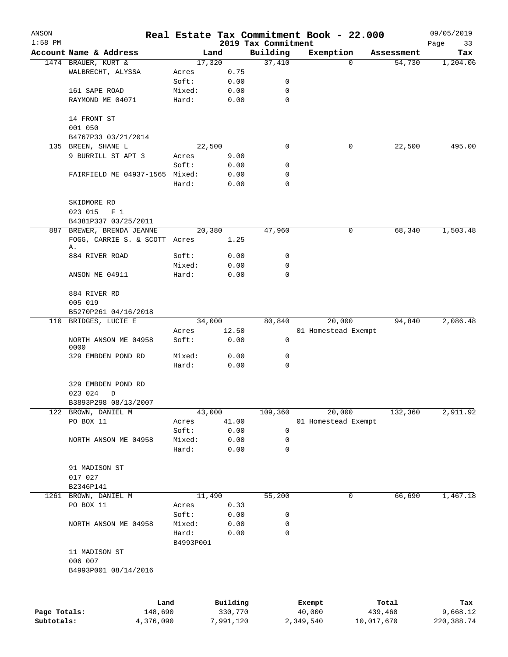| ANSON        |                                     |                |               |                                 | Real Estate Tax Commitment Book - 22.000 |            | 09/05/2019        |
|--------------|-------------------------------------|----------------|---------------|---------------------------------|------------------------------------------|------------|-------------------|
| $1:58$ PM    | Account Name & Address              |                | Land          | 2019 Tax Commitment<br>Building | Exemption                                | Assessment | Page<br>33<br>Tax |
|              | 1474 BRAUER, KURT &                 |                | 17,320        | 37,410                          | $\Omega$                                 | 54,730     | 1,204.06          |
|              | WALBRECHT, ALYSSA                   | Acres          | 0.75          |                                 |                                          |            |                   |
|              |                                     | Soft:          | 0.00          | 0                               |                                          |            |                   |
|              | 161 SAPE ROAD                       | Mixed:         | 0.00          | $\mathbf 0$                     |                                          |            |                   |
|              | RAYMOND ME 04071                    | Hard:          | 0.00          | $\mathbf 0$                     |                                          |            |                   |
|              | 14 FRONT ST                         |                |               |                                 |                                          |            |                   |
|              | 001 050                             |                |               |                                 |                                          |            |                   |
|              | B4767P33 03/21/2014                 |                |               |                                 |                                          |            |                   |
|              | 135 BREEN, SHANE L                  |                | 22,500        | 0                               | 0                                        | 22,500     | 495.00            |
|              | 9 BURRILL ST APT 3                  | Acres          | 9.00          |                                 |                                          |            |                   |
|              |                                     | Soft:          | 0.00          | 0                               |                                          |            |                   |
|              | FAIRFIELD ME 04937-1565 Mixed:      |                | 0.00          | 0                               |                                          |            |                   |
|              |                                     | Hard:          | 0.00          | 0                               |                                          |            |                   |
|              | SKIDMORE RD                         |                |               |                                 |                                          |            |                   |
|              | 023 015<br>F <sub>1</sub>           |                |               |                                 |                                          |            |                   |
|              | B4381P337 03/25/2011                |                |               |                                 |                                          |            |                   |
|              | 887 BREWER, BRENDA JEANNE           |                | 20,380        | 47,960                          | 0                                        | 68,340     | 1,503.48          |
|              | FOGG, CARRIE S. & SCOTT Acres<br>Α. |                | 1.25          |                                 |                                          |            |                   |
|              | 884 RIVER ROAD                      | Soft:          | 0.00          | 0                               |                                          |            |                   |
|              |                                     | Mixed:         | 0.00          | 0                               |                                          |            |                   |
|              | ANSON ME 04911                      | Hard:          | 0.00          | $\mathbf 0$                     |                                          |            |                   |
|              |                                     |                |               |                                 |                                          |            |                   |
|              | 884 RIVER RD                        |                |               |                                 |                                          |            |                   |
|              | 005 019                             |                |               |                                 |                                          |            |                   |
|              | B5270P261 04/16/2018                |                |               |                                 |                                          |            |                   |
|              | 110 BRIDGES, LUCIE E                |                | 34,000        | 80,840                          | 20,000                                   | 94,840     | 2,086.48          |
|              | NORTH ANSON ME 04958                | Acres<br>Soft: | 12.50<br>0.00 | 0                               | 01 Homestead Exempt                      |            |                   |
|              | 0000                                |                |               |                                 |                                          |            |                   |
|              | 329 EMBDEN POND RD                  | Mixed:         | 0.00          | 0                               |                                          |            |                   |
|              |                                     | Hard:          | 0.00          | 0                               |                                          |            |                   |
|              | 329 EMBDEN POND RD                  |                |               |                                 |                                          |            |                   |
|              | 023 024<br>D                        |                |               |                                 |                                          |            |                   |
|              | B3893P298 08/13/2007                |                |               |                                 |                                          |            |                   |
| 122          | BROWN, DANIEL M                     |                | 43,000        | 109,360                         | 20,000                                   | 132,360    | 2,911.92          |
|              | PO BOX 11                           | Acres          | 41.00         |                                 | 01 Homestead Exempt                      |            |                   |
|              |                                     | Soft:          | 0.00          | 0                               |                                          |            |                   |
|              | NORTH ANSON ME 04958                | Mixed:         | 0.00          | 0                               |                                          |            |                   |
|              |                                     | Hard:          | 0.00          | 0                               |                                          |            |                   |
|              | 91 MADISON ST                       |                |               |                                 |                                          |            |                   |
|              | 017 027                             |                |               |                                 |                                          |            |                   |
|              | B2346P141                           |                |               |                                 |                                          |            |                   |
| 1261         | BROWN, DANIEL M                     |                | 11,490        | 55,200                          | 0                                        | 66,690     | 1,467.18          |
|              | PO BOX 11                           | Acres          | 0.33          |                                 |                                          |            |                   |
|              |                                     | Soft:          | 0.00          | 0                               |                                          |            |                   |
|              | NORTH ANSON ME 04958                | Mixed:         | 0.00          | 0                               |                                          |            |                   |
|              |                                     | Hard:          | 0.00          | 0                               |                                          |            |                   |
|              |                                     | B4993P001      |               |                                 |                                          |            |                   |
|              | 11 MADISON ST                       |                |               |                                 |                                          |            |                   |
|              | 006 007                             |                |               |                                 |                                          |            |                   |
|              | B4993P001 08/14/2016                |                |               |                                 |                                          |            |                   |
|              |                                     |                |               |                                 |                                          |            |                   |
|              |                                     | Land           | Building      |                                 | Exempt                                   | Total      | Tax               |
| Page Totals: |                                     | 148,690        | 330,770       |                                 | 40,000                                   | 439,460    | 9,668.12          |
| Subtotals:   | 4,376,090                           |                | 7,991,120     |                                 | 2,349,540                                | 10,017,670 | 220,388.74        |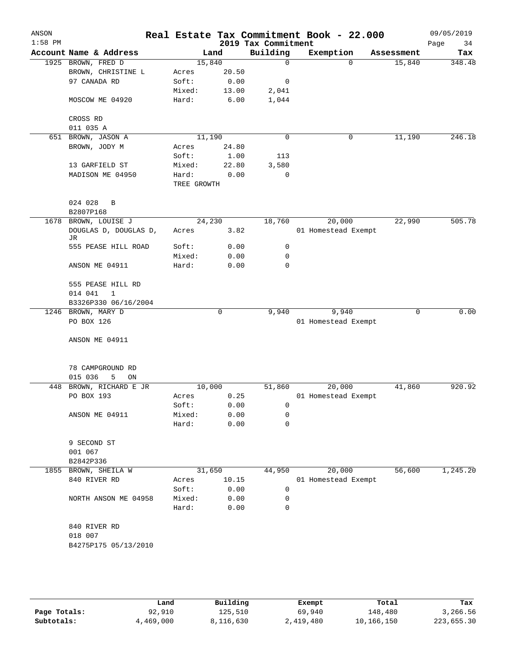| ANSON<br>$1:58$ PM |                             |             |       | 2019 Tax Commitment | Real Estate Tax Commitment Book - 22.000 |             | 09/05/2019<br>Page<br>34 |
|--------------------|-----------------------------|-------------|-------|---------------------|------------------------------------------|-------------|--------------------------|
|                    | Account Name & Address      |             | Land  | Building            | Exemption                                | Assessment  | Tax                      |
|                    | 1925 BROWN, FRED D          | 15,840      |       | $\mathbf 0$         | $\Omega$                                 | 15,840      | 348.48                   |
|                    | BROWN, CHRISTINE L          | Acres       | 20.50 |                     |                                          |             |                          |
|                    | 97 CANADA RD                | Soft:       | 0.00  | 0                   |                                          |             |                          |
|                    |                             | Mixed:      | 13.00 | 2,041               |                                          |             |                          |
|                    | MOSCOW ME 04920             | Hard:       | 6.00  | 1,044               |                                          |             |                          |
|                    | CROSS RD                    |             |       |                     |                                          |             |                          |
|                    | 011 035 A                   |             |       |                     |                                          |             |                          |
| 651                | BROWN, JASON A              | 11,190      |       | $\mathbf 0$         | 0                                        | 11,190      | 246.18                   |
|                    | BROWN, JODY M               | Acres       | 24.80 |                     |                                          |             |                          |
|                    |                             | Soft:       | 1.00  | 113                 |                                          |             |                          |
|                    | 13 GARFIELD ST              | Mixed:      | 22.80 | 3,580               |                                          |             |                          |
|                    | MADISON ME 04950            | Hard:       | 0.00  | 0                   |                                          |             |                          |
|                    |                             | TREE GROWTH |       |                     |                                          |             |                          |
|                    | 024 028<br>$\, {\bf B}$     |             |       |                     |                                          |             |                          |
|                    | B2807P168                   |             |       |                     |                                          |             |                          |
|                    | 1678 BROWN, LOUISE J        | 24,230      |       | 18,760              | 20,000                                   | 22,990      | 505.78                   |
|                    | DOUGLAS D, DOUGLAS D,<br>JR | Acres       | 3.82  |                     | 01 Homestead Exempt                      |             |                          |
|                    | 555 PEASE HILL ROAD         | Soft:       | 0.00  | 0                   |                                          |             |                          |
|                    |                             | Mixed:      | 0.00  | $\mathbf 0$         |                                          |             |                          |
|                    | ANSON ME 04911              | Hard:       | 0.00  | 0                   |                                          |             |                          |
|                    | 555 PEASE HILL RD           |             |       |                     |                                          |             |                          |
|                    | 014 041<br>1                |             |       |                     |                                          |             |                          |
|                    | B3326P330 06/16/2004        |             |       |                     |                                          |             |                          |
|                    | 1246 BROWN, MARY D          |             | 0     | 9,940               | 9,940                                    | $\mathbf 0$ | 0.00                     |
|                    | PO BOX 126                  |             |       |                     | 01 Homestead Exempt                      |             |                          |
|                    | ANSON ME 04911              |             |       |                     |                                          |             |                          |
|                    | 78 CAMPGROUND RD            |             |       |                     |                                          |             |                          |
|                    | 015 036<br>5<br>ON          |             |       |                     |                                          |             |                          |
| 448                | BROWN, RICHARD E JR         | 10,000      |       | 51,860              | 20,000                                   | 41,860      | 920.92                   |
|                    | PO BOX 193                  | Acres       | 0.25  |                     | 01 Homestead Exempt                      |             |                          |
|                    |                             | Soft:       | 0.00  | 0                   |                                          |             |                          |
|                    | ANSON ME 04911              | Mixed:      | 0.00  | 0                   |                                          |             |                          |
|                    |                             | Hard:       | 0.00  | 0                   |                                          |             |                          |
|                    | 9 SECOND ST                 |             |       |                     |                                          |             |                          |
|                    | 001 067                     |             |       |                     |                                          |             |                          |
|                    | B2842P336                   |             |       |                     |                                          |             |                          |
| 1855               | BROWN, SHEILA W             | 31,650      |       | 44,950              | 20,000                                   | 56,600      | 1,245.20                 |
|                    | 840 RIVER RD                | Acres       | 10.15 |                     | 01 Homestead Exempt                      |             |                          |
|                    |                             | Soft:       | 0.00  | 0                   |                                          |             |                          |
|                    | NORTH ANSON ME 04958        | Mixed:      | 0.00  | 0                   |                                          |             |                          |
|                    |                             | Hard:       | 0.00  | 0                   |                                          |             |                          |
|                    | 840 RIVER RD                |             |       |                     |                                          |             |                          |
|                    | 018 007                     |             |       |                     |                                          |             |                          |
|                    | B4275P175 05/13/2010        |             |       |                     |                                          |             |                          |
|                    |                             |             |       |                     |                                          |             |                          |
|                    |                             |             |       |                     |                                          |             |                          |

|              | Land      | Building  | Exempt    | Total      | Tax        |
|--------------|-----------|-----------|-----------|------------|------------|
| Page Totals: | 92,910    | 125,510   | 69,940    | 148,480    | 3,266.56   |
| Subtotals:   | 4,469,000 | 8,116,630 | 2,419,480 | 10,166,150 | 223,655.30 |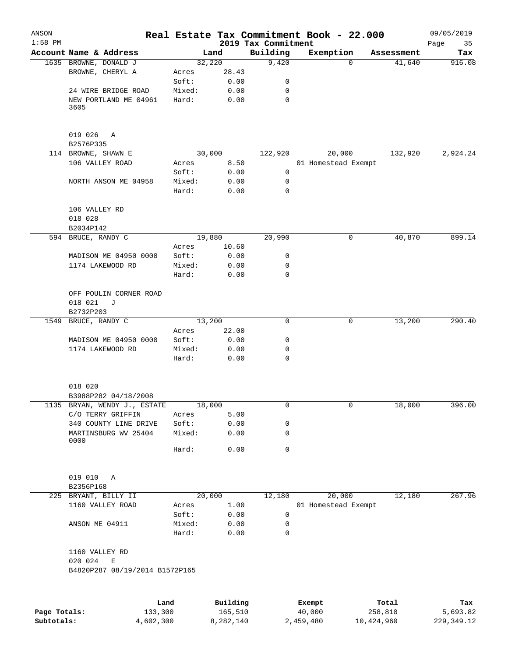| ANSON        |                                |        |           |                                 | Real Estate Tax Commitment Book - 22.000 |            | 09/05/2019        |
|--------------|--------------------------------|--------|-----------|---------------------------------|------------------------------------------|------------|-------------------|
| $1:58$ PM    | Account Name & Address         |        | Land      | 2019 Tax Commitment<br>Building | Exemption                                | Assessment | 35<br>Page<br>Tax |
|              | 1635 BROWNE, DONALD J          |        | 32,220    | 9,420                           | $\Omega$                                 | 41,640     | 916.08            |
|              | BROWNE, CHERYL A               | Acres  | 28.43     |                                 |                                          |            |                   |
|              |                                | Soft:  | 0.00      | 0                               |                                          |            |                   |
|              | 24 WIRE BRIDGE ROAD            | Mixed: | 0.00      | 0                               |                                          |            |                   |
|              | NEW PORTLAND ME 04961          | Hard:  | 0.00      | $\mathbf 0$                     |                                          |            |                   |
|              | 3605                           |        |           |                                 |                                          |            |                   |
|              | 019 026<br>A                   |        |           |                                 |                                          |            |                   |
|              | B2576P335                      |        |           |                                 |                                          |            |                   |
|              | 114 BROWNE, SHAWN E            |        | 30,000    | 122,920                         | 20,000                                   | 132,920    | 2,924.24          |
|              | 106 VALLEY ROAD                | Acres  | 8.50      |                                 | 01 Homestead Exempt                      |            |                   |
|              |                                | Soft:  | 0.00      | $\mathbf 0$                     |                                          |            |                   |
|              | NORTH ANSON ME 04958           | Mixed: | 0.00      | 0                               |                                          |            |                   |
|              |                                | Hard:  | 0.00      | 0                               |                                          |            |                   |
|              | 106 VALLEY RD                  |        |           |                                 |                                          |            |                   |
|              | 018 028                        |        |           |                                 |                                          |            |                   |
|              | B2034P142                      |        |           |                                 |                                          |            |                   |
|              | 594 BRUCE, RANDY C             |        | 19,880    | 20,990                          | 0                                        | 40,870     | 899.14            |
|              |                                | Acres  | 10.60     |                                 |                                          |            |                   |
|              | MADISON ME 04950 0000          | Soft:  | 0.00      | 0                               |                                          |            |                   |
|              | 1174 LAKEWOOD RD               | Mixed: | 0.00      | 0                               |                                          |            |                   |
|              |                                | Hard:  | 0.00      | 0                               |                                          |            |                   |
|              | OFF POULIN CORNER ROAD         |        |           |                                 |                                          |            |                   |
|              | 018 021<br>J                   |        |           |                                 |                                          |            |                   |
|              | B2732P203                      |        |           |                                 |                                          |            |                   |
| 1549         | BRUCE, RANDY C                 |        | 13,200    | 0                               | 0                                        | 13,200     | 290.40            |
|              |                                | Acres  | 22.00     |                                 |                                          |            |                   |
|              | MADISON ME 04950 0000          | Soft:  | 0.00      | 0                               |                                          |            |                   |
|              | 1174 LAKEWOOD RD               | Mixed: | 0.00      | 0                               |                                          |            |                   |
|              |                                | Hard:  | 0.00      | $\mathbf 0$                     |                                          |            |                   |
|              | 018 020                        |        |           |                                 |                                          |            |                   |
|              | B3988P282 04/18/2008           |        |           |                                 |                                          |            |                   |
|              | 1135 BRYAN, WENDY J., ESTATE   |        | 18,000    | 0                               | 0                                        | 18,000     | 396.00            |
|              | C/O TERRY GRIFFIN              | Acres  | 5.00      |                                 |                                          |            |                   |
|              | 340 COUNTY LINE DRIVE          | Soft:  | 0.00      | 0                               |                                          |            |                   |
|              | MARTINSBURG WV 25404           | Mixed: | 0.00      | 0                               |                                          |            |                   |
|              | 0000                           |        |           |                                 |                                          |            |                   |
|              |                                | Hard:  | 0.00      | $\mathbf 0$                     |                                          |            |                   |
|              | 019 010<br>Α                   |        |           |                                 |                                          |            |                   |
|              | B2356P168                      |        |           |                                 |                                          |            |                   |
|              | 225 BRYANT, BILLY II           |        | 20,000    | 12,180                          | 20,000                                   | 12,180     | 267.96            |
|              | 1160 VALLEY ROAD               | Acres  | 1.00      |                                 | 01 Homestead Exempt                      |            |                   |
|              |                                | Soft:  | 0.00      | 0                               |                                          |            |                   |
|              | ANSON ME 04911                 | Mixed: | 0.00      | 0                               |                                          |            |                   |
|              |                                | Hard:  | 0.00      | 0                               |                                          |            |                   |
|              | 1160 VALLEY RD                 |        |           |                                 |                                          |            |                   |
|              | 020 024<br>E                   |        |           |                                 |                                          |            |                   |
|              | B4820P287 08/19/2014 B1572P165 |        |           |                                 |                                          |            |                   |
|              |                                |        |           |                                 |                                          |            |                   |
|              |                                | Land   | Building  |                                 | Exempt                                   | Total      | Tax               |
| Page Totals: | 133,300                        |        | 165,510   |                                 | 40,000                                   | 258,810    | 5,693.82          |
| Subtotals:   | 4,602,300                      |        | 8,282,140 |                                 | 2,459,480                                | 10,424,960 | 229, 349.12       |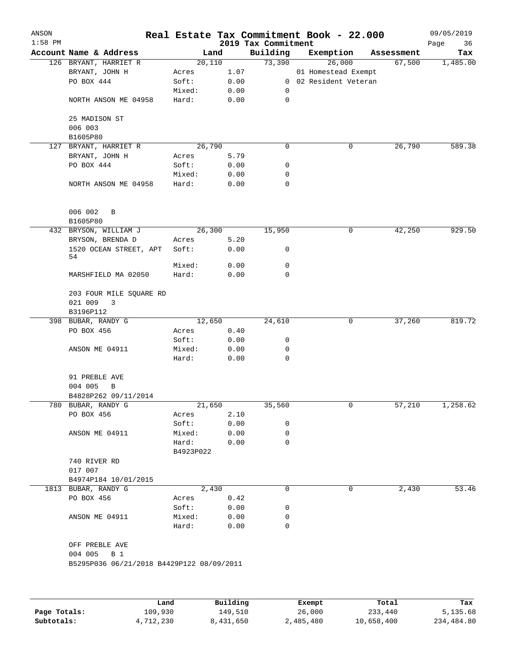| $1:58$ PM |                                           |           |      | 2019 Tax Commitment | Real Estate Tax Commitment Book - 22.000 |            | 09/05/2019<br>Page<br>36 |
|-----------|-------------------------------------------|-----------|------|---------------------|------------------------------------------|------------|--------------------------|
|           | Account Name & Address                    | Land      |      | Building            | Exemption                                | Assessment | Tax                      |
|           | 126 BRYANT, HARRIET R                     | 20,110    |      | 73,390              | 26,000                                   | 67,500     | 1,485.00                 |
|           | BRYANT, JOHN H                            | Acres     | 1.07 |                     | 01 Homestead Exempt                      |            |                          |
|           | PO BOX 444                                | Soft:     | 0.00 |                     | 0 02 Resident Veteran                    |            |                          |
|           |                                           | Mixed:    | 0.00 | 0                   |                                          |            |                          |
|           | NORTH ANSON ME 04958                      | Hard:     | 0.00 | 0                   |                                          |            |                          |
|           | 25 MADISON ST                             |           |      |                     |                                          |            |                          |
|           | 006 003                                   |           |      |                     |                                          |            |                          |
|           | B1605P80                                  |           |      |                     |                                          |            |                          |
|           | 127 BRYANT, HARRIET R                     | 26,790    |      | 0                   | 0                                        | 26,790     | 589.38                   |
|           | BRYANT, JOHN H                            | Acres     | 5.79 |                     |                                          |            |                          |
|           | PO BOX 444                                | Soft:     | 0.00 | 0                   |                                          |            |                          |
|           |                                           | Mixed:    | 0.00 | 0                   |                                          |            |                          |
|           | NORTH ANSON ME 04958                      | Hard:     | 0.00 | $\mathbf 0$         |                                          |            |                          |
|           |                                           |           |      |                     |                                          |            |                          |
|           | 006 002<br>B<br>B1605P80                  |           |      |                     |                                          |            |                          |
|           | 432 BRYSON, WILLIAM J                     | 26,300    |      | 15,950              | 0                                        | 42,250     | 929.50                   |
|           | BRYSON, BRENDA D                          | Acres     | 5.20 |                     |                                          |            |                          |
|           | 1520 OCEAN STREET, APT<br>54              | Soft:     | 0.00 | 0                   |                                          |            |                          |
|           |                                           | Mixed:    | 0.00 | 0                   |                                          |            |                          |
|           | MARSHFIELD MA 02050                       | Hard:     | 0.00 | 0                   |                                          |            |                          |
|           | 203 FOUR MILE SQUARE RD<br>021 009<br>3   |           |      |                     |                                          |            |                          |
|           | B3196P112                                 |           |      |                     |                                          |            |                          |
|           | 398 BUBAR, RANDY G                        | 12,650    |      | 24,610              | 0                                        | 37,260     | 819.72                   |
|           | PO BOX 456                                | Acres     | 0.40 |                     |                                          |            |                          |
|           |                                           | Soft:     | 0.00 | 0                   |                                          |            |                          |
|           | ANSON ME 04911                            | Mixed:    | 0.00 | 0                   |                                          |            |                          |
|           |                                           | Hard:     | 0.00 | 0                   |                                          |            |                          |
|           | 91 PREBLE AVE                             |           |      |                     |                                          |            |                          |
|           | 004 005<br>В                              |           |      |                     |                                          |            |                          |
|           | B4828P262 09/11/2014                      |           |      |                     |                                          |            |                          |
|           | 780 BUBAR, RANDY G                        | 21,650    |      | 35,560              | 0                                        | 57,210     | 1,258.62                 |
|           | PO BOX 456                                | Acres     | 2.10 |                     |                                          |            |                          |
|           |                                           | Soft:     | 0.00 | 0                   |                                          |            |                          |
|           | ANSON ME 04911                            | Mixed:    | 0.00 | 0                   |                                          |            |                          |
|           |                                           | Hard:     | 0.00 | 0                   |                                          |            |                          |
|           |                                           |           |      |                     |                                          |            |                          |
|           |                                           | B4923P022 |      |                     |                                          |            |                          |
|           | 740 RIVER RD                              |           |      |                     |                                          |            |                          |
|           | 017 007                                   |           |      |                     |                                          |            |                          |
|           | B4974P184 10/01/2015                      |           |      |                     |                                          |            |                          |
|           | 1813 BUBAR, RANDY G                       | 2,430     |      | 0                   | 0                                        | 2,430      | 53.46                    |
|           | PO BOX 456                                | Acres     | 0.42 |                     |                                          |            |                          |
|           |                                           | Soft:     | 0.00 | 0                   |                                          |            |                          |
|           | ANSON ME 04911                            | Mixed:    | 0.00 | 0                   |                                          |            |                          |
|           |                                           | Hard:     | 0.00 | 0                   |                                          |            |                          |
|           | OFF PREBLE AVE                            |           |      |                     |                                          |            |                          |
|           | 004 005 B 1                               |           |      |                     |                                          |            |                          |
|           | B5295P036 06/21/2018 B4429P122 08/09/2011 |           |      |                     |                                          |            |                          |
|           |                                           |           |      |                     |                                          |            |                          |
|           |                                           |           |      |                     |                                          |            |                          |
|           |                                           |           |      |                     |                                          |            |                          |

|              | Land      | Building  | Exempt    | Total      | Tax        |
|--------------|-----------|-----------|-----------|------------|------------|
| Page Totals: | 109,930   | 149,510   | 26,000    | 233,440    | 5,135.68   |
| Subtotals:   | 4,712,230 | 8,431,650 | 2,485,480 | 10,658,400 | 234,484.80 |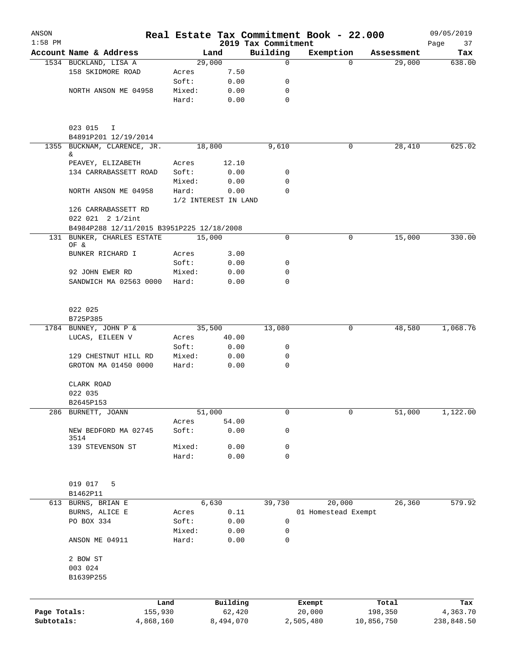| $1:58$ PM<br>2019 Tax Commitment<br>Building<br>Exemption<br>Account Name & Address<br>Land<br>1534 BUCKLAND, LISA A<br>29,000<br>$\mathbf 0$<br>$\Omega$<br>158 SKIDMORE ROAD<br>7.50<br>Acres<br>Soft:<br>0.00<br>0<br>NORTH ANSON ME 04958<br>Mixed:<br>0.00<br>0<br>$\mathbf 0$<br>Hard:<br>0.00<br>023 015<br>I<br>B4891P201 12/19/2014<br>1355 BUCKNAM, CLARENCE, JR.<br>18,800<br>9,610<br>0<br>&.<br>12.10<br>PEAVEY, ELIZABETH<br>Acres<br>134 CARRABASSETT ROAD<br>Soft:<br>0.00<br>0<br>0.00<br>0<br>Mixed:<br>NORTH ANSON ME 04958<br>Hard:<br>$\Omega$<br>0.00<br>1/2 INTEREST IN LAND<br>126 CARRABASSETT RD | Assessment<br>29,000<br>28,410 | Page<br>37<br>Tax<br>638.00<br>625.02 |
|----------------------------------------------------------------------------------------------------------------------------------------------------------------------------------------------------------------------------------------------------------------------------------------------------------------------------------------------------------------------------------------------------------------------------------------------------------------------------------------------------------------------------------------------------------------------------------------------------------------------------|--------------------------------|---------------------------------------|
|                                                                                                                                                                                                                                                                                                                                                                                                                                                                                                                                                                                                                            |                                |                                       |
|                                                                                                                                                                                                                                                                                                                                                                                                                                                                                                                                                                                                                            |                                |                                       |
|                                                                                                                                                                                                                                                                                                                                                                                                                                                                                                                                                                                                                            |                                |                                       |
|                                                                                                                                                                                                                                                                                                                                                                                                                                                                                                                                                                                                                            |                                |                                       |
|                                                                                                                                                                                                                                                                                                                                                                                                                                                                                                                                                                                                                            |                                |                                       |
|                                                                                                                                                                                                                                                                                                                                                                                                                                                                                                                                                                                                                            |                                |                                       |
|                                                                                                                                                                                                                                                                                                                                                                                                                                                                                                                                                                                                                            |                                |                                       |
|                                                                                                                                                                                                                                                                                                                                                                                                                                                                                                                                                                                                                            |                                |                                       |
|                                                                                                                                                                                                                                                                                                                                                                                                                                                                                                                                                                                                                            |                                |                                       |
|                                                                                                                                                                                                                                                                                                                                                                                                                                                                                                                                                                                                                            |                                |                                       |
|                                                                                                                                                                                                                                                                                                                                                                                                                                                                                                                                                                                                                            |                                |                                       |
|                                                                                                                                                                                                                                                                                                                                                                                                                                                                                                                                                                                                                            |                                |                                       |
|                                                                                                                                                                                                                                                                                                                                                                                                                                                                                                                                                                                                                            |                                |                                       |
|                                                                                                                                                                                                                                                                                                                                                                                                                                                                                                                                                                                                                            |                                |                                       |
| 022 021 2 1/2int                                                                                                                                                                                                                                                                                                                                                                                                                                                                                                                                                                                                           |                                |                                       |
| B4984P288 12/11/2015 B3951P225 12/18/2008                                                                                                                                                                                                                                                                                                                                                                                                                                                                                                                                                                                  |                                |                                       |
| 0<br>131 BUNKER, CHARLES ESTATE<br>15,000<br>0<br>OF &                                                                                                                                                                                                                                                                                                                                                                                                                                                                                                                                                                     | 15,000                         | 330.00                                |
| 3.00<br>BUNKER RICHARD I<br>Acres                                                                                                                                                                                                                                                                                                                                                                                                                                                                                                                                                                                          |                                |                                       |
| Soft:<br>0.00<br>0                                                                                                                                                                                                                                                                                                                                                                                                                                                                                                                                                                                                         |                                |                                       |
| 92 JOHN EWER RD<br>Mixed:<br>0.00<br>0                                                                                                                                                                                                                                                                                                                                                                                                                                                                                                                                                                                     |                                |                                       |
| $\mathbf 0$<br>SANDWICH MA 02563 0000<br>Hard:<br>0.00                                                                                                                                                                                                                                                                                                                                                                                                                                                                                                                                                                     |                                |                                       |
|                                                                                                                                                                                                                                                                                                                                                                                                                                                                                                                                                                                                                            |                                |                                       |
| 022 025                                                                                                                                                                                                                                                                                                                                                                                                                                                                                                                                                                                                                    |                                |                                       |
| B725P385                                                                                                                                                                                                                                                                                                                                                                                                                                                                                                                                                                                                                   |                                |                                       |
| 35,500<br>1784 BUNNEY, JOHN P &<br>13,080<br>0                                                                                                                                                                                                                                                                                                                                                                                                                                                                                                                                                                             | 48,580                         | 1,068.76                              |
| 40.00<br>LUCAS, EILEEN V<br>Acres                                                                                                                                                                                                                                                                                                                                                                                                                                                                                                                                                                                          |                                |                                       |
| Soft:<br>0.00<br>0                                                                                                                                                                                                                                                                                                                                                                                                                                                                                                                                                                                                         |                                |                                       |
| Mixed:<br>0.00<br>0<br>129 CHESTNUT HILL RD<br>Hard:<br>0                                                                                                                                                                                                                                                                                                                                                                                                                                                                                                                                                                  |                                |                                       |
| GROTON MA 01450 0000<br>0.00                                                                                                                                                                                                                                                                                                                                                                                                                                                                                                                                                                                               |                                |                                       |
| CLARK ROAD                                                                                                                                                                                                                                                                                                                                                                                                                                                                                                                                                                                                                 |                                |                                       |
| 022 035                                                                                                                                                                                                                                                                                                                                                                                                                                                                                                                                                                                                                    |                                |                                       |
| B2645P153                                                                                                                                                                                                                                                                                                                                                                                                                                                                                                                                                                                                                  |                                |                                       |
| 51,000<br>0<br>286<br>BURNETT, JOANN<br>0                                                                                                                                                                                                                                                                                                                                                                                                                                                                                                                                                                                  | 51,000                         | 1,122.00                              |
| 54.00<br>Acres                                                                                                                                                                                                                                                                                                                                                                                                                                                                                                                                                                                                             |                                |                                       |
| 0.00<br>0<br>NEW BEDFORD MA 02745<br>Soft:<br>3514                                                                                                                                                                                                                                                                                                                                                                                                                                                                                                                                                                         |                                |                                       |
| 139 STEVENSON ST<br>Mixed:<br>0.00<br>0                                                                                                                                                                                                                                                                                                                                                                                                                                                                                                                                                                                    |                                |                                       |
| 0.00<br>0<br>Hard:                                                                                                                                                                                                                                                                                                                                                                                                                                                                                                                                                                                                         |                                |                                       |
| 019 017<br>5                                                                                                                                                                                                                                                                                                                                                                                                                                                                                                                                                                                                               |                                |                                       |
| B1462P11                                                                                                                                                                                                                                                                                                                                                                                                                                                                                                                                                                                                                   |                                |                                       |
| 20,000<br>613 BURNS, BRIAN E<br>6,630<br>39,730                                                                                                                                                                                                                                                                                                                                                                                                                                                                                                                                                                            | 26,360                         | 579.92                                |
| BURNS, ALICE E<br>0.11<br>01 Homestead Exempt<br>Acres                                                                                                                                                                                                                                                                                                                                                                                                                                                                                                                                                                     |                                |                                       |
| 0<br>PO BOX 334<br>Soft:<br>0.00                                                                                                                                                                                                                                                                                                                                                                                                                                                                                                                                                                                           |                                |                                       |
| 0<br>Mixed:<br>0.00                                                                                                                                                                                                                                                                                                                                                                                                                                                                                                                                                                                                        |                                |                                       |
| 0<br>Hard:<br>0.00<br>ANSON ME 04911                                                                                                                                                                                                                                                                                                                                                                                                                                                                                                                                                                                       |                                |                                       |
|                                                                                                                                                                                                                                                                                                                                                                                                                                                                                                                                                                                                                            |                                |                                       |
| 2 BOW ST                                                                                                                                                                                                                                                                                                                                                                                                                                                                                                                                                                                                                   |                                |                                       |
| 003 024<br>B1639P255                                                                                                                                                                                                                                                                                                                                                                                                                                                                                                                                                                                                       |                                |                                       |
|                                                                                                                                                                                                                                                                                                                                                                                                                                                                                                                                                                                                                            |                                |                                       |
| Building<br>Land<br>Total<br>Exempt                                                                                                                                                                                                                                                                                                                                                                                                                                                                                                                                                                                        |                                | Tax                                   |
| Page Totals:<br>155,930<br>62,420<br>20,000<br>198,350                                                                                                                                                                                                                                                                                                                                                                                                                                                                                                                                                                     |                                | 4,363.70                              |
| Subtotals:<br>4,868,160<br>8,494,070<br>2,505,480<br>10,856,750                                                                                                                                                                                                                                                                                                                                                                                                                                                                                                                                                            |                                | 238,848.50                            |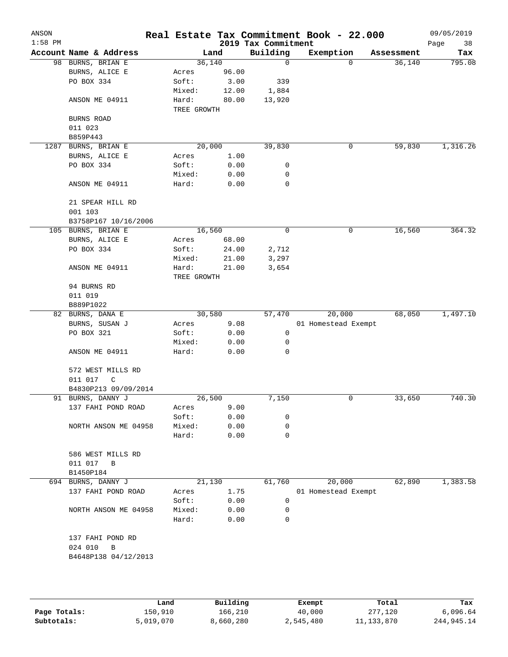| ANSON<br>$1:58$ PM |                        |                      |        | 2019 Tax Commitment | Real Estate Tax Commitment Book - 22.000 |            | 09/05/2019<br>Page<br>38 |
|--------------------|------------------------|----------------------|--------|---------------------|------------------------------------------|------------|--------------------------|
|                    | Account Name & Address |                      | Land   | Building            | Exemption                                | Assessment | Tax                      |
|                    | 98 BURNS, BRIAN E      | 36,140               |        | 0                   | 0                                        | 36,140     | 795.08                   |
|                    | BURNS, ALICE E         | Acres                | 96.00  |                     |                                          |            |                          |
|                    | PO BOX 334             | Soft:                | 3.00   | 339                 |                                          |            |                          |
|                    |                        | Mixed:               | 12.00  | 1,884               |                                          |            |                          |
|                    | ANSON ME 04911         | Hard:<br>TREE GROWTH | 80.00  | 13,920              |                                          |            |                          |
|                    | BURNS ROAD             |                      |        |                     |                                          |            |                          |
|                    | 011 023                |                      |        |                     |                                          |            |                          |
|                    | B859P443               |                      |        |                     |                                          |            |                          |
| 1287               | BURNS, BRIAN E         | 20,000               |        | 39,830              | 0                                        | 59,830     | 1,316.26                 |
|                    | BURNS, ALICE E         | Acres                | 1.00   |                     |                                          |            |                          |
|                    | PO BOX 334             | Soft:                | 0.00   | 0                   |                                          |            |                          |
|                    |                        | Mixed:               | 0.00   | 0                   |                                          |            |                          |
|                    | ANSON ME 04911         | Hard:                | 0.00   | 0                   |                                          |            |                          |
|                    | 21 SPEAR HILL RD       |                      |        |                     |                                          |            |                          |
|                    | 001 103                |                      |        |                     |                                          |            |                          |
|                    | B3758P167 10/16/2006   |                      |        |                     |                                          |            |                          |
|                    | 105 BURNS, BRIAN E     | 16,560               |        | 0                   | 0                                        | 16,560     | 364.32                   |
|                    | BURNS, ALICE E         | Acres                | 68.00  |                     |                                          |            |                          |
|                    | PO BOX 334             | Soft:                | 24.00  | 2,712               |                                          |            |                          |
|                    |                        | Mixed:               | 21.00  | 3,297               |                                          |            |                          |
|                    | ANSON ME 04911         | Hard:                | 21.00  | 3,654               |                                          |            |                          |
|                    |                        | TREE GROWTH          |        |                     |                                          |            |                          |
|                    | 94 BURNS RD            |                      |        |                     |                                          |            |                          |
|                    | 011 019                |                      |        |                     |                                          |            |                          |
|                    | B889P1022              |                      |        |                     |                                          |            |                          |
|                    | 82 BURNS, DANA E       |                      | 30,580 | 57,470              | 20,000                                   | 68,050     | 1,497.10                 |
|                    | BURNS, SUSAN J         | Acres                | 9.08   |                     | 01 Homestead Exempt                      |            |                          |
|                    | PO BOX 321             | Soft:                | 0.00   | 0                   |                                          |            |                          |
|                    |                        | Mixed:               | 0.00   | 0                   |                                          |            |                          |
|                    | ANSON ME 04911         | Hard:                | 0.00   | 0                   |                                          |            |                          |
|                    | 572 WEST MILLS RD      |                      |        |                     |                                          |            |                          |
|                    | 011 017<br>C           |                      |        |                     |                                          |            |                          |
|                    | B4830P213 09/09/2014   |                      |        |                     |                                          |            |                          |
|                    | 91 BURNS, DANNY J      | 26,500               |        | 7,150               | 0                                        | 33,650     | 740.30                   |
|                    | 137 FAHI POND ROAD     | Acres                | 9.00   |                     |                                          |            |                          |
|                    |                        | Soft:                | 0.00   | 0                   |                                          |            |                          |
|                    | NORTH ANSON ME 04958   | Mixed:               | 0.00   | 0                   |                                          |            |                          |
|                    |                        | Hard:                | 0.00   | 0                   |                                          |            |                          |
|                    | 586 WEST MILLS RD      |                      |        |                     |                                          |            |                          |
|                    | 011 017<br>B           |                      |        |                     |                                          |            |                          |
|                    | B1450P184              |                      |        |                     |                                          |            |                          |
| 694                | BURNS, DANNY J         | 21,130               |        | 61,760              | 20,000                                   | 62,890     | 1,383.58                 |
|                    | 137 FAHI POND ROAD     | Acres                | 1.75   |                     | 01 Homestead Exempt                      |            |                          |
|                    |                        | Soft:                | 0.00   | 0                   |                                          |            |                          |
|                    | NORTH ANSON ME 04958   | Mixed:               | 0.00   | 0                   |                                          |            |                          |
|                    |                        | Hard:                | 0.00   | 0                   |                                          |            |                          |
|                    | 137 FAHI POND RD       |                      |        |                     |                                          |            |                          |
|                    | 024 010<br>В           |                      |        |                     |                                          |            |                          |
|                    | B4648P138 04/12/2013   |                      |        |                     |                                          |            |                          |
|                    |                        |                      |        |                     |                                          |            |                          |
|                    |                        |                      |        |                     |                                          |            |                          |
|                    |                        |                      |        |                     |                                          |            |                          |

|              | Land      | Building  | Exempt    | Total        | Tax        |
|--------------|-----------|-----------|-----------|--------------|------------|
| Page Totals: | 150,910   | 166,210   | 40,000    | 277,120      | 6,096.64   |
| Subtotals:   | 5,019,070 | 8,660,280 | 2,545,480 | 11, 133, 870 | 244,945.14 |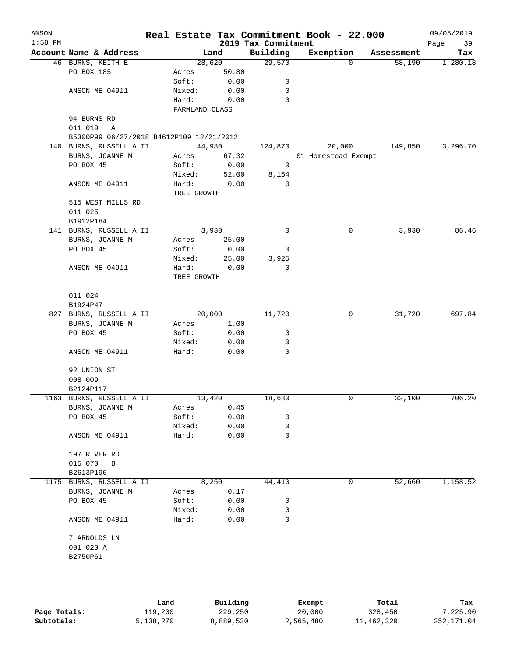| ANSON     |                                          |                |       | Real Estate Tax Commitment Book - 22.000 |                     |   |            | 09/05/2019        |
|-----------|------------------------------------------|----------------|-------|------------------------------------------|---------------------|---|------------|-------------------|
| $1:58$ PM | Account Name & Address                   |                | Land  | 2019 Tax Commitment<br>Building          | Exemption           |   | Assessment | Page<br>39<br>Tax |
|           | 46 BURNS, KEITH E                        | 28,620         |       | 29,570                                   |                     | 0 | 58,190     | 1,280.18          |
|           | PO BOX 185                               | Acres          | 50.80 |                                          |                     |   |            |                   |
|           |                                          | Soft:          | 0.00  | 0                                        |                     |   |            |                   |
|           | ANSON ME 04911                           | Mixed:         | 0.00  | 0                                        |                     |   |            |                   |
|           |                                          | Hard:          | 0.00  | $\mathbf 0$                              |                     |   |            |                   |
|           |                                          | FARMLAND CLASS |       |                                          |                     |   |            |                   |
|           | 94 BURNS RD                              |                |       |                                          |                     |   |            |                   |
|           | 011 019<br>Α                             |                |       |                                          |                     |   |            |                   |
|           | B5300P99 06/27/2018 B4612P109 12/21/2012 |                |       |                                          |                     |   |            |                   |
|           | 140 BURNS, RUSSELL A II                  | 44,980         |       | 124,870                                  | 20,000              |   | 149,850    | 3,296.70          |
|           | BURNS, JOANNE M                          | Acres          | 67.32 |                                          | 01 Homestead Exempt |   |            |                   |
|           | PO BOX 45                                | Soft:          | 0.00  | $\overline{0}$                           |                     |   |            |                   |
|           |                                          | Mixed:         | 52.00 | 8,164                                    |                     |   |            |                   |
|           | ANSON ME 04911                           | Hard:          | 0.00  | 0                                        |                     |   |            |                   |
|           |                                          | TREE GROWTH    |       |                                          |                     |   |            |                   |
|           | 515 WEST MILLS RD                        |                |       |                                          |                     |   |            |                   |
|           | 011 025                                  |                |       |                                          |                     |   |            |                   |
|           | B1912P184                                |                |       |                                          |                     |   |            |                   |
|           | 141 BURNS, RUSSELL A II                  |                | 3,930 | 0                                        |                     | 0 | 3,930      | 86.46             |
|           | BURNS, JOANNE M                          | Acres          | 25.00 |                                          |                     |   |            |                   |
|           | PO BOX 45                                | Soft:          | 0.00  | 0                                        |                     |   |            |                   |
|           |                                          | Mixed:         | 25.00 | 3,925                                    |                     |   |            |                   |
|           | ANSON ME 04911                           | Hard:          | 0.00  | 0                                        |                     |   |            |                   |
|           |                                          | TREE GROWTH    |       |                                          |                     |   |            |                   |
|           |                                          |                |       |                                          |                     |   |            |                   |
|           | 011 024                                  |                |       |                                          |                     |   |            |                   |
|           | B1924P47                                 |                |       |                                          |                     |   |            |                   |
|           | 827 BURNS, RUSSELL A II                  | 20,000         |       | 11,720                                   |                     | 0 | 31,720     | 697.84            |
|           | BURNS, JOANNE M                          | Acres          | 1.00  |                                          |                     |   |            |                   |
|           | PO BOX 45                                | Soft:          | 0.00  | 0                                        |                     |   |            |                   |
|           |                                          | Mixed:         | 0.00  | 0                                        |                     |   |            |                   |
|           | ANSON ME 04911                           | Hard:          | 0.00  | 0                                        |                     |   |            |                   |
|           |                                          |                |       |                                          |                     |   |            |                   |
|           | 92 UNION ST                              |                |       |                                          |                     |   |            |                   |
|           | 008 009                                  |                |       |                                          |                     |   |            |                   |
|           | B2124P117                                |                |       |                                          |                     |   |            |                   |
|           | 1163 BURNS, RUSSELL A II                 | 13,420         |       | 18,680                                   |                     | 0 | 32,100     | 706.20            |
|           | BURNS, JOANNE M                          | Acres          | 0.45  |                                          |                     |   |            |                   |
|           | PO BOX 45                                | Soft:          | 0.00  | 0                                        |                     |   |            |                   |
|           |                                          | Mixed:         | 0.00  | 0                                        |                     |   |            |                   |
|           | ANSON ME 04911                           | Hard:          | 0.00  | 0                                        |                     |   |            |                   |
|           |                                          |                |       |                                          |                     |   |            |                   |
|           | 197 RIVER RD<br>015 070 B                |                |       |                                          |                     |   |            |                   |
|           | B2613P196                                |                |       |                                          |                     |   |            |                   |
|           | 1175 BURNS, RUSSELL A II                 |                | 8,250 | 44,410                                   |                     | 0 | 52,660     | 1,158.52          |
|           | BURNS, JOANNE M                          | Acres          | 0.17  |                                          |                     |   |            |                   |
|           | PO BOX 45                                | Soft:          | 0.00  | 0                                        |                     |   |            |                   |
|           |                                          | Mixed:         | 0.00  | 0                                        |                     |   |            |                   |
|           | ANSON ME 04911                           | Hard:          | 0.00  | 0                                        |                     |   |            |                   |
|           |                                          |                |       |                                          |                     |   |            |                   |
|           | 7 ARNOLDS LN                             |                |       |                                          |                     |   |            |                   |
|           | 001 020 A                                |                |       |                                          |                     |   |            |                   |
|           | B2750P61                                 |                |       |                                          |                     |   |            |                   |
|           |                                          |                |       |                                          |                     |   |            |                   |
|           |                                          |                |       |                                          |                     |   |            |                   |
|           |                                          |                |       |                                          |                     |   |            |                   |
|           |                                          |                |       |                                          |                     |   |            |                   |
|           |                                          |                |       |                                          |                     |   |            |                   |

|              | Land      | Building  | Exempt    | Total      | Tax        |
|--------------|-----------|-----------|-----------|------------|------------|
| Page Totals: | 119,200   | 229,250   | 20,000    | 328,450    | 7,225.90   |
| Subtotals:   | 5,138,270 | 8,889,530 | 2,565,480 | 11,462,320 | 252,171.04 |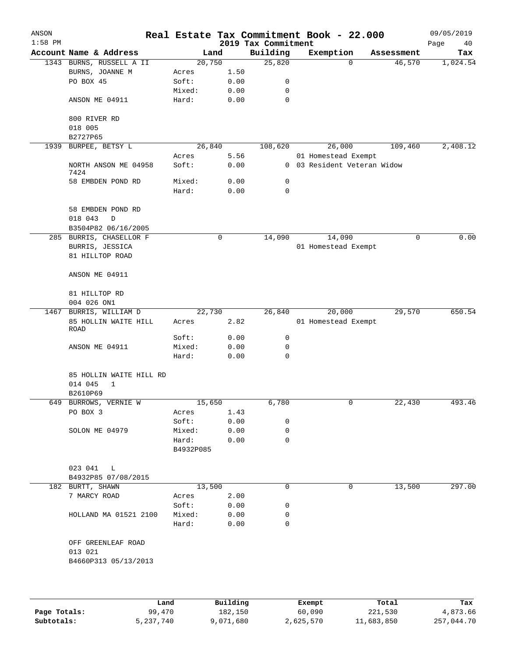| ANSON     |                                     |           |      |                     | Real Estate Tax Commitment Book - 22.000 |             | 09/05/2019 |
|-----------|-------------------------------------|-----------|------|---------------------|------------------------------------------|-------------|------------|
| $1:58$ PM |                                     |           |      | 2019 Tax Commitment |                                          |             | Page<br>40 |
|           | Account Name & Address              | Land      |      | Building            | Exemption                                | Assessment  | Tax        |
|           | 1343 BURNS, RUSSELL A II            | 20,750    |      | 25,820              | $\Omega$                                 | 46,570      | 1,024.54   |
|           | BURNS, JOANNE M                     | Acres     | 1.50 |                     |                                          |             |            |
|           | PO BOX 45                           | Soft:     | 0.00 | 0                   |                                          |             |            |
|           |                                     | Mixed:    | 0.00 | 0                   |                                          |             |            |
|           | ANSON ME 04911                      | Hard:     | 0.00 | $\mathbf 0$         |                                          |             |            |
|           | 800 RIVER RD                        |           |      |                     |                                          |             |            |
|           | 018 005                             |           |      |                     |                                          |             |            |
|           | B2727P65                            |           |      |                     |                                          |             |            |
| 1939      | BURPEE, BETSY L                     | 26,840    |      | 108,620             | 26,000                                   | 109,460     | 2,408.12   |
|           |                                     | Acres     | 5.56 |                     | 01 Homestead Exempt                      |             |            |
|           | NORTH ANSON ME 04958                | Soft:     | 0.00 |                     | 0 03 Resident Veteran Widow              |             |            |
|           | 7424                                |           |      |                     |                                          |             |            |
|           | 58 EMBDEN POND RD                   | Mixed:    | 0.00 | 0                   |                                          |             |            |
|           |                                     | Hard:     | 0.00 | $\mathbf 0$         |                                          |             |            |
|           |                                     |           |      |                     |                                          |             |            |
|           | 58 EMBDEN POND RD                   |           |      |                     |                                          |             |            |
|           | 018 043<br>D<br>B3504P82 06/16/2005 |           |      |                     |                                          |             |            |
|           | 285 BURRIS, CHASELLOR F             |           | 0    | 14,090              | 14,090                                   | $\mathbf 0$ | 0.00       |
|           | BURRIS, JESSICA                     |           |      |                     | 01 Homestead Exempt                      |             |            |
|           | 81 HILLTOP ROAD                     |           |      |                     |                                          |             |            |
|           |                                     |           |      |                     |                                          |             |            |
|           | ANSON ME 04911                      |           |      |                     |                                          |             |            |
|           |                                     |           |      |                     |                                          |             |            |
|           | 81 HILLTOP RD                       |           |      |                     |                                          |             |            |
|           | 004 026 ON1                         |           |      |                     |                                          |             |            |
|           | 1467 BURRIS, WILLIAM D              | 22,730    |      | 26,840              | 20,000                                   | 29,570      | 650.54     |
|           | 85 HOLLIN WAITE HILL                | Acres     | 2.82 |                     | 01 Homestead Exempt                      |             |            |
|           | ROAD                                |           |      |                     |                                          |             |            |
|           |                                     | Soft:     | 0.00 | 0                   |                                          |             |            |
|           | ANSON ME 04911                      | Mixed:    | 0.00 | 0                   |                                          |             |            |
|           |                                     | Hard:     | 0.00 | 0                   |                                          |             |            |
|           |                                     |           |      |                     |                                          |             |            |
|           | 85 HOLLIN WAITE HILL RD             |           |      |                     |                                          |             |            |
|           | 014 045<br>1                        |           |      |                     |                                          |             |            |
|           | B2610P69                            |           |      |                     |                                          |             |            |
|           | 649 BURROWS, VERNIE W               | 15,650    |      | 6,780               | U                                        | 22,430      | 493.46     |
|           | PO BOX 3                            | Acres     | 1.43 |                     |                                          |             |            |
|           |                                     | Soft:     | 0.00 | 0                   |                                          |             |            |
|           | SOLON ME 04979                      | Mixed:    | 0.00 | $\mathbf 0$         |                                          |             |            |
|           |                                     | Hard:     | 0.00 | $\mathbf 0$         |                                          |             |            |
|           |                                     | B4932P085 |      |                     |                                          |             |            |
|           | 023 041 L                           |           |      |                     |                                          |             |            |
|           | B4932P85 07/08/2015                 |           |      |                     |                                          |             |            |
|           | 182 BURTT, SHAWN                    | 13,500    |      | 0                   | 0                                        | 13,500      | 297.00     |
|           |                                     | Acres     |      |                     |                                          |             |            |
|           | 7 MARCY ROAD                        |           | 2.00 |                     |                                          |             |            |
|           |                                     | Soft:     | 0.00 | 0                   |                                          |             |            |
|           | HOLLAND MA 01521 2100               | Mixed:    | 0.00 | 0                   |                                          |             |            |
|           |                                     | Hard:     | 0.00 | 0                   |                                          |             |            |
|           | OFF GREENLEAF ROAD                  |           |      |                     |                                          |             |            |
|           | 013 021                             |           |      |                     |                                          |             |            |
|           | B4660P313 05/13/2013                |           |      |                     |                                          |             |            |
|           |                                     |           |      |                     |                                          |             |            |
|           |                                     |           |      |                     |                                          |             |            |
|           |                                     |           |      |                     |                                          |             |            |
|           |                                     |           |      |                     |                                          |             |            |

|              | Land      | Building  | Exempt    | Total      | Tax        |
|--------------|-----------|-----------|-----------|------------|------------|
| Page Totals: | 99,470    | 182,150   | 60,090    | 221,530    | 4,873.66   |
| Subtotals:   | 5,237,740 | 9,071,680 | 2,625,570 | 11,683,850 | 257,044.70 |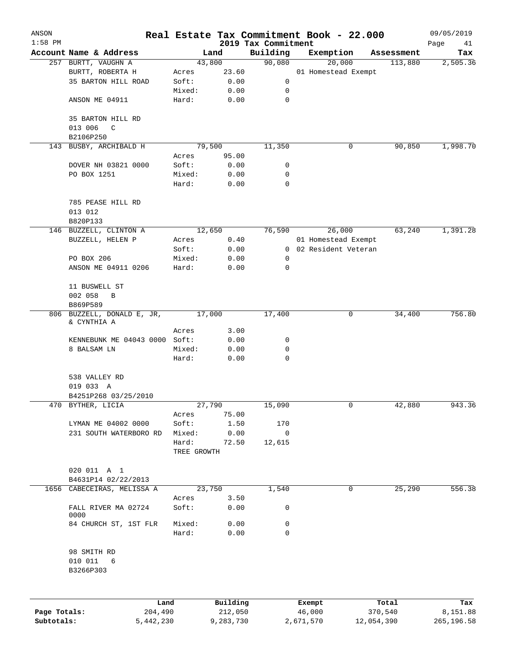| ANSON             |                               |             |          |                                 | Real Estate Tax Commitment Book - 22.000 |            | 09/05/2019        |
|-------------------|-------------------------------|-------------|----------|---------------------------------|------------------------------------------|------------|-------------------|
| $1:58$ PM         | Account Name & Address        |             | Land     | 2019 Tax Commitment<br>Building | Exemption                                | Assessment | Page<br>41<br>Tax |
|                   | 257 BURTT, VAUGHN A           |             | 43,800   | 90,080                          | 20,000                                   | 113,880    | 2,505.36          |
|                   | BURTT, ROBERTA H              | Acres       | 23.60    |                                 | 01 Homestead Exempt                      |            |                   |
|                   | 35 BARTON HILL ROAD           | Soft:       | 0.00     | 0                               |                                          |            |                   |
|                   |                               | Mixed:      | 0.00     | 0                               |                                          |            |                   |
|                   | ANSON ME 04911                | Hard:       | 0.00     | $\mathbf 0$                     |                                          |            |                   |
|                   |                               |             |          |                                 |                                          |            |                   |
|                   | 35 BARTON HILL RD             |             |          |                                 |                                          |            |                   |
|                   | 013 006<br>$\mathsf{C}$       |             |          |                                 |                                          |            |                   |
|                   | B2106P250                     |             |          |                                 |                                          |            |                   |
|                   | 143 BUSBY, ARCHIBALD H        |             | 79,500   | 11,350                          | 0                                        | 90,850     | 1,998.70          |
|                   |                               | Acres       | 95.00    |                                 |                                          |            |                   |
|                   | DOVER NH 03821 0000           | Soft:       | 0.00     | 0                               |                                          |            |                   |
|                   | PO BOX 1251                   | Mixed:      | 0.00     | 0                               |                                          |            |                   |
|                   |                               | Hard:       | 0.00     | 0                               |                                          |            |                   |
|                   |                               |             |          |                                 |                                          |            |                   |
| 785 PEASE HILL RD |                               |             |          |                                 |                                          |            |                   |
| 013 012           |                               |             |          |                                 |                                          |            |                   |
|                   | B820P133                      |             |          |                                 |                                          |            |                   |
|                   | 146 BUZZELL, CLINTON A        |             | 12,650   | 76,590                          | 26,000                                   | 63,240     | 1,391.28          |
| BUZZELL, HELEN P  |                               | Acres       | 0.40     |                                 | 01 Homestead Exempt                      |            |                   |
|                   |                               | Soft:       | 0.00     |                                 | 0 02 Resident Veteran                    |            |                   |
|                   | PO BOX 206                    | Mixed:      | 0.00     | 0                               |                                          |            |                   |
|                   | ANSON ME 04911 0206           | Hard:       | 0.00     | 0                               |                                          |            |                   |
|                   | 11 BUSWELL ST                 |             |          |                                 |                                          |            |                   |
|                   | 002 058<br>B                  |             |          |                                 |                                          |            |                   |
|                   | B869P589                      |             |          |                                 |                                          |            |                   |
|                   | 806 BUZZELL, DONALD E, JR,    |             | 17,000   | 17,400                          | 0                                        | 34,400     | 756.80            |
|                   | & CYNTHIA A                   |             |          |                                 |                                          |            |                   |
|                   |                               | Acres       | 3.00     |                                 |                                          |            |                   |
|                   | KENNEBUNK ME 04043 0000 Soft: |             | 0.00     | 0                               |                                          |            |                   |
|                   | 8 BALSAM LN                   | Mixed:      | 0.00     | 0                               |                                          |            |                   |
|                   |                               | Hard:       | 0.00     | 0                               |                                          |            |                   |
|                   | 538 VALLEY RD                 |             |          |                                 |                                          |            |                   |
|                   | 019 033 A                     |             |          |                                 |                                          |            |                   |
|                   | B4251P268 03/25/2010          |             |          |                                 |                                          |            |                   |
|                   | 470 BYTHER, LICIA             |             | 27,790   | 15,090                          | 0                                        | 42,880     | 943.36            |
|                   |                               | Acres       | 75.00    |                                 |                                          |            |                   |
|                   | LYMAN ME 04002 0000           | Soft:       | 1.50     | 170                             |                                          |            |                   |
|                   | 231 SOUTH WATERBORO RD        | Mixed:      | 0.00     | 0                               |                                          |            |                   |
|                   |                               | Hard:       | 72.50    | 12,615                          |                                          |            |                   |
|                   |                               | TREE GROWTH |          |                                 |                                          |            |                   |
|                   |                               |             |          |                                 |                                          |            |                   |
|                   | 020 011 A 1                   |             |          |                                 |                                          |            |                   |
|                   | B4631P14 02/22/2013           |             |          |                                 |                                          |            |                   |
|                   | 1656 CABECEIRAS, MELISSA A    |             | 23,750   | 1,540                           | 0                                        | 25,290     | 556.38            |
|                   |                               | Acres       | 3.50     |                                 |                                          |            |                   |
|                   | FALL RIVER MA 02724<br>0000   | Soft:       | 0.00     | 0                               |                                          |            |                   |
|                   | 84 CHURCH ST, 1ST FLR         | Mixed:      | 0.00     | 0                               |                                          |            |                   |
|                   |                               | Hard:       | 0.00     | $\mathbf 0$                     |                                          |            |                   |
|                   |                               |             |          |                                 |                                          |            |                   |
|                   | 98 SMITH RD                   |             |          |                                 |                                          |            |                   |
|                   | 010 011 6                     |             |          |                                 |                                          |            |                   |
|                   | B3266P303                     |             |          |                                 |                                          |            |                   |
|                   |                               |             |          |                                 |                                          |            |                   |
|                   | Land                          |             | Building |                                 | Exempt                                   | Total      | Tax               |
| Page Totals:      | 204,490                       |             | 212,050  |                                 | 46,000                                   | 370,540    | 8,151.88          |

**Subtotals:** 5,442,230 9,283,730 2,671,570 12,054,390 265,196.58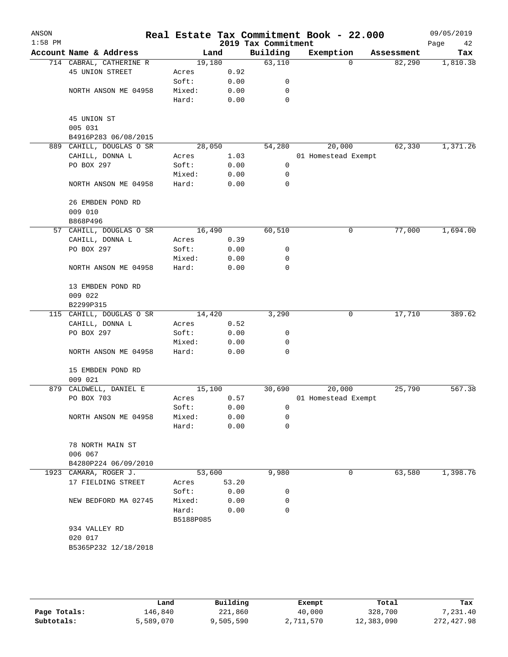| ANSON<br>$1:58$ PM |                          |                    |        | 2019 Tax Commitment | Real Estate Tax Commitment Book - 22.000 |            | 09/05/2019<br>Page<br>42 |
|--------------------|--------------------------|--------------------|--------|---------------------|------------------------------------------|------------|--------------------------|
|                    | Account Name & Address   |                    | Land   | Building            | Exemption                                | Assessment | Tax                      |
|                    | 714 CABRAL, CATHERINE R  |                    | 19,180 | 63,110              | $\Omega$                                 | 82,290     | 1,810.38                 |
|                    | 45 UNION STREET          | Acres              | 0.92   |                     |                                          |            |                          |
|                    |                          | Soft:              | 0.00   | 0                   |                                          |            |                          |
|                    | NORTH ANSON ME 04958     | Mixed:             | 0.00   | 0                   |                                          |            |                          |
|                    |                          | Hard:              | 0.00   | $\mathbf 0$         |                                          |            |                          |
|                    | 45 UNION ST              |                    |        |                     |                                          |            |                          |
|                    | 005 031                  |                    |        |                     |                                          |            |                          |
|                    | B4916P283 06/08/2015     |                    |        |                     |                                          |            |                          |
|                    | 889 CAHILL, DOUGLAS O SR |                    | 28,050 | 54,280              | 20,000                                   | 62,330     | 1,371.26                 |
|                    | CAHILL, DONNA L          | Acres              | 1.03   |                     | 01 Homestead Exempt                      |            |                          |
|                    | PO BOX 297               | Soft:              | 0.00   | 0                   |                                          |            |                          |
|                    |                          | Mixed:             | 0.00   | 0                   |                                          |            |                          |
|                    | NORTH ANSON ME 04958     | Hard:              | 0.00   | 0                   |                                          |            |                          |
|                    | 26 EMBDEN POND RD        |                    |        |                     |                                          |            |                          |
|                    | 009 010<br>B868P496      |                    |        |                     |                                          |            |                          |
|                    | 57 CAHILL, DOUGLAS O SR  |                    | 16,490 | 60,510              | 0                                        | 77,000     | 1,694.00                 |
|                    | CAHILL, DONNA L          | Acres              | 0.39   |                     |                                          |            |                          |
|                    | PO BOX 297               | Soft:              | 0.00   | 0                   |                                          |            |                          |
|                    |                          | Mixed:             | 0.00   | 0                   |                                          |            |                          |
|                    | NORTH ANSON ME 04958     | Hard:              | 0.00   | $\mathbf 0$         |                                          |            |                          |
|                    | 13 EMBDEN POND RD        |                    |        |                     |                                          |            |                          |
|                    | 009 022                  |                    |        |                     |                                          |            |                          |
|                    | B2299P315                |                    |        |                     |                                          |            |                          |
|                    | 115 CAHILL, DOUGLAS O SR |                    | 14,420 | 3,290               | 0                                        | 17,710     | 389.62                   |
|                    | CAHILL, DONNA L          | Acres              | 0.52   |                     |                                          |            |                          |
|                    | PO BOX 297               | Soft:              | 0.00   | 0                   |                                          |            |                          |
|                    |                          | Mixed:             | 0.00   | 0                   |                                          |            |                          |
|                    | NORTH ANSON ME 04958     | Hard:              | 0.00   | $\mathbf 0$         |                                          |            |                          |
|                    | 15 EMBDEN POND RD        |                    |        |                     |                                          |            |                          |
|                    | 009 021                  |                    |        |                     |                                          |            |                          |
|                    | 879 CALDWELL, DANIEL E   |                    | 15,100 | 30,690              | 20,000                                   | 25,790     | 567.38                   |
|                    | PO BOX 703               | Acres              | 0.57   |                     | 01 Homestead Exempt                      |            |                          |
|                    |                          | Soft:              | 0.00   | 0                   |                                          |            |                          |
|                    | NORTH ANSON ME 04958     | Mixed:             | 0.00   | 0                   |                                          |            |                          |
|                    |                          | Hard:              | 0.00   | $\mathbf 0$         |                                          |            |                          |
|                    | 78 NORTH MAIN ST         |                    |        |                     |                                          |            |                          |
|                    | 006 067                  |                    |        |                     |                                          |            |                          |
|                    | B4280P224 06/09/2010     |                    |        |                     |                                          |            |                          |
|                    | 1923 CAMARA, ROGER J.    |                    | 53,600 | 9,980               | 0                                        | 63,580     | 1,398.76                 |
|                    | 17 FIELDING STREET       | Acres              | 53.20  |                     |                                          |            |                          |
|                    |                          | Soft:              | 0.00   | 0                   |                                          |            |                          |
|                    | NEW BEDFORD MA 02745     | Mixed:             | 0.00   | 0                   |                                          |            |                          |
|                    |                          | Hard:<br>B5188P085 | 0.00   | 0                   |                                          |            |                          |
|                    | 934 VALLEY RD            |                    |        |                     |                                          |            |                          |
|                    | 020 017                  |                    |        |                     |                                          |            |                          |
|                    | B5365P232 12/18/2018     |                    |        |                     |                                          |            |                          |
|                    |                          |                    |        |                     |                                          |            |                          |
|                    |                          |                    |        |                     |                                          |            |                          |
|                    |                          |                    |        |                     |                                          |            |                          |
|                    |                          |                    |        |                     |                                          |            |                          |

|              | Land      | Building  | Exempt    | Total      | Tax        |
|--------------|-----------|-----------|-----------|------------|------------|
| Page Totals: | 146.840   | 221,860   | 40,000    | 328,700    | 7,231.40   |
| Subtotals:   | 5,589,070 | 9,505,590 | 2,711,570 | 12,383,090 | 272,427.98 |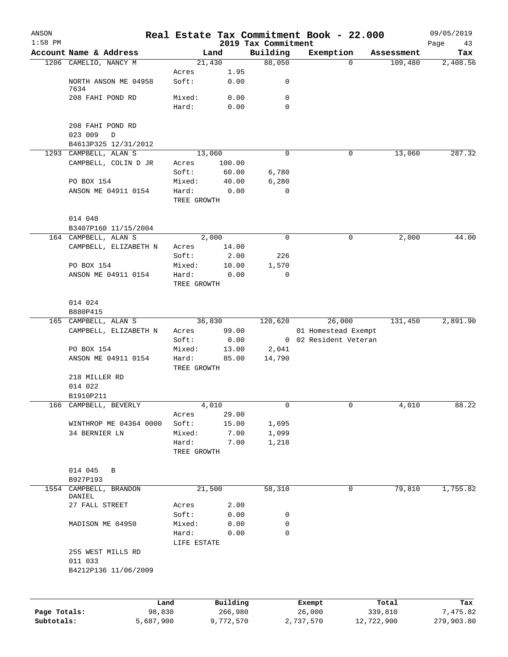| ANSON                      |                                  |                      |                      |                                 | Real Estate Tax Commitment Book - 22.000 |                       | 09/05/2019             |
|----------------------------|----------------------------------|----------------------|----------------------|---------------------------------|------------------------------------------|-----------------------|------------------------|
| $1:58$ PM                  | Account Name & Address           |                      |                      | 2019 Tax Commitment<br>Building |                                          | Assessment            | Page<br>43             |
|                            | 1206 CAMELIO, NANCY M            |                      | Land<br>21,430       | 88,050                          | Exemption<br>0                           | 109,480               | Tax<br>2,408.56        |
|                            |                                  | Acres                | 1.95                 |                                 |                                          |                       |                        |
|                            | NORTH ANSON ME 04958<br>7634     | Soft:                | 0.00                 | 0                               |                                          |                       |                        |
|                            | 208 FAHI POND RD                 | Mixed:               | 0.00                 | 0                               |                                          |                       |                        |
|                            |                                  | Hard:                | 0.00                 | 0                               |                                          |                       |                        |
|                            | 208 FAHI POND RD                 |                      |                      |                                 |                                          |                       |                        |
|                            | 023 009<br>D                     |                      |                      |                                 |                                          |                       |                        |
|                            | B4613P325 12/31/2012             |                      |                      |                                 |                                          |                       |                        |
|                            | 1293 CAMPBELL, ALAN S            |                      | 13,060               | 0                               | 0                                        | 13,060                | 287.32                 |
|                            | CAMPBELL, COLIN D JR             | Acres<br>Soft:       | 100.00<br>60.00      | 6,780                           |                                          |                       |                        |
|                            | PO BOX 154                       | Mixed:               | 40.00                | 6,280                           |                                          |                       |                        |
|                            | ANSON ME 04911 0154              | Hard:                | 0.00                 | 0                               |                                          |                       |                        |
|                            |                                  | TREE GROWTH          |                      |                                 |                                          |                       |                        |
|                            | 014 048                          |                      |                      |                                 |                                          |                       |                        |
|                            | B3407P160 11/15/2004             |                      |                      |                                 |                                          |                       |                        |
|                            | 164 CAMPBELL, ALAN S             |                      | 2,000                | $\mathbf 0$                     | 0                                        | 2,000                 | 44.00                  |
|                            | CAMPBELL, ELIZABETH N            | Acres                | 14.00                |                                 |                                          |                       |                        |
|                            | PO BOX 154                       | Soft:<br>Mixed:      | 2.00<br>10.00        | 226<br>1,570                    |                                          |                       |                        |
|                            | ANSON ME 04911 0154              | Hard:                | 0.00                 | $\mathbf 0$                     |                                          |                       |                        |
|                            |                                  | TREE GROWTH          |                      |                                 |                                          |                       |                        |
|                            | 014 024                          |                      |                      |                                 |                                          |                       |                        |
|                            | B880P415                         |                      |                      |                                 |                                          |                       |                        |
|                            | 165 CAMPBELL, ALAN S             |                      | 36,830               | 120,620                         | 26,000                                   | 131,450               | 2,891.90               |
|                            | CAMPBELL, ELIZABETH N            | Acres                | 99.00                |                                 | 01 Homestead Exempt                      |                       |                        |
|                            | PO BOX 154                       | Soft:                | 0.00                 |                                 | 0 02 Resident Veteran                    |                       |                        |
|                            | ANSON ME 04911 0154              | Mixed:<br>Hard:      | 13.00<br>85.00       | 2,041<br>14,790                 |                                          |                       |                        |
|                            |                                  | TREE GROWTH          |                      |                                 |                                          |                       |                        |
|                            | 218 MILLER RD                    |                      |                      |                                 |                                          |                       |                        |
|                            | 014 022                          |                      |                      |                                 |                                          |                       |                        |
|                            | B1910P211                        |                      |                      |                                 |                                          |                       |                        |
|                            | 166 CAMPBELL, BEVERLY            |                      | 4,010                | 0                               | 0                                        | 4,010                 | 88.22                  |
|                            | WINTHROP ME 04364 0000           | Acres<br>Soft:       | 29.00<br>15.00       | 1,695                           |                                          |                       |                        |
|                            | 34 BERNIER LN                    | Mixed:               | 7.00                 | 1,099                           |                                          |                       |                        |
|                            |                                  | Hard:                | 7.00                 | 1,218                           |                                          |                       |                        |
|                            |                                  | TREE GROWTH          |                      |                                 |                                          |                       |                        |
|                            | 014 045<br>B                     |                      |                      |                                 |                                          |                       |                        |
|                            | B927P193                         |                      |                      |                                 |                                          |                       |                        |
|                            | 1554 CAMPBELL, BRANDON<br>DANIEL |                      | 21,500               | 58,310                          | 0                                        | 79,810                | 1,755.82               |
|                            | 27 FALL STREET                   | Acres                | 2.00                 |                                 |                                          |                       |                        |
|                            |                                  | Soft:                | 0.00                 | 0                               |                                          |                       |                        |
|                            | MADISON ME 04950                 | Mixed:               | 0.00                 | 0<br>$\mathbf 0$                |                                          |                       |                        |
|                            |                                  | Hard:<br>LIFE ESTATE | 0.00                 |                                 |                                          |                       |                        |
|                            | 255 WEST MILLS RD                |                      |                      |                                 |                                          |                       |                        |
|                            | 011 033                          |                      |                      |                                 |                                          |                       |                        |
|                            | B4212P136 11/06/2009             |                      |                      |                                 |                                          |                       |                        |
|                            |                                  |                      |                      |                                 |                                          |                       |                        |
|                            | Land                             |                      | Building             |                                 | Exempt                                   | Total                 | Tax                    |
| Page Totals:<br>Subtotals: | 98,830<br>5,687,900              |                      | 266,980<br>9,772,570 |                                 | 26,000<br>2,737,570                      | 339,810<br>12,722,900 | 7,475.82<br>279,903.80 |
|                            |                                  |                      |                      |                                 |                                          |                       |                        |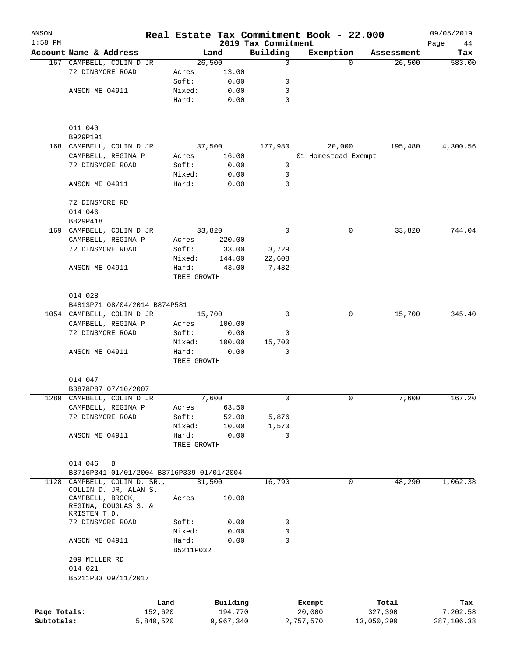| ANSON        |                                           |                      |                |                                 | Real Estate Tax Commitment Book - 22.000 |                    | 09/05/2019        |
|--------------|-------------------------------------------|----------------------|----------------|---------------------------------|------------------------------------------|--------------------|-------------------|
| $1:58$ PM    | Account Name & Address                    |                      | Land           | 2019 Tax Commitment<br>Building | Exemption                                | Assessment         | Page<br>44<br>Tax |
|              | 167 CAMPBELL, COLIN D JR                  | 26,500               |                | 0                               |                                          | 26,500<br>$\Omega$ | 583.00            |
|              | 72 DINSMORE ROAD                          | Acres                | 13.00          |                                 |                                          |                    |                   |
|              |                                           | Soft:                | 0.00           | 0                               |                                          |                    |                   |
|              | ANSON ME 04911                            | Mixed:               | 0.00           | 0                               |                                          |                    |                   |
|              |                                           | Hard:                | 0.00           | 0                               |                                          |                    |                   |
|              | 011 040                                   |                      |                |                                 |                                          |                    |                   |
|              | B929P191                                  |                      |                |                                 |                                          |                    |                   |
|              | 168 CAMPBELL, COLIN D JR                  |                      | 37,500         | 177,980                         | 20,000                                   | 195,480            | 4,300.56          |
|              | CAMPBELL, REGINA P                        | Acres                | 16.00          |                                 | 01 Homestead Exempt                      |                    |                   |
|              | 72 DINSMORE ROAD                          | Soft:                | 0.00           | 0                               |                                          |                    |                   |
|              |                                           | Mixed:               | 0.00           | 0                               |                                          |                    |                   |
|              | ANSON ME 04911                            | Hard:                | 0.00           | 0                               |                                          |                    |                   |
|              | 72 DINSMORE RD<br>014 046                 |                      |                |                                 |                                          |                    |                   |
|              | B829P418                                  |                      |                |                                 |                                          |                    |                   |
|              | 169 CAMPBELL, COLIN D JR                  | 33,820               |                | 0                               |                                          | 0<br>33,820        | 744.04            |
|              | CAMPBELL, REGINA P                        | Acres                | 220.00         |                                 |                                          |                    |                   |
|              | 72 DINSMORE ROAD                          | Soft:                | 33.00          | 3,729                           |                                          |                    |                   |
|              |                                           | Mixed:               | 144.00         | 22,608                          |                                          |                    |                   |
|              | ANSON ME 04911                            | Hard:                | 43.00          | 7,482                           |                                          |                    |                   |
|              |                                           | TREE GROWTH          |                |                                 |                                          |                    |                   |
|              | 014 028                                   |                      |                |                                 |                                          |                    |                   |
|              | B4813P71 08/04/2014 B874P581              |                      |                |                                 |                                          |                    |                   |
|              | 1054 CAMPBELL, COLIN D JR                 | 15,700               |                | $\Omega$                        |                                          | 15,700<br>0        | 345.40            |
|              | CAMPBELL, REGINA P                        | Acres                | 100.00         |                                 |                                          |                    |                   |
|              | 72 DINSMORE ROAD                          | Soft:                | 0.00           | 0                               |                                          |                    |                   |
|              | ANSON ME 04911                            | Mixed:<br>Hard:      | 100.00<br>0.00 | 15,700<br>0                     |                                          |                    |                   |
|              |                                           | TREE GROWTH          |                |                                 |                                          |                    |                   |
|              | 014 047                                   |                      |                |                                 |                                          |                    |                   |
|              | B3878P87 07/10/2007                       |                      |                |                                 |                                          |                    |                   |
|              | 1289 CAMPBELL, COLIN D JR                 |                      | 7,600          | 0                               |                                          | 0<br>7,600         | 167.20            |
|              | CAMPBELL, REGINA P                        | Acres                | 63.50          |                                 |                                          |                    |                   |
|              | 72 DINSMORE ROAD                          | Soft:                | 52.00          | 5,876                           |                                          |                    |                   |
|              |                                           | Mixed:               | 10.00          | 1,570                           |                                          |                    |                   |
|              | ANSON ME 04911                            | Hard:<br>TREE GROWTH | 0.00           | $\mathbf 0$                     |                                          |                    |                   |
|              | 014 046<br>B                              |                      |                |                                 |                                          |                    |                   |
|              | B3716P341 01/01/2004 B3716P339 01/01/2004 |                      |                |                                 |                                          |                    |                   |
| 1128         | CAMPBELL, COLIN D. SR.,                   | 31,500               |                | 16,790                          |                                          | 48,290<br>0        | 1,062.38          |
|              | COLLIN D. JR, ALAN S.                     |                      |                |                                 |                                          |                    |                   |
|              | CAMPBELL, BROCK,<br>REGINA, DOUGLAS S. &  | Acres                | 10.00          |                                 |                                          |                    |                   |
|              | KRISTEN T.D.                              |                      |                |                                 |                                          |                    |                   |
|              | 72 DINSMORE ROAD                          | Soft:<br>Mixed:      | 0.00<br>0.00   | 0<br>0                          |                                          |                    |                   |
|              | ANSON ME 04911                            | Hard:                | 0.00           | 0                               |                                          |                    |                   |
|              |                                           | B5211P032            |                |                                 |                                          |                    |                   |
|              | 209 MILLER RD                             |                      |                |                                 |                                          |                    |                   |
|              | 014 021                                   |                      |                |                                 |                                          |                    |                   |
|              | B5211P33 09/11/2017                       |                      |                |                                 |                                          |                    |                   |
|              | Land                                      |                      | Building       |                                 | Exempt                                   | Total              | Tax               |
| Page Totals: | 152,620                                   |                      | 194,770        |                                 | 20,000                                   | 327,390            | 7,202.58          |
| Subtotals:   | 5,840,520                                 |                      | 9,967,340      |                                 | 2,757,570                                | 13,050,290         | 287,106.38        |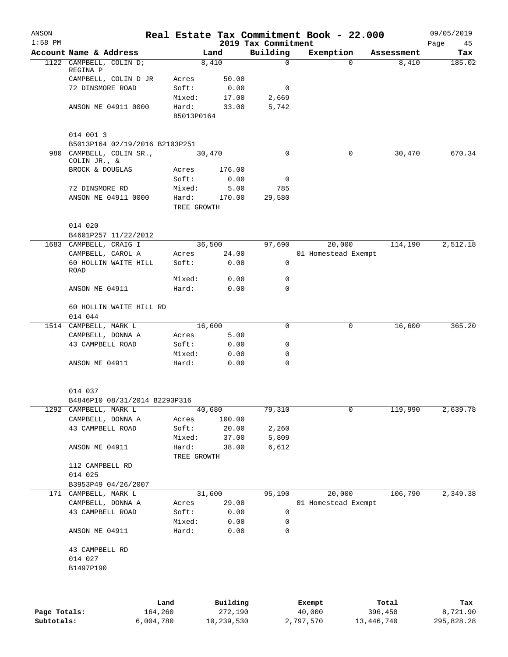| ANSON<br>$1:58$ PM |                                           |             |          | 2019 Tax Commitment | Real Estate Tax Commitment Book - 22.000 |          |            | 09/05/2019<br>Page<br>45 |
|--------------------|-------------------------------------------|-------------|----------|---------------------|------------------------------------------|----------|------------|--------------------------|
|                    | Account Name & Address                    |             | Land     | Building            | Exemption                                |          | Assessment | Tax                      |
|                    | 1122 CAMPBELL, COLIN D;                   |             | 8,410    | $\Omega$            |                                          | $\Omega$ | 8,410      | 185.02                   |
|                    | REGINA P                                  |             |          |                     |                                          |          |            |                          |
|                    | CAMPBELL, COLIN D JR                      | Acres       | 50.00    |                     |                                          |          |            |                          |
|                    | 72 DINSMORE ROAD                          | Soft:       | 0.00     | 0                   |                                          |          |            |                          |
|                    |                                           | Mixed:      | 17.00    | 2,669               |                                          |          |            |                          |
|                    | ANSON ME 04911 0000                       | Hard:       | 33.00    | 5,742               |                                          |          |            |                          |
|                    |                                           | B5013P0164  |          |                     |                                          |          |            |                          |
|                    | 014 001 3                                 |             |          |                     |                                          |          |            |                          |
|                    | B5013P164 02/19/2016 B2103P251            |             |          |                     |                                          |          |            |                          |
|                    | 980 CAMPBELL, COLIN SR.,                  | 30,470      |          | $\Omega$            |                                          | 0        | 30,470     | 670.34                   |
|                    | COLIN JR., &                              |             |          |                     |                                          |          |            |                          |
|                    | BROCK & DOUGLAS                           | Acres       | 176.00   |                     |                                          |          |            |                          |
|                    |                                           | Soft:       | 0.00     | 0                   |                                          |          |            |                          |
|                    | 72 DINSMORE RD                            | Mixed:      | 5.00     | 785                 |                                          |          |            |                          |
|                    | ANSON ME 04911 0000                       | Hard:       | 170.00   | 29,580              |                                          |          |            |                          |
|                    |                                           | TREE GROWTH |          |                     |                                          |          |            |                          |
|                    | 014 020                                   |             |          |                     |                                          |          |            |                          |
|                    | B4601P257 11/22/2012                      |             |          |                     |                                          |          |            |                          |
|                    | 1683 CAMPBELL, CRAIG I                    |             |          |                     |                                          |          |            |                          |
|                    |                                           |             | 36,500   | 97,690              | 20,000                                   |          | 114,190    | 2,512.18                 |
|                    | CAMPBELL, CAROL A<br>60 HOLLIN WAITE HILL | Acres       | 24.00    |                     | 01 Homestead Exempt                      |          |            |                          |
|                    | ROAD                                      | Soft:       | 0.00     | 0                   |                                          |          |            |                          |
|                    |                                           | Mixed:      | 0.00     | 0                   |                                          |          |            |                          |
|                    | ANSON ME 04911                            | Hard:       | 0.00     | 0                   |                                          |          |            |                          |
|                    |                                           |             |          |                     |                                          |          |            |                          |
|                    | 60 HOLLIN WAITE HILL RD<br>014 044        |             |          |                     |                                          |          |            |                          |
|                    | 1514 CAMPBELL, MARK L                     | 16,600      |          | $\mathbf 0$         |                                          | 0        | 16,600     | 365.20                   |
|                    | CAMPBELL, DONNA A                         | Acres       | 5.00     |                     |                                          |          |            |                          |
|                    | 43 CAMPBELL ROAD                          | Soft:       | 0.00     | 0                   |                                          |          |            |                          |
|                    |                                           | Mixed:      | 0.00     | 0                   |                                          |          |            |                          |
|                    | ANSON ME 04911                            | Hard:       | 0.00     | $\mathbf 0$         |                                          |          |            |                          |
|                    | 014 037                                   |             |          |                     |                                          |          |            |                          |
|                    | B4846P10 08/31/2014 B2293P316             |             |          |                     |                                          |          |            |                          |
| 1292               | CAMPBELL, MARK L                          | 40,680      |          | 79,310              |                                          | 0        | 119,990    | 2,639.78                 |
|                    | CAMPBELL, DONNA A                         | Acres       | 100.00   |                     |                                          |          |            |                          |
|                    | 43 CAMPBELL ROAD                          | Soft:       | 20.00    | 2,260               |                                          |          |            |                          |
|                    |                                           | Mixed:      | 37.00    | 5,809               |                                          |          |            |                          |
|                    | ANSON ME 04911                            | Hard:       | 38.00    | 6,612               |                                          |          |            |                          |
|                    |                                           | TREE GROWTH |          |                     |                                          |          |            |                          |
|                    | 112 CAMPBELL RD                           |             |          |                     |                                          |          |            |                          |
|                    | 014 025                                   |             |          |                     |                                          |          |            |                          |
|                    | B3953P49 04/26/2007                       |             |          |                     |                                          |          |            |                          |
| 171                | CAMPBELL, MARK L                          | 31,600      |          | 95,190              | 20,000                                   |          | 106,790    | 2,349.38                 |
|                    | CAMPBELL, DONNA A                         | Acres       | 29.00    |                     | 01 Homestead Exempt                      |          |            |                          |
|                    | 43 CAMPBELL ROAD                          | Soft:       | 0.00     | 0                   |                                          |          |            |                          |
|                    |                                           | Mixed:      | 0.00     | 0                   |                                          |          |            |                          |
|                    | ANSON ME 04911                            | Hard:       | 0.00     | 0                   |                                          |          |            |                          |
|                    |                                           |             |          |                     |                                          |          |            |                          |
|                    | 43 CAMPBELL RD                            |             |          |                     |                                          |          |            |                          |
|                    | 014 027                                   |             |          |                     |                                          |          |            |                          |
|                    | B1497P190                                 |             |          |                     |                                          |          |            |                          |
|                    |                                           |             |          |                     |                                          |          |            |                          |
|                    |                                           |             |          |                     |                                          |          |            |                          |
|                    |                                           | Land        | Building |                     | Exempt                                   |          | Total      | Tax                      |
| Page Totals:       | 164,260                                   |             | 272,190  |                     | 40,000                                   |          | 396,450    | 8,721.90                 |

**Subtotals:** 6,004,780 10,239,530 2,797,570 13,446,740 295,828.28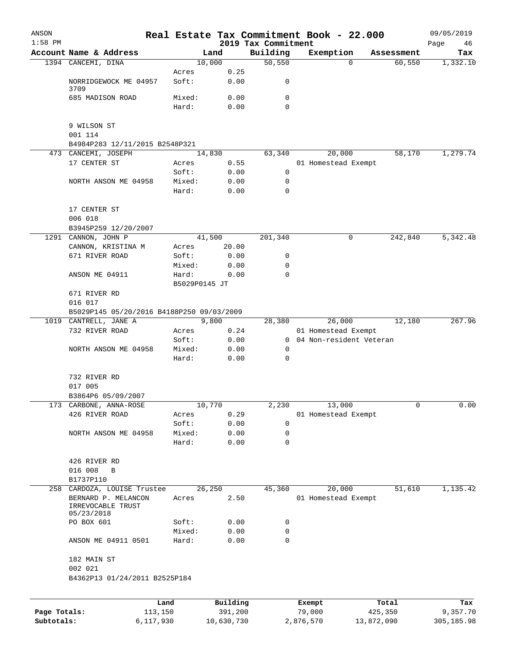| ANSON<br>$1:58$ PM |                                           |                 |                     |                                 | Real Estate Tax Commitment Book - 22.000 |         |            | 09/05/2019        |
|--------------------|-------------------------------------------|-----------------|---------------------|---------------------------------|------------------------------------------|---------|------------|-------------------|
|                    | Account Name & Address                    |                 | Land                | 2019 Tax Commitment<br>Building | Exemption                                |         | Assessment | Page<br>46<br>Tax |
|                    | 1394 CANCEMI, DINA                        |                 | 10,000              | 50,550                          |                                          | 0       | 60,550     | 1,332.10          |
|                    |                                           | Acres           | 0.25                |                                 |                                          |         |            |                   |
|                    | NORRIDGEWOCK ME 04957<br>3709             | Soft:           | 0.00                | 0                               |                                          |         |            |                   |
|                    | 685 MADISON ROAD                          | Mixed:          | 0.00                | 0                               |                                          |         |            |                   |
|                    |                                           | Hard:           | 0.00                | $\Omega$                        |                                          |         |            |                   |
|                    | 9 WILSON ST                               |                 |                     |                                 |                                          |         |            |                   |
|                    | 001 114<br>B4984P283 12/11/2015 B2548P321 |                 |                     |                                 |                                          |         |            |                   |
|                    | 473 CANCEMI, JOSEPH                       |                 | 14,830              | 63,340                          | 20,000                                   |         | 58,170     | 1,279.74          |
|                    | 17 CENTER ST                              | Acres           | 0.55                |                                 | 01 Homestead Exempt                      |         |            |                   |
|                    |                                           | Soft:           | 0.00                | 0                               |                                          |         |            |                   |
|                    | NORTH ANSON ME 04958                      | Mixed:          | 0.00                | 0                               |                                          |         |            |                   |
|                    |                                           | Hard:           | 0.00                | $\mathbf 0$                     |                                          |         |            |                   |
|                    | 17 CENTER ST                              |                 |                     |                                 |                                          |         |            |                   |
|                    | 006 018                                   |                 |                     |                                 |                                          |         |            |                   |
|                    | B3945P259 12/20/2007                      |                 |                     |                                 |                                          |         |            |                   |
|                    | 1291 CANNON, JOHN P                       |                 | 41,500              | 201,340                         |                                          | 0       | 242,840    | 5,342.48          |
|                    | CANNON, KRISTINA M                        | Acres           | 20.00               |                                 |                                          |         |            |                   |
|                    | 671 RIVER ROAD                            | Soft:<br>Mixed: | 0.00<br>0.00        | 0<br>0                          |                                          |         |            |                   |
|                    | ANSON ME 04911                            | Hard:           | 0.00                | $\Omega$                        |                                          |         |            |                   |
|                    |                                           | B5029P0145 JT   |                     |                                 |                                          |         |            |                   |
|                    | 671 RIVER RD                              |                 |                     |                                 |                                          |         |            |                   |
|                    | 016 017                                   |                 |                     |                                 |                                          |         |            |                   |
|                    | B5029P145 05/20/2016 B4188P250 09/03/2009 |                 |                     |                                 |                                          |         |            |                   |
|                    | 1019 CANTRELL, JANE A                     |                 | 9,800               | 28,380                          | 26,000                                   |         | 12,180     | 267.96            |
|                    | 732 RIVER ROAD                            | Acres           | 0.24                |                                 | 01 Homestead Exempt                      |         |            |                   |
|                    |                                           | Soft:           | 0.00                |                                 | 0 04 Non-resident Veteran                |         |            |                   |
|                    | NORTH ANSON ME 04958                      | Mixed:          | 0.00                | 0                               |                                          |         |            |                   |
|                    |                                           | Hard:           | 0.00                | 0                               |                                          |         |            |                   |
|                    | 732 RIVER RD                              |                 |                     |                                 |                                          |         |            |                   |
|                    | 017 005                                   |                 |                     |                                 |                                          |         |            |                   |
|                    | B3864P6 05/09/2007                        |                 |                     |                                 |                                          |         |            |                   |
|                    | 173 CARBONE, ANNA-ROSE                    |                 | 10,770              | 2,230                           | 13,000                                   |         | 0          | 0.00              |
|                    | 426 RIVER ROAD                            | Acres           | 0.29                |                                 | 01 Homestead Exempt                      |         |            |                   |
|                    |                                           | Soft:           | 0.00                | 0                               |                                          |         |            |                   |
|                    | NORTH ANSON ME 04958                      | Mixed:          | 0.00                | 0                               |                                          |         |            |                   |
|                    |                                           | Hard:           | 0.00                | 0                               |                                          |         |            |                   |
|                    | 426 RIVER RD<br>016 008                   |                 |                     |                                 |                                          |         |            |                   |
|                    | B<br>B1737P110                            |                 |                     |                                 |                                          |         |            |                   |
| 258                | CARDOZA, LOUISE Trustee                   |                 | 26,250              | 45,360                          | 20,000                                   |         | 51,610     | 1,135.42          |
|                    | BERNARD P. MELANCON<br>IRREVOCABLE TRUST  | Acres           | 2.50                |                                 | 01 Homestead Exempt                      |         |            |                   |
|                    | 05/23/2018                                |                 |                     |                                 |                                          |         |            |                   |
|                    | PO BOX 601                                | Soft:           | 0.00                | 0                               |                                          |         |            |                   |
|                    |                                           | Mixed:          | 0.00                | 0                               |                                          |         |            |                   |
|                    | ANSON ME 04911 0501                       | Hard:           | 0.00                | 0                               |                                          |         |            |                   |
|                    | 182 MAIN ST<br>002 021                    |                 |                     |                                 |                                          |         |            |                   |
|                    | B4362P13 01/24/2011 B2525P184             |                 |                     |                                 |                                          |         |            |                   |
|                    |                                           |                 |                     |                                 |                                          |         |            |                   |
| Page Totals:       | Land<br>113,150                           |                 | Building<br>391,200 |                                 | Exempt<br>79,000                         | 425,350 | Total      | Tax<br>9,357.70   |
|                    |                                           |                 |                     |                                 |                                          |         |            |                   |

**Subtotals:** 6,117,930 10,630,730 2,876,570 13,872,090 305,185.98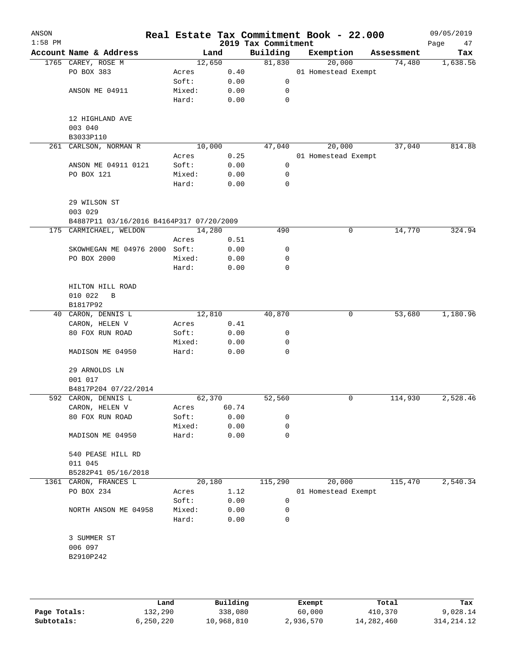| ANSON<br>$1:58$ PM |                                                                    | Real Estate Tax Commitment Book - 22.000 |              | 2019 Tax Commitment |           |                               |            | 09/05/2019<br>Page<br>47 |
|--------------------|--------------------------------------------------------------------|------------------------------------------|--------------|---------------------|-----------|-------------------------------|------------|--------------------------|
|                    | Account Name & Address                                             | Land                                     |              | Building            | Exemption |                               | Assessment | Tax                      |
|                    | 1765 CAREY, ROSE M                                                 | 12,650                                   |              | 81,830              |           | 20,000                        | 74,480     | 1,638.56                 |
|                    | PO BOX 383                                                         | Acres                                    | 0.40         |                     |           | 01 Homestead Exempt           |            |                          |
|                    |                                                                    | Soft:                                    | 0.00         | 0                   |           |                               |            |                          |
|                    | ANSON ME 04911                                                     | Mixed:                                   | 0.00         | 0                   |           |                               |            |                          |
|                    |                                                                    | Hard:                                    | 0.00         | 0                   |           |                               |            |                          |
|                    | 12 HIGHLAND AVE                                                    |                                          |              |                     |           |                               |            |                          |
|                    | 003 040                                                            |                                          |              |                     |           |                               |            |                          |
|                    | B3033P110                                                          | 10,000                                   |              |                     |           |                               |            | 814.88                   |
|                    | 261 CARLSON, NORMAN R                                              |                                          | 0.25         | 47,040              |           | 20,000<br>01 Homestead Exempt | 37,040     |                          |
|                    | ANSON ME 04911 0121                                                | Acres<br>Soft:                           | 0.00         | 0                   |           |                               |            |                          |
|                    | PO BOX 121                                                         | Mixed:                                   | 0.00         | 0                   |           |                               |            |                          |
|                    |                                                                    | Hard:                                    | 0.00         | 0                   |           |                               |            |                          |
|                    | 29 WILSON ST                                                       |                                          |              |                     |           |                               |            |                          |
|                    | 003 029                                                            |                                          |              |                     |           |                               |            |                          |
|                    |                                                                    |                                          |              |                     |           |                               |            |                          |
|                    | B4887P11 03/16/2016 B4164P317 07/20/2009<br>175 CARMICHAEL, WELDON | 14,280                                   |              | 490                 |           | 0                             | 14,770     | 324.94                   |
|                    |                                                                    |                                          |              |                     |           |                               |            |                          |
|                    | SKOWHEGAN ME 04976 2000 Soft:                                      | Acres                                    | 0.51         | 0                   |           |                               |            |                          |
|                    |                                                                    | Mixed:                                   | 0.00         | 0                   |           |                               |            |                          |
|                    | PO BOX 2000                                                        | Hard:                                    | 0.00<br>0.00 | 0                   |           |                               |            |                          |
|                    |                                                                    |                                          |              |                     |           |                               |            |                          |
|                    | HILTON HILL ROAD                                                   |                                          |              |                     |           |                               |            |                          |
|                    | 010 022<br>B                                                       |                                          |              |                     |           |                               |            |                          |
|                    | B1817P92                                                           |                                          |              |                     |           |                               |            |                          |
|                    | 40 CARON, DENNIS L                                                 | 12,810                                   |              | 40,870              |           | 0                             | 53,680     | 1,180.96                 |
|                    | CARON, HELEN V                                                     | Acres                                    | 0.41         |                     |           |                               |            |                          |
|                    | 80 FOX RUN ROAD                                                    | Soft:                                    | 0.00         | 0                   |           |                               |            |                          |
|                    |                                                                    | Mixed:                                   | 0.00         | 0                   |           |                               |            |                          |
|                    | MADISON ME 04950                                                   | Hard:                                    | 0.00         | 0                   |           |                               |            |                          |
|                    | 29 ARNOLDS LN                                                      |                                          |              |                     |           |                               |            |                          |
|                    | 001 017                                                            |                                          |              |                     |           |                               |            |                          |
|                    | B4817P204 07/22/2014                                               |                                          |              |                     |           |                               |            |                          |
|                    | 592 CARON, DENNIS L                                                | 62,370                                   |              | 52,560              |           | 0                             | 114,930    | 2,528.46                 |
|                    | CARON, HELEN V                                                     | Acres                                    | 60.74        |                     |           |                               |            |                          |
|                    | 80 FOX RUN ROAD                                                    | Soft:                                    | 0.00         | 0                   |           |                               |            |                          |
|                    |                                                                    | Mixed:                                   | 0.00         | 0                   |           |                               |            |                          |
|                    | MADISON ME 04950                                                   | Hard:                                    | 0.00         | 0                   |           |                               |            |                          |
|                    | 540 PEASE HILL RD                                                  |                                          |              |                     |           |                               |            |                          |
|                    | 011 045                                                            |                                          |              |                     |           |                               |            |                          |
|                    | B5282P41 05/16/2018                                                |                                          |              |                     |           |                               |            |                          |
|                    | 1361 CARON, FRANCES L                                              | 20,180                                   |              | 115,290             |           | 20,000                        | 115,470    | 2,540.34                 |
|                    | PO BOX 234                                                         | Acres                                    | 1.12         |                     |           | 01 Homestead Exempt           |            |                          |
|                    |                                                                    | Soft:                                    | 0.00         | 0                   |           |                               |            |                          |
|                    | NORTH ANSON ME 04958                                               | Mixed:                                   | 0.00         | 0                   |           |                               |            |                          |
|                    |                                                                    | Hard:                                    | 0.00         | 0                   |           |                               |            |                          |
|                    | 3 SUMMER ST                                                        |                                          |              |                     |           |                               |            |                          |
|                    | 006 097                                                            |                                          |              |                     |           |                               |            |                          |
|                    | B2910P242                                                          |                                          |              |                     |           |                               |            |                          |
|                    |                                                                    |                                          |              |                     |           |                               |            |                          |
|                    |                                                                    |                                          |              |                     |           |                               |            |                          |
|                    |                                                                    |                                          |              |                     |           |                               |            |                          |

|              | Land      | Building   | Exempt    | Total      | Tax          |
|--------------|-----------|------------|-----------|------------|--------------|
| Page Totals: | 132,290   | 338,080    | 60,000    | 410,370    | 9,028.14     |
| Subtotals:   | 6.250.220 | 10,968,810 | 2,936,570 | 14,282,460 | 314, 214, 12 |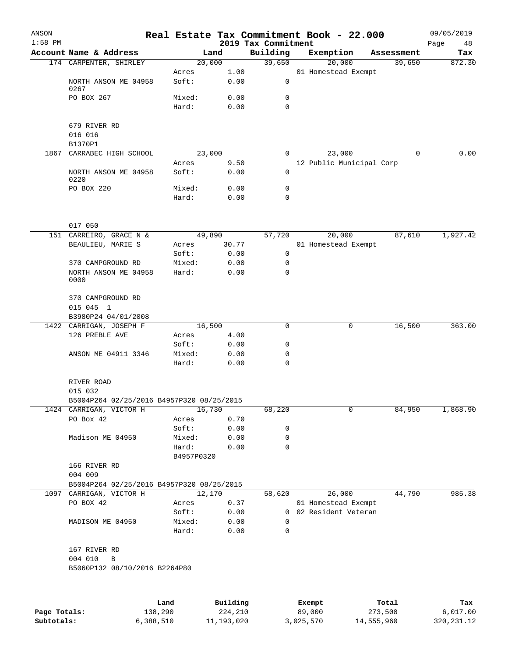| ANSON<br>$1:58$ PM |                                                                      |                 |              | 2019 Tax Commitment | Real Estate Tax Commitment Book - 22.000 |   |            | 09/05/2019<br>Page<br>48 |
|--------------------|----------------------------------------------------------------------|-----------------|--------------|---------------------|------------------------------------------|---|------------|--------------------------|
|                    | Account Name & Address                                               |                 | Land         | Building            | Exemption                                |   | Assessment | Tax                      |
|                    | 174 CARPENTER, SHIRLEY                                               | 20,000          |              | 39,650              | 20,000                                   |   | 39,650     | 872.30                   |
|                    |                                                                      | Acres           | 1.00         |                     | 01 Homestead Exempt                      |   |            |                          |
|                    | NORTH ANSON ME 04958<br>0267                                         | Soft:           | 0.00         | 0                   |                                          |   |            |                          |
|                    | PO BOX 267                                                           | Mixed:          | 0.00         | 0                   |                                          |   |            |                          |
|                    |                                                                      | Hard:           | 0.00         | 0                   |                                          |   |            |                          |
|                    | 679 RIVER RD<br>016 016<br>B1370P1                                   |                 |              |                     |                                          |   |            |                          |
| 1867               | CARRABEC HIGH SCHOOL                                                 | 23,000          |              | $\Omega$            | 23,000                                   |   | $\Omega$   | 0.00                     |
|                    |                                                                      | Acres           | 9.50         |                     | 12 Public Municipal Corp                 |   |            |                          |
|                    | NORTH ANSON ME 04958<br>0220                                         | Soft:           | 0.00         | $\mathsf{O}$        |                                          |   |            |                          |
|                    | PO BOX 220                                                           | Mixed:          | 0.00         | 0                   |                                          |   |            |                          |
|                    |                                                                      | Hard:           | 0.00         | $\mathbf 0$         |                                          |   |            |                          |
|                    | 017 050                                                              |                 |              |                     |                                          |   |            |                          |
|                    | 151 CARREIRO, GRACE N &                                              | 49,890          |              | 57,720              | 20,000                                   |   | 87,610     | 1,927.42                 |
|                    | BEAULIEU, MARIE S                                                    | Acres           | 30.77        |                     | 01 Homestead Exempt                      |   |            |                          |
|                    |                                                                      | Soft:           | 0.00         | 0                   |                                          |   |            |                          |
|                    | 370 CAMPGROUND RD                                                    | Mixed:          | 0.00         | 0                   |                                          |   |            |                          |
|                    | NORTH ANSON ME 04958<br>0000                                         | Hard:           | 0.00         | $\mathbf 0$         |                                          |   |            |                          |
|                    | 370 CAMPGROUND RD<br>015 045 1                                       |                 |              |                     |                                          |   |            |                          |
|                    | B3980P24 04/01/2008                                                  |                 |              |                     |                                          |   |            |                          |
|                    | 1422 CARRIGAN, JOSEPH F                                              | 16,500          |              | $\mathbf 0$         |                                          | 0 | 16,500     | 363.00                   |
|                    | 126 PREBLE AVE                                                       | Acres           | 4.00         |                     |                                          |   |            |                          |
|                    |                                                                      | Soft:           | 0.00         | 0                   |                                          |   |            |                          |
|                    | ANSON ME 04911 3346                                                  | Mixed:<br>Hard: | 0.00<br>0.00 | 0<br>$\mathbf 0$    |                                          |   |            |                          |
|                    | RIVER ROAD                                                           |                 |              |                     |                                          |   |            |                          |
|                    | 015 032                                                              |                 |              |                     |                                          |   |            |                          |
|                    | B5004P264 02/25/2016 B4957P320 08/25/2015<br>1424 CARRIGAN, VICTOR H | 16,730          |              | 68,220              |                                          | 0 | 84,950     | 1,868.90                 |
|                    | PO Box 42                                                            | Acres           | 0.70         |                     |                                          |   |            |                          |
|                    |                                                                      | Soft:           | 0.00         | 0                   |                                          |   |            |                          |
|                    | Madison ME 04950                                                     | Mixed:          | 0.00         | 0                   |                                          |   |            |                          |
|                    |                                                                      | Hard:           | 0.00         | 0                   |                                          |   |            |                          |
|                    |                                                                      | B4957P0320      |              |                     |                                          |   |            |                          |
|                    | 166 RIVER RD                                                         |                 |              |                     |                                          |   |            |                          |
|                    | 004 009                                                              |                 |              |                     |                                          |   |            |                          |
|                    | B5004P264 02/25/2016 B4957P320 08/25/2015                            |                 |              |                     |                                          |   |            |                          |
|                    | 1097 CARRIGAN, VICTOR H                                              | 12,170          |              | 58,620              | 26,000                                   |   | 44,790     | 985.38                   |
|                    | PO BOX 42                                                            | Acres           | 0.37         |                     | 01 Homestead Exempt                      |   |            |                          |
|                    |                                                                      | Soft:           | 0.00         |                     | 0 02 Resident Veteran                    |   |            |                          |
|                    | MADISON ME 04950                                                     | Mixed:          | 0.00         | 0                   |                                          |   |            |                          |
|                    |                                                                      | Hard:           | 0.00         | $\mathbf 0$         |                                          |   |            |                          |
|                    | 167 RIVER RD                                                         |                 |              |                     |                                          |   |            |                          |
|                    | 004 010<br>$\mathbf{B}$                                              |                 |              |                     |                                          |   |            |                          |
|                    | B5060P132 08/10/2016 B2264P80                                        |                 |              |                     |                                          |   |            |                          |
|                    |                                                                      |                 |              |                     |                                          |   |            |                          |
|                    |                                                                      |                 |              |                     |                                          |   |            |                          |

|              | Land      | Building   | Exempt    | Total      | Tax          |
|--------------|-----------|------------|-----------|------------|--------------|
| Page Totals: | 138,290   | 224,210    | 89,000    | 273,500    | 6,017.00     |
| Subtotals:   | 6,388,510 | 11,193,020 | 3,025,570 | 14,555,960 | 320, 231. 12 |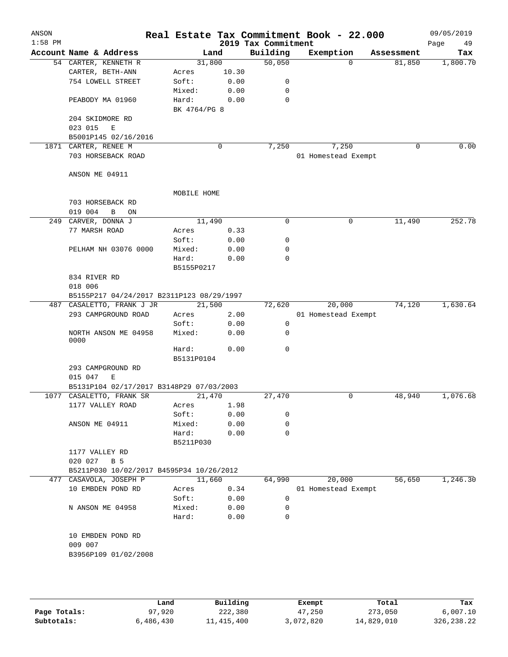| ANSON<br>$1:58$ PM |                                           |                       |              | 2019 Tax Commitment | Real Estate Tax Commitment Book - 22.000 |            | 09/05/2019<br>Page<br>49 |
|--------------------|-------------------------------------------|-----------------------|--------------|---------------------|------------------------------------------|------------|--------------------------|
|                    | Account Name & Address                    |                       | Land         | Building            | Exemption                                | Assessment | Tax                      |
|                    | 54 CARTER, KENNETH R                      | 31,800                |              | 50,050              |                                          | $\Omega$   | 81,850<br>1,800.70       |
|                    | CARTER, BETH-ANN                          | Acres                 | 10.30        |                     |                                          |            |                          |
|                    | 754 LOWELL STREET                         | Soft:                 | 0.00         | 0                   |                                          |            |                          |
|                    |                                           | Mixed:                | 0.00         | $\mathbf 0$         |                                          |            |                          |
|                    | PEABODY MA 01960                          | Hard:<br>BK 4764/PG 8 | 0.00         | 0                   |                                          |            |                          |
|                    | 204 SKIDMORE RD                           |                       |              |                     |                                          |            |                          |
|                    | 023 015<br>E                              |                       |              |                     |                                          |            |                          |
|                    | B5001P145 02/16/2016                      |                       |              |                     |                                          |            |                          |
|                    | 1871 CARTER, RENEE M                      |                       | $\mathbf 0$  | 7,250               | 7,250                                    |            | 0.00<br>0                |
|                    | 703 HORSEBACK ROAD                        |                       |              |                     | 01 Homestead Exempt                      |            |                          |
|                    | ANSON ME 04911                            |                       |              |                     |                                          |            |                          |
|                    |                                           | MOBILE HOME           |              |                     |                                          |            |                          |
|                    | 703 HORSEBACK RD                          |                       |              |                     |                                          |            |                          |
|                    | 019 004<br>B<br>ON                        |                       |              |                     |                                          |            |                          |
| 249                | CARVER, DONNA J                           | 11,490                |              | $\mathbf 0$         |                                          | 0          | 252.78<br>11,490         |
|                    | 77 MARSH ROAD                             | Acres                 | 0.33         |                     |                                          |            |                          |
|                    |                                           | Soft:                 | 0.00         | 0                   |                                          |            |                          |
|                    | PELHAM NH 03076 0000                      | Mixed:                | 0.00         | 0                   |                                          |            |                          |
|                    |                                           | Hard:                 | 0.00         | $\mathbf 0$         |                                          |            |                          |
|                    |                                           | B5155P0217            |              |                     |                                          |            |                          |
|                    | 834 RIVER RD                              |                       |              |                     |                                          |            |                          |
|                    | 018 006                                   |                       |              |                     |                                          |            |                          |
|                    | B5155P217 04/24/2017 B2311P123 08/29/1997 |                       |              |                     |                                          |            |                          |
| 487                | CASALETTO, FRANK J JR                     | 21,500                |              | 72,620              | 20,000                                   |            | 74,120<br>1,630.64       |
|                    | 293 CAMPGROUND ROAD                       | Acres<br>Soft:        | 2.00<br>0.00 | 0                   | 01 Homestead Exempt                      |            |                          |
|                    | NORTH ANSON ME 04958                      | Mixed:                | 0.00         | 0                   |                                          |            |                          |
|                    | 0000                                      |                       |              |                     |                                          |            |                          |
|                    |                                           | Hard:                 | 0.00         | $\mathbf 0$         |                                          |            |                          |
|                    |                                           | B5131P0104            |              |                     |                                          |            |                          |
|                    | 293 CAMPGROUND RD                         |                       |              |                     |                                          |            |                          |
|                    | 015 047<br>Ε                              |                       |              |                     |                                          |            |                          |
|                    | B5131P104 02/17/2017 B3148P29 07/03/2003  |                       |              |                     |                                          |            |                          |
|                    | 1077 CASALETTO, FRANK SR                  | 21,470                |              | 27,470              |                                          | 0          | 1,076.68<br>48,940       |
|                    | 1177 VALLEY ROAD                          | Acres                 | 1.98         |                     |                                          |            |                          |
|                    |                                           | Soft:                 | 0.00         | 0                   |                                          |            |                          |
|                    | ANSON ME 04911                            | Mixed:                | 0.00         | 0                   |                                          |            |                          |
|                    |                                           | Hard:                 | 0.00         | 0                   |                                          |            |                          |
|                    |                                           | B5211P030             |              |                     |                                          |            |                          |
|                    | 1177 VALLEY RD                            |                       |              |                     |                                          |            |                          |
|                    | 020 027<br>B 5                            |                       |              |                     |                                          |            |                          |
|                    | B5211P030 10/02/2017 B4595P34 10/26/2012  |                       |              |                     |                                          |            |                          |
| 477                | CASAVOLA, JOSEPH P                        | 11,660                |              | 64,990              | 20,000                                   |            | 56,650<br>1,246.30       |
|                    | 10 EMBDEN POND RD                         | Acres                 | 0.34         |                     | 01 Homestead Exempt                      |            |                          |
|                    |                                           | Soft:                 | 0.00         | 0                   |                                          |            |                          |
|                    | N ANSON ME 04958                          | Mixed:                | 0.00         | 0                   |                                          |            |                          |
|                    |                                           | Hard:                 | 0.00         | 0                   |                                          |            |                          |
|                    |                                           |                       |              |                     |                                          |            |                          |
|                    | 10 EMBDEN POND RD<br>009 007              |                       |              |                     |                                          |            |                          |
|                    | B3956P109 01/02/2008                      |                       |              |                     |                                          |            |                          |
|                    |                                           |                       |              |                     |                                          |            |                          |
|                    |                                           |                       |              |                     |                                          |            |                          |
|                    |                                           |                       |              |                     |                                          |            |                          |

|              | Land      | Building   | Exempt    | Total      | Tax          |
|--------------|-----------|------------|-----------|------------|--------------|
| Page Totals: | 97,920    | 222,380    | 47,250    | 273,050    | 6,007.10     |
| Subtotals:   | 6,486,430 | 11,415,400 | 3,072,820 | 14,829,010 | 326, 238, 22 |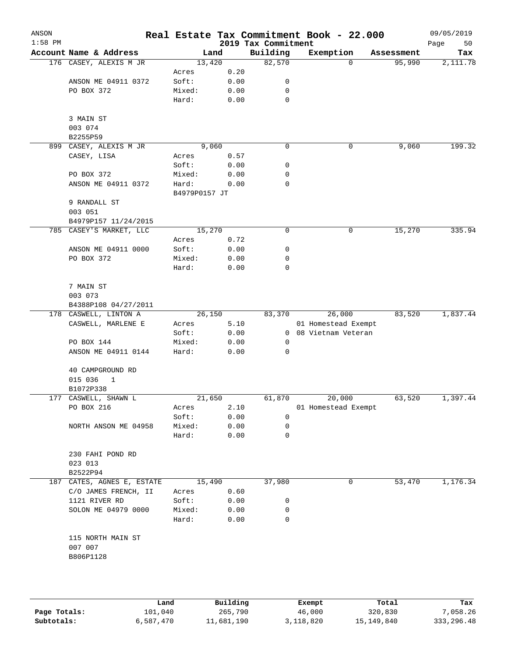| ANSON<br>$1:58$ PM |                                    |               |      | 2019 Tax Commitment | Real Estate Tax Commitment Book - 22.000 |            | 09/05/2019<br>Page<br>50 |
|--------------------|------------------------------------|---------------|------|---------------------|------------------------------------------|------------|--------------------------|
|                    | Account Name & Address             |               | Land | Building            | Exemption                                | Assessment | Tax                      |
|                    | 176 CASEY, ALEXIS M JR             | 13,420        |      | 82,570              | 0                                        | 95,990     | 2,111.78                 |
|                    |                                    | Acres         | 0.20 |                     |                                          |            |                          |
|                    | ANSON ME 04911 0372                | Soft:         | 0.00 | 0                   |                                          |            |                          |
|                    | PO BOX 372                         | Mixed:        | 0.00 | 0                   |                                          |            |                          |
|                    |                                    | Hard:         | 0.00 | $\mathbf 0$         |                                          |            |                          |
|                    | 3 MAIN ST                          |               |      |                     |                                          |            |                          |
|                    | 003 074                            |               |      |                     |                                          |            |                          |
|                    | B2255P59<br>899 CASEY, ALEXIS M JR | 9,060         |      | $\mathbf 0$         | 0                                        | 9,060      | 199.32                   |
|                    | CASEY, LISA                        | Acres         | 0.57 |                     |                                          |            |                          |
|                    |                                    | Soft:         | 0.00 | 0                   |                                          |            |                          |
|                    | PO BOX 372                         | Mixed:        | 0.00 | 0                   |                                          |            |                          |
|                    | ANSON ME 04911 0372                | Hard:         | 0.00 | 0                   |                                          |            |                          |
|                    |                                    | B4979P0157 JT |      |                     |                                          |            |                          |
|                    | 9 RANDALL ST                       |               |      |                     |                                          |            |                          |
|                    | 003 051                            |               |      |                     |                                          |            |                          |
|                    | B4979P157 11/24/2015               |               |      |                     |                                          |            |                          |
|                    | 785 CASEY'S MARKET, LLC            | 15,270        |      | 0                   | 0                                        | 15,270     | 335.94                   |
|                    |                                    | Acres         | 0.72 |                     |                                          |            |                          |
|                    | ANSON ME 04911 0000                | Soft:         | 0.00 | 0                   |                                          |            |                          |
|                    | PO BOX 372                         | Mixed:        | 0.00 | 0                   |                                          |            |                          |
|                    |                                    | Hard:         | 0.00 | 0                   |                                          |            |                          |
|                    | 7 MAIN ST                          |               |      |                     |                                          |            |                          |
|                    | 003 073                            |               |      |                     |                                          |            |                          |
|                    | B4388P108 04/27/2011               |               |      |                     |                                          |            |                          |
|                    | 178 CASWELL, LINTON A              | 26,150        |      | 83,370              | 26,000                                   | 83,520     | 1,837.44                 |
|                    | CASWELL, MARLENE E                 | Acres         | 5.10 |                     | 01 Homestead Exempt                      |            |                          |
|                    |                                    | Soft:         | 0.00 | $\mathbf{0}$        | 08 Vietnam Veteran                       |            |                          |
|                    | PO BOX 144                         | Mixed:        | 0.00 | 0                   |                                          |            |                          |
|                    | ANSON ME 04911 0144                | Hard:         | 0.00 | 0                   |                                          |            |                          |
|                    | 40 CAMPGROUND RD                   |               |      |                     |                                          |            |                          |
|                    | 015 036<br>1                       |               |      |                     |                                          |            |                          |
|                    | B1072P338                          |               |      |                     |                                          |            |                          |
|                    | 177 CASWELL, SHAWN L               | 21,650        |      | 61,870              | 20,000                                   | 63,520     | 1,397.44                 |
|                    | PO BOX 216                         | Acres         | 2.10 |                     | 01 Homestead Exempt                      |            |                          |
|                    |                                    | Soft:         | 0.00 | 0                   |                                          |            |                          |
|                    | NORTH ANSON ME 04958               | Mixed:        | 0.00 | 0                   |                                          |            |                          |
|                    |                                    | Hard:         | 0.00 | 0                   |                                          |            |                          |
|                    | 230 FAHI POND RD                   |               |      |                     |                                          |            |                          |
|                    | 023 013                            |               |      |                     |                                          |            |                          |
|                    | B2522P94                           |               |      |                     |                                          |            |                          |
|                    | 187 CATES, AGNES E, ESTATE         | 15,490        |      | 37,980              | 0                                        | 53,470     | 1,176.34                 |
|                    | C/O JAMES FRENCH, II               | Acres         | 0.60 |                     |                                          |            |                          |
|                    | 1121 RIVER RD                      | Soft:         | 0.00 | 0                   |                                          |            |                          |
|                    | SOLON ME 04979 0000                | Mixed:        | 0.00 | 0                   |                                          |            |                          |
|                    |                                    | Hard:         | 0.00 | 0                   |                                          |            |                          |
|                    |                                    |               |      |                     |                                          |            |                          |
|                    | 115 NORTH MAIN ST                  |               |      |                     |                                          |            |                          |
|                    | 007 007                            |               |      |                     |                                          |            |                          |
|                    | B806P1128                          |               |      |                     |                                          |            |                          |
|                    |                                    |               |      |                     |                                          |            |                          |
|                    |                                    |               |      |                     |                                          |            |                          |
|                    |                                    |               |      |                     |                                          |            |                          |

|              | Land      | Building   | Exempt    | Total      | Tax         |
|--------------|-----------|------------|-----------|------------|-------------|
| Page Totals: | 101,040   | 265,790    | 46,000    | 320,830    | 7,058.26    |
| Subtotals:   | 6,587,470 | 11,681,190 | 3,118,820 | 15,149,840 | 333, 296.48 |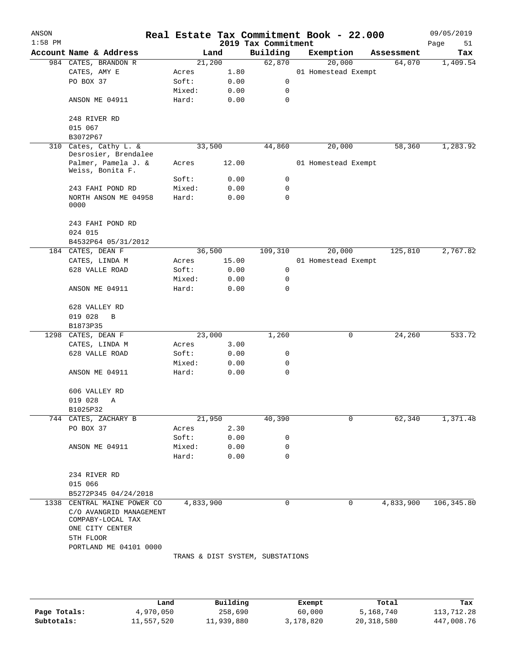| ANSON<br>$1:58$ PM |                                              |           |        | 2019 Tax Commitment              | Real Estate Tax Commitment Book - 22.000 |            | 09/05/2019<br>Page<br>51 |
|--------------------|----------------------------------------------|-----------|--------|----------------------------------|------------------------------------------|------------|--------------------------|
|                    | Account Name & Address                       |           | Land   | Building                         | Exemption                                | Assessment | Tax                      |
|                    | 984 CATES, BRANDON R                         |           | 21,200 | 62,870                           | 20,000                                   | 64,070     | 1,409.54                 |
|                    | CATES, AMY E                                 | Acres     | 1.80   |                                  | 01 Homestead Exempt                      |            |                          |
|                    | PO BOX 37                                    | Soft:     | 0.00   | 0                                |                                          |            |                          |
|                    |                                              | Mixed:    | 0.00   | 0                                |                                          |            |                          |
|                    | ANSON ME 04911                               | Hard:     | 0.00   | 0                                |                                          |            |                          |
|                    | 248 RIVER RD                                 |           |        |                                  |                                          |            |                          |
|                    | 015 067                                      |           |        |                                  |                                          |            |                          |
|                    | B3072P67                                     |           |        |                                  |                                          |            |                          |
| 310                | Cates, Cathy L. &<br>Desrosier, Brendalee    |           | 33,500 | 44,860                           | 20,000                                   | 58,360     | 1,283.92                 |
|                    | Palmer, Pamela J. &<br>Weiss, Bonita F.      | Acres     | 12.00  |                                  | 01 Homestead Exempt                      |            |                          |
|                    |                                              | Soft:     | 0.00   | 0                                |                                          |            |                          |
|                    | 243 FAHI POND RD                             | Mixed:    | 0.00   | 0                                |                                          |            |                          |
|                    | NORTH ANSON ME 04958<br>0000                 | Hard:     | 0.00   | 0                                |                                          |            |                          |
|                    | 243 FAHI POND RD                             |           |        |                                  |                                          |            |                          |
|                    | 024 015                                      |           |        |                                  |                                          |            |                          |
|                    | B4532P64 05/31/2012                          |           |        |                                  |                                          |            |                          |
|                    | 184 CATES, DEAN F                            |           | 36,500 | 109,310                          | 20,000                                   | 125,810    | 2,767.82                 |
|                    | CATES, LINDA M                               | Acres     | 15.00  |                                  | 01 Homestead Exempt                      |            |                          |
|                    | 628 VALLE ROAD                               | Soft:     | 0.00   | 0                                |                                          |            |                          |
|                    |                                              | Mixed:    | 0.00   | 0                                |                                          |            |                          |
|                    | ANSON ME 04911                               | Hard:     | 0.00   | 0                                |                                          |            |                          |
|                    | 628 VALLEY RD                                |           |        |                                  |                                          |            |                          |
|                    | 019 028<br>B                                 |           |        |                                  |                                          |            |                          |
|                    | B1873P35                                     |           |        |                                  |                                          |            |                          |
| 1298               | CATES, DEAN F                                |           | 23,000 | 1,260                            | 0                                        | 24,260     | 533.72                   |
|                    | CATES, LINDA M                               | Acres     | 3.00   |                                  |                                          |            |                          |
|                    | 628 VALLE ROAD                               | Soft:     | 0.00   | 0                                |                                          |            |                          |
|                    |                                              | Mixed:    | 0.00   | 0                                |                                          |            |                          |
|                    | ANSON ME 04911                               | Hard:     | 0.00   | 0                                |                                          |            |                          |
|                    | 606 VALLEY RD                                |           |        |                                  |                                          |            |                          |
|                    | 019 028 A                                    |           |        |                                  |                                          |            |                          |
|                    | B1025P32                                     |           |        |                                  |                                          |            |                          |
|                    | 744 CATES, ZACHARY B                         |           | 21,950 | 40,390                           | 0                                        | 62,340     | 1,371.48                 |
|                    | PO BOX 37                                    | Acres     | 2.30   |                                  |                                          |            |                          |
|                    |                                              | Soft:     | 0.00   | 0                                |                                          |            |                          |
|                    | ANSON ME 04911                               | Mixed:    | 0.00   | 0                                |                                          |            |                          |
|                    |                                              | Hard:     | 0.00   | 0                                |                                          |            |                          |
|                    | 234 RIVER RD                                 |           |        |                                  |                                          |            |                          |
|                    | 015 066                                      |           |        |                                  |                                          |            |                          |
|                    | B5272P345 04/24/2018                         |           |        |                                  |                                          |            |                          |
|                    | 1338 CENTRAL MAINE POWER CO                  | 4,833,900 |        | 0                                | 0                                        | 4,833,900  | 106,345.80               |
|                    | C/O AVANGRID MANAGEMENT<br>COMPABY-LOCAL TAX |           |        |                                  |                                          |            |                          |
|                    | ONE CITY CENTER                              |           |        |                                  |                                          |            |                          |
|                    | 5TH FLOOR                                    |           |        |                                  |                                          |            |                          |
|                    | PORTLAND ME 04101 0000                       |           |        |                                  |                                          |            |                          |
|                    |                                              |           |        | TRANS & DIST SYSTEM, SUBSTATIONS |                                          |            |                          |
|                    |                                              |           |        |                                  |                                          |            |                          |
|                    |                                              |           |        |                                  |                                          |            |                          |

|              | Land       | Building   | Exempt    | Total      | Tax        |
|--------------|------------|------------|-----------|------------|------------|
| Page Totals: | 4,970,050  | 258,690    | 60,000    | 5,168,740  | 113,712.28 |
| Subtotals:   | 11,557,520 | 11,939,880 | 3,178,820 | 20,318,580 | 447,008.76 |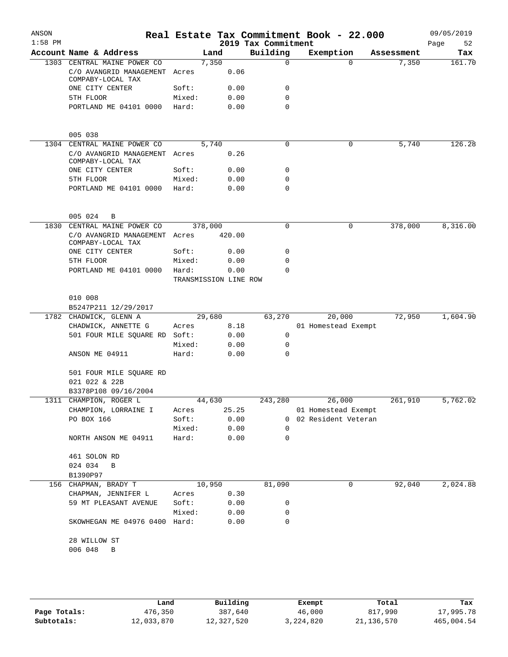| ANSON<br>$1:58$ PM |                                                      |                       |              | 2019 Tax Commitment | Real Estate Tax Commitment Book - 22.000 |            | 09/05/2019<br>Page<br>52 |
|--------------------|------------------------------------------------------|-----------------------|--------------|---------------------|------------------------------------------|------------|--------------------------|
|                    | Account Name & Address                               |                       | Land         | Building            | Exemption                                | Assessment | Tax                      |
| 1303               | CENTRAL MAINE POWER CO                               |                       | 7,350        | $\mathbf 0$         | $\Omega$                                 | 7,350      | 161.70                   |
|                    | C/O AVANGRID MANAGEMENT Acres<br>COMPABY-LOCAL TAX   |                       | 0.06         |                     |                                          |            |                          |
|                    | ONE CITY CENTER                                      | Soft:                 | 0.00         | $\mathbf 0$         |                                          |            |                          |
|                    | 5TH FLOOR                                            | Mixed:                | 0.00         | 0                   |                                          |            |                          |
|                    | PORTLAND ME 04101 0000                               | Hard:                 | 0.00         | $\Omega$            |                                          |            |                          |
|                    | 005 038                                              |                       |              |                     |                                          |            |                          |
|                    | 1304 CENTRAL MAINE POWER CO                          |                       | 5,740        | 0                   | 0                                        | 5,740      | 126.28                   |
|                    | C/O AVANGRID MANAGEMENT Acres<br>COMPABY-LOCAL TAX   |                       | 0.26         |                     |                                          |            |                          |
|                    | ONE CITY CENTER                                      | Soft:                 | 0.00         | 0                   |                                          |            |                          |
|                    | 5TH FLOOR                                            | Mixed:                | 0.00         | $\Omega$            |                                          |            |                          |
|                    | PORTLAND ME 04101 0000                               | Hard:                 | 0.00         | 0                   |                                          |            |                          |
|                    | 005 024<br>B                                         |                       |              |                     |                                          |            |                          |
| 1830               | CENTRAL MAINE POWER CO                               | 378,000               |              | $\mathbf 0$         | 0                                        | 378,000    | 8,316.00                 |
|                    | C/O AVANGRID MANAGEMENT Acres<br>COMPABY-LOCAL TAX   |                       | 420.00       |                     |                                          |            |                          |
|                    | ONE CITY CENTER                                      | Soft:                 | 0.00         | 0                   |                                          |            |                          |
|                    | 5TH FLOOR                                            | Mixed:                | 0.00         | $\Omega$            |                                          |            |                          |
|                    | PORTLAND ME 04101 0000                               | Hard:                 | 0.00         | $\Omega$            |                                          |            |                          |
|                    |                                                      | TRANSMISSION LINE ROW |              |                     |                                          |            |                          |
|                    | 010 008                                              |                       |              |                     |                                          |            |                          |
|                    | B5247P211 12/29/2017                                 |                       |              |                     |                                          |            |                          |
|                    | 1782 CHADWICK, GLENN A                               | 29,680                |              | 63,270              | 20,000                                   | 72,950     | 1,604.90                 |
|                    | CHADWICK, ANNETTE G<br>501 FOUR MILE SQUARE RD Soft: | Acres                 | 8.18<br>0.00 | 0                   | 01 Homestead Exempt                      |            |                          |
|                    |                                                      | Mixed:                | 0.00         | 0                   |                                          |            |                          |
|                    | ANSON ME 04911                                       | Hard:                 | 0.00         | 0                   |                                          |            |                          |
|                    |                                                      |                       |              |                     |                                          |            |                          |
|                    | 501 FOUR MILE SQUARE RD                              |                       |              |                     |                                          |            |                          |
|                    | 021 022 & 22B                                        |                       |              |                     |                                          |            |                          |
|                    | B3378P108 09/16/2004                                 |                       |              |                     |                                          |            |                          |
|                    | 1311 CHAMPION, ROGER L                               |                       | 44,630       | 243,280             | 26,000                                   | 261,910    | 5,762.02                 |
|                    | CHAMPION, LORRAINE I                                 | Acres                 | 25.25        |                     | 01 Homestead Exempt                      |            |                          |
|                    | PO BOX 166                                           | Soft: 0.00            |              |                     | 0 02 Resident Veteran                    |            |                          |
|                    |                                                      | Mixed: 0.00           |              | 0                   |                                          |            |                          |
|                    | NORTH ANSON ME 04911                                 | Hard: 0.00            |              | 0                   |                                          |            |                          |
|                    | 461 SOLON RD                                         |                       |              |                     |                                          |            |                          |
|                    | 024 034 B                                            |                       |              |                     |                                          |            |                          |
|                    | B1390P97                                             |                       |              |                     |                                          |            |                          |
|                    | 156 CHAPMAN, BRADY T                                 |                       | 10,950       | 81,090              | 0                                        | 92,040     | 2,024.88                 |
|                    | CHAPMAN, JENNIFER L Acres 0.30                       |                       |              |                     |                                          |            |                          |
|                    | 59 MT PLEASANT AVENUE                                | Soft: 0.00            |              | 0                   |                                          |            |                          |
|                    |                                                      | Mixed: 0.00           |              | 0                   |                                          |            |                          |
|                    | SKOWHEGAN ME 04976 0400 Hard: 0.00                   |                       |              | 0                   |                                          |            |                          |
|                    | 28 WILLOW ST                                         |                       |              |                     |                                          |            |                          |
|                    | 006 048 B                                            |                       |              |                     |                                          |            |                          |
|                    |                                                      |                       |              |                     |                                          |            |                          |
|                    |                                                      |                       |              |                     |                                          |            |                          |
|                    |                                                      |                       |              |                     |                                          |            |                          |

|              | Land       | Building   | Exempt    | Total      | Tax        |
|--------------|------------|------------|-----------|------------|------------|
| Page Totals: | 476,350    | 387,640    | 46,000    | 817,990    | 17,995.78  |
| Subtotals:   | 12,033,870 | 12,327,520 | 3,224,820 | 21,136,570 | 465,004.54 |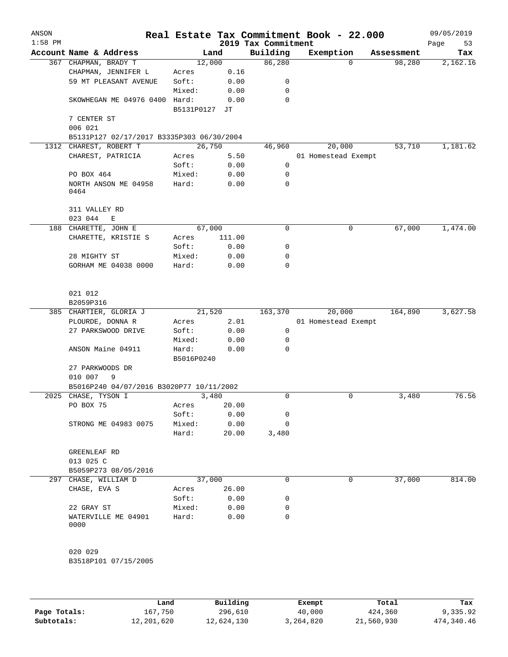|                                 |                                                                                                                                                                                                                                                                         |                                                                        |                                                                                                                                                                                                                                               | Real Estate Tax Commitment Book - 22.000                                            |                                                             | 09/05/2019                                                                             |
|---------------------------------|-------------------------------------------------------------------------------------------------------------------------------------------------------------------------------------------------------------------------------------------------------------------------|------------------------------------------------------------------------|-----------------------------------------------------------------------------------------------------------------------------------------------------------------------------------------------------------------------------------------------|-------------------------------------------------------------------------------------|-------------------------------------------------------------|----------------------------------------------------------------------------------------|
|                                 |                                                                                                                                                                                                                                                                         |                                                                        |                                                                                                                                                                                                                                               |                                                                                     |                                                             | Page<br>53<br>Tax                                                                      |
|                                 |                                                                                                                                                                                                                                                                         |                                                                        |                                                                                                                                                                                                                                               |                                                                                     |                                                             | 2,162.16                                                                               |
|                                 |                                                                                                                                                                                                                                                                         |                                                                        |                                                                                                                                                                                                                                               |                                                                                     |                                                             |                                                                                        |
|                                 |                                                                                                                                                                                                                                                                         |                                                                        |                                                                                                                                                                                                                                               |                                                                                     |                                                             |                                                                                        |
|                                 |                                                                                                                                                                                                                                                                         |                                                                        |                                                                                                                                                                                                                                               |                                                                                     |                                                             |                                                                                        |
|                                 |                                                                                                                                                                                                                                                                         |                                                                        |                                                                                                                                                                                                                                               |                                                                                     |                                                             |                                                                                        |
|                                 |                                                                                                                                                                                                                                                                         |                                                                        |                                                                                                                                                                                                                                               |                                                                                     |                                                             |                                                                                        |
|                                 |                                                                                                                                                                                                                                                                         |                                                                        |                                                                                                                                                                                                                                               |                                                                                     |                                                             |                                                                                        |
|                                 |                                                                                                                                                                                                                                                                         |                                                                        |                                                                                                                                                                                                                                               |                                                                                     |                                                             |                                                                                        |
|                                 |                                                                                                                                                                                                                                                                         |                                                                        |                                                                                                                                                                                                                                               |                                                                                     |                                                             |                                                                                        |
|                                 |                                                                                                                                                                                                                                                                         |                                                                        |                                                                                                                                                                                                                                               |                                                                                     |                                                             |                                                                                        |
|                                 |                                                                                                                                                                                                                                                                         |                                                                        |                                                                                                                                                                                                                                               |                                                                                     |                                                             | 1,181.62                                                                               |
|                                 |                                                                                                                                                                                                                                                                         |                                                                        |                                                                                                                                                                                                                                               |                                                                                     |                                                             |                                                                                        |
|                                 |                                                                                                                                                                                                                                                                         |                                                                        |                                                                                                                                                                                                                                               |                                                                                     |                                                             |                                                                                        |
|                                 |                                                                                                                                                                                                                                                                         |                                                                        |                                                                                                                                                                                                                                               |                                                                                     |                                                             |                                                                                        |
| 0464                            |                                                                                                                                                                                                                                                                         |                                                                        |                                                                                                                                                                                                                                               |                                                                                     |                                                             |                                                                                        |
| 311 VALLEY RD                   |                                                                                                                                                                                                                                                                         |                                                                        |                                                                                                                                                                                                                                               |                                                                                     |                                                             |                                                                                        |
|                                 |                                                                                                                                                                                                                                                                         |                                                                        |                                                                                                                                                                                                                                               |                                                                                     |                                                             |                                                                                        |
|                                 |                                                                                                                                                                                                                                                                         |                                                                        |                                                                                                                                                                                                                                               |                                                                                     |                                                             | 1,474.00                                                                               |
| CHARETTE, KRISTIE S             | Acres                                                                                                                                                                                                                                                                   | 111.00                                                                 |                                                                                                                                                                                                                                               |                                                                                     |                                                             |                                                                                        |
|                                 | Soft:                                                                                                                                                                                                                                                                   | 0.00                                                                   | 0                                                                                                                                                                                                                                             |                                                                                     |                                                             |                                                                                        |
| 28 MIGHTY ST                    | Mixed:                                                                                                                                                                                                                                                                  | 0.00                                                                   | 0                                                                                                                                                                                                                                             |                                                                                     |                                                             |                                                                                        |
| GORHAM ME 04038 0000            | Hard:                                                                                                                                                                                                                                                                   | 0.00                                                                   | $\Omega$                                                                                                                                                                                                                                      |                                                                                     |                                                             |                                                                                        |
| 021 012                         |                                                                                                                                                                                                                                                                         |                                                                        |                                                                                                                                                                                                                                               |                                                                                     |                                                             |                                                                                        |
| B2059P316                       |                                                                                                                                                                                                                                                                         |                                                                        |                                                                                                                                                                                                                                               |                                                                                     |                                                             |                                                                                        |
| 385 CHARTIER, GLORIA J          |                                                                                                                                                                                                                                                                         |                                                                        | 163,370                                                                                                                                                                                                                                       | 20,000                                                                              | 164,890                                                     | 3,627.58                                                                               |
| PLOURDE, DONNA R                | Acres                                                                                                                                                                                                                                                                   | 2.01                                                                   |                                                                                                                                                                                                                                               |                                                                                     |                                                             |                                                                                        |
| 27 PARKSWOOD DRIVE              | Soft:                                                                                                                                                                                                                                                                   | 0.00                                                                   | 0                                                                                                                                                                                                                                             |                                                                                     |                                                             |                                                                                        |
|                                 | Mixed:                                                                                                                                                                                                                                                                  | 0.00                                                                   | 0                                                                                                                                                                                                                                             |                                                                                     |                                                             |                                                                                        |
| ANSON Maine 04911               | Hard:                                                                                                                                                                                                                                                                   | 0.00                                                                   | $\mathbf 0$                                                                                                                                                                                                                                   |                                                                                     |                                                             |                                                                                        |
| 27 PARKWOODS DR<br>9<br>010 007 |                                                                                                                                                                                                                                                                         |                                                                        |                                                                                                                                                                                                                                               |                                                                                     |                                                             |                                                                                        |
|                                 |                                                                                                                                                                                                                                                                         |                                                                        |                                                                                                                                                                                                                                               |                                                                                     |                                                             |                                                                                        |
| 2025 CHASE, TYSON I             |                                                                                                                                                                                                                                                                         |                                                                        | 0                                                                                                                                                                                                                                             | 0                                                                                   | 3,480                                                       | 76.56                                                                                  |
| PO BOX 75                       | Acres                                                                                                                                                                                                                                                                   | 20.00                                                                  |                                                                                                                                                                                                                                               |                                                                                     |                                                             |                                                                                        |
|                                 | Soft:                                                                                                                                                                                                                                                                   | 0.00                                                                   | 0                                                                                                                                                                                                                                             |                                                                                     |                                                             |                                                                                        |
| STRONG ME 04983 0075            | Mixed:                                                                                                                                                                                                                                                                  | 0.00                                                                   | 0                                                                                                                                                                                                                                             |                                                                                     |                                                             |                                                                                        |
|                                 | Hard:                                                                                                                                                                                                                                                                   | 20.00                                                                  | 3,480                                                                                                                                                                                                                                         |                                                                                     |                                                             |                                                                                        |
| GREENLEAF RD<br>013 025 C       |                                                                                                                                                                                                                                                                         |                                                                        |                                                                                                                                                                                                                                               |                                                                                     |                                                             |                                                                                        |
|                                 |                                                                                                                                                                                                                                                                         |                                                                        |                                                                                                                                                                                                                                               |                                                                                     |                                                             |                                                                                        |
| B5059P273 08/05/2016            |                                                                                                                                                                                                                                                                         |                                                                        |                                                                                                                                                                                                                                               |                                                                                     |                                                             |                                                                                        |
| 297<br>CHASE, WILLIAM D         | 37,000                                                                                                                                                                                                                                                                  |                                                                        | 0                                                                                                                                                                                                                                             | 0                                                                                   | 37,000                                                      | 814.00                                                                                 |
| CHASE, EVA S                    | Acres                                                                                                                                                                                                                                                                   | 26.00                                                                  |                                                                                                                                                                                                                                               |                                                                                     |                                                             |                                                                                        |
| 22 GRAY ST                      | Soft:<br>Mixed:                                                                                                                                                                                                                                                         | 0.00<br>0.00                                                           | 0                                                                                                                                                                                                                                             |                                                                                     |                                                             |                                                                                        |
| 1312<br>188                     | Account Name & Address<br>367 CHAPMAN, BRADY T<br>CHAPMAN, JENNIFER L<br>59 MT PLEASANT AVENUE<br>SKOWHEGAN ME 04976 0400<br>7 CENTER ST<br>006 021<br>CHAREST, ROBERT T<br>CHAREST, PATRICIA<br>PO BOX 464<br>NORTH ANSON ME 04958<br>023 044<br>E<br>CHARETTE, JOHN E | Acres<br>Soft:<br>Mixed:<br>Hard:<br>Acres<br>Soft:<br>Mixed:<br>Hard: | Land<br>12,000<br>0.16<br>0.00<br>0.00<br>0.00<br>B5131P0127 JT<br>B5131P127 02/17/2017 B3335P303 06/30/2004<br>26,750<br>5.50<br>0.00<br>0.00<br>0.00<br>67,000<br>21,520<br>B5016P0240<br>B5016P240 04/07/2016 B3020P77 10/11/2002<br>3,480 | Building<br>86,280<br>0<br>0<br>$\mathbf 0$<br>46,960<br>0<br>0<br>$\mathbf 0$<br>0 | 2019 Tax Commitment<br>Exemption<br>$\Omega$<br>20,000<br>0 | Assessment<br>98,280<br>53,710<br>01 Homestead Exempt<br>67,000<br>01 Homestead Exempt |

|              | Land       | Building   | Exempt    | Total      | Tax        |
|--------------|------------|------------|-----------|------------|------------|
| Page Totals: | 167,750    | 296,610    | 40,000    | 424,360    | 9,335.92   |
| Subtotals:   | 12,201,620 | 12,624,130 | 3,264,820 | 21,560,930 | 474,340.46 |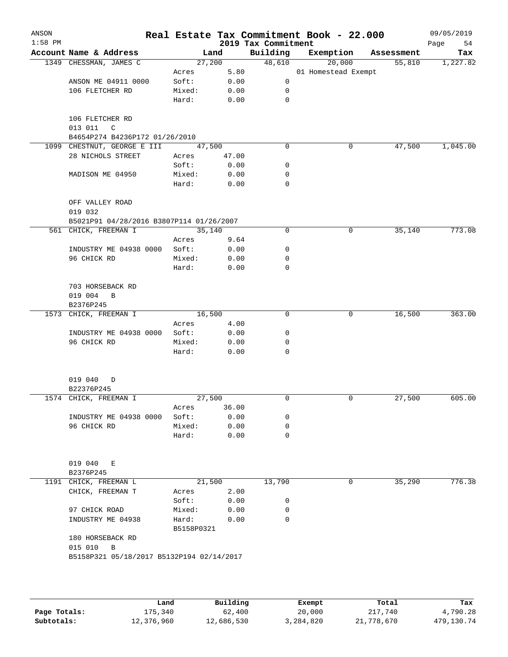| ANSON<br>$1:58$ PM |                                           |            |       | 2019 Tax Commitment | Real Estate Tax Commitment Book - 22.000 |            | 09/05/2019        |
|--------------------|-------------------------------------------|------------|-------|---------------------|------------------------------------------|------------|-------------------|
|                    | Account Name & Address                    | Land       |       | Building            | Exemption                                | Assessment | Page<br>54<br>Tax |
|                    | 1349 CHESSMAN, JAMES C                    | 27,200     |       | 48,610              | 20,000                                   | 55,810     | 1,227.82          |
|                    |                                           | Acres      | 5.80  |                     | 01 Homestead Exempt                      |            |                   |
|                    | ANSON ME 04911 0000                       | Soft:      | 0.00  | 0                   |                                          |            |                   |
|                    | 106 FLETCHER RD                           | Mixed:     | 0.00  | 0                   |                                          |            |                   |
|                    |                                           | Hard:      | 0.00  | $\mathbf 0$         |                                          |            |                   |
|                    | 106 FLETCHER RD                           |            |       |                     |                                          |            |                   |
|                    | 013 011<br>C                              |            |       |                     |                                          |            |                   |
|                    | B4654P274 B4236P172 01/26/2010            |            |       |                     |                                          |            |                   |
|                    | 1099 CHESTNUT, GEORGE E III               | 47,500     |       | 0                   | 0                                        | 47,500     | 1,045.00          |
|                    | 28 NICHOLS STREET                         | Acres      | 47.00 |                     |                                          |            |                   |
|                    |                                           | Soft:      | 0.00  | 0                   |                                          |            |                   |
|                    | MADISON ME 04950                          | Mixed:     | 0.00  | 0                   |                                          |            |                   |
|                    |                                           | Hard:      | 0.00  | $\mathbf 0$         |                                          |            |                   |
|                    | OFF VALLEY ROAD<br>019 032                |            |       |                     |                                          |            |                   |
|                    | B5021P91 04/28/2016 B3807P114 01/26/2007  |            |       |                     |                                          |            |                   |
|                    | 561 CHICK, FREEMAN I                      | 35,140     |       | 0                   | 0                                        | 35,140     | 773.08            |
|                    |                                           | Acres      | 9.64  |                     |                                          |            |                   |
|                    | INDUSTRY ME 04938 0000                    | Soft:      | 0.00  | 0                   |                                          |            |                   |
|                    | 96 CHICK RD                               | Mixed:     | 0.00  | 0                   |                                          |            |                   |
|                    |                                           | Hard:      | 0.00  | 0                   |                                          |            |                   |
|                    | 703 HORSEBACK RD                          |            |       |                     |                                          |            |                   |
|                    | 019 004<br>B                              |            |       |                     |                                          |            |                   |
|                    | B2376P245                                 |            |       |                     |                                          |            |                   |
|                    | 1573 CHICK, FREEMAN I                     | 16,500     |       | 0                   | 0                                        | 16,500     | 363.00            |
|                    |                                           | Acres      | 4.00  |                     |                                          |            |                   |
|                    | INDUSTRY ME 04938 0000                    | Soft:      | 0.00  | 0                   |                                          |            |                   |
|                    | 96 CHICK RD                               | Mixed:     | 0.00  | 0                   |                                          |            |                   |
|                    |                                           | Hard:      | 0.00  | 0                   |                                          |            |                   |
|                    |                                           |            |       |                     |                                          |            |                   |
|                    | 019 040<br>D                              |            |       |                     |                                          |            |                   |
|                    | B22376P245                                |            |       |                     |                                          |            |                   |
|                    | 1574 CHICK, FREEMAN I                     | 27,500     |       | 0                   | 0                                        | 27,500     | 605.00            |
|                    |                                           | Acres      | 36.00 |                     |                                          |            |                   |
|                    | INDUSTRY ME 04938 0000                    | Soft:      | 0.00  | 0                   |                                          |            |                   |
|                    | 96 CHICK RD                               | Mixed:     | 0.00  | 0                   |                                          |            |                   |
|                    |                                           | Hard:      | 0.00  | 0                   |                                          |            |                   |
|                    | 019 040<br>E                              |            |       |                     |                                          |            |                   |
|                    | B2376P245                                 |            |       |                     |                                          |            |                   |
|                    | 1191 CHICK, FREEMAN L                     | 21,500     |       | 13,790              | 0                                        | 35,290     | 776.38            |
|                    | CHICK, FREEMAN T                          | Acres      | 2.00  |                     |                                          |            |                   |
|                    |                                           | Soft:      | 0.00  | 0                   |                                          |            |                   |
|                    | 97 CHICK ROAD                             | Mixed:     | 0.00  | 0                   |                                          |            |                   |
|                    | INDUSTRY ME 04938                         | Hard:      | 0.00  | $\Omega$            |                                          |            |                   |
|                    |                                           | B5158P0321 |       |                     |                                          |            |                   |
|                    | 180 HORSEBACK RD                          |            |       |                     |                                          |            |                   |
|                    | 015 010<br>B                              |            |       |                     |                                          |            |                   |
|                    | B5158P321 05/18/2017 B5132P194 02/14/2017 |            |       |                     |                                          |            |                   |
|                    |                                           |            |       |                     |                                          |            |                   |
|                    |                                           |            |       |                     |                                          |            |                   |
|                    |                                           |            |       |                     |                                          |            |                   |
|                    |                                           |            |       |                     |                                          |            |                   |
|                    |                                           |            |       |                     |                                          |            |                   |

|              | Land       | Building   | Exempt    | Total      | Tax        |
|--------------|------------|------------|-----------|------------|------------|
| Page Totals: | 175,340    | 62,400     | 20,000    | 217,740    | 4,790.28   |
| Subtotals:   | 12,376,960 | 12,686,530 | 3,284,820 | 21,778,670 | 479,130.74 |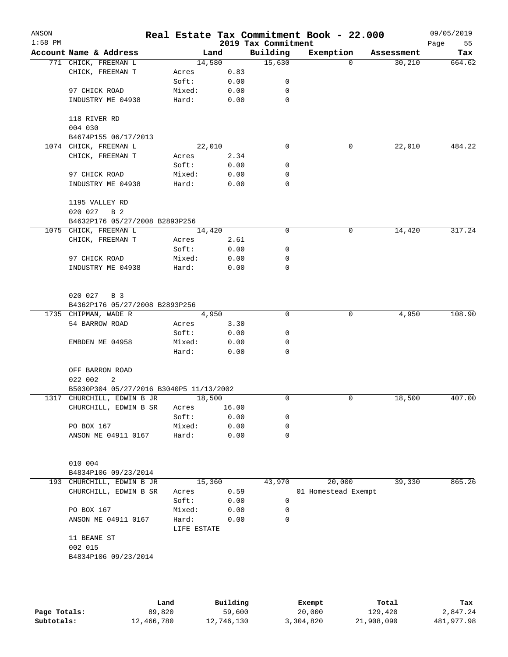| ANSON<br>$1:58$ PM |                                         |             |        | 2019 Tax Commitment | Real Estate Tax Commitment Book - 22.000 |            | 09/05/2019<br>Page<br>55 |
|--------------------|-----------------------------------------|-------------|--------|---------------------|------------------------------------------|------------|--------------------------|
|                    | Account Name & Address                  |             | Land   | Building            | Exemption                                | Assessment | Tax                      |
|                    | 771 CHICK, FREEMAN L                    |             | 14,580 | 15,630              | $\Omega$                                 | 30,210     | 664.62                   |
|                    | CHICK, FREEMAN T                        | Acres       | 0.83   |                     |                                          |            |                          |
|                    |                                         | Soft:       | 0.00   | 0                   |                                          |            |                          |
|                    | 97 CHICK ROAD                           | Mixed:      | 0.00   | 0                   |                                          |            |                          |
|                    | INDUSTRY ME 04938                       | Hard:       | 0.00   | 0                   |                                          |            |                          |
|                    | 118 RIVER RD                            |             |        |                     |                                          |            |                          |
|                    | 004 030                                 |             |        |                     |                                          |            |                          |
|                    | B4674P155 06/17/2013                    |             |        |                     |                                          |            |                          |
|                    | 1074 CHICK, FREEMAN L                   |             | 22,010 | 0                   | $\mathbf 0$                              | 22,010     | 484.22                   |
|                    | CHICK, FREEMAN T                        | Acres       | 2.34   |                     |                                          |            |                          |
|                    |                                         | Soft:       | 0.00   | 0                   |                                          |            |                          |
|                    | 97 CHICK ROAD                           | Mixed:      | 0.00   | 0                   |                                          |            |                          |
|                    | INDUSTRY ME 04938                       | Hard:       | 0.00   | 0                   |                                          |            |                          |
|                    | 1195 VALLEY RD                          |             |        |                     |                                          |            |                          |
|                    | 020 027<br>B 2                          |             |        |                     |                                          |            |                          |
|                    | B4632P176 05/27/2008 B2893P256          |             |        |                     |                                          |            |                          |
|                    | 1075 CHICK, FREEMAN L                   |             | 14,420 | 0                   | 0                                        | 14,420     | 317.24                   |
|                    | CHICK, FREEMAN T                        | Acres       | 2.61   |                     |                                          |            |                          |
|                    |                                         | Soft:       | 0.00   | 0                   |                                          |            |                          |
|                    | 97 CHICK ROAD                           | Mixed:      | 0.00   | 0                   |                                          |            |                          |
|                    | INDUSTRY ME 04938                       | Hard:       | 0.00   | 0                   |                                          |            |                          |
|                    | 020 027<br>B 3                          |             |        |                     |                                          |            |                          |
|                    | B4362P176 05/27/2008 B2893P256          |             |        |                     |                                          |            |                          |
|                    | 1735 CHIPMAN, WADE R                    |             | 4,950  | 0                   | 0                                        | 4,950      | 108.90                   |
|                    | 54 BARROW ROAD                          | Acres       | 3.30   |                     |                                          |            |                          |
|                    |                                         | Soft:       | 0.00   | 0                   |                                          |            |                          |
|                    | EMBDEN ME 04958                         | Mixed:      | 0.00   | 0                   |                                          |            |                          |
|                    |                                         | Hard:       | 0.00   | 0                   |                                          |            |                          |
|                    | OFF BARRON ROAD                         |             |        |                     |                                          |            |                          |
|                    | 022 002<br>2                            |             |        |                     |                                          |            |                          |
|                    | B5030P304 05/27/2016 B3040P5 11/13/2002 |             |        |                     |                                          |            |                          |
|                    | 1317 CHURCHILL, EDWIN B JR              |             | 18,500 | 0                   | 0                                        | 18,500     | 407.00                   |
|                    | CHURCHILL, EDWIN B SR                   | Acres       | 16.00  |                     |                                          |            |                          |
|                    |                                         | Soft:       | 0.00   | 0                   |                                          |            |                          |
|                    | PO BOX 167                              | Mixed:      | 0.00   | 0                   |                                          |            |                          |
|                    | ANSON ME 04911 0167                     | Hard:       | 0.00   | 0                   |                                          |            |                          |
|                    | 010 004                                 |             |        |                     |                                          |            |                          |
|                    | B4834P106 09/23/2014                    |             |        |                     |                                          |            |                          |
|                    | 193 CHURCHILL, EDWIN B JR               |             | 15,360 | 43,970              | 20,000                                   | 39,330     | 865.26                   |
|                    | CHURCHILL, EDWIN B SR                   | Acres       | 0.59   |                     | 01 Homestead Exempt                      |            |                          |
|                    |                                         | Soft:       | 0.00   | 0                   |                                          |            |                          |
|                    | PO BOX 167                              | Mixed:      | 0.00   | 0                   |                                          |            |                          |
|                    | ANSON ME 04911 0167                     | Hard:       | 0.00   | 0                   |                                          |            |                          |
|                    |                                         | LIFE ESTATE |        |                     |                                          |            |                          |
|                    | 11 BEANE ST                             |             |        |                     |                                          |            |                          |
|                    | 002 015                                 |             |        |                     |                                          |            |                          |
|                    | B4834P106 09/23/2014                    |             |        |                     |                                          |            |                          |
|                    |                                         |             |        |                     |                                          |            |                          |
|                    |                                         |             |        |                     |                                          |            |                          |
|                    |                                         |             |        |                     |                                          |            |                          |
|                    |                                         |             |        |                     |                                          |            |                          |
|                    |                                         |             |        |                     |                                          |            |                          |

|              | Land       | Building   | Exempt    | Total      | Tax        |
|--------------|------------|------------|-----------|------------|------------|
| Page Totals: | 89,820     | 59,600     | 20,000    | 129,420    | 2,847.24   |
| Subtotals:   | 12,466,780 | 12,746,130 | 3,304,820 | 21,908,090 | 481,977.98 |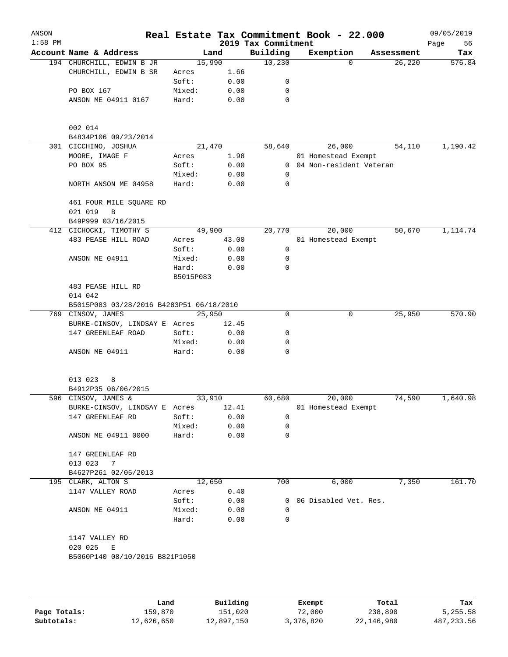| ANSON<br>$1:58$ PM |                                          |                    |        | 2019 Tax Commitment | Real Estate Tax Commitment Book - 22.000 |            | 09/05/2019<br>Page<br>56 |
|--------------------|------------------------------------------|--------------------|--------|---------------------|------------------------------------------|------------|--------------------------|
|                    | Account Name & Address                   |                    | Land   | Building            | Exemption                                | Assessment | Tax                      |
|                    | 194 CHURCHILL, EDWIN B JR                | 15,990             |        | 10,230              | $\Omega$                                 | 26,220     | 576.84                   |
|                    | CHURCHILL, EDWIN B SR                    | Acres              | 1.66   |                     |                                          |            |                          |
|                    |                                          | Soft:              | 0.00   | 0                   |                                          |            |                          |
|                    | PO BOX 167                               | Mixed:             | 0.00   | 0                   |                                          |            |                          |
|                    | ANSON ME 04911 0167                      | Hard:              | 0.00   | 0                   |                                          |            |                          |
|                    | 002 014                                  |                    |        |                     |                                          |            |                          |
|                    | B4834P106 09/23/2014                     |                    |        |                     |                                          |            |                          |
|                    | 301 CICCHINO, JOSHUA                     |                    | 21,470 | 58,640              | 26,000                                   | 54,110     | 1,190.42                 |
|                    | MOORE, IMAGE F                           | Acres              | 1.98   |                     | 01 Homestead Exempt                      |            |                          |
|                    | PO BOX 95                                | Soft:              | 0.00   |                     | 0 04 Non-resident Veteran                |            |                          |
|                    |                                          | Mixed:             | 0.00   | 0                   |                                          |            |                          |
|                    | NORTH ANSON ME 04958                     | Hard:              | 0.00   | 0                   |                                          |            |                          |
|                    | 461 FOUR MILE SQUARE RD                  |                    |        |                     |                                          |            |                          |
|                    | 021 019<br>B                             |                    |        |                     |                                          |            |                          |
|                    | B49P999 03/16/2015                       |                    |        |                     |                                          |            |                          |
|                    | 412 CICHOCKI, TIMOTHY S                  |                    | 49,900 | 20,770              | 20,000                                   | 50,670     | 1,114.74                 |
|                    | 483 PEASE HILL ROAD                      | Acres              | 43.00  |                     | 01 Homestead Exempt                      |            |                          |
|                    |                                          | Soft:              | 0.00   | 0                   |                                          |            |                          |
|                    | ANSON ME 04911                           | Mixed:             | 0.00   | 0                   |                                          |            |                          |
|                    |                                          | Hard:<br>B5015P083 | 0.00   | 0                   |                                          |            |                          |
|                    | 483 PEASE HILL RD<br>014 042             |                    |        |                     |                                          |            |                          |
|                    | B5015P083 03/28/2016 B4283P51 06/18/2010 |                    |        |                     |                                          |            |                          |
|                    | 769 CINSOV, JAMES                        | 25,950             |        | 0                   | 0                                        | 25,950     | 570.90                   |
|                    | BURKE-CINSOV, LINDSAY E Acres            |                    | 12.45  |                     |                                          |            |                          |
|                    | 147 GREENLEAF ROAD                       | Soft:              | 0.00   | 0                   |                                          |            |                          |
|                    |                                          | Mixed:             | 0.00   | 0                   |                                          |            |                          |
|                    | ANSON ME 04911                           | Hard:              | 0.00   | 0                   |                                          |            |                          |
|                    |                                          |                    |        |                     |                                          |            |                          |
|                    | 013 023<br>8<br>B4912P35 06/06/2015      |                    |        |                     |                                          |            |                          |
|                    | 596 CINSOV, JAMES &                      |                    | 33,910 | 60,680              | 20,000                                   | 74,590     | 1,640.98                 |
|                    | BURKE-CINSOV, LINDSAY E Acres            |                    | 12.41  |                     | 01 Homestead Exempt                      |            |                          |
|                    | 147 GREENLEAF RD                         | Soft:              | 0.00   | 0                   |                                          |            |                          |
|                    |                                          | Mixed:             | 0.00   | 0                   |                                          |            |                          |
|                    | ANSON ME 04911 0000                      | Hard:              | 0.00   | 0                   |                                          |            |                          |
|                    | 147 GREENLEAF RD                         |                    |        |                     |                                          |            |                          |
|                    | 013 023<br>7                             |                    |        |                     |                                          |            |                          |
|                    | B4627P261 02/05/2013                     |                    |        |                     |                                          |            |                          |
|                    | 195 CLARK, ALTON S                       |                    | 12,650 | 700                 | 6,000                                    | 7,350      | 161.70                   |
|                    | 1147 VALLEY ROAD                         | Acres              | 0.40   |                     |                                          |            |                          |
|                    |                                          | Soft:              | 0.00   | 0                   | 06 Disabled Vet. Res.                    |            |                          |
|                    | ANSON ME 04911                           | Mixed:             | 0.00   | 0                   |                                          |            |                          |
|                    |                                          | Hard:              | 0.00   | 0                   |                                          |            |                          |
|                    | 1147 VALLEY RD<br>020 025<br>E           |                    |        |                     |                                          |            |                          |
|                    | B5060P140 08/10/2016 B821P1050           |                    |        |                     |                                          |            |                          |
|                    |                                          |                    |        |                     |                                          |            |                          |
|                    |                                          |                    |        |                     |                                          |            |                          |

|              | Land       | Building   | Exempt    | Total      | Tax         |
|--------------|------------|------------|-----------|------------|-------------|
| Page Totals: | 159,870    | 151,020    | 72,000    | 238,890    | 5,255.58    |
| Subtotals:   | 12,626,650 | 12,897,150 | 3,376,820 | 22,146,980 | 487, 233.56 |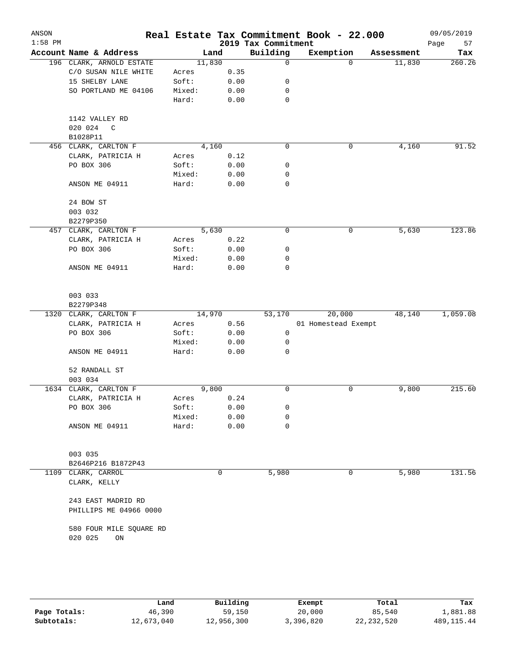| ANSON<br>$1:58$ PM |                                          |        |        |      | Real Estate Tax Commitment Book - 22.000<br>2019 Tax Commitment |                     |            | 09/05/2019<br>57<br>Page |
|--------------------|------------------------------------------|--------|--------|------|-----------------------------------------------------------------|---------------------|------------|--------------------------|
|                    | Account Name & Address                   |        | Land   |      | Building                                                        | Exemption           | Assessment | Tax                      |
|                    | 196 CLARK, ARNOLD ESTATE                 |        | 11,830 |      | $\mathbf 0$                                                     | $\Omega$            | 11,830     | 260.26                   |
|                    | C/O SUSAN NILE WHITE                     | Acres  |        | 0.35 |                                                                 |                     |            |                          |
|                    | 15 SHELBY LANE                           | Soft:  |        | 0.00 | 0                                                               |                     |            |                          |
|                    | SO PORTLAND ME 04106                     | Mixed: |        | 0.00 | 0                                                               |                     |            |                          |
|                    |                                          | Hard:  |        | 0.00 | $\mathbf 0$                                                     |                     |            |                          |
|                    | 1142 VALLEY RD                           |        |        |      |                                                                 |                     |            |                          |
|                    | 020 024<br>$\mathbb{C}$<br>B1028P11      |        |        |      |                                                                 |                     |            |                          |
|                    | 456 CLARK, CARLTON F                     |        | 4,160  |      | $\mathbf 0$                                                     | 0                   | 4,160      | 91.52                    |
|                    | CLARK, PATRICIA H                        | Acres  |        | 0.12 |                                                                 |                     |            |                          |
|                    | PO BOX 306                               | Soft:  |        | 0.00 | 0                                                               |                     |            |                          |
|                    |                                          | Mixed: |        | 0.00 | 0                                                               |                     |            |                          |
|                    | ANSON ME 04911                           | Hard:  |        | 0.00 | $\mathbf 0$                                                     |                     |            |                          |
|                    |                                          |        |        |      |                                                                 |                     |            |                          |
|                    | 24 BOW ST                                |        |        |      |                                                                 |                     |            |                          |
|                    | 003 032                                  |        |        |      |                                                                 |                     |            |                          |
|                    | B2279P350                                |        |        |      |                                                                 |                     |            |                          |
|                    | 457 CLARK, CARLTON F                     |        | 5,630  |      | 0                                                               | 0                   | 5,630      | 123.86                   |
|                    | CLARK, PATRICIA H                        | Acres  |        | 0.22 |                                                                 |                     |            |                          |
|                    | PO BOX 306                               | Soft:  |        | 0.00 | 0                                                               |                     |            |                          |
|                    |                                          | Mixed: |        | 0.00 | 0                                                               |                     |            |                          |
|                    | ANSON ME 04911                           | Hard:  |        | 0.00 | 0                                                               |                     |            |                          |
|                    | 003 033                                  |        |        |      |                                                                 |                     |            |                          |
|                    | B2279P348                                |        |        |      |                                                                 |                     |            |                          |
|                    | 1320 CLARK, CARLTON F                    |        | 14,970 |      | 53,170                                                          | 20,000              | 48,140     | 1,059.08                 |
|                    | CLARK, PATRICIA H                        | Acres  |        | 0.56 |                                                                 | 01 Homestead Exempt |            |                          |
|                    | PO BOX 306                               | Soft:  |        | 0.00 | 0                                                               |                     |            |                          |
|                    |                                          | Mixed: |        | 0.00 | 0                                                               |                     |            |                          |
|                    | ANSON ME 04911                           | Hard:  |        | 0.00 | 0                                                               |                     |            |                          |
|                    | 52 RANDALL ST                            |        |        |      |                                                                 |                     |            |                          |
|                    | 003 034                                  |        |        |      |                                                                 |                     |            |                          |
|                    | 1634 CLARK, CARLTON F                    |        | 9,800  |      | 0                                                               | 0                   | 9,800      | 215.60                   |
|                    | CLARK, PATRICIA H                        | Acres  |        | 0.24 |                                                                 |                     |            |                          |
|                    | PO BOX 306                               | Soft:  |        | 0.00 | 0                                                               |                     |            |                          |
|                    |                                          | Mixed: |        | 0.00 | 0                                                               |                     |            |                          |
|                    | ANSON ME 04911                           | Hard:  |        | 0.00 | 0                                                               |                     |            |                          |
|                    | 003 035                                  |        |        |      |                                                                 |                     |            |                          |
|                    | B2646P216 B1872P43                       |        |        |      |                                                                 |                     |            |                          |
|                    | 1109 CLARK, CARROL                       |        | 0      |      | 5,980                                                           | 0                   | 5,980      | 131.56                   |
|                    | CLARK, KELLY                             |        |        |      |                                                                 |                     |            |                          |
|                    | 243 EAST MADRID RD                       |        |        |      |                                                                 |                     |            |                          |
|                    | PHILLIPS ME 04966 0000                   |        |        |      |                                                                 |                     |            |                          |
|                    | 580 FOUR MILE SQUARE RD<br>020 025<br>ON |        |        |      |                                                                 |                     |            |                          |
|                    |                                          |        |        |      |                                                                 |                     |            |                          |

|              | Land       | Building   | Exempt    | Total        | Tax         |
|--------------|------------|------------|-----------|--------------|-------------|
| Page Totals: | 46,390     | 59,150     | 20,000    | 85,540       | 1,881.88    |
| Subtotals:   | 12,673,040 | 12,956,300 | 3,396,820 | 22, 232, 520 | 489, 115.44 |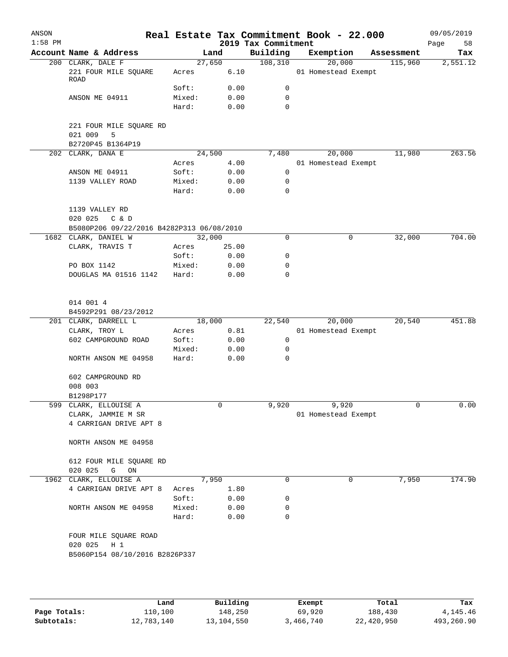| ANSON<br>$1:58$ PM |                                           |        |       | 2019 Tax Commitment | Real Estate Tax Commitment Book - 22.000 |            | 09/05/2019<br>58<br>Page |
|--------------------|-------------------------------------------|--------|-------|---------------------|------------------------------------------|------------|--------------------------|
|                    | Account Name & Address                    | Land   |       | Building            | Exemption                                | Assessment | Tax                      |
|                    | 200 CLARK, DALE F                         | 27,650 |       | 108, 310            | 20,000                                   | 115,960    | 2,551.12                 |
|                    | 221 FOUR MILE SQUARE<br>ROAD              | Acres  | 6.10  |                     | 01 Homestead Exempt                      |            |                          |
|                    |                                           | Soft:  | 0.00  | 0                   |                                          |            |                          |
|                    | ANSON ME 04911                            | Mixed: | 0.00  | 0                   |                                          |            |                          |
|                    |                                           | Hard:  | 0.00  | $\mathbf 0$         |                                          |            |                          |
|                    | 221 FOUR MILE SQUARE RD<br>021 009<br>5   |        |       |                     |                                          |            |                          |
|                    | B2720P45 B1364P19                         |        |       |                     |                                          |            |                          |
|                    | 202 CLARK, DANA E                         | 24,500 |       | 7,480               | 20,000                                   | 11,980     | 263.56                   |
|                    |                                           | Acres  | 4.00  |                     | 01 Homestead Exempt                      |            |                          |
|                    | ANSON ME 04911                            | Soft:  | 0.00  | $\mathbf 0$         |                                          |            |                          |
|                    | 1139 VALLEY ROAD                          | Mixed: | 0.00  | $\mathbf 0$         |                                          |            |                          |
|                    |                                           | Hard:  | 0.00  | $\mathbf 0$         |                                          |            |                          |
|                    | 1139 VALLEY RD<br>020 025<br>C & D        |        |       |                     |                                          |            |                          |
|                    | B5080P206 09/22/2016 B4282P313 06/08/2010 |        |       |                     |                                          |            |                          |
|                    | 1682 CLARK, DANIEL W                      | 32,000 |       | 0                   | 0                                        | 32,000     | 704.00                   |
|                    | CLARK, TRAVIS T                           | Acres  | 25.00 |                     |                                          |            |                          |
|                    |                                           | Soft:  | 0.00  | 0                   |                                          |            |                          |
|                    | PO BOX 1142                               | Mixed: | 0.00  | 0                   |                                          |            |                          |
|                    | DOUGLAS MA 01516 1142                     | Hard:  | 0.00  | 0                   |                                          |            |                          |
|                    | 014 001 4<br>B4592P291 08/23/2012         |        |       |                     |                                          |            |                          |
|                    | 201 CLARK, DARRELL L                      | 18,000 |       | 22,540              | 20,000                                   | 20,540     | 451.88                   |
|                    | CLARK, TROY L                             | Acres  | 0.81  |                     | 01 Homestead Exempt                      |            |                          |
|                    | 602 CAMPGROUND ROAD                       | Soft:  | 0.00  | $\mathsf{O}$        |                                          |            |                          |
|                    |                                           | Mixed: | 0.00  | 0<br>$\mathbf 0$    |                                          |            |                          |
|                    | NORTH ANSON ME 04958                      | Hard:  | 0.00  |                     |                                          |            |                          |
|                    | 602 CAMPGROUND RD                         |        |       |                     |                                          |            |                          |
|                    | 008 003                                   |        |       |                     |                                          |            |                          |
|                    | B1298P177                                 |        |       |                     |                                          |            |                          |
|                    | 599 CLARK, ELLOUISE A                     |        | 0     | 9,920               | 9,920                                    | 0          | 0.00                     |
|                    | CLARK, JAMMIE M SR                        |        |       |                     | 01 Homestead Exempt                      |            |                          |
|                    | 4 CARRIGAN DRIVE APT 8                    |        |       |                     |                                          |            |                          |
|                    | NORTH ANSON ME 04958                      |        |       |                     |                                          |            |                          |
|                    | 612 FOUR MILE SQUARE RD                   |        |       |                     |                                          |            |                          |
|                    | 020 025<br>G<br>ON                        |        |       |                     |                                          |            |                          |
| 1962               | CLARK, ELLOUISE A                         | 7,950  |       | 0                   | 0                                        | 7,950      | 174.90                   |
|                    | 4 CARRIGAN DRIVE APT 8                    | Acres  | 1.80  |                     |                                          |            |                          |
|                    |                                           | Soft:  | 0.00  | 0                   |                                          |            |                          |
|                    | NORTH ANSON ME 04958                      | Mixed: | 0.00  | 0                   |                                          |            |                          |
|                    |                                           | Hard:  | 0.00  | 0                   |                                          |            |                          |
|                    | FOUR MILE SQUARE ROAD<br>020 025<br>$H_1$ |        |       |                     |                                          |            |                          |
|                    | B5060P154 08/10/2016 B2826P337            |        |       |                     |                                          |            |                          |
|                    |                                           |        |       |                     |                                          |            |                          |
|                    |                                           |        |       |                     |                                          |            |                          |

|              | Land       | Building   | Exempt    | Total      | Tax        |
|--------------|------------|------------|-----------|------------|------------|
| Page Totals: | 110,100    | 148,250    | 69,920    | 188,430    | 4,145.46   |
| Subtotals:   | 12,783,140 | 13,104,550 | 3,466,740 | 22,420,950 | 493,260.90 |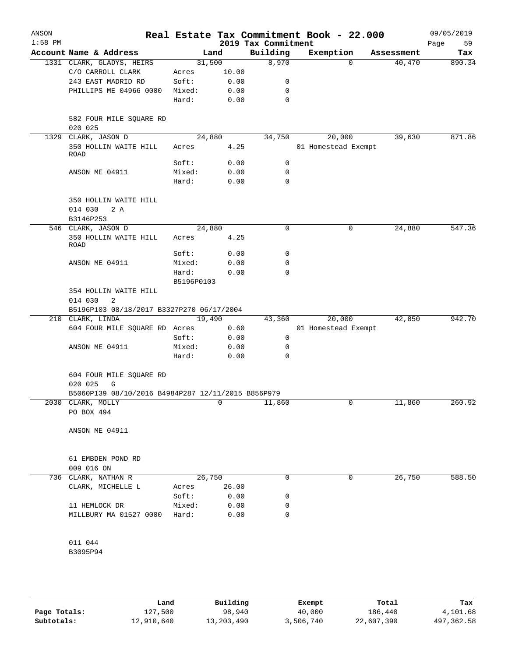| ANSON<br>$1:58$ PM |                                                                         |            |        | 2019 Tax Commitment | Real Estate Tax Commitment Book - 22.000 |                       | 09/05/2019<br>59<br>Page |
|--------------------|-------------------------------------------------------------------------|------------|--------|---------------------|------------------------------------------|-----------------------|--------------------------|
|                    | Account Name & Address                                                  |            | Land   | Building            | Exemption                                | Assessment            | Tax                      |
|                    | 1331 CLARK, GLADYS, HEIRS                                               |            | 31,500 | 8,970               |                                          | 40,470<br>$\Omega$    | 890.34                   |
|                    | C/O CARROLL CLARK                                                       | Acres      | 10.00  |                     |                                          |                       |                          |
|                    | 243 EAST MADRID RD                                                      | Soft:      | 0.00   | 0                   |                                          |                       |                          |
|                    | PHILLIPS ME 04966 0000                                                  | Mixed:     | 0.00   | 0                   |                                          |                       |                          |
|                    |                                                                         | Hard:      | 0.00   | $\mathbf 0$         |                                          |                       |                          |
|                    |                                                                         |            |        |                     |                                          |                       |                          |
|                    | 582 FOUR MILE SQUARE RD<br>020 025                                      |            |        |                     |                                          |                       |                          |
| 1329               | CLARK, JASON D                                                          |            | 24,880 | 34,750              | 20,000                                   | 39,630                | 871.86                   |
|                    | 350 HOLLIN WAITE HILL                                                   | Acres      | 4.25   |                     | 01 Homestead Exempt                      |                       |                          |
|                    | <b>ROAD</b>                                                             |            |        |                     |                                          |                       |                          |
|                    |                                                                         | Soft:      | 0.00   | 0                   |                                          |                       |                          |
|                    | ANSON ME 04911                                                          | Mixed:     | 0.00   | $\mathbf 0$         |                                          |                       |                          |
|                    |                                                                         | Hard:      | 0.00   | $\mathbf 0$         |                                          |                       |                          |
|                    | 350 HOLLIN WAITE HILL                                                   |            |        |                     |                                          |                       |                          |
|                    | 014 030<br>2 A                                                          |            |        |                     |                                          |                       |                          |
|                    | B3146P253                                                               |            |        |                     |                                          |                       |                          |
|                    | 546 CLARK, JASON D                                                      |            | 24,880 | 0                   |                                          | $\mathbf 0$<br>24,880 | 547.36                   |
|                    | 350 HOLLIN WAITE HILL                                                   | Acres      | 4.25   |                     |                                          |                       |                          |
|                    | <b>ROAD</b>                                                             |            |        |                     |                                          |                       |                          |
|                    |                                                                         | Soft:      | 0.00   | 0                   |                                          |                       |                          |
|                    | ANSON ME 04911                                                          | Mixed:     | 0.00   | $\mathbf 0$         |                                          |                       |                          |
|                    |                                                                         | Hard:      | 0.00   | $\Omega$            |                                          |                       |                          |
|                    | 354 HOLLIN WAITE HILL                                                   | B5196P0103 |        |                     |                                          |                       |                          |
|                    | 014 030<br>2                                                            |            |        |                     |                                          |                       |                          |
|                    | B5196P103 08/18/2017 B3327P270 06/17/2004                               |            |        |                     |                                          |                       |                          |
|                    | 210 CLARK, LINDA                                                        |            | 19,490 | 43,360              | 20,000                                   | 42,850                | 942.70                   |
|                    | 604 FOUR MILE SQUARE RD Acres                                           |            | 0.60   |                     | 01 Homestead Exempt                      |                       |                          |
|                    |                                                                         | Soft:      | 0.00   | 0                   |                                          |                       |                          |
|                    | ANSON ME 04911                                                          | Mixed:     | 0.00   | 0                   |                                          |                       |                          |
|                    |                                                                         | Hard:      | 0.00   | $\mathbf 0$         |                                          |                       |                          |
|                    |                                                                         |            |        |                     |                                          |                       |                          |
|                    | 604 FOUR MILE SQUARE RD                                                 |            |        |                     |                                          |                       |                          |
|                    | 020 025<br>G                                                            |            |        |                     |                                          |                       |                          |
|                    | B5060P139 08/10/2016 B4984P287 12/11/2015 B856P979<br>2030 CLARK, MOLLY |            | 0      | 11,860              |                                          | 11,860<br>0           | 260.92                   |
|                    | PO BOX 494                                                              |            |        |                     |                                          |                       |                          |
|                    |                                                                         |            |        |                     |                                          |                       |                          |
|                    | ANSON ME 04911                                                          |            |        |                     |                                          |                       |                          |
|                    |                                                                         |            |        |                     |                                          |                       |                          |
|                    |                                                                         |            |        |                     |                                          |                       |                          |
|                    | 61 EMBDEN POND RD<br>009 016 ON                                         |            |        |                     |                                          |                       |                          |
|                    | 736 CLARK, NATHAN R                                                     |            | 26,750 | 0                   |                                          | 0<br>26,750           | 588.50                   |
|                    | CLARK, MICHELLE L                                                       | Acres      | 26.00  |                     |                                          |                       |                          |
|                    |                                                                         | Soft:      | 0.00   | 0                   |                                          |                       |                          |
|                    | 11 HEMLOCK DR                                                           | Mixed:     | 0.00   | 0                   |                                          |                       |                          |
|                    | MILLBURY MA 01527 0000                                                  | Hard:      | 0.00   | 0                   |                                          |                       |                          |
|                    |                                                                         |            |        |                     |                                          |                       |                          |
|                    | 011 044                                                                 |            |        |                     |                                          |                       |                          |
|                    | B3095P94                                                                |            |        |                     |                                          |                       |                          |
|                    |                                                                         |            |        |                     |                                          |                       |                          |
|                    |                                                                         |            |        |                     |                                          |                       |                          |

|              | Land       | Building   | Exempt    | Total      | Tax        |
|--------------|------------|------------|-----------|------------|------------|
| Page Totals: | 127,500    | 98,940     | 40,000    | 186,440    | 4,101.68   |
| Subtotals:   | 12,910,640 | 13,203,490 | 3,506,740 | 22,607,390 | 497,362.58 |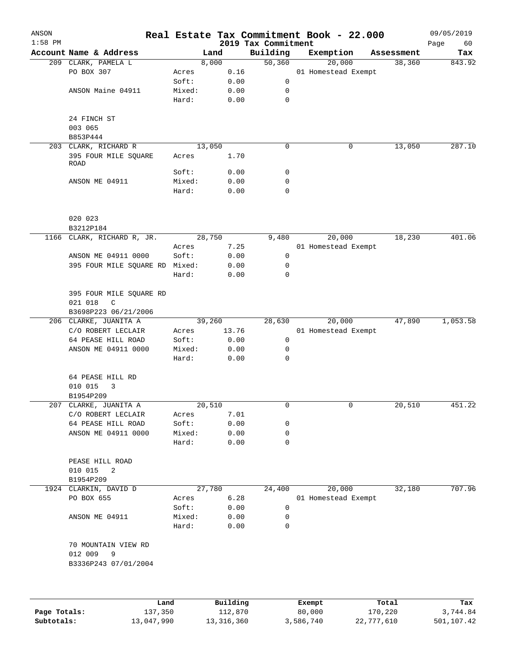| ANSON        |                                           |                |                     |                                 | Real Estate Tax Commitment Book - 22.000 |                  | 09/05/2019        |
|--------------|-------------------------------------------|----------------|---------------------|---------------------------------|------------------------------------------|------------------|-------------------|
| $1:58$ PM    | Account Name & Address                    |                | Land                | 2019 Tax Commitment<br>Building | Exemption                                | Assessment       | Page<br>60<br>Tax |
|              | 209 CLARK, PAMELA L                       |                | 8,000               | 50,360                          | 20,000                                   | 38,360           | 843.92            |
|              | PO BOX 307                                | Acres          | 0.16                |                                 | 01 Homestead Exempt                      |                  |                   |
|              |                                           | Soft:          | 0.00                | 0                               |                                          |                  |                   |
|              | ANSON Maine 04911                         | Mixed:         | 0.00                | 0                               |                                          |                  |                   |
|              |                                           | Hard:          | 0.00                | 0                               |                                          |                  |                   |
|              |                                           |                |                     |                                 |                                          |                  |                   |
|              | 24 FINCH ST                               |                |                     |                                 |                                          |                  |                   |
|              | 003 065                                   |                |                     |                                 |                                          |                  |                   |
|              | B853P444                                  |                |                     |                                 |                                          |                  |                   |
|              | 203 CLARK, RICHARD R                      |                | 13,050              | 0                               | 0                                        | 13,050           | 287.10            |
|              | 395 FOUR MILE SQUARE<br>ROAD              | Acres          | 1.70                |                                 |                                          |                  |                   |
|              |                                           | Soft:          | 0.00                | 0                               |                                          |                  |                   |
|              | ANSON ME 04911                            | Mixed:         | 0.00                | 0                               |                                          |                  |                   |
|              |                                           | Hard:          | 0.00                | 0                               |                                          |                  |                   |
|              |                                           |                |                     |                                 |                                          |                  |                   |
|              | 020 023                                   |                |                     |                                 |                                          |                  |                   |
|              | B3212P184<br>1166 CLARK, RICHARD R, JR.   |                | 28, 750             | 9,480                           | 20,000                                   | 18,230           | 401.06            |
|              |                                           | Acres          | 7.25                |                                 | 01 Homestead Exempt                      |                  |                   |
|              | ANSON ME 04911 0000                       | Soft:          | 0.00                | 0                               |                                          |                  |                   |
|              | 395 FOUR MILE SQUARE RD                   | Mixed:         | 0.00                | 0                               |                                          |                  |                   |
|              |                                           | Hard:          | 0.00                | 0                               |                                          |                  |                   |
|              | 395 FOUR MILE SQUARE RD                   |                |                     |                                 |                                          |                  |                   |
|              | 021 018                                   |                |                     |                                 |                                          |                  |                   |
|              | C<br>B3698P223 06/21/2006                 |                |                     |                                 |                                          |                  |                   |
|              | 206 CLARKE, JUANITA A                     |                | 39,260              | 28,630                          | 20,000                                   | 47,890           | 1,053.58          |
|              | C/O ROBERT LECLAIR                        | Acres          | 13.76               |                                 | 01 Homestead Exempt                      |                  |                   |
|              | 64 PEASE HILL ROAD                        | Soft:          | 0.00                | 0                               |                                          |                  |                   |
|              | ANSON ME 04911 0000                       | Mixed:         | 0.00                | 0                               |                                          |                  |                   |
|              |                                           | Hard:          | 0.00                | 0                               |                                          |                  |                   |
|              |                                           |                |                     |                                 |                                          |                  |                   |
|              | 64 PEASE HILL RD                          |                |                     |                                 |                                          |                  |                   |
|              | 010 015<br>3                              |                |                     |                                 |                                          |                  |                   |
|              | B1954P209                                 |                |                     |                                 |                                          |                  |                   |
| 207          | CLARKE, JUANITA A<br>C/O ROBERT LECLAIR   |                | 20,510              | 0                               | 0                                        | 20,510           | 451.22            |
|              |                                           | Acres<br>Soft: | 7.01                |                                 |                                          |                  |                   |
|              | 64 PEASE HILL ROAD<br>ANSON ME 04911 0000 |                | 0.00                | 0                               |                                          |                  |                   |
|              |                                           | Mixed:         | 0.00                | 0                               |                                          |                  |                   |
|              |                                           | Hard:          | 0.00                | 0                               |                                          |                  |                   |
|              | PEASE HILL ROAD                           |                |                     |                                 |                                          |                  |                   |
|              | 010 015<br>2                              |                |                     |                                 |                                          |                  |                   |
|              | B1954P209                                 |                |                     |                                 |                                          |                  |                   |
|              | 1924 CLARKIN, DAVID D                     |                | 27,780              | 24,400                          | 20,000                                   | 32,180           | 707.96            |
|              | PO BOX 655                                | Acres          | 6.28                |                                 | 01 Homestead Exempt                      |                  |                   |
|              |                                           | Soft:          | 0.00                | 0                               |                                          |                  |                   |
|              | ANSON ME 04911                            | Mixed:         | 0.00                | $\mathbf 0$                     |                                          |                  |                   |
|              |                                           | Hard:          | 0.00                | 0                               |                                          |                  |                   |
|              | 70 MOUNTAIN VIEW RD                       |                |                     |                                 |                                          |                  |                   |
|              | 012 009<br>9                              |                |                     |                                 |                                          |                  |                   |
|              | B3336P243 07/01/2004                      |                |                     |                                 |                                          |                  |                   |
|              |                                           |                |                     |                                 |                                          |                  |                   |
|              |                                           |                |                     |                                 |                                          |                  |                   |
| Page Totals: | Land<br>137,350                           |                | Building<br>112,870 |                                 | Exempt<br>80,000                         | Total<br>170,220 | Tax<br>3,744.84   |
|              |                                           |                |                     |                                 |                                          |                  |                   |

**Subtotals:** 13,047,990 13,316,360 3,586,740 22,777,610 501,107.42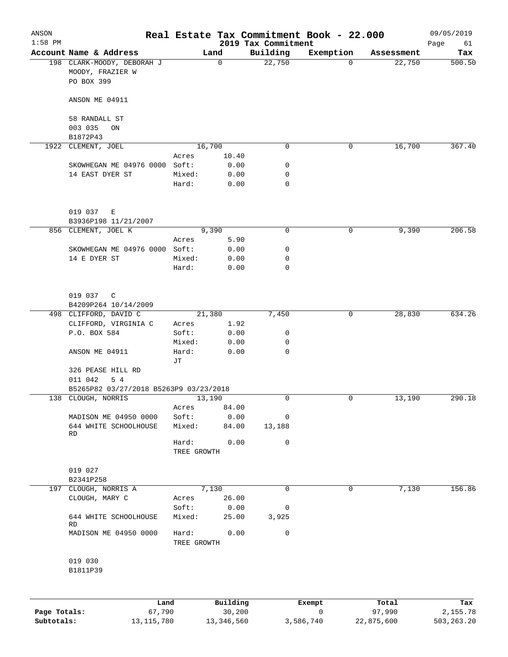| ANSON<br>$1:58$ PM |                                                              |                      |             | 2019 Tax Commitment | Real Estate Tax Commitment Book - 22.000 |            | 09/05/2019<br>Page<br>61 |
|--------------------|--------------------------------------------------------------|----------------------|-------------|---------------------|------------------------------------------|------------|--------------------------|
|                    | Account Name & Address                                       |                      | Land        | Building            | Exemption                                | Assessment | Tax                      |
|                    | 198 CLARK-MOODY, DEBORAH J<br>MOODY, FRAZIER W<br>PO BOX 399 |                      | $\mathbf 0$ | 22,750              | $\Omega$                                 | 22,750     | 500.50                   |
|                    | ANSON ME 04911                                               |                      |             |                     |                                          |            |                          |
|                    | 58 RANDALL ST<br>003 035<br>ON                               |                      |             |                     |                                          |            |                          |
|                    | B1872P43                                                     |                      |             |                     |                                          |            |                          |
|                    | 1922 CLEMENT, JOEL                                           |                      | 16,700      | $\mathbf 0$         | 0                                        | 16,700     | 367.40                   |
|                    |                                                              | Acres                | 10.40       |                     |                                          |            |                          |
|                    | SKOWHEGAN ME 04976 0000 Soft:                                |                      | 0.00        | 0                   |                                          |            |                          |
|                    | 14 EAST DYER ST                                              | Mixed:               | 0.00        | 0                   |                                          |            |                          |
|                    |                                                              | Hard:                | 0.00        | $\mathbf 0$         |                                          |            |                          |
|                    | 019 037<br>Е                                                 |                      |             |                     |                                          |            |                          |
|                    | B3936P198 11/21/2007                                         |                      |             |                     |                                          |            |                          |
|                    | 856 CLEMENT, JOEL K                                          |                      | 9,390       | 0                   | 0                                        | 9,390      | 206.58                   |
|                    |                                                              | Acres                | 5.90        |                     |                                          |            |                          |
|                    | SKOWHEGAN ME 04976 0000 Soft:                                |                      | 0.00        | 0                   |                                          |            |                          |
|                    | 14 E DYER ST                                                 | Mixed:               | 0.00        | 0                   |                                          |            |                          |
|                    |                                                              | Hard:                | 0.00        | 0                   |                                          |            |                          |
|                    | 019 037<br>$\mathsf{C}$                                      |                      |             |                     |                                          |            |                          |
|                    | B4209P264 10/14/2009                                         |                      |             |                     |                                          |            |                          |
|                    | 498 CLIFFORD, DAVID C                                        |                      | 21,380      | 7,450               | 0                                        | 28,830     | 634.26                   |
|                    | CLIFFORD, VIRGINIA C                                         | Acres                | 1.92        |                     |                                          |            |                          |
|                    | P.O. BOX 584                                                 | Soft:                | 0.00        | 0                   |                                          |            |                          |
|                    | ANSON ME 04911                                               | Mixed:<br>Hard:      | 0.00        | 0<br>$\Omega$       |                                          |            |                          |
|                    |                                                              | JТ                   | 0.00        |                     |                                          |            |                          |
|                    | 326 PEASE HILL RD<br>011 042<br>5 4                          |                      |             |                     |                                          |            |                          |
|                    | B5265P82 03/27/2018 B5263P9 03/23/2018                       |                      |             |                     |                                          |            |                          |
|                    | 138 CLOUGH, NORRIS                                           |                      | 13,190      | 0                   | $\mathbf 0$                              | 13,190     | 290.18                   |
|                    |                                                              | Acres                | 84.00       |                     |                                          |            |                          |
|                    | MADISON ME 04950 0000                                        | Soft:                | 0.00        | 0                   |                                          |            |                          |
|                    | 644 WHITE SCHOOLHOUSE<br>RD                                  | Mixed:               | 84.00       | 13,188              |                                          |            |                          |
|                    |                                                              | Hard:<br>TREE GROWTH | 0.00        | $\mathbf 0$         |                                          |            |                          |
|                    | 019 027                                                      |                      |             |                     |                                          |            |                          |
|                    | B2341P258                                                    |                      |             |                     |                                          |            |                          |
| 197                | CLOUGH, NORRIS A                                             |                      | 7,130       | $\Omega$            | 0                                        | 7,130      | 156.86                   |
|                    | CLOUGH, MARY C                                               | Acres                | 26.00       |                     |                                          |            |                          |
|                    |                                                              | Soft:                | 0.00        | 0                   |                                          |            |                          |
|                    | 644 WHITE SCHOOLHOUSE<br>RD                                  | Mixed:               | 25.00       | 3,925               |                                          |            |                          |
|                    | MADISON ME 04950 0000                                        | Hard:<br>TREE GROWTH | 0.00        | 0                   |                                          |            |                          |
|                    | 019 030                                                      |                      |             |                     |                                          |            |                          |
|                    | B1811P39                                                     |                      |             |                     |                                          |            |                          |
|                    |                                                              |                      |             |                     |                                          |            |                          |
|                    | Land                                                         |                      | Building    |                     | Exempt                                   | Total      | Tax                      |

|              | .            | <u>DULLULUM</u> | <b>BY CITING</b> | ----       | $-0.0$     |
|--------------|--------------|-----------------|------------------|------------|------------|
| Page Totals: | 67.790       | 30,200          |                  | 97,990     | 2,155.78   |
| Subtotals:   | 13, 115, 780 | 13,346,560      | 3,586,740        | 22,875,600 | 503,263.20 |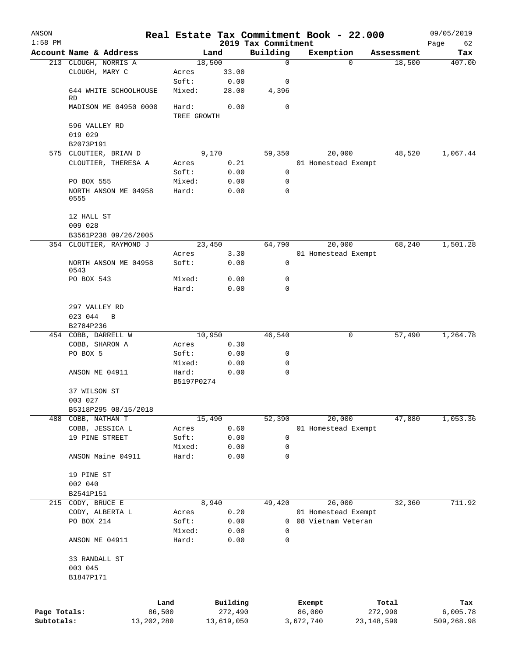| ANSON<br>$1:58$ PM |                                                 |                |                      |              |                                 |                  | Real Estate Tax Commitment Book - 22.000 |                  | 09/05/2019        |
|--------------------|-------------------------------------------------|----------------|----------------------|--------------|---------------------------------|------------------|------------------------------------------|------------------|-------------------|
|                    | Account Name & Address                          |                |                      | Land         | 2019 Tax Commitment<br>Building |                  | Exemption                                | Assessment       | Page<br>62<br>Tax |
|                    | 213 CLOUGH, NORRIS A                            |                |                      | 18,500       | $\mathbf 0$                     |                  | $\Omega$                                 | 18,500           | 407.00            |
|                    | CLOUGH, MARY C                                  |                | Acres                | 33.00        |                                 |                  |                                          |                  |                   |
|                    |                                                 |                | Soft:                | 0.00         | 0                               |                  |                                          |                  |                   |
|                    | 644 WHITE SCHOOLHOUSE<br><b>RD</b>              |                | Mixed:               | 28.00        | 4,396                           |                  |                                          |                  |                   |
|                    | MADISON ME 04950 0000                           |                | Hard:<br>TREE GROWTH | 0.00         | $\mathbf 0$                     |                  |                                          |                  |                   |
|                    | 596 VALLEY RD                                   |                |                      |              |                                 |                  |                                          |                  |                   |
|                    | 019 029                                         |                |                      |              |                                 |                  |                                          |                  |                   |
|                    | B2073P191                                       |                |                      |              |                                 |                  |                                          |                  |                   |
|                    | 575 CLOUTIER, BRIAN D                           |                |                      | 9,170        | 59,350                          |                  | 20,000                                   | 48,520           | 1,067.44          |
|                    | CLOUTIER, THERESA A                             |                | Acres                | 0.21         |                                 |                  | 01 Homestead Exempt                      |                  |                   |
|                    | PO BOX 555                                      |                | Soft:<br>Mixed:      | 0.00<br>0.00 | 0<br>0                          |                  |                                          |                  |                   |
|                    | NORTH ANSON ME 04958                            |                | Hard:                | 0.00         | $\mathbf 0$                     |                  |                                          |                  |                   |
|                    | 0555                                            |                |                      |              |                                 |                  |                                          |                  |                   |
|                    | 12 HALL ST                                      |                |                      |              |                                 |                  |                                          |                  |                   |
|                    | 009 028                                         |                |                      |              |                                 |                  |                                          |                  |                   |
|                    | B3561P238 09/26/2005<br>354 CLOUTIER, RAYMOND J |                |                      | 23,450       | 64,790                          |                  | 20,000                                   | 68,240           | 1,501.28          |
|                    |                                                 |                | Acres                | 3.30         |                                 |                  | 01 Homestead Exempt                      |                  |                   |
|                    | NORTH ANSON ME 04958                            |                | Soft:                | 0.00         | $\mathbf 0$                     |                  |                                          |                  |                   |
|                    | 0543                                            |                |                      |              |                                 |                  |                                          |                  |                   |
|                    | PO BOX 543                                      |                | Mixed:               | 0.00         | 0                               |                  |                                          |                  |                   |
|                    |                                                 |                | Hard:                | 0.00         | $\mathbf 0$                     |                  |                                          |                  |                   |
|                    | 297 VALLEY RD                                   |                |                      |              |                                 |                  |                                          |                  |                   |
|                    | 023 044<br>B                                    |                |                      |              |                                 |                  |                                          |                  |                   |
|                    | B2784P236                                       |                |                      |              |                                 |                  |                                          |                  |                   |
|                    | 454 COBB, DARRELL W                             |                |                      | 10,950       | 46,540                          |                  | 0                                        | 57,490           | 1,264.78          |
|                    | COBB, SHARON A                                  |                | Acres                | 0.30         |                                 |                  |                                          |                  |                   |
|                    | PO BOX 5                                        |                | Soft:                | 0.00         | 0                               |                  |                                          |                  |                   |
|                    |                                                 |                | Mixed:               | 0.00         | 0                               |                  |                                          |                  |                   |
|                    | ANSON ME 04911                                  |                | Hard:<br>B5197P0274  | 0.00         | $\mathbf 0$                     |                  |                                          |                  |                   |
|                    | 37 WILSON ST                                    |                |                      |              |                                 |                  |                                          |                  |                   |
|                    | 003 027                                         |                |                      |              |                                 |                  |                                          |                  |                   |
|                    | B5318P295 08/15/2018                            |                |                      |              |                                 |                  |                                          |                  |                   |
|                    | 488 COBB, NATHAN T                              |                |                      | 15,490       | 52,390                          |                  | 20,000                                   | 47,880           | 1,053.36          |
|                    | COBB, JESSICA L                                 |                | Acres                | 0.60         |                                 |                  | 01 Homestead Exempt                      |                  |                   |
|                    | 19 PINE STREET                                  |                | Soft:                | 0.00         | 0                               |                  |                                          |                  |                   |
|                    |                                                 |                | Mixed:               | 0.00         | 0                               |                  |                                          |                  |                   |
|                    | ANSON Maine 04911                               |                | Hard:                | 0.00         | $\mathsf{O}$                    |                  |                                          |                  |                   |
|                    | 19 PINE ST                                      |                |                      |              |                                 |                  |                                          |                  |                   |
|                    | 002 040                                         |                |                      |              |                                 |                  |                                          |                  |                   |
|                    | B2541P151                                       |                |                      |              |                                 |                  |                                          |                  |                   |
|                    | 215 CODY, BRUCE E                               |                |                      | 8,940        | 49,420                          |                  | 26,000                                   | 32,360           | 711.92            |
|                    | CODY, ALBERTA L                                 |                | Acres                | 0.20         |                                 |                  | 01 Homestead Exempt                      |                  |                   |
|                    | PO BOX 214                                      |                | Soft:                | 0.00         | $\mathbf{0}$                    |                  | 08 Vietnam Veteran                       |                  |                   |
|                    | ANSON ME 04911                                  |                | Mixed:<br>Hard:      | 0.00<br>0.00 | 0<br>0                          |                  |                                          |                  |                   |
|                    |                                                 |                |                      |              |                                 |                  |                                          |                  |                   |
|                    | 33 RANDALL ST                                   |                |                      |              |                                 |                  |                                          |                  |                   |
|                    | 003 045                                         |                |                      |              |                                 |                  |                                          |                  |                   |
|                    | B1847P171                                       |                |                      |              |                                 |                  |                                          |                  |                   |
|                    |                                                 |                |                      | Building     |                                 |                  |                                          |                  |                   |
| Page Totals:       |                                                 | Land<br>86,500 |                      | 272,490      |                                 | Exempt<br>86,000 |                                          | Total<br>272,990 | Tax<br>6,005.78   |
| Subtotals:         |                                                 | 13,202,280     |                      | 13,619,050   |                                 | 3,672,740        | 23,148,590                               |                  | 509,268.98        |
|                    |                                                 |                |                      |              |                                 |                  |                                          |                  |                   |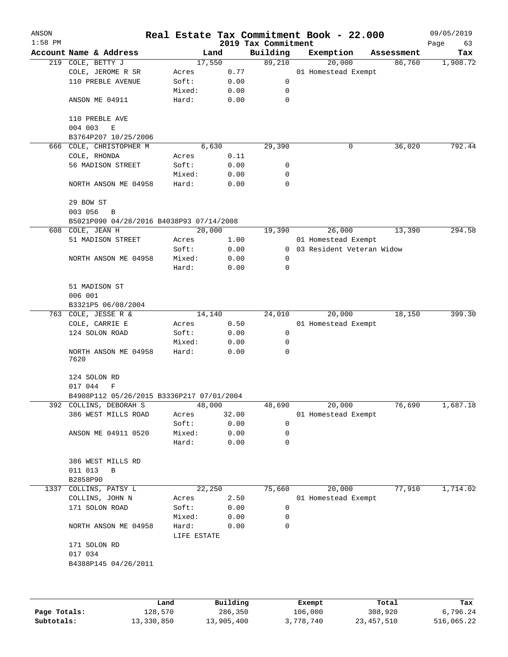| ANSON<br>$1:58$ PM |                                           |                      |          | 2019 Tax Commitment | Real Estate Tax Commitment Book - 22.000 |            | 09/05/2019<br>Page<br>63 |
|--------------------|-------------------------------------------|----------------------|----------|---------------------|------------------------------------------|------------|--------------------------|
|                    | Account Name & Address                    |                      | Land     | Building            | Exemption                                | Assessment | Tax                      |
|                    | 219 COLE, BETTY J                         |                      | 17,550   | 89,210              | 20,000                                   | 86,760     | 1,908.72                 |
|                    | COLE, JEROME R SR                         | Acres                | 0.77     |                     | 01 Homestead Exempt                      |            |                          |
|                    | 110 PREBLE AVENUE                         | Soft:                | 0.00     | 0                   |                                          |            |                          |
|                    |                                           | Mixed:               | 0.00     | 0                   |                                          |            |                          |
|                    | ANSON ME 04911                            | Hard:                | 0.00     | 0                   |                                          |            |                          |
|                    | 110 PREBLE AVE                            |                      |          |                     |                                          |            |                          |
|                    | 004 003<br>Ε                              |                      |          |                     |                                          |            |                          |
|                    | B3764P207 10/25/2006                      |                      |          |                     |                                          |            |                          |
|                    | 666 COLE, CHRISTOPHER M                   |                      | 6,630    | 29,390              | 0                                        | 36,020     | 792.44                   |
|                    | COLE, RHONDA                              | Acres                | 0.11     |                     |                                          |            |                          |
|                    | 56 MADISON STREET                         | Soft:                | 0.00     | 0                   |                                          |            |                          |
|                    |                                           | Mixed:               | 0.00     | 0                   |                                          |            |                          |
|                    | NORTH ANSON ME 04958                      | Hard:                | 0.00     | 0                   |                                          |            |                          |
|                    | 29 BOW ST                                 |                      |          |                     |                                          |            |                          |
|                    | 003 056<br>B                              |                      |          |                     |                                          |            |                          |
|                    | B5021P090 04/28/2016 B4038P93 07/14/2008  |                      |          |                     |                                          |            |                          |
|                    | 608 COLE, JEAN H                          |                      | 20,000   | 19,390              | 26,000                                   | 13,390     | 294.58                   |
|                    | 51 MADISON STREET                         | Acres                | 1.00     |                     | 01 Homestead Exempt                      |            |                          |
|                    |                                           | Soft:                | 0.00     |                     | 0 03 Resident Veteran Widow              |            |                          |
|                    | NORTH ANSON ME 04958                      | Mixed:               | 0.00     | 0                   |                                          |            |                          |
|                    |                                           | Hard:                | 0.00     | 0                   |                                          |            |                          |
|                    | 51 MADISON ST                             |                      |          |                     |                                          |            |                          |
|                    | 006 001                                   |                      |          |                     |                                          |            |                          |
|                    | B3321P5 06/08/2004                        |                      |          |                     |                                          |            |                          |
|                    | 763 COLE, JESSE R &                       |                      | 14,140   | 24,010              | 20,000                                   | 18,150     | 399.30                   |
|                    | COLE, CARRIE E                            | Acres                | 0.50     |                     | 01 Homestead Exempt                      |            |                          |
|                    | 124 SOLON ROAD                            | Soft:                | 0.00     | 0                   |                                          |            |                          |
|                    |                                           | Mixed:               | 0.00     | 0                   |                                          |            |                          |
|                    | NORTH ANSON ME 04958<br>7620              | Hard:                | 0.00     | 0                   |                                          |            |                          |
|                    | 124 SOLON RD                              |                      |          |                     |                                          |            |                          |
|                    | 017 044<br>F                              |                      |          |                     |                                          |            |                          |
|                    | B4908P112 05/26/2015 B3336P217 07/01/2004 |                      |          |                     |                                          |            |                          |
|                    | 392 COLLINS, DEBORAH S                    |                      | 48,000   | 48,690              | 20,000                                   | 76,690     | 1,687.18                 |
|                    | 386 WEST MILLS ROAD                       | Acres                | 32.00    |                     | 01 Homestead Exempt                      |            |                          |
|                    |                                           | Soft:                | 0.00     | 0                   |                                          |            |                          |
|                    | ANSON ME 04911 0520                       | Mixed:               | 0.00     | 0                   |                                          |            |                          |
|                    |                                           | Hard:                | 0.00     | 0                   |                                          |            |                          |
|                    | 386 WEST MILLS RD                         |                      |          |                     |                                          |            |                          |
|                    | 011 013<br>В<br>B2858P90                  |                      |          |                     |                                          |            |                          |
|                    | 1337 COLLINS, PATSY L                     |                      | 22,250   | 75,660              | 20,000                                   | 77,910     | 1,714.02                 |
|                    | COLLINS, JOHN N                           | Acres                | 2.50     |                     | 01 Homestead Exempt                      |            |                          |
|                    | 171 SOLON ROAD                            | Soft:                | 0.00     | 0                   |                                          |            |                          |
|                    |                                           | Mixed:               | 0.00     | 0                   |                                          |            |                          |
|                    | NORTH ANSON ME 04958                      | Hard:<br>LIFE ESTATE | 0.00     | 0                   |                                          |            |                          |
|                    | 171 SOLON RD                              |                      |          |                     |                                          |            |                          |
|                    | 017 034                                   |                      |          |                     |                                          |            |                          |
|                    | B4388P145 04/26/2011                      |                      |          |                     |                                          |            |                          |
|                    |                                           |                      |          |                     |                                          |            |                          |
|                    |                                           | Land                 | Building |                     | Exempt                                   | Total      | Tax                      |
|                    |                                           |                      |          |                     |                                          |            |                          |

|              | Land       | Building   | Exempt    | Total        | Tax        |
|--------------|------------|------------|-----------|--------------|------------|
| Page Totals: | 128,570    | 286,350    | 106,000   | 308,920      | 6,796.24   |
| Subtotals:   | 13,330,850 | 13,905,400 | 3,778,740 | 23, 457, 510 | 516,065.22 |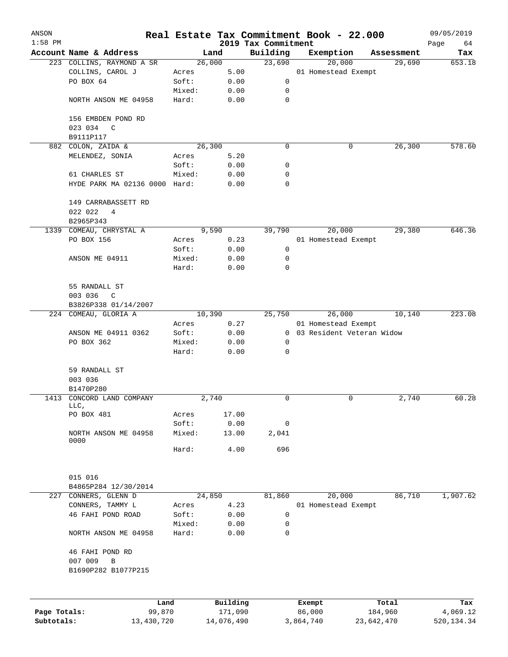| ANSON        |                               |                 |            |              | Real Estate Tax Commitment Book - 22.000 |                           |        |            |            | 09/05/2019        |
|--------------|-------------------------------|-----------------|------------|--------------|------------------------------------------|---------------------------|--------|------------|------------|-------------------|
| $1:58$ PM    | Account Name & Address        |                 | Land       |              | 2019 Tax Commitment<br>Building          | Exemption                 |        |            | Assessment | Page<br>64<br>Tax |
|              | 223 COLLINS, RAYMOND A SR     |                 | 26,000     |              | 23,690                                   |                           | 20,000 |            | 29,690     | 653.18            |
|              | COLLINS, CAROL J              | Acres           |            | 5.00         |                                          | 01 Homestead Exempt       |        |            |            |                   |
|              | PO BOX 64                     | Soft:           |            | 0.00         | 0                                        |                           |        |            |            |                   |
|              |                               | Mixed:          |            | 0.00         | 0                                        |                           |        |            |            |                   |
|              | NORTH ANSON ME 04958          | Hard:           |            | 0.00         | $\mathbf 0$                              |                           |        |            |            |                   |
|              | 156 EMBDEN POND RD            |                 |            |              |                                          |                           |        |            |            |                   |
|              | 023 034<br>C                  |                 |            |              |                                          |                           |        |            |            |                   |
|              | B9111P117                     |                 |            |              |                                          |                           |        |            |            |                   |
|              | 882 COLON, ZAIDA &            |                 | 26,300     |              | 0                                        |                           | 0      |            | 26,300     | 578.60            |
|              | MELENDEZ, SONIA               | Acres           |            | 5.20         |                                          |                           |        |            |            |                   |
|              |                               | Soft:           |            | 0.00         | 0                                        |                           |        |            |            |                   |
|              | 61 CHARLES ST                 | Mixed:          |            | 0.00         | 0                                        |                           |        |            |            |                   |
|              | HYDE PARK MA 02136 0000 Hard: |                 |            | 0.00         | 0                                        |                           |        |            |            |                   |
|              | 149 CARRABASSETT RD           |                 |            |              |                                          |                           |        |            |            |                   |
|              | 022 022<br>4                  |                 |            |              |                                          |                           |        |            |            |                   |
|              | B2965P343                     |                 |            |              |                                          |                           |        |            |            |                   |
|              | 1339 COMEAU, CHRYSTAL A       |                 | 9,590      |              | 39,790                                   |                           | 20,000 |            | 29,380     | 646.36            |
|              | PO BOX 156                    | Acres<br>Soft:  |            | 0.23         | $\mathbf 0$                              | 01 Homestead Exempt       |        |            |            |                   |
|              |                               |                 |            | 0.00<br>0.00 | 0                                        |                           |        |            |            |                   |
|              | ANSON ME 04911                | Mixed:<br>Hard: |            | 0.00         | 0                                        |                           |        |            |            |                   |
|              |                               |                 |            |              |                                          |                           |        |            |            |                   |
|              | 55 RANDALL ST                 |                 |            |              |                                          |                           |        |            |            |                   |
|              | 003 036<br>C                  |                 |            |              |                                          |                           |        |            |            |                   |
|              | B3826P338 01/14/2007          |                 |            |              |                                          |                           |        |            |            |                   |
|              | 224 COMEAU, GLORIA A          |                 | 10,390     |              | 25,750                                   |                           | 26,000 |            | 10,140     | 223.08            |
|              |                               | Acres           |            | 0.27         |                                          | 01 Homestead Exempt       |        |            |            |                   |
|              | ANSON ME 04911 0362           | Soft:           |            | 0.00         | $\mathbf{0}$                             | 03 Resident Veteran Widow |        |            |            |                   |
|              | PO BOX 362                    | Mixed:          |            | 0.00         | $\mathbf 0$                              |                           |        |            |            |                   |
|              |                               | Hard:           |            | 0.00         | 0                                        |                           |        |            |            |                   |
|              | 59 RANDALL ST                 |                 |            |              |                                          |                           |        |            |            |                   |
|              | 003 036                       |                 |            |              |                                          |                           |        |            |            |                   |
|              | B1470P280                     |                 |            |              |                                          |                           |        |            |            |                   |
|              | 1413 CONCORD LAND COMPANY     |                 | 2,740      |              | 0                                        |                           | 0      |            | 2,740      | 60.28             |
|              | LLC,                          |                 |            |              |                                          |                           |        |            |            |                   |
|              | PO BOX 481                    | Acres           | 17.00      |              |                                          |                           |        |            |            |                   |
|              |                               | Soft:           |            | 0.00         | 0                                        |                           |        |            |            |                   |
|              | NORTH ANSON ME 04958<br>0000  | Mixed:          | 13.00      |              | 2,041                                    |                           |        |            |            |                   |
|              |                               | Hard:           |            | 4.00         | 696                                      |                           |        |            |            |                   |
|              |                               |                 |            |              |                                          |                           |        |            |            |                   |
|              | 015 016                       |                 |            |              |                                          |                           |        |            |            |                   |
|              | B4865P284 12/30/2014          |                 |            |              |                                          |                           |        |            |            |                   |
| 227          | CONNERS, GLENN D              |                 | 24,850     |              | 81,860                                   |                           | 20,000 |            | 86,710     | 1,907.62          |
|              | CONNERS, TAMMY L              | Acres           |            | 4.23         |                                          | 01 Homestead Exempt       |        |            |            |                   |
|              | 46 FAHI POND ROAD             | Soft:           |            | 0.00         | 0                                        |                           |        |            |            |                   |
|              |                               | Mixed:          |            | 0.00         | 0                                        |                           |        |            |            |                   |
|              | NORTH ANSON ME 04958          | Hard:           |            | 0.00         | 0                                        |                           |        |            |            |                   |
|              | 46 FAHI POND RD               |                 |            |              |                                          |                           |        |            |            |                   |
|              | 007 009<br>B                  |                 |            |              |                                          |                           |        |            |            |                   |
|              | B1690P282 B1077P215           |                 |            |              |                                          |                           |        |            |            |                   |
|              |                               |                 |            |              |                                          |                           |        |            |            |                   |
|              |                               | Land            | Building   |              |                                          | Exempt                    |        |            | Total      | Tax               |
| Page Totals: | 99,870                        |                 | 171,090    |              |                                          | 86,000                    |        |            | 184,960    | 4,069.12          |
| Subtotals:   | 13,430,720                    |                 | 14,076,490 |              |                                          | 3,864,740                 |        | 23,642,470 |            | 520, 134.34       |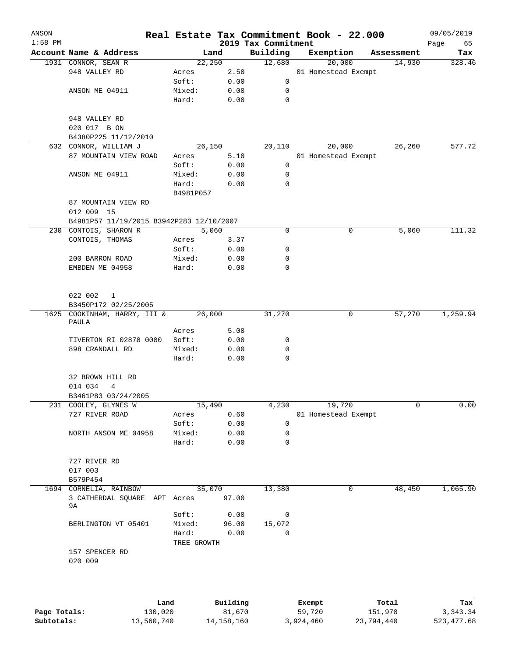| ANSON<br>$1:58$ PM |                                                 |                 |                 | 2019 Tax Commitment | Real Estate Tax Commitment Book - 22.000 |            | 09/05/2019<br>Page<br>65 |
|--------------------|-------------------------------------------------|-----------------|-----------------|---------------------|------------------------------------------|------------|--------------------------|
|                    | Account Name & Address                          |                 | Land            | Building            | Exemption                                | Assessment | Tax                      |
|                    | 1931 CONNOR, SEAN R                             | 22,250          |                 | 12,680              | 20,000                                   | 14,930     | 328.46                   |
|                    | 948 VALLEY RD                                   | Acres           | 2.50            |                     | 01 Homestead Exempt                      |            |                          |
|                    |                                                 | Soft:           | 0.00            | 0                   |                                          |            |                          |
|                    | ANSON ME 04911                                  | Mixed:          | 0.00            | 0                   |                                          |            |                          |
|                    |                                                 | Hard:           | 0.00            | $\mathbf 0$         |                                          |            |                          |
|                    | 948 VALLEY RD<br>020 017 B ON                   |                 |                 |                     |                                          |            |                          |
|                    | B4380P225 11/12/2010                            |                 |                 |                     |                                          |            |                          |
|                    | 632 CONNOR, WILLIAM J                           | 26, 150         |                 | 20,110              | 20,000                                   | 26,260     | 577.72                   |
|                    | 87 MOUNTAIN VIEW ROAD                           | Acres           | 5.10            |                     | 01 Homestead Exempt                      |            |                          |
|                    |                                                 | Soft:           | 0.00            | 0                   |                                          |            |                          |
|                    | ANSON ME 04911                                  | Mixed:          | 0.00            | 0                   |                                          |            |                          |
|                    |                                                 | Hard:           | 0.00            | $\mathbf 0$         |                                          |            |                          |
|                    |                                                 | B4981P057       |                 |                     |                                          |            |                          |
|                    | 87 MOUNTAIN VIEW RD<br>012 009 15               |                 |                 |                     |                                          |            |                          |
|                    | B4981P57 11/19/2015 B3942P283 12/10/2007        |                 |                 |                     |                                          |            |                          |
|                    | 230 CONTOIS, SHARON R                           |                 | 5,060           | 0                   | 0                                        | 5,060      | 111.32                   |
|                    | CONTOIS, THOMAS                                 | Acres           | 3.37            |                     |                                          |            |                          |
|                    |                                                 | Soft:           | 0.00            | 0                   |                                          |            |                          |
|                    | 200 BARRON ROAD                                 | Mixed:          | 0.00            | 0                   |                                          |            |                          |
|                    | EMBDEN ME 04958                                 | Hard:           | 0.00            | 0                   |                                          |            |                          |
|                    | 022 002<br>$\mathbf{1}$<br>B3450P172 02/25/2005 |                 |                 |                     |                                          |            |                          |
|                    | 1625 COOKINHAM, HARRY, III &<br>PAULA           | 26,000          |                 | 31,270              | 0                                        | 57,270     | 1,259.94                 |
|                    |                                                 | Acres           | 5.00            |                     |                                          |            |                          |
|                    | TIVERTON RI 02878 0000                          | Soft:           | 0.00            | 0                   |                                          |            |                          |
|                    | 898 CRANDALL RD                                 | Mixed:          | 0.00            | 0                   |                                          |            |                          |
|                    |                                                 | Hard:           | 0.00            | $\mathbf 0$         |                                          |            |                          |
|                    | 32 BROWN HILL RD<br>014 034<br>4                |                 |                 |                     |                                          |            |                          |
|                    | B3461P83 03/24/2005                             |                 |                 |                     |                                          |            |                          |
|                    |                                                 |                 |                 |                     |                                          |            |                          |
|                    | 231 COOLEY, GLYNES W                            | 15,490          |                 | 4,230               | 19,720                                   | 0          | 0.00                     |
|                    | 727 RIVER ROAD                                  | Acres           | 0.60            |                     | 01 Homestead Exempt                      |            |                          |
|                    |                                                 | Soft:           | 0.00            | 0                   |                                          |            |                          |
|                    | NORTH ANSON ME 04958                            | Mixed:<br>Hard: | 0.00<br>0.00    | 0<br>$\mathbf 0$    |                                          |            |                          |
|                    |                                                 |                 |                 |                     |                                          |            |                          |
|                    | 727 RIVER RD<br>017 003                         |                 |                 |                     |                                          |            |                          |
|                    | B579P454                                        |                 |                 |                     |                                          |            |                          |
|                    | 1694 CORNELIA, RAINBOW                          |                 | 35,070          | 13,380              | 0                                        | 48,450     | 1,065.90                 |
|                    | 3 CATHERDAL SQUARE APT Acres<br>9A              |                 | 97.00           |                     |                                          |            |                          |
|                    |                                                 | Soft:           | 0.00            | 0                   |                                          |            |                          |
|                    | BERLINGTON VT 05401                             | Mixed:<br>Hard: | 96.00<br>0.00   | 15,072<br>0         |                                          |            |                          |
|                    | 157 SPENCER RD<br>020 009                       | TREE GROWTH     |                 |                     |                                          |            |                          |
|                    |                                                 |                 |                 |                     |                                          |            |                          |
|                    | <b>Tond</b>                                     |                 | $P_{11}$ ilding |                     | $F$ vomnt                                | $T - 1$    | т.,                      |

|              | Land       | Building     | Exempt    | Total      | Tax        |
|--------------|------------|--------------|-----------|------------|------------|
| Page Totals: | 130.020    | 81,670       | 59,720    | 151,970    | 3, 343, 34 |
| Subtotals:   | 13,560,740 | 14, 158, 160 | 3,924,460 | 23,794,440 | 523,477.68 |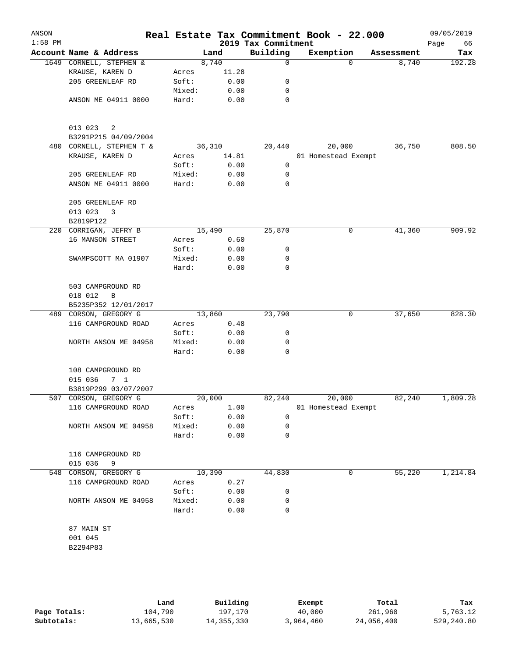| ANSON<br>$1:58$ PM |                                   |                 |              | 2019 Tax Commitment | Real Estate Tax Commitment Book - 22.000 |            | 09/05/2019<br>Page<br>66 |
|--------------------|-----------------------------------|-----------------|--------------|---------------------|------------------------------------------|------------|--------------------------|
|                    | Account Name & Address            |                 | Land         | Building            | Exemption                                | Assessment | Tax                      |
|                    | 1649 CORNELL, STEPHEN &           |                 | 8,740        | $\mathbf 0$         | $\Omega$                                 | 8,740      | 192.28                   |
|                    | KRAUSE, KAREN D                   | Acres           | 11.28        |                     |                                          |            |                          |
|                    | 205 GREENLEAF RD                  | Soft:           | 0.00         | 0                   |                                          |            |                          |
|                    |                                   | Mixed:          | 0.00         | 0                   |                                          |            |                          |
|                    | ANSON ME 04911 0000               | Hard:           | 0.00         | $\mathbf 0$         |                                          |            |                          |
|                    | 013 023<br>2                      |                 |              |                     |                                          |            |                          |
|                    | B3291P215 04/09/2004              |                 |              |                     |                                          |            |                          |
| 480                | CORNELL, STEPHEN T &              |                 | 36,310       | 20,440              | 20,000                                   | 36,750     | 808.50                   |
|                    | KRAUSE, KAREN D                   | Acres           | 14.81        |                     | 01 Homestead Exempt                      |            |                          |
|                    |                                   | Soft:           | 0.00         | 0                   |                                          |            |                          |
|                    | 205 GREENLEAF RD                  | Mixed:          | 0.00         | 0                   |                                          |            |                          |
|                    | ANSON ME 04911 0000               | Hard:           | 0.00         | $\mathbf 0$         |                                          |            |                          |
|                    | 205 GREENLEAF RD                  |                 |              |                     |                                          |            |                          |
|                    | 013 023<br>3                      |                 |              |                     |                                          |            |                          |
|                    | B2819P122                         |                 |              |                     |                                          |            |                          |
|                    | 220 CORRIGAN, JEFRY B             |                 | 15,490       | 25,870              | 0                                        | 41,360     | 909.92                   |
|                    | 16 MANSON STREET                  | Acres           | 0.60         |                     |                                          |            |                          |
|                    |                                   | Soft:           | 0.00         | 0                   |                                          |            |                          |
|                    | SWAMPSCOTT MA 01907               | Mixed:          | 0.00         | 0                   |                                          |            |                          |
|                    |                                   | Hard:           | 0.00         | $\mathbf 0$         |                                          |            |                          |
|                    | 503 CAMPGROUND RD                 |                 |              |                     |                                          |            |                          |
|                    | 018 012<br>B                      |                 |              |                     |                                          |            |                          |
|                    | B5235P352 12/01/2017              |                 |              |                     |                                          |            |                          |
|                    | 489 CORSON, GREGORY G             |                 | 13,860       | 23,790              | 0                                        | 37,650     | 828.30                   |
|                    | 116 CAMPGROUND ROAD               | Acres           | 0.48         |                     |                                          |            |                          |
|                    |                                   | Soft:           | 0.00         | 0                   |                                          |            |                          |
|                    | NORTH ANSON ME 04958              | Mixed:          | 0.00         | 0                   |                                          |            |                          |
|                    |                                   | Hard:           | 0.00         | $\mathbf 0$         |                                          |            |                          |
|                    | 108 CAMPGROUND RD                 |                 |              |                     |                                          |            |                          |
|                    | 015 036<br>7 <sub>1</sub>         |                 |              |                     |                                          |            |                          |
|                    | B3819P299 03/07/2007              |                 |              |                     |                                          |            |                          |
|                    | 507 CORSON, GREGORY G             |                 | 20,000       | 82,240              | 20,000                                   | 82,240     | 1,809.28                 |
|                    | 116 CAMPGROUND ROAD               | Acres           | 1.00         |                     | 01 Homestead Exempt                      |            |                          |
|                    |                                   | Soft:           | 0.00         | 0                   |                                          |            |                          |
|                    | NORTH ANSON ME 04958              | Mixed:<br>Hard: | 0.00<br>0.00 | 0<br>0              |                                          |            |                          |
|                    |                                   |                 |              |                     |                                          |            |                          |
|                    | 116 CAMPGROUND RD<br>015 036<br>9 |                 |              |                     |                                          |            |                          |
|                    | 548 CORSON, GREGORY G             |                 | 10,390       | 44,830              | 0                                        | 55,220     | 1,214.84                 |
|                    | 116 CAMPGROUND ROAD               | Acres           | 0.27         |                     |                                          |            |                          |
|                    |                                   | Soft:           | 0.00         | 0                   |                                          |            |                          |
|                    | NORTH ANSON ME 04958              | Mixed:          | 0.00         | 0                   |                                          |            |                          |
|                    |                                   | Hard:           | 0.00         | 0                   |                                          |            |                          |
|                    | 87 MAIN ST                        |                 |              |                     |                                          |            |                          |
|                    | 001 045                           |                 |              |                     |                                          |            |                          |
|                    | B2294P83                          |                 |              |                     |                                          |            |                          |
|                    |                                   |                 |              |                     |                                          |            |                          |
|                    |                                   |                 |              |                     |                                          |            |                          |

|              | Land       | Building     | Exempt    | Total      | Tax        |
|--------------|------------|--------------|-----------|------------|------------|
| Page Totals: | 104,790    | 197,170      | 40,000    | 261,960    | 5,763.12   |
| Subtotals:   | 13,665,530 | 14, 355, 330 | 3,964,460 | 24,056,400 | 529,240.80 |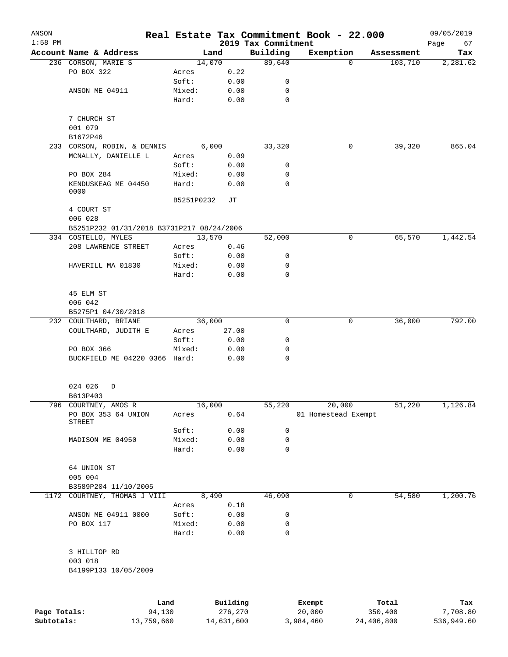| ANSON<br>$1:58$ PM |                                           |            |          | 2019 Tax Commitment | Real Estate Tax Commitment Book - 22.000 |            | 09/05/2019<br>67<br>Page |
|--------------------|-------------------------------------------|------------|----------|---------------------|------------------------------------------|------------|--------------------------|
|                    | Account Name & Address                    |            | Land     | Building            | Exemption                                | Assessment | Tax                      |
|                    | 236 CORSON, MARIE S                       |            | 14,070   | 89,640              | $\Omega$                                 | 103,710    | 2,281.62                 |
|                    | PO BOX 322                                | Acres      | 0.22     |                     |                                          |            |                          |
|                    |                                           | Soft:      | 0.00     | 0                   |                                          |            |                          |
|                    | ANSON ME 04911                            | Mixed:     | 0.00     | 0                   |                                          |            |                          |
|                    |                                           | Hard:      | 0.00     | 0                   |                                          |            |                          |
|                    | 7 CHURCH ST                               |            |          |                     |                                          |            |                          |
|                    | 001 079                                   |            |          |                     |                                          |            |                          |
|                    | B1672P46                                  |            |          |                     |                                          |            |                          |
|                    | 233 CORSON, ROBIN, & DENNIS               |            | 6,000    | 33,320              | 0                                        | 39, 320    | 865.04                   |
|                    | MCNALLY, DANIELLE L                       | Acres      | 0.09     |                     |                                          |            |                          |
|                    |                                           | Soft:      | 0.00     | 0                   |                                          |            |                          |
|                    | PO BOX 284                                | Mixed:     | 0.00     | 0                   |                                          |            |                          |
|                    | KENDUSKEAG ME 04450<br>0000               | Hard:      | 0.00     | 0                   |                                          |            |                          |
|                    |                                           | B5251P0232 | JТ       |                     |                                          |            |                          |
|                    | 4 COURT ST                                |            |          |                     |                                          |            |                          |
|                    | 006 028                                   |            |          |                     |                                          |            |                          |
|                    | B5251P232 01/31/2018 B3731P217 08/24/2006 |            |          |                     |                                          |            |                          |
|                    | 334 COSTELLO, MYLES                       |            | 13,570   | 52,000              | 0                                        | 65,570     | 1,442.54                 |
|                    | 208 LAWRENCE STREET                       | Acres      | 0.46     |                     |                                          |            |                          |
|                    |                                           | Soft:      | 0.00     | 0                   |                                          |            |                          |
|                    | HAVERILL MA 01830                         | Mixed:     | 0.00     | 0                   |                                          |            |                          |
|                    |                                           | Hard:      | 0.00     | 0                   |                                          |            |                          |
|                    | 45 ELM ST                                 |            |          |                     |                                          |            |                          |
|                    | 006 042                                   |            |          |                     |                                          |            |                          |
|                    | B5275P1 04/30/2018                        |            |          |                     |                                          |            |                          |
|                    | 232 COULTHARD, BRIANE                     |            | 36,000   | 0                   | 0                                        | 36,000     | 792.00                   |
|                    | COULTHARD, JUDITH E                       | Acres      | 27.00    |                     |                                          |            |                          |
|                    |                                           | Soft:      | 0.00     | 0                   |                                          |            |                          |
|                    | PO BOX 366                                | Mixed:     | 0.00     | 0                   |                                          |            |                          |
|                    | BUCKFIELD ME 04220 0366 Hard:             |            | 0.00     | 0                   |                                          |            |                          |
|                    | 024 026<br>D                              |            |          |                     |                                          |            |                          |
|                    | B613P403                                  |            |          |                     |                                          |            |                          |
|                    | 796 COURTNEY, AMOS R                      |            | 16,000   | 55,220              | 20,000                                   | 51,220     | 1,126.84                 |
|                    | PO BOX 353 64 UNION<br><b>STREET</b>      | Acres      | 0.64     |                     | 01 Homestead Exempt                      |            |                          |
|                    |                                           | Soft:      | 0.00     | 0                   |                                          |            |                          |
|                    | MADISON ME 04950                          | Mixed:     | 0.00     | 0                   |                                          |            |                          |
|                    |                                           | Hard:      | 0.00     | 0                   |                                          |            |                          |
|                    | 64 UNION ST                               |            |          |                     |                                          |            |                          |
|                    | 005 004                                   |            |          |                     |                                          |            |                          |
|                    | B3589P204 11/10/2005                      |            |          |                     |                                          |            |                          |
|                    | 1172 COURTNEY, THOMAS J VIII              |            | 8,490    | 46,090              | 0                                        | 54,580     | 1,200.76                 |
|                    |                                           | Acres      | 0.18     |                     |                                          |            |                          |
|                    | ANSON ME 04911 0000                       | Soft:      | 0.00     | 0                   |                                          |            |                          |
|                    | PO BOX 117                                | Mixed:     | 0.00     | 0                   |                                          |            |                          |
|                    |                                           | Hard:      | 0.00     | 0                   |                                          |            |                          |
|                    | 3 HILLTOP RD                              |            |          |                     |                                          |            |                          |
|                    | 003 018                                   |            |          |                     |                                          |            |                          |
|                    | B4199P133 10/05/2009                      |            |          |                     |                                          |            |                          |
|                    |                                           |            |          |                     |                                          |            |                          |
|                    | Land                                      |            | Building |                     | Exempt                                   | Total      | Tax                      |
| Page Totals:       | 94,130                                    |            | 276,270  |                     | 20,000                                   | 350,400    | 7,708.80                 |

**Subtotals:** 13,759,660 14,631,600 3,984,460 24,406,800 536,949.60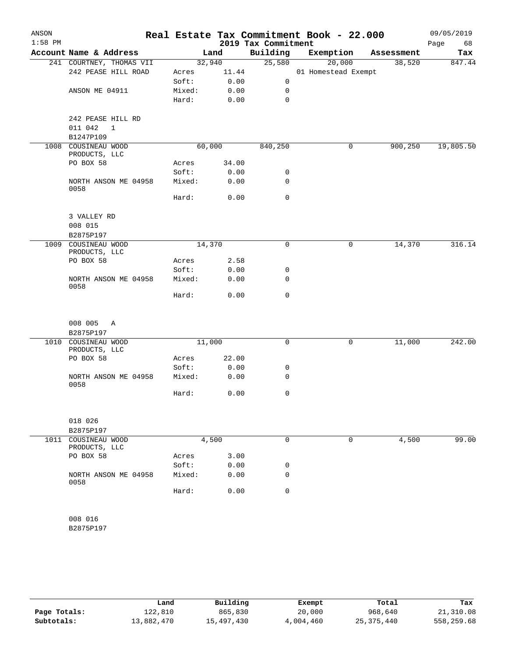| ANSON     |                                      |        |       |                     | Real Estate Tax Commitment Book - 22.000 |             |            | 09/05/2019 |
|-----------|--------------------------------------|--------|-------|---------------------|------------------------------------------|-------------|------------|------------|
| $1:58$ PM |                                      |        |       | 2019 Tax Commitment |                                          |             |            | 68<br>Page |
|           | Account Name & Address               |        | Land  | Building            | Exemption                                |             | Assessment | Tax        |
|           | 241 COURTNEY, THOMAS VII             | 32,940 |       | 25,580              | 20,000                                   |             | 38,520     | 847.44     |
|           | 242 PEASE HILL ROAD                  | Acres  | 11.44 |                     | 01 Homestead Exempt                      |             |            |            |
|           |                                      | Soft:  | 0.00  | $\mathbf 0$         |                                          |             |            |            |
|           | ANSON ME 04911                       | Mixed: | 0.00  | 0                   |                                          |             |            |            |
|           |                                      | Hard:  | 0.00  | $\mathbf 0$         |                                          |             |            |            |
|           | 242 PEASE HILL RD                    |        |       |                     |                                          |             |            |            |
|           | 011 042<br>$\mathbf{1}$              |        |       |                     |                                          |             |            |            |
|           | B1247P109                            |        |       |                     |                                          |             |            |            |
|           | 1008 COUSINEAU WOOD                  | 60,000 |       | 840,250             |                                          | 0           | 900,250    | 19,805.50  |
|           | PRODUCTS, LLC                        |        |       |                     |                                          |             |            |            |
|           | PO BOX 58                            | Acres  | 34.00 |                     |                                          |             |            |            |
|           |                                      | Soft:  | 0.00  | 0                   |                                          |             |            |            |
|           | NORTH ANSON ME 04958<br>0058         | Mixed: | 0.00  | 0                   |                                          |             |            |            |
|           |                                      | Hard:  | 0.00  | $\mathbf 0$         |                                          |             |            |            |
|           | 3 VALLEY RD                          |        |       |                     |                                          |             |            |            |
|           | 008 015                              |        |       |                     |                                          |             |            |            |
|           | B2875P197                            |        |       |                     |                                          |             |            |            |
|           | 1009 COUSINEAU WOOD                  | 14,370 |       | $\mathbf 0$         |                                          | $\mathbf 0$ | 14,370     | 316.14     |
|           | PRODUCTS, LLC                        |        |       |                     |                                          |             |            |            |
|           | PO BOX 58                            | Acres  | 2.58  |                     |                                          |             |            |            |
|           |                                      | Soft:  | 0.00  | 0                   |                                          |             |            |            |
|           | NORTH ANSON ME 04958<br>0058         | Mixed: | 0.00  | 0                   |                                          |             |            |            |
|           |                                      | Hard:  | 0.00  | $\mathbf 0$         |                                          |             |            |            |
|           | 008 005 A                            |        |       |                     |                                          |             |            |            |
|           | B2875P197                            |        |       |                     |                                          |             |            |            |
|           | 1010 COUSINEAU WOOD<br>PRODUCTS, LLC | 11,000 |       | 0                   |                                          | 0           | 11,000     | 242.00     |
|           | PO BOX 58                            | Acres  | 22.00 |                     |                                          |             |            |            |
|           |                                      | Soft:  | 0.00  | 0                   |                                          |             |            |            |
|           | NORTH ANSON ME 04958                 | Mixed: | 0.00  | 0                   |                                          |             |            |            |
|           | 0058                                 |        |       |                     |                                          |             |            |            |
|           |                                      | Hard:  | 0.00  | 0                   |                                          |             |            |            |
|           | 018 026                              |        |       |                     |                                          |             |            |            |
|           | B2875P197                            |        |       |                     |                                          |             |            |            |
| 1011      | COUSINEAU WOOD                       | 4,500  |       | $\mathbf 0$         |                                          | 0           | 4,500      | 99.00      |
|           | PRODUCTS, LLC                        |        |       |                     |                                          |             |            |            |
|           | PO BOX 58                            | Acres  | 3.00  |                     |                                          |             |            |            |
|           |                                      | Soft:  | 0.00  | 0                   |                                          |             |            |            |
|           | NORTH ANSON ME 04958<br>0058         | Mixed: | 0.00  | 0                   |                                          |             |            |            |
|           |                                      | Hard:  | 0.00  | 0                   |                                          |             |            |            |
|           |                                      |        |       |                     |                                          |             |            |            |
|           | 008 016                              |        |       |                     |                                          |             |            |            |
|           | B2875P197                            |        |       |                     |                                          |             |            |            |

|              | Land       | Building   | Exempt    | Total      | Tax        |
|--------------|------------|------------|-----------|------------|------------|
| Page Totals: | 122,810    | 865,830    | 20,000    | 968,640    | 21,310.08  |
| Subtotals:   | 13,882,470 | 15,497,430 | 4,004,460 | 25,375,440 | 558,259.68 |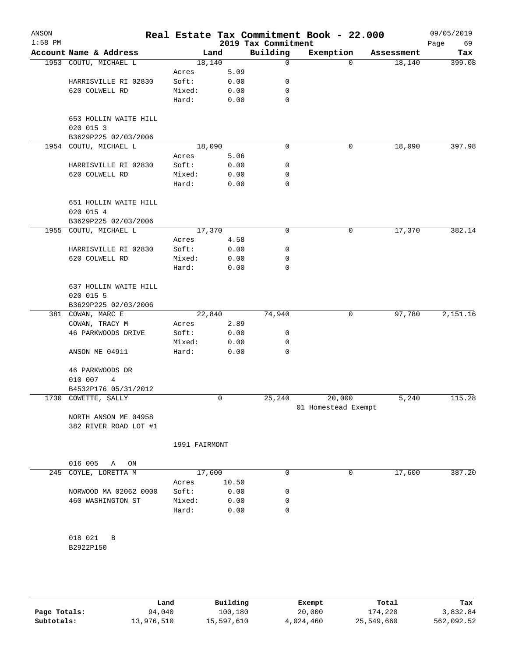| ANSON<br>$1:58$ PM |                                                            |                 |              | 2019 Tax Commitment | Real Estate Tax Commitment Book - 22.000 |            | 09/05/2019<br>Page<br>69 |
|--------------------|------------------------------------------------------------|-----------------|--------------|---------------------|------------------------------------------|------------|--------------------------|
|                    | Account Name & Address                                     |                 | Land         | Building            | Exemption                                | Assessment | Tax                      |
|                    | 1953 COUTU, MICHAEL L                                      | 18,140          |              | 0                   | $\Omega$                                 | 18,140     | 399.08                   |
|                    |                                                            | Acres           | 5.09         |                     |                                          |            |                          |
|                    | HARRISVILLE RI 02830                                       | Soft:           | 0.00         | 0                   |                                          |            |                          |
|                    | 620 COLWELL RD                                             | Mixed:          | 0.00         | 0                   |                                          |            |                          |
|                    |                                                            | Hard:           | 0.00         | $\mathbf 0$         |                                          |            |                          |
|                    | 653 HOLLIN WAITE HILL<br>020 015 3<br>B3629P225 02/03/2006 |                 |              |                     |                                          |            |                          |
|                    | 1954 COUTU, MICHAEL L                                      | 18,090          |              | $\mathbf 0$         | 0                                        | 18,090     | 397.98                   |
|                    |                                                            | Acres           | 5.06         |                     |                                          |            |                          |
|                    | HARRISVILLE RI 02830                                       | Soft:           | 0.00         | 0                   |                                          |            |                          |
|                    | 620 COLWELL RD                                             | Mixed:          | 0.00         | 0                   |                                          |            |                          |
|                    |                                                            | Hard:           | 0.00         | 0                   |                                          |            |                          |
|                    | 651 HOLLIN WAITE HILL<br>020 015 4                         |                 |              |                     |                                          |            |                          |
|                    | B3629P225 02/03/2006<br>1955 COUTU, MICHAEL L              | 17,370          |              | 0                   | 0                                        | 17,370     | 382.14                   |
|                    |                                                            | Acres           | 4.58         |                     |                                          |            |                          |
|                    | HARRISVILLE RI 02830                                       | Soft:           | 0.00         | 0                   |                                          |            |                          |
|                    | 620 COLWELL RD                                             | Mixed:          | 0.00         | 0                   |                                          |            |                          |
|                    |                                                            | Hard:           | 0.00         | 0                   |                                          |            |                          |
|                    |                                                            |                 |              |                     |                                          |            |                          |
|                    | 637 HOLLIN WAITE HILL<br>020 015 5                         |                 |              |                     |                                          |            |                          |
|                    | B3629P225 02/03/2006                                       |                 |              |                     |                                          |            |                          |
|                    | 381 COWAN, MARC E                                          | 22,840          |              | 74,940              | 0                                        | 97,780     | 2,151.16                 |
|                    | COWAN, TRACY M                                             | Acres           | 2.89         |                     |                                          |            |                          |
|                    | 46 PARKWOODS DRIVE                                         | Soft:           | 0.00         | 0                   |                                          |            |                          |
|                    | ANSON ME 04911                                             | Mixed:<br>Hard: | 0.00<br>0.00 | 0<br>0              |                                          |            |                          |
|                    |                                                            |                 |              |                     |                                          |            |                          |
|                    | 46 PARKWOODS DR                                            |                 |              |                     |                                          |            |                          |
|                    | 010 007<br>4                                               |                 |              |                     |                                          |            |                          |
|                    | B4532P176 05/31/2012                                       |                 |              |                     |                                          |            |                          |
|                    | 1730 COWETTE, SALLY                                        |                 | 0            | 25,240              | 20,000                                   | 5,240      | 115.28                   |
|                    | NORTH ANSON ME 04958<br>382 RIVER ROAD LOT #1              |                 |              |                     | 01 Homestead Exempt                      |            |                          |
|                    |                                                            | 1991 FAIRMONT   |              |                     |                                          |            |                          |
|                    | 016 005<br>Α<br>ON                                         |                 |              |                     |                                          |            |                          |
| 245                | COYLE, LORETTA M                                           | 17,600          |              | 0                   | 0                                        | 17,600     | 387.20                   |
|                    |                                                            | Acres           | 10.50        |                     |                                          |            |                          |
|                    | NORWOOD MA 02062 0000                                      | Soft:           | 0.00         | 0                   |                                          |            |                          |
|                    | 460 WASHINGTON ST                                          | Mixed:          | 0.00         | 0                   |                                          |            |                          |
|                    |                                                            | Hard:           | 0.00         | 0                   |                                          |            |                          |
|                    | 018 021<br>В<br>B2922P150                                  |                 |              |                     |                                          |            |                          |

|              | Land       | Building   | Exempt    | Total      | Tax        |
|--------------|------------|------------|-----------|------------|------------|
| Page Totals: | 94,040     | 100,180    | 20,000    | 174,220    | 3,832.84   |
| Subtotals:   | 13,976,510 | 15,597,610 | 4,024,460 | 25,549,660 | 562,092.52 |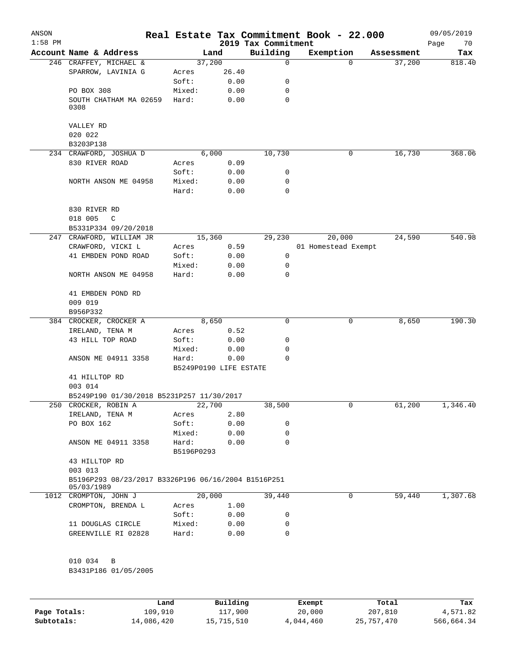| ANSON<br>$1:58$ PM |                                                                   |                 |                        |                                 | Real Estate Tax Commitment Book - 22.000 |            | 09/05/2019        |
|--------------------|-------------------------------------------------------------------|-----------------|------------------------|---------------------------------|------------------------------------------|------------|-------------------|
|                    | Account Name & Address                                            |                 | Land                   | 2019 Tax Commitment<br>Building | Exemption                                | Assessment | Page<br>70<br>Tax |
|                    | 246 CRAFFEY, MICHAEL &                                            |                 | 37,200                 | 0                               | $\Omega$                                 | 37,200     | 818.40            |
|                    | SPARROW, LAVINIA G                                                | Acres           | 26.40                  |                                 |                                          |            |                   |
|                    |                                                                   | Soft:           | 0.00                   | 0                               |                                          |            |                   |
|                    | PO BOX 308                                                        | Mixed:          | 0.00                   | $\mathbf 0$                     |                                          |            |                   |
|                    | SOUTH CHATHAM MA 02659<br>0308                                    | Hard:           | 0.00                   | $\mathbf 0$                     |                                          |            |                   |
|                    | VALLEY RD                                                         |                 |                        |                                 |                                          |            |                   |
|                    | 020 022                                                           |                 |                        |                                 |                                          |            |                   |
|                    | B3203P138                                                         |                 |                        |                                 |                                          |            |                   |
|                    | 234 CRAWFORD, JOSHUA D                                            |                 | 6,000                  | 10,730                          | 0                                        | 16,730     | 368.06            |
|                    | 830 RIVER ROAD                                                    | Acres           | 0.09                   |                                 |                                          |            |                   |
|                    |                                                                   | Soft:           | 0.00                   | 0                               |                                          |            |                   |
|                    | NORTH ANSON ME 04958                                              | Mixed:          | 0.00                   | $\mathbf 0$                     |                                          |            |                   |
|                    |                                                                   | Hard:           | 0.00                   | 0                               |                                          |            |                   |
|                    | 830 RIVER RD                                                      |                 |                        |                                 |                                          |            |                   |
|                    | 018 005<br>$\mathsf{C}$                                           |                 |                        |                                 |                                          |            |                   |
|                    | B5331P334 09/20/2018                                              |                 |                        |                                 |                                          |            |                   |
|                    | 247 CRAWFORD, WILLIAM JR                                          |                 | 15,360                 | 29,230                          | 20,000                                   | 24,590     | 540.98            |
|                    | CRAWFORD, VICKI L                                                 | Acres           | 0.59                   |                                 | 01 Homestead Exempt                      |            |                   |
|                    | 41 EMBDEN POND ROAD                                               | Soft:           | 0.00                   | 0                               |                                          |            |                   |
|                    |                                                                   | Mixed:          | 0.00                   | 0<br>$\mathbf 0$                |                                          |            |                   |
|                    | NORTH ANSON ME 04958                                              | Hard:           | 0.00                   |                                 |                                          |            |                   |
|                    | 41 EMBDEN POND RD                                                 |                 |                        |                                 |                                          |            |                   |
|                    | 009 019                                                           |                 |                        |                                 |                                          |            |                   |
|                    | B956P332                                                          |                 |                        |                                 |                                          |            |                   |
|                    | 384 CROCKER, CROCKER A                                            |                 | 8,650                  | 0                               | 0                                        | 8,650      | 190.30            |
|                    | IRELAND, TENA M                                                   | Acres           | 0.52                   |                                 |                                          |            |                   |
|                    | 43 HILL TOP ROAD                                                  | Soft:           | 0.00                   | 0                               |                                          |            |                   |
|                    | ANSON ME 04911 3358                                               | Mixed:<br>Hard: | 0.00<br>0.00           | 0<br>0                          |                                          |            |                   |
|                    |                                                                   |                 | B5249P0190 LIFE ESTATE |                                 |                                          |            |                   |
|                    | 41 HILLTOP RD                                                     |                 |                        |                                 |                                          |            |                   |
|                    | 003 014                                                           |                 |                        |                                 |                                          |            |                   |
|                    | B5249P190 01/30/2018 B5231P257 11/30/2017                         |                 |                        |                                 |                                          |            |                   |
| 250                | CROCKER, ROBIN A                                                  |                 | 22,700                 | 38,500                          | 0                                        | 61,200     | 1,346.40          |
|                    | IRELAND, TENA M                                                   | Acres           | 2.80                   |                                 |                                          |            |                   |
|                    | PO BOX 162                                                        | Soft:           | 0.00                   | 0                               |                                          |            |                   |
|                    |                                                                   | Mixed:          | 0.00                   | 0                               |                                          |            |                   |
|                    | ANSON ME 04911 3358                                               | Hard:           | 0.00                   | $\Omega$                        |                                          |            |                   |
|                    |                                                                   | B5196P0293      |                        |                                 |                                          |            |                   |
|                    | 43 HILLTOP RD                                                     |                 |                        |                                 |                                          |            |                   |
|                    | 003 013                                                           |                 |                        |                                 |                                          |            |                   |
|                    | B5196P293 08/23/2017 B3326P196 06/16/2004 B1516P251<br>05/03/1989 |                 |                        |                                 |                                          |            |                   |
|                    | 1012 CROMPTON, JOHN J                                             |                 | 20,000                 | 39,440                          | 0                                        | 59,440     | 1,307.68          |
|                    | CROMPTON, BRENDA L                                                | Acres           | 1.00                   |                                 |                                          |            |                   |
|                    |                                                                   | Soft:           | 0.00                   | 0                               |                                          |            |                   |
|                    | 11 DOUGLAS CIRCLE                                                 | Mixed:          | 0.00                   | 0                               |                                          |            |                   |
|                    | GREENVILLE RI 02828                                               | Hard:           | 0.00                   | $\mathbf 0$                     |                                          |            |                   |
|                    | 010 034<br>B                                                      |                 |                        |                                 |                                          |            |                   |
|                    | B3431P186 01/05/2005                                              |                 |                        |                                 |                                          |            |                   |
|                    |                                                                   |                 |                        |                                 |                                          |            |                   |
|                    |                                                                   | Land            | Building               |                                 | Exempt                                   | Total      | Tax               |

|              | Land       | Building   | Exempt    | Total      | Tax        |
|--------------|------------|------------|-----------|------------|------------|
| Page Totals: | 109,910    | 117,900    | 20,000    | 207,810    | 4,571.82   |
| Subtotals:   | 14,086,420 | 15,715,510 | 4,044,460 | 25,757,470 | 566,664.34 |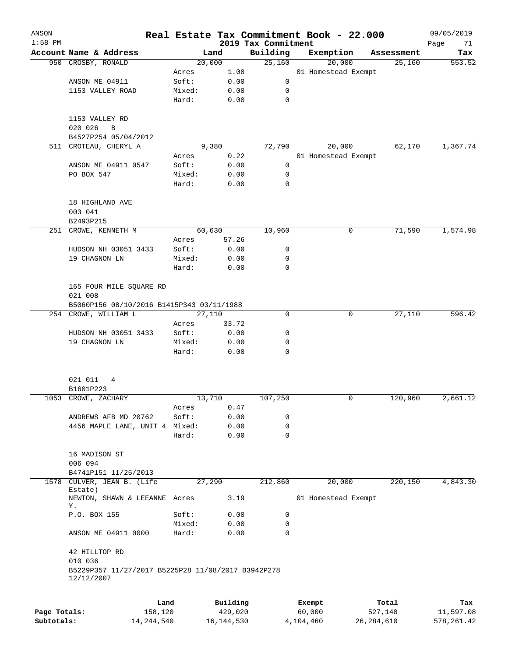| ANSON<br>$1:58$ PM |                                                                   |                 |              |                                 | Real Estate Tax Commitment Book - 22.000 |            | 09/05/2019        |
|--------------------|-------------------------------------------------------------------|-----------------|--------------|---------------------------------|------------------------------------------|------------|-------------------|
|                    | Account Name & Address                                            |                 | Land         | 2019 Tax Commitment<br>Building | Exemption                                | Assessment | Page<br>71<br>Tax |
|                    | 950 CROSBY, RONALD                                                |                 | 20,000       | 25,160                          | 20,000                                   | 25,160     | 553.52            |
|                    |                                                                   | Acres           | 1.00         |                                 | 01 Homestead Exempt                      |            |                   |
|                    | ANSON ME 04911                                                    | Soft:           | 0.00         | 0                               |                                          |            |                   |
|                    | 1153 VALLEY ROAD                                                  | Mixed:          | 0.00         | 0                               |                                          |            |                   |
|                    |                                                                   | Hard:           | 0.00         | 0                               |                                          |            |                   |
|                    | 1153 VALLEY RD                                                    |                 |              |                                 |                                          |            |                   |
|                    | 020 026<br>B                                                      |                 |              |                                 |                                          |            |                   |
|                    | B4527P254 05/04/2012                                              |                 |              |                                 |                                          |            |                   |
|                    | 511 CROTEAU, CHERYL A                                             |                 | 9,380        | 72,790                          | 20,000                                   | 62,170     | 1,367.74          |
|                    |                                                                   | Acres<br>Soft:  | 0.22         | 0                               | 01 Homestead Exempt                      |            |                   |
|                    | ANSON ME 04911 0547<br>PO BOX 547                                 | Mixed:          | 0.00<br>0.00 | 0                               |                                          |            |                   |
|                    |                                                                   | Hard:           | 0.00         | $\mathbf 0$                     |                                          |            |                   |
|                    | 18 HIGHLAND AVE                                                   |                 |              |                                 |                                          |            |                   |
|                    | 003 041                                                           |                 |              |                                 |                                          |            |                   |
|                    | B2493P215                                                         |                 |              |                                 |                                          |            |                   |
|                    | 251 CROWE, KENNETH M                                              |                 | 60,630       | 10,960                          | 0                                        | 71,590     | 1,574.98          |
|                    |                                                                   | Acres           | 57.26        |                                 |                                          |            |                   |
|                    | HUDSON NH 03051 3433                                              | Soft:           | 0.00         | 0                               |                                          |            |                   |
|                    | 19 CHAGNON LN                                                     | Mixed:          | 0.00         | 0                               |                                          |            |                   |
|                    |                                                                   | Hard:           | 0.00         | $\mathbf 0$                     |                                          |            |                   |
|                    |                                                                   |                 |              |                                 |                                          |            |                   |
|                    | 165 FOUR MILE SQUARE RD                                           |                 |              |                                 |                                          |            |                   |
|                    | 021 008                                                           |                 |              |                                 |                                          |            |                   |
|                    | B5060P156 08/10/2016 B1415P343 03/11/1988<br>254 CROWE, WILLIAM L |                 |              | 0                               |                                          |            | 596.42            |
|                    |                                                                   |                 | 27,110       |                                 | 0                                        | 27,110     |                   |
|                    |                                                                   | Acres           | 33.72        |                                 |                                          |            |                   |
|                    | HUDSON NH 03051 3433                                              | Soft:           | 0.00         | 0                               |                                          |            |                   |
|                    | 19 CHAGNON LN                                                     | Mixed:<br>Hard: | 0.00<br>0.00 | 0<br>$\mathbf 0$                |                                          |            |                   |
|                    |                                                                   |                 |              |                                 |                                          |            |                   |
|                    | 021 011<br>4                                                      |                 |              |                                 |                                          |            |                   |
|                    | B1601P223                                                         |                 |              |                                 |                                          |            |                   |
|                    | 1053 CROWE, ZACHARY                                               |                 | 13,710       | 107,250                         | 0                                        | 120,960    | 2,661.12          |
|                    |                                                                   | Acres           | 0.47         |                                 |                                          |            |                   |
|                    | ANDREWS AFB MD 20762                                              | Soft:           | 0.00         | 0                               |                                          |            |                   |
|                    | 4456 MAPLE LANE, UNIT 4                                           | Mixed:          | 0.00         | 0                               |                                          |            |                   |
|                    |                                                                   | Hard:           | 0.00         | 0                               |                                          |            |                   |
|                    | 16 MADISON ST                                                     |                 |              |                                 |                                          |            |                   |
|                    | 006 094                                                           |                 |              |                                 |                                          |            |                   |
|                    | B4741P151 11/25/2013                                              |                 |              |                                 |                                          |            |                   |
| 1578               | CULVER, JEAN B. (Life<br>Estate)                                  |                 | 27,290       | 212,860                         | 20,000                                   | 220,150    | 4,843.30          |
|                    | NEWTON, SHAWN & LEEANNE<br>Υ.                                     | Acres           | 3.19         |                                 | 01 Homestead Exempt                      |            |                   |
|                    | P.O. BOX 155                                                      | Soft:           | 0.00         | 0                               |                                          |            |                   |
|                    |                                                                   | Mixed:          | 0.00         | 0                               |                                          |            |                   |
|                    | ANSON ME 04911 0000                                               | Hard:           | 0.00         | $\mathbf 0$                     |                                          |            |                   |
|                    | 42 HILLTOP RD                                                     |                 |              |                                 |                                          |            |                   |
|                    | 010 036                                                           |                 |              |                                 |                                          |            |                   |
|                    | B5229P357 11/27/2017 B5225P28 11/08/2017 B3942P278<br>12/12/2007  |                 |              |                                 |                                          |            |                   |
|                    |                                                                   |                 |              |                                 |                                          |            |                   |
|                    | Land                                                              |                 | Building     |                                 | Exempt                                   | Total      | Tax               |

|              | Land       | Building   | Exempt    | Total      | Tax        |
|--------------|------------|------------|-----------|------------|------------|
| Page Totals: | 158,120    | 429,020    | 60,000    | 527,140    | 11,597.08  |
| Subtotals:   | 14,244,540 | 16,144,530 | 4,104,460 | 26,284,610 | 578,261.42 |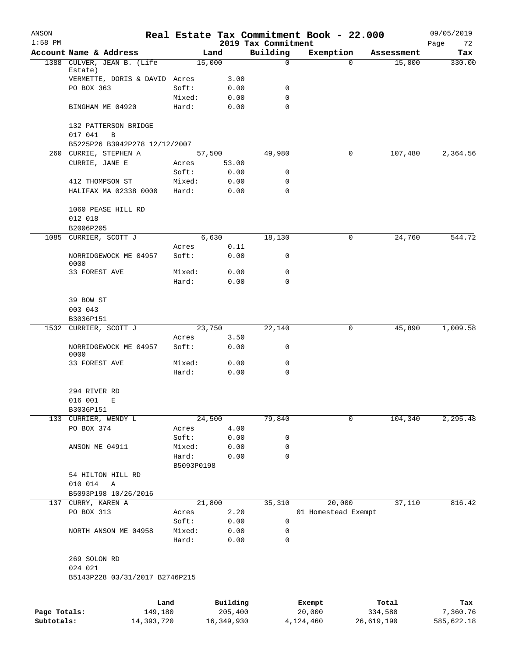| ANSON                      |                                                         |            |                |                | Real Estate Tax Commitment Book - 22.000 |                     |            |            | 09/05/2019        |
|----------------------------|---------------------------------------------------------|------------|----------------|----------------|------------------------------------------|---------------------|------------|------------|-------------------|
| $1:58$ PM                  | Account Name & Address                                  |            |                | Land           | 2019 Tax Commitment<br>Building          | Exemption           |            | Assessment | Page<br>72<br>Tax |
|                            | 1388 CULVER, JEAN B. (Life                              |            |                | 15,000         | 0                                        |                     | $\Omega$   | 15,000     | 330.00            |
|                            | Estate)<br>VERMETTE, DORIS & DAVID Acres                |            |                | 3.00           |                                          |                     |            |            |                   |
|                            | PO BOX 363                                              |            | Soft:          | 0.00           | 0                                        |                     |            |            |                   |
|                            |                                                         |            | Mixed:         | 0.00           | 0                                        |                     |            |            |                   |
|                            | BINGHAM ME 04920                                        |            | Hard:          | 0.00           | $\Omega$                                 |                     |            |            |                   |
|                            | 132 PATTERSON BRIDGE                                    |            |                |                |                                          |                     |            |            |                   |
|                            | 017 041<br>$\mathbf B$<br>B5225P26 B3942P278 12/12/2007 |            |                |                |                                          |                     |            |            |                   |
|                            | 260 CURRIE, STEPHEN A                                   |            |                | 57,500         | 49,980                                   |                     | 0          | 107,480    | 2,364.56          |
|                            | CURRIE, JANE E                                          |            | Acres          | 53.00          |                                          |                     |            |            |                   |
|                            |                                                         |            | Soft:          | 0.00           | 0                                        |                     |            |            |                   |
|                            | 412 THOMPSON ST                                         |            | Mixed:         | 0.00           | 0                                        |                     |            |            |                   |
|                            | HALIFAX MA 02338 0000                                   |            | Hard:          | 0.00           | 0                                        |                     |            |            |                   |
|                            | 1060 PEASE HILL RD                                      |            |                |                |                                          |                     |            |            |                   |
|                            | 012 018                                                 |            |                |                |                                          |                     |            |            |                   |
|                            | B2006P205                                               |            |                |                |                                          |                     |            |            |                   |
|                            | 1085 CURRIER, SCOTT J                                   |            |                | 6,630          | 18,130                                   |                     | 0          | 24,760     | 544.72            |
|                            | NORRIDGEWOCK ME 04957                                   |            | Acres          | 0.11           | 0                                        |                     |            |            |                   |
|                            | 0000                                                    |            | Soft:          | 0.00           |                                          |                     |            |            |                   |
|                            | 33 FOREST AVE                                           |            | Mixed:         | 0.00           | 0                                        |                     |            |            |                   |
|                            |                                                         |            | Hard:          | 0.00           | $\Omega$                                 |                     |            |            |                   |
|                            | 39 BOW ST                                               |            |                |                |                                          |                     |            |            |                   |
|                            | 003 043<br>B3036P151                                    |            |                |                |                                          |                     |            |            |                   |
|                            | 1532 CURRIER, SCOTT J                                   |            |                | 23,750         | 22,140                                   |                     | 0          | 45,890     | 1,009.58          |
|                            |                                                         |            | Acres          | 3.50           |                                          |                     |            |            |                   |
|                            | NORRIDGEWOCK ME 04957<br>0000                           |            | Soft:          | 0.00           | 0                                        |                     |            |            |                   |
|                            | 33 FOREST AVE                                           |            | Mixed:         | 0.00           | 0                                        |                     |            |            |                   |
|                            |                                                         |            | Hard:          | 0.00           | $\mathbf 0$                              |                     |            |            |                   |
|                            | 294 RIVER RD                                            |            |                |                |                                          |                     |            |            |                   |
|                            | 016 001<br>Ε                                            |            |                |                |                                          |                     |            |            |                   |
|                            | B3036P151                                               |            |                |                |                                          |                     |            |            |                   |
|                            | 133 CURRIER, WENDY L<br>PO BOX 374                      |            |                | 24,500<br>4.00 | 79,840                                   |                     | 0          | 104,340    | 2,295.48          |
|                            |                                                         |            | Acres<br>Soft: | 0.00           | 0                                        |                     |            |            |                   |
|                            | ANSON ME 04911                                          |            | Mixed:         | 0.00           | $\mathbf 0$                              |                     |            |            |                   |
|                            |                                                         |            | Hard:          | 0.00           | 0                                        |                     |            |            |                   |
|                            |                                                         |            | B5093P0198     |                |                                          |                     |            |            |                   |
|                            | 54 HILTON HILL RD                                       |            |                |                |                                          |                     |            |            |                   |
|                            | 010 014<br>Α<br>B5093P198 10/26/2016                    |            |                |                |                                          |                     |            |            |                   |
|                            | 137 CURRY, KAREN A                                      |            |                | 21,800         | 35,310                                   | 20,000              |            | 37,110     | 816.42            |
|                            | PO BOX 313                                              |            | Acres          | 2.20           |                                          | 01 Homestead Exempt |            |            |                   |
|                            |                                                         |            | Soft:          | 0.00           | 0                                        |                     |            |            |                   |
|                            | NORTH ANSON ME 04958                                    |            | Mixed:         | 0.00           | 0                                        |                     |            |            |                   |
|                            |                                                         |            | Hard:          | 0.00           | 0                                        |                     |            |            |                   |
|                            | 269 SOLON RD                                            |            |                |                |                                          |                     |            |            |                   |
|                            | 024 021<br>B5143P228 03/31/2017 B2746P215               |            |                |                |                                          |                     |            |            |                   |
|                            |                                                         |            |                |                |                                          |                     |            |            |                   |
|                            |                                                         | Land       |                | Building       |                                          | Exempt              | Total      |            | Tax               |
| Page Totals:<br>Subtotals: |                                                         | 149,180    |                | 205,400        |                                          | 20,000              |            | 334,580    | 7,360.76          |
|                            |                                                         | 14,393,720 |                | 16, 349, 930   |                                          | 4,124,460           | 26,619,190 |            | 585,622.18        |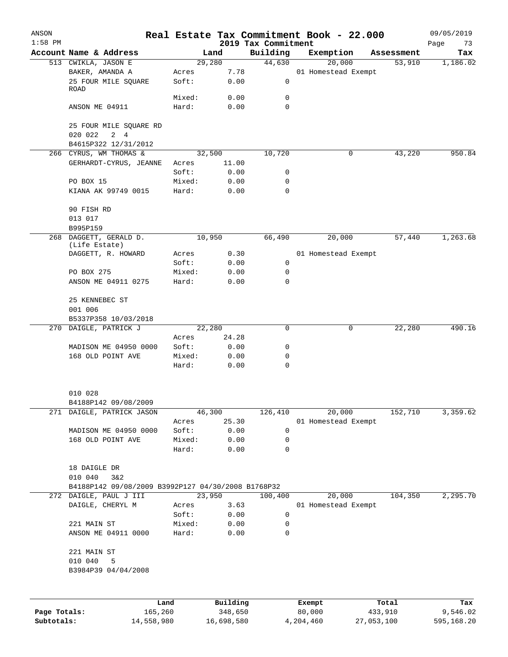| ANSON<br>$1:58$ PM |                                                    |                 |              | Real Estate Tax Commitment Book - 22.000 |        |                     |            | 09/05/2019        |
|--------------------|----------------------------------------------------|-----------------|--------------|------------------------------------------|--------|---------------------|------------|-------------------|
|                    | Account Name & Address                             |                 | Land         | 2019 Tax Commitment<br>Building          |        | Exemption           | Assessment | Page<br>73<br>Tax |
|                    | 513 CWIKLA, JASON E                                |                 | 29,280       | 44,630                                   |        | 20,000              | 53,910     | 1,186.02          |
|                    | BAKER, AMANDA A<br>25 FOUR MILE SQUARE             | Acres<br>Soft:  | 7.78<br>0.00 | 0                                        |        | 01 Homestead Exempt |            |                   |
|                    | ROAD                                               | Mixed:          | 0.00         | 0                                        |        |                     |            |                   |
|                    | ANSON ME 04911                                     | Hard:           | 0.00         | $\Omega$                                 |        |                     |            |                   |
|                    | 25 FOUR MILE SQUARE RD<br>020 022<br>2 4           |                 |              |                                          |        |                     |            |                   |
|                    | B4615P322 12/31/2012<br>266 CYRUS, WM THOMAS &     |                 | 32,500       | 10,720                                   |        | 0                   | 43,220     | 950.84            |
|                    | GERHARDT-CYRUS, JEANNE                             | Acres           | 11.00        |                                          |        |                     |            |                   |
|                    |                                                    | Soft:           | 0.00         | 0                                        |        |                     |            |                   |
|                    | PO BOX 15                                          | Mixed:          | 0.00         | 0                                        |        |                     |            |                   |
|                    | KIANA AK 99749 0015                                | Hard:           | 0.00         | 0                                        |        |                     |            |                   |
|                    | 90 FISH RD<br>013 017                              |                 |              |                                          |        |                     |            |                   |
|                    | B995P159                                           |                 |              |                                          |        |                     |            |                   |
| 268                | DAGGETT, GERALD D.<br>(Life Estate)                |                 | 10,950       | 66,490                                   |        | 20,000              | 57,440     | 1,263.68          |
|                    | DAGGETT, R. HOWARD                                 | Acres<br>Soft:  | 0.30<br>0.00 | $\mathbf 0$                              |        | 01 Homestead Exempt |            |                   |
|                    | PO BOX 275                                         | Mixed:          | 0.00         | 0                                        |        |                     |            |                   |
|                    | ANSON ME 04911 0275                                | Hard:           | 0.00         | 0                                        |        |                     |            |                   |
|                    | 25 KENNEBEC ST<br>001 006                          |                 |              |                                          |        |                     |            |                   |
|                    | B5337P358 10/03/2018                               |                 |              |                                          |        |                     |            |                   |
|                    | 270 DAIGLE, PATRICK J                              |                 | 22,280       | 0                                        |        | 0                   | 22,280     | 490.16            |
|                    |                                                    | Acres           | 24.28        |                                          |        |                     |            |                   |
|                    | MADISON ME 04950 0000<br>168 OLD POINT AVE         | Soft:           | 0.00         | 0                                        |        |                     |            |                   |
|                    |                                                    | Mixed:<br>Hard: | 0.00<br>0.00 | 0<br>0                                   |        |                     |            |                   |
|                    | 010 028                                            |                 |              |                                          |        |                     |            |                   |
|                    | B4188P142 09/08/2009                               |                 |              |                                          |        |                     |            |                   |
| 271                | DAIGLE, PATRICK JASON                              |                 | 46,300       | 126,410                                  |        | 20,000              | 152,710    | 3,359.62          |
|                    |                                                    | Acres           | 25.30        |                                          |        | 01 Homestead Exempt |            |                   |
|                    | MADISON ME 04950 0000                              | Soft:           | 0.00         | $\mathbf 0$                              |        |                     |            |                   |
|                    | 168 OLD POINT AVE                                  | Mixed:<br>Hard: | 0.00<br>0.00 | 0<br>0                                   |        |                     |            |                   |
|                    | 18 DAIGLE DR<br>010 040<br>3&2                     |                 |              |                                          |        |                     |            |                   |
|                    | B4188P142 09/08/2009 B3992P127 04/30/2008 B1768P32 |                 |              |                                          |        |                     |            |                   |
|                    | 272 DAIGLE, PAUL J III                             |                 | 23,950       | 100,400                                  |        | 20,000              | 104,350    | 2,295.70          |
|                    | DAIGLE, CHERYL M                                   | Acres           | 3.63         |                                          |        | 01 Homestead Exempt |            |                   |
|                    |                                                    | Soft:           | 0.00         | 0                                        |        |                     |            |                   |
|                    | 221 MAIN ST<br>ANSON ME 04911 0000                 | Mixed:<br>Hard: | 0.00<br>0.00 | 0<br>0                                   |        |                     |            |                   |
|                    | 221 MAIN ST<br>010 040<br>5<br>B3984P39 04/04/2008 |                 |              |                                          |        |                     |            |                   |
|                    |                                                    |                 |              |                                          |        |                     |            |                   |
|                    | Land                                               |                 | Building     |                                          | Exempt |                     | Total      | Tax               |
| Page Totals:       | 165,260                                            |                 | 348,650      |                                          | 80,000 |                     | 433,910    | 9,546.02          |

**Subtotals:** 14,558,980 16,698,580 4,204,460 27,053,100 595,168.20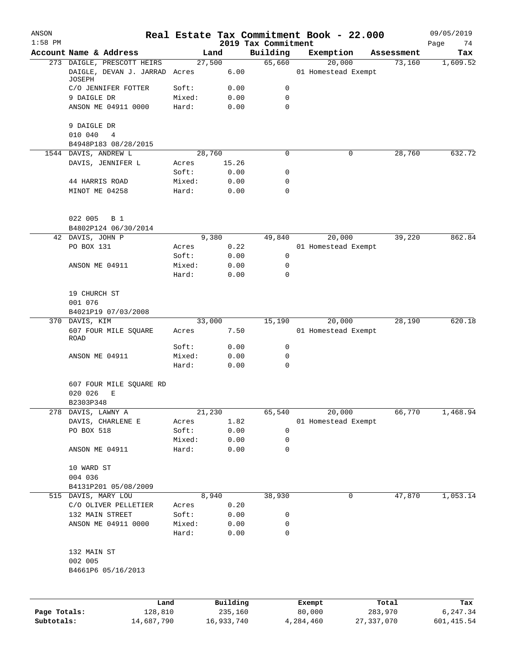| ANSON<br>$1:58$ PM |                                         |                |          | 2019 Tax Commitment | Real Estate Tax Commitment Book - 22.000 |            | 09/05/2019<br>74<br>Page |
|--------------------|-----------------------------------------|----------------|----------|---------------------|------------------------------------------|------------|--------------------------|
|                    | Account Name & Address                  | Land           |          | Building            | Exemption                                | Assessment | Tax                      |
|                    | 273 DAIGLE, PRESCOTT HEIRS              | 27,500         |          | 65,660              | 20,000                                   | 73,160     | 1,609.52                 |
|                    | DAIGLE, DEVAN J. JARRAD Acres<br>JOSEPH |                | 6.00     |                     | 01 Homestead Exempt                      |            |                          |
|                    | C/O JENNIFER FOTTER                     | Soft:          | 0.00     | 0                   |                                          |            |                          |
|                    | 9 DAIGLE DR                             | Mixed:         | 0.00     | $\mathbf 0$         |                                          |            |                          |
|                    | ANSON ME 04911 0000                     | Hard:          | 0.00     | 0                   |                                          |            |                          |
|                    | 9 DAIGLE DR                             |                |          |                     |                                          |            |                          |
|                    | 010 040<br>4                            |                |          |                     |                                          |            |                          |
|                    | B4948P183 08/28/2015                    |                |          |                     |                                          |            |                          |
|                    | 1544 DAVIS, ANDREW L                    | 28,760         | 15.26    | 0                   | 0                                        | 28,760     | 632.72                   |
|                    | DAVIS, JENNIFER L                       | Acres<br>Soft: | 0.00     | 0                   |                                          |            |                          |
|                    | 44 HARRIS ROAD                          | Mixed:         | 0.00     | 0                   |                                          |            |                          |
|                    | MINOT ME 04258                          | Hard:          | 0.00     | 0                   |                                          |            |                          |
|                    | 022 005 B 1                             |                |          |                     |                                          |            |                          |
|                    | B4802P124 06/30/2014                    |                |          |                     |                                          |            |                          |
|                    | 42 DAVIS, JOHN P                        | 9,380          |          | 49,840              | 20,000                                   | 39,220     | 862.84                   |
|                    | PO BOX 131                              | Acres          | 0.22     |                     | 01 Homestead Exempt                      |            |                          |
|                    |                                         | Soft:          | 0.00     | 0                   |                                          |            |                          |
|                    | ANSON ME 04911                          | Mixed:         | 0.00     | 0                   |                                          |            |                          |
|                    |                                         | Hard:          | 0.00     | $\Omega$            |                                          |            |                          |
|                    | 19 CHURCH ST                            |                |          |                     |                                          |            |                          |
|                    | 001 076                                 |                |          |                     |                                          |            |                          |
|                    | B4021P19 07/03/2008                     |                |          |                     |                                          |            |                          |
|                    | 370 DAVIS, KIM                          | 33,000         |          | 15,190              | 20,000                                   | 28,190     | 620.18                   |
|                    | 607 FOUR MILE SQUARE<br>ROAD            | Acres          | 7.50     |                     | 01 Homestead Exempt                      |            |                          |
|                    |                                         | Soft:          | 0.00     | 0                   |                                          |            |                          |
|                    | ANSON ME 04911                          | Mixed:         | 0.00     | 0                   |                                          |            |                          |
|                    |                                         | Hard:          | 0.00     | $\mathbf 0$         |                                          |            |                          |
|                    | 607 FOUR MILE SQUARE RD                 |                |          |                     |                                          |            |                          |
|                    | 020 026<br>Е<br>B2303P348               |                |          |                     |                                          |            |                          |
|                    | 278 DAVIS, LAWNY A                      | 21,230         |          | 65,540              | 20,000                                   | 66,770     | 1,468.94                 |
|                    | DAVIS, CHARLENE E                       | Acres          | 1.82     |                     | 01 Homestead Exempt                      |            |                          |
|                    | PO BOX 518                              | Soft:          | 0.00     | 0                   |                                          |            |                          |
|                    |                                         | Mixed:         | 0.00     | 0                   |                                          |            |                          |
|                    | ANSON ME 04911                          | Hard:          | 0.00     | 0                   |                                          |            |                          |
|                    | 10 WARD ST                              |                |          |                     |                                          |            |                          |
|                    | 004 036                                 |                |          |                     |                                          |            |                          |
|                    | B4131P201 05/08/2009                    |                |          |                     |                                          |            |                          |
|                    | 515 DAVIS, MARY LOU                     | 8,940          |          | 38,930              | 0                                        | 47,870     | 1,053.14                 |
|                    | C/O OLIVER PELLETIER                    | Acres          | 0.20     |                     |                                          |            |                          |
|                    | 132 MAIN STREET                         | Soft:          | 0.00     | 0                   |                                          |            |                          |
|                    | ANSON ME 04911 0000                     | Mixed:         | 0.00     | 0                   |                                          |            |                          |
|                    |                                         | Hard:          | 0.00     | 0                   |                                          |            |                          |
|                    | 132 MAIN ST                             |                |          |                     |                                          |            |                          |
|                    | 002 005                                 |                |          |                     |                                          |            |                          |
|                    | B4661P6 05/16/2013                      |                |          |                     |                                          |            |                          |
|                    |                                         |                |          |                     |                                          |            |                          |
|                    | Land                                    |                | Building |                     | Exempt                                   | Total      | Tax                      |
| Page Totals:       | 128,810                                 |                | 235,160  |                     | 80,000                                   | 283,970    | 6,247.34                 |

**Subtotals:** 14,687,790 16,933,740 4,284,460 27,337,070 601,415.54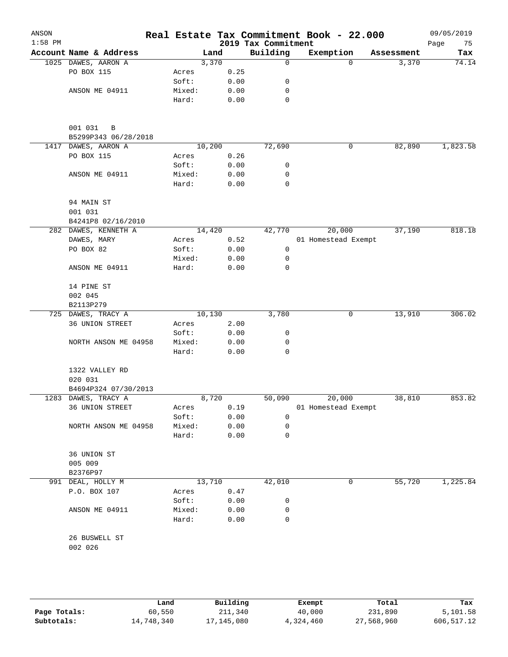| ANSON<br>$1:58$ PM |                                      |        |        |      | 2019 Tax Commitment | Real Estate Tax Commitment Book - 22.000 |          |            | 09/05/2019<br>Page<br>75 |
|--------------------|--------------------------------------|--------|--------|------|---------------------|------------------------------------------|----------|------------|--------------------------|
|                    | Account Name & Address               |        | Land   |      | Building            | Exemption                                |          | Assessment | Tax                      |
|                    | 1025 DAWES, AARON A                  |        | 3,370  |      | 0                   |                                          | $\Omega$ | 3,370      | 74.14                    |
|                    | PO BOX 115                           | Acres  |        | 0.25 |                     |                                          |          |            |                          |
|                    |                                      | Soft:  |        | 0.00 | 0                   |                                          |          |            |                          |
|                    | ANSON ME 04911                       | Mixed: |        | 0.00 | 0                   |                                          |          |            |                          |
|                    |                                      | Hard:  |        | 0.00 | 0                   |                                          |          |            |                          |
|                    | 001 031<br>B<br>B5299P343 06/28/2018 |        |        |      |                     |                                          |          |            |                          |
| 1417               | DAWES, AARON A                       |        | 10,200 |      | 72,690              |                                          | 0        | 82,890     | 1,823.58                 |
|                    | PO BOX 115                           | Acres  |        | 0.26 |                     |                                          |          |            |                          |
|                    |                                      | Soft:  |        | 0.00 | 0                   |                                          |          |            |                          |
|                    | ANSON ME 04911                       | Mixed: |        | 0.00 | 0                   |                                          |          |            |                          |
|                    |                                      | Hard:  |        | 0.00 | 0                   |                                          |          |            |                          |
|                    | 94 MAIN ST                           |        |        |      |                     |                                          |          |            |                          |
|                    | 001 031                              |        |        |      |                     |                                          |          |            |                          |
|                    | B4241P8 02/16/2010                   |        |        |      |                     |                                          |          |            |                          |
|                    | 282 DAWES, KENNETH A                 |        | 14,420 |      | 42,770              | 20,000                                   |          | 37,190     | 818.18                   |
|                    | DAWES, MARY                          | Acres  |        | 0.52 |                     | 01 Homestead Exempt                      |          |            |                          |
|                    | PO BOX 82                            | Soft:  |        | 0.00 | 0                   |                                          |          |            |                          |
|                    |                                      | Mixed: |        | 0.00 | 0                   |                                          |          |            |                          |
|                    | ANSON ME 04911                       | Hard:  |        | 0.00 | 0                   |                                          |          |            |                          |
|                    | 14 PINE ST                           |        |        |      |                     |                                          |          |            |                          |
|                    | 002 045                              |        |        |      |                     |                                          |          |            |                          |
|                    | B2113P279                            |        |        |      |                     |                                          |          |            |                          |
|                    | 725 DAWES, TRACY A                   |        | 10,130 |      | 3,780               |                                          | 0        | 13,910     | 306.02                   |
|                    | 36 UNION STREET                      | Acres  |        | 2.00 |                     |                                          |          |            |                          |
|                    |                                      | Soft:  |        | 0.00 | 0                   |                                          |          |            |                          |
|                    | NORTH ANSON ME 04958                 | Mixed: |        | 0.00 | 0                   |                                          |          |            |                          |
|                    |                                      | Hard:  |        | 0.00 | 0                   |                                          |          |            |                          |
|                    | 1322 VALLEY RD                       |        |        |      |                     |                                          |          |            |                          |
|                    | 020 031                              |        |        |      |                     |                                          |          |            |                          |
|                    | B4694P324 07/30/2013                 |        |        |      |                     |                                          |          |            |                          |
|                    | 1283 DAWES, TRACY A                  |        | 8,720  |      | 50,090              | 20,000                                   |          | 38,810     | 853.82                   |
|                    | 36 UNION STREET                      | Acres  |        | 0.19 |                     | 01 Homestead Exempt                      |          |            |                          |
|                    |                                      | Soft:  |        | 0.00 | 0                   |                                          |          |            |                          |
|                    | NORTH ANSON ME 04958                 | Mixed: |        | 0.00 | 0                   |                                          |          |            |                          |
|                    |                                      | Hard:  |        | 0.00 | 0                   |                                          |          |            |                          |
|                    | 36 UNION ST                          |        |        |      |                     |                                          |          |            |                          |
|                    | 005 009                              |        |        |      |                     |                                          |          |            |                          |
|                    | B2376P97                             |        |        |      |                     |                                          |          |            |                          |
|                    | 991 DEAL, HOLLY M                    |        | 13,710 |      | 42,010              |                                          | 0        | 55,720     | 1,225.84                 |
|                    | P.O. BOX 107                         | Acres  |        | 0.47 |                     |                                          |          |            |                          |
|                    |                                      | Soft:  |        | 0.00 | 0                   |                                          |          |            |                          |
|                    | ANSON ME 04911                       | Mixed: |        | 0.00 | 0                   |                                          |          |            |                          |
|                    |                                      | Hard:  |        | 0.00 | 0                   |                                          |          |            |                          |
|                    | 26 BUSWELL ST                        |        |        |      |                     |                                          |          |            |                          |
|                    | 002 026                              |        |        |      |                     |                                          |          |            |                          |
|                    |                                      |        |        |      |                     |                                          |          |            |                          |
|                    |                                      |        |        |      |                     |                                          |          |            |                          |

|              | Land       | Building   | Exempt    | Total      | Tax        |
|--------------|------------|------------|-----------|------------|------------|
| Page Totals: | 60,550     | 211,340    | 40,000    | 231,890    | 5,101.58   |
| Subtotals:   | 14,748,340 | 17,145,080 | 4,324,460 | 27,568,960 | 606,517.12 |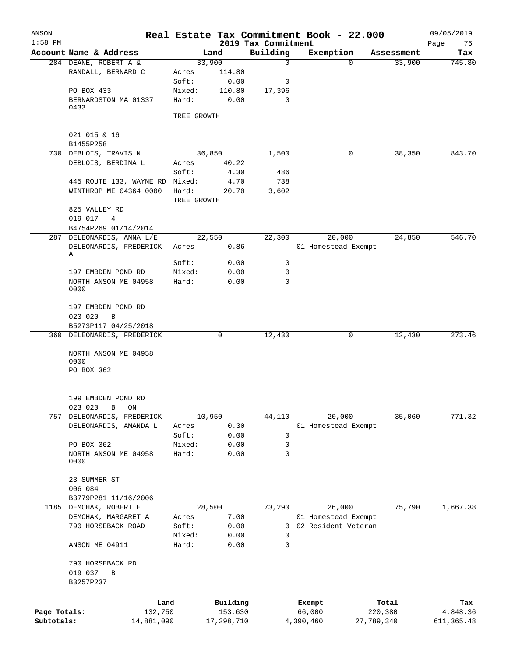| ANSON<br>$1:58$ PM |                                            |             |            | 2019 Tax Commitment | Real Estate Tax Commitment Book - 22.000 |            | 09/05/2019<br>Page<br>76 |
|--------------------|--------------------------------------------|-------------|------------|---------------------|------------------------------------------|------------|--------------------------|
|                    | Account Name & Address                     |             | Land       | Building            | Exemption                                | Assessment | Tax                      |
|                    | 284 DEANE, ROBERT A &                      |             | 33,900     | $\mathbf 0$         | $\Omega$                                 | 33,900     | 745.80                   |
|                    | RANDALL, BERNARD C                         | Acres       | 114.80     |                     |                                          |            |                          |
|                    |                                            | Soft:       | 0.00       | 0                   |                                          |            |                          |
|                    | PO BOX 433                                 | Mixed:      | 110.80     | 17,396              |                                          |            |                          |
|                    | BERNARDSTON MA 01337<br>0433               | Hard:       | 0.00       | 0                   |                                          |            |                          |
|                    |                                            | TREE GROWTH |            |                     |                                          |            |                          |
|                    | 021 015 & 16                               |             |            |                     |                                          |            |                          |
|                    | B1455P258                                  |             |            |                     |                                          |            |                          |
|                    | 730 DEBLOIS, TRAVIS N                      |             | 36,850     | 1,500               | 0                                        | 38,350     | 843.70                   |
|                    | DEBLOIS, BERDINA L                         | Acres       | 40.22      |                     |                                          |            |                          |
|                    |                                            | Soft:       | 4.30       | 486                 |                                          |            |                          |
|                    | 445 ROUTE 133, WAYNE RD Mixed:             |             | 4.70       | 738                 |                                          |            |                          |
|                    | WINTHROP ME 04364 0000                     | Hard:       | 20.70      | 3,602               |                                          |            |                          |
|                    |                                            | TREE GROWTH |            |                     |                                          |            |                          |
|                    | 825 VALLEY RD                              |             |            |                     |                                          |            |                          |
|                    | 019 017<br>4                               |             |            |                     |                                          |            |                          |
|                    | B4754P269 01/14/2014                       |             |            |                     |                                          |            |                          |
|                    | 287 DELEONARDIS, ANNA L/E                  |             | 22,550     | 22,300              | 20,000                                   | 24,850     | 546.70                   |
|                    | DELEONARDIS, FREDERICK                     | Acres       | 0.86       |                     | 01 Homestead Exempt                      |            |                          |
|                    | Α                                          |             |            |                     |                                          |            |                          |
|                    |                                            | Soft:       | 0.00       | 0                   |                                          |            |                          |
|                    | 197 EMBDEN POND RD                         | Mixed:      | 0.00       | 0                   |                                          |            |                          |
|                    | NORTH ANSON ME 04958<br>0000               | Hard:       | 0.00       | $\mathbf 0$         |                                          |            |                          |
|                    | 197 EMBDEN POND RD                         |             |            |                     |                                          |            |                          |
|                    | 023 020<br>B                               |             |            |                     |                                          |            |                          |
|                    | B5273P117 04/25/2018                       |             |            |                     |                                          |            |                          |
|                    | 360 DELEONARDIS, FREDERICK                 |             | 0          | 12,430              | 0                                        | 12,430     | 273.46                   |
|                    | NORTH ANSON ME 04958<br>0000<br>PO BOX 362 |             |            |                     |                                          |            |                          |
|                    |                                            |             |            |                     |                                          |            |                          |
|                    | 199 EMBDEN POND RD                         |             |            |                     |                                          |            |                          |
|                    | 023 020<br>$\, {\bf B}$<br>ON              |             |            |                     |                                          |            |                          |
| 757                | DELEONARDIS, FREDERICK                     |             | 10,950     | 44,110              | 20,000                                   | 35,060     | 771.32                   |
|                    | DELEONARDIS, AMANDA L                      | Acres       | 0.30       |                     | 01 Homestead Exempt                      |            |                          |
|                    |                                            | Soft:       | 0.00       | 0                   |                                          |            |                          |
|                    | PO BOX 362                                 | Mixed:      | 0.00       | 0                   |                                          |            |                          |
|                    | NORTH ANSON ME 04958                       | Hard:       | 0.00       | 0                   |                                          |            |                          |
|                    | 0000                                       |             |            |                     |                                          |            |                          |
|                    | 23 SUMMER ST                               |             |            |                     |                                          |            |                          |
|                    | 006 084                                    |             |            |                     |                                          |            |                          |
|                    | B3779P281 11/16/2006                       |             |            |                     |                                          |            |                          |
|                    | 1185 DEMCHAK, ROBERT E                     |             | 28,500     | 73,290              | 26,000                                   | 75,790     | 1,667.38                 |
|                    | DEMCHAK, MARGARET A                        | Acres       | 7.00       |                     | 01 Homestead Exempt                      |            |                          |
|                    | 790 HORSEBACK ROAD                         | Soft:       | 0.00       | 0                   | 02 Resident Veteran                      |            |                          |
|                    |                                            | Mixed:      | 0.00       | 0                   |                                          |            |                          |
|                    | ANSON ME 04911                             | Hard:       | 0.00       | 0                   |                                          |            |                          |
|                    | 790 HORSEBACK RD                           |             |            |                     |                                          |            |                          |
|                    | 019 037<br>$\, {\bf B}$                    |             |            |                     |                                          |            |                          |
|                    | B3257P237                                  |             |            |                     |                                          |            |                          |
|                    |                                            |             |            |                     |                                          |            |                          |
|                    | Land                                       |             | Building   |                     | Exempt                                   | Total      | Tax                      |
| Page Totals:       | 132,750                                    |             | 153,630    |                     | 66,000                                   | 220,380    | 4,848.36                 |
| Subtotals:         | 14,881,090                                 |             | 17,298,710 |                     | 4,390,460                                | 27,789,340 | 611, 365.48              |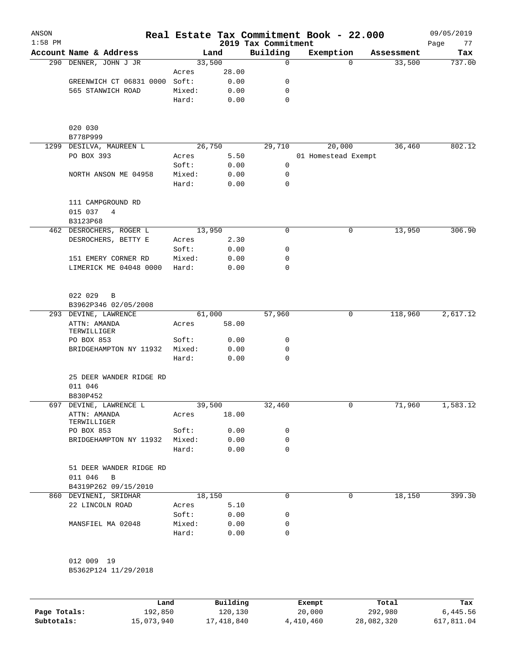|                                         |                                                                                                                                                                                                                                                                                                   |                                                                                                                        | 2019 Tax Commitment                                      |                                                                                                                                                                                                                                                         |            | Page<br>77                              |
|-----------------------------------------|---------------------------------------------------------------------------------------------------------------------------------------------------------------------------------------------------------------------------------------------------------------------------------------------------|------------------------------------------------------------------------------------------------------------------------|----------------------------------------------------------|---------------------------------------------------------------------------------------------------------------------------------------------------------------------------------------------------------------------------------------------------------|------------|-----------------------------------------|
| Account Name & Address                  |                                                                                                                                                                                                                                                                                                   | Land                                                                                                                   | Building                                                 | Exemption                                                                                                                                                                                                                                               | Assessment | Tax                                     |
| 290 DENNER, JOHN J JR                   |                                                                                                                                                                                                                                                                                                   |                                                                                                                        | 0                                                        | $\Omega$                                                                                                                                                                                                                                                | 33,500     | 737.00                                  |
|                                         | Acres                                                                                                                                                                                                                                                                                             | 28.00                                                                                                                  |                                                          |                                                                                                                                                                                                                                                         |            |                                         |
|                                         |                                                                                                                                                                                                                                                                                                   |                                                                                                                        |                                                          |                                                                                                                                                                                                                                                         |            |                                         |
|                                         |                                                                                                                                                                                                                                                                                                   |                                                                                                                        |                                                          |                                                                                                                                                                                                                                                         |            |                                         |
|                                         |                                                                                                                                                                                                                                                                                                   |                                                                                                                        |                                                          |                                                                                                                                                                                                                                                         |            |                                         |
| 020 030                                 |                                                                                                                                                                                                                                                                                                   |                                                                                                                        |                                                          |                                                                                                                                                                                                                                                         |            |                                         |
|                                         |                                                                                                                                                                                                                                                                                                   |                                                                                                                        |                                                          |                                                                                                                                                                                                                                                         |            | 802.12                                  |
|                                         |                                                                                                                                                                                                                                                                                                   |                                                                                                                        |                                                          |                                                                                                                                                                                                                                                         |            |                                         |
|                                         |                                                                                                                                                                                                                                                                                                   |                                                                                                                        |                                                          |                                                                                                                                                                                                                                                         |            |                                         |
|                                         |                                                                                                                                                                                                                                                                                                   |                                                                                                                        |                                                          |                                                                                                                                                                                                                                                         |            |                                         |
|                                         | Hard:                                                                                                                                                                                                                                                                                             | 0.00                                                                                                                   | 0                                                        |                                                                                                                                                                                                                                                         |            |                                         |
| 111 CAMPGROUND RD                       |                                                                                                                                                                                                                                                                                                   |                                                                                                                        |                                                          |                                                                                                                                                                                                                                                         |            |                                         |
| B3123P68                                |                                                                                                                                                                                                                                                                                                   |                                                                                                                        |                                                          |                                                                                                                                                                                                                                                         |            |                                         |
| 462 DESROCHERS, ROGER L                 |                                                                                                                                                                                                                                                                                                   |                                                                                                                        | 0                                                        | 0                                                                                                                                                                                                                                                       |            | 306.90                                  |
|                                         | Acres                                                                                                                                                                                                                                                                                             |                                                                                                                        |                                                          |                                                                                                                                                                                                                                                         |            |                                         |
|                                         |                                                                                                                                                                                                                                                                                                   |                                                                                                                        |                                                          |                                                                                                                                                                                                                                                         |            |                                         |
|                                         |                                                                                                                                                                                                                                                                                                   |                                                                                                                        |                                                          |                                                                                                                                                                                                                                                         |            |                                         |
|                                         |                                                                                                                                                                                                                                                                                                   |                                                                                                                        |                                                          |                                                                                                                                                                                                                                                         |            |                                         |
| 022 029<br>B                            |                                                                                                                                                                                                                                                                                                   |                                                                                                                        |                                                          |                                                                                                                                                                                                                                                         |            |                                         |
| B3962P346 02/05/2008                    |                                                                                                                                                                                                                                                                                                   |                                                                                                                        |                                                          |                                                                                                                                                                                                                                                         |            |                                         |
| 293 DEVINE, LAWRENCE                    |                                                                                                                                                                                                                                                                                                   |                                                                                                                        | 57,960                                                   | 0                                                                                                                                                                                                                                                       | 118,960    | 2,617.12                                |
| ATTN: AMANDA<br>TERWILLIGER             | Acres                                                                                                                                                                                                                                                                                             | 58.00                                                                                                                  |                                                          |                                                                                                                                                                                                                                                         |            |                                         |
|                                         |                                                                                                                                                                                                                                                                                                   |                                                                                                                        |                                                          |                                                                                                                                                                                                                                                         |            |                                         |
|                                         | Hard:                                                                                                                                                                                                                                                                                             | 0.00                                                                                                                   | 0                                                        |                                                                                                                                                                                                                                                         |            |                                         |
| 25 DEER WANDER RIDGE RD                 |                                                                                                                                                                                                                                                                                                   |                                                                                                                        |                                                          |                                                                                                                                                                                                                                                         |            |                                         |
| 011 046<br>B830P452                     |                                                                                                                                                                                                                                                                                                   |                                                                                                                        |                                                          |                                                                                                                                                                                                                                                         |            |                                         |
| 697 DEVINE, LAWRENCE L                  |                                                                                                                                                                                                                                                                                                   |                                                                                                                        | 32,460                                                   | 0                                                                                                                                                                                                                                                       | 71,960     | 1,583.12                                |
| ATTN: AMANDA<br>TERWILLIGER             | Acres                                                                                                                                                                                                                                                                                             |                                                                                                                        |                                                          |                                                                                                                                                                                                                                                         |            |                                         |
|                                         |                                                                                                                                                                                                                                                                                                   |                                                                                                                        |                                                          |                                                                                                                                                                                                                                                         |            |                                         |
|                                         | Hard:                                                                                                                                                                                                                                                                                             |                                                                                                                        | 0                                                        |                                                                                                                                                                                                                                                         |            |                                         |
| 51 DEER WANDER RIDGE RD<br>011 046<br>B |                                                                                                                                                                                                                                                                                                   |                                                                                                                        |                                                          |                                                                                                                                                                                                                                                         |            |                                         |
| B4319P262 09/15/2010                    |                                                                                                                                                                                                                                                                                                   |                                                                                                                        |                                                          |                                                                                                                                                                                                                                                         |            |                                         |
| 860 DEVINENI, SRIDHAR                   |                                                                                                                                                                                                                                                                                                   |                                                                                                                        | 0                                                        | 0                                                                                                                                                                                                                                                       | 18,150     | 399.30                                  |
| 22 LINCOLN ROAD                         | Acres                                                                                                                                                                                                                                                                                             |                                                                                                                        |                                                          |                                                                                                                                                                                                                                                         |            |                                         |
|                                         | Soft:                                                                                                                                                                                                                                                                                             |                                                                                                                        | 0                                                        |                                                                                                                                                                                                                                                         |            |                                         |
| MANSFIEL MA 02048                       | Mixed:                                                                                                                                                                                                                                                                                            |                                                                                                                        | 0                                                        |                                                                                                                                                                                                                                                         |            |                                         |
|                                         | Hard:                                                                                                                                                                                                                                                                                             |                                                                                                                        | 0                                                        |                                                                                                                                                                                                                                                         |            |                                         |
| 012 009 19                              |                                                                                                                                                                                                                                                                                                   |                                                                                                                        |                                                          |                                                                                                                                                                                                                                                         |            |                                         |
| B5362P124 11/29/2018                    |                                                                                                                                                                                                                                                                                                   |                                                                                                                        |                                                          |                                                                                                                                                                                                                                                         |            |                                         |
|                                         | GREENWICH CT 06831 0000<br>565 STANWICH ROAD<br>B778P999<br>1299 DESILVA, MAUREEN L<br>PO BOX 393<br>NORTH ANSON ME 04958<br>015 037<br>4<br>DESROCHERS, BETTY E<br>151 EMERY CORNER RD<br>LIMERICK ME 04048 0000<br>PO BOX 853<br>BRIDGEHAMPTON NY 11932<br>PO BOX 853<br>BRIDGEHAMPTON NY 11932 | Soft:<br>Mixed:<br>Hard:<br>Acres<br>Soft:<br>Mixed:<br>Soft:<br>Mixed:<br>Hard:<br>Soft:<br>Mixed:<br>Soft:<br>Mixed: | 33,500<br>26,750<br>13,950<br>61,000<br>39,500<br>18,150 | 0.00<br>0<br>0.00<br>0<br>$\mathbf 0$<br>0.00<br>29,710<br>5.50<br>0.00<br>0<br>0<br>0.00<br>2.30<br>0.00<br>0<br>0.00<br>0<br>$\mathbf 0$<br>0.00<br>0.00<br>0<br>0.00<br>0<br>18.00<br>0.00<br>0<br>0.00<br>0<br>0.00<br>5.10<br>0.00<br>0.00<br>0.00 | 20,000     | 36,460<br>01 Homestead Exempt<br>13,950 |

|              | Land       | Building   | Exempt    | Total      | Tax        |
|--------------|------------|------------|-----------|------------|------------|
| Page Totals: | 192,850    | 120,130    | 20,000    | 292,980    | 6,445.56   |
| Subtotals:   | 15,073,940 | 17,418,840 | 4,410,460 | 28,082,320 | 617,811.04 |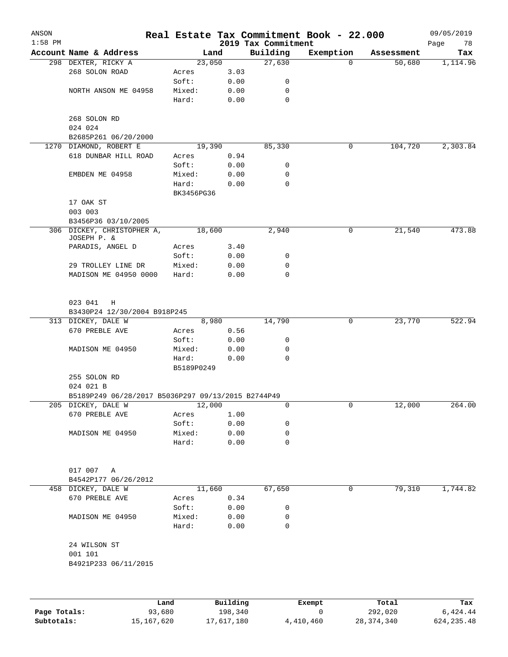| ANSON        |                                                    |            |                     |                                 | Real Estate Tax Commitment Book - 22.000 |                  | 09/05/2019        |
|--------------|----------------------------------------------------|------------|---------------------|---------------------------------|------------------------------------------|------------------|-------------------|
| $1:58$ PM    | Account Name & Address                             | Land       |                     | 2019 Tax Commitment<br>Building | Exemption                                | Assessment       | 78<br>Page<br>Tax |
|              | 298 DEXTER, RICKY A                                | 23,050     |                     | 27,630                          | $\Omega$                                 | 50,680           | 1,114.96          |
|              | 268 SOLON ROAD                                     | Acres      | 3.03                |                                 |                                          |                  |                   |
|              |                                                    | Soft:      | 0.00                | 0                               |                                          |                  |                   |
|              | NORTH ANSON ME 04958                               | Mixed:     | 0.00                | 0                               |                                          |                  |                   |
|              |                                                    | Hard:      | 0.00                | 0                               |                                          |                  |                   |
|              | 268 SOLON RD                                       |            |                     |                                 |                                          |                  |                   |
|              | 024 024                                            |            |                     |                                 |                                          |                  |                   |
|              | B2685P261 06/20/2000                               |            |                     |                                 |                                          |                  |                   |
|              | 1270 DIAMOND, ROBERT E                             | 19,390     |                     | 85,330                          | 0                                        | 104,720          | 2,303.84          |
|              | 618 DUNBAR HILL ROAD                               | Acres      | 0.94                |                                 |                                          |                  |                   |
|              |                                                    | Soft:      | 0.00                | 0                               |                                          |                  |                   |
|              | EMBDEN ME 04958                                    | Mixed:     | 0.00                | 0                               |                                          |                  |                   |
|              |                                                    | Hard:      | 0.00                | 0                               |                                          |                  |                   |
|              |                                                    | BK3456PG36 |                     |                                 |                                          |                  |                   |
|              | 17 OAK ST                                          |            |                     |                                 |                                          |                  |                   |
|              | 003 003                                            |            |                     |                                 |                                          |                  |                   |
|              | B3456P36 03/10/2005                                |            |                     |                                 |                                          |                  |                   |
|              | 306 DICKEY, CHRISTOPHER A,                         | 18,600     |                     | 2,940                           | 0                                        | 21,540           | 473.88            |
|              | JOSEPH P. &                                        |            |                     |                                 |                                          |                  |                   |
|              | PARADIS, ANGEL D                                   | Acres      | 3.40                |                                 |                                          |                  |                   |
|              |                                                    | Soft:      | 0.00                | 0                               |                                          |                  |                   |
|              | 29 TROLLEY LINE DR                                 | Mixed:     | 0.00                | 0                               |                                          |                  |                   |
|              | MADISON ME 04950 0000                              | Hard:      | 0.00                | 0                               |                                          |                  |                   |
|              |                                                    |            |                     |                                 |                                          |                  |                   |
|              | 023 041<br>H<br>B3430P24 12/30/2004 B918P245       |            |                     |                                 |                                          |                  |                   |
|              | 313 DICKEY, DALE W                                 | 8,980      |                     | 14,790                          | 0                                        | 23,770           | 522.94            |
|              | 670 PREBLE AVE                                     | Acres      | 0.56                |                                 |                                          |                  |                   |
|              |                                                    | Soft:      | 0.00                | 0                               |                                          |                  |                   |
|              | MADISON ME 04950                                   | Mixed:     | 0.00                | 0                               |                                          |                  |                   |
|              |                                                    | Hard:      | 0.00                | $\mathbf 0$                     |                                          |                  |                   |
|              |                                                    | B5189P0249 |                     |                                 |                                          |                  |                   |
|              | 255 SOLON RD                                       |            |                     |                                 |                                          |                  |                   |
|              | 024 021 B                                          |            |                     |                                 |                                          |                  |                   |
|              | B5189P249 06/28/2017 B5036P297 09/13/2015 B2744P49 |            |                     |                                 |                                          |                  |                   |
|              | 205 DICKEY, DALE W                                 | 12,000     |                     | 0                               | 0                                        | 12,000           | 264.00            |
|              | 670 PREBLE AVE                                     | Acres      | 1.00                |                                 |                                          |                  |                   |
|              |                                                    | Soft:      | 0.00                | 0                               |                                          |                  |                   |
|              | MADISON ME 04950                                   | Mixed:     | 0.00                | 0                               |                                          |                  |                   |
|              |                                                    | Hard:      | 0.00                | $\mathbf 0$                     |                                          |                  |                   |
|              |                                                    |            |                     |                                 |                                          |                  |                   |
|              | 017 007<br>Α                                       |            |                     |                                 |                                          |                  |                   |
|              | B4542P177 06/26/2012                               |            |                     |                                 |                                          |                  |                   |
|              | 458 DICKEY, DALE W                                 | 11,660     |                     | 67,650                          | 0                                        | 79,310           | 1,744.82          |
|              | 670 PREBLE AVE                                     | Acres      | 0.34                |                                 |                                          |                  |                   |
|              |                                                    | Soft:      | 0.00                | 0                               |                                          |                  |                   |
|              | MADISON ME 04950                                   | Mixed:     | 0.00                | 0                               |                                          |                  |                   |
|              |                                                    | Hard:      | 0.00                | $\mathbf 0$                     |                                          |                  |                   |
|              | 24 WILSON ST                                       |            |                     |                                 |                                          |                  |                   |
|              | 001 101<br>B4921P233 06/11/2015                    |            |                     |                                 |                                          |                  |                   |
|              |                                                    |            |                     |                                 |                                          |                  |                   |
|              |                                                    |            |                     |                                 |                                          |                  |                   |
| Page Totals: | 93,680                                             | Land       | Building<br>198,340 |                                 | Exempt<br>0                              | Total<br>292,020 | Tax<br>6,424.44   |
|              |                                                    |            |                     |                                 |                                          |                  |                   |

**Subtotals:** 15,167,620 17,617,180 4,410,460 28,374,340 624,235.48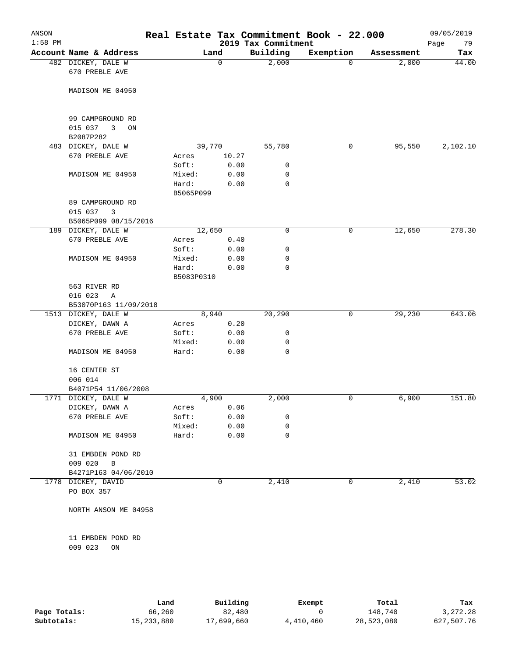| ANSON<br>$1:58$ PM |                                      |       |                     |       | 2019 Tax Commitment | Real Estate Tax Commitment Book - 22.000 |            | 09/05/2019<br>Page<br>79 |
|--------------------|--------------------------------------|-------|---------------------|-------|---------------------|------------------------------------------|------------|--------------------------|
|                    | Account Name & Address               |       |                     | Land  | Building            | Exemption                                | Assessment | Tax                      |
|                    | 482 DICKEY, DALE W<br>670 PREBLE AVE |       |                     | 0     | 2,000               | 0                                        | 2,000      | 44.00                    |
|                    | MADISON ME 04950                     |       |                     |       |                     |                                          |            |                          |
|                    | 99 CAMPGROUND RD                     |       |                     |       |                     |                                          |            |                          |
|                    | 015 037<br>3<br>ON<br>B2087P282      |       |                     |       |                     |                                          |            |                          |
|                    | 483 DICKEY, DALE W                   |       | 39,770              |       | 55,780              | 0                                        | 95,550     | 2,102.10                 |
|                    | 670 PREBLE AVE                       | Acres |                     | 10.27 |                     |                                          |            |                          |
|                    |                                      | Soft: |                     | 0.00  | 0                   |                                          |            |                          |
|                    | MADISON ME 04950                     |       | Mixed:              | 0.00  | 0                   |                                          |            |                          |
|                    |                                      |       | Hard:               | 0.00  | 0                   |                                          |            |                          |
|                    |                                      |       | B5065P099           |       |                     |                                          |            |                          |
|                    | 89 CAMPGROUND RD<br>015 037<br>3     |       |                     |       |                     |                                          |            |                          |
|                    | B5065P099 08/15/2016                 |       |                     |       |                     |                                          |            |                          |
|                    | 189 DICKEY, DALE W                   |       | 12,650              |       | 0                   | 0                                        | 12,650     | 278.30                   |
|                    | 670 PREBLE AVE                       | Acres |                     | 0.40  |                     |                                          |            |                          |
|                    |                                      |       | Soft:               | 0.00  | 0                   |                                          |            |                          |
|                    | MADISON ME 04950                     |       | Mixed:              | 0.00  | 0                   |                                          |            |                          |
|                    |                                      |       | Hard:<br>B5083P0310 | 0.00  | 0                   |                                          |            |                          |
|                    | 563 RIVER RD                         |       |                     |       |                     |                                          |            |                          |
|                    | 016 023<br>Α                         |       |                     |       |                     |                                          |            |                          |
|                    | B53070P163 11/09/2018                |       |                     |       |                     |                                          |            |                          |
|                    | 1513 DICKEY, DALE W                  |       |                     | 8,940 | 20,290              | 0                                        | 29,230     | 643.06                   |
|                    | DICKEY, DAWN A                       |       | Acres               | 0.20  |                     |                                          |            |                          |
|                    | 670 PREBLE AVE                       |       | Soft:               | 0.00  | 0                   |                                          |            |                          |
|                    |                                      |       | Mixed:              | 0.00  | 0                   |                                          |            |                          |
|                    | MADISON ME 04950                     | Hard: |                     | 0.00  | 0                   |                                          |            |                          |
|                    | 16 CENTER ST                         |       |                     |       |                     |                                          |            |                          |
|                    | 006 014                              |       |                     |       |                     |                                          |            |                          |
|                    | B4071P54 11/06/2008                  |       |                     |       |                     |                                          |            |                          |
|                    | 1771 DICKEY, DALE W                  |       | 4,900               |       | 2,000               | 0                                        | 6,900      | 151.80                   |
|                    | DICKEY, DAWN A                       | Acres |                     | 0.06  |                     |                                          |            |                          |
|                    | 670 PREBLE AVE                       |       | Soft:               | 0.00  | 0                   |                                          |            |                          |
|                    |                                      |       | Mixed:              | 0.00  | 0                   |                                          |            |                          |
|                    | MADISON ME 04950                     | Hard: |                     | 0.00  | 0                   |                                          |            |                          |
|                    | 31 EMBDEN POND RD                    |       |                     |       |                     |                                          |            |                          |
|                    | 009 020<br>$\mathbf{B}$              |       |                     |       |                     |                                          |            |                          |
|                    | B4271P163 04/06/2010                 |       |                     |       |                     |                                          |            |                          |
|                    | 1778 DICKEY, DAVID<br>PO BOX 357     |       |                     | 0     | 2,410               | 0                                        | 2,410      | 53.02                    |
|                    | NORTH ANSON ME 04958                 |       |                     |       |                     |                                          |            |                          |
|                    | 11 EMBDEN POND RD<br>009 023<br>ON   |       |                     |       |                     |                                          |            |                          |
|                    |                                      |       |                     |       |                     |                                          |            |                          |

|              | Land       | Building   | Exempt    | Total      | Tax        |
|--------------|------------|------------|-----------|------------|------------|
| Page Totals: | 66,260     | 82,480     |           | 148,740    | 3,272.28   |
| Subtotals:   | 15,233,880 | 17,699,660 | 4,410,460 | 28,523,080 | 627,507.76 |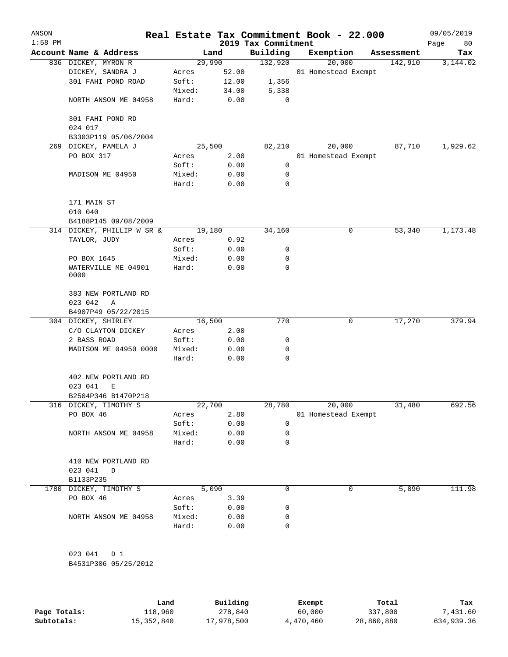| ANSON<br>$1:58$ PM |                                     |        |        | 2019 Tax Commitment | Real Estate Tax Commitment Book - 22.000 |            | 09/05/2019<br>Page<br>80 |
|--------------------|-------------------------------------|--------|--------|---------------------|------------------------------------------|------------|--------------------------|
|                    | Account Name & Address              |        | Land   | Building            | Exemption                                | Assessment | Tax                      |
|                    | 836 DICKEY, MYRON R                 |        | 29,990 | 132,920             | 20,000                                   | 142,910    | 3,144.02                 |
|                    | DICKEY, SANDRA J                    | Acres  | 52.00  |                     | 01 Homestead Exempt                      |            |                          |
|                    | 301 FAHI POND ROAD                  | Soft:  | 12.00  | 1,356               |                                          |            |                          |
|                    |                                     | Mixed: | 34.00  | 5,338               |                                          |            |                          |
|                    | NORTH ANSON ME 04958                | Hard:  | 0.00   | 0                   |                                          |            |                          |
|                    | 301 FAHI POND RD                    |        |        |                     |                                          |            |                          |
|                    | 024 017<br>B3303P119 05/06/2004     |        |        |                     |                                          |            |                          |
| 269                | DICKEY, PAMELA J                    |        | 25,500 | 82,210              | 20,000                                   | 87,710     | 1,929.62                 |
|                    | PO BOX 317                          | Acres  | 2.00   |                     | 01 Homestead Exempt                      |            |                          |
|                    |                                     | Soft:  | 0.00   | 0                   |                                          |            |                          |
|                    | MADISON ME 04950                    | Mixed: | 0.00   | 0                   |                                          |            |                          |
|                    |                                     | Hard:  | 0.00   | 0                   |                                          |            |                          |
|                    | 171 MAIN ST                         |        |        |                     |                                          |            |                          |
|                    | 010 040                             |        |        |                     |                                          |            |                          |
|                    | B4188P145 09/08/2009                |        |        |                     |                                          |            |                          |
|                    | 314 DICKEY, PHILLIP W SR &          |        | 19,180 | 34,160              | 0                                        | 53,340     | 1,173.48                 |
|                    | TAYLOR, JUDY                        | Acres  | 0.92   |                     |                                          |            |                          |
|                    |                                     | Soft:  | 0.00   | 0                   |                                          |            |                          |
|                    | PO BOX 1645                         | Mixed: | 0.00   | 0                   |                                          |            |                          |
|                    | WATERVILLE ME 04901                 | Hard:  | 0.00   | 0                   |                                          |            |                          |
|                    | 0000                                |        |        |                     |                                          |            |                          |
|                    | 383 NEW PORTLAND RD                 |        |        |                     |                                          |            |                          |
|                    | 023 042<br>Α                        |        |        |                     |                                          |            |                          |
|                    | B4907P49 05/22/2015                 |        |        |                     |                                          |            |                          |
|                    | 304 DICKEY, SHIRLEY                 |        | 16,500 | 770                 | 0                                        | 17,270     | 379.94                   |
|                    | C/O CLAYTON DICKEY                  | Acres  | 2.00   |                     |                                          |            |                          |
|                    | 2 BASS ROAD                         | Soft:  | 0.00   | 0                   |                                          |            |                          |
|                    | MADISON ME 04950 0000               | Mixed: | 0.00   | 0                   |                                          |            |                          |
|                    |                                     | Hard:  | 0.00   | 0                   |                                          |            |                          |
|                    | 402 NEW PORTLAND RD                 |        |        |                     |                                          |            |                          |
|                    | 023 041<br>Ε                        |        |        |                     |                                          |            |                          |
|                    | B2504P346 B1470P218                 |        |        |                     |                                          |            |                          |
|                    | 316 DICKEY, TIMOTHY S               |        | 22,700 | 28,780              | 20,000                                   | 31,480     | 692.56                   |
|                    | PO BOX 46                           | Acres  | 2.80   |                     | 01 Homestead Exempt                      |            |                          |
|                    |                                     | Soft:  | 0.00   | 0                   |                                          |            |                          |
|                    | NORTH ANSON ME 04958                | Mixed: | 0.00   | 0                   |                                          |            |                          |
|                    |                                     | Hard:  | 0.00   | 0                   |                                          |            |                          |
|                    | 410 NEW PORTLAND RD                 |        |        |                     |                                          |            |                          |
|                    | 023 041 D                           |        |        |                     |                                          |            |                          |
|                    | B1133P235                           |        | 5,090  | 0                   | 0                                        |            |                          |
|                    | 1780 DICKEY, TIMOTHY S<br>PO BOX 46 |        |        |                     |                                          | 5,090      | 111.98                   |
|                    |                                     | Acres  | 3.39   |                     |                                          |            |                          |
|                    |                                     | Soft:  | 0.00   | 0                   |                                          |            |                          |
|                    | NORTH ANSON ME 04958                | Mixed: | 0.00   | 0                   |                                          |            |                          |
|                    |                                     | Hard:  | 0.00   | 0                   |                                          |            |                          |
|                    | 023 041 D 1                         |        |        |                     |                                          |            |                          |
|                    | B4531P306 05/25/2012                |        |        |                     |                                          |            |                          |
|                    |                                     |        |        |                     |                                          |            |                          |

|              | Land       | Building   | Exempt    | Total      | Tax        |
|--------------|------------|------------|-----------|------------|------------|
| Page Totals: | 118,960    | 278,840    | 60,000    | 337,800    | 7,431.60   |
| Subtotals:   | 15,352,840 | 17,978,500 | 4,470,460 | 28,860,880 | 634,939.36 |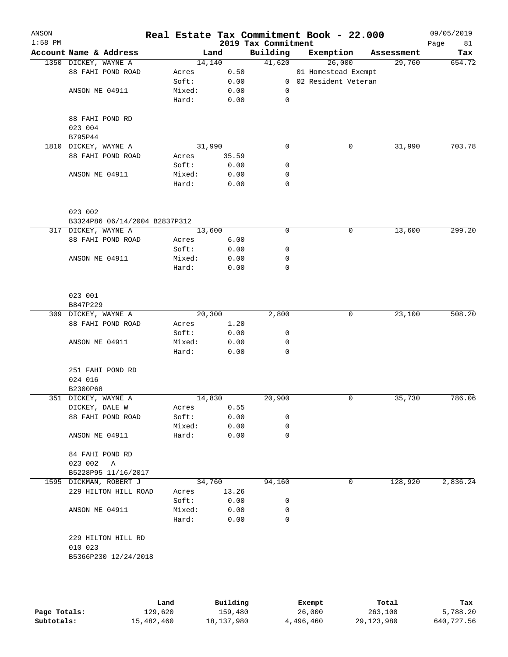| ANSON<br>$1:58$ PM |                             |                               | Real Estate Tax Commitment Book - 22.000 |              | 2019 Tax Commitment |                       |            | 09/05/2019<br>Page<br>81 |
|--------------------|-----------------------------|-------------------------------|------------------------------------------|--------------|---------------------|-----------------------|------------|--------------------------|
|                    | Account Name & Address      |                               |                                          | Land         | Building            | Exemption             | Assessment | Tax                      |
|                    | 1350 DICKEY, WAYNE A        |                               |                                          | 14,140       | 41,620              | 26,000                | 29,760     | 654.72                   |
|                    | 88 FAHI POND ROAD           |                               | Acres                                    | 0.50         |                     | 01 Homestead Exempt   |            |                          |
|                    |                             |                               | Soft:                                    | 0.00         |                     | 0 02 Resident Veteran |            |                          |
|                    | ANSON ME 04911              |                               | Mixed:                                   | 0.00         | 0                   |                       |            |                          |
|                    |                             |                               | Hard:                                    | 0.00         | 0                   |                       |            |                          |
|                    | 88 FAHI POND RD             |                               |                                          |              |                     |                       |            |                          |
|                    | 023 004<br>B795P44          |                               |                                          |              |                     |                       |            |                          |
|                    | 1810 DICKEY, WAYNE A        |                               |                                          | 31,990       | $\mathbf 0$         | 0                     | 31,990     | 703.78                   |
|                    | 88 FAHI POND ROAD           |                               | Acres                                    | 35.59        |                     |                       |            |                          |
|                    |                             |                               | Soft:                                    | 0.00         | 0                   |                       |            |                          |
|                    | ANSON ME 04911              |                               | Mixed:                                   | 0.00         | 0                   |                       |            |                          |
|                    |                             |                               | Hard:                                    | 0.00         | $\mathbf 0$         |                       |            |                          |
|                    | 023 002                     |                               |                                          |              |                     |                       |            |                          |
|                    |                             | B3324P86 06/14/2004 B2837P312 |                                          |              |                     |                       |            |                          |
|                    | 317 DICKEY, WAYNE A         |                               |                                          | 13,600       | $\mathbf 0$         | 0                     | 13,600     | 299.20                   |
|                    | 88 FAHI POND ROAD           |                               | Acres                                    | 6.00         |                     |                       |            |                          |
|                    |                             |                               | Soft:                                    | 0.00         | 0                   |                       |            |                          |
|                    | ANSON ME 04911              |                               | Mixed:                                   | 0.00         | 0                   |                       |            |                          |
|                    |                             |                               | Hard:                                    | 0.00         | $\mathbf 0$         |                       |            |                          |
|                    | 023 001<br>B847P229         |                               |                                          |              |                     |                       |            |                          |
|                    | 309 DICKEY, WAYNE A         |                               |                                          | 20,300       | 2,800               | 0                     | 23,100     | 508.20                   |
|                    | 88 FAHI POND ROAD           |                               | Acres                                    | 1.20         |                     |                       |            |                          |
|                    |                             |                               | Soft:                                    | 0.00         | 0                   |                       |            |                          |
|                    | ANSON ME 04911              |                               | Mixed:                                   | 0.00         | 0                   |                       |            |                          |
|                    |                             |                               | Hard:                                    | 0.00         | $\mathbf 0$         |                       |            |                          |
|                    | 251 FAHI POND RD<br>024 016 |                               |                                          |              |                     |                       |            |                          |
|                    | B2300P68                    |                               |                                          |              |                     |                       |            |                          |
| 351                | DICKEY, WAYNE A             |                               |                                          | 14,830       | 20,900              | 0                     | 35,730     | 786.06                   |
|                    | DICKEY, DALE W              |                               | Acres                                    | 0.55         |                     |                       |            |                          |
|                    | 88 FAHI POND ROAD           |                               | Soft:                                    | 0.00         | 0                   |                       |            |                          |
|                    |                             |                               | Mixed:                                   | 0.00         | 0                   |                       |            |                          |
|                    | ANSON ME 04911              |                               | Hard:                                    | 0.00         | 0                   |                       |            |                          |
|                    | 84 FAHI POND RD             |                               |                                          |              |                     |                       |            |                          |
|                    | 023 002                     | A                             |                                          |              |                     |                       |            |                          |
|                    |                             | B5228P95 11/16/2017           |                                          |              |                     |                       |            |                          |
|                    | 1595 DICKMAN, ROBERT J      |                               |                                          | 34,760       | 94,160              | 0                     | 128,920    | 2,836.24                 |
|                    |                             | 229 HILTON HILL ROAD          | Acres                                    | 13.26        |                     |                       |            |                          |
|                    |                             |                               | Soft:                                    | 0.00         | 0                   |                       |            |                          |
|                    | ANSON ME 04911              |                               | Mixed:<br>Hard:                          | 0.00<br>0.00 | 0<br>0              |                       |            |                          |
|                    |                             | 229 HILTON HILL RD            |                                          |              |                     |                       |            |                          |
|                    | 010 023                     | B5366P230 12/24/2018          |                                          |              |                     |                       |            |                          |
|                    |                             |                               |                                          |              |                     |                       |            |                          |
|                    |                             |                               |                                          |              |                     |                       |            |                          |

|              | Land       | Building   | Exempt    | Total      | Tax        |
|--------------|------------|------------|-----------|------------|------------|
| Page Totals: | 129,620    | 159,480    | 26,000    | 263,100    | 5,788.20   |
| Subtotals:   | 15,482,460 | 18,137,980 | 4,496,460 | 29,123,980 | 640,727.56 |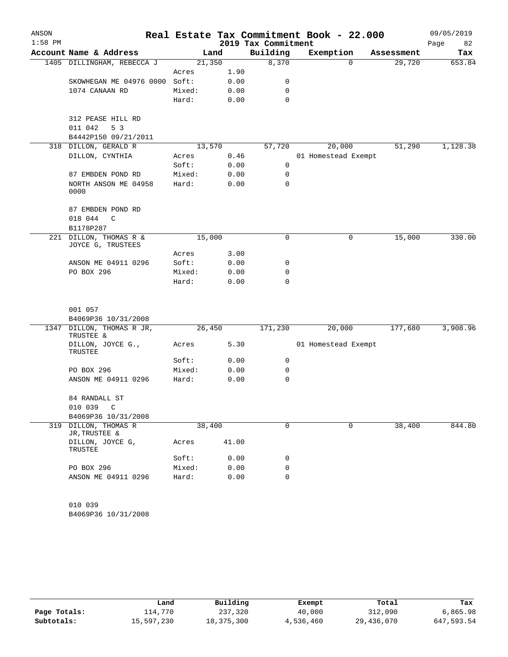| ANSON     |                                        |        |       |                     | Real Estate Tax Commitment Book - 22.000 |                       | 09/05/2019 |
|-----------|----------------------------------------|--------|-------|---------------------|------------------------------------------|-----------------------|------------|
| $1:58$ PM |                                        |        |       | 2019 Tax Commitment |                                          |                       | Page<br>82 |
|           | Account Name & Address                 |        | Land  | Building            | Exemption                                | Assessment            | Tax        |
|           | 1405 DILLINGHAM, REBECCA J             | 21,350 |       | 8,370               |                                          | 29,720<br>$\Omega$    | 653.84     |
|           |                                        | Acres  | 1.90  |                     |                                          |                       |            |
|           | SKOWHEGAN ME 04976 0000                | Soft:  | 0.00  | 0                   |                                          |                       |            |
|           | 1074 CANAAN RD                         | Mixed: | 0.00  | 0                   |                                          |                       |            |
|           |                                        | Hard:  | 0.00  | 0                   |                                          |                       |            |
|           | 312 PEASE HILL RD                      |        |       |                     |                                          |                       |            |
|           | 011 042<br>5 <sub>3</sub>              |        |       |                     |                                          |                       |            |
|           | B4442P150 09/21/2011                   |        |       |                     |                                          |                       |            |
|           | 318 DILLON, GERALD R                   | 13,570 |       | 57,720              | 20,000                                   | 51,290                | 1,128.38   |
|           | DILLON, CYNTHIA                        | Acres  | 0.46  |                     | 01 Homestead Exempt                      |                       |            |
|           |                                        | Soft:  | 0.00  | 0                   |                                          |                       |            |
|           | 87 EMBDEN POND RD                      | Mixed: | 0.00  | 0                   |                                          |                       |            |
|           | NORTH ANSON ME 04958<br>0000           | Hard:  | 0.00  | $\mathbf 0$         |                                          |                       |            |
|           | 87 EMBDEN POND RD                      |        |       |                     |                                          |                       |            |
|           | 018 044<br>C                           |        |       |                     |                                          |                       |            |
|           | B1178P287                              |        |       |                     |                                          |                       |            |
| 221       | DILLON, THOMAS R &                     | 15,000 |       | 0                   |                                          | 15,000<br>0           | 330.00     |
|           | JOYCE G, TRUSTEES                      |        |       |                     |                                          |                       |            |
|           |                                        | Acres  | 3.00  |                     |                                          |                       |            |
|           | ANSON ME 04911 0296                    | Soft:  | 0.00  | 0                   |                                          |                       |            |
|           | PO BOX 296                             | Mixed: | 0.00  | 0                   |                                          |                       |            |
|           |                                        | Hard:  | 0.00  | 0                   |                                          |                       |            |
|           | 001 057                                |        |       |                     |                                          |                       |            |
|           | B4069P36 10/31/2008                    |        |       |                     |                                          |                       |            |
|           | 1347 DILLON, THOMAS R JR,<br>TRUSTEE & | 26,450 |       | 171,230             | 20,000                                   | 177,680               | 3,908.96   |
|           | DILLON, JOYCE G.,<br>TRUSTEE           | Acres  | 5.30  |                     | 01 Homestead Exempt                      |                       |            |
|           |                                        | Soft:  | 0.00  | 0                   |                                          |                       |            |
|           | PO BOX 296                             | Mixed: | 0.00  | 0                   |                                          |                       |            |
|           | ANSON ME 04911 0296                    | Hard:  | 0.00  | 0                   |                                          |                       |            |
|           | 84 RANDALL ST                          |        |       |                     |                                          |                       |            |
|           | 010 039<br>C                           |        |       |                     |                                          |                       |            |
|           | B4069P36 10/31/2008                    |        |       |                     |                                          |                       |            |
| 319       | DILLON, THOMAS R                       | 38,400 |       | $\mathbf 0$         |                                          | $\mathbf 0$<br>38,400 | 844.80     |
|           | JR, TRUSTEE &                          |        |       |                     |                                          |                       |            |
|           | DILLON, JOYCE G,<br>TRUSTEE            | Acres  | 41.00 |                     |                                          |                       |            |
|           |                                        | Soft:  | 0.00  | 0                   |                                          |                       |            |
|           | PO BOX 296                             | Mixed: | 0.00  | 0                   |                                          |                       |            |
|           | ANSON ME 04911 0296                    | Hard:  | 0.00  | 0                   |                                          |                       |            |
|           | 010 039                                |        |       |                     |                                          |                       |            |
|           | B4069P36 10/31/2008                    |        |       |                     |                                          |                       |            |
|           |                                        |        |       |                     |                                          |                       |            |

|              | Land       | Building     | Exempt    | Total      | Tax        |
|--------------|------------|--------------|-----------|------------|------------|
| Page Totals: | 114,770    | 237,320      | 40,000    | 312,090    | 6,865.98   |
| Subtotals:   | 15,597,230 | 18, 375, 300 | 4,536,460 | 29,436,070 | 647,593.54 |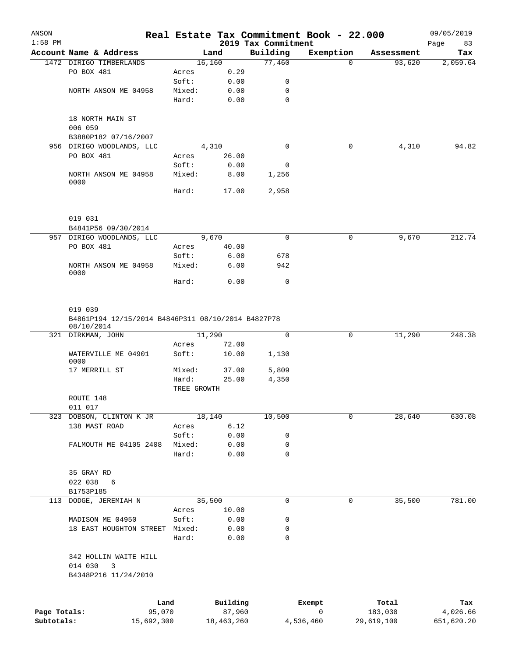| ANSON<br>$1:58$ PM |                                                                                       |             |            | 2019 Tax Commitment | Real Estate Tax Commitment Book - 22.000 |            | 09/05/2019<br>Page<br>83 |
|--------------------|---------------------------------------------------------------------------------------|-------------|------------|---------------------|------------------------------------------|------------|--------------------------|
|                    | Account Name & Address                                                                |             | Land       | Building            | Exemption                                | Assessment | Tax                      |
|                    | 1472 DIRIGO TIMBERLANDS                                                               |             | 16,160     | 77,460              | $\Omega$                                 | 93,620     | 2,059.64                 |
|                    | PO BOX 481                                                                            | Acres       | 0.29       |                     |                                          |            |                          |
|                    |                                                                                       | Soft:       | 0.00       | 0                   |                                          |            |                          |
|                    | NORTH ANSON ME 04958                                                                  | Mixed:      | 0.00       | 0                   |                                          |            |                          |
|                    |                                                                                       | Hard:       | 0.00       | 0                   |                                          |            |                          |
|                    | 18 NORTH MAIN ST<br>006 059                                                           |             |            |                     |                                          |            |                          |
|                    | B3880P182 07/16/2007                                                                  |             |            |                     |                                          |            |                          |
|                    | 956 DIRIGO WOODLANDS, LLC                                                             |             | 4,310      | $\mathbf 0$         | 0                                        | 4,310      | 94.82                    |
|                    | PO BOX 481                                                                            | Acres       | 26.00      |                     |                                          |            |                          |
|                    |                                                                                       | Soft:       | 0.00       | 0                   |                                          |            |                          |
|                    | NORTH ANSON ME 04958<br>0000                                                          | Mixed:      | 8.00       | 1,256               |                                          |            |                          |
|                    |                                                                                       | Hard:       | 17.00      | 2,958               |                                          |            |                          |
|                    | 019 031                                                                               |             |            |                     |                                          |            |                          |
|                    | B4841P56 09/30/2014                                                                   |             |            |                     |                                          |            |                          |
|                    | 957 DIRIGO WOODLANDS, LLC                                                             |             | 9,670      | $\mathbf 0$         | 0                                        | 9,670      | 212.74                   |
|                    | PO BOX 481                                                                            | Acres       | 40.00      |                     |                                          |            |                          |
|                    |                                                                                       | Soft:       | 6.00       | 678                 |                                          |            |                          |
|                    | NORTH ANSON ME 04958<br>0000                                                          | Mixed:      | 6.00       | 942                 |                                          |            |                          |
|                    |                                                                                       | Hard:       | 0.00       | 0                   |                                          |            |                          |
|                    | B4861P194 12/15/2014 B4846P311 08/10/2014 B4827P78<br>08/10/2014<br>321 DIRKMAN, JOHN |             | 11,290     | $\mathbf 0$         | $\mathsf{O}$                             | 11,290     | 248.38                   |
|                    |                                                                                       | Acres       | 72.00      |                     |                                          |            |                          |
|                    | WATERVILLE ME 04901<br>0000                                                           | Soft:       | 10.00      | 1,130               |                                          |            |                          |
|                    | 17 MERRILL ST                                                                         | Mixed:      | 37.00      | 5,809               |                                          |            |                          |
|                    |                                                                                       | Hard:       | 25.00      | 4,350               |                                          |            |                          |
|                    |                                                                                       | TREE GROWTH |            |                     |                                          |            |                          |
|                    | ROUTE 148<br>011 017                                                                  |             |            |                     |                                          |            |                          |
|                    | 323 DOBSON, CLINTON K JR                                                              |             | 18,140     | 10,500              | 0                                        | 28,640     | 630.08                   |
|                    | 138 MAST ROAD                                                                         | Acres       | 6.12       |                     |                                          |            |                          |
|                    |                                                                                       | Soft:       | 0.00       | 0                   |                                          |            |                          |
|                    | FALMOUTH ME 04105 2408                                                                | Mixed:      | 0.00       | 0                   |                                          |            |                          |
|                    |                                                                                       | Hard:       | 0.00       | $\mathbf 0$         |                                          |            |                          |
|                    | 35 GRAY RD                                                                            |             |            |                     |                                          |            |                          |
|                    | 022 038<br>6                                                                          |             |            |                     |                                          |            |                          |
|                    | B1753P185                                                                             |             |            |                     |                                          |            |                          |
| 113                | DODGE, JEREMIAH N                                                                     |             | 35,500     | 0                   | 0                                        | 35,500     | 781.00                   |
|                    |                                                                                       | Acres       | 10.00      |                     |                                          |            |                          |
|                    | MADISON ME 04950                                                                      | Soft:       | 0.00       | 0                   |                                          |            |                          |
|                    | 18 EAST HOUGHTON STREET                                                               | Mixed:      | 0.00       | 0                   |                                          |            |                          |
|                    |                                                                                       | Hard:       | 0.00       | 0                   |                                          |            |                          |
|                    | 342 HOLLIN WAITE HILL<br>014 030<br>3                                                 |             |            |                     |                                          |            |                          |
|                    | B4348P216 11/24/2010                                                                  |             |            |                     |                                          |            |                          |
|                    | Land                                                                                  |             | Building   |                     | Exempt                                   | Total      | Tax                      |
| Page Totals:       | 95,070                                                                                |             | 87,960     |                     | 0                                        | 183,030    | 4,026.66                 |
| Subtotals:         | 15,692,300                                                                            |             | 18,463,260 |                     | 4,536,460                                | 29,619,100 | 651,620.20               |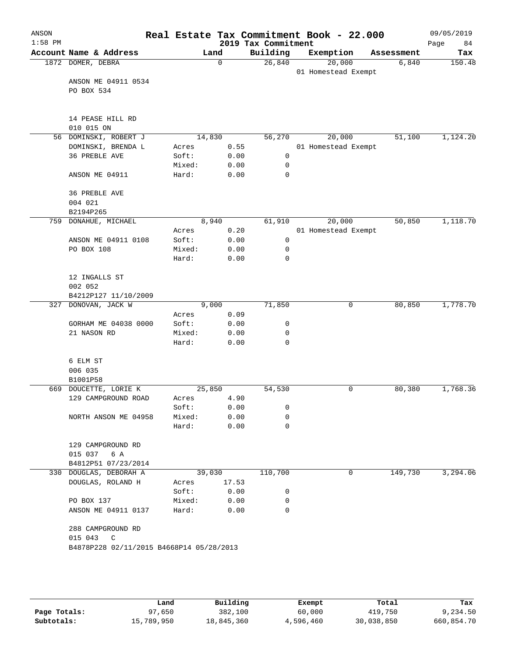| ANSON<br>$1:58$ PM |                                          |                 |              | 2019 Tax Commitment | Real Estate Tax Commitment Book - 22.000 |   |            | 09/05/2019<br>84<br>Page |
|--------------------|------------------------------------------|-----------------|--------------|---------------------|------------------------------------------|---|------------|--------------------------|
|                    | Account Name & Address                   |                 | Land         | Building            | Exemption                                |   | Assessment | Tax                      |
|                    | 1872 DOMER, DEBRA                        |                 | $\mathbf 0$  | 26,840              | 20,000<br>01 Homestead Exempt            |   | 6,840      | 150.48                   |
|                    | ANSON ME 04911 0534<br>PO BOX 534        |                 |              |                     |                                          |   |            |                          |
|                    | 14 PEASE HILL RD<br>010 015 ON           |                 |              |                     |                                          |   |            |                          |
|                    | 56 DOMINSKI, ROBERT J                    |                 | 14,830       | 56,270              | 20,000                                   |   | 51,100     | 1,124.20                 |
|                    | DOMINSKI, BRENDA L                       | Acres           | 0.55         |                     | 01 Homestead Exempt                      |   |            |                          |
|                    | <b>36 PREBLE AVE</b>                     | Soft:           | 0.00         | 0                   |                                          |   |            |                          |
|                    |                                          | Mixed:          | 0.00         | 0                   |                                          |   |            |                          |
|                    | ANSON ME 04911                           | Hard:           | 0.00         | $\mathbf 0$         |                                          |   |            |                          |
|                    | <b>36 PREBLE AVE</b><br>004 021          |                 |              |                     |                                          |   |            |                          |
|                    | B2194P265                                |                 |              |                     |                                          |   |            |                          |
| 759                | DONAHUE, MICHAEL                         |                 | 8,940        | 61,910              | 20,000                                   |   | 50,850     | 1,118.70                 |
|                    |                                          | Acres           | 0.20         |                     | 01 Homestead Exempt                      |   |            |                          |
|                    | ANSON ME 04911 0108                      | Soft:           | 0.00         | 0                   |                                          |   |            |                          |
|                    | PO BOX 108                               | Mixed:<br>Hard: | 0.00<br>0.00 | 0<br>$\mathbf 0$    |                                          |   |            |                          |
|                    |                                          |                 |              |                     |                                          |   |            |                          |
|                    | 12 INGALLS ST<br>002 052                 |                 |              |                     |                                          |   |            |                          |
|                    | B4212P127 11/10/2009                     |                 |              |                     |                                          |   |            |                          |
| 327                | DONOVAN, JACK W                          |                 | 9,000        | 71,850              |                                          | 0 | 80,850     | 1,778.70                 |
|                    |                                          | Acres           | 0.09         |                     |                                          |   |            |                          |
|                    | GORHAM ME 04038 0000                     | Soft:           | 0.00         | 0                   |                                          |   |            |                          |
|                    | 21 NASON RD                              | Mixed:          | 0.00         | 0                   |                                          |   |            |                          |
|                    |                                          | Hard:           | 0.00         | $\Omega$            |                                          |   |            |                          |
|                    | 6 ELM ST                                 |                 |              |                     |                                          |   |            |                          |
|                    | 006 035                                  |                 |              |                     |                                          |   |            |                          |
|                    | B1001P58                                 |                 |              |                     |                                          |   |            |                          |
| 669                | DOUCETTE, LORIE K                        |                 | 25,850       | 54,530              |                                          | 0 | 80,380     | 1,768.36                 |
|                    | 129 CAMPGROUND ROAD                      | Acres           | 4.90         |                     |                                          |   |            |                          |
|                    |                                          | Soft:           | 0.00         | 0                   |                                          |   |            |                          |
|                    | NORTH ANSON ME 04958                     | Mixed:          | 0.00         | 0                   |                                          |   |            |                          |
|                    |                                          | Hard:           | 0.00         | $\mathbf 0$         |                                          |   |            |                          |
|                    | 129 CAMPGROUND RD                        |                 |              |                     |                                          |   |            |                          |
|                    | 015 037 6 A                              |                 |              |                     |                                          |   |            |                          |
|                    | B4812P51 07/23/2014                      |                 |              |                     |                                          |   |            |                          |
|                    | 330 DOUGLAS, DEBORAH A                   |                 | 39,030       | 110,700             |                                          | 0 | 149,730    | 3,294.06                 |
|                    | DOUGLAS, ROLAND H                        | Acres           | 17.53        |                     |                                          |   |            |                          |
|                    |                                          | Soft:           | 0.00         | 0                   |                                          |   |            |                          |
|                    | PO BOX 137                               | Mixed:          | 0.00         | 0                   |                                          |   |            |                          |
|                    | ANSON ME 04911 0137                      | Hard:           | 0.00         | $\mathbf 0$         |                                          |   |            |                          |
|                    | 288 CAMPGROUND RD                        |                 |              |                     |                                          |   |            |                          |
|                    | 015 043 C                                |                 |              |                     |                                          |   |            |                          |
|                    | B4878P228 02/11/2015 B4668P14 05/28/2013 |                 |              |                     |                                          |   |            |                          |
|                    |                                          |                 |              |                     |                                          |   |            |                          |
|                    |                                          |                 |              |                     |                                          |   |            |                          |
|                    |                                          |                 |              |                     |                                          |   |            |                          |

|              | Land       | Building   | Exempt    | Total      | Tax        |
|--------------|------------|------------|-----------|------------|------------|
| Page Totals: | 97,650     | 382,100    | 60,000    | 419,750    | 9,234.50   |
| Subtotals:   | 15,789,950 | 18,845,360 | 4,596,460 | 30,038,850 | 660,854.70 |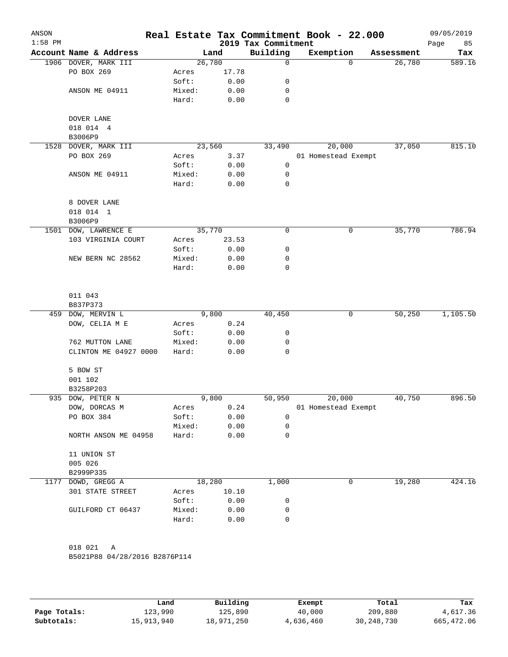| ANSON<br>$1:58$ PM |                                               |        |        | Real Estate Tax Commitment Book - 22.000<br>2019 Tax Commitment |                     |          |            | 09/05/2019<br>85<br>Page |
|--------------------|-----------------------------------------------|--------|--------|-----------------------------------------------------------------|---------------------|----------|------------|--------------------------|
|                    | Account Name & Address                        |        | Land   | Building                                                        | Exemption           |          | Assessment | Tax                      |
|                    | 1906 DOVER, MARK III                          | 26,780 |        | 0                                                               |                     | $\Omega$ | 26,780     | 589.16                   |
|                    | PO BOX 269                                    | Acres  | 17.78  |                                                                 |                     |          |            |                          |
|                    |                                               | Soft:  | 0.00   | 0                                                               |                     |          |            |                          |
|                    | ANSON ME 04911                                | Mixed: | 0.00   | 0                                                               |                     |          |            |                          |
|                    |                                               | Hard:  | 0.00   | 0                                                               |                     |          |            |                          |
|                    | DOVER LANE                                    |        |        |                                                                 |                     |          |            |                          |
|                    | 018 014 4                                     |        |        |                                                                 |                     |          |            |                          |
|                    | B3006P9                                       |        |        |                                                                 |                     |          |            |                          |
| 1528               | DOVER, MARK III                               | 23,560 |        | 33,490                                                          |                     | 20,000   | 37,050     | 815.10                   |
|                    | PO BOX 269                                    | Acres  | 3.37   |                                                                 | 01 Homestead Exempt |          |            |                          |
|                    |                                               | Soft:  | 0.00   | 0                                                               |                     |          |            |                          |
|                    | ANSON ME 04911                                | Mixed: | 0.00   | 0                                                               |                     |          |            |                          |
|                    |                                               | Hard:  | 0.00   | 0                                                               |                     |          |            |                          |
|                    | 8 DOVER LANE                                  |        |        |                                                                 |                     |          |            |                          |
|                    | 018 014 1                                     |        |        |                                                                 |                     |          |            |                          |
|                    | B3006P9                                       |        |        |                                                                 |                     |          |            |                          |
|                    | 1501 DOW, LAWRENCE E                          | 35,770 |        | 0                                                               |                     | 0        | 35,770     | 786.94                   |
|                    | 103 VIRGINIA COURT                            | Acres  | 23.53  |                                                                 |                     |          |            |                          |
|                    |                                               | Soft:  | 0.00   | 0                                                               |                     |          |            |                          |
|                    | NEW BERN NC 28562                             | Mixed: | 0.00   | 0                                                               |                     |          |            |                          |
|                    |                                               | Hard:  | 0.00   | 0                                                               |                     |          |            |                          |
|                    | 011 043                                       |        |        |                                                                 |                     |          |            |                          |
|                    | B837P373                                      |        |        |                                                                 |                     |          |            |                          |
| 459                | DOW, MERVIN L                                 |        | 9,800  | 40,450                                                          |                     | 0        | 50,250     | 1,105.50                 |
|                    | DOW, CELIA M E                                | Acres  | 0.24   |                                                                 |                     |          |            |                          |
|                    |                                               | Soft:  | 0.00   | 0                                                               |                     |          |            |                          |
|                    | 762 MUTTON LANE                               | Mixed: | 0.00   | 0                                                               |                     |          |            |                          |
|                    | CLINTON ME 04927 0000                         | Hard:  | 0.00   | 0                                                               |                     |          |            |                          |
|                    | 5 BOW ST                                      |        |        |                                                                 |                     |          |            |                          |
|                    | 001 102                                       |        |        |                                                                 |                     |          |            |                          |
|                    | B3258P203                                     |        |        |                                                                 |                     |          |            |                          |
|                    | 935 DOW, PETER N                              |        | 9,800  | 50,950                                                          |                     | 20,000   | 40,750     | 896.50                   |
|                    | DOW, DORCAS M                                 | Acres  | 0.24   |                                                                 | 01 Homestead Exempt |          |            |                          |
|                    | PO BOX 384                                    | Soft:  | 0.00   | 0                                                               |                     |          |            |                          |
|                    |                                               | Mixed: | 0.00   | $\mathbf 0$                                                     |                     |          |            |                          |
|                    | NORTH ANSON ME 04958                          | Hard:  | 0.00   | 0                                                               |                     |          |            |                          |
|                    | 11 UNION ST                                   |        |        |                                                                 |                     |          |            |                          |
|                    | 005 026                                       |        |        |                                                                 |                     |          |            |                          |
|                    | B2999P335                                     |        |        |                                                                 |                     |          |            |                          |
|                    | 1177 DOWD, GREGG A                            |        | 18,280 | 1,000                                                           |                     | 0        | 19,280     | 424.16                   |
|                    | 301 STATE STREET                              | Acres  | 10.10  |                                                                 |                     |          |            |                          |
|                    |                                               | Soft:  | 0.00   | 0                                                               |                     |          |            |                          |
|                    | GUILFORD CT 06437                             | Mixed: | 0.00   | 0                                                               |                     |          |            |                          |
|                    |                                               | Hard:  | 0.00   | 0                                                               |                     |          |            |                          |
|                    |                                               |        |        |                                                                 |                     |          |            |                          |
|                    | 018 021<br>Α<br>B5021P88 04/28/2016 B2876P114 |        |        |                                                                 |                     |          |            |                          |
|                    |                                               |        |        |                                                                 |                     |          |            |                          |
|                    |                                               |        |        |                                                                 |                     |          |            |                          |
|                    |                                               |        |        |                                                                 |                     |          |            |                          |

|              | Land       | Building   | Exempt    | Total        | Tax        |
|--------------|------------|------------|-----------|--------------|------------|
| Page Totals: | 123,990    | 125,890    | 40,000    | 209,880      | 4,617.36   |
| Subtotals:   | 15,913,940 | 18,971,250 | 4,636,460 | 30, 248, 730 | 665,472.06 |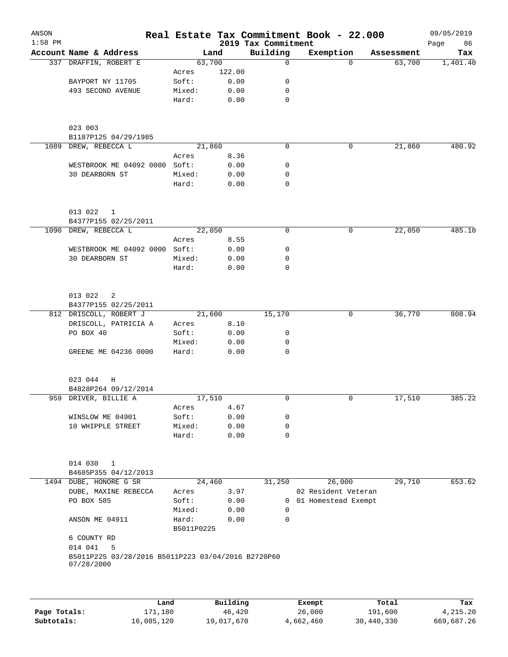| ANSON     |                                                                  |                     |                |                     | Real Estate Tax Commitment Book - 22.000 |            | 09/05/2019 |
|-----------|------------------------------------------------------------------|---------------------|----------------|---------------------|------------------------------------------|------------|------------|
| $1:58$ PM |                                                                  |                     |                | 2019 Tax Commitment |                                          |            | 86<br>Page |
|           | Account Name & Address                                           | Land                |                | Building            | Exemption                                | Assessment | Tax        |
|           | 337 DRAFFIN, ROBERT E                                            | 63,700              |                | $\mathbf 0$         | $\Omega$                                 | 63,700     | 1,401.40   |
|           | BAYPORT NY 11705                                                 | Acres<br>Soft:      | 122.00<br>0.00 | 0                   |                                          |            |            |
|           | 493 SECOND AVENUE                                                | Mixed:              | 0.00           | 0                   |                                          |            |            |
|           |                                                                  | Hard:               | 0.00           | 0                   |                                          |            |            |
|           |                                                                  |                     |                |                     |                                          |            |            |
|           | 023 003<br>B1187P125 04/29/1985                                  |                     |                |                     |                                          |            |            |
| 1089      | DREW, REBECCA L                                                  | 21,860              |                | $\mathbf 0$         | 0                                        | 21,860     | 480.92     |
|           |                                                                  | Acres               | 8.36           |                     |                                          |            |            |
|           | WESTBROOK ME 04092 0000 Soft:                                    |                     | 0.00           | 0                   |                                          |            |            |
|           | 30 DEARBORN ST                                                   | Mixed:              | 0.00           | 0                   |                                          |            |            |
|           |                                                                  | Hard:               | 0.00           | 0                   |                                          |            |            |
|           | 013 022<br>$\mathbf{1}$                                          |                     |                |                     |                                          |            |            |
|           | B4377P155 02/25/2011                                             |                     |                |                     |                                          |            |            |
|           | 1090 DREW, REBECCA L                                             | 22,050              |                | $\mathbf 0$         | 0                                        | 22,050     | 485.10     |
|           |                                                                  | Acres               | 8.55           |                     |                                          |            |            |
|           | WESTBROOK ME 04092 0000 Soft:                                    |                     | 0.00           | 0                   |                                          |            |            |
|           | 30 DEARBORN ST                                                   | Mixed:              | 0.00           | 0                   |                                          |            |            |
|           |                                                                  | Hard:               | 0.00           | $\mathbf 0$         |                                          |            |            |
|           | 013 022<br>2<br>B4377P155 02/25/2011                             |                     |                |                     |                                          |            |            |
|           | 812 DRISCOLL, ROBERT J                                           | 21,600              |                | 15,170              | 0                                        | 36,770     | 808.94     |
|           | DRISCOLL, PATRICIA A                                             | Acres               | 8.10           |                     |                                          |            |            |
|           | PO BOX 40                                                        | Soft:               | 0.00           | 0                   |                                          |            |            |
|           |                                                                  | Mixed:              | 0.00           | 0                   |                                          |            |            |
|           | GREENE ME 04236 0000                                             | Hard:               | 0.00           | $\Omega$            |                                          |            |            |
|           | 023 044<br>Н                                                     |                     |                |                     |                                          |            |            |
|           | B4828P264 09/12/2014                                             |                     |                |                     |                                          |            |            |
|           | 959 DRIVER, BILLIE A                                             | 17,510              |                | 0                   | $\mathbf 0$                              | 17,510     | 385.22     |
|           |                                                                  | Acres               | 4.67           |                     |                                          |            |            |
|           | WINSLOW ME 04901                                                 | Soft:               | 0.00           | 0                   |                                          |            |            |
|           | 10 WHIPPLE STREET                                                | Mixed:              | 0.00           | $\Omega$            |                                          |            |            |
|           |                                                                  | Hard:               | 0.00           | $\mathbf 0$         |                                          |            |            |
|           | 014 030<br>1                                                     |                     |                |                     |                                          |            |            |
|           | B4685P355 04/12/2013                                             |                     |                |                     |                                          |            |            |
|           | 1494 DUBE, HONORE G SR                                           | 24,460              |                | 31,250              | 26,000                                   | 29,710     | 653.62     |
|           | DUBE, MAXINE REBECCA                                             | Acres               | 3.97           |                     | 02 Resident Veteran                      |            |            |
|           | PO BOX 585                                                       | Soft:               | 0.00           | $\overline{0}$      | 01 Homestead Exempt                      |            |            |
|           |                                                                  | Mixed:              | 0.00           | 0                   |                                          |            |            |
|           | ANSON ME 04911                                                   | Hard:<br>B5011P0225 | 0.00           | 0                   |                                          |            |            |
|           | 6 COUNTY RD<br>014 041<br>5                                      |                     |                |                     |                                          |            |            |
|           | B5011P225 03/28/2016 B5011P223 03/04/2016 B2720P60<br>07/28/2000 |                     |                |                     |                                          |            |            |
|           |                                                                  |                     |                |                     |                                          |            |            |
|           |                                                                  |                     |                |                     |                                          |            |            |

|              | Land       | Building   | Exempt    | Total      | Tax        |
|--------------|------------|------------|-----------|------------|------------|
| Page Totals: | 171,180    | 46,420     | 26,000    | 191,600    | 4, 215, 20 |
| Subtotals:   | 16,085,120 | 19,017,670 | 4,662,460 | 30,440,330 | 669,687.26 |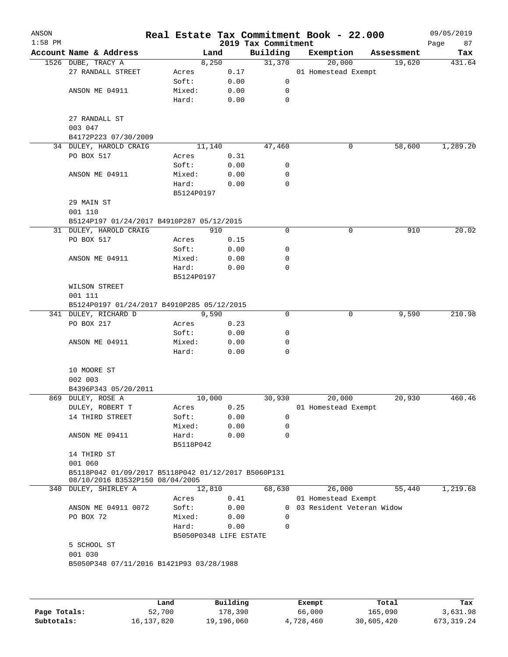| ANSON<br>$1:58$ PM |                                                                                        |                        |              |                                 | Real Estate Tax Commitment Book - 22.000 |            | 09/05/2019        |
|--------------------|----------------------------------------------------------------------------------------|------------------------|--------------|---------------------------------|------------------------------------------|------------|-------------------|
|                    | Account Name & Address                                                                 | Land                   |              | 2019 Tax Commitment<br>Building | Exemption                                | Assessment | Page<br>87<br>Tax |
|                    | 1526 DUBE, TRACY A                                                                     | 8,250                  |              | 31,370                          | 20,000                                   | 19,620     | 431.64            |
|                    | 27 RANDALL STREET                                                                      | Acres                  | 0.17         |                                 | 01 Homestead Exempt                      |            |                   |
|                    |                                                                                        | Soft:                  | 0.00         | 0                               |                                          |            |                   |
|                    | ANSON ME 04911                                                                         | Mixed:                 | 0.00         | 0                               |                                          |            |                   |
|                    |                                                                                        | Hard:                  | 0.00         | 0                               |                                          |            |                   |
|                    | 27 RANDALL ST<br>003 047                                                               |                        |              |                                 |                                          |            |                   |
|                    | B4172P223 07/30/2009                                                                   |                        |              |                                 |                                          |            |                   |
|                    | 34 DULEY, HAROLD CRAIG                                                                 | 11,140                 |              | 47,460                          | 0                                        | 58,600     | 1,289.20          |
|                    | PO BOX 517                                                                             | Acres                  | 0.31         |                                 |                                          |            |                   |
|                    |                                                                                        | Soft:                  | 0.00         | 0                               |                                          |            |                   |
|                    | ANSON ME 04911                                                                         | Mixed:                 | 0.00         | 0                               |                                          |            |                   |
|                    |                                                                                        | Hard:                  | 0.00         | 0                               |                                          |            |                   |
|                    |                                                                                        | B5124P0197             |              |                                 |                                          |            |                   |
|                    | 29 MAIN ST                                                                             |                        |              |                                 |                                          |            |                   |
|                    | 001 110                                                                                |                        |              |                                 |                                          |            |                   |
|                    | B5124P197 01/24/2017 B4910P287 05/12/2015                                              |                        |              |                                 |                                          |            |                   |
|                    | 31 DULEY, HAROLD CRAIG                                                                 |                        | 910          | 0                               | 0                                        | 910        | 20.02             |
|                    | PO BOX 517                                                                             | Acres                  | 0.15         |                                 |                                          |            |                   |
|                    |                                                                                        | Soft:                  | 0.00         | 0                               |                                          |            |                   |
|                    | ANSON ME 04911                                                                         | Mixed:                 | 0.00         | 0                               |                                          |            |                   |
|                    |                                                                                        | Hard:                  | 0.00         | 0                               |                                          |            |                   |
|                    |                                                                                        |                        |              |                                 |                                          |            |                   |
|                    | WILSON STREET                                                                          | B5124P0197             |              |                                 |                                          |            |                   |
|                    | 001 111                                                                                |                        |              |                                 |                                          |            |                   |
|                    | B5124P0197 01/24/2017 B4910P285 05/12/2015                                             |                        |              |                                 |                                          |            |                   |
|                    | 341 DULEY, RICHARD D                                                                   | 9,590                  |              | 0                               | 0                                        | 9,590      | 210.98            |
|                    | PO BOX 217                                                                             | Acres                  | 0.23         |                                 |                                          |            |                   |
|                    |                                                                                        |                        |              |                                 |                                          |            |                   |
|                    |                                                                                        | Soft:                  | 0.00         | 0                               |                                          |            |                   |
|                    | ANSON ME 04911                                                                         | Mixed:<br>Hard:        | 0.00<br>0.00 | 0<br>0                          |                                          |            |                   |
|                    |                                                                                        |                        |              |                                 |                                          |            |                   |
|                    | 10 MOORE ST                                                                            |                        |              |                                 |                                          |            |                   |
|                    | 002 003                                                                                |                        |              |                                 |                                          |            |                   |
|                    | B4396P343 05/20/2011                                                                   |                        |              |                                 |                                          |            |                   |
|                    | 869 DULEY, ROSE A                                                                      | 10,000                 |              | 30,930                          | 20,000                                   | 20,930     | 460.46            |
|                    | DULEY, ROBERT T                                                                        | Acres                  | 0.25         |                                 | 01 Homestead Exempt                      |            |                   |
|                    | 14 THIRD STREET                                                                        | Soft:                  | 0.00         | 0                               |                                          |            |                   |
|                    |                                                                                        | Mixed:                 | 0.00         | 0                               |                                          |            |                   |
|                    | ANSON ME 09411                                                                         | Hard:                  | 0.00         | 0                               |                                          |            |                   |
|                    |                                                                                        | B5118P042              |              |                                 |                                          |            |                   |
|                    | 14 THIRD ST                                                                            |                        |              |                                 |                                          |            |                   |
|                    | 001 060                                                                                |                        |              |                                 |                                          |            |                   |
|                    | B5118P042 01/09/2017 B5118P042 01/12/2017 B5060P131<br>08/10/2016 B3532P150 08/04/2005 |                        |              |                                 |                                          |            |                   |
|                    | 340 DULEY, SHIRLEY A                                                                   | 12,810                 |              | 68,630                          | 26,000                                   | 55,440     | 1,219.68          |
|                    |                                                                                        | Acres                  | 0.41         |                                 | 01 Homestead Exempt                      |            |                   |
|                    | ANSON ME 04911 0072                                                                    | Soft:                  | 0.00         | 0                               | 03 Resident Veteran Widow                |            |                   |
|                    | PO BOX 72                                                                              | Mixed:                 | 0.00         | 0                               |                                          |            |                   |
|                    |                                                                                        | Hard:                  | 0.00         | 0                               |                                          |            |                   |
|                    |                                                                                        | B5050P0348 LIFE ESTATE |              |                                 |                                          |            |                   |
|                    | 5 SCHOOL ST                                                                            |                        |              |                                 |                                          |            |                   |
|                    | 001 030                                                                                |                        |              |                                 |                                          |            |                   |
|                    | B5050P348 07/11/2016 B1421P93 03/28/1988                                               |                        |              |                                 |                                          |            |                   |
|                    |                                                                                        |                        |              |                                 |                                          |            |                   |
|                    |                                                                                        |                        |              |                                 |                                          |            |                   |
|                    |                                                                                        |                        |              |                                 |                                          |            |                   |
|                    |                                                                                        |                        |              |                                 |                                          |            |                   |

|              | Land         | Building   | Exempt    | Total      | Tax         |
|--------------|--------------|------------|-----------|------------|-------------|
| Page Totals: | 52,700       | 178,390    | 66,000    | 165,090    | 3,631.98    |
| Subtotals:   | 16, 137, 820 | 19,196,060 | 4,728,460 | 30,605,420 | 673, 319.24 |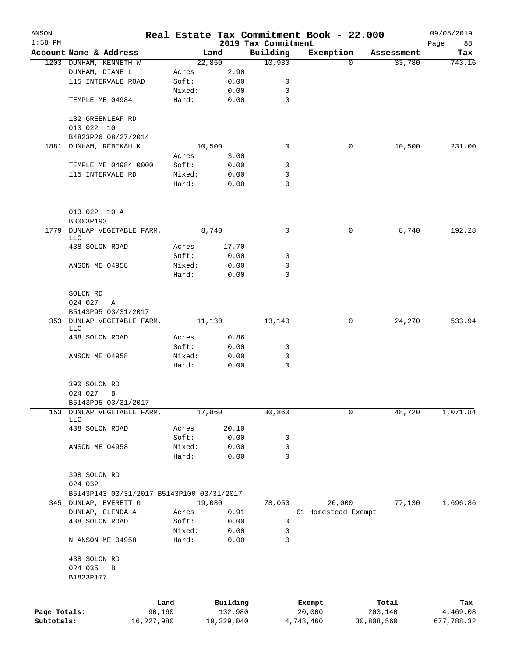| ANSON        |                                             |        |            |                                 | Real Estate Tax Commitment Book - 22.000 |            | 09/05/2019        |
|--------------|---------------------------------------------|--------|------------|---------------------------------|------------------------------------------|------------|-------------------|
| $1:58$ PM    | Account Name & Address                      |        | Land       | 2019 Tax Commitment<br>Building | Exemption                                | Assessment | Page<br>88<br>Tax |
|              | 1203 DUNHAM, KENNETH W                      |        | 22,850     | 10,930                          | 0                                        | 33,780     | 743.16            |
|              | DUNHAM, DIANE L                             | Acres  | 2.90       |                                 |                                          |            |                   |
|              | 115 INTERVALE ROAD                          | Soft:  | 0.00       | 0                               |                                          |            |                   |
|              |                                             | Mixed: | 0.00       | $\mathbf 0$                     |                                          |            |                   |
|              | TEMPLE ME 04984                             | Hard:  | 0.00       | $\mathbf 0$                     |                                          |            |                   |
|              | 132 GREENLEAF RD                            |        |            |                                 |                                          |            |                   |
|              | 013 022 10                                  |        |            |                                 |                                          |            |                   |
|              | B4823P26 08/27/2014                         |        |            |                                 |                                          |            |                   |
|              | 1881 DUNHAM, REBEKAH K                      |        | 10,500     | 0                               | 0                                        | 10,500     | 231.00            |
|              |                                             | Acres  | 3.00       |                                 |                                          |            |                   |
|              | TEMPLE ME 04984 0000                        | Soft:  | 0.00       | 0                               |                                          |            |                   |
|              | 115 INTERVALE RD                            | Mixed: | 0.00       | 0                               |                                          |            |                   |
|              |                                             | Hard:  | 0.00       | 0                               |                                          |            |                   |
|              | 013 022 10 A<br>B3003P193                   |        |            |                                 |                                          |            |                   |
| 1779         | DUNLAP VEGETABLE FARM,                      |        | 8,740      | 0                               | 0                                        | 8,740      | 192.28            |
|              | <b>LLC</b><br>438 SOLON ROAD                |        |            |                                 |                                          |            |                   |
|              |                                             | Acres  | 17.70      |                                 |                                          |            |                   |
|              |                                             | Soft:  | 0.00       | 0                               |                                          |            |                   |
|              | ANSON ME 04958                              | Mixed: | 0.00       | 0<br>$\Omega$                   |                                          |            |                   |
|              |                                             | Hard:  | 0.00       |                                 |                                          |            |                   |
|              | SOLON RD                                    |        |            |                                 |                                          |            |                   |
|              | 024 027<br>Α                                |        |            |                                 |                                          |            |                   |
|              | B5143P95 03/31/2017                         |        |            |                                 |                                          |            |                   |
| 353          | <b>DUNLAP VEGETABLE FARM,</b><br><b>LLC</b> |        | 11,130     |                                 | 0                                        | 24,270     | 533.94            |
|              | 438 SOLON ROAD                              | Acres  | 0.86       |                                 |                                          |            |                   |
|              |                                             | Soft:  | 0.00       | 0                               |                                          |            |                   |
|              | ANSON ME 04958                              | Mixed: | 0.00       | 0                               |                                          |            |                   |
|              |                                             | Hard:  | 0.00       | $\mathbf 0$                     |                                          |            |                   |
|              | 390 SOLON RD<br>024 027<br>B                |        |            |                                 |                                          |            |                   |
|              | B5143P95 03/31/2017                         |        |            |                                 |                                          |            |                   |
| 153          | DUNLAP VEGETABLE FARM,                      |        | 17,860     | 30,860                          | 0                                        | 48,720     | 1,071.84          |
|              | <b>LLC</b>                                  |        |            |                                 |                                          |            |                   |
|              | 438 SOLON ROAD                              | Acres  | 20.10      |                                 |                                          |            |                   |
|              |                                             | Soft:  | 0.00       | 0                               |                                          |            |                   |
|              | ANSON ME 04958                              | Mixed: | 0.00       | 0                               |                                          |            |                   |
|              |                                             | Hard:  | 0.00       | $\mathbf 0$                     |                                          |            |                   |
|              | 398 SOLON RD<br>024 032                     |        |            |                                 |                                          |            |                   |
|              | B5143P143 03/31/2017 B5143P100 03/31/2017   |        |            |                                 |                                          |            |                   |
|              | 345 DUNLAP, EVERETT G                       |        | 19,080     | 78,050                          | 20,000                                   | 77,130     | 1,696.86          |
|              | DUNLAP, GLENDA A                            | Acres  | 0.91       |                                 | 01 Homestead Exempt                      |            |                   |
|              | 438 SOLON ROAD                              | Soft:  | 0.00       | 0                               |                                          |            |                   |
|              |                                             | Mixed: | 0.00       | 0                               |                                          |            |                   |
|              | N ANSON ME 04958                            | Hard:  | 0.00       | 0                               |                                          |            |                   |
|              | 438 SOLON RD                                |        |            |                                 |                                          |            |                   |
|              | 024 035<br>В                                |        |            |                                 |                                          |            |                   |
|              | B1833P177                                   |        |            |                                 |                                          |            |                   |
|              |                                             | Land   | Building   |                                 | Exempt                                   | Total      | Tax               |
| Page Totals: |                                             | 90,160 | 132,980    |                                 | 20,000                                   | 203,140    | 4,469.08          |
| Subtotals:   | 16,227,980                                  |        | 19,329,040 |                                 | 4,748,460                                | 30,808,560 | 677,788.32        |
|              |                                             |        |            |                                 |                                          |            |                   |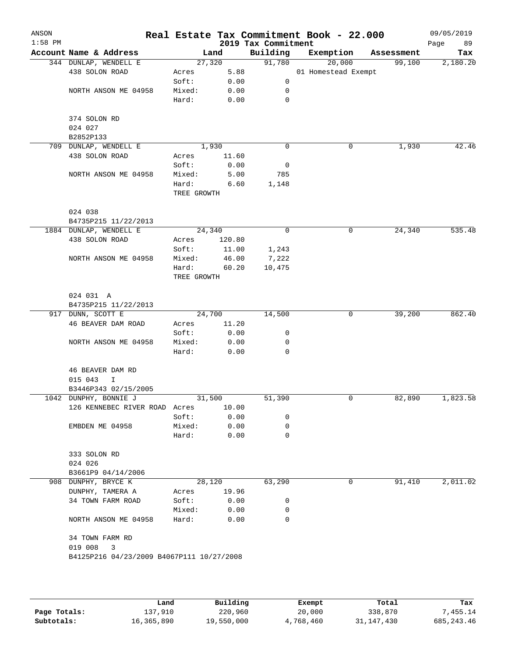| ANSON<br>$1:58$ PM |                                           |                      |        | 2019 Tax Commitment | Real Estate Tax Commitment Book - 22.000 |            | 09/05/2019<br>89<br>Page |
|--------------------|-------------------------------------------|----------------------|--------|---------------------|------------------------------------------|------------|--------------------------|
|                    | Account Name & Address                    |                      | Land   | Building            | Exemption                                | Assessment | Tax                      |
|                    | 344 DUNLAP, WENDELL E                     |                      | 27,320 | 91,780              | 20,000                                   | 99,100     | 2,180.20                 |
|                    | 438 SOLON ROAD                            | Acres                | 5.88   |                     | 01 Homestead Exempt                      |            |                          |
|                    |                                           | Soft:                | 0.00   | 0                   |                                          |            |                          |
|                    | NORTH ANSON ME 04958                      | Mixed:               | 0.00   | 0                   |                                          |            |                          |
|                    |                                           | Hard:                | 0.00   | 0                   |                                          |            |                          |
|                    | 374 SOLON RD                              |                      |        |                     |                                          |            |                          |
|                    | 024 027                                   |                      |        |                     |                                          |            |                          |
|                    | B2852P133                                 |                      |        |                     |                                          |            |                          |
|                    | 709 DUNLAP, WENDELL E                     |                      | 1,930  | 0                   | 0                                        | 1,930      | 42.46                    |
|                    | 438 SOLON ROAD                            | Acres                | 11.60  |                     |                                          |            |                          |
|                    |                                           | Soft:                | 0.00   | 0                   |                                          |            |                          |
|                    | NORTH ANSON ME 04958                      | Mixed:               | 5.00   | 785                 |                                          |            |                          |
|                    |                                           | Hard:<br>TREE GROWTH | 6.60   | 1,148               |                                          |            |                          |
|                    |                                           |                      |        |                     |                                          |            |                          |
|                    | 024 038<br>B4735P215 11/22/2013           |                      |        |                     |                                          |            |                          |
|                    | 1884 DUNLAP, WENDELL E                    |                      | 24,340 | 0                   | 0                                        | 24,340     | 535.48                   |
|                    | 438 SOLON ROAD                            | Acres                | 120.80 |                     |                                          |            |                          |
|                    |                                           | Soft:                | 11.00  | 1,243               |                                          |            |                          |
|                    | NORTH ANSON ME 04958                      | Mixed:               | 46.00  | 7,222               |                                          |            |                          |
|                    |                                           | Hard:                | 60.20  | 10,475              |                                          |            |                          |
|                    |                                           | TREE GROWTH          |        |                     |                                          |            |                          |
|                    | 024 031 A                                 |                      |        |                     |                                          |            |                          |
|                    | B4735P215 11/22/2013                      |                      |        |                     |                                          |            |                          |
|                    | 917 DUNN, SCOTT E                         |                      | 24,700 | 14,500              | 0                                        | 39,200     | 862.40                   |
|                    | 46 BEAVER DAM ROAD                        | Acres                | 11.20  |                     |                                          |            |                          |
|                    |                                           | Soft:                | 0.00   | 0                   |                                          |            |                          |
|                    | NORTH ANSON ME 04958                      | Mixed:               | 0.00   | 0                   |                                          |            |                          |
|                    |                                           | Hard:                | 0.00   | $\mathbf 0$         |                                          |            |                          |
|                    | 46 BEAVER DAM RD                          |                      |        |                     |                                          |            |                          |
|                    | 015 043<br>I                              |                      |        |                     |                                          |            |                          |
|                    | B3446P343 02/15/2005                      |                      |        |                     |                                          |            |                          |
|                    | 1042 DUNPHY, BONNIE J                     |                      | 31,500 | 51,390              | 0                                        | 82,890     | 1,823.58                 |
|                    | 126 KENNEBEC RIVER ROAD Acres             |                      | 10.00  |                     |                                          |            |                          |
|                    |                                           | Soft:                | 0.00   | 0                   |                                          |            |                          |
|                    | EMBDEN ME 04958                           | Mixed:               | 0.00   | 0                   |                                          |            |                          |
|                    |                                           | Hard:                | 0.00   | 0                   |                                          |            |                          |
|                    | 333 SOLON RD                              |                      |        |                     |                                          |            |                          |
|                    | 024 026                                   |                      |        |                     |                                          |            |                          |
|                    | B3661P9 04/14/2006                        |                      |        |                     |                                          |            |                          |
|                    | 908 DUNPHY, BRYCE K                       |                      | 28,120 | 63,290              | 0                                        | 91,410     | 2,011.02                 |
|                    | DUNPHY, TAMERA A                          | Acres                | 19.96  |                     |                                          |            |                          |
|                    | 34 TOWN FARM ROAD                         | Soft:                | 0.00   | 0                   |                                          |            |                          |
|                    |                                           | Mixed:               | 0.00   | 0                   |                                          |            |                          |
|                    | NORTH ANSON ME 04958                      | Hard:                | 0.00   | $\mathbf 0$         |                                          |            |                          |
|                    | 34 TOWN FARM RD                           |                      |        |                     |                                          |            |                          |
|                    | 019 008<br>3                              |                      |        |                     |                                          |            |                          |
|                    | B4125P216 04/23/2009 B4067P111 10/27/2008 |                      |        |                     |                                          |            |                          |
|                    |                                           |                      |        |                     |                                          |            |                          |
|                    |                                           |                      |        |                     |                                          |            |                          |
|                    |                                           |                      |        |                     |                                          |            |                          |

|              | Land       | Building   |           |            |              |
|--------------|------------|------------|-----------|------------|--------------|
|              |            |            | Exempt    | Total      | Tax          |
| Page Totals: | 137,910    | 220,960    | 20,000    | 338,870    | 7,455.14     |
| Subtotals:   | 16,365,890 | 19,550,000 | 4,768,460 | 31,147,430 | 685, 243, 46 |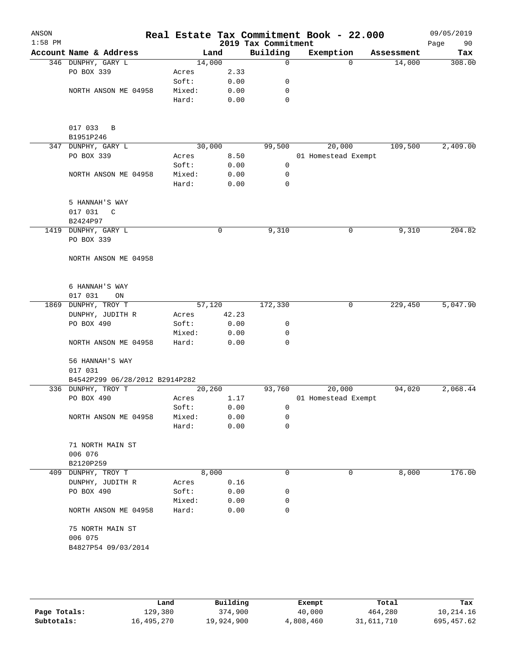| ANSON<br>$1:58$ PM |                                |                |              | 2019 Tax Commitment | Real Estate Tax Commitment Book - 22.000 |            | 09/05/2019<br>Page<br>90 |
|--------------------|--------------------------------|----------------|--------------|---------------------|------------------------------------------|------------|--------------------------|
|                    | Account Name & Address         | Land           |              | Building            | Exemption                                | Assessment | Tax                      |
|                    | 346 DUNPHY, GARY L             | 14,000         |              | $\Omega$            | $\Omega$                                 | 14,000     | 308.00                   |
|                    | PO BOX 339                     | Acres          | 2.33         |                     |                                          |            |                          |
|                    |                                | Soft:          | 0.00         | 0                   |                                          |            |                          |
|                    | NORTH ANSON ME 04958           | Mixed:         | 0.00         | $\mathbf 0$         |                                          |            |                          |
|                    |                                | Hard:          | 0.00         | $\mathbf 0$         |                                          |            |                          |
|                    | 017 033<br>$\overline{B}$      |                |              |                     |                                          |            |                          |
|                    | B1951P246                      |                |              |                     |                                          |            |                          |
|                    | 347 DUNPHY, GARY L             | 30,000         |              | 99,500              | 20,000                                   | 109,500    | 2,409.00                 |
|                    | PO BOX 339                     | Acres          | 8.50         |                     | 01 Homestead Exempt                      |            |                          |
|                    |                                | Soft:          | 0.00         | 0                   |                                          |            |                          |
|                    | NORTH ANSON ME 04958           | Mixed:         | 0.00         | 0                   |                                          |            |                          |
|                    |                                | Hard:          | 0.00         | $\mathbf 0$         |                                          |            |                          |
|                    | 5 HANNAH'S WAY                 |                |              |                     |                                          |            |                          |
|                    | 017 031<br>$\overline{C}$      |                |              |                     |                                          |            |                          |
|                    | B2424P97                       |                |              |                     |                                          |            |                          |
|                    | 1419 DUNPHY, GARY L            |                | 0            | 9,310               | 0                                        | 9,310      | 204.82                   |
|                    | PO BOX 339                     |                |              |                     |                                          |            |                          |
|                    | NORTH ANSON ME 04958           |                |              |                     |                                          |            |                          |
|                    | 6 HANNAH'S WAY                 |                |              |                     |                                          |            |                          |
|                    | 017 031<br>ON                  |                |              |                     |                                          |            |                          |
| 1869               | DUNPHY, TROY T                 | 57,120         |              | 172,330             | 0                                        | 229,450    | 5,047.90                 |
|                    | DUNPHY, JUDITH R               | Acres          | 42.23        |                     |                                          |            |                          |
|                    | PO BOX 490                     | Soft:          | 0.00         | 0                   |                                          |            |                          |
|                    |                                | Mixed:         | 0.00         | 0                   |                                          |            |                          |
|                    | NORTH ANSON ME 04958           | Hard:          | 0.00         | $\mathbf 0$         |                                          |            |                          |
|                    | 56 HANNAH'S WAY                |                |              |                     |                                          |            |                          |
|                    | 017 031                        |                |              |                     |                                          |            |                          |
|                    | B4542P299 06/28/2012 B2914P282 |                |              |                     |                                          |            |                          |
|                    | 336 DUNPHY, TROY T             | 20,260         |              | 93,760              | 20,000                                   | 94,020     | 2,068.44                 |
|                    | PO BOX 490                     | Acres<br>Soft: | 1.17<br>0.00 | 0                   | 01 Homestead Exempt                      |            |                          |
|                    | NORTH ANSON ME 04958           | Mixed:         | 0.00         | 0                   |                                          |            |                          |
|                    |                                | Hard:          | 0.00         | $\mathbf 0$         |                                          |            |                          |
|                    | 71 NORTH MAIN ST               |                |              |                     |                                          |            |                          |
|                    | 006 076<br>B2120P259           |                |              |                     |                                          |            |                          |
|                    | 409 DUNPHY, TROY T             | 8,000          |              | 0                   | 0                                        | 8,000      | 176.00                   |
|                    | DUNPHY, JUDITH R               | Acres          | 0.16         |                     |                                          |            |                          |
|                    | PO BOX 490                     | Soft:          | 0.00         | 0                   |                                          |            |                          |
|                    |                                | Mixed:         | 0.00         | 0                   |                                          |            |                          |
|                    | NORTH ANSON ME 04958           | Hard:          | 0.00         | 0                   |                                          |            |                          |
|                    | 75 NORTH MAIN ST               |                |              |                     |                                          |            |                          |
|                    | 006 075                        |                |              |                     |                                          |            |                          |
|                    | B4827P54 09/03/2014            |                |              |                     |                                          |            |                          |
|                    |                                |                |              |                     |                                          |            |                          |
|                    |                                |                |              |                     |                                          |            |                          |
|                    |                                |                |              |                     |                                          |            |                          |

|              | Land       | Building   | Exempt    | Total      | Tax         |
|--------------|------------|------------|-----------|------------|-------------|
| Page Totals: | 129,380    | 374,900    | 40,000    | 464,280    | 10,214.16   |
| Subtotals:   | 16,495,270 | 19,924,900 | 4,808,460 | 31,611,710 | 695, 457.62 |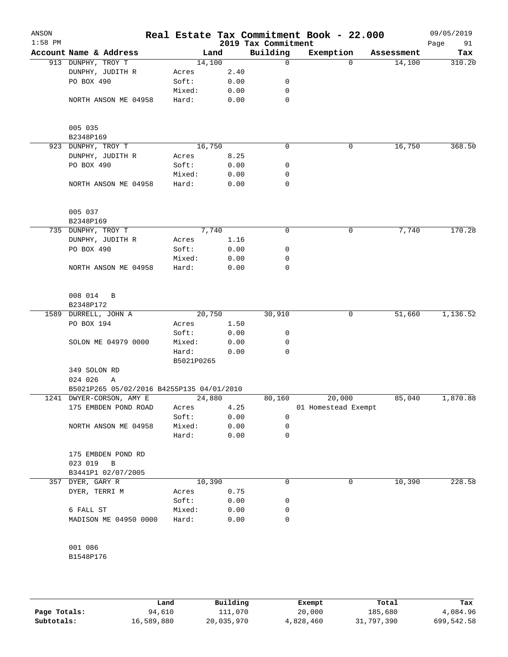| ANSON<br>$1:58$ PM |                                           |                     |      | 2019 Tax Commitment | Real Estate Tax Commitment Book - 22.000 |            | 09/05/2019<br>Page<br>91 |
|--------------------|-------------------------------------------|---------------------|------|---------------------|------------------------------------------|------------|--------------------------|
|                    | Account Name & Address                    | Land                |      | Building            | Exemption                                | Assessment | Tax                      |
|                    | 913 DUNPHY, TROY T                        | 14,100              |      | $\mathsf{O}$        | $\Omega$                                 | 14,100     | 310.20                   |
|                    | DUNPHY, JUDITH R                          | Acres               | 2.40 |                     |                                          |            |                          |
|                    | PO BOX 490                                | Soft:               | 0.00 | 0                   |                                          |            |                          |
|                    |                                           | Mixed:              | 0.00 | 0                   |                                          |            |                          |
|                    | NORTH ANSON ME 04958                      | Hard:               | 0.00 | 0                   |                                          |            |                          |
|                    | 005 035<br>B2348P169                      |                     |      |                     |                                          |            |                          |
|                    | 923 DUNPHY, TROY T                        | 16,750              |      | $\mathbf 0$         | 0                                        | 16,750     | 368.50                   |
|                    | DUNPHY, JUDITH R                          | Acres               | 8.25 |                     |                                          |            |                          |
|                    | PO BOX 490                                | Soft:               | 0.00 | 0                   |                                          |            |                          |
|                    |                                           | Mixed:              | 0.00 | 0                   |                                          |            |                          |
|                    | NORTH ANSON ME 04958                      | Hard:               | 0.00 | 0                   |                                          |            |                          |
|                    | 005 037                                   |                     |      |                     |                                          |            |                          |
|                    | B2348P169                                 |                     |      |                     |                                          |            |                          |
|                    | 735 DUNPHY, TROY T                        | 7,740               |      | $\mathbf 0$         | 0                                        | 7,740      | 170.28                   |
|                    | DUNPHY, JUDITH R                          | Acres               | 1.16 |                     |                                          |            |                          |
|                    | PO BOX 490                                | Soft:               | 0.00 | 0                   |                                          |            |                          |
|                    |                                           | Mixed:              | 0.00 | 0                   |                                          |            |                          |
|                    | NORTH ANSON ME 04958                      | Hard:               | 0.00 | $\mathbf 0$         |                                          |            |                          |
|                    | 008 014<br>B<br>B2348P172                 |                     |      |                     |                                          |            |                          |
|                    | 1589 DURRELL, JOHN A                      | 20,750              |      | 30,910              | 0                                        | 51,660     | 1,136.52                 |
|                    | PO BOX 194                                | Acres               | 1.50 |                     |                                          |            |                          |
|                    |                                           | Soft:               | 0.00 | 0                   |                                          |            |                          |
|                    | SOLON ME 04979 0000                       | Mixed:              | 0.00 | 0                   |                                          |            |                          |
|                    |                                           | Hard:<br>B5021P0265 | 0.00 | 0                   |                                          |            |                          |
|                    | 349 SOLON RD                              |                     |      |                     |                                          |            |                          |
|                    | 024 026<br>Α                              |                     |      |                     |                                          |            |                          |
|                    | B5021P265 05/02/2016 B4255P135 04/01/2010 |                     |      |                     |                                          |            |                          |
|                    | 1241 DWYER-CORSON, AMY E                  | 24,880              |      | 80,160              | 20,000                                   | 85,040     | 1,870.88                 |
|                    | 175 EMBDEN POND ROAD                      | Acres               | 4.25 |                     | 01 Homestead Exempt                      |            |                          |
|                    |                                           | Soft:               | 0.00 | 0                   |                                          |            |                          |
|                    | NORTH ANSON ME 04958                      | Mixed:              | 0.00 | 0                   |                                          |            |                          |
|                    |                                           | Hard:               | 0.00 | 0                   |                                          |            |                          |
|                    | 175 EMBDEN POND RD<br>023 019<br>В        |                     |      |                     |                                          |            |                          |
|                    | B3441P1 02/07/2005                        |                     |      |                     |                                          |            |                          |
|                    | 357 DYER, GARY R                          | 10,390              |      | 0                   | 0                                        | 10,390     | 228.58                   |
|                    | DYER, TERRI M                             | Acres               | 0.75 |                     |                                          |            |                          |
|                    |                                           | Soft:               | 0.00 | 0                   |                                          |            |                          |
|                    | 6 FALL ST                                 | Mixed:              | 0.00 | 0                   |                                          |            |                          |
|                    | MADISON ME 04950 0000                     | Hard:               | 0.00 | 0                   |                                          |            |                          |
|                    | 001 086                                   |                     |      |                     |                                          |            |                          |
|                    | B1548P176                                 |                     |      |                     |                                          |            |                          |
|                    |                                           |                     |      |                     |                                          |            |                          |

|              | Land       | Building   | Exempt    | Total      | Tax        |
|--------------|------------|------------|-----------|------------|------------|
| Page Totals: | 94,610     | 111,070    | 20,000    | 185,680    | 4,084.96   |
| Subtotals:   | 16,589,880 | 20,035,970 | 4,828,460 | 31,797,390 | 699,542.58 |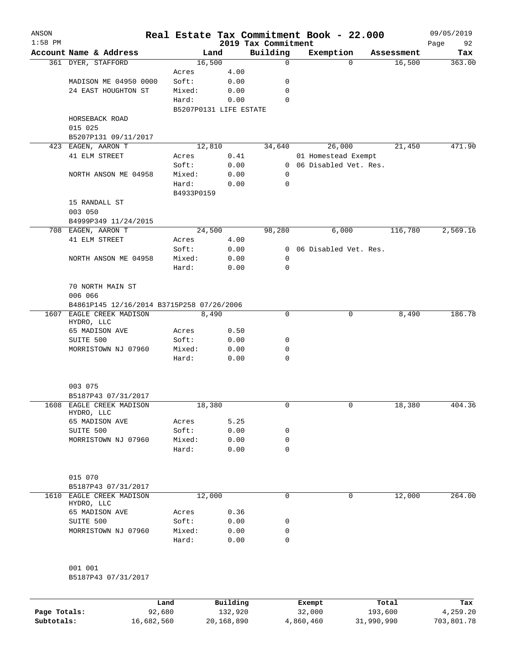| ANSON<br>$1:58$ PM |                                           |                        |                      | Real Estate Tax Commitment Book - 22.000<br>2019 Tax Commitment |                         |                     |            | 09/05/2019<br>Page<br>92 |
|--------------------|-------------------------------------------|------------------------|----------------------|-----------------------------------------------------------------|-------------------------|---------------------|------------|--------------------------|
|                    | Account Name & Address                    |                        | Land                 | Building                                                        | Exemption               |                     | Assessment | Tax                      |
|                    | 361 DYER, STAFFORD                        | 16,500                 |                      | $\mathbf 0$                                                     |                         | 0                   | 16,500     | 363.00                   |
|                    |                                           | Acres                  | 4.00                 |                                                                 |                         |                     |            |                          |
|                    | MADISON ME 04950 0000                     | Soft:                  | 0.00                 | 0                                                               |                         |                     |            |                          |
|                    | 24 EAST HOUGHTON ST                       | Mixed:                 | 0.00                 | 0                                                               |                         |                     |            |                          |
|                    |                                           | Hard:                  | 0.00                 | $\Omega$                                                        |                         |                     |            |                          |
|                    |                                           | B5207P0131 LIFE ESTATE |                      |                                                                 |                         |                     |            |                          |
|                    | HORSEBACK ROAD                            |                        |                      |                                                                 |                         |                     |            |                          |
|                    | 015 025                                   |                        |                      |                                                                 |                         |                     |            |                          |
|                    | B5207P131 09/11/2017                      |                        |                      |                                                                 |                         |                     |            |                          |
| 423                | EAGEN, AARON T                            | 12,810                 |                      | 34,640                                                          |                         | 26,000              | 21,450     | 471.90                   |
|                    | 41 ELM STREET                             | Acres                  | 0.41                 |                                                                 |                         | 01 Homestead Exempt |            |                          |
|                    |                                           | Soft:                  | 0.00                 | $\mathbf{0}$                                                    | 06 Disabled Vet. Res.   |                     |            |                          |
|                    | NORTH ANSON ME 04958                      | Mixed:                 | 0.00                 | 0                                                               |                         |                     |            |                          |
|                    |                                           | Hard:                  | 0.00                 | 0                                                               |                         |                     |            |                          |
|                    |                                           | B4933P0159             |                      |                                                                 |                         |                     |            |                          |
|                    | 15 RANDALL ST                             |                        |                      |                                                                 |                         |                     |            |                          |
|                    | 003 050                                   |                        |                      |                                                                 |                         |                     |            |                          |
|                    | B4999P349 11/24/2015                      |                        |                      |                                                                 |                         |                     |            |                          |
|                    | 708 EAGEN, AARON T                        | 24,500                 |                      | 98,280                                                          |                         | 6,000               | 116,780    | 2,569.16                 |
|                    | 41 ELM STREET                             | Acres                  | 4.00                 |                                                                 |                         |                     |            |                          |
|                    |                                           | Soft:                  | 0.00                 |                                                                 | 0 06 Disabled Vet. Res. |                     |            |                          |
|                    | NORTH ANSON ME 04958                      | Mixed:                 | 0.00                 | 0                                                               |                         |                     |            |                          |
|                    |                                           | Hard:                  | 0.00                 | 0                                                               |                         |                     |            |                          |
|                    |                                           |                        |                      |                                                                 |                         |                     |            |                          |
|                    | 70 NORTH MAIN ST                          |                        |                      |                                                                 |                         |                     |            |                          |
|                    | 006 066                                   |                        |                      |                                                                 |                         |                     |            |                          |
|                    | B4861P145 12/16/2014 B3715P258 07/26/2006 |                        |                      |                                                                 |                         |                     |            |                          |
| 1607               | EAGLE CREEK MADISON<br>HYDRO, LLC         |                        | 8,490                | 0                                                               |                         | 0                   | 8,490      | 186.78                   |
|                    | 65 MADISON AVE                            | Acres                  | 0.50                 |                                                                 |                         |                     |            |                          |
|                    | SUITE 500                                 | Soft:                  | 0.00                 | 0                                                               |                         |                     |            |                          |
|                    | MORRISTOWN NJ 07960                       | Mixed:                 | 0.00                 | 0                                                               |                         |                     |            |                          |
|                    |                                           | Hard:                  | 0.00                 | 0                                                               |                         |                     |            |                          |
|                    |                                           |                        |                      |                                                                 |                         |                     |            |                          |
|                    |                                           |                        |                      |                                                                 |                         |                     |            |                          |
|                    | 003 075                                   |                        |                      |                                                                 |                         |                     |            |                          |
|                    | B5187P43 07/31/2017                       |                        |                      |                                                                 |                         |                     |            |                          |
| 1608               | EAGLE CREEK MADISON                       | 18,380                 |                      | 0                                                               |                         | 0                   | 18,380     | 404.36                   |
|                    | HYDRO, LLC                                |                        |                      |                                                                 |                         |                     |            |                          |
|                    | 65 MADISON AVE                            | Acres                  | 5.25                 |                                                                 |                         |                     |            |                          |
|                    | SUITE 500                                 | Soft:                  | 0.00                 | 0                                                               |                         |                     |            |                          |
|                    | MORRISTOWN NJ 07960                       | Mixed:                 | 0.00                 | 0                                                               |                         |                     |            |                          |
|                    |                                           | Hard:                  | 0.00                 | $\Omega$                                                        |                         |                     |            |                          |
|                    |                                           |                        |                      |                                                                 |                         |                     |            |                          |
|                    |                                           |                        |                      |                                                                 |                         |                     |            |                          |
|                    | 015 070                                   |                        |                      |                                                                 |                         |                     |            |                          |
|                    | B5187P43 07/31/2017                       |                        |                      | $\mathbf 0$                                                     |                         | $\mathbf 0$         |            |                          |
| 1610               | EAGLE CREEK MADISON<br>HYDRO, LLC         | 12,000                 |                      |                                                                 |                         |                     | 12,000     | 264.00                   |
|                    | 65 MADISON AVE                            | Acres                  | 0.36                 |                                                                 |                         |                     |            |                          |
|                    | SUITE 500                                 | Soft:                  | 0.00                 | 0                                                               |                         |                     |            |                          |
|                    | MORRISTOWN NJ 07960                       | Mixed:                 | 0.00                 | 0                                                               |                         |                     |            |                          |
|                    |                                           | Hard:                  | 0.00                 | $\Omega$                                                        |                         |                     |            |                          |
|                    |                                           |                        |                      |                                                                 |                         |                     |            |                          |
|                    |                                           |                        |                      |                                                                 |                         |                     |            |                          |
|                    | 001 001                                   |                        |                      |                                                                 |                         |                     |            |                          |
|                    | B5187P43 07/31/2017                       |                        |                      |                                                                 |                         |                     |            |                          |
|                    |                                           |                        |                      |                                                                 |                         |                     |            |                          |
|                    |                                           |                        |                      |                                                                 |                         |                     |            |                          |
|                    |                                           |                        | <b>D.,; 1,4; -</b> , |                                                                 |                         |                     |            |                          |

|              | Land       | Building   | Exempt    | Total      | Tax        |
|--------------|------------|------------|-----------|------------|------------|
| Page Totals: | 92,680     | 132,920    | 32,000    | 193,600    | 4,259.20   |
| Subtotals:   | 16,682,560 | 20,168,890 | 4,860,460 | 31,990,990 | 703,801.78 |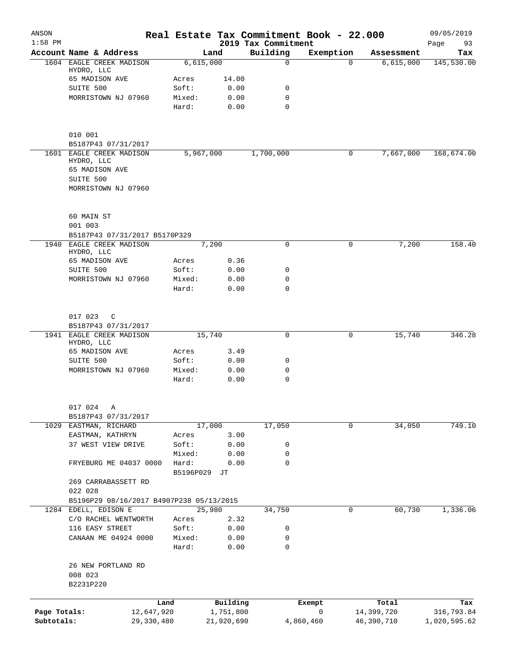| ANSON<br>$1:58$ PM         |                                          |                    |                         | 2019 Tax Commitment | Real Estate Tax Commitment Book - 22.000 |                          | 09/05/2019<br>Page<br>93   |
|----------------------------|------------------------------------------|--------------------|-------------------------|---------------------|------------------------------------------|--------------------------|----------------------------|
|                            | Account Name & Address                   |                    | Land                    | Building            | Exemption                                | Assessment               | Tax                        |
|                            | 1604 EAGLE CREEK MADISON                 | 6,615,000          |                         | $\Omega$            |                                          | $\Omega$<br>6,615,000    | 145,530.00                 |
|                            | HYDRO, LLC                               |                    |                         |                     |                                          |                          |                            |
|                            | 65 MADISON AVE                           | Acres              | 14.00                   |                     |                                          |                          |                            |
|                            | SUITE 500                                | Soft:              | 0.00                    | 0                   |                                          |                          |                            |
|                            | MORRISTOWN NJ 07960                      | Mixed:             | 0.00                    | 0                   |                                          |                          |                            |
|                            |                                          | Hard:              | 0.00                    | $\mathbf 0$         |                                          |                          |                            |
|                            | 010 001                                  |                    |                         |                     |                                          |                          |                            |
|                            | B5187P43 07/31/2017                      |                    |                         |                     |                                          |                          |                            |
|                            | 1601 EAGLE CREEK MADISON<br>HYDRO, LLC   | 5,967,000          |                         | 1,700,000           |                                          | 7,667,000<br>0           | 168,674.00                 |
|                            | 65 MADISON AVE                           |                    |                         |                     |                                          |                          |                            |
|                            | SUITE 500                                |                    |                         |                     |                                          |                          |                            |
|                            | MORRISTOWN NJ 07960                      |                    |                         |                     |                                          |                          |                            |
|                            | 60 MAIN ST                               |                    |                         |                     |                                          |                          |                            |
|                            | 001 003                                  |                    |                         |                     |                                          |                          |                            |
|                            | B5187P43 07/31/2017 B5170P329            |                    |                         |                     |                                          |                          |                            |
| 1940                       | EAGLE CREEK MADISON                      |                    | 7,200                   | $\mathbf 0$         |                                          | 7,200<br>0               | 158.40                     |
|                            | HYDRO, LLC                               |                    |                         |                     |                                          |                          |                            |
|                            | 65 MADISON AVE                           | Acres              | 0.36                    |                     |                                          |                          |                            |
|                            | SUITE 500                                | Soft:              | 0.00                    | 0                   |                                          |                          |                            |
|                            | MORRISTOWN NJ 07960                      | Mixed:             | 0.00                    | $\mathbf 0$         |                                          |                          |                            |
|                            |                                          | Hard:              | 0.00                    | $\mathbf 0$         |                                          |                          |                            |
|                            | 017 023<br>C                             |                    |                         |                     |                                          |                          |                            |
|                            | B5187P43 07/31/2017                      |                    |                         |                     |                                          |                          |                            |
|                            | 1941 EAGLE CREEK MADISON                 |                    | 15,740                  | 0                   |                                          | 0<br>15,740              | 346.28                     |
|                            | HYDRO, LLC                               |                    |                         |                     |                                          |                          |                            |
|                            | 65 MADISON AVE                           | Acres              | 3.49                    |                     |                                          |                          |                            |
|                            | SUITE 500                                | Soft:              | 0.00                    | 0                   |                                          |                          |                            |
|                            | MORRISTOWN NJ 07960                      | Mixed:             | 0.00                    | 0                   |                                          |                          |                            |
|                            |                                          | Hard:              | 0.00                    | $\mathbf 0$         |                                          |                          |                            |
|                            | 017 024<br>Α                             |                    |                         |                     |                                          |                          |                            |
|                            | B5187P43 07/31/2017                      |                    |                         |                     |                                          |                          |                            |
|                            | 1029 EASTMAN, RICHARD                    |                    | 17,000                  | 17,050              |                                          | 0<br>34,050              | 749.10                     |
|                            | EASTMAN, KATHRYN                         | Acres              | 3.00                    |                     |                                          |                          |                            |
|                            | 37 WEST VIEW DRIVE                       | Soft:              | 0.00                    | 0                   |                                          |                          |                            |
|                            |                                          | Mixed:             | 0.00                    | 0                   |                                          |                          |                            |
|                            | FRYEBURG ME 04037 0000                   | Hard:<br>B5196P029 | 0.00<br>JT              | 0                   |                                          |                          |                            |
|                            | 269 CARRABASSETT RD<br>022 028           |                    |                         |                     |                                          |                          |                            |
|                            | B5196P29 08/16/2017 B4907P238 05/13/2015 |                    |                         |                     |                                          |                          |                            |
|                            | 1284 EDELL, EDISON E                     |                    | 25,980                  | 34,750              |                                          | 60,730<br>0              | 1,336.06                   |
|                            | C/O RACHEL WENTWORTH                     | Acres              | 2.32                    |                     |                                          |                          |                            |
|                            | 116 EASY STREET                          | Soft:              | 0.00                    | 0                   |                                          |                          |                            |
|                            | CANAAN ME 04924 0000                     | Mixed:             | 0.00                    | 0                   |                                          |                          |                            |
|                            |                                          | Hard:              | 0.00                    | 0                   |                                          |                          |                            |
|                            | 26 NEW PORTLAND RD                       |                    |                         |                     |                                          |                          |                            |
|                            | 008 023<br>B2231P220                     |                    |                         |                     |                                          |                          |                            |
|                            |                                          |                    |                         |                     |                                          |                          |                            |
|                            |                                          | Land               | Building                |                     | Exempt                                   | Total                    | Tax                        |
| Page Totals:<br>Subtotals: | 12,647,920<br>29,330,480                 |                    | 1,751,800<br>21,920,690 |                     | 0<br>4,860,460                           | 14,399,720<br>46,390,710 | 316,793.84<br>1,020,595.62 |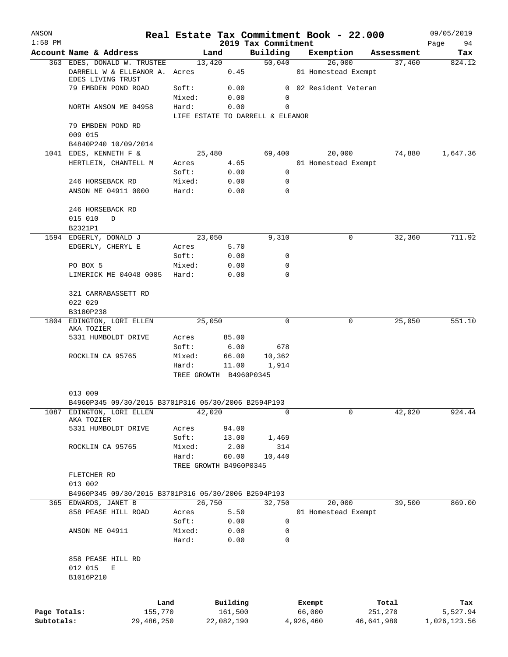| ANSON<br>$1:58$ PM |                                                     |                 |                        | 2019 Tax Commitment              |           | Real Estate Tax Commitment Book - 22.000 |         | 09/05/2019<br>Page<br>94 |
|--------------------|-----------------------------------------------------|-----------------|------------------------|----------------------------------|-----------|------------------------------------------|---------|--------------------------|
|                    | Account Name & Address                              |                 | Land                   | Building                         |           | Exemption Assessment                     |         | Tax                      |
|                    | 363 EDES, DONALD W. TRUSTEE                         |                 | 13,420                 | 50,040                           |           | 26,000                                   | 37,460  | 824.12                   |
|                    | DARRELL W & ELLEANOR A. Acres<br>EDES LIVING TRUST  |                 | 0.45                   |                                  |           | 01 Homestead Exempt                      |         |                          |
|                    | 79 EMBDEN POND ROAD                                 | Soft:           | 0.00                   |                                  |           | 0 02 Resident Veteran                    |         |                          |
|                    |                                                     | Mixed:          | 0.00                   | $\mathbf{0}$                     |           |                                          |         |                          |
|                    | NORTH ANSON ME 04958                                | Hard:           | 0.00                   | 0                                |           |                                          |         |                          |
|                    |                                                     |                 |                        | LIFE ESTATE TO DARRELL & ELEANOR |           |                                          |         |                          |
|                    | 79 EMBDEN POND RD                                   |                 |                        |                                  |           |                                          |         |                          |
|                    | 009 015                                             |                 |                        |                                  |           |                                          |         |                          |
|                    | B4840P240 10/09/2014                                |                 |                        |                                  |           |                                          |         |                          |
|                    | 1041 EDES, KENNETH F &                              |                 | 25,480                 | 69,400                           |           | 20,000                                   | 74,880  | 1,647.36                 |
|                    | HERTLEIN, CHANTELL M                                | Acres           | 4.65                   |                                  |           | 01 Homestead Exempt                      |         |                          |
|                    |                                                     | Soft:           | 0.00                   | 0<br>0                           |           |                                          |         |                          |
|                    | 246 HORSEBACK RD                                    | Mixed:<br>Hard: | 0.00                   | 0                                |           |                                          |         |                          |
|                    | ANSON ME 04911 0000                                 |                 | 0.00                   |                                  |           |                                          |         |                          |
|                    | 246 HORSEBACK RD                                    |                 |                        |                                  |           |                                          |         |                          |
|                    | 015 010<br>D                                        |                 |                        |                                  |           |                                          |         |                          |
|                    | B2321P1                                             |                 |                        |                                  |           |                                          |         |                          |
|                    | 1594 EDGERLY, DONALD J                              |                 | 23,050                 | 9,310                            |           | 0                                        | 32,360  | 711.92                   |
|                    | EDGERLY, CHERYL E                                   | Acres           | 5.70                   |                                  |           |                                          |         |                          |
|                    |                                                     | Soft:           | 0.00                   | 0                                |           |                                          |         |                          |
|                    | PO BOX 5                                            | Mixed:          | 0.00                   | 0                                |           |                                          |         |                          |
|                    | LIMERICK ME 04048 0005                              | Hard:           | 0.00                   | $\Omega$                         |           |                                          |         |                          |
|                    |                                                     |                 |                        |                                  |           |                                          |         |                          |
|                    | 321 CARRABASSETT RD                                 |                 |                        |                                  |           |                                          |         |                          |
|                    | 022 029                                             |                 |                        |                                  |           |                                          |         |                          |
|                    | B3180P238                                           |                 |                        |                                  |           |                                          |         |                          |
|                    | 1804 EDINGTON, LORI ELLEN                           |                 | 25,050                 | $\Omega$                         |           | 0                                        | 25,050  | 551.10                   |
|                    | AKA TOZIER                                          |                 |                        |                                  |           |                                          |         |                          |
|                    | 5331 HUMBOLDT DRIVE                                 | Acres           | 85.00                  |                                  |           |                                          |         |                          |
|                    |                                                     | Soft:           | 6.00                   | 678                              |           |                                          |         |                          |
|                    | ROCKLIN CA 95765                                    | Mixed:          | 66.00                  | 10,362                           |           |                                          |         |                          |
|                    |                                                     | Hard:           | 11.00                  | 1,914                            |           |                                          |         |                          |
|                    |                                                     |                 | TREE GROWTH B4960P0345 |                                  |           |                                          |         |                          |
|                    | 013 009                                             |                 |                        |                                  |           |                                          |         |                          |
|                    | B4960P345 09/30/2015 B3701P316 05/30/2006 B2594P193 |                 |                        |                                  |           |                                          |         |                          |
| 1087               | EDINGTON, LORI ELLEN                                |                 | 42,020                 | 0                                |           | 0                                        | 42,020  | 924.44                   |
|                    | AKA TOZIER                                          |                 |                        |                                  |           |                                          |         |                          |
|                    | 5331 HUMBOLDT DRIVE                                 | Acres           | 94.00                  |                                  |           |                                          |         |                          |
|                    |                                                     | Soft:           | 13.00                  | 1,469                            |           |                                          |         |                          |
|                    | ROCKLIN CA 95765                                    | Mixed:          | 2.00                   | 314                              |           |                                          |         |                          |
|                    |                                                     | Hard:           | 60.00                  | 10,440                           |           |                                          |         |                          |
|                    |                                                     |                 | TREE GROWTH B4960P0345 |                                  |           |                                          |         |                          |
|                    | FLETCHER RD                                         |                 |                        |                                  |           |                                          |         |                          |
|                    | 013 002                                             |                 |                        |                                  |           |                                          |         |                          |
|                    | B4960P345 09/30/2015 B3701P316 05/30/2006 B2594P193 |                 |                        |                                  |           |                                          |         |                          |
|                    | 365 EDWARDS, JANET B                                |                 | 26,750                 | 32,750                           |           | 20,000                                   | 39,500  | 869.00                   |
|                    | 858 PEASE HILL ROAD                                 | Acres           | 5.50                   |                                  |           | 01 Homestead Exempt                      |         |                          |
|                    |                                                     | Soft:           | 0.00                   | 0                                |           |                                          |         |                          |
|                    | ANSON ME 04911                                      | Mixed:          | 0.00                   | 0                                |           |                                          |         |                          |
|                    |                                                     | Hard:           | 0.00                   | 0                                |           |                                          |         |                          |
|                    |                                                     |                 |                        |                                  |           |                                          |         |                          |
|                    | 858 PEASE HILL RD                                   |                 |                        |                                  |           |                                          |         |                          |
|                    | 012 015<br>Е                                        |                 |                        |                                  |           |                                          |         |                          |
|                    | B1016P210                                           |                 |                        |                                  |           |                                          |         |                          |
|                    |                                                     |                 |                        |                                  |           |                                          |         |                          |
|                    |                                                     | Land            | Building               |                                  | Exempt    |                                          | Total   | Tax                      |
| Page Totals:       |                                                     | 155,770         | 161,500                |                                  | 66,000    |                                          | 251,270 | 5,527.94                 |
| Subtotals:         | 29,486,250                                          |                 | 22,082,190             |                                  | 4,926,460 | 46,641,980                               |         | 1,026,123.56             |
|                    |                                                     |                 |                        |                                  |           |                                          |         |                          |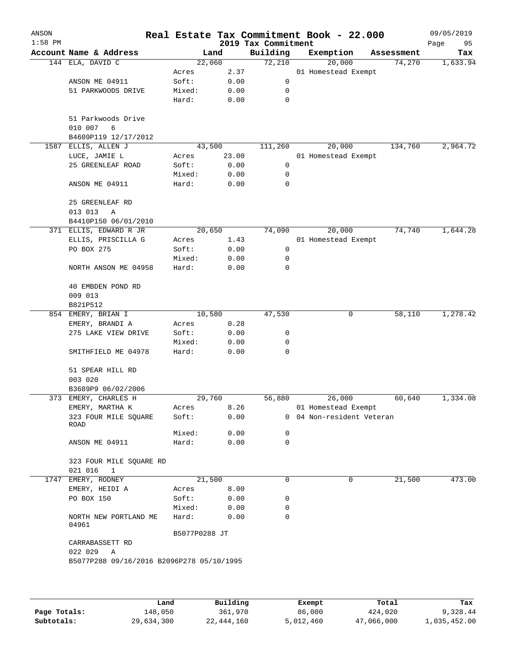|                                         |        |        | 2019 Tax Commitment                                        | Real Estate Tax Commitment Book - 22.000 |            | 09/05/2019<br>Page<br>95 |
|-----------------------------------------|--------|--------|------------------------------------------------------------|------------------------------------------|------------|--------------------------|
| Account Name & Address                  |        | Land   | Building                                                   | Exemption                                | Assessment | Tax                      |
| 144 ELA, DAVID C                        |        | 22,060 | 72,210                                                     | 20,000                                   | 74,270     | 1,633.94                 |
|                                         | Acres  | 2.37   |                                                            | 01 Homestead Exempt                      |            |                          |
| ANSON ME 04911                          | Soft:  | 0.00   | 0                                                          |                                          |            |                          |
| 51 PARKWOODS DRIVE                      | Mixed: | 0.00   | 0                                                          |                                          |            |                          |
|                                         | Hard:  | 0.00   | $\mathbf 0$                                                |                                          |            |                          |
| 51 Parkwoods Drive<br>010 007<br>6      |        |        |                                                            |                                          |            |                          |
| B4609P119 12/17/2012                    |        |        |                                                            |                                          |            |                          |
| ELLIS, ALLEN J<br>1587                  |        | 43,500 | 111,260                                                    | 20,000                                   | 134,760    | 2,964.72                 |
| LUCE, JAMIE L                           | Acres  | 23.00  |                                                            | 01 Homestead Exempt                      |            |                          |
| 25 GREENLEAF ROAD                       | Soft:  | 0.00   | 0                                                          |                                          |            |                          |
|                                         | Mixed: | 0.00   | 0                                                          |                                          |            |                          |
| ANSON ME 04911                          | Hard:  | 0.00   | 0                                                          |                                          |            |                          |
| 25 GREENLEAF RD                         |        |        |                                                            |                                          |            |                          |
| 013 013<br>Α                            |        |        |                                                            |                                          |            |                          |
| B4410P150 06/01/2010                    |        |        |                                                            |                                          |            |                          |
| 371 ELLIS, EDWARD R JR                  |        | 20,650 | 74,090                                                     | 20,000                                   | 74,740     | 1,644.28                 |
| ELLIS, PRISCILLA G                      | Acres  | 1.43   |                                                            | 01 Homestead Exempt                      |            |                          |
| PO BOX 275                              | Soft:  | 0.00   | 0                                                          |                                          |            |                          |
|                                         | Mixed: | 0.00   | 0                                                          |                                          |            |                          |
| NORTH ANSON ME 04958                    | Hard:  | 0.00   | 0                                                          |                                          |            |                          |
| 40 EMBDEN POND RD                       |        |        |                                                            |                                          |            |                          |
| 009 013                                 |        |        |                                                            |                                          |            |                          |
| B821P512                                |        |        |                                                            |                                          |            |                          |
| 854 EMERY, BRIAN I                      |        | 10,580 | 47,530                                                     | 0                                        | 58,110     | 1,278.42                 |
| EMERY, BRANDI A                         | Acres  | 0.28   |                                                            |                                          |            |                          |
| 275 LAKE VIEW DRIVE                     | Soft:  | 0.00   | 0                                                          |                                          |            |                          |
|                                         | Mixed: | 0.00   | 0                                                          |                                          |            |                          |
| SMITHFIELD ME 04978                     | Hard:  | 0.00   | 0                                                          |                                          |            |                          |
| 51 SPEAR HILL RD                        |        |        |                                                            |                                          |            |                          |
| 003 020                                 |        |        |                                                            |                                          |            |                          |
| B3689P9 06/02/2006                      |        |        |                                                            |                                          |            |                          |
| 373 EMERY, CHARLES H                    |        | 29,760 | 56,880                                                     | 26,000                                   | 60,640     | 1,334.08                 |
| EMERY, MARTHA K                         | Acres  | 8.26   |                                                            | 01 Homestead Exempt                      |            |                          |
| 323 FOUR MILE SQUARE<br>ROAD            | Soft:  | 0.00   |                                                            | 0 04 Non-resident Veteran                |            |                          |
|                                         | Mixed: | 0.00   | 0                                                          |                                          |            |                          |
| ANSON ME 04911                          | Hard:  | 0.00   | 0                                                          |                                          |            |                          |
| 323 FOUR MILE SQUARE RD<br>021 016<br>1 |        |        |                                                            |                                          |            |                          |
| EMERY, RODNEY<br>1747                   |        | 21,500 | 0                                                          | 0                                        | 21,500     | 473.00                   |
| EMERY, HEIDI A                          | Acres  | 8.00   |                                                            |                                          |            |                          |
| PO BOX 150                              | Soft:  | 0.00   | 0                                                          |                                          |            |                          |
|                                         | Mixed: | 0.00   | 0                                                          |                                          |            |                          |
| NORTH NEW PORTLAND ME                   | Hard:  | 0.00   | 0                                                          |                                          |            |                          |
|                                         |        |        |                                                            |                                          |            |                          |
| CARRABASSETT RD                         |        |        |                                                            |                                          |            |                          |
|                                         |        |        |                                                            |                                          |            |                          |
|                                         |        |        |                                                            |                                          |            |                          |
|                                         |        |        |                                                            |                                          |            |                          |
| 04961<br>022 029                        | Α      |        | B5077P0288 JT<br>B5077P288 09/16/2016 B2096P278 05/10/1995 |                                          |            |                          |

|              | Land       | Building   | Exempt    | Total      | Tax          |
|--------------|------------|------------|-----------|------------|--------------|
| Page Totals: | 148,050    | 361,970    | 86,000    | 424,020    | 9,328.44     |
| Subtotals:   | 29,634,300 | 22,444,160 | 5,012,460 | 47,066,000 | 1,035,452.00 |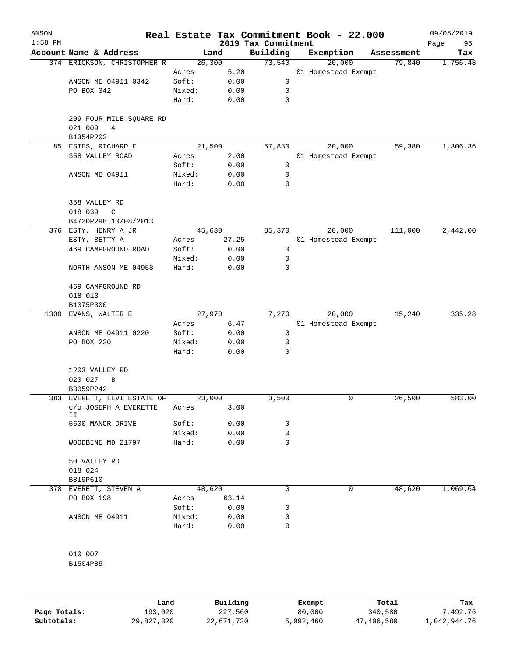| ANSON<br>$1:58$ PM |                                         |        |       | 2019 Tax Commitment | Real Estate Tax Commitment Book - 22.000 |            | 09/05/2019<br>Page<br>96 |
|--------------------|-----------------------------------------|--------|-------|---------------------|------------------------------------------|------------|--------------------------|
|                    | Account Name & Address                  | Land   |       | Building            | Exemption                                | Assessment | Tax                      |
|                    | 374 ERICKSON, CHRISTOPHER R             | 26,300 |       | 73,540              | 20,000                                   | 79,840     | 1,756.48                 |
|                    |                                         | Acres  | 5.20  |                     | 01 Homestead Exempt                      |            |                          |
|                    | ANSON ME 04911 0342                     | Soft:  | 0.00  | 0                   |                                          |            |                          |
|                    | PO BOX 342                              | Mixed: | 0.00  | 0                   |                                          |            |                          |
|                    |                                         | Hard:  | 0.00  | 0                   |                                          |            |                          |
|                    | 209 FOUR MILE SQUARE RD<br>021 009<br>4 |        |       |                     |                                          |            |                          |
|                    | B1354P202                               |        |       |                     |                                          |            |                          |
|                    | 85 ESTES, RICHARD E                     | 21,500 |       | 57,880              | 20,000                                   | 59,380     | 1,306.36                 |
|                    | 358 VALLEY ROAD                         | Acres  | 2.00  |                     | 01 Homestead Exempt                      |            |                          |
|                    |                                         | Soft:  | 0.00  | 0                   |                                          |            |                          |
|                    | ANSON ME 04911                          | Mixed: | 0.00  | 0                   |                                          |            |                          |
|                    |                                         | Hard:  | 0.00  | 0                   |                                          |            |                          |
|                    |                                         |        |       |                     |                                          |            |                          |
|                    | 358 VALLEY RD                           |        |       |                     |                                          |            |                          |
|                    | 018 039<br>$\mathsf{C}$                 |        |       |                     |                                          |            |                          |
|                    | B4720P298 10/08/2013                    |        |       |                     |                                          |            |                          |
|                    | 376 ESTY, HENRY A JR                    | 45,630 |       | 85,370              | 20,000                                   | 111,000    | 2,442.00                 |
|                    | ESTY, BETTY A                           | Acres  | 27.25 |                     | 01 Homestead Exempt                      |            |                          |
|                    | 469 CAMPGROUND ROAD                     | Soft:  | 0.00  | 0                   |                                          |            |                          |
|                    |                                         | Mixed: | 0.00  | 0                   |                                          |            |                          |
|                    | NORTH ANSON ME 04958                    | Hard:  | 0.00  | 0                   |                                          |            |                          |
|                    | 469 CAMPGROUND RD                       |        |       |                     |                                          |            |                          |
|                    | 018 013                                 |        |       |                     |                                          |            |                          |
|                    | B1375P300                               |        |       |                     |                                          |            |                          |
|                    | 1300 EVANS, WALTER E                    | 27,970 |       | 7,270               | 20,000                                   | 15,240     | 335.28                   |
|                    |                                         | Acres  | 6.47  |                     | 01 Homestead Exempt                      |            |                          |
|                    | ANSON ME 04911 0220                     | Soft:  | 0.00  | $\mathsf{O}$        |                                          |            |                          |
|                    | PO BOX 220                              | Mixed: | 0.00  | 0                   |                                          |            |                          |
|                    |                                         | Hard:  | 0.00  | 0                   |                                          |            |                          |
|                    | 1203 VALLEY RD                          |        |       |                     |                                          |            |                          |
|                    | 020 027<br>B                            |        |       |                     |                                          |            |                          |
|                    | B3059P242                               |        |       |                     |                                          |            |                          |
|                    | 383 EVERETT, LEVI ESTATE OF             | 23,000 |       | 3,500               | 0                                        | 26,500     | 583.00                   |
|                    | C/O JOSEPH A EVERETTE<br>ΙI             | Acres  | 3.00  |                     |                                          |            |                          |
|                    | 5600 MANOR DRIVE                        | Soft:  | 0.00  | 0                   |                                          |            |                          |
|                    |                                         | Mixed: | 0.00  | 0                   |                                          |            |                          |
|                    | WOODBINE MD 21797                       | Hard:  | 0.00  | 0                   |                                          |            |                          |
|                    | 50 VALLEY RD                            |        |       |                     |                                          |            |                          |
|                    | 018 024                                 |        |       |                     |                                          |            |                          |
|                    | B819P610                                |        |       |                     |                                          |            |                          |
|                    | 378 EVERETT, STEVEN A                   | 48,620 |       | 0                   | 0                                        | 48,620     | 1,069.64                 |
|                    | PO BOX 198                              | Acres  | 63.14 |                     |                                          |            |                          |
|                    |                                         | Soft:  |       | 0                   |                                          |            |                          |
|                    |                                         |        | 0.00  | 0                   |                                          |            |                          |
|                    | ANSON ME 04911                          | Mixed: | 0.00  |                     |                                          |            |                          |
|                    |                                         | Hard:  | 0.00  | 0                   |                                          |            |                          |
|                    | 010 007                                 |        |       |                     |                                          |            |                          |
|                    | B1504P85                                |        |       |                     |                                          |            |                          |
|                    |                                         |        |       |                     |                                          |            |                          |
|                    |                                         |        |       |                     |                                          |            |                          |

|              | Land       | Building   | Exempt    | Total      | Tax          |
|--------------|------------|------------|-----------|------------|--------------|
| Page Totals: | 193,020    | 227,560    | 80,000    | 340,580    | 7.492.76     |
| Subtotals:   | 29,827,320 | 22,671,720 | 5,092,460 | 47,406,580 | 1,042,944.76 |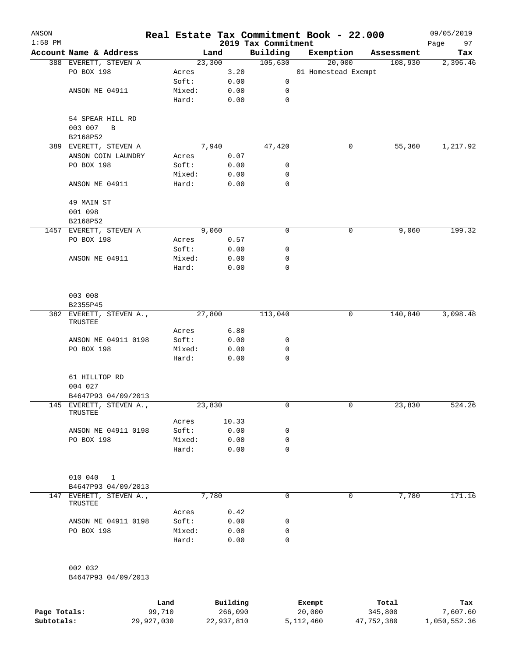| ANSON<br>$1:58$ PM |                                    |        |        | 2019 Tax Commitment | Real Estate Tax Commitment Book - 22.000 |            | 09/05/2019<br>97<br>Page |
|--------------------|------------------------------------|--------|--------|---------------------|------------------------------------------|------------|--------------------------|
|                    | Account Name & Address             |        | Land   | Building            | Exemption                                | Assessment | Tax                      |
|                    | 388 EVERETT, STEVEN A              |        | 23,300 | 105,630             | 20,000                                   | 108,930    | 2,396.46                 |
|                    | PO BOX 198                         | Acres  | 3.20   |                     | 01 Homestead Exempt                      |            |                          |
|                    |                                    | Soft:  | 0.00   | 0                   |                                          |            |                          |
|                    | ANSON ME 04911                     | Mixed: | 0.00   | 0                   |                                          |            |                          |
|                    |                                    | Hard:  | 0.00   | $\mathbf 0$         |                                          |            |                          |
|                    | 54 SPEAR HILL RD                   |        |        |                     |                                          |            |                          |
|                    | 003 007<br>B                       |        |        |                     |                                          |            |                          |
|                    | B2168P52                           |        |        |                     |                                          |            |                          |
|                    | 389 EVERETT, STEVEN A              |        | 7,940  | 47,420              | 0                                        | 55,360     | 1,217.92                 |
|                    | ANSON COIN LAUNDRY                 | Acres  | 0.07   |                     |                                          |            |                          |
|                    | PO BOX 198                         | Soft:  | 0.00   | 0                   |                                          |            |                          |
|                    |                                    | Mixed: | 0.00   | 0                   |                                          |            |                          |
|                    | ANSON ME 04911                     | Hard:  | 0.00   | $\mathbf 0$         |                                          |            |                          |
|                    | 49 MAIN ST                         |        |        |                     |                                          |            |                          |
|                    | 001 098                            |        |        |                     |                                          |            |                          |
|                    | B2168P52                           |        |        |                     |                                          |            |                          |
|                    | 1457 EVERETT, STEVEN A             |        | 9,060  | 0                   | 0                                        | 9,060      | 199.32                   |
|                    | PO BOX 198                         | Acres  | 0.57   |                     |                                          |            |                          |
|                    |                                    | Soft:  | 0.00   | 0                   |                                          |            |                          |
|                    | ANSON ME 04911                     | Mixed: | 0.00   | 0                   |                                          |            |                          |
|                    |                                    | Hard:  | 0.00   | $\mathbf 0$         |                                          |            |                          |
|                    | 003 008                            |        |        |                     |                                          |            |                          |
|                    | B2355P45                           |        |        |                     |                                          |            |                          |
|                    | 382 EVERETT, STEVEN A.,<br>TRUSTEE |        | 27,800 | 113,040             | 0                                        | 140,840    | 3,098.48                 |
|                    |                                    | Acres  | 6.80   |                     |                                          |            |                          |
|                    | ANSON ME 04911 0198                | Soft:  | 0.00   | 0                   |                                          |            |                          |
|                    | PO BOX 198                         | Mixed: | 0.00   | 0                   |                                          |            |                          |
|                    |                                    | Hard:  | 0.00   | 0                   |                                          |            |                          |
|                    | 61 HILLTOP RD                      |        |        |                     |                                          |            |                          |
|                    | 004 027                            |        |        |                     |                                          |            |                          |
|                    | B4647P93 04/09/2013                |        |        |                     |                                          |            |                          |
|                    | 145 EVERETT, STEVEN A.,<br>TRUSTEE |        | 23,830 | 0                   | 0                                        | 23,830     | 524.26                   |
|                    |                                    | Acres  | 10.33  |                     |                                          |            |                          |
|                    | ANSON ME 04911 0198                | Soft:  | 0.00   | 0                   |                                          |            |                          |
|                    | PO BOX 198                         | Mixed: | 0.00   | 0                   |                                          |            |                          |
|                    |                                    | Hard:  | 0.00   | 0                   |                                          |            |                          |
|                    | 010 040 1                          |        |        |                     |                                          |            |                          |
|                    | B4647P93 04/09/2013                |        |        |                     |                                          |            |                          |
|                    | 147 EVERETT, STEVEN A.,            |        | 7,780  | $\mathbf 0$         | $\mathbf 0$                              | 7,780      | 171.16                   |
|                    | TRUSTEE                            |        |        |                     |                                          |            |                          |
|                    |                                    | Acres  | 0.42   |                     |                                          |            |                          |
|                    | ANSON ME 04911 0198                | Soft:  | 0.00   | 0                   |                                          |            |                          |
|                    | PO BOX 198                         | Mixed: | 0.00   | 0                   |                                          |            |                          |
|                    |                                    | Hard:  | 0.00   | 0                   |                                          |            |                          |
|                    | 002 032                            |        |        |                     |                                          |            |                          |
|                    | B4647P93 04/09/2013                |        |        |                     |                                          |            |                          |
|                    |                                    |        |        |                     |                                          |            |                          |
|                    |                                    |        |        |                     |                                          |            |                          |

|              | Land       | Building   | Exempt    | Total      | Tax          |
|--------------|------------|------------|-----------|------------|--------------|
| Page Totals: | 99,710     | 266,090    | 20,000    | 345,800    | 7,607.60     |
| Subtotals:   | 29,927,030 | 22,937,810 | 5,112,460 | 47,752,380 | 1,050,552.36 |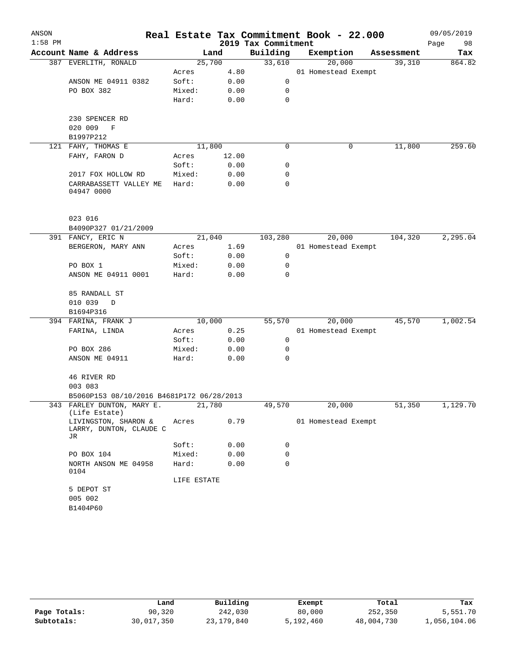| ANSON     |                                                       |             |       | Real Estate Tax Commitment Book - 22.000 |           |                     |            | 09/05/2019 |
|-----------|-------------------------------------------------------|-------------|-------|------------------------------------------|-----------|---------------------|------------|------------|
| $1:58$ PM |                                                       |             |       | 2019 Tax Commitment                      |           |                     |            | Page<br>98 |
|           | Account Name & Address                                | Land        |       | Building                                 | Exemption |                     | Assessment | Tax        |
|           | 387 EVERLITH, RONALD                                  | 25,700      |       | 33,610                                   |           | 20,000              | 39,310     | 864.82     |
|           |                                                       | Acres       | 4.80  |                                          |           | 01 Homestead Exempt |            |            |
|           | ANSON ME 04911 0382                                   | Soft:       | 0.00  | $\mathbf 0$                              |           |                     |            |            |
|           | PO BOX 382                                            | Mixed:      | 0.00  | 0                                        |           |                     |            |            |
|           |                                                       | Hard:       | 0.00  | $\mathbf 0$                              |           |                     |            |            |
|           | 230 SPENCER RD                                        |             |       |                                          |           |                     |            |            |
|           | 020 009<br>$\mathbf{F}$                               |             |       |                                          |           |                     |            |            |
|           | B1997P212                                             |             |       |                                          |           |                     |            |            |
|           | 121 FAHY, THOMAS E                                    | 11,800      |       | 0                                        |           | 0                   | 11,800     | 259.60     |
|           | FAHY, FARON D                                         | Acres       | 12.00 |                                          |           |                     |            |            |
|           |                                                       | Soft:       | 0.00  | 0                                        |           |                     |            |            |
|           | 2017 FOX HOLLOW RD                                    | Mixed:      | 0.00  | 0                                        |           |                     |            |            |
|           | CARRABASSETT VALLEY ME<br>04947 0000                  | Hard:       | 0.00  | 0                                        |           |                     |            |            |
|           |                                                       |             |       |                                          |           |                     |            |            |
|           | 023 016                                               |             |       |                                          |           |                     |            |            |
|           | B4090P327 01/21/2009                                  |             |       |                                          |           |                     |            |            |
|           | 391 FANCY, ERIC N                                     | 21,040      |       | 103,280                                  |           | 20,000              | 104,320    | 2,295.04   |
|           | BERGERON, MARY ANN                                    | Acres       | 1.69  |                                          |           | 01 Homestead Exempt |            |            |
|           |                                                       | Soft:       | 0.00  | 0                                        |           |                     |            |            |
|           | PO BOX 1                                              | Mixed:      | 0.00  | 0                                        |           |                     |            |            |
|           | ANSON ME 04911 0001                                   | Hard:       | 0.00  | 0                                        |           |                     |            |            |
|           | 85 RANDALL ST                                         |             |       |                                          |           |                     |            |            |
|           | 010 039<br>$\mathbb D$                                |             |       |                                          |           |                     |            |            |
|           | B1694P316                                             |             |       |                                          |           |                     |            |            |
|           | 394 FARINA, FRANK J                                   | 10,000      |       | 55,570                                   |           | 20,000              | 45,570     | 1,002.54   |
|           | FARINA, LINDA                                         | Acres       | 0.25  |                                          |           | 01 Homestead Exempt |            |            |
|           |                                                       | Soft:       | 0.00  | 0                                        |           |                     |            |            |
|           | PO BOX 286                                            | Mixed:      | 0.00  | 0                                        |           |                     |            |            |
|           | ANSON ME 04911                                        | Hard:       | 0.00  | 0                                        |           |                     |            |            |
|           |                                                       |             |       |                                          |           |                     |            |            |
|           | 46 RIVER RD                                           |             |       |                                          |           |                     |            |            |
|           | 003 083                                               |             |       |                                          |           |                     |            |            |
|           | B5060P153 08/10/2016 B4681P172 06/28/2013             |             |       |                                          |           |                     |            |            |
|           | 343 FARLEY DUNTON, MARY E.<br>(Life Estate)           | 21,780      |       | 49,570                                   |           | 20,000              | 51,350     | 1,129.70   |
|           | LIVINGSTON, SHARON &<br>LARRY, DUNTON, CLAUDE C<br>JR | Acres       | 0.79  |                                          |           | 01 Homestead Exempt |            |            |
|           |                                                       | Soft:       | 0.00  | 0                                        |           |                     |            |            |
|           | PO BOX 104                                            | Mixed:      | 0.00  | 0                                        |           |                     |            |            |
|           | NORTH ANSON ME 04958<br>0104                          | Hard:       | 0.00  | 0                                        |           |                     |            |            |
|           |                                                       | LIFE ESTATE |       |                                          |           |                     |            |            |
|           | 5 DEPOT ST                                            |             |       |                                          |           |                     |            |            |
|           | 005 002                                               |             |       |                                          |           |                     |            |            |
|           | B1404P60                                              |             |       |                                          |           |                     |            |            |
|           |                                                       |             |       |                                          |           |                     |            |            |

|              | Land       | Building   | Exempt    | Total      | Tax          |
|--------------|------------|------------|-----------|------------|--------------|
| Page Totals: | 90,320     | 242,030    | 80,000    | 252,350    | 5,551.70     |
| Subtotals:   | 30,017,350 | 23,179,840 | 5,192,460 | 48,004,730 | 1,056,104.06 |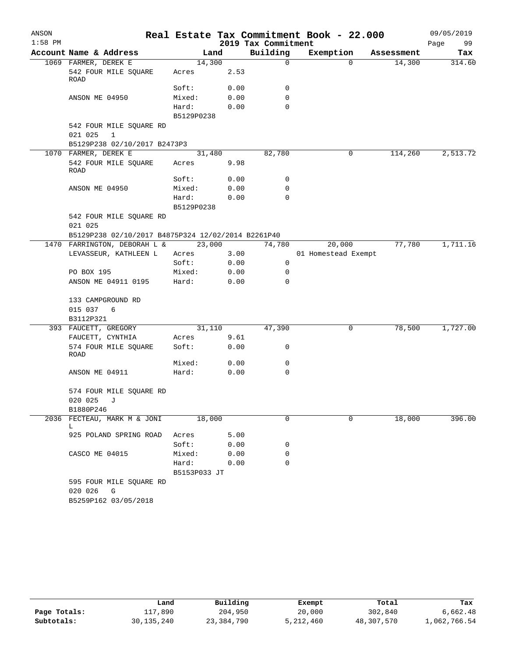| ANSON     |                                                               |                |              |                     | Real Estate Tax Commitment Book - 22.000 |            | 09/05/2019 |
|-----------|---------------------------------------------------------------|----------------|--------------|---------------------|------------------------------------------|------------|------------|
| $1:58$ PM |                                                               |                |              | 2019 Tax Commitment |                                          |            | 99<br>Page |
|           | Account Name & Address                                        | Land           |              | Building            | Exemption                                | Assessment | Tax        |
|           | 1069 FARMER, DEREK E                                          | 14,300         |              | 0                   | $\Omega$                                 | 14,300     | 314.60     |
|           | 542 FOUR MILE SQUARE<br>ROAD                                  | Acres          | 2.53         |                     |                                          |            |            |
|           |                                                               | Soft:          | 0.00         | 0                   |                                          |            |            |
|           | ANSON ME 04950                                                | Mixed:         | 0.00         | $\mathbf 0$         |                                          |            |            |
|           |                                                               | Hard:          | 0.00         | $\Omega$            |                                          |            |            |
|           |                                                               | B5129P0238     |              |                     |                                          |            |            |
|           | 542 FOUR MILE SQUARE RD                                       |                |              |                     |                                          |            |            |
|           | 021 025<br>1                                                  |                |              |                     |                                          |            |            |
|           | B5129P238 02/10/2017 B2473P3                                  |                |              |                     |                                          |            |            |
|           | 1070 FARMER, DEREK E                                          | 31,480         |              | 82,780              | 0                                        | 114,260    | 2,513.72   |
|           | 542 FOUR MILE SQUARE<br>ROAD                                  | Acres          | 9.98         |                     |                                          |            |            |
|           |                                                               | Soft:          | 0.00         | 0                   |                                          |            |            |
|           | ANSON ME 04950                                                | Mixed:         | 0.00         | 0                   |                                          |            |            |
|           |                                                               | Hard:          | 0.00         | $\Omega$            |                                          |            |            |
|           |                                                               | B5129P0238     |              |                     |                                          |            |            |
|           | 542 FOUR MILE SQUARE RD                                       |                |              |                     |                                          |            |            |
|           | 021 025<br>B5129P238 02/10/2017 B4875P324 12/02/2014 B2261P40 |                |              |                     |                                          |            |            |
|           |                                                               | 23,000         |              | 74,780              | 20,000                                   | 77,780     |            |
|           | 1470 FARRINGTON, DEBORAH L &<br>LEVASSEUR, KATHLEEN L         |                |              |                     | 01 Homestead Exempt                      |            | 1,711.16   |
|           |                                                               | Acres<br>Soft: | 3.00<br>0.00 | 0                   |                                          |            |            |
|           | PO BOX 195                                                    | Mixed:         | 0.00         | $\mathbf 0$         |                                          |            |            |
|           | ANSON ME 04911 0195                                           | Hard:          | 0.00         | $\Omega$            |                                          |            |            |
|           |                                                               |                |              |                     |                                          |            |            |
|           | 133 CAMPGROUND RD                                             |                |              |                     |                                          |            |            |
|           | 015 037<br>6                                                  |                |              |                     |                                          |            |            |
|           | B3112P321                                                     |                |              |                     |                                          |            |            |
|           | 393 FAUCETT, GREGORY                                          | 31,110         |              | 47,390              | 0                                        | 78,500     | 1,727.00   |
|           | FAUCETT, CYNTHIA                                              | Acres          | 9.61         |                     |                                          |            |            |
|           | 574 FOUR MILE SQUARE<br>ROAD                                  | Soft:          | 0.00         | 0                   |                                          |            |            |
|           |                                                               | Mixed:         | 0.00         | 0                   |                                          |            |            |
|           | ANSON ME 04911                                                | Hard:          | 0.00         | 0                   |                                          |            |            |
|           |                                                               |                |              |                     |                                          |            |            |
|           | 574 FOUR MILE SQUARE RD                                       |                |              |                     |                                          |            |            |
|           | 020 025 J                                                     |                |              |                     |                                          |            |            |
|           | B1880P246                                                     |                |              |                     |                                          |            |            |
|           | 2036 FECTEAU, MARK M & JONI                                   | 18,000         |              | 0                   | 0                                        | 18,000     | 396.00     |
|           | L.                                                            |                |              |                     |                                          |            |            |
|           | 925 POLAND SPRING ROAD                                        | Acres          | 5.00         |                     |                                          |            |            |
|           |                                                               | Soft:          | 0.00         | 0                   |                                          |            |            |
|           | CASCO ME 04015                                                | Mixed:         | 0.00         | 0                   |                                          |            |            |
|           |                                                               | Hard:          | 0.00         | 0                   |                                          |            |            |
|           |                                                               | B5153P033 JT   |              |                     |                                          |            |            |
|           | 595 FOUR MILE SQUARE RD                                       |                |              |                     |                                          |            |            |
|           | 020 026 G                                                     |                |              |                     |                                          |            |            |
|           | B5259P162 03/05/2018                                          |                |              |                     |                                          |            |            |

|              | Land         | Building   | Exempt    | Total      | Tax          |
|--------------|--------------|------------|-----------|------------|--------------|
| Page Totals: | 117,890      | 204,950    | 20,000    | 302,840    | 6,662.48     |
| Subtotals:   | 30, 135, 240 | 23,384,790 | 5,212,460 | 48,307,570 | 1,062,766.54 |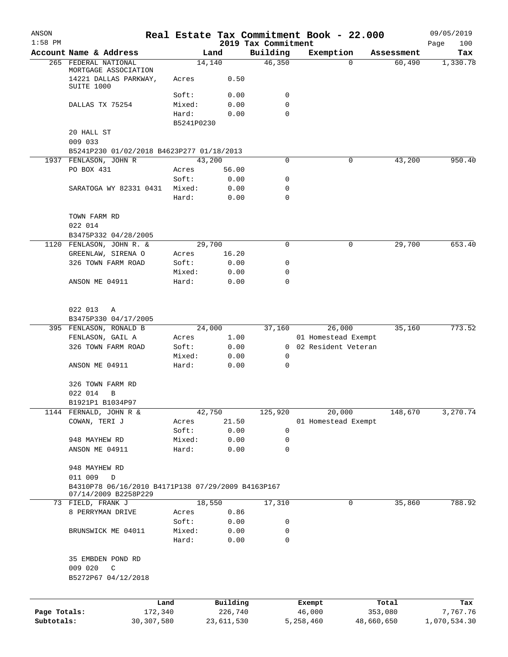| ANSON                      |                                                                              |            |                       |                                 | Real Estate Tax Commitment Book - 22.000 |                       | 09/05/2019               |
|----------------------------|------------------------------------------------------------------------------|------------|-----------------------|---------------------------------|------------------------------------------|-----------------------|--------------------------|
| $1:58$ PM                  | Account Name & Address                                                       |            | Land                  | 2019 Tax Commitment<br>Building | Exemption                                | Assessment            | Page<br>100<br>Tax       |
| 265                        | FEDERAL NATIONAL                                                             |            | 14,140                | 46,350                          |                                          | 60,490<br>0           | 1,330.78                 |
|                            | MORTGAGE ASSOCIATION<br>14221 DALLAS PARKWAY,                                | Acres      | 0.50                  |                                 |                                          |                       |                          |
|                            | SUITE 1000                                                                   |            |                       |                                 |                                          |                       |                          |
|                            |                                                                              | Soft:      | 0.00                  | 0                               |                                          |                       |                          |
|                            | DALLAS TX 75254                                                              | Mixed:     | 0.00                  | 0                               |                                          |                       |                          |
|                            |                                                                              | Hard:      | 0.00                  | $\mathbf 0$                     |                                          |                       |                          |
|                            |                                                                              | B5241P0230 |                       |                                 |                                          |                       |                          |
|                            | 20 HALL ST<br>009 033                                                        |            |                       |                                 |                                          |                       |                          |
|                            | B5241P230 01/02/2018 B4623P277 01/18/2013                                    |            |                       |                                 |                                          |                       |                          |
|                            | 1937 FENLASON, JOHN R                                                        |            | 43,200                | 0                               |                                          | 43,200<br>0           | 950.40                   |
|                            | PO BOX 431                                                                   | Acres      | 56.00                 |                                 |                                          |                       |                          |
|                            |                                                                              | Soft:      | 0.00                  | 0                               |                                          |                       |                          |
|                            | SARATOGA WY 82331 0431                                                       | Mixed:     | 0.00                  | 0                               |                                          |                       |                          |
|                            |                                                                              | Hard:      | 0.00                  | 0                               |                                          |                       |                          |
|                            | TOWN FARM RD                                                                 |            |                       |                                 |                                          |                       |                          |
|                            | 022 014                                                                      |            |                       |                                 |                                          |                       |                          |
|                            | B3475P332 04/28/2005                                                         |            |                       |                                 |                                          |                       |                          |
|                            | 1120 FENLASON, JOHN R. &                                                     |            | 29,700                | 0                               |                                          | 0<br>29,700           | 653.40                   |
|                            | GREENLAW, SIRENA O                                                           | Acres      | 16.20                 |                                 |                                          |                       |                          |
|                            | 326 TOWN FARM ROAD                                                           | Soft:      | 0.00                  | 0                               |                                          |                       |                          |
|                            |                                                                              | Mixed:     | 0.00                  | 0                               |                                          |                       |                          |
|                            | ANSON ME 04911                                                               | Hard:      | 0.00                  | 0                               |                                          |                       |                          |
|                            | 022 013<br>Α                                                                 |            |                       |                                 |                                          |                       |                          |
|                            | B3475P330 04/17/2005                                                         |            |                       |                                 |                                          |                       |                          |
|                            | 395 FENLASON, RONALD B                                                       |            | 24,000                | 37,160                          | 26,000                                   | 35,160                | 773.52                   |
|                            | FENLASON, GAIL A                                                             | Acres      | 1.00                  |                                 | 01 Homestead Exempt                      |                       |                          |
|                            | 326 TOWN FARM ROAD                                                           | Soft:      | 0.00                  | $\mathbf{0}$                    | 02 Resident Veteran                      |                       |                          |
|                            |                                                                              | Mixed:     | 0.00                  | 0                               |                                          |                       |                          |
|                            | ANSON ME 04911                                                               | Hard:      | 0.00                  | 0                               |                                          |                       |                          |
|                            | 326 TOWN FARM RD                                                             |            |                       |                                 |                                          |                       |                          |
|                            | 022 014<br>B                                                                 |            |                       |                                 |                                          |                       |                          |
|                            | B1921P1 B1034P97                                                             |            |                       |                                 |                                          |                       |                          |
| 1144                       | FERNALD, JOHN R &                                                            |            | 42,750                | 125,920                         | 20,000                                   | 148,670               | 3,270.74                 |
|                            | COWAN, TERI J                                                                | Acres      | 21.50                 |                                 | 01 Homestead Exempt                      |                       |                          |
|                            |                                                                              | Soft:      | 0.00                  | 0                               |                                          |                       |                          |
|                            | 948 MAYHEW RD                                                                | Mixed:     | 0.00                  | 0                               |                                          |                       |                          |
|                            | ANSON ME 04911                                                               | Hard:      | 0.00                  | $\mathbf 0$                     |                                          |                       |                          |
|                            | 948 MAYHEW RD                                                                |            |                       |                                 |                                          |                       |                          |
|                            | 011 009<br>$\mathbb D$<br>B4310P78 06/16/2010 B4171P138 07/29/2009 B4163P167 |            |                       |                                 |                                          |                       |                          |
|                            | 07/14/2009 B2258P229                                                         |            |                       |                                 |                                          |                       |                          |
|                            | 73 FIELD, FRANK J                                                            |            | 18,550                | 17,310                          |                                          | 0<br>35,860           | 788.92                   |
|                            | 8 PERRYMAN DRIVE                                                             | Acres      | 0.86                  |                                 |                                          |                       |                          |
|                            |                                                                              | Soft:      | 0.00                  | 0                               |                                          |                       |                          |
|                            | BRUNSWICK ME 04011                                                           | Mixed:     | 0.00                  | 0                               |                                          |                       |                          |
|                            |                                                                              | Hard:      | 0.00                  | $\mathbf 0$                     |                                          |                       |                          |
|                            | 35 EMBDEN POND RD                                                            |            |                       |                                 |                                          |                       |                          |
|                            | 009 020<br>C                                                                 |            |                       |                                 |                                          |                       |                          |
|                            | B5272P67 04/12/2018                                                          |            |                       |                                 |                                          |                       |                          |
|                            |                                                                              |            |                       |                                 |                                          |                       |                          |
|                            |                                                                              | Land       | Building              |                                 | Exempt                                   | Total                 | Tax                      |
| Page Totals:<br>Subtotals: | 172,340<br>30,307,580                                                        |            | 226,740<br>23,611,530 |                                 | 46,000<br>5,258,460                      | 353,080<br>48,660,650 | 7,767.76<br>1,070,534.30 |
|                            |                                                                              |            |                       |                                 |                                          |                       |                          |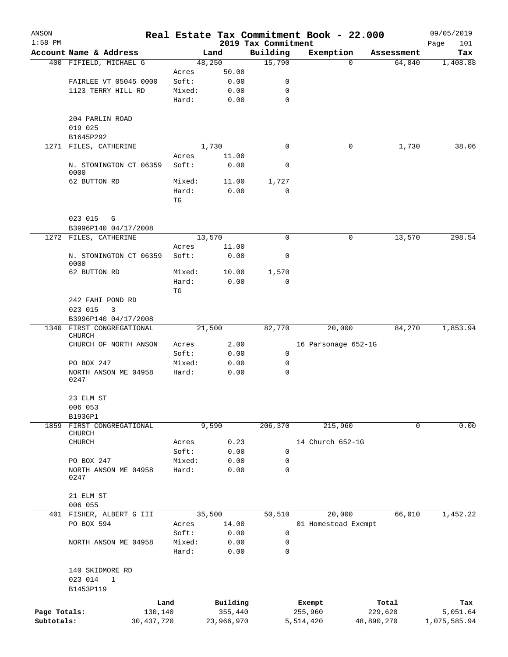| ANSON<br>$1:58$ PM |                                            |              |                 |              | 2019 Tax Commitment | Real Estate Tax Commitment Book - 22.000 |            | 09/05/2019<br>Page<br>101 |
|--------------------|--------------------------------------------|--------------|-----------------|--------------|---------------------|------------------------------------------|------------|---------------------------|
|                    | Account Name & Address                     |              |                 | Land         | Building            | Exemption                                | Assessment | Tax                       |
|                    | 400 FIFIELD, MICHAEL G                     |              |                 | 48,250       | 15,790              | $\mathbf 0$                              | 64,040     | 1,408.88                  |
|                    |                                            |              | Acres           | 50.00        |                     |                                          |            |                           |
|                    | FAIRLEE VT 05045 0000                      |              | Soft:           | 0.00         | 0                   |                                          |            |                           |
|                    | 1123 TERRY HILL RD                         |              | Mixed:          | 0.00         | 0                   |                                          |            |                           |
|                    |                                            |              | Hard:           | 0.00         | $\mathbf 0$         |                                          |            |                           |
|                    | 204 PARLIN ROAD                            |              |                 |              |                     |                                          |            |                           |
|                    | 019 025                                    |              |                 |              |                     |                                          |            |                           |
|                    | B1645P292                                  |              |                 |              |                     |                                          |            |                           |
|                    | 1271 FILES, CATHERINE                      |              |                 | 1,730        | 0                   | 0                                        | 1,730      | 38.06                     |
|                    |                                            |              | Acres           | 11.00        | 0                   |                                          |            |                           |
|                    | N. STONINGTON CT 06359<br>0000             |              | Soft:           | 0.00         |                     |                                          |            |                           |
|                    | 62 BUTTON RD                               |              | Mixed:          | 11.00        | 1,727               |                                          |            |                           |
|                    |                                            |              | Hard:           | 0.00         | $\mathbf 0$         |                                          |            |                           |
|                    |                                            |              | TG              |              |                     |                                          |            |                           |
|                    | 023 015<br>G                               |              |                 |              |                     |                                          |            |                           |
|                    | B3996P140 04/17/2008                       |              |                 |              |                     |                                          |            |                           |
|                    | 1272 FILES, CATHERINE                      |              |                 | 13,570       | $\mathbf 0$         | 0                                        | 13,570     | 298.54                    |
|                    |                                            |              | Acres           | 11.00        |                     |                                          |            |                           |
|                    | N. STONINGTON CT 06359<br>0000             |              | Soft:           | 0.00         | 0                   |                                          |            |                           |
|                    | 62 BUTTON RD                               |              | Mixed:          | 10.00        | 1,570               |                                          |            |                           |
|                    |                                            |              | Hard:           | 0.00         | 0                   |                                          |            |                           |
|                    |                                            |              | TG              |              |                     |                                          |            |                           |
|                    | 242 FAHI POND RD                           |              |                 |              |                     |                                          |            |                           |
|                    | 023 015<br>3                               |              |                 |              |                     |                                          |            |                           |
|                    | B3996P140 04/17/2008                       |              |                 |              |                     |                                          |            |                           |
|                    | 1340 FIRST CONGREGATIONAL<br><b>CHURCH</b> |              |                 | 21,500       | 82,770              | 20,000                                   | 84,270     | 1,853.94                  |
|                    | CHURCH OF NORTH ANSON                      |              | Acres           | 2.00         |                     | 16 Parsonage 652-1G                      |            |                           |
|                    |                                            |              | Soft:           | 0.00         | 0                   |                                          |            |                           |
|                    | PO BOX 247                                 |              | Mixed:          | 0.00         | 0                   |                                          |            |                           |
|                    | NORTH ANSON ME 04958<br>0247               |              | Hard:           | 0.00         | $\mathbf 0$         |                                          |            |                           |
|                    | 23 ELM ST                                  |              |                 |              |                     |                                          |            |                           |
|                    | 006 053                                    |              |                 |              |                     |                                          |            |                           |
|                    | B1936P1                                    |              |                 |              |                     |                                          |            |                           |
| 1859               | FIRST CONGREGATIONAL                       |              |                 | 9,590        | 206,370             | 215,960                                  | 0          | 0.00                      |
|                    | CHURCH                                     |              |                 |              |                     |                                          |            |                           |
|                    | CHURCH                                     |              | Acres           | 0.23         |                     | 14 Church 652-1G                         |            |                           |
|                    | PO BOX 247                                 |              | Soft:<br>Mixed: | 0.00<br>0.00 | 0<br>0              |                                          |            |                           |
|                    | NORTH ANSON ME 04958                       |              | Hard:           | 0.00         | $\mathbf 0$         |                                          |            |                           |
|                    | 0247                                       |              |                 |              |                     |                                          |            |                           |
|                    | 21 ELM ST                                  |              |                 |              |                     |                                          |            |                           |
|                    | 006 055                                    |              |                 |              |                     |                                          |            |                           |
|                    | 401 FISHER, ALBERT G III                   |              |                 | 35,500       | 50,510              | 20,000                                   | 66,010     | 1,452.22                  |
|                    | PO BOX 594                                 |              | Acres           | 14.00        |                     | 01 Homestead Exempt                      |            |                           |
|                    |                                            |              | Soft:           | 0.00         | 0                   |                                          |            |                           |
|                    | NORTH ANSON ME 04958                       |              | Mixed:          | 0.00         | 0                   |                                          |            |                           |
|                    |                                            |              | Hard:           | 0.00         | 0                   |                                          |            |                           |
|                    | 140 SKIDMORE RD                            |              |                 |              |                     |                                          |            |                           |
|                    | 023 014<br>$\mathbf{1}$                    |              |                 |              |                     |                                          |            |                           |
|                    | B1453P119                                  |              |                 |              |                     |                                          |            |                           |
|                    |                                            | Land         |                 | Building     |                     | Exempt                                   | Total      | Tax                       |
| Page Totals:       |                                            | 130,140      |                 | 355,440      |                     | 255,960                                  | 229,620    | 5,051.64                  |
| Subtotals:         |                                            | 30, 437, 720 |                 | 23,966,970   |                     | 5,514,420                                | 48,890,270 | 1,075,585.94              |
|                    |                                            |              |                 |              |                     |                                          |            |                           |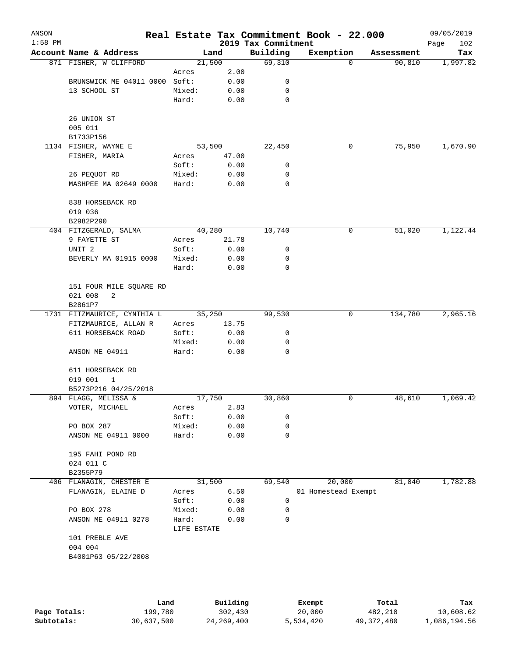| ANSON<br>$1:58$ PM |                               |                      |       | 2019 Tax Commitment | Real Estate Tax Commitment Book - 22.000 |            | 09/05/2019<br>Page<br>102 |
|--------------------|-------------------------------|----------------------|-------|---------------------|------------------------------------------|------------|---------------------------|
|                    | Account Name & Address        | Land                 |       | Building            | Exemption                                | Assessment | Tax                       |
|                    | 871 FISHER, W CLIFFORD        | 21,500               |       | 69,310              | 0                                        | 90,810     | 1,997.82                  |
|                    |                               | Acres                | 2.00  |                     |                                          |            |                           |
|                    | BRUNSWICK ME 04011 0000 Soft: |                      | 0.00  | 0                   |                                          |            |                           |
|                    | 13 SCHOOL ST                  | Mixed:               | 0.00  | 0                   |                                          |            |                           |
|                    |                               | Hard:                | 0.00  | 0                   |                                          |            |                           |
|                    | 26 UNION ST                   |                      |       |                     |                                          |            |                           |
|                    | 005 011                       |                      |       |                     |                                          |            |                           |
|                    | B1733P156                     |                      |       |                     |                                          |            |                           |
|                    | 1134 FISHER, WAYNE E          | 53,500               |       | 22,450              | 0                                        | 75,950     | 1,670.90                  |
|                    | FISHER, MARIA                 | Acres                | 47.00 |                     |                                          |            |                           |
|                    |                               | Soft:                | 0.00  | 0                   |                                          |            |                           |
|                    | 26 PEQUOT RD                  | Mixed:               | 0.00  | 0                   |                                          |            |                           |
|                    | MASHPEE MA 02649 0000         | Hard:                | 0.00  | $\mathbf 0$         |                                          |            |                           |
|                    |                               |                      |       |                     |                                          |            |                           |
|                    | 838 HORSEBACK RD              |                      |       |                     |                                          |            |                           |
|                    | 019 036<br>B2982P290          |                      |       |                     |                                          |            |                           |
|                    | 404 FITZGERALD, SALMA         | 40,280               |       | 10,740              | 0                                        | 51,020     | 1,122.44                  |
|                    | 9 FAYETTE ST                  | Acres                | 21.78 |                     |                                          |            |                           |
|                    | UNIT <sub>2</sub>             | Soft:                | 0.00  | 0                   |                                          |            |                           |
|                    | BEVERLY MA 01915 0000         | Mixed:               | 0.00  | 0                   |                                          |            |                           |
|                    |                               | Hard:                | 0.00  | 0                   |                                          |            |                           |
|                    |                               |                      |       |                     |                                          |            |                           |
|                    | 151 FOUR MILE SQUARE RD       |                      |       |                     |                                          |            |                           |
|                    | 021 008<br>2                  |                      |       |                     |                                          |            |                           |
|                    | B2861P7                       |                      |       |                     |                                          |            |                           |
|                    | 1731 FITZMAURICE, CYNTHIA L   | 35,250               |       | 99,530              | 0                                        | 134,780    | 2,965.16                  |
|                    | FITZMAURICE, ALLAN R          | Acres                | 13.75 |                     |                                          |            |                           |
|                    | 611 HORSEBACK ROAD            | Soft:                | 0.00  | 0                   |                                          |            |                           |
|                    |                               | Mixed:               | 0.00  | 0                   |                                          |            |                           |
|                    | ANSON ME 04911                | Hard:                | 0.00  | 0                   |                                          |            |                           |
|                    | 611 HORSEBACK RD              |                      |       |                     |                                          |            |                           |
|                    | 019 001<br>1                  |                      |       |                     |                                          |            |                           |
|                    | B5273P216 04/25/2018          |                      |       |                     |                                          |            |                           |
|                    | 894 FLAGG, MELISSA &          | 17,750               |       | 30,860              | 0                                        | 48,610     | 1,069.42                  |
|                    | VOTER, MICHAEL                | Acres                | 2.83  |                     |                                          |            |                           |
|                    |                               | Soft:                | 0.00  | 0                   |                                          |            |                           |
|                    | PO BOX 287                    | Mixed:               | 0.00  | 0                   |                                          |            |                           |
|                    | ANSON ME 04911 0000           | Hard:                | 0.00  | 0                   |                                          |            |                           |
|                    |                               |                      |       |                     |                                          |            |                           |
|                    | 195 FAHI POND RD              |                      |       |                     |                                          |            |                           |
|                    | 024 011 C                     |                      |       |                     |                                          |            |                           |
|                    | B2355P79                      |                      |       |                     |                                          |            |                           |
|                    | 406 FLANAGIN, CHESTER E       | 31,500               |       | 69,540              | 20,000                                   | 81,040     | 1,782.88                  |
|                    | FLANAGIN, ELAINE D            | Acres                | 6.50  |                     | 01 Homestead Exempt                      |            |                           |
|                    |                               | Soft:                | 0.00  | 0                   |                                          |            |                           |
|                    | PO BOX 278                    | Mixed:               | 0.00  | 0                   |                                          |            |                           |
|                    | ANSON ME 04911 0278           | Hard:<br>LIFE ESTATE | 0.00  | 0                   |                                          |            |                           |
|                    | 101 PREBLE AVE                |                      |       |                     |                                          |            |                           |
|                    | 004 004                       |                      |       |                     |                                          |            |                           |
|                    | B4001P63 05/22/2008           |                      |       |                     |                                          |            |                           |
|                    |                               |                      |       |                     |                                          |            |                           |
|                    |                               |                      |       |                     |                                          |            |                           |
|                    |                               |                      |       |                     |                                          |            |                           |
|                    |                               |                      |       |                     |                                          |            |                           |

|              | Land       | Building     | Exempt    | Total        | Tax          |
|--------------|------------|--------------|-----------|--------------|--------------|
| Page Totals: | 199,780    | 302,430      | 20,000    | 482,210      | 10,608.62    |
| Subtotals:   | 30,637,500 | 24, 269, 400 | 5,534,420 | 49, 372, 480 | 1,086,194.56 |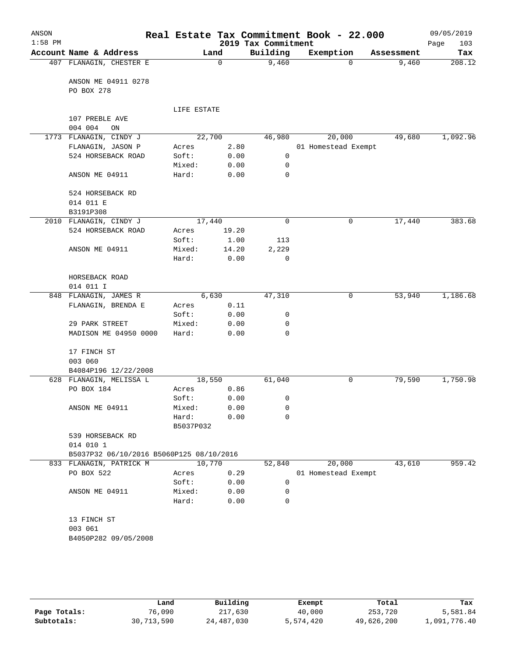| ANSON<br>$1:58$ PM |                                          |                    |              | 2019 Tax Commitment | Real Estate Tax Commitment Book - 22.000 |            | 09/05/2019<br>103<br>Page |
|--------------------|------------------------------------------|--------------------|--------------|---------------------|------------------------------------------|------------|---------------------------|
|                    | Account Name & Address                   |                    | Land         | Building            | Exemption                                | Assessment | Tax                       |
|                    | 407 FLANAGIN, CHESTER E                  |                    | 0            | 9,460               | $\Omega$                                 | 9,460      | 208.12                    |
|                    | ANSON ME 04911 0278<br>PO BOX 278        |                    |              |                     |                                          |            |                           |
|                    |                                          |                    |              |                     |                                          |            |                           |
|                    | 107 PREBLE AVE                           | LIFE ESTATE        |              |                     |                                          |            |                           |
|                    | 004 004<br>ON                            |                    |              |                     |                                          |            |                           |
|                    | 1773 FLANAGIN, CINDY J                   | 22,700             |              | 46,980              | 20,000                                   | 49,680     | 1,092.96                  |
|                    | FLANAGIN, JASON P                        | Acres              | 2.80         |                     | 01 Homestead Exempt                      |            |                           |
|                    | 524 HORSEBACK ROAD                       | Soft:              | 0.00         | 0                   |                                          |            |                           |
|                    |                                          | Mixed:             | 0.00         | 0                   |                                          |            |                           |
|                    | ANSON ME 04911                           | Hard:              | 0.00         | 0                   |                                          |            |                           |
|                    | 524 HORSEBACK RD<br>014 011 E            |                    |              |                     |                                          |            |                           |
|                    | B3191P308                                |                    |              |                     |                                          |            |                           |
|                    | 2010 FLANAGIN, CINDY J                   | 17,440             |              | $\mathbf 0$         | $\mathbf 0$                              | 17,440     | 383.68                    |
|                    | 524 HORSEBACK ROAD                       | Acres              | 19.20        |                     |                                          |            |                           |
|                    |                                          | Soft:              | 1.00         | 113                 |                                          |            |                           |
|                    | ANSON ME 04911                           | Mixed:             | 14.20        | 2,229               |                                          |            |                           |
|                    |                                          | Hard:              | 0.00         | 0                   |                                          |            |                           |
|                    | HORSEBACK ROAD<br>014 011 I              |                    |              |                     |                                          |            |                           |
| 848                | FLANAGIN, JAMES R                        |                    | 6,630        | 47,310              | $\mathbf 0$                              | 53,940     | 1,186.68                  |
|                    | FLANAGIN, BRENDA E                       | Acres              | 0.11         |                     |                                          |            |                           |
|                    |                                          | Soft:              | 0.00         | 0                   |                                          |            |                           |
|                    | 29 PARK STREET                           | Mixed:             | 0.00         | 0                   |                                          |            |                           |
|                    | MADISON ME 04950 0000                    | Hard:              | 0.00         | 0                   |                                          |            |                           |
|                    | 17 FINCH ST                              |                    |              |                     |                                          |            |                           |
|                    | 003 060                                  |                    |              |                     |                                          |            |                           |
|                    | B4084P196 12/22/2008                     |                    |              |                     |                                          |            |                           |
|                    | 628 FLANAGIN, MELISSA L                  | 18,550             |              | 61,040              | 0                                        | 79,590     | 1,750.98                  |
|                    | PO BOX 184                               | Acres              | 0.86         |                     |                                          |            |                           |
|                    |                                          | Soft:              | 0.00         | 0                   |                                          |            |                           |
|                    | ANSON ME 04911                           | Mixed:             | 0.00         | 0                   |                                          |            |                           |
|                    |                                          | Hard:<br>B5037P032 | 0.00         | 0                   |                                          |            |                           |
|                    | 539 HORSEBACK RD<br>014 010 1            |                    |              |                     |                                          |            |                           |
|                    | B5037P32 06/10/2016 B5060P125 08/10/2016 |                    |              |                     |                                          |            |                           |
|                    | 833 FLANAGIN, PATRICK M                  | 10,770             |              | 52,840              | 20,000                                   | 43,610     | 959.42                    |
|                    | PO BOX 522                               | Acres              | 0.29         |                     | 01 Homestead Exempt                      |            |                           |
|                    |                                          | Soft:              | 0.00         | 0                   |                                          |            |                           |
|                    | ANSON ME 04911                           | Mixed:<br>Hard:    | 0.00<br>0.00 | 0<br>0              |                                          |            |                           |
|                    |                                          |                    |              |                     |                                          |            |                           |
|                    | 13 FINCH ST                              |                    |              |                     |                                          |            |                           |
|                    | 003 061                                  |                    |              |                     |                                          |            |                           |
|                    | B4050P282 09/05/2008                     |                    |              |                     |                                          |            |                           |
|                    |                                          |                    |              |                     |                                          |            |                           |

|              | Land       | Building   | Exempt    | Total      | Tax          |
|--------------|------------|------------|-----------|------------|--------------|
| Page Totals: | 76,090     | 217,630    | 40,000    | 253,720    | 5,581.84     |
| Subtotals:   | 30,713,590 | 24,487,030 | 5,574,420 | 49,626,200 | l,091,776.40 |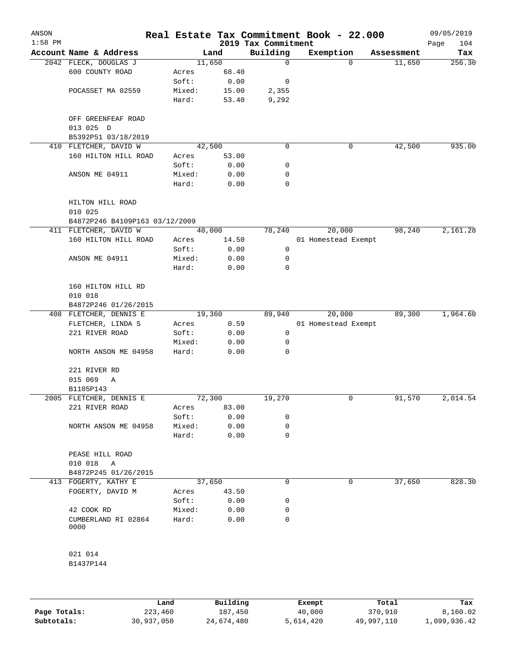| ANSON<br>$1:58$ PM |                                              |        |        | 2019 Tax Commitment | Real Estate Tax Commitment Book - 22.000 |            | 09/05/2019<br>104<br>Page |
|--------------------|----------------------------------------------|--------|--------|---------------------|------------------------------------------|------------|---------------------------|
|                    | Account Name & Address                       |        | Land   | Building            | Exemption                                | Assessment | Tax                       |
|                    | 2042 FLECK, DOUGLAS J                        |        | 11,650 | 0                   | $\Omega$                                 | 11,650     | 256.30                    |
|                    | 600 COUNTY ROAD                              | Acres  | 68.40  |                     |                                          |            |                           |
|                    |                                              | Soft:  | 0.00   | 0                   |                                          |            |                           |
|                    | POCASSET MA 02559                            | Mixed: | 15.00  | 2,355               |                                          |            |                           |
|                    |                                              | Hard:  | 53.40  | 9,292               |                                          |            |                           |
|                    | OFF GREENFEAF ROAD                           |        |        |                     |                                          |            |                           |
|                    | 013 025 D                                    |        |        |                     |                                          |            |                           |
|                    | B5392P51 03/18/2019<br>410 FLETCHER, DAVID W |        | 42,500 | 0                   | 0                                        | 42,500     | 935.00                    |
|                    | 160 HILTON HILL ROAD                         | Acres  | 53.00  |                     |                                          |            |                           |
|                    |                                              | Soft:  | 0.00   | 0                   |                                          |            |                           |
|                    | ANSON ME 04911                               | Mixed: | 0.00   | 0                   |                                          |            |                           |
|                    |                                              | Hard:  | 0.00   | 0                   |                                          |            |                           |
|                    | HILTON HILL ROAD                             |        |        |                     |                                          |            |                           |
|                    | 010 025                                      |        |        |                     |                                          |            |                           |
|                    | B4872P246 B4109P163 03/12/2009               |        |        |                     |                                          |            |                           |
|                    | 411 FLETCHER, DAVID W                        |        | 40,000 | 78,240              | 20,000                                   | 98,240     | 2,161.28                  |
|                    | 160 HILTON HILL ROAD                         | Acres  | 14.50  |                     | 01 Homestead Exempt                      |            |                           |
|                    |                                              | Soft:  | 0.00   | $\mathbf 0$         |                                          |            |                           |
|                    | ANSON ME 04911                               | Mixed: | 0.00   | 0                   |                                          |            |                           |
|                    |                                              | Hard:  | 0.00   | 0                   |                                          |            |                           |
|                    | 160 HILTON HILL RD                           |        |        |                     |                                          |            |                           |
|                    | 010 018                                      |        |        |                     |                                          |            |                           |
|                    | B4872P246 01/26/2015                         |        |        |                     |                                          |            |                           |
|                    | 408 FLETCHER, DENNIS E                       |        | 19,360 | 89,940              | 20,000                                   | 89,300     | 1,964.60                  |
|                    | FLETCHER, LINDA S                            | Acres  | 0.59   |                     | 01 Homestead Exempt                      |            |                           |
|                    | 221 RIVER ROAD                               | Soft:  | 0.00   | 0                   |                                          |            |                           |
|                    |                                              | Mixed: | 0.00   | 0                   |                                          |            |                           |
|                    | NORTH ANSON ME 04958                         | Hard:  | 0.00   | 0                   |                                          |            |                           |
|                    | 221 RIVER RD                                 |        |        |                     |                                          |            |                           |
|                    | 015 069<br>Α                                 |        |        |                     |                                          |            |                           |
|                    | B1105P143                                    |        |        |                     |                                          |            |                           |
|                    | 2005 FLETCHER, DENNIS E                      |        | 72,300 | 19,270              | 0                                        | 91,570     | 2,014.54                  |
|                    | 221 RIVER ROAD                               | Acres  | 83.00  |                     |                                          |            |                           |
|                    |                                              | Soft:  | 0.00   | 0                   |                                          |            |                           |
|                    | NORTH ANSON ME 04958                         | Mixed: | 0.00   | 0                   |                                          |            |                           |
|                    |                                              | Hard:  | 0.00   | 0                   |                                          |            |                           |
|                    | PEASE HILL ROAD                              |        |        |                     |                                          |            |                           |
|                    | 010 018<br>A                                 |        |        |                     |                                          |            |                           |
|                    | B4872P245 01/26/2015                         |        |        |                     |                                          |            |                           |
| 413                | FOGERTY, KATHY E                             |        | 37,650 | 0                   | 0                                        | 37,650     | 828.30                    |
|                    | FOGERTY, DAVID M                             | Acres  | 43.50  |                     |                                          |            |                           |
|                    |                                              | Soft:  | 0.00   | 0                   |                                          |            |                           |
|                    | 42 COOK RD                                   | Mixed: | 0.00   | 0                   |                                          |            |                           |
|                    | CUMBERLAND RI 02864<br>0000                  | Hard:  | 0.00   | 0                   |                                          |            |                           |
|                    |                                              |        |        |                     |                                          |            |                           |
|                    | 021 014                                      |        |        |                     |                                          |            |                           |
|                    | B1437P144                                    |        |        |                     |                                          |            |                           |
|                    |                                              |        |        |                     |                                          |            |                           |
|                    |                                              |        |        |                     |                                          |            |                           |

|              | Land       | Building   | Exempt    | Total      | Tax          |
|--------------|------------|------------|-----------|------------|--------------|
| Page Totals: | 223,460    | 187,450    | 40,000    | 370,910    | 8,160.02     |
| Subtotals:   | 30,937,050 | 24,674,480 | 5,614,420 | 49,997,110 | 1,099,936.42 |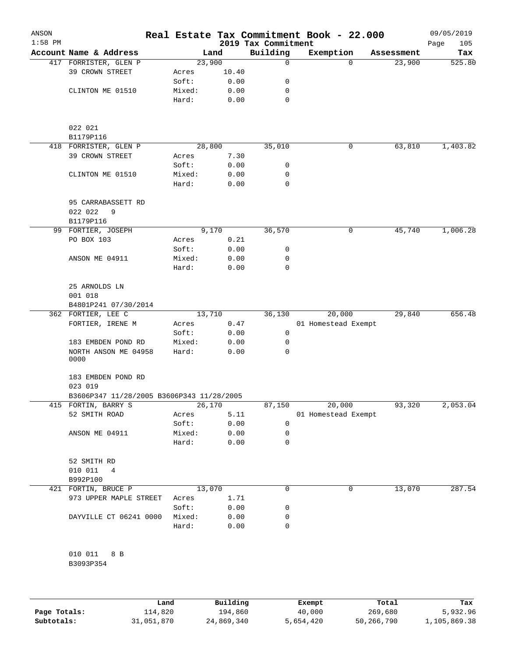| ANSON<br>$1:58$ PM |                                           |        |       | 2019 Tax Commitment | Real Estate Tax Commitment Book - 22.000 |                    | 09/05/2019<br>105<br>Page |
|--------------------|-------------------------------------------|--------|-------|---------------------|------------------------------------------|--------------------|---------------------------|
|                    | Account Name & Address                    | Land   |       | Building            | Exemption                                | Assessment         | Tax                       |
|                    | 417 FORRISTER, GLEN P                     | 23,900 |       | 0                   |                                          | $\Omega$<br>23,900 | 525.80                    |
|                    | 39 CROWN STREET                           | Acres  | 10.40 |                     |                                          |                    |                           |
|                    |                                           | Soft:  | 0.00  | 0                   |                                          |                    |                           |
|                    | CLINTON ME 01510                          | Mixed: | 0.00  | 0                   |                                          |                    |                           |
|                    |                                           | Hard:  | 0.00  | 0                   |                                          |                    |                           |
|                    | 022 021<br>B1179P116                      |        |       |                     |                                          |                    |                           |
|                    | 418 FORRISTER, GLEN P                     | 28,800 |       | 35,010              |                                          | 63,810<br>0        | 1,403.82                  |
|                    | 39 CROWN STREET                           | Acres  | 7.30  |                     |                                          |                    |                           |
|                    |                                           | Soft:  | 0.00  | 0                   |                                          |                    |                           |
|                    | CLINTON ME 01510                          | Mixed: | 0.00  | 0                   |                                          |                    |                           |
|                    |                                           | Hard:  | 0.00  | 0                   |                                          |                    |                           |
|                    | 95 CARRABASSETT RD                        |        |       |                     |                                          |                    |                           |
|                    | 022 022<br>9<br>B1179P116                 |        |       |                     |                                          |                    |                           |
|                    | 99 FORTIER, JOSEPH                        | 9,170  |       | 36,570              |                                          | 0<br>45,740        | 1,006.28                  |
|                    | PO BOX 103                                | Acres  | 0.21  |                     |                                          |                    |                           |
|                    |                                           | Soft:  | 0.00  | 0                   |                                          |                    |                           |
|                    | ANSON ME 04911                            | Mixed: | 0.00  | 0                   |                                          |                    |                           |
|                    |                                           | Hard:  | 0.00  | $\mathbf 0$         |                                          |                    |                           |
|                    | 25 ARNOLDS LN                             |        |       |                     |                                          |                    |                           |
|                    | 001 018                                   |        |       |                     |                                          |                    |                           |
|                    | B4801P241 07/30/2014                      |        |       |                     |                                          |                    |                           |
|                    | 362 FORTIER, LEE C                        | 13,710 |       | 36,130              | 20,000                                   | 29,840             | 656.48                    |
|                    | FORTIER, IRENE M                          | Acres  | 0.47  |                     | 01 Homestead Exempt                      |                    |                           |
|                    |                                           | Soft:  | 0.00  | $\mathsf 0$         |                                          |                    |                           |
|                    | 183 EMBDEN POND RD                        | Mixed: | 0.00  | 0                   |                                          |                    |                           |
|                    | NORTH ANSON ME 04958<br>0000              | Hard:  | 0.00  | $\mathbf 0$         |                                          |                    |                           |
|                    | 183 EMBDEN POND RD<br>023 019             |        |       |                     |                                          |                    |                           |
|                    | B3606P347 11/28/2005 B3606P343 11/28/2005 |        |       |                     |                                          |                    |                           |
|                    | 415 FORTIN, BARRY S                       | 26,170 |       | 87,150              | 20,000                                   | 93,320             | 2,053.04                  |
|                    | 52 SMITH ROAD                             | Acres  | 5.11  |                     | 01 Homestead Exempt                      |                    |                           |
|                    |                                           | Soft:  | 0.00  | 0                   |                                          |                    |                           |
|                    | ANSON ME 04911                            | Mixed: | 0.00  | 0                   |                                          |                    |                           |
|                    |                                           | Hard:  | 0.00  | $\mathbf 0$         |                                          |                    |                           |
|                    | 52 SMITH RD                               |        |       |                     |                                          |                    |                           |
|                    | 010 011<br>$\overline{4}$                 |        |       |                     |                                          |                    |                           |
|                    | B992P100                                  |        |       |                     |                                          |                    |                           |
|                    | 421 FORTIN, BRUCE P                       | 13,070 |       | $\Omega$            |                                          | 13,070<br>0        | 287.54                    |
|                    | 973 UPPER MAPLE STREET                    | Acres  | 1.71  |                     |                                          |                    |                           |
|                    |                                           | Soft:  | 0.00  | 0                   |                                          |                    |                           |
|                    | DAYVILLE CT 06241 0000                    | Mixed: | 0.00  | 0                   |                                          |                    |                           |
|                    |                                           | Hard:  | 0.00  | 0                   |                                          |                    |                           |
|                    | 010 011<br>8 B<br>B3093P354               |        |       |                     |                                          |                    |                           |
|                    |                                           |        |       |                     |                                          |                    |                           |

|              | Land       | Building   | Exempt    | Total      | Tax          |
|--------------|------------|------------|-----------|------------|--------------|
| Page Totals: | 114,820    | 194,860    | 40,000    | 269,680    | 5,932.96     |
| Subtotals:   | 31,051,870 | 24,869,340 | 5,654,420 | 50,266,790 | 1,105,869.38 |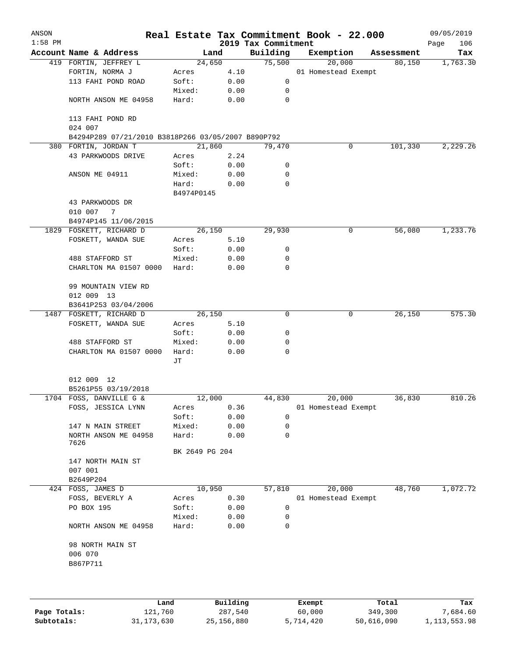| ANSON     |                                                    |                 |              |                                 | Real Estate Tax Commitment Book - 22.000 |            | 09/05/2019         |
|-----------|----------------------------------------------------|-----------------|--------------|---------------------------------|------------------------------------------|------------|--------------------|
| $1:58$ PM | Account Name & Address                             | Land            |              | 2019 Tax Commitment<br>Building | Exemption                                | Assessment | 106<br>Page<br>Tax |
|           | 419 FORTIN, JEFFREY L                              | 24,650          |              | 75,500                          | 20,000                                   | 80,150     | 1,763.30           |
|           | FORTIN, NORMA J                                    | Acres           | 4.10         |                                 | 01 Homestead Exempt                      |            |                    |
|           | 113 FAHI POND ROAD                                 | Soft:           | 0.00         | 0                               |                                          |            |                    |
|           |                                                    | Mixed:          | 0.00         | 0                               |                                          |            |                    |
|           | NORTH ANSON ME 04958                               | Hard:           | 0.00         | $\mathbf 0$                     |                                          |            |                    |
|           | 113 FAHI POND RD<br>024 007                        |                 |              |                                 |                                          |            |                    |
|           | B4294P289 07/21/2010 B3818P266 03/05/2007 B890P792 |                 |              |                                 |                                          |            |                    |
|           | 380 FORTIN, JORDAN T                               | 21,860          |              | 79,470                          | 0                                        | 101,330    | 2,229.26           |
|           | 43 PARKWOODS DRIVE                                 | Acres           | 2.24         |                                 |                                          |            |                    |
|           |                                                    | Soft:           | 0.00         | 0                               |                                          |            |                    |
|           | ANSON ME 04911                                     | Mixed:          | 0.00         | 0                               |                                          |            |                    |
|           |                                                    | Hard:           | 0.00         | $\Omega$                        |                                          |            |                    |
|           |                                                    | B4974P0145      |              |                                 |                                          |            |                    |
|           | 43 PARKWOODS DR                                    |                 |              |                                 |                                          |            |                    |
|           | 010 007<br>7                                       |                 |              |                                 |                                          |            |                    |
|           | B4974P145 11/06/2015                               |                 |              |                                 |                                          |            |                    |
|           | 1829 FOSKETT, RICHARD D                            | 26,150          |              | 29,930                          | 0                                        | 56,080     | 1,233.76           |
|           | FOSKETT, WANDA SUE                                 | Acres           | 5.10         |                                 |                                          |            |                    |
|           |                                                    | Soft:           | 0.00         | 0                               |                                          |            |                    |
|           | 488 STAFFORD ST                                    | Mixed:          | 0.00         | $\mathbf 0$                     |                                          |            |                    |
|           | CHARLTON MA 01507 0000                             | Hard:           | 0.00         | $\mathbf 0$                     |                                          |            |                    |
|           | 99 MOUNTAIN VIEW RD<br>012 009 13                  |                 |              |                                 |                                          |            |                    |
|           | B3641P253 03/04/2006                               |                 |              |                                 |                                          |            |                    |
|           | 1487 FOSKETT, RICHARD D                            | 26,150          |              | 0                               | 0                                        | 26,150     | 575.30             |
|           | FOSKETT, WANDA SUE                                 | Acres           | 5.10         |                                 |                                          |            |                    |
|           |                                                    | Soft:           | 0.00         | 0                               |                                          |            |                    |
|           | 488 STAFFORD ST                                    | Mixed:          | 0.00         | 0                               |                                          |            |                    |
|           | CHARLTON MA 01507 0000                             | Hard:           | 0.00         | 0                               |                                          |            |                    |
|           |                                                    | JТ              |              |                                 |                                          |            |                    |
|           | 012 009 12                                         |                 |              |                                 |                                          |            |                    |
|           | B5261P55 03/19/2018                                |                 |              |                                 |                                          |            |                    |
|           | 1704 FOSS, DANVILLE G &                            | 12,000          |              | 44,830                          | 20,000                                   | 36,830     | 810.26             |
|           | FOSS, JESSICA LYNN                                 | Acres           | 0.36         |                                 | 01 Homestead Exempt                      |            |                    |
|           |                                                    | Soft:           | 0.00         | 0                               |                                          |            |                    |
|           | 147 N MAIN STREET                                  | Mixed:          | 0.00         | 0                               |                                          |            |                    |
|           | NORTH ANSON ME 04958<br>7626                       | Hard:           | 0.00         | 0                               |                                          |            |                    |
|           |                                                    | BK 2649 PG 204  |              |                                 |                                          |            |                    |
|           | 147 NORTH MAIN ST<br>007 001                       |                 |              |                                 |                                          |            |                    |
|           | B2649P204                                          |                 |              |                                 |                                          |            |                    |
|           | 424 FOSS, JAMES D                                  | 10,950          |              | 57,810                          | 20,000                                   | 48,760     | 1,072.72           |
|           | FOSS, BEVERLY A                                    | Acres           | 0.30         |                                 | 01 Homestead Exempt                      |            |                    |
|           | PO BOX 195                                         | Soft:           | 0.00         | 0                               |                                          |            |                    |
|           |                                                    |                 |              | 0                               |                                          |            |                    |
|           | NORTH ANSON ME 04958                               | Mixed:<br>Hard: | 0.00<br>0.00 | 0                               |                                          |            |                    |
|           | 98 NORTH MAIN ST                                   |                 |              |                                 |                                          |            |                    |
|           | 006 070<br>B867P711                                |                 |              |                                 |                                          |            |                    |
|           |                                                    |                 |              |                                 |                                          |            |                    |
|           |                                                    |                 |              |                                 |                                          |            |                    |
|           |                                                    |                 |              |                                 |                                          |            |                    |

|              | Land         | Building   | Exempt    | Total      | Tax            |
|--------------|--------------|------------|-----------|------------|----------------|
| Page Totals: | 121,760      | 287,540    | 60,000    | 349,300    | 7,684.60       |
| Subtotals:   | 31, 173, 630 | 25,156,880 | 5,714,420 | 50,616,090 | 1, 113, 553.98 |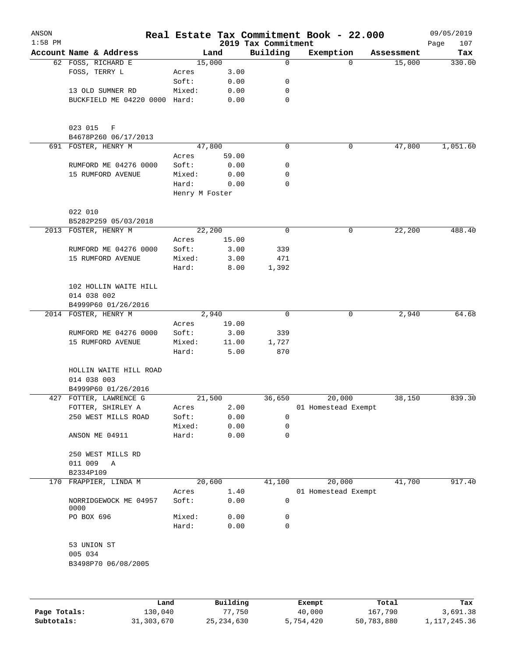| ANSON<br>$1:58$ PM |                                       |                 |                                     | 2019 Tax Commitment | Real Estate Tax Commitment Book - 22.000 |            | 09/05/2019<br>107<br>Page |
|--------------------|---------------------------------------|-----------------|-------------------------------------|---------------------|------------------------------------------|------------|---------------------------|
|                    | Account Name & Address                |                 | Land                                | Building            | Exemption                                | Assessment | Tax                       |
|                    | 62 FOSS, RICHARD E                    | 15,000          |                                     | $\mathbf 0$         | $\Omega$                                 | 15,000     | 330.00                    |
|                    | FOSS, TERRY L                         | Acres           | 3.00                                |                     |                                          |            |                           |
|                    |                                       | Soft:           | 0.00                                | 0                   |                                          |            |                           |
|                    | 13 OLD SUMNER RD                      | Mixed:          | 0.00                                | 0                   |                                          |            |                           |
|                    | BUCKFIELD ME 04220 0000 Hard:         |                 | 0.00                                | $\mathbf 0$         |                                          |            |                           |
|                    | 023 015<br>F<br>B4678P260 06/17/2013  |                 |                                     |                     |                                          |            |                           |
|                    | 691 FOSTER, HENRY M                   | 47,800          |                                     | 0                   | 0                                        | 47,800     | 1,051.60                  |
|                    |                                       | Acres           | 59.00                               |                     |                                          |            |                           |
|                    | RUMFORD ME 04276 0000                 | Soft:           | 0.00                                | 0                   |                                          |            |                           |
|                    | 15 RUMFORD AVENUE                     | Mixed:          | 0.00                                | 0                   |                                          |            |                           |
|                    |                                       | Hard:           | 0.00                                | 0                   |                                          |            |                           |
|                    |                                       | Henry M Foster  |                                     |                     |                                          |            |                           |
|                    | 022 010<br>B5282P259 05/03/2018       |                 |                                     |                     |                                          |            |                           |
|                    | 2013 FOSTER, HENRY M                  | 22,200          |                                     | 0                   | 0                                        | 22,200     | 488.40                    |
|                    |                                       | Acres           | 15.00                               |                     |                                          |            |                           |
|                    | RUMFORD ME 04276 0000                 | Soft:           | 3.00                                | 339                 |                                          |            |                           |
|                    | 15 RUMFORD AVENUE                     | Mixed:          | 3.00                                | 471                 |                                          |            |                           |
|                    |                                       | Hard:           | 8.00                                | 1,392               |                                          |            |                           |
|                    | 102 HOLLIN WAITE HILL<br>014 038 002  |                 |                                     |                     |                                          |            |                           |
|                    | B4999P60 01/26/2016                   |                 |                                     |                     |                                          |            |                           |
|                    | 2014 FOSTER, HENRY M                  |                 | 2,940                               | 0                   | 0                                        | 2,940      | 64.68                     |
|                    |                                       | Acres           | 19.00                               |                     |                                          |            |                           |
|                    | RUMFORD ME 04276 0000                 | Soft:           | 3.00                                | 339                 |                                          |            |                           |
|                    | 15 RUMFORD AVENUE                     | Mixed:          | 11.00                               | 1,727               |                                          |            |                           |
|                    |                                       | Hard:           | 5.00                                | 870                 |                                          |            |                           |
|                    | HOLLIN WAITE HILL ROAD<br>014 038 003 |                 |                                     |                     |                                          |            |                           |
|                    | B4999P60 01/26/2016                   |                 |                                     |                     |                                          |            |                           |
|                    | 427 FOTTER, LAWRENCE G                | 21,500          |                                     | 36,650              | 20,000                                   | 38,150     | 839.30                    |
|                    | FOTTER, SHIRLEY A                     | Acres           | 2.00                                |                     | 01 Homestead Exempt                      |            |                           |
|                    | 250 WEST MILLS ROAD                   | Soft:           | 0.00                                | 0                   |                                          |            |                           |
|                    |                                       | Mixed:          | 0.00                                | 0                   |                                          |            |                           |
|                    | ANSON ME 04911                        | Hard:           | 0.00                                | 0                   |                                          |            |                           |
|                    | 250 WEST MILLS RD                     |                 |                                     |                     |                                          |            |                           |
|                    | 011 009<br>Α                          |                 |                                     |                     |                                          |            |                           |
|                    | B2334P109                             |                 |                                     |                     |                                          |            |                           |
|                    | 170 FRAPPIER, LINDA M                 | 20,600          |                                     | 41,100              | 20,000                                   | 41,700     | 917.40                    |
|                    |                                       | Acres           | 1.40                                |                     | 01 Homestead Exempt                      |            |                           |
|                    | NORRIDGEWOCK ME 04957<br>0000         | Soft:           | 0.00                                | 0                   |                                          |            |                           |
|                    | PO BOX 696                            | Mixed:<br>Hard: | 0.00<br>0.00                        | 0<br>0              |                                          |            |                           |
|                    | 53 UNION ST                           |                 |                                     |                     |                                          |            |                           |
|                    | 005 034                               |                 |                                     |                     |                                          |            |                           |
|                    | B3498P70 06/08/2005                   |                 |                                     |                     |                                          |            |                           |
|                    |                                       |                 |                                     |                     |                                          |            |                           |
|                    |                                       |                 | $D_{\text{rel}}$ is a set of $\sim$ |                     | $P$ ucamat                               | $T - + -1$ |                           |

|              | Land       | Building     | Exempt    | Total      | Tax          |
|--------------|------------|--------------|-----------|------------|--------------|
| Page Totals: | 130,040    | 77.750       | 40,000    | 167,790    | 3,691.38     |
| Subtotals:   | 31,303,670 | 25, 234, 630 | 5,754,420 | 50,783,880 | 1,117,245.36 |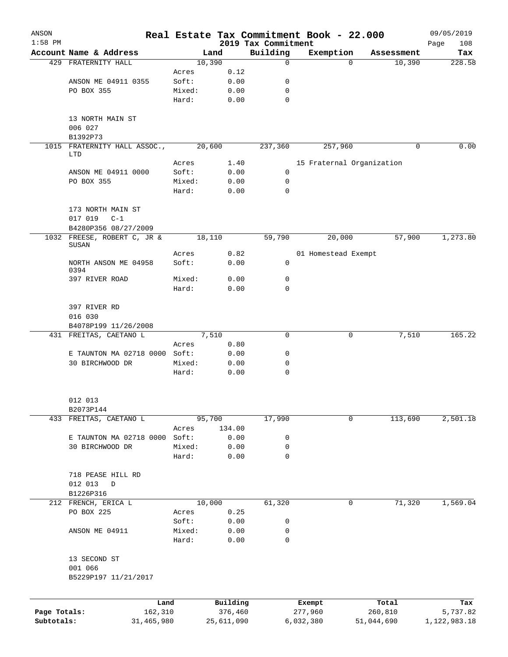| ANSON      |                                                 |        |                       |                                 | Real Estate Tax Commitment Book - 22.000 |                           | 09/05/2019               |
|------------|-------------------------------------------------|--------|-----------------------|---------------------------------|------------------------------------------|---------------------------|--------------------------|
| $1:58$ PM  | Account Name & Address                          |        | Land                  | 2019 Tax Commitment<br>Building | Exemption                                | Assessment                | 108<br>Page<br>Tax       |
|            | 429 FRATERNITY HALL                             |        | 10,390                | $\mathbf 0$                     |                                          | 10,390<br>$\Omega$        | 228.58                   |
|            |                                                 | Acres  | 0.12                  |                                 |                                          |                           |                          |
|            | ANSON ME 04911 0355                             | Soft:  | 0.00                  | 0                               |                                          |                           |                          |
|            | PO BOX 355                                      | Mixed: | 0.00                  | 0                               |                                          |                           |                          |
|            |                                                 | Hard:  | 0.00                  | $\mathbf 0$                     |                                          |                           |                          |
|            | 13 NORTH MAIN ST<br>006 027                     |        |                       |                                 |                                          |                           |                          |
|            | B1392P73                                        |        |                       |                                 |                                          |                           |                          |
|            | 1015 FRATERNITY HALL ASSOC.,<br>LTD             |        | 20,600                | 237,360                         | 257,960                                  |                           | 0.00<br>$\Omega$         |
|            |                                                 | Acres  | 1.40                  |                                 |                                          | 15 Fraternal Organization |                          |
|            | ANSON ME 04911 0000                             | Soft:  | 0.00                  | $\mathbf 0$                     |                                          |                           |                          |
|            | PO BOX 355                                      | Mixed: | 0.00                  | 0                               |                                          |                           |                          |
|            |                                                 | Hard:  | 0.00                  | 0                               |                                          |                           |                          |
|            | 173 NORTH MAIN ST<br>017 019 C-1                |        |                       |                                 |                                          |                           |                          |
|            | B4280P356 08/27/2009                            |        |                       |                                 |                                          |                           |                          |
|            | 1032 FREESE, ROBERT C, JR &<br>SUSAN            |        | 18,110                | 59,790                          | 20,000                                   | 57,900                    | 1,273.80                 |
|            |                                                 | Acres  | 0.82                  |                                 | 01 Homestead Exempt                      |                           |                          |
|            | NORTH ANSON ME 04958<br>0394                    | Soft:  | 0.00                  | $\mathbf 0$                     |                                          |                           |                          |
|            | 397 RIVER ROAD                                  | Mixed: | 0.00                  | 0                               |                                          |                           |                          |
|            |                                                 | Hard:  | 0.00                  | $\mathbf 0$                     |                                          |                           |                          |
|            | 397 RIVER RD<br>016 030                         |        |                       |                                 |                                          |                           |                          |
|            | B4078P199 11/26/2008                            |        |                       |                                 |                                          |                           |                          |
|            | 431 FREITAS, CAETANO L                          |        | 7,510                 | 0                               |                                          | 7,510<br>0                | 165.22                   |
|            |                                                 | Acres  | 0.80                  |                                 |                                          |                           |                          |
|            | E TAUNTON MA 02718 0000 Soft:                   |        | 0.00                  | 0                               |                                          |                           |                          |
|            | 30 BIRCHWOOD DR                                 | Mixed: | 0.00                  | 0                               |                                          |                           |                          |
|            |                                                 | Hard:  | 0.00                  | $\mathbf 0$                     |                                          |                           |                          |
|            | 012 013<br>B2073P144                            |        |                       |                                 |                                          |                           |                          |
|            | 433 FREITAS, CAETANO L                          |        | 95,700                | 17,990                          |                                          | 113,690<br>0              | 2,501.18                 |
|            |                                                 | Acres  | 134.00                |                                 |                                          |                           |                          |
|            | E TAUNTON MA 02718 0000                         | Soft:  | 0.00                  | 0                               |                                          |                           |                          |
|            | 30 BIRCHWOOD DR                                 | Mixed: | 0.00                  | 0                               |                                          |                           |                          |
|            |                                                 | Hard:  | 0.00                  | 0                               |                                          |                           |                          |
|            | 718 PEASE HILL RD                               |        |                       |                                 |                                          |                           |                          |
|            | 012 013<br>D<br>B1226P316                       |        |                       |                                 |                                          |                           |                          |
|            | 212 FRENCH, ERICA L                             |        | 10,000                | 61,320                          |                                          | 71,320<br>0               | 1,569.04                 |
|            | PO BOX 225                                      | Acres  | 0.25                  |                                 |                                          |                           |                          |
|            |                                                 | Soft:  | 0.00                  | 0                               |                                          |                           |                          |
|            | ANSON ME 04911                                  | Mixed: | 0.00                  | 0                               |                                          |                           |                          |
|            |                                                 | Hard:  | 0.00                  | 0                               |                                          |                           |                          |
|            | 13 SECOND ST<br>001 066<br>B5229P197 11/21/2017 |        |                       |                                 |                                          |                           |                          |
|            |                                                 |        |                       |                                 |                                          |                           |                          |
|            | Land<br>Page Totals:                            |        | Building              |                                 | Exempt                                   | Total                     | Tax                      |
| Subtotals: | 162,310<br>31,465,980                           |        | 376,460<br>25,611,090 |                                 | 277,960<br>6,032,380                     | 260,810<br>51,044,690     | 5,737.82<br>1,122,983.18 |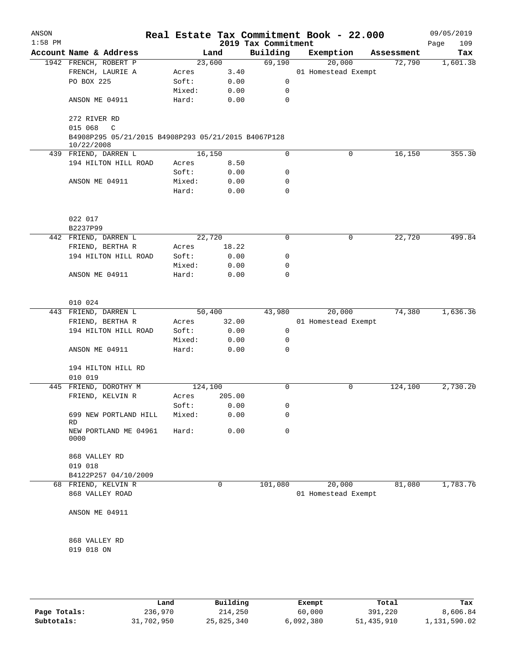| ANSON<br>$1:58$ PM |                                                                                   |         |        | 2019 Tax Commitment | Real Estate Tax Commitment Book - 22.000 |            | 09/05/2019<br>109<br>Page |
|--------------------|-----------------------------------------------------------------------------------|---------|--------|---------------------|------------------------------------------|------------|---------------------------|
|                    | Account Name & Address                                                            |         | Land   | Building            | Exemption                                | Assessment | Tax                       |
|                    | 1942 FRENCH, ROBERT P                                                             | 23,600  |        | 69,190              | 20,000                                   | 72,790     | 1,601.38                  |
|                    | FRENCH, LAURIE A                                                                  | Acres   | 3.40   |                     | 01 Homestead Exempt                      |            |                           |
|                    | PO BOX 225                                                                        | Soft:   | 0.00   | 0                   |                                          |            |                           |
|                    |                                                                                   | Mixed:  | 0.00   | 0                   |                                          |            |                           |
|                    | ANSON ME 04911                                                                    | Hard:   | 0.00   | $\mathbf 0$         |                                          |            |                           |
|                    | 272 RIVER RD                                                                      |         |        |                     |                                          |            |                           |
|                    | 015 068<br>C<br>B4908P295 05/21/2015 B4908P293 05/21/2015 B4067P128<br>10/22/2008 |         |        |                     |                                          |            |                           |
|                    | 439 FRIEND, DARREN L                                                              | 16,150  |        | 0                   | 0                                        | 16,150     | 355.30                    |
|                    | 194 HILTON HILL ROAD                                                              | Acres   | 8.50   |                     |                                          |            |                           |
|                    |                                                                                   | Soft:   | 0.00   | 0                   |                                          |            |                           |
|                    | ANSON ME 04911                                                                    | Mixed:  | 0.00   | 0                   |                                          |            |                           |
|                    |                                                                                   | Hard:   | 0.00   | $\mathbf 0$         |                                          |            |                           |
|                    | 022 017                                                                           |         |        |                     |                                          |            |                           |
|                    | B2237P99                                                                          |         |        |                     |                                          |            |                           |
|                    | 442 FRIEND, DARREN L                                                              | 22,720  |        | 0                   | 0                                        | 22,720     | 499.84                    |
|                    | FRIEND, BERTHA R                                                                  | Acres   | 18.22  |                     |                                          |            |                           |
|                    | 194 HILTON HILL ROAD                                                              | Soft:   | 0.00   | 0                   |                                          |            |                           |
|                    |                                                                                   | Mixed:  | 0.00   | 0                   |                                          |            |                           |
|                    | ANSON ME 04911                                                                    | Hard:   | 0.00   | $\mathbf 0$         |                                          |            |                           |
|                    | 010 024                                                                           |         |        |                     |                                          |            |                           |
|                    | 443 FRIEND, DARREN L                                                              | 50,400  |        | 43,980              | 20,000                                   | 74,380     | 1,636.36                  |
|                    | FRIEND, BERTHA R                                                                  | Acres   | 32.00  |                     | 01 Homestead Exempt                      |            |                           |
|                    | 194 HILTON HILL ROAD                                                              | Soft:   | 0.00   | 0                   |                                          |            |                           |
|                    |                                                                                   | Mixed:  | 0.00   | 0                   |                                          |            |                           |
|                    | ANSON ME 04911                                                                    | Hard:   | 0.00   | $\mathbf 0$         |                                          |            |                           |
|                    | 194 HILTON HILL RD                                                                |         |        |                     |                                          |            |                           |
|                    | 010 019                                                                           |         |        |                     |                                          |            |                           |
|                    | 445 FRIEND, DOROTHY M                                                             | 124,100 |        | 0                   | 0                                        | 124,100    | 2,730.20                  |
|                    | FRIEND, KELVIN R                                                                  | Acres   | 205.00 |                     |                                          |            |                           |
|                    |                                                                                   | Soft:   | 0.00   | 0                   |                                          |            |                           |
|                    | 699 NEW PORTLAND HILL<br>RD                                                       | Mixed:  | 0.00   | 0                   |                                          |            |                           |
|                    | NEW PORTLAND ME 04961<br>0000                                                     | Hard:   | 0.00   | 0                   |                                          |            |                           |
|                    | 868 VALLEY RD                                                                     |         |        |                     |                                          |            |                           |
|                    | 019 018                                                                           |         |        |                     |                                          |            |                           |
|                    | B4122P257 04/10/2009                                                              |         |        |                     |                                          |            |                           |
|                    | 68 FRIEND, KELVIN R<br>868 VALLEY ROAD                                            |         | 0      | 101,080             | 20,000<br>01 Homestead Exempt            | 81,080     | 1,783.76                  |
|                    | ANSON ME 04911                                                                    |         |        |                     |                                          |            |                           |
|                    | 868 VALLEY RD                                                                     |         |        |                     |                                          |            |                           |
|                    | 019 018 ON                                                                        |         |        |                     |                                          |            |                           |
|                    |                                                                                   |         |        |                     |                                          |            |                           |
|                    |                                                                                   |         |        |                     |                                          |            |                           |

|              | Land       | Building   | Exempt    | Total      | Tax          |
|--------------|------------|------------|-----------|------------|--------------|
| Page Totals: | 236,970    | 214,250    | 60,000    | 391,220    | 8,606.84     |
| Subtotals:   | 31,702,950 | 25,825,340 | 6,092,380 | 51,435,910 | 1,131,590.02 |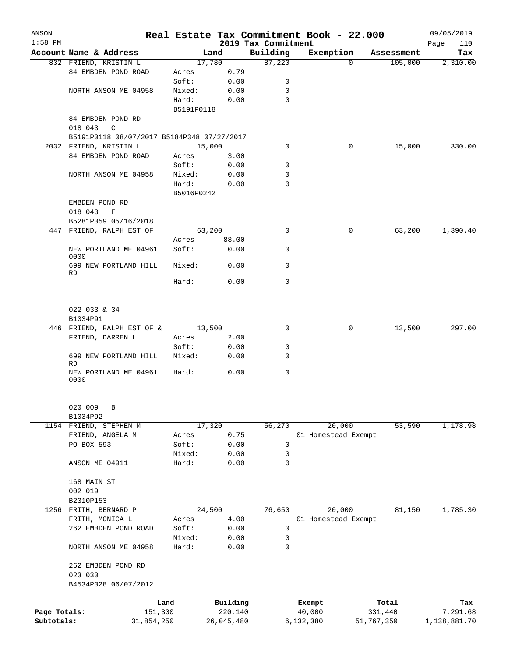| ANSON        |                                            |            |            |                |                     | Real Estate Tax Commitment Book - 22.000 |            |                       | 09/05/2019      |
|--------------|--------------------------------------------|------------|------------|----------------|---------------------|------------------------------------------|------------|-----------------------|-----------------|
| $1:58$ PM    | Account Name & Address                     |            |            |                | 2019 Tax Commitment |                                          |            |                       | Page<br>110     |
|              | 832 FRIEND, KRISTIN L                      |            |            | Land<br>17,780 | Building<br>87,220  | Exemption                                | $\Omega$   | Assessment<br>105,000 | Tax<br>2,310.00 |
|              | 84 EMBDEN POND ROAD                        |            | Acres      | 0.79           |                     |                                          |            |                       |                 |
|              |                                            |            | Soft:      | 0.00           | 0                   |                                          |            |                       |                 |
|              | NORTH ANSON ME 04958                       |            |            |                | $\mathbf 0$         |                                          |            |                       |                 |
|              |                                            |            | Mixed:     | 0.00           |                     |                                          |            |                       |                 |
|              |                                            |            | Hard:      | 0.00           | $\mathbf 0$         |                                          |            |                       |                 |
|              |                                            |            | B5191P0118 |                |                     |                                          |            |                       |                 |
|              | 84 EMBDEN POND RD                          |            |            |                |                     |                                          |            |                       |                 |
|              | 018 043<br>$\mathbb{C}$                    |            |            |                |                     |                                          |            |                       |                 |
|              | B5191P0118 08/07/2017 B5184P348 07/27/2017 |            |            |                |                     |                                          |            |                       |                 |
|              | 2032 FRIEND, KRISTIN L                     |            |            | 15,000         | 0                   |                                          | 0          | 15,000                | 330.00          |
|              | 84 EMBDEN POND ROAD                        |            | Acres      | 3.00           |                     |                                          |            |                       |                 |
|              |                                            |            | Soft:      | 0.00           | 0                   |                                          |            |                       |                 |
|              | NORTH ANSON ME 04958                       |            | Mixed:     | 0.00           | 0                   |                                          |            |                       |                 |
|              |                                            |            | Hard:      | 0.00           | $\mathbf 0$         |                                          |            |                       |                 |
|              |                                            |            | B5016P0242 |                |                     |                                          |            |                       |                 |
|              | EMBDEN POND RD                             |            |            |                |                     |                                          |            |                       |                 |
|              | 018 043<br>F                               |            |            |                |                     |                                          |            |                       |                 |
|              | B5281P359 05/16/2018                       |            |            |                |                     |                                          |            |                       |                 |
|              | 447 FRIEND, RALPH EST OF                   |            |            | 63,200         | $\mathbf 0$         |                                          | 0          | 63,200                | 1,390.40        |
|              |                                            |            | Acres      | 88.00          |                     |                                          |            |                       |                 |
|              | NEW PORTLAND ME 04961                      |            | Soft:      | 0.00           | 0                   |                                          |            |                       |                 |
|              | 0000                                       |            |            |                |                     |                                          |            |                       |                 |
|              | 699 NEW PORTLAND HILL                      |            | Mixed:     | 0.00           | $\mathbf 0$         |                                          |            |                       |                 |
|              | RD                                         |            | Hard:      | 0.00           | $\mathbf 0$         |                                          |            |                       |                 |
|              |                                            |            |            |                |                     |                                          |            |                       |                 |
|              |                                            |            |            |                |                     |                                          |            |                       |                 |
|              | 022 033 & 34                               |            |            |                |                     |                                          |            |                       |                 |
|              | B1034P91                                   |            |            |                |                     |                                          |            |                       |                 |
|              | 446 FRIEND, RALPH EST OF &                 |            | 13,500     |                | 0                   |                                          | 0          | 13,500                | 297.00          |
|              | FRIEND, DARREN L                           |            | Acres      | 2.00           |                     |                                          |            |                       |                 |
|              |                                            |            | Soft:      | 0.00           | 0                   |                                          |            |                       |                 |
|              | 699 NEW PORTLAND HILL                      |            | Mixed:     | 0.00           | $\mathbf 0$         |                                          |            |                       |                 |
|              | RD                                         |            |            |                |                     |                                          |            |                       |                 |
|              | NEW PORTLAND ME 04961                      |            | Hard:      | 0.00           | $\mathbf 0$         |                                          |            |                       |                 |
|              | 0000                                       |            |            |                |                     |                                          |            |                       |                 |
|              | 020 009<br>В                               |            |            |                |                     |                                          |            |                       |                 |
|              | B1034P92                                   |            |            |                |                     |                                          |            |                       |                 |
|              | 1154 FRIEND, STEPHEN M                     |            |            | 17,320         | 56,270              | 20,000                                   |            | 53,590                | 1,178.98        |
|              | FRIEND, ANGELA M                           |            | Acres      | 0.75           |                     | 01 Homestead Exempt                      |            |                       |                 |
|              | PO BOX 593                                 |            |            |                |                     |                                          |            |                       |                 |
|              |                                            |            | Soft:      | 0.00           | 0                   |                                          |            |                       |                 |
|              |                                            |            | Mixed:     | 0.00           | 0                   |                                          |            |                       |                 |
|              | ANSON ME 04911                             |            | Hard:      | 0.00           | 0                   |                                          |            |                       |                 |
|              |                                            |            |            |                |                     |                                          |            |                       |                 |
|              | 168 MAIN ST                                |            |            |                |                     |                                          |            |                       |                 |
|              | 002 019                                    |            |            |                |                     |                                          |            |                       |                 |
|              | B2310P153                                  |            |            |                |                     |                                          |            |                       |                 |
| 1256         | FRITH, BERNARD P                           |            |            | 24,500         | 76,650              | 20,000                                   |            | 81,150                | 1,785.30        |
|              | FRITH, MONICA L                            |            | Acres      | 4.00           |                     | 01 Homestead Exempt                      |            |                       |                 |
|              | 262 EMBDEN POND ROAD                       |            | Soft:      | 0.00           | 0                   |                                          |            |                       |                 |
|              |                                            |            | Mixed:     | 0.00           | 0                   |                                          |            |                       |                 |
|              | NORTH ANSON ME 04958                       |            | Hard:      | 0.00           | $\mathbf 0$         |                                          |            |                       |                 |
|              | 262 EMBDEN POND RD                         |            |            |                |                     |                                          |            |                       |                 |
|              | 023 030                                    |            |            |                |                     |                                          |            |                       |                 |
|              | B4534P328 06/07/2012                       |            |            |                |                     |                                          |            |                       |                 |
|              |                                            |            |            |                |                     |                                          |            |                       |                 |
|              |                                            | Land       |            | Building       |                     | Exempt                                   |            | Total                 | Tax             |
| Page Totals: |                                            | 151,300    |            | 220,140        |                     | 40,000                                   |            | 331,440               | 7,291.68        |
| Subtotals:   |                                            | 31,854,250 |            | 26,045,480     |                     | 6,132,380                                | 51,767,350 |                       | 1,138,881.70    |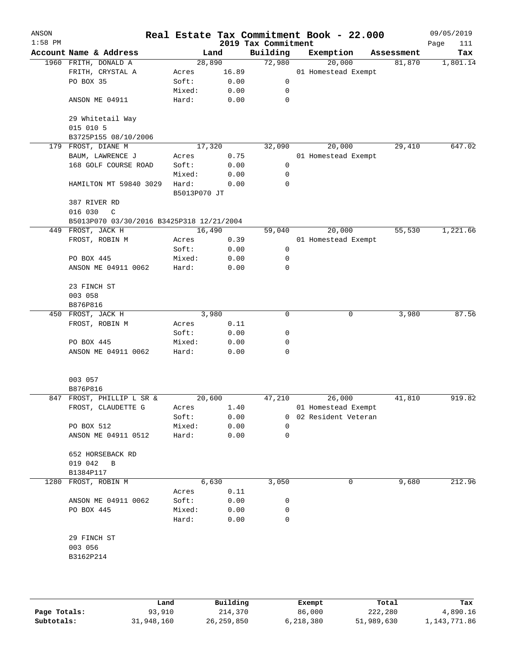| ANSON<br>$1:58$ PM |                                           |              |       | 2019 Tax Commitment | Real Estate Tax Commitment Book - 22.000 |            | 09/05/2019<br>Page<br>111 |
|--------------------|-------------------------------------------|--------------|-------|---------------------|------------------------------------------|------------|---------------------------|
|                    | Account Name & Address                    |              | Land  | Building            | Exemption                                | Assessment | Tax                       |
|                    | 1960 FRITH, DONALD A                      | 28,890       |       | 72,980              | 20,000                                   | 81,870     | 1,801.14                  |
|                    | FRITH, CRYSTAL A                          | Acres        | 16.89 |                     | 01 Homestead Exempt                      |            |                           |
|                    | PO BOX 35                                 | Soft:        | 0.00  | 0                   |                                          |            |                           |
|                    |                                           | Mixed:       | 0.00  | 0                   |                                          |            |                           |
|                    | ANSON ME 04911                            | Hard:        | 0.00  | $\mathbf 0$         |                                          |            |                           |
|                    | 29 Whitetail Way<br>015 010 5             |              |       |                     |                                          |            |                           |
|                    | B3725P155 08/10/2006                      |              |       |                     |                                          |            |                           |
|                    | 179 FROST, DIANE M                        | 17,320       |       | 32,090              | 20,000                                   | 29,410     | 647.02                    |
|                    | BAUM, LAWRENCE J                          | Acres        | 0.75  |                     | 01 Homestead Exempt                      |            |                           |
|                    | 168 GOLF COURSE ROAD                      | Soft:        | 0.00  | 0                   |                                          |            |                           |
|                    |                                           | Mixed:       | 0.00  | 0                   |                                          |            |                           |
|                    | HAMILTON MT 59840 3029                    | Hard:        | 0.00  | 0                   |                                          |            |                           |
|                    |                                           | B5013P070 JT |       |                     |                                          |            |                           |
|                    | 387 RIVER RD                              |              |       |                     |                                          |            |                           |
|                    | 016 030<br>C                              |              |       |                     |                                          |            |                           |
|                    | B5013P070 03/30/2016 B3425P318 12/21/2004 |              |       |                     |                                          |            |                           |
|                    | 449 FROST, JACK H                         | 16,490       |       | 59,040              | 20,000                                   | 55,530     | 1,221.66                  |
|                    | FROST, ROBIN M                            | Acres        | 0.39  |                     | 01 Homestead Exempt                      |            |                           |
|                    |                                           | Soft:        | 0.00  | 0                   |                                          |            |                           |
|                    | PO BOX 445                                | Mixed:       | 0.00  | 0                   |                                          |            |                           |
|                    | ANSON ME 04911 0062                       | Hard:        | 0.00  | 0                   |                                          |            |                           |
|                    | 23 FINCH ST                               |              |       |                     |                                          |            |                           |
|                    | 003 058                                   |              |       |                     |                                          |            |                           |
|                    | B876P816                                  |              |       |                     |                                          |            |                           |
|                    | 450 FROST, JACK H                         |              | 3,980 | 0                   | 0                                        | 3,980      | 87.56                     |
|                    | FROST, ROBIN M                            | Acres        | 0.11  |                     |                                          |            |                           |
|                    |                                           | Soft:        | 0.00  | 0                   |                                          |            |                           |
|                    | PO BOX 445                                | Mixed:       | 0.00  | 0                   |                                          |            |                           |
|                    | ANSON ME 04911 0062                       | Hard:        | 0.00  | 0                   |                                          |            |                           |
|                    | 003 057                                   |              |       |                     |                                          |            |                           |
|                    | B876P816                                  |              |       |                     |                                          |            |                           |
|                    | 847 FROST, PHILLIP L SR &                 | 20,600       |       | 47,210              | 26,000                                   | 41,810     | 919.82                    |
|                    | FROST, CLAUDETTE G                        | Acres        | 1.40  |                     | 01 Homestead Exempt                      |            |                           |
|                    |                                           | Soft:        | 0.00  | 0                   | 02 Resident Veteran                      |            |                           |
|                    | PO BOX 512                                | Mixed:       | 0.00  | 0                   |                                          |            |                           |
|                    | ANSON ME 04911 0512                       | Hard:        | 0.00  | 0                   |                                          |            |                           |
|                    | 652 HORSEBACK RD                          |              |       |                     |                                          |            |                           |
|                    | 019 042<br>$\overline{B}$                 |              |       |                     |                                          |            |                           |
|                    | B1384P117                                 |              |       |                     |                                          |            |                           |
|                    | 1280 FROST, ROBIN M                       |              | 6,630 | 3,050               | 0                                        | 9,680      | 212.96                    |
|                    |                                           | Acres        | 0.11  |                     |                                          |            |                           |
|                    | ANSON ME 04911 0062                       | Soft:        | 0.00  | 0                   |                                          |            |                           |
|                    | PO BOX 445                                | Mixed:       | 0.00  | 0                   |                                          |            |                           |
|                    |                                           | Hard:        | 0.00  | $\mathbf 0$         |                                          |            |                           |
|                    | 29 FINCH ST                               |              |       |                     |                                          |            |                           |
|                    | 003 056                                   |              |       |                     |                                          |            |                           |
|                    | B3162P214                                 |              |       |                     |                                          |            |                           |
|                    |                                           |              |       |                     |                                          |            |                           |
|                    |                                           |              |       |                     |                                          |            |                           |
|                    |                                           |              |       |                     |                                          |            |                           |
|                    |                                           |              |       |                     |                                          |            |                           |

|              | úand       | Building     | Exempt    | Total      | Tax          |
|--------------|------------|--------------|-----------|------------|--------------|
| Page Totals: | 93,910     | 214,370      | 86,000    | 222,280    | 4,890.16     |
| Subtotals:   | 31,948,160 | 26, 259, 850 | 6,218,380 | 51,989,630 | 1,143,771.86 |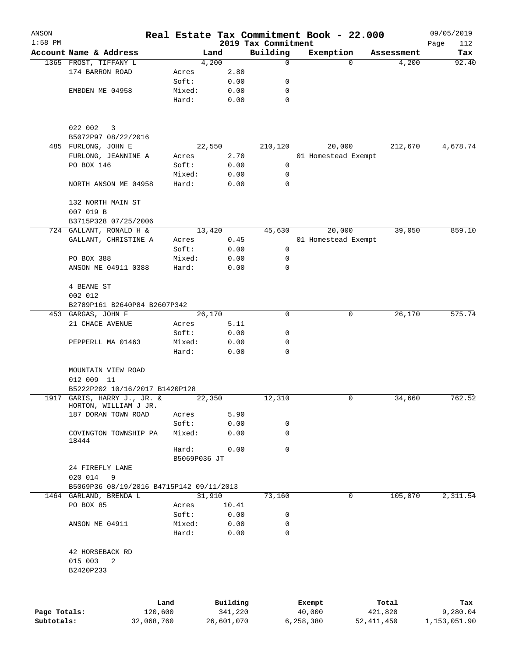| ANSON        |                                              |            |                 |              |                     | Real Estate Tax Commitment Book - 22.000 |              | 09/05/2019   |
|--------------|----------------------------------------------|------------|-----------------|--------------|---------------------|------------------------------------------|--------------|--------------|
| $1:58$ PM    |                                              |            |                 |              | 2019 Tax Commitment |                                          |              | Page<br>112  |
|              | Account Name & Address                       |            |                 | Land         | Building            | Exemption                                | Assessment   | Tax          |
|              | 1365 FROST, TIFFANY L                        |            |                 | 4,200        | $\mathbf 0$         | $\Omega$                                 | 4,200        | 92.40        |
|              | 174 BARRON ROAD                              |            | Acres<br>Soft:  | 2.80<br>0.00 | 0                   |                                          |              |              |
|              | EMBDEN ME 04958                              |            | Mixed:          | 0.00         | 0                   |                                          |              |              |
|              |                                              |            | Hard:           | 0.00         | 0                   |                                          |              |              |
|              |                                              |            |                 |              |                     |                                          |              |              |
|              | 022 002<br>3                                 |            |                 |              |                     |                                          |              |              |
|              | B5072P97 08/22/2016                          |            |                 |              |                     |                                          |              |              |
|              | 485 FURLONG, JOHN E                          |            |                 | 22,550       | 210,120             | 20,000                                   | 212,670      | 4,678.74     |
|              | FURLONG, JEANNINE A                          |            | Acres           | 2.70         |                     | 01 Homestead Exempt                      |              |              |
|              | PO BOX 146                                   |            | Soft:           | 0.00         | 0                   |                                          |              |              |
|              | NORTH ANSON ME 04958                         |            | Mixed:<br>Hard: | 0.00<br>0.00 | 0<br>$\mathbf 0$    |                                          |              |              |
|              |                                              |            |                 |              |                     |                                          |              |              |
|              | 132 NORTH MAIN ST<br>007 019 B               |            |                 |              |                     |                                          |              |              |
|              | B3715P328 07/25/2006                         |            |                 |              |                     |                                          |              |              |
|              | 724 GALLANT, RONALD H &                      |            |                 | 13,420       | 45,630              | 20,000                                   | 39,050       | 859.10       |
|              | GALLANT, CHRISTINE A                         |            | Acres           | 0.45         |                     | 01 Homestead Exempt                      |              |              |
|              |                                              |            | Soft:           | 0.00         | 0                   |                                          |              |              |
|              | PO BOX 388                                   |            | Mixed:          | 0.00         | 0                   |                                          |              |              |
|              | ANSON ME 04911 0388                          |            | Hard:           | 0.00         | 0                   |                                          |              |              |
|              | 4 BEANE ST                                   |            |                 |              |                     |                                          |              |              |
|              | 002 012                                      |            |                 |              |                     |                                          |              |              |
|              | B2789P161 B2640P84 B2607P342                 |            |                 |              |                     |                                          |              |              |
|              | 453 GARGAS, JOHN F                           |            |                 | 26,170       | $\mathbf 0$         | 0                                        | 26,170       | 575.74       |
|              | 21 CHACE AVENUE                              |            | Acres           | 5.11         |                     |                                          |              |              |
|              |                                              |            | Soft:           | 0.00         | 0                   |                                          |              |              |
|              | PEPPERLL MA 01463                            |            | Mixed:          | 0.00         | 0                   |                                          |              |              |
|              |                                              |            | Hard:           | 0.00         | 0                   |                                          |              |              |
|              | MOUNTAIN VIEW ROAD                           |            |                 |              |                     |                                          |              |              |
|              | 012 009 11                                   |            |                 |              |                     |                                          |              |              |
|              | B5222P202 10/16/2017 B1420P128               |            |                 |              |                     |                                          |              |              |
|              | 1917 GARIS, HARRY J., JR. &                  |            |                 | 22,350       | 12,310              | $\mathbf 0$                              | 34,660       | 762.52       |
|              | HORTON, WILLIAM J JR.<br>187 DORAN TOWN ROAD |            | Acres           | 5.90         |                     |                                          |              |              |
|              |                                              |            | Soft:           | 0.00         | 0                   |                                          |              |              |
|              | COVINGTON TOWNSHIP PA                        |            | Mixed:          | 0.00         | 0                   |                                          |              |              |
|              | 18444                                        |            |                 |              |                     |                                          |              |              |
|              |                                              |            | Hard:           | 0.00         | 0                   |                                          |              |              |
|              |                                              |            | B5069P036 JT    |              |                     |                                          |              |              |
|              | 24 FIREFLY LANE                              |            |                 |              |                     |                                          |              |              |
|              | 020 014<br>9                                 |            |                 |              |                     |                                          |              |              |
|              | B5069P36 08/19/2016 B4715P142 09/11/2013     |            |                 |              |                     |                                          |              |              |
|              | 1464 GARLAND, BRENDA L                       |            |                 | 31,910       | 73,160              | 0                                        | 105,070      | 2,311.54     |
|              | PO BOX 85                                    |            | Acres           | 10.41        |                     |                                          |              |              |
|              |                                              |            | Soft:           | 0.00         | 0                   |                                          |              |              |
|              | ANSON ME 04911                               |            | Mixed:          | 0.00         | 0                   |                                          |              |              |
|              |                                              |            | Hard:           | 0.00         | 0                   |                                          |              |              |
|              | 42 HORSEBACK RD                              |            |                 |              |                     |                                          |              |              |
|              | 015 003<br>2                                 |            |                 |              |                     |                                          |              |              |
|              | B2420P233                                    |            |                 |              |                     |                                          |              |              |
|              |                                              |            |                 |              |                     |                                          |              |              |
|              |                                              | Land       |                 | Building     |                     | Exempt                                   | Total        | Tax          |
| Page Totals: |                                              | 120,600    |                 | 341,220      |                     | 40,000                                   | 421,820      | 9,280.04     |
| Subtotals:   |                                              | 32,068,760 |                 | 26,601,070   |                     | 6,258,380                                | 52, 411, 450 | 1,153,051.90 |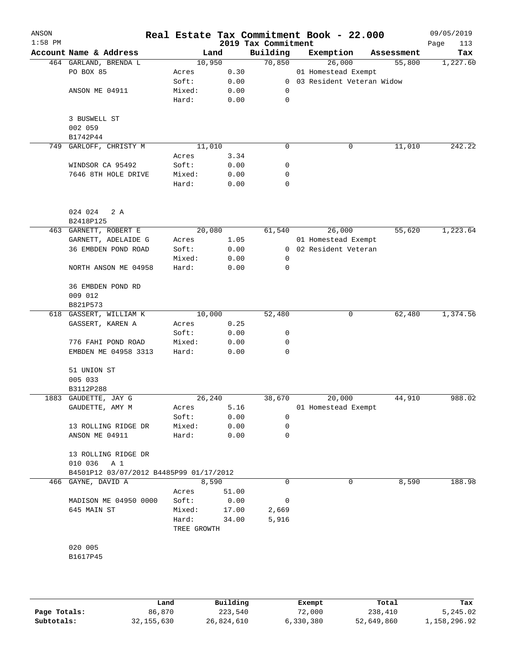| ANSON<br>$1:58$ PM |                                         | Real Estate Tax Commitment Book - 22.000 |              | 2019 Tax Commitment |                             |            | 09/05/2019<br>Page<br>113 |
|--------------------|-----------------------------------------|------------------------------------------|--------------|---------------------|-----------------------------|------------|---------------------------|
|                    | Account Name & Address                  |                                          | Land         | Building            | Exemption                   | Assessment | Tax                       |
|                    | 464 GARLAND, BRENDA L                   | 10,950                                   |              | 70,850              | 26,000                      | 55,800     | 1,227.60                  |
|                    | PO BOX 85                               | Acres                                    | 0.30         |                     | 01 Homestead Exempt         |            |                           |
|                    |                                         | Soft:                                    | 0.00         |                     | 0 03 Resident Veteran Widow |            |                           |
|                    | ANSON ME 04911                          | Mixed:                                   | 0.00         | 0                   |                             |            |                           |
|                    |                                         | Hard:                                    | 0.00         | 0                   |                             |            |                           |
|                    | 3 BUSWELL ST                            |                                          |              |                     |                             |            |                           |
|                    | 002 059<br>B1742P44                     |                                          |              |                     |                             |            |                           |
| 749                | GARLOFF, CHRISTY M                      | 11,010                                   |              | 0                   | 0                           | 11,010     | 242.22                    |
|                    |                                         | Acres                                    | 3.34         |                     |                             |            |                           |
|                    | WINDSOR CA 95492                        | Soft:                                    | 0.00         | 0                   |                             |            |                           |
|                    | 7646 8TH HOLE DRIVE                     | Mixed:                                   | 0.00         | 0                   |                             |            |                           |
|                    |                                         | Hard:                                    | 0.00         | 0                   |                             |            |                           |
|                    | 024 024<br>2 A                          |                                          |              |                     |                             |            |                           |
|                    | B2418P125                               |                                          |              |                     |                             |            |                           |
|                    | 463 GARNETT, ROBERT E                   | 20,080                                   |              | 61,540              | 26,000                      | 55,620     | 1,223.64                  |
|                    | GARNETT, ADELAIDE G                     | Acres                                    | 1.05         |                     | 01 Homestead Exempt         |            |                           |
|                    | 36 EMBDEN POND ROAD                     | Soft:                                    | 0.00         |                     | 0 02 Resident Veteran       |            |                           |
|                    |                                         | Mixed:                                   | 0.00         | 0                   |                             |            |                           |
|                    | NORTH ANSON ME 04958                    | Hard:                                    | 0.00         | 0                   |                             |            |                           |
|                    | 36 EMBDEN POND RD                       |                                          |              |                     |                             |            |                           |
|                    | 009 012                                 |                                          |              |                     |                             |            |                           |
|                    | B821P573                                |                                          |              |                     |                             |            |                           |
|                    | 618 GASSERT, WILLIAM K                  | 10,000                                   |              | 52,480              | 0                           | 62,480     | 1,374.56                  |
|                    | GASSERT, KAREN A                        | Acres                                    | 0.25         |                     |                             |            |                           |
|                    |                                         | Soft:                                    | 0.00         | 0                   |                             |            |                           |
|                    | 776 FAHI POND ROAD                      | Mixed:                                   | 0.00         | 0                   |                             |            |                           |
|                    | EMBDEN ME 04958 3313                    | Hard:                                    | 0.00         | 0                   |                             |            |                           |
|                    | 51 UNION ST                             |                                          |              |                     |                             |            |                           |
|                    | 005 033                                 |                                          |              |                     |                             |            |                           |
|                    | B3112P288<br>1883 GAUDETTE, JAY G       | 26,240                                   |              | 38,670              | 20,000                      | 44,910     | 988.02                    |
|                    |                                         |                                          |              |                     |                             |            |                           |
|                    | GAUDETTE, AMY M                         | Acres                                    | 5.16         | 0                   | 01 Homestead Exempt         |            |                           |
|                    |                                         | Soft:                                    | 0.00         |                     |                             |            |                           |
|                    | 13 ROLLING RIDGE DR<br>ANSON ME 04911   | Mixed:<br>Hard:                          | 0.00<br>0.00 | 0<br>0              |                             |            |                           |
|                    | 13 ROLLING RIDGE DR                     |                                          |              |                     |                             |            |                           |
|                    | 010 036 A 1                             |                                          |              |                     |                             |            |                           |
|                    | B4501P12 03/07/2012 B4485P99 01/17/2012 |                                          |              |                     |                             |            |                           |
|                    | 466 GAYNE, DAVID A                      |                                          | 8,590        | 0                   | 0                           | 8,590      | 188.98                    |
|                    |                                         | Acres                                    | 51.00        |                     |                             |            |                           |
|                    | MADISON ME 04950 0000                   | Soft:                                    | 0.00         | 0                   |                             |            |                           |
|                    | 645 MAIN ST                             | Mixed:                                   | 17.00        | 2,669               |                             |            |                           |
|                    |                                         | Hard:<br>TREE GROWTH                     | 34.00        | 5,916               |                             |            |                           |
|                    |                                         |                                          |              |                     |                             |            |                           |
|                    | 020 005                                 |                                          |              |                     |                             |            |                           |
|                    | B1617P45                                |                                          |              |                     |                             |            |                           |
|                    |                                         |                                          |              |                     |                             |            |                           |
|                    |                                         |                                          |              |                     |                             |            |                           |

|              | Land       | Building   | Exempt    | Total      | Tax          |
|--------------|------------|------------|-----------|------------|--------------|
| Page Totals: | 86,870     | 223,540    | 72,000    | 238,410    | 5,245.02     |
| Subtotals:   | 32,155,630 | 26,824,610 | 6,330,380 | 52,649,860 | 1,158,296.92 |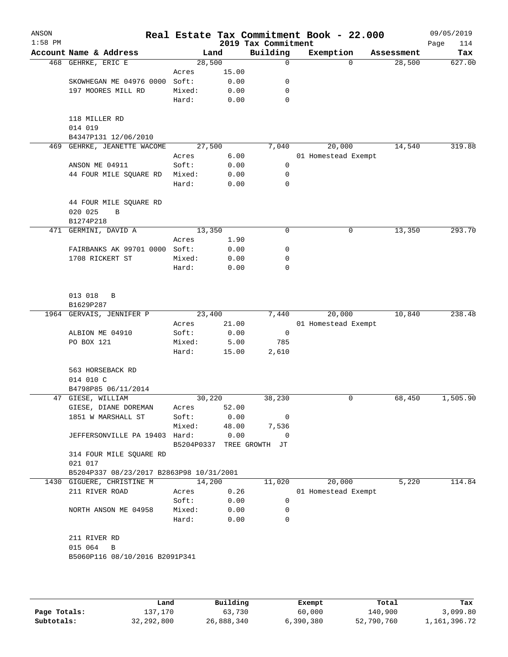| ANSON<br>$1:58$ PM |                                           |        |       | 2019 Tax Commitment       | Real Estate Tax Commitment Book - 22.000 |          |            | 09/05/2019<br>Page<br>114 |
|--------------------|-------------------------------------------|--------|-------|---------------------------|------------------------------------------|----------|------------|---------------------------|
|                    | Account Name & Address                    | Land   |       | Building                  | Exemption                                |          | Assessment | Tax                       |
|                    | 468 GEHRKE, ERIC E                        | 28,500 |       | 0                         |                                          | $\Omega$ | 28,500     | 627.00                    |
|                    |                                           | Acres  | 15.00 |                           |                                          |          |            |                           |
|                    | SKOWHEGAN ME 04976 0000                   | Soft:  | 0.00  | 0                         |                                          |          |            |                           |
|                    | 197 MOORES MILL RD                        | Mixed: | 0.00  | 0                         |                                          |          |            |                           |
|                    |                                           | Hard:  | 0.00  | 0                         |                                          |          |            |                           |
|                    | 118 MILLER RD                             |        |       |                           |                                          |          |            |                           |
|                    | 014 019                                   |        |       |                           |                                          |          |            |                           |
|                    | B4347P131 12/06/2010                      |        |       |                           |                                          |          |            |                           |
| 469                | GEHRKE, JEANETTE WACOME                   | 27,500 |       | 7,040                     | 20,000                                   |          | 14,540     | 319.88                    |
|                    |                                           | Acres  | 6.00  |                           | 01 Homestead Exempt                      |          |            |                           |
|                    | ANSON ME 04911                            | Soft:  | 0.00  | 0                         |                                          |          |            |                           |
|                    | 44 FOUR MILE SQUARE RD                    | Mixed: | 0.00  | 0                         |                                          |          |            |                           |
|                    |                                           | Hard:  | 0.00  | 0                         |                                          |          |            |                           |
|                    | 44 FOUR MILE SQUARE RD                    |        |       |                           |                                          |          |            |                           |
|                    | 020 025<br>B                              |        |       |                           |                                          |          |            |                           |
|                    | B1274P218                                 |        |       |                           |                                          |          |            |                           |
| 471                | GERMINI, DAVID A                          | 13,350 |       | 0                         |                                          | 0        | 13,350     | 293.70                    |
|                    |                                           | Acres  | 1.90  |                           |                                          |          |            |                           |
|                    | FAIRBANKS AK 99701 0000                   | Soft:  | 0.00  | 0                         |                                          |          |            |                           |
|                    | 1708 RICKERT ST                           | Mixed: | 0.00  | 0                         |                                          |          |            |                           |
|                    |                                           | Hard:  | 0.00  | 0                         |                                          |          |            |                           |
|                    | 013 018<br>B                              |        |       |                           |                                          |          |            |                           |
|                    | B1629P287                                 |        |       |                           |                                          |          |            |                           |
|                    | 1964 GERVAIS, JENNIFER P                  | 23,400 |       | 7,440                     | 20,000                                   |          | 10,840     | 238.48                    |
|                    |                                           | Acres  | 21.00 |                           | 01 Homestead Exempt                      |          |            |                           |
|                    | ALBION ME 04910                           | Soft:  | 0.00  | $\mathbf 0$               |                                          |          |            |                           |
|                    | PO BOX 121                                | Mixed: | 5.00  | 785                       |                                          |          |            |                           |
|                    |                                           | Hard:  | 15.00 | 2,610                     |                                          |          |            |                           |
|                    | 563 HORSEBACK RD                          |        |       |                           |                                          |          |            |                           |
|                    | 014 010 C                                 |        |       |                           |                                          |          |            |                           |
|                    | B4798P85 06/11/2014                       | 30,220 |       |                           |                                          | 0        |            | 1,505.90                  |
|                    | 47 GIESE, WILLIAM<br>GIESE, DIANE DOREMAN | Acres  | 52.00 | 38,230                    |                                          |          | 68,450     |                           |
|                    | 1851 W MARSHALL ST                        | Soft:  | 0.00  | 0                         |                                          |          |            |                           |
|                    |                                           | Mixed: | 48.00 | 7,536                     |                                          |          |            |                           |
|                    | JEFFERSONVILLE PA 19403 Hard:             |        | 0.00  | $\overline{0}$            |                                          |          |            |                           |
|                    |                                           |        |       | B5204P0337 TREE GROWTH JT |                                          |          |            |                           |
|                    | 314 FOUR MILE SQUARE RD<br>021 017        |        |       |                           |                                          |          |            |                           |
|                    | B5204P337 08/23/2017 B2863P98 10/31/2001  |        |       |                           |                                          |          |            |                           |
|                    | 1430 GIGUERE, CHRISTINE M                 | 14,200 |       | 11,020                    | 20,000                                   |          | 5,220      | 114.84                    |
|                    | 211 RIVER ROAD                            | Acres  | 0.26  |                           | 01 Homestead Exempt                      |          |            |                           |
|                    |                                           | Soft:  | 0.00  | 0                         |                                          |          |            |                           |
|                    | NORTH ANSON ME 04958                      | Mixed: | 0.00  | 0                         |                                          |          |            |                           |
|                    |                                           | Hard:  | 0.00  | 0                         |                                          |          |            |                           |
|                    | 211 RIVER RD                              |        |       |                           |                                          |          |            |                           |
|                    | 015 064 B                                 |        |       |                           |                                          |          |            |                           |
|                    | B5060P116 08/10/2016 B2091P341            |        |       |                           |                                          |          |            |                           |
|                    |                                           |        |       |                           |                                          |          |            |                           |
|                    |                                           |        |       |                           |                                          |          |            |                           |
|                    |                                           |        |       |                           |                                          |          |            |                           |

|              | Land       | Building   | Exempt    | Total      | Tax          |
|--------------|------------|------------|-----------|------------|--------------|
| Page Totals: | 137,170    | 63,730     | 60,000    | 140,900    | 3,099.80     |
| Subtotals:   | 32,292,800 | 26,888,340 | 6,390,380 | 52,790,760 | 1,161,396.72 |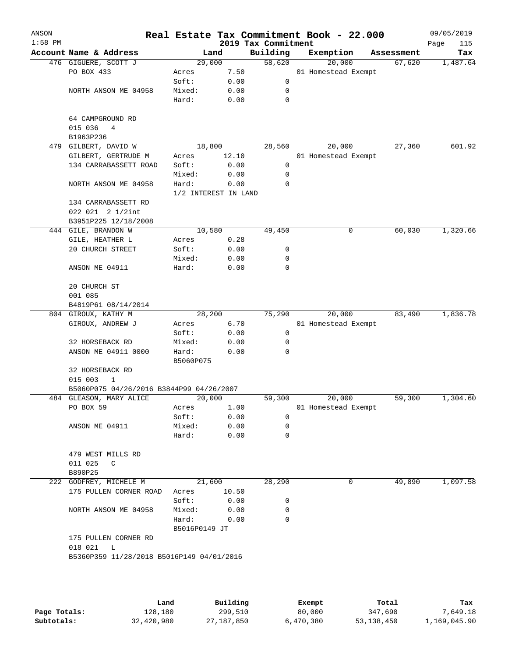| ANSON<br>$1:58$ PM |                                           |                      |       | 2019 Tax Commitment | Real Estate Tax Commitment Book - 22.000 |            | 09/05/2019<br>Page<br>115 |
|--------------------|-------------------------------------------|----------------------|-------|---------------------|------------------------------------------|------------|---------------------------|
|                    | Account Name & Address                    | Land                 |       | Building            | Exemption                                | Assessment | Tax                       |
|                    | 476 GIGUERE, SCOTT J                      | 29,000               |       | 58,620              | 20,000                                   | 67,620     | 1,487.64                  |
|                    | PO BOX 433                                | Acres                | 7.50  |                     | 01 Homestead Exempt                      |            |                           |
|                    |                                           | Soft:                | 0.00  | 0                   |                                          |            |                           |
|                    | NORTH ANSON ME 04958                      | Mixed:               | 0.00  | 0                   |                                          |            |                           |
|                    |                                           | Hard:                | 0.00  | 0                   |                                          |            |                           |
|                    | 64 CAMPGROUND RD                          |                      |       |                     |                                          |            |                           |
|                    | 015 036<br>4                              |                      |       |                     |                                          |            |                           |
|                    | B1963P236                                 |                      |       |                     |                                          |            |                           |
| 479                | GILBERT, DAVID W                          | 18,800               |       | 28,560              | 20,000                                   | 27,360     | 601.92                    |
|                    | GILBERT, GERTRUDE M                       | Acres                | 12.10 |                     | 01 Homestead Exempt                      |            |                           |
|                    | 134 CARRABASSETT ROAD                     | Soft:                | 0.00  | 0                   |                                          |            |                           |
|                    |                                           | Mixed:               | 0.00  | 0                   |                                          |            |                           |
|                    | NORTH ANSON ME 04958                      | Hard:                | 0.00  | 0                   |                                          |            |                           |
|                    |                                           | 1/2 INTEREST IN LAND |       |                     |                                          |            |                           |
|                    | 134 CARRABASSETT RD                       |                      |       |                     |                                          |            |                           |
|                    | 022 021 2 1/2int                          |                      |       |                     |                                          |            |                           |
|                    | B3951P225 12/18/2008                      |                      |       |                     |                                          |            |                           |
|                    | 444 GILE, BRANDON W                       | 10,580               |       | 49,450              | 0                                        | 60,030     | 1,320.66                  |
|                    | GILE, HEATHER L                           | Acres                | 0.28  |                     |                                          |            |                           |
|                    | 20 CHURCH STREET                          | Soft:                | 0.00  | 0                   |                                          |            |                           |
|                    |                                           | Mixed:               | 0.00  | 0                   |                                          |            |                           |
|                    | ANSON ME 04911                            | Hard:                | 0.00  | 0                   |                                          |            |                           |
|                    | 20 CHURCH ST                              |                      |       |                     |                                          |            |                           |
|                    | 001 085                                   |                      |       |                     |                                          |            |                           |
|                    | B4819P61 08/14/2014                       |                      |       |                     |                                          |            |                           |
|                    | 804 GIROUX, KATHY M                       | 28,200               |       | 75,290              | 20,000                                   | 83,490     | 1,836.78                  |
|                    | GIROUX, ANDREW J                          | Acres                | 6.70  |                     | 01 Homestead Exempt                      |            |                           |
|                    |                                           | Soft:                | 0.00  | 0                   |                                          |            |                           |
|                    | 32 HORSEBACK RD                           | Mixed:               | 0.00  | 0                   |                                          |            |                           |
|                    | ANSON ME 04911 0000                       | Hard:<br>B5060P075   | 0.00  | 0                   |                                          |            |                           |
|                    | 32 HORSEBACK RD                           |                      |       |                     |                                          |            |                           |
|                    | 015 003<br>1                              |                      |       |                     |                                          |            |                           |
|                    | B5060P075 04/26/2016 B3844P99 04/26/2007  |                      |       |                     |                                          |            |                           |
|                    | 484 GLEASON, MARY ALICE                   | 20,000               |       | 59,300              | 20,000                                   | 59,300     | 1,304.60                  |
|                    | PO BOX 59                                 | Acres                | 1.00  |                     | 01 Homestead Exempt                      |            |                           |
|                    |                                           | Soft:                | 0.00  | 0                   |                                          |            |                           |
|                    | ANSON ME 04911                            | Mixed:               | 0.00  | 0                   |                                          |            |                           |
|                    |                                           | Hard:                | 0.00  | 0                   |                                          |            |                           |
|                    | 479 WEST MILLS RD                         |                      |       |                     |                                          |            |                           |
|                    | 011 025<br>C                              |                      |       |                     |                                          |            |                           |
|                    | B890P25                                   |                      |       |                     |                                          |            |                           |
|                    | 222 GODFREY, MICHELE M                    | 21,600               |       | 28,290              | 0                                        | 49,890     | 1,097.58                  |
|                    | 175 PULLEN CORNER ROAD                    | Acres                | 10.50 |                     |                                          |            |                           |
|                    |                                           | Soft:                | 0.00  | 0                   |                                          |            |                           |
|                    | NORTH ANSON ME 04958                      | Mixed:               | 0.00  | 0                   |                                          |            |                           |
|                    |                                           | Hard:                | 0.00  | 0                   |                                          |            |                           |
|                    | 175 PULLEN CORNER RD                      | B5016P0149 JT        |       |                     |                                          |            |                           |
|                    |                                           |                      |       |                     |                                          |            |                           |
|                    | 018 021<br>$\mathbb{L}$                   |                      |       |                     |                                          |            |                           |
|                    | B5360P359 11/28/2018 B5016P149 04/01/2016 |                      |       |                     |                                          |            |                           |
|                    |                                           |                      |       |                     |                                          |            |                           |
|                    |                                           |                      |       |                     |                                          |            |                           |
|                    |                                           |                      |       |                     |                                          |            |                           |

|              | Land       | Building   | Exempt    | Total      | Tax          |
|--------------|------------|------------|-----------|------------|--------------|
| Page Totals: | 128,180    | 299,510    | 80,000    | 347,690    | 7,649.18     |
| Subtotals:   | 32,420,980 | 27,187,850 | 6,470,380 | 53,138,450 | 1,169,045.90 |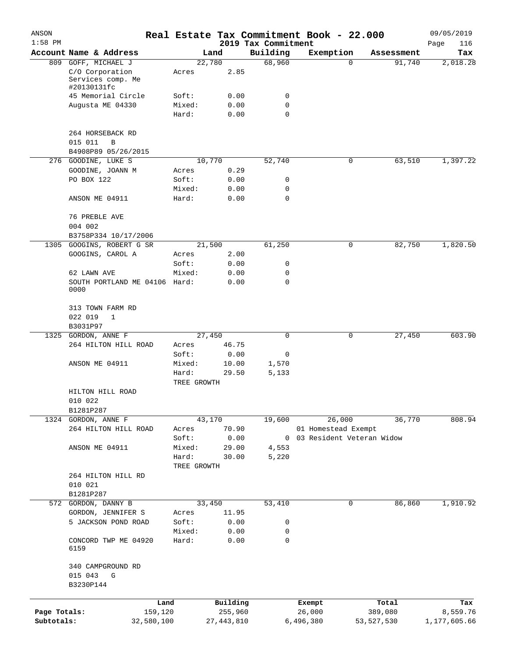| ANSON<br>$1:58$ PM |                                                     |                 |             |               | 2019 Tax Commitment | Real Estate Tax Commitment Book - 22.000 |              | 09/05/2019         |
|--------------------|-----------------------------------------------------|-----------------|-------------|---------------|---------------------|------------------------------------------|--------------|--------------------|
|                    | Account Name & Address                              |                 | Land        |               | Building            | Exemption                                | Assessment   | Page<br>116<br>Tax |
| 809                | GOFF, MICHAEL J                                     |                 | 22,780      |               | 68,960              | $\Omega$                                 | 91,740       | 2,018.28           |
|                    | C/O Corporation<br>Services comp. Me<br>#20130131fc | Acres           |             | 2.85          |                     |                                          |              |                    |
|                    | 45 Memorial Circle                                  | Soft:           |             | 0.00          | 0                   |                                          |              |                    |
|                    | Augusta ME 04330                                    | Mixed:          |             | 0.00          | 0                   |                                          |              |                    |
|                    |                                                     | Hard:           |             | 0.00          | $\mathbf 0$         |                                          |              |                    |
|                    | 264 HORSEBACK RD<br>015 011<br>B                    |                 |             |               |                     |                                          |              |                    |
|                    | B4908P89 05/26/2015                                 |                 |             |               |                     |                                          |              |                    |
|                    | 276 GOODINE, LUKE S                                 |                 | 10,770      |               | 52,740              | 0                                        | 63,510       | 1,397.22           |
|                    | GOODINE, JOANN M                                    | Acres           |             | 0.29          |                     |                                          |              |                    |
|                    | PO BOX 122                                          | Soft:           |             | 0.00          | 0                   |                                          |              |                    |
|                    | ANSON ME 04911                                      | Mixed:<br>Hard: |             | 0.00<br>0.00  | 0<br>$\mathbf 0$    |                                          |              |                    |
|                    | 76 PREBLE AVE                                       |                 |             |               |                     |                                          |              |                    |
|                    | 004 002                                             |                 |             |               |                     |                                          |              |                    |
|                    | B3758P334 10/17/2006                                |                 |             |               |                     |                                          |              |                    |
| 1305               | GOOGINS, ROBERT G SR                                |                 | 21,500      |               | 61,250              | 0                                        | 82,750       | 1,820.50           |
|                    | GOOGINS, CAROL A                                    | Acres           |             | 2.00          |                     |                                          |              |                    |
|                    |                                                     | Soft:           |             | 0.00          | 0                   |                                          |              |                    |
|                    | 62 LAWN AVE                                         | Mixed:          |             | 0.00          | 0                   |                                          |              |                    |
|                    | SOUTH PORTLAND ME 04106 Hard:<br>0000               |                 |             | 0.00          | $\Omega$            |                                          |              |                    |
|                    | 313 TOWN FARM RD<br>022 019<br>1                    |                 |             |               |                     |                                          |              |                    |
|                    | B3031P97                                            |                 |             |               |                     |                                          |              |                    |
| 1325               | GORDON, ANNE F                                      |                 | 27,450      |               | $\mathbf 0$         | 0                                        | 27,450       | 603.90             |
|                    | 264 HILTON HILL ROAD                                | Acres<br>Soft:  |             | 46.75         |                     |                                          |              |                    |
|                    | ANSON ME 04911                                      | Mixed:          |             | 0.00<br>10.00 | 0<br>1,570          |                                          |              |                    |
|                    |                                                     | Hard:           |             | 29.50         | 5,133               |                                          |              |                    |
|                    |                                                     |                 | TREE GROWTH |               |                     |                                          |              |                    |
|                    | HILTON HILL ROAD                                    |                 |             |               |                     |                                          |              |                    |
|                    | 010 022                                             |                 |             |               |                     |                                          |              |                    |
|                    | B1281P287                                           |                 |             |               |                     |                                          |              |                    |
|                    | 1324 GORDON, ANNE F                                 |                 | 43,170      |               | 19,600              | 26,000                                   | 36,770       | 808.94             |
|                    | 264 HILTON HILL ROAD                                | Acres           |             | 70.90         |                     | 01 Homestead Exempt                      |              |                    |
|                    |                                                     | Soft:           |             | 0.00          |                     | 0 03 Resident Veteran Widow              |              |                    |
|                    | ANSON ME 04911                                      | Mixed:          |             | 29.00         | 4,553               |                                          |              |                    |
|                    |                                                     | Hard:           |             | 30.00         | 5,220               |                                          |              |                    |
|                    |                                                     |                 | TREE GROWTH |               |                     |                                          |              |                    |
|                    | 264 HILTON HILL RD                                  |                 |             |               |                     |                                          |              |                    |
|                    | 010 021<br>B1281P287                                |                 |             |               |                     |                                          |              |                    |
|                    | 572 GORDON, DANNY B                                 |                 | 33,450      |               | 53,410              | 0                                        | 86,860       | 1,910.92           |
|                    | GORDON, JENNIFER S                                  | Acres           |             | 11.95         |                     |                                          |              |                    |
|                    | 5 JACKSON POND ROAD                                 | Soft:           |             | 0.00          | 0                   |                                          |              |                    |
|                    |                                                     | Mixed:          |             | 0.00          | 0                   |                                          |              |                    |
|                    | CONCORD TWP ME 04920<br>6159                        | Hard:           |             | 0.00          | 0                   |                                          |              |                    |
|                    | 340 CAMPGROUND RD                                   |                 |             |               |                     |                                          |              |                    |
|                    | 015 043<br>G                                        |                 |             |               |                     |                                          |              |                    |
|                    | B3230P144                                           |                 |             |               |                     |                                          |              |                    |
|                    |                                                     | Land            |             | Building      |                     | Exempt                                   | Total        | Tax                |
| Page Totals:       |                                                     | 159,120         |             | 255,960       |                     | 26,000                                   | 389,080      | 8,559.76           |
| Subtotals:         |                                                     | 32,580,100      |             | 27, 443, 810  |                     | 6,496,380                                | 53, 527, 530 | 1,177,605.66       |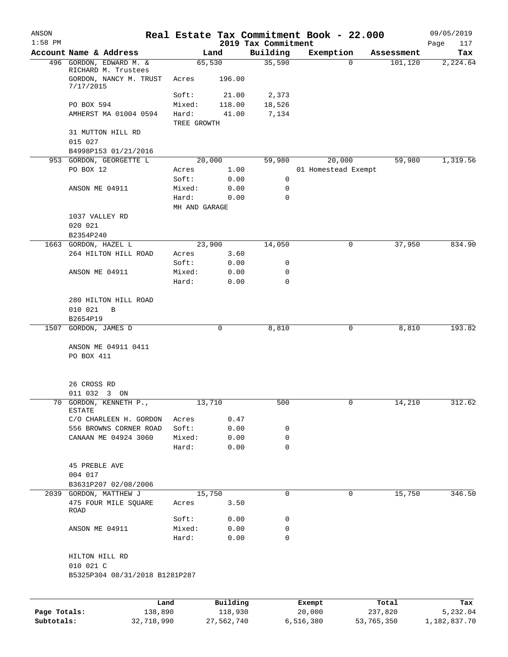| ANSON<br>$1:58$ PM |                                                                          |                      |                  | 2019 Tax Commitment | Real Estate Tax Commitment Book - 22.000 |            | 09/05/2019<br>Page<br>117 |
|--------------------|--------------------------------------------------------------------------|----------------------|------------------|---------------------|------------------------------------------|------------|---------------------------|
|                    | Account Name & Address                                                   |                      | Land             | Building            | Exemption                                | Assessment | Tax                       |
|                    | 496 GORDON, EDWARD M. &<br>RICHARD M. Trustees<br>GORDON, NANCY M. TRUST | Acres                | 65,530<br>196.00 | 35,590              | $\Omega$                                 | 101, 120   | 2,224.64                  |
|                    | 7/17/2015                                                                |                      |                  |                     |                                          |            |                           |
|                    |                                                                          | Soft:                | 21.00            | 2,373               |                                          |            |                           |
|                    | PO BOX 594                                                               | Mixed:               | 118.00           | 18,526              |                                          |            |                           |
|                    | AMHERST MA 01004 0594                                                    | Hard:<br>TREE GROWTH | 41.00            | 7,134               |                                          |            |                           |
|                    | 31 MUTTON HILL RD<br>015 027                                             |                      |                  |                     |                                          |            |                           |
|                    | B4998P153 01/21/2016                                                     |                      |                  |                     |                                          |            |                           |
|                    | 953 GORDON, GEORGETTE L                                                  |                      | 20,000           | 59,980              | 20,000                                   | 59,980     | 1,319.56                  |
|                    | PO BOX 12                                                                | Acres                | 1.00             |                     | 01 Homestead Exempt                      |            |                           |
|                    |                                                                          | Soft:                | 0.00             | 0                   |                                          |            |                           |
|                    | ANSON ME 04911                                                           | Mixed:               | 0.00             | 0                   |                                          |            |                           |
|                    |                                                                          | Hard:                | 0.00             | 0                   |                                          |            |                           |
|                    |                                                                          | MH AND GARAGE        |                  |                     |                                          |            |                           |
|                    | 1037 VALLEY RD                                                           |                      |                  |                     |                                          |            |                           |
|                    | 020 021                                                                  |                      |                  |                     |                                          |            |                           |
|                    | B2354P240                                                                |                      |                  |                     |                                          |            |                           |
|                    | 1663 GORDON, HAZEL L                                                     |                      | 23,900           | 14,050              | 0                                        | 37,950     | 834.90                    |
|                    | 264 HILTON HILL ROAD                                                     | Acres                | 3.60             |                     |                                          |            |                           |
|                    |                                                                          | Soft:                | 0.00             | 0                   |                                          |            |                           |
|                    | ANSON ME 04911                                                           | Mixed:               | 0.00             | 0                   |                                          |            |                           |
|                    |                                                                          | Hard:                | 0.00             | $\mathbf 0$         |                                          |            |                           |
|                    | 280 HILTON HILL ROAD                                                     |                      |                  |                     |                                          |            |                           |
|                    | 010 021<br>B                                                             |                      |                  |                     |                                          |            |                           |
|                    | B2654P19                                                                 |                      |                  |                     |                                          |            |                           |
| 1507               | GORDON, JAMES D                                                          |                      | 0                | 8,810               | 0                                        | 8,810      | 193.82                    |
|                    | ANSON ME 04911 0411                                                      |                      |                  |                     |                                          |            |                           |
|                    | PO BOX 411                                                               |                      |                  |                     |                                          |            |                           |
|                    |                                                                          |                      |                  |                     |                                          |            |                           |
|                    | 26 CROSS RD                                                              |                      |                  |                     |                                          |            |                           |
|                    | 011 032 3 ON                                                             |                      |                  |                     |                                          |            |                           |
|                    | 70 GORDON, KENNETH P.,<br><b>ESTATE</b>                                  |                      | 13,710           | 500                 |                                          | 14,210     | 312.62                    |
|                    | C/O CHARLEEN H. GORDON                                                   | Acres                | 0.47             |                     |                                          |            |                           |
|                    | 556 BROWNS CORNER ROAD                                                   | Soft:                | 0.00             | 0                   |                                          |            |                           |
|                    | CANAAN ME 04924 3060                                                     | Mixed:               | 0.00             | 0                   |                                          |            |                           |
|                    |                                                                          | Hard:                | 0.00             | 0                   |                                          |            |                           |
|                    | <b>45 PREBLE AVE</b>                                                     |                      |                  |                     |                                          |            |                           |
|                    | 004 017                                                                  |                      |                  |                     |                                          |            |                           |
|                    | B3631P207 02/08/2006                                                     |                      |                  |                     |                                          |            |                           |
|                    | 2039 GORDON, MATTHEW J                                                   |                      | 15,750           | 0                   | 0                                        | 15,750     | 346.50                    |
|                    | 475 FOUR MILE SQUARE                                                     | Acres                | 3.50             |                     |                                          |            |                           |
|                    | ROAD                                                                     |                      |                  |                     |                                          |            |                           |
|                    |                                                                          | Soft:                | 0.00             | 0                   |                                          |            |                           |
|                    | ANSON ME 04911                                                           | Mixed:               | 0.00             | 0                   |                                          |            |                           |
|                    |                                                                          | Hard:                | 0.00             | 0                   |                                          |            |                           |
|                    | HILTON HILL RD                                                           |                      |                  |                     |                                          |            |                           |
|                    | 010 021 C<br>B5325P304 08/31/2018 B1281P287                              |                      |                  |                     |                                          |            |                           |
|                    |                                                                          |                      |                  |                     |                                          |            |                           |
|                    | Land                                                                     |                      | Building         |                     |                                          | Total      | Tax                       |
| Page Totals:       | 138,890                                                                  |                      | 118,930          |                     | Exempt<br>20,000                         | 237,820    | 5,232.04                  |

**Subtotals:** 32,718,990 27,562,740 6,516,380 53,765,350 1,182,837.70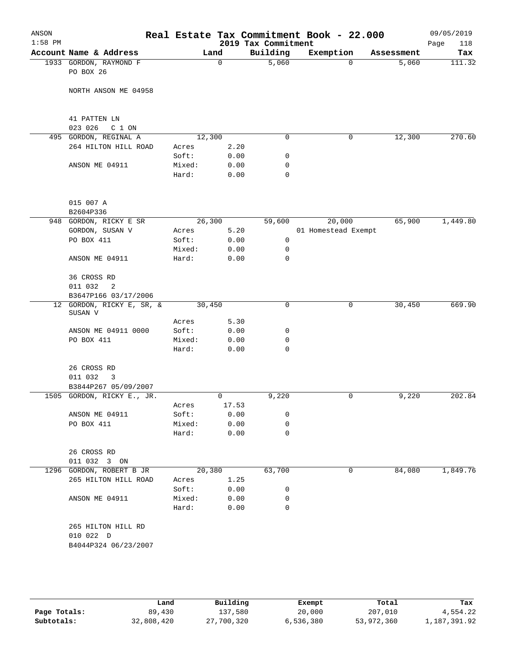| ANSON<br>$1:58$ PM |                                                         |        |        | 2019 Tax Commitment | Real Estate Tax Commitment Book - 22.000 |            | 09/05/2019<br>118<br>Page |
|--------------------|---------------------------------------------------------|--------|--------|---------------------|------------------------------------------|------------|---------------------------|
|                    | Account Name & Address                                  |        | Land   | Building            | Exemption                                | Assessment | Tax                       |
|                    | 1933 GORDON, RAYMOND F<br>PO BOX 26                     |        | 0      | 5,060               | $\Omega$                                 | 5,060      | 111.32                    |
|                    | NORTH ANSON ME 04958                                    |        |        |                     |                                          |            |                           |
|                    | 41 PATTEN LN<br>023 026<br>C 1 ON                       |        |        |                     |                                          |            |                           |
|                    | 495 GORDON, REGINAL A                                   |        | 12,300 | $\mathbf 0$         | 0                                        | 12,300     | 270.60                    |
|                    | 264 HILTON HILL ROAD                                    | Acres  | 2.20   |                     |                                          |            |                           |
|                    |                                                         | Soft:  | 0.00   | 0                   |                                          |            |                           |
|                    | ANSON ME 04911                                          | Mixed: | 0.00   | 0                   |                                          |            |                           |
|                    |                                                         | Hard:  | 0.00   | $\mathbf 0$         |                                          |            |                           |
|                    | 015 007 A                                               |        |        |                     |                                          |            |                           |
|                    | B2604P336                                               |        |        |                     |                                          |            |                           |
|                    | 948 GORDON, RICKY E SR                                  |        | 26,300 | 59,600              | 20,000                                   | 65,900     | 1,449.80                  |
|                    | GORDON, SUSAN V                                         | Acres  | 5.20   |                     | 01 Homestead Exempt                      |            |                           |
|                    | PO BOX 411                                              | Soft:  | 0.00   | 0                   |                                          |            |                           |
|                    |                                                         | Mixed: | 0.00   | 0                   |                                          |            |                           |
|                    | ANSON ME 04911                                          | Hard:  | 0.00   | $\mathbf 0$         |                                          |            |                           |
|                    | 36 CROSS RD                                             |        |        |                     |                                          |            |                           |
|                    | 011 032<br>2<br>B3647P166 03/17/2006                    |        |        |                     |                                          |            |                           |
|                    | 12 GORDON, RICKY E, SR, &<br>SUSAN V                    | 30,450 |        | $\mathbf 0$         | 0                                        | 30,450     | 669.90                    |
|                    |                                                         | Acres  | 5.30   |                     |                                          |            |                           |
|                    | ANSON ME 04911 0000                                     | Soft:  | 0.00   | 0                   |                                          |            |                           |
|                    | PO BOX 411                                              | Mixed: | 0.00   | 0                   |                                          |            |                           |
|                    |                                                         | Hard:  | 0.00   | $\mathbf 0$         |                                          |            |                           |
|                    | 26 CROSS RD<br>011 032<br>3<br>B3844P267 05/09/2007     |        |        |                     |                                          |            |                           |
|                    | 1505 GORDON, RICKY E., JR.                              |        | 0      | 9,220               | 0                                        | 9,220      | 202.84                    |
|                    |                                                         | Acres  | 17.53  |                     |                                          |            |                           |
|                    | ANSON ME 04911                                          | Soft:  | 0.00   | 0                   |                                          |            |                           |
|                    | PO BOX 411                                              | Mixed: | 0.00   | 0                   |                                          |            |                           |
|                    |                                                         | Hard:  | 0.00   | $\mathbf 0$         |                                          |            |                           |
|                    | 26 CROSS RD                                             |        |        |                     |                                          |            |                           |
|                    | 011 032 3 ON<br>1296 GORDON, ROBERT B JR                |        | 20,380 | 63,700              | 0                                        | 84,080     | 1,849.76                  |
|                    | 265 HILTON HILL ROAD                                    | Acres  | 1.25   |                     |                                          |            |                           |
|                    |                                                         | Soft:  | 0.00   | 0                   |                                          |            |                           |
|                    | ANSON ME 04911                                          | Mixed: | 0.00   | 0                   |                                          |            |                           |
|                    |                                                         | Hard:  | 0.00   | 0                   |                                          |            |                           |
|                    | 265 HILTON HILL RD<br>010 022 D<br>B4044P324 06/23/2007 |        |        |                     |                                          |            |                           |

|              | Land       | Building   | Exempt    | Total      | Tax          |
|--------------|------------|------------|-----------|------------|--------------|
| Page Totals: | 89,430     | 137,580    | 20,000    | 207,010    | 4,554.22     |
| Subtotals:   | 32,808,420 | 27,700,320 | 6,536,380 | 53,972,360 | 1,187,391.92 |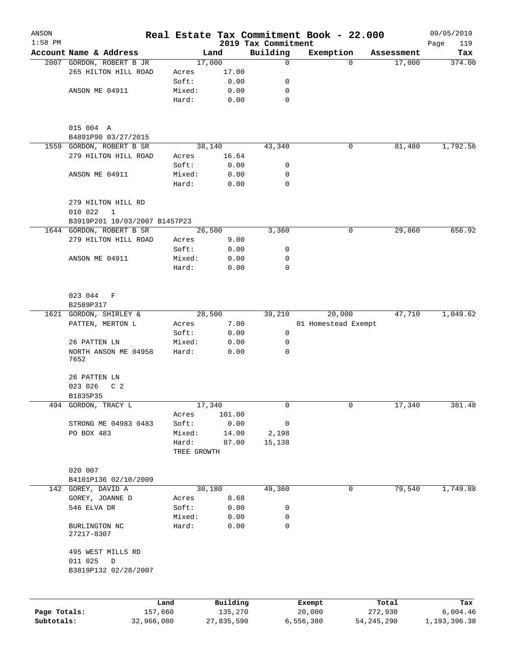| ANSON        |                                              |                      |          |                                 | Real Estate Tax Commitment Book - 22.000 |            | 09/05/2019         |
|--------------|----------------------------------------------|----------------------|----------|---------------------------------|------------------------------------------|------------|--------------------|
| $1:58$ PM    | Account Name & Address                       |                      | Land     | 2019 Tax Commitment<br>Building | Exemption                                | Assessment | Page<br>119<br>Tax |
|              | 2007 GORDON, ROBERT B JR                     |                      | 17,000   | $\mathbf 0$                     | 0                                        | 17,000     | 374.00             |
|              | 265 HILTON HILL ROAD                         | Acres                | 17.00    |                                 |                                          |            |                    |
|              |                                              | Soft:                | 0.00     | 0                               |                                          |            |                    |
|              | ANSON ME 04911                               | Mixed:               | 0.00     | 0                               |                                          |            |                    |
|              |                                              | Hard:                | 0.00     | $\mathbf 0$                     |                                          |            |                    |
|              | 015 004 A                                    |                      |          |                                 |                                          |            |                    |
|              | B4891P90 03/27/2015                          |                      |          |                                 |                                          |            |                    |
|              | 1559 GORDON, ROBERT B SR                     |                      | 38,140   | 43,340                          | 0                                        | 81,480     | 1,792.56           |
|              | 279 HILTON HILL ROAD                         | Acres                | 16.64    |                                 |                                          |            |                    |
|              |                                              | Soft:                | 0.00     | 0                               |                                          |            |                    |
|              | ANSON ME 04911                               | Mixed:               | 0.00     | 0                               |                                          |            |                    |
|              |                                              | Hard:                | 0.00     | $\mathbf 0$                     |                                          |            |                    |
|              | 279 HILTON HILL RD<br>010 022<br>$\mathbf 1$ |                      |          |                                 |                                          |            |                    |
|              | B3919P201 10/03/2007 B1457P23                |                      |          |                                 |                                          |            |                    |
|              | 1644 GORDON, ROBERT B SR                     |                      | 26,500   | 3,360                           | 0                                        | 29,860     | 656.92             |
|              | 279 HILTON HILL ROAD                         | Acres                | 9.00     |                                 |                                          |            |                    |
|              |                                              | Soft:                | 0.00     | 0                               |                                          |            |                    |
|              | ANSON ME 04911                               | Mixed:               | 0.00     | 0                               |                                          |            |                    |
|              |                                              | Hard:                | 0.00     | 0                               |                                          |            |                    |
|              |                                              |                      |          |                                 |                                          |            |                    |
|              | 023 044<br>F                                 |                      |          |                                 |                                          |            |                    |
|              | B2589P317                                    |                      |          |                                 |                                          |            |                    |
|              | 1621 GORDON, SHIRLEY &                       |                      | 28,500   | 39,210                          | 20,000                                   | 47,710     | 1,049.62           |
|              | PATTEN, MERTON L                             | Acres                | 7.00     |                                 | 01 Homestead Exempt                      |            |                    |
|              |                                              | Soft:                | 0.00     | 0                               |                                          |            |                    |
|              | 26 PATTEN LN                                 | Mixed:               | 0.00     | 0                               |                                          |            |                    |
|              | NORTH ANSON ME 04958<br>7652                 | Hard:                | 0.00     | 0                               |                                          |            |                    |
|              | 26 PATTEN LN                                 |                      |          |                                 |                                          |            |                    |
|              | 023 026<br>C <sub>2</sub>                    |                      |          |                                 |                                          |            |                    |
|              | B1835P35                                     |                      |          |                                 |                                          |            |                    |
|              | 494 GORDON, TRACY L                          |                      | 17,340   | 0                               | 0                                        | 17,340     | 381.48             |
|              |                                              | Acres                | 101.00   |                                 |                                          |            |                    |
|              | STRONG ME 04983 0483                         | Soft:                | 0.00     | 0                               |                                          |            |                    |
|              | PO BOX 483                                   | Mixed:               | 14.00    | 2,198                           |                                          |            |                    |
|              |                                              | Hard:<br>TREE GROWTH | 87.00    | 15,138                          |                                          |            |                    |
|              | 020 007                                      |                      |          |                                 |                                          |            |                    |
|              | B4101P136 02/10/2009                         |                      |          |                                 |                                          |            |                    |
|              | 142 GOREY, DAVID A                           |                      | 30,180   | 49,360                          | 0                                        | 79,540     | 1,749.88           |
|              | GOREY, JOANNE D                              | Acres                | 8.68     |                                 |                                          |            |                    |
|              | 546 ELVA DR                                  | Soft:                | 0.00     | 0                               |                                          |            |                    |
|              |                                              | Mixed:               | 0.00     | 0                               |                                          |            |                    |
|              | BURLINGTON NC<br>27217-8307                  | Hard:                | 0.00     | $\mathbf 0$                     |                                          |            |                    |
|              | 495 WEST MILLS RD                            |                      |          |                                 |                                          |            |                    |
|              | 011 025<br>D<br>B3819P132 02/28/2007         |                      |          |                                 |                                          |            |                    |
|              |                                              |                      |          |                                 |                                          |            |                    |
|              |                                              | Land                 | Building |                                 | Exempt                                   | Total      | Tax                |
| Page Totals: | 157,660                                      |                      | 135,270  |                                 | 20,000                                   | 272,930    | 6,004.46           |

**Subtotals:** 32,966,080 27,835,590 6,556,380 54,245,290 1,193,396.38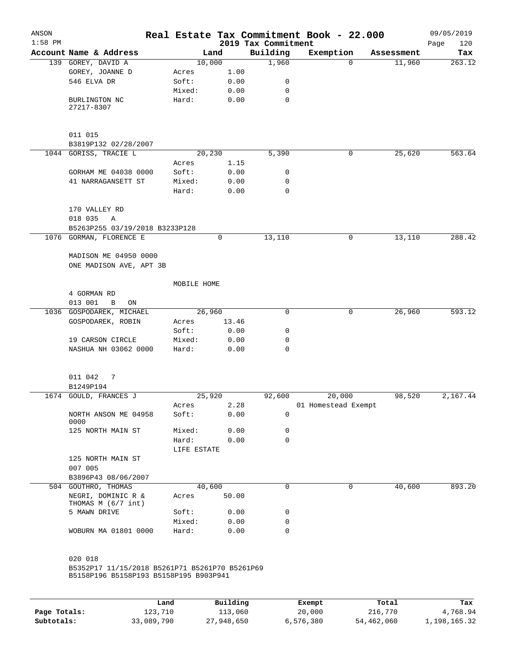| ANSON<br>$1:58$ PM |                                                                                                     |                |              | 2019 Tax Commitment | Real Estate Tax Commitment Book - 22.000 |          |            | 09/05/2019<br>Page<br>120 |
|--------------------|-----------------------------------------------------------------------------------------------------|----------------|--------------|---------------------|------------------------------------------|----------|------------|---------------------------|
|                    | Account Name & Address                                                                              |                | Land         | Building            | Exemption                                |          | Assessment | Tax                       |
|                    | 139 GOREY, DAVID A                                                                                  |                | 10,000       | 1,960               |                                          | $\Omega$ | 11,960     | 263.12                    |
|                    | GOREY, JOANNE D                                                                                     | Acres          | 1.00         |                     |                                          |          |            |                           |
|                    | 546 ELVA DR                                                                                         | Soft:          | 0.00         | 0                   |                                          |          |            |                           |
|                    |                                                                                                     | Mixed:         | 0.00         | 0                   |                                          |          |            |                           |
|                    | BURLINGTON NC<br>27217-8307                                                                         | Hard:          | 0.00         | $\mathbf 0$         |                                          |          |            |                           |
|                    | 011 015<br>B3819P132 02/28/2007                                                                     |                |              |                     |                                          |          |            |                           |
|                    | 1044 GORISS, TRACIE L                                                                               |                | 20,230       | 5,390               |                                          | 0        | 25,620     | 563.64                    |
|                    |                                                                                                     | Acres          | 1.15         |                     |                                          |          |            |                           |
|                    | GORHAM ME 04038 0000                                                                                | Soft:          | 0.00         | 0                   |                                          |          |            |                           |
|                    | 41 NARRAGANSETT ST                                                                                  | Mixed:         | 0.00         | 0                   |                                          |          |            |                           |
|                    |                                                                                                     | Hard:          | 0.00         | 0                   |                                          |          |            |                           |
|                    | 170 VALLEY RD<br>018 035<br>Α                                                                       |                |              |                     |                                          |          |            |                           |
|                    | B5263P255 03/19/2018 B3233P128                                                                      |                |              |                     |                                          |          |            |                           |
|                    | 1076 GORMAN, FLORENCE E                                                                             |                | 0            | 13,110              |                                          | 0        | 13,110     | 288.42                    |
|                    | MADISON ME 04950 0000<br>ONE MADISON AVE, APT 3B                                                    |                |              |                     |                                          |          |            |                           |
|                    |                                                                                                     | MOBILE HOME    |              |                     |                                          |          |            |                           |
|                    | 4 GORMAN RD                                                                                         |                |              |                     |                                          |          |            |                           |
|                    | 013 001<br>B<br>ON                                                                                  |                |              |                     |                                          |          |            |                           |
|                    | 1036 GOSPODAREK, MICHAEL                                                                            |                | 26,960       | $\Omega$            |                                          | 0        | 26,960     | 593.12                    |
|                    | GOSPODAREK, ROBIN                                                                                   | Acres          | 13.46        |                     |                                          |          |            |                           |
|                    |                                                                                                     | Soft:          | 0.00         | 0                   |                                          |          |            |                           |
|                    | 19 CARSON CIRCLE                                                                                    | Mixed:         | 0.00         | 0                   |                                          |          |            |                           |
|                    | NASHUA NH 03062 0000                                                                                | Hard:          | 0.00         | 0                   |                                          |          |            |                           |
|                    | 011 042<br>7                                                                                        |                |              |                     |                                          |          |            |                           |
|                    | B1249P194                                                                                           |                |              |                     |                                          |          |            |                           |
|                    | 1674 GOULD, FRANCES J                                                                               |                | 25,920       | 92,600              | 20,000                                   |          | 98,520     | 2,167.44                  |
|                    | NORTH ANSON ME 04958                                                                                | Acres<br>Soft: | 2.28<br>0.00 | 0                   | 01 Homestead Exempt                      |          |            |                           |
|                    | 0000<br>125 NORTH MAIN ST                                                                           | Mixed:         | 0.00         | 0                   |                                          |          |            |                           |
|                    |                                                                                                     | Hard:          | 0.00         | $\Omega$            |                                          |          |            |                           |
|                    |                                                                                                     | LIFE ESTATE    |              |                     |                                          |          |            |                           |
|                    | 125 NORTH MAIN ST<br>007 005                                                                        |                |              |                     |                                          |          |            |                           |
|                    | B3896P43 08/06/2007                                                                                 |                |              |                     |                                          |          |            |                           |
|                    | 504 GOUTHRO, THOMAS                                                                                 |                | 40,600       | $\Omega$            |                                          | 0        | 40,600     | 893.20                    |
|                    | NEGRI, DOMINIC R &<br>THOMAS M (6/7 int)                                                            | Acres          | 50.00        |                     |                                          |          |            |                           |
|                    | 5 MAWN DRIVE                                                                                        | Soft:          | 0.00         | 0                   |                                          |          |            |                           |
|                    |                                                                                                     | Mixed:         | 0.00         | 0                   |                                          |          |            |                           |
|                    | WOBURN MA 01801 0000                                                                                | Hard:          | 0.00         | $\Omega$            |                                          |          |            |                           |
|                    | 020 018<br>B5352P17 11/15/2018 B5261P71 B5261P70 B5261P69<br>B5158P196 B5158P193 B5158P195 B903P941 |                |              |                     |                                          |          |            |                           |
|                    |                                                                                                     |                |              |                     |                                          |          |            |                           |

|              | Land       | Building   | Exempt    | Total      | Tax          |
|--------------|------------|------------|-----------|------------|--------------|
| Page Totals: | 123,710    | 113,060    | 20,000    | 216,770    | 4,768.94     |
| Subtotals:   | 33,089,790 | 27,948,650 | 6,576,380 | 54,462,060 | 1,198,165.32 |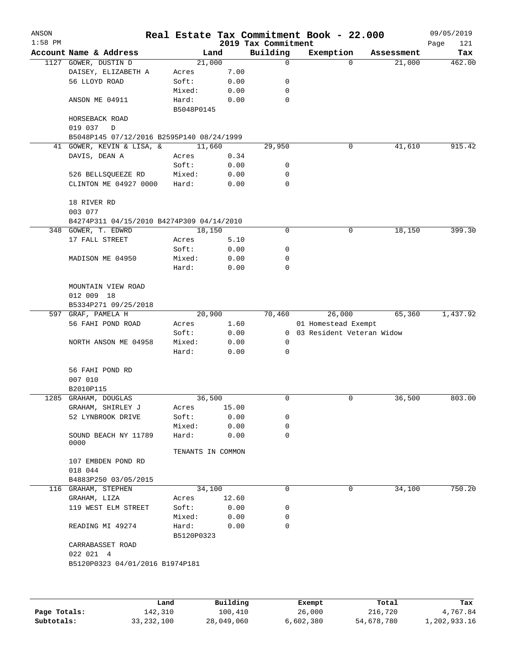| ANSON<br>$1:58$ PM |                                           |            |                   | 2019 Tax Commitment | Real Estate Tax Commitment Book - 22.000 |            | 09/05/2019<br>Page<br>121 |
|--------------------|-------------------------------------------|------------|-------------------|---------------------|------------------------------------------|------------|---------------------------|
|                    | Account Name & Address                    |            | Land              | Building            | Exemption                                | Assessment | Tax                       |
|                    | 1127 GOWER, DUSTIN D                      |            | 21,000            | 0                   | $\Omega$                                 | 21,000     | 462.00                    |
|                    | DAISEY, ELIZABETH A                       | Acres      | 7.00              |                     |                                          |            |                           |
|                    | 56 LLOYD ROAD                             | Soft:      | 0.00              | 0                   |                                          |            |                           |
|                    |                                           | Mixed:     | 0.00              | $\mathbf 0$         |                                          |            |                           |
|                    | ANSON ME 04911                            | Hard:      | 0.00              | $\mathbf 0$         |                                          |            |                           |
|                    |                                           | B5048P0145 |                   |                     |                                          |            |                           |
|                    | HORSEBACK ROAD                            |            |                   |                     |                                          |            |                           |
|                    | 019 037<br>D                              |            |                   |                     |                                          |            |                           |
|                    | B5048P145 07/12/2016 B2595P140 08/24/1999 |            |                   |                     |                                          |            |                           |
|                    | 41 GOWER, KEVIN & LISA, &                 |            | 11,660            | 29,950              | 0                                        | 41,610     | 915.42                    |
|                    | DAVIS, DEAN A                             | Acres      | 0.34              |                     |                                          |            |                           |
|                    |                                           | Soft:      | 0.00              | 0                   |                                          |            |                           |
|                    | 526 BELLSQUEEZE RD                        | Mixed:     | 0.00              | 0                   |                                          |            |                           |
|                    | CLINTON ME 04927 0000                     | Hard:      | 0.00              | 0                   |                                          |            |                           |
|                    | 18 RIVER RD                               |            |                   |                     |                                          |            |                           |
|                    | 003 077                                   |            |                   |                     |                                          |            |                           |
|                    | B4274P311 04/15/2010 B4274P309 04/14/2010 |            |                   |                     |                                          |            |                           |
|                    | 348 GOWER, T. EDWRD                       |            | 18,150            | 0                   | 0                                        | 18,150     | 399.30                    |
|                    | 17 FALL STREET                            | Acres      | 5.10              |                     |                                          |            |                           |
|                    |                                           | Soft:      | 0.00              | 0                   |                                          |            |                           |
|                    | MADISON ME 04950                          | Mixed:     | 0.00              | 0                   |                                          |            |                           |
|                    |                                           | Hard:      | 0.00              | 0                   |                                          |            |                           |
|                    |                                           |            |                   |                     |                                          |            |                           |
|                    | MOUNTAIN VIEW ROAD                        |            |                   |                     |                                          |            |                           |
|                    | 012 009 18                                |            |                   |                     |                                          |            |                           |
|                    | B5334P271 09/25/2018                      |            |                   |                     |                                          |            |                           |
|                    | 597 GRAF, PAMELA H                        |            | 20,900            | 70,460              | 26,000                                   | 65,360     | 1,437.92                  |
|                    | 56 FAHI POND ROAD                         | Acres      | 1.60              |                     | 01 Homestead Exempt                      |            |                           |
|                    |                                           | Soft:      | 0.00              | $\overline{0}$      | 03 Resident Veteran Widow                |            |                           |
|                    | NORTH ANSON ME 04958                      | Mixed:     | 0.00              | $\mathbf 0$         |                                          |            |                           |
|                    |                                           | Hard:      | 0.00              | 0                   |                                          |            |                           |
|                    |                                           |            |                   |                     |                                          |            |                           |
|                    | 56 FAHI POND RD                           |            |                   |                     |                                          |            |                           |
|                    | 007 010                                   |            |                   |                     |                                          |            |                           |
|                    | B2010P115                                 |            |                   | 0                   | 0                                        |            | 803.00                    |
|                    | 1285 GRAHAM, DOUGLAS                      |            | 36,500            |                     |                                          | 36,500     |                           |
|                    | GRAHAM, SHIRLEY J                         | Acres      | 15.00             |                     |                                          |            |                           |
|                    | 52 LYNBROOK DRIVE                         | Soft:      | 0.00              | 0                   |                                          |            |                           |
|                    |                                           | Mixed:     | 0.00              | 0                   |                                          |            |                           |
|                    | SOUND BEACH NY 11789<br>0000              | Hard:      | 0.00              | 0                   |                                          |            |                           |
|                    |                                           |            | TENANTS IN COMMON |                     |                                          |            |                           |
|                    | 107 EMBDEN POND RD                        |            |                   |                     |                                          |            |                           |
|                    | 018 044                                   |            |                   |                     |                                          |            |                           |
|                    | B4883P250 03/05/2015                      |            |                   |                     |                                          |            |                           |
|                    | 116 GRAHAM, STEPHEN                       |            | 34,100            | 0                   | 0                                        | 34,100     | 750.20                    |
|                    | GRAHAM, LIZA                              | Acres      | 12.60             |                     |                                          |            |                           |
|                    | 119 WEST ELM STREET                       | Soft:      | 0.00              | 0                   |                                          |            |                           |
|                    |                                           | Mixed:     | 0.00              | 0                   |                                          |            |                           |
|                    | READING MI 49274                          | Hard:      | 0.00              | 0                   |                                          |            |                           |
|                    |                                           | B5120P0323 |                   |                     |                                          |            |                           |
|                    | CARRABASSET ROAD                          |            |                   |                     |                                          |            |                           |
|                    | 022 021 4                                 |            |                   |                     |                                          |            |                           |
|                    | B5120P0323 04/01/2016 B1974P181           |            |                   |                     |                                          |            |                           |
|                    |                                           |            |                   |                     |                                          |            |                           |
|                    |                                           |            |                   |                     |                                          |            |                           |
|                    |                                           | Land       | Building          |                     | Exempt                                   | Total      | Tax                       |
|                    |                                           |            |                   |                     |                                          |            |                           |

|              | Land         | Building   | Exempt    | Total      | Tax          |
|--------------|--------------|------------|-----------|------------|--------------|
| Page Totals: | 142,310      | 100,410    | 26,000    | 216,720    | 4,767.84     |
| Subtotals:   | 33, 232, 100 | 28,049,060 | 6,602,380 | 54,678,780 | 1,202,933.16 |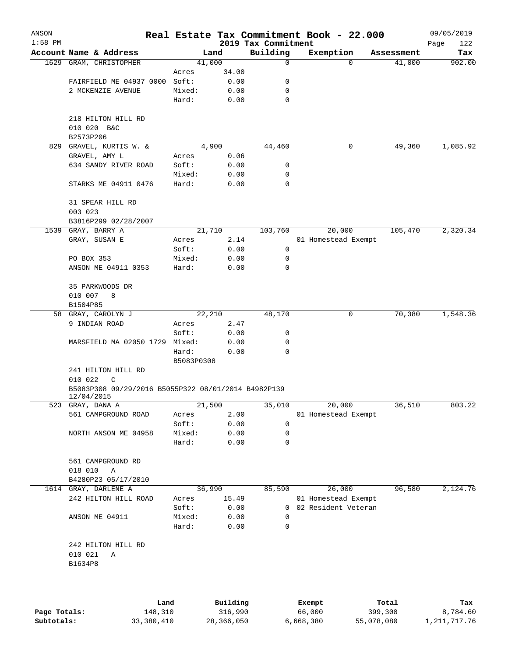| ANSON<br>$1:58$ PM |                                                     |            |          | 2019 Tax Commitment | Real Estate Tax Commitment Book - 22.000 |          |            | 09/05/2019<br>Page<br>122 |
|--------------------|-----------------------------------------------------|------------|----------|---------------------|------------------------------------------|----------|------------|---------------------------|
|                    | Account Name & Address                              |            | Land     | Building            | Exemption                                |          | Assessment | Tax                       |
|                    | 1629 GRAM, CHRISTOPHER                              | 41,000     |          | 0                   |                                          | $\Omega$ | 41,000     | 902.00                    |
|                    |                                                     | Acres      | 34.00    |                     |                                          |          |            |                           |
|                    | FAIRFIELD ME 04937 0000                             | Soft:      | 0.00     | 0                   |                                          |          |            |                           |
|                    | 2 MCKENZIE AVENUE                                   | Mixed:     | 0.00     | 0                   |                                          |          |            |                           |
|                    |                                                     | Hard:      | 0.00     | 0                   |                                          |          |            |                           |
|                    | 218 HILTON HILL RD<br>010 020 B&C                   |            |          |                     |                                          |          |            |                           |
|                    | B2573P206                                           |            |          |                     |                                          |          |            |                           |
| 829                | GRAVEL, KURTIS W. &                                 |            | 4,900    | 44,460              |                                          | 0        | 49,360     | 1,085.92                  |
|                    | GRAVEL, AMY L                                       | Acres      | 0.06     |                     |                                          |          |            |                           |
|                    | 634 SANDY RIVER ROAD                                | Soft:      | 0.00     | 0                   |                                          |          |            |                           |
|                    |                                                     | Mixed:     | 0.00     | 0                   |                                          |          |            |                           |
|                    | STARKS ME 04911 0476                                | Hard:      | 0.00     | 0                   |                                          |          |            |                           |
|                    | 31 SPEAR HILL RD<br>003 023                         |            |          |                     |                                          |          |            |                           |
|                    | B3816P299 02/28/2007                                |            |          |                     |                                          |          |            |                           |
|                    | 1539 GRAY, BARRY A                                  | 21,710     |          | 103,760             | 20,000                                   |          | 105,470    | 2,320.34                  |
|                    | GRAY, SUSAN E                                       | Acres      | 2.14     |                     | 01 Homestead Exempt                      |          |            |                           |
|                    |                                                     | Soft:      | 0.00     | 0                   |                                          |          |            |                           |
|                    | PO BOX 353                                          | Mixed:     | 0.00     | 0                   |                                          |          |            |                           |
|                    | ANSON ME 04911 0353                                 | Hard:      | 0.00     | 0                   |                                          |          |            |                           |
|                    | 35 PARKWOODS DR                                     |            |          |                     |                                          |          |            |                           |
|                    | 010 007<br>8                                        |            |          |                     |                                          |          |            |                           |
|                    | B1504P85                                            |            |          |                     |                                          |          |            |                           |
| 58                 | GRAY, CAROLYN J                                     | 22,210     |          | 48,170              |                                          | 0        | 70,380     | 1,548.36                  |
|                    | 9 INDIAN ROAD                                       | Acres      | 2.47     |                     |                                          |          |            |                           |
|                    |                                                     | Soft:      | 0.00     | 0                   |                                          |          |            |                           |
|                    | MARSFIELD MA 02050 1729 Mixed:                      |            | 0.00     | 0                   |                                          |          |            |                           |
|                    |                                                     | Hard:      | 0.00     | 0                   |                                          |          |            |                           |
|                    |                                                     | B5083P0308 |          |                     |                                          |          |            |                           |
|                    | 241 HILTON HILL RD<br>010 022<br>C                  |            |          |                     |                                          |          |            |                           |
|                    | B5083P308 09/29/2016 B5055P322 08/01/2014 B4982P139 |            |          |                     |                                          |          |            |                           |
|                    | 12/04/2015                                          |            |          |                     |                                          |          |            |                           |
|                    | 523 GRAY, DANA A                                    | 21,500     |          | 35,010              | 20,000                                   |          | 36,510     | 803.22                    |
|                    | 561 CAMPGROUND ROAD                                 | Acres      | 2.00     |                     | 01 Homestead Exempt                      |          |            |                           |
|                    |                                                     | Soft:      | 0.00     | 0                   |                                          |          |            |                           |
|                    | NORTH ANSON ME 04958                                | Mixed:     | 0.00     | 0                   |                                          |          |            |                           |
|                    |                                                     | Hard:      | 0.00     | 0                   |                                          |          |            |                           |
|                    | 561 CAMPGROUND RD                                   |            |          |                     |                                          |          |            |                           |
|                    | 018 010<br>Α                                        |            |          |                     |                                          |          |            |                           |
|                    | B4280P23 05/17/2010                                 |            |          |                     |                                          |          |            |                           |
|                    | 1614 GRAY, DARLENE A                                | 36,990     |          | 85,590              | 26,000                                   |          | 96,580     | 2,124.76                  |
|                    | 242 HILTON HILL ROAD                                | Acres      | 15.49    |                     | 01 Homestead Exempt                      |          |            |                           |
|                    |                                                     | Soft:      | 0.00     | $\mathbf{0}$        | 02 Resident Veteran                      |          |            |                           |
|                    | ANSON ME 04911                                      | Mixed:     | 0.00     | 0                   |                                          |          |            |                           |
|                    |                                                     | Hard:      | 0.00     | 0                   |                                          |          |            |                           |
|                    | 242 HILTON HILL RD                                  |            |          |                     |                                          |          |            |                           |
|                    | 010 021<br>Α                                        |            |          |                     |                                          |          |            |                           |
|                    | B1634P8                                             |            |          |                     |                                          |          |            |                           |
|                    |                                                     |            |          |                     |                                          |          |            |                           |
|                    |                                                     |            |          |                     |                                          |          |            |                           |
|                    | Land                                                |            | Building |                     | Exempt                                   |          | Total      | Tax                       |

|              | Land       | Building   | Exempt    | Total      | Tax             |
|--------------|------------|------------|-----------|------------|-----------------|
| Page Totals: | 148,310    | 316,990    | 66,000    | 399,300    | 8,784.60        |
| Subtotals:   | 33,380,410 | 28,366,050 | 6,668,380 | 55,078,080 | 1, 211, 717, 76 |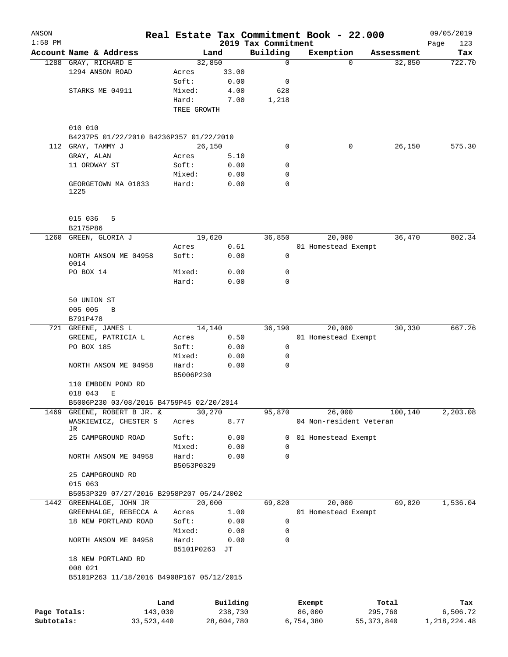| ANSON                      |                                                                       |                    |                       |                                 | Real Estate Tax Commitment Book - 22.000 |                         |            | 09/05/2019                  |
|----------------------------|-----------------------------------------------------------------------|--------------------|-----------------------|---------------------------------|------------------------------------------|-------------------------|------------|-----------------------------|
| $1:58$ PM                  | Account Name & Address                                                |                    | Land                  | 2019 Tax Commitment<br>Building | Exemption                                |                         | Assessment | Page<br>123<br>Tax          |
|                            | 1288 GRAY, RICHARD E                                                  | 32,850             |                       | $\mathbf 0$                     |                                          | $\Omega$                | 32,850     | 722.70                      |
|                            | 1294 ANSON ROAD                                                       | Acres              | 33.00                 |                                 |                                          |                         |            |                             |
|                            |                                                                       | Soft:              | 0.00                  | 0                               |                                          |                         |            |                             |
|                            | STARKS ME 04911                                                       | Mixed:             | 4.00                  | 628                             |                                          |                         |            |                             |
|                            |                                                                       | Hard:              | 7.00                  | 1,218                           |                                          |                         |            |                             |
|                            |                                                                       | TREE GROWTH        |                       |                                 |                                          |                         |            |                             |
|                            |                                                                       |                    |                       |                                 |                                          |                         |            |                             |
|                            | 010 010                                                               |                    |                       |                                 |                                          |                         |            |                             |
|                            | B4237P5 01/22/2010 B4236P357 01/22/2010                               |                    |                       |                                 |                                          |                         |            |                             |
|                            | 112 GRAY, TAMMY J                                                     | 26,150             |                       | 0                               |                                          | 0                       | 26,150     | 575.30                      |
|                            | GRAY, ALAN                                                            | Acres              | 5.10                  |                                 |                                          |                         |            |                             |
|                            | 11 ORDWAY ST                                                          | Soft:              | 0.00                  | 0                               |                                          |                         |            |                             |
|                            |                                                                       | Mixed:             | 0.00                  | 0                               |                                          |                         |            |                             |
|                            | GEORGETOWN MA 01833<br>1225                                           | Hard:              | 0.00                  | $\Omega$                        |                                          |                         |            |                             |
|                            |                                                                       |                    |                       |                                 |                                          |                         |            |                             |
|                            | 015 036<br>5<br>B2175P86                                              |                    |                       |                                 |                                          |                         |            |                             |
| 1260                       | GREEN, GLORIA J                                                       | 19,620             |                       | 36,850                          | 20,000                                   |                         | 36,470     | 802.34                      |
|                            |                                                                       | Acres              | 0.61                  |                                 | 01 Homestead Exempt                      |                         |            |                             |
|                            | NORTH ANSON ME 04958<br>0014                                          | Soft:              | 0.00                  | 0                               |                                          |                         |            |                             |
|                            | PO BOX 14                                                             | Mixed:             | 0.00                  | $\mathbf 0$                     |                                          |                         |            |                             |
|                            |                                                                       | Hard:              | 0.00                  | 0                               |                                          |                         |            |                             |
|                            | 50 UNION ST                                                           |                    |                       |                                 |                                          |                         |            |                             |
|                            | 005 005<br>B                                                          |                    |                       |                                 |                                          |                         |            |                             |
|                            | B791P478                                                              |                    |                       |                                 |                                          |                         |            |                             |
|                            | 721 GREENE, JAMES L                                                   | 14,140             |                       | 36,190                          | 20,000                                   |                         | 30,330     | 667.26                      |
|                            | GREENE, PATRICIA L                                                    | Acres              | 0.50                  |                                 | 01 Homestead Exempt                      |                         |            |                             |
|                            | PO BOX 185                                                            | Soft:              | 0.00                  | 0                               |                                          |                         |            |                             |
|                            |                                                                       | Mixed:             | 0.00                  | 0                               |                                          |                         |            |                             |
|                            | NORTH ANSON ME 04958                                                  | Hard:<br>B5006P230 | 0.00                  | 0                               |                                          |                         |            |                             |
|                            | 110 EMBDEN POND RD<br>018 043<br>Е                                    |                    |                       |                                 |                                          |                         |            |                             |
|                            | B5006P230 03/08/2016 B4759P45 02/20/2014                              |                    |                       |                                 |                                          |                         |            |                             |
| 1469                       | GREENE, ROBERT B JR. &                                                | 30,270             |                       | 95,870                          | 26,000                                   |                         | 100,140    | 2,203.08                    |
|                            | WASKIEWICZ, CHESTER S<br>JR                                           | Acres              | 8.77                  |                                 | 04 Non-resident Veteran                  |                         |            |                             |
|                            | 25 CAMPGROUND ROAD                                                    | Soft:              | 0.00                  | 0                               | 01 Homestead Exempt                      |                         |            |                             |
|                            |                                                                       | Mixed:             | 0.00                  | $\Omega$                        |                                          |                         |            |                             |
|                            | NORTH ANSON ME 04958                                                  | Hard:              | 0.00                  | 0                               |                                          |                         |            |                             |
|                            |                                                                       | B5053P0329         |                       |                                 |                                          |                         |            |                             |
|                            | 25 CAMPGROUND RD                                                      |                    |                       |                                 |                                          |                         |            |                             |
|                            | 015 063                                                               |                    |                       |                                 |                                          |                         |            |                             |
|                            | B5053P329 07/27/2016 B2958P207 05/24/2002<br>1442 GREENHALGE, JOHN JR | 20,000             |                       | 69,820                          | 20,000                                   |                         | 69,820     | 1,536.04                    |
|                            | GREENHALGE, REBECCA A                                                 | Acres              | 1.00                  |                                 | 01 Homestead Exempt                      |                         |            |                             |
|                            | 18 NEW PORTLAND ROAD                                                  | Soft:              | 0.00                  | $\mathbf 0$                     |                                          |                         |            |                             |
|                            |                                                                       | Mixed:             | 0.00                  | 0                               |                                          |                         |            |                             |
|                            | NORTH ANSON ME 04958                                                  | Hard:              | 0.00                  | $\Omega$                        |                                          |                         |            |                             |
|                            |                                                                       | B5101P0263         | JТ                    |                                 |                                          |                         |            |                             |
|                            | 18 NEW PORTLAND RD                                                    |                    |                       |                                 |                                          |                         |            |                             |
|                            | 008 021                                                               |                    |                       |                                 |                                          |                         |            |                             |
|                            | B5101P263 11/18/2016 B4908P167 05/12/2015                             |                    |                       |                                 |                                          |                         |            |                             |
|                            |                                                                       |                    |                       |                                 |                                          |                         |            |                             |
|                            |                                                                       | Land               | Building              |                                 | Exempt                                   | Total                   |            | Tax                         |
| Page Totals:<br>Subtotals: | 143,030<br>33,523,440                                                 |                    | 238,730<br>28,604,780 |                                 | 86,000<br>6,754,380                      | 295,760<br>55, 373, 840 |            | 6,506.72<br>1, 218, 224. 48 |
|                            |                                                                       |                    |                       |                                 |                                          |                         |            |                             |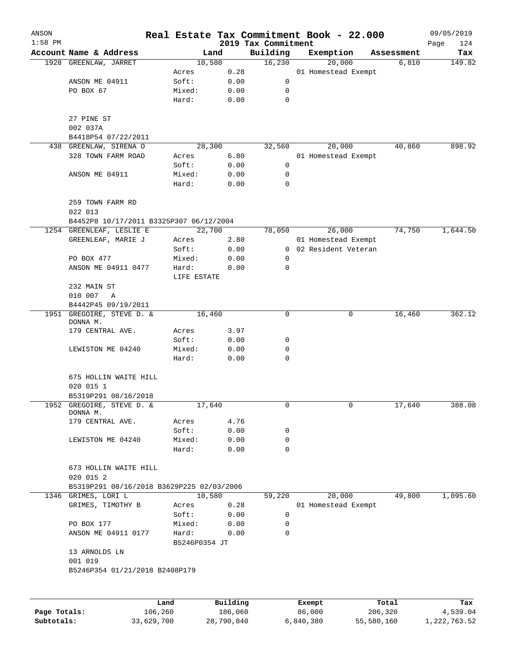| ANSON        |                                           |                      |          |                                 | Real Estate Tax Commitment Book - 22.000 |            | 09/05/2019         |
|--------------|-------------------------------------------|----------------------|----------|---------------------------------|------------------------------------------|------------|--------------------|
| $1:58$ PM    | Account Name & Address                    |                      | Land     | 2019 Tax Commitment<br>Building | Exemption                                | Assessment | Page<br>124<br>Tax |
|              | 1928 GREENLAW, JARRET                     |                      | 10,580   | 16,230                          | 20,000                                   | 6,810      | 149.82             |
|              |                                           | Acres                | 0.28     |                                 | 01 Homestead Exempt                      |            |                    |
|              | ANSON ME 04911                            | Soft:                | 0.00     | 0                               |                                          |            |                    |
|              | PO BOX 67                                 | Mixed:               | 0.00     | 0                               |                                          |            |                    |
|              |                                           | Hard:                | 0.00     | $\mathbf 0$                     |                                          |            |                    |
|              | 27 PINE ST                                |                      |          |                                 |                                          |            |                    |
|              | 002 037A                                  |                      |          |                                 |                                          |            |                    |
|              | B4418P54 07/22/2011                       |                      |          |                                 |                                          |            |                    |
|              | 438 GREENLAW, SIRENA O                    |                      | 28,300   | 32,560                          | 20,000                                   | 40,860     | 898.92             |
|              | 328 TOWN FARM ROAD                        | Acres                | 6.80     |                                 | 01 Homestead Exempt                      |            |                    |
|              |                                           | Soft:                | 0.00     | 0                               |                                          |            |                    |
|              | ANSON ME 04911                            | Mixed:               | 0.00     | 0                               |                                          |            |                    |
|              |                                           | Hard:                | 0.00     | 0                               |                                          |            |                    |
|              | 259 TOWN FARM RD<br>022 013               |                      |          |                                 |                                          |            |                    |
|              | B4452P8 10/17/2011 B3325P307 06/12/2004   |                      |          |                                 |                                          |            |                    |
|              | 1254 GREENLEAF, LESLIE E                  |                      | 22,700   | 78,050                          | 26,000                                   | 74,750     | 1,644.50           |
|              | GREENLEAF, MARIE J                        | Acres                | 2.80     |                                 | 01 Homestead Exempt                      |            |                    |
|              |                                           | Soft:                | 0.00     |                                 | 0 02 Resident Veteran                    |            |                    |
|              | PO BOX 477                                | Mixed:               | 0.00     | 0                               |                                          |            |                    |
|              | ANSON ME 04911 0477                       | Hard:<br>LIFE ESTATE | 0.00     | 0                               |                                          |            |                    |
|              | 232 MAIN ST                               |                      |          |                                 |                                          |            |                    |
|              | 010 007<br>Α                              |                      |          |                                 |                                          |            |                    |
|              | B4442P45 09/19/2011                       |                      |          |                                 |                                          |            |                    |
|              | 1951 GREGOIRE, STEVE D. &<br>DONNA M.     |                      | 16,460   | 0                               | $\mathbf 0$                              | 16,460     | 362.12             |
|              | 179 CENTRAL AVE.                          | Acres                | 3.97     |                                 |                                          |            |                    |
|              |                                           | Soft:                | 0.00     | 0                               |                                          |            |                    |
|              | LEWISTON ME 04240                         | Mixed:               | 0.00     | 0                               |                                          |            |                    |
|              |                                           | Hard:                | 0.00     | 0                               |                                          |            |                    |
|              | 675 HOLLIN WAITE HILL                     |                      |          |                                 |                                          |            |                    |
|              | 020 015 1                                 |                      |          |                                 |                                          |            |                    |
|              | B5319P291 08/16/2018                      |                      |          |                                 |                                          |            |                    |
| 1952         | GREGOIRE, STEVE D. &<br>DONNA M.          |                      | 17,640   | 0                               | 0                                        | 17,640     | 388.08             |
|              | 179 CENTRAL AVE.                          | Acres                | 4.76     |                                 |                                          |            |                    |
|              |                                           | Soft:                | 0.00     | 0                               |                                          |            |                    |
|              | LEWISTON ME 04240                         | Mixed:               | 0.00     | 0                               |                                          |            |                    |
|              |                                           | Hard:                | 0.00     | $\mathbf 0$                     |                                          |            |                    |
|              | 673 HOLLIN WAITE HILL<br>020 015 2        |                      |          |                                 |                                          |            |                    |
|              | B5319P291 08/16/2018 B3629P225 02/03/2006 |                      |          |                                 |                                          |            |                    |
|              | 1346 GRIMES, LORI L                       |                      | 10,580   | 59,220                          | 20,000                                   | 49,800     | 1,095.60           |
|              | GRIMES, TIMOTHY B                         | Acres                | 0.28     |                                 | 01 Homestead Exempt                      |            |                    |
|              |                                           | Soft:                | 0.00     | 0                               |                                          |            |                    |
|              | PO BOX 177                                | Mixed:               | 0.00     | 0                               |                                          |            |                    |
|              | ANSON ME 04911 0177                       | Hard:                | 0.00     | $\mathbf 0$                     |                                          |            |                    |
|              | 13 ARNOLDS LN                             | B5246P0354 JT        |          |                                 |                                          |            |                    |
|              | 001 019                                   |                      |          |                                 |                                          |            |                    |
|              | B5246P354 01/21/2018 B2408P179            |                      |          |                                 |                                          |            |                    |
|              |                                           |                      |          |                                 |                                          |            |                    |
|              |                                           | Land                 | Building |                                 | Exempt                                   | Total      | Tax                |
| Page Totals: | 106,260                                   |                      | 186,060  |                                 | 86,000                                   | 206,320    | 4,539.04           |

**Subtotals:** 33,629,700 28,790,840 6,840,380 55,580,160 1,222,763.52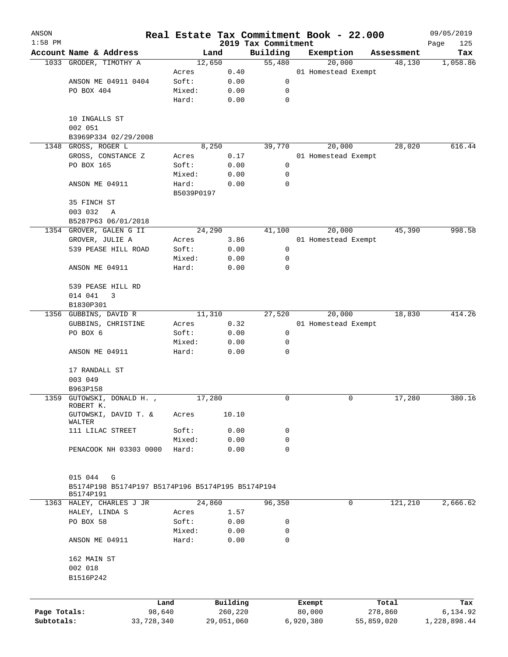| ANSON        |                                                                |            |            |                                 | Real Estate Tax Commitment Book - 22.000 |            | 09/05/2019         |
|--------------|----------------------------------------------------------------|------------|------------|---------------------------------|------------------------------------------|------------|--------------------|
| $1:58$ PM    | Account Name & Address                                         |            | Land       | 2019 Tax Commitment<br>Building | Exemption                                | Assessment | Page<br>125<br>Tax |
|              | 1033 GRODER, TIMOTHY A                                         |            | 12,650     | 55,480                          | 20,000                                   | 48,130     | 1,058.86           |
|              |                                                                | Acres      | 0.40       |                                 | 01 Homestead Exempt                      |            |                    |
|              | ANSON ME 04911 0404                                            | Soft:      | 0.00       | 0                               |                                          |            |                    |
|              | PO BOX 404                                                     | Mixed:     | 0.00       | 0                               |                                          |            |                    |
|              |                                                                | Hard:      | 0.00       | 0                               |                                          |            |                    |
|              | 10 INGALLS ST                                                  |            |            |                                 |                                          |            |                    |
|              | 002 051                                                        |            |            |                                 |                                          |            |                    |
|              | B3969P334 02/29/2008                                           |            |            |                                 |                                          |            |                    |
| 1348         | GROSS, ROGER L                                                 |            | 8,250      | 39,770                          | 20,000                                   | 28,020     | 616.44             |
|              | GROSS, CONSTANCE Z                                             | Acres      | 0.17       |                                 | 01 Homestead Exempt                      |            |                    |
|              | PO BOX 165                                                     | Soft:      | 0.00       | 0                               |                                          |            |                    |
|              |                                                                | Mixed:     | 0.00       | 0                               |                                          |            |                    |
|              | ANSON ME 04911                                                 | Hard:      | 0.00       | 0                               |                                          |            |                    |
|              |                                                                | B5039P0197 |            |                                 |                                          |            |                    |
|              | 35 FINCH ST                                                    |            |            |                                 |                                          |            |                    |
|              | 003 032<br>Α                                                   |            |            |                                 |                                          |            |                    |
|              | B5287P63 06/01/2018                                            |            |            |                                 |                                          |            |                    |
|              | 1354 GROVER, GALEN G II                                        |            | 24,290     | 41,100                          | 20,000                                   | 45,390     | 998.58             |
|              | GROVER, JULIE A                                                | Acres      | 3.86       |                                 | 01 Homestead Exempt                      |            |                    |
|              | 539 PEASE HILL ROAD                                            | Soft:      | 0.00       | 0                               |                                          |            |                    |
|              |                                                                | Mixed:     | 0.00       | 0                               |                                          |            |                    |
|              | ANSON ME 04911                                                 | Hard:      | 0.00       | 0                               |                                          |            |                    |
|              | 539 PEASE HILL RD                                              |            |            |                                 |                                          |            |                    |
|              | 014 041<br>3                                                   |            |            |                                 |                                          |            |                    |
|              | B1830P301                                                      |            |            |                                 |                                          |            |                    |
|              | 1356 GUBBINS, DAVID R                                          |            | 11,310     | 27,520                          | 20,000                                   | 18,830     | 414.26             |
|              | GUBBINS, CHRISTINE                                             | Acres      | 0.32       |                                 | 01 Homestead Exempt                      |            |                    |
|              | PO BOX 6                                                       | Soft:      | 0.00       | 0                               |                                          |            |                    |
|              |                                                                | Mixed:     | 0.00       | 0                               |                                          |            |                    |
|              | ANSON ME 04911                                                 | Hard:      | 0.00       | 0                               |                                          |            |                    |
|              | 17 RANDALL ST                                                  |            |            |                                 |                                          |            |                    |
|              | 003 049                                                        |            |            |                                 |                                          |            |                    |
|              | B963P158                                                       |            |            |                                 |                                          |            |                    |
|              | 1359 GUTOWSKI, DONALD H.,                                      |            | 17,280     | 0                               | 0                                        | 17,280     | 380.16             |
|              | ROBERT K.<br>GUTOWSKI, DAVID T. &                              | Acres      | 10.10      |                                 |                                          |            |                    |
|              | WALTER                                                         |            |            |                                 |                                          |            |                    |
|              | 111 LILAC STREET                                               | Soft:      | 0.00       | 0                               |                                          |            |                    |
|              |                                                                | Mixed:     | 0.00       | 0                               |                                          |            |                    |
|              | PENACOOK NH 03303 0000                                         | Hard:      | 0.00       | $\mathbf 0$                     |                                          |            |                    |
|              |                                                                |            |            |                                 |                                          |            |                    |
|              | 015 044<br>G                                                   |            |            |                                 |                                          |            |                    |
|              | B5174P198 B5174P197 B5174P196 B5174P195 B5174P194<br>B5174P191 |            |            |                                 |                                          |            |                    |
|              | 1363 HALEY, CHARLES J JR                                       |            | 24,860     | 96,350                          | 0                                        | 121,210    | 2,666.62           |
|              | HALEY, LINDA S                                                 | Acres      | 1.57       |                                 |                                          |            |                    |
|              | PO BOX 58                                                      | Soft:      | 0.00       | 0                               |                                          |            |                    |
|              |                                                                | Mixed:     | 0.00       | 0                               |                                          |            |                    |
|              | ANSON ME 04911                                                 | Hard:      | 0.00       | 0                               |                                          |            |                    |
|              | 162 MAIN ST                                                    |            |            |                                 |                                          |            |                    |
|              | 002 018                                                        |            |            |                                 |                                          |            |                    |
|              | B1516P242                                                      |            |            |                                 |                                          |            |                    |
|              |                                                                |            |            |                                 |                                          |            |                    |
|              |                                                                | Land       | Building   |                                 | Exempt                                   | Total      | Tax                |
| Page Totals: | 98,640                                                         |            | 260,220    |                                 | 80,000                                   | 278,860    | 6,134.92           |
| Subtotals:   | 33,728,340                                                     |            | 29,051,060 |                                 | 6,920,380                                | 55,859,020 | 1,228,898.44       |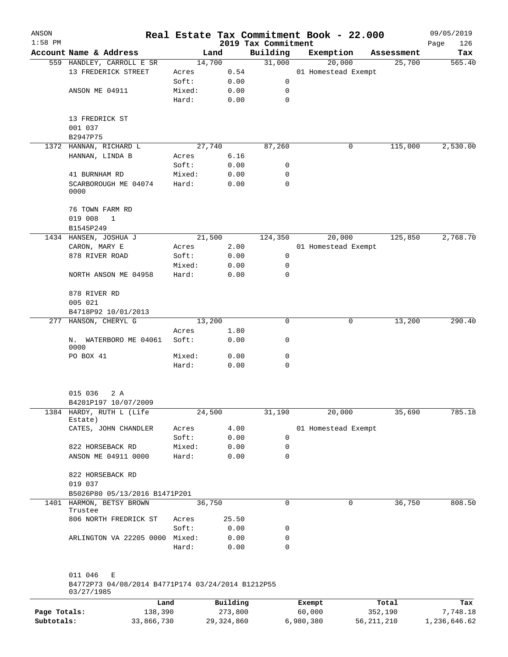| ANSON<br>$1:58$ PM |                                                                   |        |                                   | 2019 Tax Commitment | Real Estate Tax Commitment Book - 22.000 |            | 09/05/2019<br>126<br>Page |
|--------------------|-------------------------------------------------------------------|--------|-----------------------------------|---------------------|------------------------------------------|------------|---------------------------|
|                    | Account Name & Address                                            |        | Land                              | Building            | Exemption                                | Assessment | Tax                       |
|                    | 559 HANDLEY, CARROLL E SR                                         |        | 14,700                            | 31,000              | 20,000                                   | 25,700     | 565.40                    |
|                    | 13 FREDERICK STREET                                               | Acres  | 0.54                              |                     | 01 Homestead Exempt                      |            |                           |
|                    |                                                                   | Soft:  | 0.00                              | 0                   |                                          |            |                           |
|                    | ANSON ME 04911                                                    | Mixed: | 0.00                              | 0                   |                                          |            |                           |
|                    |                                                                   | Hard:  | 0.00                              | 0                   |                                          |            |                           |
|                    | 13 FREDRICK ST<br>001 037                                         |        |                                   |                     |                                          |            |                           |
|                    | B2947P75                                                          |        |                                   |                     |                                          |            |                           |
|                    | 1372 HANNAN, RICHARD L                                            |        | 27,740                            | 87,260              | 0                                        | 115,000    | 2,530.00                  |
|                    | HANNAN, LINDA B                                                   | Acres  | 6.16                              |                     |                                          |            |                           |
|                    |                                                                   | Soft:  | 0.00                              | 0                   |                                          |            |                           |
|                    | 41 BURNHAM RD                                                     | Mixed: | 0.00                              | 0                   |                                          |            |                           |
|                    | SCARBOROUGH ME 04074<br>0000                                      | Hard:  | 0.00                              | $\Omega$            |                                          |            |                           |
|                    | 76 TOWN FARM RD                                                   |        |                                   |                     |                                          |            |                           |
|                    | 019 008<br>$\mathbf{1}$                                           |        |                                   |                     |                                          |            |                           |
|                    | B1545P249                                                         |        |                                   |                     |                                          |            |                           |
|                    | 1434 HANSEN, JOSHUA J                                             |        | 21,500                            | 124,350             | 20,000                                   | 125,850    | 2,768.70                  |
|                    | CARON, MARY E                                                     | Acres  | 2.00                              |                     | 01 Homestead Exempt                      |            |                           |
|                    | 878 RIVER ROAD                                                    | Soft:  | 0.00                              | $\mathbf 0$         |                                          |            |                           |
|                    |                                                                   | Mixed: | 0.00                              | 0                   |                                          |            |                           |
|                    | NORTH ANSON ME 04958                                              | Hard:  | 0.00                              | 0                   |                                          |            |                           |
|                    | 878 RIVER RD<br>005 021                                           |        |                                   |                     |                                          |            |                           |
|                    | B4718P92 10/01/2013                                               |        |                                   |                     |                                          |            |                           |
|                    | 277 HANSON, CHERYL G                                              |        | 13,200                            | 0                   | 0                                        | 13,200     | 290.40                    |
|                    |                                                                   | Acres  | 1.80                              |                     |                                          |            |                           |
|                    | N. WATERBORO ME 04061<br>0000                                     | Soft:  | 0.00                              | 0                   |                                          |            |                           |
|                    | PO BOX 41                                                         | Mixed: | 0.00                              | 0                   |                                          |            |                           |
|                    |                                                                   | Hard:  | 0.00                              | 0                   |                                          |            |                           |
|                    | 015 036<br>2 A<br>B4201P197 10/07/2009                            |        |                                   |                     |                                          |            |                           |
|                    | 1384 HARDY, RUTH L (Life                                          |        | 24,500                            | 31,190              | 20,000                                   | 35,690     | 785.18                    |
|                    | Estate)                                                           |        |                                   |                     |                                          |            |                           |
|                    | CATES, JOHN CHANDLER                                              | Acres  | 4.00                              |                     | 01 Homestead Exempt                      |            |                           |
|                    |                                                                   | Soft:  | 0.00                              | $\mathbf 0$         |                                          |            |                           |
|                    | 822 HORSEBACK RD                                                  | Mixed: | 0.00                              | 0                   |                                          |            |                           |
|                    | ANSON ME 04911 0000                                               | Hard:  | 0.00                              | 0                   |                                          |            |                           |
|                    | 822 HORSEBACK RD<br>019 037                                       |        |                                   |                     |                                          |            |                           |
|                    | B5026P80 05/13/2016 B1471P201                                     |        |                                   |                     |                                          |            |                           |
|                    | 1401 HARMON, BETSY BROWN<br>Trustee                               |        | 36,750                            | 0                   | 0                                        | 36,750     | 808.50                    |
|                    | 806 NORTH FREDRICK ST                                             | Acres  | 25.50                             |                     |                                          |            |                           |
|                    |                                                                   | Soft:  | 0.00                              | 0                   |                                          |            |                           |
|                    | ARLINGTON VA 22205 0000 Mixed:                                    |        | 0.00                              | 0                   |                                          |            |                           |
|                    |                                                                   | Hard:  | 0.00                              | 0                   |                                          |            |                           |
|                    | 011 046<br>Е<br>B4772P73 04/08/2014 B4771P174 03/24/2014 B1212P55 |        |                                   |                     |                                          |            |                           |
|                    | 03/27/1985                                                        |        | $P_{\text{rel}}$ $R_{\text{rel}}$ |                     |                                          |            |                           |
|                    | <b>Tond</b>                                                       |        |                                   |                     | $F$ vomnt                                | $T - 1$    |                           |

|              | úand       | Building   | Exempt    | Total      | Tax          |
|--------------|------------|------------|-----------|------------|--------------|
| Page Totals: | 138,390    | 273,800    | 60,000    | 352,190    | 7,748.18     |
| Subtotals:   | 33,866,730 | 29,324,860 | 6,980,380 | 56,211,210 | 1,236,646.62 |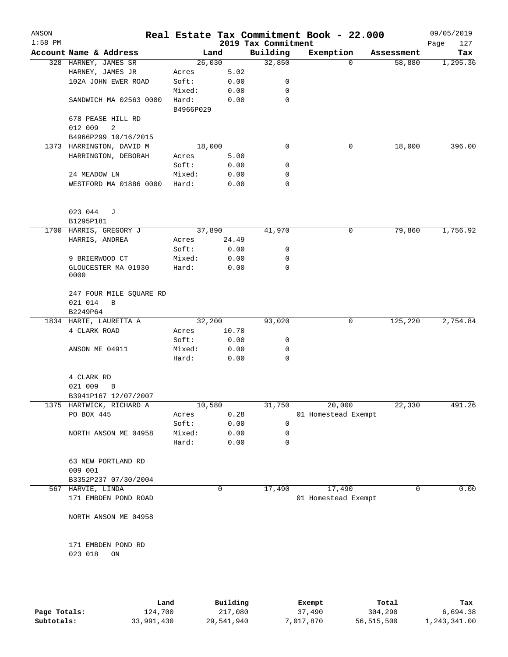| ANSON<br>$1:58$ PM |                               |                    |              | 2019 Tax Commitment | Real Estate Tax Commitment Book - 22.000 |            | 09/05/2019<br>Page<br>127 |
|--------------------|-------------------------------|--------------------|--------------|---------------------|------------------------------------------|------------|---------------------------|
|                    | Account Name & Address        |                    | Land         | Building            | Exemption                                | Assessment | Tax                       |
|                    | 328 HARNEY, JAMES SR          | 26,030             |              | 32,850              | 0                                        | 58,880     | 1,295.36                  |
|                    | HARNEY, JAMES JR              | Acres              | 5.02         |                     |                                          |            |                           |
|                    | 102A JOHN EWER ROAD           | Soft:              | 0.00         | 0                   |                                          |            |                           |
|                    |                               | Mixed:             | 0.00         | $\mathbf 0$         |                                          |            |                           |
|                    | SANDWICH MA 02563 0000        | Hard:<br>B4966P029 | 0.00         | $\mathbf 0$         |                                          |            |                           |
|                    | 678 PEASE HILL RD             |                    |              |                     |                                          |            |                           |
|                    | 012 009<br>2                  |                    |              |                     |                                          |            |                           |
|                    | B4966P299 10/16/2015          |                    |              |                     |                                          |            |                           |
|                    | 1373 HARRINGTON, DAVID M      | 18,000             |              | 0                   | 0                                        | 18,000     | 396.00                    |
|                    | HARRINGTON, DEBORAH           | Acres              | 5.00         |                     |                                          |            |                           |
|                    |                               | Soft:              | 0.00         | 0                   |                                          |            |                           |
|                    | 24 MEADOW LN                  | Mixed:             | 0.00         | 0                   |                                          |            |                           |
|                    | WESTFORD MA 01886 0000        | Hard:              | 0.00         | $\mathbf 0$         |                                          |            |                           |
|                    | 023 044<br>J                  |                    |              |                     |                                          |            |                           |
|                    | B1295P181                     |                    |              |                     |                                          |            |                           |
|                    | 1700 HARRIS, GREGORY J        | 37,890             |              | 41,970              | $\mathbf 0$                              | 79,860     | 1,756.92                  |
|                    | HARRIS, ANDREA                | Acres              | 24.49        |                     |                                          |            |                           |
|                    |                               | Soft:              | 0.00         | 0                   |                                          |            |                           |
|                    | 9 BRIERWOOD CT                | Mixed:             | 0.00         | 0                   |                                          |            |                           |
|                    | GLOUCESTER MA 01930<br>0000   | Hard:              | 0.00         | $\mathbf 0$         |                                          |            |                           |
|                    | 247 FOUR MILE SQUARE RD       |                    |              |                     |                                          |            |                           |
|                    | 021 014<br>B                  |                    |              |                     |                                          |            |                           |
|                    | B2249P64                      |                    |              |                     |                                          |            |                           |
|                    | 1834 HARTE, LAURETTA A        | 32,200             |              | 93,020              | 0                                        | 125,220    | 2,754.84                  |
|                    | 4 CLARK ROAD                  | Acres              | 10.70        |                     |                                          |            |                           |
|                    |                               | Soft:              | 0.00         | 0                   |                                          |            |                           |
|                    | ANSON ME 04911                | Mixed:<br>Hard:    | 0.00<br>0.00 | 0<br>$\mathbf 0$    |                                          |            |                           |
|                    |                               |                    |              |                     |                                          |            |                           |
|                    | 4 CLARK RD                    |                    |              |                     |                                          |            |                           |
|                    | 021 009<br>В                  |                    |              |                     |                                          |            |                           |
|                    | B3941P167 12/07/2007          |                    |              |                     |                                          |            |                           |
|                    | 1375 HARTWICK, RICHARD A      | 10,580             |              | 31,750              | 20,000                                   | 22,330     | 491.26                    |
|                    | PO BOX 445                    | Acres              | 0.28         |                     | 01 Homestead Exempt                      |            |                           |
|                    |                               | Soft:              | 0.00         | 0                   |                                          |            |                           |
|                    | NORTH ANSON ME 04958          | Mixed:             | 0.00         | 0                   |                                          |            |                           |
|                    |                               | Hard:              | 0.00         | $\mathbf 0$         |                                          |            |                           |
|                    | 63 NEW PORTLAND RD<br>009 001 |                    |              |                     |                                          |            |                           |
|                    | B3352P237 07/30/2004          |                    |              |                     |                                          |            |                           |
|                    | 567 HARVIE, LINDA             |                    | 0            | 17,490              | 17,490                                   | 0          | 0.00                      |
|                    | 171 EMBDEN POND ROAD          |                    |              |                     | 01 Homestead Exempt                      |            |                           |
|                    |                               |                    |              |                     |                                          |            |                           |
|                    | NORTH ANSON ME 04958          |                    |              |                     |                                          |            |                           |
|                    | 171 EMBDEN POND RD            |                    |              |                     |                                          |            |                           |
|                    | 023 018<br>ON                 |                    |              |                     |                                          |            |                           |
|                    |                               |                    |              |                     |                                          |            |                           |

|              | Land       | Building   | Exempt    | Total      | Tax          |
|--------------|------------|------------|-----------|------------|--------------|
| Page Totals: | 124,700    | 217,080    | 37,490    | 304,290    | 6,694.38     |
| Subtotals:   | 33,991,430 | 29,541,940 | 7,017,870 | 56,515,500 | 1,243,341.00 |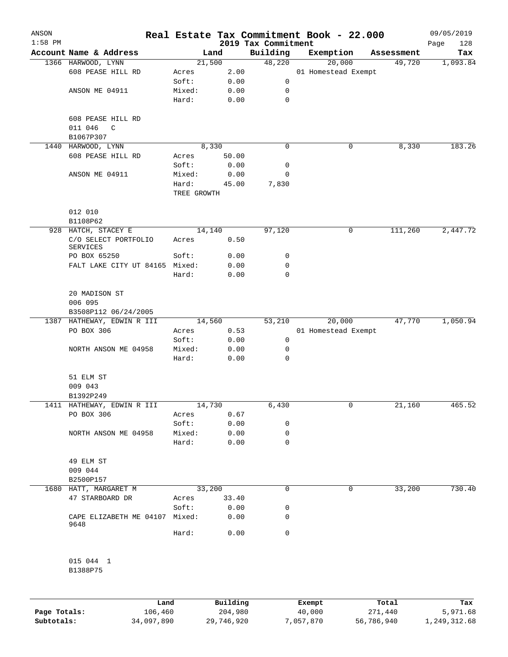| ANSON     |                                         |             |          |                                 | Real Estate Tax Commitment Book - 22.000 |            | 09/05/2019         |
|-----------|-----------------------------------------|-------------|----------|---------------------------------|------------------------------------------|------------|--------------------|
| $1:58$ PM | Account Name & Address                  |             | Land     | 2019 Tax Commitment<br>Building | Exemption                                | Assessment | 128<br>Page<br>Tax |
|           | 1366 HARWOOD, LYNN                      |             | 21,500   | 48,220                          | 20,000                                   | 49,720     | 1,093.84           |
|           | 608 PEASE HILL RD                       | Acres       | 2.00     |                                 | 01 Homestead Exempt                      |            |                    |
|           |                                         | Soft:       | 0.00     | 0                               |                                          |            |                    |
|           | ANSON ME 04911                          | Mixed:      | 0.00     | 0                               |                                          |            |                    |
|           |                                         | Hard:       | 0.00     | 0                               |                                          |            |                    |
|           | 608 PEASE HILL RD                       |             |          |                                 |                                          |            |                    |
|           | 011 046<br>$\mathsf{C}$                 |             |          |                                 |                                          |            |                    |
|           | B1067P307                               |             |          |                                 |                                          |            |                    |
|           | 1440 HARWOOD, LYNN                      |             | 8,330    | 0                               | 0                                        | 8,330      | 183.26             |
|           | 608 PEASE HILL RD                       | Acres       | 50.00    |                                 |                                          |            |                    |
|           |                                         | Soft:       | 0.00     | 0                               |                                          |            |                    |
|           | ANSON ME 04911                          | Mixed:      | 0.00     | 0                               |                                          |            |                    |
|           |                                         | Hard:       | 45.00    | 7,830                           |                                          |            |                    |
|           |                                         | TREE GROWTH |          |                                 |                                          |            |                    |
|           | 012 010                                 |             |          |                                 |                                          |            |                    |
|           | B1108P62                                |             |          |                                 |                                          |            |                    |
|           | 928 HATCH, STACEY E                     |             | 14,140   | 97,120                          | 0                                        | 111,260    | 2,447.72           |
|           | C/O SELECT PORTFOLIO<br><b>SERVICES</b> | Acres       | 0.50     |                                 |                                          |            |                    |
|           | PO BOX 65250                            | Soft:       | 0.00     | 0                               |                                          |            |                    |
|           | FALT LAKE CITY UT 84165 Mixed:          |             | 0.00     | 0                               |                                          |            |                    |
|           |                                         | Hard:       | 0.00     | $\mathbf 0$                     |                                          |            |                    |
|           | 20 MADISON ST                           |             |          |                                 |                                          |            |                    |
|           | 006 095<br>B3508P112 06/24/2005         |             |          |                                 |                                          |            |                    |
|           | 1387 HATHEWAY, EDWIN R III              |             | 14,560   | 53,210                          | 20,000                                   | 47,770     | 1,050.94           |
|           | PO BOX 306                              | Acres       | 0.53     |                                 | 01 Homestead Exempt                      |            |                    |
|           |                                         | Soft:       | 0.00     | 0                               |                                          |            |                    |
|           | NORTH ANSON ME 04958                    | Mixed:      | 0.00     | 0                               |                                          |            |                    |
|           |                                         | Hard:       | 0.00     | 0                               |                                          |            |                    |
|           | 51 ELM ST                               |             |          |                                 |                                          |            |                    |
|           | 009 043                                 |             |          |                                 |                                          |            |                    |
|           | B1392P249                               |             |          |                                 |                                          |            |                    |
|           | 1411 HATHEWAY, EDWIN R III              |             | 14,730   | 6,430                           | 0                                        | 21,160     | 465.52             |
|           | PO BOX 306                              | Acres       | 0.67     |                                 |                                          |            |                    |
|           |                                         | Soft:       | 0.00     | 0                               |                                          |            |                    |
|           | NORTH ANSON ME 04958                    | Mixed:      | 0.00     | 0                               |                                          |            |                    |
|           |                                         | Hard:       | 0.00     | $\mathbf 0$                     |                                          |            |                    |
|           | 49 ELM ST                               |             |          |                                 |                                          |            |                    |
|           | 009 044                                 |             |          |                                 |                                          |            |                    |
|           | B2500P157                               |             |          |                                 |                                          |            |                    |
|           | 1680 HATT, MARGARET M                   |             | 33,200   | 0                               | 0                                        | 33,200     | 730.40             |
|           | 47 STARBOARD DR                         | Acres       | 33.40    |                                 |                                          |            |                    |
|           |                                         | Soft:       | 0.00     | 0                               |                                          |            |                    |
|           | CAPE ELIZABETH ME 04107 Mixed:<br>9648  |             | 0.00     | 0                               |                                          |            |                    |
|           |                                         | Hard:       | 0.00     | $\mathbf 0$                     |                                          |            |                    |
|           |                                         |             |          |                                 |                                          |            |                    |
|           | 015 044 1<br>B1388P75                   |             |          |                                 |                                          |            |                    |
|           |                                         |             |          |                                 |                                          |            |                    |
|           | Land                                    |             | Building |                                 | Exempt                                   | Total      | Tax                |

|              | Land       | Building   | Exempt    | Total      | Tax          |
|--------------|------------|------------|-----------|------------|--------------|
| Page Totals: | 106,460    | 204,980    | 40,000    | 271,440    | 5,971.68     |
| Subtotals:   | 34,097,890 | 29,746,920 | 7,057,870 | 56,786,940 | 1,249,312.68 |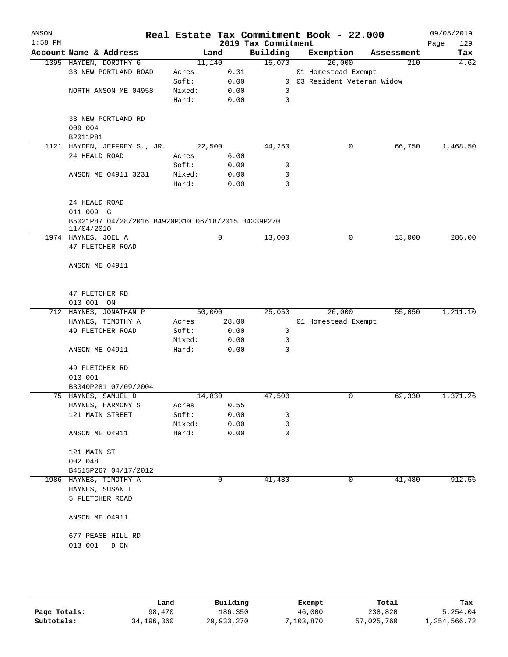| ANSON<br>$1:58$ PM |                                                    |                 |              | 2019 Tax Commitment | Real Estate Tax Commitment Book - 22.000 |   |            | 09/05/2019<br>129<br>Page |
|--------------------|----------------------------------------------------|-----------------|--------------|---------------------|------------------------------------------|---|------------|---------------------------|
|                    | Account Name & Address                             | Land            |              | Building            | Exemption                                |   | Assessment | Tax                       |
|                    | 1395 HAYDEN, DOROTHY G                             | 11,140          |              | 15,070              | 26,000                                   |   | 210        | 4.62                      |
|                    | 33 NEW PORTLAND ROAD                               | Acres           | 0.31         |                     | 01 Homestead Exempt                      |   |            |                           |
|                    |                                                    | Soft:           | 0.00         |                     | 0 03 Resident Veteran Widow              |   |            |                           |
|                    | NORTH ANSON ME 04958                               | Mixed:          | 0.00         | 0                   |                                          |   |            |                           |
|                    |                                                    | Hard:           | 0.00         | 0                   |                                          |   |            |                           |
|                    |                                                    |                 |              |                     |                                          |   |            |                           |
|                    | 33 NEW PORTLAND RD                                 |                 |              |                     |                                          |   |            |                           |
|                    | 009 004                                            |                 |              |                     |                                          |   |            |                           |
|                    | B2011P81                                           |                 |              |                     |                                          |   |            |                           |
|                    | 1121 HAYDEN, JEFFREY S., JR.                       | 22,500          |              | 44,250              |                                          | 0 | 66,750     | 1,468.50                  |
|                    | 24 HEALD ROAD                                      | Acres           | 6.00         |                     |                                          |   |            |                           |
|                    |                                                    | Soft:           | 0.00         | 0                   |                                          |   |            |                           |
|                    | ANSON ME 04911 3231                                | Mixed:          | 0.00         | 0                   |                                          |   |            |                           |
|                    |                                                    | Hard:           | 0.00         | $\mathbf 0$         |                                          |   |            |                           |
|                    | 24 HEALD ROAD                                      |                 |              |                     |                                          |   |            |                           |
|                    | 011 009 G                                          |                 |              |                     |                                          |   |            |                           |
|                    | B5021P87 04/28/2016 B4920P310 06/18/2015 B4339P270 |                 |              |                     |                                          |   |            |                           |
|                    | 11/04/2010                                         |                 |              |                     |                                          |   |            |                           |
|                    | 1974 HAYNES, JOEL A                                |                 | 0            | 13,000              |                                          | 0 | 13,000     | 286.00                    |
|                    | 47 FLETCHER ROAD                                   |                 |              |                     |                                          |   |            |                           |
|                    |                                                    |                 |              |                     |                                          |   |            |                           |
|                    | ANSON ME 04911                                     |                 |              |                     |                                          |   |            |                           |
|                    |                                                    |                 |              |                     |                                          |   |            |                           |
|                    | 47 FLETCHER RD                                     |                 |              |                     |                                          |   |            |                           |
|                    | 013 001 ON                                         |                 |              |                     |                                          |   |            |                           |
|                    | 712 HAYNES, JONATHAN P                             | 50,000          |              | 25,050              | 20,000                                   |   | 55,050     | 1,211.10                  |
|                    | HAYNES, TIMOTHY A                                  | Acres           | 28.00        |                     | 01 Homestead Exempt                      |   |            |                           |
|                    | 49 FLETCHER ROAD                                   | Soft:           | 0.00         | 0                   |                                          |   |            |                           |
|                    |                                                    | Mixed:          | 0.00         | 0                   |                                          |   |            |                           |
|                    | ANSON ME 04911                                     | Hard:           | 0.00         | 0                   |                                          |   |            |                           |
|                    | 49 FLETCHER RD                                     |                 |              |                     |                                          |   |            |                           |
|                    | 013 001                                            |                 |              |                     |                                          |   |            |                           |
|                    | B3340P281 07/09/2004                               |                 |              |                     |                                          |   |            |                           |
|                    | 75 HAYNES, SAMUEL D                                | 14,830          |              | 47,500              |                                          | 0 | 62,330     | 1,371.26                  |
|                    | HAYNES, HARMONY S                                  |                 | 0.55         |                     |                                          |   |            |                           |
|                    | 121 MAIN STREET                                    | Acres<br>Soft:  | 0.00         | 0                   |                                          |   |            |                           |
|                    |                                                    |                 |              | 0                   |                                          |   |            |                           |
|                    | ANSON ME 04911                                     | Mixed:<br>Hard: | 0.00<br>0.00 | 0                   |                                          |   |            |                           |
|                    |                                                    |                 |              |                     |                                          |   |            |                           |
|                    | 121 MAIN ST                                        |                 |              |                     |                                          |   |            |                           |
|                    | 002 048                                            |                 |              |                     |                                          |   |            |                           |
|                    | B4515P267 04/17/2012                               |                 |              |                     |                                          |   |            |                           |
|                    | 1986 HAYNES, TIMOTHY A                             |                 | 0            | 41,480              |                                          | 0 | 41,480     | 912.56                    |
|                    | HAYNES, SUSAN L                                    |                 |              |                     |                                          |   |            |                           |
|                    | 5 FLETCHER ROAD                                    |                 |              |                     |                                          |   |            |                           |
|                    | ANSON ME 04911                                     |                 |              |                     |                                          |   |            |                           |
|                    |                                                    |                 |              |                     |                                          |   |            |                           |
|                    | 677 PEASE HILL RD                                  |                 |              |                     |                                          |   |            |                           |
|                    | 013 001<br>D ON                                    |                 |              |                     |                                          |   |            |                           |
|                    |                                                    |                 |              |                     |                                          |   |            |                           |

|              | Land         | Building   | Exempt   | Total      | Tax          |
|--------------|--------------|------------|----------|------------|--------------|
|              |              |            |          |            |              |
| Page Totals: | 98,470       | 186,350    | 46,000   | 238,820    | 5,254.04     |
| Subtotals:   | 34, 196, 360 | 29,933,270 | ,103,870 | 57,025,760 | 1,254,566.72 |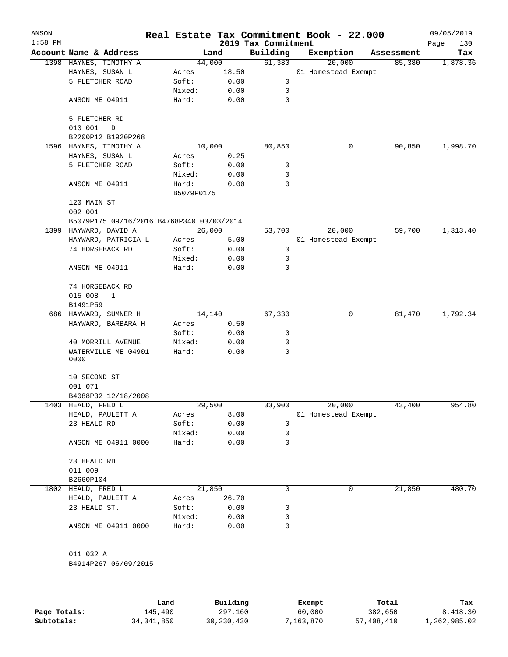| ANSON<br>$1:58$ PM |                                           |            |       | 2019 Tax Commitment | Real Estate Tax Commitment Book - 22.000 |   |            | 09/05/2019<br>130<br>Page |
|--------------------|-------------------------------------------|------------|-------|---------------------|------------------------------------------|---|------------|---------------------------|
|                    | Account Name & Address                    | Land       |       | Building            | Exemption                                |   | Assessment | Tax                       |
|                    | 1398 HAYNES, TIMOTHY A                    | 44,000     |       | 61,380              | 20,000                                   |   | 85,380     | 1,878.36                  |
|                    | HAYNES, SUSAN L                           | Acres      | 18.50 |                     | 01 Homestead Exempt                      |   |            |                           |
|                    | 5 FLETCHER ROAD                           | Soft:      | 0.00  | 0                   |                                          |   |            |                           |
|                    |                                           | Mixed:     | 0.00  | 0                   |                                          |   |            |                           |
|                    | ANSON ME 04911                            | Hard:      | 0.00  | $\mathbf 0$         |                                          |   |            |                           |
|                    | 5 FLETCHER RD<br>013 001<br>D             |            |       |                     |                                          |   |            |                           |
|                    | B2200P12 B1920P268                        |            |       |                     |                                          |   |            |                           |
| 1596               | HAYNES, TIMOTHY A                         | 10,000     |       | 80,850              |                                          | 0 | 90,850     | 1,998.70                  |
|                    | HAYNES, SUSAN L                           | Acres      | 0.25  |                     |                                          |   |            |                           |
|                    | 5 FLETCHER ROAD                           | Soft:      | 0.00  | 0                   |                                          |   |            |                           |
|                    |                                           | Mixed:     | 0.00  | 0                   |                                          |   |            |                           |
|                    | ANSON ME 04911                            | Hard:      | 0.00  | $\mathbf 0$         |                                          |   |            |                           |
|                    |                                           | B5079P0175 |       |                     |                                          |   |            |                           |
|                    | 120 MAIN ST                               |            |       |                     |                                          |   |            |                           |
|                    | 002 001                                   |            |       |                     |                                          |   |            |                           |
|                    | B5079P175 09/16/2016 B4768P340 03/03/2014 |            |       |                     |                                          |   |            |                           |
|                    | 1399 HAYWARD, DAVID A                     | 26,000     |       | 53,700              | 20,000                                   |   | 59,700     | 1,313.40                  |
|                    | HAYWARD, PATRICIA L                       | Acres      | 5.00  |                     | 01 Homestead Exempt                      |   |            |                           |
|                    | 74 HORSEBACK RD                           | Soft:      | 0.00  | $\mathbf 0$         |                                          |   |            |                           |
|                    |                                           | Mixed:     | 0.00  | 0                   |                                          |   |            |                           |
|                    | ANSON ME 04911                            | Hard:      | 0.00  | 0                   |                                          |   |            |                           |
|                    | 74 HORSEBACK RD                           |            |       |                     |                                          |   |            |                           |
|                    | 015 008<br>1<br>B1491P59                  |            |       |                     |                                          |   |            |                           |
|                    | 686 HAYWARD, SUMNER H                     | 14,140     |       | 67,330              |                                          | 0 | 81,470     | 1,792.34                  |
|                    | HAYWARD, BARBARA H                        | Acres      | 0.50  |                     |                                          |   |            |                           |
|                    |                                           | Soft:      | 0.00  | 0                   |                                          |   |            |                           |
|                    | 40 MORRILL AVENUE                         | Mixed:     | 0.00  | 0                   |                                          |   |            |                           |
|                    | WATERVILLE ME 04901<br>0000               | Hard:      | 0.00  | 0                   |                                          |   |            |                           |
|                    | 10 SECOND ST                              |            |       |                     |                                          |   |            |                           |
|                    | 001 071                                   |            |       |                     |                                          |   |            |                           |
|                    | B4088P32 12/18/2008                       |            |       |                     |                                          |   |            |                           |
|                    | 1403 HEALD, FRED L                        | 29,500     |       | 33,900              | 20,000                                   |   | 43,400     | 954.80                    |
|                    | HEALD, PAULETT A                          | Acres      | 8.00  |                     | 01 Homestead Exempt                      |   |            |                           |
|                    | 23 HEALD RD                               | Soft:      | 0.00  | 0                   |                                          |   |            |                           |
|                    |                                           | Mixed:     | 0.00  | 0                   |                                          |   |            |                           |
|                    | ANSON ME 04911 0000                       | Hard:      | 0.00  | 0                   |                                          |   |            |                           |
|                    | 23 HEALD RD                               |            |       |                     |                                          |   |            |                           |
|                    | 011 009                                   |            |       |                     |                                          |   |            |                           |
|                    | B2660P104                                 |            |       |                     |                                          |   |            |                           |
|                    | 1802 HEALD, FRED L                        | 21,850     |       | 0                   |                                          | 0 | 21,850     | 480.70                    |
|                    | HEALD, PAULETT A                          | Acres      | 26.70 |                     |                                          |   |            |                           |
|                    | 23 HEALD ST.                              | Soft:      | 0.00  | 0                   |                                          |   |            |                           |
|                    |                                           | Mixed:     | 0.00  | 0                   |                                          |   |            |                           |
|                    | ANSON ME 04911 0000                       | Hard:      | 0.00  | 0                   |                                          |   |            |                           |
|                    | 011 032 A                                 |            |       |                     |                                          |   |            |                           |
|                    | B4914P267 06/09/2015                      |            |       |                     |                                          |   |            |                           |
|                    |                                           |            |       |                     |                                          |   |            |                           |
|                    |                                           |            |       |                     |                                          |   |            |                           |

|              | Land         | Building   | Exempt    | Total      | Tax          |
|--------------|--------------|------------|-----------|------------|--------------|
| Page Totals: | 145,490      | 297,160    | 60,000    | 382,650    | 8,418.30     |
| Subtotals:   | 34, 341, 850 | 30,230,430 | 7,163,870 | 57,408,410 | 1,262,985.02 |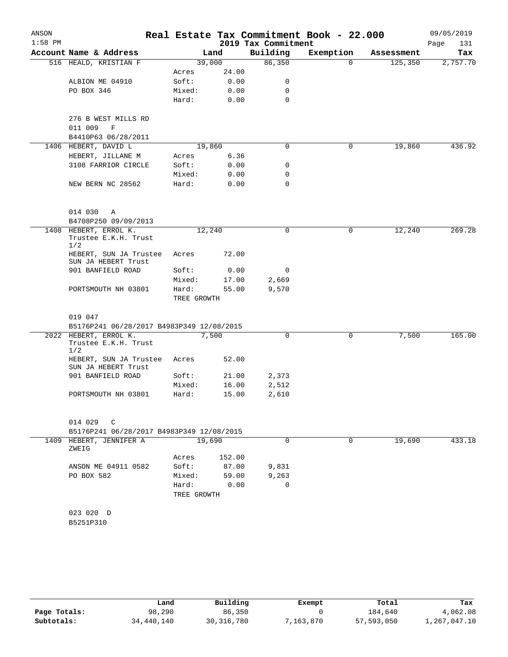| ANSON     |                                               |             |        |                     | Real Estate Tax Commitment Book - 22.000 |            | 09/05/2019  |
|-----------|-----------------------------------------------|-------------|--------|---------------------|------------------------------------------|------------|-------------|
| $1:58$ PM |                                               |             |        | 2019 Tax Commitment |                                          |            | Page<br>131 |
|           | Account Name & Address                        |             | Land   | Building            | Exemption                                | Assessment | Tax         |
|           | 516 HEALD, KRISTIAN F                         | 39,000      |        | 86,350              | $\Omega$                                 | 125,350    | 2,757.70    |
|           |                                               | Acres       | 24.00  |                     |                                          |            |             |
|           | ALBION ME 04910                               | Soft:       | 0.00   | 0                   |                                          |            |             |
|           | PO BOX 346                                    | Mixed:      | 0.00   | 0                   |                                          |            |             |
|           |                                               | Hard:       | 0.00   | 0                   |                                          |            |             |
|           | 276 B WEST MILLS RD                           |             |        |                     |                                          |            |             |
|           | $\mathbf F$<br>011 009                        |             |        |                     |                                          |            |             |
|           | B4410P63 06/28/2011                           |             |        |                     |                                          |            |             |
|           | 1406 HEBERT, DAVID L                          | 19,860      |        | 0                   | 0                                        | 19,860     | 436.92      |
|           | HEBERT, JILLANE M                             | Acres       | 6.36   |                     |                                          |            |             |
|           | 3108 FARRIOR CIRCLE                           | Soft:       | 0.00   | 0                   |                                          |            |             |
|           |                                               | Mixed:      | 0.00   | 0                   |                                          |            |             |
|           | NEW BERN NC 28562                             | Hard:       | 0.00   | $\Omega$            |                                          |            |             |
|           |                                               |             |        |                     |                                          |            |             |
|           | 014 030<br>Α                                  |             |        |                     |                                          |            |             |
|           | B4708P250 09/09/2013                          |             |        |                     |                                          |            |             |
|           | 1408 HEBERT, ERROL K.                         | 12,240      |        | 0                   | 0                                        | 12,240     | 269.28      |
|           | Trustee E.K.H. Trust<br>1/2                   |             |        |                     |                                          |            |             |
|           | HEBERT, SUN JA Trustee                        | Acres       | 72.00  |                     |                                          |            |             |
|           | SUN JA HEBERT Trust                           |             |        |                     |                                          |            |             |
|           | 901 BANFIELD ROAD                             | Soft:       | 0.00   | 0                   |                                          |            |             |
|           |                                               | Mixed:      | 17.00  | 2,669               |                                          |            |             |
|           | PORTSMOUTH NH 03801                           | Hard:       | 55.00  | 9,570               |                                          |            |             |
|           |                                               | TREE GROWTH |        |                     |                                          |            |             |
|           | 019 047                                       |             |        |                     |                                          |            |             |
|           | B5176P241 06/28/2017 B4983P349 12/08/2015     |             |        |                     |                                          |            |             |
|           | 2022 HEBERT, ERROL K.                         | 7,500       |        | 0                   | 0                                        | 7,500      | 165.00      |
|           | Trustee E.K.H. Trust<br>1/2                   |             |        |                     |                                          |            |             |
|           | HEBERT, SUN JA Trustee<br>SUN JA HEBERT Trust | Acres       | 52.00  |                     |                                          |            |             |
|           | 901 BANFIELD ROAD                             | Soft:       | 21.00  | 2,373               |                                          |            |             |
|           |                                               | Mixed:      | 16.00  | 2,512               |                                          |            |             |
|           | PORTSMOUTH NH 03801                           | Hard:       | 15.00  | 2,610               |                                          |            |             |
|           |                                               |             |        |                     |                                          |            |             |
|           | 014 029 C                                     |             |        |                     |                                          |            |             |
|           | B5176P241 06/28/2017 B4983P349 12/08/2015     |             |        |                     |                                          |            |             |
|           | 1409 HEBERT, JENNIFER A                       | 19,690      |        | 0                   | 0                                        | 19,690     | 433.18      |
|           | ZWEIG                                         |             |        |                     |                                          |            |             |
|           |                                               | Acres       | 152.00 |                     |                                          |            |             |
|           | ANSON ME 04911 0582                           | Soft:       | 87.00  | 9,831               |                                          |            |             |
|           | PO BOX 582                                    | Mixed:      | 59.00  | 9,263               |                                          |            |             |
|           |                                               | Hard:       | 0.00   | $\Omega$            |                                          |            |             |
|           |                                               | TREE GROWTH |        |                     |                                          |            |             |
|           |                                               |             |        |                     |                                          |            |             |
|           | 023 020 D                                     |             |        |                     |                                          |            |             |
|           | B5251P310                                     |             |        |                     |                                          |            |             |

|              | Land       | Building     | Exempt   | Total      | Tax          |
|--------------|------------|--------------|----------|------------|--------------|
| Page Totals: | 98,290     | 86,350       |          | 184,640    | 4,062.08     |
| Subtotals:   | 34,440,140 | 30, 316, 780 | ,163,870 | 57,593,050 | ,,267,047.10 |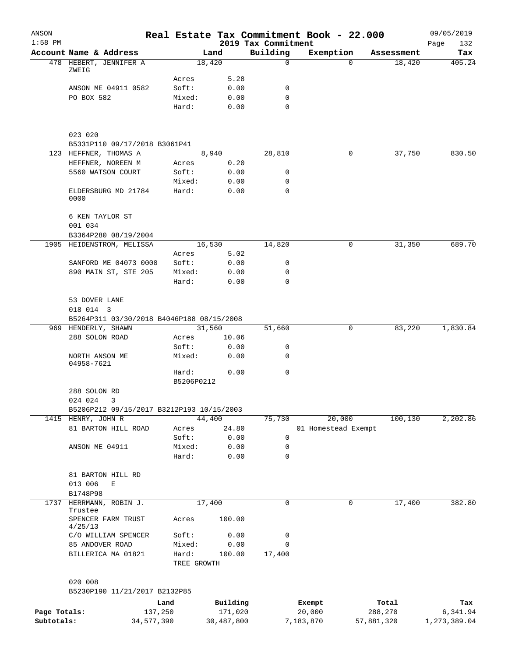| ANSON<br>$1:58$ PM |                                                        |                |             |              | Real Estate Tax Commitment Book - 22.000<br>2019 Tax Commitment |                     |          |            | 09/05/2019<br>132 |
|--------------------|--------------------------------------------------------|----------------|-------------|--------------|-----------------------------------------------------------------|---------------------|----------|------------|-------------------|
|                    | Account Name & Address                                 |                | Land        |              | Building                                                        | Exemption           |          | Assessment | Page<br>Tax       |
|                    | 478 HEBERT, JENNIFER A                                 |                | 18,420      |              | $\mathbf 0$                                                     |                     | $\Omega$ | 18,420     | 405.24            |
|                    | ZWEIG                                                  |                |             |              |                                                                 |                     |          |            |                   |
|                    | ANSON ME 04911 0582                                    | Acres<br>Soft: |             | 5.28<br>0.00 | 0                                                               |                     |          |            |                   |
|                    | PO BOX 582                                             | Mixed:         |             | 0.00         | $\mathbf 0$                                                     |                     |          |            |                   |
|                    |                                                        | Hard:          |             | 0.00         | $\Omega$                                                        |                     |          |            |                   |
|                    | 023 020                                                |                |             |              |                                                                 |                     |          |            |                   |
|                    | B5331P110 09/17/2018 B3061P41                          |                |             |              |                                                                 |                     |          |            |                   |
|                    | 123 HEFFNER, THOMAS A                                  |                | 8,940       |              | 28,810                                                          |                     | 0        | 37,750     | 830.50            |
|                    | HEFFNER, NOREEN M                                      | Acres          |             | 0.20         |                                                                 |                     |          |            |                   |
|                    | 5560 WATSON COURT                                      | Soft:          |             | 0.00         | 0                                                               |                     |          |            |                   |
|                    |                                                        | Mixed:         |             | 0.00         | 0                                                               |                     |          |            |                   |
|                    | ELDERSBURG MD 21784<br>0000                            | Hard:          |             | 0.00         | 0                                                               |                     |          |            |                   |
|                    | 6 KEN TAYLOR ST                                        |                |             |              |                                                                 |                     |          |            |                   |
|                    | 001 034                                                |                |             |              |                                                                 |                     |          |            |                   |
|                    | B3364P280 08/19/2004<br>1905 HEIDENSTROM, MELISSA      |                | 16,530      |              | 14,820                                                          |                     | 0        | 31,350     | 689.70            |
|                    |                                                        | Acres          |             | 5.02         |                                                                 |                     |          |            |                   |
|                    | SANFORD ME 04073 0000                                  | Soft:          |             | 0.00         | 0                                                               |                     |          |            |                   |
|                    | 890 MAIN ST, STE 205                                   | Mixed:         |             | 0.00         | 0                                                               |                     |          |            |                   |
|                    |                                                        | Hard:          |             | 0.00         | $\Omega$                                                        |                     |          |            |                   |
|                    |                                                        |                |             |              |                                                                 |                     |          |            |                   |
|                    | 53 DOVER LANE                                          |                |             |              |                                                                 |                     |          |            |                   |
|                    | 018 014 3<br>B5264P311 03/30/2018 B4046P188 08/15/2008 |                |             |              |                                                                 |                     |          |            |                   |
|                    | 969 HENDERLY, SHAWN                                    |                | 31,560      |              | 51,660                                                          |                     | 0        | 83,220     | 1,830.84          |
|                    | 288 SOLON ROAD                                         | Acres          |             | 10.06        |                                                                 |                     |          |            |                   |
|                    |                                                        | Soft:          |             | 0.00         | 0                                                               |                     |          |            |                   |
|                    | NORTH ANSON ME<br>04958-7621                           | Mixed:         |             | 0.00         | 0                                                               |                     |          |            |                   |
|                    |                                                        | Hard:          |             | 0.00         | $\mathbf 0$                                                     |                     |          |            |                   |
|                    |                                                        |                | B5206P0212  |              |                                                                 |                     |          |            |                   |
|                    | 288 SOLON RD<br>024 024 3                              |                |             |              |                                                                 |                     |          |            |                   |
|                    | B5206P212 09/15/2017 B3212P193 10/15/2003              |                |             |              |                                                                 |                     |          |            |                   |
| 1415               | HENRY, JOHN R                                          |                | 44,400      |              | 75,730                                                          |                     | 20,000   | 100,130    | 2,202.86          |
|                    | 81 BARTON HILL ROAD                                    | Acres          |             | 24.80        |                                                                 | 01 Homestead Exempt |          |            |                   |
|                    |                                                        | Soft:          |             | 0.00         | 0                                                               |                     |          |            |                   |
|                    | ANSON ME 04911                                         | Mixed:         |             | 0.00         | 0                                                               |                     |          |            |                   |
|                    |                                                        | Hard:          |             | 0.00         | 0                                                               |                     |          |            |                   |
|                    | 81 BARTON HILL RD                                      |                |             |              |                                                                 |                     |          |            |                   |
|                    | 013 006<br>Е                                           |                |             |              |                                                                 |                     |          |            |                   |
|                    | B1748P98                                               |                |             |              |                                                                 |                     |          |            |                   |
| 1737               | HERRMANN, ROBIN J.                                     |                | 17,400      |              | 0                                                               |                     | 0        | 17,400     | 382.80            |
|                    | Trustee<br>SPENCER FARM TRUST                          | Acres          |             | 100.00       |                                                                 |                     |          |            |                   |
|                    | 4/25/13<br>C/O WILLIAM SPENCER                         | Soft:          |             | 0.00         | 0                                                               |                     |          |            |                   |
|                    | 85 ANDOVER ROAD                                        | Mixed:         |             | 0.00         | 0                                                               |                     |          |            |                   |
|                    | BILLERICA MA 01821                                     | Hard:          |             | 100.00       | 17,400                                                          |                     |          |            |                   |
|                    |                                                        |                | TREE GROWTH |              |                                                                 |                     |          |            |                   |
|                    | 020 008                                                |                |             |              |                                                                 |                     |          |            |                   |
|                    | B5230P190 11/21/2017 B2132P85                          |                |             |              |                                                                 |                     |          |            |                   |
|                    |                                                        | Land           |             | Building     |                                                                 | Exempt              |          | Total      | Tax               |
| Page Totals:       |                                                        | 137,250        |             | 171,020      |                                                                 | 20,000              |          | 288,270    | 6,341.94          |
| Subtotals:         |                                                        | 34,577,390     |             | 30,487,800   |                                                                 | 7,183,870           |          | 57,881,320 | 1,273,389.04      |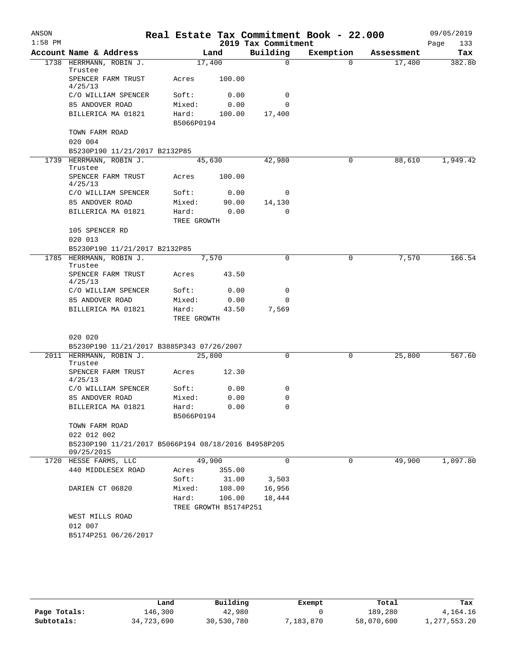| ANSON<br>$1:58$ PM |                                                                   |                       |        | 2019 Tax Commitment | Real Estate Tax Commitment Book - 22.000 |            | 09/05/2019         |
|--------------------|-------------------------------------------------------------------|-----------------------|--------|---------------------|------------------------------------------|------------|--------------------|
|                    | Account Name & Address                                            |                       | Land   | Building            | Exemption                                | Assessment | Page<br>133<br>Tax |
|                    | 1738 HERRMANN, ROBIN J.<br>Trustee                                | 17,400                |        | $\Omega$            | $\Omega$                                 | 17,400     | 382.80             |
|                    | SPENCER FARM TRUST<br>4/25/13                                     | Acres                 | 100.00 |                     |                                          |            |                    |
|                    | C/O WILLIAM SPENCER                                               | Soft:                 | 0.00   | 0                   |                                          |            |                    |
|                    | 85 ANDOVER ROAD                                                   | Mixed:                | 0.00   | $\Omega$            |                                          |            |                    |
|                    | BILLERICA MA 01821                                                | Hard:                 | 100.00 | 17,400              |                                          |            |                    |
|                    |                                                                   | B5066P0194            |        |                     |                                          |            |                    |
|                    | TOWN FARM ROAD                                                    |                       |        |                     |                                          |            |                    |
|                    | 020 004                                                           |                       |        |                     |                                          |            |                    |
|                    | B5230P190 11/21/2017 B2132P85                                     |                       |        |                     |                                          |            |                    |
|                    | 1739 HERRMANN, ROBIN J.<br>Trustee                                | 45,630                |        | 42,980              | 0                                        | 88,610     | 1,949.42           |
|                    | SPENCER FARM TRUST<br>4/25/13                                     | Acres                 | 100.00 |                     |                                          |            |                    |
|                    | C/O WILLIAM SPENCER                                               | Soft:                 | 0.00   | 0                   |                                          |            |                    |
|                    | 85 ANDOVER ROAD                                                   | Mixed:                | 90.00  | 14,130              |                                          |            |                    |
|                    | BILLERICA MA 01821                                                | Hard:                 | 0.00   | $\Omega$            |                                          |            |                    |
|                    |                                                                   | TREE GROWTH           |        |                     |                                          |            |                    |
|                    | 105 SPENCER RD<br>020 013                                         |                       |        |                     |                                          |            |                    |
|                    | B5230P190 11/21/2017 B2132P85                                     |                       |        |                     |                                          |            |                    |
|                    | 1785 HERRMANN, ROBIN J.<br>Trustee                                | 7,570                 |        | 0                   | 0                                        | 7,570      | 166.54             |
|                    | SPENCER FARM TRUST<br>4/25/13                                     | Acres                 | 43.50  |                     |                                          |            |                    |
|                    | C/O WILLIAM SPENCER                                               | Soft:                 | 0.00   | 0                   |                                          |            |                    |
|                    | 85 ANDOVER ROAD                                                   | Mixed:                | 0.00   | 0                   |                                          |            |                    |
|                    | BILLERICA MA 01821                                                | Hard:<br>TREE GROWTH  | 43.50  | 7,569               |                                          |            |                    |
|                    |                                                                   |                       |        |                     |                                          |            |                    |
|                    | 020 020                                                           |                       |        |                     |                                          |            |                    |
|                    | B5230P190 11/21/2017 B3885P343 07/26/2007                         |                       |        |                     |                                          |            |                    |
|                    | 2011 HERRMANN, ROBIN J.<br>Trustee                                | 25,800                |        | 0                   | 0                                        | 25,800     | 567.60             |
|                    | SPENCER FARM TRUST<br>4/25/13                                     | Acres                 | 12.30  |                     |                                          |            |                    |
|                    | C/O WILLIAM SPENCER                                               | Soft:                 | 0.00   | 0                   |                                          |            |                    |
|                    | 85 ANDOVER ROAD                                                   | Mixed:                | 0.00   | 0                   |                                          |            |                    |
|                    | BILLERICA MA 01821                                                | Hard:                 | 0.00   | 0                   |                                          |            |                    |
|                    |                                                                   | B5066P0194            |        |                     |                                          |            |                    |
|                    | TOWN FARM ROAD                                                    |                       |        |                     |                                          |            |                    |
|                    | 022 012 002                                                       |                       |        |                     |                                          |            |                    |
|                    | B5230P190 11/21/2017 B5066P194 08/18/2016 B4958P205<br>09/25/2015 |                       |        |                     |                                          |            |                    |
|                    | 1720 HESSE FARMS, LLC                                             | 49,900                |        | $\mathbf 0$         | 0                                        | 49,900     | 1,097.80           |
|                    | 440 MIDDLESEX ROAD                                                | Acres                 | 355.00 |                     |                                          |            |                    |
|                    |                                                                   | Soft:                 | 31.00  | 3,503               |                                          |            |                    |
|                    | DARIEN CT 06820                                                   | Mixed:                | 108.00 | 16,956              |                                          |            |                    |
|                    |                                                                   | Hard:                 | 106.00 | 18,444              |                                          |            |                    |
|                    |                                                                   | TREE GROWTH B5174P251 |        |                     |                                          |            |                    |
|                    | WEST MILLS ROAD<br>012 007                                        |                       |        |                     |                                          |            |                    |
|                    | B5174P251 06/26/2017                                              |                       |        |                     |                                          |            |                    |
|                    |                                                                   |                       |        |                     |                                          |            |                    |
|                    |                                                                   |                       |        |                     |                                          |            |                    |

|              | Land       | Building   | Exempt    | Total      | Tax          |
|--------------|------------|------------|-----------|------------|--------------|
| Page Totals: | 146,300    | 42,980     |           | 189,280    | 4,164.16     |
| Subtotals:   | 34,723,690 | 30,530,780 | 7,183,870 | 58,070,600 | 1,277,553.20 |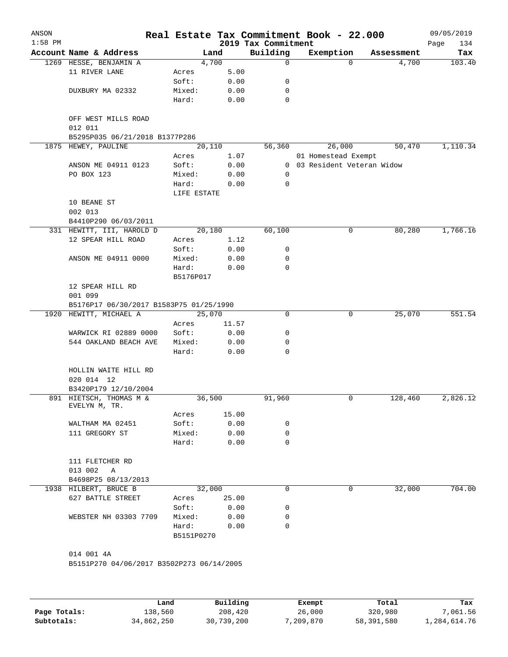| ANSON<br>$1:58$ PM |                                           |                     |       |                                 | Real Estate Tax Commitment Book - 22.000 |            | 09/05/2019         |
|--------------------|-------------------------------------------|---------------------|-------|---------------------------------|------------------------------------------|------------|--------------------|
|                    | Account Name & Address                    |                     | Land  | 2019 Tax Commitment<br>Building | Exemption                                | Assessment | Page<br>134<br>Tax |
|                    | 1269 HESSE, BENJAMIN A                    | 4,700               |       | $\mathbf 0$                     | $\Omega$                                 | 4,700      | 103.40             |
|                    | 11 RIVER LANE                             | Acres               | 5.00  |                                 |                                          |            |                    |
|                    |                                           | Soft:               | 0.00  | 0                               |                                          |            |                    |
|                    | DUXBURY MA 02332                          | Mixed:              | 0.00  | 0                               |                                          |            |                    |
|                    |                                           | Hard:               | 0.00  | $\mathbf 0$                     |                                          |            |                    |
|                    | OFF WEST MILLS ROAD<br>012 011            |                     |       |                                 |                                          |            |                    |
|                    | B5295P035 06/21/2018 B1377P286            |                     |       |                                 |                                          |            |                    |
|                    | 1875 HEWEY, PAULINE                       | 20,110              |       | 56,360                          | 26,000                                   | 50,470     | 1,110.34           |
|                    |                                           | Acres               | 1.07  |                                 | 01 Homestead Exempt                      |            |                    |
|                    | ANSON ME 04911 0123                       | Soft:               | 0.00  |                                 | 0 03 Resident Veteran Widow              |            |                    |
|                    | PO BOX 123                                | Mixed:              | 0.00  | 0                               |                                          |            |                    |
|                    |                                           | Hard:               | 0.00  | 0                               |                                          |            |                    |
|                    |                                           | LIFE ESTATE         |       |                                 |                                          |            |                    |
|                    | 10 BEANE ST<br>002 013                    |                     |       |                                 |                                          |            |                    |
|                    | B4410P290 06/03/2011                      |                     |       |                                 |                                          |            |                    |
|                    | 331 HEWITT, III, HAROLD D                 | 20,180              |       | 60,100                          | 0                                        | 80,280     | 1,766.16           |
|                    | 12 SPEAR HILL ROAD                        | Acres               | 1.12  |                                 |                                          |            |                    |
|                    |                                           | Soft:               | 0.00  | 0                               |                                          |            |                    |
|                    | ANSON ME 04911 0000                       | Mixed:              | 0.00  | 0                               |                                          |            |                    |
|                    |                                           | Hard:               | 0.00  | $\mathbf 0$                     |                                          |            |                    |
|                    |                                           | B5176P017           |       |                                 |                                          |            |                    |
|                    | 12 SPEAR HILL RD<br>001 099               |                     |       |                                 |                                          |            |                    |
|                    | B5176P17 06/30/2017 B1583P75 01/25/1990   |                     |       |                                 |                                          |            |                    |
|                    | 1920 HEWITT, MICHAEL A                    | 25,070              |       | 0                               | 0                                        | 25,070     | 551.54             |
|                    |                                           | Acres               | 11.57 |                                 |                                          |            |                    |
|                    | WARWICK RI 02889 0000                     | Soft:               | 0.00  | 0                               |                                          |            |                    |
|                    | 544 OAKLAND BEACH AVE                     | Mixed:              | 0.00  | 0                               |                                          |            |                    |
|                    |                                           | Hard:               | 0.00  | 0                               |                                          |            |                    |
|                    | HOLLIN WAITE HILL RD<br>020 014 12        |                     |       |                                 |                                          |            |                    |
|                    | B3420P179 12/10/2004                      |                     |       |                                 |                                          |            |                    |
|                    | 891 HIETSCH, THOMAS M &<br>EVELYN M, TR.  | 36,500              |       | 91,960                          | 0                                        | 128,460    | 2,826.12           |
|                    |                                           | Acres               | 15.00 |                                 |                                          |            |                    |
|                    | WALTHAM MA 02451                          | Soft:               | 0.00  | 0                               |                                          |            |                    |
|                    | 111 GREGORY ST                            | Mixed:              | 0.00  | 0                               |                                          |            |                    |
|                    |                                           | Hard:               | 0.00  | 0                               |                                          |            |                    |
|                    | 111 FLETCHER RD<br>013 002<br>Α           |                     |       |                                 |                                          |            |                    |
|                    | B4698P25 08/13/2013                       |                     |       |                                 |                                          |            |                    |
|                    | 1938 HILBERT, BRUCE B                     | 32,000              |       | 0                               | 0                                        | 32,000     | 704.00             |
|                    | 627 BATTLE STREET                         | Acres               | 25.00 |                                 |                                          |            |                    |
|                    |                                           | Soft:               | 0.00  | 0                               |                                          |            |                    |
|                    | WEBSTER NH 03303 7709                     | Mixed:              | 0.00  | 0                               |                                          |            |                    |
|                    |                                           | Hard:<br>B5151P0270 | 0.00  | 0                               |                                          |            |                    |
|                    | 014 001 4A                                |                     |       |                                 |                                          |            |                    |
|                    | B5151P270 04/06/2017 B3502P273 06/14/2005 |                     |       |                                 |                                          |            |                    |
|                    |                                           |                     |       |                                 |                                          |            |                    |
|                    |                                           |                     |       |                                 |                                          |            |                    |

|              | Land       | Building   | Exempt    | Total      | Tax          |
|--------------|------------|------------|-----------|------------|--------------|
| Page Totals: | 138,560    | 208,420    | 26,000    | 320,980    | 7,061.56     |
| Subtotals:   | 34,862,250 | 30,739,200 | 7,209,870 | 58,391,580 | 1,284,614.76 |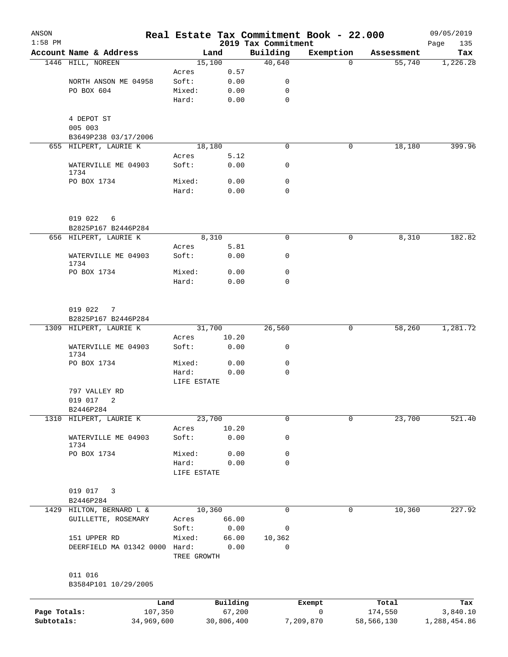| ANSON                      |                             |                      |                      |                                 | Real Estate Tax Commitment Book - 22.000 |                       | 09/05/2019               |
|----------------------------|-----------------------------|----------------------|----------------------|---------------------------------|------------------------------------------|-----------------------|--------------------------|
| $1:58$ PM                  | Account Name & Address      |                      | Land                 | 2019 Tax Commitment<br>Building | Exemption                                | Assessment            | Page<br>135<br>Tax       |
|                            | 1446 HILL, NOREEN           |                      | 15,100               | 40,640                          | 0                                        | 55,740                | 1,226.28                 |
|                            |                             | Acres                | 0.57                 |                                 |                                          |                       |                          |
|                            | NORTH ANSON ME 04958        | Soft:                | 0.00                 | 0                               |                                          |                       |                          |
|                            | PO BOX 604                  | Mixed:               | 0.00                 | 0                               |                                          |                       |                          |
|                            |                             | Hard:                | 0.00                 | $\mathbf 0$                     |                                          |                       |                          |
|                            | 4 DEPOT ST                  |                      |                      |                                 |                                          |                       |                          |
|                            | 005 003                     |                      |                      |                                 |                                          |                       |                          |
|                            | B3649P238 03/17/2006        |                      |                      |                                 |                                          |                       |                          |
|                            | 655 HILPERT, LAURIE K       |                      | 18,180               | $\mathbf 0$                     | 0                                        | 18,180                | 399.96                   |
|                            |                             | Acres                | 5.12                 |                                 |                                          |                       |                          |
|                            | WATERVILLE ME 04903<br>1734 | Soft:                | 0.00                 | 0                               |                                          |                       |                          |
|                            | PO BOX 1734                 | Mixed:               | 0.00                 | $\mathbf 0$                     |                                          |                       |                          |
|                            |                             | Hard:                | 0.00                 | 0                               |                                          |                       |                          |
|                            | 019 022<br>6                |                      |                      |                                 |                                          |                       |                          |
|                            | B2825P167 B2446P284         |                      |                      |                                 |                                          |                       |                          |
|                            | 656 HILPERT, LAURIE K       |                      | 8,310                | 0                               | 0                                        | 8,310                 | 182.82                   |
|                            |                             | Acres                | 5.81                 |                                 |                                          |                       |                          |
|                            | WATERVILLE ME 04903<br>1734 | Soft:                | 0.00                 | 0                               |                                          |                       |                          |
|                            | PO BOX 1734                 | Mixed:               | 0.00                 | $\mathbf 0$                     |                                          |                       |                          |
|                            |                             | Hard:                | 0.00                 | $\mathbf 0$                     |                                          |                       |                          |
|                            | 019 022<br>7                |                      |                      |                                 |                                          |                       |                          |
|                            | B2825P167 B2446P284         |                      |                      |                                 |                                          |                       |                          |
|                            | 1309 HILPERT, LAURIE K      |                      | 31,700               | 26,560                          | 0                                        | 58,260                | 1,281.72                 |
|                            |                             | Acres                | 10.20                |                                 |                                          |                       |                          |
|                            | WATERVILLE ME 04903<br>1734 | Soft:                | 0.00                 | 0                               |                                          |                       |                          |
|                            | PO BOX 1734                 | Mixed:               | 0.00                 | 0                               |                                          |                       |                          |
|                            |                             | Hard:<br>LIFE ESTATE | 0.00                 | $\mathbf 0$                     |                                          |                       |                          |
|                            | 797 VALLEY RD               |                      |                      |                                 |                                          |                       |                          |
|                            | 019 017 2                   |                      |                      |                                 |                                          |                       |                          |
|                            | B2446P284                   |                      |                      |                                 |                                          |                       |                          |
| 1310                       | HILPERT, LAURIE K           |                      | 23,700               | 0                               | 0                                        | 23,700                | 521.40                   |
|                            |                             | Acres                | 10.20                |                                 |                                          |                       |                          |
|                            | WATERVILLE ME 04903<br>1734 | Soft:                | 0.00                 | 0                               |                                          |                       |                          |
|                            | PO BOX 1734                 | Mixed:               | 0.00                 | 0                               |                                          |                       |                          |
|                            |                             | Hard:                | 0.00                 | 0                               |                                          |                       |                          |
|                            |                             | LIFE ESTATE          |                      |                                 |                                          |                       |                          |
|                            | 019 017<br>3                |                      |                      |                                 |                                          |                       |                          |
|                            | B2446P284                   |                      |                      |                                 |                                          |                       |                          |
| 1429                       | HILTON, BERNARD L &         |                      | 10,360               | 0                               | 0                                        | 10,360                | 227.92                   |
|                            | GUILLETTE, ROSEMARY         | Acres                | 66.00                |                                 |                                          |                       |                          |
|                            |                             | Soft:                | 0.00                 | 0                               |                                          |                       |                          |
|                            | 151 UPPER RD                | Mixed:               | 66.00                | 10,362                          |                                          |                       |                          |
|                            | DEERFIELD MA 01342 0000     | Hard:<br>TREE GROWTH | 0.00                 | 0                               |                                          |                       |                          |
|                            | 011 016                     |                      |                      |                                 |                                          |                       |                          |
|                            | B3584P101 10/29/2005        |                      |                      |                                 |                                          |                       |                          |
|                            |                             |                      |                      |                                 |                                          |                       |                          |
|                            | Land                        |                      | Building             |                                 | Exempt<br>0                              | Total                 | Tax                      |
| Page Totals:<br>Subtotals: | 107,350<br>34,969,600       |                      | 67,200<br>30,806,400 |                                 | 7,209,870                                | 174,550<br>58,566,130 | 3,840.10<br>1,288,454.86 |
|                            |                             |                      |                      |                                 |                                          |                       |                          |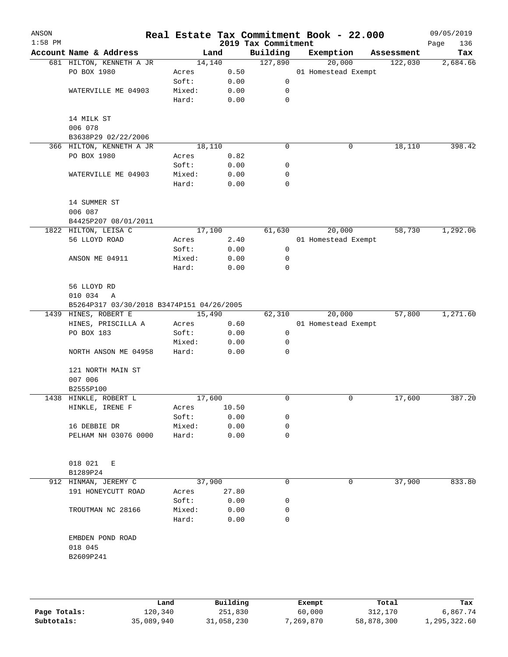| ANSON<br>$1:58$ PM |                                           | Real Estate Tax Commitment Book - 22.000 |       | 2019 Tax Commitment |                     |   |            | 09/05/2019<br>Page<br>136 |
|--------------------|-------------------------------------------|------------------------------------------|-------|---------------------|---------------------|---|------------|---------------------------|
|                    | Account Name & Address                    | Land                                     |       | Building            | Exemption           |   | Assessment | Tax                       |
|                    | 681 HILTON, KENNETH A JR                  | 14,140                                   |       | 127,890             | 20,000              |   | 122,030    | 2,684.66                  |
|                    | PO BOX 1980                               | Acres                                    | 0.50  |                     | 01 Homestead Exempt |   |            |                           |
|                    |                                           | Soft:                                    | 0.00  | 0                   |                     |   |            |                           |
|                    | WATERVILLE ME 04903                       | Mixed:                                   | 0.00  | 0                   |                     |   |            |                           |
|                    |                                           | Hard:                                    | 0.00  | 0                   |                     |   |            |                           |
|                    | 14 MILK ST                                |                                          |       |                     |                     |   |            |                           |
|                    | 006 078                                   |                                          |       |                     |                     |   |            |                           |
|                    | B3638P29 02/22/2006                       |                                          |       |                     |                     |   |            |                           |
|                    | 366 HILTON, KENNETH A JR                  | 18,110                                   |       | $\mathbf 0$         |                     | 0 | 18,110     | 398.42                    |
|                    | PO BOX 1980                               | Acres                                    | 0.82  |                     |                     |   |            |                           |
|                    |                                           | Soft:                                    | 0.00  | 0                   |                     |   |            |                           |
|                    | WATERVILLE ME 04903                       | Mixed:                                   | 0.00  | 0                   |                     |   |            |                           |
|                    |                                           | Hard:                                    | 0.00  | $\mathbf 0$         |                     |   |            |                           |
|                    | 14 SUMMER ST                              |                                          |       |                     |                     |   |            |                           |
|                    | 006 087                                   |                                          |       |                     |                     |   |            |                           |
|                    | B4425P207 08/01/2011                      |                                          |       |                     |                     |   |            |                           |
|                    | 1822 HILTON, LEISA C                      | 17,100                                   |       | 61,630              | 20,000              |   | 58,730     | 1,292.06                  |
|                    | 56 LLOYD ROAD                             | Acres                                    | 2.40  |                     | 01 Homestead Exempt |   |            |                           |
|                    |                                           | Soft:                                    | 0.00  | 0                   |                     |   |            |                           |
|                    | ANSON ME 04911                            | Mixed:                                   | 0.00  | 0                   |                     |   |            |                           |
|                    |                                           | Hard:                                    | 0.00  | $\mathbf 0$         |                     |   |            |                           |
|                    | 56 LLOYD RD                               |                                          |       |                     |                     |   |            |                           |
|                    | 010 034<br>Α                              |                                          |       |                     |                     |   |            |                           |
|                    | B5264P317 03/30/2018 B3474P151 04/26/2005 |                                          |       |                     |                     |   |            |                           |
|                    | 1439 HINES, ROBERT E                      | 15,490                                   |       | 62,310              | 20,000              |   | 57,800     | 1,271.60                  |
|                    | HINES, PRISCILLA A                        | Acres                                    | 0.60  |                     | 01 Homestead Exempt |   |            |                           |
|                    | PO BOX 183                                | Soft:                                    | 0.00  | 0                   |                     |   |            |                           |
|                    |                                           | Mixed:                                   | 0.00  | 0                   |                     |   |            |                           |
|                    | NORTH ANSON ME 04958                      | Hard:                                    | 0.00  | $\mathbf 0$         |                     |   |            |                           |
|                    | 121 NORTH MAIN ST                         |                                          |       |                     |                     |   |            |                           |
|                    | 007 006                                   |                                          |       |                     |                     |   |            |                           |
|                    | B2555P100                                 |                                          |       |                     |                     |   |            |                           |
|                    | 1438 HINKLE, ROBERT L                     | 17,600                                   |       | 0                   |                     | 0 | 17,600     | 387.20                    |
|                    | HINKLE, IRENE F                           | Acres                                    | 10.50 |                     |                     |   |            |                           |
|                    |                                           | Soft:                                    | 0.00  | 0                   |                     |   |            |                           |
|                    | 16 DEBBIE DR                              | Mixed:                                   | 0.00  | 0                   |                     |   |            |                           |
|                    | PELHAM NH 03076 0000                      | Hard:                                    | 0.00  | 0                   |                     |   |            |                           |
|                    |                                           |                                          |       |                     |                     |   |            |                           |
|                    | 018 021<br>Е                              |                                          |       |                     |                     |   |            |                           |
|                    | B1289P24                                  |                                          |       |                     |                     |   |            |                           |
|                    | 912 HINMAN, JEREMY C                      | 37,900                                   |       | 0                   |                     | 0 | 37,900     | 833.80                    |
|                    | 191 HONEYCUTT ROAD                        | Acres                                    | 27.80 |                     |                     |   |            |                           |
|                    |                                           | Soft:                                    | 0.00  | 0                   |                     |   |            |                           |
|                    | TROUTMAN NC 28166                         | Mixed:                                   | 0.00  | 0                   |                     |   |            |                           |
|                    |                                           | Hard:                                    | 0.00  | 0                   |                     |   |            |                           |
|                    | EMBDEN POND ROAD                          |                                          |       |                     |                     |   |            |                           |
|                    | 018 045                                   |                                          |       |                     |                     |   |            |                           |
|                    | B2609P241                                 |                                          |       |                     |                     |   |            |                           |
|                    |                                           |                                          |       |                     |                     |   |            |                           |
|                    |                                           |                                          |       |                     |                     |   |            |                           |
|                    |                                           |                                          |       |                     |                     |   |            |                           |
|                    |                                           |                                          |       |                     |                     |   |            |                           |

|              | Land       | Building   | Exempt    | Total      | Tax          |
|--------------|------------|------------|-----------|------------|--------------|
| Page Totals: | 120,340    | 251,830    | 60,000    | 312,170    | 6,867.74     |
| Subtotals:   | 35,089,940 | 31,058,230 | 7,269,870 | 58,878,300 | 1,295,322.60 |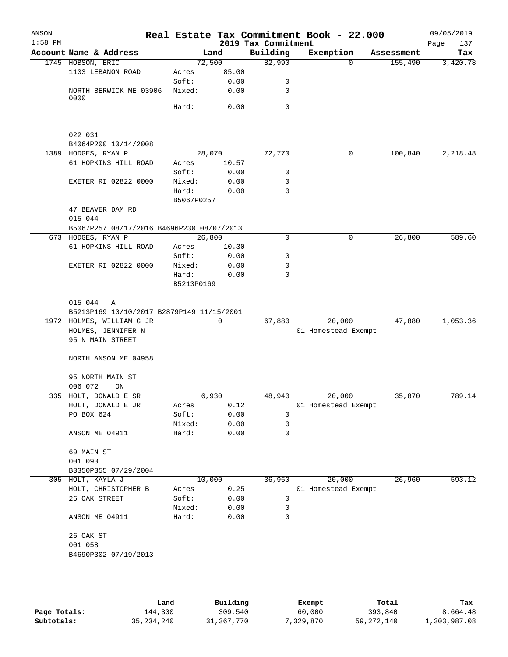| ANSON<br>$1:58$ PM |                                            |                     |              | 2019 Tax Commitment | Real Estate Tax Commitment Book - 22.000 |            | 09/05/2019<br>Page<br>137 |
|--------------------|--------------------------------------------|---------------------|--------------|---------------------|------------------------------------------|------------|---------------------------|
|                    | Account Name & Address                     | Land                |              | Building            | Exemption                                | Assessment | Tax                       |
|                    | 1745 HOBSON, ERIC                          | 72,500              |              | 82,990              | $\Omega$                                 | 155,490    | 3,420.78                  |
|                    | 1103 LEBANON ROAD                          | Acres               | 85.00        |                     |                                          |            |                           |
|                    |                                            | Soft:               | 0.00         | 0                   |                                          |            |                           |
|                    | NORTH BERWICK ME 03906                     | Mixed:              | 0.00         | 0                   |                                          |            |                           |
|                    | 0000                                       |                     |              |                     |                                          |            |                           |
|                    |                                            | Hard:               | 0.00         | 0                   |                                          |            |                           |
|                    | 022 031<br>B4064P200 10/14/2008            |                     |              |                     |                                          |            |                           |
|                    | 1389 HODGES, RYAN P                        | 28,070              |              | 72,770              | 0                                        | 100,840    | 2,218.48                  |
|                    | 61 HOPKINS HILL ROAD                       | Acres               | 10.57        |                     |                                          |            |                           |
|                    |                                            | Soft:               | 0.00         | 0                   |                                          |            |                           |
|                    | EXETER RI 02822 0000                       | Mixed:              | 0.00         | 0                   |                                          |            |                           |
|                    |                                            | Hard:               | 0.00         | 0                   |                                          |            |                           |
|                    |                                            | B5067P0257          |              |                     |                                          |            |                           |
|                    | 47 BEAVER DAM RD<br>015 044                |                     |              |                     |                                          |            |                           |
|                    | B5067P257 08/17/2016 B4696P230 08/07/2013  |                     |              |                     |                                          |            |                           |
|                    | 673 HODGES, RYAN P                         | 26,800              |              | 0                   | 0                                        | 26,800     | 589.60                    |
|                    | 61 HOPKINS HILL ROAD                       | Acres               | 10.30        |                     |                                          |            |                           |
|                    |                                            | Soft:               | 0.00         | 0                   |                                          |            |                           |
|                    | EXETER RI 02822 0000                       | Mixed:              | 0.00         | 0                   |                                          |            |                           |
|                    |                                            | Hard:<br>B5213P0169 | 0.00         | 0                   |                                          |            |                           |
|                    | 015 044<br>A                               |                     |              |                     |                                          |            |                           |
|                    | B5213P169 10/10/2017 B2879P149 11/15/2001  |                     |              |                     |                                          |            |                           |
|                    | 1972 HOLMES, WILLIAM G JR                  |                     | $\mathbf 0$  | 67,880              | 20,000                                   | 47,880     | 1,053.36                  |
|                    | HOLMES, JENNIFER N                         |                     |              |                     | 01 Homestead Exempt                      |            |                           |
|                    | 95 N MAIN STREET                           |                     |              |                     |                                          |            |                           |
|                    | NORTH ANSON ME 04958                       |                     |              |                     |                                          |            |                           |
|                    | 95 NORTH MAIN ST                           |                     |              |                     |                                          |            |                           |
|                    | 006 072<br>ON                              | 6,930               |              | 48,940              |                                          |            | 789.14                    |
|                    | 335 HOLT, DONALD E SR<br>HOLT, DONALD E JR | Acres               | 0.12         |                     | 20,000<br>01 Homestead Exempt            | 35,870     |                           |
|                    | PO BOX 624                                 | Soft:               | 0.00         | 0                   |                                          |            |                           |
|                    |                                            | Mixed:              | 0.00         | 0                   |                                          |            |                           |
|                    | ANSON ME 04911                             | Hard:               | 0.00         | 0                   |                                          |            |                           |
|                    | 69 MAIN ST                                 |                     |              |                     |                                          |            |                           |
|                    | 001 093                                    |                     |              |                     |                                          |            |                           |
|                    | B3350P355 07/29/2004                       |                     |              |                     |                                          |            |                           |
|                    | 305 HOLT, KAYLA J                          | 10,000              |              | 36,960              | 20,000                                   | 26,960     | 593.12                    |
|                    | HOLT, CHRISTOPHER B                        | Acres               | 0.25         |                     | 01 Homestead Exempt                      |            |                           |
|                    | 26 OAK STREET                              | Soft:               | 0.00         | 0                   |                                          |            |                           |
|                    | ANSON ME 04911                             | Mixed:<br>Hard:     | 0.00<br>0.00 | 0<br>0              |                                          |            |                           |
|                    | 26 OAK ST                                  |                     |              |                     |                                          |            |                           |
|                    | 001 058                                    |                     |              |                     |                                          |            |                           |
|                    | B4690P302 07/19/2013                       |                     |              |                     |                                          |            |                           |
|                    |                                            |                     |              |                     |                                          |            |                           |
|                    |                                            |                     |              |                     |                                          |            |                           |

|              | Land         | Building   | Exempt    | Total      | Tax          |
|--------------|--------------|------------|-----------|------------|--------------|
| Page Totals: | 144,300      | 309,540    | 60,000    | 393,840    | 8,664.48     |
| Subtotals:   | 35, 234, 240 | 31,367,770 | 7,329,870 | 59,272,140 | 1,303,987.08 |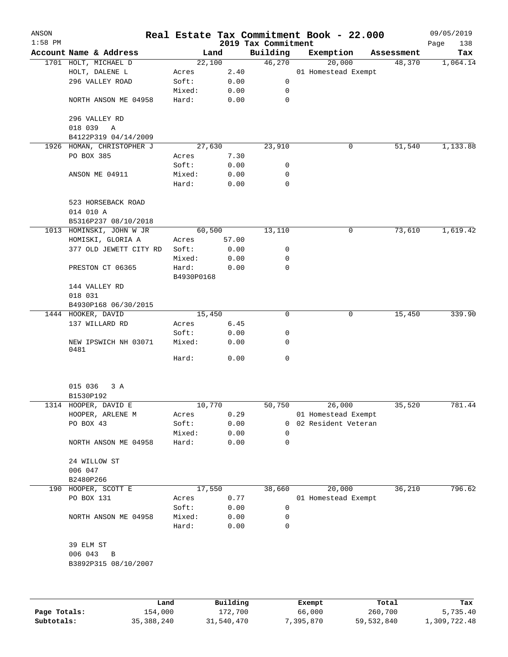| ANSON     |                                          |            |          |                                 | Real Estate Tax Commitment Book - 22.000 |   |            | 09/05/2019         |
|-----------|------------------------------------------|------------|----------|---------------------------------|------------------------------------------|---|------------|--------------------|
| $1:58$ PM | Account Name & Address                   |            | Land     | 2019 Tax Commitment<br>Building | Exemption                                |   | Assessment | 138<br>Page<br>Tax |
|           | 1701 HOLT, MICHAEL D                     |            | 22,100   | 46,270                          | 20,000                                   |   | 48,370     | 1,064.14           |
|           | HOLT, DALENE L                           | Acres      | 2.40     |                                 | 01 Homestead Exempt                      |   |            |                    |
|           | 296 VALLEY ROAD                          | Soft:      | 0.00     | 0                               |                                          |   |            |                    |
|           |                                          | Mixed:     | 0.00     | 0                               |                                          |   |            |                    |
|           | NORTH ANSON ME 04958                     | Hard:      | 0.00     | 0                               |                                          |   |            |                    |
|           | 296 VALLEY RD                            |            |          |                                 |                                          |   |            |                    |
|           | 018 039<br>Α                             |            |          |                                 |                                          |   |            |                    |
|           | B4122P319 04/14/2009                     |            |          |                                 |                                          |   |            |                    |
|           | 1926 HOMAN, CHRISTOPHER J                |            | 27,630   | 23,910                          |                                          | 0 | 51,540     | 1,133.88           |
|           | PO BOX 385                               | Acres      | 7.30     |                                 |                                          |   |            |                    |
|           |                                          | Soft:      | 0.00     | 0                               |                                          |   |            |                    |
|           | ANSON ME 04911                           | Mixed:     | 0.00     | 0                               |                                          |   |            |                    |
|           |                                          | Hard:      | 0.00     | 0                               |                                          |   |            |                    |
|           | 523 HORSEBACK ROAD                       |            |          |                                 |                                          |   |            |                    |
|           | 014 010 A                                |            |          |                                 |                                          |   |            |                    |
|           | B5316P237 08/10/2018                     |            |          |                                 |                                          |   |            |                    |
|           | 1013 HOMINSKI, JOHN W JR                 |            | 60,500   | 13,110                          |                                          | 0 | 73,610     | 1,619.42           |
|           | HOMISKI, GLORIA A                        | Acres      | 57.00    |                                 |                                          |   |            |                    |
|           | 377 OLD JEWETT CITY RD                   | Soft:      | 0.00     | 0                               |                                          |   |            |                    |
|           |                                          | Mixed:     | 0.00     | 0                               |                                          |   |            |                    |
|           | PRESTON CT 06365                         | Hard:      | 0.00     | 0                               |                                          |   |            |                    |
|           |                                          | B4930P0168 |          |                                 |                                          |   |            |                    |
|           | 144 VALLEY RD                            |            |          |                                 |                                          |   |            |                    |
|           | 018 031                                  |            |          |                                 |                                          |   |            |                    |
|           | B4930P168 06/30/2015                     |            |          |                                 |                                          |   |            |                    |
|           | 1444 HOOKER, DAVID                       |            | 15,450   | 0                               |                                          | 0 | 15,450     | 339.90             |
|           | 137 WILLARD RD                           | Acres      | 6.45     |                                 |                                          |   |            |                    |
|           |                                          | Soft:      | 0.00     | 0                               |                                          |   |            |                    |
|           | NEW IPSWICH NH 03071<br>0481             | Mixed:     | 0.00     | 0                               |                                          |   |            |                    |
|           |                                          | Hard:      | 0.00     | 0                               |                                          |   |            |                    |
|           |                                          |            |          |                                 |                                          |   |            |                    |
|           | 015 036<br>3 A<br>B1530P192              |            |          |                                 |                                          |   |            |                    |
|           |                                          |            |          |                                 |                                          |   |            |                    |
|           | 1314 HOOPER, DAVID E<br>HOOPER, ARLENE M |            | 10,770   | 50,750                          | 26,000<br>01 Homestead Exempt            |   | 35,520     | 781.44             |
|           |                                          | Acres      | 0.29     | $\mathbf{0}$                    | 02 Resident Veteran                      |   |            |                    |
|           | PO BOX 43                                | Soft:      | 0.00     |                                 |                                          |   |            |                    |
|           |                                          | Mixed:     | 0.00     | 0                               |                                          |   |            |                    |
|           | NORTH ANSON ME 04958                     | Hard:      | 0.00     | 0                               |                                          |   |            |                    |
|           | 24 WILLOW ST                             |            |          |                                 |                                          |   |            |                    |
|           | 006 047                                  |            |          |                                 |                                          |   |            |                    |
|           | B2480P266                                |            |          |                                 |                                          |   |            |                    |
|           | 190 HOOPER, SCOTT E                      |            | 17,550   | 38,660                          | 20,000                                   |   | 36,210     | 796.62             |
|           | PO BOX 131                               | Acres      | 0.77     |                                 | 01 Homestead Exempt                      |   |            |                    |
|           |                                          | Soft:      | 0.00     | 0                               |                                          |   |            |                    |
|           | NORTH ANSON ME 04958                     | Mixed:     | 0.00     | 0                               |                                          |   |            |                    |
|           |                                          | Hard:      | 0.00     | 0                               |                                          |   |            |                    |
|           | 39 ELM ST                                |            |          |                                 |                                          |   |            |                    |
|           | 006 043<br>В                             |            |          |                                 |                                          |   |            |                    |
|           | B3892P315 08/10/2007                     |            |          |                                 |                                          |   |            |                    |
|           |                                          |            |          |                                 |                                          |   |            |                    |
|           |                                          | Land       | Building |                                 | Exempt                                   |   | Total      | Tax                |

|              | Lanu       | <b>BUILQING</b> | Lxempt    | TOLAT      | 1ax.         |
|--------------|------------|-----------------|-----------|------------|--------------|
| Page Totals: | 154,000    | 172,700         | 66,000    | 260,700    | 5,735.40     |
| Subtotals:   | 35,388,240 | 31,540,470      | 7,395,870 | 59,532,840 | 1,309,722.48 |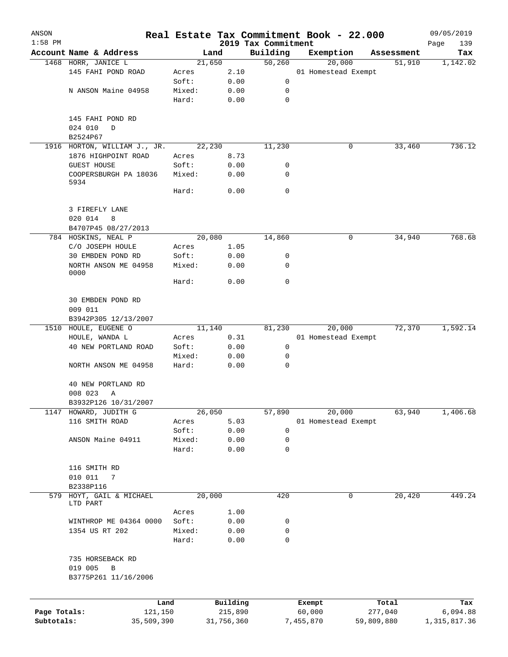| ANSON        |                                           |                |                |                     | Real Estate Tax Commitment Book - 22.000 |            | 09/05/2019     |
|--------------|-------------------------------------------|----------------|----------------|---------------------|------------------------------------------|------------|----------------|
| $1:58$ PM    | Account Name & Address                    |                |                | 2019 Tax Commitment |                                          |            | Page<br>139    |
|              |                                           |                | Land           | Building            | Exemption                                | Assessment | Tax            |
|              | 1468 HORR, JANICE L<br>145 FAHI POND ROAD |                | 21,650         | 50,260              | 20,000                                   | 51,910     | 1,142.02       |
|              |                                           | Acres<br>Soft: | 2.10<br>0.00   | 0                   | 01 Homestead Exempt                      |            |                |
|              | N ANSON Maine 04958                       | Mixed:         | 0.00           | 0                   |                                          |            |                |
|              |                                           | Hard:          | 0.00           | $\mathbf 0$         |                                          |            |                |
|              |                                           |                |                |                     |                                          |            |                |
|              | 145 FAHI POND RD                          |                |                |                     |                                          |            |                |
|              | 024 010<br>D                              |                |                |                     |                                          |            |                |
|              | B2524P67                                  |                |                |                     |                                          |            |                |
|              | 1916 HORTON, WILLIAM J., JR.              |                | 22,230         | 11,230              | 0                                        | 33,460     | 736.12         |
|              | 1876 HIGHPOINT ROAD                       | Acres          | 8.73           |                     |                                          |            |                |
|              | <b>GUEST HOUSE</b>                        | Soft:          | 0.00           | 0                   |                                          |            |                |
|              | COOPERSBURGH PA 18036                     | Mixed:         | 0.00           | 0                   |                                          |            |                |
|              | 5934                                      |                |                |                     |                                          |            |                |
|              |                                           | Hard:          | 0.00           | 0                   |                                          |            |                |
|              |                                           |                |                |                     |                                          |            |                |
|              | 3 FIREFLY LANE                            |                |                |                     |                                          |            |                |
|              | 020 014<br>8                              |                |                |                     |                                          |            |                |
|              | B4707P45 08/27/2013                       |                |                |                     |                                          |            |                |
|              | 784 HOSKINS, NEAL P                       |                | 20,080         | 14,860              | 0                                        | 34,940     | 768.68         |
|              | C/O JOSEPH HOULE                          | Acres          | 1.05           |                     |                                          |            |                |
|              | 30 EMBDEN POND RD                         | Soft:          | 0.00           | 0                   |                                          |            |                |
|              | NORTH ANSON ME 04958                      | Mixed:         | 0.00           | 0                   |                                          |            |                |
|              | 0000                                      |                |                |                     |                                          |            |                |
|              |                                           | Hard:          | 0.00           | 0                   |                                          |            |                |
|              |                                           |                |                |                     |                                          |            |                |
|              | 30 EMBDEN POND RD                         |                |                |                     |                                          |            |                |
|              | 009 011                                   |                |                |                     |                                          |            |                |
|              | B3942P305 12/13/2007                      |                |                |                     |                                          | 72,370     | 1,592.14       |
|              | 1510 HOULE, EUGENE O                      |                | 11,140<br>0.31 | 81,230              | 20,000<br>01 Homestead Exempt            |            |                |
|              | HOULE, WANDA L<br>40 NEW PORTLAND ROAD    | Acres<br>Soft: | 0.00           | 0                   |                                          |            |                |
|              |                                           | Mixed:         | 0.00           | 0                   |                                          |            |                |
|              | NORTH ANSON ME 04958                      | Hard:          | 0.00           | 0                   |                                          |            |                |
|              |                                           |                |                |                     |                                          |            |                |
|              | 40 NEW PORTLAND RD                        |                |                |                     |                                          |            |                |
|              | 008 023<br>Α                              |                |                |                     |                                          |            |                |
|              | B3932P126 10/31/2007                      |                |                |                     |                                          |            |                |
| 1147         | HOWARD, JUDITH G                          |                | 26,050         | 57,890              | 20,000                                   | 63,940     | 1,406.68       |
|              | 116 SMITH ROAD                            | Acres          | 5.03           |                     | 01 Homestead Exempt                      |            |                |
|              |                                           | Soft:          | 0.00           | 0                   |                                          |            |                |
|              | ANSON Maine 04911                         | Mixed:         | 0.00           | 0                   |                                          |            |                |
|              |                                           | Hard:          | 0.00           | 0                   |                                          |            |                |
|              |                                           |                |                |                     |                                          |            |                |
|              | 116 SMITH RD                              |                |                |                     |                                          |            |                |
|              | 010 011<br>7                              |                |                |                     |                                          |            |                |
|              | B2338P116                                 |                |                |                     |                                          |            |                |
| 579          | HOYT, GAIL & MICHAEL                      |                | 20,000         | 420                 | 0                                        | 20,420     | 449.24         |
|              | LTD PART                                  |                |                |                     |                                          |            |                |
|              |                                           | Acres          | 1.00           |                     |                                          |            |                |
|              | WINTHROP ME 04364 0000                    | Soft:          | 0.00           | 0                   |                                          |            |                |
|              | 1354 US RT 202                            | Mixed:         | 0.00           | 0                   |                                          |            |                |
|              |                                           | Hard:          | 0.00           | 0                   |                                          |            |                |
|              |                                           |                |                |                     |                                          |            |                |
|              | 735 HORSEBACK RD                          |                |                |                     |                                          |            |                |
|              | 019 005<br>В                              |                |                |                     |                                          |            |                |
|              | B3775P261 11/16/2006                      |                |                |                     |                                          |            |                |
|              |                                           |                |                |                     |                                          |            |                |
|              | Land                                      |                | Building       |                     | Exempt                                   | Total      | Tax            |
| Page Totals: | 121,150                                   |                | 215,890        |                     | 60,000                                   | 277,040    | 6,094.88       |
| Subtotals:   | 35,509,390                                |                | 31,756,360     |                     | 7,455,870                                | 59,809,880 | 1, 315, 817.36 |
|              |                                           |                |                |                     |                                          |            |                |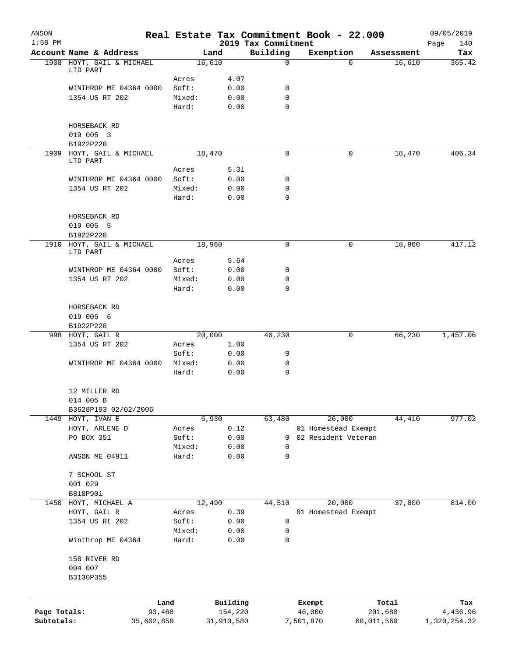| ANSON<br>$1:58$ PM |                                        |                |                |                     | 2019 Tax Commitment | Real Estate Tax Commitment Book - 22.000 |            |                  | 09/05/2019         |
|--------------------|----------------------------------------|----------------|----------------|---------------------|---------------------|------------------------------------------|------------|------------------|--------------------|
|                    | Account Name & Address                 |                |                | Land                | Building            | Exemption                                |            | Assessment       | Page<br>140<br>Tax |
|                    | 1908 HOYT, GAIL & MICHAEL              |                |                | 16,610              | 0                   |                                          | $\Omega$   | 16,610           | 365.42             |
|                    | LTD PART                               |                |                |                     |                     |                                          |            |                  |                    |
|                    | WINTHROP ME 04364 0000                 |                | Acres<br>Soft: | 4.07<br>0.00        | 0                   |                                          |            |                  |                    |
|                    | 1354 US RT 202                         |                | Mixed:         | 0.00                | 0                   |                                          |            |                  |                    |
|                    |                                        |                | Hard:          | 0.00                | $\Omega$            |                                          |            |                  |                    |
|                    |                                        |                |                |                     |                     |                                          |            |                  |                    |
|                    | HORSEBACK RD                           |                |                |                     |                     |                                          |            |                  |                    |
|                    | 019 005 3                              |                |                |                     |                     |                                          |            |                  |                    |
|                    | B1922P220<br>1909 HOYT, GAIL & MICHAEL |                |                | 18,470              | 0                   |                                          | 0          | 18,470           | 406.34             |
|                    | LTD PART                               |                |                |                     |                     |                                          |            |                  |                    |
|                    |                                        |                | Acres          | 5.31                |                     |                                          |            |                  |                    |
|                    | WINTHROP ME 04364 0000                 |                | Soft:          | 0.00                | 0                   |                                          |            |                  |                    |
|                    | 1354 US RT 202                         |                | Mixed:         | 0.00                | 0                   |                                          |            |                  |                    |
|                    |                                        |                | Hard:          | 0.00                | 0                   |                                          |            |                  |                    |
|                    | HORSEBACK RD                           |                |                |                     |                     |                                          |            |                  |                    |
|                    | 019 005 5                              |                |                |                     |                     |                                          |            |                  |                    |
|                    | B1922P220                              |                |                |                     |                     |                                          |            |                  |                    |
|                    | 1910 HOYT, GAIL & MICHAEL              |                |                | 18,960              | 0                   |                                          | 0          | 18,960           | 417.12             |
|                    | LTD PART                               |                | Acres          | 5.64                |                     |                                          |            |                  |                    |
|                    | WINTHROP ME 04364 0000                 |                | Soft:          | 0.00                | 0                   |                                          |            |                  |                    |
|                    | 1354 US RT 202                         |                | Mixed:         | 0.00                | 0                   |                                          |            |                  |                    |
|                    |                                        |                | Hard:          | 0.00                | 0                   |                                          |            |                  |                    |
|                    |                                        |                |                |                     |                     |                                          |            |                  |                    |
|                    | HORSEBACK RD                           |                |                |                     |                     |                                          |            |                  |                    |
|                    | 019 005 6                              |                |                |                     |                     |                                          |            |                  |                    |
|                    | B1922P220                              |                |                | 20,000              | 46,230              |                                          |            | 66,230           | 1,457.06           |
|                    | 998 HOYT, GAIL R<br>1354 US RT 202     |                | Acres          | 1.00                |                     |                                          | 0          |                  |                    |
|                    |                                        |                | Soft:          | 0.00                | 0                   |                                          |            |                  |                    |
|                    | WINTHROP ME 04364 0000                 |                | Mixed:         | 0.00                | 0                   |                                          |            |                  |                    |
|                    |                                        |                | Hard:          | 0.00                | $\mathbf 0$         |                                          |            |                  |                    |
|                    |                                        |                |                |                     |                     |                                          |            |                  |                    |
|                    | 12 MILLER RD                           |                |                |                     |                     |                                          |            |                  |                    |
|                    | 014 005 B<br>B3628P193 02/02/2006      |                |                |                     |                     |                                          |            |                  |                    |
|                    | 1449 HOYT, IVAN E                      |                |                | 6,930               | 63,480              | 26,000                                   |            | 44,410           | 977.02             |
|                    | HOYT, ARLENE D                         |                | Acres          | 0.12                |                     | 01 Homestead Exempt                      |            |                  |                    |
|                    | PO BOX 351                             |                | Soft:          | 0.00                | 0                   | 02 Resident Veteran                      |            |                  |                    |
|                    |                                        |                | Mixed:         | 0.00                | 0                   |                                          |            |                  |                    |
|                    | ANSON ME 04911                         |                | Hard:          | 0.00                | 0                   |                                          |            |                  |                    |
|                    |                                        |                |                |                     |                     |                                          |            |                  |                    |
|                    | 7 SCHOOL ST                            |                |                |                     |                     |                                          |            |                  |                    |
|                    | 001 029<br>B818P901                    |                |                |                     |                     |                                          |            |                  |                    |
| 1450               | HOYT, MICHAEL A                        |                |                | 12,490              | 44,510              | 20,000                                   |            | 37,000           | 814.00             |
|                    | HOYT, GAIL R                           |                | Acres          | 0.39                |                     | 01 Homestead Exempt                      |            |                  |                    |
|                    | 1354 US Rt 202                         |                | Soft:          | 0.00                | 0                   |                                          |            |                  |                    |
|                    |                                        |                | Mixed:         | 0.00                | 0                   |                                          |            |                  |                    |
|                    | Winthrop ME 04364                      |                | Hard:          | 0.00                | 0                   |                                          |            |                  |                    |
|                    |                                        |                |                |                     |                     |                                          |            |                  |                    |
|                    | 158 RIVER RD<br>004 007                |                |                |                     |                     |                                          |            |                  |                    |
|                    | B3130P355                              |                |                |                     |                     |                                          |            |                  |                    |
|                    |                                        |                |                |                     |                     |                                          |            |                  |                    |
|                    |                                        |                |                |                     |                     |                                          |            |                  |                    |
| Page Totals:       |                                        | Land<br>93,460 |                | Building<br>154,220 |                     | Exempt<br>46,000                         |            | Total<br>201,680 | Tax<br>4,436.96    |
| Subtotals:         |                                        | 35,602,850     |                | 31,910,580          |                     | 7,501,870                                | 60,011,560 |                  | 1,320,254.32       |
|                    |                                        |                |                |                     |                     |                                          |            |                  |                    |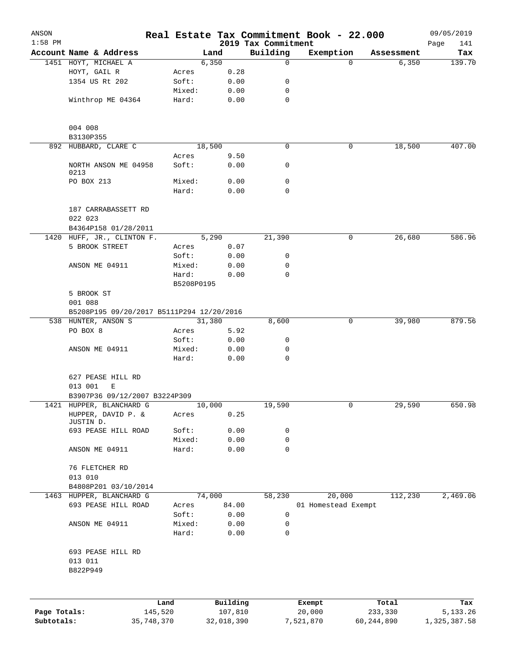| ANSON        |                                           |            |            |            |                                 | Real Estate Tax Commitment Book - 22.000 |            | 09/05/2019         |
|--------------|-------------------------------------------|------------|------------|------------|---------------------------------|------------------------------------------|------------|--------------------|
| $1:58$ PM    | Account Name & Address                    |            |            | Land       | 2019 Tax Commitment<br>Building | Exemption                                | Assessment | Page<br>141<br>Tax |
|              | 1451 HOYT, MICHAEL A                      |            |            | 6,350      | $\mathbf 0$                     | 0                                        | 6,350      | 139.70             |
|              | HOYT, GAIL R                              |            | Acres      | 0.28       |                                 |                                          |            |                    |
|              | 1354 US Rt 202                            |            | Soft:      | 0.00       | 0                               |                                          |            |                    |
|              |                                           |            | Mixed:     | 0.00       | 0                               |                                          |            |                    |
|              | Winthrop ME 04364                         |            | Hard:      | 0.00       | 0                               |                                          |            |                    |
|              | 004 008                                   |            |            |            |                                 |                                          |            |                    |
|              | B3130P355                                 |            |            |            |                                 |                                          |            |                    |
|              | 892 HUBBARD, CLARE C                      |            |            | 18,500     | $\mathbf 0$                     | 0                                        | 18,500     | 407.00             |
|              |                                           |            | Acres      | 9.50       |                                 |                                          |            |                    |
|              | NORTH ANSON ME 04958<br>0213              |            | Soft:      | 0.00       | 0                               |                                          |            |                    |
|              | PO BOX 213                                |            | Mixed:     | 0.00       | 0                               |                                          |            |                    |
|              |                                           |            | Hard:      | 0.00       | 0                               |                                          |            |                    |
|              | 187 CARRABASSETT RD<br>022 023            |            |            |            |                                 |                                          |            |                    |
|              | B4364P158 01/28/2011                      |            |            |            |                                 |                                          |            |                    |
|              | 1420 HUFF, JR., CLINTON F.                |            |            | 5,290      | 21,390                          | 0                                        | 26,680     | 586.96             |
|              | 5 BROOK STREET                            |            | Acres      | 0.07       |                                 |                                          |            |                    |
|              |                                           |            | Soft:      | 0.00       | 0                               |                                          |            |                    |
|              | ANSON ME 04911                            |            | Mixed:     | 0.00       | 0                               |                                          |            |                    |
|              |                                           |            | Hard:      | 0.00       | 0                               |                                          |            |                    |
|              |                                           |            | B5208P0195 |            |                                 |                                          |            |                    |
|              | 5 BROOK ST                                |            |            |            |                                 |                                          |            |                    |
|              | 001 088                                   |            |            |            |                                 |                                          |            |                    |
|              | B5208P195 09/20/2017 B5111P294 12/20/2016 |            |            |            |                                 |                                          |            |                    |
|              | 538 HUNTER, ANSON S                       |            |            | 31,380     | 8,600                           | 0                                        | 39,980     | 879.56             |
|              | PO BOX 8                                  |            | Acres      | 5.92       |                                 |                                          |            |                    |
|              |                                           |            | Soft:      | 0.00       | 0                               |                                          |            |                    |
|              | ANSON ME 04911                            |            | Mixed:     | 0.00       | 0                               |                                          |            |                    |
|              |                                           |            | Hard:      | 0.00       | 0                               |                                          |            |                    |
|              |                                           |            |            |            |                                 |                                          |            |                    |
|              | 627 PEASE HILL RD<br>013 001<br>Ε         |            |            |            |                                 |                                          |            |                    |
|              | B3907P36 09/12/2007 B3224P309             |            |            |            |                                 |                                          |            |                    |
|              | 1421 HUPPER, BLANCHARD G                  |            |            | 10,000     | 19,590                          | 0                                        | 29,590     | 650.98             |
|              | HUPPER, DAVID P. &<br>JUSTIN D.           |            | Acres      | 0.25       |                                 |                                          |            |                    |
|              | 693 PEASE HILL ROAD                       |            | Soft:      | 0.00       | 0                               |                                          |            |                    |
|              |                                           |            | Mixed:     | 0.00       | 0                               |                                          |            |                    |
|              | ANSON ME 04911                            |            | Hard:      | 0.00       | 0                               |                                          |            |                    |
|              | 76 FLETCHER RD<br>013 010                 |            |            |            |                                 |                                          |            |                    |
|              | B4808P201 03/10/2014                      |            |            |            |                                 |                                          |            |                    |
|              | 1463 HUPPER, BLANCHARD G                  |            |            | 74,000     | 58,230                          | 20,000                                   | 112,230    | 2,469.06           |
|              | 693 PEASE HILL ROAD                       |            | Acres      | 84.00      |                                 | 01 Homestead Exempt                      |            |                    |
|              |                                           |            | Soft:      | 0.00       | 0                               |                                          |            |                    |
|              | ANSON ME 04911                            |            | Mixed:     | 0.00       | 0                               |                                          |            |                    |
|              |                                           |            | Hard:      | 0.00       | 0                               |                                          |            |                    |
|              | 693 PEASE HILL RD<br>013 011<br>B822P949  |            |            |            |                                 |                                          |            |                    |
|              |                                           |            |            |            |                                 |                                          |            |                    |
|              |                                           | Land       |            | Building   |                                 | Exempt                                   | Total      | Tax                |
| Page Totals: |                                           | 145,520    |            | 107,810    |                                 | 20,000                                   | 233,330    | 5,133.26           |
| Subtotals:   |                                           | 35,748,370 |            | 32,018,390 |                                 | 7,521,870                                | 60,244,890 | 1,325,387.58       |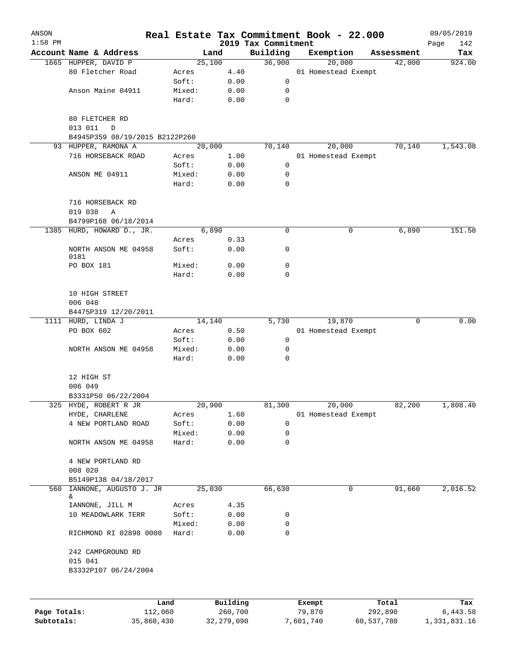| ANSON<br>$1:58$ PM |                                                       |                 |              | 2019 Tax Commitment | Real Estate Tax Commitment Book - 22.000 |             | 09/05/2019         |
|--------------------|-------------------------------------------------------|-----------------|--------------|---------------------|------------------------------------------|-------------|--------------------|
|                    | Account Name & Address                                |                 | Land         | Building            | Exemption                                | Assessment  | Page<br>142<br>Tax |
|                    | 1665 HUPPER, DAVID P                                  |                 | 25,100       | 36,900              | 20,000                                   | 42,000      | 924.00             |
|                    | 80 Fletcher Road                                      | Acres           | 4.40         |                     | 01 Homestead Exempt                      |             |                    |
|                    |                                                       | Soft:           | 0.00         | 0                   |                                          |             |                    |
|                    | Anson Maine 04911                                     | Mixed:          | 0.00         | 0                   |                                          |             |                    |
|                    |                                                       | Hard:           | 0.00         | $\mathbf 0$         |                                          |             |                    |
|                    | 80 FLETCHER RD<br>013 011<br>D                        |                 |              |                     |                                          |             |                    |
|                    | B4945P359 08/19/2015 B2122P260<br>93 HUPPER, RAMONA A |                 | 20,000       | 70,140              | 20,000                                   | 70,140      | 1,543.08           |
|                    | 716 HORSEBACK ROAD                                    |                 | 1.00         |                     |                                          |             |                    |
|                    |                                                       | Acres<br>Soft:  | 0.00         | 0                   | 01 Homestead Exempt                      |             |                    |
|                    | ANSON ME 04911                                        | Mixed:          | 0.00         | 0                   |                                          |             |                    |
|                    |                                                       | Hard:           | 0.00         | 0                   |                                          |             |                    |
|                    | 716 HORSEBACK RD<br>019 038<br>Α                      |                 |              |                     |                                          |             |                    |
|                    | B4799P168 06/18/2014                                  |                 |              |                     |                                          |             |                    |
|                    | 1385 HURD, HOWARD D., JR.                             |                 | 6,890        | 0                   | 0                                        | 6,890       | 151.58             |
|                    |                                                       | Acres           | 0.33         |                     |                                          |             |                    |
|                    | NORTH ANSON ME 04958<br>0181                          | Soft:           | 0.00         | 0                   |                                          |             |                    |
|                    | PO BOX 181                                            | Mixed:          | 0.00         | 0                   |                                          |             |                    |
|                    |                                                       | Hard:           | 0.00         | 0                   |                                          |             |                    |
|                    | 10 HIGH STREET<br>006 048                             |                 |              |                     |                                          |             |                    |
|                    | B4475P319 12/20/2011                                  |                 |              |                     |                                          |             |                    |
|                    | 1111 HURD, LINDA J                                    |                 | 14,140       | 5,730               | 19,870                                   | $\mathbf 0$ | 0.00               |
|                    | PO BOX 602                                            | Acres           | 0.50         |                     | 01 Homestead Exempt                      |             |                    |
|                    |                                                       | Soft:           | 0.00         | 0                   |                                          |             |                    |
|                    | NORTH ANSON ME 04958                                  | Mixed:<br>Hard: | 0.00<br>0.00 | 0<br>0              |                                          |             |                    |
|                    | 12 HIGH ST<br>006 049                                 |                 |              |                     |                                          |             |                    |
|                    |                                                       |                 |              |                     |                                          |             |                    |
|                    | B3331P50 06/22/2004                                   |                 |              |                     |                                          |             |                    |
|                    | 325 HYDE, ROBERT R JR                                 |                 | 20,900       | 81,300              | 20,000                                   | 82,200      | 1,808.40           |
|                    | HYDE, CHARLENE<br>4 NEW PORTLAND ROAD                 | Acres<br>Soft:  | 1.60<br>0.00 | 0                   | 01 Homestead Exempt                      |             |                    |
|                    |                                                       | Mixed:          | 0.00         | 0                   |                                          |             |                    |
|                    | NORTH ANSON ME 04958                                  | Hard:           | 0.00         | 0                   |                                          |             |                    |
|                    |                                                       |                 |              |                     |                                          |             |                    |
|                    | 4 NEW PORTLAND RD<br>008 020                          |                 |              |                     |                                          |             |                    |
|                    | B5149P138 04/18/2017                                  |                 |              |                     |                                          |             |                    |
| 560                | IANNONE, AUGUSTO J. JR<br>&                           |                 | 25,030       | 66,630              | 0                                        | 91,660      | 2,016.52           |
|                    | IANNONE, JILL M                                       | Acres           | 4.35         |                     |                                          |             |                    |
|                    | 10 MEADOWLARK TERR                                    | Soft:           | 0.00         | 0                   |                                          |             |                    |
|                    |                                                       | Mixed:          | 0.00         | 0                   |                                          |             |                    |
|                    | RICHMOND RI 02898 0000                                | Hard:           | 0.00         | 0                   |                                          |             |                    |
|                    | 242 CAMPGROUND RD<br>015 041                          |                 |              |                     |                                          |             |                    |
|                    | B3332P107 06/24/2004                                  |                 |              |                     |                                          |             |                    |
|                    |                                                       |                 |              |                     |                                          |             |                    |
|                    |                                                       | Land            | Building     |                     | Exempt                                   | Total       | Tax                |
| Page Totals:       | 112,060                                               |                 | 260,700      |                     | 79,870                                   | 292,890     | 6,443.58           |

**Page Totals:** 112,060 260,700 79,870 292,890 6,443.58 **Subtotals:** 35,860,430 32,279,090 7,601,740 60,537,780 1,331,831.16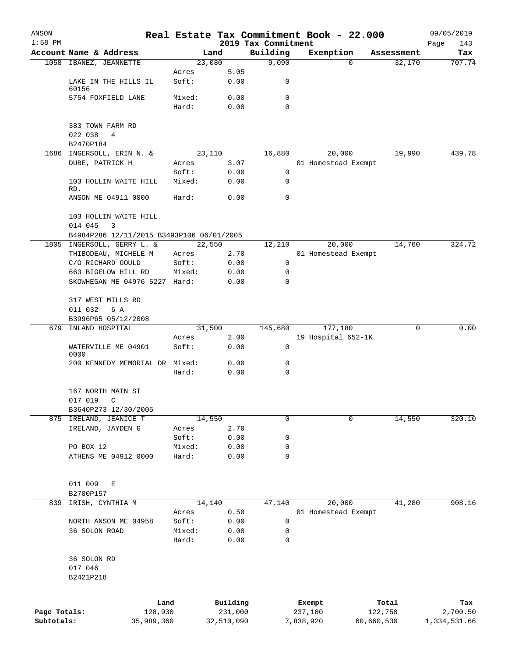| ANSON        |                                           |        |            |                                 | Real Estate Tax Commitment Book - 22.000 |            |            | 09/05/2019         |
|--------------|-------------------------------------------|--------|------------|---------------------------------|------------------------------------------|------------|------------|--------------------|
| $1:58$ PM    | Account Name & Address                    | Land   |            | 2019 Tax Commitment<br>Building | Exemption                                |            | Assessment | Page<br>143<br>Tax |
|              | 1058 IBANEZ, JEANNETTE                    | 23,080 |            | 9,090                           |                                          | $\Omega$   | 32,170     | 707.74             |
|              |                                           | Acres  | 5.05       |                                 |                                          |            |            |                    |
|              | LAKE IN THE HILLS IL<br>60156             | Soft:  | 0.00       | 0                               |                                          |            |            |                    |
|              | 5754 FOXFIELD LANE                        | Mixed: | 0.00       | 0                               |                                          |            |            |                    |
|              |                                           | Hard:  | 0.00       | $\mathbf 0$                     |                                          |            |            |                    |
|              | 383 TOWN FARM RD                          |        |            |                                 |                                          |            |            |                    |
|              | 022 038<br>4<br>B2470P184                 |        |            |                                 |                                          |            |            |                    |
|              | 1686 INGERSOLL, ERIN N. &                 | 23,110 |            | 16,880                          | 20,000                                   |            | 19,990     | 439.78             |
|              | DUBE, PATRICK H                           | Acres  | 3.07       |                                 | 01 Homestead Exempt                      |            |            |                    |
|              |                                           | Soft:  | 0.00       | $\mathbf 0$                     |                                          |            |            |                    |
|              | 103 HOLLIN WAITE HILL                     | Mixed: | 0.00       | 0                               |                                          |            |            |                    |
|              | RD.<br>ANSON ME 04911 0000                | Hard:  | 0.00       | 0                               |                                          |            |            |                    |
|              |                                           |        |            |                                 |                                          |            |            |                    |
|              | 103 HOLLIN WAITE HILL<br>014 045<br>3     |        |            |                                 |                                          |            |            |                    |
|              | B4984P286 12/11/2015 B3493P106 06/01/2005 |        |            |                                 |                                          |            |            |                    |
|              | 1805 INGERSOLL, GERRY L. &                | 22,550 |            | 12,210                          | 20,000                                   |            | 14,760     | 324.72             |
|              | THIBODEAU, MICHELE M                      | Acres  | 2.70       |                                 | 01 Homestead Exempt                      |            |            |                    |
|              | C/O RICHARD GOULD                         | Soft:  | 0.00       | 0                               |                                          |            |            |                    |
|              | 663 BIGELOW HILL RD                       | Mixed: | 0.00       | $\mathbf 0$                     |                                          |            |            |                    |
|              | SKOWHEGAN ME 04976 5227 Hard:             |        | 0.00       | $\Omega$                        |                                          |            |            |                    |
|              | 317 WEST MILLS RD                         |        |            |                                 |                                          |            |            |                    |
|              | 011 032<br>6 A                            |        |            |                                 |                                          |            |            |                    |
|              | B3996P65 05/12/2008                       |        |            |                                 |                                          |            |            |                    |
| 679          | INLAND HOSPITAL                           | 31,500 |            | 145,680                         | 177,180                                  |            | 0          | 0.00               |
|              |                                           | Acres  | 2.00       |                                 | 19 Hospital 652-1K                       |            |            |                    |
|              | WATERVILLE ME 04901<br>0000               | Soft:  | 0.00       | $\mathbf 0$                     |                                          |            |            |                    |
|              | 200 KENNEDY MEMORIAL DR Mixed:            |        | 0.00       | 0                               |                                          |            |            |                    |
|              |                                           | Hard:  | 0.00       | $\mathbf 0$                     |                                          |            |            |                    |
|              | 167 NORTH MAIN ST                         |        |            |                                 |                                          |            |            |                    |
|              | 017 019<br>$\mathbb{C}$                   |        |            |                                 |                                          |            |            |                    |
|              | B3640P273 12/30/2005                      |        |            |                                 |                                          |            |            |                    |
|              | 875 IRELAND, JEANICE T                    | 14,550 |            | 0                               |                                          | 0          | 14,550     | 320.10             |
|              | IRELAND, JAYDEN G                         | Acres  | 2.70       |                                 |                                          |            |            |                    |
|              |                                           | Soft:  | 0.00       | 0                               |                                          |            |            |                    |
|              | PO BOX 12                                 | Mixed: | 0.00       | 0                               |                                          |            |            |                    |
|              | ATHENS ME 04912 0000                      | Hard:  | 0.00       | 0                               |                                          |            |            |                    |
|              | 011 009<br>Е                              |        |            |                                 |                                          |            |            |                    |
|              | B2700P157                                 |        |            |                                 |                                          |            |            |                    |
| 839          | IRISH, CYNTHIA M                          | 14,140 |            | 47,140                          | 20,000                                   |            | 41,280     | 908.16             |
|              |                                           | Acres  | 0.50       |                                 | 01 Homestead Exempt                      |            |            |                    |
|              | NORTH ANSON ME 04958                      | Soft:  | 0.00       | 0                               |                                          |            |            |                    |
|              | 36 SOLON ROAD                             | Mixed: | 0.00       | 0                               |                                          |            |            |                    |
|              |                                           | Hard:  | 0.00       | 0                               |                                          |            |            |                    |
|              | 36 SOLON RD                               |        |            |                                 |                                          |            |            |                    |
|              | 017 046                                   |        |            |                                 |                                          |            |            |                    |
|              | B2421P218                                 |        |            |                                 |                                          |            |            |                    |
|              | Land                                      |        | Building   |                                 | Exempt                                   |            | Total      | Tax                |
| Page Totals: | 128,930                                   |        | 231,000    |                                 | 237,180                                  |            | 122,750    | 2,700.50           |
| Subtotals:   | 35,989,360                                |        | 32,510,090 |                                 | 7,838,920                                | 60,660,530 |            | 1,334,531.66       |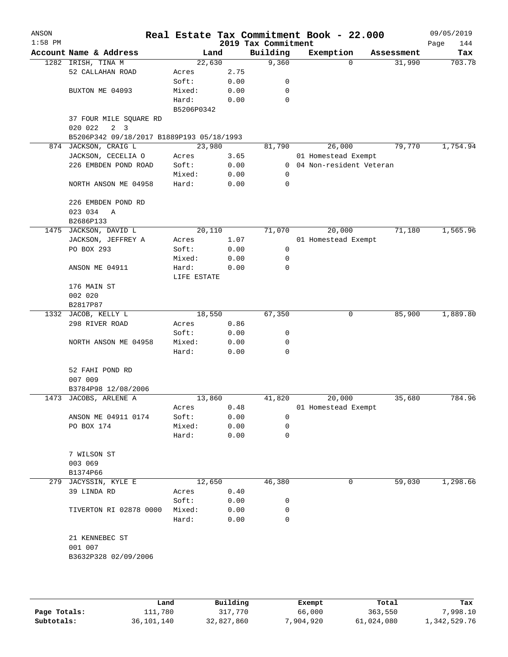| ANSON<br>$1:58$ PM |                                           |             |      | 2019 Tax Commitment | Real Estate Tax Commitment Book - 22.000 |            | 09/05/2019         |
|--------------------|-------------------------------------------|-------------|------|---------------------|------------------------------------------|------------|--------------------|
|                    | Account Name & Address                    | Land        |      | Building            | Exemption                                | Assessment | Page<br>144<br>Tax |
| 1282               | IRISH, TINA M                             | 22,630      |      | 9,360               | $\Omega$                                 | 31,990     | 703.78             |
|                    | 52 CALLAHAN ROAD                          | Acres       | 2.75 |                     |                                          |            |                    |
|                    |                                           | Soft:       | 0.00 | 0                   |                                          |            |                    |
|                    | BUXTON ME 04093                           | Mixed:      | 0.00 | 0                   |                                          |            |                    |
|                    |                                           | Hard:       | 0.00 | $\mathbf 0$         |                                          |            |                    |
|                    |                                           | B5206P0342  |      |                     |                                          |            |                    |
|                    | 37 FOUR MILE SQUARE RD                    |             |      |                     |                                          |            |                    |
|                    | 2 <sup>3</sup><br>020 022                 |             |      |                     |                                          |            |                    |
|                    | B5206P342 09/18/2017 B1889P193 05/18/1993 |             |      |                     |                                          |            |                    |
|                    | 874 JACKSON, CRAIG L                      | 23,980      |      | 81,790              | 26,000                                   | 79,770     | 1,754.94           |
|                    | JACKSON, CECELIA O                        | Acres       | 3.65 |                     | 01 Homestead Exempt                      |            |                    |
|                    | 226 EMBDEN POND ROAD                      | Soft:       | 0.00 | 0                   | 04 Non-resident Veteran                  |            |                    |
|                    |                                           | Mixed:      | 0.00 | 0                   |                                          |            |                    |
|                    | NORTH ANSON ME 04958                      | Hard:       | 0.00 | $\mathbf 0$         |                                          |            |                    |
|                    | 226 EMBDEN POND RD                        |             |      |                     |                                          |            |                    |
|                    | 023 034<br>Α                              |             |      |                     |                                          |            |                    |
|                    | B2686P133                                 |             |      |                     |                                          |            |                    |
|                    | 1475 JACKSON, DAVID L                     | 20,110      |      | 71,070              | 20,000                                   | 71,180     | 1,565.96           |
|                    | JACKSON, JEFFREY A                        | Acres       | 1.07 |                     | 01 Homestead Exempt                      |            |                    |
|                    | PO BOX 293                                | Soft:       | 0.00 | 0                   |                                          |            |                    |
|                    |                                           | Mixed:      | 0.00 | 0                   |                                          |            |                    |
|                    | ANSON ME 04911                            | Hard:       | 0.00 | $\mathbf 0$         |                                          |            |                    |
|                    |                                           | LIFE ESTATE |      |                     |                                          |            |                    |
|                    | 176 MAIN ST                               |             |      |                     |                                          |            |                    |
|                    | 002 020                                   |             |      |                     |                                          |            |                    |
|                    | B2817P87                                  |             |      |                     |                                          |            |                    |
|                    | 1332 JACOB, KELLY L                       | 18,550      |      | 67,350              | 0                                        | 85,900     | 1,889.80           |
|                    | 298 RIVER ROAD                            | Acres       | 0.86 |                     |                                          |            |                    |
|                    |                                           | Soft:       | 0.00 | 0                   |                                          |            |                    |
|                    | NORTH ANSON ME 04958                      | Mixed:      | 0.00 | 0                   |                                          |            |                    |
|                    |                                           | Hard:       | 0.00 | $\mathbf 0$         |                                          |            |                    |
|                    | 52 FAHI POND RD                           |             |      |                     |                                          |            |                    |
|                    | 007 009                                   |             |      |                     |                                          |            |                    |
|                    | B3784P98 12/08/2006                       |             |      |                     |                                          |            |                    |
|                    | 1473 JACOBS, ARLENE A                     | 13,860      |      | 41,820              | 20,000                                   | 35,680     | 784.96             |
|                    |                                           | Acres       | 0.48 |                     | 01 Homestead Exempt                      |            |                    |
|                    | ANSON ME 04911 0174                       | Soft:       | 0.00 | 0                   |                                          |            |                    |
|                    | PO BOX 174                                | Mixed:      | 0.00 | 0                   |                                          |            |                    |
|                    |                                           | Hard:       | 0.00 | 0                   |                                          |            |                    |
|                    | 7 WILSON ST                               |             |      |                     |                                          |            |                    |
|                    | 003 069                                   |             |      |                     |                                          |            |                    |
|                    | B1374P66                                  |             |      |                     |                                          |            |                    |
|                    | 279 JACYSSIN, KYLE E                      | 12,650      |      | 46,380              | 0                                        | 59,030     | 1,298.66           |
|                    | 39 LINDA RD                               | Acres       | 0.40 |                     |                                          |            |                    |
|                    |                                           | Soft:       | 0.00 | 0                   |                                          |            |                    |
|                    | TIVERTON RI 02878 0000                    | Mixed:      | 0.00 | 0                   |                                          |            |                    |
|                    |                                           | Hard:       | 0.00 | 0                   |                                          |            |                    |
|                    | 21 KENNEBEC ST                            |             |      |                     |                                          |            |                    |
|                    | 001 007                                   |             |      |                     |                                          |            |                    |
|                    | B3632P328 02/09/2006                      |             |      |                     |                                          |            |                    |
|                    |                                           |             |      |                     |                                          |            |                    |
|                    |                                           |             |      |                     |                                          |            |                    |
|                    |                                           |             |      |                     |                                          |            |                    |

|              | Land         | Building   | Exempt   | Total      | Tax          |
|--------------|--------------|------------|----------|------------|--------------|
| Page Totals: | 111,780      | 317,770    | 66,000   | 363,550    | 7,998.10     |
| Subtotals:   | 36, 101, 140 | 32,827,860 | ,904,920 | 61,024,080 | 1,342,529.76 |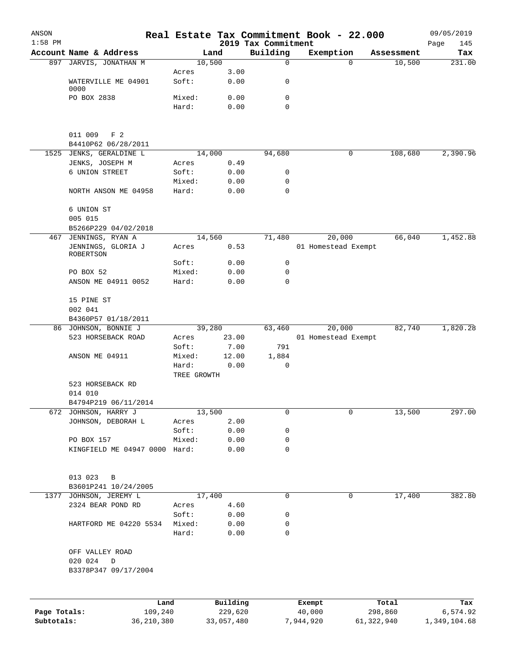| ANSON        |                                        |                      |                     |                                 | Real Estate Tax Commitment Book - 22.000 |            |                      | 09/05/2019      |
|--------------|----------------------------------------|----------------------|---------------------|---------------------------------|------------------------------------------|------------|----------------------|-----------------|
| $1:58$ PM    | Account Name & Address                 |                      | Land                | 2019 Tax Commitment<br>Building | Exemption                                |            |                      | Page<br>145     |
|              | 897 JARVIS, JONATHAN M                 |                      | 10,500              | $\mathbf 0$                     |                                          | $\Omega$   | Assessment<br>10,500 | Tax<br>231.00   |
|              |                                        | Acres                | 3.00                |                                 |                                          |            |                      |                 |
|              | WATERVILLE ME 04901<br>0000            | Soft:                | 0.00                | 0                               |                                          |            |                      |                 |
|              | PO BOX 2838                            | Mixed:               | 0.00                | $\mathbf 0$                     |                                          |            |                      |                 |
|              |                                        | Hard:                | 0.00                | 0                               |                                          |            |                      |                 |
|              | 011 009 F 2                            |                      |                     |                                 |                                          |            |                      |                 |
|              | B4410P62 06/28/2011                    |                      |                     |                                 |                                          |            |                      |                 |
|              | 1525 JENKS, GERALDINE L                |                      | 14,000              | 94,680                          |                                          | 0          | 108,680              | 2,390.96        |
|              | JENKS, JOSEPH M                        | Acres                | 0.49                |                                 |                                          |            |                      |                 |
|              | 6 UNION STREET                         | Soft:                | 0.00                | 0                               |                                          |            |                      |                 |
|              |                                        | Mixed:               | 0.00                | 0                               |                                          |            |                      |                 |
|              | NORTH ANSON ME 04958                   | Hard:                | 0.00                | $\mathbf 0$                     |                                          |            |                      |                 |
|              | 6 UNION ST<br>005 015                  |                      |                     |                                 |                                          |            |                      |                 |
|              | B5266P229 04/02/2018                   |                      |                     |                                 |                                          |            |                      |                 |
| 467          | JENNINGS, RYAN A                       |                      | 14,560              | 71,480                          | 20,000                                   |            | 66,040               | 1,452.88        |
|              | JENNINGS, GLORIA J<br>ROBERTSON        | Acres                | 0.53                |                                 | 01 Homestead Exempt                      |            |                      |                 |
|              |                                        | Soft:                | 0.00                | 0                               |                                          |            |                      |                 |
|              | PO BOX 52                              | Mixed:               | 0.00                | 0                               |                                          |            |                      |                 |
|              | ANSON ME 04911 0052                    | Hard:                | 0.00                | 0                               |                                          |            |                      |                 |
|              | 15 PINE ST                             |                      |                     |                                 |                                          |            |                      |                 |
|              | 002 041                                |                      |                     |                                 |                                          |            |                      |                 |
|              | B4360P57 01/18/2011                    |                      |                     |                                 |                                          |            |                      |                 |
|              | 86 JOHNSON, BONNIE J                   |                      | 39,280              | 63,460                          | 20,000                                   |            | 82,740               | 1,820.28        |
|              | 523 HORSEBACK ROAD                     | Acres                | 23.00               |                                 | 01 Homestead Exempt                      |            |                      |                 |
|              |                                        | Soft:                | 7.00                | 791                             |                                          |            |                      |                 |
|              | ANSON ME 04911                         | Mixed:               | 12.00               | 1,884                           |                                          |            |                      |                 |
|              |                                        | Hard:<br>TREE GROWTH | 0.00                | 0                               |                                          |            |                      |                 |
|              | 523 HORSEBACK RD                       |                      |                     |                                 |                                          |            |                      |                 |
|              | 014 010                                |                      |                     |                                 |                                          |            |                      |                 |
|              | B4794P219 06/11/2014                   |                      |                     |                                 |                                          |            |                      |                 |
| 672          | JOHNSON, HARRY J                       |                      | 13,500              | 0                               |                                          | 0          | 13,500               | 297.00          |
|              | JOHNSON, DEBORAH L                     | Acres                | 2.00                |                                 |                                          |            |                      |                 |
|              |                                        | Soft:                | 0.00                | 0                               |                                          |            |                      |                 |
|              | PO BOX 157                             | Mixed:               | 0.00                | 0                               |                                          |            |                      |                 |
|              | KINGFIELD ME 04947 0000 Hard:          |                      | 0.00                | 0                               |                                          |            |                      |                 |
|              |                                        |                      |                     |                                 |                                          |            |                      |                 |
|              | 013 023<br>B<br>B3601P241 10/24/2005   |                      |                     |                                 |                                          |            |                      |                 |
|              |                                        |                      |                     | 0                               |                                          | 0          |                      | 382.80          |
| 1377         | JOHNSON, JEREMY L<br>2324 BEAR POND RD |                      | 17,400              |                                 |                                          |            | 17,400               |                 |
|              |                                        | Acres                | 4.60                |                                 |                                          |            |                      |                 |
|              |                                        | Soft:                | 0.00                | 0                               |                                          |            |                      |                 |
|              | HARTFORD ME 04220 5534                 | Mixed:<br>Hard:      | 0.00<br>0.00        | 0<br>0                          |                                          |            |                      |                 |
|              | OFF VALLEY ROAD                        |                      |                     |                                 |                                          |            |                      |                 |
|              | 020 024<br>D                           |                      |                     |                                 |                                          |            |                      |                 |
|              | B3378P347 09/17/2004                   |                      |                     |                                 |                                          |            |                      |                 |
|              |                                        |                      |                     |                                 |                                          |            |                      |                 |
| Page Totals: | Land<br>109,240                        |                      | Building<br>229,620 |                                 | Exempt<br>40,000                         |            | Total<br>298,860     | Tax<br>6,574.92 |
| Subtotals:   | 36, 210, 380                           |                      | 33,057,480          |                                 | 7,944,920                                | 61,322,940 |                      | 1,349,104.68    |
|              |                                        |                      |                     |                                 |                                          |            |                      |                 |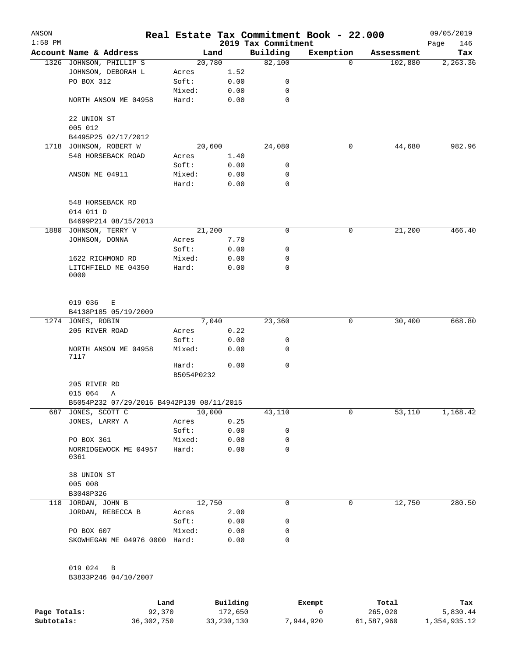| ANSON<br>$1:58$ PM |                                           |                     |      | 2019 Tax Commitment | Real Estate Tax Commitment Book - 22.000 |            | 09/05/2019<br>146<br>Page |
|--------------------|-------------------------------------------|---------------------|------|---------------------|------------------------------------------|------------|---------------------------|
|                    | Account Name & Address                    | Land                |      | Building            | Exemption                                | Assessment | Tax                       |
|                    | 1326 JOHNSON, PHILLIP S                   | 20,780              |      | 82,100              | 0                                        | 102,880    | 2,263.36                  |
|                    | JOHNSON, DEBORAH L                        | Acres               | 1.52 |                     |                                          |            |                           |
|                    | PO BOX 312                                | Soft:               | 0.00 | 0                   |                                          |            |                           |
|                    |                                           | Mixed:              | 0.00 | 0                   |                                          |            |                           |
|                    | NORTH ANSON ME 04958                      | Hard:               | 0.00 | 0                   |                                          |            |                           |
|                    | 22 UNION ST                               |                     |      |                     |                                          |            |                           |
|                    | 005 012                                   |                     |      |                     |                                          |            |                           |
|                    | B4495P25 02/17/2012                       |                     |      |                     |                                          |            |                           |
|                    | 1718 JOHNSON, ROBERT W                    | 20,600              |      | 24,080              | 0                                        | 44,680     | 982.96                    |
|                    | 548 HORSEBACK ROAD                        | Acres               | 1.40 |                     |                                          |            |                           |
|                    |                                           | Soft:               | 0.00 | 0                   |                                          |            |                           |
|                    | ANSON ME 04911                            | Mixed:              | 0.00 | 0                   |                                          |            |                           |
|                    |                                           | Hard:               | 0.00 | $\mathbf 0$         |                                          |            |                           |
|                    | 548 HORSEBACK RD                          |                     |      |                     |                                          |            |                           |
|                    | 014 011 D<br>B4699P214 08/15/2013         |                     |      |                     |                                          |            |                           |
|                    | 1880 JOHNSON, TERRY V                     | 21,200              |      | 0                   | 0                                        | 21,200     | 466.40                    |
|                    | JOHNSON, DONNA                            | Acres               | 7.70 |                     |                                          |            |                           |
|                    |                                           | Soft:               | 0.00 | 0                   |                                          |            |                           |
|                    | 1622 RICHMOND RD                          | Mixed:              | 0.00 | 0                   |                                          |            |                           |
|                    | LITCHFIELD ME 04350<br>0000               | Hard:               | 0.00 | 0                   |                                          |            |                           |
|                    | 019 036<br>Е<br>B4138P185 05/19/2009      |                     |      |                     |                                          |            |                           |
|                    | 1274 JONES, ROBIN                         | 7,040               |      | 23,360              | 0                                        | 30,400     | 668.80                    |
|                    | 205 RIVER ROAD                            | Acres               | 0.22 |                     |                                          |            |                           |
|                    |                                           | Soft:               | 0.00 | 0                   |                                          |            |                           |
|                    | NORTH ANSON ME 04958<br>7117              | Mixed:              | 0.00 | 0                   |                                          |            |                           |
|                    |                                           | Hard:<br>B5054P0232 | 0.00 | 0                   |                                          |            |                           |
|                    | 205 RIVER RD                              |                     |      |                     |                                          |            |                           |
|                    | 015 064<br>Α                              |                     |      |                     |                                          |            |                           |
|                    | B5054P232 07/29/2016 B4942P139 08/11/2015 |                     |      |                     |                                          |            |                           |
| 687                | JONES, SCOTT C                            | 10,000              |      | 43,110              | 0                                        | 53,110     | 1,168.42                  |
|                    | JONES, LARRY A                            | Acres               | 0.25 |                     |                                          |            |                           |
|                    |                                           | Soft:               | 0.00 | 0                   |                                          |            |                           |
|                    | PO BOX 361                                | Mixed:              | 0.00 | 0                   |                                          |            |                           |
|                    | NORRIDGEWOCK ME 04957<br>0361             | Hard:               | 0.00 | 0                   |                                          |            |                           |
|                    | 38 UNION ST                               |                     |      |                     |                                          |            |                           |
|                    | 005 008<br>B3048P326                      |                     |      |                     |                                          |            |                           |
|                    | 118 JORDAN, JOHN B                        | 12,750              |      | 0                   | 0                                        | 12,750     | 280.50                    |
|                    | JORDAN, REBECCA B                         | Acres               | 2.00 |                     |                                          |            |                           |
|                    |                                           | Soft:               | 0.00 | 0                   |                                          |            |                           |
|                    | PO BOX 607                                | Mixed:              | 0.00 | 0                   |                                          |            |                           |
|                    | SKOWHEGAN ME 04976 0000 Hard:             |                     | 0.00 | 0                   |                                          |            |                           |
|                    | 019 024<br>B                              |                     |      |                     |                                          |            |                           |
|                    | B3833P246 04/10/2007                      |                     |      |                     |                                          |            |                           |
|                    |                                           |                     |      |                     |                                          |            |                           |

|              | Land         | Building     | Exempt    | Total      | Tax          |
|--------------|--------------|--------------|-----------|------------|--------------|
| Page Totals: | 92,370       | 172,650      |           | 265,020    | 5,830.44     |
| Subtotals:   | 36, 302, 750 | 33, 230, 130 | 7,944,920 | 61,587,960 | 1,354,935.12 |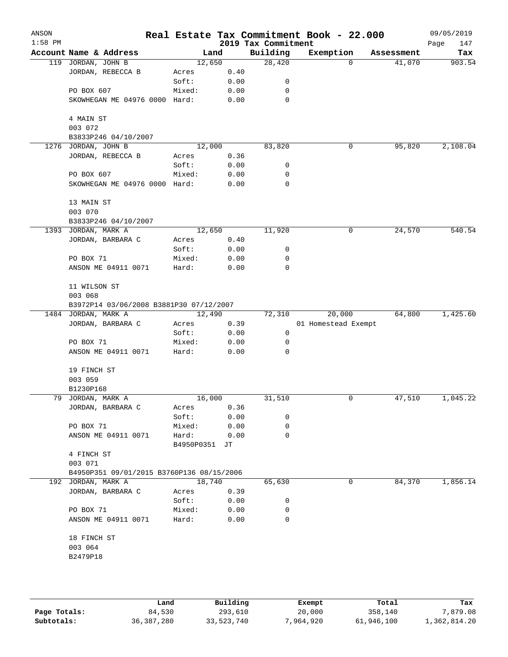| ANSON<br>$1:58$ PM |                                           |                     |            | 2019 Tax Commitment | Real Estate Tax Commitment Book - 22.000 |            | 09/05/2019<br>Page<br>147 |
|--------------------|-------------------------------------------|---------------------|------------|---------------------|------------------------------------------|------------|---------------------------|
|                    | Account Name & Address                    | Land                |            | Building            | Exemption                                | Assessment | Tax                       |
| 119                | JORDAN, JOHN B                            | 12,650              |            | 28,420              | 0                                        | 41,070     | 903.54                    |
|                    | JORDAN, REBECCA B                         | Acres               | 0.40       |                     |                                          |            |                           |
|                    |                                           | Soft:               | 0.00       | 0                   |                                          |            |                           |
|                    | PO BOX 607                                | Mixed:              | 0.00       | 0                   |                                          |            |                           |
|                    | SKOWHEGAN ME 04976 0000 Hard:             |                     | 0.00       | 0                   |                                          |            |                           |
|                    | 4 MAIN ST                                 |                     |            |                     |                                          |            |                           |
|                    | 003 072                                   |                     |            |                     |                                          |            |                           |
|                    | B3833P246 04/10/2007                      |                     |            |                     |                                          |            |                           |
| 1276               | JORDAN, JOHN B                            | 12,000              |            | 83,820              | 0                                        | 95,820     | 2,108.04                  |
|                    | JORDAN, REBECCA B                         | Acres               | 0.36       |                     |                                          |            |                           |
|                    |                                           | Soft:               | 0.00       | 0                   |                                          |            |                           |
|                    | PO BOX 607                                | Mixed:              | 0.00       | 0                   |                                          |            |                           |
|                    | SKOWHEGAN ME 04976 0000 Hard:             |                     | 0.00       | 0                   |                                          |            |                           |
|                    | 13 MAIN ST                                |                     |            |                     |                                          |            |                           |
|                    | 003 070<br>B3833P246 04/10/2007           |                     |            |                     |                                          |            |                           |
|                    | 1393 JORDAN, MARK A                       | 12,650              |            | 11,920              | 0                                        | 24,570     | 540.54                    |
|                    | JORDAN, BARBARA C                         | Acres               | 0.40       |                     |                                          |            |                           |
|                    |                                           | Soft:               | 0.00       | 0                   |                                          |            |                           |
|                    | PO BOX 71                                 | Mixed:              | 0.00       | 0                   |                                          |            |                           |
|                    | ANSON ME 04911 0071                       | Hard:               | 0.00       | 0                   |                                          |            |                           |
|                    | 11 WILSON ST                              |                     |            |                     |                                          |            |                           |
|                    | 003 068                                   |                     |            |                     |                                          |            |                           |
|                    | B3972P14 03/06/2008 B3881P30 07/12/2007   |                     |            |                     |                                          |            |                           |
| 1484               | JORDAN, MARK A                            | 12,490              |            | 72,310              | 20,000                                   | 64,800     | 1,425.60                  |
|                    | JORDAN, BARBARA C                         | Acres               | 0.39       |                     | 01 Homestead Exempt                      |            |                           |
|                    |                                           | Soft:               | 0.00       | 0                   |                                          |            |                           |
|                    | PO BOX 71                                 | Mixed:              | 0.00       | 0                   |                                          |            |                           |
|                    | ANSON ME 04911 0071                       | Hard:               | 0.00       | 0                   |                                          |            |                           |
|                    | 19 FINCH ST                               |                     |            |                     |                                          |            |                           |
|                    | 003 059                                   |                     |            |                     |                                          |            |                           |
|                    | B1230P168                                 |                     |            |                     |                                          |            |                           |
|                    | 79 JORDAN, MARK A                         | 16,000              |            | 31,510              | 0                                        | 47,510     | 1,045.22                  |
|                    | JORDAN, BARBARA C                         | Acres               | 0.36       |                     |                                          |            |                           |
|                    |                                           | Soft:               | 0.00       | 0                   |                                          |            |                           |
|                    | PO BOX 71                                 | Mixed:              | 0.00       | 0                   |                                          |            |                           |
|                    | ANSON ME 04911 0071                       | Hard:<br>B4950P0351 | 0.00<br>JТ | 0                   |                                          |            |                           |
|                    | 4 FINCH ST                                |                     |            |                     |                                          |            |                           |
|                    | 003 071                                   |                     |            |                     |                                          |            |                           |
|                    | B4950P351 09/01/2015 B3760P136 08/15/2006 |                     |            |                     |                                          |            |                           |
|                    | 192 JORDAN, MARK A                        | 18,740              |            | 65,630              | 0                                        | 84,370     | 1,856.14                  |
|                    | JORDAN, BARBARA C                         | Acres               | 0.39       |                     |                                          |            |                           |
|                    |                                           | Soft:               | 0.00       | 0                   |                                          |            |                           |
|                    | PO BOX 71                                 | Mixed:              | 0.00       | 0                   |                                          |            |                           |
|                    | ANSON ME 04911 0071                       | Hard:               | 0.00       | 0                   |                                          |            |                           |
|                    | 18 FINCH ST                               |                     |            |                     |                                          |            |                           |
|                    | 003 064                                   |                     |            |                     |                                          |            |                           |
|                    | B2479P18                                  |                     |            |                     |                                          |            |                           |
|                    |                                           |                     |            |                     |                                          |            |                           |
|                    |                                           |                     |            |                     |                                          |            |                           |

|              | Land       | Building   | Exempt    | Total      | Tax          |
|--------------|------------|------------|-----------|------------|--------------|
| Page Totals: | 84,530     | 293,610    | 20,000    | 358,140    | 7,879.08     |
| Subtotals:   | 36,387,280 | 33,523,740 | 7,964,920 | 61,946,100 | 1,362,814.20 |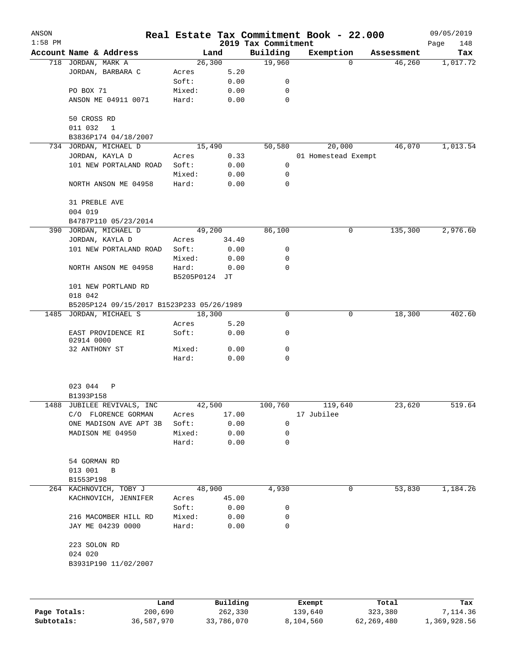| ANSON        |                                           |                        |          |                     | Real Estate Tax Commitment Book - 22.000 |                      | 09/05/2019      |
|--------------|-------------------------------------------|------------------------|----------|---------------------|------------------------------------------|----------------------|-----------------|
| $1:58$ PM    |                                           |                        |          | 2019 Tax Commitment |                                          |                      | Page<br>148     |
| 718          | Account Name & Address<br>JORDAN, MARK A  | 26, 300                | Land     | Building<br>19,960  | Exemption<br>0                           | Assessment<br>46,260 | Tax<br>1,017.72 |
|              | JORDAN, BARBARA C                         | Acres                  | 5.20     |                     |                                          |                      |                 |
|              |                                           | Soft:                  | 0.00     | 0                   |                                          |                      |                 |
|              | PO BOX 71                                 | Mixed:                 | 0.00     | 0                   |                                          |                      |                 |
|              | ANSON ME 04911 0071                       | Hard:                  | 0.00     | $\mathbf 0$         |                                          |                      |                 |
|              | 50 CROSS RD                               |                        |          |                     |                                          |                      |                 |
|              | 011 032<br>$\mathbf{1}$                   |                        |          |                     |                                          |                      |                 |
|              | B3836P174 04/18/2007                      |                        |          |                     |                                          |                      |                 |
|              | 734 JORDAN, MICHAEL D                     | 15,490                 |          | 50,580              | 20,000                                   | 46,070               | 1,013.54        |
|              | JORDAN, KAYLA D                           | Acres                  | 0.33     |                     | 01 Homestead Exempt                      |                      |                 |
|              | 101 NEW PORTALAND ROAD                    | Soft:                  | 0.00     | 0                   |                                          |                      |                 |
|              |                                           | Mixed:                 | 0.00     | 0                   |                                          |                      |                 |
|              | NORTH ANSON ME 04958                      | Hard:                  | 0.00     | $\mathbf 0$         |                                          |                      |                 |
|              | 31 PREBLE AVE                             |                        |          |                     |                                          |                      |                 |
|              | 004 019                                   |                        |          |                     |                                          |                      |                 |
|              | B4787P110 05/23/2014                      |                        |          |                     |                                          |                      |                 |
|              | 390 JORDAN, MICHAEL D                     | 49,200                 |          | 86,100              | 0                                        | 135,300              | 2,976.60        |
|              | JORDAN, KAYLA D                           | Acres                  | 34.40    |                     |                                          |                      |                 |
|              | 101 NEW PORTALAND ROAD                    | Soft:                  | 0.00     | 0                   |                                          |                      |                 |
|              |                                           | Mixed:                 |          | 0                   |                                          |                      |                 |
|              | NORTH ANSON ME 04958                      |                        | 0.00     | 0                   |                                          |                      |                 |
|              |                                           | Hard:<br>B5205P0124 JT | 0.00     |                     |                                          |                      |                 |
|              | 101 NEW PORTLAND RD                       |                        |          |                     |                                          |                      |                 |
|              | 018 042                                   |                        |          |                     |                                          |                      |                 |
|              | B5205P124 09/15/2017 B1523P233 05/26/1989 |                        |          |                     |                                          |                      |                 |
| 1485         | JORDAN, MICHAEL S                         | 18,300                 |          | 0                   | 0                                        | 18,300               | 402.60          |
|              |                                           | Acres                  | 5.20     |                     |                                          |                      |                 |
|              | EAST PROVIDENCE RI                        | Soft:                  | 0.00     | 0                   |                                          |                      |                 |
|              | 02914 0000                                |                        |          |                     |                                          |                      |                 |
|              | 32 ANTHONY ST                             | Mixed:                 | 0.00     | 0                   |                                          |                      |                 |
|              |                                           | Hard:                  | 0.00     | 0                   |                                          |                      |                 |
|              | 023 044<br>Ρ                              |                        |          |                     |                                          |                      |                 |
|              | B1393P158                                 |                        |          |                     |                                          |                      |                 |
| 1488         | JUBILEE REVIVALS, INC                     | 42,500                 |          | 100,760             | 119,640                                  | 23,620               | 519.64          |
|              | C/O FLORENCE GORMAN                       | Acres                  | 17.00    |                     | 17 Jubilee                               |                      |                 |
|              | ONE MADISON AVE APT 3B                    | Soft:                  | 0.00     | 0                   |                                          |                      |                 |
|              | MADISON ME 04950                          | Mixed:                 | 0.00     | 0                   |                                          |                      |                 |
|              |                                           | Hard:                  | 0.00     | 0                   |                                          |                      |                 |
|              | 54 GORMAN RD                              |                        |          |                     |                                          |                      |                 |
|              | 013 001<br>B                              |                        |          |                     |                                          |                      |                 |
|              | B1553P198                                 |                        |          |                     |                                          |                      |                 |
|              | 264 KACHNOVICH, TOBY J                    | 48,900                 |          | 4,930               | 0                                        | 53,830               | 1,184.26        |
|              | KACHNOVICH, JENNIFER                      | Acres                  | 45.00    |                     |                                          |                      |                 |
|              |                                           | Soft:                  | 0.00     | 0                   |                                          |                      |                 |
|              | 216 MACOMBER HILL RD                      | Mixed:                 | 0.00     | 0                   |                                          |                      |                 |
|              | JAY ME 04239 0000                         | Hard:                  | 0.00     | $\mathbf 0$         |                                          |                      |                 |
|              | 223 SOLON RD                              |                        |          |                     |                                          |                      |                 |
|              | 024 020                                   |                        |          |                     |                                          |                      |                 |
|              | B3931P190 11/02/2007                      |                        |          |                     |                                          |                      |                 |
|              |                                           |                        |          |                     |                                          |                      |                 |
|              | Land                                      |                        | Building |                     | Exempt                                   | Total                | Tax             |
| Page Totals: | 200,690                                   |                        | 262,330  |                     | 139,640                                  | 323,380              | 7,114.36        |

**Subtotals:** 36,587,970 33,786,070 8,104,560 62,269,480 1,369,928.56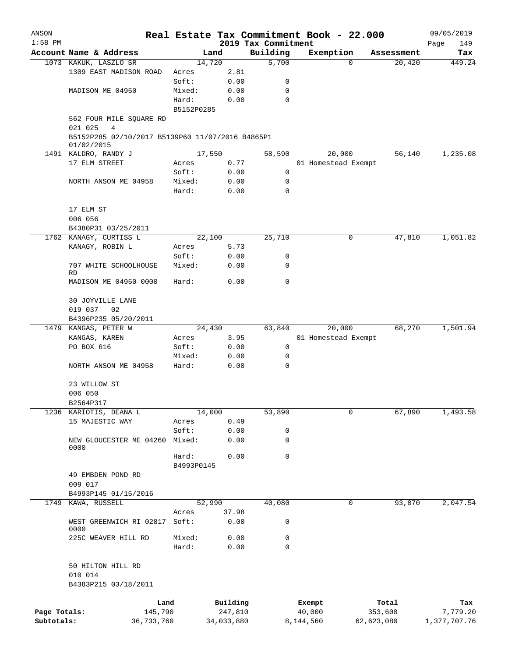| ANSON        |                                                                |            |              | Real Estate Tax Commitment Book - 22.000 |           |                     |            | 09/05/2019   |
|--------------|----------------------------------------------------------------|------------|--------------|------------------------------------------|-----------|---------------------|------------|--------------|
| $1:58$ PM    |                                                                |            |              | 2019 Tax Commitment                      |           |                     |            | Page<br>149  |
|              | Account Name & Address                                         |            | Land         | Building                                 | Exemption |                     | Assessment | Tax          |
|              | 1073 KAKUK, LASZLO SR                                          | 14,720     |              | 5,700                                    |           | $\mathbf 0$         | 20,420     | 449.24       |
|              | 1309 EAST MADISON ROAD                                         | Acres      | 2.81         |                                          |           |                     |            |              |
|              |                                                                | Soft:      | 0.00         | 0                                        |           |                     |            |              |
|              | MADISON ME 04950                                               | Mixed:     | 0.00         | 0                                        |           |                     |            |              |
|              |                                                                | Hard:      | 0.00         | $\mathbf 0$                              |           |                     |            |              |
|              |                                                                | B5152P0285 |              |                                          |           |                     |            |              |
|              | 562 FOUR MILE SQUARE RD<br>021 025<br>4                        |            |              |                                          |           |                     |            |              |
|              | B5152P285 02/10/2017 B5139P60 11/07/2016 B4865P1<br>01/02/2015 |            |              |                                          |           |                     |            |              |
|              | 1491 KALDRO, RANDY J                                           | 17,550     |              | 58,590                                   |           | 20,000              | 56,140     | 1,235.08     |
|              | 17 ELM STREET                                                  | Acres      | 0.77         |                                          |           | 01 Homestead Exempt |            |              |
|              |                                                                | Soft:      | 0.00         | 0                                        |           |                     |            |              |
|              | NORTH ANSON ME 04958                                           | Mixed:     | 0.00         | 0                                        |           |                     |            |              |
|              |                                                                | Hard:      | 0.00         | 0                                        |           |                     |            |              |
|              | 17 ELM ST                                                      |            |              |                                          |           |                     |            |              |
|              | 006 056                                                        |            |              |                                          |           |                     |            |              |
|              | B4380P31 03/25/2011                                            |            |              |                                          |           |                     |            |              |
|              | 1762 KANAGY, CURTISS L                                         |            | 22,100       | 25,710                                   |           | 0                   | 47,810     | 1,051.82     |
|              | KANAGY, ROBIN L                                                | Acres      | 5.73         |                                          |           |                     |            |              |
|              |                                                                | Soft:      | 0.00         | 0                                        |           |                     |            |              |
|              | 707 WHITE SCHOOLHOUSE                                          | Mixed:     | 0.00         | 0                                        |           |                     |            |              |
|              | <b>RD</b>                                                      |            |              |                                          |           |                     |            |              |
|              | MADISON ME 04950 0000                                          | Hard:      | 0.00         | $\mathbf 0$                              |           |                     |            |              |
|              | 30 JOYVILLE LANE                                               |            |              |                                          |           |                     |            |              |
|              | 019 037<br>02                                                  |            |              |                                          |           |                     |            |              |
|              | B4396P235 05/20/2011                                           |            |              |                                          |           |                     |            |              |
|              | 1479 KANGAS, PETER W                                           |            | 24,430       | 63,840                                   |           | 20,000              | 68,270     | 1,501.94     |
|              | KANGAS, KAREN                                                  | Acres      | 3.95         |                                          |           | 01 Homestead Exempt |            |              |
|              | PO BOX 616                                                     | Soft:      | 0.00         | 0                                        |           |                     |            |              |
|              |                                                                | Mixed:     | 0.00         | 0                                        |           |                     |            |              |
|              | NORTH ANSON ME 04958                                           | Hard:      | 0.00         | 0                                        |           |                     |            |              |
|              | 23 WILLOW ST                                                   |            |              |                                          |           |                     |            |              |
|              | 006 050                                                        |            |              |                                          |           |                     |            |              |
|              | B2564P317                                                      |            |              |                                          |           |                     |            |              |
| 1236         | KARIOTIS, DEANA L                                              | 14,000     |              | 53,890                                   |           | 0                   | 67,890     | 1,493.58     |
|              | 15 MAJESTIC WAY                                                | Acres      | 0.49         |                                          |           |                     |            |              |
|              |                                                                | Soft:      | 0.00         | 0                                        |           |                     |            |              |
|              | NEW GLOUCESTER ME 04260<br>0000                                | Mixed:     | 0.00         | 0                                        |           |                     |            |              |
|              |                                                                | Hard:      | 0.00         | 0                                        |           |                     |            |              |
|              |                                                                | B4993P0145 |              |                                          |           |                     |            |              |
|              | 49 EMBDEN POND RD                                              |            |              |                                          |           |                     |            |              |
|              | 009 017                                                        |            |              |                                          |           |                     |            |              |
|              | B4993P145 01/15/2016                                           |            |              |                                          |           |                     |            |              |
| 1749         | KAWA, RUSSELL                                                  |            | 52,990       | 40,080                                   |           | 0                   | 93,070     | 2,047.54     |
|              |                                                                | Acres      | 37.98        |                                          |           |                     |            |              |
|              | WEST GREENWICH RI 02817<br>0000                                | Soft:      | 0.00         | 0                                        |           |                     |            |              |
|              | 225C WEAVER HILL RD                                            | Mixed:     |              | 0                                        |           |                     |            |              |
|              |                                                                | Hard:      | 0.00<br>0.00 | 0                                        |           |                     |            |              |
|              | 50 HILTON HILL RD                                              |            |              |                                          |           |                     |            |              |
|              | 010 014                                                        |            |              |                                          |           |                     |            |              |
|              | B4383P215 03/18/2011                                           |            |              |                                          |           |                     |            |              |
|              | Land                                                           |            | Building     |                                          | Exempt    |                     | Total      | Tax          |
| Page Totals: | 145,790                                                        |            | 247,810      |                                          | 40,000    |                     | 353,600    | 7,779.20     |
| Subtotals:   | 36,733,760                                                     |            | 34,033,880   |                                          | 8,144,560 |                     | 62,623,080 | 1,377,707.76 |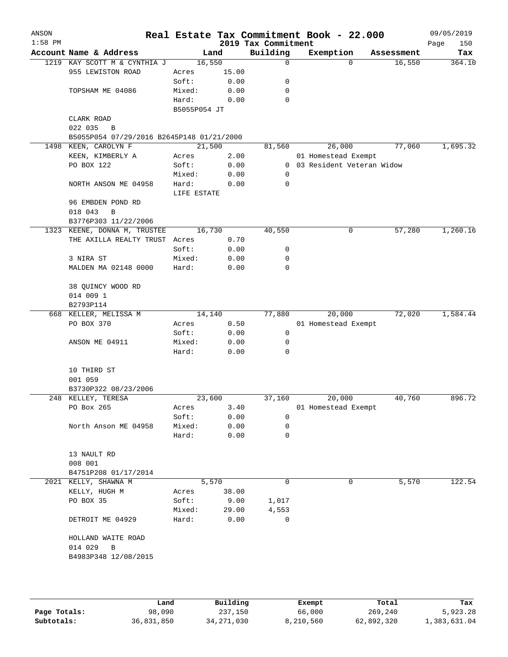| ANSON<br>$1:58$ PM |                                           |              |       | 2019 Tax Commitment | Real Estate Tax Commitment Book - 22.000 |            | 09/05/2019<br>Page<br>150 |
|--------------------|-------------------------------------------|--------------|-------|---------------------|------------------------------------------|------------|---------------------------|
|                    | Account Name & Address                    |              | Land  | Building            | Exemption                                | Assessment | Tax                       |
| 1219               | KAY SCOTT M & CYNTHIA J                   | 16,550       |       | $\mathbf 0$         | $\Omega$                                 | 16,550     | 364.10                    |
|                    | 955 LEWISTON ROAD                         | Acres        | 15.00 |                     |                                          |            |                           |
|                    |                                           | Soft:        | 0.00  | 0                   |                                          |            |                           |
|                    | TOPSHAM ME 04086                          | Mixed:       | 0.00  | 0                   |                                          |            |                           |
|                    |                                           | Hard:        | 0.00  | $\mathbf 0$         |                                          |            |                           |
|                    |                                           | B5055P054 JT |       |                     |                                          |            |                           |
|                    | CLARK ROAD                                |              |       |                     |                                          |            |                           |
|                    | 022 035<br>B                              |              |       |                     |                                          |            |                           |
|                    | B5055P054 07/29/2016 B2645P148 01/21/2000 |              |       |                     |                                          |            |                           |
| 1498               | KEEN, CAROLYN F                           | 21,500       |       | 81,560              | 26,000                                   | 77,060     | 1,695.32                  |
|                    | KEEN, KIMBERLY A                          | Acres        | 2.00  |                     | 01 Homestead Exempt                      |            |                           |
|                    | PO BOX 122                                | Soft:        | 0.00  |                     | 0 03 Resident Veteran Widow              |            |                           |
|                    |                                           | Mixed:       | 0.00  | 0                   |                                          |            |                           |
|                    | NORTH ANSON ME 04958                      | Hard:        | 0.00  | 0                   |                                          |            |                           |
|                    |                                           | LIFE ESTATE  |       |                     |                                          |            |                           |
|                    | 96 EMBDEN POND RD                         |              |       |                     |                                          |            |                           |
|                    | 018 043<br>В                              |              |       |                     |                                          |            |                           |
|                    | B3776P303 11/22/2006                      |              |       |                     |                                          |            |                           |
|                    | 1323 KEENE, DONNA M, TRUSTEE              | 16,730       |       | 40,550              | 0                                        | 57,280     | 1,260.16                  |
|                    | THE AXILLA REALTY TRUST Acres             |              | 0.70  |                     |                                          |            |                           |
|                    |                                           | Soft:        | 0.00  | 0                   |                                          |            |                           |
|                    | 3 NIRA ST                                 | Mixed:       | 0.00  | 0                   |                                          |            |                           |
|                    | MALDEN MA 02148 0000                      | Hard:        | 0.00  | 0                   |                                          |            |                           |
|                    |                                           |              |       |                     |                                          |            |                           |
|                    | 38 QUINCY WOOD RD                         |              |       |                     |                                          |            |                           |
|                    | 014 009 1<br>B2793P114                    |              |       |                     |                                          |            |                           |
|                    | 668 KELLER, MELISSA M                     | 14,140       |       | 77,880              | 20,000                                   | 72,020     | 1,584.44                  |
|                    | PO BOX 370                                | Acres        | 0.50  |                     | 01 Homestead Exempt                      |            |                           |
|                    |                                           | Soft:        | 0.00  | 0                   |                                          |            |                           |
|                    | ANSON ME 04911                            | Mixed:       | 0.00  | 0                   |                                          |            |                           |
|                    |                                           | Hard:        | 0.00  | 0                   |                                          |            |                           |
|                    |                                           |              |       |                     |                                          |            |                           |
|                    | 10 THIRD ST                               |              |       |                     |                                          |            |                           |
|                    | 001 059                                   |              |       |                     |                                          |            |                           |
|                    | B3730P322 08/23/2006                      |              |       |                     |                                          |            |                           |
|                    | 248 KELLEY, TERESA                        | 23,600       |       | 37,160              | 20,000                                   | 40,760     | 896.72                    |
|                    | PO Box 265                                | Acres        | 3.40  |                     | 01 Homestead Exempt                      |            |                           |
|                    |                                           | Soft:        | 0.00  | 0                   |                                          |            |                           |
|                    | North Anson ME 04958                      | Mixed:       | 0.00  | 0                   |                                          |            |                           |
|                    |                                           | Hard:        | 0.00  | 0                   |                                          |            |                           |
|                    |                                           |              |       |                     |                                          |            |                           |
|                    | 13 NAULT RD                               |              |       |                     |                                          |            |                           |
|                    | 008 001                                   |              |       |                     |                                          |            |                           |
|                    | B4751P208 01/17/2014                      |              |       |                     |                                          |            |                           |
|                    | 2021 KELLY, SHAWNA M                      |              | 5,570 | 0                   | 0                                        | 5,570      | 122.54                    |
|                    | KELLY, HUGH M                             | Acres        | 38.00 |                     |                                          |            |                           |
|                    | PO BOX 35                                 | Soft:        | 9.00  | 1,017               |                                          |            |                           |
|                    |                                           | Mixed:       | 29.00 | 4,553               |                                          |            |                           |
|                    | DETROIT ME 04929                          | Hard:        | 0.00  | 0                   |                                          |            |                           |
|                    |                                           |              |       |                     |                                          |            |                           |
|                    | HOLLAND WAITE ROAD                        |              |       |                     |                                          |            |                           |
|                    | 014 029<br>B                              |              |       |                     |                                          |            |                           |
|                    | B4983P348 12/08/2015                      |              |       |                     |                                          |            |                           |
|                    |                                           |              |       |                     |                                          |            |                           |
|                    |                                           |              |       |                     |                                          |            |                           |
|                    |                                           |              |       |                     |                                          |            |                           |

|              | Land       | Building     | Exempt    | Total      | Tax          |
|--------------|------------|--------------|-----------|------------|--------------|
| Page Totals: | 98,090     | 237,150      | 66,000    | 269,240    | 5,923.28     |
| Subtotals:   | 36,831,850 | 34, 271, 030 | 8,210,560 | 62,892,320 | 1,383,631.04 |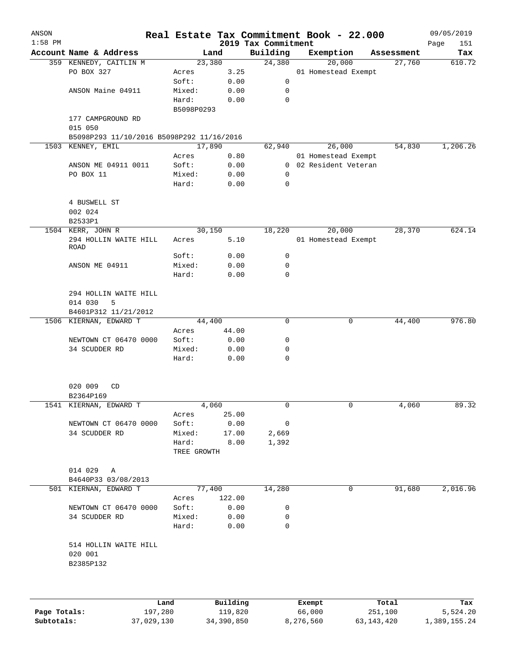| ANSON     |                                               |             |          |                                 | Real Estate Tax Commitment Book - 22.000 |   |            | 09/05/2019         |
|-----------|-----------------------------------------------|-------------|----------|---------------------------------|------------------------------------------|---|------------|--------------------|
| $1:58$ PM | Account Name & Address                        | Land        |          | 2019 Tax Commitment<br>Building | Exemption                                |   | Assessment | Page<br>151<br>Tax |
|           | 359 KENNEDY, CAITLIN M                        | 23,380      |          | 24,380                          | 20,000                                   |   | 27,760     | 610.72             |
|           | PO BOX 327                                    | Acres       | 3.25     |                                 | 01 Homestead Exempt                      |   |            |                    |
|           |                                               | Soft:       | 0.00     | 0                               |                                          |   |            |                    |
|           | ANSON Maine 04911                             | Mixed:      | 0.00     | 0                               |                                          |   |            |                    |
|           |                                               | Hard:       | 0.00     | $\mathbf 0$                     |                                          |   |            |                    |
|           |                                               | B5098P0293  |          |                                 |                                          |   |            |                    |
|           | 177 CAMPGROUND RD<br>015 050                  |             |          |                                 |                                          |   |            |                    |
|           | B5098P293 11/10/2016 B5098P292 11/16/2016     |             |          |                                 |                                          |   |            |                    |
|           | 1503 KENNEY, EMIL                             | 17,890      |          | 62,940                          | 26,000                                   |   | 54,830     | 1,206.26           |
|           |                                               | Acres       | 0.80     |                                 | 01 Homestead Exempt                      |   |            |                    |
|           | ANSON ME 04911 0011                           | Soft:       | 0.00     |                                 | 0 02 Resident Veteran                    |   |            |                    |
|           | PO BOX 11                                     | Mixed:      | 0.00     | 0                               |                                          |   |            |                    |
|           |                                               | Hard:       | 0.00     | 0                               |                                          |   |            |                    |
|           | 4 BUSWELL ST<br>002 024                       |             |          |                                 |                                          |   |            |                    |
|           | B2533P1                                       |             |          |                                 |                                          |   |            |                    |
|           | 1504 KERR, JOHN R<br>294 HOLLIN WAITE HILL    | 30,150      | 5.10     | 18,220                          | 20,000<br>01 Homestead Exempt            |   | 28,370     | 624.14             |
|           | <b>ROAD</b>                                   | Acres       |          |                                 |                                          |   |            |                    |
|           |                                               | Soft:       | 0.00     | 0                               |                                          |   |            |                    |
|           | ANSON ME 04911                                | Mixed:      | 0.00     | 0                               |                                          |   |            |                    |
|           |                                               | Hard:       | 0.00     | 0                               |                                          |   |            |                    |
|           |                                               |             |          |                                 |                                          |   |            |                    |
|           | 294 HOLLIN WAITE HILL                         |             |          |                                 |                                          |   |            |                    |
|           | 5<br>014 030<br>B4601P312 11/21/2012          |             |          |                                 |                                          |   |            |                    |
|           | 1506 KIERNAN, EDWARD T                        | 44,400      |          | $\mathbf 0$                     |                                          | 0 | 44,400     | 976.80             |
|           |                                               | Acres       | 44.00    |                                 |                                          |   |            |                    |
|           | NEWTOWN CT 06470 0000                         | Soft:       | 0.00     | 0                               |                                          |   |            |                    |
|           | 34 SCUDDER RD                                 | Mixed:      | 0.00     | 0                               |                                          |   |            |                    |
|           |                                               | Hard:       | 0.00     | 0                               |                                          |   |            |                    |
|           | 020 009<br>CD                                 |             |          |                                 |                                          |   |            |                    |
|           | B2364P169                                     |             |          |                                 |                                          |   |            |                    |
|           | 1541 KIERNAN, EDWARD T                        | 4,060       |          | 0                               |                                          | 0 | 4,060      | 89.32              |
|           |                                               | Acres       | 25.00    |                                 |                                          |   |            |                    |
|           | NEWTOWN CT 06470 0000                         | Soft:       | 0.00     | 0                               |                                          |   |            |                    |
|           | 34 SCUDDER RD                                 | Mixed:      | 17.00    | 2,669                           |                                          |   |            |                    |
|           |                                               | Hard:       | 8.00     | 1,392                           |                                          |   |            |                    |
|           |                                               | TREE GROWTH |          |                                 |                                          |   |            |                    |
|           | 014 029<br>Α                                  |             |          |                                 |                                          |   |            |                    |
|           | B4640P33 03/08/2013                           |             |          |                                 |                                          |   |            |                    |
|           | 501 KIERNAN, EDWARD T                         | 77,400      |          | 14,280                          |                                          | 0 | 91,680     | 2,016.96           |
|           |                                               | Acres       | 122.00   |                                 |                                          |   |            |                    |
|           | NEWTOWN CT 06470 0000                         | Soft:       | 0.00     | 0                               |                                          |   |            |                    |
|           | 34 SCUDDER RD                                 | Mixed:      | 0.00     | 0                               |                                          |   |            |                    |
|           |                                               | Hard:       | 0.00     | $\mathbf 0$                     |                                          |   |            |                    |
|           | 514 HOLLIN WAITE HILL<br>020 001<br>B2385P132 |             |          |                                 |                                          |   |            |                    |
|           |                                               |             |          |                                 |                                          |   |            |                    |
|           | Land                                          |             | Building |                                 | Exempt                                   |   | Total      | Tax                |

**Page Totals:** 197,280 119,820 66,000 251,100 5,524.20 **Subtotals:** 37,029,130 34,390,850 8,276,560 63,143,420 1,389,155.24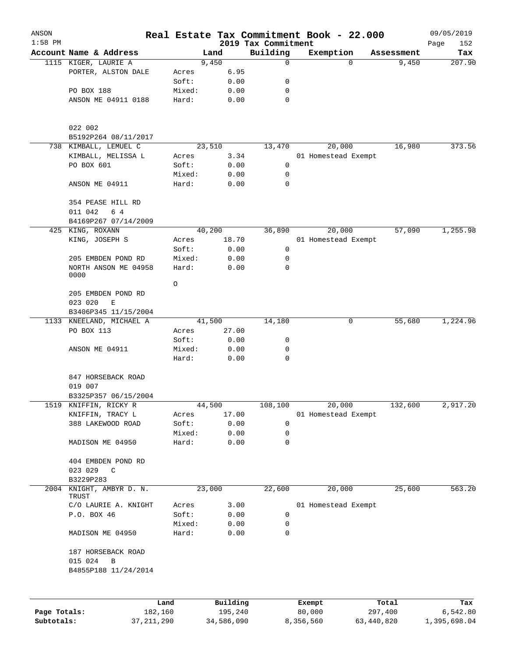| ANSON<br>$1:58$ PM |                                               |         |          |                                 | Real Estate Tax Commitment Book - 22.000 |            | 09/05/2019         |
|--------------------|-----------------------------------------------|---------|----------|---------------------------------|------------------------------------------|------------|--------------------|
|                    | Account Name & Address                        |         | Land     | 2019 Tax Commitment<br>Building | Exemption                                | Assessment | Page<br>152<br>Tax |
|                    | 1115 KIGER, LAURIE A                          |         | 9,450    | $\mathbf 0$                     | $\Omega$                                 | 9,450      | 207.90             |
|                    | PORTER, ALSTON DALE                           | Acres   | 6.95     |                                 |                                          |            |                    |
|                    |                                               | Soft:   | 0.00     | 0                               |                                          |            |                    |
|                    | PO BOX 188                                    | Mixed:  | 0.00     | 0                               |                                          |            |                    |
|                    | ANSON ME 04911 0188                           | Hard:   | 0.00     | $\mathbf 0$                     |                                          |            |                    |
|                    | 022 002                                       |         |          |                                 |                                          |            |                    |
|                    | B5192P264 08/11/2017<br>738 KIMBALL, LEMUEL C |         | 23,510   | 13,470                          | 20,000                                   | 16,980     | 373.56             |
|                    | KIMBALL, MELISSA L                            | Acres   | 3.34     |                                 | 01 Homestead Exempt                      |            |                    |
|                    | PO BOX 601                                    | Soft:   | 0.00     | 0                               |                                          |            |                    |
|                    |                                               | Mixed:  | 0.00     | 0                               |                                          |            |                    |
|                    | ANSON ME 04911                                | Hard:   | 0.00     | $\mathbf 0$                     |                                          |            |                    |
|                    | 354 PEASE HILL RD<br>011 042<br>6 4           |         |          |                                 |                                          |            |                    |
|                    | B4169P267 07/14/2009                          |         |          |                                 |                                          |            |                    |
|                    | 425 KING, ROXANN                              |         | 40,200   | 36,890                          | 20,000                                   | 57,090     | 1,255.98           |
|                    | KING, JOSEPH S                                | Acres   | 18.70    |                                 | 01 Homestead Exempt                      |            |                    |
|                    |                                               | Soft:   | 0.00     | 0                               |                                          |            |                    |
|                    | 205 EMBDEN POND RD                            | Mixed:  | 0.00     | 0                               |                                          |            |                    |
|                    | NORTH ANSON ME 04958<br>0000                  | Hard:   | 0.00     | 0                               |                                          |            |                    |
|                    |                                               | $\circ$ |          |                                 |                                          |            |                    |
|                    | 205 EMBDEN POND RD<br>023 020<br>Ε            |         |          |                                 |                                          |            |                    |
|                    | B3406P345 11/15/2004                          |         |          |                                 |                                          |            |                    |
| 1133               | KNEELAND, MICHAEL A                           |         | 41,500   | 14,180                          | 0                                        | 55,680     | 1,224.96           |
|                    | PO BOX 113                                    | Acres   | 27.00    |                                 |                                          |            |                    |
|                    |                                               | Soft:   | 0.00     | 0                               |                                          |            |                    |
|                    | ANSON ME 04911                                | Mixed:  | 0.00     | 0                               |                                          |            |                    |
|                    |                                               | Hard:   | 0.00     | $\mathbf 0$                     |                                          |            |                    |
|                    | 847 HORSEBACK ROAD<br>019 007                 |         |          |                                 |                                          |            |                    |
|                    | B3325P357 06/15/2004                          |         |          |                                 |                                          |            |                    |
| 1519               | KNIFFIN, RICKY R                              |         | 44,500   | 108,100                         | 20,000                                   | 132,600    | 2,917.20           |
|                    | KNIFFIN, TRACY L                              | Acres   | 17.00    |                                 | 01 Homestead Exempt                      |            |                    |
|                    | 388 LAKEWOOD ROAD                             | Soft:   | 0.00     | 0                               |                                          |            |                    |
|                    |                                               | Mixed:  | 0.00     | 0                               |                                          |            |                    |
|                    | MADISON ME 04950                              | Hard:   | 0.00     | 0                               |                                          |            |                    |
|                    | 404 EMBDEN POND RD                            |         |          |                                 |                                          |            |                    |
|                    | 023 029<br>$\mathbb{C}$                       |         |          |                                 |                                          |            |                    |
|                    | B3229P283                                     |         |          | 22,600                          |                                          |            | 563.20             |
| 2004               | KNIGHT, AMBYR D. N.<br>TRUST                  |         | 23,000   |                                 | 20,000                                   | 25,600     |                    |
|                    | C/O LAURIE A. KNIGHT                          | Acres   | 3.00     |                                 | 01 Homestead Exempt                      |            |                    |
|                    | P.O. BOX 46                                   | Soft:   | 0.00     | 0                               |                                          |            |                    |
|                    |                                               | Mixed:  | 0.00     | 0                               |                                          |            |                    |
|                    | MADISON ME 04950                              | Hard:   | 0.00     | 0                               |                                          |            |                    |
|                    | 187 HORSEBACK ROAD                            |         |          |                                 |                                          |            |                    |
|                    | 015 024<br>B<br>B4855P188 11/24/2014          |         |          |                                 |                                          |            |                    |
|                    |                                               |         |          |                                 |                                          |            |                    |
|                    | Land                                          |         | Building |                                 | Exempt                                   | Total      | Tax                |
| Page Totals:       | 182,160                                       |         | 195,240  |                                 | 80,000                                   | 297,400    | 6,542.80           |

**Subtotals:** 37,211,290 34,586,090 8,356,560 63,440,820 1,395,698.04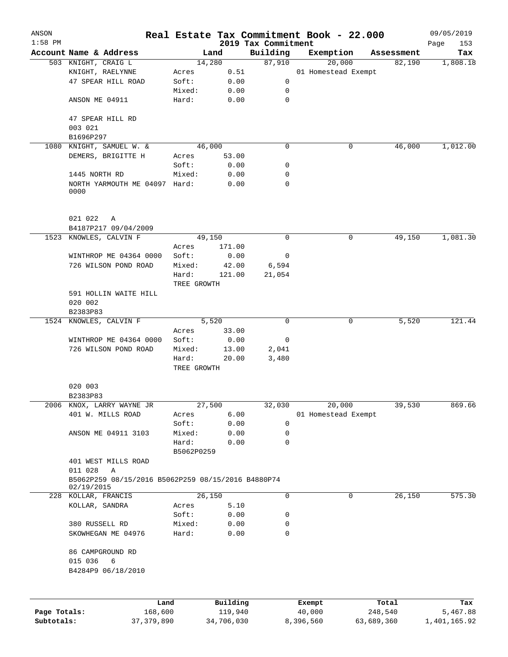| ANSON        |                                                                  |              |             |                |                     | Real Estate Tax Commitment Book - 22.000 |            | 09/05/2019      |
|--------------|------------------------------------------------------------------|--------------|-------------|----------------|---------------------|------------------------------------------|------------|-----------------|
| $1:58$ PM    |                                                                  |              |             |                | 2019 Tax Commitment |                                          |            | Page<br>153     |
|              | Account Name & Address                                           |              |             | Land           | Building            | Exemption                                | Assessment | Tax<br>1,808.18 |
|              | 503 KNIGHT, CRAIG L<br>KNIGHT, RAELYNNE                          |              | Acres       | 14,280<br>0.51 | 87,910              | 20,000<br>01 Homestead Exempt            | 82,190     |                 |
|              | 47 SPEAR HILL ROAD                                               |              | Soft:       | 0.00           | 0                   |                                          |            |                 |
|              |                                                                  |              | Mixed:      | 0.00           | 0                   |                                          |            |                 |
|              | ANSON ME 04911                                                   |              | Hard:       | 0.00           | 0                   |                                          |            |                 |
|              |                                                                  |              |             |                |                     |                                          |            |                 |
|              | 47 SPEAR HILL RD                                                 |              |             |                |                     |                                          |            |                 |
|              | 003 021                                                          |              |             |                |                     |                                          |            |                 |
|              | B1696P297                                                        |              |             |                |                     |                                          |            |                 |
| 1080         | KNIGHT, SAMUEL W. &                                              |              |             | 46,000         | 0                   | 0                                        | 46,000     | 1,012.00        |
|              | DEMERS, BRIGITTE H                                               |              | Acres       | 53.00          |                     |                                          |            |                 |
|              |                                                                  |              | Soft:       | 0.00           | 0                   |                                          |            |                 |
|              | 1445 NORTH RD                                                    |              | Mixed:      | 0.00           | 0                   |                                          |            |                 |
|              | NORTH YARMOUTH ME 04097 Hard:                                    |              |             | 0.00           | $\Omega$            |                                          |            |                 |
|              | 0000                                                             |              |             |                |                     |                                          |            |                 |
|              | 021 022<br>Α                                                     |              |             |                |                     |                                          |            |                 |
|              | B4187P217 09/04/2009                                             |              |             |                |                     |                                          |            |                 |
|              | 1523 KNOWLES, CALVIN F                                           |              |             | 49,150         | $\mathbf 0$         | 0                                        | 49,150     | 1,081.30        |
|              |                                                                  |              | Acres       | 171.00         |                     |                                          |            |                 |
|              | WINTHROP ME 04364 0000                                           |              | Soft:       | 0.00           | 0                   |                                          |            |                 |
|              | 726 WILSON POND ROAD                                             |              | Mixed:      | 42.00          | 6,594               |                                          |            |                 |
|              |                                                                  |              | Hard:       | 121.00         | 21,054              |                                          |            |                 |
|              |                                                                  |              | TREE GROWTH |                |                     |                                          |            |                 |
|              | 591 HOLLIN WAITE HILL                                            |              |             |                |                     |                                          |            |                 |
|              | 020 002                                                          |              |             |                |                     |                                          |            |                 |
|              | B2383P83                                                         |              |             |                |                     |                                          |            |                 |
| 1524         | KNOWLES, CALVIN F                                                |              |             | 5,520          | 0                   | 0                                        | 5,520      | 121.44          |
|              |                                                                  |              | Acres       | 33.00          |                     |                                          |            |                 |
|              | WINTHROP ME 04364 0000                                           |              | Soft:       | 0.00           | 0                   |                                          |            |                 |
|              | 726 WILSON POND ROAD                                             |              | Mixed:      | 13.00          | 2,041               |                                          |            |                 |
|              |                                                                  |              | Hard:       | 20.00          | 3,480               |                                          |            |                 |
|              |                                                                  |              | TREE GROWTH |                |                     |                                          |            |                 |
|              | 020 003<br>B2383P83                                              |              |             |                |                     |                                          |            |                 |
|              | 2006 KNOX, LARRY WAYNE JR                                        |              |             |                |                     |                                          |            |                 |
|              | 401 W. MILLS ROAD                                                |              | Acres       | 27,500<br>6.00 | 32,030              | 20,000<br>01 Homestead Exempt            | 39,530     | 869.66          |
|              |                                                                  |              | Soft:       | 0.00           | 0                   |                                          |            |                 |
|              | ANSON ME 04911 3103                                              |              | Mixed:      | 0.00           | 0                   |                                          |            |                 |
|              |                                                                  |              | Hard:       | 0.00           | 0                   |                                          |            |                 |
|              |                                                                  |              | B5062P0259  |                |                     |                                          |            |                 |
|              | 401 WEST MILLS ROAD                                              |              |             |                |                     |                                          |            |                 |
|              | 011 028<br>Α                                                     |              |             |                |                     |                                          |            |                 |
|              | B5062P259 08/15/2016 B5062P259 08/15/2016 B4880P74<br>02/19/2015 |              |             |                |                     |                                          |            |                 |
|              | 228 KOLLAR, FRANCIS                                              |              |             | 26,150         | 0                   | 0                                        | 26,150     | 575.30          |
|              | KOLLAR, SANDRA                                                   |              | Acres       | 5.10           |                     |                                          |            |                 |
|              |                                                                  |              | Soft:       | 0.00           | 0                   |                                          |            |                 |
|              | 380 RUSSELL RD                                                   |              | Mixed:      | 0.00           | 0                   |                                          |            |                 |
|              | SKOWHEGAN ME 04976                                               |              | Hard:       | 0.00           | 0                   |                                          |            |                 |
|              | 86 CAMPGROUND RD                                                 |              |             |                |                     |                                          |            |                 |
|              | 015 036<br>6<br>B4284P9 06/18/2010                               |              |             |                |                     |                                          |            |                 |
|              |                                                                  |              |             |                |                     |                                          |            |                 |
|              |                                                                  | Land         |             | Building       |                     | Exempt                                   | Total      | Tax             |
| Page Totals: |                                                                  | 168,600      |             | 119,940        |                     | 40,000                                   | 248,540    | 5,467.88        |
| Subtotals:   |                                                                  | 37, 379, 890 |             | 34,706,030     |                     | 8,396,560                                | 63,689,360 | 1,401,165.92    |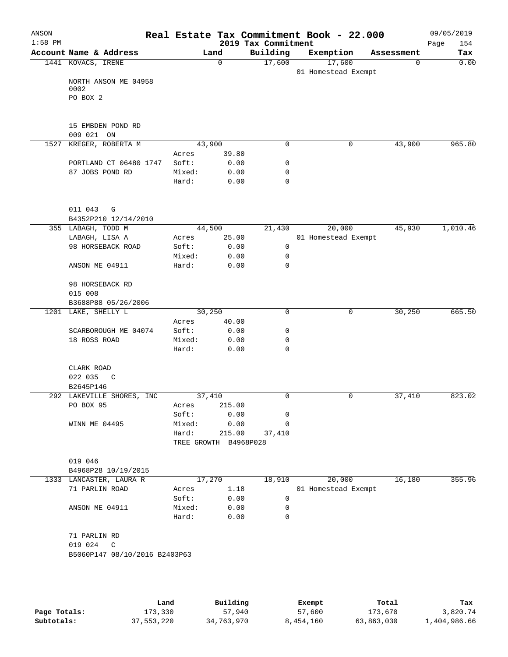| ANSON<br>$1:58$ PM |                                      |                 |                       | 2019 Tax Commitment | Real Estate Tax Commitment Book - 22.000 |             |            | 09/05/2019<br>154<br>Page |
|--------------------|--------------------------------------|-----------------|-----------------------|---------------------|------------------------------------------|-------------|------------|---------------------------|
|                    | Account Name & Address               |                 | Land                  | Building            | Exemption                                |             | Assessment | Tax                       |
|                    | 1441 KOVACS, IRENE                   |                 | $\mathbf 0$           | 17,600              | 17,600                                   |             | 0          | 0.00                      |
|                    |                                      |                 |                       |                     | 01 Homestead Exempt                      |             |            |                           |
|                    | NORTH ANSON ME 04958<br>0002         |                 |                       |                     |                                          |             |            |                           |
|                    | PO BOX 2                             |                 |                       |                     |                                          |             |            |                           |
|                    |                                      |                 |                       |                     |                                          |             |            |                           |
|                    |                                      |                 |                       |                     |                                          |             |            |                           |
|                    | 15 EMBDEN POND RD                    |                 |                       |                     |                                          |             |            |                           |
|                    | 009 021 ON                           |                 |                       |                     |                                          |             |            |                           |
|                    | 1527 KREGER, ROBERTA M               | Acres           | 43,900<br>39.80       | 0                   |                                          | $\mathbf 0$ | 43,900     | 965.80                    |
|                    | PORTLAND CT 06480 1747               | Soft:           | 0.00                  | 0                   |                                          |             |            |                           |
|                    | 87 JOBS POND RD                      | Mixed:          | 0.00                  | $\mathbf 0$         |                                          |             |            |                           |
|                    |                                      | Hard:           | 0.00                  | $\mathbf 0$         |                                          |             |            |                           |
|                    |                                      |                 |                       |                     |                                          |             |            |                           |
|                    |                                      |                 |                       |                     |                                          |             |            |                           |
|                    | 011 043<br>G                         |                 |                       |                     |                                          |             |            |                           |
|                    | B4352P210 12/14/2010                 |                 |                       |                     |                                          |             |            |                           |
|                    | 355 LABAGH, TODD M<br>LABAGH, LISA A |                 | 44,500<br>25.00       | 21,430              | 20,000                                   |             | 45,930     | 1,010.46                  |
|                    | 98 HORSEBACK ROAD                    | Acres<br>Soft:  | 0.00                  | 0                   | 01 Homestead Exempt                      |             |            |                           |
|                    |                                      | Mixed:          | 0.00                  | 0                   |                                          |             |            |                           |
|                    | ANSON ME 04911                       | Hard:           | 0.00                  | 0                   |                                          |             |            |                           |
|                    |                                      |                 |                       |                     |                                          |             |            |                           |
|                    | 98 HORSEBACK RD                      |                 |                       |                     |                                          |             |            |                           |
|                    | 015 008                              |                 |                       |                     |                                          |             |            |                           |
|                    | B3688P88 05/26/2006                  |                 |                       |                     |                                          |             |            |                           |
|                    | 1201 LAKE, SHELLY L                  |                 | 30,250                | $\mathbf 0$         |                                          | 0           | 30,250     | 665.50                    |
|                    | SCARBOROUGH ME 04074                 | Acres<br>Soft:  | 40.00<br>0.00         | 0                   |                                          |             |            |                           |
|                    | 18 ROSS ROAD                         | Mixed:          | 0.00                  | 0                   |                                          |             |            |                           |
|                    |                                      | Hard:           | 0.00                  | $\mathbf 0$         |                                          |             |            |                           |
|                    |                                      |                 |                       |                     |                                          |             |            |                           |
|                    | CLARK ROAD                           |                 |                       |                     |                                          |             |            |                           |
|                    | 022 035<br>C                         |                 |                       |                     |                                          |             |            |                           |
|                    | B2645P146                            |                 |                       |                     |                                          |             |            |                           |
|                    | 292 LAKEVILLE SHORES, INC            |                 | 37,410                | 0                   |                                          | 0           | 37,410     | 823.02                    |
|                    | PO BOX 95                            | Acres           | 215.00                |                     |                                          |             |            |                           |
|                    | WINN ME 04495                        | Soft:<br>Mixed: | 0.00<br>0.00          | 0<br>0              |                                          |             |            |                           |
|                    |                                      | Hard:           | 215.00                | 37,410              |                                          |             |            |                           |
|                    |                                      |                 | TREE GROWTH B4968P028 |                     |                                          |             |            |                           |
|                    |                                      |                 |                       |                     |                                          |             |            |                           |
|                    | 019 046                              |                 |                       |                     |                                          |             |            |                           |
|                    | B4968P28 10/19/2015                  |                 |                       |                     |                                          |             |            |                           |
|                    | 1333 LANCASTER, LAURA R              |                 | 17,270                | 18,910              | 20,000                                   |             | 16,180     | 355.96                    |
|                    | 71 PARLIN ROAD                       | Acres           | 1.18                  |                     | 01 Homestead Exempt                      |             |            |                           |
|                    |                                      | Soft:           | 0.00                  | 0                   |                                          |             |            |                           |
|                    | ANSON ME 04911                       | Mixed:<br>Hard: | 0.00<br>0.00          | 0<br>0              |                                          |             |            |                           |
|                    |                                      |                 |                       |                     |                                          |             |            |                           |
|                    | 71 PARLIN RD                         |                 |                       |                     |                                          |             |            |                           |
|                    | 019 024<br>C                         |                 |                       |                     |                                          |             |            |                           |
|                    | B5060P147 08/10/2016 B2403P63        |                 |                       |                     |                                          |             |            |                           |
|                    |                                      |                 |                       |                     |                                          |             |            |                           |
|                    |                                      |                 |                       |                     |                                          |             |            |                           |
|                    |                                      |                 |                       |                     |                                          |             |            |                           |
|                    |                                      |                 |                       |                     |                                          |             |            |                           |

|              | Land       | Building   | Exempt    | Total      | Tax          |
|--------------|------------|------------|-----------|------------|--------------|
| Page Totals: | 173,330    | 57,940     | 57,600    | 173,670    | 3,820.74     |
| Subtotals:   | 37,553,220 | 34,763,970 | 8,454,160 | 63,863,030 | 1,404,986.66 |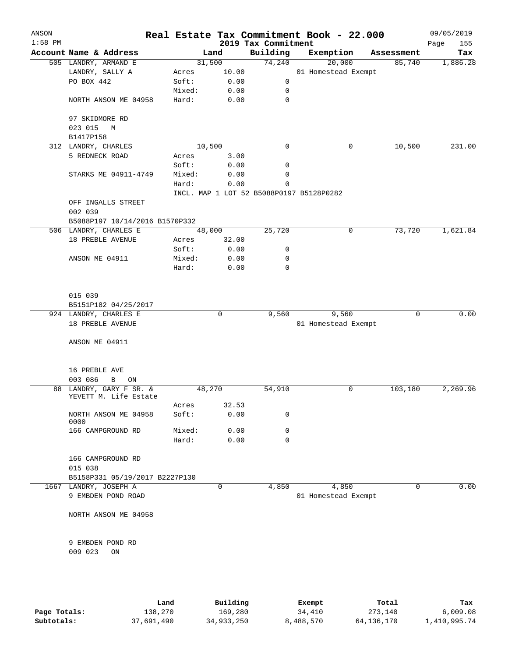| ANSON<br>$1:58$ PM |                                |        |        | 2019 Tax Commitment | Real Estate Tax Commitment Book - 22.000 |            | 09/05/2019<br>Page<br>155 |
|--------------------|--------------------------------|--------|--------|---------------------|------------------------------------------|------------|---------------------------|
|                    | Account Name & Address         |        | Land   | Building            | Exemption                                | Assessment | Tax                       |
|                    | 505 LANDRY, ARMAND E           |        | 31,500 | 74,240              | 20,000                                   | 85,740     | 1,886.28                  |
|                    | LANDRY, SALLY A                | Acres  | 10.00  |                     | 01 Homestead Exempt                      |            |                           |
|                    | PO BOX 442                     | Soft:  | 0.00   | 0                   |                                          |            |                           |
|                    |                                | Mixed: | 0.00   | 0                   |                                          |            |                           |
|                    | NORTH ANSON ME 04958           | Hard:  | 0.00   | $\mathbf 0$         |                                          |            |                           |
|                    | 97 SKIDMORE RD                 |        |        |                     |                                          |            |                           |
|                    | 023 015 M                      |        |        |                     |                                          |            |                           |
|                    | B1417P158                      |        |        |                     |                                          |            |                           |
|                    | 312 LANDRY, CHARLES            |        | 10,500 | $\mathbf 0$         | 0                                        | 10,500     | 231.00                    |
|                    | 5 REDNECK ROAD                 | Acres  | 3.00   |                     |                                          |            |                           |
|                    |                                | Soft:  | 0.00   | 0                   |                                          |            |                           |
|                    | STARKS ME 04911-4749           | Mixed: | 0.00   | 0                   |                                          |            |                           |
|                    |                                | Hard:  | 0.00   | 0                   |                                          |            |                           |
|                    | OFF INGALLS STREET             |        |        |                     | INCL. MAP 1 LOT 52 B5088P0197 B5128P0282 |            |                           |
|                    | 002 039                        |        |        |                     |                                          |            |                           |
|                    | B5088P197 10/14/2016 B1570P332 |        |        |                     |                                          |            |                           |
|                    | 506 LANDRY, CHARLES E          |        | 48,000 | 25,720              | 0                                        | 73,720     | 1,621.84                  |
|                    | 18 PREBLE AVENUE               | Acres  | 32.00  |                     |                                          |            |                           |
|                    |                                | Soft:  | 0.00   | 0                   |                                          |            |                           |
|                    | ANSON ME 04911                 | Mixed: | 0.00   | 0                   |                                          |            |                           |
|                    |                                | Hard:  | 0.00   | $\mathbf 0$         |                                          |            |                           |
|                    | 015 039                        |        |        |                     |                                          |            |                           |
|                    | B5151P182 04/25/2017           |        |        |                     |                                          |            |                           |
|                    | 924 LANDRY, CHARLES E          |        | 0      | 9,560               | 9,560                                    | 0          | 0.00                      |
|                    | 18 PREBLE AVENUE               |        |        |                     | 01 Homestead Exempt                      |            |                           |
|                    | ANSON ME 04911                 |        |        |                     |                                          |            |                           |
|                    | 16 PREBLE AVE                  |        |        |                     |                                          |            |                           |
|                    | 003 086<br>ON                  |        |        |                     |                                          |            |                           |
|                    | B<br>88 LANDRY, GARY F SR. &   |        | 48,270 | 54,910              | 0                                        | 103,180    | 2,269.96                  |
|                    | YEVETT M. Life Estate          |        |        |                     |                                          |            |                           |
|                    |                                | Acres  | 32.53  |                     |                                          |            |                           |
|                    | NORTH ANSON ME 04958<br>0000   | Soft:  | 0.00   | 0                   |                                          |            |                           |
|                    | 166 CAMPGROUND RD              | Mixed: | 0.00   | 0                   |                                          |            |                           |
|                    |                                | Hard:  | 0.00   | $\Omega$            |                                          |            |                           |
|                    | 166 CAMPGROUND RD              |        |        |                     |                                          |            |                           |
|                    | 015 038                        |        |        |                     |                                          |            |                           |
|                    | B5158P331 05/19/2017 B2227P130 |        |        |                     |                                          |            |                           |
|                    | 1667 LANDRY, JOSEPH A          |        | 0      | 4,850               | 4,850                                    | $\Omega$   | 0.00                      |
|                    | 9 EMBDEN POND ROAD             |        |        |                     | 01 Homestead Exempt                      |            |                           |
|                    | NORTH ANSON ME 04958           |        |        |                     |                                          |            |                           |
|                    | 9 EMBDEN POND RD               |        |        |                     |                                          |            |                           |
|                    | 009 023<br>ON                  |        |        |                     |                                          |            |                           |
|                    |                                |        |        |                     |                                          |            |                           |

|              | Land       | Building   | Exempt    | Total        | Tax          |
|--------------|------------|------------|-----------|--------------|--------------|
| Page Totals: | 138,270    | 169,280    | 34,410    | 273,140      | 6,009.08     |
| Subtotals:   | 37,691,490 | 34,933,250 | 8,488,570 | 64, 136, 170 | 1,410,995.74 |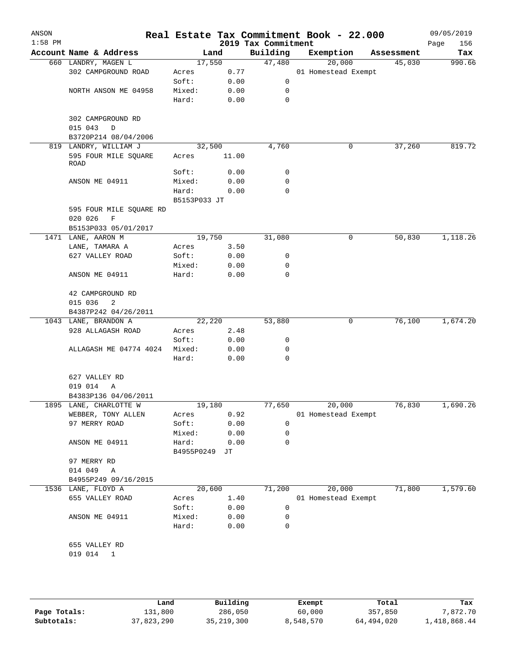| ANSON<br>$1:58$ PM |                                     |                     |            | 2019 Tax Commitment | Real Estate Tax Commitment Book - 22.000 |            | 09/05/2019<br>Page<br>156 |
|--------------------|-------------------------------------|---------------------|------------|---------------------|------------------------------------------|------------|---------------------------|
|                    | Account Name & Address              |                     | Land       | Building            | Exemption                                | Assessment | Tax                       |
|                    | 660 LANDRY, MAGEN L                 |                     | 17,550     | 47,480              | 20,000                                   | 45,030     | 990.66                    |
|                    | 302 CAMPGROUND ROAD                 | Acres               | 0.77       |                     | 01 Homestead Exempt                      |            |                           |
|                    |                                     | Soft:               | 0.00       | 0                   |                                          |            |                           |
|                    | NORTH ANSON ME 04958                | Mixed:              | 0.00       | 0                   |                                          |            |                           |
|                    |                                     | Hard:               | 0.00       | 0                   |                                          |            |                           |
|                    | 302 CAMPGROUND RD                   |                     |            |                     |                                          |            |                           |
|                    | 015 043<br>D                        |                     |            |                     |                                          |            |                           |
|                    | B3720P214 08/04/2006                |                     |            |                     |                                          |            |                           |
|                    | 819 LANDRY, WILLIAM J               |                     | 32,500     | 4,760               | 0                                        | 37,260     | 819.72                    |
|                    | 595 FOUR MILE SQUARE<br><b>ROAD</b> | Acres               | 11.00      |                     |                                          |            |                           |
|                    |                                     | Soft:               | 0.00       | 0                   |                                          |            |                           |
|                    | ANSON ME 04911                      | Mixed:              | 0.00       | 0                   |                                          |            |                           |
|                    |                                     | Hard:               | 0.00       | 0                   |                                          |            |                           |
|                    |                                     | B5153P033 JT        |            |                     |                                          |            |                           |
|                    | 595 FOUR MILE SQUARE RD             |                     |            |                     |                                          |            |                           |
|                    | 020 026<br>$\mathbf F$              |                     |            |                     |                                          |            |                           |
|                    | B5153P033 05/01/2017                |                     |            |                     |                                          |            |                           |
|                    | 1471 LANE, AARON M                  |                     | 19,750     | 31,080              | 0                                        | 50,830     | 1,118.26                  |
|                    | LANE, TAMARA A                      | Acres               | 3.50       |                     |                                          |            |                           |
|                    | 627 VALLEY ROAD                     | Soft:               | 0.00       | 0                   |                                          |            |                           |
|                    |                                     | Mixed:              | 0.00       | 0                   |                                          |            |                           |
|                    | ANSON ME 04911                      | Hard:               | 0.00       | 0                   |                                          |            |                           |
|                    | 42 CAMPGROUND RD                    |                     |            |                     |                                          |            |                           |
|                    | 015 036<br>2                        |                     |            |                     |                                          |            |                           |
|                    | B4387P242 04/26/2011                |                     |            |                     |                                          |            |                           |
|                    | 1043 LANE, BRANDON A                |                     | 22, 220    | 53,880              | 0                                        | 76,100     | 1,674.20                  |
|                    | 928 ALLAGASH ROAD                   | Acres               | 2.48       |                     |                                          |            |                           |
|                    |                                     | Soft:               | 0.00       | 0                   |                                          |            |                           |
|                    | ALLAGASH ME 04774 4024              | Mixed:              | 0.00       | 0                   |                                          |            |                           |
|                    |                                     | Hard:               | 0.00       | 0                   |                                          |            |                           |
|                    | 627 VALLEY RD                       |                     |            |                     |                                          |            |                           |
|                    | 019 014<br>Α                        |                     |            |                     |                                          |            |                           |
|                    | B4383P136 04/06/2011                |                     |            |                     |                                          |            |                           |
|                    | 1895 LANE, CHARLOTTE W              |                     | 19,180     | 77,650              | 20,000                                   | 76,830     | 1,690.26                  |
|                    | WEBBER, TONY ALLEN                  | Acres               | 0.92       |                     | 01 Homestead Exempt                      |            |                           |
|                    | 97 MERRY ROAD                       | Soft:               | 0.00       | 0                   |                                          |            |                           |
|                    |                                     | Mixed:              | 0.00       | 0                   |                                          |            |                           |
|                    | ANSON ME 04911                      | Hard:<br>B4955P0249 | 0.00<br>JТ | 0                   |                                          |            |                           |
|                    | 97 MERRY RD                         |                     |            |                     |                                          |            |                           |
|                    | 014 049<br>A                        |                     |            |                     |                                          |            |                           |
|                    | B4955P249 09/16/2015                |                     |            |                     |                                          |            |                           |
|                    | 1536 LANE, FLOYD A                  |                     | 20,600     | 71,200              | 20,000                                   | 71,800     | 1,579.60                  |
|                    | 655 VALLEY ROAD                     | Acres               | 1.40       |                     | 01 Homestead Exempt                      |            |                           |
|                    |                                     | Soft:               | 0.00       | 0                   |                                          |            |                           |
|                    | ANSON ME 04911                      | Mixed:              | 0.00       | 0                   |                                          |            |                           |
|                    |                                     | Hard:               | 0.00       | 0                   |                                          |            |                           |
|                    | 655 VALLEY RD                       |                     |            |                     |                                          |            |                           |
|                    | 019 014<br>$\overline{1}$           |                     |            |                     |                                          |            |                           |
|                    |                                     |                     |            |                     |                                          |            |                           |

|              | Land       | Building     | Exempt    | Total      | Tax          |
|--------------|------------|--------------|-----------|------------|--------------|
| Page Totals: | 131,800    | 286,050      | 60,000    | 357,850    | 7,872.70     |
| Subtotals:   | 37,823,290 | 35, 219, 300 | 8,548,570 | 64,494,020 | l,418,868.44 |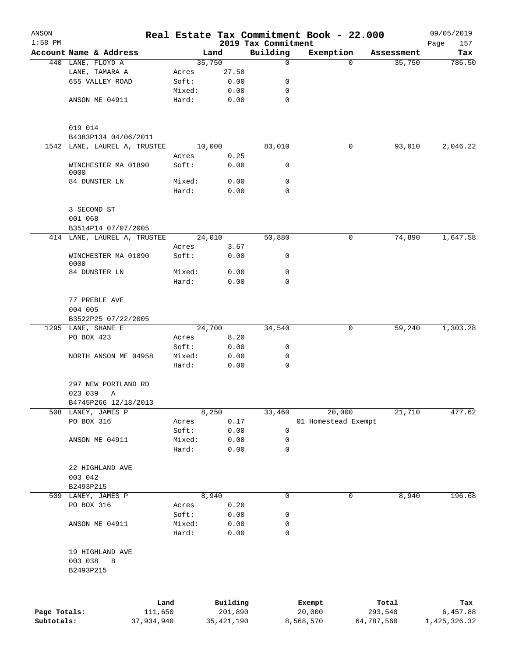| ANSON        |                                     |                 |                     |                         | Real Estate Tax Commitment Book - 22.000 |                  | 09/05/2019      |
|--------------|-------------------------------------|-----------------|---------------------|-------------------------|------------------------------------------|------------------|-----------------|
| $1:58$ PM    |                                     |                 |                     | 2019 Tax Commitment     |                                          |                  | 157<br>Page     |
|              | Account Name & Address              |                 | Land<br>35,750      | Building<br>$\mathbf 0$ | Exemption<br>$\Omega$                    | Assessment       | Tax             |
|              | 440 LANE, FLOYD A<br>LANE, TAMARA A | Acres           | 27.50               |                         |                                          | 35,750           | 786.50          |
|              | 655 VALLEY ROAD                     | Soft:           | 0.00                | 0                       |                                          |                  |                 |
|              |                                     | Mixed:          | 0.00                | 0                       |                                          |                  |                 |
|              | ANSON ME 04911                      | Hard:           | 0.00                | $\mathbf 0$             |                                          |                  |                 |
|              |                                     |                 |                     |                         |                                          |                  |                 |
|              | 019 014                             |                 |                     |                         |                                          |                  |                 |
|              | B4383P134 04/06/2011                |                 |                     |                         |                                          |                  |                 |
|              | 1542 LANE, LAUREL A, TRUSTEE        |                 | 10,000              | 83,010                  | 0                                        | 93,010           | 2,046.22        |
|              |                                     | Acres           | 0.25                |                         |                                          |                  |                 |
|              | WINCHESTER MA 01890<br>0000         | Soft:           | 0.00                | 0                       |                                          |                  |                 |
|              | 84 DUNSTER LN                       | Mixed:          | 0.00                | $\mathbf 0$             |                                          |                  |                 |
|              |                                     | Hard:           | 0.00                | $\mathbf 0$             |                                          |                  |                 |
|              | 3 SECOND ST                         |                 |                     |                         |                                          |                  |                 |
|              | 001 068                             |                 |                     |                         |                                          |                  |                 |
|              | B3514P14 07/07/2005                 |                 |                     |                         |                                          |                  |                 |
|              | 414 LANE, LAUREL A, TRUSTEE         |                 | 24,010              | 50,880                  | 0                                        | 74,890           | 1,647.58        |
|              |                                     | Acres           | 3.67                |                         |                                          |                  |                 |
|              | WINCHESTER MA 01890<br>0000         | Soft:           | 0.00                | 0                       |                                          |                  |                 |
|              | 84 DUNSTER LN                       | Mixed:          | 0.00                | $\mathbf 0$             |                                          |                  |                 |
|              |                                     | Hard:           | 0.00                | $\Omega$                |                                          |                  |                 |
|              | 77 PREBLE AVE                       |                 |                     |                         |                                          |                  |                 |
|              | 004 005                             |                 |                     |                         |                                          |                  |                 |
|              | B3522P25 07/22/2005                 |                 |                     |                         |                                          |                  |                 |
|              | 1295 LANE, SHANE E                  |                 | 24,700              | 34,540                  | 0                                        | 59,240           | 1,303.28        |
|              | PO BOX 423                          | Acres           | 8.20                |                         |                                          |                  |                 |
|              |                                     | Soft:           | 0.00                | 0                       |                                          |                  |                 |
|              | NORTH ANSON ME 04958                | Mixed:          | 0.00                | 0                       |                                          |                  |                 |
|              |                                     | Hard:           | 0.00                | $\mathbf 0$             |                                          |                  |                 |
|              | 297 NEW PORTLAND RD                 |                 |                     |                         |                                          |                  |                 |
|              | 023 039<br>Α                        |                 |                     |                         |                                          |                  |                 |
|              | B4745P266 12/18/2013                |                 |                     |                         |                                          |                  |                 |
| 508          | LANEY, JAMES P                      |                 | 8,250               | 33,460                  | 20,000                                   | 21,710           | 477.62          |
|              | PO BOX 316                          | Acres           | 0.17                |                         | 01 Homestead Exempt                      |                  |                 |
|              |                                     | Soft:           | 0.00                | $\mathbf 0$             |                                          |                  |                 |
|              | ANSON ME 04911                      | Mixed:          | 0.00                | 0                       |                                          |                  |                 |
|              |                                     | Hard:           | 0.00                | 0                       |                                          |                  |                 |
|              | 22 HIGHLAND AVE                     |                 |                     |                         |                                          |                  |                 |
|              | 003 042                             |                 |                     |                         |                                          |                  |                 |
|              | B2493P215                           |                 |                     |                         |                                          |                  |                 |
| 509          | LANEY, JAMES P                      |                 | 8,940               | $\mathsf{O}$            | $\mathbf 0$                              | 8,940            | 196.68          |
|              | PO BOX 316                          | Acres           | 0.20                |                         |                                          |                  |                 |
|              |                                     | Soft:           | 0.00                | 0                       |                                          |                  |                 |
|              | ANSON ME 04911                      | Mixed:          | 0.00                | 0                       |                                          |                  |                 |
|              |                                     | Hard:           | 0.00                | 0                       |                                          |                  |                 |
|              | 19 HIGHLAND AVE                     |                 |                     |                         |                                          |                  |                 |
|              | 003 038<br>$\, {\bf B}$             |                 |                     |                         |                                          |                  |                 |
|              | B2493P215                           |                 |                     |                         |                                          |                  |                 |
|              |                                     |                 |                     |                         |                                          |                  |                 |
| Page Totals: |                                     | Land<br>111,650 | Building<br>201,890 |                         | Exempt<br>20,000                         | Total<br>293,540 | Tax<br>6,457.88 |
| Subtotals:   | 37,934,940                          |                 | 35, 421, 190        |                         | 8,568,570                                | 64,787,560       | 1,425,326.32    |
|              |                                     |                 |                     |                         |                                          |                  |                 |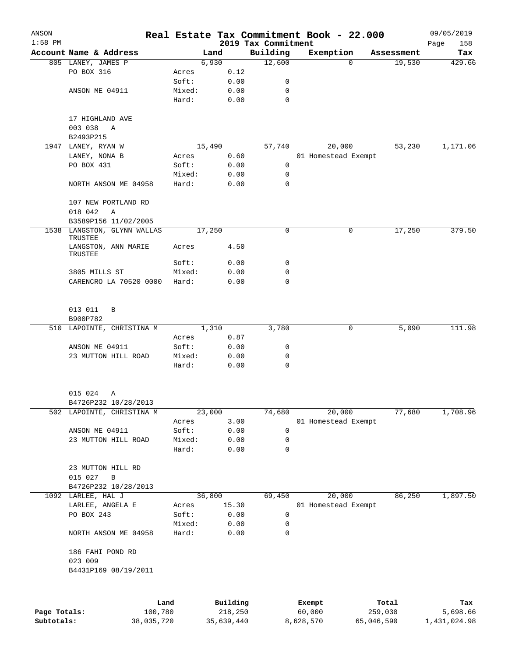| ANSON        |                                        |                 |            |                                 | Real Estate Tax Commitment Book - 22.000 |            |            | 09/05/2019         |
|--------------|----------------------------------------|-----------------|------------|---------------------------------|------------------------------------------|------------|------------|--------------------|
| $1:58$ PM    | Account Name & Address                 |                 | Land       | 2019 Tax Commitment<br>Building | Exemption                                |            | Assessment | Page<br>158<br>Tax |
|              | 805 LANEY, JAMES P                     |                 | 6,930      | 12,600                          |                                          | $\Omega$   | 19,530     | 429.66             |
|              | PO BOX 316                             | Acres           | 0.12       |                                 |                                          |            |            |                    |
|              |                                        | Soft:           | 0.00       | 0                               |                                          |            |            |                    |
|              | ANSON ME 04911                         | Mixed:          | 0.00       | 0                               |                                          |            |            |                    |
|              |                                        | Hard:           | 0.00       | 0                               |                                          |            |            |                    |
|              | 17 HIGHLAND AVE                        |                 |            |                                 |                                          |            |            |                    |
|              | 003 038 A                              |                 |            |                                 |                                          |            |            |                    |
|              | B2493P215                              |                 |            |                                 |                                          |            |            |                    |
|              | 1947 LANEY, RYAN W                     |                 | 15,490     | 57,740                          | 20,000                                   |            | 53,230     | 1,171.06           |
|              | LANEY, NONA B                          | Acres           | 0.60       |                                 | 01 Homestead Exempt                      |            |            |                    |
|              | PO BOX 431                             | Soft:           | 0.00       | 0                               |                                          |            |            |                    |
|              |                                        | Mixed:<br>Hard: | 0.00       | 0<br>0                          |                                          |            |            |                    |
|              | NORTH ANSON ME 04958                   |                 | 0.00       |                                 |                                          |            |            |                    |
|              | 107 NEW PORTLAND RD<br>018 042<br>Α    |                 |            |                                 |                                          |            |            |                    |
|              | B3589P156 11/02/2005                   |                 |            |                                 |                                          |            |            |                    |
|              | 1538 LANGSTON, GLYNN WALLAS<br>TRUSTEE |                 | 17,250     | 0                               |                                          | 0          | 17,250     | 379.50             |
|              | LANGSTON, ANN MARIE                    | Acres           | 4.50       |                                 |                                          |            |            |                    |
|              | TRUSTEE                                |                 |            |                                 |                                          |            |            |                    |
|              |                                        | Soft:           | 0.00       | 0                               |                                          |            |            |                    |
|              | 3805 MILLS ST                          | Mixed:          | 0.00       | $\mathbf 0$                     |                                          |            |            |                    |
|              | CARENCRO LA 70520 0000                 | Hard:           | 0.00       | $\mathbf 0$                     |                                          |            |            |                    |
|              | 013 011<br>B<br>B900P782               |                 |            |                                 |                                          |            |            |                    |
|              | 510 LAPOINTE, CHRISTINA M              |                 | 1,310      | 3,780                           |                                          | 0          | 5,090      | 111.98             |
|              |                                        | Acres           | 0.87       |                                 |                                          |            |            |                    |
|              | ANSON ME 04911                         | Soft:           | 0.00       | 0                               |                                          |            |            |                    |
|              | 23 MUTTON HILL ROAD                    | Mixed:          | 0.00       | 0                               |                                          |            |            |                    |
|              |                                        | Hard:           | 0.00       | $\mathbf 0$                     |                                          |            |            |                    |
|              | 015 024<br>Α                           |                 |            |                                 |                                          |            |            |                    |
|              | B4726P232 10/28/2013                   |                 |            |                                 |                                          |            |            |                    |
| 502          | LAPOINTE, CHRISTINA M                  |                 | 23,000     | 74,680                          | 20,000                                   |            | 77,680     | 1,708.96           |
|              |                                        | Acres           | 3.00       |                                 | 01 Homestead Exempt                      |            |            |                    |
|              | ANSON ME 04911                         | Soft:           | 0.00       | 0                               |                                          |            |            |                    |
|              | 23 MUTTON HILL ROAD                    | Mixed:          | 0.00       | 0                               |                                          |            |            |                    |
|              |                                        | Hard:           | 0.00       | 0                               |                                          |            |            |                    |
|              | 23 MUTTON HILL RD                      |                 |            |                                 |                                          |            |            |                    |
|              | 015 027<br>B                           |                 |            |                                 |                                          |            |            |                    |
|              | B4726P232 10/28/2013                   |                 |            |                                 |                                          |            |            |                    |
|              | 1092 LARLEE, HAL J                     |                 | 36,800     | 69,450                          | 20,000                                   |            | 86,250     | 1,897.50           |
|              | LARLEE, ANGELA E                       | Acres           | 15.30      |                                 | 01 Homestead Exempt                      |            |            |                    |
|              | PO BOX 243                             | Soft:           | 0.00       | 0                               |                                          |            |            |                    |
|              |                                        | Mixed:          | 0.00       | 0                               |                                          |            |            |                    |
|              | NORTH ANSON ME 04958                   | Hard:           | 0.00       | 0                               |                                          |            |            |                    |
|              | 186 FAHI POND RD                       |                 |            |                                 |                                          |            |            |                    |
|              | 023 009<br>B4431P169 08/19/2011        |                 |            |                                 |                                          |            |            |                    |
|              |                                        |                 |            |                                 |                                          |            |            |                    |
|              |                                        | Land            | Building   |                                 | Exempt                                   | Total      |            | Tax                |
| Page Totals: |                                        | 100,780         | 218,250    |                                 | 60,000                                   | 259,030    |            | 5,698.66           |
| Subtotals:   |                                        | 38,035,720      | 35,639,440 |                                 | 8,628,570                                | 65,046,590 |            | 1,431,024.98       |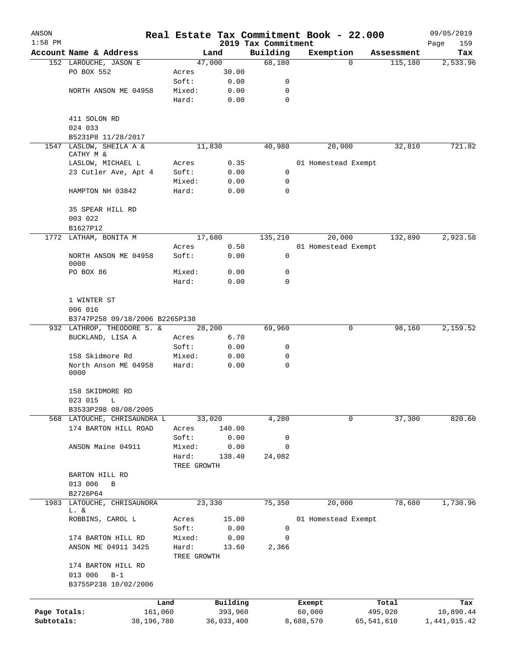| ANSON<br>$1:58$ PM |                                      |                      |                     |                                 | Real Estate Tax Commitment Book - 22.000 |                  | 09/05/2019         |
|--------------------|--------------------------------------|----------------------|---------------------|---------------------------------|------------------------------------------|------------------|--------------------|
|                    | Account Name & Address               |                      | Land                | 2019 Tax Commitment<br>Building | Exemption                                | Assessment       | Page<br>159<br>Tax |
|                    | 152 LAROUCHE, JASON E                |                      | 47,000              | 68,180                          | $\Omega$                                 | 115,180          | 2,533.96           |
|                    | PO BOX 552                           | Acres                | 30.00               |                                 |                                          |                  |                    |
|                    |                                      | Soft:                | 0.00                | 0                               |                                          |                  |                    |
|                    | NORTH ANSON ME 04958                 | Mixed:               | 0.00                | 0                               |                                          |                  |                    |
|                    |                                      | Hard:                | 0.00                | 0                               |                                          |                  |                    |
|                    | 411 SOLON RD                         |                      |                     |                                 |                                          |                  |                    |
|                    | 024 033                              |                      |                     |                                 |                                          |                  |                    |
|                    | B5231P8 11/28/2017                   |                      |                     |                                 |                                          |                  |                    |
|                    | 1547 LASLOW, SHEILA A &<br>CATHY M & |                      | 11,830              | 40,980                          | 20,000                                   | 32,810           | 721.82             |
|                    | LASLOW, MICHAEL L                    | Acres                | 0.35                |                                 | 01 Homestead Exempt                      |                  |                    |
|                    | 23 Cutler Ave, Apt 4                 | Soft:                | 0.00                | 0                               |                                          |                  |                    |
|                    |                                      | Mixed:               | 0.00                | 0                               |                                          |                  |                    |
|                    | HAMPTON NH 03842                     | Hard:                | 0.00                | 0                               |                                          |                  |                    |
|                    |                                      |                      |                     |                                 |                                          |                  |                    |
|                    | 35 SPEAR HILL RD                     |                      |                     |                                 |                                          |                  |                    |
|                    | 003 022                              |                      |                     |                                 |                                          |                  |                    |
|                    | B1627P12                             |                      |                     |                                 |                                          |                  |                    |
|                    | 1772 LATHAM, BONITA M                |                      | 17,680              | 135,210                         | 20,000                                   | 132,890          | 2,923.58           |
|                    |                                      | Acres                | 0.50                |                                 | 01 Homestead Exempt                      |                  |                    |
|                    | NORTH ANSON ME 04958<br>0000         | Soft:                | 0.00                | 0                               |                                          |                  |                    |
|                    | PO BOX 86                            | Mixed:               | 0.00                | 0                               |                                          |                  |                    |
|                    |                                      | Hard:                | 0.00                | $\mathbf 0$                     |                                          |                  |                    |
|                    |                                      |                      |                     |                                 |                                          |                  |                    |
|                    | 1 WINTER ST                          |                      |                     |                                 |                                          |                  |                    |
|                    | 006 016                              |                      |                     |                                 |                                          |                  |                    |
|                    | B3747P258 09/18/2006 B2265P138       |                      |                     |                                 |                                          |                  |                    |
|                    | 932 LATHROP, THEODORE S. &           |                      | 28,200              | 69,960                          | 0                                        | 98,160           | 2,159.52           |
|                    | BUCKLAND, LISA A                     | Acres                | 6.70                |                                 |                                          |                  |                    |
|                    |                                      | Soft:                | 0.00                | 0                               |                                          |                  |                    |
|                    | 158 Skidmore Rd                      | Mixed:               | 0.00                | 0                               |                                          |                  |                    |
|                    | North Anson ME 04958<br>0000         | Hard:                | 0.00                | $\mathbf 0$                     |                                          |                  |                    |
|                    | 158 SKIDMORE RD                      |                      |                     |                                 |                                          |                  |                    |
|                    | 023 015 L                            |                      |                     |                                 |                                          |                  |                    |
|                    | B3533P298 08/08/2005                 |                      |                     |                                 |                                          |                  |                    |
|                    | 568 LATOUCHE, CHRISAUNDRA L          |                      | 33,020              | 4,280                           | 0                                        | 37,300           | 820.60             |
|                    | 174 BARTON HILL ROAD                 | Acres                | 140.00              |                                 |                                          |                  |                    |
|                    |                                      | Soft:                | 0.00                | 0                               |                                          |                  |                    |
|                    | ANSON Maine 04911                    | Mixed:               | 0.00                | 0                               |                                          |                  |                    |
|                    |                                      | Hard:                | 138.40              | 24,082                          |                                          |                  |                    |
|                    |                                      | TREE GROWTH          |                     |                                 |                                          |                  |                    |
|                    | BARTON HILL RD                       |                      |                     |                                 |                                          |                  |                    |
|                    | 013 006<br>$\, {\bf B}$              |                      |                     |                                 |                                          |                  |                    |
|                    | B2726P64                             |                      |                     |                                 |                                          |                  |                    |
| 1983               | LATOUCHE, CHRISAUNDRA                |                      | 23,330              | 75,350                          | 20,000                                   | 78,680           | 1,730.96           |
|                    | L. &                                 |                      |                     |                                 |                                          |                  |                    |
|                    | ROBBINS, CAROL L                     | Acres<br>Soft:       | 15.00<br>0.00       | 0                               | 01 Homestead Exempt                      |                  |                    |
|                    | 174 BARTON HILL RD                   | Mixed:               | 0.00                | 0                               |                                          |                  |                    |
|                    | ANSON ME 04911 3425                  |                      |                     |                                 |                                          |                  |                    |
|                    |                                      | Hard:<br>TREE GROWTH | 13.60               | 2,366                           |                                          |                  |                    |
|                    | 174 BARTON HILL RD                   |                      |                     |                                 |                                          |                  |                    |
|                    | 013 006<br>$B-1$                     |                      |                     |                                 |                                          |                  |                    |
|                    | B3755P238 10/02/2006                 |                      |                     |                                 |                                          |                  |                    |
|                    |                                      |                      |                     |                                 |                                          |                  |                    |
| Page Totals:       | 161,060                              | Land                 | Building<br>393,960 |                                 | Exempt<br>60,000                         | Total<br>495,020 | Tax<br>10,890.44   |
| Subtotals:         | 38,196,780                           |                      | 36,033,400          |                                 | 8,688,570                                | 65,541,610       | 1,441,915.42       |
|                    |                                      |                      |                     |                                 |                                          |                  |                    |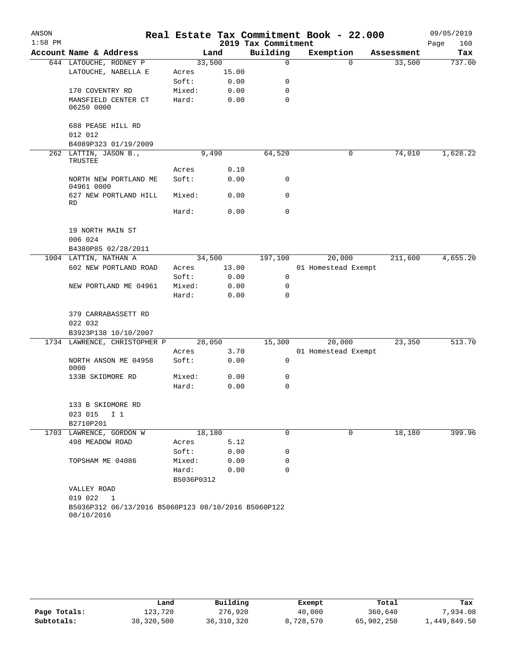| ANSON     |                                                                   |                     |       |                     | Real Estate Tax Commitment Book - 22.000 |            | 09/05/2019  |
|-----------|-------------------------------------------------------------------|---------------------|-------|---------------------|------------------------------------------|------------|-------------|
| $1:58$ PM |                                                                   |                     |       | 2019 Tax Commitment |                                          |            | 160<br>Page |
|           | Account Name & Address                                            |                     | Land  | Building            | Exemption                                | Assessment | Tax         |
|           | 644 LATOUCHE, RODNEY P                                            | 33,500              |       | 0                   | $\Omega$                                 | 33,500     | 737.00      |
|           | LATOUCHE, NABELLA E                                               | Acres               | 15.00 |                     |                                          |            |             |
|           |                                                                   | Soft:               | 0.00  | 0                   |                                          |            |             |
|           | 170 COVENTRY RD                                                   | Mixed:              | 0.00  | 0                   |                                          |            |             |
|           | MANSFIELD CENTER CT<br>06250 0000                                 | Hard:               | 0.00  | $\mathbf 0$         |                                          |            |             |
|           | 688 PEASE HILL RD<br>012 012                                      |                     |       |                     |                                          |            |             |
|           | B4089P323 01/19/2009                                              |                     |       |                     |                                          |            |             |
|           | 262 LATTIN, JASON B.,<br>TRUSTEE                                  |                     | 9,490 | 64,520              | 0                                        | 74,010     | 1,628.22    |
|           |                                                                   | Acres               | 0.10  |                     |                                          |            |             |
|           | NORTH NEW PORTLAND ME<br>04961 0000                               | Soft:               | 0.00  | 0                   |                                          |            |             |
|           | 627 NEW PORTLAND HILL<br><b>RD</b>                                | Mixed:              | 0.00  | 0                   |                                          |            |             |
|           |                                                                   | Hard:               | 0.00  | 0                   |                                          |            |             |
|           | 19 NORTH MAIN ST                                                  |                     |       |                     |                                          |            |             |
|           | 006 024                                                           |                     |       |                     |                                          |            |             |
|           | B4380P85 02/28/2011                                               |                     |       |                     |                                          |            |             |
|           | 1004 LATTIN, NATHAN A                                             | 34,500              |       | 197,100             | 20,000                                   | 211,600    | 4,655.20    |
|           | 602 NEW PORTLAND ROAD                                             | Acres               | 13.00 |                     | 01 Homestead Exempt                      |            |             |
|           |                                                                   | Soft:               | 0.00  | $\mathbf 0$         |                                          |            |             |
|           | NEW PORTLAND ME 04961                                             | Mixed:              | 0.00  | 0                   |                                          |            |             |
|           |                                                                   | Hard:               | 0.00  | $\Omega$            |                                          |            |             |
|           | 379 CARRABASSETT RD<br>022 032<br>B3923P138 10/10/2007            |                     |       |                     |                                          |            |             |
|           | 1734 LAWRENCE, CHRISTOPHER P                                      | 28,050              |       | 15,300              | 20,000                                   | 23,350     | 513.70      |
|           |                                                                   | Acres               | 3.70  |                     | 01 Homestead Exempt                      |            |             |
|           | NORTH ANSON ME 04958<br>0000                                      | Soft:               | 0.00  | 0                   |                                          |            |             |
|           | 133B SKIDMORE RD                                                  | Mixed:              | 0.00  | 0                   |                                          |            |             |
|           |                                                                   | Hard:               | 0.00  | 0                   |                                          |            |             |
|           | 133 B SKIDMORE RD                                                 |                     |       |                     |                                          |            |             |
|           | 023 015<br>I <sub>1</sub>                                         |                     |       |                     |                                          |            |             |
|           | B2710P201                                                         |                     |       |                     |                                          |            |             |
|           | 1703 LAWRENCE, GORDON W                                           | 18,180              |       | 0                   | 0                                        | 18,180     | 399.96      |
|           | 498 MEADOW ROAD                                                   | Acres               | 5.12  |                     |                                          |            |             |
|           |                                                                   | Soft:               | 0.00  | 0                   |                                          |            |             |
|           | TOPSHAM ME 04086                                                  | Mixed:              | 0.00  | 0                   |                                          |            |             |
|           |                                                                   | Hard:<br>B5036P0312 | 0.00  | $\Omega$            |                                          |            |             |
|           | VALLEY ROAD                                                       |                     |       |                     |                                          |            |             |
|           | 019 022<br>1                                                      |                     |       |                     |                                          |            |             |
|           | B5036P312 06/13/2016 B5060P123 08/10/2016 B5060P122<br>08/10/2016 |                     |       |                     |                                          |            |             |

|              | Land       | Building     | Exempt    | Total      | Tax          |
|--------------|------------|--------------|-----------|------------|--------------|
| Page Totals: | 123,720    | 276,920      | 40,000    | 360,640    | 7,934.08     |
| Subtotals:   | 38,320,500 | 36, 310, 320 | 8,728,570 | 65,902,250 | 1,449,849.50 |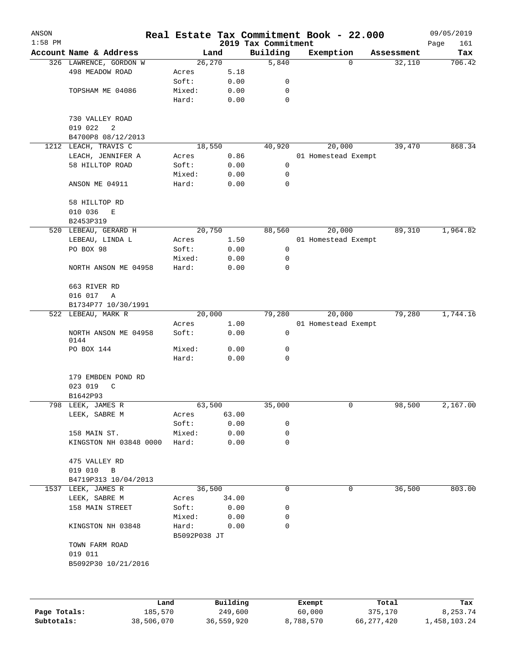| ANSON     |                                                  |                       |          |                     | Real Estate Tax Commitment Book - 22.000 |            | 09/05/2019    |
|-----------|--------------------------------------------------|-----------------------|----------|---------------------|------------------------------------------|------------|---------------|
| $1:58$ PM |                                                  |                       |          | 2019 Tax Commitment |                                          | Assessment | Page<br>161   |
|           | Account Name & Address<br>326 LAWRENCE, GORDON W | 26,270                | Land     | Building<br>5,840   | Exemption<br>0                           | 32,110     | Tax<br>706.42 |
|           | 498 MEADOW ROAD                                  | Acres                 | 5.18     |                     |                                          |            |               |
|           |                                                  | Soft:                 | 0.00     | 0                   |                                          |            |               |
|           | TOPSHAM ME 04086                                 | Mixed:                | 0.00     | 0                   |                                          |            |               |
|           |                                                  | Hard:                 | 0.00     | $\mathbf 0$         |                                          |            |               |
|           | 730 VALLEY ROAD                                  |                       |          |                     |                                          |            |               |
|           | 019 022<br>2                                     |                       |          |                     |                                          |            |               |
|           | B4700P8 08/12/2013                               |                       |          |                     |                                          |            |               |
| 1212      | LEACH, TRAVIS C                                  | 18,550                |          | 40,920              | 20,000                                   | 39,470     | 868.34        |
|           | LEACH, JENNIFER A                                | Acres                 | 0.86     |                     | 01 Homestead Exempt                      |            |               |
|           | 58 HILLTOP ROAD                                  | Soft:                 | 0.00     | 0                   |                                          |            |               |
|           |                                                  | Mixed:                | 0.00     | 0                   |                                          |            |               |
|           | ANSON ME 04911                                   | Hard:                 | 0.00     | 0                   |                                          |            |               |
|           | 58 HILLTOP RD                                    |                       |          |                     |                                          |            |               |
|           | 010 036<br>Ε                                     |                       |          |                     |                                          |            |               |
|           | B2453P319                                        |                       |          |                     |                                          |            |               |
|           | 520 LEBEAU, GERARD H                             | 20,750                |          | 88,560              | 20,000                                   | 89,310     | 1,964.82      |
|           | LEBEAU, LINDA L                                  | Acres                 | 1.50     |                     | 01 Homestead Exempt                      |            |               |
|           | PO BOX 98                                        | Soft:                 | 0.00     | 0                   |                                          |            |               |
|           |                                                  | Mixed:                | 0.00     | 0                   |                                          |            |               |
|           | NORTH ANSON ME 04958                             | Hard:                 | 0.00     | $\mathbf 0$         |                                          |            |               |
|           | 663 RIVER RD                                     |                       |          |                     |                                          |            |               |
|           | 016 017<br>Α                                     |                       |          |                     |                                          |            |               |
|           | B1734P77 10/30/1991                              |                       |          |                     |                                          |            |               |
|           | 522 LEBEAU, MARK R                               | 20,000                |          | 79,280              | 20,000                                   | 79,280     | 1,744.16      |
|           |                                                  | Acres                 | 1.00     |                     | 01 Homestead Exempt                      |            |               |
|           | NORTH ANSON ME 04958<br>0144                     | Soft:                 | 0.00     | $\mathsf{O}$        |                                          |            |               |
|           | PO BOX 144                                       | Mixed:                | 0.00     | 0                   |                                          |            |               |
|           |                                                  | Hard:                 | 0.00     | 0                   |                                          |            |               |
|           | 179 EMBDEN POND RD                               |                       |          |                     |                                          |            |               |
|           | 023 019<br>C                                     |                       |          |                     |                                          |            |               |
|           | B1642P93                                         |                       |          |                     |                                          |            |               |
|           | 798 LEEK, JAMES R                                | 63,500                |          | 35,000              | 0                                        | 98,500     | 2,167.00      |
|           | LEEK, SABRE M                                    | Acres                 | 63.00    |                     |                                          |            |               |
|           |                                                  | Soft:                 | 0.00     | 0                   |                                          |            |               |
|           | 158 MAIN ST.                                     | Mixed:                | 0.00     | 0                   |                                          |            |               |
|           | KINGSTON NH 03848 0000                           | Hard:                 | 0.00     | $\mathbf 0$         |                                          |            |               |
|           | 475 VALLEY RD                                    |                       |          |                     |                                          |            |               |
|           | 019 010<br>$\overline{B}$                        |                       |          |                     |                                          |            |               |
|           | B4719P313 10/04/2013                             |                       |          |                     |                                          |            |               |
|           | 1537 LEEK, JAMES R                               | 36,500                |          | 0                   | 0                                        | 36,500     | 803.00        |
|           | LEEK, SABRE M                                    | Acres                 | 34.00    |                     |                                          |            |               |
|           | 158 MAIN STREET                                  | Soft:                 | 0.00     | 0                   |                                          |            |               |
|           |                                                  | Mixed:                | 0.00     | 0                   |                                          |            |               |
|           | KINGSTON NH 03848                                | Hard:<br>B5092P038 JT | 0.00     | 0                   |                                          |            |               |
|           | TOWN FARM ROAD                                   |                       |          |                     |                                          |            |               |
|           | 019 011                                          |                       |          |                     |                                          |            |               |
|           | B5092P30 10/21/2016                              |                       |          |                     |                                          |            |               |
|           |                                                  |                       |          |                     |                                          |            |               |
|           |                                                  | Land                  | Building |                     | Exempt                                   | Total      | Tax           |
|           |                                                  |                       |          |                     |                                          |            |               |

|              | nana       | <b>DUITOTII</b> d | LACIUPL   | ⊥∪∟a⊥      | ias.         |
|--------------|------------|-------------------|-----------|------------|--------------|
| Page Totals: | 185,570    | 249,600           | 60,000    | 375,170    | 8,253.74     |
| Subtotals:   | 38,506,070 | 36,559,920        | 8,788,570 | 66,277,420 | 1,458,103.24 |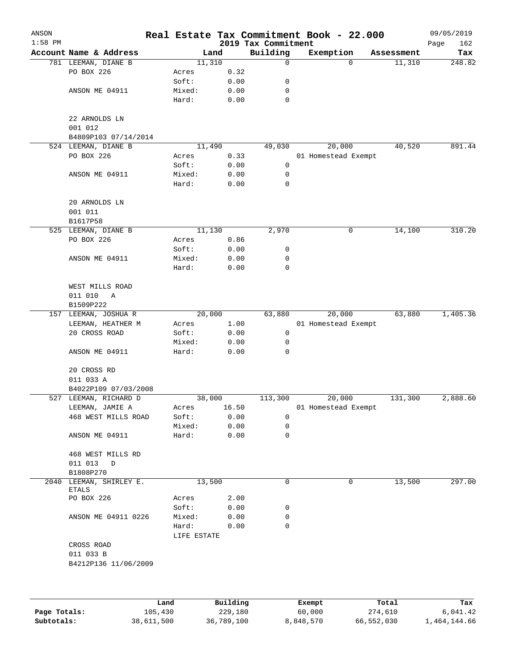| ANSON        |                                             |                 |                     |                                 | Real Estate Tax Commitment Book - 22.000 |                  | 09/05/2019         |
|--------------|---------------------------------------------|-----------------|---------------------|---------------------------------|------------------------------------------|------------------|--------------------|
| $1:58$ PM    | Account Name & Address                      |                 | Land                | 2019 Tax Commitment<br>Building | Exemption                                | Assessment       | Page<br>162<br>Tax |
|              | 781 LEEMAN, DIANE B                         |                 | 11,310              | 0                               | 0                                        | 11,310           | 248.82             |
|              | PO BOX 226                                  | Acres           | 0.32                |                                 |                                          |                  |                    |
|              |                                             | Soft:           | 0.00                | 0                               |                                          |                  |                    |
|              | ANSON ME 04911                              | Mixed:          | 0.00                | 0                               |                                          |                  |                    |
|              |                                             | Hard:           | 0.00                | 0                               |                                          |                  |                    |
|              | 22 ARNOLDS LN                               |                 |                     |                                 |                                          |                  |                    |
|              | 001 012                                     |                 |                     |                                 |                                          |                  |                    |
|              | B4809P103 07/14/2014<br>524 LEEMAN, DIANE B |                 | 11,490              | 49,030                          | 20,000                                   | 40,520           | 891.44             |
|              | PO BOX 226                                  |                 |                     |                                 |                                          |                  |                    |
|              |                                             | Acres           | 0.33                |                                 | 01 Homestead Exempt                      |                  |                    |
|              |                                             | Soft:           | 0.00                | 0                               |                                          |                  |                    |
|              | ANSON ME 04911                              | Mixed:<br>Hard: | 0.00<br>0.00        | 0<br>0                          |                                          |                  |                    |
|              | 20 ARNOLDS LN                               |                 |                     |                                 |                                          |                  |                    |
|              | 001 011                                     |                 |                     |                                 |                                          |                  |                    |
|              | B1617P58                                    |                 |                     |                                 |                                          |                  |                    |
|              | 525 LEEMAN, DIANE B                         |                 | 11,130              | 2,970                           | 0                                        | 14,100           | 310.20             |
|              | PO BOX 226                                  | Acres           | 0.86                |                                 |                                          |                  |                    |
|              |                                             | Soft:           | 0.00                | 0                               |                                          |                  |                    |
|              |                                             |                 |                     |                                 |                                          |                  |                    |
|              | ANSON ME 04911                              | Mixed:          | 0.00                | 0                               |                                          |                  |                    |
|              |                                             | Hard:           | 0.00                | $\mathbf 0$                     |                                          |                  |                    |
|              | WEST MILLS ROAD                             |                 |                     |                                 |                                          |                  |                    |
|              | 011 010<br>Α                                |                 |                     |                                 |                                          |                  |                    |
|              | B1509P222                                   |                 |                     |                                 |                                          |                  |                    |
|              | 157 LEEMAN, JOSHUA R                        |                 | 20,000              | 63,880                          | 20,000                                   | 63,880           | 1,405.36           |
|              | LEEMAN, HEATHER M                           | Acres           | 1.00                |                                 | 01 Homestead Exempt                      |                  |                    |
|              | 20 CROSS ROAD                               | Soft:           | 0.00                | 0                               |                                          |                  |                    |
|              |                                             | Mixed:          | 0.00                | 0                               |                                          |                  |                    |
|              | ANSON ME 04911                              | Hard:           | 0.00                | $\mathbf 0$                     |                                          |                  |                    |
|              | 20 CROSS RD                                 |                 |                     |                                 |                                          |                  |                    |
|              | 011 033 A                                   |                 |                     |                                 |                                          |                  |                    |
|              | B4022P109 07/03/2008                        |                 |                     |                                 |                                          |                  |                    |
|              | 527 LEEMAN, RICHARD D                       |                 | 38,000              | 113,300                         | 20,000                                   | 131,300          | 2,888.60           |
|              | LEEMAN, JAMIE A                             | Acres           | 16.50               |                                 | 01 Homestead Exempt                      |                  |                    |
|              | 468 WEST MILLS ROAD                         | Soft:           | 0.00                | 0                               |                                          |                  |                    |
|              |                                             | Mixed:          | 0.00                | 0                               |                                          |                  |                    |
|              | ANSON ME 04911                              | Hard:           | 0.00                | 0                               |                                          |                  |                    |
|              | 468 WEST MILLS RD                           |                 |                     |                                 |                                          |                  |                    |
|              | 011 013<br>D                                |                 |                     |                                 |                                          |                  |                    |
|              | B1808P270                                   |                 |                     |                                 |                                          |                  |                    |
| 2040         | LEEMAN, SHIRLEY E.<br>ETALS                 |                 | 13,500              | 0                               | 0                                        | 13,500           | 297.00             |
|              | PO BOX 226                                  | Acres           | 2.00                |                                 |                                          |                  |                    |
|              |                                             | Soft:           | 0.00                | 0                               |                                          |                  |                    |
|              | ANSON ME 04911 0226                         | Mixed:          | 0.00                | 0                               |                                          |                  |                    |
|              |                                             | Hard:           | 0.00                | 0                               |                                          |                  |                    |
|              |                                             | LIFE ESTATE     |                     |                                 |                                          |                  |                    |
|              | CROSS ROAD                                  |                 |                     |                                 |                                          |                  |                    |
|              | 011 033 B                                   |                 |                     |                                 |                                          |                  |                    |
|              | B4212P136 11/06/2009                        |                 |                     |                                 |                                          |                  |                    |
|              |                                             |                 |                     |                                 |                                          |                  |                    |
|              |                                             |                 |                     |                                 |                                          |                  |                    |
| Page Totals: |                                             | Land<br>105,430 | Building<br>229,180 |                                 | Exempt<br>60,000                         | Total<br>274,610 | Tax<br>6,041.42    |
|              |                                             |                 |                     |                                 |                                          |                  |                    |

**Subtotals:** 38,611,500 36,789,100 8,848,570 66,552,030 1,464,144.66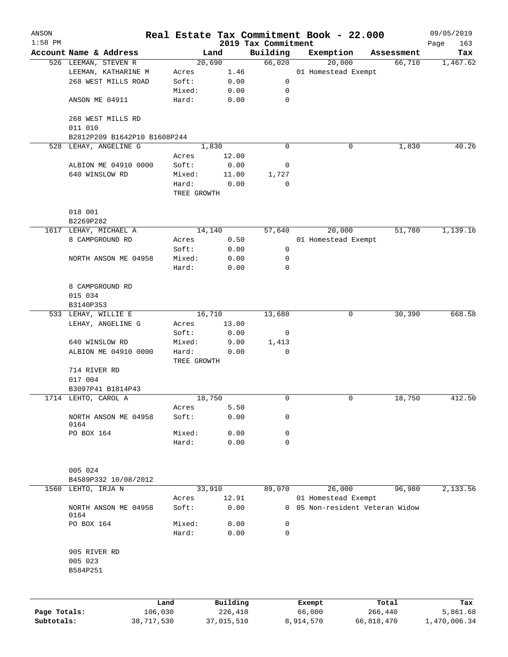| ANSON        |                                                |            |                |                |                     | Real Estate Tax Commitment Book - 22.000 |            |                      | 09/05/2019      |
|--------------|------------------------------------------------|------------|----------------|----------------|---------------------|------------------------------------------|------------|----------------------|-----------------|
| $1:58$ PM    |                                                |            |                |                | 2019 Tax Commitment |                                          |            |                      | Page<br>163     |
|              | Account Name & Address<br>526 LEEMAN, STEVEN R |            |                | Land<br>20,690 | Building<br>66,020  | Exemption<br>20,000                      |            | Assessment<br>66,710 | Tax<br>1,467.62 |
|              | LEEMAN, KATHARINE M                            |            | Acres          | 1.46           |                     | 01 Homestead Exempt                      |            |                      |                 |
|              | 268 WEST MILLS ROAD                            |            | Soft:          | 0.00           | 0                   |                                          |            |                      |                 |
|              |                                                |            | Mixed:         | 0.00           | 0                   |                                          |            |                      |                 |
|              | ANSON ME 04911                                 |            | Hard:          | 0.00           | $\mathbf 0$         |                                          |            |                      |                 |
|              |                                                |            |                |                |                     |                                          |            |                      |                 |
|              | 268 WEST MILLS RD                              |            |                |                |                     |                                          |            |                      |                 |
|              | 011 010                                        |            |                |                |                     |                                          |            |                      |                 |
|              | B2812P209 B1642P10 B1608P244                   |            |                |                |                     |                                          |            |                      |                 |
|              | 528 LEHAY, ANGELINE G                          |            |                | 1,830          | 0                   |                                          | 0          | 1,830                | 40.26           |
|              | ALBION ME 04910 0000                           |            | Acres<br>Soft: | 12.00<br>0.00  | 0                   |                                          |            |                      |                 |
|              | 640 WINSLOW RD                                 |            | Mixed:         | 11.00          | 1,727               |                                          |            |                      |                 |
|              |                                                |            | Hard:          | 0.00           | $\mathbf 0$         |                                          |            |                      |                 |
|              |                                                |            | TREE GROWTH    |                |                     |                                          |            |                      |                 |
|              |                                                |            |                |                |                     |                                          |            |                      |                 |
|              | 018 001                                        |            |                |                |                     |                                          |            |                      |                 |
|              | B2269P282                                      |            |                |                |                     |                                          |            |                      |                 |
|              | 1617 LEHAY, MICHAEL A                          |            |                | 14,140         | 57,640              | 20,000                                   |            | 51,780               | 1,139.16        |
|              | 8 CAMPGROUND RD                                |            | Acres          | 0.50           |                     | 01 Homestead Exempt                      |            |                      |                 |
|              |                                                |            | Soft:          | 0.00           | 0                   |                                          |            |                      |                 |
|              | NORTH ANSON ME 04958                           |            | Mixed:         | 0.00           | 0                   |                                          |            |                      |                 |
|              |                                                |            | Hard:          | 0.00           | $\mathbf 0$         |                                          |            |                      |                 |
|              |                                                |            |                |                |                     |                                          |            |                      |                 |
|              | 8 CAMPGROUND RD                                |            |                |                |                     |                                          |            |                      |                 |
|              | 015 034                                        |            |                |                |                     |                                          |            |                      |                 |
|              | B3140P353                                      |            |                |                |                     |                                          |            |                      |                 |
|              | 533 LEHAY, WILLIE E                            |            |                | 16,710         | 13,680              |                                          | 0          | 30,390               | 668.58          |
|              | LEHAY, ANGELINE G                              |            | Acres          | 13.00          |                     |                                          |            |                      |                 |
|              |                                                |            | Soft:          | 0.00           | 0                   |                                          |            |                      |                 |
|              | 640 WINSLOW RD                                 |            | Mixed:         | 9.00           | 1,413               |                                          |            |                      |                 |
|              | ALBION ME 04910 0000                           |            | Hard:          | 0.00           | $\mathbf 0$         |                                          |            |                      |                 |
|              |                                                |            | TREE GROWTH    |                |                     |                                          |            |                      |                 |
|              | 714 RIVER RD<br>017 004                        |            |                |                |                     |                                          |            |                      |                 |
|              | B3097P41 B1814P43                              |            |                |                |                     |                                          |            |                      |                 |
|              | 1714 LEHTO, CAROL A                            |            |                | 18,750         | $\mathbf 0$         |                                          | 0          | 18,750               | 412.50          |
|              |                                                |            | Acres          | 5.50           |                     |                                          |            |                      |                 |
|              | NORTH ANSON ME 04958                           |            | Soft:          | 0.00           | 0                   |                                          |            |                      |                 |
|              | 0164                                           |            |                |                |                     |                                          |            |                      |                 |
|              | PO BOX 164                                     |            | Mixed:         | 0.00           | $\mathbf 0$         |                                          |            |                      |                 |
|              |                                                |            | Hard:          | 0.00           | $\mathbf 0$         |                                          |            |                      |                 |
|              |                                                |            |                |                |                     |                                          |            |                      |                 |
|              | 005 024                                        |            |                |                |                     |                                          |            |                      |                 |
|              | B4589P332 10/08/2012                           |            |                |                |                     |                                          |            |                      |                 |
| 1560         | LEHTO, IRJA N                                  |            |                | 33,910         | 89,070              | 26,000                                   |            | 96,980               | 2,133.56        |
|              |                                                |            | Acres          | 12.91          |                     | 01 Homestead Exempt                      |            |                      |                 |
|              | NORTH ANSON ME 04958                           |            | Soft:          | 0.00           |                     | 0 05 Non-resident Veteran Widow          |            |                      |                 |
|              | 0164                                           |            |                |                |                     |                                          |            |                      |                 |
|              | PO BOX 164                                     |            | Mixed:         | 0.00           | 0                   |                                          |            |                      |                 |
|              |                                                |            | Hard:          | 0.00           | $\mathbf 0$         |                                          |            |                      |                 |
|              |                                                |            |                |                |                     |                                          |            |                      |                 |
|              | 905 RIVER RD                                   |            |                |                |                     |                                          |            |                      |                 |
|              | 005 023                                        |            |                |                |                     |                                          |            |                      |                 |
|              | B584P251                                       |            |                |                |                     |                                          |            |                      |                 |
|              |                                                |            |                |                |                     |                                          |            |                      |                 |
|              |                                                | Land       |                | Building       |                     | Exempt                                   |            | Total                | Tax             |
| Page Totals: |                                                | 106,030    |                | 226,410        |                     | 66,000                                   |            | 266,440              | 5,861.68        |
| Subtotals:   |                                                | 38,717,530 |                | 37,015,510     |                     | 8,914,570                                | 66,818,470 |                      | 1,470,006.34    |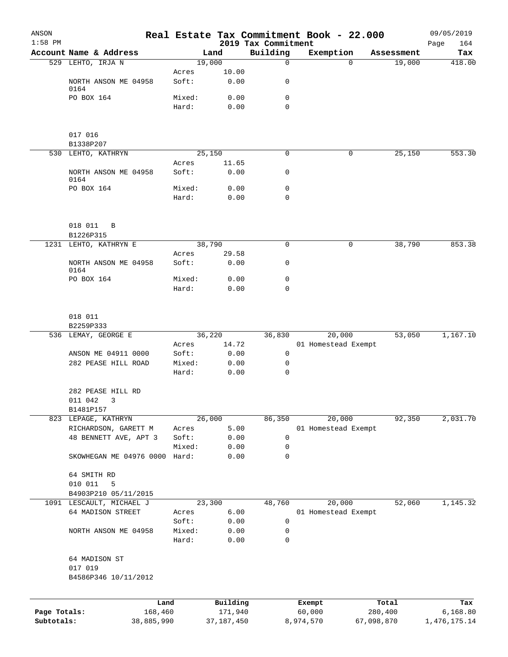| ANSON<br>$1:58$ PM |                               |                |               | Real Estate Tax Commitment Book - 22.000<br>2019 Tax Commitment |                     |            |            | 09/05/2019<br>164 |
|--------------------|-------------------------------|----------------|---------------|-----------------------------------------------------------------|---------------------|------------|------------|-------------------|
|                    | Account Name & Address        |                | Land          | Building                                                        | Exemption           |            | Assessment | Page<br>Tax       |
|                    | 529 LEHTO, IRJA N             |                | 19,000        | $\mathbf 0$                                                     |                     | $\Omega$   | 19,000     | 418.00            |
|                    |                               | Acres          | 10.00         |                                                                 |                     |            |            |                   |
|                    | NORTH ANSON ME 04958          | Soft:          | 0.00          | 0                                                               |                     |            |            |                   |
|                    | 0164<br>PO BOX 164            | Mixed:         | 0.00          | 0                                                               |                     |            |            |                   |
|                    |                               | Hard:          | 0.00          | $\Omega$                                                        |                     |            |            |                   |
|                    |                               |                |               |                                                                 |                     |            |            |                   |
|                    |                               |                |               |                                                                 |                     |            |            |                   |
|                    | 017 016<br>B1338P207          |                |               |                                                                 |                     |            |            |                   |
|                    | 530 LEHTO, KATHRYN            |                | 25,150        | 0                                                               |                     | 0          | 25,150     | 553.30            |
|                    |                               | Acres          | 11.65         |                                                                 |                     |            |            |                   |
|                    | NORTH ANSON ME 04958          | Soft:          | 0.00          | 0                                                               |                     |            |            |                   |
|                    | 0164<br>PO BOX 164            | Mixed:         | 0.00          | 0                                                               |                     |            |            |                   |
|                    |                               | Hard:          | 0.00          | $\mathbf 0$                                                     |                     |            |            |                   |
|                    |                               |                |               |                                                                 |                     |            |            |                   |
|                    |                               |                |               |                                                                 |                     |            |            |                   |
|                    | 018 011<br>B                  |                |               |                                                                 |                     |            |            |                   |
|                    | B1226P315                     |                |               |                                                                 |                     |            |            |                   |
|                    | 1231 LEHTO, KATHRYN E         |                | 38,790        | 0                                                               |                     | 0          | 38,790     | 853.38            |
|                    | NORTH ANSON ME 04958          | Acres<br>Soft: | 29.58<br>0.00 | 0                                                               |                     |            |            |                   |
|                    | 0164                          |                |               |                                                                 |                     |            |            |                   |
|                    | PO BOX 164                    | Mixed:         | 0.00          | 0                                                               |                     |            |            |                   |
|                    |                               | Hard:          | 0.00          | 0                                                               |                     |            |            |                   |
|                    |                               |                |               |                                                                 |                     |            |            |                   |
|                    | 018 011                       |                |               |                                                                 |                     |            |            |                   |
|                    | B2259P333                     |                |               |                                                                 |                     |            |            |                   |
|                    | 536 LEMAY, GEORGE E           |                | 36, 220       | 36,830                                                          | 20,000              |            | 53,050     | 1,167.10          |
|                    |                               | Acres          | 14.72         |                                                                 | 01 Homestead Exempt |            |            |                   |
|                    | ANSON ME 04911 0000           | Soft:          | 0.00          | 0                                                               |                     |            |            |                   |
|                    | 282 PEASE HILL ROAD           | Mixed:         | 0.00          | 0                                                               |                     |            |            |                   |
|                    |                               | Hard:          | 0.00          | 0                                                               |                     |            |            |                   |
|                    | 282 PEASE HILL RD             |                |               |                                                                 |                     |            |            |                   |
|                    | 011 042 3                     |                |               |                                                                 |                     |            |            |                   |
|                    | B1481P157                     |                |               |                                                                 |                     |            |            |                   |
|                    | 823 LEPAGE, KATHRYN           |                | 26,000        | 86,350                                                          | 20,000              |            | 92,350     | 2,031.70          |
|                    | RICHARDSON, GARETT M          | Acres          | 5.00          |                                                                 | 01 Homestead Exempt |            |            |                   |
|                    | 48 BENNETT AVE, APT 3         | Soft:          | 0.00          | 0                                                               |                     |            |            |                   |
|                    | SKOWHEGAN ME 04976 0000 Hard: | Mixed:         | 0.00<br>0.00  | 0<br>0                                                          |                     |            |            |                   |
|                    |                               |                |               |                                                                 |                     |            |            |                   |
|                    | 64 SMITH RD                   |                |               |                                                                 |                     |            |            |                   |
|                    | 010 011<br>5                  |                |               |                                                                 |                     |            |            |                   |
|                    | B4903P210 05/11/2015          |                |               |                                                                 |                     |            |            |                   |
|                    | 1091 LESCAULT, MICHAEL J      |                | 23,300        | 48,760                                                          | 20,000              |            | 52,060     | 1,145.32          |
|                    | 64 MADISON STREET             | Acres          | 6.00          |                                                                 | 01 Homestead Exempt |            |            |                   |
|                    |                               | Soft:          | 0.00          | 0                                                               |                     |            |            |                   |
|                    | NORTH ANSON ME 04958          | Mixed:         | 0.00          | 0                                                               |                     |            |            |                   |
|                    |                               | Hard:          | 0.00          | 0                                                               |                     |            |            |                   |
|                    | 64 MADISON ST                 |                |               |                                                                 |                     |            |            |                   |
|                    | 017 019                       |                |               |                                                                 |                     |            |            |                   |
|                    | B4586P346 10/11/2012          |                |               |                                                                 |                     |            |            |                   |
|                    |                               |                |               |                                                                 |                     |            |            |                   |
|                    |                               | Land           | Building      |                                                                 | Exempt              |            | Total      | Tax               |
| Page Totals:       | 168,460                       |                | 171,940       |                                                                 | 60,000              |            | 280,400    | 6,168.80          |
| Subtotals:         | 38,885,990                    |                | 37, 187, 450  |                                                                 | 8,974,570           | 67,098,870 |            | 1,476,175.14      |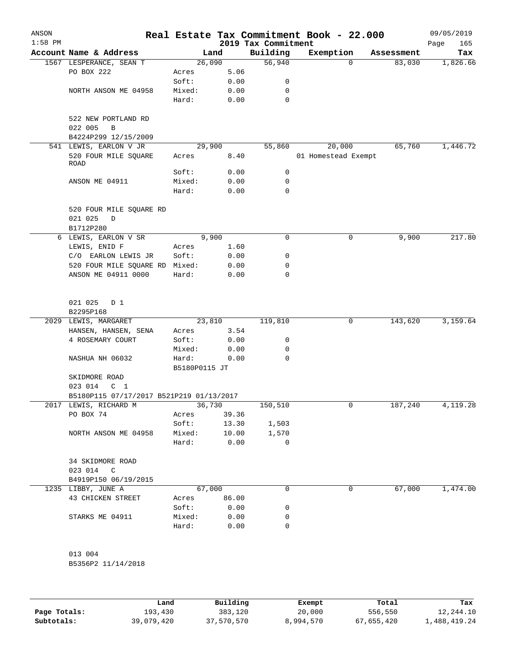| ANSON<br>$1:58$ PM |                                          |               |       | 2019 Tax Commitment | Real Estate Tax Commitment Book - 22.000 |            | 09/05/2019<br>Page<br>165 |
|--------------------|------------------------------------------|---------------|-------|---------------------|------------------------------------------|------------|---------------------------|
|                    | Account Name & Address                   | Land          |       | Building            | Exemption                                | Assessment | Tax                       |
|                    | 1567 LESPERANCE, SEAN T                  | 26,090        |       | 56,940              | $\Omega$                                 | 83,030     | 1,826.66                  |
|                    | PO BOX 222                               | Acres         | 5.06  |                     |                                          |            |                           |
|                    |                                          | Soft:         | 0.00  | 0                   |                                          |            |                           |
|                    | NORTH ANSON ME 04958                     | Mixed:        | 0.00  | 0                   |                                          |            |                           |
|                    |                                          | Hard:         | 0.00  | 0                   |                                          |            |                           |
|                    |                                          |               |       |                     |                                          |            |                           |
|                    | 522 NEW PORTLAND RD<br>022 005<br>B      |               |       |                     |                                          |            |                           |
|                    | B4224P299 12/15/2009                     |               |       |                     |                                          |            |                           |
|                    | 541 LEWIS, EARLON V JR                   | 29,900        |       | 55,860              | 20,000                                   | 65,760     | 1,446.72                  |
|                    | 520 FOUR MILE SQUARE<br>ROAD             | Acres         | 8.40  |                     | 01 Homestead Exempt                      |            |                           |
|                    |                                          | Soft:         | 0.00  | 0                   |                                          |            |                           |
|                    | ANSON ME 04911                           | Mixed:        | 0.00  | 0                   |                                          |            |                           |
|                    |                                          | Hard:         | 0.00  | 0                   |                                          |            |                           |
|                    | 520 FOUR MILE SQUARE RD<br>021 025<br>D  |               |       |                     |                                          |            |                           |
|                    | B1712P280                                |               |       |                     |                                          |            |                           |
|                    | 6 LEWIS, EARLON V SR                     | 9,900         |       | 0                   | 0                                        | 9,900      | 217.80                    |
|                    | LEWIS, ENID F                            | Acres         | 1.60  |                     |                                          |            |                           |
|                    | C/O EARLON LEWIS JR                      | Soft:         | 0.00  | 0                   |                                          |            |                           |
|                    | 520 FOUR MILE SQUARE RD                  | Mixed:        | 0.00  | 0                   |                                          |            |                           |
|                    | ANSON ME 04911 0000                      | Hard:         | 0.00  | 0                   |                                          |            |                           |
|                    |                                          |               |       |                     |                                          |            |                           |
|                    | 021 025<br>D 1                           |               |       |                     |                                          |            |                           |
|                    | B2295P168                                |               |       |                     |                                          |            |                           |
|                    | 2029 LEWIS, MARGARET                     | 23,810        |       | 119,810             | 0                                        | 143,620    | 3,159.64                  |
|                    | HANSEN, HANSEN, SENA                     | Acres         | 3.54  |                     |                                          |            |                           |
|                    | 4 ROSEMARY COURT                         | Soft:         | 0.00  | 0                   |                                          |            |                           |
|                    |                                          | Mixed:        | 0.00  | 0                   |                                          |            |                           |
|                    | NASHUA NH 06032                          | Hard:         | 0.00  | $\mathbf 0$         |                                          |            |                           |
|                    |                                          | B5180P0115 JT |       |                     |                                          |            |                           |
|                    | SKIDMORE ROAD                            |               |       |                     |                                          |            |                           |
|                    | 023 014<br>C <sub>1</sub>                |               |       |                     |                                          |            |                           |
|                    | B5180P115 07/17/2017 B521P219 01/13/2017 |               |       |                     |                                          |            |                           |
|                    | 2017 LEWIS, RICHARD M                    | 36,730        |       | 150,510             | 0                                        | 187,240    | 4,119.28                  |
|                    | PO BOX 74                                | Acres         | 39.36 |                     |                                          |            |                           |
|                    |                                          | Soft:         | 13.30 | 1,503               |                                          |            |                           |
|                    | NORTH ANSON ME 04958                     | Mixed:        | 10.00 | 1,570               |                                          |            |                           |
|                    |                                          | Hard:         | 0.00  | 0                   |                                          |            |                           |
|                    | 34 SKIDMORE ROAD                         |               |       |                     |                                          |            |                           |
|                    | 023 014 C                                |               |       |                     |                                          |            |                           |
|                    | B4919P150 06/19/2015                     |               |       |                     |                                          |            |                           |
|                    | 1235 LIBBY, JUNE A                       | 67,000        |       | 0                   | 0                                        | 67,000     | 1,474.00                  |
|                    | 43 CHICKEN STREET                        | Acres         | 86.00 |                     |                                          |            |                           |
|                    |                                          | Soft:         | 0.00  | 0                   |                                          |            |                           |
|                    | STARKS ME 04911                          | Mixed:        | 0.00  | 0                   |                                          |            |                           |
|                    |                                          | Hard:         | 0.00  | 0                   |                                          |            |                           |
|                    |                                          |               |       |                     |                                          |            |                           |
|                    | 013 004                                  |               |       |                     |                                          |            |                           |
|                    | B5356P2 11/14/2018                       |               |       |                     |                                          |            |                           |
|                    |                                          |               |       |                     |                                          |            |                           |

|              | Land       | Building   | Exempt    | Total      | Tax        |
|--------------|------------|------------|-----------|------------|------------|
| Page Totals: | 193,430    | 383,120    | 20,000    | 556,550    | 12,244.10  |
| Subtotals:   | 39,079,420 | 37,570,570 | 8,994,570 | 67,655,420 | 488,419.24 |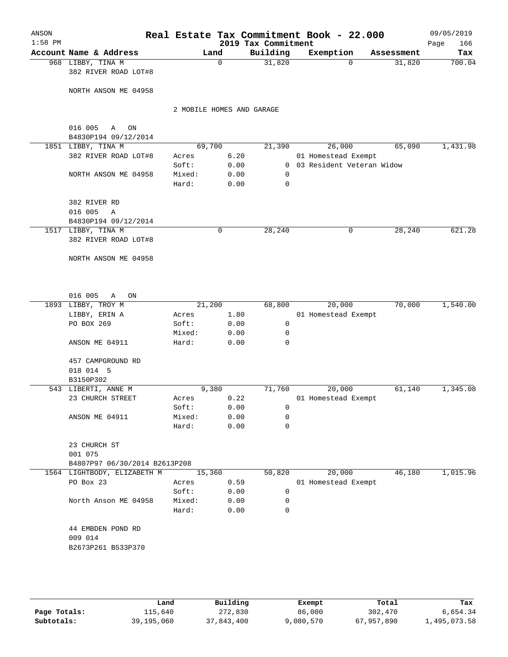| ANSON     |                                           |                           |              |                     | Real Estate Tax Commitment Book - 22.000 |            | 09/05/2019  |
|-----------|-------------------------------------------|---------------------------|--------------|---------------------|------------------------------------------|------------|-------------|
| $1:58$ PM |                                           |                           |              | 2019 Tax Commitment |                                          |            | Page<br>166 |
|           | Account Name & Address                    |                           | Land         | Building            | Exemption                                | Assessment | Tax         |
|           | 968 LIBBY, TINA M<br>382 RIVER ROAD LOT#8 |                           | 0            | 31,820              | $\Omega$                                 | 31,820     | 700.04      |
|           | NORTH ANSON ME 04958                      |                           |              |                     |                                          |            |             |
|           |                                           | 2 MOBILE HOMES AND GARAGE |              |                     |                                          |            |             |
|           | 016 005<br>A<br>ON                        |                           |              |                     |                                          |            |             |
|           | B4830P194 09/12/2014                      |                           |              |                     |                                          |            |             |
|           | 1851 LIBBY, TINA M                        | 69,700                    |              | 21,390              | 26,000                                   | 65,090     | 1,431.98    |
|           | 382 RIVER ROAD LOT#8                      | Acres                     | 6.20         |                     | 01 Homestead Exempt                      |            |             |
|           |                                           | Soft:                     | 0.00         | $\overline{0}$      | 03 Resident Veteran Widow                |            |             |
|           | NORTH ANSON ME 04958                      | Mixed:                    | 0.00         | 0                   |                                          |            |             |
|           |                                           | Hard:                     | 0.00         | 0                   |                                          |            |             |
|           | 382 RIVER RD                              |                           |              |                     |                                          |            |             |
|           | 016 005<br>$\mathbb{A}$                   |                           |              |                     |                                          |            |             |
|           | B4830P194 09/12/2014                      |                           |              |                     |                                          |            |             |
|           | 1517 LIBBY, TINA M                        |                           | $\mathbf 0$  | 28,240              | 0                                        | 28,240     | 621.28      |
|           | 382 RIVER ROAD LOT#8                      |                           |              |                     |                                          |            |             |
|           | NORTH ANSON ME 04958                      |                           |              |                     |                                          |            |             |
|           |                                           |                           |              |                     |                                          |            |             |
|           | 016 005<br>Α<br>ON                        |                           |              |                     |                                          |            |             |
|           | 1893 LIBBY, TROY M                        | 21,200                    |              | 68,800              | 20,000                                   | 70,000     | 1,540.00    |
|           | LIBBY, ERIN A                             | Acres                     | 1.80         |                     | 01 Homestead Exempt                      |            |             |
|           | PO BOX 269                                | Soft:                     | 0.00         | 0                   |                                          |            |             |
|           |                                           | Mixed:                    | 0.00         | 0                   |                                          |            |             |
|           | ANSON ME 04911                            | Hard:                     | 0.00         | 0                   |                                          |            |             |
|           | 457 CAMPGROUND RD                         |                           |              |                     |                                          |            |             |
|           | 018 014 5                                 |                           |              |                     |                                          |            |             |
|           | B3150P302                                 |                           |              |                     |                                          |            |             |
|           | 543 LIBERTI, ANNE M                       | 9,380                     |              | 71,760              | 20,000                                   | 61, 140    | 1,345.08    |
|           | 23 CHURCH STREET                          | Acres<br>Soft:            | 0.22<br>0.00 | 0                   | 01 Homestead Exempt                      |            |             |
|           | ANSON ME 04911                            | Mixed:                    | 0.00         | 0                   |                                          |            |             |
|           |                                           | Hard:                     | 0.00         | 0                   |                                          |            |             |
|           |                                           |                           |              |                     |                                          |            |             |
|           | 23 CHURCH ST                              |                           |              |                     |                                          |            |             |
|           | 001 075                                   |                           |              |                     |                                          |            |             |
|           | B4807P97 06/30/2014 B2613P208             |                           |              |                     |                                          |            |             |
|           | 1564 LIGHTBODY, ELIZABETH M               | 15,360                    |              | 50,820              | 20,000                                   | 46,180     | 1,015.96    |
|           | PO Box 23                                 | Acres                     | 0.59         |                     | 01 Homestead Exempt                      |            |             |
|           |                                           | Soft:                     | 0.00         | 0                   |                                          |            |             |
|           | North Anson ME 04958                      | Mixed:<br>Hard:           | 0.00<br>0.00 | 0<br>0              |                                          |            |             |
|           | 44 EMBDEN POND RD                         |                           |              |                     |                                          |            |             |
|           | 009 014                                   |                           |              |                     |                                          |            |             |
|           | B2673P261 B533P370                        |                           |              |                     |                                          |            |             |
|           |                                           |                           |              |                     |                                          |            |             |
|           |                                           |                           |              |                     |                                          |            |             |
|           |                                           |                           |              |                     |                                          |            |             |

|              | Land       | Building   | Exempt    | Total      | Tax          |
|--------------|------------|------------|-----------|------------|--------------|
| Page Totals: | 115,640    | 272,830    | 86,000    | 302,470    | 6,654.34     |
| Subtotals:   | 39,195,060 | 37,843,400 | 9,080,570 | 67,957,890 | .,495,073.58 |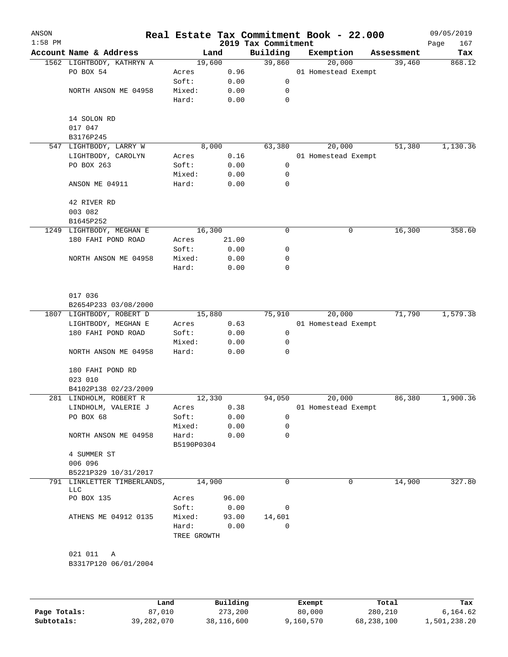| ANSON        |                                           |             |          |                                 | Real Estate Tax Commitment Book - 22.000 |            | 09/05/2019         |
|--------------|-------------------------------------------|-------------|----------|---------------------------------|------------------------------------------|------------|--------------------|
| $1:58$ PM    | Account Name & Address                    |             | Land     | 2019 Tax Commitment<br>Building | Exemption                                | Assessment | Page<br>167<br>Tax |
|              | 1562 LIGHTBODY, KATHRYN A                 |             | 19,600   | 39,860                          | 20,000                                   | 39,460     | 868.12             |
|              | PO BOX 54                                 | Acres       | 0.96     |                                 | 01 Homestead Exempt                      |            |                    |
|              |                                           | Soft:       | 0.00     | 0                               |                                          |            |                    |
|              | NORTH ANSON ME 04958                      | Mixed:      | 0.00     | 0                               |                                          |            |                    |
|              |                                           | Hard:       | 0.00     | $\mathbf 0$                     |                                          |            |                    |
|              | 14 SOLON RD                               |             |          |                                 |                                          |            |                    |
|              | 017 047                                   |             |          |                                 |                                          |            |                    |
|              | B3176P245                                 |             |          |                                 |                                          |            |                    |
|              | 547 LIGHTBODY, LARRY W                    |             | 8,000    | 63,380                          | 20,000                                   | 51,380     | 1,130.36           |
|              | LIGHTBODY, CAROLYN                        | Acres       | 0.16     |                                 | 01 Homestead Exempt                      |            |                    |
|              | PO BOX 263                                | Soft:       | 0.00     | 0                               |                                          |            |                    |
|              |                                           | Mixed:      | 0.00     | 0                               |                                          |            |                    |
|              | ANSON ME 04911                            | Hard:       | 0.00     | 0                               |                                          |            |                    |
|              | 42 RIVER RD                               |             |          |                                 |                                          |            |                    |
|              | 003 082                                   |             |          |                                 |                                          |            |                    |
|              | B1645P252                                 |             |          |                                 |                                          |            |                    |
|              | 1249 LIGHTBODY, MEGHAN E                  |             | 16,300   | 0                               | 0                                        | 16,300     | 358.60             |
|              | 180 FAHI POND ROAD                        | Acres       | 21.00    |                                 |                                          |            |                    |
|              |                                           | Soft:       | 0.00     | 0                               |                                          |            |                    |
|              | NORTH ANSON ME 04958                      | Mixed:      | 0.00     | 0                               |                                          |            |                    |
|              |                                           | Hard:       | 0.00     | 0                               |                                          |            |                    |
|              | 017 036                                   |             |          |                                 |                                          |            |                    |
|              | B2654P233 03/08/2000                      |             |          |                                 |                                          |            |                    |
|              | 1807 LIGHTBODY, ROBERT D                  |             | 15,880   | 75,910                          | 20,000                                   | 71,790     | 1,579.38           |
|              | LIGHTBODY, MEGHAN E                       | Acres       | 0.63     |                                 | 01 Homestead Exempt                      |            |                    |
|              | 180 FAHI POND ROAD                        | Soft:       | 0.00     | 0                               |                                          |            |                    |
|              |                                           | Mixed:      | 0.00     | 0                               |                                          |            |                    |
|              | NORTH ANSON ME 04958                      | Hard:       | 0.00     | 0                               |                                          |            |                    |
|              | 180 FAHI POND RD                          |             |          |                                 |                                          |            |                    |
|              | 023 010                                   |             |          |                                 |                                          |            |                    |
|              | B4102P138 02/23/2009                      |             |          |                                 |                                          |            |                    |
|              | 281 LINDHOLM, ROBERT R                    |             | 12,330   | 94,050                          | 20,000                                   | 86,380     | 1,900.36           |
|              | LINDHOLM, VALERIE J                       | Acres       | 0.38     |                                 | 01 Homestead Exempt                      |            |                    |
|              | PO BOX 68                                 | Soft:       | 0.00     | 0                               |                                          |            |                    |
|              |                                           | Mixed:      | 0.00     | 0                               |                                          |            |                    |
|              | NORTH ANSON ME 04958                      | Hard:       | 0.00     | 0                               |                                          |            |                    |
|              |                                           | B5190P0304  |          |                                 |                                          |            |                    |
|              | 4 SUMMER ST                               |             |          |                                 |                                          |            |                    |
|              | 006 096                                   |             |          |                                 |                                          |            |                    |
|              | B5221P329 10/31/2017                      |             |          | 0                               |                                          |            |                    |
|              | 791 LINKLETTER TIMBERLANDS,<br><b>LLC</b> |             | 14,900   |                                 | 0                                        | 14,900     | 327.80             |
|              | PO BOX 135                                | Acres       | 96.00    |                                 |                                          |            |                    |
|              |                                           | Soft:       | 0.00     | 0                               |                                          |            |                    |
|              | ATHENS ME 04912 0135                      | Mixed:      | 93.00    | 14,601                          |                                          |            |                    |
|              |                                           | Hard:       | 0.00     | 0                               |                                          |            |                    |
|              |                                           | TREE GROWTH |          |                                 |                                          |            |                    |
|              | 021 011<br>Α                              |             |          |                                 |                                          |            |                    |
|              | B3317P120 06/01/2004                      |             |          |                                 |                                          |            |                    |
|              |                                           |             |          |                                 |                                          |            |                    |
|              | Land                                      |             | Building |                                 | Exempt                                   | Total      | Tax                |
| Page Totals: | 87,010                                    |             | 273,200  |                                 | 80,000                                   | 280,210    | 6,164.62           |

**Subtotals:** 39,282,070 38,116,600 9,160,570 68,238,100 1,501,238.20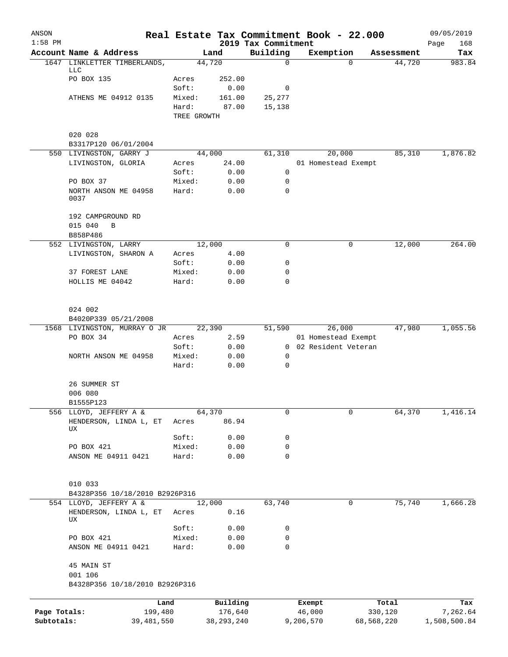| ANSON<br>$1:58$ PM |                                           |                      |              |                                 | Real Estate Tax Commitment Book - 22.000 |            |            | 09/05/2019         |
|--------------------|-------------------------------------------|----------------------|--------------|---------------------------------|------------------------------------------|------------|------------|--------------------|
|                    | Account Name & Address                    |                      | Land         | 2019 Tax Commitment<br>Building | Exemption                                |            | Assessment | Page<br>168<br>Tax |
|                    | 1647 LINKLETTER TIMBERLANDS,              |                      | 44,720       | $\mathbf 0$                     |                                          | $\Omega$   | 44,720     | 983.84             |
|                    | LLC                                       |                      |              |                                 |                                          |            |            |                    |
|                    | PO BOX 135                                | Acres                | 252.00       |                                 |                                          |            |            |                    |
|                    |                                           | Soft:                | 0.00         | 0                               |                                          |            |            |                    |
|                    | ATHENS ME 04912 0135                      | Mixed:               | 161.00       | 25,277                          |                                          |            |            |                    |
|                    |                                           | Hard:<br>TREE GROWTH | 87.00        | 15,138                          |                                          |            |            |                    |
|                    |                                           |                      |              |                                 |                                          |            |            |                    |
|                    | 020 028<br>B3317P120 06/01/2004           |                      |              |                                 |                                          |            |            |                    |
|                    | 550 LIVINGSTON, GARRY J                   |                      | 44,000       | 61,310                          | 20,000                                   |            | 85,310     | 1,876.82           |
|                    | LIVINGSTON, GLORIA                        | Acres                | 24.00        |                                 | 01 Homestead Exempt                      |            |            |                    |
|                    |                                           | Soft:                | 0.00         | 0                               |                                          |            |            |                    |
|                    | PO BOX 37                                 | Mixed:               | 0.00         | 0                               |                                          |            |            |                    |
|                    | NORTH ANSON ME 04958                      | Hard:                | 0.00         | $\mathbf 0$                     |                                          |            |            |                    |
|                    | 0037                                      |                      |              |                                 |                                          |            |            |                    |
|                    | 192 CAMPGROUND RD                         |                      |              |                                 |                                          |            |            |                    |
|                    | 015 040<br>B                              |                      |              |                                 |                                          |            |            |                    |
|                    | B858P486                                  |                      |              |                                 |                                          |            |            |                    |
|                    | 552 LIVINGSTON, LARRY                     |                      | 12,000       | 0                               |                                          | 0          | 12,000     | 264.00             |
|                    | LIVINGSTON, SHARON A                      | Acres                | 4.00         |                                 |                                          |            |            |                    |
|                    |                                           | Soft:                | 0.00         | 0                               |                                          |            |            |                    |
|                    | 37 FOREST LANE                            | Mixed:               | 0.00         | 0                               |                                          |            |            |                    |
|                    | HOLLIS ME 04042                           | Hard:                | 0.00         | 0                               |                                          |            |            |                    |
|                    | 024 002                                   |                      |              |                                 |                                          |            |            |                    |
|                    | B4020P339 05/21/2008                      |                      |              |                                 |                                          |            |            |                    |
|                    | 1568 LIVINGSTON, MURRAY O JR              |                      | 22,390       | 51,590                          | 26,000                                   |            | 47,980     | 1,055.56           |
|                    | PO BOX 34                                 | Acres                | 2.59         |                                 | 01 Homestead Exempt                      |            |            |                    |
|                    |                                           | Soft:                | 0.00         |                                 | 0 02 Resident Veteran                    |            |            |                    |
|                    | NORTH ANSON ME 04958                      | Mixed:               | 0.00         | 0                               |                                          |            |            |                    |
|                    |                                           | Hard:                | 0.00         | 0                               |                                          |            |            |                    |
|                    | 26 SUMMER ST                              |                      |              |                                 |                                          |            |            |                    |
|                    | 006 080                                   |                      |              |                                 |                                          |            |            |                    |
|                    | B1555P123                                 |                      |              |                                 |                                          |            |            |                    |
| 556                | LLOYD, JEFFERY A &                        |                      | 64,370       | 0                               |                                          | 0          | 64,370     | 1,416.14           |
|                    | HENDERSON, LINDA L, ET<br>UX              | Acres                | 86.94        |                                 |                                          |            |            |                    |
|                    |                                           | Soft:                | 0.00         | 0                               |                                          |            |            |                    |
|                    | PO BOX 421                                | Mixed:               | 0.00         | 0                               |                                          |            |            |                    |
|                    | ANSON ME 04911 0421                       | Hard:                | 0.00         | 0                               |                                          |            |            |                    |
|                    |                                           |                      |              |                                 |                                          |            |            |                    |
|                    | 010 033                                   |                      |              |                                 |                                          |            |            |                    |
|                    | B4328P356 10/18/2010 B2926P316            |                      |              |                                 |                                          |            |            |                    |
|                    | 554 LLOYD, JEFFERY A &                    |                      | 12,000       | 63,740                          |                                          | 0          | 75,740     | 1,666.28           |
|                    | HENDERSON, LINDA L, ET<br>UX              | Acres                | 0.16         |                                 |                                          |            |            |                    |
|                    |                                           | Soft:                | 0.00         | 0                               |                                          |            |            |                    |
|                    | PO BOX 421                                | Mixed:               | 0.00         | 0                               |                                          |            |            |                    |
|                    | ANSON ME 04911 0421                       | Hard:                | 0.00         | 0                               |                                          |            |            |                    |
|                    | 45 MAIN ST                                |                      |              |                                 |                                          |            |            |                    |
|                    | 001 106<br>B4328P356 10/18/2010 B2926P316 |                      |              |                                 |                                          |            |            |                    |
|                    |                                           |                      |              |                                 |                                          |            |            |                    |
|                    | Land                                      |                      | Building     |                                 | Exempt                                   |            | Total      | Tax                |
| Page Totals:       | 199,480                                   |                      | 176,640      |                                 | 46,000                                   | 330,120    |            | 7,262.64           |
| Subtotals:         | 39,481,550                                |                      | 38, 293, 240 |                                 | 9,206,570                                | 68,568,220 |            | 1,508,500.84       |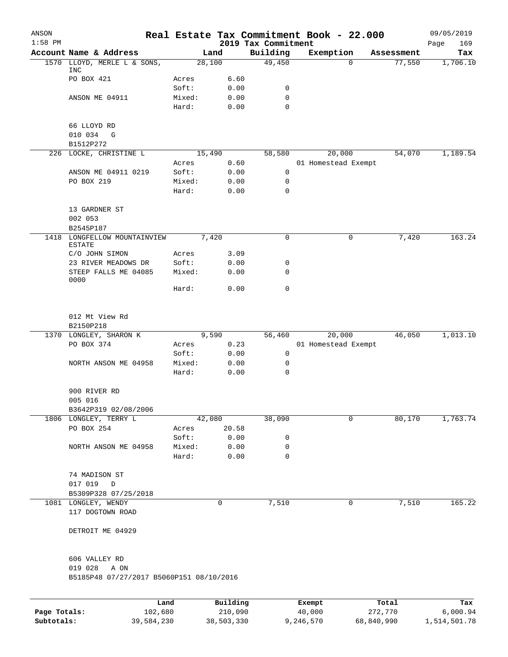| ANSON<br>$1:58$ PM |                                                             |                 |               | 2019 Tax Commitment | Real Estate Tax Commitment Book - 22.000 |          |            | 09/05/2019<br>169<br>Page |
|--------------------|-------------------------------------------------------------|-----------------|---------------|---------------------|------------------------------------------|----------|------------|---------------------------|
|                    | Account Name & Address                                      |                 | Land          | Building            | Exemption                                |          | Assessment | Tax                       |
|                    | 1570 LLOYD, MERLE L & SONS,<br>INC                          |                 | 28,100        | 49,450              |                                          | $\Omega$ | 77,550     | 1,706.10                  |
|                    | PO BOX 421                                                  | Acres           | 6.60          |                     |                                          |          |            |                           |
|                    |                                                             | Soft:           | 0.00          | 0                   |                                          |          |            |                           |
|                    | ANSON ME 04911                                              | Mixed:          | 0.00          | $\mathbf 0$         |                                          |          |            |                           |
|                    |                                                             | Hard:           | 0.00          | $\Omega$            |                                          |          |            |                           |
|                    | 66 LLOYD RD                                                 |                 |               |                     |                                          |          |            |                           |
|                    | 010 034<br>G<br>B1512P272                                   |                 |               |                     |                                          |          |            |                           |
|                    | 226 LOCKE, CHRISTINE L                                      |                 | 15,490        | 58,580              | 20,000                                   |          | 54,070     | 1,189.54                  |
|                    |                                                             | Acres           | 0.60          |                     | 01 Homestead Exempt                      |          |            |                           |
|                    | ANSON ME 04911 0219                                         | Soft:           | 0.00          | $\mathbf 0$         |                                          |          |            |                           |
|                    | PO BOX 219                                                  | Mixed:          | 0.00          | 0                   |                                          |          |            |                           |
|                    |                                                             | Hard:           | 0.00          | $\mathbf 0$         |                                          |          |            |                           |
|                    | 13 GARDNER ST                                               |                 |               |                     |                                          |          |            |                           |
|                    | 002 053<br>B2545P187                                        |                 |               |                     |                                          |          |            |                           |
| 1418               | LONGFELLOW MOUNTAINVIEW                                     |                 | 7,420         | 0                   |                                          | 0        | 7,420      | 163.24                    |
|                    | <b>ESTATE</b>                                               |                 |               |                     |                                          |          |            |                           |
|                    | C/O JOHN SIMON<br>23 RIVER MEADOWS DR                       | Acres<br>Soft:  | 3.09<br>0.00  | 0                   |                                          |          |            |                           |
|                    | STEEP FALLS ME 04085                                        | Mixed:          | 0.00          | 0                   |                                          |          |            |                           |
|                    | 0000                                                        | Hard:           | 0.00          | $\mathbf 0$         |                                          |          |            |                           |
|                    |                                                             |                 |               |                     |                                          |          |            |                           |
|                    | 012 Mt View Rd                                              |                 |               |                     |                                          |          |            |                           |
|                    | B2150P218                                                   |                 |               |                     |                                          |          |            |                           |
|                    | 1370 LONGLEY, SHARON K                                      |                 | 9,590         | 56,460              | 20,000                                   |          | 46,050     | 1,013.10                  |
|                    | PO BOX 374                                                  | Acres           | 0.23          |                     | 01 Homestead Exempt                      |          |            |                           |
|                    |                                                             | Soft:           | 0.00          | 0                   |                                          |          |            |                           |
|                    | NORTH ANSON ME 04958                                        | Mixed:<br>Hard: | 0.00<br>0.00  | 0<br>$\mathbf 0$    |                                          |          |            |                           |
|                    |                                                             |                 |               |                     |                                          |          |            |                           |
|                    | 900 RIVER RD                                                |                 |               |                     |                                          |          |            |                           |
|                    | 005 016                                                     |                 |               |                     |                                          |          |            |                           |
|                    | B3642P319 02/08/2006                                        |                 |               |                     |                                          | 0        | 80,170     |                           |
|                    | 1806 LONGLEY, TERRY L<br>PO BOX 254                         | Acres           | 42,080        | 38,090              |                                          |          |            | 1,763.74                  |
|                    |                                                             | Soft:           | 20.58<br>0.00 | 0                   |                                          |          |            |                           |
|                    | NORTH ANSON ME 04958                                        | Mixed:          | 0.00          | 0                   |                                          |          |            |                           |
|                    |                                                             | Hard:           | 0.00          | $\mathbf 0$         |                                          |          |            |                           |
|                    | 74 MADISON ST                                               |                 |               |                     |                                          |          |            |                           |
|                    | 017 019<br>D                                                |                 |               |                     |                                          |          |            |                           |
|                    | B5309P328 07/25/2018                                        |                 |               |                     |                                          |          |            |                           |
|                    | 1081 LONGLEY, WENDY                                         |                 | 0             | 7,510               |                                          | 0        | 7,510      | 165.22                    |
|                    | 117 DOGTOWN ROAD                                            |                 |               |                     |                                          |          |            |                           |
|                    | DETROIT ME 04929                                            |                 |               |                     |                                          |          |            |                           |
|                    | 606 VALLEY RD                                               |                 |               |                     |                                          |          |            |                           |
|                    | 019 028<br>A ON<br>B5185P48 07/27/2017 B5060P151 08/10/2016 |                 |               |                     |                                          |          |            |                           |
|                    |                                                             |                 |               |                     |                                          |          |            |                           |
|                    | Land                                                        |                 | Building      |                     | Exempt                                   |          | Total      | Tax                       |
| Page Totals:       | 102,680                                                     |                 | 210,090       |                     | 40,000                                   |          | 272,770    | 6,000.94                  |

**Subtotals:** 39,584,230 38,503,330 9,246,570 68,840,990 1,514,501.78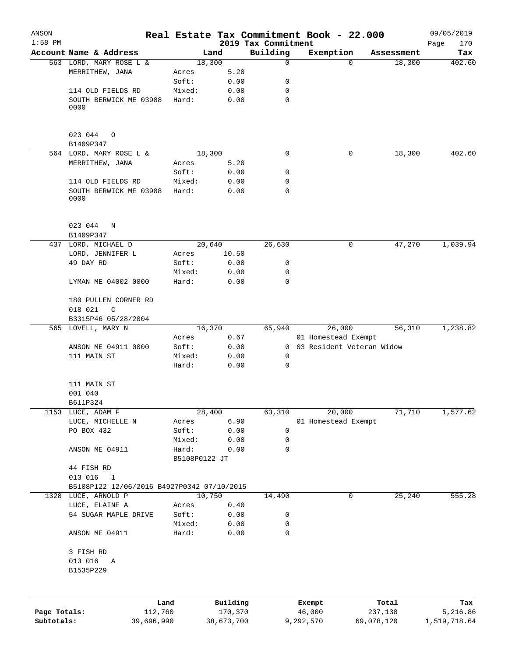| ANSON<br>$1:58$ PM |                                            |                        |                     |                                 | Real Estate Tax Commitment Book - 22.000 |                  | 09/05/2019         |
|--------------------|--------------------------------------------|------------------------|---------------------|---------------------------------|------------------------------------------|------------------|--------------------|
|                    | Account Name & Address                     |                        | Land                | 2019 Tax Commitment<br>Building | Exemption                                | Assessment       | 170<br>Page<br>Tax |
|                    | 563 LORD, MARY ROSE L &                    | 18,300                 |                     | $\mathbf 0$                     | $\Omega$                                 | 18,300           | 402.60             |
|                    | MERRITHEW, JANA                            | Acres                  | 5.20                |                                 |                                          |                  |                    |
|                    |                                            | Soft:                  | 0.00                | 0                               |                                          |                  |                    |
|                    | 114 OLD FIELDS RD                          | Mixed:                 | 0.00                | 0                               |                                          |                  |                    |
|                    | SOUTH BERWICK ME 03908<br>0000             | Hard:                  | 0.00                | $\mathbf 0$                     |                                          |                  |                    |
|                    | 023 044<br>$\circ$<br>B1409P347            |                        |                     |                                 |                                          |                  |                    |
|                    | 564 LORD, MARY ROSE L &                    | 18,300                 |                     | $\mathbf 0$                     | 0                                        | 18,300           | 402.60             |
|                    | MERRITHEW, JANA                            | Acres                  | 5.20                |                                 |                                          |                  |                    |
|                    |                                            | Soft:                  | 0.00                | 0                               |                                          |                  |                    |
|                    | 114 OLD FIELDS RD                          | Mixed:                 | 0.00                | 0                               |                                          |                  |                    |
|                    | SOUTH BERWICK ME 03908<br>0000             | Hard:                  | 0.00                | $\mathbf 0$                     |                                          |                  |                    |
|                    | 023 044<br>N<br>B1409P347                  |                        |                     |                                 |                                          |                  |                    |
|                    | 437 LORD, MICHAEL D                        | 20,640                 |                     | 26,630                          | 0                                        | 47,270           | 1,039.94           |
|                    | LORD, JENNIFER L                           | Acres                  | 10.50               |                                 |                                          |                  |                    |
|                    | 49 DAY RD                                  | Soft:                  | 0.00                | 0                               |                                          |                  |                    |
|                    |                                            | Mixed:                 | 0.00                | $\mathbf 0$                     |                                          |                  |                    |
|                    | LYMAN ME 04002 0000                        | Hard:                  | 0.00                | $\mathbf 0$                     |                                          |                  |                    |
|                    | 180 PULLEN CORNER RD<br>018 021<br>C       |                        |                     |                                 |                                          |                  |                    |
|                    | B3315P46 05/28/2004                        |                        |                     |                                 |                                          |                  |                    |
|                    | 565 LOVELL, MARY N                         | 16,370                 |                     | 65,940                          | 26,000                                   | 56,310           | 1,238.82           |
|                    |                                            | Acres                  | 0.67                |                                 | 01 Homestead Exempt                      |                  |                    |
|                    | ANSON ME 04911 0000                        | Soft:                  | 0.00                |                                 | 0 03 Resident Veteran Widow              |                  |                    |
|                    | 111 MAIN ST                                | Mixed:                 | 0.00                | 0                               |                                          |                  |                    |
|                    |                                            | Hard:                  | 0.00                | $\mathbf 0$                     |                                          |                  |                    |
|                    | 111 MAIN ST<br>001 040                     |                        |                     |                                 |                                          |                  |                    |
|                    | B611P324                                   |                        |                     |                                 |                                          |                  |                    |
|                    | 1153 LUCE, ADAM F                          | 28,400                 |                     | 63,310                          | 20,000                                   | 71,710           | 1,577.62           |
|                    | LUCE, MICHELLE N                           | Acres                  | 6.90                |                                 | 01 Homestead Exempt                      |                  |                    |
|                    | PO BOX 432                                 | Soft:                  | 0.00                | 0                               |                                          |                  |                    |
|                    |                                            | Mixed:                 | 0.00                | 0                               |                                          |                  |                    |
|                    | ANSON ME 04911                             | Hard:<br>B5108P0122 JT | 0.00                | $\mathbf 0$                     |                                          |                  |                    |
|                    | 44 FISH RD<br>013 016<br>$\mathbf{1}$      |                        |                     |                                 |                                          |                  |                    |
|                    | B5108P122 12/06/2016 B4927P0342 07/10/2015 |                        |                     |                                 |                                          |                  |                    |
|                    | 1328 LUCE, ARNOLD P                        | 10,750                 |                     | 14,490                          | $\mathbf 0$                              | 25,240           | 555.28             |
|                    | LUCE, ELAINE A                             | Acres                  | 0.40                |                                 |                                          |                  |                    |
|                    | 54 SUGAR MAPLE DRIVE                       | Soft:                  | 0.00                | 0                               |                                          |                  |                    |
|                    |                                            | Mixed:                 | 0.00                | 0                               |                                          |                  |                    |
|                    | ANSON ME 04911                             | Hard:                  | 0.00                | $\mathbf 0$                     |                                          |                  |                    |
|                    | 3 FISH RD                                  |                        |                     |                                 |                                          |                  |                    |
|                    | 013 016<br>A<br>B1535P229                  |                        |                     |                                 |                                          |                  |                    |
|                    |                                            |                        |                     |                                 |                                          |                  |                    |
| Page Totals:       | Land<br>112,760                            |                        | Building<br>170,370 |                                 | Exempt<br>46,000                         | Total<br>237,130 | Tax<br>5,216.86    |

**Subtotals:** 39,696,990 38,673,700 9,292,570 69,078,120 1,519,718.64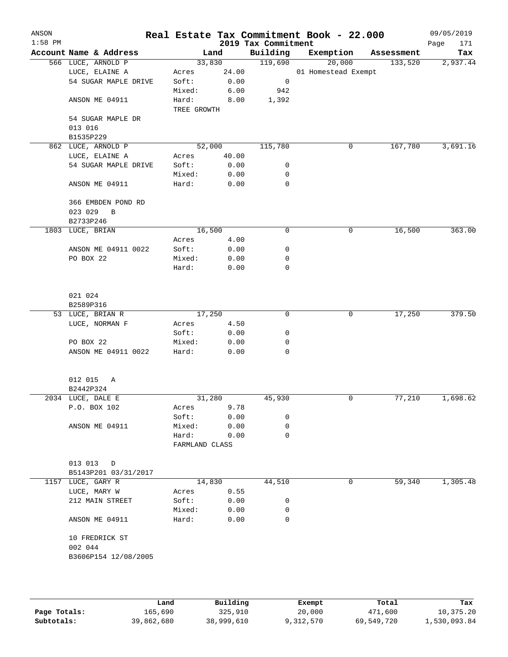| ANSON<br>$1:58$ PM |                              |                      |              | 2019 Tax Commitment | Real Estate Tax Commitment Book - 22.000 |            | 09/05/2019<br>Page<br>171 |
|--------------------|------------------------------|----------------------|--------------|---------------------|------------------------------------------|------------|---------------------------|
|                    | Account Name & Address       |                      | Land         | Building            | Exemption                                | Assessment | Tax                       |
|                    | 566 LUCE, ARNOLD P           |                      | 33,830       | 119,690             | 20,000                                   | 133,520    | 2,937.44                  |
|                    | LUCE, ELAINE A               | Acres                | 24.00        |                     | 01 Homestead Exempt                      |            |                           |
|                    | 54 SUGAR MAPLE DRIVE         | Soft:                | 0.00         | 0                   |                                          |            |                           |
|                    |                              | Mixed:               | 6.00         | 942                 |                                          |            |                           |
|                    | ANSON ME 04911               | Hard:<br>TREE GROWTH | 8.00         | 1,392               |                                          |            |                           |
|                    | 54 SUGAR MAPLE DR<br>013 016 |                      |              |                     |                                          |            |                           |
|                    | B1535P229                    |                      |              |                     |                                          |            |                           |
|                    | 862 LUCE, ARNOLD P           |                      | 52,000       | 115,780             | 0                                        | 167,780    | 3,691.16                  |
|                    | LUCE, ELAINE A               | Acres                | 40.00        |                     |                                          |            |                           |
|                    | 54 SUGAR MAPLE DRIVE         | Soft:                | 0.00         | 0                   |                                          |            |                           |
|                    |                              | Mixed:               |              | 0                   |                                          |            |                           |
|                    | ANSON ME 04911               | Hard:                | 0.00<br>0.00 | $\mathbf 0$         |                                          |            |                           |
|                    |                              |                      |              |                     |                                          |            |                           |
|                    | 366 EMBDEN POND RD           |                      |              |                     |                                          |            |                           |
|                    | 023 029<br>В                 |                      |              |                     |                                          |            |                           |
|                    | B2733P246                    |                      |              |                     |                                          |            |                           |
|                    | 1803 LUCE, BRIAN             |                      | 16,500       | 0                   | $\mathbf 0$                              | 16,500     | 363.00                    |
|                    |                              | Acres                | 4.00         |                     |                                          |            |                           |
|                    | ANSON ME 04911 0022          | Soft:                | 0.00         | 0                   |                                          |            |                           |
|                    | PO BOX 22                    | Mixed:               | 0.00         | 0                   |                                          |            |                           |
|                    |                              | Hard:                | 0.00         | $\mathbf 0$         |                                          |            |                           |
|                    | 021 024                      |                      |              |                     |                                          |            |                           |
|                    | B2589P316                    |                      |              |                     |                                          |            |                           |
|                    | 53 LUCE, BRIAN R             |                      | 17,250       | 0                   | 0                                        | 17,250     | 379.50                    |
|                    | LUCE, NORMAN F               | Acres                | 4.50         |                     |                                          |            |                           |
|                    |                              | Soft:                | 0.00         | 0                   |                                          |            |                           |
|                    | PO BOX 22                    | Mixed:               | 0.00         | 0                   |                                          |            |                           |
|                    | ANSON ME 04911 0022          | Hard:                | 0.00         | 0                   |                                          |            |                           |
|                    | 012 015 A                    |                      |              |                     |                                          |            |                           |
|                    | B2442P324                    |                      |              |                     |                                          |            |                           |
|                    | 2034 LUCE, DALE E            |                      | 31,280       | 45,930              | 0                                        | 77,210     | 1,698.62                  |
|                    | P.O. BOX 102                 | Acres                | 9.78         |                     |                                          |            |                           |
|                    |                              | Soft:                | 0.00         | 0                   |                                          |            |                           |
|                    | ANSON ME 04911               | Mixed:               | 0.00         | 0                   |                                          |            |                           |
|                    |                              | Hard:                | 0.00         | 0                   |                                          |            |                           |
|                    |                              | FARMLAND CLASS       |              |                     |                                          |            |                           |
|                    | 013 013<br>D                 |                      |              |                     |                                          |            |                           |
|                    | B5143P201 03/31/2017         |                      |              |                     |                                          |            |                           |
|                    | 1157 LUCE, GARY R            |                      | 14,830       | 44,510              | 0                                        | 59,340     | 1,305.48                  |
|                    | LUCE, MARY W                 | Acres                | 0.55         |                     |                                          |            |                           |
|                    | 212 MAIN STREET              | Soft:                | 0.00         | 0                   |                                          |            |                           |
|                    |                              | Mixed:               | 0.00         | 0                   |                                          |            |                           |
|                    | ANSON ME 04911               | Hard:                | 0.00         | 0                   |                                          |            |                           |
|                    | 10 FREDRICK ST<br>002 044    |                      |              |                     |                                          |            |                           |
|                    | B3606P154 12/08/2005         |                      |              |                     |                                          |            |                           |
|                    |                              |                      |              |                     |                                          |            |                           |
|                    |                              |                      |              |                     |                                          |            |                           |
|                    |                              |                      |              |                     |                                          |            |                           |
|                    |                              |                      |              |                     |                                          |            |                           |

|              | Land       | Building   | Exempt    | Total      | Tax          |
|--------------|------------|------------|-----------|------------|--------------|
| Page Totals: | 165,690    | 325,910    | 20,000    | 471,600    | 10,375.20    |
| Subtotals:   | 39,862,680 | 38,999,610 | 9,312,570 | 69,549,720 | 1,530,093.84 |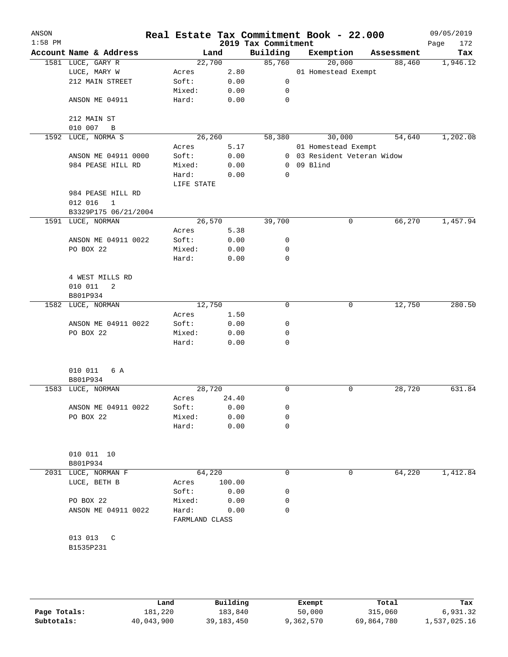| ANSON<br>$1:58$ PM |                         |                |        |        | 2019 Tax Commitment | Real Estate Tax Commitment Book - 22.000 |            | 09/05/2019<br>172<br>Page |
|--------------------|-------------------------|----------------|--------|--------|---------------------|------------------------------------------|------------|---------------------------|
|                    | Account Name & Address  |                | Land   |        | Building            | Exemption                                | Assessment | Tax                       |
|                    | 1581 LUCE, GARY R       |                | 22,700 |        | 85,760              | 20,000                                   | 88,460     | 1,946.12                  |
|                    | LUCE, MARY W            | Acres          |        | 2.80   |                     | 01 Homestead Exempt                      |            |                           |
|                    | 212 MAIN STREET         | Soft:          |        | 0.00   | $\mathbf 0$         |                                          |            |                           |
|                    |                         | Mixed:         |        | 0.00   | 0                   |                                          |            |                           |
|                    | ANSON ME 04911          | Hard:          |        | 0.00   | $\mathbf 0$         |                                          |            |                           |
|                    | 212 MAIN ST             |                |        |        |                     |                                          |            |                           |
|                    | 010 007<br>B            |                |        |        |                     |                                          |            |                           |
|                    | 1592 LUCE, NORMA S      |                | 26,260 |        | 58,380              | 30,000                                   | 54,640     | 1,202.08                  |
|                    |                         | Acres          |        | 5.17   |                     | 01 Homestead Exempt                      |            |                           |
|                    | ANSON ME 04911 0000     | Soft:          |        | 0.00   |                     | 0 03 Resident Veteran Widow              |            |                           |
|                    | 984 PEASE HILL RD       | Mixed:         |        | 0.00   | 0                   | 09 Blind                                 |            |                           |
|                    |                         | Hard:          |        | 0.00   | 0                   |                                          |            |                           |
|                    |                         | LIFE STATE     |        |        |                     |                                          |            |                           |
|                    | 984 PEASE HILL RD       |                |        |        |                     |                                          |            |                           |
|                    | 012 016<br>$\mathbf{1}$ |                |        |        |                     |                                          |            |                           |
|                    | B3329P175 06/21/2004    |                |        |        |                     |                                          |            |                           |
|                    | 1591 LUCE, NORMAN       |                | 26,570 |        | 39,700              | 0                                        | 66,270     | 1,457.94                  |
|                    |                         | Acres          |        | 5.38   |                     |                                          |            |                           |
|                    | ANSON ME 04911 0022     | Soft:          |        | 0.00   | 0                   |                                          |            |                           |
|                    | PO BOX 22               | Mixed:         |        | 0.00   | 0                   |                                          |            |                           |
|                    |                         | Hard:          |        | 0.00   | $\mathbf 0$         |                                          |            |                           |
|                    |                         |                |        |        |                     |                                          |            |                           |
|                    | 4 WEST MILLS RD         |                |        |        |                     |                                          |            |                           |
|                    | 010 011<br>2            |                |        |        |                     |                                          |            |                           |
|                    | B801P934                |                |        |        |                     |                                          |            |                           |
|                    | 1582 LUCE, NORMAN       |                | 12,750 |        | $\mathbf 0$         | 0                                        | 12,750     | 280.50                    |
|                    |                         | Acres          |        | 1.50   |                     |                                          |            |                           |
|                    | ANSON ME 04911 0022     | Soft:          |        | 0.00   | 0                   |                                          |            |                           |
|                    | PO BOX 22               | Mixed:         |        | 0.00   | 0                   |                                          |            |                           |
|                    |                         | Hard:          |        | 0.00   | $\mathbf 0$         |                                          |            |                           |
|                    |                         |                |        |        |                     |                                          |            |                           |
|                    | 010 011<br>6 A          |                |        |        |                     |                                          |            |                           |
|                    | B801P934                |                |        |        |                     |                                          |            |                           |
|                    | 1583 LUCE, NORMAN       |                | 28,720 |        | 0                   | 0                                        | 28,720     | 631.84                    |
|                    |                         | Acres          |        | 24.40  |                     |                                          |            |                           |
|                    | ANSON ME 04911 0022     | Soft:          |        | 0.00   | 0                   |                                          |            |                           |
|                    | PO BOX 22               | Mixed:         |        | 0.00   | 0                   |                                          |            |                           |
|                    |                         | Hard:          |        | 0.00   | 0                   |                                          |            |                           |
|                    | 010 011 10              |                |        |        |                     |                                          |            |                           |
|                    | B801P934                |                |        |        |                     |                                          |            |                           |
|                    | 2031 LUCE, NORMAN F     |                | 64,220 |        | 0                   | 0                                        | 64,220     | 1,412.84                  |
|                    | LUCE, BETH B            | Acres          |        | 100.00 |                     |                                          |            |                           |
|                    |                         | Soft:          |        | 0.00   | 0                   |                                          |            |                           |
|                    | PO BOX 22               | Mixed:         |        | 0.00   | 0                   |                                          |            |                           |
|                    | ANSON ME 04911 0022     | Hard:          |        | 0.00   | 0                   |                                          |            |                           |
|                    |                         | FARMLAND CLASS |        |        |                     |                                          |            |                           |
|                    | 013 013 C               |                |        |        |                     |                                          |            |                           |
|                    | B1535P231               |                |        |        |                     |                                          |            |                           |
|                    |                         |                |        |        |                     |                                          |            |                           |
|                    |                         |                |        |        |                     |                                          |            |                           |
|                    |                         |                |        |        |                     |                                          |            |                           |
|                    |                         |                |        |        |                     |                                          |            |                           |

|              | úand       | Building     | Exempt    | Total      | Tax          |
|--------------|------------|--------------|-----------|------------|--------------|
| Page Totals: | 181,220    | 183,840      | 50,000    | 315,060    | 6,931.32     |
| Subtotals:   | 40,043,900 | 39, 183, 450 | 9,362,570 | 69,864,780 | 1,537,025.16 |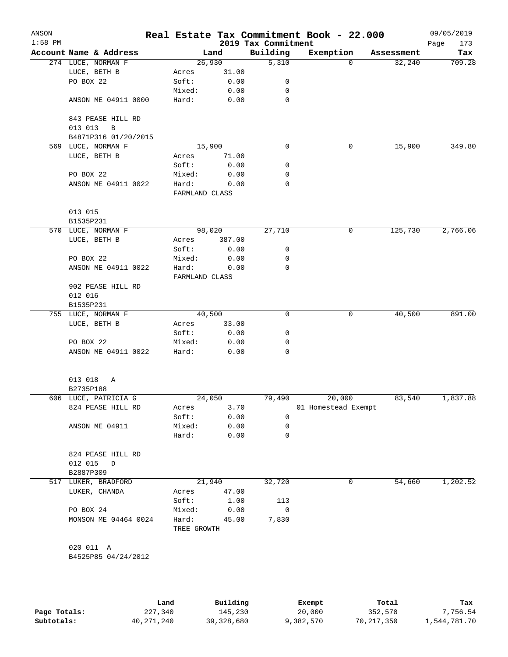| ANSON<br>$1:58$ PM |                                   |                |        | 2019 Tax Commitment | Real Estate Tax Commitment Book - 22.000 |            | 09/05/2019<br>Page<br>173 |
|--------------------|-----------------------------------|----------------|--------|---------------------|------------------------------------------|------------|---------------------------|
|                    | Account Name & Address            |                | Land   | Building            | Exemption                                | Assessment | Tax                       |
|                    | 274 LUCE, NORMAN F                |                | 26,930 | 5,310               | $\mathbf 0$                              | 32,240     | 709.28                    |
|                    | LUCE, BETH B                      | Acres          | 31.00  |                     |                                          |            |                           |
|                    | PO BOX 22                         | Soft:          | 0.00   | 0                   |                                          |            |                           |
|                    |                                   | Mixed:         | 0.00   | 0                   |                                          |            |                           |
|                    | ANSON ME 04911 0000               | Hard:          | 0.00   | 0                   |                                          |            |                           |
|                    | 843 PEASE HILL RD<br>013 013<br>B |                |        |                     |                                          |            |                           |
|                    | B4871P316 01/20/2015              |                |        |                     |                                          |            |                           |
|                    | 569 LUCE, NORMAN F                |                | 15,900 | 0                   | 0                                        | 15,900     | 349.80                    |
|                    | LUCE, BETH B                      | Acres          | 71.00  |                     |                                          |            |                           |
|                    |                                   | Soft:          | 0.00   | 0                   |                                          |            |                           |
|                    | PO BOX 22                         | Mixed:         | 0.00   | 0                   |                                          |            |                           |
|                    | ANSON ME 04911 0022               | Hard:          | 0.00   | 0                   |                                          |            |                           |
|                    |                                   | FARMLAND CLASS |        |                     |                                          |            |                           |
|                    | 013 015                           |                |        |                     |                                          |            |                           |
|                    | B1535P231                         |                |        |                     |                                          |            |                           |
|                    | 570 LUCE, NORMAN F                |                | 98,020 | 27,710              | 0                                        | 125,730    | 2,766.06                  |
|                    | LUCE, BETH B                      | Acres          | 387.00 |                     |                                          |            |                           |
|                    |                                   | Soft:          | 0.00   | 0                   |                                          |            |                           |
|                    | PO BOX 22                         | Mixed:         | 0.00   | 0                   |                                          |            |                           |
|                    | ANSON ME 04911 0022               | Hard:          | 0.00   | 0                   |                                          |            |                           |
|                    |                                   | FARMLAND CLASS |        |                     |                                          |            |                           |
|                    | 902 PEASE HILL RD                 |                |        |                     |                                          |            |                           |
|                    | 012 016                           |                |        |                     |                                          |            |                           |
|                    | B1535P231                         |                |        |                     |                                          |            |                           |
|                    | 755 LUCE, NORMAN F                |                | 40,500 | 0                   | 0                                        | 40,500     | 891.00                    |
|                    | LUCE, BETH B                      | Acres          | 33.00  |                     |                                          |            |                           |
|                    |                                   | Soft:          | 0.00   | 0                   |                                          |            |                           |
|                    | PO BOX 22                         | Mixed:         | 0.00   | 0                   |                                          |            |                           |
|                    | ANSON ME 04911 0022               | Hard:          | 0.00   | 0                   |                                          |            |                           |
|                    | 013 018<br>Α<br>B2735P188         |                |        |                     |                                          |            |                           |
|                    | 606 LUCE, PATRICIA G              |                | 24,050 | 79,490              | 20,000                                   | 83,540     | 1,837.88                  |
|                    | 824 PEASE HILL RD                 | Acres          | 3.70   |                     | 01 Homestead Exempt                      |            |                           |
|                    |                                   | Soft:          | 0.00   | 0                   |                                          |            |                           |
|                    | ANSON ME 04911                    | Mixed:         | 0.00   | 0                   |                                          |            |                           |
|                    |                                   | Hard:          | 0.00   | 0                   |                                          |            |                           |
|                    | 824 PEASE HILL RD                 |                |        |                     |                                          |            |                           |
|                    | 012 015<br>D                      |                |        |                     |                                          |            |                           |
|                    | B2887P309                         |                |        |                     |                                          |            |                           |
|                    | 517 LUKER, BRADFORD               |                | 21,940 | 32,720              | 0                                        | 54,660     | 1,202.52                  |
|                    | LUKER, CHANDA                     | Acres          | 47.00  |                     |                                          |            |                           |
|                    |                                   | Soft:          | 1.00   | 113                 |                                          |            |                           |
|                    | PO BOX 24                         | Mixed:         | 0.00   | 0                   |                                          |            |                           |
|                    | MONSON ME 04464 0024              | Hard:          | 45.00  | 7,830               |                                          |            |                           |
|                    |                                   | TREE GROWTH    |        |                     |                                          |            |                           |
|                    | 020 011 A                         |                |        |                     |                                          |            |                           |
|                    |                                   |                |        |                     |                                          |            |                           |
|                    | B4525P85 04/24/2012               |                |        |                     |                                          |            |                           |
|                    |                                   |                |        |                     |                                          |            |                           |
|                    |                                   |                |        |                     |                                          |            |                           |
|                    |                                   |                |        |                     |                                          |            |                           |
|                    |                                   |                |        |                     |                                          |            |                           |

|              | Land       | Building   | Exempt    | Total      | Tax          |
|--------------|------------|------------|-----------|------------|--------------|
| Page Totals: | 227,340    | 145,230    | 20,000    | 352,570    | 7.756.54     |
| Subtotals:   | 40,271,240 | 39,328,680 | 9,382,570 | 70,217,350 | 1,544,781.70 |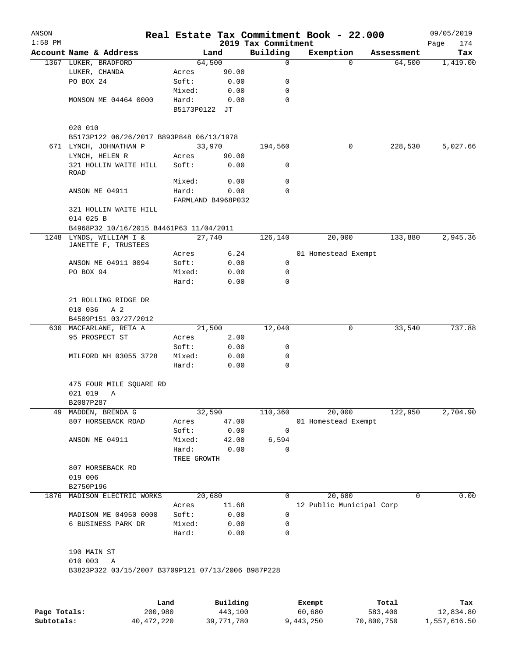| ANSON     |                                                    |                    |       |                                 | Real Estate Tax Commitment Book - 22.000 |             | 09/05/2019         |
|-----------|----------------------------------------------------|--------------------|-------|---------------------------------|------------------------------------------|-------------|--------------------|
| $1:58$ PM | Account Name & Address                             | Land               |       | 2019 Tax Commitment<br>Building | Exemption                                | Assessment  | Page<br>174<br>Tax |
|           | 1367 LUKER, BRADFORD                               | 64,500             |       | 0                               | $\Omega$                                 | 64,500      | 1,419.00           |
|           | LUKER, CHANDA                                      | Acres              | 90.00 |                                 |                                          |             |                    |
|           | PO BOX 24                                          | Soft:              | 0.00  | 0                               |                                          |             |                    |
|           |                                                    | Mixed:             | 0.00  | 0                               |                                          |             |                    |
|           |                                                    |                    |       | $\mathbf 0$                     |                                          |             |                    |
|           | MONSON ME 04464 0000                               | Hard:              | 0.00  |                                 |                                          |             |                    |
|           |                                                    | B5173P0122 JT      |       |                                 |                                          |             |                    |
|           | 020 010                                            |                    |       |                                 |                                          |             |                    |
|           | B5173P122 06/26/2017 B893P848 06/13/1978           |                    |       |                                 |                                          |             |                    |
|           | 671 LYNCH, JOHNATHAN P                             | 33,970             |       | 194,560                         | 0                                        | 228,530     | 5,027.66           |
|           | LYNCH, HELEN R                                     | Acres              | 90.00 |                                 |                                          |             |                    |
|           | 321 HOLLIN WAITE HILL                              | Soft:              | 0.00  | 0                               |                                          |             |                    |
|           | <b>ROAD</b>                                        |                    |       |                                 |                                          |             |                    |
|           |                                                    | Mixed:             | 0.00  | $\mathbf 0$                     |                                          |             |                    |
|           | ANSON ME 04911                                     | Hard:              | 0.00  | $\Omega$                        |                                          |             |                    |
|           |                                                    | FARMLAND B4968P032 |       |                                 |                                          |             |                    |
|           | 321 HOLLIN WAITE HILL                              |                    |       |                                 |                                          |             |                    |
|           | 014 025 B                                          |                    |       |                                 |                                          |             |                    |
|           | B4968P32 10/16/2015 B4461P63 11/04/2011            |                    |       |                                 |                                          |             |                    |
| 1248      | LYNDS, WILLIAM I &                                 | 27,740             |       | 126,140                         | 20,000                                   | 133,880     | 2,945.36           |
|           | JANETTE F, TRUSTEES                                |                    |       |                                 |                                          |             |                    |
|           |                                                    | Acres              | 6.24  |                                 | 01 Homestead Exempt                      |             |                    |
|           | ANSON ME 04911 0094                                | Soft:              | 0.00  | 0                               |                                          |             |                    |
|           | PO BOX 94                                          | Mixed:             | 0.00  | 0                               |                                          |             |                    |
|           |                                                    | Hard:              | 0.00  | 0                               |                                          |             |                    |
|           |                                                    |                    |       |                                 |                                          |             |                    |
|           | 21 ROLLING RIDGE DR                                |                    |       |                                 |                                          |             |                    |
|           | 010 036<br>A 2                                     |                    |       |                                 |                                          |             |                    |
|           | B4509P151 03/27/2012                               |                    |       |                                 |                                          |             |                    |
|           | 630 MACFARLANE, RETA A                             | 21,500             |       | 12,040                          | 0                                        | 33,540      | 737.88             |
|           | 95 PROSPECT ST                                     | Acres              | 2.00  |                                 |                                          |             |                    |
|           |                                                    | Soft:              | 0.00  | 0                               |                                          |             |                    |
|           | MILFORD NH 03055 3728                              | Mixed:             | 0.00  | 0                               |                                          |             |                    |
|           |                                                    | Hard:              | 0.00  | 0                               |                                          |             |                    |
|           |                                                    |                    |       |                                 |                                          |             |                    |
|           | 475 FOUR MILE SQUARE RD                            |                    |       |                                 |                                          |             |                    |
|           | 021 019<br>Α                                       |                    |       |                                 |                                          |             |                    |
|           | B2087P287                                          |                    |       |                                 |                                          |             |                    |
| 49        | MADDEN, BRENDA G                                   | 32,590             |       | 110,360                         | 20,000                                   | 122,950     | 2,704.90           |
|           | 807 HORSEBACK ROAD                                 | Acres              | 47.00 |                                 | 01 Homestead Exempt                      |             |                    |
|           |                                                    | Soft:              | 0.00  | 0                               |                                          |             |                    |
|           | ANSON ME 04911                                     | Mixed:             | 42.00 | 6,594                           |                                          |             |                    |
|           |                                                    | Hard:              | 0.00  | $\Omega$                        |                                          |             |                    |
|           |                                                    | TREE GROWTH        |       |                                 |                                          |             |                    |
|           | 807 HORSEBACK RD                                   |                    |       |                                 |                                          |             |                    |
|           | 019 006                                            |                    |       |                                 |                                          |             |                    |
|           | B2750P196                                          |                    |       |                                 |                                          |             |                    |
| 1876      | MADISON ELECTRIC WORKS                             | 20,680             |       | 0                               | 20,680                                   | $\mathbf 0$ | 0.00               |
|           |                                                    | Acres              | 11.68 |                                 | 12 Public Municipal Corp                 |             |                    |
|           | MADISON ME 04950 0000                              | Soft:              | 0.00  | 0                               |                                          |             |                    |
|           | 6 BUSINESS PARK DR                                 | Mixed:             | 0.00  | 0                               |                                          |             |                    |
|           |                                                    | Hard:              | 0.00  | 0                               |                                          |             |                    |
|           |                                                    |                    |       |                                 |                                          |             |                    |
|           | 190 MAIN ST                                        |                    |       |                                 |                                          |             |                    |
|           | 010 003<br>A                                       |                    |       |                                 |                                          |             |                    |
|           | B3823P322 03/15/2007 B3709P121 07/13/2006 B987P228 |                    |       |                                 |                                          |             |                    |
|           |                                                    |                    |       |                                 |                                          |             |                    |
|           |                                                    |                    |       |                                 |                                          |             |                    |
|           |                                                    |                    |       |                                 |                                          |             |                    |

|              | Land       | Building   | Exempt    | Total      | Tax          |
|--------------|------------|------------|-----------|------------|--------------|
| Page Totals: | 200,980    | 443,100    | 60,680    | 583,400    | 12,834.80    |
| Subtotals:   | 40,472,220 | 39,771,780 | 9,443,250 | 70,800,750 | 1,557,616.50 |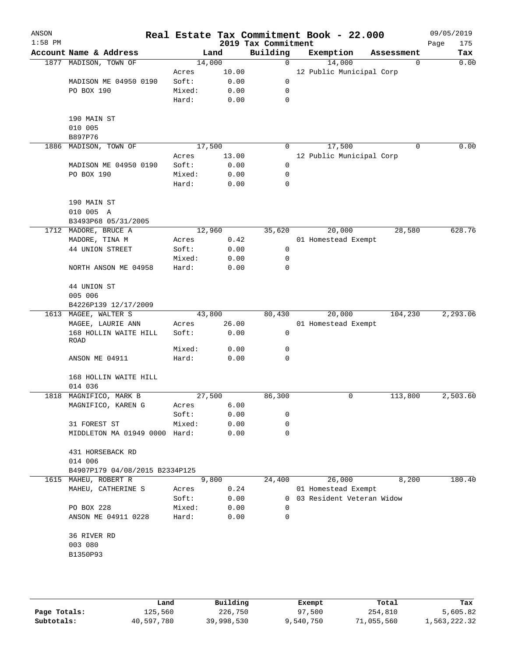| ANSON<br>$1:58$ PM |                                   |                 |              | 2019 Tax Commitment  | Real Estate Tax Commitment Book - 22.000 |            | 09/05/2019<br>Page<br>175 |
|--------------------|-----------------------------------|-----------------|--------------|----------------------|------------------------------------------|------------|---------------------------|
|                    | Account Name & Address            |                 | Land         | Building             | Exemption                                | Assessment | Tax                       |
|                    | 1877 MADISON, TOWN OF             | 14,000          |              | 0                    | 14,000                                   | $\Omega$   | 0.00                      |
|                    |                                   | Acres           | 10.00        |                      | 12 Public Municipal Corp                 |            |                           |
|                    | MADISON ME 04950 0190             | Soft:           | 0.00         | 0                    |                                          |            |                           |
|                    | PO BOX 190                        | Mixed:          | 0.00         | 0                    |                                          |            |                           |
|                    |                                   | Hard:           | 0.00         | 0                    |                                          |            |                           |
|                    | 190 MAIN ST                       |                 |              |                      |                                          |            |                           |
|                    | 010 005                           |                 |              |                      |                                          |            |                           |
|                    | B897P76                           |                 |              |                      |                                          |            |                           |
| 1886               | MADISON, TOWN OF                  | 17,500          |              | 0                    | 17,500                                   | 0          | 0.00                      |
|                    |                                   | Acres           | 13.00        |                      | 12 Public Municipal Corp                 |            |                           |
|                    | MADISON ME 04950 0190             | Soft:           | 0.00         | 0                    |                                          |            |                           |
|                    | PO BOX 190                        | Mixed:          | 0.00         | 0                    |                                          |            |                           |
|                    |                                   | Hard:           | 0.00         | 0                    |                                          |            |                           |
|                    | 190 MAIN ST                       |                 |              |                      |                                          |            |                           |
|                    | 010 005 A                         |                 |              |                      |                                          |            |                           |
|                    | B3493P68 05/31/2005               |                 |              |                      |                                          |            |                           |
|                    | 1712 MADORE, BRUCE A              | 12,960          |              | 35,620               | 20,000                                   | 28,580     | 628.76                    |
|                    | MADORE, TINA M                    | Acres           | 0.42         |                      | 01 Homestead Exempt                      |            |                           |
|                    | 44 UNION STREET                   | Soft:           | 0.00         | 0                    |                                          |            |                           |
|                    |                                   | Mixed:          | 0.00         | 0                    |                                          |            |                           |
|                    | NORTH ANSON ME 04958              | Hard:           | 0.00         | 0                    |                                          |            |                           |
|                    | 44 UNION ST                       |                 |              |                      |                                          |            |                           |
|                    | 005 006                           |                 |              |                      |                                          |            |                           |
|                    | B4226P139 12/17/2009              |                 |              |                      |                                          |            |                           |
|                    | 1613 MAGEE, WALTER S              | 43,800          |              | 80,430               | 20,000                                   | 104,230    | 2,293.06                  |
|                    | MAGEE, LAURIE ANN                 | Acres           | 26.00        |                      | 01 Homestead Exempt                      |            |                           |
|                    | 168 HOLLIN WAITE HILL<br>ROAD     | Soft:           | 0.00         | 0                    |                                          |            |                           |
|                    |                                   | Mixed:          | 0.00         | 0                    |                                          |            |                           |
|                    | ANSON ME 04911                    | Hard:           | 0.00         | 0                    |                                          |            |                           |
|                    | 168 HOLLIN WAITE HILL             |                 |              |                      |                                          |            |                           |
|                    | 014 036                           |                 |              |                      |                                          |            |                           |
| 1818               | MAGNIFICO, MARK B                 | 27,500          |              | 86,300               | 0                                        | 113,800    | 2,503.60                  |
|                    | MAGNIFICO, KAREN G                | Acres           | 6.00         |                      |                                          |            |                           |
|                    |                                   | Soft:           | 0.00         | 0                    |                                          |            |                           |
|                    | 31 FOREST ST                      | Mixed:          | 0.00         | 0                    |                                          |            |                           |
|                    | MIDDLETON MA 01949 0000 Hard:     |                 | 0.00         | $\Omega$             |                                          |            |                           |
|                    | 431 HORSEBACK RD                  |                 |              |                      |                                          |            |                           |
|                    | 014 006                           |                 |              |                      |                                          |            |                           |
|                    | B4907P179 04/08/2015 B2334P125    |                 |              |                      |                                          |            |                           |
|                    | 1615 MAHEU, ROBERT R              |                 | 9,800        | 24,400               | 26,000                                   | 8,200      | 180.40                    |
|                    | MAHEU, CATHERINE S                | Acres           | 0.24         |                      | 01 Homestead Exempt                      |            |                           |
|                    |                                   | Soft:           | 0.00         |                      | 0 03 Resident Veteran Widow              |            |                           |
|                    | PO BOX 228<br>ANSON ME 04911 0228 | Mixed:<br>Hard: | 0.00<br>0.00 | $\Omega$<br>$\Omega$ |                                          |            |                           |
|                    |                                   |                 |              |                      |                                          |            |                           |
|                    | 36 RIVER RD                       |                 |              |                      |                                          |            |                           |
|                    | 003 080                           |                 |              |                      |                                          |            |                           |
|                    | B1350P93                          |                 |              |                      |                                          |            |                           |
|                    |                                   |                 |              |                      |                                          |            |                           |
|                    |                                   |                 |              |                      |                                          |            |                           |
|                    |                                   |                 |              |                      |                                          |            |                           |

|              | Land       | Building   | Exempt    | Total      | Tax          |
|--------------|------------|------------|-----------|------------|--------------|
| Page Totals: | 125,560    | 226,750    | 97,500    | 254,810    | 5,605.82     |
| Subtotals:   | 40,597,780 | 39,998,530 | 9,540,750 | 71,055,560 | 1,563,222.32 |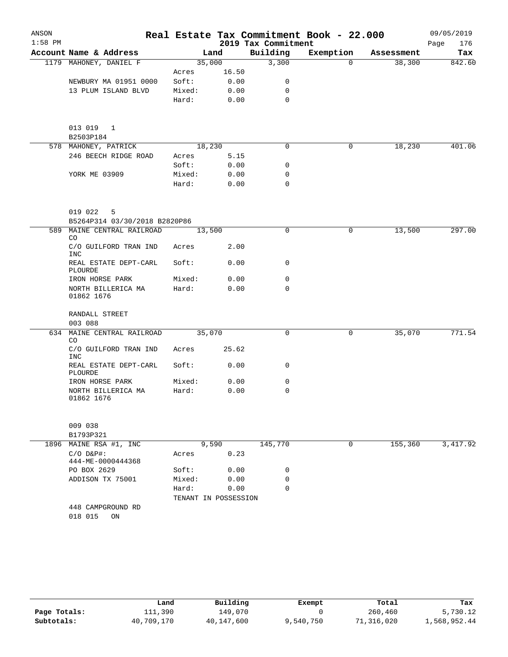| ANSON     |                                      |                      |       |                     | Real Estate Tax Commitment Book - 22.000 |            | 09/05/2019  |
|-----------|--------------------------------------|----------------------|-------|---------------------|------------------------------------------|------------|-------------|
| $1:58$ PM |                                      |                      |       | 2019 Tax Commitment |                                          |            | Page<br>176 |
|           | Account Name & Address               |                      | Land  | Building            | Exemption                                | Assessment | Tax         |
|           | 1179 MAHONEY, DANIEL F               | 35,000               |       | 3,300               | $\Omega$                                 | 38,300     | 842.60      |
|           |                                      | Acres                | 16.50 |                     |                                          |            |             |
|           | NEWBURY MA 01951 0000                | Soft:                | 0.00  | 0                   |                                          |            |             |
|           | 13 PLUM ISLAND BLVD                  | Mixed:               | 0.00  | 0                   |                                          |            |             |
|           |                                      | Hard:                | 0.00  | 0                   |                                          |            |             |
|           | 013 019<br>$\mathbf{1}$              |                      |       |                     |                                          |            |             |
|           | B2503P184                            |                      |       |                     |                                          |            |             |
|           | 578 MAHONEY, PATRICK                 | 18,230               |       | 0                   | 0                                        | 18,230     | 401.06      |
|           | 246 BEECH RIDGE ROAD                 | Acres                | 5.15  |                     |                                          |            |             |
|           |                                      | Soft:                | 0.00  | 0                   |                                          |            |             |
|           | YORK ME 03909                        | Mixed:               | 0.00  | 0                   |                                          |            |             |
|           |                                      | Hard:                | 0.00  | 0                   |                                          |            |             |
|           | 019 022<br>5                         |                      |       |                     |                                          |            |             |
|           | B5264P314 03/30/2018 B2820P86        |                      |       |                     |                                          |            |             |
| 589       | MAINE CENTRAL RAILROAD<br>CO.        | 13,500               |       | 0                   | 0                                        | 13,500     | 297.00      |
|           | C/O GUILFORD TRAN IND<br><b>INC</b>  | Acres                | 2.00  |                     |                                          |            |             |
|           | REAL ESTATE DEPT-CARL<br>PLOURDE     | Soft:                | 0.00  | 0                   |                                          |            |             |
|           | IRON HORSE PARK                      | Mixed:               | 0.00  | 0                   |                                          |            |             |
|           | NORTH BILLERICA MA<br>01862 1676     | Hard:                | 0.00  | 0                   |                                          |            |             |
|           | RANDALL STREET                       |                      |       |                     |                                          |            |             |
|           | 003 088                              |                      |       |                     |                                          |            |             |
| 634       | MAINE CENTRAL RAILROAD<br>CO         | 35,070               |       | 0                   | 0                                        | 35,070     | 771.54      |
|           | C/O GUILFORD TRAN IND<br>INC         | Acres                | 25.62 |                     |                                          |            |             |
|           | REAL ESTATE DEPT-CARL<br>PLOURDE     | Soft:                | 0.00  | 0                   |                                          |            |             |
|           | IRON HORSE PARK                      | Mixed:               | 0.00  | 0                   |                                          |            |             |
|           | NORTH BILLERICA MA<br>01862 1676     | Hard:                | 0.00  | 0                   |                                          |            |             |
|           | 009 038                              |                      |       |                     |                                          |            |             |
|           | B1793P321                            |                      |       |                     |                                          |            |             |
| 1896      | MAINE RSA #1, INC                    | 9,590                |       | 145,770             | 0                                        | 155,360    | 3,417.92    |
|           | $C/O$ $D\&P$ #:<br>444-ME-0000444368 | Acres                | 0.23  |                     |                                          |            |             |
|           | PO BOX 2629                          | Soft:                | 0.00  | 0                   |                                          |            |             |
|           | ADDISON TX 75001                     | Mixed:               | 0.00  | 0                   |                                          |            |             |
|           |                                      | Hard:                | 0.00  | $\Omega$            |                                          |            |             |
|           |                                      | TENANT IN POSSESSION |       |                     |                                          |            |             |
|           | 448 CAMPGROUND RD                    |                      |       |                     |                                          |            |             |
|           | 018 015<br>ON                        |                      |       |                     |                                          |            |             |

|              | Land       | Building   | Exempt    | Total      | Tax          |
|--------------|------------|------------|-----------|------------|--------------|
| Page Totals: | 111,390    | 149,070    |           | 260,460    | 5,730.12     |
| Subtotals:   | 40,709,170 | 40,147,600 | 9,540,750 | 71,316,020 | 1,568,952.44 |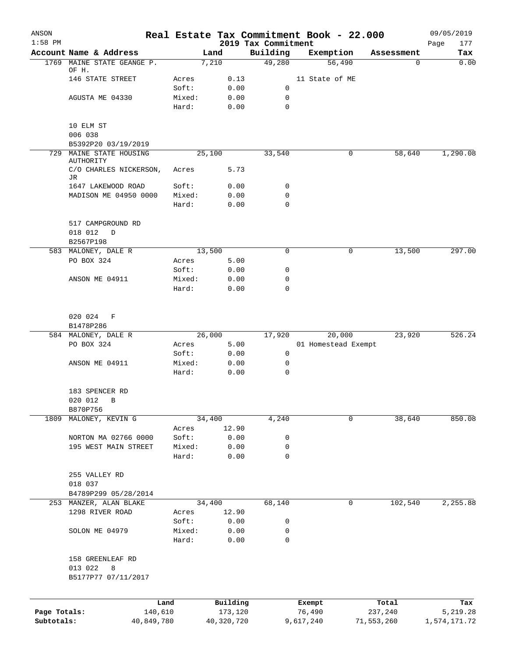| ANSON        |                                              |                 |                     |                                 | Real Estate Tax Commitment Book - 22.000 |                  | 09/05/2019         |
|--------------|----------------------------------------------|-----------------|---------------------|---------------------------------|------------------------------------------|------------------|--------------------|
| $1:58$ PM    | Account Name & Address                       |                 | Land                | 2019 Tax Commitment<br>Building | Exemption                                | Assessment       | 177<br>Page<br>Tax |
| 1769         | MAINE STATE GEANGE P.                        |                 | 7,210               | 49,280                          | 56,490                                   | 0                | 0.00               |
|              | OF H.<br>146 STATE STREET                    | Acres           | 0.13                |                                 | 11 State of ME                           |                  |                    |
|              |                                              | Soft:           | 0.00                | $\mathbf 0$                     |                                          |                  |                    |
|              | AGUSTA ME 04330                              | Mixed:          | 0.00                | 0                               |                                          |                  |                    |
|              |                                              | Hard:           | 0.00                | 0                               |                                          |                  |                    |
|              | 10 ELM ST                                    |                 |                     |                                 |                                          |                  |                    |
|              | 006 038                                      |                 |                     |                                 |                                          |                  |                    |
| 729          | B5392P20 03/19/2019<br>MAINE STATE HOUSING   |                 | 25,100              | 33,540                          | 0                                        | 58,640           | 1,290.08           |
|              | AUTHORITY                                    |                 |                     |                                 |                                          |                  |                    |
|              | C/O CHARLES NICKERSON,<br>JR                 | Acres           | 5.73                |                                 |                                          |                  |                    |
|              | 1647 LAKEWOOD ROAD                           | Soft:           | 0.00                | 0                               |                                          |                  |                    |
|              | MADISON ME 04950 0000                        | Mixed:          | 0.00                | 0                               |                                          |                  |                    |
|              |                                              | Hard:           | 0.00                | 0                               |                                          |                  |                    |
|              | 517 CAMPGROUND RD                            |                 |                     |                                 |                                          |                  |                    |
|              | 018 012<br>D                                 |                 |                     |                                 |                                          |                  |                    |
|              | B2567P198                                    |                 |                     |                                 |                                          |                  |                    |
|              | 583 MALONEY, DALE R                          |                 | 13,500              | 0                               | 0                                        | 13,500           | 297.00             |
|              | PO BOX 324                                   | Acres           | 5.00                | 0                               |                                          |                  |                    |
|              | ANSON ME 04911                               | Soft:<br>Mixed: | 0.00<br>0.00        | 0                               |                                          |                  |                    |
|              |                                              | Hard:           | 0.00                | $\mathbf 0$                     |                                          |                  |                    |
|              | 020 024<br>F                                 |                 |                     |                                 |                                          |                  |                    |
|              | B1478P286                                    |                 |                     |                                 |                                          |                  |                    |
|              | 584 MALONEY, DALE R                          |                 | 26,000              | 17,920                          | 20,000                                   | 23,920           | 526.24             |
|              | PO BOX 324                                   | Acres           | 5.00                |                                 | 01 Homestead Exempt                      |                  |                    |
|              |                                              | Soft:           | 0.00                | 0                               |                                          |                  |                    |
|              | ANSON ME 04911                               | Mixed:<br>Hard: | 0.00<br>0.00        | 0<br>$\mathbf 0$                |                                          |                  |                    |
|              | 183 SPENCER RD                               |                 |                     |                                 |                                          |                  |                    |
|              | 020 012 B                                    |                 |                     |                                 |                                          |                  |                    |
|              | B870P756                                     |                 |                     |                                 |                                          |                  |                    |
| 1809         | MALONEY, KEVIN G                             |                 | 34,400              | 4,240                           | 0                                        | 38,640           | 850.08             |
|              |                                              | Acres           | 12.90               |                                 |                                          |                  |                    |
|              | NORTON MA 02766 0000<br>195 WEST MAIN STREET | Soft:<br>Mixed: | 0.00<br>0.00        | 0<br>0                          |                                          |                  |                    |
|              |                                              | Hard:           | 0.00                | 0                               |                                          |                  |                    |
|              | 255 VALLEY RD                                |                 |                     |                                 |                                          |                  |                    |
|              | 018 037                                      |                 |                     |                                 |                                          |                  |                    |
|              | B4789P299 05/28/2014                         |                 |                     |                                 |                                          |                  |                    |
|              | 253 MANZER, ALAN BLAKE                       |                 | 34,400              | 68,140                          | 0                                        | 102,540          | 2,255.88           |
|              | 1298 RIVER ROAD                              | Acres           | 12.90               |                                 |                                          |                  |                    |
|              |                                              | Soft:           | 0.00                | 0                               |                                          |                  |                    |
|              | SOLON ME 04979                               | Mixed:          | 0.00                | 0                               |                                          |                  |                    |
|              |                                              | Hard:           | 0.00                | 0                               |                                          |                  |                    |
|              | 158 GREENLEAF RD                             |                 |                     |                                 |                                          |                  |                    |
|              | 013 022<br>8<br>B5177P77 07/11/2017          |                 |                     |                                 |                                          |                  |                    |
|              |                                              |                 |                     |                                 |                                          |                  |                    |
| Page Totals: | 140,610                                      | Land            | Building<br>173,120 |                                 | Exempt<br>76,490                         | Total<br>237,240 | Tax<br>5,219.28    |
| Subtotals:   | 40,849,780                                   |                 | 40,320,720          |                                 | 9,617,240                                | 71,553,260       | 1,574,171.72       |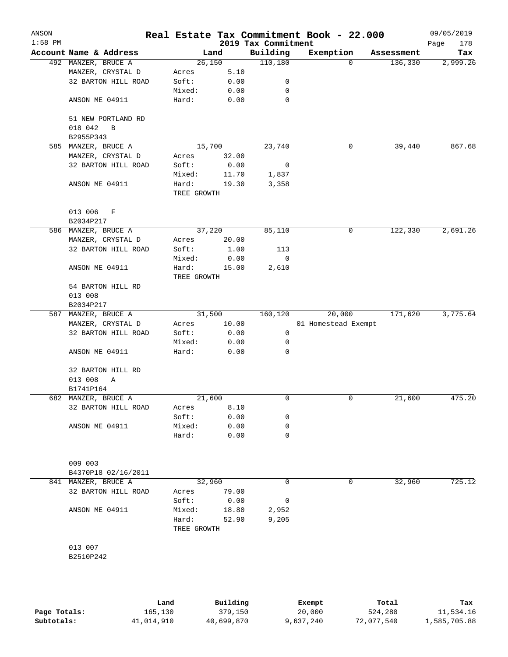| ANSON<br>$1:58$ PM |                                    |             |        | 2019 Tax Commitment | Real Estate Tax Commitment Book - 22.000 |            | 09/05/2019<br>178<br>Page |
|--------------------|------------------------------------|-------------|--------|---------------------|------------------------------------------|------------|---------------------------|
|                    | Account Name & Address             |             | Land   | Building            | Exemption                                | Assessment | Tax                       |
|                    | 492 MANZER, BRUCE A                | 26,150      |        | 110, 180            | $\Omega$                                 | 136,330    | 2,999.26                  |
|                    | MANZER, CRYSTAL D                  | Acres       | 5.10   |                     |                                          |            |                           |
|                    | 32 BARTON HILL ROAD                | Soft:       | 0.00   | 0                   |                                          |            |                           |
|                    |                                    | Mixed:      | 0.00   | 0                   |                                          |            |                           |
|                    | ANSON ME 04911                     | Hard:       | 0.00   | $\mathbf 0$         |                                          |            |                           |
|                    | 51 NEW PORTLAND RD<br>018 042<br>B |             |        |                     |                                          |            |                           |
|                    | B2955P343                          |             |        |                     |                                          |            |                           |
|                    | 585 MANZER, BRUCE A                | 15,700      |        | 23,740              | 0                                        | 39,440     | 867.68                    |
|                    | MANZER, CRYSTAL D                  | Acres       | 32.00  |                     |                                          |            |                           |
|                    | 32 BARTON HILL ROAD                | Soft:       | 0.00   | 0                   |                                          |            |                           |
|                    |                                    | Mixed:      | 11.70  | 1,837               |                                          |            |                           |
|                    | ANSON ME 04911                     | Hard:       | 19.30  | 3,358               |                                          |            |                           |
|                    |                                    | TREE GROWTH |        |                     |                                          |            |                           |
|                    | 013 006<br>F                       |             |        |                     |                                          |            |                           |
|                    | B2034P217                          |             |        |                     |                                          |            |                           |
|                    | 586 MANZER, BRUCE A                | 37,220      |        | 85,110              | 0                                        | 122,330    | 2,691.26                  |
|                    | MANZER, CRYSTAL D                  | Acres       | 20.00  |                     |                                          |            |                           |
|                    | 32 BARTON HILL ROAD                | Soft:       | 1.00   | 113                 |                                          |            |                           |
|                    |                                    | Mixed:      | 0.00   | 0                   |                                          |            |                           |
|                    | ANSON ME 04911                     | Hard:       | 15.00  | 2,610               |                                          |            |                           |
|                    |                                    | TREE GROWTH |        |                     |                                          |            |                           |
|                    | 54 BARTON HILL RD                  |             |        |                     |                                          |            |                           |
|                    | 013 008                            |             |        |                     |                                          |            |                           |
|                    | B2034P217                          |             |        |                     |                                          |            |                           |
|                    | 587 MANZER, BRUCE A                |             | 31,500 | 160,120             | 20,000                                   | 171,620    | 3,775.64                  |
|                    | MANZER, CRYSTAL D                  | Acres       | 10.00  |                     | 01 Homestead Exempt                      |            |                           |
|                    | 32 BARTON HILL ROAD                | Soft:       | 0.00   | 0                   |                                          |            |                           |
|                    |                                    | Mixed:      | 0.00   | 0                   |                                          |            |                           |
|                    | ANSON ME 04911                     | Hard:       | 0.00   | 0                   |                                          |            |                           |
|                    | 32 BARTON HILL RD                  |             |        |                     |                                          |            |                           |
|                    | 013 008<br>Α<br>B1741P164          |             |        |                     |                                          |            |                           |
|                    | 682 MANZER, BRUCE A                | 21,600      |        | 0                   | 0                                        | 21,600     | 475.20                    |
|                    |                                    |             |        |                     |                                          |            |                           |
|                    | 32 BARTON HILL ROAD                | Acres       | 8.10   |                     |                                          |            |                           |
|                    |                                    | Soft:       | 0.00   | 0                   |                                          |            |                           |
|                    | ANSON ME 04911                     | Mixed:      | 0.00   | 0                   |                                          |            |                           |
|                    |                                    | Hard:       | 0.00   | 0                   |                                          |            |                           |
|                    | 009 003                            |             |        |                     |                                          |            |                           |
|                    | B4370P18 02/16/2011                |             |        |                     |                                          |            |                           |
|                    | 841 MANZER, BRUCE A                | 32,960      |        | 0                   | 0                                        | 32,960     | 725.12                    |
|                    | 32 BARTON HILL ROAD                | Acres       | 79.00  |                     |                                          |            |                           |
|                    |                                    | Soft:       | 0.00   | 0                   |                                          |            |                           |
|                    | ANSON ME 04911                     | Mixed:      | 18.80  | 2,952               |                                          |            |                           |
|                    |                                    | Hard:       | 52.90  | 9,205               |                                          |            |                           |
|                    |                                    | TREE GROWTH |        |                     |                                          |            |                           |
|                    | 013 007                            |             |        |                     |                                          |            |                           |
|                    | B2510P242                          |             |        |                     |                                          |            |                           |
|                    |                                    |             |        |                     |                                          |            |                           |
|                    |                                    |             |        |                     |                                          |            |                           |
|                    |                                    |             |        |                     |                                          |            |                           |
|                    |                                    |             |        |                     |                                          |            |                           |

|              | Land       | Building   | Exempt    | Total      | Tax          |
|--------------|------------|------------|-----------|------------|--------------|
| Page Totals: | 165,130    | 379,150    | 20,000    | 524,280    | 11,534.16    |
| Subtotals:   | 41,014,910 | 40,699,870 | 9,637,240 | 72,077,540 | 1,585,705.88 |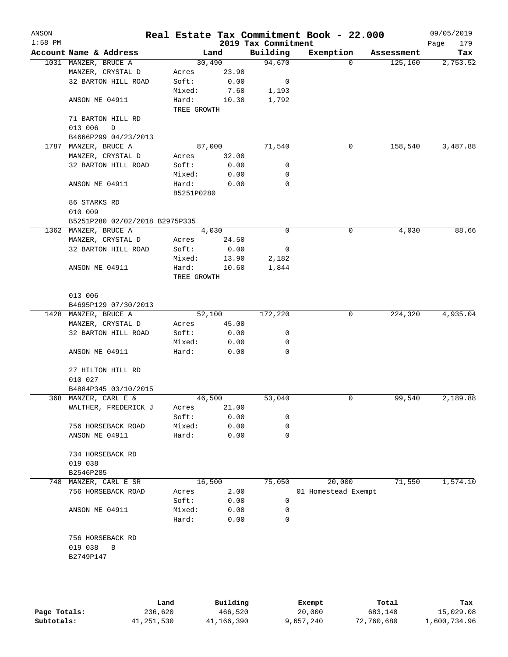| ANSON<br>$1:58$ PM |                                |                      |       | 2019 Tax Commitment | Real Estate Tax Commitment Book - 22.000 |            | 09/05/2019<br>Page<br>179 |
|--------------------|--------------------------------|----------------------|-------|---------------------|------------------------------------------|------------|---------------------------|
|                    | Account Name & Address         |                      | Land  | Building            | Exemption                                | Assessment | Tax                       |
|                    | 1031 MANZER, BRUCE A           | 30,490               |       | 94,670              | 0                                        | 125,160    | 2,753.52                  |
|                    | MANZER, CRYSTAL D              | Acres                | 23.90 |                     |                                          |            |                           |
|                    | 32 BARTON HILL ROAD            | Soft:                | 0.00  | 0                   |                                          |            |                           |
|                    |                                | Mixed:               | 7.60  | 1,193               |                                          |            |                           |
|                    | ANSON ME 04911                 | Hard:<br>TREE GROWTH | 10.30 | 1,792               |                                          |            |                           |
|                    | 71 BARTON HILL RD              |                      |       |                     |                                          |            |                           |
|                    | 013 006<br>D                   |                      |       |                     |                                          |            |                           |
|                    | B4666P299 04/23/2013           |                      |       |                     |                                          |            |                           |
|                    | 1787 MANZER, BRUCE A           | 87,000               |       | 71,540              | 0                                        | 158,540    | 3,487.88                  |
|                    | MANZER, CRYSTAL D              | Acres                | 32.00 |                     |                                          |            |                           |
|                    | 32 BARTON HILL ROAD            | Soft:                | 0.00  | 0                   |                                          |            |                           |
|                    |                                | Mixed:               | 0.00  | 0                   |                                          |            |                           |
|                    | ANSON ME 04911                 | Hard:                | 0.00  | 0                   |                                          |            |                           |
|                    |                                | B5251P0280           |       |                     |                                          |            |                           |
|                    | 86 STARKS RD                   |                      |       |                     |                                          |            |                           |
|                    | 010 009                        |                      |       |                     |                                          |            |                           |
|                    | B5251P280 02/02/2018 B2975P335 |                      |       |                     |                                          |            |                           |
|                    | 1362 MANZER, BRUCE A           |                      | 4,030 | $\mathbf 0$         | 0                                        | 4,030      | 88.66                     |
|                    | MANZER, CRYSTAL D              | Acres                | 24.50 |                     |                                          |            |                           |
|                    | 32 BARTON HILL ROAD            | Soft:                | 0.00  | 0                   |                                          |            |                           |
|                    |                                | Mixed:               | 13.90 | 2,182               |                                          |            |                           |
|                    | ANSON ME 04911                 | Hard:                | 10.60 | 1,844               |                                          |            |                           |
|                    |                                | TREE GROWTH          |       |                     |                                          |            |                           |
|                    | 013 006                        |                      |       |                     |                                          |            |                           |
|                    | B4695P129 07/30/2013           |                      |       |                     |                                          |            |                           |
|                    | 1428 MANZER, BRUCE A           | 52,100               |       | 172,220             | 0                                        | 224,320    | 4,935.04                  |
|                    | MANZER, CRYSTAL D              | Acres                | 45.00 |                     |                                          |            |                           |
|                    | 32 BARTON HILL ROAD            | Soft:                | 0.00  | 0                   |                                          |            |                           |
|                    |                                | Mixed:               | 0.00  | 0                   |                                          |            |                           |
|                    | ANSON ME 04911                 | Hard:                | 0.00  | 0                   |                                          |            |                           |
|                    | 27 HILTON HILL RD              |                      |       |                     |                                          |            |                           |
|                    | 010 027                        |                      |       |                     |                                          |            |                           |
|                    | B4884P345 03/10/2015           |                      |       |                     |                                          |            |                           |
|                    | 368 MANZER, CARL E &           | 46,500               |       | 53,040              | 0                                        | 99,540     | 2,189.88                  |
|                    | WALTHER, FREDERICK J           | Acres                | 21.00 |                     |                                          |            |                           |
|                    |                                | Soft:                | 0.00  | 0                   |                                          |            |                           |
|                    | 756 HORSEBACK ROAD             | Mixed:               | 0.00  | 0                   |                                          |            |                           |
|                    | ANSON ME 04911                 | Hard:                | 0.00  | 0                   |                                          |            |                           |
|                    | 734 HORSEBACK RD               |                      |       |                     |                                          |            |                           |
|                    | 019 038                        |                      |       |                     |                                          |            |                           |
|                    | B2546P285                      |                      |       |                     |                                          |            |                           |
| 748                | MANZER, CARL E SR              | 16,500               |       | 75,050              | 20,000                                   | 71,550     | 1,574.10                  |
|                    | 756 HORSEBACK ROAD             | Acres                | 2.00  |                     | 01 Homestead Exempt                      |            |                           |
|                    |                                | Soft:                | 0.00  | 0                   |                                          |            |                           |
|                    | ANSON ME 04911                 | Mixed:               | 0.00  | 0                   |                                          |            |                           |
|                    |                                | Hard:                | 0.00  | 0                   |                                          |            |                           |
|                    | 756 HORSEBACK RD               |                      |       |                     |                                          |            |                           |
|                    | 019 038<br>B                   |                      |       |                     |                                          |            |                           |
|                    | B2749P147                      |                      |       |                     |                                          |            |                           |
|                    |                                |                      |       |                     |                                          |            |                           |
|                    |                                |                      |       |                     |                                          |            |                           |
|                    |                                |                      |       |                     |                                          |            |                           |

|              | Land       | Building   | Exempt    | Total      | Tax          |
|--------------|------------|------------|-----------|------------|--------------|
| Page Totals: | 236,620    | 466,520    | 20,000    | 683,140    | 15,029.08    |
| Subtotals:   | 41,251,530 | 41,166,390 | 9,657,240 | 72,760,680 | 1,600,734.96 |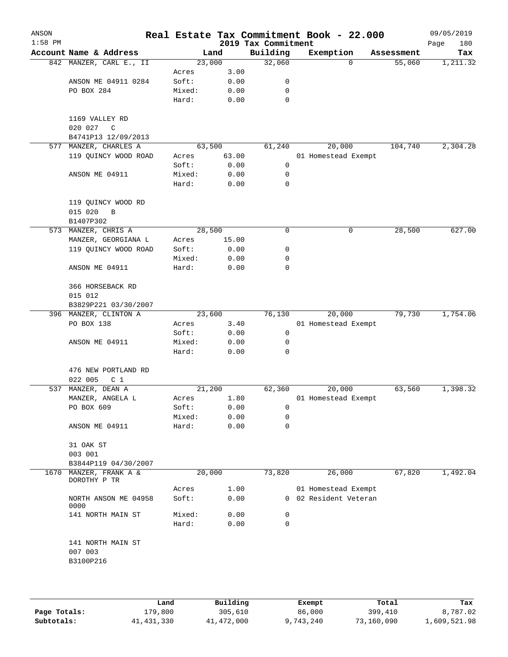| ANSON<br>$1:58$ PM |                                             |                |       | 2019 Tax Commitment | Real Estate Tax Commitment Book - 22.000 |            | 09/05/2019<br>180<br>Page |
|--------------------|---------------------------------------------|----------------|-------|---------------------|------------------------------------------|------------|---------------------------|
|                    | Account Name & Address                      |                | Land  | Building            | Exemption                                | Assessment | Tax                       |
|                    | 842 MANZER, CARL E., II                     | 23,000         |       | 32,060              | $\Omega$                                 | 55,060     | 1,211.32                  |
|                    |                                             | Acres          | 3.00  |                     |                                          |            |                           |
|                    | ANSON ME 04911 0284                         | Soft:          | 0.00  | 0                   |                                          |            |                           |
|                    | PO BOX 284                                  | Mixed:         | 0.00  | $\mathbf 0$         |                                          |            |                           |
|                    |                                             | Hard:          | 0.00  | $\mathbf 0$         |                                          |            |                           |
|                    | 1169 VALLEY RD                              |                |       |                     |                                          |            |                           |
|                    | 020 027<br>$\mathcal{C}$                    |                |       |                     |                                          |            |                           |
|                    | B4741P13 12/09/2013                         |                |       |                     |                                          |            |                           |
| 577                | MANZER, CHARLES A<br>119 QUINCY WOOD ROAD   | 63,500         | 63.00 | 61,240              | 20,000<br>01 Homestead Exempt            | 104,740    | 2,304.28                  |
|                    |                                             | Acres<br>Soft: | 0.00  | $\mathsf{O}$        |                                          |            |                           |
|                    | ANSON ME 04911                              | Mixed:         | 0.00  | 0                   |                                          |            |                           |
|                    |                                             | Hard:          | 0.00  | $\mathbf 0$         |                                          |            |                           |
|                    |                                             |                |       |                     |                                          |            |                           |
|                    | 119 QUINCY WOOD RD                          |                |       |                     |                                          |            |                           |
|                    | 015 020<br>$\, {\bf B}$                     |                |       |                     |                                          |            |                           |
|                    | B1407P302                                   |                |       |                     |                                          |            |                           |
|                    | 573 MANZER, CHRIS A                         | 28,500         |       | 0                   | 0                                        | 28,500     | 627.00                    |
|                    | MANZER, GEORGIANA L                         | Acres          | 15.00 |                     |                                          |            |                           |
|                    | 119 QUINCY WOOD ROAD                        | Soft:          | 0.00  | 0                   |                                          |            |                           |
|                    |                                             | Mixed:         | 0.00  | 0                   |                                          |            |                           |
|                    | ANSON ME 04911                              | Hard:          | 0.00  | 0                   |                                          |            |                           |
|                    | 366 HORSEBACK RD<br>015 012                 |                |       |                     |                                          |            |                           |
|                    | B3829P221 03/30/2007                        |                |       |                     |                                          |            |                           |
|                    | 396 MANZER, CLINTON A                       | 23,600         |       | 76,130              | 20,000                                   | 79,730     | 1,754.06                  |
|                    | PO BOX 138                                  | Acres          | 3.40  |                     | 01 Homestead Exempt                      |            |                           |
|                    |                                             | Soft:          | 0.00  | 0                   |                                          |            |                           |
|                    | ANSON ME 04911                              | Mixed:         | 0.00  | 0                   |                                          |            |                           |
|                    |                                             | Hard:          | 0.00  | $\Omega$            |                                          |            |                           |
|                    |                                             |                |       |                     |                                          |            |                           |
|                    | 476 NEW PORTLAND RD                         |                |       |                     |                                          |            |                           |
| 537                | 022 005<br>C <sub>1</sub><br>MANZER, DEAN A | 21,200         |       | 62,360              | 20,000                                   | 63,560     | 1,398.32                  |
|                    | MANZER, ANGELA L                            | Acres          | 1.80  |                     | 01 Homestead Exempt                      |            |                           |
|                    | PO BOX 609                                  | Soft:          | 0.00  | 0                   |                                          |            |                           |
|                    |                                             | Mixed:         | 0.00  | 0                   |                                          |            |                           |
|                    | ANSON ME 04911                              | Hard:          | 0.00  | 0                   |                                          |            |                           |
|                    |                                             |                |       |                     |                                          |            |                           |
|                    | 31 OAK ST                                   |                |       |                     |                                          |            |                           |
|                    | 003 001                                     |                |       |                     |                                          |            |                           |
|                    | B3844P119 04/30/2007                        |                |       |                     |                                          |            |                           |
| 1670               | MANZER, FRANK A &<br>DOROTHY P TR           | 20,000         |       | 73,820              | 26,000                                   | 67,820     | 1,492.04                  |
|                    |                                             | Acres          | 1.00  |                     | 01 Homestead Exempt                      |            |                           |
|                    | NORTH ANSON ME 04958<br>0000                | Soft:          | 0.00  |                     | 0 02 Resident Veteran                    |            |                           |
|                    | 141 NORTH MAIN ST                           | Mixed:         | 0.00  | 0                   |                                          |            |                           |
|                    |                                             | Hard:          | 0.00  | 0                   |                                          |            |                           |
|                    | 141 NORTH MAIN ST<br>007 003<br>B3100P216   |                |       |                     |                                          |            |                           |

|              | Land       | Building   | Exempt    | Total      | Tax          |
|--------------|------------|------------|-----------|------------|--------------|
| Page Totals: | L79,800    | 305,610    | 86,000    | 399,410    | 8,787.02     |
| Subtotals:   | 41,431,330 | 41,472,000 | 9,743,240 | 73,160,090 | l,609,521.98 |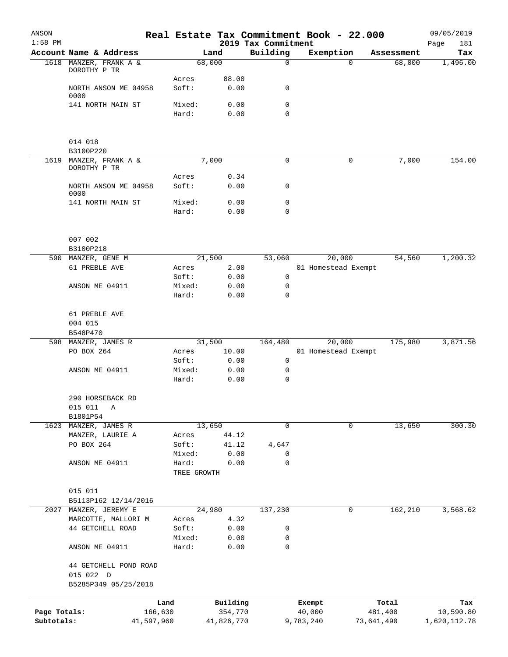| ANSON<br>$1:58$ PM |                                         |                      |                     | 2019 Tax Commitment | Real Estate Tax Commitment Book - 22.000 |            |                  | 09/05/2019<br>Page<br>181 |
|--------------------|-----------------------------------------|----------------------|---------------------|---------------------|------------------------------------------|------------|------------------|---------------------------|
|                    | Account Name & Address                  |                      | Land                | Building            | Exemption                                |            | Assessment       | Tax                       |
|                    | 1618 MANZER, FRANK A &<br>DOROTHY P TR  |                      | 68,000              | $\mathbf 0$         |                                          | $\Omega$   | 68,000           | 1,496.00                  |
|                    | NORTH ANSON ME 04958<br>0000            | Acres<br>Soft:       | 88.00<br>0.00       | $\mathsf{O}$        |                                          |            |                  |                           |
|                    | 141 NORTH MAIN ST                       | Mixed:               | 0.00                | 0                   |                                          |            |                  |                           |
|                    |                                         | Hard:                | 0.00                | $\mathbf 0$         |                                          |            |                  |                           |
|                    | 014 018                                 |                      |                     |                     |                                          |            |                  |                           |
|                    | B3100P220                               |                      | 7,000               | 0                   |                                          | 0          |                  | 154.00                    |
| 1619               | MANZER, FRANK A &<br>DOROTHY P TR       |                      |                     |                     |                                          |            | 7,000            |                           |
|                    |                                         | Acres                | 0.34                |                     |                                          |            |                  |                           |
|                    | NORTH ANSON ME 04958<br>0000            | Soft:                | 0.00                | 0                   |                                          |            |                  |                           |
|                    | 141 NORTH MAIN ST                       | Mixed:               | 0.00                | $\mathbf 0$         |                                          |            |                  |                           |
|                    |                                         | Hard:                | 0.00                | $\mathbf 0$         |                                          |            |                  |                           |
|                    | 007 002                                 |                      |                     |                     |                                          |            |                  |                           |
|                    | B3100P218<br>590 MANZER, GENE M         |                      | 21,500              | 53,060              | 20,000                                   |            | 54,560           | 1,200.32                  |
|                    | 61 PREBLE AVE                           | Acres                | 2.00                |                     | 01 Homestead Exempt                      |            |                  |                           |
|                    |                                         | Soft:                | 0.00                | 0                   |                                          |            |                  |                           |
|                    | ANSON ME 04911                          | Mixed:               | 0.00                | 0                   |                                          |            |                  |                           |
|                    |                                         | Hard:                | 0.00                | 0                   |                                          |            |                  |                           |
|                    | 61 PREBLE AVE                           |                      |                     |                     |                                          |            |                  |                           |
|                    | 004 015<br>B548P470                     |                      |                     |                     |                                          |            |                  |                           |
|                    | 598 MANZER, JAMES R                     |                      | 31,500              | 164,480             | 20,000                                   |            | 175,980          | 3,871.56                  |
|                    | PO BOX 264                              | Acres                | 10.00               |                     | 01 Homestead Exempt                      |            |                  |                           |
|                    |                                         | Soft:                | 0.00                | $\mathsf{O}$        |                                          |            |                  |                           |
|                    | ANSON ME 04911                          | Mixed:<br>Hard:      | 0.00<br>0.00        | 0<br>0              |                                          |            |                  |                           |
|                    | 290 HORSEBACK RD                        |                      |                     |                     |                                          |            |                  |                           |
|                    | 015 011<br>Α                            |                      |                     |                     |                                          |            |                  |                           |
|                    | B1801P54<br>1623 MANZER, JAMES R        |                      | 13,650              | 0                   |                                          | 0          | 13,650           | 300.30                    |
|                    | MANZER, LAURIE A                        | Acres                | 44.12               |                     |                                          |            |                  |                           |
|                    | PO BOX 264                              | Soft:                | 41.12               | 4,647               |                                          |            |                  |                           |
|                    |                                         | Mixed:               | 0.00                | 0                   |                                          |            |                  |                           |
|                    | ANSON ME 04911                          | Hard:<br>TREE GROWTH | 0.00                | 0                   |                                          |            |                  |                           |
|                    | 015 011                                 |                      |                     |                     |                                          |            |                  |                           |
|                    | B5113P162 12/14/2016                    |                      |                     |                     |                                          |            |                  |                           |
| 2027               | MANZER, JEREMY E                        |                      | 24,980              | 137,230             |                                          | 0          | 162,210          | 3,568.62                  |
|                    | MARCOTTE, MALLORI M<br>44 GETCHELL ROAD | Acres<br>Soft:       | 4.32                | 0                   |                                          |            |                  |                           |
|                    |                                         | Mixed:               | 0.00<br>0.00        | 0                   |                                          |            |                  |                           |
|                    | ANSON ME 04911                          | Hard:                | 0.00                | 0                   |                                          |            |                  |                           |
|                    | 44 GETCHELL POND ROAD                   |                      |                     |                     |                                          |            |                  |                           |
|                    | 015 022 D<br>B5285P349 05/25/2018       |                      |                     |                     |                                          |            |                  |                           |
|                    |                                         |                      |                     |                     |                                          |            |                  |                           |
| Page Totals:       |                                         | Land<br>166,630      | Building<br>354,770 |                     | Exempt<br>40,000                         |            | Total<br>481,400 | Tax<br>10,590.80          |
| Subtotals:         | 41,597,960                              |                      | 41,826,770          |                     | 9,783,240                                | 73,641,490 |                  | 1,620,112.78              |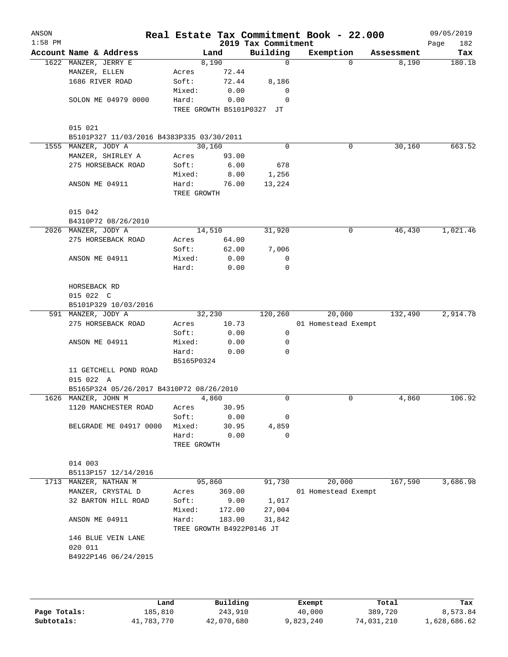| ANSON<br>$1:58$ PM |                                           |                           |        | 2019 Tax Commitment | Real Estate Tax Commitment Book - 22.000 |            | 09/05/2019<br>Page<br>182 |
|--------------------|-------------------------------------------|---------------------------|--------|---------------------|------------------------------------------|------------|---------------------------|
|                    | Account Name & Address                    |                           | Land   | Building            | Exemption                                | Assessment | Tax                       |
|                    | 1622 MANZER, JERRY E                      |                           | 8,190  | 0                   | $\Omega$                                 | 8,190      | 180.18                    |
|                    | MANZER, ELLEN                             | Acres                     | 72.44  |                     |                                          |            |                           |
|                    | 1686 RIVER ROAD                           | Soft:                     | 72.44  | 8,186               |                                          |            |                           |
|                    |                                           | Mixed:                    | 0.00   | 0                   |                                          |            |                           |
|                    | SOLON ME 04979 0000                       | Hard:                     | 0.00   | 0                   |                                          |            |                           |
|                    |                                           | TREE GROWTH B5101P0327    |        | JТ                  |                                          |            |                           |
|                    |                                           |                           |        |                     |                                          |            |                           |
|                    | 015 021                                   |                           |        |                     |                                          |            |                           |
|                    | B5101P327 11/03/2016 B4383P335 03/30/2011 |                           |        |                     |                                          |            |                           |
|                    | 1555 MANZER, JODY A                       | 30,160                    |        | $\Omega$            | 0                                        | 30,160     | 663.52                    |
|                    | MANZER, SHIRLEY A                         | Acres                     | 93.00  |                     |                                          |            |                           |
|                    | 275 HORSEBACK ROAD                        | Soft:                     | 6.00   | 678                 |                                          |            |                           |
|                    |                                           | Mixed:                    | 8.00   | 1,256               |                                          |            |                           |
|                    | ANSON ME 04911                            | Hard:                     | 76.00  | 13,224              |                                          |            |                           |
|                    |                                           | TREE GROWTH               |        |                     |                                          |            |                           |
|                    | 015 042                                   |                           |        |                     |                                          |            |                           |
|                    | B4310P72 08/26/2010                       |                           |        |                     |                                          |            |                           |
|                    | 2026 MANZER, JODY A                       | 14,510                    |        | 31,920              | 0                                        | 46,430     | 1,021.46                  |
|                    | 275 HORSEBACK ROAD                        | Acres                     | 64.00  |                     |                                          |            |                           |
|                    |                                           | Soft:                     | 62.00  | 7,006               |                                          |            |                           |
|                    | ANSON ME 04911                            | Mixed:                    | 0.00   | 0                   |                                          |            |                           |
|                    |                                           | Hard:                     | 0.00   | 0                   |                                          |            |                           |
|                    |                                           |                           |        |                     |                                          |            |                           |
|                    | HORSEBACK RD                              |                           |        |                     |                                          |            |                           |
|                    | 015 022 C                                 |                           |        |                     |                                          |            |                           |
|                    | B5101P329 10/03/2016                      |                           |        |                     |                                          |            |                           |
|                    | 591 MANZER, JODY A                        | 32,230                    |        | 120,260             | 20,000                                   | 132,490    | 2,914.78                  |
|                    | 275 HORSEBACK ROAD                        | Acres                     | 10.73  |                     | 01 Homestead Exempt                      |            |                           |
|                    |                                           | Soft:                     | 0.00   | 0                   |                                          |            |                           |
|                    | ANSON ME 04911                            | Mixed:                    | 0.00   | 0                   |                                          |            |                           |
|                    |                                           | Hard:                     | 0.00   | 0                   |                                          |            |                           |
|                    |                                           | B5165P0324                |        |                     |                                          |            |                           |
|                    | 11 GETCHELL POND ROAD                     |                           |        |                     |                                          |            |                           |
|                    | 015 022 A                                 |                           |        |                     |                                          |            |                           |
|                    | B5165P324 05/26/2017 B4310P72 08/26/2010  |                           |        |                     |                                          |            |                           |
|                    | 1626 MANZER, JOHN M                       | 4,860                     |        | 0                   | $\mathbf 0$                              | 4,860      | 106.92                    |
|                    | 1120 MANCHESTER ROAD                      | Acres                     | 30.95  |                     |                                          |            |                           |
|                    |                                           | Soft:                     | 0.00   | 0                   |                                          |            |                           |
|                    | BELGRADE ME 04917 0000                    | Mixed:                    | 30.95  | 4,859               |                                          |            |                           |
|                    |                                           | Hard:                     | 0.00   | $\Omega$            |                                          |            |                           |
|                    |                                           | TREE GROWTH               |        |                     |                                          |            |                           |
|                    |                                           |                           |        |                     |                                          |            |                           |
|                    | 014 003                                   |                           |        |                     |                                          |            |                           |
|                    | B5113P157 12/14/2016                      |                           |        |                     |                                          |            |                           |
|                    | 1713 MANZER, NATHAN M                     | 95,860                    |        | 91,730              | 20,000                                   | 167,590    | 3,686.98                  |
|                    | MANZER, CRYSTAL D                         | Acres                     | 369.00 |                     | 01 Homestead Exempt                      |            |                           |
|                    | 32 BARTON HILL ROAD                       | Soft:                     | 9.00   | 1,017               |                                          |            |                           |
|                    |                                           | Mixed:                    | 172.00 | 27,004              |                                          |            |                           |
|                    | ANSON ME 04911                            | Hard:                     | 183.00 | 31,842              |                                          |            |                           |
|                    |                                           | TREE GROWTH B4922P0146 JT |        |                     |                                          |            |                           |
|                    | 146 BLUE VEIN LANE                        |                           |        |                     |                                          |            |                           |
|                    | 020 011                                   |                           |        |                     |                                          |            |                           |
|                    | B4922P146 06/24/2015                      |                           |        |                     |                                          |            |                           |
|                    |                                           |                           |        |                     |                                          |            |                           |
|                    |                                           |                           |        |                     |                                          |            |                           |

|              | Land       | Building   | Exempt    | Total      | Tax          |
|--------------|------------|------------|-----------|------------|--------------|
| Page Totals: | 185,810    | 243,910    | 40,000    | 389,720    | 8,573.84     |
| Subtotals:   | 41,783,770 | 42,070,680 | 9,823,240 | 74,031,210 | 1,628,686.62 |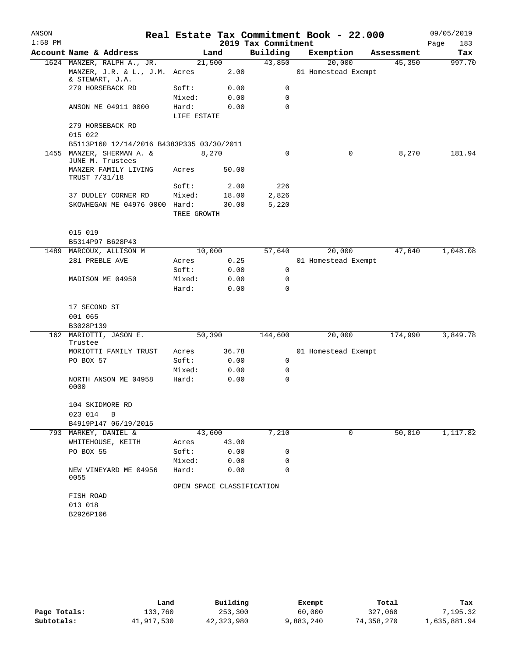| ANSON     |                                                  |                           |       | Real Estate Tax Commitment Book - 22.000 |                     |            | 09/05/2019  |
|-----------|--------------------------------------------------|---------------------------|-------|------------------------------------------|---------------------|------------|-------------|
| $1:58$ PM |                                                  |                           |       | 2019 Tax Commitment                      |                     |            | 183<br>Page |
|           | Account Name & Address                           |                           | Land  | Building                                 | Exemption           | Assessment | Tax         |
|           | 1624 MANZER, RALPH A., JR.                       | 21,500                    |       | 43,850                                   | 20,000              | 45,350     | 997.70      |
|           | MANZER, J.R. & L., J.M. Acres<br>& STEWART, J.A. |                           | 2.00  |                                          | 01 Homestead Exempt |            |             |
|           | 279 HORSEBACK RD                                 | Soft:                     | 0.00  | 0                                        |                     |            |             |
|           |                                                  | Mixed:                    | 0.00  | 0                                        |                     |            |             |
|           | ANSON ME 04911 0000                              | Hard:                     | 0.00  | 0                                        |                     |            |             |
|           |                                                  | LIFE ESTATE               |       |                                          |                     |            |             |
|           | 279 HORSEBACK RD                                 |                           |       |                                          |                     |            |             |
|           | 015 022                                          |                           |       |                                          |                     |            |             |
|           | B5113P160 12/14/2016 B4383P335 03/30/2011        |                           |       |                                          |                     |            |             |
|           | 1455 MANZER, SHERMAN A. &<br>JUNE M. Trustees    | 8,270                     |       | $\Omega$                                 | $\Omega$            | 8,270      | 181.94      |
|           | MANZER FAMILY LIVING<br>TRUST 7/31/18            | Acres                     | 50.00 |                                          |                     |            |             |
|           |                                                  | Soft:                     | 2.00  | 226                                      |                     |            |             |
|           | 37 DUDLEY CORNER RD                              | Mixed:                    | 18.00 | 2,826                                    |                     |            |             |
|           | SKOWHEGAN ME 04976 0000 Hard:                    |                           | 30.00 | 5,220                                    |                     |            |             |
|           |                                                  | TREE GROWTH               |       |                                          |                     |            |             |
|           | 015 019                                          |                           |       |                                          |                     |            |             |
|           | B5314P97 B628P43                                 |                           |       |                                          |                     |            |             |
|           | 1489 MARCOUX, ALLISON M                          | 10,000                    |       | 57,640                                   | 20,000              | 47,640     | 1,048.08    |
|           | 281 PREBLE AVE                                   | Acres                     | 0.25  |                                          | 01 Homestead Exempt |            |             |
|           |                                                  | Soft:                     | 0.00  | 0                                        |                     |            |             |
|           | MADISON ME 04950                                 | Mixed:                    | 0.00  | $\mathbf 0$                              |                     |            |             |
|           |                                                  | Hard:                     | 0.00  | 0                                        |                     |            |             |
|           |                                                  |                           |       |                                          |                     |            |             |
|           | 17 SECOND ST<br>001 065                          |                           |       |                                          |                     |            |             |
|           | B3028P139                                        |                           |       |                                          |                     |            |             |
|           | 162 MARIOTTI, JASON E.                           | 50,390                    |       | 144,600                                  | 20,000              | 174,990    | 3,849.78    |
|           | Trustee                                          |                           | 36.78 |                                          |                     |            |             |
|           | MORIOTTI FAMILY TRUST<br>PO BOX 57               | Acres<br>Soft:            | 0.00  | $\mathbf 0$                              | 01 Homestead Exempt |            |             |
|           |                                                  | Mixed:                    | 0.00  | 0                                        |                     |            |             |
|           | NORTH ANSON ME 04958                             | Hard:                     | 0.00  | 0                                        |                     |            |             |
|           | 0000                                             |                           |       |                                          |                     |            |             |
|           | 104 SKIDMORE RD                                  |                           |       |                                          |                     |            |             |
|           | 023 014<br>B                                     |                           |       |                                          |                     |            |             |
|           | B4919P147 06/19/2015                             |                           |       |                                          |                     |            |             |
|           | 793 MARKEY, DANIEL &                             | 43,600                    |       | 7,210                                    | 0                   | 50,810     | 1,117.82    |
|           | WHITEHOUSE, KEITH                                | Acres                     | 43.00 |                                          |                     |            |             |
|           | PO BOX 55                                        | Soft:                     | 0.00  | 0                                        |                     |            |             |
|           |                                                  | Mixed:                    | 0.00  | 0                                        |                     |            |             |
|           | NEW VINEYARD ME 04956<br>0055                    | Hard:                     | 0.00  | 0                                        |                     |            |             |
|           |                                                  | OPEN SPACE CLASSIFICATION |       |                                          |                     |            |             |
|           | FISH ROAD                                        |                           |       |                                          |                     |            |             |
|           | 013 018                                          |                           |       |                                          |                     |            |             |
|           | B2926P106                                        |                           |       |                                          |                     |            |             |

|              | Land       | Building   | Exempt    | Total      | Tax          |
|--------------|------------|------------|-----------|------------|--------------|
| Page Totals: | 133,760    | 253,300    | 60,000    | 327,060    | 7,195.32     |
| Subtotals:   | 41,917,530 | 42,323,980 | 9,883,240 | 74,358,270 | 1,635,881.94 |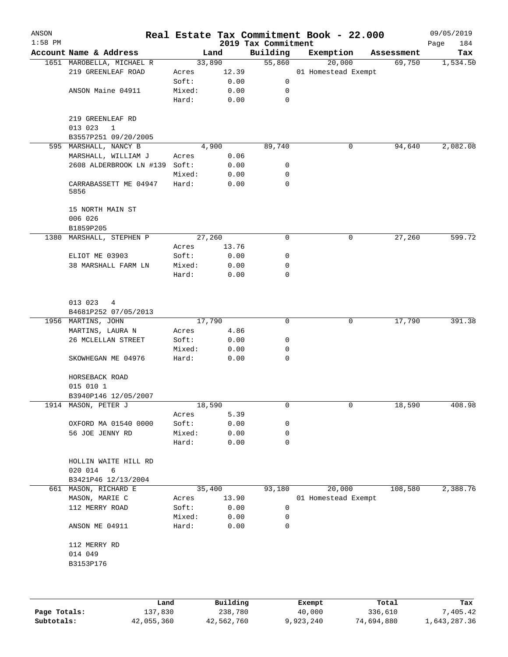| ANSON<br>$1:58$ PM |                                      |        |        | 2019 Tax Commitment | Real Estate Tax Commitment Book - 22.000 |            | 09/05/2019<br>Page<br>184 |
|--------------------|--------------------------------------|--------|--------|---------------------|------------------------------------------|------------|---------------------------|
|                    | Account Name & Address               |        | Land   | Building            | Exemption                                | Assessment | Tax                       |
|                    | 1651 MAROBELLA, MICHAEL R            |        | 33,890 | 55,860              | 20,000                                   | 69,750     | 1,534.50                  |
|                    | 219 GREENLEAF ROAD                   | Acres  | 12.39  |                     | 01 Homestead Exempt                      |            |                           |
|                    |                                      | Soft:  | 0.00   | 0                   |                                          |            |                           |
|                    | ANSON Maine 04911                    | Mixed: | 0.00   | 0                   |                                          |            |                           |
|                    |                                      | Hard:  | 0.00   | $\mathbf 0$         |                                          |            |                           |
|                    | 219 GREENLEAF RD                     |        |        |                     |                                          |            |                           |
|                    | 013 023<br>$\mathbf{1}$              |        |        |                     |                                          |            |                           |
|                    | B3557P251 09/20/2005                 |        |        |                     |                                          |            |                           |
|                    | 595 MARSHALL, NANCY B                |        | 4,900  | 89,740              | 0                                        | 94,640     | 2,082.08                  |
|                    | MARSHALL, WILLIAM J                  | Acres  | 0.06   |                     |                                          |            |                           |
|                    | 2608 ALDERBROOK LN #139 Soft:        |        | 0.00   | 0                   |                                          |            |                           |
|                    |                                      | Mixed: | 0.00   | 0                   |                                          |            |                           |
|                    | CARRABASSETT ME 04947<br>5856        | Hard:  | 0.00   | $\mathbf 0$         |                                          |            |                           |
|                    | 15 NORTH MAIN ST                     |        |        |                     |                                          |            |                           |
|                    | 006 026                              |        |        |                     |                                          |            |                           |
|                    | B1859P205                            |        |        |                     |                                          |            |                           |
|                    | 1380 MARSHALL, STEPHEN P             |        | 27,260 | 0                   | 0                                        | 27,260     | 599.72                    |
|                    |                                      | Acres  | 13.76  |                     |                                          |            |                           |
|                    | ELIOT ME 03903                       | Soft:  | 0.00   | 0                   |                                          |            |                           |
|                    | 38 MARSHALL FARM LN                  | Mixed: | 0.00   | 0                   |                                          |            |                           |
|                    |                                      | Hard:  | 0.00   | $\mathbf 0$         |                                          |            |                           |
|                    | 013 023<br>4                         |        |        |                     |                                          |            |                           |
|                    | B4681P252 07/05/2013                 |        |        |                     |                                          |            |                           |
|                    | 1956 MARTINS, JOHN                   |        | 17,790 | $\mathbf 0$         | 0                                        | 17,790     | 391.38                    |
|                    | MARTINS, LAURA N                     | Acres  | 4.86   |                     |                                          |            |                           |
|                    | 26 MCLELLAN STREET                   | Soft:  | 0.00   | 0                   |                                          |            |                           |
|                    |                                      | Mixed: | 0.00   | 0                   |                                          |            |                           |
|                    | SKOWHEGAN ME 04976                   | Hard:  | 0.00   | 0                   |                                          |            |                           |
|                    | HORSEBACK ROAD                       |        |        |                     |                                          |            |                           |
|                    | 015 010 1<br>B3940P146 12/05/2007    |        |        |                     |                                          |            |                           |
|                    | 1914 MASON, PETER J                  |        | 18,590 | 0                   | 0                                        | 18,590     | 408.98                    |
|                    |                                      | Acres  | 5.39   |                     |                                          |            |                           |
|                    | OXFORD MA 01540 0000                 | Soft:  | 0.00   | 0                   |                                          |            |                           |
|                    | 56 JOE JENNY RD                      | Mixed: | 0.00   | 0                   |                                          |            |                           |
|                    |                                      | Hard:  | 0.00   | 0                   |                                          |            |                           |
|                    | HOLLIN WAITE HILL RD<br>020 014<br>6 |        |        |                     |                                          |            |                           |
|                    | B3421P46 12/13/2004                  |        |        |                     |                                          |            |                           |
|                    | 661 MASON, RICHARD E                 |        | 35,400 | 93,180              | 20,000                                   | 108,580    | 2,388.76                  |
|                    | MASON, MARIE C                       | Acres  | 13.90  |                     | 01 Homestead Exempt                      |            |                           |
|                    | 112 MERRY ROAD                       | Soft:  | 0.00   | 0                   |                                          |            |                           |
|                    |                                      | Mixed: | 0.00   | 0                   |                                          |            |                           |
|                    | ANSON ME 04911                       | Hard:  | 0.00   | 0                   |                                          |            |                           |
|                    | 112 MERRY RD                         |        |        |                     |                                          |            |                           |
|                    | 014 049<br>B3153P176                 |        |        |                     |                                          |            |                           |
|                    |                                      |        |        |                     |                                          |            |                           |
|                    |                                      |        |        |                     |                                          |            |                           |
|                    |                                      |        |        |                     |                                          |            |                           |

|              | Land       | Building   | Exempt    | Total      | Tax          |
|--------------|------------|------------|-----------|------------|--------------|
| Page Totals: | 137,830    | 238,780    | 40,000    | 336,610    | 7,405.42     |
| Subtotals:   | 42,055,360 | 42,562,760 | 9,923,240 | 74,694,880 | 1,643,287.36 |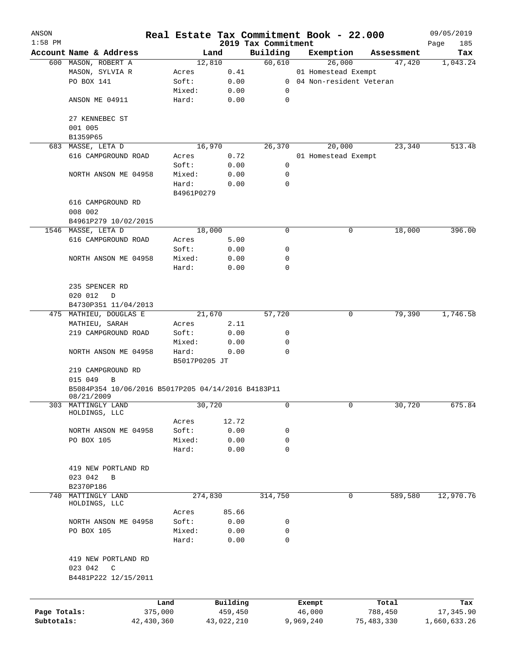| ANSON        |                                                    |            |                 |              |                                 | Real Estate Tax Commitment Book - 22.000 |        |            | 09/05/2019         |
|--------------|----------------------------------------------------|------------|-----------------|--------------|---------------------------------|------------------------------------------|--------|------------|--------------------|
| $1:58$ PM    | Account Name & Address                             |            |                 | Land         | 2019 Tax Commitment<br>Building | Exemption                                |        | Assessment | Page<br>185<br>Tax |
|              | 600 MASON, ROBERT A                                |            | 12,810          |              | 60,610                          |                                          | 26,000 | 47,420     | 1,043.24           |
|              | MASON, SYLVIA R                                    |            | Acres           | 0.41         |                                 | 01 Homestead Exempt                      |        |            |                    |
|              | PO BOX 141                                         |            | Soft:           | 0.00         | $\overline{0}$                  | 04 Non-resident Veteran                  |        |            |                    |
|              |                                                    |            | Mixed:          | 0.00         | 0                               |                                          |        |            |                    |
|              | ANSON ME 04911                                     |            | Hard:           | 0.00         | $\mathbf 0$                     |                                          |        |            |                    |
|              |                                                    |            |                 |              |                                 |                                          |        |            |                    |
|              | 27 KENNEBEC ST                                     |            |                 |              |                                 |                                          |        |            |                    |
|              | 001 005                                            |            |                 |              |                                 |                                          |        |            |                    |
|              | B1359P65                                           |            |                 |              |                                 |                                          |        |            |                    |
|              | 683 MASSE, LETA D                                  |            | 16,970          |              | 26,370                          |                                          | 20,000 | 23,340     | 513.48             |
|              | 616 CAMPGROUND ROAD                                |            | Acres           | 0.72         |                                 | 01 Homestead Exempt                      |        |            |                    |
|              |                                                    |            | Soft:           | 0.00         | 0                               |                                          |        |            |                    |
|              | NORTH ANSON ME 04958                               |            | Mixed:          | 0.00         | 0                               |                                          |        |            |                    |
|              |                                                    |            | Hard:           | 0.00         | 0                               |                                          |        |            |                    |
|              |                                                    |            | B4961P0279      |              |                                 |                                          |        |            |                    |
|              | 616 CAMPGROUND RD                                  |            |                 |              |                                 |                                          |        |            |                    |
|              | 008 002                                            |            |                 |              |                                 |                                          |        |            |                    |
|              | B4961P279 10/02/2015                               |            |                 |              | 0                               |                                          | 0      |            | 396.00             |
|              | 1546 MASSE, LETA D                                 |            | 18,000          |              |                                 |                                          |        | 18,000     |                    |
|              | 616 CAMPGROUND ROAD                                |            | Acres           | 5.00         |                                 |                                          |        |            |                    |
|              | NORTH ANSON ME 04958                               |            | Soft:<br>Mixed: | 0.00<br>0.00 | 0<br>0                          |                                          |        |            |                    |
|              |                                                    |            | Hard:           |              | 0                               |                                          |        |            |                    |
|              |                                                    |            |                 | 0.00         |                                 |                                          |        |            |                    |
|              |                                                    |            |                 |              |                                 |                                          |        |            |                    |
|              | 235 SPENCER RD                                     |            |                 |              |                                 |                                          |        |            |                    |
|              | 020 012<br>D                                       |            |                 |              |                                 |                                          |        |            |                    |
|              | B4730P351 11/04/2013                               |            |                 |              |                                 |                                          | 0      |            |                    |
|              | 475 MATHIEU, DOUGLAS E<br>MATHIEU, SARAH           |            | 21,670          | 2.11         | 57,720                          |                                          |        | 79,390     | 1,746.58           |
|              | 219 CAMPGROUND ROAD                                |            | Acres<br>Soft:  | 0.00         | 0                               |                                          |        |            |                    |
|              |                                                    |            | Mixed:          | 0.00         | 0                               |                                          |        |            |                    |
|              | NORTH ANSON ME 04958                               |            | Hard:           | 0.00         | $\mathbf 0$                     |                                          |        |            |                    |
|              |                                                    |            | B5017P0205 JT   |              |                                 |                                          |        |            |                    |
|              | 219 CAMPGROUND RD                                  |            |                 |              |                                 |                                          |        |            |                    |
|              | 015 049<br>B                                       |            |                 |              |                                 |                                          |        |            |                    |
|              | B5084P354 10/06/2016 B5017P205 04/14/2016 B4183P11 |            |                 |              |                                 |                                          |        |            |                    |
|              | 08/21/2009                                         |            |                 |              |                                 |                                          |        |            |                    |
|              | 303 MATTINGLY LAND                                 |            | 30,720          |              | 0                               |                                          | 0      | 30,720     | 675.84             |
|              | HOLDINGS, LLC                                      |            | Acres           | 12.72        |                                 |                                          |        |            |                    |
|              | NORTH ANSON ME 04958                               |            | Soft:           | 0.00         | 0                               |                                          |        |            |                    |
|              | PO BOX 105                                         |            | Mixed:          | 0.00         | 0                               |                                          |        |            |                    |
|              |                                                    |            | Hard:           | 0.00         | $\mathbf 0$                     |                                          |        |            |                    |
|              |                                                    |            |                 |              |                                 |                                          |        |            |                    |
|              | 419 NEW PORTLAND RD                                |            |                 |              |                                 |                                          |        |            |                    |
|              | 023 042<br>В                                       |            |                 |              |                                 |                                          |        |            |                    |
|              | B2370P186                                          |            |                 |              |                                 |                                          |        |            |                    |
| 740          | MATTINGLY LAND                                     |            | 274,830         |              | 314,750                         |                                          | 0      | 589,580    | 12,970.76          |
|              | HOLDINGS, LLC                                      |            |                 |              |                                 |                                          |        |            |                    |
|              |                                                    |            | Acres           | 85.66        |                                 |                                          |        |            |                    |
|              | NORTH ANSON ME 04958                               |            | Soft:           | 0.00         | 0                               |                                          |        |            |                    |
|              | PO BOX 105                                         |            | Mixed:          | 0.00         | 0                               |                                          |        |            |                    |
|              |                                                    |            | Hard:           | 0.00         | 0                               |                                          |        |            |                    |
|              |                                                    |            |                 |              |                                 |                                          |        |            |                    |
|              | 419 NEW PORTLAND RD                                |            |                 |              |                                 |                                          |        |            |                    |
|              | 023 042<br>C                                       |            |                 |              |                                 |                                          |        |            |                    |
|              | B4481P222 12/15/2011                               |            |                 |              |                                 |                                          |        |            |                    |
|              |                                                    |            |                 |              |                                 |                                          |        |            |                    |
|              |                                                    | Land       |                 | Building     |                                 | Exempt                                   |        | Total      | Tax                |
| Page Totals: |                                                    | 375,000    |                 | 459,450      |                                 | 46,000                                   |        | 788,450    | 17,345.90          |
| Subtotals:   |                                                    | 42,430,360 |                 | 43,022,210   |                                 | 9,969,240                                |        | 75,483,330 | 1,660,633.26       |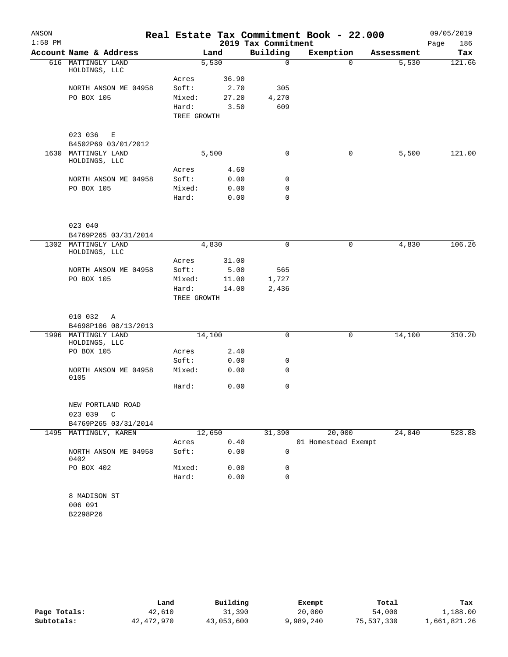| ANSON     |                                      |             |        |                     | Real Estate Tax Commitment Book - 22.000 |            | 09/05/2019  |
|-----------|--------------------------------------|-------------|--------|---------------------|------------------------------------------|------------|-------------|
| $1:58$ PM |                                      |             |        | 2019 Tax Commitment |                                          |            | 186<br>Page |
|           | Account Name & Address               |             | Land   | Building            | Exemption                                | Assessment | Tax         |
|           | 616 MATTINGLY LAND<br>HOLDINGS, LLC  |             | 5,530  | $\Omega$            | $\Omega$                                 | 5,530      | 121.66      |
|           |                                      | Acres       | 36.90  |                     |                                          |            |             |
|           | NORTH ANSON ME 04958                 | Soft:       | 2.70   | 305                 |                                          |            |             |
|           | PO BOX 105                           | Mixed:      | 27.20  | 4,270               |                                          |            |             |
|           |                                      | Hard:       | 3.50   | 609                 |                                          |            |             |
|           |                                      | TREE GROWTH |        |                     |                                          |            |             |
|           | 023 036<br>Ε                         |             |        |                     |                                          |            |             |
|           | B4502P69 03/01/2012                  |             |        |                     |                                          |            |             |
|           | 1630 MATTINGLY LAND<br>HOLDINGS, LLC |             | 5,500  | 0                   | 0                                        | 5,500      | 121.00      |
|           |                                      | Acres       | 4.60   |                     |                                          |            |             |
|           | NORTH ANSON ME 04958                 | Soft:       | 0.00   | 0                   |                                          |            |             |
|           | PO BOX 105                           | Mixed:      | 0.00   | 0                   |                                          |            |             |
|           |                                      | Hard:       | 0.00   | $\mathbf 0$         |                                          |            |             |
|           | 023 040                              |             |        |                     |                                          |            |             |
|           | B4769P265 03/31/2014                 |             |        |                     |                                          |            |             |
|           | 1302 MATTINGLY LAND<br>HOLDINGS, LLC |             | 4,830  | 0                   | 0                                        | 4,830      | 106.26      |
|           |                                      | Acres       | 31.00  |                     |                                          |            |             |
|           | NORTH ANSON ME 04958                 | Soft:       | 5.00   | 565                 |                                          |            |             |
|           | PO BOX 105                           | Mixed:      | 11.00  | 1,727               |                                          |            |             |
|           |                                      | Hard:       | 14.00  | 2,436               |                                          |            |             |
|           |                                      | TREE GROWTH |        |                     |                                          |            |             |
|           | 010 032<br>Α                         |             |        |                     |                                          |            |             |
|           | B4698P106 08/13/2013                 |             |        |                     |                                          |            |             |
|           | 1996 MATTINGLY LAND<br>HOLDINGS, LLC |             | 14,100 | $\mathbf 0$         | 0                                        | 14,100     | 310.20      |
|           | PO BOX 105                           | Acres       | 2.40   |                     |                                          |            |             |
|           |                                      | Soft:       | 0.00   | 0                   |                                          |            |             |
|           | NORTH ANSON ME 04958<br>0105         | Mixed:      | 0.00   | 0                   |                                          |            |             |
|           |                                      | Hard:       | 0.00   | 0                   |                                          |            |             |
|           | NEW PORTLAND ROAD<br>023 039<br>C    |             |        |                     |                                          |            |             |
|           | B4769P265 03/31/2014                 |             |        |                     |                                          |            |             |
|           | 1495 MATTINGLY, KAREN                |             | 12,650 | 31,390              | 20,000                                   | 24,040     | 528.88      |
|           |                                      | Acres       | 0.40   |                     | 01 Homestead Exempt                      |            |             |
|           | NORTH ANSON ME 04958<br>0402         | Soft:       | 0.00   | $\mathbf 0$         |                                          |            |             |
|           | PO BOX 402                           | Mixed:      | 0.00   | 0                   |                                          |            |             |
|           |                                      | Hard:       | 0.00   | $\mathbf 0$         |                                          |            |             |
|           | 8 MADISON ST                         |             |        |                     |                                          |            |             |
|           | 006 091                              |             |        |                     |                                          |            |             |
|           | B2298P26                             |             |        |                     |                                          |            |             |

|              | Land       | Building   | Exempt    | Total      | Tax          |
|--------------|------------|------------|-----------|------------|--------------|
| Page Totals: | 42,610     | 31,390     | 20,000    | 54,000     | 1,188.00     |
| Subtotals:   | 42,472,970 | 43,053,600 | 9,989,240 | 75,537,330 | 1,661,821.26 |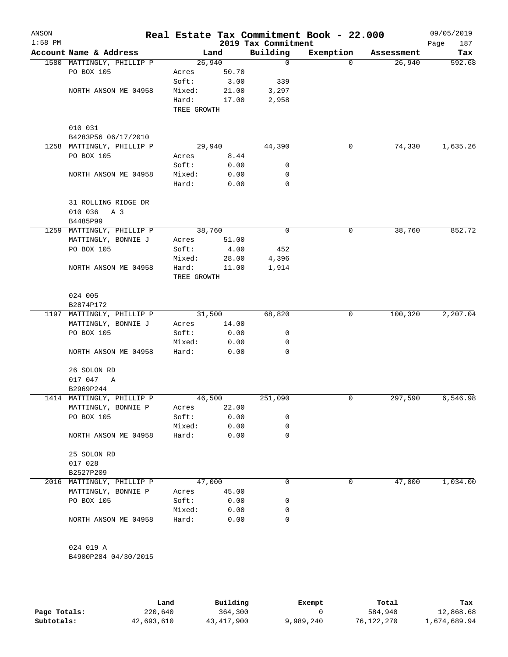|  | Account Name & Address<br>1580 MATTINGLY, PHILLIP P<br>PO BOX 105 |             | Land   | Building    | Exemption | Assessment |          |
|--|-------------------------------------------------------------------|-------------|--------|-------------|-----------|------------|----------|
|  |                                                                   |             |        |             |           |            | Tax      |
|  |                                                                   |             | 26,940 | $\mathbf 0$ | $\Omega$  | 26,940     | 592.68   |
|  |                                                                   | Acres       | 50.70  |             |           |            |          |
|  |                                                                   | Soft:       | 3.00   | 339         |           |            |          |
|  | NORTH ANSON ME 04958                                              | Mixed:      | 21.00  | 3,297       |           |            |          |
|  |                                                                   | Hard:       | 17.00  | 2,958       |           |            |          |
|  |                                                                   | TREE GROWTH |        |             |           |            |          |
|  | 010 031                                                           |             |        |             |           |            |          |
|  | B4283P56 06/17/2010                                               |             |        |             |           |            |          |
|  | 1258 MATTINGLY, PHILLIP P                                         |             | 29,940 | 44,390      | 0         | 74,330     | 1,635.26 |
|  | PO BOX 105                                                        | Acres       | 8.44   |             |           |            |          |
|  |                                                                   | Soft:       | 0.00   | 0           |           |            |          |
|  | NORTH ANSON ME 04958                                              | Mixed:      | 0.00   | 0           |           |            |          |
|  |                                                                   | Hard:       | 0.00   | $\mathbf 0$ |           |            |          |
|  |                                                                   |             |        |             |           |            |          |
|  | 31 ROLLING RIDGE DR<br>010 036<br>A 3                             |             |        |             |           |            |          |
|  | B4485P99                                                          |             |        |             |           |            |          |
|  | 1259 MATTINGLY, PHILLIP P                                         |             | 38,760 | 0           | 0         | 38,760     | 852.72   |
|  | MATTINGLY, BONNIE J                                               | Acres       | 51.00  |             |           |            |          |
|  | PO BOX 105                                                        | Soft:       | 4.00   | 452         |           |            |          |
|  |                                                                   | Mixed:      | 28.00  | 4,396       |           |            |          |
|  | NORTH ANSON ME 04958                                              | Hard:       | 11.00  | 1,914       |           |            |          |
|  |                                                                   | TREE GROWTH |        |             |           |            |          |
|  | 024 005                                                           |             |        |             |           |            |          |
|  | B2874P172                                                         |             |        |             |           |            |          |
|  | 1197 MATTINGLY, PHILLIP P                                         |             | 31,500 | 68,820      | 0         | 100,320    | 2,207.04 |
|  | MATTINGLY, BONNIE J                                               | Acres       | 14.00  |             |           |            |          |
|  | PO BOX 105                                                        | Soft:       | 0.00   | 0           |           |            |          |
|  |                                                                   | Mixed:      | 0.00   | 0           |           |            |          |
|  | NORTH ANSON ME 04958                                              | Hard:       | 0.00   | 0           |           |            |          |
|  | 26 SOLON RD                                                       |             |        |             |           |            |          |
|  | 017 047<br>Α                                                      |             |        |             |           |            |          |
|  | B2969P244                                                         |             |        |             |           |            |          |
|  | 1414 MATTINGLY, PHILLIP P                                         |             | 46,500 | 251,090     | 0         | 297,590    | 6,546.98 |
|  | MATTINGLY, BONNIE P                                               | Acres       | 22.00  |             |           |            |          |
|  | PO BOX 105                                                        | Soft:       | 0.00   | 0           |           |            |          |
|  |                                                                   | Mixed:      | 0.00   | 0           |           |            |          |
|  | NORTH ANSON ME 04958                                              | Hard:       | 0.00   | 0           |           |            |          |
|  | 25 SOLON RD<br>017 028                                            |             |        |             |           |            |          |
|  | B2527P209                                                         |             |        |             |           |            |          |
|  | 2016 MATTINGLY, PHILLIP P                                         |             | 47,000 | 0           | 0         | 47,000     | 1,034.00 |
|  | MATTINGLY, BONNIE P                                               | Acres       | 45.00  |             |           |            |          |
|  | PO BOX 105                                                        | Soft:       | 0.00   | 0           |           |            |          |
|  |                                                                   | Mixed:      | 0.00   | 0           |           |            |          |
|  | NORTH ANSON ME 04958                                              | Hard:       | 0.00   | 0           |           |            |          |
|  |                                                                   |             |        |             |           |            |          |
|  | 024 019 A<br>B4900P284 04/30/2015                                 |             |        |             |           |            |          |
|  |                                                                   |             |        |             |           |            |          |

|              | Land       | Building   | Exempt    | Total      | Tax          |
|--------------|------------|------------|-----------|------------|--------------|
| Page Totals: | 220,640    | 364,300    |           | 584,940    | 12,868.68    |
| Subtotals:   | 42,693,610 | 43,417,900 | 9,989,240 | 76,122,270 | 1,674,689.94 |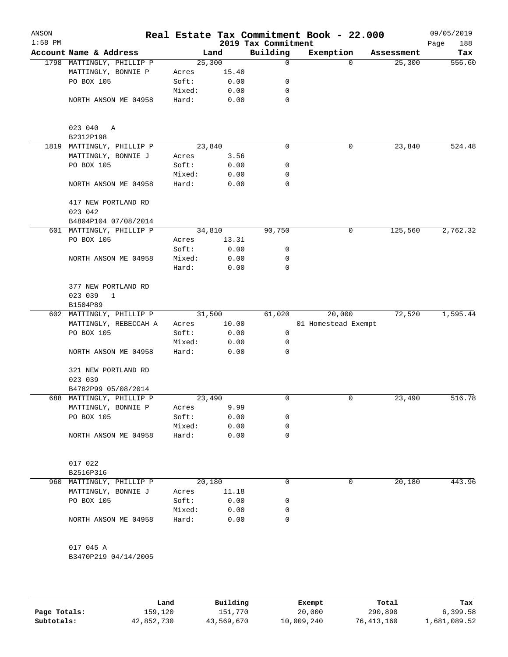| ANSON<br>$1:58$ PM |                                |        |       | 2019 Tax Commitment | Real Estate Tax Commitment Book - 22.000 |            | 09/05/2019<br>188<br>Page |
|--------------------|--------------------------------|--------|-------|---------------------|------------------------------------------|------------|---------------------------|
|                    | Account Name & Address         |        | Land  | Building            | Exemption                                | Assessment | Tax                       |
|                    | 1798 MATTINGLY, PHILLIP P      | 25,300 |       | 0                   | $\Omega$                                 | 25,300     | 556.60                    |
|                    | MATTINGLY, BONNIE P            | Acres  | 15.40 |                     |                                          |            |                           |
|                    | PO BOX 105                     | Soft:  | 0.00  | 0                   |                                          |            |                           |
|                    |                                | Mixed: | 0.00  | 0                   |                                          |            |                           |
|                    | NORTH ANSON ME 04958           | Hard:  | 0.00  | $\mathbf 0$         |                                          |            |                           |
|                    | 023 040<br>Α                   |        |       |                     |                                          |            |                           |
|                    | B2312P198                      |        |       |                     |                                          |            |                           |
|                    | 1819 MATTINGLY, PHILLIP P      | 23,840 |       | 0                   | 0                                        | 23,840     | 524.48                    |
|                    | MATTINGLY, BONNIE J            | Acres  | 3.56  |                     |                                          |            |                           |
|                    | PO BOX 105                     | Soft:  | 0.00  | 0                   |                                          |            |                           |
|                    |                                | Mixed: | 0.00  | 0                   |                                          |            |                           |
|                    | NORTH ANSON ME 04958           | Hard:  | 0.00  | 0                   |                                          |            |                           |
|                    | 417 NEW PORTLAND RD<br>023 042 |        |       |                     |                                          |            |                           |
|                    | B4804P104 07/08/2014           |        |       |                     |                                          |            |                           |
|                    | 601 MATTINGLY, PHILLIP P       | 34,810 |       | 90,750              | 0                                        | 125,560    | 2,762.32                  |
|                    | PO BOX 105                     | Acres  | 13.31 |                     |                                          |            |                           |
|                    |                                | Soft:  | 0.00  | 0                   |                                          |            |                           |
|                    | NORTH ANSON ME 04958           | Mixed: | 0.00  | 0                   |                                          |            |                           |
|                    |                                | Hard:  | 0.00  | 0                   |                                          |            |                           |
|                    | 377 NEW PORTLAND RD            |        |       |                     |                                          |            |                           |
|                    | 023 039<br>$\mathbf{1}$        |        |       |                     |                                          |            |                           |
|                    | B1504P89                       |        |       |                     |                                          |            |                           |
|                    | 602 MATTINGLY, PHILLIP P       | 31,500 |       | 61,020              | 20,000                                   | 72,520     | 1,595.44                  |
|                    | MATTINGLY, REBECCAH A          | Acres  | 10.00 |                     | 01 Homestead Exempt                      |            |                           |
|                    | PO BOX 105                     | Soft:  | 0.00  | 0                   |                                          |            |                           |
|                    |                                | Mixed: | 0.00  | 0                   |                                          |            |                           |
|                    | NORTH ANSON ME 04958           | Hard:  | 0.00  | 0                   |                                          |            |                           |
|                    | 321 NEW PORTLAND RD<br>023 039 |        |       |                     |                                          |            |                           |
|                    | B4782P99 05/08/2014            |        |       |                     |                                          |            |                           |
|                    | 688 MATTINGLY, PHILLIP P       | 23,490 |       | 0                   | 0                                        | 23,490     | 516.78                    |
|                    | MATTINGLY, BONNIE P            | Acres  | 9.99  |                     |                                          |            |                           |
|                    | PO BOX 105                     | Soft:  | 0.00  | 0                   |                                          |            |                           |
|                    |                                | Mixed: | 0.00  | 0                   |                                          |            |                           |
|                    | NORTH ANSON ME 04958           | Hard:  | 0.00  | 0                   |                                          |            |                           |
|                    | 017 022                        |        |       |                     |                                          |            |                           |
|                    | B2516P316                      |        |       |                     |                                          |            |                           |
|                    | 960 MATTINGLY, PHILLIP P       | 20,180 |       | 0                   | 0                                        | 20,180     | 443.96                    |
|                    | MATTINGLY, BONNIE J            | Acres  | 11.18 |                     |                                          |            |                           |
|                    | PO BOX 105                     | Soft:  | 0.00  | 0                   |                                          |            |                           |
|                    |                                | Mixed: | 0.00  | 0                   |                                          |            |                           |
|                    | NORTH ANSON ME 04958           | Hard:  | 0.00  | 0                   |                                          |            |                           |
|                    | 017 045 A                      |        |       |                     |                                          |            |                           |
|                    | B3470P219 04/14/2005           |        |       |                     |                                          |            |                           |
|                    |                                |        |       |                     |                                          |            |                           |
|                    |                                |        |       |                     |                                          |            |                           |

|              | Land       | Building   | Exempt     | Total      | Tax          |
|--------------|------------|------------|------------|------------|--------------|
| Page Totals: | 159,120    | 151,770    | 20,000     | 290,890    | 6,399.58     |
| Subtotals:   | 42,852,730 | 43,569,670 | 10,009,240 | 76,413,160 | 1,681,089.52 |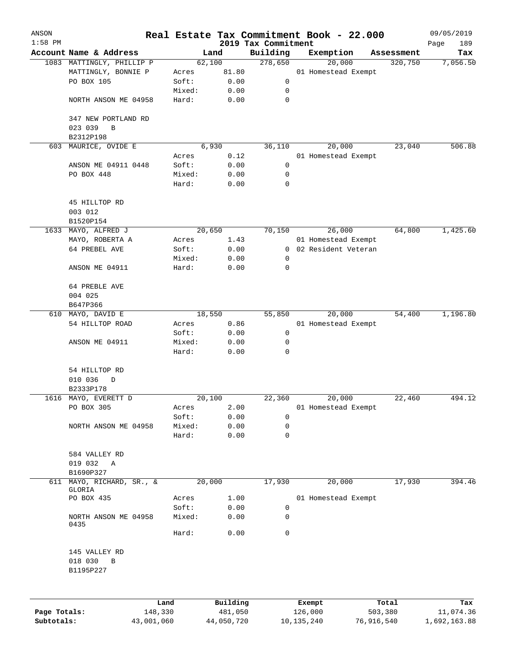| ANSON        |                                                     |                 |        |                     |                     |              | Real Estate Tax Commitment Book - 22.000 |                       | 09/05/2019       |
|--------------|-----------------------------------------------------|-----------------|--------|---------------------|---------------------|--------------|------------------------------------------|-----------------------|------------------|
| $1:58$ PM    |                                                     |                 |        |                     | 2019 Tax Commitment |              |                                          |                       | 189<br>Page      |
|              | Account Name & Address<br>1083 MATTINGLY, PHILLIP P |                 |        | Land<br>62,100      | Building<br>278,650 |              | Exemption<br>20,000                      | Assessment<br>320,750 | Tax<br>7,056.50  |
|              | MATTINGLY, BONNIE P                                 |                 | Acres  | 81.80               |                     |              | 01 Homestead Exempt                      |                       |                  |
|              | PO BOX 105                                          |                 | Soft:  | 0.00                | 0                   |              |                                          |                       |                  |
|              |                                                     |                 | Mixed: | 0.00                | 0                   |              |                                          |                       |                  |
|              | NORTH ANSON ME 04958                                |                 | Hard:  | 0.00                | $\mathbf 0$         |              |                                          |                       |                  |
|              |                                                     |                 |        |                     |                     |              |                                          |                       |                  |
|              | 347 NEW PORTLAND RD                                 |                 |        |                     |                     |              |                                          |                       |                  |
|              | 023 039<br>B                                        |                 |        |                     |                     |              |                                          |                       |                  |
|              | B2312P198                                           |                 |        |                     |                     |              |                                          |                       |                  |
| 603          | MAURICE, OVIDE E                                    |                 |        | 6,930               | 36,110              |              | 20,000                                   | 23,040                | 506.88           |
|              |                                                     |                 | Acres  | 0.12                |                     |              | 01 Homestead Exempt                      |                       |                  |
|              | ANSON ME 04911 0448                                 |                 | Soft:  | 0.00                | 0                   |              |                                          |                       |                  |
|              | PO BOX 448                                          |                 | Mixed: | 0.00                | 0                   |              |                                          |                       |                  |
|              |                                                     |                 | Hard:  | 0.00                | 0                   |              |                                          |                       |                  |
|              |                                                     |                 |        |                     |                     |              |                                          |                       |                  |
|              | 45 HILLTOP RD                                       |                 |        |                     |                     |              |                                          |                       |                  |
|              | 003 012                                             |                 |        |                     |                     |              |                                          |                       |                  |
|              | B1520P154                                           |                 |        |                     |                     |              |                                          |                       |                  |
|              | 1633 MAYO, ALFRED J                                 |                 |        | 20,650              | 70,150              |              | 26,000                                   | 64,800                | 1,425.60         |
|              | MAYO, ROBERTA A                                     |                 | Acres  | 1.43                |                     |              | 01 Homestead Exempt                      |                       |                  |
|              | 64 PREBEL AVE                                       |                 | Soft:  | 0.00                | $\overline{0}$      |              | 02 Resident Veteran                      |                       |                  |
|              |                                                     |                 | Mixed: | 0.00                | 0                   |              |                                          |                       |                  |
|              | ANSON ME 04911                                      |                 | Hard:  | 0.00                | 0                   |              |                                          |                       |                  |
|              |                                                     |                 |        |                     |                     |              |                                          |                       |                  |
|              | 64 PREBLE AVE                                       |                 |        |                     |                     |              |                                          |                       |                  |
|              | 004 025                                             |                 |        |                     |                     |              |                                          |                       |                  |
|              | B647P366                                            |                 |        |                     |                     |              |                                          |                       |                  |
|              | 610 MAYO, DAVID E                                   |                 |        | 18,550              | 55,850              |              | 20,000                                   | 54,400                | 1,196.80         |
|              | 54 HILLTOP ROAD                                     |                 | Acres  | 0.86                |                     |              | 01 Homestead Exempt                      |                       |                  |
|              |                                                     |                 | Soft:  | 0.00                | 0                   |              |                                          |                       |                  |
|              | ANSON ME 04911                                      |                 | Mixed: | 0.00                | 0                   |              |                                          |                       |                  |
|              |                                                     |                 | Hard:  | 0.00                | 0                   |              |                                          |                       |                  |
|              |                                                     |                 |        |                     |                     |              |                                          |                       |                  |
|              | 54 HILLTOP RD                                       |                 |        |                     |                     |              |                                          |                       |                  |
|              | 010 036<br>D                                        |                 |        |                     |                     |              |                                          |                       |                  |
|              | B2333P178                                           |                 |        |                     |                     |              |                                          |                       |                  |
|              | 1616 MAYO, EVERETT D                                |                 |        | 20,100              | 22,360              |              | 20,000                                   | 22,460                | 494.12           |
|              | PO BOX 305                                          |                 | Acres  | 2.00                |                     |              | 01 Homestead Exempt                      |                       |                  |
|              |                                                     |                 | Soft:  | 0.00                | 0                   |              |                                          |                       |                  |
|              | NORTH ANSON ME 04958                                |                 | Mixed: | 0.00                | 0                   |              |                                          |                       |                  |
|              |                                                     |                 | Hard:  | 0.00                | 0                   |              |                                          |                       |                  |
|              |                                                     |                 |        |                     |                     |              |                                          |                       |                  |
|              | 584 VALLEY RD                                       |                 |        |                     |                     |              |                                          |                       |                  |
|              | 019 032<br>A                                        |                 |        |                     |                     |              |                                          |                       |                  |
|              | B1690P327                                           |                 |        |                     |                     |              |                                          |                       |                  |
| 611          | MAYO, RICHARD, SR., &<br>GLORIA                     |                 |        | 20,000              | 17,930              |              | 20,000                                   | 17,930                | 394.46           |
|              | PO BOX 435                                          |                 | Acres  | 1.00                |                     |              | 01 Homestead Exempt                      |                       |                  |
|              |                                                     |                 | Soft:  | 0.00                | 0                   |              |                                          |                       |                  |
|              | NORTH ANSON ME 04958                                |                 | Mixed: | 0.00                | $\mathbf 0$         |              |                                          |                       |                  |
|              | 0435                                                |                 |        |                     |                     |              |                                          |                       |                  |
|              |                                                     |                 | Hard:  | 0.00                | $\mathbf 0$         |              |                                          |                       |                  |
|              |                                                     |                 |        |                     |                     |              |                                          |                       |                  |
|              | 145 VALLEY RD                                       |                 |        |                     |                     |              |                                          |                       |                  |
|              | 018 030<br>$\, {\bf B}$                             |                 |        |                     |                     |              |                                          |                       |                  |
|              | B1195P227                                           |                 |        |                     |                     |              |                                          |                       |                  |
|              |                                                     |                 |        |                     |                     |              |                                          |                       |                  |
|              |                                                     |                 |        |                     |                     |              |                                          |                       |                  |
| Page Totals: |                                                     | Land<br>148,330 |        | Building<br>481,050 |                     |              | Exempt<br>126,000                        | Total<br>503,380      | Tax<br>11,074.36 |
| Subtotals:   |                                                     | 43,001,060      |        | 44,050,720          |                     | 10, 135, 240 |                                          | 76,916,540            | 1,692,163.88     |
|              |                                                     |                 |        |                     |                     |              |                                          |                       |                  |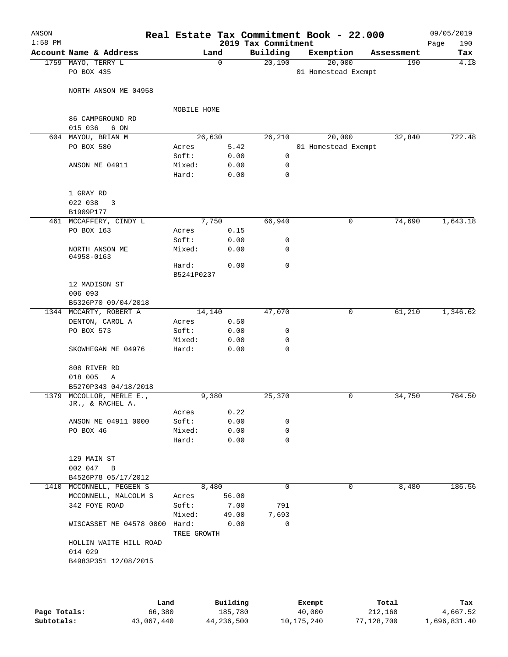| ANSON<br>$1:58$ PM |                                         |                     |              | 2019 Tax Commitment | Real Estate Tax Commitment Book - 22.000 |            | 09/05/2019         |
|--------------------|-----------------------------------------|---------------------|--------------|---------------------|------------------------------------------|------------|--------------------|
|                    | Account Name & Address                  | Land                |              | Building            | Exemption                                | Assessment | 190<br>Page<br>Tax |
|                    | 1759 MAYO, TERRY L                      |                     | $\mathbf 0$  | 20,190              | 20,000                                   | 190        | 4.18               |
|                    | PO BOX 435                              |                     |              |                     | 01 Homestead Exempt                      |            |                    |
|                    | NORTH ANSON ME 04958                    |                     |              |                     |                                          |            |                    |
|                    |                                         | MOBILE HOME         |              |                     |                                          |            |                    |
|                    | 86 CAMPGROUND RD<br>015 036<br>6 ON     |                     |              |                     |                                          |            |                    |
|                    | 604 MAYOU, BRIAN M                      | 26,630              |              | 26,210              | 20,000                                   | 32,840     | 722.48             |
|                    | PO BOX 580                              | Acres               | 5.42         |                     | 01 Homestead Exempt                      |            |                    |
|                    |                                         | Soft:               | 0.00         | 0                   |                                          |            |                    |
|                    | ANSON ME 04911                          | Mixed:<br>Hard:     | 0.00<br>0.00 | 0<br>$\mathbf 0$    |                                          |            |                    |
|                    | 1 GRAY RD                               |                     |              |                     |                                          |            |                    |
|                    | 022 038<br>3                            |                     |              |                     |                                          |            |                    |
|                    | B1909P177<br>461 MCCAFFERY, CINDY L     |                     |              |                     | 0                                        |            | 1,643.18           |
|                    | PO BOX 163                              | 7,750<br>Acres      | 0.15         | 66,940              |                                          | 74,690     |                    |
|                    |                                         | Soft:               | 0.00         | 0                   |                                          |            |                    |
|                    | NORTH ANSON ME<br>04958-0163            | Mixed:              | 0.00         | 0                   |                                          |            |                    |
|                    |                                         | Hard:<br>B5241P0237 | 0.00         | $\mathbf 0$         |                                          |            |                    |
|                    | 12 MADISON ST                           |                     |              |                     |                                          |            |                    |
|                    | 006 093                                 |                     |              |                     |                                          |            |                    |
|                    | B5326P70 09/04/2018                     |                     |              |                     |                                          |            |                    |
|                    | 1344 MCCARTY, ROBERT A                  | 14,140              |              | 47,070              | 0                                        | 61,210     | 1,346.62           |
|                    | DENTON, CAROL A                         | Acres               | 0.50         |                     |                                          |            |                    |
|                    | PO BOX 573                              | Soft:               | 0.00         | 0                   |                                          |            |                    |
|                    | SKOWHEGAN ME 04976                      | Mixed:<br>Hard:     | 0.00<br>0.00 | 0<br>$\mathbf 0$    |                                          |            |                    |
|                    |                                         |                     |              |                     |                                          |            |                    |
|                    | 808 RIVER RD                            |                     |              |                     |                                          |            |                    |
|                    | 018 005<br>Α                            |                     |              |                     |                                          |            |                    |
|                    | B5270P343 04/18/2018                    |                     |              |                     |                                          |            |                    |
| 1379               | MCCOLLOR, MERLE E.,<br>JR., & RACHEL A. | 9,380               |              | 25,370              | 0                                        | 34,750     | 764.50             |
|                    |                                         | Acres               | 0.22         |                     |                                          |            |                    |
|                    | ANSON ME 04911 0000<br>PO BOX 46        | Soft:               | 0.00<br>0.00 | 0<br>0              |                                          |            |                    |
|                    |                                         | Mixed:<br>Hard:     | 0.00         | $\mathbf 0$         |                                          |            |                    |
|                    | 129 MAIN ST                             |                     |              |                     |                                          |            |                    |
|                    | 002 047 B                               |                     |              |                     |                                          |            |                    |
|                    | B4526P78 05/17/2012                     |                     |              |                     |                                          |            |                    |
|                    | 1410 MCCONNELL, PEGEEN S                |                     | 8,480        | $\mathbf 0$         | 0                                        | 8,480      | 186.56             |
|                    | MCCONNELL, MALCOLM S                    | Acres               | 56.00        |                     |                                          |            |                    |
|                    | 342 FOYE ROAD                           | Soft:               | 7.00         | 791                 |                                          |            |                    |
|                    |                                         | Mixed: 49.00        |              | 7,693               |                                          |            |                    |
|                    | WISCASSET ME 04578 0000 Hard: 0.00      | TREE GROWTH         |              | 0                   |                                          |            |                    |
|                    | HOLLIN WAITE HILL ROAD<br>014 029       |                     |              |                     |                                          |            |                    |
|                    | B4983P351 12/08/2015                    |                     |              |                     |                                          |            |                    |
|                    |                                         |                     |              |                     |                                          |            |                    |
|                    |                                         |                     |              |                     |                                          |            |                    |

|              | Land       | Building   | Exempt     | Total      | Tax          |
|--------------|------------|------------|------------|------------|--------------|
| Page Totals: | 66,380     | 185,780    | 40,000     | 212,160    | 4,667.52     |
| Subtotals:   | 43,067,440 | 44,236,500 | 10,175,240 | 77,128,700 | 1,696,831.40 |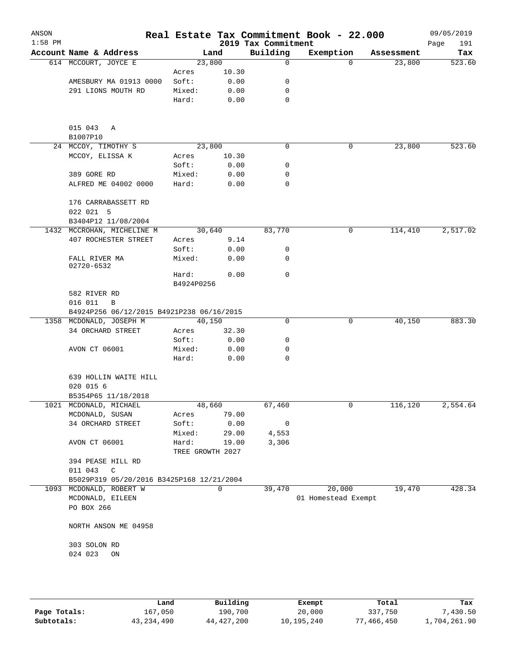| ANSON<br>$1:58$ PM |                                           |                     |                 | 2019 Tax Commitment | Real Estate Tax Commitment Book - 22.000 |            | 09/05/2019<br>Page<br>191 |
|--------------------|-------------------------------------------|---------------------|-----------------|---------------------|------------------------------------------|------------|---------------------------|
|                    | Account Name & Address                    |                     | Land            | Building            | Exemption                                | Assessment | Tax                       |
|                    | 614 MCCOURT, JOYCE E                      |                     | 23,800          | 0                   | $\Omega$                                 | 23,800     | 523.60                    |
|                    |                                           | Acres               | 10.30           |                     |                                          |            |                           |
|                    | AMESBURY MA 01913 0000                    | Soft:               | 0.00            | 0                   |                                          |            |                           |
|                    | 291 LIONS MOUTH RD                        | Mixed:              | 0.00            | 0                   |                                          |            |                           |
|                    |                                           | Hard:               | 0.00            | $\mathbf 0$         |                                          |            |                           |
|                    | 015 043<br>Α<br>B1007P10                  |                     |                 |                     |                                          |            |                           |
|                    | 24 MCCOY, TIMOTHY S                       |                     | 23,800          | 0                   | 0                                        | 23,800     | 523.60                    |
|                    | MCCOY, ELISSA K                           | Acres               | 10.30           |                     |                                          |            |                           |
|                    |                                           | Soft:               | 0.00            | 0                   |                                          |            |                           |
|                    | 389 GORE RD                               | Mixed:              | 0.00            | 0                   |                                          |            |                           |
|                    | ALFRED ME 04002 0000                      | Hard:               | 0.00            | 0                   |                                          |            |                           |
|                    | 176 CARRABASSETT RD                       |                     |                 |                     |                                          |            |                           |
|                    | 022 021 5                                 |                     |                 |                     |                                          |            |                           |
|                    | B3404P12 11/08/2004                       |                     |                 |                     |                                          |            |                           |
|                    | 1432 MCCROHAN, MICHELINE M                |                     | 30,640          | 83,770              | 0                                        | 114,410    | 2,517.02                  |
|                    | 407 ROCHESTER STREET                      | Acres               | 9.14            |                     |                                          |            |                           |
|                    |                                           | Soft:<br>Mixed:     | 0.00            | 0<br>0              |                                          |            |                           |
|                    | FALL RIVER MA<br>02720-6532               |                     | 0.00            |                     |                                          |            |                           |
|                    |                                           | Hard:<br>B4924P0256 | 0.00            | 0                   |                                          |            |                           |
|                    | 582 RIVER RD                              |                     |                 |                     |                                          |            |                           |
|                    | 016 011<br>B                              |                     |                 |                     |                                          |            |                           |
|                    | B4924P256 06/12/2015 B4921P238 06/16/2015 |                     |                 |                     |                                          |            |                           |
|                    | 1358 MCDONALD, JOSEPH M                   |                     | 40,150          | 0                   | 0                                        | 40,150     | 883.30                    |
|                    | 34 ORCHARD STREET                         | Acres               | 32.30           |                     |                                          |            |                           |
|                    |                                           | Soft:               | 0.00            | 0                   |                                          |            |                           |
|                    | AVON CT 06001                             | Mixed:<br>Hard:     | 0.00<br>0.00    | 0<br>0              |                                          |            |                           |
|                    | 639 HOLLIN WAITE HILL                     |                     |                 |                     |                                          |            |                           |
|                    | 020 015 6                                 |                     |                 |                     |                                          |            |                           |
|                    | B5354P65 11/18/2018                       |                     |                 |                     |                                          |            |                           |
|                    | 1021 MCDONALD, MICHAEL<br>MCDONALD, SUSAN | Acres               | 48,660<br>79.00 | 67,460              | 0                                        | 116,120    | 2,554.64                  |
|                    | 34 ORCHARD STREET                         | Soft:               | 0.00            | 0                   |                                          |            |                           |
|                    |                                           | Mixed:              | 29.00           | 4,553               |                                          |            |                           |
|                    | AVON CT 06001                             | Hard:               | 19.00           | 3,306               |                                          |            |                           |
|                    |                                           | TREE GROWTH 2027    |                 |                     |                                          |            |                           |
|                    | 394 PEASE HILL RD                         |                     |                 |                     |                                          |            |                           |
|                    | 011 043<br>$\mathsf{C}$                   |                     |                 |                     |                                          |            |                           |
|                    | B5029P319 05/20/2016 B3425P168 12/21/2004 |                     |                 |                     |                                          |            |                           |
|                    | 1093 MCDONALD, ROBERT W                   |                     | $\mathbf 0$     | 39,470              | 20,000                                   | 19,470     | 428.34                    |
|                    | MCDONALD, EILEEN<br>PO BOX 266            |                     |                 |                     | 01 Homestead Exempt                      |            |                           |
|                    | NORTH ANSON ME 04958                      |                     |                 |                     |                                          |            |                           |
|                    | 303 SOLON RD                              |                     |                 |                     |                                          |            |                           |
|                    | 024 023<br>ON                             |                     |                 |                     |                                          |            |                           |
|                    |                                           |                     |                 |                     |                                          |            |                           |

|              | Land         | Building   | Exempt     | Total      | Tax          |
|--------------|--------------|------------|------------|------------|--------------|
| Page Totals: | 167,050      | 190,700    | 20,000     | 337,750    | 7,430.50     |
| Subtotals:   | 43, 234, 490 | 44,427,200 | 10,195,240 | 77,466,450 | 1,704,261.90 |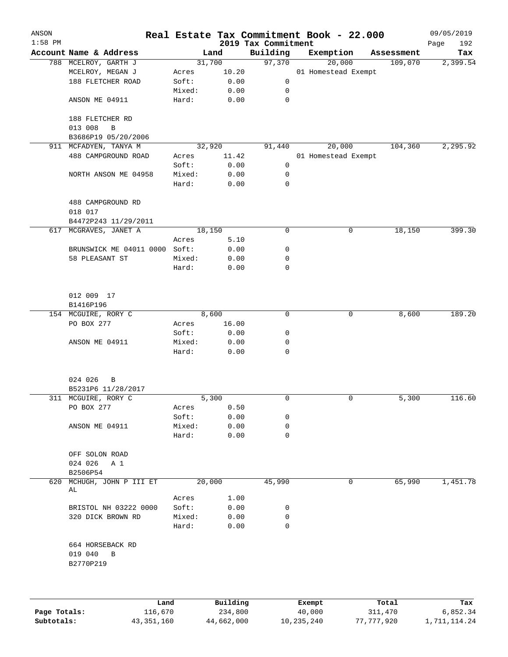| ANSON<br>$1:58$ PM |                                  |        |          |                                 | Real Estate Tax Commitment Book - 22.000 |             | 09/05/2019         |
|--------------------|----------------------------------|--------|----------|---------------------------------|------------------------------------------|-------------|--------------------|
|                    | Account Name & Address           |        | Land     | 2019 Tax Commitment<br>Building | Exemption                                | Assessment  | 192<br>Page<br>Tax |
|                    | 788 MCELROY, GARTH J             |        | 31,700   | 97,370                          | 20,000                                   | 109,070     | 2,399.54           |
|                    | MCELROY, MEGAN J                 | Acres  | 10.20    |                                 | 01 Homestead Exempt                      |             |                    |
|                    | 188 FLETCHER ROAD                | Soft:  | 0.00     | 0                               |                                          |             |                    |
|                    |                                  | Mixed: | 0.00     | 0                               |                                          |             |                    |
|                    | ANSON ME 04911                   | Hard:  | 0.00     | $\mathbf 0$                     |                                          |             |                    |
|                    | 188 FLETCHER RD                  |        |          |                                 |                                          |             |                    |
|                    | 013 008<br>B                     |        |          |                                 |                                          |             |                    |
|                    | B3686P19 05/20/2006              |        |          |                                 |                                          |             |                    |
|                    | 911 MCFADYEN, TANYA M            |        | 32,920   | 91,440                          | 20,000                                   | 104,360     | 2,295.92           |
|                    | 488 CAMPGROUND ROAD              | Acres  | 11.42    |                                 | 01 Homestead Exempt                      |             |                    |
|                    |                                  | Soft:  | 0.00     | 0                               |                                          |             |                    |
|                    | NORTH ANSON ME 04958             | Mixed: | 0.00     | 0                               |                                          |             |                    |
|                    |                                  | Hard:  | 0.00     | $\mathbf 0$                     |                                          |             |                    |
|                    | 488 CAMPGROUND RD<br>018 017     |        |          |                                 |                                          |             |                    |
|                    | B4472P243 11/29/2011             |        |          |                                 |                                          |             |                    |
|                    | 617 MCGRAVES, JANET A            |        | 18,150   | 0                               | 0                                        | 18,150      | 399.30             |
|                    |                                  | Acres  | 5.10     |                                 |                                          |             |                    |
|                    | BRUNSWICK ME 04011 0000 Soft:    |        | 0.00     | 0                               |                                          |             |                    |
|                    | 58 PLEASANT ST                   | Mixed: | 0.00     | 0                               |                                          |             |                    |
|                    |                                  | Hard:  | 0.00     | 0                               |                                          |             |                    |
|                    | 012 009 17                       |        |          |                                 |                                          |             |                    |
|                    | B1416P196                        |        |          |                                 |                                          |             |                    |
|                    | 154 MCGUIRE, RORY C              |        | 8,600    | 0                               | 0                                        | 8,600       | 189.20             |
|                    | PO BOX 277                       | Acres  | 16.00    |                                 |                                          |             |                    |
|                    |                                  | Soft:  | 0.00     | 0                               |                                          |             |                    |
|                    | ANSON ME 04911                   | Mixed: | 0.00     | 0                               |                                          |             |                    |
|                    |                                  | Hard:  | 0.00     | 0                               |                                          |             |                    |
|                    | 024 026<br>В                     |        |          |                                 |                                          |             |                    |
|                    | B5231P6 11/28/2017               |        |          |                                 |                                          |             |                    |
|                    | 311 MCGUIRE, RORY C              |        | 5,300    | 0                               | 0                                        | 5,300       | 116.60             |
|                    | PO BOX 277                       | Acres  | 0.50     |                                 |                                          |             |                    |
|                    |                                  | Soft:  | 0.00     | 0                               |                                          |             |                    |
|                    | ANSON ME 04911                   | Mixed: | 0.00     | 0                               |                                          |             |                    |
|                    |                                  | Hard:  | 0.00     | $\mathbf 0$                     |                                          |             |                    |
|                    | OFF SOLON ROAD<br>024 026<br>A 1 |        |          |                                 |                                          |             |                    |
|                    | B2506P54                         |        |          |                                 |                                          |             |                    |
| 620                | MCHUGH, JOHN P III ET            |        | 20,000   | 45,990                          |                                          | 0<br>65,990 | 1,451.78           |
|                    | AL                               |        |          |                                 |                                          |             |                    |
|                    |                                  | Acres  | 1.00     |                                 |                                          |             |                    |
|                    | BRISTOL NH 03222 0000            | Soft:  | 0.00     | 0                               |                                          |             |                    |
|                    | 320 DICK BROWN RD                | Mixed: | 0.00     | 0                               |                                          |             |                    |
|                    |                                  | Hard:  | 0.00     | $\mathbf 0$                     |                                          |             |                    |
|                    | 664 HORSEBACK RD                 |        |          |                                 |                                          |             |                    |
|                    | 019 040<br>B                     |        |          |                                 |                                          |             |                    |
|                    | B2770P219                        |        |          |                                 |                                          |             |                    |
|                    |                                  |        |          |                                 |                                          |             |                    |
|                    | Land                             |        | Building |                                 | Exempt                                   | Total       | Tax                |
| Page Totals:       | 116,670                          |        | 234,800  |                                 | 40,000                                   | 311,470     | 6,852.34           |

**Subtotals:** 43,351,160 44,662,000 10,235,240 77,777,920 1,711,114.24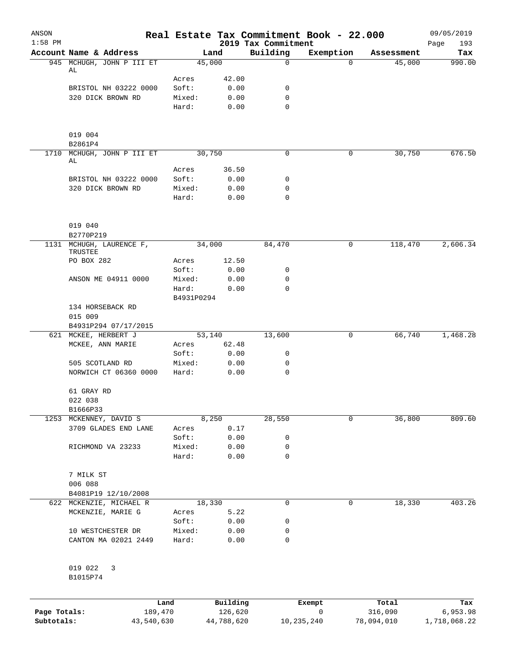| ANSON<br>$1:58$ PM |                                     |                |               |                                 | Real Estate Tax Commitment Book - 22.000 |            | 09/05/2019         |
|--------------------|-------------------------------------|----------------|---------------|---------------------------------|------------------------------------------|------------|--------------------|
|                    | Account Name & Address              |                | Land          | 2019 Tax Commitment<br>Building | Exemption                                | Assessment | 193<br>Page<br>Tax |
|                    | 945 MCHUGH, JOHN P III ET           |                | 45,000        | $\mathbf 0$                     | $\Omega$                                 | 45,000     | 990.00             |
|                    | AL                                  |                |               |                                 |                                          |            |                    |
|                    | BRISTOL NH 03222 0000               | Acres<br>Soft: | 42.00<br>0.00 | 0                               |                                          |            |                    |
|                    | 320 DICK BROWN RD                   | Mixed:         | 0.00          | 0                               |                                          |            |                    |
|                    |                                     | Hard:          | 0.00          | 0                               |                                          |            |                    |
|                    | 019 004                             |                |               |                                 |                                          |            |                    |
|                    | B2861P4                             |                |               |                                 |                                          |            |                    |
|                    | 1710 MCHUGH, JOHN P III ET<br>AL    |                | 30,750        | 0                               | 0                                        | 30,750     | 676.50             |
|                    |                                     | Acres          | 36.50         |                                 |                                          |            |                    |
|                    | BRISTOL NH 03222 0000               | Soft:          | 0.00          | 0                               |                                          |            |                    |
|                    | 320 DICK BROWN RD                   | Mixed:         | 0.00          | 0                               |                                          |            |                    |
|                    |                                     | Hard:          | 0.00          | 0                               |                                          |            |                    |
|                    | 019 040                             |                |               |                                 |                                          |            |                    |
|                    | B2770P219                           |                |               |                                 |                                          |            |                    |
|                    | 1131 MCHUGH, LAURENCE F,<br>TRUSTEE |                | 34,000        | 84,470                          | 0                                        | 118,470    | 2,606.34           |
|                    | PO BOX 282                          | Acres          | 12.50         |                                 |                                          |            |                    |
|                    |                                     | Soft:          | 0.00          | 0                               |                                          |            |                    |
|                    | ANSON ME 04911 0000                 | Mixed:         | 0.00          | 0                               |                                          |            |                    |
|                    |                                     | Hard:          | 0.00          | $\mathbf 0$                     |                                          |            |                    |
|                    | 134 HORSEBACK RD                    | B4931P0294     |               |                                 |                                          |            |                    |
|                    | 015 009                             |                |               |                                 |                                          |            |                    |
|                    | B4931P294 07/17/2015                |                |               |                                 |                                          |            |                    |
|                    | 621 MCKEE, HERBERT J                |                | 53,140        | 13,600                          | 0                                        | 66,740     | 1,468.28           |
|                    | MCKEE, ANN MARIE                    | Acres          | 62.48         |                                 |                                          |            |                    |
|                    |                                     | Soft:          | 0.00          | 0                               |                                          |            |                    |
|                    | 505 SCOTLAND RD                     | Mixed:         | 0.00          | 0                               |                                          |            |                    |
|                    | NORWICH CT 06360 0000               | Hard:          | 0.00          | $\mathbf 0$                     |                                          |            |                    |
|                    | 61 GRAY RD<br>022 038               |                |               |                                 |                                          |            |                    |
|                    | B1666P33                            |                |               |                                 |                                          |            |                    |
|                    | 1253 MCKENNEY, DAVID S              |                | 8,250         | 28,550                          | 0                                        | 36,800     | 809.60             |
|                    | 3709 GLADES END LANE                | Acres          | 0.17          |                                 |                                          |            |                    |
|                    |                                     | Soft:          | 0.00          | 0                               |                                          |            |                    |
|                    | RICHMOND VA 23233                   | Mixed:         | 0.00          | 0                               |                                          |            |                    |
|                    |                                     | Hard:          | 0.00          | 0                               |                                          |            |                    |
|                    | 7 MILK ST                           |                |               |                                 |                                          |            |                    |
|                    | 006 088                             |                |               |                                 |                                          |            |                    |
|                    | B4081P19 12/10/2008                 |                |               |                                 |                                          |            |                    |
|                    | 622 MCKENZIE, MICHAEL R             |                | 18,330        | 0                               | 0                                        | 18,330     | 403.26             |
|                    | MCKENZIE, MARIE G                   | Acres          | 5.22          |                                 |                                          |            |                    |
|                    |                                     | Soft:          | 0.00          | 0                               |                                          |            |                    |
|                    | 10 WESTCHESTER DR                   | Mixed:         | 0.00          | 0                               |                                          |            |                    |
|                    | CANTON MA 02021 2449                | Hard:          | 0.00          | $\mathbf 0$                     |                                          |            |                    |
|                    | 019 022<br>3                        |                |               |                                 |                                          |            |                    |
|                    | B1015P74                            |                |               |                                 |                                          |            |                    |
|                    | Land                                |                | Building      |                                 | Exempt                                   | Total      | Tax                |
| Page Totals:       | 189,470                             |                | 126,620       |                                 | 0                                        | 316,090    | 6,953.98           |
| Subtotals:         | 43,540,630                          |                | 44,788,620    | 10, 235, 240                    |                                          | 78,094,010 | 1,718,068.22       |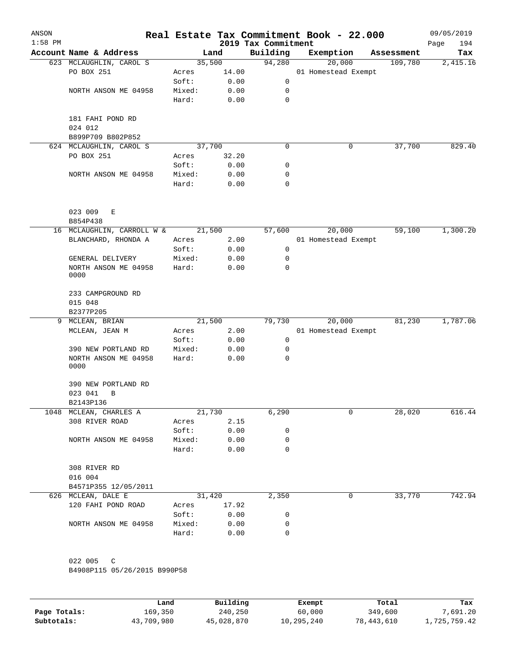| $1:58$ PM |                                           |                 |              | Real Estate Tax Commitment Book - 22.000<br>2019 Tax Commitment |           |                     |            | 09/05/2019<br>194<br>Page |
|-----------|-------------------------------------------|-----------------|--------------|-----------------------------------------------------------------|-----------|---------------------|------------|---------------------------|
|           | Account Name & Address                    | Land            |              | Building                                                        | Exemption |                     | Assessment | Tax                       |
|           | 623 MCLAUGHLIN, CAROL S                   | 35,500          |              | 94,280                                                          |           | 20,000              | 109,780    | 2,415.16                  |
|           | PO BOX 251                                | Acres           | 14.00        |                                                                 |           | 01 Homestead Exempt |            |                           |
|           |                                           | Soft:           | 0.00         | 0                                                               |           |                     |            |                           |
|           | NORTH ANSON ME 04958                      | Mixed:          | 0.00         | 0                                                               |           |                     |            |                           |
|           |                                           | Hard:           | 0.00         | 0                                                               |           |                     |            |                           |
|           | 181 FAHI POND RD                          |                 |              |                                                                 |           |                     |            |                           |
|           | 024 012                                   |                 |              |                                                                 |           |                     |            |                           |
|           | B899P709 B802P852                         |                 |              |                                                                 |           |                     |            |                           |
|           | 624 MCLAUGHLIN, CAROL S                   | 37,700          |              | 0                                                               |           | 0                   | 37,700     | 829.40                    |
|           | PO BOX 251                                | Acres           | 32.20        |                                                                 |           |                     |            |                           |
|           |                                           | Soft:<br>Mixed: | 0.00<br>0.00 | 0<br>0                                                          |           |                     |            |                           |
|           | NORTH ANSON ME 04958                      | Hard:           | 0.00         | 0                                                               |           |                     |            |                           |
|           |                                           |                 |              |                                                                 |           |                     |            |                           |
|           | 023 009<br>Е                              |                 |              |                                                                 |           |                     |            |                           |
|           | B854P438                                  |                 |              |                                                                 |           |                     |            |                           |
|           | 16 MCLAUGHLIN, CARROLL W &                | 21,500          |              | 57,600                                                          |           | 20,000              | 59,100     | 1,300.20                  |
|           | BLANCHARD, RHONDA A                       | Acres           | 2.00         |                                                                 |           | 01 Homestead Exempt |            |                           |
|           |                                           | Soft:           | 0.00         | $\mathsf 0$                                                     |           |                     |            |                           |
|           | GENERAL DELIVERY<br>NORTH ANSON ME 04958  | Mixed:<br>Hard: | 0.00<br>0.00 | 0<br>0                                                          |           |                     |            |                           |
|           | 0000                                      |                 |              |                                                                 |           |                     |            |                           |
|           | 233 CAMPGROUND RD                         |                 |              |                                                                 |           |                     |            |                           |
|           | 015 048                                   |                 |              |                                                                 |           |                     |            |                           |
|           | B2377P205                                 |                 |              |                                                                 |           |                     |            |                           |
| 9         | MCLEAN, BRIAN                             | 21,500          |              | 79,730                                                          |           | 20,000              | 81,230     | 1,787.06                  |
|           | MCLEAN, JEAN M                            | Acres<br>Soft:  | 2.00         | 0                                                               |           | 01 Homestead Exempt |            |                           |
|           | 390 NEW PORTLAND RD                       | Mixed:          | 0.00<br>0.00 | 0                                                               |           |                     |            |                           |
|           | NORTH ANSON ME 04958                      | Hard:           | 0.00         | 0                                                               |           |                     |            |                           |
|           | 0000                                      |                 |              |                                                                 |           |                     |            |                           |
|           | 390 NEW PORTLAND RD                       |                 |              |                                                                 |           |                     |            |                           |
|           | 023 041<br>B                              |                 |              |                                                                 |           |                     |            |                           |
|           | B2143P136                                 |                 |              |                                                                 |           |                     |            |                           |
| 1048      | MCLEAN, CHARLES A                         | 21,730          |              | 6,290                                                           |           | 0                   | 28,020     | 616.44                    |
|           | 308 RIVER ROAD                            | Acres           | 2.15         |                                                                 |           |                     |            |                           |
|           |                                           | Soft:           | 0.00         | 0                                                               |           |                     |            |                           |
|           | NORTH ANSON ME 04958                      | Mixed:          | 0.00         | 0                                                               |           |                     |            |                           |
|           |                                           | Hard:           | 0.00         | 0                                                               |           |                     |            |                           |
|           | 308 RIVER RD                              |                 |              |                                                                 |           |                     |            |                           |
|           | 016 004                                   |                 |              |                                                                 |           |                     |            |                           |
|           | B4571P355 12/05/2011                      |                 |              |                                                                 |           |                     |            |                           |
|           | 626 MCLEAN, DALE E                        | 31,420          |              | 2,350                                                           |           | 0                   | 33,770     | 742.94                    |
|           | 120 FAHI POND ROAD                        | Acres 17.92     |              |                                                                 |           |                     |            |                           |
|           |                                           | Soft:           | 0.00         | 0                                                               |           |                     |            |                           |
|           | NORTH ANSON ME 04958                      | Mixed:          | 0.00         | 0                                                               |           |                     |            |                           |
|           |                                           | Hard:           | 0.00         | 0                                                               |           |                     |            |                           |
|           |                                           |                 |              |                                                                 |           |                     |            |                           |
|           |                                           |                 |              |                                                                 |           |                     |            |                           |
|           | 022 005 C<br>B4908P115 05/26/2015 B990P58 |                 |              |                                                                 |           |                     |            |                           |

|              | Land       | Building   | Exempt     | Total      | Tax          |
|--------------|------------|------------|------------|------------|--------------|
| Page Totals: | 169,350    | 240,250    | 60,000     | 349,600    | 7,691.20     |
| Subtotals:   | 43,709,980 | 45,028,870 | 10,295,240 | 78,443,610 | l,725,759.42 |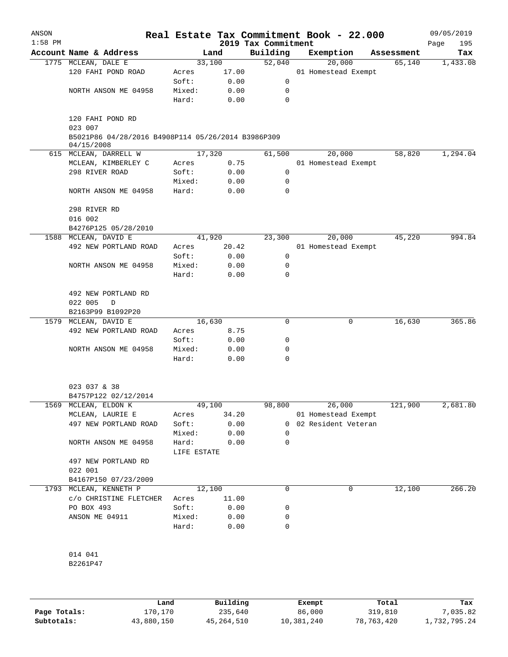| ANSON<br>$1:58$ PM |                                                                             |                      |        | 2019 Tax Commitment | Real Estate Tax Commitment Book - 22.000 |            | 09/05/2019<br>Page<br>195 |
|--------------------|-----------------------------------------------------------------------------|----------------------|--------|---------------------|------------------------------------------|------------|---------------------------|
|                    | Account Name & Address                                                      |                      | Land   | Building            | Exemption                                | Assessment | Tax                       |
|                    | 1775 MCLEAN, DALE E                                                         |                      | 33,100 | 52,040              | 20,000                                   | 65,140     | 1,433.08                  |
|                    | 120 FAHI POND ROAD                                                          | Acres                | 17.00  |                     | 01 Homestead Exempt                      |            |                           |
|                    |                                                                             | Soft:                | 0.00   | 0                   |                                          |            |                           |
|                    | NORTH ANSON ME 04958                                                        | Mixed:               | 0.00   | 0                   |                                          |            |                           |
|                    |                                                                             | Hard:                | 0.00   | 0                   |                                          |            |                           |
|                    | 120 FAHI POND RD                                                            |                      |        |                     |                                          |            |                           |
|                    | 023 007<br>B5021P86 04/28/2016 B4908P114 05/26/2014 B3986P309<br>04/15/2008 |                      |        |                     |                                          |            |                           |
|                    | 615 MCLEAN, DARRELL W                                                       |                      | 17,320 | 61,500              | 20,000                                   | 58,820     | 1,294.04                  |
|                    | MCLEAN, KIMBERLEY C                                                         | Acres                | 0.75   |                     | 01 Homestead Exempt                      |            |                           |
|                    | 298 RIVER ROAD                                                              | Soft:                | 0.00   | 0                   |                                          |            |                           |
|                    |                                                                             | Mixed:               | 0.00   | 0                   |                                          |            |                           |
|                    | NORTH ANSON ME 04958                                                        | Hard:                | 0.00   | 0                   |                                          |            |                           |
|                    | 298 RIVER RD                                                                |                      |        |                     |                                          |            |                           |
|                    | 016 002                                                                     |                      |        |                     |                                          |            |                           |
|                    | B4276P125 05/28/2010                                                        |                      |        |                     |                                          |            |                           |
|                    | 1588 MCLEAN, DAVID E                                                        |                      | 41,920 | 23,300              | 20,000                                   | 45,220     | 994.84                    |
|                    | 492 NEW PORTLAND ROAD                                                       | Acres                | 20.42  |                     | 01 Homestead Exempt                      |            |                           |
|                    |                                                                             | Soft:                | 0.00   | $\mathbf 0$         |                                          |            |                           |
|                    | NORTH ANSON ME 04958                                                        | Mixed:               | 0.00   | 0                   |                                          |            |                           |
|                    |                                                                             | Hard:                | 0.00   | 0                   |                                          |            |                           |
|                    | 492 NEW PORTLAND RD                                                         |                      |        |                     |                                          |            |                           |
|                    | 022 005<br>$\mathbb D$                                                      |                      |        |                     |                                          |            |                           |
|                    | B2163P99 B1092P20                                                           |                      |        |                     |                                          |            |                           |
|                    | 1579 MCLEAN, DAVID E                                                        |                      | 16,630 | 0                   | 0                                        | 16,630     | 365.86                    |
|                    | 492 NEW PORTLAND ROAD                                                       | Acres                | 8.75   |                     |                                          |            |                           |
|                    |                                                                             | Soft:                | 0.00   | 0                   |                                          |            |                           |
|                    | NORTH ANSON ME 04958                                                        | Mixed:               | 0.00   | 0                   |                                          |            |                           |
|                    |                                                                             | Hard:                | 0.00   | 0                   |                                          |            |                           |
|                    |                                                                             |                      |        |                     |                                          |            |                           |
|                    | 023 037 & 38                                                                |                      |        |                     |                                          |            |                           |
| 1569               | B4757P122 02/12/2014                                                        |                      |        |                     |                                          |            |                           |
|                    | MCLEAN, ELDON K                                                             |                      | 49,100 | 98,800              | 26,000                                   | 121,900    | 2,681.80                  |
|                    | MCLEAN, LAURIE E                                                            | Acres                | 34.20  |                     | 01 Homestead Exempt                      |            |                           |
|                    | 497 NEW PORTLAND ROAD                                                       | Soft:                | 0.00   | 0                   | 02 Resident Veteran                      |            |                           |
|                    |                                                                             | Mixed:               | 0.00   | 0                   |                                          |            |                           |
|                    | NORTH ANSON ME 04958                                                        | Hard:<br>LIFE ESTATE | 0.00   | 0                   |                                          |            |                           |
|                    | 497 NEW PORTLAND RD<br>022 001                                              |                      |        |                     |                                          |            |                           |
|                    | B4167P150 07/23/2009                                                        |                      |        |                     |                                          |            |                           |
|                    | 1793 MCLEAN, KENNETH P                                                      |                      | 12,100 | 0                   | 0                                        | 12,100     | 266.20                    |
|                    |                                                                             | Acres                | 11.00  |                     |                                          |            |                           |
|                    | c/o CHRISTINE FLETCHER                                                      |                      |        |                     |                                          |            |                           |
|                    | PO BOX 493                                                                  | Soft:                | 0.00   | 0                   |                                          |            |                           |
|                    | ANSON ME 04911                                                              | Mixed:               | 0.00   | 0<br>0              |                                          |            |                           |
|                    |                                                                             | Hard:                | 0.00   |                     |                                          |            |                           |
|                    | 014 041                                                                     |                      |        |                     |                                          |            |                           |
|                    | B2261P47                                                                    |                      |        |                     |                                          |            |                           |
|                    |                                                                             |                      |        |                     |                                          |            |                           |
|                    |                                                                             |                      |        |                     |                                          |            |                           |

|              | Land       | Building   | Exempt     | Total      | Tax          |
|--------------|------------|------------|------------|------------|--------------|
| Page Totals: | 170,170    | 235,640    | 86,000     | 319,810    | 7,035.82     |
| Subtotals:   | 43,880,150 | 45,264,510 | 10,381,240 | 78,763,420 | 1,732,795.24 |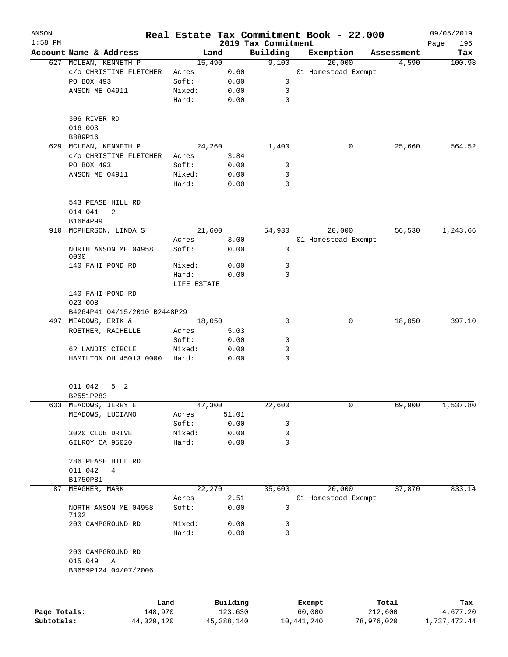| ANSON<br>$1:58$ PM |                                   |             |          |                                 | Real Estate Tax Commitment Book - 22.000 |            | 09/05/2019         |
|--------------------|-----------------------------------|-------------|----------|---------------------------------|------------------------------------------|------------|--------------------|
|                    | Account Name & Address            |             | Land     | 2019 Tax Commitment<br>Building | Exemption                                | Assessment | 196<br>Page<br>Tax |
|                    | 627 MCLEAN, KENNETH P             |             | 15,490   | 9,100                           | 20,000                                   | 4,590      | 100.98             |
|                    | C/O CHRISTINE FLETCHER            | Acres       | 0.60     |                                 | 01 Homestead Exempt                      |            |                    |
|                    | PO BOX 493                        | Soft:       | 0.00     | 0                               |                                          |            |                    |
|                    | ANSON ME 04911                    | Mixed:      | 0.00     | 0                               |                                          |            |                    |
|                    |                                   | Hard:       | 0.00     | 0                               |                                          |            |                    |
|                    | 306 RIVER RD                      |             |          |                                 |                                          |            |                    |
|                    | 016 003                           |             |          |                                 |                                          |            |                    |
|                    | B889P16                           |             |          |                                 |                                          |            |                    |
| 629                | MCLEAN, KENNETH P                 |             | 24,260   | 1,400                           | 0                                        | 25,660     | 564.52             |
|                    | c/o CHRISTINE FLETCHER            | Acres       | 3.84     |                                 |                                          |            |                    |
|                    | PO BOX 493                        | Soft:       | 0.00     | 0                               |                                          |            |                    |
|                    | ANSON ME 04911                    | Mixed:      | 0.00     | 0                               |                                          |            |                    |
|                    |                                   | Hard:       | 0.00     | 0                               |                                          |            |                    |
|                    | 543 PEASE HILL RD<br>014 041<br>2 |             |          |                                 |                                          |            |                    |
|                    | B1664P99                          |             |          |                                 |                                          |            |                    |
| 910                | MCPHERSON, LINDA S                |             | 21,600   | 54,930                          | 20,000                                   | 56,530     | 1,243.66           |
|                    |                                   | Acres       | 3.00     |                                 | 01 Homestead Exempt                      |            |                    |
|                    | NORTH ANSON ME 04958<br>0000      | Soft:       | 0.00     | 0                               |                                          |            |                    |
|                    | 140 FAHI POND RD                  | Mixed:      | 0.00     | 0                               |                                          |            |                    |
|                    |                                   | Hard:       | 0.00     | 0                               |                                          |            |                    |
|                    |                                   | LIFE ESTATE |          |                                 |                                          |            |                    |
|                    | 140 FAHI POND RD                  |             |          |                                 |                                          |            |                    |
|                    | 023 008                           |             |          |                                 |                                          |            |                    |
|                    | B4264P41 04/15/2010 B2448P29      |             |          |                                 |                                          |            |                    |
| 497                | MEADOWS, ERIK &                   |             | 18,050   | 0                               | 0                                        | 18,050     | 397.10             |
|                    | ROETHER, RACHELLE                 | Acres       | 5.03     |                                 |                                          |            |                    |
|                    |                                   | Soft:       | 0.00     | 0                               |                                          |            |                    |
|                    | 62 LANDIS CIRCLE                  | Mixed:      | 0.00     | 0                               |                                          |            |                    |
|                    | HAMILTON OH 45013 0000            | Hard:       | 0.00     | 0                               |                                          |            |                    |
|                    | 011 042<br>5 <sub>2</sub>         |             |          |                                 |                                          |            |                    |
|                    | B2551P283                         |             |          |                                 |                                          |            |                    |
|                    | 633 MEADOWS, JERRY E              |             | 47,300   | 22,600                          | 0                                        | 69,900     | 1,537.80           |
|                    | MEADOWS, LUCIANO                  | Acres       | 51.01    |                                 |                                          |            |                    |
|                    |                                   | Soft:       | 0.00     | 0                               |                                          |            |                    |
|                    | 3020 CLUB DRIVE                   | Mixed:      | 0.00     | 0                               |                                          |            |                    |
|                    | GILROY CA 95020                   | Hard:       | 0.00     | 0                               |                                          |            |                    |
|                    |                                   |             |          |                                 |                                          |            |                    |
|                    | 286 PEASE HILL RD                 |             |          |                                 |                                          |            |                    |
|                    | 011 042<br>4                      |             |          |                                 |                                          |            |                    |
|                    | B1750P81                          |             |          |                                 |                                          |            |                    |
| 87                 | MEAGHER, MARK                     |             | 22,270   | 35,600                          | 20,000                                   | 37,870     | 833.14             |
|                    |                                   | Acres       | 2.51     |                                 | 01 Homestead Exempt                      |            |                    |
|                    | NORTH ANSON ME 04958<br>7102      | Soft:       | 0.00     | 0                               |                                          |            |                    |
|                    | 203 CAMPGROUND RD                 | Mixed:      | 0.00     | 0                               |                                          |            |                    |
|                    |                                   | Hard:       | 0.00     | 0                               |                                          |            |                    |
|                    | 203 CAMPGROUND RD                 |             |          |                                 |                                          |            |                    |
|                    | 015 049<br>$\mathbb A$            |             |          |                                 |                                          |            |                    |
|                    | B3659P124 04/07/2006              |             |          |                                 |                                          |            |                    |
|                    |                                   |             |          |                                 |                                          |            |                    |
|                    | Land                              |             | Building |                                 | Exempt                                   | Total      | Tax                |
| Page Totals:       | 148,970                           |             | 123,630  |                                 | 60,000                                   | 212,600    | 4,677.20           |

**Subtotals:** 44,029,120 45,388,140 10,441,240 78,976,020 1,737,472.44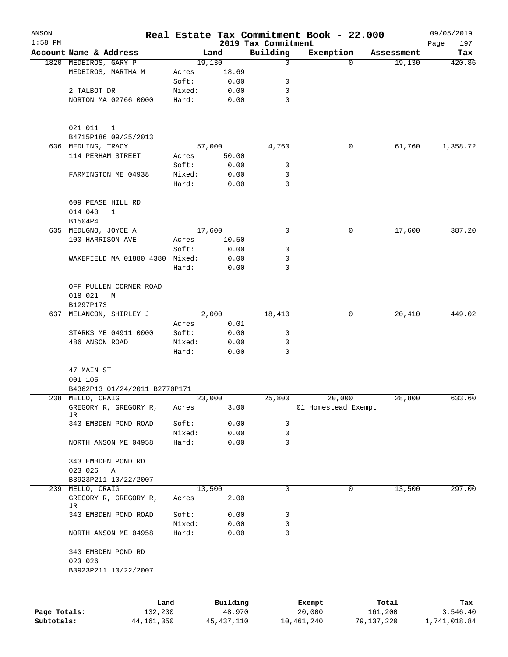| ANSON<br>$1:58$ PM |                                                 |                 |                | 2019 Tax Commitment | Real Estate Tax Commitment Book - 22.000 |            | 09/05/2019<br>Page<br>197 |
|--------------------|-------------------------------------------------|-----------------|----------------|---------------------|------------------------------------------|------------|---------------------------|
|                    | Account Name & Address                          |                 | Land           | Building            | Exemption                                | Assessment | Tax                       |
|                    | 1820 MEDEIROS, GARY P                           |                 | 19,130         | $\mathbf 0$         |                                          | $\Omega$   | 19,130<br>420.86          |
|                    | MEDEIROS, MARTHA M                              | Acres           | 18.69          |                     |                                          |            |                           |
|                    |                                                 | Soft:           | 0.00           | 0                   |                                          |            |                           |
|                    | 2 TALBOT DR                                     | Mixed:          | 0.00           | 0                   |                                          |            |                           |
|                    | NORTON MA 02766 0000                            | Hard:           | 0.00           | 0                   |                                          |            |                           |
|                    | 021 011<br>$\mathbf{1}$<br>B4715P186 09/25/2013 |                 |                |                     |                                          |            |                           |
|                    | 636 MEDLING, TRACY                              |                 | 57,000         | 4,760               |                                          | 0          | 61,760<br>1,358.72        |
|                    | 114 PERHAM STREET                               | Acres           | 50.00          |                     |                                          |            |                           |
|                    |                                                 | Soft:           | 0.00           | 0                   |                                          |            |                           |
|                    | FARMINGTON ME 04938                             | Mixed:          | 0.00           | 0                   |                                          |            |                           |
|                    |                                                 | Hard:           | 0.00           | $\mathbf 0$         |                                          |            |                           |
|                    | 609 PEASE HILL RD<br>014 040<br>$\mathbf{1}$    |                 |                |                     |                                          |            |                           |
|                    | B1504P4                                         |                 |                |                     |                                          |            |                           |
|                    | 635 MEDUGNO, JOYCE A                            |                 | 17,600         | 0                   |                                          | 0          | 17,600<br>387.20          |
|                    | 100 HARRISON AVE                                | Acres           | 10.50          |                     |                                          |            |                           |
|                    |                                                 | Soft:           | 0.00           | 0                   |                                          |            |                           |
|                    | WAKEFIELD MA 01880 4380 Mixed:                  |                 | 0.00           | 0                   |                                          |            |                           |
|                    |                                                 | Hard:           | 0.00           | 0                   |                                          |            |                           |
|                    | OFF PULLEN CORNER ROAD                          |                 |                |                     |                                          |            |                           |
|                    | 018 021<br>М                                    |                 |                |                     |                                          |            |                           |
|                    | B1297P173                                       |                 |                |                     |                                          |            |                           |
| 637                | MELANCON, SHIRLEY J                             |                 | 2,000          | 18,410              |                                          | 0          | 20,410<br>449.02          |
|                    |                                                 | Acres           | 0.01           |                     |                                          |            |                           |
|                    | STARKS ME 04911 0000                            | Soft:           | 0.00           | 0                   |                                          |            |                           |
|                    | 486 ANSON ROAD                                  | Mixed:<br>Hard: | 0.00<br>0.00   | 0<br>0              |                                          |            |                           |
|                    |                                                 |                 |                |                     |                                          |            |                           |
|                    | 47 MAIN ST<br>001 105                           |                 |                |                     |                                          |            |                           |
|                    | B4362P13 01/24/2011 B2770P171                   |                 |                |                     |                                          |            |                           |
|                    | 238 MELLO, CRAIG                                |                 | 23,000         | 25,800              | 20,000                                   |            | 633.60<br>28,800          |
|                    | GREGORY R, GREGORY R,<br>JR                     | Acres           | 3.00           |                     | 01 Homestead Exempt                      |            |                           |
|                    | 343 EMBDEN POND ROAD                            | Soft:           | 0.00           | 0                   |                                          |            |                           |
|                    |                                                 | Mixed:          | 0.00           | 0                   |                                          |            |                           |
|                    | NORTH ANSON ME 04958                            | Hard:           | 0.00           | 0                   |                                          |            |                           |
|                    | 343 EMBDEN POND RD                              |                 |                |                     |                                          |            |                           |
|                    | 023 026<br>Α                                    |                 |                |                     |                                          |            |                           |
|                    | B3923P211 10/22/2007                            |                 |                |                     |                                          |            |                           |
|                    | 239 MELLO, CRAIG<br>GREGORY R, GREGORY R,       | Acres           | 13,500<br>2.00 | 0                   |                                          | 0          | 13,500<br>297.00          |
|                    | JR                                              |                 |                |                     |                                          |            |                           |
|                    | 343 EMBDEN POND ROAD                            | Soft:           | 0.00           | 0                   |                                          |            |                           |
|                    |                                                 | Mixed:          | 0.00           | 0<br>0              |                                          |            |                           |
|                    | NORTH ANSON ME 04958                            | Hard:           | 0.00           |                     |                                          |            |                           |
|                    | 343 EMBDEN POND RD<br>023 026                   |                 |                |                     |                                          |            |                           |
|                    | B3923P211 10/22/2007                            |                 |                |                     |                                          |            |                           |
|                    |                                                 |                 |                |                     |                                          |            |                           |
|                    | Land                                            |                 | Building       |                     | Exempt                                   | Total      | Tax                       |

|              | Land         | Building   | Exempt     | Total      | Tax          |
|--------------|--------------|------------|------------|------------|--------------|
| Page Totals: | 132,230      | 48,970     | 20,000     | 161,200    | 3,546.40     |
| Subtotals:   | 44, 161, 350 | 45,437,110 | 10,461,240 | 79,137,220 | 1,741,018.84 |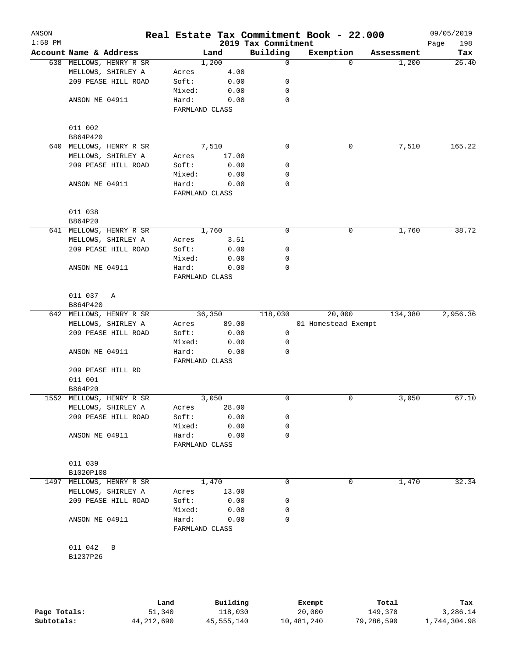| $1:58$ PM | Account Name & Address<br>638 MELLOWS, HENRY R SR |                         | Land   | 2019 Tax Commitment<br>Building | Exemption           | Assessment | 198<br>Page<br>Tax |
|-----------|---------------------------------------------------|-------------------------|--------|---------------------------------|---------------------|------------|--------------------|
|           |                                                   |                         |        |                                 |                     |            |                    |
|           |                                                   |                         | 1,200  | $\mathbf 0$                     | $\Omega$            | 1,200      | $\overline{26.40}$ |
|           | MELLOWS, SHIRLEY A                                | Acres                   | 4.00   |                                 |                     |            |                    |
|           | 209 PEASE HILL ROAD                               | Soft:                   | 0.00   | 0                               |                     |            |                    |
|           |                                                   | Mixed:                  | 0.00   | 0                               |                     |            |                    |
|           | ANSON ME 04911                                    | Hard:                   | 0.00   | $\mathbf 0$                     |                     |            |                    |
|           |                                                   | FARMLAND CLASS          |        |                                 |                     |            |                    |
|           | 011 002                                           |                         |        |                                 |                     |            |                    |
|           | B864P420                                          |                         |        |                                 |                     |            |                    |
|           | 640 MELLOWS, HENRY R SR                           |                         | 7,510  | 0                               | 0                   | 7,510      | 165.22             |
|           | MELLOWS, SHIRLEY A                                | Acres                   | 17.00  |                                 |                     |            |                    |
|           | 209 PEASE HILL ROAD                               | Soft:                   | 0.00   | 0                               |                     |            |                    |
|           |                                                   | Mixed:                  | 0.00   | 0                               |                     |            |                    |
|           | ANSON ME 04911                                    | Hard:                   | 0.00   | $\mathbf 0$                     |                     |            |                    |
|           |                                                   | FARMLAND CLASS          |        |                                 |                     |            |                    |
|           | 011 038                                           |                         |        |                                 |                     |            |                    |
|           | B864P20                                           |                         |        |                                 |                     |            |                    |
|           | 641 MELLOWS, HENRY R SR                           |                         | 1,760  | 0                               | 0                   | 1,760      | 38.72              |
|           | MELLOWS, SHIRLEY A                                | Acres                   | 3.51   |                                 |                     |            |                    |
|           | 209 PEASE HILL ROAD                               | Soft:                   | 0.00   | $\mathbf 0$                     |                     |            |                    |
|           |                                                   | Mixed:                  | 0.00   | 0                               |                     |            |                    |
|           | ANSON ME 04911                                    | Hard:                   | 0.00   | $\mathbf 0$                     |                     |            |                    |
|           |                                                   | FARMLAND CLASS          |        |                                 |                     |            |                    |
|           |                                                   |                         |        |                                 |                     |            |                    |
|           | 011 037<br>Α<br>B864P420                          |                         |        |                                 |                     |            |                    |
|           | 642 MELLOWS, HENRY R SR                           |                         | 36,350 | 118,030                         | 20,000              | 134,380    | 2,956.36           |
|           | MELLOWS, SHIRLEY A                                | Acres                   | 89.00  |                                 | 01 Homestead Exempt |            |                    |
|           | 209 PEASE HILL ROAD                               | Soft:                   | 0.00   | 0                               |                     |            |                    |
|           |                                                   | Mixed:                  | 0.00   | 0                               |                     |            |                    |
|           | ANSON ME 04911                                    | Hard:                   | 0.00   | 0                               |                     |            |                    |
|           |                                                   | FARMLAND CLASS          |        |                                 |                     |            |                    |
|           | 209 PEASE HILL RD                                 |                         |        |                                 |                     |            |                    |
|           | 011 001                                           |                         |        |                                 |                     |            |                    |
|           | B864P20                                           |                         |        |                                 |                     |            |                    |
|           | 1552 MELLOWS, HENRY R SR                          |                         | 3,050  | 0                               | 0                   | 3,050      | 67.10              |
|           | MELLOWS, SHIRLEY A                                | Acres                   | 28.00  |                                 |                     |            |                    |
|           | 209 PEASE HILL ROAD                               | Soft:                   | 0.00   | 0                               |                     |            |                    |
|           |                                                   |                         |        |                                 |                     |            |                    |
|           |                                                   | Mixed:                  | 0.00   | 0                               |                     |            |                    |
|           | ANSON ME 04911                                    | Hard:<br>FARMLAND CLASS | 0.00   | $\mathbf 0$                     |                     |            |                    |
|           | 011 039                                           |                         |        |                                 |                     |            |                    |
|           | B1020P108                                         |                         |        |                                 |                     |            |                    |
| 1497      | MELLOWS, HENRY R SR                               |                         | 1,470  | 0                               | $\mathbf 0$         | 1,470      | 32.34              |
|           |                                                   |                         |        |                                 |                     |            |                    |
|           | MELLOWS, SHIRLEY A                                | Acres                   | 13.00  |                                 |                     |            |                    |
|           | 209 PEASE HILL ROAD                               | Soft:                   | 0.00   | 0                               |                     |            |                    |
|           |                                                   | Mixed:                  | 0.00   | 0                               |                     |            |                    |
|           | ANSON ME 04911                                    | Hard:<br>FARMLAND CLASS | 0.00   | $\mathbf 0$                     |                     |            |                    |
|           |                                                   |                         |        |                                 |                     |            |                    |
|           | 011 042<br>B                                      |                         |        |                                 |                     |            |                    |
|           | B1237P26                                          |                         |        |                                 |                     |            |                    |

|              | Land       | Building   | Exempt     | Total      | Tax          |
|--------------|------------|------------|------------|------------|--------------|
| Page Totals: | 51,340     | 118,030    | 20,000     | 149,370    | 3,286.14     |
| Subtotals:   | 44,212,690 | 45,555,140 | 10,481,240 | 79,286,590 | 1,744,304.98 |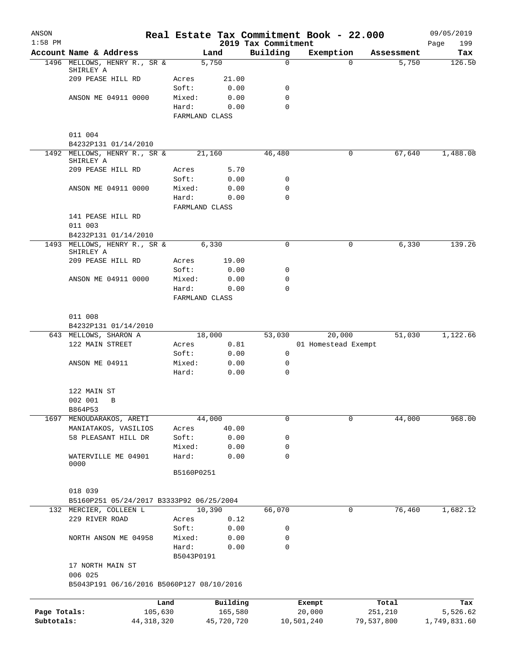| ANSON<br>$1:58$ PM         |                                           |                     |                       |                                 | Real Estate Tax Commitment Book - 22.000 |                       | 09/05/2019               |
|----------------------------|-------------------------------------------|---------------------|-----------------------|---------------------------------|------------------------------------------|-----------------------|--------------------------|
|                            | Account Name & Address                    |                     | Land                  | 2019 Tax Commitment<br>Building | Exemption                                | Assessment            | Page<br>199<br>Tax       |
|                            | 1496 MELLOWS, HENRY R., SR &              |                     | 5,750                 | $\mathbf 0$                     | $\Omega$                                 | 5,750                 | 126.50                   |
|                            | SHIRLEY A<br>209 PEASE HILL RD            | Acres               | 21.00                 |                                 |                                          |                       |                          |
|                            |                                           | Soft:               | 0.00                  | 0                               |                                          |                       |                          |
|                            | ANSON ME 04911 0000                       | Mixed:              | 0.00                  | 0                               |                                          |                       |                          |
|                            |                                           | Hard:               | 0.00                  | $\Omega$                        |                                          |                       |                          |
|                            |                                           | FARMLAND CLASS      |                       |                                 |                                          |                       |                          |
|                            | 011 004                                   |                     |                       |                                 |                                          |                       |                          |
|                            | B4232P131 01/14/2010                      |                     |                       |                                 |                                          |                       |                          |
|                            | 1492 MELLOWS, HENRY R., SR &<br>SHIRLEY A |                     | 21, 160               | 46,480                          | 0                                        | 67,640                | 1,488.08                 |
|                            | 209 PEASE HILL RD                         | Acres               | 5.70                  |                                 |                                          |                       |                          |
|                            |                                           | Soft:               | 0.00                  | 0                               |                                          |                       |                          |
|                            | ANSON ME 04911 0000                       | Mixed:              | 0.00                  | 0                               |                                          |                       |                          |
|                            |                                           | Hard:               | 0.00                  | $\Omega$                        |                                          |                       |                          |
|                            | 141 PEASE HILL RD                         | FARMLAND CLASS      |                       |                                 |                                          |                       |                          |
|                            | 011 003                                   |                     |                       |                                 |                                          |                       |                          |
|                            | B4232P131 01/14/2010                      |                     |                       |                                 |                                          |                       |                          |
|                            | 1493 MELLOWS, HENRY R., SR &<br>SHIRLEY A |                     | 6,330                 | $\Omega$                        | 0                                        | 6,330                 | 139.26                   |
|                            | 209 PEASE HILL RD                         | Acres               | 19.00                 |                                 |                                          |                       |                          |
|                            |                                           | Soft:               | 0.00                  | 0                               |                                          |                       |                          |
|                            | ANSON ME 04911 0000                       | Mixed:              | 0.00                  | 0                               |                                          |                       |                          |
|                            |                                           | Hard:               | 0.00                  | $\Omega$                        |                                          |                       |                          |
|                            |                                           | FARMLAND CLASS      |                       |                                 |                                          |                       |                          |
|                            | 011 008                                   |                     |                       |                                 |                                          |                       |                          |
|                            | B4232P131 01/14/2010                      |                     |                       |                                 |                                          |                       |                          |
|                            | 643 MELLOWS, SHARON A                     |                     | 18,000                |                                 | 20,000                                   | 51,030                | 1,122.66                 |
|                            | 122 MAIN STREET                           | Acres               | 0.81                  |                                 | 01 Homestead Exempt                      |                       |                          |
|                            |                                           | Soft:               | 0.00                  | 0                               |                                          |                       |                          |
|                            | ANSON ME 04911                            | Mixed:              | 0.00                  | 0                               |                                          |                       |                          |
|                            |                                           | Hard:               | 0.00                  | $\mathbf 0$                     |                                          |                       |                          |
|                            | 122 MAIN ST                               |                     |                       |                                 |                                          |                       |                          |
|                            | 002 001<br>B                              |                     |                       |                                 |                                          |                       |                          |
|                            | B864P53                                   |                     |                       |                                 |                                          |                       |                          |
|                            | 1697 MENOUDARAKOS, ARETI                  |                     | 44,000                | $\mathbf 0$                     | 0                                        | 44,000                | 968.00                   |
|                            | MANIATAKOS, VASILIOS                      | Acres               | 40.00                 |                                 |                                          |                       |                          |
|                            | 58 PLEASANT HILL DR                       | Soft:               | 0.00                  | 0                               |                                          |                       |                          |
|                            | WATERVILLE ME 04901                       | Mixed:<br>Hard:     | 0.00<br>0.00          | 0<br>0                          |                                          |                       |                          |
|                            | 0000                                      |                     |                       |                                 |                                          |                       |                          |
|                            |                                           | B5160P0251          |                       |                                 |                                          |                       |                          |
|                            | 018 039                                   |                     |                       |                                 |                                          |                       |                          |
|                            | B5160P251 05/24/2017 B3333P92 06/25/2004  |                     |                       |                                 |                                          |                       |                          |
|                            | 132 MERCIER, COLLEEN L                    |                     | 10,390                | 66,070                          | 0                                        | 76,460                | 1,682.12                 |
|                            | 229 RIVER ROAD                            | Acres               | 0.12                  |                                 |                                          |                       |                          |
|                            |                                           | Soft:               | 0.00                  | 0                               |                                          |                       |                          |
|                            | NORTH ANSON ME 04958                      | Mixed:              | 0.00                  | 0                               |                                          |                       |                          |
|                            |                                           | Hard:<br>B5043P0191 | 0.00                  | $\mathbf 0$                     |                                          |                       |                          |
|                            | 17 NORTH MAIN ST                          |                     |                       |                                 |                                          |                       |                          |
|                            | 006 025                                   |                     |                       |                                 |                                          |                       |                          |
|                            | B5043P191 06/16/2016 B5060P127 08/10/2016 |                     |                       |                                 |                                          |                       |                          |
|                            | Land                                      |                     | Building              |                                 | Exempt                                   | Total                 | Tax                      |
| Page Totals:<br>Subtotals: | 105,630<br>44, 318, 320                   |                     | 165,580<br>45,720,720 |                                 | 20,000<br>10,501,240                     | 251,210<br>79,537,800 | 5,526.62<br>1,749,831.60 |
|                            |                                           |                     |                       |                                 |                                          |                       |                          |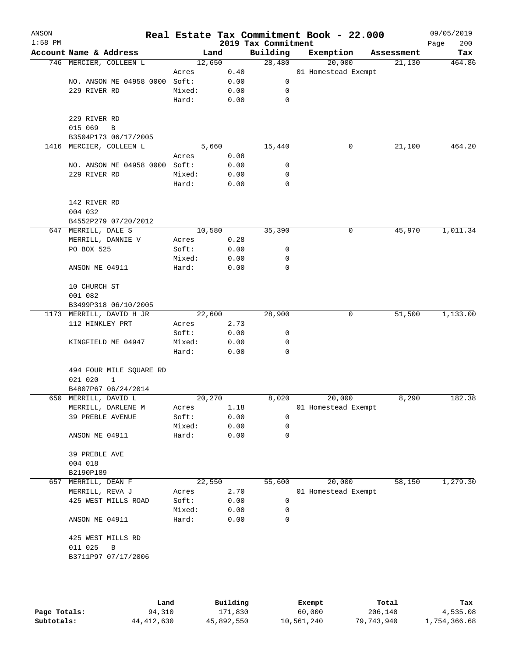| ANSON<br>$1:58$ PM |                                              |                 |              | 2019 Tax Commitment | Real Estate Tax Commitment Book - 22.000 |            | 09/05/2019<br>200<br>Page |
|--------------------|----------------------------------------------|-----------------|--------------|---------------------|------------------------------------------|------------|---------------------------|
|                    | Account Name & Address                       | Land            |              | Building            | Exemption                                | Assessment | Tax                       |
|                    | 746 MERCIER, COLLEEN L                       | 12,650          |              | 28,480              | 20,000                                   | 21,130     | 464.86                    |
|                    |                                              | Acres           | 0.40         |                     | 01 Homestead Exempt                      |            |                           |
|                    | NO. ANSON ME 04958 0000 Soft:                |                 | 0.00         | 0                   |                                          |            |                           |
|                    | 229 RIVER RD                                 | Mixed:          | 0.00         | 0                   |                                          |            |                           |
|                    |                                              | Hard:           | 0.00         | $\mathbf 0$         |                                          |            |                           |
|                    | 229 RIVER RD                                 |                 |              |                     |                                          |            |                           |
|                    | 015 069<br>B                                 |                 |              |                     |                                          |            |                           |
|                    | B3504P173 06/17/2005                         |                 |              |                     |                                          |            |                           |
| 1416               | MERCIER, COLLEEN L                           | 5,660           |              | 15,440              | 0                                        | 21,100     | 464.20                    |
|                    |                                              | Acres           | 0.08         |                     |                                          |            |                           |
|                    | NO. ANSON ME 04958 0000 Soft:                |                 | 0.00         | 0                   |                                          |            |                           |
|                    | 229 RIVER RD                                 | Mixed:          | 0.00         | 0                   |                                          |            |                           |
|                    |                                              | Hard:           | 0.00         | 0                   |                                          |            |                           |
|                    | 142 RIVER RD                                 |                 |              |                     |                                          |            |                           |
|                    | 004 032                                      |                 |              |                     |                                          |            |                           |
|                    | B4552P279 07/20/2012                         |                 |              |                     |                                          |            |                           |
|                    | 647 MERRILL, DALE S                          | 10,580          |              | 35,390              | 0                                        | 45,970     | 1,011.34                  |
|                    | MERRILL, DANNIE V                            | Acres           | 0.28         |                     |                                          |            |                           |
|                    | PO BOX 525                                   | Soft:           | 0.00         | 0                   |                                          |            |                           |
|                    |                                              | Mixed:          | 0.00         | 0                   |                                          |            |                           |
|                    | ANSON ME 04911                               | Hard:           | 0.00         | 0                   |                                          |            |                           |
|                    | 10 CHURCH ST                                 |                 |              |                     |                                          |            |                           |
|                    | 001 082                                      |                 |              |                     |                                          |            |                           |
|                    | B3499P318 06/10/2005                         |                 |              |                     |                                          |            |                           |
|                    | 1173 MERRILL, DAVID H JR                     | 22,600          |              | 28,900              | 0                                        | 51,500     | 1,133.00                  |
|                    | 112 HINKLEY PRT                              | Acres           | 2.73         |                     |                                          |            |                           |
|                    |                                              | Soft:           | 0.00         | 0                   |                                          |            |                           |
|                    | KINGFIELD ME 04947                           | Mixed:          | 0.00         | 0                   |                                          |            |                           |
|                    |                                              | Hard:           | 0.00         | 0                   |                                          |            |                           |
|                    | 494 FOUR MILE SQUARE RD                      |                 |              |                     |                                          |            |                           |
|                    | 021 020<br>$\mathbf{1}$                      |                 |              |                     |                                          |            |                           |
|                    | B4807P67 06/24/2014                          |                 |              |                     |                                          |            |                           |
|                    | 650 MERRILL, DAVID L                         | 20,270          |              | 8,020               | 20,000                                   | 8,290      | 182.38                    |
|                    | MERRILL, DARLENE M                           | Acres           | 1.18         |                     | 01 Homestead Exempt                      |            |                           |
|                    | 39 PREBLE AVENUE                             | Soft:           | 0.00         | 0                   |                                          |            |                           |
|                    |                                              | Mixed:          | 0.00         | 0                   |                                          |            |                           |
|                    | ANSON ME 04911                               | Hard:           | 0.00         | 0                   |                                          |            |                           |
|                    | 39 PREBLE AVE                                |                 |              |                     |                                          |            |                           |
|                    | 004 018                                      |                 |              |                     |                                          |            |                           |
|                    | B2190P189                                    |                 |              |                     |                                          |            |                           |
| 657                | MERRILL, DEAN F                              | 22,550          |              | 55,600              | 20,000                                   | 58,150     | 1,279.30                  |
|                    | MERRILL, REVA J                              | Acres           | 2.70         |                     | 01 Homestead Exempt                      |            |                           |
|                    | 425 WEST MILLS ROAD                          | Soft:           | 0.00         | 0                   |                                          |            |                           |
|                    | ANSON ME 04911                               | Mixed:<br>Hard: | 0.00<br>0.00 | 0<br>0              |                                          |            |                           |
|                    |                                              |                 |              |                     |                                          |            |                           |
|                    | 425 WEST MILLS RD<br>011 025<br>$\, {\bf B}$ |                 |              |                     |                                          |            |                           |
|                    |                                              |                 |              |                     |                                          |            |                           |
|                    | B3711P97 07/17/2006                          |                 |              |                     |                                          |            |                           |
|                    |                                              |                 |              |                     |                                          |            |                           |
|                    |                                              |                 |              |                     |                                          |            |                           |

|              | Land         | Building   | Exempt     | Total      | Tax          |
|--------------|--------------|------------|------------|------------|--------------|
| Page Totals: | 94,310       | 171,830    | 60,000     | 206,140    | 4,535.08     |
| Subtotals:   | 44, 412, 630 | 45,892,550 | 10,561,240 | 79,743,940 | 1,754,366.68 |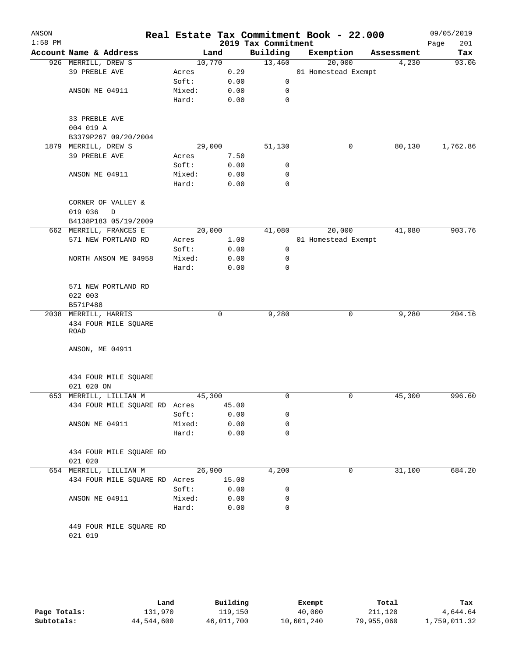| ANSON<br>$1:58$ PM |                                     |        |       | Real Estate Tax Commitment Book - 22.000<br>2019 Tax Commitment |                     |           |            | 09/05/2019<br>201<br>Page |
|--------------------|-------------------------------------|--------|-------|-----------------------------------------------------------------|---------------------|-----------|------------|---------------------------|
|                    | Account Name & Address              | Land   |       | Building                                                        |                     | Exemption | Assessment | Tax                       |
|                    | 926 MERRILL, DREW S                 | 10,770 |       | 13,460                                                          |                     | 20,000    | 4,230      | 93.06                     |
|                    | 39 PREBLE AVE                       | Acres  | 0.29  |                                                                 | 01 Homestead Exempt |           |            |                           |
|                    |                                     | Soft:  | 0.00  | $\mathsf{O}$                                                    |                     |           |            |                           |
|                    | ANSON ME 04911                      | Mixed: | 0.00  | 0                                                               |                     |           |            |                           |
|                    |                                     | Hard:  | 0.00  | $\mathbf 0$                                                     |                     |           |            |                           |
|                    | 33 PREBLE AVE                       |        |       |                                                                 |                     |           |            |                           |
|                    | 004 019 A                           |        |       |                                                                 |                     |           |            |                           |
|                    | B3379P267 09/20/2004                |        |       |                                                                 |                     |           |            |                           |
|                    | 1879 MERRILL, DREW S                | 29,000 |       | 51,130                                                          |                     | 0         | 80,130     | 1,762.86                  |
|                    | 39 PREBLE AVE                       | Acres  | 7.50  |                                                                 |                     |           |            |                           |
|                    |                                     | Soft:  | 0.00  | 0                                                               |                     |           |            |                           |
|                    | ANSON ME 04911                      | Mixed: | 0.00  | 0                                                               |                     |           |            |                           |
|                    |                                     | Hard:  | 0.00  | 0                                                               |                     |           |            |                           |
|                    | CORNER OF VALLEY &                  |        |       |                                                                 |                     |           |            |                           |
|                    | 019 036<br>D                        |        |       |                                                                 |                     |           |            |                           |
|                    | B4138P183 05/19/2009                |        |       |                                                                 |                     |           |            |                           |
|                    | 662 MERRILL, FRANCES E              | 20,000 |       | 41,080                                                          |                     | 20,000    | 41,080     | 903.76                    |
|                    | 571 NEW PORTLAND RD                 | Acres  | 1.00  |                                                                 | 01 Homestead Exempt |           |            |                           |
|                    |                                     | Soft:  | 0.00  | 0                                                               |                     |           |            |                           |
|                    | NORTH ANSON ME 04958                | Mixed: | 0.00  | 0                                                               |                     |           |            |                           |
|                    |                                     | Hard:  | 0.00  | 0                                                               |                     |           |            |                           |
|                    | 571 NEW PORTLAND RD                 |        |       |                                                                 |                     |           |            |                           |
|                    | 022 003                             |        |       |                                                                 |                     |           |            |                           |
|                    | B571P488                            |        |       |                                                                 |                     |           |            |                           |
|                    | 2038 MERRILL, HARRIS                |        | 0     | 9,280                                                           |                     | 0         | 9,280      | 204.16                    |
|                    | 434 FOUR MILE SQUARE<br><b>ROAD</b> |        |       |                                                                 |                     |           |            |                           |
|                    | ANSON, ME 04911                     |        |       |                                                                 |                     |           |            |                           |
|                    | 434 FOUR MILE SQUARE                |        |       |                                                                 |                     |           |            |                           |
|                    | 021 020 ON                          |        |       |                                                                 |                     |           |            |                           |
|                    | 653 MERRILL, LILLIAN M              | 45,300 |       | 0                                                               |                     | 0         | 45,300     | 996.60                    |
|                    | 434 FOUR MILE SQUARE RD Acres       |        | 45.00 |                                                                 |                     |           |            |                           |
|                    |                                     | Soft:  | 0.00  | 0                                                               |                     |           |            |                           |
|                    | ANSON ME 04911                      | Mixed: | 0.00  | 0                                                               |                     |           |            |                           |
|                    |                                     | Hard:  | 0.00  | 0                                                               |                     |           |            |                           |
|                    | 434 FOUR MILE SQUARE RD             |        |       |                                                                 |                     |           |            |                           |
|                    | 021 020                             |        |       |                                                                 |                     |           |            |                           |
|                    | 654 MERRILL, LILLIAN M              | 26,900 |       | 4,200                                                           |                     | 0         | 31,100     | 684.20                    |
|                    | 434 FOUR MILE SQUARE RD Acres       |        | 15.00 |                                                                 |                     |           |            |                           |
|                    |                                     | Soft:  | 0.00  | 0                                                               |                     |           |            |                           |
|                    | ANSON ME 04911                      | Mixed: | 0.00  | 0                                                               |                     |           |            |                           |
|                    |                                     | Hard:  | 0.00  | 0                                                               |                     |           |            |                           |
|                    | 449 FOUR MILE SQUARE RD             |        |       |                                                                 |                     |           |            |                           |
|                    | 021 019                             |        |       |                                                                 |                     |           |            |                           |
|                    |                                     |        |       |                                                                 |                     |           |            |                           |

|              | Land       | Building   | Exempt     | Total      | Tax          |
|--------------|------------|------------|------------|------------|--------------|
| Page Totals: | 131,970    | 119,150    | 40,000     | 211,120    | 4,644.64     |
| Subtotals:   | 44,544,600 | 46,011,700 | 10,601,240 | 79,955,060 | 1,759,011.32 |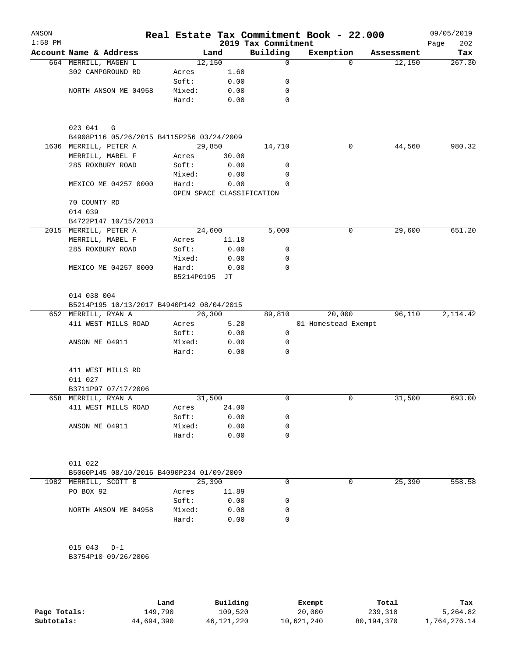| ANSON<br>$1:58$ PM |                                           |               |                                   | 2019 Tax Commitment | Real Estate Tax Commitment Book - 22.000 |            | 09/05/2019<br>202<br>Page |
|--------------------|-------------------------------------------|---------------|-----------------------------------|---------------------|------------------------------------------|------------|---------------------------|
|                    | Account Name & Address                    |               | Land                              | Building            | Exemption                                | Assessment | Tax                       |
|                    | 664 MERRILL, MAGEN L                      |               | 12,150                            | 0                   | $\Omega$                                 | 12,150     | 267.30                    |
|                    | 302 CAMPGROUND RD                         | Acres         | 1.60                              |                     |                                          |            |                           |
|                    |                                           | Soft:         | 0.00                              | 0                   |                                          |            |                           |
|                    | NORTH ANSON ME 04958                      | Mixed:        | 0.00                              | 0                   |                                          |            |                           |
|                    |                                           | Hard:         | 0.00                              | 0                   |                                          |            |                           |
|                    | 023 041<br>G                              |               |                                   |                     |                                          |            |                           |
|                    | B4908P116 05/26/2015 B4115P256 03/24/2009 |               |                                   |                     |                                          |            |                           |
|                    | 1636 MERRILL, PETER A                     |               | 29,850                            | 14,710              | 0                                        | 44,560     | 980.32                    |
|                    | MERRILL, MABEL F                          | Acres         | 30.00                             |                     |                                          |            |                           |
|                    | 285 ROXBURY ROAD                          | Soft:         | 0.00                              | 0                   |                                          |            |                           |
|                    |                                           | Mixed:        | 0.00                              | 0                   |                                          |            |                           |
|                    | MEXICO ME 04257 0000                      | Hard:         | 0.00<br>OPEN SPACE CLASSIFICATION | $\Omega$            |                                          |            |                           |
|                    | 70 COUNTY RD                              |               |                                   |                     |                                          |            |                           |
|                    | 014 039                                   |               |                                   |                     |                                          |            |                           |
|                    | B4722P147 10/15/2013                      |               |                                   |                     |                                          |            |                           |
|                    | 2015 MERRILL, PETER A                     |               | 24,600                            | 5,000               | 0                                        | 29,600     | 651.20                    |
|                    | MERRILL, MABEL F                          | Acres         | 11.10                             |                     |                                          |            |                           |
|                    | 285 ROXBURY ROAD                          | Soft:         | 0.00                              | 0                   |                                          |            |                           |
|                    |                                           | Mixed:        | 0.00                              | 0                   |                                          |            |                           |
|                    | MEXICO ME 04257 0000                      | Hard:         | 0.00                              | $\mathbf 0$         |                                          |            |                           |
|                    |                                           | B5214P0195 JT |                                   |                     |                                          |            |                           |
|                    | 014 038 004                               |               |                                   |                     |                                          |            |                           |
|                    | B5214P195 10/13/2017 B4940P142 08/04/2015 |               |                                   |                     |                                          |            |                           |
|                    | 652 MERRILL, RYAN A                       |               | 26,300                            | 89,810              | 20,000                                   | 96,110     | 2, 114.42                 |
|                    | 411 WEST MILLS ROAD                       | Acres         | 5.20                              |                     | 01 Homestead Exempt                      |            |                           |
|                    |                                           | Soft:         | 0.00                              | 0                   |                                          |            |                           |
|                    | ANSON ME 04911                            | Mixed:        | 0.00                              | $\mathbf 0$         |                                          |            |                           |
|                    |                                           | Hard:         | 0.00                              | $\Omega$            |                                          |            |                           |
|                    | 411 WEST MILLS RD                         |               |                                   |                     |                                          |            |                           |
|                    | 011 027                                   |               |                                   |                     |                                          |            |                           |
|                    | B3711P97 07/17/2006                       |               |                                   |                     |                                          |            |                           |
|                    | 658 MERRILL, RYAN A                       |               | 31,500                            | 0                   | $\mathbf 0$                              | 31,500     | 693.00                    |
|                    | 411 WEST MILLS ROAD                       | Acres         | 24.00                             |                     |                                          |            |                           |
|                    |                                           | Soft:         | 0.00                              | 0                   |                                          |            |                           |
|                    | ANSON ME 04911                            | Mixed:        | 0.00                              | 0                   |                                          |            |                           |
|                    |                                           | Hard:         | 0.00                              | 0                   |                                          |            |                           |
|                    | 011 022                                   |               |                                   |                     |                                          |            |                           |
|                    | B5060P145 08/10/2016 B4090P234 01/09/2009 |               |                                   |                     |                                          |            |                           |
|                    | 1982 MERRILL, SCOTT B                     |               | 25,390                            | 0                   | 0                                        | 25,390     | 558.58                    |
|                    | PO BOX 92                                 | Acres         | 11.89                             |                     |                                          |            |                           |
|                    |                                           | Soft:         | 0.00                              | 0                   |                                          |            |                           |
|                    | NORTH ANSON ME 04958                      | Mixed:        | 0.00                              | 0                   |                                          |            |                           |
|                    |                                           | Hard:         | 0.00                              | 0                   |                                          |            |                           |
|                    | 015 043<br>$D-1$                          |               |                                   |                     |                                          |            |                           |
|                    | B3754P10 09/26/2006                       |               |                                   |                     |                                          |            |                           |
|                    |                                           |               |                                   |                     |                                          |            |                           |

|              | Land       | Building     | Exempt     | Total        | Tax          |
|--------------|------------|--------------|------------|--------------|--------------|
| Page Totals: | 149,790    | 109,520      | 20,000     | 239,310      | 5,264.82     |
| Subtotals:   | 44,694,390 | 46, 121, 220 | 10,621,240 | 80, 194, 370 | 1,764,276.14 |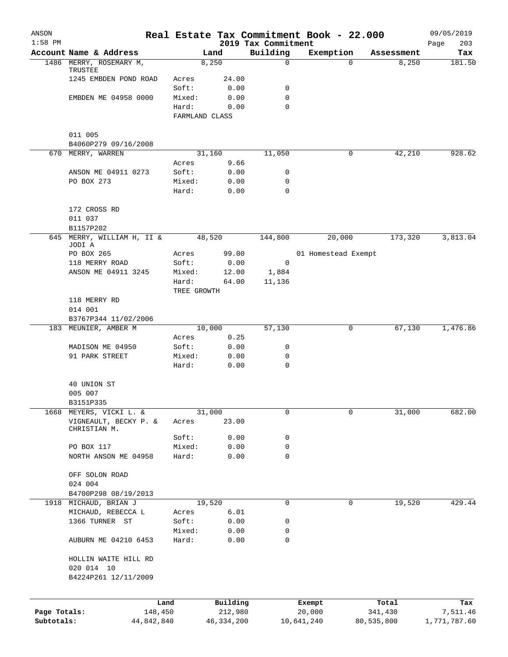| ANSON        |                                       |                 |              |                                 | Real Estate Tax Commitment Book - 22.000 |            |            | 09/05/2019         |
|--------------|---------------------------------------|-----------------|--------------|---------------------------------|------------------------------------------|------------|------------|--------------------|
| $1:58$ PM    | Account Name & Address                |                 | Land         | 2019 Tax Commitment<br>Building | Exemption                                |            | Assessment | 203<br>Page<br>Tax |
|              | 1486 MERRY, ROSEMARY M,               |                 | 8,250        | $\mathbf 0$                     |                                          | 0          | 8,250      | 181.50             |
|              | TRUSTEE                               |                 |              |                                 |                                          |            |            |                    |
|              | 1245 EMBDEN POND ROAD                 | Acres           | 24.00        |                                 |                                          |            |            |                    |
|              |                                       | Soft:<br>Mixed: | 0.00         | 0<br>0                          |                                          |            |            |                    |
|              | EMBDEN ME 04958 0000                  | Hard:           | 0.00<br>0.00 | 0                               |                                          |            |            |                    |
|              |                                       | FARMLAND CLASS  |              |                                 |                                          |            |            |                    |
|              |                                       |                 |              |                                 |                                          |            |            |                    |
|              | 011 005                               |                 |              |                                 |                                          |            |            |                    |
|              | B4060P279 09/16/2008                  |                 |              |                                 |                                          |            |            |                    |
|              | 670 MERRY, WARREN                     |                 | 31,160       | 11,050                          |                                          | 0          | 42,210     | 928.62             |
|              | ANSON ME 04911 0273                   | Acres<br>Soft:  | 9.66<br>0.00 | 0                               |                                          |            |            |                    |
|              | PO BOX 273                            | Mixed:          | 0.00         | 0                               |                                          |            |            |                    |
|              |                                       | Hard:           | 0.00         | 0                               |                                          |            |            |                    |
|              |                                       |                 |              |                                 |                                          |            |            |                    |
|              | 172 CROSS RD                          |                 |              |                                 |                                          |            |            |                    |
|              | 011 037                               |                 |              |                                 |                                          |            |            |                    |
|              | B1157P202                             |                 |              |                                 |                                          |            |            |                    |
| 645          | MERRY, WILLIAM H, II &                |                 | 48,520       | 144,800                         | 20,000                                   |            | 173,320    | 3,813.04           |
|              | JODI A<br>PO BOX 265                  | Acres           | 99.00        |                                 | 01 Homestead Exempt                      |            |            |                    |
|              | 118 MERRY ROAD                        | Soft:           | 0.00         | $\mathbf 0$                     |                                          |            |            |                    |
|              | ANSON ME 04911 3245                   | Mixed:          | 12.00        | 1,884                           |                                          |            |            |                    |
|              |                                       | Hard:           | 64.00        | 11,136                          |                                          |            |            |                    |
|              |                                       | TREE GROWTH     |              |                                 |                                          |            |            |                    |
|              | 118 MERRY RD                          |                 |              |                                 |                                          |            |            |                    |
|              | 014 001                               |                 |              |                                 |                                          |            |            |                    |
|              | B3767P344 11/02/2006                  |                 |              |                                 |                                          |            |            |                    |
|              | 183 MEUNIER, AMBER M                  |                 | 10,000       | 57,130                          |                                          | 0          | 67,130     | 1,476.86           |
|              |                                       | Acres           | 0.25         |                                 |                                          |            |            |                    |
|              | MADISON ME 04950                      | Soft:           | 0.00         | 0                               |                                          |            |            |                    |
|              | 91 PARK STREET                        | Mixed:          | 0.00         | 0                               |                                          |            |            |                    |
|              |                                       | Hard:           | 0.00         | 0                               |                                          |            |            |                    |
|              | 40 UNION ST                           |                 |              |                                 |                                          |            |            |                    |
|              | 005 007                               |                 |              |                                 |                                          |            |            |                    |
|              | B3151P335                             |                 |              |                                 |                                          |            |            |                    |
| 1668         | MEYERS, VICKI L. &                    |                 | 31,000       | 0                               |                                          | 0          | 31,000     | 682.00             |
|              | VIGNEAULT, BECKY P. &<br>CHRISTIAN M. | Acres           | 23.00        |                                 |                                          |            |            |                    |
|              |                                       | Soft:           | 0.00         | 0                               |                                          |            |            |                    |
|              | PO BOX 117                            | Mixed:          | 0.00         | $\mathbf 0$                     |                                          |            |            |                    |
|              | NORTH ANSON ME 04958                  | Hard:           | 0.00         | $\mathbf 0$                     |                                          |            |            |                    |
|              | OFF SOLON ROAD                        |                 |              |                                 |                                          |            |            |                    |
|              | 024 004                               |                 |              |                                 |                                          |            |            |                    |
|              | B4700P298 08/19/2013                  |                 |              |                                 |                                          |            |            |                    |
|              | 1918 MICHAUD, BRIAN J                 |                 | 19,520       | 0                               |                                          | 0          | 19,520     | 429.44             |
|              | MICHAUD, REBECCA L                    | Acres           | 6.01         |                                 |                                          |            |            |                    |
|              | 1366 TURNER ST                        | Soft:           | 0.00         | 0                               |                                          |            |            |                    |
|              |                                       | Mixed:          | 0.00         | 0                               |                                          |            |            |                    |
|              | AUBURN ME 04210 6453                  | Hard:           | 0.00         | 0                               |                                          |            |            |                    |
|              |                                       |                 |              |                                 |                                          |            |            |                    |
|              | HOLLIN WAITE HILL RD                  |                 |              |                                 |                                          |            |            |                    |
|              | 020 014 10                            |                 |              |                                 |                                          |            |            |                    |
|              | B4224P261 12/11/2009                  |                 |              |                                 |                                          |            |            |                    |
|              |                                       |                 |              |                                 |                                          |            |            |                    |
|              | Land                                  |                 | Building     |                                 | Exempt                                   |            | Total      | Tax                |
| Page Totals: | 148,450                               |                 | 212,980      |                                 | 20,000                                   |            | 341,430    | 7,511.46           |
| Subtotals:   | 44,842,840                            |                 | 46, 334, 200 |                                 | 10,641,240                               | 80,535,800 |            | 1,771,787.60       |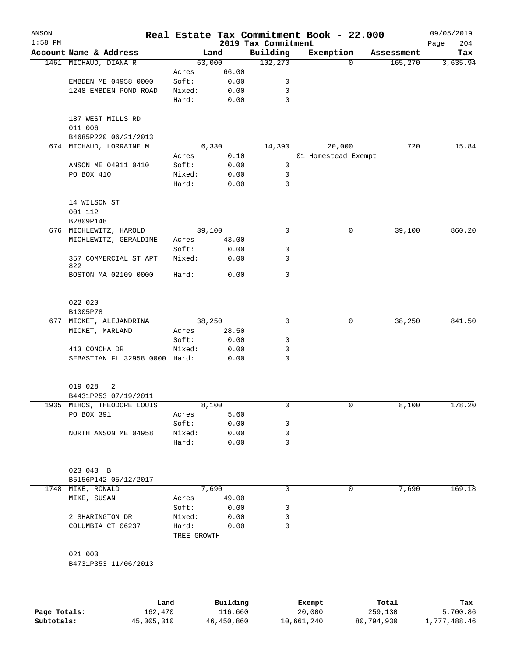| ANSON<br>$1:58$ PM |                                 |                      |              |                                 | Real Estate Tax Commitment Book - 22.000 |              | 09/05/2019         |
|--------------------|---------------------------------|----------------------|--------------|---------------------------------|------------------------------------------|--------------|--------------------|
|                    | Account Name & Address          |                      | Land         | 2019 Tax Commitment<br>Building | Exemption                                | Assessment   | 204<br>Page<br>Tax |
|                    | 1461 MICHAUD, DIANA R           |                      | 63,000       | 102,270                         |                                          | 165,270<br>0 | 3,635.94           |
|                    |                                 | Acres                | 66.00        |                                 |                                          |              |                    |
|                    | EMBDEN ME 04958 0000            | Soft:                | 0.00         | 0                               |                                          |              |                    |
|                    | 1248 EMBDEN POND ROAD           | Mixed:               | 0.00         | 0                               |                                          |              |                    |
|                    |                                 | Hard:                | 0.00         | 0                               |                                          |              |                    |
|                    | 187 WEST MILLS RD               |                      |              |                                 |                                          |              |                    |
|                    | 011 006                         |                      |              |                                 |                                          |              |                    |
|                    | B4685P220 06/21/2013            |                      |              |                                 |                                          |              |                    |
|                    | 674 MICHAUD, LORRAINE M         |                      | 6,330        | 14,390                          | 20,000                                   | 720          | 15.84              |
|                    |                                 | Acres                | 0.10         |                                 | 01 Homestead Exempt                      |              |                    |
|                    | ANSON ME 04911 0410             | Soft:                | 0.00         | 0                               |                                          |              |                    |
|                    | PO BOX 410                      | Mixed:<br>Hard:      | 0.00<br>0.00 | 0<br>0                          |                                          |              |                    |
|                    |                                 |                      |              |                                 |                                          |              |                    |
|                    | 14 WILSON ST                    |                      |              |                                 |                                          |              |                    |
|                    | 001 112                         |                      |              |                                 |                                          |              |                    |
|                    | B2809P148                       |                      |              |                                 |                                          |              |                    |
|                    | 676 MICHLEWITZ, HAROLD          |                      | 39,100       | 0                               |                                          | 39,100<br>0  | 860.20             |
|                    | MICHLEWITZ, GERALDINE           | Acres                | 43.00        |                                 |                                          |              |                    |
|                    |                                 | Soft:                | 0.00         | 0                               |                                          |              |                    |
|                    | 357 COMMERCIAL ST APT<br>822    | Mixed:               | 0.00         | 0                               |                                          |              |                    |
|                    | BOSTON MA 02109 0000            | Hard:                | 0.00         | 0                               |                                          |              |                    |
|                    | 022 020                         |                      |              |                                 |                                          |              |                    |
|                    | B1005P78                        |                      |              |                                 |                                          |              |                    |
| 677                | MICKET, ALEJANDRINA             |                      | 38,250       | 0                               |                                          | 38,250<br>0  | 841.50             |
|                    | MICKET, MARLAND                 | Acres                | 28.50        |                                 |                                          |              |                    |
|                    |                                 | Soft:                | 0.00         | 0                               |                                          |              |                    |
|                    | 413 CONCHA DR                   | Mixed:               | 0.00         | 0                               |                                          |              |                    |
|                    | SEBASTIAN FL 32958 0000 Hard:   |                      | 0.00         | 0                               |                                          |              |                    |
|                    | 019 028<br>2                    |                      |              |                                 |                                          |              |                    |
|                    | B4431P253 07/19/2011            |                      |              |                                 |                                          |              |                    |
|                    | 1935 MIHOS, THEODORE LOUIS      |                      | 8,100        | 0                               |                                          | 0<br>8,100   | 178.20             |
|                    | PO BOX 391                      | Acres                | 5.60         |                                 |                                          |              |                    |
|                    |                                 | Soft:                | 0.00         | 0                               |                                          |              |                    |
|                    | NORTH ANSON ME 04958            | Mixed:               | 0.00         | 0                               |                                          |              |                    |
|                    |                                 | Hard:                | 0.00         | 0                               |                                          |              |                    |
|                    | 023 043 B                       |                      |              |                                 |                                          |              |                    |
|                    | B5156P142 05/12/2017            |                      |              |                                 |                                          |              |                    |
|                    | 1748 MIKE, RONALD               |                      | 7,690        | 0                               |                                          | 7,690<br>0   | 169.18             |
|                    | MIKE, SUSAN                     | Acres                | 49.00        |                                 |                                          |              |                    |
|                    |                                 | Soft:                | 0.00         | 0                               |                                          |              |                    |
|                    | 2 SHARINGTON DR                 | Mixed:               | 0.00         | 0                               |                                          |              |                    |
|                    | COLUMBIA CT 06237               | Hard:<br>TREE GROWTH | 0.00         | 0                               |                                          |              |                    |
|                    |                                 |                      |              |                                 |                                          |              |                    |
|                    | 021 003<br>B4731P353 11/06/2013 |                      |              |                                 |                                          |              |                    |
|                    |                                 |                      |              |                                 |                                          |              |                    |
|                    |                                 |                      |              |                                 |                                          |              |                    |
|                    | Land                            |                      | Building     |                                 | Exempt                                   | Total        | Tax                |

|              | Land       | Building   | Exempt     | Total      | тах          |
|--------------|------------|------------|------------|------------|--------------|
| Page Totals: | 162,470    | 116,660    | 20,000     | 259,130    | 5,700.86     |
| Subtotals:   | 45,005,310 | 46,450,860 | 10,661,240 | 80,794,930 | 1,777,488.46 |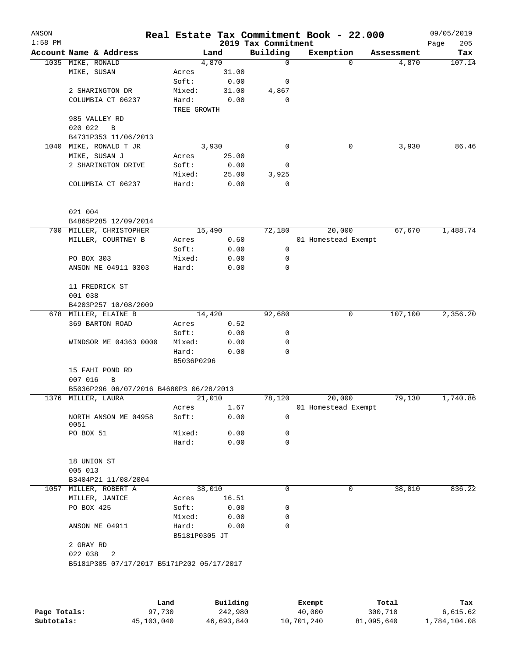| ANSON<br>$1:58$ PM |                                           |               |        | Real Estate Tax Commitment Book - 22.000<br>2019 Tax Commitment |                     |            | 09/05/2019<br>205<br>Page |
|--------------------|-------------------------------------------|---------------|--------|-----------------------------------------------------------------|---------------------|------------|---------------------------|
|                    | Account Name & Address                    |               | Land   | Building                                                        | Exemption           | Assessment | Tax                       |
|                    | 1035 MIKE, RONALD                         |               | 4,870  | 0                                                               | $\Omega$            | 4,870      | 107.14                    |
|                    | MIKE, SUSAN                               | Acres         | 31.00  |                                                                 |                     |            |                           |
|                    |                                           | Soft:         | 0.00   | 0                                                               |                     |            |                           |
|                    | 2 SHARINGTON DR                           | Mixed:        | 31.00  | 4,867                                                           |                     |            |                           |
|                    | COLUMBIA CT 06237                         | Hard:         | 0.00   | 0                                                               |                     |            |                           |
|                    |                                           | TREE GROWTH   |        |                                                                 |                     |            |                           |
|                    | 985 VALLEY RD                             |               |        |                                                                 |                     |            |                           |
|                    | 020 022<br>$\mathbf B$                    |               |        |                                                                 |                     |            |                           |
|                    | B4731P353 11/06/2013                      |               |        |                                                                 |                     |            |                           |
| 1040               | MIKE, RONALD T JR                         |               | 3,930  | $\mathbf 0$                                                     | 0                   | 3,930      | 86.46                     |
|                    | MIKE, SUSAN J                             | Acres         | 25.00  |                                                                 |                     |            |                           |
|                    | 2 SHARINGTON DRIVE                        | Soft:         | 0.00   | 0                                                               |                     |            |                           |
|                    |                                           | Mixed:        | 25.00  | 3,925                                                           |                     |            |                           |
|                    | COLUMBIA CT 06237                         | Hard:         | 0.00   | 0                                                               |                     |            |                           |
|                    | 021 004                                   |               |        |                                                                 |                     |            |                           |
|                    | B4865P285 12/09/2014                      |               |        |                                                                 |                     |            |                           |
|                    | 700 MILLER, CHRISTOPHER                   |               | 15,490 | 72,180                                                          | 20,000              | 67,670     | 1,488.74                  |
|                    | MILLER, COURTNEY B                        | Acres         | 0.60   |                                                                 | 01 Homestead Exempt |            |                           |
|                    |                                           | Soft:         | 0.00   | 0                                                               |                     |            |                           |
|                    | PO BOX 303                                | Mixed:        | 0.00   | 0                                                               |                     |            |                           |
|                    | ANSON ME 04911 0303                       | Hard:         | 0.00   | 0                                                               |                     |            |                           |
|                    |                                           |               |        |                                                                 |                     |            |                           |
|                    | 11 FREDRICK ST                            |               |        |                                                                 |                     |            |                           |
|                    | 001 038                                   |               |        |                                                                 |                     |            |                           |
|                    | B4203P257 10/08/2009                      |               |        |                                                                 |                     |            |                           |
|                    | 678 MILLER, ELAINE B                      |               | 14,420 | 92,680                                                          | 0                   | 107,100    | 2,356.20                  |
|                    | 369 BARTON ROAD                           | Acres         | 0.52   |                                                                 |                     |            |                           |
|                    |                                           | Soft:         | 0.00   | 0                                                               |                     |            |                           |
|                    | WINDSOR ME 04363 0000                     | Mixed:        | 0.00   | 0                                                               |                     |            |                           |
|                    |                                           | Hard:         | 0.00   | 0                                                               |                     |            |                           |
|                    |                                           | B5036P0296    |        |                                                                 |                     |            |                           |
|                    | 15 FAHI POND RD                           |               |        |                                                                 |                     |            |                           |
|                    | 007 016<br>B                              |               |        |                                                                 |                     |            |                           |
|                    | B5036P296 06/07/2016 B4680P3 06/28/2013   |               |        |                                                                 |                     |            |                           |
|                    | 1376 MILLER, LAURA                        |               | 21,010 | 78,120                                                          | 20,000              | 79,130     | 1,740.86                  |
|                    |                                           | Acres         | 1.67   |                                                                 | 01 Homestead Exempt |            |                           |
|                    | NORTH ANSON ME 04958                      | Soft:         | 0.00   | 0                                                               |                     |            |                           |
|                    | 0051                                      |               |        |                                                                 |                     |            |                           |
|                    | PO BOX 51                                 | Mixed:        | 0.00   | 0                                                               |                     |            |                           |
|                    |                                           | Hard:         | 0.00   | 0                                                               |                     |            |                           |
|                    | 18 UNION ST                               |               |        |                                                                 |                     |            |                           |
|                    | 005 013                                   |               |        |                                                                 |                     |            |                           |
|                    | B3404P21 11/08/2004                       |               |        |                                                                 |                     |            |                           |
|                    | 1057 MILLER, ROBERT A                     |               | 38,010 | 0                                                               | 0                   | 38,010     | 836.22                    |
|                    | MILLER, JANICE                            | Acres         | 16.51  |                                                                 |                     |            |                           |
|                    | PO BOX 425                                | Soft:         | 0.00   | 0                                                               |                     |            |                           |
|                    |                                           | Mixed:        | 0.00   | 0                                                               |                     |            |                           |
|                    | ANSON ME 04911                            | Hard:         | 0.00   | 0                                                               |                     |            |                           |
|                    |                                           | B5181P0305 JT |        |                                                                 |                     |            |                           |
|                    | 2 GRAY RD                                 |               |        |                                                                 |                     |            |                           |
|                    | 022 038<br>2                              |               |        |                                                                 |                     |            |                           |
|                    | B5181P305 07/17/2017 B5171P202 05/17/2017 |               |        |                                                                 |                     |            |                           |
|                    |                                           |               |        |                                                                 |                     |            |                           |
|                    |                                           |               |        |                                                                 |                     |            |                           |
|                    |                                           |               |        |                                                                 |                     |            |                           |
|                    |                                           |               |        |                                                                 |                     |            |                           |

|              | Land       | Building   | Exempt     | Total      | Tax          |
|--------------|------------|------------|------------|------------|--------------|
| Page Totals: | 97,730     | 242,980    | 40,000     | 300,710    | 6.615.62     |
| Subtotals:   | 45,103,040 | 46,693,840 | 10,701,240 | 81,095,640 | 1,784,104.08 |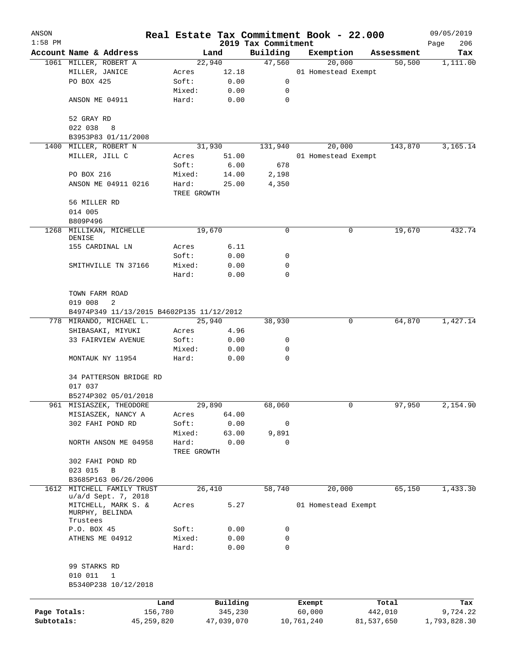| ANSON        |                                                               |             |            |                                 | Real Estate Tax Commitment Book - 22.000 |            |            | 09/05/2019         |
|--------------|---------------------------------------------------------------|-------------|------------|---------------------------------|------------------------------------------|------------|------------|--------------------|
| $1:58$ PM    | Account Name & Address                                        |             | Land       | 2019 Tax Commitment<br>Building | Exemption                                |            | Assessment | Page<br>206<br>Tax |
|              | 1061 MILLER, ROBERT A                                         |             | 22,940     | 47,560                          | 20,000                                   |            | 50,500     | 1,111.00           |
|              | MILLER, JANICE                                                | Acres       | 12.18      |                                 | 01 Homestead Exempt                      |            |            |                    |
|              | PO BOX 425                                                    | Soft:       | 0.00       | 0                               |                                          |            |            |                    |
|              |                                                               | Mixed:      | 0.00       | 0                               |                                          |            |            |                    |
|              | ANSON ME 04911                                                | Hard:       | 0.00       | $\mathbf 0$                     |                                          |            |            |                    |
|              | 52 GRAY RD                                                    |             |            |                                 |                                          |            |            |                    |
|              | 022 038<br>8                                                  |             |            |                                 |                                          |            |            |                    |
|              | B3953P83 01/11/2008                                           |             |            |                                 |                                          |            |            |                    |
| 1400         | MILLER, ROBERT N                                              |             | 31,930     | 131,940                         | 20,000                                   |            | 143,870    | 3,165.14           |
|              | MILLER, JILL C                                                | Acres       | 51.00      |                                 | 01 Homestead Exempt                      |            |            |                    |
|              |                                                               | Soft:       | 6.00       | 678                             |                                          |            |            |                    |
|              | PO BOX 216                                                    | Mixed:      | 14.00      | 2,198                           |                                          |            |            |                    |
|              | ANSON ME 04911 0216                                           | Hard:       | 25.00      | 4,350                           |                                          |            |            |                    |
|              |                                                               | TREE GROWTH |            |                                 |                                          |            |            |                    |
|              | 56 MILLER RD                                                  |             |            |                                 |                                          |            |            |                    |
|              | 014 005                                                       |             |            |                                 |                                          |            |            |                    |
|              | B809P496                                                      |             |            |                                 |                                          |            |            |                    |
| 1268         | MILLIKAN, MICHELLE<br>DENISE                                  |             | 19,670     | 0                               |                                          | 0          | 19,670     | 432.74             |
|              | 155 CARDINAL LN                                               | Acres       | 6.11       |                                 |                                          |            |            |                    |
|              |                                                               | Soft:       | 0.00       | 0                               |                                          |            |            |                    |
|              | SMITHVILLE TN 37166                                           | Mixed:      | 0.00       | 0                               |                                          |            |            |                    |
|              |                                                               | Hard:       | 0.00       | $\Omega$                        |                                          |            |            |                    |
|              |                                                               |             |            |                                 |                                          |            |            |                    |
|              | TOWN FARM ROAD<br>019 008<br>2                                |             |            |                                 |                                          |            |            |                    |
|              | B4974P349 11/13/2015 B4602P135 11/12/2012                     |             |            |                                 |                                          |            |            |                    |
| 778          | MIRANDO, MICHAEL L.                                           |             | 25,940     | 38,930                          |                                          | 0          | 64,870     | 1,427.14           |
|              | SHIBASAKI, MIYUKI                                             | Acres       | 4.96       |                                 |                                          |            |            |                    |
|              | 33 FAIRVIEW AVENUE                                            | Soft:       | 0.00       | 0                               |                                          |            |            |                    |
|              |                                                               | Mixed:      | 0.00       | 0                               |                                          |            |            |                    |
|              | MONTAUK NY 11954                                              | Hard:       | 0.00       | 0                               |                                          |            |            |                    |
|              | 34 PATTERSON BRIDGE RD                                        |             |            |                                 |                                          |            |            |                    |
|              | 017 037                                                       |             |            |                                 |                                          |            |            |                    |
|              | B5274P302 05/01/2018                                          |             |            |                                 |                                          |            |            |                    |
|              | 961 MISIASZEK, THEODORE                                       |             | 29,890     | 68,060                          |                                          | 0          | 97,950     | 2,154.90           |
|              | MISIASZEK, NANCY A                                            | Acres       | 64.00      |                                 |                                          |            |            |                    |
|              | 302 FAHI POND RD                                              | Soft:       | 0.00       | 0                               |                                          |            |            |                    |
|              |                                                               | Mixed:      | 63.00      | 9,891                           |                                          |            |            |                    |
|              | NORTH ANSON ME 04958                                          | Hard:       | 0.00       | 0                               |                                          |            |            |                    |
|              |                                                               | TREE GROWTH |            |                                 |                                          |            |            |                    |
|              | 302 FAHI POND RD                                              |             |            |                                 |                                          |            |            |                    |
|              | 023 015<br>B                                                  |             |            |                                 |                                          |            |            |                    |
|              | B3685P163 06/26/2006                                          |             |            |                                 |                                          |            |            |                    |
| 1612         | MITCHELL FAMILY TRUST                                         |             | 26,410     | 58,740                          | 20,000                                   |            | 65,150     | 1,433.30           |
|              | u/a/d Sept. 7, 2018<br>MITCHELL, MARK S. &<br>MURPHY, BELINDA | Acres       | 5.27       |                                 | 01 Homestead Exempt                      |            |            |                    |
|              | Trustees                                                      |             |            |                                 |                                          |            |            |                    |
|              | P.O. BOX 45                                                   | Soft:       | 0.00       | 0                               |                                          |            |            |                    |
|              | ATHENS ME 04912                                               | Mixed:      | 0.00       | 0                               |                                          |            |            |                    |
|              |                                                               | Hard:       | 0.00       | 0                               |                                          |            |            |                    |
|              | 99 STARKS RD                                                  |             |            |                                 |                                          |            |            |                    |
|              | 010 011<br>1                                                  |             |            |                                 |                                          |            |            |                    |
|              | B5340P238 10/12/2018                                          |             |            |                                 |                                          |            |            |                    |
|              |                                                               | Land        | Building   |                                 | Exempt                                   |            | Total      | Tax                |
| Page Totals: |                                                               | 156,780     | 345,230    |                                 | 60,000                                   |            | 442,010    | 9,724.22           |
| Subtotals:   | 45,259,820                                                    |             | 47,039,070 |                                 | 10,761,240                               | 81,537,650 |            | 1,793,828.30       |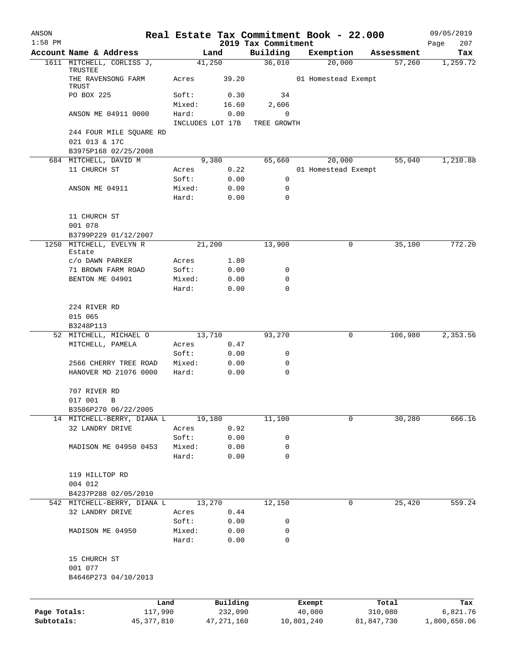| ANSON        |                                          |                 |                  |                                 | Real Estate Tax Commitment Book - 22.000 |            | 09/05/2019         |
|--------------|------------------------------------------|-----------------|------------------|---------------------------------|------------------------------------------|------------|--------------------|
| $1:58$ PM    | Account Name & Address                   |                 | Land             | 2019 Tax Commitment<br>Building | Exemption                                | Assessment | 207<br>Page<br>Tax |
|              | 1611 MITCHELL, CORLISS J,                |                 | 41,250           | 36,010                          | 20,000                                   | 57,260     | 1,259.72           |
|              | TRUSTEE<br>THE RAVENSONG FARM<br>TRUST   | Acres           | 39.20            |                                 | 01 Homestead Exempt                      |            |                    |
|              | PO BOX 225                               | Soft:           | 0.30             | 34                              |                                          |            |                    |
|              |                                          | Mixed:          | 16.60            | 2,606                           |                                          |            |                    |
|              | ANSON ME 04911 0000                      | Hard:           | 0.00             | $\mathbf 0$                     |                                          |            |                    |
|              |                                          |                 | INCLUDES LOT 17B | TREE GROWTH                     |                                          |            |                    |
|              | 244 FOUR MILE SQUARE RD<br>021 013 & 17C |                 |                  |                                 |                                          |            |                    |
|              | B3975P168 02/25/2008                     |                 |                  |                                 |                                          |            |                    |
|              | 684 MITCHELL, DAVID M                    |                 | 9,380            | 65,660                          | 20,000                                   | 55,040     | 1,210.88           |
|              | 11 CHURCH ST                             | Acres           | 0.22             |                                 | 01 Homestead Exempt                      |            |                    |
|              |                                          | Soft:           | 0.00             | 0                               |                                          |            |                    |
|              | ANSON ME 04911                           | Mixed:          | 0.00             | 0                               |                                          |            |                    |
|              |                                          | Hard:           | 0.00             | $\mathbf 0$                     |                                          |            |                    |
|              | 11 CHURCH ST                             |                 |                  |                                 |                                          |            |                    |
|              | 001 078                                  |                 |                  |                                 |                                          |            |                    |
|              | B3799P229 01/12/2007                     |                 |                  |                                 |                                          |            |                    |
|              | 1250 MITCHELL, EVELYN R<br>Estate        |                 | 21,200           | 13,900                          | 0                                        | 35,100     | 772.20             |
|              | C/O DAWN PARKER                          | Acres           | 1.80             |                                 |                                          |            |                    |
|              | 71 BROWN FARM ROAD                       | Soft:           | 0.00             | 0                               |                                          |            |                    |
|              | BENTON ME 04901                          | Mixed:          | 0.00             | 0                               |                                          |            |                    |
|              |                                          | Hard:           | 0.00             | $\mathbf 0$                     |                                          |            |                    |
|              | 224 RIVER RD                             |                 |                  |                                 |                                          |            |                    |
|              | 015 065                                  |                 |                  |                                 |                                          |            |                    |
|              | B3248P113                                |                 |                  |                                 |                                          |            |                    |
|              | 52 MITCHELL, MICHAEL O                   |                 | 13,710           | 93,270                          | 0                                        | 106,980    | 2,353.56           |
|              | MITCHELL, PAMELA                         | Acres           | 0.47             |                                 |                                          |            |                    |
|              | 2566 CHERRY TREE ROAD                    | Soft:<br>Mixed: | 0.00<br>0.00     | 0<br>0                          |                                          |            |                    |
|              | HANOVER MD 21076 0000                    | Hard:           | 0.00             | $\mathbf 0$                     |                                          |            |                    |
|              |                                          |                 |                  |                                 |                                          |            |                    |
|              | 707 RIVER RD<br>017 001 B                |                 |                  |                                 |                                          |            |                    |
|              | B3506P270 06/22/2005                     |                 |                  |                                 |                                          |            |                    |
|              | 14 MITCHELL-BERRY, DIANA L               |                 | 19,180           | 11,100                          | 0                                        | 30,280     | 666.16             |
|              | 32 LANDRY DRIVE                          | Acres           | 0.92             |                                 |                                          |            |                    |
|              |                                          | Soft:           | 0.00             | 0                               |                                          |            |                    |
|              | MADISON ME 04950 0453                    | Mixed:          | 0.00             | $\mathbf 0$                     |                                          |            |                    |
|              |                                          | Hard:           | 0.00             | $\mathsf{O}$                    |                                          |            |                    |
|              | 119 HILLTOP RD                           |                 |                  |                                 |                                          |            |                    |
|              | 004 012                                  |                 |                  |                                 |                                          |            |                    |
|              | B4237P288 02/05/2010                     |                 |                  |                                 |                                          |            |                    |
|              | 542 MITCHELL-BERRY, DIANA L              |                 | 13,270           | 12,150                          | 0                                        | 25,420     | 559.24             |
|              | 32 LANDRY DRIVE                          | Acres           | 0.44             |                                 |                                          |            |                    |
|              |                                          | Soft:           | 0.00             | 0                               |                                          |            |                    |
|              | MADISON ME 04950                         | Mixed:<br>Hard: | 0.00<br>0.00     | 0<br>$\mathbf 0$                |                                          |            |                    |
|              |                                          |                 |                  |                                 |                                          |            |                    |
|              | 15 CHURCH ST<br>001 077                  |                 |                  |                                 |                                          |            |                    |
|              | B4646P273 04/10/2013                     |                 |                  |                                 |                                          |            |                    |
|              |                                          |                 |                  |                                 |                                          |            |                    |
|              | Land                                     |                 | Building         |                                 | Exempt                                   | Total      | Tax                |
| Page Totals: | 117,990                                  |                 | 232,090          |                                 | 40,000                                   | 310,080    | 6,821.76           |
| Subtotals:   | 45, 377, 810                             |                 | 47, 271, 160     |                                 | 10,801,240                               | 81,847,730 | 1,800,650.06       |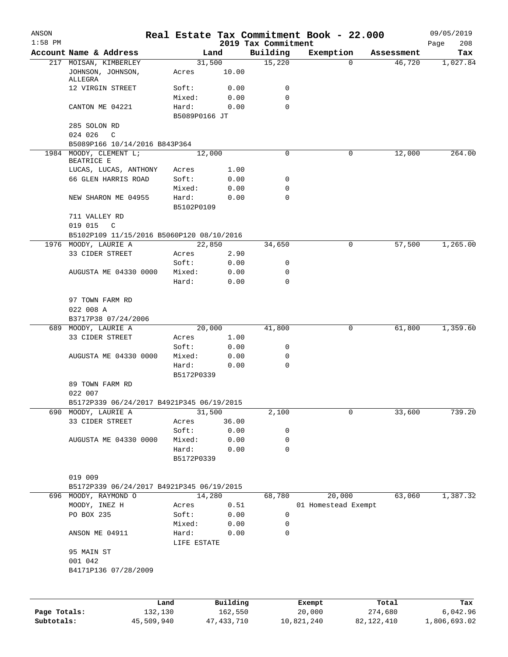| ANSON<br>$1:58$ PM |                                           |                     |                     |                                 | Real Estate Tax Commitment Book - 22.000 |                  | 09/05/2019         |
|--------------------|-------------------------------------------|---------------------|---------------------|---------------------------------|------------------------------------------|------------------|--------------------|
|                    | Account Name & Address                    |                     | Land                | 2019 Tax Commitment<br>Building | Exemption                                | Assessment       | 208<br>Page<br>Tax |
|                    | 217 MOISAN, KIMBERLEY                     |                     | 31,500              | 15,220                          | $\Omega$                                 | 46,720           | 1,027.84           |
|                    | JOHNSON, JOHNSON,<br>ALLEGRA              | Acres               | 10.00               |                                 |                                          |                  |                    |
|                    | 12 VIRGIN STREET                          | Soft:               | 0.00                | 0                               |                                          |                  |                    |
|                    |                                           | Mixed:              | 0.00                | 0                               |                                          |                  |                    |
|                    | CANTON ME 04221                           | Hard:               | 0.00                | $\Omega$                        |                                          |                  |                    |
|                    |                                           | B5089P0166 JT       |                     |                                 |                                          |                  |                    |
|                    | 285 SOLON RD<br>024 026<br>$\mathbb{C}$   |                     |                     |                                 |                                          |                  |                    |
|                    | B5089P166 10/14/2016 B843P364             |                     |                     |                                 |                                          |                  |                    |
|                    | 1984 MOODY, CLEMENT L;                    |                     | 12,000              | 0                               | 0                                        | 12,000           | 264.00             |
|                    | BEATRICE E                                |                     |                     |                                 |                                          |                  |                    |
|                    | LUCAS, LUCAS, ANTHONY                     | Acres               | 1.00                |                                 |                                          |                  |                    |
|                    | 66 GLEN HARRIS ROAD                       | Soft:               | 0.00                | 0                               |                                          |                  |                    |
|                    |                                           | Mixed:              | 0.00                | 0                               |                                          |                  |                    |
|                    | NEW SHARON ME 04955                       | Hard:<br>B5102P0109 | 0.00                | $\mathbf 0$                     |                                          |                  |                    |
|                    | 711 VALLEY RD                             |                     |                     |                                 |                                          |                  |                    |
|                    | 019 015<br>$\mathbb{C}$                   |                     |                     |                                 |                                          |                  |                    |
|                    | B5102P109 11/15/2016 B5060P120 08/10/2016 |                     |                     |                                 |                                          |                  |                    |
|                    | 1976 MOODY, LAURIE A                      |                     | 22,850              | 34,650                          | 0                                        | 57,500           | 1,265.00           |
|                    | 33 CIDER STREET                           | Acres               | 2.90                |                                 |                                          |                  |                    |
|                    |                                           | Soft:               | 0.00                | 0                               |                                          |                  |                    |
|                    | AUGUSTA ME 04330 0000                     | Mixed:              | 0.00                | 0                               |                                          |                  |                    |
|                    |                                           | Hard:               | 0.00                | $\mathbf 0$                     |                                          |                  |                    |
|                    | 97 TOWN FARM RD                           |                     |                     |                                 |                                          |                  |                    |
|                    | 022 008 A                                 |                     |                     |                                 |                                          |                  |                    |
|                    | B3717P38 07/24/2006                       |                     |                     |                                 |                                          |                  |                    |
|                    | 689 MOODY, LAURIE A                       |                     | 20,000              | 41,800                          | 0                                        | 61,800           | 1,359.60           |
|                    | 33 CIDER STREET                           | Acres               | 1.00                |                                 |                                          |                  |                    |
|                    |                                           | Soft:               | 0.00                | 0                               |                                          |                  |                    |
|                    | AUGUSTA ME 04330 0000                     | Mixed:              | 0.00                | 0                               |                                          |                  |                    |
|                    |                                           | Hard:<br>B5172P0339 | 0.00                | 0                               |                                          |                  |                    |
|                    | 89 TOWN FARM RD                           |                     |                     |                                 |                                          |                  |                    |
|                    | 022 007                                   |                     |                     |                                 |                                          |                  |                    |
|                    | B5172P339 06/24/2017 B4921P345 06/19/2015 |                     |                     |                                 |                                          |                  |                    |
|                    | 690 MOODY, LAURIE A                       |                     | 31,500              | 2,100                           | 0                                        | 33,600           | 739.20             |
|                    | 33 CIDER STREET                           | Acres               | 36.00               |                                 |                                          |                  |                    |
|                    |                                           | Soft:               | 0.00                | 0                               |                                          |                  |                    |
|                    | AUGUSTA ME 04330 0000                     | Mixed:              | 0.00                | 0                               |                                          |                  |                    |
|                    |                                           | Hard:<br>B5172P0339 | 0.00                | 0                               |                                          |                  |                    |
|                    |                                           |                     |                     |                                 |                                          |                  |                    |
|                    | 019 009                                   |                     |                     |                                 |                                          |                  |                    |
|                    | B5172P339 06/24/2017 B4921P345 06/19/2015 |                     |                     |                                 |                                          |                  |                    |
|                    | 696 MOODY, RAYMOND O                      |                     | 14,280              | 68,780                          | 20,000                                   | 63,060           | 1,387.32           |
|                    | MOODY, INEZ H                             | Acres               | 0.51                |                                 | 01 Homestead Exempt                      |                  |                    |
|                    | PO BOX 235                                | Soft:               | 0.00                | 0                               |                                          |                  |                    |
|                    |                                           | Mixed:              | 0.00                | 0                               |                                          |                  |                    |
|                    | ANSON ME 04911                            | Hard:               | 0.00                | 0                               |                                          |                  |                    |
|                    | 95 MAIN ST                                | LIFE ESTATE         |                     |                                 |                                          |                  |                    |
|                    | 001 042                                   |                     |                     |                                 |                                          |                  |                    |
|                    | B4171P136 07/28/2009                      |                     |                     |                                 |                                          |                  |                    |
|                    |                                           |                     |                     |                                 |                                          |                  |                    |
|                    |                                           |                     |                     |                                 |                                          |                  |                    |
| Page Totals:       | Land<br>132,130                           |                     | Building<br>162,550 |                                 | Exempt<br>20,000                         | Total<br>274,680 | Tax<br>6,042.96    |
|                    |                                           |                     |                     |                                 |                                          |                  |                    |

**Subtotals:** 45,509,940 47,433,710 10,821,240 82,122,410 1,806,693.02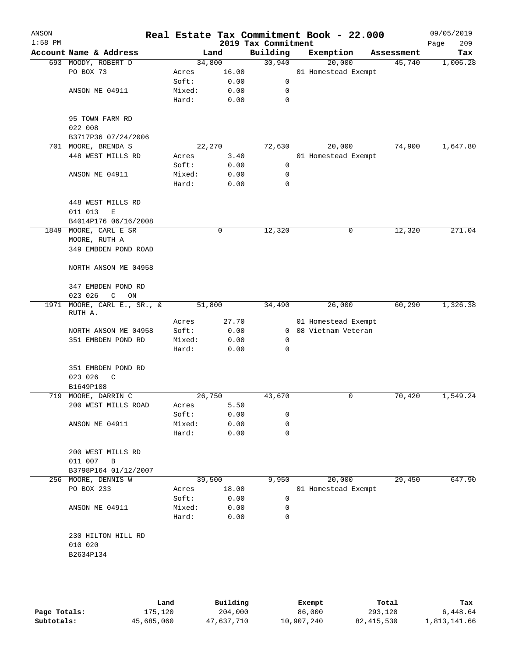| ANSON<br>$1:58$ PM |                              |        |        | 2019 Tax Commitment | Real Estate Tax Commitment Book - 22.000 |            | 09/05/2019<br>209<br>Page |
|--------------------|------------------------------|--------|--------|---------------------|------------------------------------------|------------|---------------------------|
|                    | Account Name & Address       |        | Land   | Building            | Exemption                                | Assessment | Tax                       |
|                    | 693 MOODY, ROBERT D          |        | 34,800 | 30,940              | 20,000                                   | 45,740     | 1,006.28                  |
|                    | PO BOX 73                    | Acres  | 16.00  |                     | 01 Homestead Exempt                      |            |                           |
|                    |                              | Soft:  | 0.00   | 0                   |                                          |            |                           |
|                    | ANSON ME 04911               | Mixed: | 0.00   | 0                   |                                          |            |                           |
|                    |                              | Hard:  | 0.00   | $\mathbf 0$         |                                          |            |                           |
|                    | 95 TOWN FARM RD              |        |        |                     |                                          |            |                           |
|                    | 022 008                      |        |        |                     |                                          |            |                           |
|                    | B3717P36 07/24/2006          |        |        |                     |                                          |            |                           |
|                    | 701 MOORE, BRENDA S          |        | 22,270 | 72,630              | 20,000                                   | 74,900     | 1,647.80                  |
|                    | 448 WEST MILLS RD            | Acres  | 3.40   |                     | 01 Homestead Exempt                      |            |                           |
|                    |                              | Soft:  | 0.00   | 0                   |                                          |            |                           |
|                    | ANSON ME 04911               | Mixed: | 0.00   | 0                   |                                          |            |                           |
|                    |                              | Hard:  | 0.00   | $\mathbf 0$         |                                          |            |                           |
|                    | 448 WEST MILLS RD            |        |        |                     |                                          |            |                           |
|                    | 011 013<br>Ε                 |        |        |                     |                                          |            |                           |
|                    | B4014P176 06/16/2008         |        |        |                     |                                          |            |                           |
| 1849               | MOORE, CARL E SR             |        | 0      | 12,320              | 0                                        | 12,320     | 271.04                    |
|                    | MOORE, RUTH A                |        |        |                     |                                          |            |                           |
|                    | 349 EMBDEN POND ROAD         |        |        |                     |                                          |            |                           |
|                    | NORTH ANSON ME 04958         |        |        |                     |                                          |            |                           |
|                    | 347 EMBDEN POND RD           |        |        |                     |                                          |            |                           |
|                    | 023 026<br>$\mathsf C$<br>ON |        |        |                     |                                          |            |                           |
| 1971               | MOORE, CARL E., SR., &       |        | 51,800 | 34,490              | 26,000                                   | 60,290     | 1,326.38                  |
|                    | RUTH A.                      |        |        |                     |                                          |            |                           |
|                    |                              | Acres  | 27.70  |                     | 01 Homestead Exempt                      |            |                           |
|                    | NORTH ANSON ME 04958         | Soft:  | 0.00   | 0                   | 08 Vietnam Veteran                       |            |                           |
|                    | 351 EMBDEN POND RD           | Mixed: | 0.00   | 0                   |                                          |            |                           |
|                    |                              | Hard:  | 0.00   | $\mathbf 0$         |                                          |            |                           |
|                    | 351 EMBDEN POND RD           |        |        |                     |                                          |            |                           |
|                    | 023 026<br>C                 |        |        |                     |                                          |            |                           |
|                    | B1649P108                    |        |        |                     |                                          |            |                           |
| 719                | MOORE, DARRIN C              |        | 26,750 | 43,670              | 0                                        | 70,420     | 1,549.24                  |
|                    | 200 WEST MILLS ROAD          | Acres  | 5.50   |                     |                                          |            |                           |
|                    |                              | Soft:  | 0.00   | 0                   |                                          |            |                           |
|                    | ANSON ME 04911               | Mixed: | 0.00   | 0                   |                                          |            |                           |
|                    |                              | Hard:  | 0.00   | 0                   |                                          |            |                           |
|                    | 200 WEST MILLS RD            |        |        |                     |                                          |            |                           |
|                    | 011 007<br>B                 |        |        |                     |                                          |            |                           |
|                    | B3798P164 01/12/2007         |        |        |                     |                                          |            |                           |
|                    | 256 MOORE, DENNIS W          |        | 39,500 | 9,950               | 20,000                                   | 29,450     | 647.90                    |
|                    | PO BOX 233                   | Acres  | 18.00  |                     | 01 Homestead Exempt                      |            |                           |
|                    |                              | Soft:  | 0.00   | 0                   |                                          |            |                           |
|                    | ANSON ME 04911               | Mixed: | 0.00   | 0                   |                                          |            |                           |
|                    |                              | Hard:  | 0.00   | 0                   |                                          |            |                           |
|                    | 230 HILTON HILL RD           |        |        |                     |                                          |            |                           |
|                    | 010 020                      |        |        |                     |                                          |            |                           |
|                    | B2634P134                    |        |        |                     |                                          |            |                           |
|                    |                              |        |        |                     |                                          |            |                           |
|                    |                              |        |        |                     |                                          |            |                           |
|                    |                              |        |        |                     |                                          |            |                           |

|              | Land       | Building   | Exempt     | Total        | Tax          |
|--------------|------------|------------|------------|--------------|--------------|
| Page Totals: | 175,120    | 204,000    | 86,000     | 293,120      | 6,448.64     |
| Subtotals:   | 45,685,060 | 47,637,710 | 10,907,240 | 82, 415, 530 | 1,813,141.66 |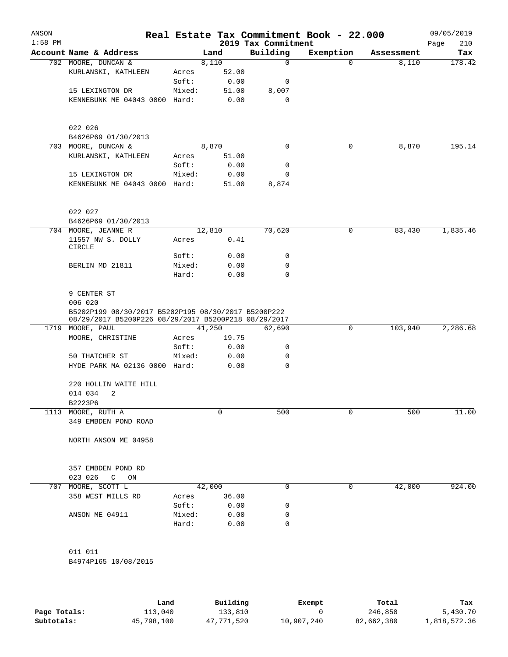| ANSON<br>$1:58$ PM |                                                                                                             |        |             | 2019 Tax Commitment | Real Estate Tax Commitment Book - 22.000 |            | 09/05/2019<br>210<br>Page |
|--------------------|-------------------------------------------------------------------------------------------------------------|--------|-------------|---------------------|------------------------------------------|------------|---------------------------|
|                    | Account Name & Address                                                                                      |        | Land        | Building            | Exemption                                | Assessment | Tax                       |
|                    | 702 MOORE, DUNCAN &                                                                                         |        | 8,110       | $\mathbf 0$         | 0                                        | 8,110      | 178.42                    |
|                    | KURLANSKI, KATHLEEN                                                                                         | Acres  | 52.00       |                     |                                          |            |                           |
|                    |                                                                                                             | Soft:  | 0.00        | 0                   |                                          |            |                           |
|                    | 15 LEXINGTON DR                                                                                             | Mixed: | 51.00       | 8,007               |                                          |            |                           |
|                    | KENNEBUNK ME 04043 0000 Hard:                                                                               |        | 0.00        | 0                   |                                          |            |                           |
|                    | 022 026                                                                                                     |        |             |                     |                                          |            |                           |
|                    | B4626P69 01/30/2013                                                                                         |        |             |                     |                                          |            |                           |
|                    | 703 MOORE, DUNCAN &                                                                                         |        | 8,870       | 0                   | 0                                        | 8,870      | 195.14                    |
|                    | KURLANSKI, KATHLEEN                                                                                         | Acres  | 51.00       |                     |                                          |            |                           |
|                    |                                                                                                             | Soft:  | 0.00        | 0                   |                                          |            |                           |
|                    | 15 LEXINGTON DR                                                                                             | Mixed: | 0.00        | 0                   |                                          |            |                           |
|                    | KENNEBUNK ME 04043 0000 Hard:                                                                               |        | 51.00       | $\,8\,,\,8\,7\,4$   |                                          |            |                           |
|                    | 022 027                                                                                                     |        |             |                     |                                          |            |                           |
|                    | B4626P69 01/30/2013                                                                                         |        |             |                     |                                          |            |                           |
|                    | 704 MOORE, JEANNE R                                                                                         |        | 12,810      | 70,620              | 0                                        | 83,430     | 1,835.46                  |
|                    | 11557 NW S. DOLLY<br><b>CIRCLE</b>                                                                          | Acres  | 0.41        |                     |                                          |            |                           |
|                    |                                                                                                             | Soft:  | 0.00        | 0                   |                                          |            |                           |
|                    | BERLIN MD 21811                                                                                             | Mixed: | 0.00        | 0                   |                                          |            |                           |
|                    |                                                                                                             | Hard:  | 0.00        | 0                   |                                          |            |                           |
|                    | 9 CENTER ST<br>006 020                                                                                      |        |             |                     |                                          |            |                           |
|                    | B5202P199 08/30/2017 B5202P195 08/30/2017 B5200P222<br>08/29/2017 B5200P226 08/29/2017 B5200P218 08/29/2017 |        |             |                     |                                          |            |                           |
|                    | 1719 MOORE, PAUL                                                                                            |        | 41,250      | 62,690              | 0                                        | 103,940    | 2,286.68                  |
|                    | MOORE, CHRISTINE                                                                                            | Acres  | 19.75       |                     |                                          |            |                           |
|                    |                                                                                                             | Soft:  | 0.00        | 0                   |                                          |            |                           |
|                    | 50 THATCHER ST                                                                                              | Mixed: | 0.00        | 0                   |                                          |            |                           |
|                    | HYDE PARK MA 02136 0000 Hard:                                                                               |        | 0.00        | 0                   |                                          |            |                           |
|                    | 220 HOLLIN WAITE HILL<br>2<br>014 034                                                                       |        |             |                     |                                          |            |                           |
|                    | B2223P6                                                                                                     |        |             |                     |                                          |            |                           |
|                    | 1113 MOORE, RUTH A                                                                                          |        | $\Omega$    | 500                 | 0                                        | 500        | 11.00                     |
|                    | 349 EMBDEN POND ROAD                                                                                        |        |             |                     |                                          |            |                           |
|                    | NORTH ANSON ME 04958                                                                                        |        |             |                     |                                          |            |                           |
|                    | 357 EMBDEN POND RD                                                                                          |        |             |                     |                                          |            |                           |
|                    | 023 026<br>$\mathsf{C}$<br>ON                                                                               |        |             |                     |                                          |            |                           |
| 707                | MOORE, SCOTT L                                                                                              |        | 42,000      | 0                   | 0                                        | 42,000     | 924.00                    |
|                    | 358 WEST MILLS RD                                                                                           |        | Acres 36.00 |                     |                                          |            |                           |
|                    |                                                                                                             | Soft:  | 0.00        | 0                   |                                          |            |                           |
|                    | ANSON ME 04911                                                                                              | Mixed: | 0.00        | 0                   |                                          |            |                           |
|                    |                                                                                                             | Hard:  | 0.00        | 0                   |                                          |            |                           |
|                    | 011 011                                                                                                     |        |             |                     |                                          |            |                           |
|                    | B4974P165 10/08/2015                                                                                        |        |             |                     |                                          |            |                           |
|                    |                                                                                                             |        |             |                     |                                          |            |                           |

|              | Land       | Building   | Exempt     | Total      | Tax          |
|--------------|------------|------------|------------|------------|--------------|
| Page Totals: | 113,040    | 133,810    |            | 246,850    | 5,430.70     |
| Subtotals:   | 45,798,100 | 47,771,520 | 10,907,240 | 82,662,380 | 1,818,572.36 |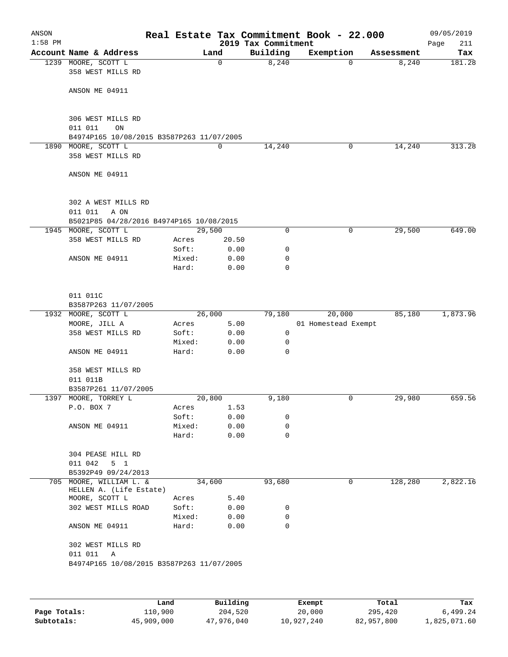| ANSON<br>$1:58$ PM |                                                |                 |              | 2019 Tax Commitment | Real Estate Tax Commitment Book - 22.000 |            | 09/05/2019<br>Page<br>211 |
|--------------------|------------------------------------------------|-----------------|--------------|---------------------|------------------------------------------|------------|---------------------------|
|                    | Account Name & Address                         | Land            |              | Building            | Exemption                                | Assessment | Tax                       |
|                    | 1239 MOORE, SCOTT L                            |                 | $\Omega$     | 8,240               | $\Omega$                                 | 8,240      | 181.28                    |
|                    | 358 WEST MILLS RD                              |                 |              |                     |                                          |            |                           |
|                    |                                                |                 |              |                     |                                          |            |                           |
|                    | ANSON ME 04911                                 |                 |              |                     |                                          |            |                           |
|                    |                                                |                 |              |                     |                                          |            |                           |
|                    | 306 WEST MILLS RD                              |                 |              |                     |                                          |            |                           |
|                    | 011 011<br>ON                                  |                 |              |                     |                                          |            |                           |
|                    | B4974P165 10/08/2015 B3587P263 11/07/2005      |                 |              |                     |                                          |            |                           |
|                    | 1890 MOORE, SCOTT L                            |                 | 0            | 14,240              | 0                                        | 14,240     | 313.28                    |
|                    | 358 WEST MILLS RD                              |                 |              |                     |                                          |            |                           |
|                    | ANSON ME 04911                                 |                 |              |                     |                                          |            |                           |
|                    |                                                |                 |              |                     |                                          |            |                           |
|                    |                                                |                 |              |                     |                                          |            |                           |
|                    | 302 A WEST MILLS RD                            |                 |              |                     |                                          |            |                           |
|                    | 011 011<br>A ON                                |                 |              |                     |                                          |            |                           |
|                    | B5021P85 04/28/2016 B4974P165 10/08/2015       |                 |              |                     |                                          |            |                           |
|                    | 1945 MOORE, SCOTT L                            | 29,500          |              | 0                   | 0                                        | 29,500     | 649.00                    |
|                    | 358 WEST MILLS RD                              | Acres           | 20.50        |                     |                                          |            |                           |
|                    | ANSON ME 04911                                 | Soft:<br>Mixed: | 0.00<br>0.00 | 0<br>0              |                                          |            |                           |
|                    |                                                | Hard:           | 0.00         | $\mathbf 0$         |                                          |            |                           |
|                    |                                                |                 |              |                     |                                          |            |                           |
|                    |                                                |                 |              |                     |                                          |            |                           |
|                    | 011 011C                                       |                 |              |                     |                                          |            |                           |
|                    | B3587P263 11/07/2005                           |                 |              |                     |                                          |            |                           |
|                    | 1932 MOORE, SCOTT L                            | 26,000          |              | 79,180              | 20,000                                   | 85,180     | 1,873.96                  |
|                    | MOORE, JILL A<br>358 WEST MILLS RD             | Acres<br>Soft:  | 5.00<br>0.00 | 0                   | 01 Homestead Exempt                      |            |                           |
|                    |                                                | Mixed:          | 0.00         | 0                   |                                          |            |                           |
|                    | ANSON ME 04911                                 | Hard:           | 0.00         | $\mathbf 0$         |                                          |            |                           |
|                    |                                                |                 |              |                     |                                          |            |                           |
|                    | 358 WEST MILLS RD                              |                 |              |                     |                                          |            |                           |
|                    | 011 011B                                       |                 |              |                     |                                          |            |                           |
|                    | B3587P261 11/07/2005                           |                 |              |                     | 0                                        |            |                           |
| 1397               | MOORE, TORREY L<br>P.O. BOX 7                  | 20,800<br>Acres | 1.53         | 9,180               |                                          | 29,980     | 659.56                    |
|                    |                                                | Soft:           | 0.00         | 0                   |                                          |            |                           |
|                    | ANSON ME 04911                                 | Mixed:          | 0.00         | 0                   |                                          |            |                           |
|                    |                                                | Hard:           | 0.00         | 0                   |                                          |            |                           |
|                    |                                                |                 |              |                     |                                          |            |                           |
|                    | 304 PEASE HILL RD                              |                 |              |                     |                                          |            |                           |
|                    | 011 042<br>5 <sub>1</sub>                      |                 |              |                     |                                          |            |                           |
|                    | B5392P49 09/24/2013<br>705 MOORE, WILLIAM L. & | 34,600          |              | 93,680              | 0                                        | 128,280    | 2,822.16                  |
|                    | HELLEN A. (Life Estate)                        |                 |              |                     |                                          |            |                           |
|                    | MOORE, SCOTT L                                 | Acres           | 5.40         |                     |                                          |            |                           |
|                    | 302 WEST MILLS ROAD                            | Soft:           | 0.00         | 0                   |                                          |            |                           |
|                    |                                                | Mixed:          | 0.00         | 0                   |                                          |            |                           |
|                    | ANSON ME 04911                                 | Hard:           | 0.00         | $\mathbf 0$         |                                          |            |                           |
|                    | 302 WEST MILLS RD                              |                 |              |                     |                                          |            |                           |
|                    | 011 011<br>Α                                   |                 |              |                     |                                          |            |                           |
|                    | B4974P165 10/08/2015 B3587P263 11/07/2005      |                 |              |                     |                                          |            |                           |
|                    |                                                |                 |              |                     |                                          |            |                           |
|                    |                                                |                 |              |                     |                                          |            |                           |
|                    |                                                |                 |              |                     |                                          |            |                           |

|              | Land       | Building   | Exempt     | Total      | Tax          |
|--------------|------------|------------|------------|------------|--------------|
| Page Totals: | 110,900    | 204,520    | 20,000     | 295,420    | 6,499.24     |
| Subtotals:   | 45,909,000 | 47,976,040 | 10,927,240 | 82,957,800 | 1,825,071.60 |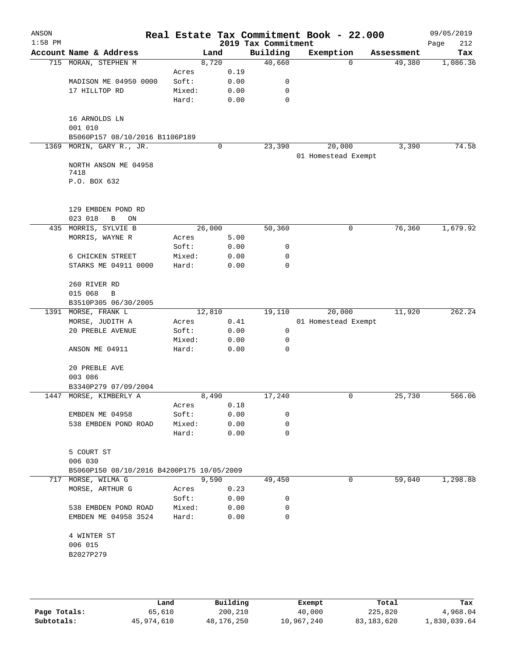| ANSON     |                                           |                 |        |              | Real Estate Tax Commitment Book - 22.000 |                     |          |            | 09/05/2019  |
|-----------|-------------------------------------------|-----------------|--------|--------------|------------------------------------------|---------------------|----------|------------|-------------|
| $1:58$ PM |                                           |                 |        |              | 2019 Tax Commitment                      |                     |          |            | 212<br>Page |
|           | Account Name & Address                    |                 | Land   |              | Building                                 | Exemption           |          | Assessment | Tax         |
|           | 715 MORAN, STEPHEN M                      | Acres           | 8,720  | 0.19         | 40,660                                   |                     | $\Omega$ | 49,380     | 1,086.36    |
|           | MADISON ME 04950 0000                     | Soft:           |        | 0.00         | 0                                        |                     |          |            |             |
|           | 17 HILLTOP RD                             | Mixed:          |        | 0.00         | 0                                        |                     |          |            |             |
|           |                                           | Hard:           |        | 0.00         | 0                                        |                     |          |            |             |
|           | 16 ARNOLDS LN                             |                 |        |              |                                          |                     |          |            |             |
|           | 001 010                                   |                 |        |              |                                          |                     |          |            |             |
|           | B5060P157 08/10/2016 B1106P189            |                 |        |              |                                          |                     |          |            |             |
| 1369      | MORIN, GARY R., JR.                       |                 |        | 0            | 23,390                                   |                     | 20,000   | 3,390      | 74.58       |
|           |                                           |                 |        |              |                                          | 01 Homestead Exempt |          |            |             |
|           | NORTH ANSON ME 04958                      |                 |        |              |                                          |                     |          |            |             |
|           | 7418                                      |                 |        |              |                                          |                     |          |            |             |
|           | P.O. BOX 632                              |                 |        |              |                                          |                     |          |            |             |
|           | 129 EMBDEN POND RD                        |                 |        |              |                                          |                     |          |            |             |
|           | 023 018<br>$\, {\bf B}$<br>ON             |                 |        |              |                                          |                     |          |            |             |
|           | 435 MORRIS, SYLVIE B                      |                 | 26,000 |              | 50,360                                   |                     | 0        | 76,360     | 1,679.92    |
|           | MORRIS, WAYNE R                           | Acres           |        | 5.00         |                                          |                     |          |            |             |
|           |                                           | Soft:           |        | 0.00         | 0                                        |                     |          |            |             |
|           | 6 CHICKEN STREET                          | Mixed:          |        | 0.00         | 0                                        |                     |          |            |             |
|           | STARKS ME 04911 0000                      | Hard:           |        | 0.00         | $\mathbf 0$                              |                     |          |            |             |
|           | 260 RIVER RD                              |                 |        |              |                                          |                     |          |            |             |
|           | 015 068<br>B                              |                 |        |              |                                          |                     |          |            |             |
|           | B3510P305 06/30/2005                      |                 |        |              |                                          |                     |          |            |             |
|           | 1391 MORSE, FRANK L                       |                 | 12,810 |              | 19,110                                   |                     | 20,000   | 11,920     | 262.24      |
|           | MORSE, JUDITH A                           | Acres           |        | 0.41         |                                          | 01 Homestead Exempt |          |            |             |
|           | 20 PREBLE AVENUE                          | Soft:           |        | 0.00         | 0                                        |                     |          |            |             |
|           |                                           | Mixed:          |        | 0.00         | 0                                        |                     |          |            |             |
|           | ANSON ME 04911                            | Hard:           |        | 0.00         | 0                                        |                     |          |            |             |
|           | 20 PREBLE AVE                             |                 |        |              |                                          |                     |          |            |             |
|           | 003 086<br>B3340P279 07/09/2004           |                 |        |              |                                          |                     |          |            |             |
|           | 1447 MORSE, KIMBERLY A                    |                 | 8,490  |              | 17,240                                   |                     | 0        | 25,730     | 566.06      |
|           |                                           | Acres           |        | 0.18         |                                          |                     |          |            |             |
|           | EMBDEN ME 04958                           | Soft:           |        | 0.00         | 0                                        |                     |          |            |             |
|           | 538 EMBDEN POND ROAD                      | Mixed:          |        | 0.00         | 0                                        |                     |          |            |             |
|           |                                           | Hard:           |        | 0.00         | 0                                        |                     |          |            |             |
|           | 5 COURT ST                                |                 |        |              |                                          |                     |          |            |             |
|           | 006 030                                   |                 |        |              |                                          |                     |          |            |             |
|           | B5060P150 08/10/2016 B4200P175 10/05/2009 |                 |        |              |                                          |                     |          |            |             |
| 717       | MORSE, WILMA G                            |                 | 9,590  |              | 49,450                                   |                     | 0        | 59,040     | 1,298.88    |
|           | MORSE, ARTHUR G                           | Acres           |        | 0.23         |                                          |                     |          |            |             |
|           | 538 EMBDEN POND ROAD                      | Soft:           |        | 0.00         | 0                                        |                     |          |            |             |
|           | EMBDEN ME 04958 3524                      | Mixed:<br>Hard: |        | 0.00<br>0.00 | 0<br>0                                   |                     |          |            |             |
|           | 4 WINTER ST                               |                 |        |              |                                          |                     |          |            |             |
|           | 006 015                                   |                 |        |              |                                          |                     |          |            |             |
|           | B2027P279                                 |                 |        |              |                                          |                     |          |            |             |
|           |                                           |                 |        |              |                                          |                     |          |            |             |
|           |                                           |                 |        |              |                                          |                     |          |            |             |
|           |                                           |                 |        |              |                                          |                     |          |            |             |

|              | Land       | Building   | Exempt     | Total      | Tax          |
|--------------|------------|------------|------------|------------|--------------|
| Page Totals: | 65,610     | 200,210    | 40,000     | 225,820    | 4,968.04     |
| Subtotals:   | 45,974,610 | 48,176,250 | 10,967,240 | 83,183,620 | 1,830,039.64 |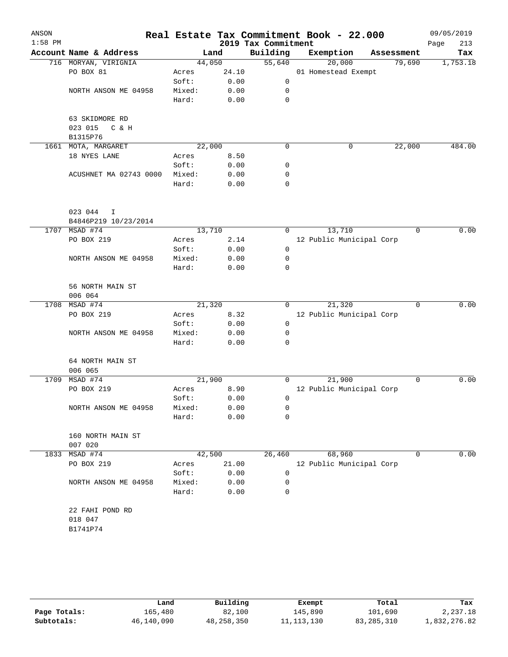| Account Name & Address<br>716 MORYAN, VIRIGNIA<br>PO BOX 81 | 44,050               | Land            | Building               |        | Exemption                | Assessment | Tax                      |
|-------------------------------------------------------------|----------------------|-----------------|------------------------|--------|--------------------------|------------|--------------------------|
|                                                             |                      |                 |                        |        |                          |            |                          |
|                                                             |                      |                 | 55,640                 |        | 20,000                   | 79,690     | 1,753.18                 |
|                                                             | Acres                | 24.10           |                        |        | 01 Homestead Exempt      |            |                          |
|                                                             | Soft:                | 0.00            | $\mathbf 0$            |        |                          |            |                          |
| NORTH ANSON ME 04958                                        | Mixed:               | 0.00            | 0                      |        |                          |            |                          |
|                                                             | Hard:                | 0.00            | 0                      |        |                          |            |                          |
| 63 SKIDMORE RD<br>023 015 C & H<br>B1315P76                 |                      |                 |                        |        |                          |            |                          |
| 1661 MOTA, MARGARET                                         | 22,000               |                 | 0                      |        | 0                        | 22,000     | 484.00                   |
| 18 NYES LANE                                                | Acres                | 8.50            |                        |        |                          |            |                          |
|                                                             | Soft:                | 0.00            | 0                      |        |                          |            |                          |
| ACUSHNET MA 02743 0000                                      | Mixed:               | 0.00            | 0                      |        |                          |            |                          |
|                                                             | Hard:                | 0.00            | 0                      |        |                          |            |                          |
| 023 044<br>I                                                |                      |                 |                        |        |                          |            |                          |
| B4846P219 10/23/2014                                        |                      |                 |                        |        |                          |            |                          |
| 1707 MSAD #74                                               | 13,710               |                 | 0                      |        | 13,710                   | 0          | 0.00                     |
| PO BOX 219                                                  | Acres                | 2.14            |                        |        | 12 Public Municipal Corp |            |                          |
|                                                             | Soft:                | 0.00            | 0                      |        |                          |            |                          |
| NORTH ANSON ME 04958                                        | Mixed:               | 0.00            | 0                      |        |                          |            |                          |
|                                                             | Hard:                | 0.00            | 0                      |        |                          |            |                          |
| 56 NORTH MAIN ST<br>006 064                                 |                      |                 |                        |        |                          |            |                          |
| MSAD #74                                                    | 21,320               |                 | 0                      |        | 21,320                   | $\Omega$   | 0.00                     |
| PO BOX 219                                                  | Acres                | 8.32            |                        |        | 12 Public Municipal Corp |            |                          |
|                                                             | Soft:                | 0.00            | $\mathsf{O}$           |        |                          |            |                          |
| NORTH ANSON ME 04958                                        | Mixed:               | 0.00            | 0                      |        |                          |            |                          |
|                                                             | Hard:                | 0.00            | 0                      |        |                          |            |                          |
| 64 NORTH MAIN ST<br>006 065                                 |                      |                 |                        |        |                          |            |                          |
| MSAD #74                                                    | 21,900               |                 | 0                      |        | 21,900                   | 0          | 0.00                     |
| PO BOX 219                                                  | Acres                | 8.90            |                        |        | 12 Public Municipal Corp |            |                          |
|                                                             | Soft:                | 0.00            | 0                      |        |                          |            |                          |
| NORTH ANSON ME 04958                                        | Mixed:               | 0.00            | 0                      |        |                          |            |                          |
|                                                             | Hard:                | 0.00            | 0                      |        |                          |            |                          |
| 160 NORTH MAIN ST<br>007 020                                |                      |                 |                        |        |                          |            |                          |
| MSAD #74                                                    |                      |                 | 26,460                 |        | 68,960                   | 0          | 0.00                     |
| PO BOX 219                                                  | Acres                | 21.00           |                        |        |                          |            |                          |
|                                                             |                      |                 |                        |        |                          |            |                          |
|                                                             |                      |                 |                        |        |                          |            |                          |
|                                                             | Hard:                | 0.00            | 0                      |        |                          |            |                          |
| 22 FAHI POND RD<br>018 047<br>B1741P74                      |                      |                 |                        |        |                          |            |                          |
|                                                             | NORTH ANSON ME 04958 | Soft:<br>Mixed: | 42,500<br>0.00<br>0.00 | 0<br>0 |                          |            | 12 Public Municipal Corp |

|              | Land       | Building   | Exempt       | Total        | Tax          |
|--------------|------------|------------|--------------|--------------|--------------|
| Page Totals: | 165,480    | 82,100     | 145,890      | 101,690      | 2,237.18     |
| Subtotals:   | 46,140,090 | 48,258,350 | 11, 113, 130 | 83, 285, 310 | 1,832,276.82 |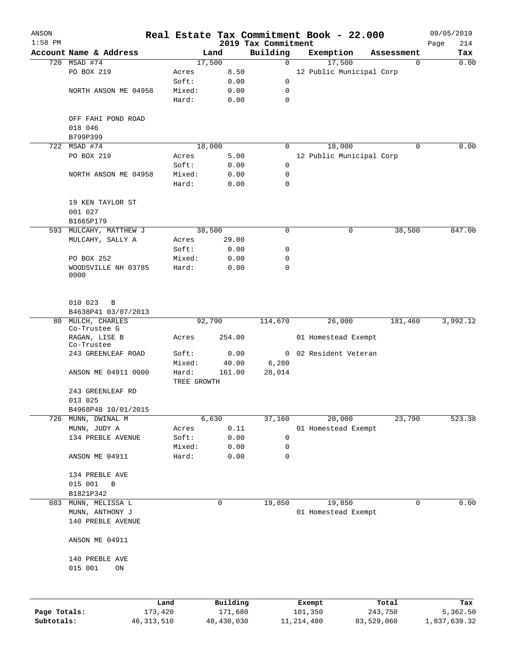| ANSON<br>$1:58$ PM |                               |                 |                      |                     |                                 | Real Estate Tax Commitment Book - 22.000 |        |                  | 09/05/2019         |
|--------------------|-------------------------------|-----------------|----------------------|---------------------|---------------------------------|------------------------------------------|--------|------------------|--------------------|
|                    | Account Name & Address        |                 |                      | Land                | 2019 Tax Commitment<br>Building | Exemption                                |        | Assessment       | 214<br>Page<br>Tax |
|                    | 720 MSAD #74                  |                 |                      | 17,500              | $\mathbf 0$                     |                                          | 17,500 | 0                | 0.00               |
|                    | PO BOX 219                    |                 | Acres                | 8.50                |                                 | 12 Public Municipal Corp                 |        |                  |                    |
|                    |                               |                 | Soft:                | 0.00                | 0                               |                                          |        |                  |                    |
|                    | NORTH ANSON ME 04958          |                 | Mixed:               | 0.00                | 0                               |                                          |        |                  |                    |
|                    |                               |                 | Hard:                | 0.00                | $\mathbf 0$                     |                                          |        |                  |                    |
|                    | OFF FAHI POND ROAD            |                 |                      |                     |                                 |                                          |        |                  |                    |
|                    | 018 046                       |                 |                      |                     |                                 |                                          |        |                  |                    |
|                    | B799P399                      |                 |                      |                     |                                 |                                          |        |                  |                    |
|                    | 722 MSAD #74                  |                 |                      | 18,000              | 0                               |                                          | 18,000 | 0                | 0.00               |
|                    | PO BOX 219                    |                 | Acres                | 5.00                |                                 | 12 Public Municipal Corp                 |        |                  |                    |
|                    |                               |                 | Soft:                | 0.00                | 0                               |                                          |        |                  |                    |
|                    | NORTH ANSON ME 04958          |                 | Mixed:               | 0.00                | 0                               |                                          |        |                  |                    |
|                    |                               |                 | Hard:                | 0.00                | $\mathbf 0$                     |                                          |        |                  |                    |
|                    | 19 KEN TAYLOR ST              |                 |                      |                     |                                 |                                          |        |                  |                    |
|                    | 001 027                       |                 |                      |                     |                                 |                                          |        |                  |                    |
|                    | B1665P179                     |                 |                      |                     |                                 |                                          |        |                  |                    |
|                    | 593 MULCAHY, MATTHEW J        |                 |                      | 38,500              | 0                               |                                          | 0      | 38,500           | 847.00             |
|                    | MULCAHY, SALLY A              |                 | Acres                | 29.00               |                                 |                                          |        |                  |                    |
|                    |                               |                 | Soft:                | 0.00                | 0                               |                                          |        |                  |                    |
|                    | PO BOX 252                    |                 | Mixed:               | 0.00                | 0                               |                                          |        |                  |                    |
|                    | WOODSVILLE NH 03785<br>0000   |                 | Hard:                | 0.00                | $\mathbf 0$                     |                                          |        |                  |                    |
|                    | 010 023<br>B                  |                 |                      |                     |                                 |                                          |        |                  |                    |
|                    | B4638P41 03/07/2013           |                 |                      |                     |                                 |                                          |        |                  |                    |
| 80                 | MULCH, CHARLES                |                 |                      | 92,790              | 114,670                         |                                          | 26,000 | 181,460          | 3,992.12           |
|                    | Co-Trustee G<br>RAGAN, LISE B |                 | Acres                | 254.00              |                                 | 01 Homestead Exempt                      |        |                  |                    |
|                    | Co-Trustee                    |                 |                      |                     |                                 |                                          |        |                  |                    |
|                    | 243 GREENLEAF ROAD            |                 | Soft:                | 0.00                |                                 | 0 02 Resident Veteran                    |        |                  |                    |
|                    |                               |                 | Mixed:               | 40.00               | 6,280                           |                                          |        |                  |                    |
|                    | ANSON ME 04911 0000           |                 | Hard:<br>TREE GROWTH | 161.00              | 28,014                          |                                          |        |                  |                    |
|                    | 243 GREENLEAF RD              |                 |                      |                     |                                 |                                          |        |                  |                    |
|                    | 013 025                       |                 |                      |                     |                                 |                                          |        |                  |                    |
|                    | B4968P48 10/01/2015           |                 |                      |                     |                                 |                                          |        |                  |                    |
|                    | 726 MUNN, DWINAL M            |                 |                      | 6,630               | 37,160                          |                                          | 20,000 | 23,790           | 523.38             |
|                    | MUNN, JUDY A                  |                 | Acres                | 0.11                |                                 | 01 Homestead Exempt                      |        |                  |                    |
|                    | 134 PREBLE AVENUE             |                 | Soft:                | 0.00                | 0                               |                                          |        |                  |                    |
|                    |                               |                 | Mixed:               | 0.00                | 0                               |                                          |        |                  |                    |
|                    | ANSON ME 04911                |                 | Hard:                | 0.00                | 0                               |                                          |        |                  |                    |
|                    | 134 PREBLE AVE                |                 |                      |                     |                                 |                                          |        |                  |                    |
|                    | 015 001<br>В                  |                 |                      |                     |                                 |                                          |        |                  |                    |
|                    | B1821P342                     |                 |                      |                     |                                 |                                          |        |                  |                    |
| 883                | MUNN, MELISSA L               |                 |                      | 0                   | 19,850                          |                                          | 19,850 | 0                | 0.00               |
|                    | MUNN, ANTHONY J               |                 |                      |                     |                                 | 01 Homestead Exempt                      |        |                  |                    |
|                    | 140 PREBLE AVENUE             |                 |                      |                     |                                 |                                          |        |                  |                    |
|                    | ANSON ME 04911                |                 |                      |                     |                                 |                                          |        |                  |                    |
|                    | 140 PREBLE AVE                |                 |                      |                     |                                 |                                          |        |                  |                    |
|                    | 015 001<br>ON                 |                 |                      |                     |                                 |                                          |        |                  |                    |
|                    |                               |                 |                      |                     |                                 |                                          |        |                  |                    |
| Page Totals:       |                               | Land<br>173,420 |                      | Building<br>171,680 |                                 | Exempt<br>101,350                        |        | Total<br>243,750 | Tax<br>5,362.50    |
|                    |                               |                 |                      |                     |                                 |                                          |        |                  |                    |

**Subtotals:** 46,313,510 48,430,030 11,214,480 83,529,060 1,837,639.32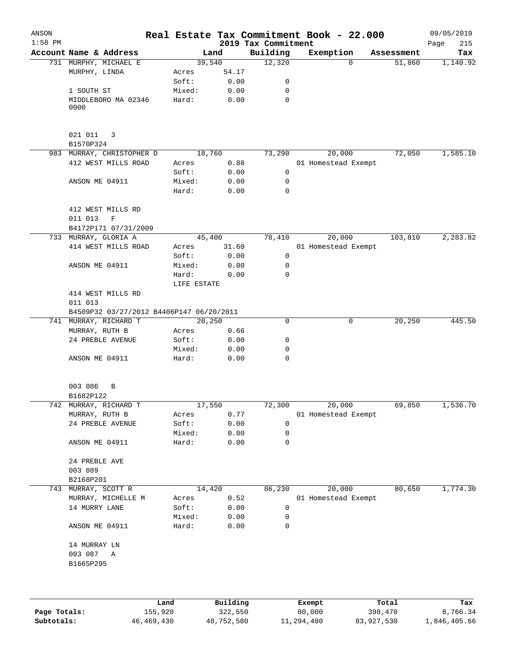| ANSON     |                      |                                          |                      |              | Real Estate Tax Commitment Book - 22.000 |        |                     |            | 09/05/2019  |
|-----------|----------------------|------------------------------------------|----------------------|--------------|------------------------------------------|--------|---------------------|------------|-------------|
| $1:58$ PM |                      |                                          |                      |              | 2019 Tax Commitment                      |        |                     |            | 215<br>Page |
|           |                      | Account Name & Address                   |                      | Land         | Building                                 |        | Exemption           | Assessment | Tax         |
|           | MURPHY, LINDA        | 731 MURPHY, MICHAEL E                    | 39,540               | 54.17        | 12,320                                   |        | $\Omega$            | 51,860     | 1,140.92    |
|           |                      |                                          | Acres<br>Soft:       | 0.00         | 0                                        |        |                     |            |             |
|           | 1 SOUTH ST           |                                          | Mixed:               | 0.00         | 0                                        |        |                     |            |             |
|           |                      | MIDDLEBORO MA 02346                      | Hard:                | 0.00         | $\mathbf 0$                              |        |                     |            |             |
|           | 0000                 |                                          |                      |              |                                          |        |                     |            |             |
|           |                      |                                          |                      |              |                                          |        |                     |            |             |
|           | 021 011 3            |                                          |                      |              |                                          |        |                     |            |             |
|           | B1570P324            |                                          |                      |              |                                          |        |                     |            |             |
|           |                      | 983 MURRAY, CHRISTOPHER D                | 18,760               |              | 73,290                                   |        | 20,000              | 72,050     | 1,585.10    |
|           |                      | 412 WEST MILLS ROAD                      | Acres                | 0.88         |                                          |        | 01 Homestead Exempt |            |             |
|           |                      |                                          | Soft:                | 0.00         | $\mathbf 0$                              |        |                     |            |             |
|           | ANSON ME 04911       |                                          | Mixed:               | 0.00         | $\mathbf 0$                              |        |                     |            |             |
|           |                      |                                          | Hard:                | 0.00         | $\mathbf 0$                              |        |                     |            |             |
|           |                      | 412 WEST MILLS RD                        |                      |              |                                          |        |                     |            |             |
|           | 011 013              | $\mathbf F$                              |                      |              |                                          |        |                     |            |             |
|           |                      | B4172P171 07/31/2009                     |                      |              |                                          |        |                     |            |             |
|           |                      | 733 MURRAY, GLORIA A                     | 45,400               |              | 78,410                                   |        | 20,000              | 103,810    | 2,283.82    |
|           |                      | 414 WEST MILLS ROAD                      | Acres                | 31.60        |                                          |        | 01 Homestead Exempt |            |             |
|           |                      |                                          | Soft:                | 0.00         | 0                                        |        |                     |            |             |
|           | ANSON ME 04911       |                                          | Mixed:               | 0.00         | 0                                        |        |                     |            |             |
|           |                      |                                          | Hard:<br>LIFE ESTATE | 0.00         | $\mathbf 0$                              |        |                     |            |             |
|           |                      | 414 WEST MILLS RD                        |                      |              |                                          |        |                     |            |             |
|           | 011 013              |                                          |                      |              |                                          |        |                     |            |             |
|           |                      | B4509P32 03/27/2012 B4406P147 06/20/2011 |                      |              |                                          |        |                     |            |             |
|           |                      | 741 MURRAY, RICHARD T                    | 20,250               |              | $\mathbf 0$                              |        | 0                   | 20,250     | 445.50      |
|           | MURRAY, RUTH B       |                                          | Acres                | 0.66         |                                          |        |                     |            |             |
|           |                      | 24 PREBLE AVENUE                         | Soft:                | 0.00         | 0                                        |        |                     |            |             |
|           |                      |                                          | Mixed:               | 0.00         | 0                                        |        |                     |            |             |
|           | ANSON ME 04911       |                                          | Hard:                | 0.00         | 0                                        |        |                     |            |             |
|           | 003 086              | B                                        |                      |              |                                          |        |                     |            |             |
|           | B1682P122            |                                          |                      |              |                                          |        |                     |            |             |
|           |                      | 742 MURRAY, RICHARD T                    | 17,550               |              | 72,300                                   |        | 20,000              | 69,850     | 1,536.70    |
|           | MURRAY, RUTH B       |                                          | Acres                | 0.77         |                                          |        | 01 Homestead Exempt |            |             |
|           |                      | 24 PREBLE AVENUE                         | Soft:                | 0.00         | 0                                        |        |                     |            |             |
|           |                      |                                          | Mixed:               | 0.00         | 0                                        |        |                     |            |             |
|           | ANSON ME 04911       |                                          | Hard:                | 0.00         | 0                                        |        |                     |            |             |
|           | 24 PREBLE AVE        |                                          |                      |              |                                          |        |                     |            |             |
|           | 003 089<br>B2168P201 |                                          |                      |              |                                          |        |                     |            |             |
|           | 743 MURRAY, SCOTT R  |                                          | 14,420               |              | 86,230                                   |        | 20,000              | 80,650     | 1,774.30    |
|           |                      |                                          | Acres                |              |                                          |        |                     |            |             |
|           | 14 MURRY LANE        | MURRAY, MICHELLE M                       | Soft:                | 0.52<br>0.00 | 0                                        |        | 01 Homestead Exempt |            |             |
|           |                      |                                          |                      |              |                                          |        |                     |            |             |
|           | ANSON ME 04911       |                                          | Mixed:<br>Hard:      | 0.00<br>0.00 | 0<br>$\mathbf 0$                         |        |                     |            |             |
|           | 14 MURRAY LN         |                                          |                      |              |                                          |        |                     |            |             |
|           | 003 087              | A                                        |                      |              |                                          |        |                     |            |             |
|           | B1665P295            |                                          |                      |              |                                          |        |                     |            |             |
|           |                      |                                          |                      |              |                                          |        |                     |            |             |
|           |                      | Land                                     |                      | Building     |                                          | Exempt |                     | Total      | Tax         |

|              | Land       | Building   | Exempt     | Total      | Tax          |
|--------------|------------|------------|------------|------------|--------------|
| Page Totals: | 155,920    | 322,550    | 80,000     | 398,470    | 8,766.34     |
| Subtotals:   | 46,469,430 | 48,752,580 | 11,294,480 | 83,927,530 | 1,846,405.66 |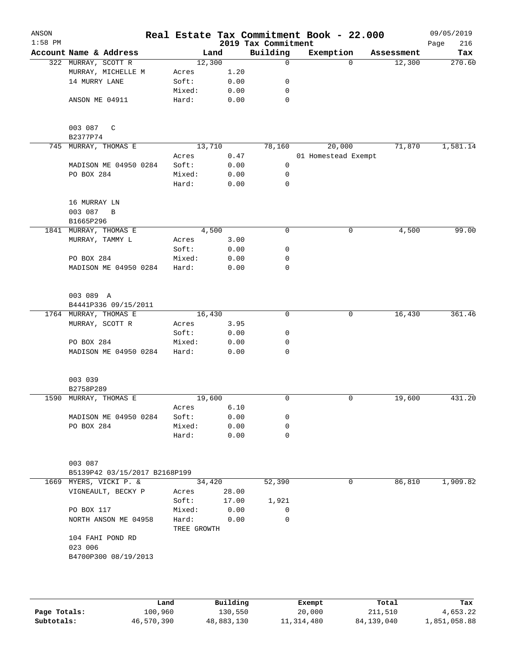|           |                                 |                      |        |              |                                 | Real Estate Tax Commitment Book - 22.000 |            | 09/05/2019         |
|-----------|---------------------------------|----------------------|--------|--------------|---------------------------------|------------------------------------------|------------|--------------------|
| $1:58$ PM | Account Name & Address          |                      | Land   |              | 2019 Tax Commitment<br>Building | Exemption                                | Assessment | 216<br>Page<br>Tax |
|           | 322 MURRAY, SCOTT R             |                      | 12,300 |              | $\mathbf 0$                     | $\Omega$                                 | 12,300     | 270.60             |
|           | MURRAY, MICHELLE M              | Acres                |        | 1.20         |                                 |                                          |            |                    |
|           | 14 MURRY LANE                   | Soft:                |        | 0.00         | 0                               |                                          |            |                    |
|           |                                 | Mixed:               |        | 0.00         | 0                               |                                          |            |                    |
|           | ANSON ME 04911                  | Hard:                |        | 0.00         | $\mathbf 0$                     |                                          |            |                    |
|           | 003 087<br>C                    |                      |        |              |                                 |                                          |            |                    |
|           | B2377P74                        |                      |        |              |                                 |                                          |            |                    |
|           | 745 MURRAY, THOMAS E            |                      | 13,710 |              | 78,160                          | 20,000                                   | 71,870     | 1,581.14           |
|           |                                 | Acres                |        | 0.47         |                                 | 01 Homestead Exempt                      |            |                    |
|           | MADISON ME 04950 0284           | Soft:                |        | 0.00         | 0                               |                                          |            |                    |
|           | PO BOX 284                      | Mixed:<br>Hard:      |        | 0.00<br>0.00 | 0<br>0                          |                                          |            |                    |
|           | 16 MURRAY LN<br>003 087<br>B    |                      |        |              |                                 |                                          |            |                    |
|           | B1665P296                       |                      |        |              |                                 |                                          |            |                    |
|           | 1841 MURRAY, THOMAS E           |                      | 4,500  |              | 0                               | 0                                        | 4,500      | 99.00              |
|           | MURRAY, TAMMY L                 | Acres                |        | 3.00         |                                 |                                          |            |                    |
|           |                                 | Soft:                |        | 0.00         | 0                               |                                          |            |                    |
|           | PO BOX 284                      | Mixed:               |        | 0.00         | 0                               |                                          |            |                    |
|           | MADISON ME 04950 0284           | Hard:                |        | 0.00         | $\mathbf 0$                     |                                          |            |                    |
|           | 003 089 A                       |                      |        |              |                                 |                                          |            |                    |
|           | B4441P336 09/15/2011            |                      |        |              |                                 |                                          |            |                    |
|           | 1764 MURRAY, THOMAS E           |                      | 16,430 |              | 0                               | 0                                        | 16,430     | 361.46             |
|           | MURRAY, SCOTT R                 | Acres                |        | 3.95         |                                 |                                          |            |                    |
|           |                                 | Soft:                |        | 0.00         | 0                               |                                          |            |                    |
|           | PO BOX 284                      | Mixed:               |        | 0.00         | 0                               |                                          |            |                    |
|           | MADISON ME 04950 0284           | Hard:                |        | 0.00         | $\mathbf 0$                     |                                          |            |                    |
|           | 003 039                         |                      |        |              |                                 |                                          |            |                    |
|           | B2758P289                       |                      |        |              |                                 |                                          |            |                    |
|           | 1590 MURRAY, THOMAS E           |                      | 19,600 |              | $\mathbf 0$                     | 0                                        | 19,600     | 431.20             |
|           |                                 | Acres                |        | 6.10         |                                 |                                          |            |                    |
|           | MADISON ME 04950 0284           | Soft:                |        | 0.00         | 0                               |                                          |            |                    |
|           | PO BOX 284                      | Mixed:<br>Hard:      |        | 0.00<br>0.00 | 0<br>0                          |                                          |            |                    |
|           | 003 087                         |                      |        |              |                                 |                                          |            |                    |
|           | B5139P42 03/15/2017 B2168P199   |                      |        |              |                                 |                                          |            |                    |
|           | 1669 MYERS, VICKI P. &          |                      | 34,420 |              | 52,390                          | 0                                        | 86,810     | 1,909.82           |
|           | VIGNEAULT, BECKY P              | Acres                | 28.00  |              |                                 |                                          |            |                    |
|           |                                 | Soft:                | 17.00  |              | 1,921                           |                                          |            |                    |
|           | PO BOX 117                      | Mixed:               |        | 0.00         | 0                               |                                          |            |                    |
|           | NORTH ANSON ME 04958            | Hard:<br>TREE GROWTH |        | 0.00         | 0                               |                                          |            |                    |
|           | 104 FAHI POND RD                |                      |        |              |                                 |                                          |            |                    |
|           | 023 006<br>B4700P300 08/19/2013 |                      |        |              |                                 |                                          |            |                    |

|              | Land       | Building   | Exempt     | Total      | Tax          |
|--------------|------------|------------|------------|------------|--------------|
| Page Totals: | 100,960    | 130,550    | 20,000     | 211,510    | 4,653.22     |
| Subtotals:   | 46,570,390 | 48,883,130 | 11,314,480 | 84,139,040 | 1,851,058.88 |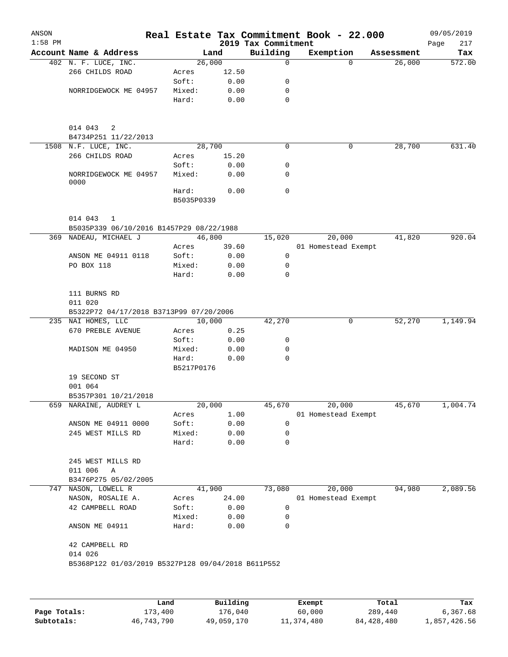| ANSON<br>$1:58$ PM |                                                                    |                 |               | 2019 Tax Commitment | Real Estate Tax Commitment Book - 22.000 |            | 09/05/2019<br>217<br>Page |
|--------------------|--------------------------------------------------------------------|-----------------|---------------|---------------------|------------------------------------------|------------|---------------------------|
|                    | Account Name & Address                                             |                 | Land          | Building            | Exemption                                | Assessment | Tax                       |
|                    | 402 N. F. LUCE, INC.                                               |                 | 26,000        | $\mathbf 0$         | $\Omega$                                 | 26,000     | 572.00                    |
|                    | 266 CHILDS ROAD                                                    | Acres           | 12.50         |                     |                                          |            |                           |
|                    |                                                                    | Soft:           | 0.00          | 0                   |                                          |            |                           |
|                    | NORRIDGEWOCK ME 04957                                              | Mixed:          | 0.00          | 0                   |                                          |            |                           |
|                    |                                                                    | Hard:           | 0.00          | 0                   |                                          |            |                           |
|                    | 014 043<br>2                                                       |                 |               |                     |                                          |            |                           |
|                    | B4734P251 11/22/2013                                               |                 |               | $\Omega$            |                                          |            |                           |
|                    | 1508 N.F. LUCE, INC.                                               |                 | 28,700        |                     | $\mathbf 0$                              | 28,700     | 631.40                    |
|                    | 266 CHILDS ROAD                                                    | Acres<br>Soft:  | 15.20<br>0.00 |                     |                                          |            |                           |
|                    |                                                                    |                 |               | 0                   |                                          |            |                           |
|                    | NORRIDGEWOCK ME 04957<br>0000                                      | Mixed:<br>Hard: | 0.00<br>0.00  | 0<br>$\mathbf 0$    |                                          |            |                           |
|                    |                                                                    | B5035P0339      |               |                     |                                          |            |                           |
|                    | 014 043<br>1<br>B5035P339 06/10/2016 B1457P29 08/22/1988           |                 |               |                     |                                          |            |                           |
| 369                | NADEAU, MICHAEL J                                                  |                 | 46,800        | 15,020              | 20,000                                   | 41,820     | 920.04                    |
|                    |                                                                    | Acres           | 39.60         |                     | 01 Homestead Exempt                      |            |                           |
|                    |                                                                    | Soft:           | 0.00          | 0                   |                                          |            |                           |
|                    | ANSON ME 04911 0118                                                |                 |               | 0                   |                                          |            |                           |
|                    | PO BOX 118                                                         | Mixed:<br>Hard: | 0.00<br>0.00  | 0                   |                                          |            |                           |
|                    | 111 BURNS RD<br>011 020<br>B5322P72 04/17/2018 B3713P99 07/20/2006 |                 |               |                     |                                          |            |                           |
|                    | 235 NAI HOMES, LLC                                                 |                 | 10,000        | 42,270              | 0                                        | 52,270     | 1,149.94                  |
|                    | 670 PREBLE AVENUE                                                  | Acres           | 0.25          |                     |                                          |            |                           |
|                    |                                                                    | Soft:           | 0.00          | 0                   |                                          |            |                           |
|                    | MADISON ME 04950                                                   | Mixed:          | 0.00          | 0                   |                                          |            |                           |
|                    |                                                                    | Hard:           | 0.00          | $\mathbf 0$         |                                          |            |                           |
|                    | 19 SECOND ST                                                       | B5217P0176      |               |                     |                                          |            |                           |
|                    | 001 064                                                            |                 |               |                     |                                          |            |                           |
|                    | B5357P301 10/21/2018                                               |                 |               |                     |                                          |            |                           |
|                    | 659 NARAINE, AUDREY L                                              |                 | 20,000        | 45,670              | 20,000                                   | 45,670     | 1,004.74                  |
|                    |                                                                    | Acres           | 1.00          |                     | 01 Homestead Exempt                      |            |                           |
|                    | ANSON ME 04911 0000                                                | Soft:           | 0.00          | 0                   |                                          |            |                           |
|                    |                                                                    |                 |               |                     |                                          |            |                           |
|                    | 245 WEST MILLS RD                                                  | Mixed:          | 0.00          | 0                   |                                          |            |                           |
|                    |                                                                    | Hard:           | 0.00          | 0                   |                                          |            |                           |
|                    | 245 WEST MILLS RD                                                  |                 |               |                     |                                          |            |                           |
|                    | 011 006<br>Α                                                       |                 |               |                     |                                          |            |                           |
|                    | B3476P275 05/02/2005                                               |                 |               |                     |                                          |            |                           |
|                    | 747 NASON, LOWELL R                                                |                 | 41,900        | 73,080              | 20,000                                   | 94,980     | 2,089.56                  |
|                    | NASON, ROSALIE A.                                                  | Acres           | 24.00         |                     | 01 Homestead Exempt                      |            |                           |
|                    | 42 CAMPBELL ROAD                                                   | Soft:           | 0.00          | 0                   |                                          |            |                           |
|                    |                                                                    | Mixed:          | 0.00          | 0                   |                                          |            |                           |
|                    | ANSON ME 04911                                                     | Hard:           | 0.00          | 0                   |                                          |            |                           |
|                    | 42 CAMPBELL RD<br>014 026                                          |                 |               |                     |                                          |            |                           |
|                    |                                                                    |                 |               |                     |                                          |            |                           |

|              | Land       | Building   | Exempt     | Total      | Tax          |
|--------------|------------|------------|------------|------------|--------------|
| Page Totals: | 173,400    | 176,040    | 60,000     | 289,440    | 6,367.68     |
| Subtotals:   | 46,743,790 | 49,059,170 | 11,374,480 | 84,428,480 | 1,857,426.56 |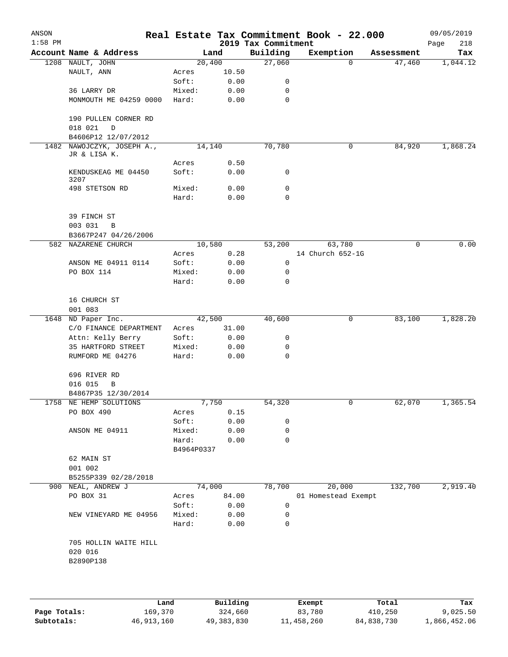| ANSON<br>$1:58$ PM |                        |            |        | 2019 Tax Commitment | Real Estate Tax Commitment Book - 22.000 |            | 09/05/2019<br>218<br>Page |
|--------------------|------------------------|------------|--------|---------------------|------------------------------------------|------------|---------------------------|
|                    | Account Name & Address |            | Land   | Building            | Exemption                                | Assessment | Tax                       |
|                    | 1208 NAULT, JOHN       |            | 20,400 | 27,060              | $\Omega$                                 | 47,460     | 1,044.12                  |
|                    | NAULT, ANN             | Acres      | 10.50  |                     |                                          |            |                           |
|                    |                        | Soft:      | 0.00   | 0                   |                                          |            |                           |
|                    | 36 LARRY DR            | Mixed:     | 0.00   | 0                   |                                          |            |                           |
|                    | MONMOUTH ME 04259 0000 | Hard:      | 0.00   | $\mathbf 0$         |                                          |            |                           |
|                    |                        |            |        |                     |                                          |            |                           |
|                    | 190 PULLEN CORNER RD   |            |        |                     |                                          |            |                           |
|                    | 018 021<br>D           |            |        |                     |                                          |            |                           |
|                    | B4606P12 12/07/2012    |            |        |                     |                                          |            |                           |
| 1482               | NAWOJCZYK, JOSEPH A.,  |            | 14,140 | 70,780              | 0                                        | 84,920     | 1,868.24                  |
|                    | JR & LISA K.           |            |        |                     |                                          |            |                           |
|                    |                        | Acres      | 0.50   |                     |                                          |            |                           |
|                    | KENDUSKEAG ME 04450    | Soft:      | 0.00   | 0                   |                                          |            |                           |
|                    | 3207                   |            |        |                     |                                          |            |                           |
|                    | 498 STETSON RD         | Mixed:     | 0.00   | $\mathbf 0$         |                                          |            |                           |
|                    |                        | Hard:      | 0.00   | $\Omega$            |                                          |            |                           |
|                    |                        |            |        |                     |                                          |            |                           |
|                    | 39 FINCH ST            |            |        |                     |                                          |            |                           |
|                    | 003 031<br>B           |            |        |                     |                                          |            |                           |
|                    | B3667P247 04/26/2006   |            |        |                     |                                          |            |                           |
|                    | 582 NAZARENE CHURCH    |            | 10,580 | 53,200              | 63,780                                   | $\Omega$   | 0.00                      |
|                    |                        | Acres      | 0.28   |                     | 14 Church 652-1G                         |            |                           |
|                    | ANSON ME 04911 0114    | Soft:      | 0.00   | $\mathbf 0$         |                                          |            |                           |
|                    | PO BOX 114             | Mixed:     | 0.00   | 0                   |                                          |            |                           |
|                    |                        | Hard:      | 0.00   | 0                   |                                          |            |                           |
|                    |                        |            |        |                     |                                          |            |                           |
|                    | 16 CHURCH ST           |            |        |                     |                                          |            |                           |
|                    | 001 083                |            |        |                     |                                          |            |                           |
|                    | 1648 ND Paper Inc.     |            | 42,500 | 40,600              | 0                                        | 83,100     | 1,828.20                  |
|                    | C/O FINANCE DEPARTMENT | Acres      | 31.00  |                     |                                          |            |                           |
|                    | Attn: Kelly Berry      | Soft:      | 0.00   | 0                   |                                          |            |                           |
|                    | 35 HARTFORD STREET     | Mixed:     | 0.00   | $\mathbf 0$         |                                          |            |                           |
|                    | RUMFORD ME 04276       | Hard:      | 0.00   | 0                   |                                          |            |                           |
|                    |                        |            |        |                     |                                          |            |                           |
|                    | 696 RIVER RD           |            |        |                     |                                          |            |                           |
|                    | 016 015<br>В           |            |        |                     |                                          |            |                           |
|                    | B4867P35 12/30/2014    |            |        |                     |                                          |            |                           |
|                    | 1758 NE HEMP SOLUTIONS |            | 7,750  | 54,320              | U                                        | 62,070     | 1,365.54                  |
|                    | PO BOX 490             | Acres      | 0.15   |                     |                                          |            |                           |
|                    |                        | Soft:      | 0.00   | 0                   |                                          |            |                           |
|                    | ANSON ME 04911         | Mixed:     | 0.00   | 0                   |                                          |            |                           |
|                    |                        | Hard:      | 0.00   | 0                   |                                          |            |                           |
|                    |                        | B4964P0337 |        |                     |                                          |            |                           |
|                    | 62 MAIN ST             |            |        |                     |                                          |            |                           |
|                    | 001 002                |            |        |                     |                                          |            |                           |
|                    | B5255P339 02/28/2018   |            |        |                     |                                          |            |                           |
|                    | 900 NEAL, ANDREW J     |            | 74,000 | 78,700              | 20,000                                   | 132,700    | 2,919.40                  |
|                    | PO BOX 31              | Acres      | 84.00  |                     | 01 Homestead Exempt                      |            |                           |
|                    |                        | Soft:      | 0.00   | 0                   |                                          |            |                           |
|                    | NEW VINEYARD ME 04956  | Mixed:     | 0.00   | 0                   |                                          |            |                           |
|                    |                        | Hard:      | 0.00   | 0                   |                                          |            |                           |
|                    |                        |            |        |                     |                                          |            |                           |
|                    | 705 HOLLIN WAITE HILL  |            |        |                     |                                          |            |                           |
|                    | 020 016                |            |        |                     |                                          |            |                           |
|                    | B2890P138              |            |        |                     |                                          |            |                           |
|                    |                        |            |        |                     |                                          |            |                           |
|                    |                        |            |        |                     |                                          |            |                           |
|                    |                        |            |        |                     |                                          |            |                           |

|              | Land       | Building   | Exempt     | Total      | Tax          |
|--------------|------------|------------|------------|------------|--------------|
| Page Totals: | 169,370    | 324,660    | 83,780     | 410,250    | 9,025.50     |
| Subtotals:   | 46,913,160 | 49,383,830 | 11,458,260 | 84,838,730 | 1,866,452.06 |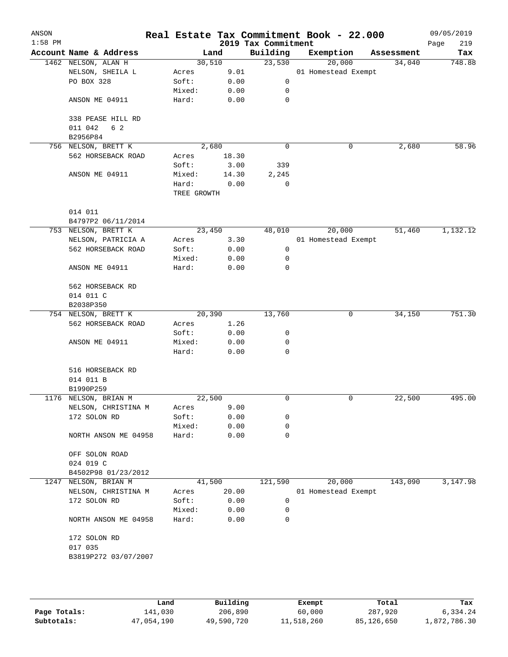| ANSON<br>$1:58$ PM |                                                 |             |        | Real Estate Tax Commitment Book - 22.000<br>2019 Tax Commitment |                     |   |            | 09/05/2019<br>Page<br>219 |
|--------------------|-------------------------------------------------|-------------|--------|-----------------------------------------------------------------|---------------------|---|------------|---------------------------|
|                    | Account Name & Address                          |             | Land   | Building                                                        | Exemption           |   | Assessment | Tax                       |
|                    | 1462 NELSON, ALAN H                             | 30,510      |        | 23,530                                                          | 20,000              |   | 34,040     | 748.88                    |
|                    | NELSON, SHEILA L                                | Acres       | 9.01   |                                                                 | 01 Homestead Exempt |   |            |                           |
|                    | PO BOX 328                                      | Soft:       | 0.00   | 0                                                               |                     |   |            |                           |
|                    |                                                 | Mixed:      | 0.00   | 0                                                               |                     |   |            |                           |
|                    | ANSON ME 04911                                  | Hard:       | 0.00   | 0                                                               |                     |   |            |                           |
|                    | 338 PEASE HILL RD<br>011 042<br>6 2<br>B2956P84 |             |        |                                                                 |                     |   |            |                           |
|                    | 756 NELSON, BRETT K                             |             | 2,680  | 0                                                               |                     | 0 | 2,680      | 58.96                     |
|                    | 562 HORSEBACK ROAD                              | Acres       | 18.30  |                                                                 |                     |   |            |                           |
|                    |                                                 | Soft:       | 3.00   | 339                                                             |                     |   |            |                           |
|                    | ANSON ME 04911                                  | Mixed:      | 14.30  | 2,245                                                           |                     |   |            |                           |
|                    |                                                 | Hard:       | 0.00   | 0                                                               |                     |   |            |                           |
|                    |                                                 | TREE GROWTH |        |                                                                 |                     |   |            |                           |
|                    | 014 011                                         |             |        |                                                                 |                     |   |            |                           |
|                    | B4797P2 06/11/2014                              |             |        |                                                                 |                     |   |            |                           |
|                    | 753 NELSON, BRETT K                             | 23,450      |        | 48,010                                                          | 20,000              |   | 51,460     | 1,132.12                  |
|                    | NELSON, PATRICIA A                              | Acres       | 3.30   |                                                                 | 01 Homestead Exempt |   |            |                           |
|                    | 562 HORSEBACK ROAD                              | Soft:       | 0.00   | 0                                                               |                     |   |            |                           |
|                    |                                                 | Mixed:      | 0.00   | 0                                                               |                     |   |            |                           |
|                    | ANSON ME 04911                                  | Hard:       | 0.00   | 0                                                               |                     |   |            |                           |
|                    | 562 HORSEBACK RD<br>014 011 C                   |             |        |                                                                 |                     |   |            |                           |
|                    | B2038P350                                       |             |        |                                                                 |                     |   |            |                           |
|                    | 754 NELSON, BRETT K                             |             | 20,390 | 13,760                                                          |                     | 0 | 34,150     | 751.30                    |
|                    | 562 HORSEBACK ROAD                              | Acres       | 1.26   |                                                                 |                     |   |            |                           |
|                    |                                                 | Soft:       | 0.00   | 0                                                               |                     |   |            |                           |
|                    | ANSON ME 04911                                  | Mixed:      | 0.00   | 0                                                               |                     |   |            |                           |
|                    |                                                 | Hard:       | 0.00   | 0                                                               |                     |   |            |                           |
|                    | 516 HORSEBACK RD                                |             |        |                                                                 |                     |   |            |                           |
|                    | 014 011 B                                       |             |        |                                                                 |                     |   |            |                           |
|                    | B1990P259                                       |             |        |                                                                 |                     |   |            |                           |
|                    | 1176 NELSON, BRIAN M                            | 22,500      |        | 0                                                               |                     | 0 | 22,500     | 495.00                    |
|                    | NELSON, CHRISTINA M                             | Acres       | 9.00   |                                                                 |                     |   |            |                           |
|                    | 172 SOLON RD                                    | Soft:       | 0.00   | 0                                                               |                     |   |            |                           |
|                    |                                                 | Mixed:      | 0.00   | 0                                                               |                     |   |            |                           |
|                    | NORTH ANSON ME 04958                            | Hard:       | 0.00   | 0                                                               |                     |   |            |                           |
|                    | OFF SOLON ROAD                                  |             |        |                                                                 |                     |   |            |                           |
|                    | 024 019 C                                       |             |        |                                                                 |                     |   |            |                           |
|                    | B4502P98 01/23/2012                             |             |        |                                                                 |                     |   |            |                           |
| 1247               | NELSON, BRIAN M                                 | 41,500      |        | 121,590                                                         | 20,000              |   | 143,090    | 3,147.98                  |
|                    | NELSON, CHRISTINA M                             | Acres       | 20.00  |                                                                 | 01 Homestead Exempt |   |            |                           |
|                    | 172 SOLON RD                                    | Soft:       | 0.00   | 0                                                               |                     |   |            |                           |
|                    |                                                 | Mixed:      | 0.00   | 0                                                               |                     |   |            |                           |
|                    | NORTH ANSON ME 04958                            | Hard:       | 0.00   | 0                                                               |                     |   |            |                           |
|                    | 172 SOLON RD                                    |             |        |                                                                 |                     |   |            |                           |
|                    | 017 035                                         |             |        |                                                                 |                     |   |            |                           |
|                    | B3819P272 03/07/2007                            |             |        |                                                                 |                     |   |            |                           |
|                    |                                                 |             |        |                                                                 |                     |   |            |                           |
|                    |                                                 |             |        |                                                                 |                     |   |            |                           |

|              | Land       | Building   | Exempt     | Total      | Tax          |
|--------------|------------|------------|------------|------------|--------------|
| Page Totals: | 141,030    | 206,890    | 60,000     | 287,920    | 6,334.24     |
| Subtotals:   | 47,054,190 | 49,590,720 | 11,518,260 | 85,126,650 | 1,872,786.30 |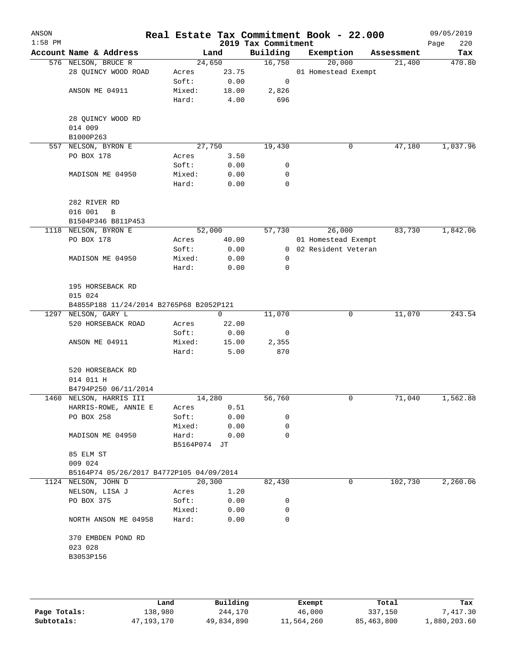| ANSON<br>$1:58$ PM |                                          |              |             | 2019 Tax Commitment | Real Estate Tax Commitment Book - 22.000 |            | 09/05/2019<br>220<br>Page |
|--------------------|------------------------------------------|--------------|-------------|---------------------|------------------------------------------|------------|---------------------------|
|                    | Account Name & Address                   |              | Land        | Building            | Exemption                                | Assessment | Tax                       |
|                    | 576 NELSON, BRUCE R                      |              | 24,650      | 16,750              | 20,000                                   | 21,400     | 470.80                    |
|                    | 28 QUINCY WOOD ROAD                      | Acres        | 23.75       |                     | 01 Homestead Exempt                      |            |                           |
|                    |                                          | Soft:        | 0.00        | 0                   |                                          |            |                           |
|                    | ANSON ME 04911                           | Mixed:       | 18.00       | 2,826               |                                          |            |                           |
|                    |                                          | Hard:        | 4.00        | 696                 |                                          |            |                           |
|                    | 28 QUINCY WOOD RD                        |              |             |                     |                                          |            |                           |
|                    | 014 009                                  |              |             |                     |                                          |            |                           |
| 557                | B1000P263<br>NELSON, BYRON E             |              | 27,750      | 19,430              | 0                                        | 47,180     | 1,037.96                  |
|                    | PO BOX 178                               | Acres        | 3.50        |                     |                                          |            |                           |
|                    |                                          | Soft:        | 0.00        |                     |                                          |            |                           |
|                    |                                          |              |             | 0                   |                                          |            |                           |
|                    | MADISON ME 04950                         | Mixed:       | 0.00        | 0                   |                                          |            |                           |
|                    |                                          | Hard:        | 0.00        | 0                   |                                          |            |                           |
|                    | 282 RIVER RD                             |              |             |                     |                                          |            |                           |
|                    | 016 001<br>B                             |              |             |                     |                                          |            |                           |
|                    | B1504P346 B811P453                       |              |             |                     |                                          |            |                           |
|                    | 1118 NELSON, BYRON E                     |              | 52,000      | 57,730              | 26,000                                   | 83,730     | 1,842.06                  |
|                    | PO BOX 178                               | Acres        | 40.00       |                     | 01 Homestead Exempt                      |            |                           |
|                    |                                          | Soft:        | 0.00        |                     | 0 02 Resident Veteran                    |            |                           |
|                    | MADISON ME 04950                         | Mixed:       | 0.00        | 0                   |                                          |            |                           |
|                    |                                          | Hard:        | 0.00        | $\mathbf 0$         |                                          |            |                           |
|                    | 195 HORSEBACK RD                         |              |             |                     |                                          |            |                           |
|                    | 015 024                                  |              |             |                     |                                          |            |                           |
|                    |                                          |              |             |                     |                                          |            |                           |
|                    | B4855P188 11/24/2014 B2765P68 B2052P121  |              |             |                     |                                          |            |                           |
| 1297               | NELSON, GARY L                           |              | $\mathbf 0$ | 11,070              | 0                                        | 11,070     | 243.54                    |
|                    | 520 HORSEBACK ROAD                       | Acres        | 22.00       |                     |                                          |            |                           |
|                    |                                          | Soft:        | 0.00        | 0                   |                                          |            |                           |
|                    | ANSON ME 04911                           | Mixed:       | 15.00       | 2,355               |                                          |            |                           |
|                    |                                          | Hard:        | 5.00        | 870                 |                                          |            |                           |
|                    | 520 HORSEBACK RD                         |              |             |                     |                                          |            |                           |
|                    | 014 011 H                                |              |             |                     |                                          |            |                           |
|                    | B4794P250 06/11/2014                     |              |             |                     |                                          |            |                           |
|                    | 1460 NELSON, HARRIS III                  |              | 14,280      | 56,760              | 0                                        | 71,040     | 1,562.88                  |
|                    | HARRIS-ROWE, ANNIE E                     | Acres        | 0.51        |                     |                                          |            |                           |
|                    | PO BOX 258                               | Soft:        | 0.00        | 0                   |                                          |            |                           |
|                    |                                          | Mixed:       | 0.00        | 0                   |                                          |            |                           |
|                    | MADISON ME 04950                         | Hard:        | 0.00        | 0                   |                                          |            |                           |
|                    |                                          | B5164P074 JT |             |                     |                                          |            |                           |
|                    | 85 ELM ST                                |              |             |                     |                                          |            |                           |
|                    | 009 024                                  |              |             |                     |                                          |            |                           |
|                    | B5164P74 05/26/2017 B4772P105 04/09/2014 |              |             |                     |                                          |            |                           |
|                    | 1124 NELSON, JOHN D                      |              | 20,300      | 82,430              | 0                                        | 102,730    | 2,260.06                  |
|                    | NELSON, LISA J                           | Acres        | 1.20        |                     |                                          |            |                           |
|                    | PO BOX 375                               | Soft:        | 0.00        | 0                   |                                          |            |                           |
|                    |                                          | Mixed:       | 0.00        | 0                   |                                          |            |                           |
|                    | NORTH ANSON ME 04958                     | Hard:        | 0.00        | $\mathbf 0$         |                                          |            |                           |
|                    |                                          |              |             |                     |                                          |            |                           |
|                    | 370 EMBDEN POND RD                       |              |             |                     |                                          |            |                           |
|                    | 023 028                                  |              |             |                     |                                          |            |                           |
|                    | B3053P156                                |              |             |                     |                                          |            |                           |
|                    |                                          |              |             |                     |                                          |            |                           |
|                    |                                          |              |             |                     |                                          |            |                           |
|                    |                                          |              |             |                     |                                          |            |                           |

|              | Land       | Building   | Exempt     | Total      | Tax          |
|--------------|------------|------------|------------|------------|--------------|
| Page Totals: | 138,980    | 244,170    | 46,000     | 337,150    | 7,417.30     |
| Subtotals:   | 47,193,170 | 49,834,890 | 11,564,260 | 85,463,800 | 1,880,203.60 |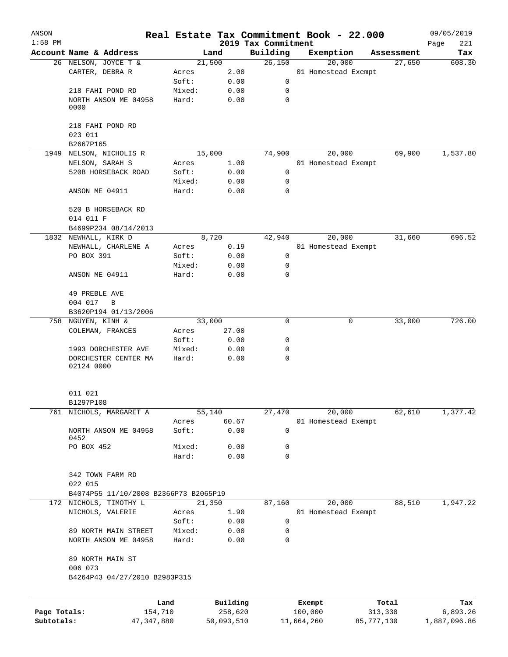| ANSON<br>$1:58$ PM |                                       |                |                     |                                 | Real Estate Tax Commitment Book - 22.000 |                  | 09/05/2019         |
|--------------------|---------------------------------------|----------------|---------------------|---------------------------------|------------------------------------------|------------------|--------------------|
|                    | Account Name & Address                |                | Land                | 2019 Tax Commitment<br>Building | Exemption                                | Assessment       | Page<br>221<br>Tax |
|                    | 26 NELSON, JOYCE T &                  |                | 21,500              | 26,150                          | 20,000                                   | 27,650           | 608.30             |
|                    | CARTER, DEBRA R                       | Acres          | 2.00                |                                 | 01 Homestead Exempt                      |                  |                    |
|                    |                                       | Soft:          | 0.00                | 0                               |                                          |                  |                    |
|                    | 218 FAHI POND RD                      | Mixed:         | 0.00                | 0                               |                                          |                  |                    |
|                    | NORTH ANSON ME 04958<br>0000          | Hard:          | 0.00                | 0                               |                                          |                  |                    |
|                    | 218 FAHI POND RD<br>023 011           |                |                     |                                 |                                          |                  |                    |
|                    | B2667P165                             |                |                     |                                 |                                          |                  |                    |
|                    | 1949 NELSON, NICHOLIS R               |                | 15,000              | 74,900                          | 20,000                                   | 69,900           | 1,537.80           |
|                    | NELSON, SARAH S                       | Acres          | 1.00                |                                 | 01 Homestead Exempt                      |                  |                    |
|                    | 520B HORSEBACK ROAD                   | Soft:          | 0.00                | 0                               |                                          |                  |                    |
|                    |                                       | Mixed:         | 0.00                | 0                               |                                          |                  |                    |
|                    | ANSON ME 04911                        | Hard:          | 0.00                | 0                               |                                          |                  |                    |
|                    | 520 B HORSEBACK RD<br>014 011 F       |                |                     |                                 |                                          |                  |                    |
|                    | B4699P234 08/14/2013                  |                |                     |                                 |                                          |                  |                    |
|                    | 1832 NEWHALL, KIRK D                  |                | 8,720               | 42,940                          | 20,000                                   | 31,660           | 696.52             |
|                    | NEWHALL, CHARLENE A                   | Acres          | 0.19                |                                 | 01 Homestead Exempt                      |                  |                    |
|                    | PO BOX 391                            | Soft:          | 0.00                | 0                               |                                          |                  |                    |
|                    |                                       | Mixed:         | 0.00                | 0                               |                                          |                  |                    |
|                    | ANSON ME 04911                        | Hard:          | 0.00                | 0                               |                                          |                  |                    |
|                    | 49 PREBLE AVE                         |                |                     |                                 |                                          |                  |                    |
|                    | 004 017<br>$\mathbf B$                |                |                     |                                 |                                          |                  |                    |
|                    | B3620P194 01/13/2006                  |                |                     |                                 |                                          |                  |                    |
|                    | 758 NGUYEN, KINH &                    |                | 33,000              | 0                               | 0                                        | 33,000           | 726.00             |
|                    | COLEMAN, FRANCES                      | Acres          | 27.00               |                                 |                                          |                  |                    |
|                    |                                       | Soft:          | 0.00                | 0                               |                                          |                  |                    |
|                    | 1993 DORCHESTER AVE                   | Mixed:         | 0.00                | 0                               |                                          |                  |                    |
|                    | DORCHESTER CENTER MA<br>02124 0000    | Hard:          | 0.00                | 0                               |                                          |                  |                    |
|                    | 011 021                               |                |                     |                                 |                                          |                  |                    |
|                    | B1297P108                             |                |                     |                                 |                                          |                  |                    |
| 761                | NICHOLS, MARGARET A                   |                | 55,140              | 27,470                          | 20,000                                   | 62,610           | 1,377.42           |
|                    | NORTH ANSON ME 04958                  | Acres<br>Soft: | 60.67<br>0.00       | $\mathbf 0$                     | 01 Homestead Exempt                      |                  |                    |
|                    | 0452<br>PO BOX 452                    | Mixed:         | 0.00                | 0                               |                                          |                  |                    |
|                    |                                       | Hard:          | 0.00                | 0                               |                                          |                  |                    |
|                    | 342 TOWN FARM RD<br>022 015           |                |                     |                                 |                                          |                  |                    |
|                    | B4074P55 11/10/2008 B2366P73 B2065P19 |                |                     |                                 |                                          |                  |                    |
|                    | 172 NICHOLS, TIMOTHY L                |                | 21,350              | 87,160                          | 20,000                                   | 88,510           | 1,947.22           |
|                    | NICHOLS, VALERIE                      | Acres          | 1.90                |                                 | 01 Homestead Exempt                      |                  |                    |
|                    |                                       | Soft:          | 0.00                | 0                               |                                          |                  |                    |
|                    | 89 NORTH MAIN STREET                  | Mixed:         | 0.00                | 0                               |                                          |                  |                    |
|                    | NORTH ANSON ME 04958                  | Hard:          | 0.00                | 0                               |                                          |                  |                    |
|                    | 89 NORTH MAIN ST<br>006 073           |                |                     |                                 |                                          |                  |                    |
|                    | B4264P43 04/27/2010 B2983P315         |                |                     |                                 |                                          |                  |                    |
|                    |                                       |                |                     |                                 |                                          |                  |                    |
| Page Totals:       | 154,710                               | Land           | Building<br>258,620 |                                 | Exempt<br>100,000                        | Total<br>313,330 | Tax<br>6,893.26    |
| Subtotals:         | 47, 347, 880                          |                | 50,093,510          |                                 | 11,664,260                               | 85,777,130       | 1,887,096.86       |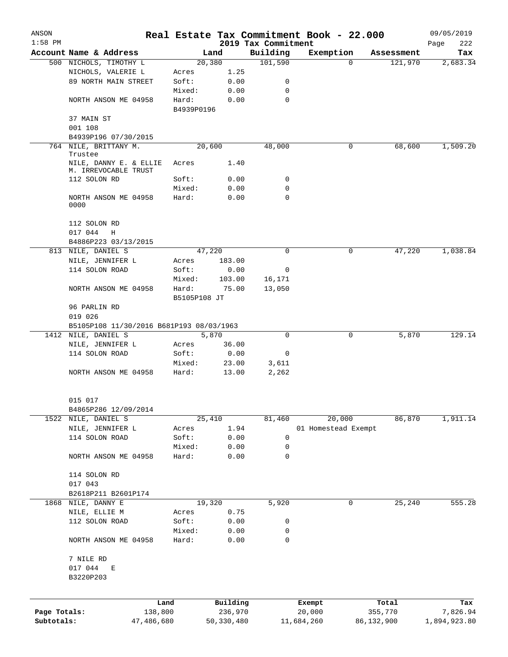| ANSON        |                                                  |            |              |                |                     | Real Estate Tax Commitment Book - 22.000 |            |                       | 09/05/2019      |
|--------------|--------------------------------------------------|------------|--------------|----------------|---------------------|------------------------------------------|------------|-----------------------|-----------------|
| $1:58$ PM    |                                                  |            |              |                | 2019 Tax Commitment |                                          |            |                       | 222<br>Page     |
|              | Account Name & Address<br>500 NICHOLS, TIMOTHY L |            |              | Land<br>20,380 | Building<br>101,590 | Exemption                                | $\Omega$   | Assessment<br>121,970 | Tax<br>2,683.34 |
|              | NICHOLS, VALERIE L                               |            | Acres        | 1.25           |                     |                                          |            |                       |                 |
|              | 89 NORTH MAIN STREET                             |            | Soft:        | 0.00           | 0                   |                                          |            |                       |                 |
|              |                                                  |            | Mixed:       | 0.00           | 0                   |                                          |            |                       |                 |
|              | NORTH ANSON ME 04958                             |            | Hard:        | 0.00           | 0                   |                                          |            |                       |                 |
|              |                                                  |            | B4939P0196   |                |                     |                                          |            |                       |                 |
|              | 37 MAIN ST                                       |            |              |                |                     |                                          |            |                       |                 |
|              | 001 108                                          |            |              |                |                     |                                          |            |                       |                 |
|              | B4939P196 07/30/2015                             |            |              |                |                     |                                          |            |                       |                 |
|              | 764 NILE, BRITTANY M.                            |            |              | 20,600         | 48,000              |                                          | 0          | 68,600                | 1,509.20        |
|              | Trustee                                          |            |              |                |                     |                                          |            |                       |                 |
|              | NILE, DANNY E. & ELLIE                           |            | Acres        | 1.40           |                     |                                          |            |                       |                 |
|              | M. IRREVOCABLE TRUST                             |            |              |                |                     |                                          |            |                       |                 |
|              | 112 SOLON RD                                     |            | Soft:        | 0.00           | 0                   |                                          |            |                       |                 |
|              |                                                  |            | Mixed:       | 0.00           | 0                   |                                          |            |                       |                 |
|              | NORTH ANSON ME 04958<br>0000                     |            | Hard:        | 0.00           | $\Omega$            |                                          |            |                       |                 |
|              | 112 SOLON RD                                     |            |              |                |                     |                                          |            |                       |                 |
|              | 017 044<br>Η                                     |            |              |                |                     |                                          |            |                       |                 |
|              | B4886P223 03/13/2015                             |            |              |                |                     |                                          |            |                       |                 |
|              | 813 NILE, DANIEL S                               |            |              | 47,220         | 0                   |                                          | 0          | 47,220                | 1,038.84        |
|              | NILE, JENNIFER L                                 |            | Acres        | 183.00         |                     |                                          |            |                       |                 |
|              | 114 SOLON ROAD                                   |            | Soft:        | 0.00           | 0                   |                                          |            |                       |                 |
|              |                                                  |            | Mixed:       | 103.00         | 16,171              |                                          |            |                       |                 |
|              | NORTH ANSON ME 04958                             |            | Hard:        | 75.00          | 13,050              |                                          |            |                       |                 |
|              |                                                  |            | B5105P108 JT |                |                     |                                          |            |                       |                 |
|              | 96 PARLIN RD                                     |            |              |                |                     |                                          |            |                       |                 |
|              | 019 026                                          |            |              |                |                     |                                          |            |                       |                 |
|              | B5105P108 11/30/2016 B681P193 08/03/1963         |            |              |                |                     |                                          |            |                       |                 |
|              | 1412 NILE, DANIEL S                              |            |              | 5,870          | $\Omega$            |                                          | 0          | 5,870                 | 129.14          |
|              | NILE, JENNIFER L                                 |            | Acres        | 36.00          |                     |                                          |            |                       |                 |
|              | 114 SOLON ROAD                                   |            | Soft:        | 0.00           | 0                   |                                          |            |                       |                 |
|              |                                                  |            | Mixed:       | 23.00          | 3,611               |                                          |            |                       |                 |
|              | NORTH ANSON ME 04958                             |            | Hard:        | 13.00          | 2,262               |                                          |            |                       |                 |
|              | 015 017                                          |            |              |                |                     |                                          |            |                       |                 |
|              | B4865P286 12/09/2014                             |            |              |                |                     |                                          |            |                       |                 |
|              | 1522 NILE, DANIEL S                              |            |              | 25,410         | 81,460              | 20,000                                   |            | 86,870                | 1,911.14        |
|              | NILE, JENNIFER L                                 |            | Acres        | 1.94           |                     | 01 Homestead Exempt                      |            |                       |                 |
|              | 114 SOLON ROAD                                   |            | Soft:        | 0.00           | 0                   |                                          |            |                       |                 |
|              |                                                  |            | Mixed:       | 0.00           | 0                   |                                          |            |                       |                 |
|              | NORTH ANSON ME 04958                             |            | Hard:        | 0.00           | 0                   |                                          |            |                       |                 |
|              | 114 SOLON RD                                     |            |              |                |                     |                                          |            |                       |                 |
|              | 017 043                                          |            |              |                |                     |                                          |            |                       |                 |
|              | B2618P211 B2601P174                              |            |              |                |                     |                                          |            |                       |                 |
|              | 1868 NILE, DANNY E                               |            |              | 19,320         | 5,920               |                                          | 0          | 25,240                | 555.28          |
|              | NILE, ELLIE M                                    |            | Acres        | 0.75           |                     |                                          |            |                       |                 |
|              | 112 SOLON ROAD                                   |            | Soft:        | 0.00           | 0                   |                                          |            |                       |                 |
|              |                                                  |            | Mixed:       | 0.00           | 0                   |                                          |            |                       |                 |
|              | NORTH ANSON ME 04958                             |            | Hard:        | 0.00           | 0                   |                                          |            |                       |                 |
|              | 7 NILE RD                                        |            |              |                |                     |                                          |            |                       |                 |
|              | 017 044<br>Е                                     |            |              |                |                     |                                          |            |                       |                 |
|              | B3220P203                                        |            |              |                |                     |                                          |            |                       |                 |
|              |                                                  | Land       |              | Building       |                     | Exempt                                   | Total      |                       | Tax             |
| Page Totals: |                                                  | 138,800    |              | 236,970        |                     | 20,000                                   | 355,770    |                       | 7,826.94        |
| Subtotals:   |                                                  | 47,486,680 |              | 50,330,480     |                     | 11,684,260                               | 86,132,900 |                       | 1,894,923.80    |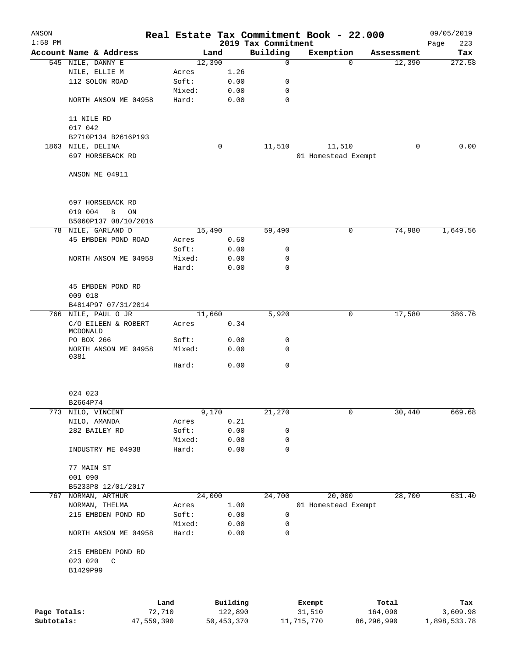| ANSON<br>$1:58$ PM |                                    |            |                 |              |              | 2019 Tax Commitment | Real Estate Tax Commitment Book - 22.000 |          |            | 09/05/2019<br>223<br>Page |
|--------------------|------------------------------------|------------|-----------------|--------------|--------------|---------------------|------------------------------------------|----------|------------|---------------------------|
|                    | Account Name & Address             |            |                 | Land         |              | Building            | Exemption                                |          | Assessment | Tax                       |
|                    | 545 NILE, DANNY E                  |            |                 | 12,390       |              | $\mathbf 0$         |                                          | $\Omega$ | 12,390     | 272.58                    |
|                    | NILE, ELLIE M                      |            | Acres           |              | 1.26         |                     |                                          |          |            |                           |
|                    | 112 SOLON ROAD                     |            | Soft:           |              | 0.00         | 0                   |                                          |          |            |                           |
|                    |                                    |            | Mixed:          |              | 0.00         | 0                   |                                          |          |            |                           |
|                    | NORTH ANSON ME 04958               |            | Hard:           |              | 0.00         | 0                   |                                          |          |            |                           |
|                    | 11 NILE RD                         |            |                 |              |              |                     |                                          |          |            |                           |
|                    | 017 042                            |            |                 |              |              |                     |                                          |          |            |                           |
|                    | B2710P134 B2616P193                |            |                 |              |              |                     |                                          |          |            |                           |
|                    | 1863 NILE, DELINA                  |            |                 | 0            |              | 11,510              | 11,510                                   |          | 0          | 0.00                      |
|                    | 697 HORSEBACK RD                   |            |                 |              |              |                     | 01 Homestead Exempt                      |          |            |                           |
|                    | ANSON ME 04911                     |            |                 |              |              |                     |                                          |          |            |                           |
|                    | 697 HORSEBACK RD                   |            |                 |              |              |                     |                                          |          |            |                           |
|                    | 019 004<br>B<br>ON                 |            |                 |              |              |                     |                                          |          |            |                           |
|                    | B5060P137 08/10/2016               |            |                 |              |              |                     |                                          |          |            |                           |
|                    | 78 NILE, GARLAND D                 |            |                 | 15,490       |              | 59,490              |                                          | 0        | 74,980     | 1,649.56                  |
|                    | 45 EMBDEN POND ROAD                |            | Acres           |              | 0.60         |                     |                                          |          |            |                           |
|                    |                                    |            | Soft:           |              | 0.00         | 0                   |                                          |          |            |                           |
|                    | NORTH ANSON ME 04958               |            | Mixed:          |              | 0.00         | 0                   |                                          |          |            |                           |
|                    |                                    |            | Hard:           |              | 0.00         | 0                   |                                          |          |            |                           |
|                    | 45 EMBDEN POND RD<br>009 018       |            |                 |              |              |                     |                                          |          |            |                           |
|                    | B4814P97 07/31/2014                |            |                 |              |              |                     |                                          |          |            |                           |
|                    | 766 NILE, PAUL O JR                |            |                 | 11,660       |              | 5,920               |                                          | 0        | 17,580     | 386.76                    |
|                    | C/O EILEEN & ROBERT<br>MCDONALD    |            | Acres           |              | 0.34         |                     |                                          |          |            |                           |
|                    | PO BOX 266                         |            | Soft:           |              | 0.00         | 0                   |                                          |          |            |                           |
|                    | NORTH ANSON ME 04958<br>0381       |            | Mixed:          |              | 0.00         | 0                   |                                          |          |            |                           |
|                    |                                    |            | Hard:           |              | 0.00         | 0                   |                                          |          |            |                           |
|                    | 024 023                            |            |                 |              |              |                     |                                          |          |            |                           |
|                    | B2664P74                           |            |                 |              |              |                     |                                          |          |            |                           |
|                    | 773 NILO, VINCENT                  |            |                 | 9,170        |              | 21,270              |                                          | 0        | 30,440     | 669.68                    |
|                    | NILO, AMANDA                       |            | Acres           | 0.21         |              |                     |                                          |          |            |                           |
|                    | 282 BAILEY RD                      |            | Soft:           |              | 0.00         | 0                   |                                          |          |            |                           |
|                    |                                    |            | Mixed:          |              | 0.00         | 0                   |                                          |          |            |                           |
|                    | INDUSTRY ME 04938                  |            | Hard:           |              | 0.00         | 0                   |                                          |          |            |                           |
|                    | 77 MAIN ST                         |            |                 |              |              |                     |                                          |          |            |                           |
|                    | 001 090                            |            |                 |              |              |                     |                                          |          |            |                           |
|                    | B5233P8 12/01/2017                 |            |                 |              |              |                     |                                          |          |            |                           |
| 767                | NORMAN, ARTHUR                     |            |                 | 24,000       |              | 24,700              | 20,000                                   |          | 28,700     | 631.40                    |
|                    | NORMAN, THELMA                     |            | Acres           |              | 1.00         |                     | 01 Homestead Exempt                      |          |            |                           |
|                    | 215 EMBDEN POND RD                 |            | Soft:           |              | 0.00         | 0                   |                                          |          |            |                           |
|                    | NORTH ANSON ME 04958               |            | Mixed:<br>Hard: |              | 0.00<br>0.00 | 0<br>0              |                                          |          |            |                           |
|                    |                                    |            |                 |              |              |                     |                                          |          |            |                           |
|                    | 215 EMBDEN POND RD                 |            |                 |              |              |                     |                                          |          |            |                           |
|                    | 023 020<br>$\mathsf C$<br>B1429P99 |            |                 |              |              |                     |                                          |          |            |                           |
|                    |                                    |            |                 |              |              |                     |                                          |          |            |                           |
|                    |                                    | Land       |                 | Building     |              |                     | Exempt                                   |          | Total      | Tax                       |
| Page Totals:       |                                    | 72,710     |                 | 122,890      |              |                     | 31,510                                   |          | 164,090    | 3,609.98                  |
| Subtotals:         |                                    | 47,559,390 |                 | 50, 453, 370 |              |                     | 11,715,770                               |          | 86,296,990 | 1,898,533.78              |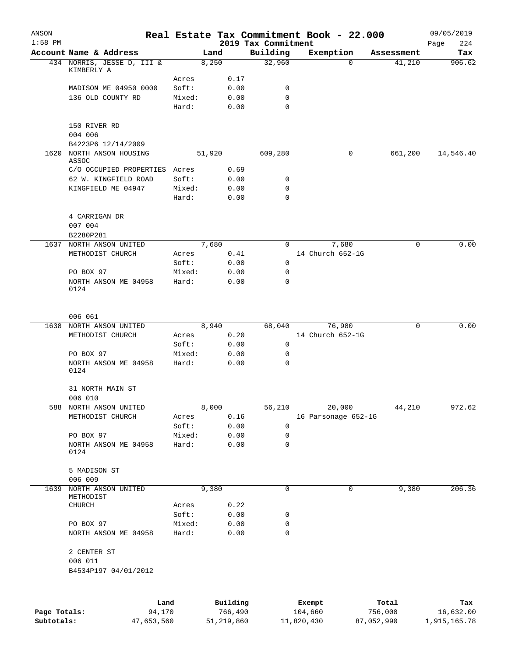| ANSON<br>$1:58$ PM |                                            |                |          |              | 2019 Tax Commitment | Real Estate Tax Commitment Book - 22.000 |          |            | 09/05/2019<br>224 |
|--------------------|--------------------------------------------|----------------|----------|--------------|---------------------|------------------------------------------|----------|------------|-------------------|
|                    | Account Name & Address                     |                | Land     |              | Building            | Exemption                                |          | Assessment | Page<br>Tax       |
|                    | 434 NORRIS, JESSE D, III &                 |                | 8,250    |              | 32,960              |                                          | $\Omega$ | 41,210     | 906.62            |
|                    | KIMBERLY A                                 |                |          |              |                     |                                          |          |            |                   |
|                    | MADISON ME 04950 0000                      | Acres<br>Soft: |          | 0.17<br>0.00 | 0                   |                                          |          |            |                   |
|                    | 136 OLD COUNTY RD                          | Mixed:         |          | 0.00         | $\mathbf 0$         |                                          |          |            |                   |
|                    |                                            | Hard:          |          | 0.00         | $\mathbf 0$         |                                          |          |            |                   |
|                    |                                            |                |          |              |                     |                                          |          |            |                   |
|                    | 150 RIVER RD                               |                |          |              |                     |                                          |          |            |                   |
|                    | 004 006                                    |                |          |              |                     |                                          |          |            |                   |
|                    | B4223P6 12/14/2009                         |                |          |              |                     |                                          |          |            |                   |
| 1620               | NORTH ANSON HOUSING                        |                | 51,920   |              | 609,280             |                                          | 0        | 661,200    | 14,546.40         |
|                    | ASSOC                                      |                |          |              |                     |                                          |          |            |                   |
|                    | C/O OCCUPIED PROPERTIES Acres              | Soft:          |          | 0.69         | 0                   |                                          |          |            |                   |
|                    | 62 W. KINGFIELD ROAD<br>KINGFIELD ME 04947 | Mixed:         |          | 0.00         | 0                   |                                          |          |            |                   |
|                    |                                            | Hard:          |          | 0.00<br>0.00 | $\mathbf 0$         |                                          |          |            |                   |
|                    |                                            |                |          |              |                     |                                          |          |            |                   |
|                    | 4 CARRIGAN DR                              |                |          |              |                     |                                          |          |            |                   |
|                    | 007 004                                    |                |          |              |                     |                                          |          |            |                   |
|                    | B2280P281                                  |                |          |              |                     |                                          |          |            |                   |
|                    | 1637 NORTH ANSON UNITED                    |                | 7,680    |              | $\Omega$            | 7,680                                    |          | 0          | 0.00              |
|                    | METHODIST CHURCH                           | Acres          |          | 0.41         |                     | 14 Church 652-1G                         |          |            |                   |
|                    |                                            | Soft:          |          | 0.00         | 0                   |                                          |          |            |                   |
|                    | PO BOX 97                                  | Mixed:         |          | 0.00         | 0                   |                                          |          |            |                   |
|                    | NORTH ANSON ME 04958                       | Hard:          |          | 0.00         | $\mathbf 0$         |                                          |          |            |                   |
|                    | 0124                                       |                |          |              |                     |                                          |          |            |                   |
|                    | 006 061                                    |                |          |              |                     |                                          |          |            |                   |
| 1638               | NORTH ANSON UNITED                         |                | 8,940    |              | 68,040              | 76,980                                   |          | 0          | 0.00              |
|                    | METHODIST CHURCH                           | Acres          |          | 0.20         |                     | 14 Church 652-1G                         |          |            |                   |
|                    |                                            | Soft:          |          | 0.00         | 0                   |                                          |          |            |                   |
|                    | PO BOX 97                                  | Mixed:         |          | 0.00         | 0                   |                                          |          |            |                   |
|                    | NORTH ANSON ME 04958                       | Hard:          |          | 0.00         | $\mathbf 0$         |                                          |          |            |                   |
|                    | 0124                                       |                |          |              |                     |                                          |          |            |                   |
|                    | 31 NORTH MAIN ST                           |                |          |              |                     |                                          |          |            |                   |
|                    | 006 010                                    |                |          |              |                     |                                          |          |            |                   |
|                    | 588 NORTH ANSON UNITED                     |                | 8,000    |              | 56,210              | 20,000                                   |          | 44,210     | 972.62            |
|                    | METHODIST CHURCH                           | Acres          |          | 0.16         |                     | 16 Parsonage 652-1G                      |          |            |                   |
|                    |                                            | Soft:          |          | 0.00         | $\mathbf 0$         |                                          |          |            |                   |
|                    | PO BOX 97                                  | Mixed:         |          | 0.00         | 0                   |                                          |          |            |                   |
|                    | NORTH ANSON ME 04958<br>0124               | Hard:          |          | 0.00         | 0                   |                                          |          |            |                   |
|                    | 5 MADISON ST                               |                |          |              |                     |                                          |          |            |                   |
|                    | 006 009                                    |                |          |              |                     |                                          |          |            |                   |
| 1639               | NORTH ANSON UNITED                         |                | 9,380    |              | 0                   |                                          | 0        | 9,380      | 206.36            |
|                    | METHODIST                                  |                |          |              |                     |                                          |          |            |                   |
|                    | CHURCH                                     | Acres          |          | 0.22         |                     |                                          |          |            |                   |
|                    |                                            | Soft:          |          | 0.00         | 0                   |                                          |          |            |                   |
|                    | PO BOX 97                                  | Mixed:         |          | 0.00         | 0                   |                                          |          |            |                   |
|                    | NORTH ANSON ME 04958                       | Hard:          |          | 0.00         | 0                   |                                          |          |            |                   |
|                    | 2 CENTER ST                                |                |          |              |                     |                                          |          |            |                   |
|                    | 006 011                                    |                |          |              |                     |                                          |          |            |                   |
|                    | B4534P197 04/01/2012                       |                |          |              |                     |                                          |          |            |                   |
|                    |                                            |                |          |              |                     |                                          |          |            |                   |
|                    | Land                                       |                | Building |              |                     | Exempt                                   |          | Total      | Tax               |
| Page Totals:       | 94,170                                     |                |          | 766,490      |                     | 104,660                                  |          | 756,000    | 16,632.00         |

**Subtotals:** 47,653,560 51,219,860 11,820,430 87,052,990 1,915,165.78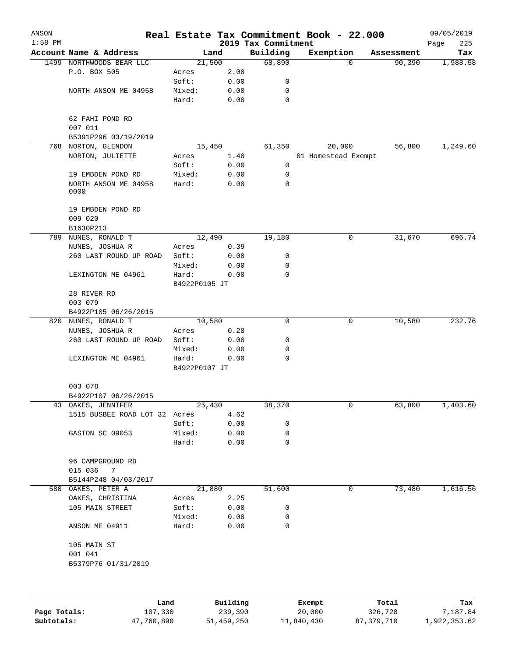| 2019 Tax Commitment<br>Account Name & Address<br>Building<br>Exemption<br>Land<br>Assessment<br>68,890<br>1499 NORTHWOODS BEAR LLC<br>21,500<br>90,390<br>1,988.58<br>0<br>P.O. BOX 505<br>2.00<br>Acres<br>Soft:<br>0.00<br>0<br>Mixed:<br>0.00<br>0<br>NORTH ANSON ME 04958<br>$\mathbf 0$<br>Hard:<br>0.00<br>62 FAHI POND RD<br>007 011<br>B5391P296 03/19/2019<br>NORTON, GLENDON<br>61,350<br>56,800<br>1,249.60<br>768<br>15,450<br>20,000<br>NORTON, JULIETTE<br>01 Homestead Exempt<br>Acres<br>1.40<br>Soft:<br>0.00<br>0<br>19 EMBDEN POND RD<br>Mixed:<br>0.00<br>0<br>0<br>NORTH ANSON ME 04958<br>Hard:<br>0.00<br>0000<br>19 EMBDEN POND RD<br>009 020<br>B1630P213<br>696.74<br>789<br>NUNES, RONALD T<br>12,490<br>19,180<br>0<br>31,670<br>NUNES, JOSHUA R<br>0.39<br>Acres<br>260 LAST ROUND UP ROAD<br>Soft:<br>0.00<br>0<br>Mixed:<br>0<br>0.00<br>0<br>LEXINGTON ME 04961<br>Hard:<br>0.00<br>B4922P0105 JT<br>28 RIVER RD<br>003 079<br>B4922P105 06/26/2015<br>820<br>NUNES, RONALD T<br>10,580<br>0<br>0<br>10,580<br>NUNES, JOSHUA R<br>0.28<br>Acres<br>260 LAST ROUND UP ROAD<br>Soft:<br>0.00<br>0<br>Mixed:<br>0.00<br>0<br>$\mathbf 0$<br>Hard:<br>LEXINGTON ME 04961<br>0.00<br>B4922P0107 JT<br>003 078<br>B4922P107 06/26/2015<br>43 OAKES, JENNIFER<br>25,430<br>38,370<br>0<br>63,800<br>1,403.60<br>1515 BUSBEE ROAD LOT 32 Acres<br>4.62<br>Soft:<br>0.00<br>0<br>GASTON SC 09053<br>Mixed:<br>0<br>0.00<br>Hard:<br>0.00<br>0<br>96 CAMPGROUND RD<br>015 036<br>7<br>B5144P248 04/03/2017<br>73,480<br>1,616.56<br>580 OAKES, PETER A<br>21,880<br>51,600<br>0<br>OAKES, CHRISTINA<br>2.25<br>Acres<br>105 MAIN STREET<br>Soft:<br>0.00<br>0<br>Mixed:<br>0.00<br>0<br>$\mathbf 0$<br>ANSON ME 04911<br>0.00<br>Hard:<br>105 MAIN ST<br>001 041<br>B5379P76 01/31/2019<br>Building<br>Exempt<br>Total<br>Land | ANSON     |  |  | Real Estate Tax Commitment Book - 22.000 | 09/05/2019         |
|------------------------------------------------------------------------------------------------------------------------------------------------------------------------------------------------------------------------------------------------------------------------------------------------------------------------------------------------------------------------------------------------------------------------------------------------------------------------------------------------------------------------------------------------------------------------------------------------------------------------------------------------------------------------------------------------------------------------------------------------------------------------------------------------------------------------------------------------------------------------------------------------------------------------------------------------------------------------------------------------------------------------------------------------------------------------------------------------------------------------------------------------------------------------------------------------------------------------------------------------------------------------------------------------------------------------------------------------------------------------------------------------------------------------------------------------------------------------------------------------------------------------------------------------------------------------------------------------------------------------------------------------------------------------------------------------------------------------------------------------------------------------------------------------------------------------------------------------------|-----------|--|--|------------------------------------------|--------------------|
|                                                                                                                                                                                                                                                                                                                                                                                                                                                                                                                                                                                                                                                                                                                                                                                                                                                                                                                                                                                                                                                                                                                                                                                                                                                                                                                                                                                                                                                                                                                                                                                                                                                                                                                                                                                                                                                      | $1:58$ PM |  |  |                                          | 225<br>Page<br>Tax |
|                                                                                                                                                                                                                                                                                                                                                                                                                                                                                                                                                                                                                                                                                                                                                                                                                                                                                                                                                                                                                                                                                                                                                                                                                                                                                                                                                                                                                                                                                                                                                                                                                                                                                                                                                                                                                                                      |           |  |  |                                          |                    |
|                                                                                                                                                                                                                                                                                                                                                                                                                                                                                                                                                                                                                                                                                                                                                                                                                                                                                                                                                                                                                                                                                                                                                                                                                                                                                                                                                                                                                                                                                                                                                                                                                                                                                                                                                                                                                                                      |           |  |  |                                          |                    |
|                                                                                                                                                                                                                                                                                                                                                                                                                                                                                                                                                                                                                                                                                                                                                                                                                                                                                                                                                                                                                                                                                                                                                                                                                                                                                                                                                                                                                                                                                                                                                                                                                                                                                                                                                                                                                                                      |           |  |  |                                          |                    |
|                                                                                                                                                                                                                                                                                                                                                                                                                                                                                                                                                                                                                                                                                                                                                                                                                                                                                                                                                                                                                                                                                                                                                                                                                                                                                                                                                                                                                                                                                                                                                                                                                                                                                                                                                                                                                                                      |           |  |  |                                          |                    |
|                                                                                                                                                                                                                                                                                                                                                                                                                                                                                                                                                                                                                                                                                                                                                                                                                                                                                                                                                                                                                                                                                                                                                                                                                                                                                                                                                                                                                                                                                                                                                                                                                                                                                                                                                                                                                                                      |           |  |  |                                          |                    |
|                                                                                                                                                                                                                                                                                                                                                                                                                                                                                                                                                                                                                                                                                                                                                                                                                                                                                                                                                                                                                                                                                                                                                                                                                                                                                                                                                                                                                                                                                                                                                                                                                                                                                                                                                                                                                                                      |           |  |  |                                          |                    |
|                                                                                                                                                                                                                                                                                                                                                                                                                                                                                                                                                                                                                                                                                                                                                                                                                                                                                                                                                                                                                                                                                                                                                                                                                                                                                                                                                                                                                                                                                                                                                                                                                                                                                                                                                                                                                                                      |           |  |  |                                          |                    |
|                                                                                                                                                                                                                                                                                                                                                                                                                                                                                                                                                                                                                                                                                                                                                                                                                                                                                                                                                                                                                                                                                                                                                                                                                                                                                                                                                                                                                                                                                                                                                                                                                                                                                                                                                                                                                                                      |           |  |  |                                          |                    |
|                                                                                                                                                                                                                                                                                                                                                                                                                                                                                                                                                                                                                                                                                                                                                                                                                                                                                                                                                                                                                                                                                                                                                                                                                                                                                                                                                                                                                                                                                                                                                                                                                                                                                                                                                                                                                                                      |           |  |  |                                          |                    |
|                                                                                                                                                                                                                                                                                                                                                                                                                                                                                                                                                                                                                                                                                                                                                                                                                                                                                                                                                                                                                                                                                                                                                                                                                                                                                                                                                                                                                                                                                                                                                                                                                                                                                                                                                                                                                                                      |           |  |  |                                          |                    |
|                                                                                                                                                                                                                                                                                                                                                                                                                                                                                                                                                                                                                                                                                                                                                                                                                                                                                                                                                                                                                                                                                                                                                                                                                                                                                                                                                                                                                                                                                                                                                                                                                                                                                                                                                                                                                                                      |           |  |  |                                          |                    |
|                                                                                                                                                                                                                                                                                                                                                                                                                                                                                                                                                                                                                                                                                                                                                                                                                                                                                                                                                                                                                                                                                                                                                                                                                                                                                                                                                                                                                                                                                                                                                                                                                                                                                                                                                                                                                                                      |           |  |  |                                          |                    |
|                                                                                                                                                                                                                                                                                                                                                                                                                                                                                                                                                                                                                                                                                                                                                                                                                                                                                                                                                                                                                                                                                                                                                                                                                                                                                                                                                                                                                                                                                                                                                                                                                                                                                                                                                                                                                                                      |           |  |  |                                          |                    |
|                                                                                                                                                                                                                                                                                                                                                                                                                                                                                                                                                                                                                                                                                                                                                                                                                                                                                                                                                                                                                                                                                                                                                                                                                                                                                                                                                                                                                                                                                                                                                                                                                                                                                                                                                                                                                                                      |           |  |  |                                          |                    |
|                                                                                                                                                                                                                                                                                                                                                                                                                                                                                                                                                                                                                                                                                                                                                                                                                                                                                                                                                                                                                                                                                                                                                                                                                                                                                                                                                                                                                                                                                                                                                                                                                                                                                                                                                                                                                                                      |           |  |  |                                          |                    |
|                                                                                                                                                                                                                                                                                                                                                                                                                                                                                                                                                                                                                                                                                                                                                                                                                                                                                                                                                                                                                                                                                                                                                                                                                                                                                                                                                                                                                                                                                                                                                                                                                                                                                                                                                                                                                                                      |           |  |  |                                          |                    |
|                                                                                                                                                                                                                                                                                                                                                                                                                                                                                                                                                                                                                                                                                                                                                                                                                                                                                                                                                                                                                                                                                                                                                                                                                                                                                                                                                                                                                                                                                                                                                                                                                                                                                                                                                                                                                                                      |           |  |  |                                          |                    |
|                                                                                                                                                                                                                                                                                                                                                                                                                                                                                                                                                                                                                                                                                                                                                                                                                                                                                                                                                                                                                                                                                                                                                                                                                                                                                                                                                                                                                                                                                                                                                                                                                                                                                                                                                                                                                                                      |           |  |  |                                          |                    |
|                                                                                                                                                                                                                                                                                                                                                                                                                                                                                                                                                                                                                                                                                                                                                                                                                                                                                                                                                                                                                                                                                                                                                                                                                                                                                                                                                                                                                                                                                                                                                                                                                                                                                                                                                                                                                                                      |           |  |  |                                          |                    |
|                                                                                                                                                                                                                                                                                                                                                                                                                                                                                                                                                                                                                                                                                                                                                                                                                                                                                                                                                                                                                                                                                                                                                                                                                                                                                                                                                                                                                                                                                                                                                                                                                                                                                                                                                                                                                                                      |           |  |  |                                          |                    |
|                                                                                                                                                                                                                                                                                                                                                                                                                                                                                                                                                                                                                                                                                                                                                                                                                                                                                                                                                                                                                                                                                                                                                                                                                                                                                                                                                                                                                                                                                                                                                                                                                                                                                                                                                                                                                                                      |           |  |  |                                          |                    |
|                                                                                                                                                                                                                                                                                                                                                                                                                                                                                                                                                                                                                                                                                                                                                                                                                                                                                                                                                                                                                                                                                                                                                                                                                                                                                                                                                                                                                                                                                                                                                                                                                                                                                                                                                                                                                                                      |           |  |  |                                          |                    |
|                                                                                                                                                                                                                                                                                                                                                                                                                                                                                                                                                                                                                                                                                                                                                                                                                                                                                                                                                                                                                                                                                                                                                                                                                                                                                                                                                                                                                                                                                                                                                                                                                                                                                                                                                                                                                                                      |           |  |  |                                          |                    |
|                                                                                                                                                                                                                                                                                                                                                                                                                                                                                                                                                                                                                                                                                                                                                                                                                                                                                                                                                                                                                                                                                                                                                                                                                                                                                                                                                                                                                                                                                                                                                                                                                                                                                                                                                                                                                                                      |           |  |  |                                          | 232.76             |
|                                                                                                                                                                                                                                                                                                                                                                                                                                                                                                                                                                                                                                                                                                                                                                                                                                                                                                                                                                                                                                                                                                                                                                                                                                                                                                                                                                                                                                                                                                                                                                                                                                                                                                                                                                                                                                                      |           |  |  |                                          |                    |
|                                                                                                                                                                                                                                                                                                                                                                                                                                                                                                                                                                                                                                                                                                                                                                                                                                                                                                                                                                                                                                                                                                                                                                                                                                                                                                                                                                                                                                                                                                                                                                                                                                                                                                                                                                                                                                                      |           |  |  |                                          |                    |
|                                                                                                                                                                                                                                                                                                                                                                                                                                                                                                                                                                                                                                                                                                                                                                                                                                                                                                                                                                                                                                                                                                                                                                                                                                                                                                                                                                                                                                                                                                                                                                                                                                                                                                                                                                                                                                                      |           |  |  |                                          |                    |
|                                                                                                                                                                                                                                                                                                                                                                                                                                                                                                                                                                                                                                                                                                                                                                                                                                                                                                                                                                                                                                                                                                                                                                                                                                                                                                                                                                                                                                                                                                                                                                                                                                                                                                                                                                                                                                                      |           |  |  |                                          |                    |
|                                                                                                                                                                                                                                                                                                                                                                                                                                                                                                                                                                                                                                                                                                                                                                                                                                                                                                                                                                                                                                                                                                                                                                                                                                                                                                                                                                                                                                                                                                                                                                                                                                                                                                                                                                                                                                                      |           |  |  |                                          |                    |
|                                                                                                                                                                                                                                                                                                                                                                                                                                                                                                                                                                                                                                                                                                                                                                                                                                                                                                                                                                                                                                                                                                                                                                                                                                                                                                                                                                                                                                                                                                                                                                                                                                                                                                                                                                                                                                                      |           |  |  |                                          |                    |
|                                                                                                                                                                                                                                                                                                                                                                                                                                                                                                                                                                                                                                                                                                                                                                                                                                                                                                                                                                                                                                                                                                                                                                                                                                                                                                                                                                                                                                                                                                                                                                                                                                                                                                                                                                                                                                                      |           |  |  |                                          |                    |
|                                                                                                                                                                                                                                                                                                                                                                                                                                                                                                                                                                                                                                                                                                                                                                                                                                                                                                                                                                                                                                                                                                                                                                                                                                                                                                                                                                                                                                                                                                                                                                                                                                                                                                                                                                                                                                                      |           |  |  |                                          |                    |
|                                                                                                                                                                                                                                                                                                                                                                                                                                                                                                                                                                                                                                                                                                                                                                                                                                                                                                                                                                                                                                                                                                                                                                                                                                                                                                                                                                                                                                                                                                                                                                                                                                                                                                                                                                                                                                                      |           |  |  |                                          |                    |
|                                                                                                                                                                                                                                                                                                                                                                                                                                                                                                                                                                                                                                                                                                                                                                                                                                                                                                                                                                                                                                                                                                                                                                                                                                                                                                                                                                                                                                                                                                                                                                                                                                                                                                                                                                                                                                                      |           |  |  |                                          |                    |
|                                                                                                                                                                                                                                                                                                                                                                                                                                                                                                                                                                                                                                                                                                                                                                                                                                                                                                                                                                                                                                                                                                                                                                                                                                                                                                                                                                                                                                                                                                                                                                                                                                                                                                                                                                                                                                                      |           |  |  |                                          |                    |
|                                                                                                                                                                                                                                                                                                                                                                                                                                                                                                                                                                                                                                                                                                                                                                                                                                                                                                                                                                                                                                                                                                                                                                                                                                                                                                                                                                                                                                                                                                                                                                                                                                                                                                                                                                                                                                                      |           |  |  |                                          |                    |
|                                                                                                                                                                                                                                                                                                                                                                                                                                                                                                                                                                                                                                                                                                                                                                                                                                                                                                                                                                                                                                                                                                                                                                                                                                                                                                                                                                                                                                                                                                                                                                                                                                                                                                                                                                                                                                                      |           |  |  |                                          |                    |
|                                                                                                                                                                                                                                                                                                                                                                                                                                                                                                                                                                                                                                                                                                                                                                                                                                                                                                                                                                                                                                                                                                                                                                                                                                                                                                                                                                                                                                                                                                                                                                                                                                                                                                                                                                                                                                                      |           |  |  |                                          |                    |
|                                                                                                                                                                                                                                                                                                                                                                                                                                                                                                                                                                                                                                                                                                                                                                                                                                                                                                                                                                                                                                                                                                                                                                                                                                                                                                                                                                                                                                                                                                                                                                                                                                                                                                                                                                                                                                                      |           |  |  |                                          |                    |
|                                                                                                                                                                                                                                                                                                                                                                                                                                                                                                                                                                                                                                                                                                                                                                                                                                                                                                                                                                                                                                                                                                                                                                                                                                                                                                                                                                                                                                                                                                                                                                                                                                                                                                                                                                                                                                                      |           |  |  |                                          |                    |
|                                                                                                                                                                                                                                                                                                                                                                                                                                                                                                                                                                                                                                                                                                                                                                                                                                                                                                                                                                                                                                                                                                                                                                                                                                                                                                                                                                                                                                                                                                                                                                                                                                                                                                                                                                                                                                                      |           |  |  |                                          |                    |
|                                                                                                                                                                                                                                                                                                                                                                                                                                                                                                                                                                                                                                                                                                                                                                                                                                                                                                                                                                                                                                                                                                                                                                                                                                                                                                                                                                                                                                                                                                                                                                                                                                                                                                                                                                                                                                                      |           |  |  |                                          |                    |
|                                                                                                                                                                                                                                                                                                                                                                                                                                                                                                                                                                                                                                                                                                                                                                                                                                                                                                                                                                                                                                                                                                                                                                                                                                                                                                                                                                                                                                                                                                                                                                                                                                                                                                                                                                                                                                                      |           |  |  |                                          |                    |
|                                                                                                                                                                                                                                                                                                                                                                                                                                                                                                                                                                                                                                                                                                                                                                                                                                                                                                                                                                                                                                                                                                                                                                                                                                                                                                                                                                                                                                                                                                                                                                                                                                                                                                                                                                                                                                                      |           |  |  |                                          |                    |
|                                                                                                                                                                                                                                                                                                                                                                                                                                                                                                                                                                                                                                                                                                                                                                                                                                                                                                                                                                                                                                                                                                                                                                                                                                                                                                                                                                                                                                                                                                                                                                                                                                                                                                                                                                                                                                                      |           |  |  |                                          |                    |
|                                                                                                                                                                                                                                                                                                                                                                                                                                                                                                                                                                                                                                                                                                                                                                                                                                                                                                                                                                                                                                                                                                                                                                                                                                                                                                                                                                                                                                                                                                                                                                                                                                                                                                                                                                                                                                                      |           |  |  |                                          |                    |
|                                                                                                                                                                                                                                                                                                                                                                                                                                                                                                                                                                                                                                                                                                                                                                                                                                                                                                                                                                                                                                                                                                                                                                                                                                                                                                                                                                                                                                                                                                                                                                                                                                                                                                                                                                                                                                                      |           |  |  |                                          | Tax                |

|              | Land       | Building   | Exempt     | Total      | Tax          |
|--------------|------------|------------|------------|------------|--------------|
| Page Totals: | 107,330    | 239,390    | 20,000     | 326,720    | 7,187.84     |
| Subtotals:   | 47,760,890 | 51,459,250 | 11,840,430 | 87,379,710 | 1,922,353.62 |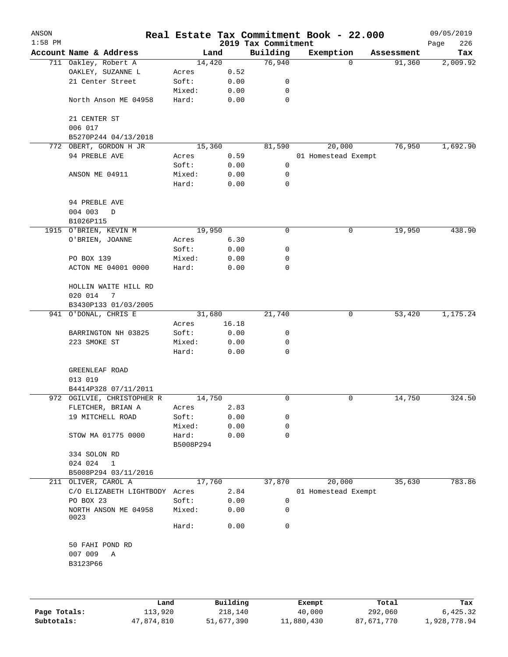| ANSON<br>$1:58$ PM |                                      |                 |              | 2019 Tax Commitment | Real Estate Tax Commitment Book - 22.000 |            | 09/05/2019<br>226<br>Page |
|--------------------|--------------------------------------|-----------------|--------------|---------------------|------------------------------------------|------------|---------------------------|
|                    | Account Name & Address               | Land            |              | Building            | Exemption                                | Assessment | Tax                       |
|                    | 711 Oakley, Robert A                 | 14,420          |              | 76,940              | $\Omega$                                 | 91,360     | 2,009.92                  |
|                    | OAKLEY, SUZANNE L                    | Acres           | 0.52         |                     |                                          |            |                           |
|                    | 21 Center Street                     | Soft:           | 0.00         | 0                   |                                          |            |                           |
|                    |                                      | Mixed:          | 0.00         | 0                   |                                          |            |                           |
|                    | North Anson ME 04958                 | Hard:           | 0.00         | $\mathbf 0$         |                                          |            |                           |
|                    | 21 CENTER ST                         |                 |              |                     |                                          |            |                           |
|                    | 006 017                              |                 |              |                     |                                          |            |                           |
|                    | B5270P244 04/13/2018                 |                 |              |                     |                                          |            |                           |
|                    | 772 OBERT, GORDON H JR               | 15,360          |              | 81,590              | 20,000                                   | 76,950     | 1,692.90                  |
|                    | 94 PREBLE AVE                        | Acres           | 0.59         |                     | 01 Homestead Exempt                      |            |                           |
|                    |                                      | Soft:           | 0.00         | 0                   |                                          |            |                           |
|                    | ANSON ME 04911                       | Mixed:          | 0.00         | 0                   |                                          |            |                           |
|                    |                                      | Hard:           | 0.00         | $\mathbf 0$         |                                          |            |                           |
|                    | 94 PREBLE AVE                        |                 |              |                     |                                          |            |                           |
|                    | 004 003<br>D                         |                 |              |                     |                                          |            |                           |
|                    | B1026P115                            |                 |              |                     |                                          |            |                           |
|                    | 1915 O'BRIEN, KEVIN M                | 19,950          |              | 0                   | 0                                        | 19,950     | 438.90                    |
|                    | O'BRIEN, JOANNE                      | Acres           | 6.30         |                     |                                          |            |                           |
|                    |                                      | Soft:           | 0.00         | 0                   |                                          |            |                           |
|                    | PO BOX 139                           | Mixed:          | 0.00         | 0                   |                                          |            |                           |
|                    | ACTON ME 04001 0000                  | Hard:           | 0.00         | $\mathbf 0$         |                                          |            |                           |
|                    | HOLLIN WAITE HILL RD<br>020 014<br>7 |                 |              |                     |                                          |            |                           |
|                    | B3430P133 01/03/2005                 |                 |              |                     |                                          |            |                           |
|                    | 941 O'DONAL, CHRIS E                 | 31,680          |              | 21,740              | 0                                        | 53,420     | 1,175.24                  |
|                    |                                      | Acres           | 16.18        |                     |                                          |            |                           |
|                    | BARRINGTON NH 03825                  | Soft:           | 0.00         | 0                   |                                          |            |                           |
|                    |                                      |                 |              |                     |                                          |            |                           |
|                    | 223 SMOKE ST                         | Mixed:<br>Hard: | 0.00<br>0.00 | 0<br>0              |                                          |            |                           |
|                    | GREENLEAF ROAD                       |                 |              |                     |                                          |            |                           |
|                    | 013 019                              |                 |              |                     |                                          |            |                           |
|                    | B4414P328 07/11/2011                 |                 |              |                     |                                          |            |                           |
|                    | 972 OGILVIE, CHRISTOPHER R           | 14,750          |              | 0                   | 0                                        | 14,750     | 324.50                    |
|                    | FLETCHER, BRIAN A                    | Acres           | 2.83         |                     |                                          |            |                           |
|                    | 19 MITCHELL ROAD                     | Soft:           | 0.00         | 0                   |                                          |            |                           |
|                    |                                      |                 |              | 0                   |                                          |            |                           |
|                    |                                      | Mixed:          | 0.00         |                     |                                          |            |                           |
|                    | STOW MA 01775 0000                   | Hard:           | 0.00         | 0                   |                                          |            |                           |
|                    |                                      | B5008P294       |              |                     |                                          |            |                           |
|                    | 334 SOLON RD                         |                 |              |                     |                                          |            |                           |
|                    | 024 024<br>1                         |                 |              |                     |                                          |            |                           |
|                    | B5008P294 03/11/2016                 |                 |              |                     |                                          |            |                           |
|                    | 211 OLIVER, CAROL A                  | 17,760          |              | 37,870              | 20,000                                   | 35,630     | 783.86                    |
|                    | C/O ELIZABETH LIGHTBODY Acres        |                 | 2.84         |                     | 01 Homestead Exempt                      |            |                           |
|                    | PO BOX 23                            | Soft:           | 0.00         | 0                   |                                          |            |                           |
|                    | NORTH ANSON ME 04958<br>0023         | Mixed:          | 0.00         | 0                   |                                          |            |                           |
|                    |                                      | Hard:           | 0.00         | 0                   |                                          |            |                           |
|                    | 50 FAHI POND RD                      |                 |              |                     |                                          |            |                           |
|                    | 007 009<br>Α                         |                 |              |                     |                                          |            |                           |
|                    | B3123P66                             |                 |              |                     |                                          |            |                           |
|                    |                                      |                 |              |                     |                                          |            |                           |
|                    |                                      |                 |              |                     |                                          |            |                           |
|                    |                                      |                 |              |                     |                                          |            |                           |
|                    |                                      |                 |              |                     |                                          |            |                           |

|              | Land       | Building   | Exempt     | Total      | Tax          |
|--------------|------------|------------|------------|------------|--------------|
| Page Totals: | 113,920    | 218,140    | 40,000     | 292,060    | 6,425.32     |
| Subtotals:   | 47,874,810 | 51,677,390 | 11,880,430 | 87,671,770 | 1,928,778.94 |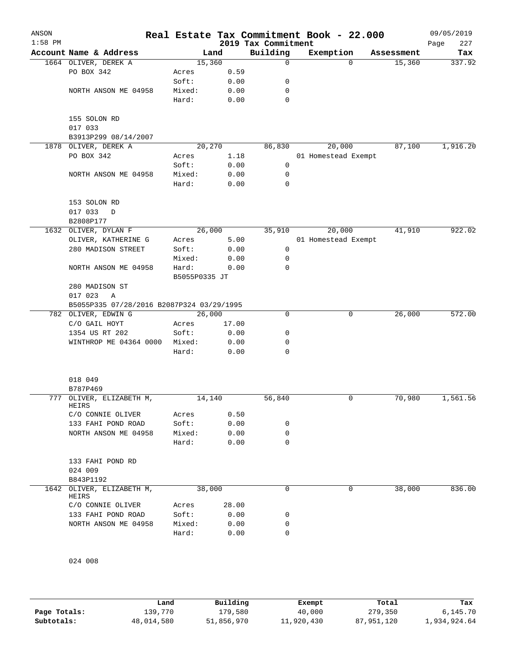| ANSON<br>$1:58$ PM |                                           |                        |              | 2019 Tax Commitment | Real Estate Tax Commitment Book - 22.000 |          |            | 09/05/2019<br>227<br>Page |
|--------------------|-------------------------------------------|------------------------|--------------|---------------------|------------------------------------------|----------|------------|---------------------------|
|                    | Account Name & Address                    | Land                   |              | Building            | Exemption                                |          | Assessment | Tax                       |
|                    | 1664 OLIVER, DEREK A                      | 15,360                 |              | 0                   |                                          | $\Omega$ | 15,360     | 337.92                    |
|                    | PO BOX 342                                | Acres                  | 0.59         |                     |                                          |          |            |                           |
|                    |                                           | Soft:                  | 0.00         | 0                   |                                          |          |            |                           |
|                    | NORTH ANSON ME 04958                      | Mixed:                 | 0.00         | 0                   |                                          |          |            |                           |
|                    |                                           | Hard:                  | 0.00         | 0                   |                                          |          |            |                           |
|                    | 155 SOLON RD<br>017 033                   |                        |              |                     |                                          |          |            |                           |
|                    | B3913P299 08/14/2007                      |                        |              |                     |                                          |          |            |                           |
|                    | 1878 OLIVER, DEREK A                      | 20,270                 |              | 86,830              | 20,000                                   |          | 87,100     | 1,916.20                  |
|                    | PO BOX 342                                | Acres                  | 1.18         |                     | 01 Homestead Exempt                      |          |            |                           |
|                    |                                           | Soft:                  | 0.00         | 0                   |                                          |          |            |                           |
|                    | NORTH ANSON ME 04958                      | Mixed:<br>Hard:        | 0.00<br>0.00 | 0<br>0              |                                          |          |            |                           |
|                    |                                           |                        |              |                     |                                          |          |            |                           |
|                    | 153 SOLON RD                              |                        |              |                     |                                          |          |            |                           |
|                    | 017 033<br>D                              |                        |              |                     |                                          |          |            |                           |
|                    | B2808P177                                 |                        |              |                     |                                          |          |            | 922.02                    |
|                    | 1632 OLIVER, DYLAN F                      | 26,000                 |              | 35,910              | 20,000                                   |          | 41,910     |                           |
|                    | OLIVER, KATHERINE G                       | Acres                  | 5.00         | 0                   | 01 Homestead Exempt                      |          |            |                           |
|                    | 280 MADISON STREET                        | Soft:                  | 0.00         |                     |                                          |          |            |                           |
|                    |                                           | Mixed:                 | 0.00         | 0                   |                                          |          |            |                           |
|                    | NORTH ANSON ME 04958                      | Hard:<br>B5055P0335 JT | 0.00         | 0                   |                                          |          |            |                           |
|                    | 280 MADISON ST                            |                        |              |                     |                                          |          |            |                           |
|                    | 017 023<br>Α                              |                        |              |                     |                                          |          |            |                           |
|                    | B5055P335 07/28/2016 B2087P324 03/29/1995 |                        |              |                     |                                          |          |            |                           |
|                    | 782 OLIVER, EDWIN G                       | 26,000                 |              | 0                   |                                          | 0        | 26,000     | 572.00                    |
|                    | C/O GAIL HOYT                             | Acres                  | 17.00        |                     |                                          |          |            |                           |
|                    | 1354 US RT 202                            | Soft:                  | 0.00         | 0                   |                                          |          |            |                           |
|                    | WINTHROP ME 04364 0000                    | Mixed:                 | 0.00         | 0                   |                                          |          |            |                           |
|                    |                                           | Hard:                  | 0.00         | $\Omega$            |                                          |          |            |                           |
|                    |                                           |                        |              |                     |                                          |          |            |                           |
|                    | 018 049                                   |                        |              |                     |                                          |          |            |                           |
|                    | B787P469<br>777 OLIVER, ELIZABETH M,      | 14,140                 |              | 56,840              |                                          | 0        | 70,980     | 1,561.56                  |
|                    | HEIRS                                     |                        |              |                     |                                          |          |            |                           |
|                    | C/O CONNIE OLIVER                         | Acres                  | 0.50         |                     |                                          |          |            |                           |
|                    | 133 FAHI POND ROAD                        | Soft:                  | 0.00         | 0                   |                                          |          |            |                           |
|                    | NORTH ANSON ME 04958                      | Mixed:                 | 0.00         | 0                   |                                          |          |            |                           |
|                    |                                           | Hard:                  | 0.00         | 0                   |                                          |          |            |                           |
|                    | 133 FAHI POND RD                          |                        |              |                     |                                          |          |            |                           |
|                    | 024 009                                   |                        |              |                     |                                          |          |            |                           |
|                    | B843P1192                                 |                        |              |                     |                                          |          |            |                           |
| 1642               | OLIVER, ELIZABETH M,<br>HEIRS             | 38,000                 |              | 0                   |                                          | 0        | 38,000     | 836.00                    |
|                    | C/O CONNIE OLIVER                         | Acres                  | 28.00        |                     |                                          |          |            |                           |
|                    | 133 FAHI POND ROAD                        | Soft:                  | 0.00         | 0                   |                                          |          |            |                           |
|                    | NORTH ANSON ME 04958                      | Mixed:                 | 0.00         | 0                   |                                          |          |            |                           |
|                    |                                           | Hard:                  | 0.00         | 0                   |                                          |          |            |                           |
|                    |                                           |                        |              |                     |                                          |          |            |                           |
|                    |                                           |                        |              |                     |                                          |          |            |                           |
|                    | 024 008                                   |                        |              |                     |                                          |          |            |                           |

**Page Totals:** 139,770 179,580 40,000 279,350 6,145.70<br>**48,014,580** 51,856,970 11,920,430 87,951,120 1,934,924.64 **Subtotals:** 48,014,580 51,856,970 11,920,430 87,951,120 1,934,924.64 **Land Building Exempt Total Tax**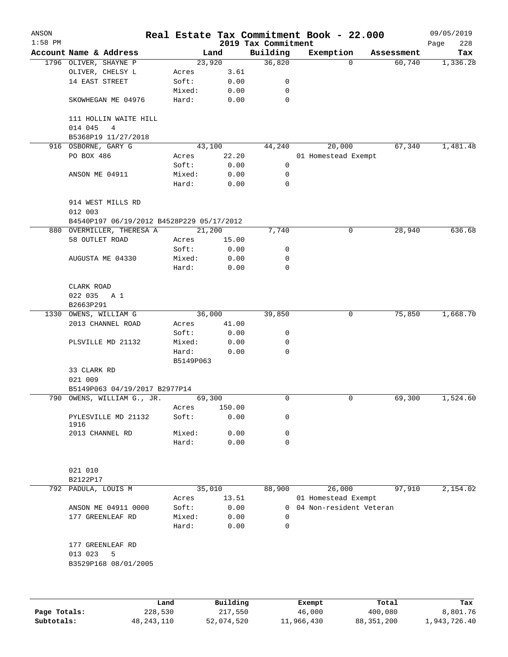| ANSON        |                                           |           |          |                                 | Real Estate Tax Commitment Book - 22.000 |            | 09/05/2019         |
|--------------|-------------------------------------------|-----------|----------|---------------------------------|------------------------------------------|------------|--------------------|
| $1:58$ PM    | Account Name & Address                    |           | Land     | 2019 Tax Commitment<br>Building | Exemption                                | Assessment | 228<br>Page<br>Tax |
|              | 1796 OLIVER, SHAYNE P                     |           | 23,920   | 36,820                          | $\Omega$                                 | 60,740     | 1,336.28           |
|              | OLIVER, CHELSY L                          | Acres     | 3.61     |                                 |                                          |            |                    |
|              | 14 EAST STREET                            | Soft:     | 0.00     | 0                               |                                          |            |                    |
|              |                                           | Mixed:    | 0.00     | 0                               |                                          |            |                    |
|              | SKOWHEGAN ME 04976                        | Hard:     | 0.00     | 0                               |                                          |            |                    |
|              | 111 HOLLIN WAITE HILL                     |           |          |                                 |                                          |            |                    |
|              | 4<br>014 045                              |           |          |                                 |                                          |            |                    |
|              | B5368P19 11/27/2018                       |           |          |                                 |                                          |            |                    |
|              | 916 OSBORNE, GARY G                       |           | 43,100   | 44,240                          | 20,000                                   | 67,340     | 1,481.48           |
|              | PO BOX 486                                | Acres     | 22.20    |                                 | 01 Homestead Exempt                      |            |                    |
|              |                                           | Soft:     | 0.00     | 0                               |                                          |            |                    |
|              | ANSON ME 04911                            | Mixed:    | 0.00     | 0                               |                                          |            |                    |
|              |                                           | Hard:     | 0.00     | $\mathbf 0$                     |                                          |            |                    |
|              | 914 WEST MILLS RD<br>012 003              |           |          |                                 |                                          |            |                    |
|              | B4540P197 06/19/2012 B4528P229 05/17/2012 |           |          |                                 |                                          |            |                    |
|              | 880 OVERMILLER, THERESA A                 |           | 21,200   | 7,740                           | 0                                        | 28,940     | 636.68             |
|              | 58 OUTLET ROAD                            | Acres     | 15.00    |                                 |                                          |            |                    |
|              |                                           | Soft:     | 0.00     | 0                               |                                          |            |                    |
|              | AUGUSTA ME 04330                          | Mixed:    | 0.00     | 0                               |                                          |            |                    |
|              |                                           | Hard:     | 0.00     | $\Omega$                        |                                          |            |                    |
|              | CLARK ROAD                                |           |          |                                 |                                          |            |                    |
|              | 022 035<br>A 1                            |           |          |                                 |                                          |            |                    |
|              | B2663P291                                 |           |          |                                 |                                          |            |                    |
|              | 1330 OWENS, WILLIAM G                     |           | 36,000   | 39,850                          | 0                                        | 75,850     | 1,668.70           |
|              | 2013 CHANNEL ROAD                         | Acres     | 41.00    |                                 |                                          |            |                    |
|              |                                           | Soft:     | 0.00     | 0                               |                                          |            |                    |
|              | PLSVILLE MD 21132                         | Mixed:    | 0.00     | 0                               |                                          |            |                    |
|              |                                           | Hard:     | 0.00     | $\mathbf 0$                     |                                          |            |                    |
|              |                                           | B5149P063 |          |                                 |                                          |            |                    |
|              | 33 CLARK RD                               |           |          |                                 |                                          |            |                    |
|              | 021 009                                   |           |          |                                 |                                          |            |                    |
|              | B5149P063 04/19/2017 B2977P14             |           |          |                                 |                                          |            |                    |
|              | 790 OWENS, WILLIAM G., JR.                |           | 69,300   | 0                               | 0                                        | 69,300     | 1,524.60           |
|              |                                           |           | 150.00   |                                 |                                          |            |                    |
|              |                                           | Acres     |          |                                 |                                          |            |                    |
|              | PYLESVILLE MD 21132<br>1916               | Soft:     | 0.00     | $\mathsf{O}$                    |                                          |            |                    |
|              | 2013 CHANNEL RD                           | Mixed:    | 0.00     | 0                               |                                          |            |                    |
|              |                                           | Hard:     | 0.00     | 0                               |                                          |            |                    |
|              |                                           |           |          |                                 |                                          |            |                    |
|              | 021 010                                   |           |          |                                 |                                          |            |                    |
|              | B2122P17                                  |           |          |                                 |                                          |            |                    |
| 792          | PADULA, LOUIS M                           |           | 35,010   | 88,900                          | 26,000                                   | 97,910     | 2,154.02           |
|              |                                           | Acres     | 13.51    |                                 | 01 Homestead Exempt                      |            |                    |
|              | ANSON ME 04911 0000                       | Soft:     | 0.00     | 0                               | 04 Non-resident Veteran                  |            |                    |
|              | 177 GREENLEAF RD                          | Mixed:    | 0.00     | $\Omega$                        |                                          |            |                    |
|              |                                           | Hard:     | 0.00     | 0                               |                                          |            |                    |
|              | 177 GREENLEAF RD                          |           |          |                                 |                                          |            |                    |
|              | 013 023<br>5                              |           |          |                                 |                                          |            |                    |
|              | B3529P168 08/01/2005                      |           |          |                                 |                                          |            |                    |
|              |                                           |           |          |                                 |                                          |            |                    |
|              |                                           | Land      | Building |                                 | Exempt                                   | Total      | Tax                |
| Page Totals: |                                           | 228,530   | 217,550  |                                 | 46,000                                   | 400,080    | 8,801.76           |

**Subtotals:** 48,243,110 52,074,520 11,966,430 88,351,200 1,943,726.40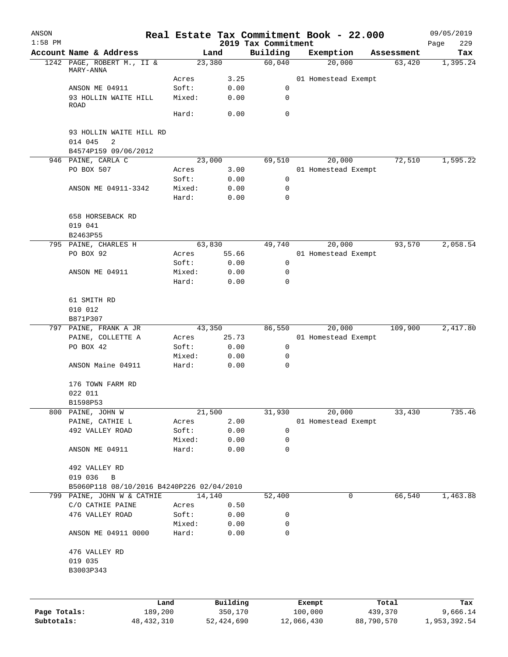| ANSON        |                                           |              |                |              |                                 | Real Estate Tax Commitment Book - 22.000 |            |            | 09/05/2019         |
|--------------|-------------------------------------------|--------------|----------------|--------------|---------------------------------|------------------------------------------|------------|------------|--------------------|
| $1:58$ PM    | Account Name & Address                    |              |                | Land         | 2019 Tax Commitment<br>Building | Exemption                                |            | Assessment | 229<br>Page<br>Tax |
|              | 1242 PAGE, ROBERT M., II &                |              |                | 23,380       | 60,040                          | 20,000                                   |            | 63,420     | 1,395.24           |
|              | MARY-ANNA                                 |              |                |              |                                 |                                          |            |            |                    |
|              | ANSON ME 04911                            |              | Acres<br>Soft: | 3.25<br>0.00 | 0                               | 01 Homestead Exempt                      |            |            |                    |
|              | 93 HOLLIN WAITE HILL                      |              | Mixed:         | 0.00         | 0                               |                                          |            |            |                    |
|              | <b>ROAD</b>                               |              |                |              |                                 |                                          |            |            |                    |
|              |                                           |              | Hard:          | 0.00         | 0                               |                                          |            |            |                    |
|              | 93 HOLLIN WAITE HILL RD<br>014 045<br>2   |              |                |              |                                 |                                          |            |            |                    |
|              | B4574P159 09/06/2012                      |              |                |              |                                 |                                          |            |            |                    |
|              | 946 PAINE, CARLA C                        |              |                | 23,000       | 69,510                          | 20,000                                   |            | 72,510     | 1,595.22           |
|              | PO BOX 507                                |              | Acres          | 3.00         |                                 | 01 Homestead Exempt                      |            |            |                    |
|              |                                           |              | Soft:          | 0.00         | 0                               |                                          |            |            |                    |
|              | ANSON ME 04911-3342                       |              | Mixed:         | 0.00         | 0                               |                                          |            |            |                    |
|              |                                           |              | Hard:          | 0.00         | $\mathbf 0$                     |                                          |            |            |                    |
|              | 658 HORSEBACK RD                          |              |                |              |                                 |                                          |            |            |                    |
|              | 019 041                                   |              |                |              |                                 |                                          |            |            |                    |
|              | B2463P55                                  |              |                |              |                                 |                                          |            |            |                    |
|              | 795 PAINE, CHARLES H                      |              |                | 63,830       | 49,740                          | 20,000                                   |            | 93,570     | 2,058.54           |
|              | PO BOX 92                                 |              | Acres          | 55.66        |                                 | 01 Homestead Exempt                      |            |            |                    |
|              |                                           |              | Soft:          | 0.00         | 0                               |                                          |            |            |                    |
|              | ANSON ME 04911                            |              | Mixed:         | 0.00         | 0                               |                                          |            |            |                    |
|              |                                           |              | Hard:          | 0.00         | 0                               |                                          |            |            |                    |
|              | 61 SMITH RD                               |              |                |              |                                 |                                          |            |            |                    |
|              | 010 012                                   |              |                |              |                                 |                                          |            |            |                    |
|              | B871P307                                  |              |                |              |                                 |                                          |            |            |                    |
|              | 797 PAINE, FRANK A JR                     |              |                | 43,350       | 86,550                          | 20,000                                   |            | 109,900    | 2,417.80           |
|              | PAINE, COLLETTE A                         |              | Acres          | 25.73        |                                 | 01 Homestead Exempt                      |            |            |                    |
|              | PO BOX 42                                 |              | Soft:          | 0.00         | 0                               |                                          |            |            |                    |
|              |                                           |              | Mixed:         | 0.00         | 0                               |                                          |            |            |                    |
|              | ANSON Maine 04911                         |              | Hard:          | 0.00         | 0                               |                                          |            |            |                    |
|              | 176 TOWN FARM RD                          |              |                |              |                                 |                                          |            |            |                    |
|              | 022 011                                   |              |                |              |                                 |                                          |            |            |                    |
|              | B1598P53                                  |              |                |              |                                 |                                          |            |            |                    |
|              | 800 PAINE, JOHN W                         |              |                | 21,500       | 31,930                          | 20,000                                   |            | 33,430     | 735.46             |
|              | PAINE, CATHIE L                           |              | Acres          | 2.00         |                                 | 01 Homestead Exempt                      |            |            |                    |
|              | 492 VALLEY ROAD                           |              | Soft:          | 0.00         | $\mathbf 0$                     |                                          |            |            |                    |
|              |                                           |              | Mixed:         | 0.00         | 0                               |                                          |            |            |                    |
|              | ANSON ME 04911                            |              | Hard:          | 0.00         | 0                               |                                          |            |            |                    |
|              | 492 VALLEY RD                             |              |                |              |                                 |                                          |            |            |                    |
|              | 019 036<br>$\mathbf B$                    |              |                |              |                                 |                                          |            |            |                    |
|              | B5060P118 08/10/2016 B4240P226 02/04/2010 |              |                |              |                                 |                                          |            |            |                    |
|              | 799 PAINE, JOHN W & CATHIE                |              |                | 14,140       | 52,400                          |                                          | 0          | 66,540     | 1,463.88           |
|              | C/O CATHIE PAINE                          |              | Acres          | 0.50         |                                 |                                          |            |            |                    |
|              | 476 VALLEY ROAD                           |              | Soft:          | 0.00         | 0                               |                                          |            |            |                    |
|              |                                           |              | Mixed:         | 0.00         | 0                               |                                          |            |            |                    |
|              | ANSON ME 04911 0000                       |              | Hard:          | 0.00         | 0                               |                                          |            |            |                    |
|              | 476 VALLEY RD                             |              |                |              |                                 |                                          |            |            |                    |
|              | 019 035                                   |              |                |              |                                 |                                          |            |            |                    |
|              | B3003P343                                 |              |                |              |                                 |                                          |            |            |                    |
|              |                                           |              |                |              |                                 |                                          |            |            |                    |
|              |                                           | Land         |                | Building     |                                 | Exempt                                   |            | Total      | Tax                |
| Page Totals: |                                           | 189,200      |                | 350,170      |                                 | 100,000                                  |            | 439,370    | 9,666.14           |
| Subtotals:   |                                           | 48, 432, 310 |                | 52, 424, 690 |                                 | 12,066,430                               | 88,790,570 |            | 1,953,392.54       |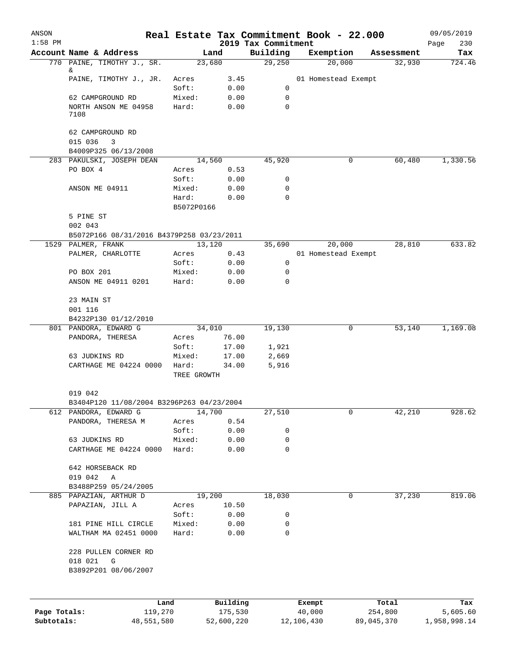| ANSON<br>$1:58$ PM |                                           |                      |          | 2019 Tax Commitment | Real Estate Tax Commitment Book - 22.000 |             | 09/05/2019<br>230<br>Page |
|--------------------|-------------------------------------------|----------------------|----------|---------------------|------------------------------------------|-------------|---------------------------|
|                    | Account Name & Address                    |                      | Land     | Building            | Exemption                                | Assessment  | Tax                       |
|                    | 770 PAINE, TIMOTHY J., SR.                |                      | 23,680   | 29,250              | 20,000                                   | 32,930      | 724.46                    |
|                    | &<br>PAINE, TIMOTHY J., JR.               | Acres                | 3.45     |                     | 01 Homestead Exempt                      |             |                           |
|                    |                                           | Soft:                | 0.00     | 0                   |                                          |             |                           |
|                    | 62 CAMPGROUND RD                          | Mixed:               | 0.00     | 0                   |                                          |             |                           |
|                    | NORTH ANSON ME 04958                      | Hard:                | 0.00     | $\mathbf 0$         |                                          |             |                           |
|                    | 7108                                      |                      |          |                     |                                          |             |                           |
|                    | 62 CAMPGROUND RD<br>015 036<br>3          |                      |          |                     |                                          |             |                           |
|                    | B4009P325 06/13/2008                      |                      |          |                     |                                          |             |                           |
|                    | 283 PAKULSKI, JOSEPH DEAN                 |                      | 14,560   | 45,920              |                                          | 60,480<br>0 | 1,330.56                  |
|                    | PO BOX 4                                  | Acres                | 0.53     |                     |                                          |             |                           |
|                    |                                           | Soft:                | 0.00     | 0                   |                                          |             |                           |
|                    | ANSON ME 04911                            | Mixed:               | 0.00     | 0                   |                                          |             |                           |
|                    |                                           | Hard:                | 0.00     | $\mathbf 0$         |                                          |             |                           |
|                    |                                           | B5072P0166           |          |                     |                                          |             |                           |
|                    | 5 PINE ST                                 |                      |          |                     |                                          |             |                           |
|                    | 002 043                                   |                      |          |                     |                                          |             |                           |
|                    | B5072P166 08/31/2016 B4379P258 03/23/2011 |                      |          |                     |                                          |             |                           |
|                    | 1529 PALMER, FRANK                        |                      | 13,120   | 35,690              | 20,000                                   | 28,810      | 633.82                    |
|                    | PALMER, CHARLOTTE                         | Acres                | 0.43     |                     | 01 Homestead Exempt                      |             |                           |
|                    |                                           | Soft:                | 0.00     | 0                   |                                          |             |                           |
|                    | PO BOX 201                                | Mixed:               | 0.00     | $\mathbf 0$         |                                          |             |                           |
|                    | ANSON ME 04911 0201                       | Hard:                | 0.00     | $\mathbf 0$         |                                          |             |                           |
|                    | 23 MAIN ST                                |                      |          |                     |                                          |             |                           |
|                    | 001 116                                   |                      |          |                     |                                          |             |                           |
|                    | B4232P130 01/12/2010                      |                      |          |                     |                                          |             |                           |
|                    | 801 PANDORA, EDWARD G                     |                      | 34,010   | 19,130              |                                          | 0<br>53,140 | 1,169.08                  |
|                    | PANDORA, THERESA                          | Acres                | 76.00    |                     |                                          |             |                           |
|                    |                                           | Soft:                | 17.00    | 1,921               |                                          |             |                           |
|                    | 63 JUDKINS RD                             | Mixed:               | 17.00    | 2,669               |                                          |             |                           |
|                    | CARTHAGE ME 04224 0000                    | Hard:<br>TREE GROWTH | 34.00    | 5,916               |                                          |             |                           |
|                    |                                           |                      |          |                     |                                          |             |                           |
|                    | 019 042                                   |                      |          |                     |                                          |             |                           |
|                    | B3404P120 11/08/2004 B3296P263 04/23/2004 |                      |          |                     |                                          |             |                           |
|                    | 612 PANDORA, EDWARD G                     |                      | 14,700   | 27,510              |                                          | 0<br>42,210 | 928.62                    |
|                    | PANDORA, THERESA M                        | Acres                | 0.54     |                     |                                          |             |                           |
|                    |                                           | Soft:                | 0.00     | 0                   |                                          |             |                           |
|                    | 63 JUDKINS RD                             | Mixed:               | 0.00     | 0                   |                                          |             |                           |
|                    | CARTHAGE ME 04224 0000                    | Hard:                | 0.00     | $\mathbf 0$         |                                          |             |                           |
|                    | 642 HORSEBACK RD                          |                      |          |                     |                                          |             |                           |
|                    | 019 042<br>Α                              |                      |          |                     |                                          |             |                           |
|                    | B3488P259 05/24/2005                      |                      |          |                     |                                          |             |                           |
|                    | 885 PAPAZIAN, ARTHUR D                    |                      | 19,200   | 18,030              |                                          | 37,230<br>0 | 819.06                    |
|                    | PAPAZIAN, JILL A                          | Acres                | 10.50    |                     |                                          |             |                           |
|                    |                                           | Soft:                | 0.00     | 0                   |                                          |             |                           |
|                    | 181 PINE HILL CIRCLE                      | Mixed:               | 0.00     | 0                   |                                          |             |                           |
|                    | WALTHAM MA 02451 0000                     | Hard:                | 0.00     | 0                   |                                          |             |                           |
|                    | 228 PULLEN CORNER RD                      |                      |          |                     |                                          |             |                           |
|                    | 018 021<br>G                              |                      |          |                     |                                          |             |                           |
|                    | B3892P201 08/06/2007                      |                      |          |                     |                                          |             |                           |
|                    |                                           |                      |          |                     |                                          |             |                           |
|                    | Land                                      |                      | Building |                     | Exempt                                   | Total       | Tax                       |
| Page Totals:       | 119,270                                   |                      | 175,530  |                     | 40,000                                   | 254,800     | 5,605.60                  |

**Subtotals:** 48,551,580 52,600,220 12,106,430 89,045,370 1,958,998.14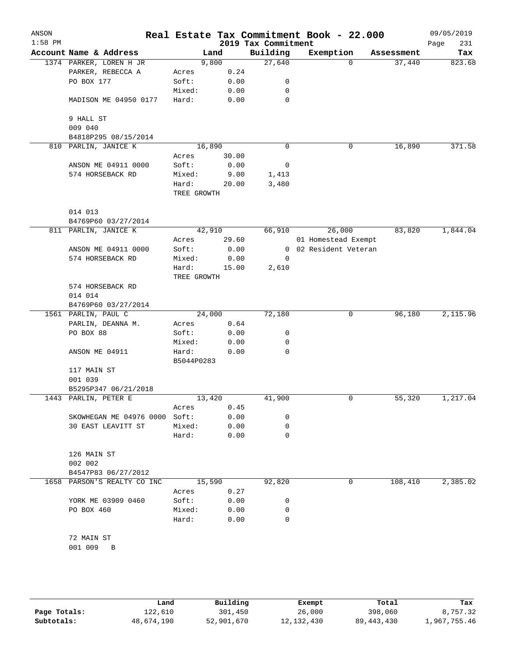| ANSON<br>$1:58$ PM |                             |                      |        | 2019 Tax Commitment | Real Estate Tax Commitment Book - 22.000 |            | 09/05/2019<br>Page<br>231 |
|--------------------|-----------------------------|----------------------|--------|---------------------|------------------------------------------|------------|---------------------------|
|                    | Account Name & Address      |                      | Land   | Building            | Exemption                                | Assessment | Tax                       |
|                    | 1374 PARKER, LOREN H JR     |                      | 9,800  | 27,640              | $\Omega$                                 | 37,440     | 823.68                    |
|                    | PARKER, REBECCA A           | Acres                | 0.24   |                     |                                          |            |                           |
|                    | PO BOX 177                  | Soft:                | 0.00   | 0                   |                                          |            |                           |
|                    |                             | Mixed:               | 0.00   | 0                   |                                          |            |                           |
|                    | MADISON ME 04950 0177       | Hard:                | 0.00   | 0                   |                                          |            |                           |
|                    | 9 HALL ST                   |                      |        |                     |                                          |            |                           |
|                    | 009 040                     |                      |        |                     |                                          |            |                           |
|                    | B4818P295 08/15/2014        |                      |        |                     |                                          |            |                           |
|                    | 810 PARLIN, JANICE K        |                      | 16,890 | $\mathbf 0$         | 0                                        | 16,890     | 371.58                    |
|                    |                             | Acres                | 30.00  |                     |                                          |            |                           |
|                    | ANSON ME 04911 0000         | Soft:                | 0.00   | 0                   |                                          |            |                           |
|                    | 574 HORSEBACK RD            | Mixed:               | 9.00   | 1,413               |                                          |            |                           |
|                    |                             | Hard:                | 20.00  | 3,480               |                                          |            |                           |
|                    |                             | TREE GROWTH          |        |                     |                                          |            |                           |
|                    | 014 013                     |                      |        |                     |                                          |            |                           |
|                    | B4769P60 03/27/2014         |                      |        |                     |                                          |            |                           |
|                    | 811 PARLIN, JANICE K        |                      | 42,910 | 66,910              | 26,000                                   | 83,820     | 1,844.04                  |
|                    |                             | Acres                | 29.60  |                     | 01 Homestead Exempt                      |            |                           |
|                    | ANSON ME 04911 0000         | Soft:                | 0.00   | $\overline{0}$      | 02 Resident Veteran                      |            |                           |
|                    | 574 HORSEBACK RD            | Mixed:               | 0.00   | 0                   |                                          |            |                           |
|                    |                             | Hard:<br>TREE GROWTH | 15.00  | 2,610               |                                          |            |                           |
|                    | 574 HORSEBACK RD            |                      |        |                     |                                          |            |                           |
|                    | 014 014                     |                      |        |                     |                                          |            |                           |
|                    | B4769P60 03/27/2014         |                      |        |                     |                                          |            |                           |
|                    | 1561 PARLIN, PAUL C         |                      | 24,000 | 72,180              | 0                                        | 96,180     | 2,115.96                  |
|                    | PARLIN, DEANNA M.           | Acres                | 0.64   |                     |                                          |            |                           |
|                    | PO BOX 88                   | Soft:                | 0.00   | 0                   |                                          |            |                           |
|                    |                             | Mixed:               | 0.00   | 0                   |                                          |            |                           |
|                    | ANSON ME 04911              | Hard:                | 0.00   | 0                   |                                          |            |                           |
|                    |                             | B5044P0283           |        |                     |                                          |            |                           |
|                    | 117 MAIN ST                 |                      |        |                     |                                          |            |                           |
|                    | 001 039                     |                      |        |                     |                                          |            |                           |
|                    | B5295P347 06/21/2018        |                      |        |                     |                                          |            |                           |
|                    | 1443 PARLIN, PETER E        |                      | 13,420 | 41,900              | 0                                        | 55,320     | 1,217.04                  |
|                    |                             | Acres                | 0.45   |                     |                                          |            |                           |
|                    | SKOWHEGAN ME 04976 0000     | Soft:                | 0.00   | 0                   |                                          |            |                           |
|                    | 30 EAST LEAVITT ST          | Mixed:               | 0.00   | 0                   |                                          |            |                           |
|                    |                             | Hard:                | 0.00   | 0                   |                                          |            |                           |
|                    | 126 MAIN ST                 |                      |        |                     |                                          |            |                           |
|                    | 002 002                     |                      |        |                     |                                          |            |                           |
|                    | B4547P83 06/27/2012         |                      |        |                     |                                          |            |                           |
|                    | 1658 PARSON'S REALTY CO INC |                      | 15,590 | 92,820              | 0                                        | 108,410    | 2,385.02                  |
|                    |                             | Acres                | 0.27   |                     |                                          |            |                           |
|                    | YORK ME 03909 0460          | Soft:                | 0.00   | 0                   |                                          |            |                           |
|                    | PO BOX 460                  | Mixed:               | 0.00   | 0                   |                                          |            |                           |
|                    |                             | Hard:                | 0.00   | $\Omega$            |                                          |            |                           |
|                    | 72 MAIN ST                  |                      |        |                     |                                          |            |                           |
|                    | 001 009<br>$\overline{B}$   |                      |        |                     |                                          |            |                           |
|                    |                             |                      |        |                     |                                          |            |                           |

|              | Land       | Building   | Exempt       | Total      | Tax          |
|--------------|------------|------------|--------------|------------|--------------|
| Page Totals: | 122,610    | 301,450    | 26,000       | 398,060    | 8,757.32     |
| Subtotals:   | 48,674,190 | 52,901,670 | 12, 132, 430 | 89,443,430 | 1,967,755.46 |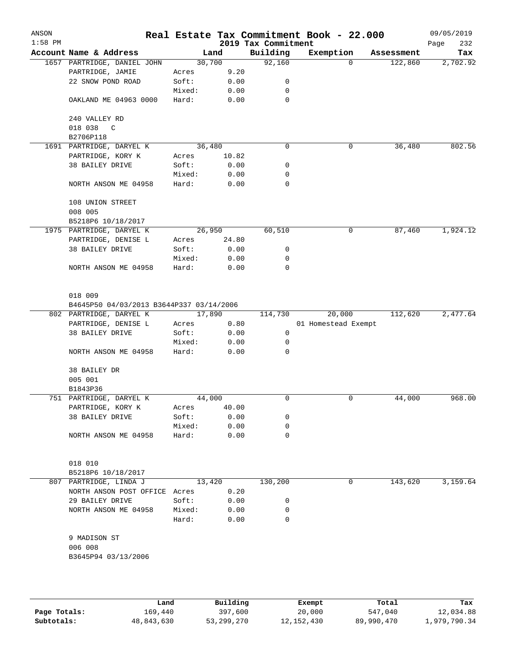| ANSON     |                                                 |                |                |                                 | Real Estate Tax Commitment Book - 22.000 |            | 09/05/2019  |
|-----------|-------------------------------------------------|----------------|----------------|---------------------------------|------------------------------------------|------------|-------------|
| $1:58$ PM | Account Name & Address                          |                |                | 2019 Tax Commitment<br>Building |                                          |            | 232<br>Page |
|           |                                                 |                | Land           |                                 | Exemption<br>$\Omega$                    | Assessment | Tax         |
|           | 1657 PARTRIDGE, DANIEL JOHN<br>PARTRIDGE, JAMIE |                | 30,700<br>9.20 | 92,160                          |                                          | 122,860    | 2,702.92    |
|           | 22 SNOW POND ROAD                               | Acres<br>Soft: | 0.00           | 0                               |                                          |            |             |
|           |                                                 | Mixed:         | 0.00           | 0                               |                                          |            |             |
|           | OAKLAND ME 04963 0000                           | Hard:          | 0.00           | 0                               |                                          |            |             |
|           | 240 VALLEY RD                                   |                |                |                                 |                                          |            |             |
|           | 018 038<br>$\mathbb C$                          |                |                |                                 |                                          |            |             |
|           | B2706P118                                       |                |                |                                 |                                          |            |             |
|           | 1691 PARTRIDGE, DARYEL K                        |                | 36,480         | $\mathbf 0$                     | 0                                        | 36,480     | 802.56      |
|           | PARTRIDGE, KORY K                               | Acres          | 10.82          |                                 |                                          |            |             |
|           | 38 BAILEY DRIVE                                 | Soft:          | 0.00           | 0                               |                                          |            |             |
|           |                                                 | Mixed:         | 0.00           | 0                               |                                          |            |             |
|           | NORTH ANSON ME 04958                            | Hard:          | 0.00           | 0                               |                                          |            |             |
|           | 108 UNION STREET                                |                |                |                                 |                                          |            |             |
|           | 008 005                                         |                |                |                                 |                                          |            |             |
|           | B5218P6 10/18/2017<br>1975 PARTRIDGE, DARYEL K  |                | 26,950         | 60,510                          | 0                                        | 87,460     | 1,924.12    |
|           |                                                 |                |                |                                 |                                          |            |             |
|           | PARTRIDGE, DENISE L<br>38 BAILEY DRIVE          | Acres<br>Soft: | 24.80<br>0.00  | 0                               |                                          |            |             |
|           |                                                 | Mixed:         | 0.00           | 0                               |                                          |            |             |
|           | NORTH ANSON ME 04958                            | Hard:          | 0.00           | 0                               |                                          |            |             |
|           |                                                 |                |                |                                 |                                          |            |             |
|           | 018 009                                         |                |                |                                 |                                          |            |             |
|           | B4645P50 04/03/2013 B3644P337 03/14/2006        |                |                |                                 |                                          |            |             |
|           | 802 PARTRIDGE, DARYEL K                         |                | 17,890         | 114,730                         | 20,000                                   | 112,620    | 2,477.64    |
|           | PARTRIDGE, DENISE L                             | Acres          | 0.80           |                                 | 01 Homestead Exempt                      |            |             |
|           | 38 BAILEY DRIVE                                 | Soft:          | 0.00           | 0                               |                                          |            |             |
|           |                                                 | Mixed:         | 0.00           | 0                               |                                          |            |             |
|           | NORTH ANSON ME 04958                            | Hard:          | 0.00           | 0                               |                                          |            |             |
|           | 38 BAILEY DR<br>005 001                         |                |                |                                 |                                          |            |             |
|           | B1843P36                                        |                |                |                                 |                                          |            |             |
|           | 751 PARTRIDGE, DARYEL K                         |                | 44,000         | 0                               | 0                                        | 44,000     | 968.00      |
|           | PARTRIDGE, KORY K                               | Acres          | 40.00          |                                 |                                          |            |             |
|           | 38 BAILEY DRIVE                                 | Soft:          | 0.00           | 0                               |                                          |            |             |
|           |                                                 | Mixed:         | 0.00           | 0                               |                                          |            |             |
|           | NORTH ANSON ME 04958                            | Hard:          | 0.00           | 0                               |                                          |            |             |
|           |                                                 |                |                |                                 |                                          |            |             |
|           | 018 010                                         |                |                |                                 |                                          |            |             |
|           | B5218P6 10/18/2017                              |                |                |                                 |                                          |            |             |
|           | 807 PARTRIDGE, LINDA J                          |                | 13,420         | 130,200                         | 0                                        | 143,620    | 3,159.64    |
|           | NORTH ANSON POST OFFICE Acres                   |                | 0.20           |                                 |                                          |            |             |
|           | 29 BAILEY DRIVE                                 | Soft:          | 0.00           | 0                               |                                          |            |             |
|           | NORTH ANSON ME 04958                            | Mixed:         | 0.00           | 0                               |                                          |            |             |
|           |                                                 | Hard:          | 0.00           | 0                               |                                          |            |             |
|           | 9 MADISON ST                                    |                |                |                                 |                                          |            |             |
|           | 006 008                                         |                |                |                                 |                                          |            |             |
|           | B3645P94 03/13/2006                             |                |                |                                 |                                          |            |             |
|           |                                                 |                |                |                                 |                                          |            |             |
|           |                                                 |                |                |                                 |                                          |            |             |
|           |                                                 |                |                |                                 |                                          |            |             |

|              | Land       | Building   | Exempt     | Total      | Tax          |
|--------------|------------|------------|------------|------------|--------------|
| Page Totals: | 169,440    | 397,600    | 20,000     | 547,040    | 12,034.88    |
| Subtotals:   | 48,843,630 | 53,299,270 | 12,152,430 | 89,990,470 | l,979,790.34 |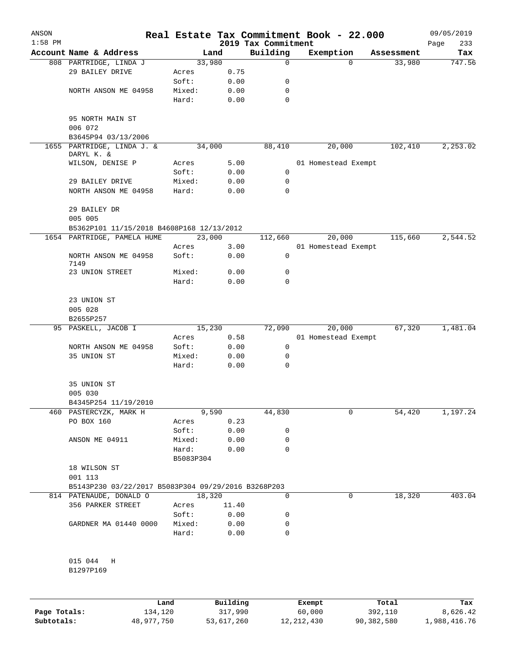| ANSON<br>$1:58$ PM |                                                     |                    |              | 2019 Tax Commitment | Real Estate Tax Commitment Book - 22.000 |            | 09/05/2019<br>233<br>Page |
|--------------------|-----------------------------------------------------|--------------------|--------------|---------------------|------------------------------------------|------------|---------------------------|
|                    | Account Name & Address                              |                    | Land         | Building            | Exemption                                | Assessment | Tax                       |
|                    | 808 PARTRIDGE, LINDA J                              | 33,980             |              | 0                   | $\Omega$                                 | 33,980     | 747.56                    |
|                    | 29 BAILEY DRIVE                                     | Acres              | 0.75         |                     |                                          |            |                           |
|                    |                                                     | Soft:              | 0.00         | 0                   |                                          |            |                           |
|                    | NORTH ANSON ME 04958                                | Mixed:             | 0.00         | 0                   |                                          |            |                           |
|                    |                                                     | Hard:              | 0.00         | $\mathbf 0$         |                                          |            |                           |
|                    | 95 NORTH MAIN ST<br>006 072                         |                    |              |                     |                                          |            |                           |
|                    | B3645P94 03/13/2006                                 |                    |              |                     |                                          |            |                           |
|                    | 1655 PARTRIDGE, LINDA J. &<br>DARYL K. &            | 34,000             |              | 88,410              | 20,000                                   | 102,410    | 2,253.02                  |
|                    | WILSON, DENISE P                                    | Acres              | 5.00         |                     | 01 Homestead Exempt                      |            |                           |
|                    |                                                     | Soft:              | 0.00         | $\mathbf 0$         |                                          |            |                           |
|                    | 29 BAILEY DRIVE                                     | Mixed:             | 0.00         | 0                   |                                          |            |                           |
|                    | NORTH ANSON ME 04958                                | Hard:              | 0.00         | 0                   |                                          |            |                           |
|                    | 29 BAILEY DR<br>005 005                             |                    |              |                     |                                          |            |                           |
|                    | B5362P101 11/15/2018 B4608P168 12/13/2012           |                    |              |                     |                                          |            |                           |
|                    | 1654 PARTRIDGE, PAMELA HUME                         | 23,000             |              | 112,660             | 20,000                                   | 115,660    | 2,544.52                  |
|                    |                                                     | Acres              | 3.00         |                     | 01 Homestead Exempt                      |            |                           |
|                    | NORTH ANSON ME 04958<br>7149                        | Soft:              | 0.00         | 0                   |                                          |            |                           |
|                    | 23 UNION STREET                                     | Mixed:             | 0.00         | 0                   |                                          |            |                           |
|                    |                                                     | Hard:              | 0.00         | $\Omega$            |                                          |            |                           |
|                    | 23 UNION ST<br>005 028                              |                    |              |                     |                                          |            |                           |
|                    | B2655P257                                           |                    |              |                     |                                          |            |                           |
|                    | 95 PASKELL, JACOB I                                 | 15,230             |              | 72,090              | 20,000                                   | 67,320     | 1,481.04                  |
|                    |                                                     | Acres              | 0.58         |                     | 01 Homestead Exempt                      |            |                           |
|                    | NORTH ANSON ME 04958                                | Soft:              | 0.00         | 0                   |                                          |            |                           |
|                    | 35 UNION ST                                         | Mixed:             | 0.00         | 0                   |                                          |            |                           |
|                    |                                                     | Hard:              | 0.00         | $\mathbf 0$         |                                          |            |                           |
|                    | 35 UNION ST<br>005 030                              |                    |              |                     |                                          |            |                           |
|                    | B4345P254 11/19/2010                                |                    |              |                     |                                          |            |                           |
|                    | 460 PASTERCYZK, MARK H                              |                    | 9,590        | 44,830              | 0                                        | 54,420     | 1,197.24                  |
|                    | PO BOX 160                                          | Acres              | 0.23         |                     |                                          |            |                           |
|                    |                                                     | Soft:              | 0.00         | 0                   |                                          |            |                           |
|                    | ANSON ME 04911                                      | Mixed:             | 0.00         | 0                   |                                          |            |                           |
|                    |                                                     | Hard:<br>B5083P304 | 0.00         | 0                   |                                          |            |                           |
|                    | 18 WILSON ST                                        |                    |              |                     |                                          |            |                           |
|                    | 001 113                                             |                    |              |                     |                                          |            |                           |
|                    | B5143P230 03/22/2017 B5083P304 09/29/2016 B3268P203 |                    |              |                     |                                          |            |                           |
|                    | 814 PATENAUDE, DONALD O                             | 18,320             |              | 0                   | 0                                        | 18,320     | 403.04                    |
|                    | 356 PARKER STREET                                   |                    |              |                     |                                          |            |                           |
|                    |                                                     | Acres<br>Soft:     | 11.40        | 0                   |                                          |            |                           |
|                    |                                                     |                    | 0.00         |                     |                                          |            |                           |
|                    | GARDNER MA 01440 0000                               | Mixed:<br>Hard:    | 0.00<br>0.00 | 0<br>0              |                                          |            |                           |
|                    |                                                     |                    |              |                     |                                          |            |                           |
|                    | 015 044<br>H<br>B1297P169                           |                    |              |                     |                                          |            |                           |
|                    |                                                     |                    |              |                     |                                          |            |                           |
|                    |                                                     |                    |              |                     |                                          |            |                           |
|                    | Land.                                               |                    | Building     |                     | $F$ vomnt                                | $T$ ctal   | Tov                       |

|              | Land       | Building   | Exempt       | Total      | Tax          |
|--------------|------------|------------|--------------|------------|--------------|
| Page Totals: | 134,120    | 317,990    | 60,000       | 392,110    | 8,626.42     |
| Subtotals:   | 48,977,750 | 53,617,260 | 12, 212, 430 | 90,382,580 | 1,988,416.76 |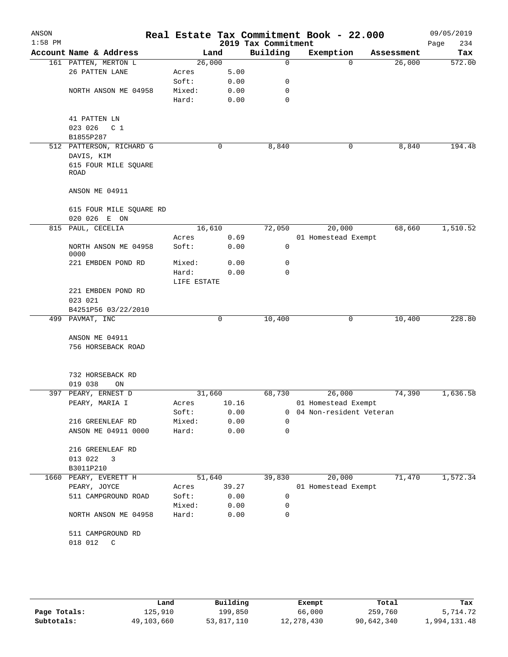| ANSON<br>$1:58$ PM |                              |             |       | 2019 Tax Commitment | Real Estate Tax Commitment Book - 22.000 |            |        | 09/05/2019<br>Page | 234      |
|--------------------|------------------------------|-------------|-------|---------------------|------------------------------------------|------------|--------|--------------------|----------|
|                    | Account Name & Address       | Land        |       | Building            | Exemption                                | Assessment |        |                    | Tax      |
|                    | 161 PATTEN, MERTON L         | 26,000      |       | 0                   | $\Omega$                                 |            | 26,000 |                    | 572.00   |
|                    | 26 PATTEN LANE               | Acres       | 5.00  |                     |                                          |            |        |                    |          |
|                    |                              | Soft:       | 0.00  | 0                   |                                          |            |        |                    |          |
|                    | NORTH ANSON ME 04958         | Mixed:      | 0.00  | 0                   |                                          |            |        |                    |          |
|                    |                              | Hard:       | 0.00  | 0                   |                                          |            |        |                    |          |
|                    | 41 PATTEN LN                 |             |       |                     |                                          |            |        |                    |          |
|                    | 023 026<br>C <sub>1</sub>    |             |       |                     |                                          |            |        |                    |          |
|                    | B1855P287                    |             |       |                     |                                          |            |        |                    |          |
|                    | 512 PATTERSON, RICHARD G     |             |       | 8,840               |                                          |            | 8,840  |                    | 194.48   |
|                    |                              |             | 0     |                     | 0                                        |            |        |                    |          |
|                    | DAVIS, KIM                   |             |       |                     |                                          |            |        |                    |          |
|                    | 615 FOUR MILE SQUARE<br>ROAD |             |       |                     |                                          |            |        |                    |          |
|                    | ANSON ME 04911               |             |       |                     |                                          |            |        |                    |          |
|                    | 615 FOUR MILE SQUARE RD      |             |       |                     |                                          |            |        |                    |          |
|                    | 020 026 E ON                 |             |       |                     |                                          |            |        |                    |          |
|                    | 815 PAUL, CECELIA            | 16,610      |       | 72,050              | 20,000                                   |            | 68,660 |                    | 1,510.52 |
|                    |                              | Acres       | 0.69  |                     | 01 Homestead Exempt                      |            |        |                    |          |
|                    | NORTH ANSON ME 04958<br>0000 | Soft:       | 0.00  | 0                   |                                          |            |        |                    |          |
|                    | 221 EMBDEN POND RD           | Mixed:      | 0.00  | 0                   |                                          |            |        |                    |          |
|                    |                              | Hard:       | 0.00  | 0                   |                                          |            |        |                    |          |
|                    |                              | LIFE ESTATE |       |                     |                                          |            |        |                    |          |
|                    | 221 EMBDEN POND RD           |             |       |                     |                                          |            |        |                    |          |
|                    | 023 021                      |             |       |                     |                                          |            |        |                    |          |
|                    | B4251P56 03/22/2010          |             |       |                     |                                          |            |        |                    |          |
|                    | 499 PAVMAT, INC              |             | 0     | 10,400              | 0                                        |            | 10,400 |                    | 228.80   |
|                    |                              |             |       |                     |                                          |            |        |                    |          |
|                    | ANSON ME 04911               |             |       |                     |                                          |            |        |                    |          |
|                    | 756 HORSEBACK ROAD           |             |       |                     |                                          |            |        |                    |          |
|                    |                              |             |       |                     |                                          |            |        |                    |          |
|                    | 732 HORSEBACK RD             |             |       |                     |                                          |            |        |                    |          |
|                    | 019 038<br>ON                |             |       |                     |                                          |            |        |                    |          |
|                    | 397 PEARY, ERNEST D          | 31,660      |       | 68,730              | 26,000                                   |            | 74,390 |                    | 1,636.58 |
|                    | PEARY, MARIA I               | Acres       | 10.16 |                     | 01 Homestead Exempt                      |            |        |                    |          |
|                    |                              | Soft:       | 0.00  | 0                   | 04 Non-resident Veteran                  |            |        |                    |          |
|                    | 216 GREENLEAF RD             | Mixed:      | 0.00  | 0                   |                                          |            |        |                    |          |
|                    | ANSON ME 04911 0000          | Hard:       | 0.00  | $\mathbf 0$         |                                          |            |        |                    |          |
|                    | 216 GREENLEAF RD             |             |       |                     |                                          |            |        |                    |          |
|                    | 013 022<br>3                 |             |       |                     |                                          |            |        |                    |          |
|                    | B3011P210                    |             |       |                     |                                          |            |        |                    |          |
|                    | 1660 PEARY, EVERETT H        | 51,640      |       | 39,830              | 20,000                                   |            | 71,470 |                    | 1,572.34 |
|                    | PEARY, JOYCE                 | Acres       | 39.27 |                     | 01 Homestead Exempt                      |            |        |                    |          |
|                    | 511 CAMPGROUND ROAD          | Soft:       | 0.00  | 0                   |                                          |            |        |                    |          |
|                    |                              | Mixed:      | 0.00  | 0                   |                                          |            |        |                    |          |
|                    | NORTH ANSON ME 04958         | Hard:       | 0.00  | $\mathbf 0$         |                                          |            |        |                    |          |
|                    | 511 CAMPGROUND RD            |             |       |                     |                                          |            |        |                    |          |
|                    | 018 012<br>C                 |             |       |                     |                                          |            |        |                    |          |
|                    |                              |             |       |                     |                                          |            |        |                    |          |
|                    |                              |             |       |                     |                                          |            |        |                    |          |

|              | Land       | Building   | Exempt     | Total      | Tax          |
|--------------|------------|------------|------------|------------|--------------|
| Page Totals: | 125,910    | 199,850    | 66,000     | 259,760    | 5,714.72     |
| Subtotals:   | 49,103,660 | 53,817,110 | 12,278,430 | 90,642,340 | 1,994,131.48 |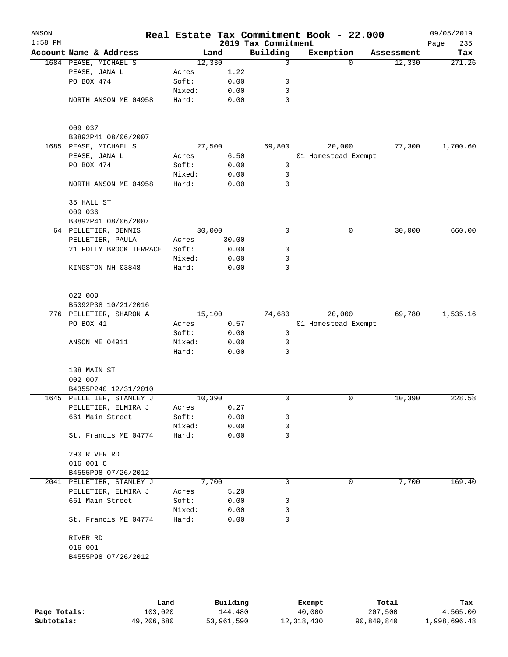| ANSON<br>$1:58$ PM |                           |        |        | 2019 Tax Commitment | Real Estate Tax Commitment Book - 22.000 |            | 09/05/2019<br>Page<br>235 |
|--------------------|---------------------------|--------|--------|---------------------|------------------------------------------|------------|---------------------------|
|                    | Account Name & Address    |        | Land   | Building            | Exemption                                | Assessment | Tax                       |
|                    | 1684 PEASE, MICHAEL S     |        | 12,330 | 0                   | $\Omega$                                 | 12,330     | 271.26                    |
|                    | PEASE, JANA L             | Acres  | 1.22   |                     |                                          |            |                           |
|                    | PO BOX 474                | Soft:  | 0.00   | 0                   |                                          |            |                           |
|                    |                           | Mixed: | 0.00   | 0                   |                                          |            |                           |
|                    | NORTH ANSON ME 04958      | Hard:  | 0.00   | 0                   |                                          |            |                           |
|                    | 009 037                   |        |        |                     |                                          |            |                           |
|                    | B3892P41 08/06/2007       |        |        |                     |                                          |            |                           |
|                    | 1685 PEASE, MICHAEL S     |        | 27,500 | 69,800              | 20,000                                   | 77,300     | 1,700.60                  |
|                    | PEASE, JANA L             | Acres  | 6.50   |                     | 01 Homestead Exempt                      |            |                           |
|                    | PO BOX 474                | Soft:  | 0.00   | 0                   |                                          |            |                           |
|                    |                           | Mixed: | 0.00   | 0                   |                                          |            |                           |
|                    | NORTH ANSON ME 04958      | Hard:  | 0.00   | $\mathbf 0$         |                                          |            |                           |
|                    | 35 HALL ST                |        |        |                     |                                          |            |                           |
|                    | 009 036                   |        |        |                     |                                          |            |                           |
|                    | B3892P41 08/06/2007       |        |        |                     |                                          |            |                           |
|                    | 64 PELLETIER, DENNIS      |        | 30,000 | 0                   | 0                                        | 30,000     | 660.00                    |
|                    | PELLETIER, PAULA          | Acres  | 30.00  |                     |                                          |            |                           |
|                    | 21 FOLLY BROOK TERRACE    | Soft:  | 0.00   | 0                   |                                          |            |                           |
|                    |                           | Mixed: | 0.00   | 0                   |                                          |            |                           |
|                    | KINGSTON NH 03848         | Hard:  | 0.00   | 0                   |                                          |            |                           |
|                    | 022 009                   |        |        |                     |                                          |            |                           |
|                    | B5092P38 10/21/2016       |        |        |                     |                                          |            |                           |
|                    | 776 PELLETIER, SHARON A   |        | 15,100 | 74,680              | 20,000                                   | 69,780     | 1,535.16                  |
|                    | PO BOX 41                 | Acres  | 0.57   |                     | 01 Homestead Exempt                      |            |                           |
|                    |                           | Soft:  | 0.00   | $\mathsf 0$         |                                          |            |                           |
|                    | ANSON ME 04911            | Mixed: | 0.00   | 0                   |                                          |            |                           |
|                    |                           | Hard:  | 0.00   | 0                   |                                          |            |                           |
|                    | 138 MAIN ST               |        |        |                     |                                          |            |                           |
|                    | 002 007                   |        |        |                     |                                          |            |                           |
|                    | B4355P240 12/31/2010      |        |        |                     |                                          |            |                           |
|                    | 1645 PELLETIER, STANLEY J |        | 10,390 | 0                   | 0                                        | 10,390     | 228.58                    |
|                    | PELLETIER, ELMIRA J       | Acres  | 0.27   |                     |                                          |            |                           |
|                    | 661 Main Street           | Soft:  | 0.00   | 0                   |                                          |            |                           |
|                    |                           | Mixed: | 0.00   | 0                   |                                          |            |                           |
|                    | St. Francis ME 04774      | Hard:  | 0.00   | 0                   |                                          |            |                           |
|                    | 290 RIVER RD              |        |        |                     |                                          |            |                           |
|                    | 016 001 C                 |        |        |                     |                                          |            |                           |
|                    | B4555P98 07/26/2012       |        |        |                     |                                          |            |                           |
|                    | 2041 PELLETIER, STANLEY J |        | 7,700  | 0                   | 0                                        | 7,700      | 169.40                    |
|                    | PELLETIER, ELMIRA J       | Acres  | 5.20   |                     |                                          |            |                           |
|                    | 661 Main Street           | Soft:  | 0.00   | 0                   |                                          |            |                           |
|                    |                           | Mixed: | 0.00   | 0                   |                                          |            |                           |
|                    | St. Francis ME 04774      | Hard:  | 0.00   | 0                   |                                          |            |                           |
|                    | RIVER RD                  |        |        |                     |                                          |            |                           |
|                    | 016 001                   |        |        |                     |                                          |            |                           |
|                    | B4555P98 07/26/2012       |        |        |                     |                                          |            |                           |
|                    |                           |        |        |                     |                                          |            |                           |
|                    |                           |        |        |                     |                                          |            |                           |
|                    |                           |        |        |                     |                                          |            |                           |

|              | Land       | Building   | Exempt     | Total      | Tax          |
|--------------|------------|------------|------------|------------|--------------|
| Page Totals: | 103,020    | 144,480    | 40,000     | 207,500    | 4,565.00     |
| Subtotals:   | 49,206,680 | 53,961,590 | 12,318,430 | 90,849,840 | 1,998,696.48 |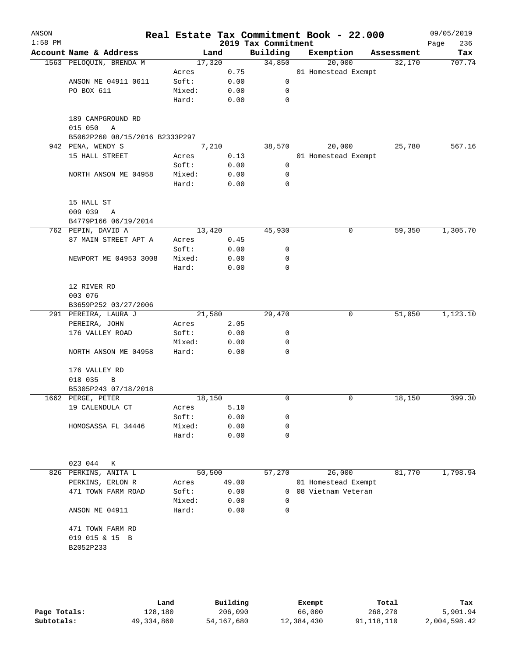|                                |        |        |       | Real Estate Tax Commitment Book - 22.000<br>2019 Tax Commitment |                     |            | 09/05/2019<br>236<br>Page |
|--------------------------------|--------|--------|-------|-----------------------------------------------------------------|---------------------|------------|---------------------------|
| Account Name & Address         |        | Land   |       | Building                                                        | Exemption           | Assessment | Tax                       |
| 1563 PELOQUIN, BRENDA M        |        | 17,320 |       | 34,850                                                          | 20,000              | 32,170     | 707.74                    |
|                                | Acres  |        | 0.75  |                                                                 | 01 Homestead Exempt |            |                           |
| ANSON ME 04911 0611            | Soft:  |        | 0.00  | 0                                                               |                     |            |                           |
| PO BOX 611                     | Mixed: |        | 0.00  | 0                                                               |                     |            |                           |
|                                | Hard:  |        | 0.00  | 0                                                               |                     |            |                           |
| 189 CAMPGROUND RD              |        |        |       |                                                                 |                     |            |                           |
| 015 050<br>Α                   |        |        |       |                                                                 |                     |            |                           |
| B5062P260 08/15/2016 B2333P297 |        |        |       |                                                                 |                     |            |                           |
| 942 PENA, WENDY S              |        | 7,210  |       | 38,570                                                          | 20,000              | 25,780     | 567.16                    |
| 15 HALL STREET                 | Acres  |        | 0.13  |                                                                 | 01 Homestead Exempt |            |                           |
|                                | Soft:  |        | 0.00  | 0                                                               |                     |            |                           |
| NORTH ANSON ME 04958           | Mixed: |        | 0.00  | 0                                                               |                     |            |                           |
|                                | Hard:  |        | 0.00  | 0                                                               |                     |            |                           |
| 15 HALL ST                     |        |        |       |                                                                 |                     |            |                           |
| 009 039<br>Α                   |        |        |       |                                                                 |                     |            |                           |
| B4779P166 06/19/2014           |        |        |       |                                                                 |                     |            |                           |
| 762 PEPIN, DAVID A             |        | 13,420 |       | 45,930                                                          | 0                   | 59,350     | 1,305.70                  |
| 87 MAIN STREET APT A           | Acres  |        | 0.45  |                                                                 |                     |            |                           |
|                                | Soft:  |        | 0.00  | 0                                                               |                     |            |                           |
| NEWPORT ME 04953 3008          | Mixed: |        | 0.00  | 0                                                               |                     |            |                           |
|                                | Hard:  |        | 0.00  | 0                                                               |                     |            |                           |
|                                |        |        |       |                                                                 |                     |            |                           |
| 12 RIVER RD                    |        |        |       |                                                                 |                     |            |                           |
| 003 076                        |        |        |       |                                                                 |                     |            |                           |
| B3659P252 03/27/2006           |        |        |       |                                                                 |                     |            |                           |
| 291 PEREIRA, LAURA J           |        | 21,580 |       | 29,470                                                          | 0                   | 51,050     | 1,123.10                  |
| PEREIRA, JOHN                  | Acres  |        | 2.05  |                                                                 |                     |            |                           |
| 176 VALLEY ROAD                | Soft:  |        | 0.00  | 0                                                               |                     |            |                           |
|                                | Mixed: |        | 0.00  | 0                                                               |                     |            |                           |
| NORTH ANSON ME 04958           | Hard:  |        | 0.00  | 0                                                               |                     |            |                           |
|                                |        |        |       |                                                                 |                     |            |                           |
| 176 VALLEY RD                  |        |        |       |                                                                 |                     |            |                           |
| 018 035<br>В                   |        |        |       |                                                                 |                     |            |                           |
| B5305P243 07/18/2018           |        |        |       |                                                                 |                     |            |                           |
| 1662 PERGE, PETER              |        | 18,150 |       | 0                                                               | 0                   | 18,150     | 399.30                    |
| 19 CALENDULA CT                | Acres  |        | 5.10  |                                                                 |                     |            |                           |
|                                | Soft:  |        | 0.00  | 0                                                               |                     |            |                           |
| HOMOSASSA FL 34446             | Mixed: |        | 0.00  | 0                                                               |                     |            |                           |
|                                | Hard:  |        | 0.00  | 0                                                               |                     |            |                           |
|                                |        |        |       |                                                                 |                     |            |                           |
| 023 044<br>К                   |        |        |       |                                                                 |                     |            |                           |
| 826 PERKINS, ANITA L           |        | 50,500 |       | 57,270                                                          | 26,000              | 81,770     | 1,798.94                  |
| PERKINS, ERLON R               | Acres  |        | 49.00 |                                                                 | 01 Homestead Exempt |            |                           |
| 471 TOWN FARM ROAD             | Soft:  |        | 0.00  | 0                                                               | 08 Vietnam Veteran  |            |                           |
|                                | Mixed: |        | 0.00  | 0                                                               |                     |            |                           |
| ANSON ME 04911                 | Hard:  |        | 0.00  | 0                                                               |                     |            |                           |
| 471 TOWN FARM RD               |        |        |       |                                                                 |                     |            |                           |
| 019 015 & 15 B                 |        |        |       |                                                                 |                     |            |                           |
|                                |        |        |       |                                                                 |                     |            |                           |
| B2052P233                      |        |        |       |                                                                 |                     |            |                           |

|              | Land       | Building   | Exempt     | Total      | Tax          |
|--------------|------------|------------|------------|------------|--------------|
| Page Totals: | 128,180    | 206,090    | 66,000     | 268,270    | 5,901.94     |
| Subtotals:   | 49,334,860 | 54,167,680 | 12,384,430 | 91,118,110 | 2,004,598.42 |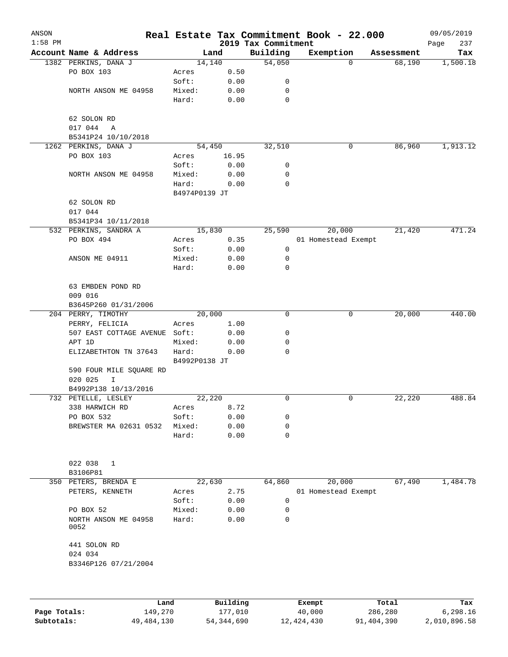| ANSON<br>$1:58$ PM |                               |               |          | 2019 Tax Commitment | Real Estate Tax Commitment Book - 22.000 |            | 09/05/2019<br>Page<br>237 |
|--------------------|-------------------------------|---------------|----------|---------------------|------------------------------------------|------------|---------------------------|
|                    | Account Name & Address        |               | Land     | Building            | Exemption                                | Assessment | Tax                       |
|                    | 1382 PERKINS, DANA J          |               | 14,140   | 54,050              | $\Omega$                                 | 68,190     | 1,500.18                  |
|                    | PO BOX 103                    | Acres         | 0.50     |                     |                                          |            |                           |
|                    |                               | Soft:         | 0.00     | 0                   |                                          |            |                           |
|                    | NORTH ANSON ME 04958          | Mixed:        | 0.00     | 0                   |                                          |            |                           |
|                    |                               | Hard:         | 0.00     | 0                   |                                          |            |                           |
|                    | 62 SOLON RD                   |               |          |                     |                                          |            |                           |
|                    | 017 044<br>Α                  |               |          |                     |                                          |            |                           |
|                    | B5341P24 10/10/2018           |               |          |                     |                                          |            |                           |
|                    | 1262 PERKINS, DANA J          |               | 54,450   | 32,510              | 0                                        | 86,960     | 1,913.12                  |
|                    | PO BOX 103                    | Acres         | 16.95    |                     |                                          |            |                           |
|                    |                               | Soft:         | 0.00     | 0                   |                                          |            |                           |
|                    | NORTH ANSON ME 04958          | Mixed:        | 0.00     | 0                   |                                          |            |                           |
|                    |                               | Hard:         | 0.00     | 0                   |                                          |            |                           |
|                    |                               | B4974P0139 JT |          |                     |                                          |            |                           |
|                    | 62 SOLON RD                   |               |          |                     |                                          |            |                           |
|                    | 017 044                       |               |          |                     |                                          |            |                           |
|                    | B5341P34 10/11/2018           |               |          |                     |                                          |            |                           |
|                    | 532 PERKINS, SANDRA A         |               | 15,830   | 25,590              | 20,000                                   | 21,420     | 471.24                    |
|                    | PO BOX 494                    | Acres         | 0.35     |                     | 01 Homestead Exempt                      |            |                           |
|                    |                               | Soft:         | 0.00     | 0                   |                                          |            |                           |
|                    | ANSON ME 04911                | Mixed:        | 0.00     | 0                   |                                          |            |                           |
|                    |                               | Hard:         | 0.00     | 0                   |                                          |            |                           |
|                    | 63 EMBDEN POND RD             |               |          |                     |                                          |            |                           |
|                    | 009 016                       |               |          |                     |                                          |            |                           |
|                    | B3645P260 01/31/2006          |               |          |                     |                                          |            |                           |
|                    | 204 PERRY, TIMOTHY            |               | 20,000   | 0                   | 0                                        | 20,000     | 440.00                    |
|                    | PERRY, FELICIA                | Acres         | 1.00     |                     |                                          |            |                           |
|                    | 507 EAST COTTAGE AVENUE Soft: |               | 0.00     | 0                   |                                          |            |                           |
|                    | APT 1D                        | Mixed:        | 0.00     | 0                   |                                          |            |                           |
|                    | ELIZABETHTON TN 37643         | Hard:         | 0.00     | 0                   |                                          |            |                           |
|                    |                               | B4992P0138 JT |          |                     |                                          |            |                           |
|                    | 590 FOUR MILE SQUARE RD       |               |          |                     |                                          |            |                           |
|                    | 020 025<br>I                  |               |          |                     |                                          |            |                           |
|                    | B4992P138 10/13/2016          |               |          |                     |                                          |            |                           |
|                    | 732 PETELLE, LESLEY           |               | 22,220   | 0                   | 0                                        | 22,220     | 488.84                    |
|                    | 338 HARWICH RD                | Acres         | 8.72     |                     |                                          |            |                           |
|                    | PO BOX 532                    | Soft:         | 0.00     | 0                   |                                          |            |                           |
|                    | BREWSTER MA 02631 0532        | Mixed:        | 0.00     | 0                   |                                          |            |                           |
|                    |                               | Hard:         | 0.00     | 0                   |                                          |            |                           |
|                    |                               |               |          |                     |                                          |            |                           |
|                    | 022 038<br>1                  |               |          |                     |                                          |            |                           |
|                    | B3106P81                      |               |          |                     |                                          |            |                           |
|                    | 350 PETERS, BRENDA E          |               | 22,630   | 64,860              | 20,000                                   | 67,490     | 1,484.78                  |
|                    | PETERS, KENNETH               | Acres         | 2.75     |                     | 01 Homestead Exempt                      |            |                           |
|                    |                               | Soft:         | 0.00     | 0                   |                                          |            |                           |
|                    | PO BOX 52                     | Mixed:        | 0.00     | 0                   |                                          |            |                           |
|                    | NORTH ANSON ME 04958          | Hard:         | 0.00     | 0                   |                                          |            |                           |
|                    | 0052                          |               |          |                     |                                          |            |                           |
|                    | 441 SOLON RD                  |               |          |                     |                                          |            |                           |
|                    | 024 034                       |               |          |                     |                                          |            |                           |
|                    | B3346P126 07/21/2004          |               |          |                     |                                          |            |                           |
|                    |                               |               |          |                     |                                          |            |                           |
|                    | Land                          |               | Building |                     | Exempt                                   | Total      | Tax                       |

**Page Totals:** 149,270 177,010 40,000 286,280 6,298.16 **Subtotals:** 49,484,130 54,344,690 12,424,430 91,404,390 2,010,896.58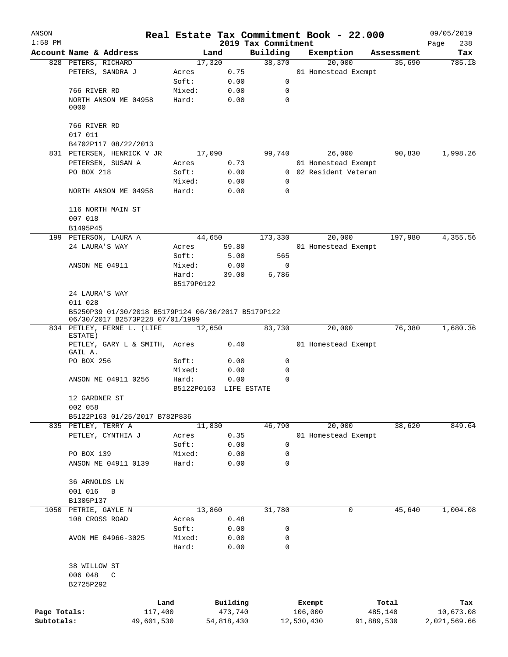| ANSON<br>$1:58$ PM |                                                    |                     |                        |                                 | Real Estate Tax Commitment Book - 22.000 |            | 09/05/2019         |
|--------------------|----------------------------------------------------|---------------------|------------------------|---------------------------------|------------------------------------------|------------|--------------------|
|                    | Account Name & Address                             |                     | Land                   | 2019 Tax Commitment<br>Building | Exemption                                | Assessment | Page<br>238<br>Tax |
|                    | 828 PETERS, RICHARD                                | 17,320              |                        | 38,370                          | 20,000                                   | 35,690     | 785.18             |
|                    | PETERS, SANDRA J                                   | Acres               | 0.75                   |                                 | 01 Homestead Exempt                      |            |                    |
|                    |                                                    | Soft:               | 0.00                   | 0                               |                                          |            |                    |
|                    | 766 RIVER RD                                       | Mixed:              | 0.00                   | 0                               |                                          |            |                    |
|                    | NORTH ANSON ME 04958<br>0000                       | Hard:               | 0.00                   | 0                               |                                          |            |                    |
|                    | 766 RIVER RD<br>017 011                            |                     |                        |                                 |                                          |            |                    |
|                    | B4702P117 08/22/2013                               |                     |                        |                                 |                                          |            |                    |
|                    | 831 PETERSEN, HENRICK V JR                         | 17,090              |                        | 99,740                          | 26,000                                   | 90,830     | 1,998.26           |
|                    | PETERSEN, SUSAN A                                  | Acres               | 0.73                   |                                 | 01 Homestead Exempt                      |            |                    |
|                    | PO BOX 218                                         | Soft:               | 0.00                   |                                 | 0 02 Resident Veteran                    |            |                    |
|                    |                                                    | Mixed:              | 0.00                   | 0                               |                                          |            |                    |
|                    | NORTH ANSON ME 04958                               | Hard:               | 0.00                   | 0                               |                                          |            |                    |
|                    | 116 NORTH MAIN ST<br>007 018                       |                     |                        |                                 |                                          |            |                    |
|                    | B1495P45                                           |                     |                        |                                 |                                          |            |                    |
|                    | 199 PETERSON, LAURA A                              | 44,650              |                        | 173,330                         | 20,000                                   | 197,980    | 4,355.56           |
|                    | 24 LAURA'S WAY                                     | Acres               | 59.80                  |                                 | 01 Homestead Exempt                      |            |                    |
|                    |                                                    | Soft:               | 5.00                   | 565                             |                                          |            |                    |
|                    | ANSON ME 04911                                     | Mixed:              | 0.00                   | 0                               |                                          |            |                    |
|                    |                                                    | Hard:<br>B5179P0122 | 39.00                  | 6,786                           |                                          |            |                    |
|                    | 24 LAURA'S WAY                                     |                     |                        |                                 |                                          |            |                    |
|                    | 011 028                                            |                     |                        |                                 |                                          |            |                    |
|                    | B5250P39 01/30/2018 B5179P124 06/30/2017 B5179P122 |                     |                        |                                 |                                          |            |                    |
|                    | 06/30/2017 B2573P228 07/01/1999                    |                     |                        |                                 |                                          |            |                    |
|                    | 834 PETLEY, FERNE L. (LIFE<br>ESTATE)              | 12,650              |                        | 83,730                          | 20,000                                   | 76,380     | 1,680.36           |
|                    | PETLEY, GARY L & SMITH, Acres<br>GAIL A.           |                     | 0.40                   |                                 | 01 Homestead Exempt                      |            |                    |
|                    | PO BOX 256                                         | Soft:               | 0.00                   | 0                               |                                          |            |                    |
|                    |                                                    | Mixed:              | 0.00                   | 0                               |                                          |            |                    |
|                    | ANSON ME 04911 0256                                | Hard:               | 0.00                   | 0                               |                                          |            |                    |
|                    |                                                    |                     | B5122P0163 LIFE ESTATE |                                 |                                          |            |                    |
|                    | 12 GARDNER ST                                      |                     |                        |                                 |                                          |            |                    |
|                    | 002 058                                            |                     |                        |                                 |                                          |            |                    |
|                    | B5122P163 01/25/2017 B782P836                      |                     |                        |                                 |                                          |            |                    |
|                    | 835 PETLEY, TERRY A                                | 11,830              |                        | 46,790                          | 20,000                                   | 38,620     | 849.64             |
|                    | PETLEY, CYNTHIA J                                  | Acres               | 0.35                   |                                 | 01 Homestead Exempt                      |            |                    |
|                    |                                                    | Soft:               | 0.00                   | 0                               |                                          |            |                    |
|                    | PO BOX 139                                         | Mixed:              | 0.00                   | 0                               |                                          |            |                    |
|                    | ANSON ME 04911 0139                                | Hard:               | 0.00                   | 0                               |                                          |            |                    |
|                    | 36 ARNOLDS LN                                      |                     |                        |                                 |                                          |            |                    |
|                    | 001 016<br>$\, {\bf B}$                            |                     |                        |                                 |                                          |            |                    |
|                    | B1305P137                                          |                     |                        |                                 |                                          |            |                    |
| 1050               | PETRIE, GAYLE N                                    | 13,860              |                        | 31,780                          | 0                                        | 45,640     | 1,004.08           |
|                    | 108 CROSS ROAD                                     | Acres               | 0.48                   |                                 |                                          |            |                    |
|                    |                                                    | Soft:               | 0.00                   | 0                               |                                          |            |                    |
|                    | AVON ME 04966-3025                                 | Mixed:<br>Hard:     | 0.00<br>0.00           | 0<br>0                          |                                          |            |                    |
|                    | 38 WILLOW ST                                       |                     |                        |                                 |                                          |            |                    |
|                    | 006 048<br>C                                       |                     |                        |                                 |                                          |            |                    |
|                    | B2725P292                                          |                     |                        |                                 |                                          |            |                    |
|                    |                                                    |                     |                        |                                 |                                          |            |                    |
|                    |                                                    | Land                | Building               |                                 | Exempt                                   | Total      | Tax                |
| Page Totals:       | 117,400                                            |                     | 473,740                |                                 | 106,000                                  | 485,140    | 10,673.08          |
| Subtotals:         | 49,601,530                                         |                     | 54,818,430             |                                 | 12,530,430<br>91,889,530                 |            | 2,021,569.66       |
|                    |                                                    |                     |                        |                                 |                                          |            |                    |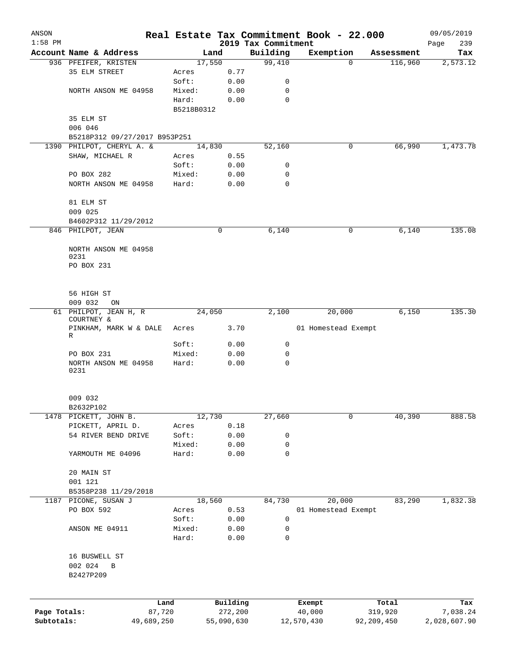| ANSON        |                                       |                 |            |                     | Real Estate Tax Commitment Book - 22.000 |                       | 09/05/2019   |
|--------------|---------------------------------------|-----------------|------------|---------------------|------------------------------------------|-----------------------|--------------|
| $1:58$ PM    |                                       |                 |            | 2019 Tax Commitment |                                          |                       | 239<br>Page  |
|              | Account Name & Address                |                 | Land       | Building            | Exemption                                | Assessment<br>116,960 | Tax          |
|              | 936 PFEIFER, KRISTEN<br>35 ELM STREET | 17,550<br>Acres | 0.77       | 99,410              | 0                                        |                       | 2,573.12     |
|              |                                       | Soft:           | 0.00       | 0                   |                                          |                       |              |
|              | NORTH ANSON ME 04958                  | Mixed:          | 0.00       | 0                   |                                          |                       |              |
|              |                                       | Hard:           | 0.00       | $\mathbf 0$         |                                          |                       |              |
|              |                                       | B5218B0312      |            |                     |                                          |                       |              |
|              | 35 ELM ST                             |                 |            |                     |                                          |                       |              |
|              | 006 046                               |                 |            |                     |                                          |                       |              |
|              | B5218P312 09/27/2017 B953P251         |                 |            |                     |                                          |                       |              |
|              | 1390 PHILPOT, CHERYL A. &             | 14,830          |            | 52,160              | 0                                        | 66,990                | 1,473.78     |
|              | SHAW, MICHAEL R                       | Acres           | 0.55       |                     |                                          |                       |              |
|              |                                       | Soft:           | 0.00       | 0                   |                                          |                       |              |
|              | PO BOX 282                            | Mixed:          | 0.00       | 0                   |                                          |                       |              |
|              | NORTH ANSON ME 04958                  | Hard:           | 0.00       | $\mathbf 0$         |                                          |                       |              |
|              | 81 ELM ST                             |                 |            |                     |                                          |                       |              |
|              | 009 025                               |                 |            |                     |                                          |                       |              |
|              | B4602P312 11/29/2012                  |                 |            |                     |                                          |                       |              |
|              | 846 PHILPOT, JEAN                     |                 | 0          | 6,140               | 0                                        | 6,140                 | 135.08       |
|              |                                       |                 |            |                     |                                          |                       |              |
|              | NORTH ANSON ME 04958                  |                 |            |                     |                                          |                       |              |
|              | 0231                                  |                 |            |                     |                                          |                       |              |
|              | PO BOX 231                            |                 |            |                     |                                          |                       |              |
|              |                                       |                 |            |                     |                                          |                       |              |
|              |                                       |                 |            |                     |                                          |                       |              |
|              | 56 HIGH ST<br>009 032                 |                 |            |                     |                                          |                       |              |
|              | ON<br>61 PHILPOT, JEAN H, R           | 24,050          |            | 2,100               | 20,000                                   | 6,150                 | 135.30       |
|              | COURTNEY &                            |                 |            |                     |                                          |                       |              |
|              | PINKHAM, MARK W & DALE<br>R           | Acres           | 3.70       |                     | 01 Homestead Exempt                      |                       |              |
|              |                                       | Soft:           | 0.00       | 0                   |                                          |                       |              |
|              | PO BOX 231                            | Mixed:          | 0.00       | 0                   |                                          |                       |              |
|              | NORTH ANSON ME 04958                  | Hard:           | 0.00       | $\mathbf 0$         |                                          |                       |              |
|              | 0231                                  |                 |            |                     |                                          |                       |              |
|              | 009 032                               |                 |            |                     |                                          |                       |              |
|              | B2632P102                             |                 |            |                     |                                          |                       |              |
|              | 1478 PICKETT, JOHN B.                 | 12,730          |            | 27,660              | 0                                        | 40,390                | 888.58       |
|              | PICKETT, APRIL D.                     | Acres           | 0.18       |                     |                                          |                       |              |
|              | 54 RIVER BEND DRIVE                   | Soft:           | 0.00       | 0                   |                                          |                       |              |
|              |                                       | Mixed:          | 0.00       | 0                   |                                          |                       |              |
|              | YARMOUTH ME 04096                     | Hard:           | 0.00       | 0                   |                                          |                       |              |
|              | 20 MAIN ST                            |                 |            |                     |                                          |                       |              |
|              | 001 121                               |                 |            |                     |                                          |                       |              |
|              | B5358P238 11/29/2018                  |                 |            |                     |                                          |                       |              |
| 1187         | PICONE, SUSAN J                       | 18,560          |            | 84,730              | 20,000                                   | 83,290                | 1,832.38     |
|              | PO BOX 592                            | Acres           | 0.53       |                     | 01 Homestead Exempt                      |                       |              |
|              |                                       | Soft:           | 0.00       | 0                   |                                          |                       |              |
|              | ANSON ME 04911                        | Mixed:          | 0.00       | 0                   |                                          |                       |              |
|              |                                       | Hard:           | 0.00       | 0                   |                                          |                       |              |
|              |                                       |                 |            |                     |                                          |                       |              |
|              | 16 BUSWELL ST                         |                 |            |                     |                                          |                       |              |
|              | 002 024<br>$\, {\bf B}$               |                 |            |                     |                                          |                       |              |
|              | B2427P209                             |                 |            |                     |                                          |                       |              |
|              |                                       |                 |            |                     |                                          |                       |              |
|              | Land                                  |                 | Building   |                     | Exempt                                   | Total                 | Tax          |
| Page Totals: | 87,720                                |                 | 272,200    |                     | 40,000                                   | 319,920               | 7,038.24     |
| Subtotals:   | 49,689,250                            |                 | 55,090,630 |                     | 12,570,430                               | 92,209,450            | 2,028,607.90 |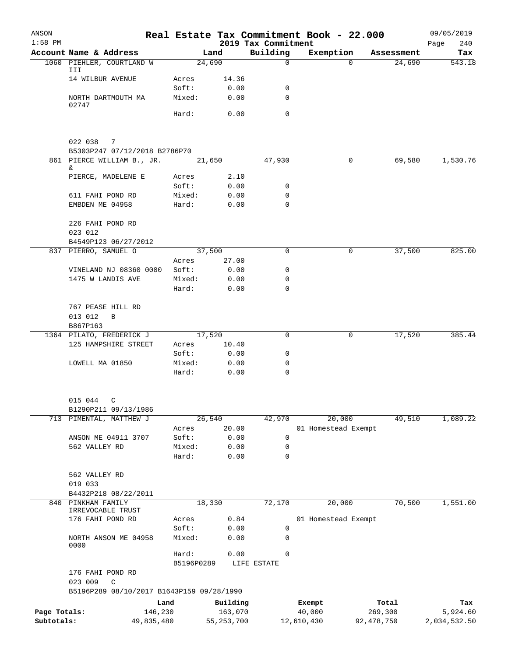| ANSON<br>$1:58$ PM |                                                                      |            |                     |               | Real Estate Tax Commitment Book - 22.000<br>2019 Tax Commitment |            |                     |              | 09/05/2019<br>240<br>Page |
|--------------------|----------------------------------------------------------------------|------------|---------------------|---------------|-----------------------------------------------------------------|------------|---------------------|--------------|---------------------------|
|                    | Account Name & Address                                               |            |                     | Land          | Building                                                        |            | Exemption           | Assessment   | Tax                       |
|                    | 1060 PIEHLER, COURTLAND W                                            |            |                     | 24,690        | $\Omega$                                                        |            | $\Omega$            | 24,690       | 543.18                    |
|                    | III                                                                  |            |                     |               |                                                                 |            |                     |              |                           |
|                    | 14 WILBUR AVENUE                                                     |            | Acres<br>Soft:      | 14.36<br>0.00 | 0                                                               |            |                     |              |                           |
|                    | NORTH DARTMOUTH MA                                                   |            | Mixed:              | 0.00          | 0                                                               |            |                     |              |                           |
|                    | 02747                                                                |            |                     |               |                                                                 |            |                     |              |                           |
|                    |                                                                      |            | Hard:               | 0.00          | 0                                                               |            |                     |              |                           |
|                    | 022 038<br>7<br>B5303P247 07/12/2018 B2786P70                        |            |                     |               |                                                                 |            |                     |              |                           |
|                    | 861 PIERCE WILLIAM B., JR.<br>&.                                     |            |                     | 21,650        | 47,930                                                          |            | 0                   | 69,580       | 1,530.76                  |
|                    | PIERCE, MADELENE E                                                   |            | Acres               | 2.10          |                                                                 |            |                     |              |                           |
|                    |                                                                      |            | Soft:               | 0.00          | 0                                                               |            |                     |              |                           |
|                    | 611 FAHI POND RD                                                     |            | Mixed:              | 0.00          | $\mathbf 0$                                                     |            |                     |              |                           |
|                    | EMBDEN ME 04958                                                      |            | Hard:               | 0.00          | $\mathbf 0$                                                     |            |                     |              |                           |
|                    | 226 FAHI POND RD<br>023 012                                          |            |                     |               |                                                                 |            |                     |              |                           |
|                    | B4549P123 06/27/2012                                                 |            |                     |               |                                                                 |            |                     |              |                           |
|                    | 837 PIERRO, SAMUEL O                                                 |            |                     | 37,500        | $\mathbf 0$                                                     |            | 0                   | 37,500       | 825.00                    |
|                    |                                                                      |            | Acres               | 27.00         |                                                                 |            |                     |              |                           |
|                    | VINELAND NJ 08360 0000                                               |            | Soft:               | 0.00          | 0                                                               |            |                     |              |                           |
|                    | 1475 W LANDIS AVE                                                    |            | Mixed:              | 0.00          | 0                                                               |            |                     |              |                           |
|                    |                                                                      |            | Hard:               | 0.00          | $\mathbf 0$                                                     |            |                     |              |                           |
|                    | 767 PEASE HILL RD<br>013 012<br>B<br>B867P163                        |            |                     |               |                                                                 |            |                     |              |                           |
|                    | 1364 PILATO, FREDERICK J                                             |            |                     | 17,520        | $\mathbf 0$                                                     |            | 0                   | 17,520       | 385.44                    |
|                    | 125 HAMPSHIRE STREET                                                 |            | Acres               | 10.40         |                                                                 |            |                     |              |                           |
|                    |                                                                      |            | Soft:               | 0.00          | 0                                                               |            |                     |              |                           |
|                    | LOWELL MA 01850                                                      |            | Mixed:              | 0.00          | 0                                                               |            |                     |              |                           |
|                    |                                                                      |            | Hard:               | 0.00          | $\mathbf 0$                                                     |            |                     |              |                           |
|                    | 015 044 C                                                            |            |                     |               |                                                                 |            |                     |              |                           |
|                    | B1290P211 09/13/1986                                                 |            |                     |               |                                                                 |            |                     |              |                           |
|                    | 713 PIMENTAL, MATTHEW J                                              |            |                     | 26,540        | 42,970                                                          |            | 20,000              | 49,510       | 1,089.22                  |
|                    |                                                                      |            | Acres               | 20.00         |                                                                 |            | 01 Homestead Exempt |              |                           |
|                    | ANSON ME 04911 3707                                                  |            | Soft:               | 0.00          | 0                                                               |            |                     |              |                           |
|                    | 562 VALLEY RD                                                        |            | Mixed:              | 0.00          | 0                                                               |            |                     |              |                           |
|                    |                                                                      |            | Hard:               | 0.00          | $\mathbf 0$                                                     |            |                     |              |                           |
|                    | 562 VALLEY RD                                                        |            |                     |               |                                                                 |            |                     |              |                           |
|                    | 019 033                                                              |            |                     |               |                                                                 |            |                     |              |                           |
|                    | B4432P218 08/22/2011                                                 |            |                     |               |                                                                 |            |                     |              |                           |
| 840                | PINKHAM FAMILY<br>IRREVOCABLE TRUST                                  |            |                     | 18,330        | 72,170                                                          |            | 20,000              | 70,500       | 1,551.00                  |
|                    | 176 FAHI POND RD                                                     |            | Acres               | 0.84          |                                                                 |            | 01 Homestead Exempt |              |                           |
|                    |                                                                      |            | Soft:               | 0.00          | 0                                                               |            |                     |              |                           |
|                    | NORTH ANSON ME 04958<br>0000                                         |            | Mixed:              | 0.00          | 0                                                               |            |                     |              |                           |
|                    |                                                                      |            | Hard:<br>B5196P0289 | 0.00          | 0<br>LIFE ESTATE                                                |            |                     |              |                           |
|                    | 176 FAHI POND RD                                                     |            |                     |               |                                                                 |            |                     |              |                           |
|                    | 023 009<br>$\mathsf{C}$<br>B5196P289 08/10/2017 B1643P159 09/28/1990 |            |                     |               |                                                                 |            |                     |              |                           |
|                    |                                                                      | Land       |                     | Building      |                                                                 | Exempt     |                     | Total        | Tax                       |
| Page Totals:       |                                                                      | 146,230    |                     | 163,070       |                                                                 | 40,000     |                     | 269,300      | 5,924.60                  |
| Subtotals:         |                                                                      | 49,835,480 |                     | 55, 253, 700  |                                                                 | 12,610,430 |                     | 92, 478, 750 | 2,034,532.50              |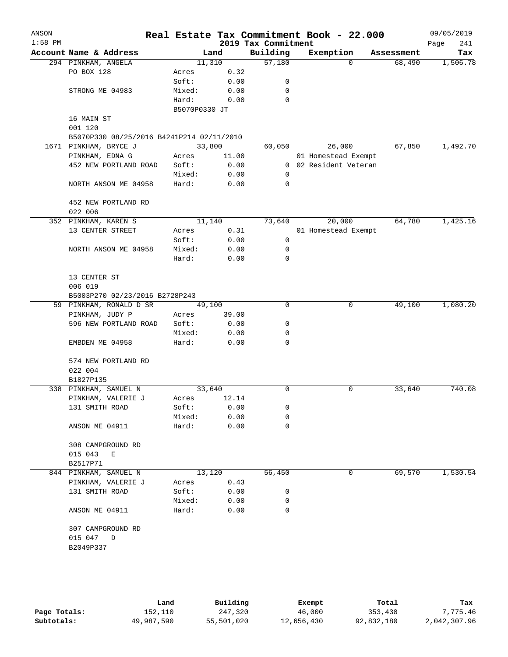| ANSON<br>$1:58$ PM |                                           |               |        | 2019 Tax Commitment | Real Estate Tax Commitment Book - 22.000 |            | 09/05/2019<br>Page<br>241 |
|--------------------|-------------------------------------------|---------------|--------|---------------------|------------------------------------------|------------|---------------------------|
|                    | Account Name & Address                    |               | Land   | Building            | Exemption                                | Assessment | Tax                       |
|                    | 294 PINKHAM, ANGELA                       |               | 11,310 | 57,180              | $\Omega$                                 | 68,490     | 1,506.78                  |
|                    | PO BOX 128                                | Acres         | 0.32   |                     |                                          |            |                           |
|                    |                                           | Soft:         | 0.00   | 0                   |                                          |            |                           |
|                    | STRONG ME 04983                           | Mixed:        | 0.00   | 0                   |                                          |            |                           |
|                    |                                           | Hard:         | 0.00   | 0                   |                                          |            |                           |
|                    |                                           | B5070P0330 JT |        |                     |                                          |            |                           |
|                    | 16 MAIN ST                                |               |        |                     |                                          |            |                           |
|                    | 001 120                                   |               |        |                     |                                          |            |                           |
|                    | B5070P330 08/25/2016 B4241P214 02/11/2010 |               |        |                     |                                          |            |                           |
|                    | 1671 PINKHAM, BRYCE J                     |               | 33,800 | 60,050              | 26,000                                   | 67,850     | 1,492.70                  |
|                    | PINKHAM, EDNA G                           | Acres         | 11.00  |                     | 01 Homestead Exempt                      |            |                           |
|                    | 452 NEW PORTLAND ROAD                     | Soft:         | 0.00   |                     | 0 02 Resident Veteran                    |            |                           |
|                    |                                           | Mixed:        | 0.00   | 0                   |                                          |            |                           |
|                    | NORTH ANSON ME 04958                      | Hard:         | 0.00   | 0                   |                                          |            |                           |
|                    | 452 NEW PORTLAND RD                       |               |        |                     |                                          |            |                           |
|                    | 022 006                                   |               |        |                     |                                          |            |                           |
|                    | 352 PINKHAM, KAREN S                      |               | 11,140 | 73,640              | 20,000                                   | 64,780     | 1,425.16                  |
|                    | 13 CENTER STREET                          | Acres         | 0.31   |                     | 01 Homestead Exempt                      |            |                           |
|                    |                                           | Soft:         | 0.00   | 0                   |                                          |            |                           |
|                    | NORTH ANSON ME 04958                      | Mixed:        | 0.00   | 0                   |                                          |            |                           |
|                    |                                           | Hard:         | 0.00   | 0                   |                                          |            |                           |
|                    | 13 CENTER ST                              |               |        |                     |                                          |            |                           |
|                    | 006 019                                   |               |        |                     |                                          |            |                           |
|                    | B5003P270 02/23/2016 B2728P243            |               |        |                     |                                          |            |                           |
|                    | 59 PINKHAM, RONALD D SR                   |               | 49,100 | 0                   | 0                                        | 49,100     | 1,080.20                  |
|                    | PINKHAM, JUDY P                           | Acres         | 39.00  |                     |                                          |            |                           |
|                    | 596 NEW PORTLAND ROAD                     | Soft:         | 0.00   | 0                   |                                          |            |                           |
|                    |                                           | Mixed:        | 0.00   | 0                   |                                          |            |                           |
|                    | EMBDEN ME 04958                           | Hard:         | 0.00   | $\Omega$            |                                          |            |                           |
|                    | 574 NEW PORTLAND RD                       |               |        |                     |                                          |            |                           |
|                    | 022 004                                   |               |        |                     |                                          |            |                           |
|                    | B1827P135                                 |               |        |                     |                                          |            |                           |
|                    | 338 PINKHAM, SAMUEL N                     |               | 33,640 | 0                   | 0                                        | 33,640     | 740.08                    |
|                    | PINKHAM, VALERIE J                        | Acres         | 12.14  |                     |                                          |            |                           |
|                    | 131 SMITH ROAD                            | Soft:         | 0.00   | 0                   |                                          |            |                           |
|                    |                                           | Mixed:        | 0.00   | 0                   |                                          |            |                           |
|                    | ANSON ME 04911                            | Hard:         | 0.00   | $\mathbf 0$         |                                          |            |                           |
|                    | 308 CAMPGROUND RD                         |               |        |                     |                                          |            |                           |
|                    | 015 043<br>Е                              |               |        |                     |                                          |            |                           |
|                    | B2517P71                                  |               |        |                     |                                          |            |                           |
|                    | 844 PINKHAM, SAMUEL N                     |               | 13,120 | 56,450              | 0                                        | 69,570     | 1,530.54                  |
|                    | PINKHAM, VALERIE J                        | Acres         | 0.43   |                     |                                          |            |                           |
|                    | 131 SMITH ROAD                            | Soft:         | 0.00   | 0                   |                                          |            |                           |
|                    |                                           | Mixed:        | 0.00   | 0                   |                                          |            |                           |
|                    | ANSON ME 04911                            | Hard:         | 0.00   | $\Omega$            |                                          |            |                           |
|                    | 307 CAMPGROUND RD                         |               |        |                     |                                          |            |                           |
|                    | 015 047 D                                 |               |        |                     |                                          |            |                           |
|                    | B2049P337                                 |               |        |                     |                                          |            |                           |
|                    |                                           |               |        |                     |                                          |            |                           |
|                    |                                           |               |        |                     |                                          |            |                           |

|              | Land       | Building   | Exempt     | Total      | Tax          |
|--------------|------------|------------|------------|------------|--------------|
| Page Totals: | 152,110    | 247,320    | 46,000     | 353,430    | 7.775.46     |
| Subtotals:   | 49,987,590 | 55,501,020 | 12,656,430 | 92,832,180 | 2,042,307.96 |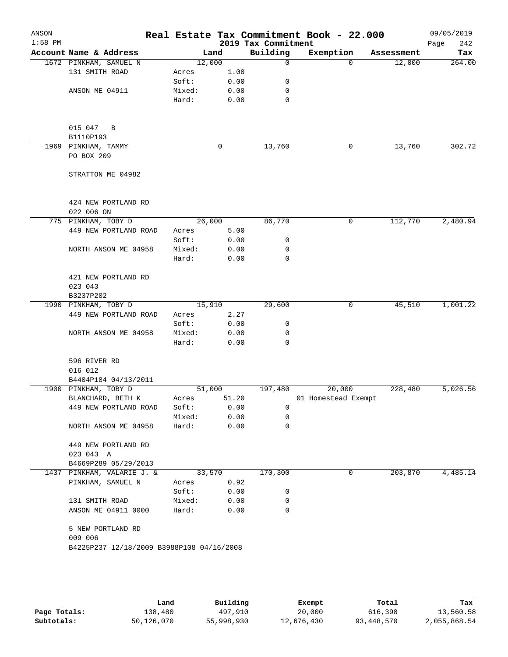| ANSON<br>$1:58$ PM |                                              |                 |                | 2019 Tax Commitment | Real Estate Tax Commitment Book - 22.000 |            | 09/05/2019<br>242<br>Page |
|--------------------|----------------------------------------------|-----------------|----------------|---------------------|------------------------------------------|------------|---------------------------|
|                    | Account Name & Address                       |                 | Land           | Building            | Exemption                                | Assessment | Tax                       |
|                    | 1672 PINKHAM, SAMUEL N                       |                 | 12,000         | $\mathbf 0$         | $\Omega$                                 | 12,000     | 264.00                    |
|                    | 131 SMITH ROAD                               | Acres           | 1.00           |                     |                                          |            |                           |
|                    |                                              | Soft:           | 0.00           | 0                   |                                          |            |                           |
|                    | ANSON ME 04911                               | Mixed:          | 0.00           | 0                   |                                          |            |                           |
|                    |                                              | Hard:           | 0.00           | 0                   |                                          |            |                           |
|                    |                                              |                 |                |                     |                                          |            |                           |
|                    | 015 047 B<br>B1110P193                       |                 |                |                     |                                          |            |                           |
|                    | 1969 PINKHAM, TAMMY                          |                 | 0              | 13,760              | 0                                        | 13,760     | 302.72                    |
|                    | PO BOX 209                                   |                 |                |                     |                                          |            |                           |
|                    | STRATTON ME 04982                            |                 |                |                     |                                          |            |                           |
|                    |                                              |                 |                |                     |                                          |            |                           |
|                    | 424 NEW PORTLAND RD                          |                 |                |                     |                                          |            |                           |
|                    | 022 006 ON                                   |                 |                |                     |                                          |            |                           |
|                    | 775 PINKHAM, TOBY D<br>449 NEW PORTLAND ROAD | Acres           | 26,000<br>5.00 | 86,770              | 0                                        | 112,770    | 2,480.94                  |
|                    |                                              | Soft:           | 0.00           | 0                   |                                          |            |                           |
|                    | NORTH ANSON ME 04958                         | Mixed:          | 0.00           | 0                   |                                          |            |                           |
|                    |                                              | Hard:           | 0.00           | $\mathbf 0$         |                                          |            |                           |
|                    | 421 NEW PORTLAND RD                          |                 |                |                     |                                          |            |                           |
|                    | 023 043                                      |                 |                |                     |                                          |            |                           |
|                    | B3237P202                                    |                 |                |                     |                                          |            |                           |
|                    | 1990 PINKHAM, TOBY D                         |                 | 15,910         | 29,600              | 0                                        | 45,510     | 1,001.22                  |
|                    | 449 NEW PORTLAND ROAD                        | Acres           | 2.27           |                     |                                          |            |                           |
|                    |                                              | Soft:           | 0.00           | 0                   |                                          |            |                           |
|                    | NORTH ANSON ME 04958                         | Mixed:<br>Hard: | 0.00<br>0.00   | 0<br>$\mathbf 0$    |                                          |            |                           |
|                    |                                              |                 |                |                     |                                          |            |                           |
|                    | 596 RIVER RD                                 |                 |                |                     |                                          |            |                           |
|                    | 016 012                                      |                 |                |                     |                                          |            |                           |
|                    | B4404P184 04/13/2011                         |                 |                |                     |                                          |            |                           |
|                    | 1900 PINKHAM, TOBY D                         |                 | 51,000         | 197,480             | 20,000                                   | 228,480    | 5,026.56                  |
|                    | BLANCHARD, BETH K                            | Acres           | 51.20          |                     | 01 Homestead Exempt                      |            |                           |
|                    | 449 NEW PORTLAND ROAD                        | Soft:           | 0.00           | 0                   |                                          |            |                           |
|                    |                                              | Mixed:          | 0.00           | 0                   |                                          |            |                           |
|                    | NORTH ANSON ME 04958                         | Hard:           | 0.00           | 0                   |                                          |            |                           |
|                    | 449 NEW PORTLAND RD                          |                 |                |                     |                                          |            |                           |
|                    | 023 043 A                                    |                 |                |                     |                                          |            |                           |
|                    | B4669P289 05/29/2013                         |                 |                |                     |                                          |            |                           |
|                    | 1437 PINKHAM, VALARIE J. &                   |                 | 33,570         | 170,300             | 0                                        | 203,870    | 4,485.14                  |
|                    | PINKHAM, SAMUEL N                            | Acres           | 0.92           |                     |                                          |            |                           |
|                    |                                              | Soft:           | 0.00           | 0<br>0              |                                          |            |                           |
|                    | 131 SMITH ROAD<br>ANSON ME 04911 0000        | Mixed:<br>Hard: | 0.00<br>0.00   | 0                   |                                          |            |                           |
|                    |                                              |                 |                |                     |                                          |            |                           |
|                    | 5 NEW PORTLAND RD<br>009 006                 |                 |                |                     |                                          |            |                           |
|                    | B4225P237 12/18/2009 B3988P108 04/16/2008    |                 |                |                     |                                          |            |                           |
|                    |                                              |                 |                |                     |                                          |            |                           |
|                    |                                              |                 |                |                     |                                          |            |                           |
|                    |                                              |                 |                |                     |                                          |            |                           |

|              | Land       | Building   | Exempt     | Total      | Tax          |
|--------------|------------|------------|------------|------------|--------------|
| Page Totals: | 138,480    | 497,910    | 20,000     | 616,390    | 13,560.58    |
| Subtotals:   | 50,126,070 | 55,998,930 | 12,676,430 | 93,448,570 | 2,055,868.54 |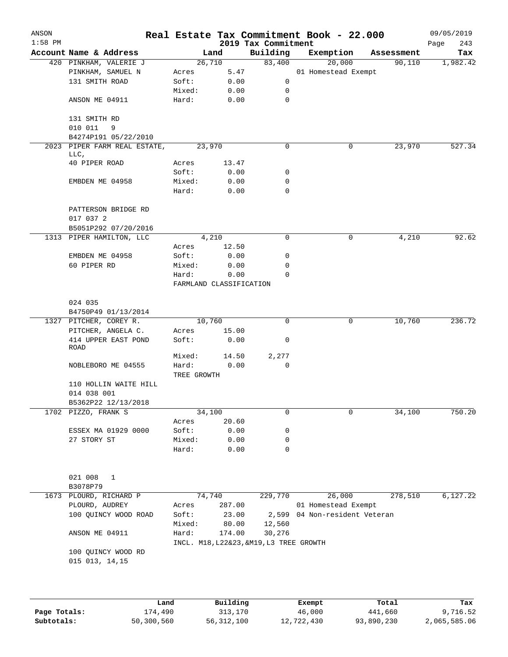| ANSON<br>$1:58$ PM |                                                 |                                         |        | 2019 Tax Commitment | Real Estate Tax Commitment Book - 22.000 |            | 09/05/2019<br>Page<br>243 |
|--------------------|-------------------------------------------------|-----------------------------------------|--------|---------------------|------------------------------------------|------------|---------------------------|
|                    | Account Name & Address                          |                                         | Land   | Building            | Exemption                                | Assessment | Tax                       |
|                    | 420 PINKHAM, VALERIE J                          |                                         | 26,710 | 83,400              | 20,000                                   | 90,110     | 1,982.42                  |
|                    | PINKHAM, SAMUEL N                               | Acres                                   | 5.47   |                     | 01 Homestead Exempt                      |            |                           |
|                    | 131 SMITH ROAD                                  | Soft:                                   | 0.00   | 0                   |                                          |            |                           |
|                    |                                                 | Mixed:                                  | 0.00   | 0                   |                                          |            |                           |
|                    | ANSON ME 04911                                  | Hard:                                   | 0.00   | 0                   |                                          |            |                           |
|                    | 131 SMITH RD                                    |                                         |        |                     |                                          |            |                           |
|                    | 010 011<br>9                                    |                                         |        |                     |                                          |            |                           |
|                    | B4274P191 05/22/2010                            |                                         |        |                     |                                          |            |                           |
|                    | 2023 PIPER FARM REAL ESTATE,                    |                                         | 23,970 | 0                   | 0                                        | 23,970     | 527.34                    |
|                    | LLC,<br>40 PIPER ROAD                           | Acres                                   | 13.47  |                     |                                          |            |                           |
|                    |                                                 | Soft:                                   | 0.00   | 0                   |                                          |            |                           |
|                    | EMBDEN ME 04958                                 | Mixed:                                  | 0.00   | 0                   |                                          |            |                           |
|                    |                                                 | Hard:                                   | 0.00   | 0                   |                                          |            |                           |
|                    |                                                 |                                         |        |                     |                                          |            |                           |
|                    | PATTERSON BRIDGE RD                             |                                         |        |                     |                                          |            |                           |
|                    | 017 037 2                                       |                                         |        |                     |                                          |            |                           |
|                    | B5051P292 07/20/2016                            |                                         |        |                     |                                          |            |                           |
|                    | 1313 PIPER HAMILTON, LLC                        |                                         | 4,210  | 0                   | 0                                        | 4,210      | 92.62                     |
|                    |                                                 | Acres                                   | 12.50  |                     |                                          |            |                           |
|                    | EMBDEN ME 04958                                 | Soft:                                   | 0.00   | 0                   |                                          |            |                           |
|                    | 60 PIPER RD                                     | Mixed:<br>Hard:                         | 0.00   | 0<br>0              |                                          |            |                           |
|                    |                                                 | 0.00<br>FARMLAND CLASSIFICATION         |        |                     |                                          |            |                           |
|                    |                                                 |                                         |        |                     |                                          |            |                           |
|                    | 024 035                                         |                                         |        |                     |                                          |            |                           |
|                    | B4750P49 01/13/2014                             |                                         |        |                     |                                          |            |                           |
|                    | 1327 PITCHER, COREY R.                          |                                         | 10,760 | 0                   | 0                                        | 10,760     | 236.72                    |
|                    | PITCHER, ANGELA C.                              | Acres                                   | 15.00  |                     |                                          |            |                           |
|                    | 414 UPPER EAST POND<br>ROAD                     | Soft:                                   | 0.00   | 0                   |                                          |            |                           |
|                    |                                                 | Mixed:                                  | 14.50  | 2,277               |                                          |            |                           |
|                    | NOBLEBORO ME 04555                              | Hard:                                   | 0.00   | $\mathbf 0$         |                                          |            |                           |
|                    |                                                 | TREE GROWTH                             |        |                     |                                          |            |                           |
|                    | 110 HOLLIN WAITE HILL                           |                                         |        |                     |                                          |            |                           |
|                    | 014 038 001                                     |                                         |        |                     |                                          |            |                           |
|                    | B5362P22 12/13/2018                             |                                         |        |                     |                                          |            |                           |
|                    | 1702 PIZZO, FRANK S                             |                                         | 34,100 | 0                   | 0                                        | 34,100     | 750.20                    |
|                    |                                                 | Acres                                   | 20.60  |                     |                                          |            |                           |
|                    | ESSEX MA 01929 0000                             | Soft:                                   | 0.00   | 0                   |                                          |            |                           |
|                    | 27 STORY ST                                     | Mixed:                                  | 0.00   | 0<br>0              |                                          |            |                           |
|                    |                                                 | Hard:                                   | 0.00   |                     |                                          |            |                           |
|                    |                                                 |                                         |        |                     |                                          |            |                           |
|                    | 021 008<br>1                                    |                                         |        |                     |                                          |            |                           |
|                    | B3078P79                                        |                                         |        |                     |                                          |            |                           |
|                    | 1673 PLOURD, RICHARD P                          |                                         | 74,740 | 229,770             | 26,000                                   | 278,510    | 6,127.22                  |
|                    | PLOURD, AUDREY                                  | Acres                                   | 287.00 |                     | 01 Homestead Exempt                      |            |                           |
|                    | 100 QUINCY WOOD ROAD                            | Soft:                                   | 23.00  | 2,599               | 04 Non-resident Veteran                  |            |                           |
|                    |                                                 | Mixed:                                  | 80.00  | 12,560              |                                          |            |                           |
|                    | ANSON ME 04911                                  | Hard:                                   | 174.00 | 30,276              |                                          |            |                           |
|                    |                                                 | INCL. M18, L22&23, &M19, L3 TREE GROWTH |        |                     |                                          |            |                           |
|                    | 100 QUINCY WOOD RD<br>$015$ $013$ , $14$ , $15$ |                                         |        |                     |                                          |            |                           |
|                    |                                                 |                                         |        |                     |                                          |            |                           |
|                    |                                                 |                                         |        |                     |                                          |            |                           |
|                    |                                                 |                                         |        |                     |                                          |            |                           |

|              | Land       | Building   | Exempt     | Total      | Tax          |
|--------------|------------|------------|------------|------------|--------------|
| Page Totals: | 174,490    | 313,170    | 46,000     | 441,660    | 9,716.52     |
| Subtotals:   | 50,300,560 | 56,312,100 | 12,722,430 | 93,890,230 | 2,065,585.06 |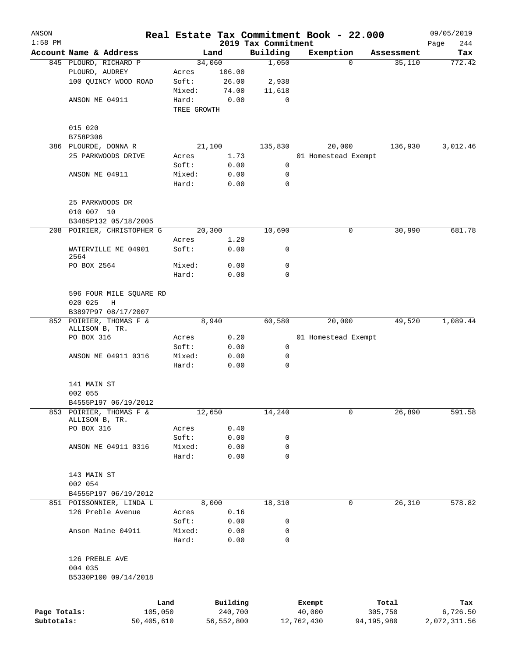| ANSON        |                                         |             |            |                                 | Real Estate Tax Commitment Book - 22.000 |            | 09/05/2019          |
|--------------|-----------------------------------------|-------------|------------|---------------------------------|------------------------------------------|------------|---------------------|
| $1:58$ PM    | Account Name & Address                  |             | Land       | 2019 Tax Commitment<br>Building | Exemption                                | Assessment | 244<br>Page<br>Tax  |
|              | 845 PLOURD, RICHARD P                   |             | 34,060     | 1,050                           |                                          | $\Omega$   | 772.42<br>35,110    |
|              | PLOURD, AUDREY                          | Acres       | 106.00     |                                 |                                          |            |                     |
|              | 100 QUINCY WOOD ROAD                    | Soft:       | 26.00      | 2,938                           |                                          |            |                     |
|              |                                         | Mixed:      | 74.00      | 11,618                          |                                          |            |                     |
|              | ANSON ME 04911                          | Hard:       | 0.00       | 0                               |                                          |            |                     |
|              |                                         | TREE GROWTH |            |                                 |                                          |            |                     |
|              | 015 020                                 |             |            |                                 |                                          |            |                     |
|              | B758P306                                |             |            |                                 |                                          |            |                     |
|              | 386 PLOURDE, DONNA R                    |             | 21,100     | 135,830                         | 20,000                                   |            | 136,930<br>3,012.46 |
|              | 25 PARKWOODS DRIVE                      | Acres       | 1.73       |                                 | 01 Homestead Exempt                      |            |                     |
|              |                                         | Soft:       | 0.00       | 0                               |                                          |            |                     |
|              | ANSON ME 04911                          | Mixed:      | 0.00       | 0                               |                                          |            |                     |
|              |                                         | Hard:       | 0.00       | $\mathbf 0$                     |                                          |            |                     |
|              | 25 PARKWOODS DR                         |             |            |                                 |                                          |            |                     |
|              | 010 007 10                              |             |            |                                 |                                          |            |                     |
|              | B3485P132 05/18/2005                    |             |            |                                 |                                          |            |                     |
|              | 208 POIRIER, CHRISTOPHER G              |             | 20,300     | 10,690                          |                                          | 0          | 30,990<br>681.78    |
|              |                                         | Acres       | 1.20       |                                 |                                          |            |                     |
|              | WATERVILLE ME 04901<br>2564             | Soft:       | 0.00       | 0                               |                                          |            |                     |
|              | PO BOX 2564                             | Mixed:      | 0.00       | 0                               |                                          |            |                     |
|              |                                         | Hard:       | 0.00       | 0                               |                                          |            |                     |
|              | 596 FOUR MILE SQUARE RD<br>020 025<br>Η |             |            |                                 |                                          |            |                     |
|              | B3897P97 08/17/2007                     |             |            |                                 |                                          |            |                     |
|              | 852 POIRIER, THOMAS F &                 |             | 8,940      | 60,580                          | 20,000                                   |            | 1,089.44<br>49,520  |
|              | ALLISON B, TR.                          |             |            |                                 |                                          |            |                     |
|              | PO BOX 316                              | Acres       | 0.20       |                                 | 01 Homestead Exempt                      |            |                     |
|              |                                         | Soft:       | 0.00       | 0                               |                                          |            |                     |
|              | ANSON ME 04911 0316                     | Mixed:      | 0.00       | 0                               |                                          |            |                     |
|              |                                         | Hard:       | 0.00       | 0                               |                                          |            |                     |
|              | 141 MAIN ST<br>002 055                  |             |            |                                 |                                          |            |                     |
|              | B4555P197 06/19/2012                    |             |            |                                 |                                          |            |                     |
| 853          | POIRIER, THOMAS F &<br>ALLISON B, TR.   |             | 12,650     | 14,240                          |                                          | 0          | 26,890<br>591.58    |
|              | PO BOX 316                              | Acres       | 0.40       |                                 |                                          |            |                     |
|              |                                         | Soft:       | 0.00       | 0                               |                                          |            |                     |
|              | ANSON ME 04911 0316                     | Mixed:      | 0.00       | 0                               |                                          |            |                     |
|              |                                         | Hard:       | 0.00       | 0                               |                                          |            |                     |
|              | 143 MAIN ST                             |             |            |                                 |                                          |            |                     |
|              | 002 054                                 |             |            |                                 |                                          |            |                     |
|              | B4555P197 06/19/2012                    |             |            |                                 |                                          |            |                     |
|              | 851 POISSONNIER, LINDA L                |             | 8,000      | 18,310                          |                                          | 0          | 26,310<br>578.82    |
|              | 126 Preble Avenue                       | Acres       | 0.16       |                                 |                                          |            |                     |
|              |                                         | Soft:       | 0.00       | 0                               |                                          |            |                     |
|              | Anson Maine 04911                       | Mixed:      | 0.00       | 0                               |                                          |            |                     |
|              |                                         | Hard:       | 0.00       | $\mathbf 0$                     |                                          |            |                     |
|              | 126 PREBLE AVE                          |             |            |                                 |                                          |            |                     |
|              | 004 035                                 |             |            |                                 |                                          |            |                     |
|              | B5330P100 09/14/2018                    |             |            |                                 |                                          |            |                     |
|              |                                         | Land        | Building   |                                 |                                          | Total      |                     |
| Page Totals: | 105,050                                 |             | 240,700    |                                 | Exempt<br>40,000                         | 305,750    | Tax<br>6,726.50     |
| Subtotals:   | 50,405,610                              |             | 56,552,800 |                                 | 12,762,430                               | 94,195,980 | 2,072,311.56        |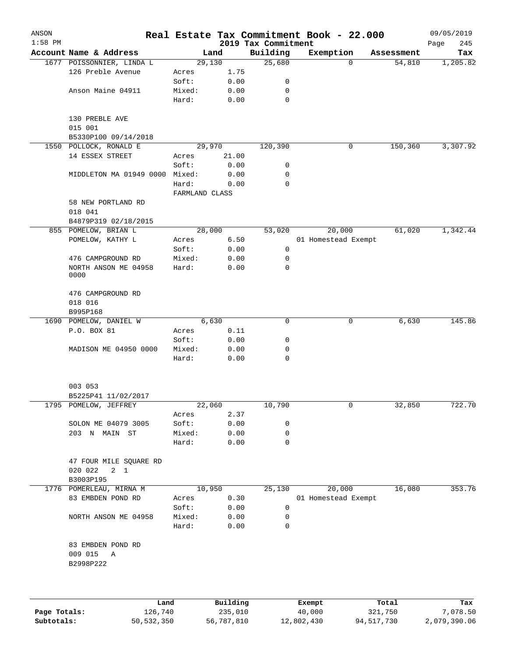| ANSON<br>$1:58$ PM |                                                  |                 |              | 2019 Tax Commitment | Real Estate Tax Commitment Book - 22.000 |            | 09/05/2019<br>Page<br>245 |
|--------------------|--------------------------------------------------|-----------------|--------------|---------------------|------------------------------------------|------------|---------------------------|
|                    | Account Name & Address                           |                 | Land         | Building            | Exemption                                | Assessment | Tax                       |
|                    | 1677 POISSONNIER, LINDA L                        | 29,130          |              | 25,680              | $\Omega$                                 | 54,810     | 1,205.82                  |
|                    | 126 Preble Avenue                                | Acres           | 1.75         |                     |                                          |            |                           |
|                    |                                                  | Soft:           | 0.00         | 0                   |                                          |            |                           |
|                    | Anson Maine 04911                                | Mixed:          | 0.00         | 0                   |                                          |            |                           |
|                    |                                                  | Hard:           | 0.00         | 0                   |                                          |            |                           |
|                    | 130 PREBLE AVE                                   |                 |              |                     |                                          |            |                           |
|                    | 015 001<br>B5330P100 09/14/2018                  |                 |              |                     |                                          |            |                           |
|                    | 1550 POLLOCK, RONALD E                           | 29,970          |              | 120,390             | 0                                        | 150,360    | 3,307.92                  |
|                    | 14 ESSEX STREET                                  | Acres           | 21.00        |                     |                                          |            |                           |
|                    |                                                  | Soft:           | 0.00         | 0                   |                                          |            |                           |
|                    | MIDDLETON MA 01949 0000 Mixed:                   |                 | 0.00         | 0                   |                                          |            |                           |
|                    |                                                  | Hard:           | 0.00         | 0                   |                                          |            |                           |
|                    |                                                  | FARMLAND CLASS  |              |                     |                                          |            |                           |
|                    | 58 NEW PORTLAND RD<br>018 041                    |                 |              |                     |                                          |            |                           |
|                    | B4879P319 02/18/2015                             |                 |              |                     |                                          |            |                           |
|                    | 855 POMELOW, BRIAN L                             | 28,000          |              | 53,020              | 20,000                                   | 61,020     | 1,342.44                  |
|                    | POMELOW, KATHY L                                 | Acres           | 6.50         |                     | 01 Homestead Exempt                      |            |                           |
|                    |                                                  | Soft:           | 0.00         | 0                   |                                          |            |                           |
|                    | 476 CAMPGROUND RD                                | Mixed:          | 0.00         | 0                   |                                          |            |                           |
|                    | NORTH ANSON ME 04958<br>0000                     | Hard:           | 0.00         | 0                   |                                          |            |                           |
|                    | 476 CAMPGROUND RD<br>018 016                     |                 |              |                     |                                          |            |                           |
|                    | B995P168                                         |                 |              |                     |                                          |            |                           |
| 1690               | POMELOW, DANIEL W                                |                 | 6,630        | 0                   | 0                                        | 6,630      | 145.86                    |
|                    | P.O. BOX 81                                      | Acres           | 0.11         |                     |                                          |            |                           |
|                    |                                                  | Soft:           | 0.00         | 0                   |                                          |            |                           |
|                    | MADISON ME 04950 0000                            | Mixed:          | 0.00         | 0                   |                                          |            |                           |
|                    |                                                  | Hard:           | 0.00         | 0                   |                                          |            |                           |
|                    | 003 053                                          |                 |              |                     |                                          |            |                           |
|                    | B5225P41 11/02/2017                              |                 |              |                     |                                          |            |                           |
|                    | 1795 POMELOW, JEFFREY                            | 22,060          |              | 10,790              | 0                                        | 32,850     | 722.70                    |
|                    |                                                  | Acres           | 2.37         |                     |                                          |            |                           |
|                    | SOLON ME 04079 3005                              | Soft:           | 0.00         | 0                   |                                          |            |                           |
|                    | 203 N MAIN ST                                    | Mixed:          | 0.00         | 0                   |                                          |            |                           |
|                    |                                                  | Hard:           | 0.00         | 0                   |                                          |            |                           |
|                    | 47 FOUR MILE SQUARE RD<br>020 022<br>$2 \quad 1$ |                 |              |                     |                                          |            |                           |
|                    | B3003P195                                        |                 |              |                     |                                          |            |                           |
|                    | 1776 POMERLEAU, MIRNA M                          | 10,950          |              | 25,130              | 20,000                                   | 16,080     | 353.76                    |
|                    | 83 EMBDEN POND RD                                | Acres           | 0.30         |                     | 01 Homestead Exempt                      |            |                           |
|                    |                                                  | Soft:           | 0.00         | 0                   |                                          |            |                           |
|                    | NORTH ANSON ME 04958                             | Mixed:<br>Hard: | 0.00<br>0.00 | 0<br>0              |                                          |            |                           |
|                    | 83 EMBDEN POND RD<br>009 015<br>Α<br>B2998P222   |                 |              |                     |                                          |            |                           |
|                    |                                                  |                 |              |                     |                                          |            |                           |
|                    |                                                  |                 |              |                     |                                          |            |                           |

|              | Land       | Building   | Exempt     | Total      | Tax          |
|--------------|------------|------------|------------|------------|--------------|
| Page Totals: | 126,740    | 235,010    | 40,000     | 321,750    | 7,078.50     |
| Subtotals:   | 50,532,350 | 56,787,810 | 12,802,430 | 94,517,730 | 2,079,390.06 |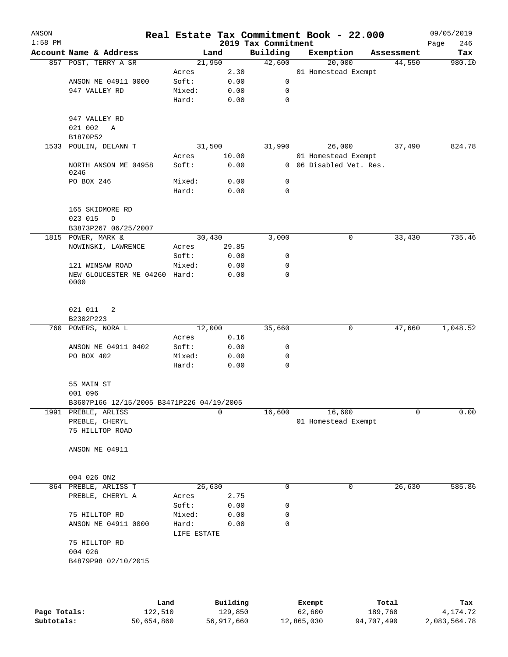| ANSON        |                                                                  |                      |          |                                 | Real Estate Tax Commitment Book - 22.000 |             | 09/05/2019         |
|--------------|------------------------------------------------------------------|----------------------|----------|---------------------------------|------------------------------------------|-------------|--------------------|
| $1:58$ PM    | Account Name & Address                                           |                      | Land     | 2019 Tax Commitment<br>Building | Exemption                                | Assessment  | 246<br>Page<br>Tax |
|              | 857 POST, TERRY A SR                                             |                      | 21,950   | 42,600                          | 20,000                                   | 44,550      | 980.10             |
|              |                                                                  | Acres                | 2.30     |                                 | 01 Homestead Exempt                      |             |                    |
|              | ANSON ME 04911 0000                                              | Soft:                | 0.00     | 0                               |                                          |             |                    |
|              | 947 VALLEY RD                                                    | Mixed:               | 0.00     | 0                               |                                          |             |                    |
|              |                                                                  | Hard:                | 0.00     | $\mathbf 0$                     |                                          |             |                    |
|              | 947 VALLEY RD                                                    |                      |          |                                 |                                          |             |                    |
|              | 021 002<br>Α<br>B1870P52                                         |                      |          |                                 |                                          |             |                    |
|              | 1533 POULIN, DELANN T                                            |                      | 31,500   | 31,990                          | 26,000                                   | 37,490      | 824.78             |
|              |                                                                  | Acres                | 10.00    |                                 | 01 Homestead Exempt                      |             |                    |
|              | NORTH ANSON ME 04958<br>0246                                     | Soft:                | 0.00     |                                 | 0 06 Disabled Vet. Res.                  |             |                    |
|              | PO BOX 246                                                       | Mixed:               | 0.00     | 0                               |                                          |             |                    |
|              |                                                                  | Hard:                | 0.00     | $\mathbf 0$                     |                                          |             |                    |
|              | 165 SKIDMORE RD<br>023 015<br>$\mathbb D$                        |                      |          |                                 |                                          |             |                    |
|              | B3873P267 06/25/2007                                             |                      |          |                                 |                                          |             |                    |
|              | 1815 POWER, MARK &                                               |                      | 30,430   | 3,000                           |                                          | 0<br>33,430 | 735.46             |
|              | NOWINSKI, LAWRENCE                                               | Acres                | 29.85    |                                 |                                          |             |                    |
|              |                                                                  | Soft:                | 0.00     | 0                               |                                          |             |                    |
|              | 121 WINSAW ROAD                                                  | Mixed:               | 0.00     | 0                               |                                          |             |                    |
|              | NEW GLOUCESTER ME 04260 Hard:<br>0000                            |                      | 0.00     | $\mathbf 0$                     |                                          |             |                    |
|              | 021 011<br>2                                                     |                      |          |                                 |                                          |             |                    |
|              | B2302P223                                                        |                      |          |                                 |                                          |             |                    |
|              | 760 POWERS, NORA L                                               |                      | 12,000   | 35,660                          |                                          | 0<br>47,660 | 1,048.52           |
|              |                                                                  | Acres                | 0.16     |                                 |                                          |             |                    |
|              | ANSON ME 04911 0402                                              | Soft:                | 0.00     | 0                               |                                          |             |                    |
|              | PO BOX 402                                                       | Mixed:               | 0.00     | 0                               |                                          |             |                    |
|              |                                                                  | Hard:                | 0.00     | $\mathbf 0$                     |                                          |             |                    |
|              | 55 MAIN ST                                                       |                      |          |                                 |                                          |             |                    |
|              | 001 096                                                          |                      |          |                                 |                                          |             |                    |
|              | B3607P166 12/15/2005 B3471P226 04/19/2005<br>1991 PREBLE, ARLISS |                      | 0        | 16,600                          | 16,600                                   | 0           | 0.00               |
|              | PREBLE, CHERYL                                                   |                      |          |                                 | 01 Homestead Exempt                      |             |                    |
|              | 75 HILLTOP ROAD                                                  |                      |          |                                 |                                          |             |                    |
|              | ANSON ME 04911                                                   |                      |          |                                 |                                          |             |                    |
|              |                                                                  |                      |          |                                 |                                          |             |                    |
|              | 004 026 ON2                                                      |                      |          |                                 |                                          |             |                    |
|              | 864 PREBLE, ARLISS T                                             |                      | 26,630   | $\mathbf 0$                     |                                          | 0<br>26,630 | 585.86             |
|              | PREBLE, CHERYL A                                                 | Acres                | 2.75     |                                 |                                          |             |                    |
|              |                                                                  | Soft:                | 0.00     | 0                               |                                          |             |                    |
|              | 75 HILLTOP RD                                                    | Mixed:               | 0.00     | 0                               |                                          |             |                    |
|              | ANSON ME 04911 0000                                              | Hard:<br>LIFE ESTATE | 0.00     | $\mathbf 0$                     |                                          |             |                    |
|              | 75 HILLTOP RD                                                    |                      |          |                                 |                                          |             |                    |
|              | 004 026                                                          |                      |          |                                 |                                          |             |                    |
|              | B4879P98 02/10/2015                                              |                      |          |                                 |                                          |             |                    |
|              |                                                                  |                      |          |                                 |                                          |             |                    |
|              | Land                                                             |                      | Building |                                 | Exempt                                   | Total       | Tax                |
| Page Totals: | 122,510                                                          |                      | 129,850  |                                 | 62,600                                   | 189,760     | 4,174.72           |

**Subtotals:** 50,654,860 56,917,660 12,865,030 94,707,490 2,083,564.78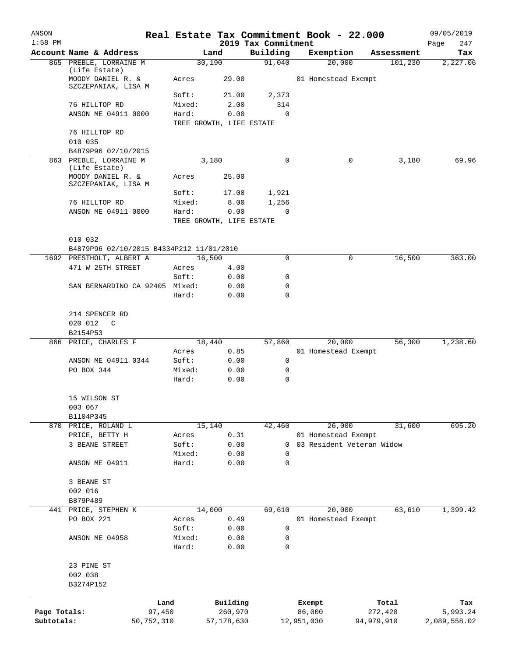| ANSON        |                                                           |            |                 |                          |                                 | Real Estate Tax Commitment Book - 22.000 |            | 09/05/2019         |
|--------------|-----------------------------------------------------------|------------|-----------------|--------------------------|---------------------------------|------------------------------------------|------------|--------------------|
| $1:58$ PM    | Account Name & Address                                    |            |                 | Land                     | 2019 Tax Commitment<br>Building | Exemption                                | Assessment | 247<br>Page<br>Tax |
|              | 865 PREBLE, LORRAINE M                                    |            |                 | 30,190                   | 91,040                          | 20,000                                   | 101,230    | 2,227.06           |
|              | (Life Estate)<br>MOODY DANIEL R. &<br>SZCZEPANIAK, LISA M |            | Acres           | 29.00                    |                                 | 01 Homestead Exempt                      |            |                    |
|              |                                                           |            | Soft:           | 21.00                    | 2,373                           |                                          |            |                    |
|              | 76 HILLTOP RD                                             |            | Mixed:          | 2.00                     | 314                             |                                          |            |                    |
|              | ANSON ME 04911 0000                                       |            | Hard:           | 0.00                     | $\mathbf 0$                     |                                          |            |                    |
|              |                                                           |            |                 | TREE GROWTH, LIFE ESTATE |                                 |                                          |            |                    |
|              | 76 HILLTOP RD<br>010 035                                  |            |                 |                          |                                 |                                          |            |                    |
|              | B4879P96 02/10/2015                                       |            |                 |                          |                                 |                                          |            |                    |
|              | 863 PREBLE, LORRAINE M                                    |            |                 | 3,180                    | 0                               | 0                                        | 3,180      | 69.96              |
|              | (Life Estate)<br>MOODY DANIEL R. &<br>SZCZEPANIAK, LISA M |            | Acres           | 25.00                    |                                 |                                          |            |                    |
|              |                                                           |            | Soft:           | 17.00                    | 1,921                           |                                          |            |                    |
|              | 76 HILLTOP RD                                             |            | Mixed:          | 8.00                     | 1,256                           |                                          |            |                    |
|              | ANSON ME 04911 0000                                       |            | Hard:           | 0.00                     | $\mathbf 0$                     |                                          |            |                    |
|              |                                                           |            |                 | TREE GROWTH, LIFE ESTATE |                                 |                                          |            |                    |
|              | 010 032                                                   |            |                 |                          |                                 |                                          |            |                    |
|              | B4879P96 02/10/2015 B4334P212 11/01/2010                  |            |                 |                          |                                 |                                          |            |                    |
|              | 1692 PRESTHOLT, ALBERT A                                  |            |                 | 16,500                   | $\mathbf 0$                     | 0                                        | 16,500     | 363.00             |
|              | 471 W 25TH STREET                                         |            | Acres           | 4.00                     |                                 |                                          |            |                    |
|              | SAN BERNARDINO CA 92405 Mixed:                            |            | Soft:           | 0.00<br>0.00             | 0<br>0                          |                                          |            |                    |
|              |                                                           |            | Hard:           | 0.00                     | $\mathbf 0$                     |                                          |            |                    |
|              | 214 SPENCER RD                                            |            |                 |                          |                                 |                                          |            |                    |
|              | 020 012<br>$\mathsf{C}$<br>B2154P53                       |            |                 |                          |                                 |                                          |            |                    |
|              | 866 PRICE, CHARLES F                                      |            |                 | 18,440                   | 57,860                          | 20,000                                   | 56,300     | 1,238.60           |
|              |                                                           |            | Acres           | 0.85                     |                                 | 01 Homestead Exempt                      |            |                    |
|              | ANSON ME 04911 0344                                       |            | Soft:           | 0.00                     | 0                               |                                          |            |                    |
|              | PO BOX 344                                                |            | Mixed:<br>Hard: | 0.00<br>0.00             | 0<br>0                          |                                          |            |                    |
|              |                                                           |            |                 |                          |                                 |                                          |            |                    |
|              | 15 WILSON ST                                              |            |                 |                          |                                 |                                          |            |                    |
|              | 003 067<br>B1104P345                                      |            |                 |                          |                                 |                                          |            |                    |
|              | 870 PRICE, ROLAND L                                       |            |                 | 15,140                   | 42,460                          | 26,000                                   | 31,600     | 695.20             |
|              | PRICE, BETTY H                                            |            | Acres           | 0.31                     |                                 | 01 Homestead Exempt                      |            |                    |
|              | 3 BEANE STREET                                            |            | Soft:           | 0.00                     | 0                               | 03 Resident Veteran Widow                |            |                    |
|              |                                                           |            | Mixed:          | 0.00                     | 0                               |                                          |            |                    |
|              | ANSON ME 04911                                            |            | Hard:           | 0.00                     | $\mathbf 0$                     |                                          |            |                    |
|              | 3 BEANE ST                                                |            |                 |                          |                                 |                                          |            |                    |
|              | 002 016                                                   |            |                 |                          |                                 |                                          |            |                    |
|              | B879P489                                                  |            |                 |                          |                                 |                                          |            |                    |
|              | 441 PRICE, STEPHEN K<br>PO BOX 221                        |            | Acres           | 14,000<br>0.49           | 69,610                          | 20,000<br>01 Homestead Exempt            | 63,610     | 1,399.42           |
|              |                                                           |            | Soft:           | 0.00                     | $\mathbf 0$                     |                                          |            |                    |
|              | ANSON ME 04958                                            |            | Mixed:          | 0.00                     | $\mathbf 0$                     |                                          |            |                    |
|              |                                                           |            | Hard:           | 0.00                     | $\mathbf 0$                     |                                          |            |                    |
|              | 23 PINE ST                                                |            |                 |                          |                                 |                                          |            |                    |
|              | 002 038                                                   |            |                 |                          |                                 |                                          |            |                    |
|              | B3274P152                                                 |            |                 |                          |                                 |                                          |            |                    |
|              |                                                           | Land       |                 | Building                 |                                 |                                          | Total      | Tax                |
| Page Totals: |                                                           | 97,450     |                 | 260,970                  |                                 | Exempt<br>86,000                         | 272,420    | 5,993.24           |
| Subtotals:   |                                                           | 50,752,310 |                 | 57,178,630               |                                 | 12,951,030                               | 94,979,910 | 2,089,558.02       |
|              |                                                           |            |                 |                          |                                 |                                          |            |                    |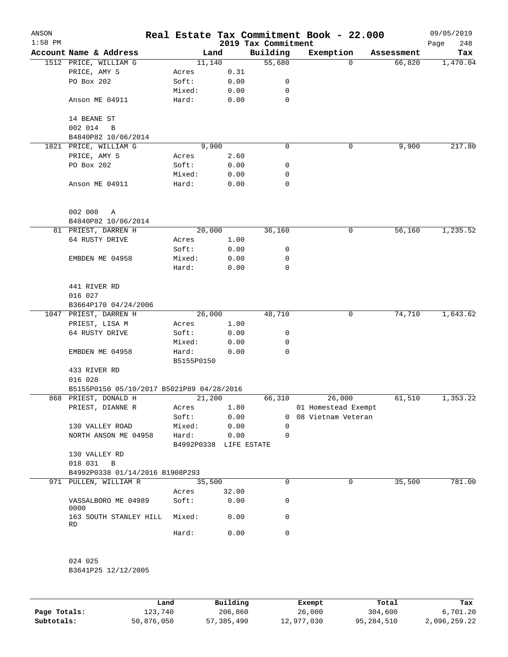| ANSON<br>$1:58$ PM |                                           |                     |                        | 2019 Tax Commitment | Real Estate Tax Commitment Book - 22.000 |            | 09/05/2019<br>248<br>Page |
|--------------------|-------------------------------------------|---------------------|------------------------|---------------------|------------------------------------------|------------|---------------------------|
|                    | Account Name & Address                    |                     | Land                   | Building            | Exemption                                | Assessment | Tax                       |
|                    | 1512 PRICE, WILLIAM G                     |                     | 11,140                 | 55,680              | $\Omega$                                 | 66,820     | 1,470.04                  |
|                    | PRICE, AMY S                              | Acres               | 0.31                   |                     |                                          |            |                           |
|                    | PO Box 202                                | Soft:               | 0.00                   | 0                   |                                          |            |                           |
|                    |                                           | Mixed:              | 0.00                   | 0                   |                                          |            |                           |
|                    | Anson ME 04911                            | Hard:               | 0.00                   | 0                   |                                          |            |                           |
|                    | 14 BEANE ST                               |                     |                        |                     |                                          |            |                           |
|                    | 002 014<br>$\, {\bf B}$                   |                     |                        |                     |                                          |            |                           |
|                    | B4840P82 10/06/2014                       |                     |                        |                     |                                          |            |                           |
|                    | 1821 PRICE, WILLIAM G                     |                     | 9,900                  | 0                   | 0                                        | 9,900      | 217.80                    |
|                    | PRICE, AMY S                              | Acres               | 2.60                   |                     |                                          |            |                           |
|                    | PO Box 202                                | Soft:               | 0.00                   | 0                   |                                          |            |                           |
|                    |                                           | Mixed:              | 0.00                   | 0                   |                                          |            |                           |
|                    | Anson ME 04911                            | Hard:               | 0.00                   | 0                   |                                          |            |                           |
|                    | 002 008<br>Α                              |                     |                        |                     |                                          |            |                           |
|                    | B4840P82 10/06/2014                       |                     |                        |                     |                                          |            |                           |
|                    | 81 PRIEST, DARREN H                       |                     | 20,000                 | 36,160              | 0                                        | 56,160     | 1,235.52                  |
|                    | 64 RUSTY DRIVE                            | Acres               | 1.00                   |                     |                                          |            |                           |
|                    |                                           | Soft:               | 0.00                   | 0                   |                                          |            |                           |
|                    | EMBDEN ME 04958                           | Mixed:              | 0.00                   | 0                   |                                          |            |                           |
|                    |                                           | Hard:               | 0.00                   | 0                   |                                          |            |                           |
|                    | 441 RIVER RD                              |                     |                        |                     |                                          |            |                           |
|                    | 016 027                                   |                     |                        |                     |                                          |            |                           |
|                    | B3664P170 04/24/2006                      |                     |                        |                     |                                          |            |                           |
|                    | 1047 PRIEST, DARREN H                     |                     | 26,000                 | 48,710              | 0                                        | 74,710     | 1,643.62                  |
|                    | PRIEST, LISA M                            | Acres               | 1.00                   |                     |                                          |            |                           |
|                    | 64 RUSTY DRIVE                            | Soft:               | 0.00                   | 0                   |                                          |            |                           |
|                    |                                           | Mixed:              | 0.00                   | 0                   |                                          |            |                           |
|                    | EMBDEN ME 04958                           | Hard:<br>B5155P0150 | 0.00                   | 0                   |                                          |            |                           |
|                    | 433 RIVER RD                              |                     |                        |                     |                                          |            |                           |
|                    | 016 028                                   |                     |                        |                     |                                          |            |                           |
|                    | B5155P0150 05/10/2017 B5021P89 04/28/2016 |                     |                        |                     |                                          |            |                           |
|                    | 868 PRIEST, DONALD H                      |                     | 21,200                 | 66,310              | 26,000                                   | 61,510     | 1,353.22                  |
|                    | PRIEST, DIANNE R                          | Acres               | 1.80                   |                     | 01 Homestead Exempt                      |            |                           |
|                    |                                           | Soft:               | 0.00                   |                     | 0 08 Vietnam Veteran                     |            |                           |
|                    | 130 VALLEY ROAD                           | Mixed:              | 0.00                   | $\Omega$            |                                          |            |                           |
|                    | NORTH ANSON ME 04958                      | Hard:               | 0.00                   | 0                   |                                          |            |                           |
|                    |                                           |                     | B4992P0338 LIFE ESTATE |                     |                                          |            |                           |
|                    | 130 VALLEY RD                             |                     |                        |                     |                                          |            |                           |
|                    | 018 031<br>$\overline{B}$                 |                     |                        |                     |                                          |            |                           |
|                    | B4992P0338 01/14/2016 B1908P293           |                     |                        |                     |                                          |            |                           |
|                    | 971 PULLEN, WILLIAM R                     |                     | 35,500                 | 0                   | 0                                        | 35,500     | 781.00                    |
|                    |                                           | Acres               | 32.00                  |                     |                                          |            |                           |
|                    | VASSALBORO ME 04989<br>0000               | Soft:               | 0.00                   | 0                   |                                          |            |                           |
|                    | 163 SOUTH STANLEY HILL<br>RD              | Mixed:              | 0.00                   | 0                   |                                          |            |                           |
|                    |                                           | Hard:               | 0.00                   | 0                   |                                          |            |                           |
|                    | 024 025                                   |                     |                        |                     |                                          |            |                           |
|                    | B3641P25 12/12/2005                       |                     |                        |                     |                                          |            |                           |
|                    |                                           |                     |                        |                     |                                          |            |                           |
|                    |                                           |                     |                        |                     |                                          |            |                           |

|              | Land       | Building   | Exempt     | Total      | Tax          |
|--------------|------------|------------|------------|------------|--------------|
| Page Totals: | 123,740    | 206,860    | 26,000     | 304,600    | 6,701.20     |
| Subtotals:   | 50,876,050 | 57,385,490 | 12,977,030 | 95,284,510 | 2,096,259.22 |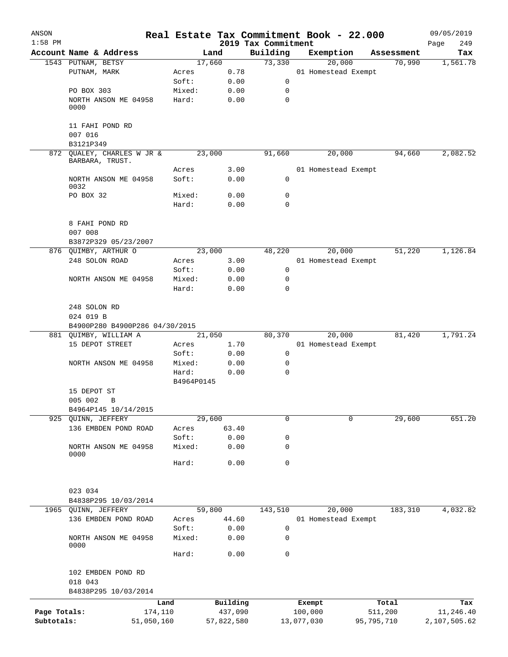| ANSON<br>$1:58$ PM |                                               |                 |              |                                 | Real Estate Tax Commitment Book - 22.000 |            | 09/05/2019         |
|--------------------|-----------------------------------------------|-----------------|--------------|---------------------------------|------------------------------------------|------------|--------------------|
|                    | Account Name & Address                        |                 | Land         | 2019 Tax Commitment<br>Building | Exemption                                | Assessment | 249<br>Page<br>Tax |
|                    | 1543 PUTNAM, BETSY                            |                 | 17,660       | 73,330                          | 20,000                                   | 70,990     | 1,561.78           |
|                    | PUTNAM, MARK                                  | Acres           | 0.78         |                                 | 01 Homestead Exempt                      |            |                    |
|                    |                                               | Soft:           | 0.00         | $\mathsf{O}$                    |                                          |            |                    |
|                    | PO BOX 303                                    | Mixed:          | 0.00         | 0                               |                                          |            |                    |
|                    | NORTH ANSON ME 04958<br>0000                  | Hard:           | 0.00         | 0                               |                                          |            |                    |
|                    | 11 FAHI POND RD<br>007 016                    |                 |              |                                 |                                          |            |                    |
|                    | B3121P349                                     |                 |              |                                 |                                          |            |                    |
|                    | 872 QUALEY, CHARLES W JR &<br>BARBARA, TRUST. |                 | 23,000       | 91,660                          | 20,000                                   | 94,660     | 2,082.52           |
|                    |                                               | Acres           | 3.00         |                                 | 01 Homestead Exempt                      |            |                    |
|                    | NORTH ANSON ME 04958<br>0032                  | Soft:           | 0.00         | 0                               |                                          |            |                    |
|                    | PO BOX 32                                     | Mixed:          | 0.00         | 0                               |                                          |            |                    |
|                    |                                               | Hard:           | 0.00         | 0                               |                                          |            |                    |
|                    | 8 FAHI POND RD<br>007 008                     |                 |              |                                 |                                          |            |                    |
|                    | B3872P329 05/23/2007                          |                 |              |                                 |                                          |            |                    |
|                    | 876 QUIMBY, ARTHUR O                          |                 | 23,000       | 48,220                          | 20,000                                   | 51,220     | 1,126.84           |
|                    | 248 SOLON ROAD                                | Acres           | 3.00         |                                 | 01 Homestead Exempt                      |            |                    |
|                    |                                               | Soft:           | 0.00         | 0                               |                                          |            |                    |
|                    | NORTH ANSON ME 04958                          | Mixed:          | 0.00         | 0                               |                                          |            |                    |
|                    |                                               | Hard:           | 0.00         | $\mathbf 0$                     |                                          |            |                    |
|                    | 248 SOLON RD<br>024 019 B                     |                 |              |                                 |                                          |            |                    |
|                    | B4900P280 B4900P286 04/30/2015                |                 |              |                                 |                                          |            |                    |
|                    | 881 QUIMBY, WILLIAM A                         |                 | 21,050       | 80,370                          | 20,000                                   | 81,420     | 1,791.24           |
|                    | 15 DEPOT STREET                               | Acres           | 1.70         |                                 | 01 Homestead Exempt                      |            |                    |
|                    |                                               | Soft:<br>Mixed: | 0.00         | 0<br>0                          |                                          |            |                    |
|                    | NORTH ANSON ME 04958                          | Hard:           | 0.00<br>0.00 | $\mathbf 0$                     |                                          |            |                    |
|                    |                                               | B4964P0145      |              |                                 |                                          |            |                    |
|                    | 15 DEPOT ST                                   |                 |              |                                 |                                          |            |                    |
|                    | 005 002 B                                     |                 |              |                                 |                                          |            |                    |
|                    | B4964P145 10/14/2015                          |                 |              |                                 |                                          |            |                    |
|                    | 925 QUINN, JEFFERY                            |                 | 29,600       | 0                               | $\Omega$                                 | 29,600     | 651.20             |
|                    | 136 EMBDEN POND ROAD                          | Acres           | 63.40        |                                 |                                          |            |                    |
|                    |                                               | Soft:           | 0.00         | 0                               |                                          |            |                    |
|                    | NORTH ANSON ME 04958<br>0000                  | Mixed:          | 0.00         | 0                               |                                          |            |                    |
|                    |                                               | Hard:           | 0.00         | 0                               |                                          |            |                    |
|                    | 023 034                                       |                 |              |                                 |                                          |            |                    |
|                    | B4838P295 10/03/2014                          |                 |              |                                 |                                          |            |                    |
| 1965               | QUINN, JEFFERY                                |                 | 59,800       | 143,510                         | 20,000                                   | 183,310    | 4,032.82           |
|                    | 136 EMBDEN POND ROAD                          | Acres           | 44.60        |                                 | 01 Homestead Exempt                      |            |                    |
|                    |                                               | Soft:           | 0.00         | 0                               |                                          |            |                    |
|                    | NORTH ANSON ME 04958<br>0000                  | Mixed:<br>Hard: | 0.00<br>0.00 | 0<br>0                          |                                          |            |                    |
|                    |                                               |                 |              |                                 |                                          |            |                    |
|                    | 102 EMBDEN POND RD<br>018 043                 |                 |              |                                 |                                          |            |                    |
|                    | B4838P295 10/03/2014                          |                 |              |                                 |                                          |            |                    |
|                    |                                               | Land            | Building     |                                 | Exempt                                   | Total      | Tax                |
| Page Totals:       | 174,110                                       |                 | 437,090      |                                 | 100,000                                  | 511,200    | 11,246.40          |
| Subtotals:         | 51,050,160                                    |                 | 57,822,580   |                                 | 13,077,030                               | 95,795,710 | 2,107,505.62       |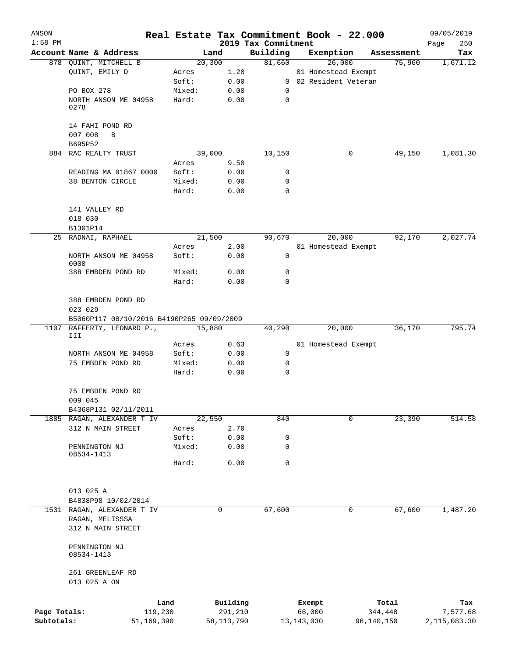| ANSON<br>$1:58$ PM |                                                                            |            |        |              | Real Estate Tax Commitment Book - 22.000 |              |                       |            | 09/05/2019         |
|--------------------|----------------------------------------------------------------------------|------------|--------|--------------|------------------------------------------|--------------|-----------------------|------------|--------------------|
|                    | Account Name & Address                                                     |            | Land   |              | 2019 Tax Commitment<br>Building          |              | Exemption             | Assessment | 250<br>Page<br>Tax |
|                    | 878 QUINT, MITCHELL B                                                      |            | 20,300 |              | 81,660                                   |              | 26,000                | 75,960     | 1,671.12           |
|                    | QUINT, EMILY D                                                             | Acres      |        | 1.20         |                                          |              | 01 Homestead Exempt   |            |                    |
|                    |                                                                            | Soft:      |        | 0.00         |                                          |              | 0 02 Resident Veteran |            |                    |
|                    | PO BOX 278                                                                 | Mixed:     |        | 0.00         | 0                                        |              |                       |            |                    |
|                    | NORTH ANSON ME 04958<br>0278                                               | Hard:      |        | 0.00         | $\mathbf 0$                              |              |                       |            |                    |
|                    | 14 FAHI POND RD                                                            |            |        |              |                                          |              |                       |            |                    |
|                    | 007 008<br>B                                                               |            |        |              |                                          |              |                       |            |                    |
|                    | B695P52                                                                    |            |        |              |                                          |              |                       |            |                    |
|                    | 884 RAC REALTY TRUST                                                       |            | 39,000 |              | 10,150                                   |              | 0                     | 49,150     | 1,081.30           |
|                    |                                                                            | Acres      |        | 9.50         |                                          |              |                       |            |                    |
|                    | READING MA 01867 0000                                                      | Soft:      |        | 0.00         | 0                                        |              |                       |            |                    |
|                    | 38 BENTON CIRCLE                                                           | Mixed:     |        | 0.00         | 0                                        |              |                       |            |                    |
|                    |                                                                            | Hard:      |        | 0.00         | 0                                        |              |                       |            |                    |
|                    | 141 VALLEY RD<br>018 030                                                   |            |        |              |                                          |              |                       |            |                    |
|                    | B1301P14                                                                   |            |        |              |                                          |              |                       |            |                    |
|                    | 25 RADNAI, RAPHAEL                                                         |            | 21,500 |              | 90,670                                   |              | 20,000                | 92,170     | 2,027.74           |
|                    |                                                                            | Acres      |        | 2.00         |                                          |              | 01 Homestead Exempt   |            |                    |
|                    | NORTH ANSON ME 04958<br>0000                                               | Soft:      |        | 0.00         | $\mathbf 0$                              |              |                       |            |                    |
|                    | 388 EMBDEN POND RD                                                         | Mixed:     |        | 0.00         | 0                                        |              |                       |            |                    |
|                    |                                                                            | Hard:      |        | 0.00         | 0                                        |              |                       |            |                    |
|                    | 388 EMBDEN POND RD<br>023 029<br>B5060P117 08/10/2016 B4190P265 09/09/2009 |            |        |              |                                          |              |                       |            |                    |
|                    | 1107 RAFFERTY, LEONARD P.,                                                 |            | 15,880 |              | 40,290                                   |              | 20,000                | 36,170     | 795.74             |
|                    | III                                                                        |            |        |              |                                          |              |                       |            |                    |
|                    |                                                                            | Acres      |        | 0.63         |                                          |              | 01 Homestead Exempt   |            |                    |
|                    | NORTH ANSON ME 04958                                                       | Soft:      |        | 0.00         | 0                                        |              |                       |            |                    |
|                    | 75 EMBDEN POND RD                                                          | Mixed:     |        | 0.00         | 0                                        |              |                       |            |                    |
|                    |                                                                            | Hard:      |        | 0.00         | $\mathbf 0$                              |              |                       |            |                    |
|                    | 75 EMBDEN POND RD<br>009 045                                               |            |        |              |                                          |              |                       |            |                    |
|                    | B4368P131 02/11/2011                                                       |            |        |              |                                          |              |                       |            |                    |
|                    | 1885 RAGAN, ALEXANDER T IV                                                 |            | 22,550 |              | 840                                      |              | 0                     | 23,390     | 514.58             |
|                    | 312 N MAIN STREET                                                          | Acres      |        | 2.70         |                                          |              |                       |            |                    |
|                    |                                                                            | Soft:      |        | 0.00         | 0                                        |              |                       |            |                    |
|                    | PENNINGTON NJ<br>08534-1413                                                | Mixed:     |        | 0.00         | 0                                        |              |                       |            |                    |
|                    |                                                                            | Hard:      |        | 0.00         | 0                                        |              |                       |            |                    |
|                    |                                                                            |            |        |              |                                          |              |                       |            |                    |
|                    | 013 025 A                                                                  |            |        |              |                                          |              |                       |            |                    |
|                    | B4838P98 10/02/2014                                                        |            |        |              |                                          |              |                       |            |                    |
|                    | 1531 RAGAN, ALEXANDER T IV<br>RAGAN, MELISSSA<br>312 N MAIN STREET         |            |        | 0            | 67,600                                   |              | 0                     | 67,600     | 1,487.20           |
|                    | PENNINGTON NJ<br>08534-1413                                                |            |        |              |                                          |              |                       |            |                    |
|                    | 261 GREENLEAF RD                                                           |            |        |              |                                          |              |                       |            |                    |
|                    | 013 025 A ON                                                               |            |        |              |                                          |              |                       |            |                    |
|                    |                                                                            | Land       |        | Building     |                                          | Exempt       |                       | Total      | Tax                |
| Page Totals:       |                                                                            | 119,230    |        | 291,210      |                                          | 66,000       |                       | 344,440    | 7,577.68           |
| Subtotals:         |                                                                            | 51,169,390 |        | 58, 113, 790 |                                          | 13, 143, 030 |                       | 96,140,150 | 2,115,083.30       |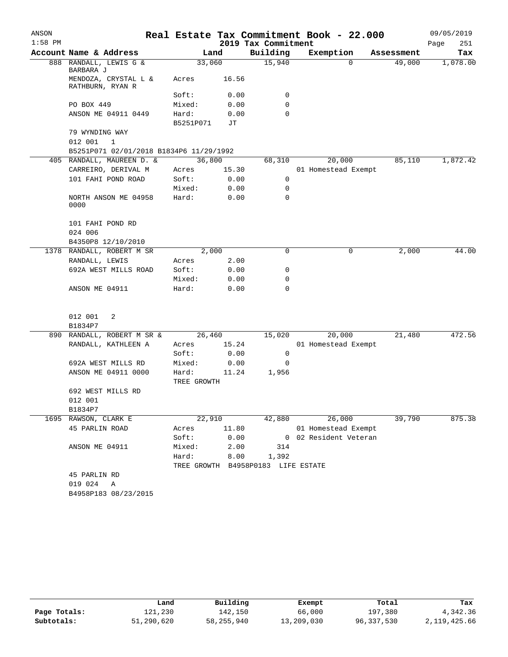| ANSON     |                                          |                    |            | Real Estate Tax Commitment Book - 22.000 |                       |          |            | 09/05/2019  |
|-----------|------------------------------------------|--------------------|------------|------------------------------------------|-----------------------|----------|------------|-------------|
| $1:58$ PM |                                          |                    |            | 2019 Tax Commitment                      |                       |          |            | 251<br>Page |
|           | Account Name & Address                   | Land               |            | Building                                 | Exemption             |          | Assessment | Tax         |
| 888       | RANDALL, LEWIS G &<br>BARBARA J          | 33,060             |            | 15,940                                   |                       | $\Omega$ | 49,000     | 1,078.00    |
|           | MENDOZA, CRYSTAL L &<br>RATHBURN, RYAN R | Acres              | 16.56      |                                          |                       |          |            |             |
|           |                                          | Soft:              | 0.00       | 0                                        |                       |          |            |             |
|           | PO BOX 449                               | Mixed:             | 0.00       | 0                                        |                       |          |            |             |
|           | ANSON ME 04911 0449                      | Hard:<br>B5251P071 | 0.00<br>JΤ | 0                                        |                       |          |            |             |
|           | 79 WYNDING WAY                           |                    |            |                                          |                       |          |            |             |
|           | 012 001<br>1                             |                    |            |                                          |                       |          |            |             |
|           | B5251P071 02/01/2018 B1834P6 11/29/1992  |                    |            |                                          |                       |          |            |             |
|           | 405 RANDALL, MAUREEN D. &                | 36,800             |            | 68,310                                   |                       | 20,000   | 85,110     | 1,872.42    |
|           | CARREIRO, DERIVAL M                      | Acres              | 15.30      |                                          | 01 Homestead Exempt   |          |            |             |
|           | 101 FAHI POND ROAD                       | Soft:              | 0.00       | 0                                        |                       |          |            |             |
|           |                                          | Mixed:             | 0.00       | 0                                        |                       |          |            |             |
|           | NORTH ANSON ME 04958<br>0000             | Hard:              | 0.00       | 0                                        |                       |          |            |             |
|           | 101 FAHI POND RD                         |                    |            |                                          |                       |          |            |             |
|           | 024 006                                  |                    |            |                                          |                       |          |            |             |
|           | B4350P8 12/10/2010                       |                    |            |                                          |                       |          |            |             |
| 1378      | RANDALL, ROBERT M SR                     | 2,000              |            | 0                                        |                       | 0        | 2,000      | 44.00       |
|           | RANDALL, LEWIS                           | Acres              | 2.00       |                                          |                       |          |            |             |
|           | 692A WEST MILLS ROAD                     | Soft:              | 0.00       | 0                                        |                       |          |            |             |
|           |                                          | Mixed:             | 0.00       | 0                                        |                       |          |            |             |
|           | ANSON ME 04911                           | Hard:              | 0.00       | 0                                        |                       |          |            |             |
|           | 012 001<br>2<br>B1834P7                  |                    |            |                                          |                       |          |            |             |
| 890       | RANDALL, ROBERT M SR &                   | 26,460             |            | 15,020                                   |                       | 20,000   | 21,480     | 472.56      |
|           | RANDALL, KATHLEEN A                      | Acres              | 15.24      |                                          | 01 Homestead Exempt   |          |            |             |
|           |                                          | Soft:              | 0.00       | 0                                        |                       |          |            |             |
|           | 692A WEST MILLS RD                       | Mixed:             | 0.00       | 0                                        |                       |          |            |             |
|           | ANSON ME 04911 0000                      | Hard:              | 11.24      | 1,956                                    |                       |          |            |             |
|           |                                          | TREE GROWTH        |            |                                          |                       |          |            |             |
|           | 692 WEST MILLS RD                        |                    |            |                                          |                       |          |            |             |
|           | 012 001                                  |                    |            |                                          |                       |          |            |             |
|           | B1834P7                                  |                    |            |                                          |                       |          |            |             |
|           | 1695 RAWSON, CLARK E                     | 22,910             |            | 42,880                                   |                       | 26,000   | 39,790     | 875.38      |
|           | 45 PARLIN ROAD                           | Acres              | 11.80      |                                          | 01 Homestead Exempt   |          |            |             |
|           |                                          | Soft:              | 0.00       |                                          | 0 02 Resident Veteran |          |            |             |
|           | ANSON ME 04911                           | Mixed:             | 2.00       | 314                                      |                       |          |            |             |
|           |                                          | Hard:              | 8.00       | 1,392                                    |                       |          |            |             |
|           |                                          |                    |            | TREE GROWTH B4958P0183 LIFE ESTATE       |                       |          |            |             |
|           | 45 PARLIN RD                             |                    |            |                                          |                       |          |            |             |
|           | 019 024 A                                |                    |            |                                          |                       |          |            |             |
|           | B4958P183 08/23/2015                     |                    |            |                                          |                       |          |            |             |
|           |                                          |                    |            |                                          |                       |          |            |             |

|              | Land       | Building   | Exempt     | Total      | Tax          |
|--------------|------------|------------|------------|------------|--------------|
| Page Totals: | 121,230    | 142.150    | 66,000     | 197,380    | 4,342.36     |
| Subtotals:   | 51,290,620 | 58,255,940 | 13,209,030 | 96,337,530 | 2,119,425.66 |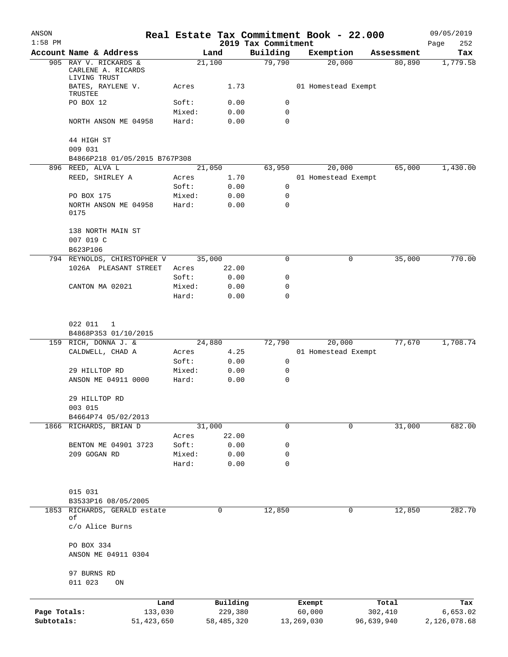| ANSON<br>$1:58$ PM         |                                                             | Real Estate Tax Commitment Book - 22.000 |                         | 2019 Tax Commitment |                      |                     |                       | 09/05/2019<br>Page<br>252 |
|----------------------------|-------------------------------------------------------------|------------------------------------------|-------------------------|---------------------|----------------------|---------------------|-----------------------|---------------------------|
|                            | Account Name & Address                                      |                                          | Land                    | Building            | Exemption            |                     | Assessment            | Tax                       |
|                            | 905 RAY V. RICKARDS &<br>CARLENE A. RICARDS<br>LIVING TRUST |                                          | 21,100                  | 79,790              |                      | 20,000              | 80,890                | 1,779.58                  |
|                            | BATES, RAYLENE V.<br>TRUSTEE                                | Acres                                    | 1.73                    |                     |                      | 01 Homestead Exempt |                       |                           |
|                            | PO BOX 12                                                   | Soft:                                    | 0.00                    | 0                   |                      |                     |                       |                           |
|                            |                                                             | Mixed:                                   | 0.00                    | $\mathbf 0$         |                      |                     |                       |                           |
|                            | NORTH ANSON ME 04958                                        | Hard:                                    | 0.00                    | 0                   |                      |                     |                       |                           |
|                            | 44 HIGH ST                                                  |                                          |                         |                     |                      |                     |                       |                           |
|                            | 009 031                                                     |                                          |                         |                     |                      |                     |                       |                           |
|                            | B4866P218 01/05/2015 B767P308<br>896 REED, ALVA L           |                                          | 21,050                  | 63,950              |                      | 20,000              | 65,000                | 1,430.00                  |
|                            | REED, SHIRLEY A                                             | Acres                                    | 1.70                    |                     |                      | 01 Homestead Exempt |                       |                           |
|                            |                                                             | Soft:                                    | 0.00                    | 0                   |                      |                     |                       |                           |
|                            | PO BOX 175                                                  | Mixed:                                   | 0.00                    | 0                   |                      |                     |                       |                           |
|                            | NORTH ANSON ME 04958<br>0175                                | Hard:                                    | 0.00                    | 0                   |                      |                     |                       |                           |
|                            | 138 NORTH MAIN ST<br>007 019 C<br>B623P106                  |                                          |                         |                     |                      |                     |                       |                           |
|                            | 794 REYNOLDS, CHIRSTOPHER V                                 |                                          | 35,000                  | 0                   |                      | 0                   | 35,000                | 770.00                    |
|                            | 1026A PLEASANT STREET                                       | Acres                                    | 22.00                   |                     |                      |                     |                       |                           |
|                            |                                                             | Soft:                                    | 0.00                    | 0                   |                      |                     |                       |                           |
|                            | CANTON MA 02021                                             | Mixed:                                   | 0.00                    | 0                   |                      |                     |                       |                           |
|                            |                                                             | Hard:                                    | 0.00                    | 0                   |                      |                     |                       |                           |
|                            | 022 011<br>1                                                |                                          |                         |                     |                      |                     |                       |                           |
|                            | B4868P353 01/10/2015                                        |                                          |                         |                     |                      |                     |                       |                           |
|                            | 159 RICH, DONNA J. &                                        |                                          | 24,880                  | 72,790              |                      | 20,000              | 77,670                | 1,708.74                  |
|                            | CALDWELL, CHAD A                                            | Acres                                    | 4.25                    |                     |                      | 01 Homestead Exempt |                       |                           |
|                            |                                                             | Soft:                                    | 0.00                    | 0                   |                      |                     |                       |                           |
|                            | 29 HILLTOP RD                                               | Mixed:                                   | 0.00                    | 0                   |                      |                     |                       |                           |
|                            | ANSON ME 04911 0000                                         | Hard:                                    | 0.00                    | $\mathbf 0$         |                      |                     |                       |                           |
|                            | 29 HILLTOP RD<br>003 015                                    |                                          |                         |                     |                      |                     |                       |                           |
|                            | B4664P74 05/02/2013                                         |                                          |                         |                     |                      |                     |                       |                           |
|                            | 1866 RICHARDS, BRIAN D                                      |                                          | 31,000                  | $\mathbf 0$         |                      | 0                   | 31,000                | 682.00                    |
|                            |                                                             | Acres                                    | 22.00                   |                     |                      |                     |                       |                           |
|                            | BENTON ME 04901 3723                                        | Soft:                                    | 0.00                    | 0                   |                      |                     |                       |                           |
|                            | 209 GOGAN RD                                                | Mixed:                                   | 0.00                    | 0                   |                      |                     |                       |                           |
|                            |                                                             | Hard:                                    | 0.00                    | $\mathbf 0$         |                      |                     |                       |                           |
|                            | 015 031                                                     |                                          |                         |                     |                      |                     |                       |                           |
|                            | B3533P16 08/05/2005                                         |                                          |                         |                     |                      |                     |                       |                           |
| 1853                       | RICHARDS, GERALD estate                                     |                                          | 0                       | 12,850              |                      | 0                   | 12,850                | 282.70                    |
|                            | оf<br>c/o Alice Burns                                       |                                          |                         |                     |                      |                     |                       |                           |
|                            | PO BOX 334<br>ANSON ME 04911 0304                           |                                          |                         |                     |                      |                     |                       |                           |
|                            | 97 BURNS RD                                                 |                                          |                         |                     |                      |                     |                       |                           |
|                            | 011 023<br>ON                                               |                                          |                         |                     |                      |                     |                       |                           |
|                            |                                                             | Land                                     | Building                |                     | Exempt               |                     | Total                 | Tax                       |
| Page Totals:<br>Subtotals: |                                                             | 133,030<br>51, 423, 650                  | 229,380<br>58, 485, 320 |                     | 60,000<br>13,269,030 |                     | 302,410<br>96,639,940 | 6,653.02<br>2,126,078.68  |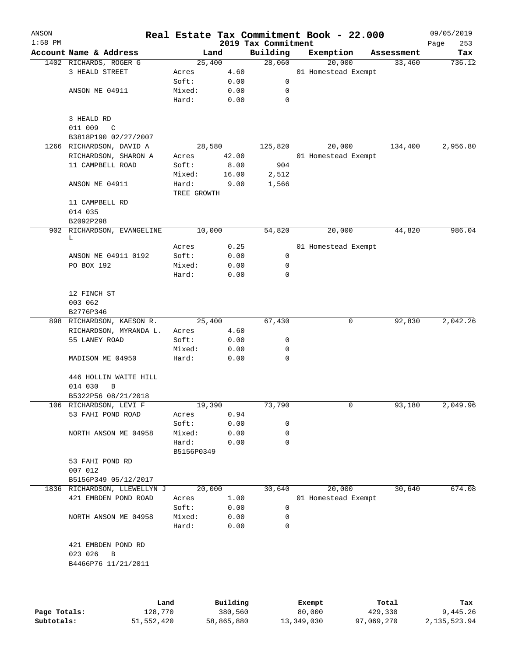| ANSON     |                              |             |          |                                 | Real Estate Tax Commitment Book - 22.000 |            | 09/05/2019         |
|-----------|------------------------------|-------------|----------|---------------------------------|------------------------------------------|------------|--------------------|
| $1:58$ PM | Account Name & Address       |             | Land     | 2019 Tax Commitment<br>Building | Exemption                                | Assessment | Page<br>253<br>Tax |
|           | 1402 RICHARDS, ROGER G       |             | 25,400   | 28,060                          | 20,000                                   | 33,460     | 736.12             |
|           | 3 HEALD STREET               | Acres       | 4.60     |                                 | 01 Homestead Exempt                      |            |                    |
|           |                              | Soft:       | 0.00     | 0                               |                                          |            |                    |
|           | ANSON ME 04911               | Mixed:      | 0.00     | 0                               |                                          |            |                    |
|           |                              | Hard:       | 0.00     | $\mathbf 0$                     |                                          |            |                    |
|           | 3 HEALD RD                   |             |          |                                 |                                          |            |                    |
|           | 011 009<br>C                 |             |          |                                 |                                          |            |                    |
|           | B3818P190 02/27/2007         |             |          |                                 |                                          |            |                    |
|           | 1266 RICHARDSON, DAVID A     |             | 28,580   | 125,820                         | 20,000                                   | 134,400    | 2,956.80           |
|           | RICHARDSON, SHARON A         | Acres       | 42.00    |                                 | 01 Homestead Exempt                      |            |                    |
|           | 11 CAMPBELL ROAD             | Soft:       | 8.00     | 904                             |                                          |            |                    |
|           |                              | Mixed:      | 16.00    | 2,512                           |                                          |            |                    |
|           | ANSON ME 04911               | Hard:       | 9.00     | 1,566                           |                                          |            |                    |
|           |                              | TREE GROWTH |          |                                 |                                          |            |                    |
|           | 11 CAMPBELL RD               |             |          |                                 |                                          |            |                    |
|           | 014 035                      |             |          |                                 |                                          |            |                    |
|           | B2092P298                    |             |          |                                 |                                          |            |                    |
|           | 902 RICHARDSON, EVANGELINE   |             | 10,000   | 54,820                          | 20,000                                   | 44,820     | 986.04             |
|           | L                            | Acres       | 0.25     |                                 | 01 Homestead Exempt                      |            |                    |
|           | ANSON ME 04911 0192          | Soft:       | 0.00     | 0                               |                                          |            |                    |
|           | PO BOX 192                   | Mixed:      | 0.00     | 0                               |                                          |            |                    |
|           |                              | Hard:       | 0.00     | $\mathbf 0$                     |                                          |            |                    |
|           |                              |             |          |                                 |                                          |            |                    |
|           | 12 FINCH ST                  |             |          |                                 |                                          |            |                    |
|           | 003 062                      |             |          |                                 |                                          |            |                    |
|           | B2776P346                    |             |          |                                 |                                          |            |                    |
|           | 898 RICHARDSON, KAESON R.    |             | 25,400   | 67,430                          | 0                                        | 92,830     | 2,042.26           |
|           | RICHARDSON, MYRANDA L.       | Acres       | 4.60     |                                 |                                          |            |                    |
|           | 55 LANEY ROAD                | Soft:       | 0.00     | 0                               |                                          |            |                    |
|           |                              | Mixed:      | 0.00     | 0                               |                                          |            |                    |
|           | MADISON ME 04950             | Hard:       | 0.00     | $\mathbf 0$                     |                                          |            |                    |
|           | 446 HOLLIN WAITE HILL        |             |          |                                 |                                          |            |                    |
|           | 014 030<br>В                 |             |          |                                 |                                          |            |                    |
|           | B5322P56 08/21/2018          |             |          |                                 |                                          |            |                    |
|           | 106 RICHARDSON, LEVI F       |             | 19,390   | 73,790                          | 0                                        | 93,180     | 2,049.96           |
|           | 53 FAHI POND ROAD            | Acres       | 0.94     |                                 |                                          |            |                    |
|           |                              | Soft:       | 0.00     | 0                               |                                          |            |                    |
|           | NORTH ANSON ME 04958         | Mixed:      | 0.00     | 0                               |                                          |            |                    |
|           |                              | Hard:       | 0.00     | $\Omega$                        |                                          |            |                    |
|           |                              | B5156P0349  |          |                                 |                                          |            |                    |
|           | 53 FAHI POND RD              |             |          |                                 |                                          |            |                    |
|           | 007 012                      |             |          |                                 |                                          |            |                    |
|           | B5156P349 05/12/2017         |             |          |                                 |                                          |            |                    |
|           | 1836 RICHARDSON, LLEWELLYN J |             | 20,000   | 30,640                          | 20,000                                   | 30,640     | 674.08             |
|           | 421 EMBDEN POND ROAD         | Acres       | 1.00     |                                 | 01 Homestead Exempt                      |            |                    |
|           |                              | Soft:       | 0.00     | 0                               |                                          |            |                    |
|           | NORTH ANSON ME 04958         | Mixed:      | 0.00     | $\mathbf 0$                     |                                          |            |                    |
|           |                              | Hard:       | 0.00     | $\mathbf 0$                     |                                          |            |                    |
|           | 421 EMBDEN POND RD           |             |          |                                 |                                          |            |                    |
|           | 023 026<br>B                 |             |          |                                 |                                          |            |                    |
|           | B4466P76 11/21/2011          |             |          |                                 |                                          |            |                    |
|           |                              |             |          |                                 |                                          |            |                    |
|           |                              |             |          |                                 |                                          |            |                    |
|           | Land.                        |             | Building |                                 | $F$ vomnt                                | $T$ ctal   | To y               |

|              | Land       | Building   | Exempt     | Total      | Tax          |
|--------------|------------|------------|------------|------------|--------------|
| Page Totals: | 128,770    | 380,560    | 80,000     | 429,330    | 9,445.26     |
| Subtotals:   | 51,552,420 | 58,865,880 | 13,349,030 | 97,069,270 | 2,135,523.94 |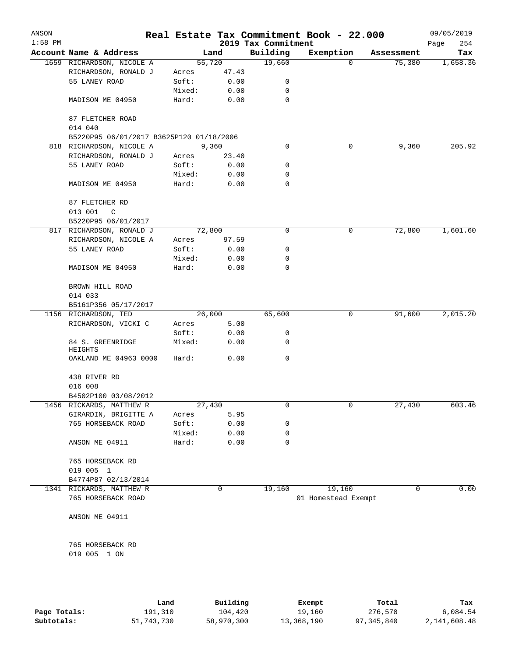| ANSON<br>$1:58$ PM |                                          |                 |              | 2019 Tax Commitment | Real Estate Tax Commitment Book - 22.000 |            | 09/05/2019<br>254<br>Page |
|--------------------|------------------------------------------|-----------------|--------------|---------------------|------------------------------------------|------------|---------------------------|
|                    | Account Name & Address                   |                 | Land         | Building            | Exemption                                | Assessment | Tax                       |
|                    | 1659 RICHARDSON, NICOLE A                |                 | 55,720       | 19,660              | 0                                        | 75,380     | 1,658.36                  |
|                    | RICHARDSON, RONALD J                     | Acres           | 47.43        |                     |                                          |            |                           |
|                    | 55 LANEY ROAD                            | Soft:           | 0.00         | 0                   |                                          |            |                           |
|                    |                                          | Mixed:          | 0.00         | 0                   |                                          |            |                           |
|                    | MADISON ME 04950                         | Hard:           | 0.00         | $\mathbf 0$         |                                          |            |                           |
|                    | 87 FLETCHER ROAD<br>014 040              |                 |              |                     |                                          |            |                           |
|                    | B5220P95 06/01/2017 B3625P120 01/18/2006 |                 |              |                     |                                          |            |                           |
|                    | 818 RICHARDSON, NICOLE A                 |                 | 9,360        | 0                   | 0                                        | 9,360      | 205.92                    |
|                    | RICHARDSON, RONALD J                     | Acres           | 23.40        |                     |                                          |            |                           |
|                    | 55 LANEY ROAD                            | Soft:           | 0.00         | 0                   |                                          |            |                           |
|                    |                                          | Mixed:          | 0.00         | 0                   |                                          |            |                           |
|                    | MADISON ME 04950                         | Hard:           | 0.00         | 0                   |                                          |            |                           |
|                    | 87 FLETCHER RD                           |                 |              |                     |                                          |            |                           |
|                    | 013 001<br>C                             |                 |              |                     |                                          |            |                           |
|                    | B5220P95 06/01/2017                      |                 |              |                     |                                          |            |                           |
|                    | 817 RICHARDSON, RONALD J                 |                 | 72,800       | 0                   | 0                                        | 72,800     | 1,601.60                  |
|                    | RICHARDSON, NICOLE A                     | Acres           | 97.59        |                     |                                          |            |                           |
|                    | 55 LANEY ROAD                            | Soft:           | 0.00         | 0                   |                                          |            |                           |
|                    |                                          | Mixed:          | 0.00         | 0                   |                                          |            |                           |
|                    | MADISON ME 04950                         | Hard:           | 0.00         | 0                   |                                          |            |                           |
|                    | BROWN HILL ROAD                          |                 |              |                     |                                          |            |                           |
|                    | 014 033                                  |                 |              |                     |                                          |            |                           |
|                    | B5161P356 05/17/2017                     |                 |              |                     |                                          |            |                           |
|                    | 1156 RICHARDSON, TED                     |                 | 26,000       | 65,600              | 0                                        | 91,600     | 2,015.20                  |
|                    | RICHARDSON, VICKI C                      |                 | 5.00         |                     |                                          |            |                           |
|                    |                                          | Acres           |              | 0                   |                                          |            |                           |
|                    | 84 S. GREENRIDGE                         | Soft:<br>Mixed: | 0.00<br>0.00 | 0                   |                                          |            |                           |
|                    | HEIGHTS<br>OAKLAND ME 04963 0000         | Hard:           | 0.00         | $\mathbf 0$         |                                          |            |                           |
|                    | 438 RIVER RD                             |                 |              |                     |                                          |            |                           |
|                    | 016 008                                  |                 |              |                     |                                          |            |                           |
|                    | B4502P100 03/08/2012                     |                 |              |                     |                                          |            |                           |
|                    | 1456 RICKARDS, MATTHEW R                 |                 | 27,430       | 0                   | 0                                        | 27,430     | 603.46                    |
|                    | GIRARDIN, BRIGITTE A                     | Acres           | 5.95         |                     |                                          |            |                           |
|                    | 765 HORSEBACK ROAD                       | Soft:           | 0.00         | 0                   |                                          |            |                           |
|                    |                                          | Mixed:          | 0.00         | 0                   |                                          |            |                           |
|                    | ANSON ME 04911                           | Hard:           | 0.00         | 0                   |                                          |            |                           |
|                    | 765 HORSEBACK RD                         |                 |              |                     |                                          |            |                           |
|                    | 019 005 1                                |                 |              |                     |                                          |            |                           |
|                    | B4774P87 02/13/2014                      |                 |              |                     |                                          |            |                           |
|                    | 1341 RICKARDS, MATTHEW R                 |                 | $\mathbf 0$  | 19,160              | 19,160                                   | 0          | 0.00                      |
|                    | 765 HORSEBACK ROAD                       |                 |              |                     | 01 Homestead Exempt                      |            |                           |
|                    | ANSON ME 04911                           |                 |              |                     |                                          |            |                           |
|                    |                                          |                 |              |                     |                                          |            |                           |
|                    | 765 HORSEBACK RD<br>019 005 1 ON         |                 |              |                     |                                          |            |                           |
|                    |                                          |                 |              |                     |                                          |            |                           |
|                    |                                          |                 |              |                     |                                          |            |                           |

|              | Land       | Building   | Exempt     | Total      | Tax          |
|--------------|------------|------------|------------|------------|--------------|
| Page Totals: | 191,310    | 104,420    | 19,160     | 276,570    | 6,084.54     |
| Subtotals:   | 51,743,730 | 58,970,300 | 13,368,190 | 97,345,840 | 2,141,608.48 |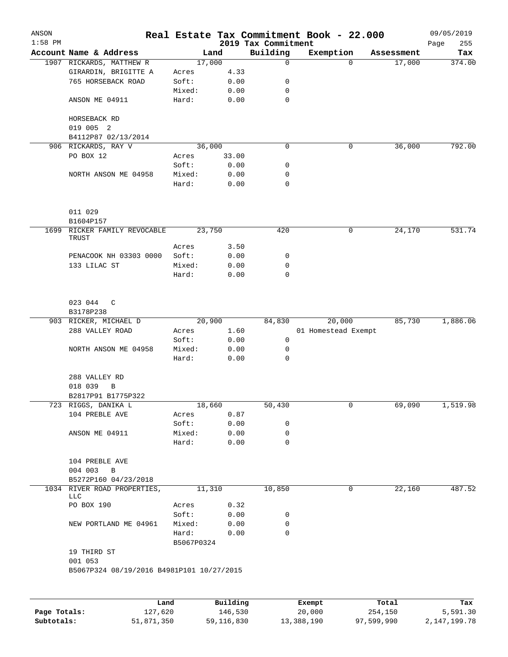| ANSON<br>$1:58$ PM |                                                                     |                     |          | 2019 Tax Commitment | Real Estate Tax Commitment Book - 22.000 |                    | 09/05/2019<br>255<br>Page |
|--------------------|---------------------------------------------------------------------|---------------------|----------|---------------------|------------------------------------------|--------------------|---------------------------|
|                    | Account Name & Address                                              |                     | Land     | Building            | Exemption                                | Assessment         | Tax                       |
|                    | 1907 RICKARDS, MATTHEW R                                            | 17,000              |          | $\mathbf 0$         |                                          | 17,000<br>$\Omega$ | 374.00                    |
|                    | GIRARDIN, BRIGITTE A                                                | Acres               | 4.33     |                     |                                          |                    |                           |
|                    | 765 HORSEBACK ROAD                                                  | Soft:               | 0.00     | 0                   |                                          |                    |                           |
|                    |                                                                     | Mixed:              | 0.00     | 0                   |                                          |                    |                           |
|                    | ANSON ME 04911                                                      | Hard:               | 0.00     | $\mathbf 0$         |                                          |                    |                           |
|                    | HORSEBACK RD                                                        |                     |          |                     |                                          |                    |                           |
|                    | 019 005 2                                                           |                     |          |                     |                                          |                    |                           |
|                    | B4112P87 02/13/2014                                                 |                     |          |                     |                                          |                    |                           |
|                    | 906 RICKARDS, RAY V                                                 |                     | 36,000   | $\mathbf 0$         |                                          | 36,000<br>0        | 792.00                    |
|                    | PO BOX 12                                                           | Acres               | 33.00    |                     |                                          |                    |                           |
|                    |                                                                     | Soft:               | 0.00     | 0                   |                                          |                    |                           |
|                    | NORTH ANSON ME 04958                                                | Mixed:              | 0.00     | 0                   |                                          |                    |                           |
|                    |                                                                     | Hard:               | 0.00     | $\mathbf 0$         |                                          |                    |                           |
|                    | 011 029                                                             |                     |          |                     |                                          |                    |                           |
|                    | B1604P157                                                           |                     |          |                     |                                          |                    |                           |
| 1699               | RICKER FAMILY REVOCABLE                                             |                     | 23,750   | 420                 |                                          | 24,170<br>0        | 531.74                    |
|                    | TRUST                                                               |                     |          |                     |                                          |                    |                           |
|                    |                                                                     | Acres               | 3.50     |                     |                                          |                    |                           |
|                    | PENACOOK NH 03303 0000                                              | Soft:               | 0.00     | 0                   |                                          |                    |                           |
|                    | 133 LILAC ST                                                        | Mixed:              | 0.00     | 0                   |                                          |                    |                           |
|                    |                                                                     | Hard:               | 0.00     | 0                   |                                          |                    |                           |
|                    | 023 044<br>C                                                        |                     |          |                     |                                          |                    |                           |
|                    | B3178P238                                                           |                     |          |                     |                                          |                    |                           |
|                    | 903 RICKER, MICHAEL D                                               |                     | 20,900   | 84,830              | 20,000                                   | 85,730             | 1,886.06                  |
|                    | 288 VALLEY ROAD                                                     | Acres               | 1.60     |                     | 01 Homestead Exempt                      |                    |                           |
|                    |                                                                     | Soft:               | 0.00     | 0                   |                                          |                    |                           |
|                    | NORTH ANSON ME 04958                                                | Mixed:              | 0.00     | 0                   |                                          |                    |                           |
|                    |                                                                     | Hard:               | 0.00     | 0                   |                                          |                    |                           |
|                    | 288 VALLEY RD                                                       |                     |          |                     |                                          |                    |                           |
|                    | 018 039<br>В                                                        |                     |          |                     |                                          |                    |                           |
|                    | B2817P91 B1775P322                                                  |                     |          |                     |                                          |                    |                           |
|                    | 723 RIGGS, DANIKA L                                                 | 18,660              |          | 50,430              |                                          | 69,090<br>0        | 1,519.98                  |
|                    | 104 PREBLE AVE                                                      | Acres               | 0.87     |                     |                                          |                    |                           |
|                    |                                                                     | Soft:               | 0.00     | 0                   |                                          |                    |                           |
|                    | ANSON ME 04911                                                      | Mixed:              | 0.00     | 0                   |                                          |                    |                           |
|                    |                                                                     | Hard:               | 0.00     | 0                   |                                          |                    |                           |
|                    | 104 PREBLE AVE                                                      |                     |          |                     |                                          |                    |                           |
|                    | 004 003<br>$\, {\bf B}$                                             |                     |          |                     |                                          |                    |                           |
|                    | B5272P160 04/23/2018                                                |                     |          |                     |                                          |                    |                           |
|                    | 1034 RIVER ROAD PROPERTIES,<br><b>LLC</b>                           |                     | 11,310   | 10,850              |                                          | 22,160<br>0        | 487.52                    |
|                    | PO BOX 190                                                          | Acres               | 0.32     |                     |                                          |                    |                           |
|                    |                                                                     | Soft:               | 0.00     | 0                   |                                          |                    |                           |
|                    | NEW PORTLAND ME 04961                                               | Mixed:              | 0.00     | 0                   |                                          |                    |                           |
|                    |                                                                     | Hard:<br>B5067P0324 | 0.00     | 0                   |                                          |                    |                           |
|                    | 19 THIRD ST<br>001 053<br>B5067P324 08/19/2016 B4981P101 10/27/2015 |                     |          |                     |                                          |                    |                           |
|                    |                                                                     |                     |          |                     |                                          |                    |                           |
|                    | Land                                                                |                     | Building |                     | Exempt                                   | Total              | Tax                       |
| Page Totals:       | 127,620                                                             |                     | 146,530  |                     | 20,000                                   | 254,150            | 5,591.30                  |

**Subtotals:** 51,871,350 59,116,830 13,388,190 97,599,990 2,147,199.78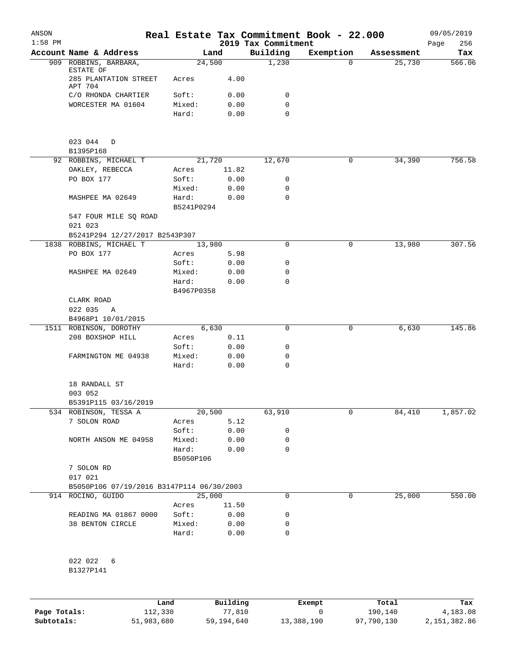| ANSON<br>$1:58$ PM |                                               |                    |              | 2019 Tax Commitment | Real Estate Tax Commitment Book - 22.000 |            | 09/05/2019<br>256<br>Page |
|--------------------|-----------------------------------------------|--------------------|--------------|---------------------|------------------------------------------|------------|---------------------------|
|                    | Account Name & Address                        |                    | Land         | Building            | Exemption                                | Assessment | Tax                       |
|                    | 909 ROBBINS, BARBARA,                         |                    | 24,500       | 1,230               | $\Omega$                                 | 25,730     | 566.06                    |
|                    | ESTATE OF<br>285 PLANTATION STREET<br>APT 704 | Acres              | 4.00         |                     |                                          |            |                           |
|                    | C/O RHONDA CHARTIER                           | Soft:              | 0.00         | 0                   |                                          |            |                           |
|                    | WORCESTER MA 01604                            | Mixed:             | 0.00         | 0                   |                                          |            |                           |
|                    |                                               | Hard:              | 0.00         | $\mathbf 0$         |                                          |            |                           |
|                    | 023 044<br>D<br>B1395P168                     |                    |              |                     |                                          |            |                           |
|                    | 92 ROBBINS, MICHAEL T                         |                    | 21,720       | 12,670              | 0                                        | 34,390     | 756.58                    |
|                    | OAKLEY, REBECCA                               | Acres              | 11.82        |                     |                                          |            |                           |
|                    | PO BOX 177                                    | Soft:              | 0.00         | 0                   |                                          |            |                           |
|                    |                                               | Mixed:             | 0.00         | 0                   |                                          |            |                           |
|                    | MASHPEE MA 02649                              | Hard:              | 0.00         | $\Omega$            |                                          |            |                           |
|                    |                                               | B5241P0294         |              |                     |                                          |            |                           |
|                    | 547 FOUR MILE SQ ROAD                         |                    |              |                     |                                          |            |                           |
|                    | 021 023                                       |                    |              |                     |                                          |            |                           |
|                    | B5241P294 12/27/2017 B2543P307                |                    |              |                     |                                          |            |                           |
|                    | 1838 ROBBINS, MICHAEL T                       |                    | 13,980       | 0                   | 0                                        | 13,980     | 307.56                    |
|                    | PO BOX 177                                    | Acres              | 5.98         | 0                   |                                          |            |                           |
|                    | MASHPEE MA 02649                              | Soft:<br>Mixed:    | 0.00<br>0.00 | 0                   |                                          |            |                           |
|                    |                                               | Hard:              | 0.00         | 0                   |                                          |            |                           |
|                    |                                               | B4967P0358         |              |                     |                                          |            |                           |
|                    | CLARK ROAD                                    |                    |              |                     |                                          |            |                           |
|                    | 022 035<br>A                                  |                    |              |                     |                                          |            |                           |
|                    | B4968P1 10/01/2015                            |                    |              |                     |                                          |            |                           |
|                    | 1511 ROBINSON, DOROTHY                        |                    | 6,630        | 0                   | 0                                        | 6,630      | 145.86                    |
|                    | 208 BOXSHOP HILL                              | Acres              | 0.11         |                     |                                          |            |                           |
|                    |                                               | Soft:              | 0.00         | 0                   |                                          |            |                           |
|                    | FARMINGTON ME 04938                           | Mixed:             | 0.00         | 0                   |                                          |            |                           |
|                    |                                               | Hard:              | 0.00         | 0                   |                                          |            |                           |
|                    | 18 RANDALL ST                                 |                    |              |                     |                                          |            |                           |
|                    | 003 052<br>B5391P115 03/16/2019               |                    |              |                     |                                          |            |                           |
|                    | 534 ROBINSON, TESSA A                         |                    | 20,500       | 63,910              | 0                                        | 84,410     | 1,857.02                  |
|                    | 7 SOLON ROAD                                  | Acres              | 5.12         |                     |                                          |            |                           |
|                    |                                               | Soft:              | 0.00         | 0                   |                                          |            |                           |
|                    | NORTH ANSON ME 04958                          | Mixed:             | 0.00         | 0                   |                                          |            |                           |
|                    |                                               | Hard:<br>B5050P106 | 0.00         | 0                   |                                          |            |                           |
|                    | 7 SOLON RD                                    |                    |              |                     |                                          |            |                           |
|                    | 017 021                                       |                    |              |                     |                                          |            |                           |
|                    | B5050P106 07/19/2016 B3147P114 06/30/2003     |                    |              |                     |                                          |            |                           |
|                    | 914 ROCINO, GUIDO                             |                    | 25,000       | 0                   | 0                                        | 25,000     | 550.00                    |
|                    |                                               | Acres              | 11.50        |                     |                                          |            |                           |
|                    | READING MA 01867 0000                         | Soft:              | 0.00         | 0                   |                                          |            |                           |
|                    | 38 BENTON CIRCLE                              | Mixed:             | 0.00         | 0                   |                                          |            |                           |
|                    |                                               | Hard:              | 0.00         | 0                   |                                          |            |                           |
|                    | 022 022<br>6                                  |                    |              |                     |                                          |            |                           |
|                    | B1327P141                                     |                    |              |                     |                                          |            |                           |
|                    |                                               |                    |              |                     |                                          |            |                           |
|                    |                                               |                    |              |                     |                                          |            |                           |

|              | Land       | Building   | Exempt     | Total      | Tax          |
|--------------|------------|------------|------------|------------|--------------|
| Page Totals: | 112,330    | 77,810     |            | 190,140    | 4,183.08     |
| Subtotals:   | 51,983,680 | 59,194,640 | 13,388,190 | 97,790,130 | 2,151,382.86 |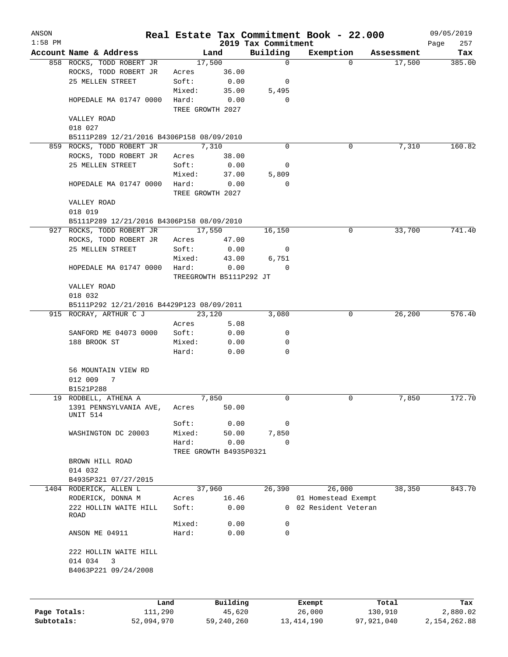| ANSON        |                                           |                  |                         |                                 | Real Estate Tax Commitment Book - 22.000 |                      | 09/05/2019    |
|--------------|-------------------------------------------|------------------|-------------------------|---------------------------------|------------------------------------------|----------------------|---------------|
| $1:58$ PM    | Account Name & Address                    |                  | Land                    | 2019 Tax Commitment<br>Building |                                          |                      | Page<br>257   |
|              | 858 ROCKS, TODD ROBERT JR                 |                  | 17,500                  | 0                               | Exemption<br>$\Omega$                    | Assessment<br>17,500 | Tax<br>385.00 |
|              | ROCKS, TODD ROBERT JR                     | Acres            | 36.00                   |                                 |                                          |                      |               |
|              | 25 MELLEN STREET                          | Soft:            | 0.00                    | 0                               |                                          |                      |               |
|              |                                           | Mixed:           | 35.00                   | 5,495                           |                                          |                      |               |
|              | HOPEDALE MA 01747 0000                    | Hard:            | 0.00                    | 0                               |                                          |                      |               |
|              |                                           | TREE GROWTH 2027 |                         |                                 |                                          |                      |               |
|              | VALLEY ROAD                               |                  |                         |                                 |                                          |                      |               |
|              | 018 027                                   |                  |                         |                                 |                                          |                      |               |
|              | B5111P289 12/21/2016 B4306P158 08/09/2010 |                  |                         |                                 |                                          |                      |               |
|              | 859 ROCKS, TODD ROBERT JR                 |                  | 7,310                   | 0                               | 0                                        | 7,310                | 160.82        |
|              | ROCKS, TODD ROBERT JR                     | Acres            | 38.00                   |                                 |                                          |                      |               |
|              | 25 MELLEN STREET                          | Soft:            | 0.00                    | 0                               |                                          |                      |               |
|              |                                           | Mixed:           | 37.00                   | 5,809                           |                                          |                      |               |
|              | HOPEDALE MA 01747 0000                    | Hard:            | 0.00                    | 0                               |                                          |                      |               |
|              |                                           | TREE GROWTH 2027 |                         |                                 |                                          |                      |               |
|              | VALLEY ROAD                               |                  |                         |                                 |                                          |                      |               |
|              | 018 019                                   |                  |                         |                                 |                                          |                      |               |
|              | B5111P289 12/21/2016 B4306P158 08/09/2010 |                  |                         |                                 |                                          |                      |               |
|              | 927 ROCKS, TODD ROBERT JR                 |                  | 17,550                  | 16,150                          | 0                                        | 33,700               | 741.40        |
|              | ROCKS, TODD ROBERT JR                     | Acres            | 47.00                   |                                 |                                          |                      |               |
|              | 25 MELLEN STREET                          | Soft:            | 0.00                    | 0                               |                                          |                      |               |
|              |                                           | Mixed:           | 43.00                   | 6,751                           |                                          |                      |               |
|              | HOPEDALE MA 01747 0000                    | Hard:            | 0.00                    | $\mathbf 0$                     |                                          |                      |               |
|              |                                           |                  | TREEGROWTH B5111P292 JT |                                 |                                          |                      |               |
|              | VALLEY ROAD                               |                  |                         |                                 |                                          |                      |               |
|              | 018 032                                   |                  |                         |                                 |                                          |                      |               |
|              | B5111P292 12/21/2016 B4429P123 08/09/2011 |                  |                         |                                 |                                          |                      |               |
|              | 915 ROCRAY, ARTHUR C J                    |                  | 23,120                  | 3,080                           | 0                                        | 26,200               | 576.40        |
|              |                                           | Acres            | 5.08                    |                                 |                                          |                      |               |
|              | SANFORD ME 04073 0000                     | Soft:            | 0.00                    | 0                               |                                          |                      |               |
|              | 188 BROOK ST                              | Mixed:           | 0.00                    | 0                               |                                          |                      |               |
|              |                                           | Hard:            | 0.00                    | 0                               |                                          |                      |               |
|              | 56 MOUNTAIN VIEW RD                       |                  |                         |                                 |                                          |                      |               |
|              | 012 009<br>$\overline{7}$                 |                  |                         |                                 |                                          |                      |               |
|              | B1521P288                                 |                  |                         |                                 |                                          |                      |               |
|              | 19 RODBELL, ATHENA A                      |                  | 7,850                   | 0                               | 0                                        | 7,850                | 172.70        |
|              | 1391 PENNSYLVANIA AVE,                    | Acres            | 50.00                   |                                 |                                          |                      |               |
|              | UNIT 514                                  |                  |                         |                                 |                                          |                      |               |
|              |                                           | Soft:            | 0.00                    | 0                               |                                          |                      |               |
|              | WASHINGTON DC 20003                       | Mixed:           | 50.00                   | 7,850                           |                                          |                      |               |
|              |                                           | Hard:            | 0.00                    | 0                               |                                          |                      |               |
|              |                                           |                  | TREE GROWTH B4935P0321  |                                 |                                          |                      |               |
|              | BROWN HILL ROAD                           |                  |                         |                                 |                                          |                      |               |
|              | 014 032                                   |                  |                         |                                 |                                          |                      |               |
|              | B4935P321 07/27/2015                      |                  |                         |                                 |                                          |                      |               |
|              | 1404 RODERICK, ALLEN L                    |                  | 37,960                  | 26,390                          | 26,000                                   | 38,350               | 843.70        |
|              | RODERICK, DONNA M                         | Acres            | 16.46                   |                                 | 01 Homestead Exempt                      |                      |               |
|              | 222 HOLLIN WAITE HILL                     | Soft:            | 0.00                    |                                 | 0 02 Resident Veteran                    |                      |               |
|              | ROAD                                      |                  |                         |                                 |                                          |                      |               |
|              |                                           | Mixed:           | 0.00                    | 0                               |                                          |                      |               |
|              | ANSON ME 04911                            | Hard:            | 0.00                    | 0                               |                                          |                      |               |
|              |                                           |                  |                         |                                 |                                          |                      |               |
|              | 222 HOLLIN WAITE HILL                     |                  |                         |                                 |                                          |                      |               |
|              | 014 034<br>3                              |                  |                         |                                 |                                          |                      |               |
|              | B4063P221 09/24/2008                      |                  |                         |                                 |                                          |                      |               |
|              |                                           |                  |                         |                                 |                                          |                      |               |
|              |                                           |                  |                         |                                 |                                          |                      |               |
|              |                                           | Land             | Building                |                                 | Exempt                                   | Total                | Tax           |
| Page Totals: | 111,290                                   |                  | 45,620                  |                                 | 26,000                                   | 130,910              | 2,880.02      |

**Subtotals:** 52,094,970 59,240,260 13,414,190 97,921,040 2,154,262.88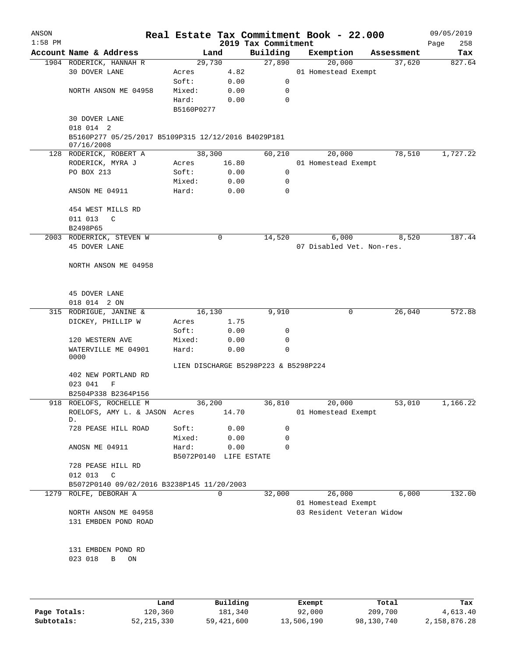| ANSON<br>$1:58$ PM |                                                                   |            | 2019 Tax Commitment                  |          | Real Estate Tax Commitment Book - 22.000 |            | 09/05/2019<br>Page<br>258 |
|--------------------|-------------------------------------------------------------------|------------|--------------------------------------|----------|------------------------------------------|------------|---------------------------|
|                    | Account Name & Address                                            | Land       |                                      | Building | Exemption                                | Assessment | Tax                       |
|                    | 1904 RODERICK, HANNAH R                                           | 29,730     |                                      | 27,890   | 20,000                                   | 37,620     | 827.64                    |
|                    | 30 DOVER LANE                                                     | Acres      | 4.82                                 |          | 01 Homestead Exempt                      |            |                           |
|                    |                                                                   | Soft:      | 0.00                                 | 0        |                                          |            |                           |
|                    | NORTH ANSON ME 04958                                              | Mixed:     | 0.00                                 | 0        |                                          |            |                           |
|                    |                                                                   | Hard:      | 0.00                                 | $\Omega$ |                                          |            |                           |
|                    |                                                                   | B5160P0277 |                                      |          |                                          |            |                           |
|                    | 30 DOVER LANE<br>018 014 2                                        |            |                                      |          |                                          |            |                           |
|                    | B5160P277 05/25/2017 B5109P315 12/12/2016 B4029P181<br>07/16/2008 |            |                                      |          |                                          |            |                           |
|                    | 128 RODERICK, ROBERT A                                            | 38,300     |                                      | 60,210   | 20,000                                   | 78,510     | 1,727.22                  |
|                    | RODERICK, MYRA J                                                  | Acres      | 16.80                                |          | 01 Homestead Exempt                      |            |                           |
|                    | PO BOX 213                                                        | Soft:      | 0.00                                 | 0        |                                          |            |                           |
|                    |                                                                   | Mixed:     | 0.00                                 | 0        |                                          |            |                           |
|                    | ANSON ME 04911                                                    | Hard:      | 0.00                                 | 0        |                                          |            |                           |
|                    | 454 WEST MILLS RD                                                 |            |                                      |          |                                          |            |                           |
|                    | 011 013<br>C                                                      |            |                                      |          |                                          |            |                           |
|                    | B2498P65                                                          |            |                                      |          |                                          |            |                           |
|                    | 2003 RODERRICK, STEVEN W                                          |            | 0                                    | 14,520   | 6,000                                    | 8,520      | 187.44                    |
|                    | 45 DOVER LANE                                                     |            |                                      |          | 07 Disabled Vet. Non-res.                |            |                           |
|                    | NORTH ANSON ME 04958                                              |            |                                      |          |                                          |            |                           |
|                    |                                                                   |            |                                      |          |                                          |            |                           |
|                    | 45 DOVER LANE                                                     |            |                                      |          |                                          |            |                           |
|                    | 018 014 2 ON                                                      |            |                                      |          |                                          |            |                           |
|                    | 315 RODRIGUE, JANINE &                                            | 16,130     |                                      | 9,910    | 0                                        | 26,040     | 572.88                    |
|                    | DICKEY, PHILLIP W                                                 | Acres      | 1.75                                 |          |                                          |            |                           |
|                    |                                                                   | Soft:      | 0.00                                 | 0        |                                          |            |                           |
|                    | 120 WESTERN AVE                                                   | Mixed:     | 0.00                                 | 0        |                                          |            |                           |
|                    | WATERVILLE ME 04901<br>0000                                       | Hard:      | 0.00                                 | 0        |                                          |            |                           |
|                    |                                                                   |            | LIEN DISCHARGE B5298P223 & B5298P224 |          |                                          |            |                           |
|                    | 402 NEW PORTLAND RD                                               |            |                                      |          |                                          |            |                           |
|                    | 023 041<br>F                                                      |            |                                      |          |                                          |            |                           |
|                    | B2504P338 B2364P156                                               |            |                                      |          |                                          |            |                           |
|                    | 918 ROELOFS, ROCHELLE M                                           | 36,200     |                                      | 36,810   | 20,000                                   | 53,010     | 1,166.22                  |
|                    | ROELOFS, AMY L. & JASON Acres 14.70<br>D.                         |            |                                      |          | 01 Homestead Exempt                      |            |                           |
|                    | 728 PEASE HILL ROAD                                               | Soft:      | 0.00                                 | 0        |                                          |            |                           |
|                    |                                                                   | Mixed:     | 0.00                                 | 0        |                                          |            |                           |
|                    | ANOSN ME 04911                                                    | Hard:      | 0.00                                 | 0        |                                          |            |                           |
|                    |                                                                   |            | B5072P0140 LIFE ESTATE               |          |                                          |            |                           |
|                    | 728 PEASE HILL RD<br>012 013<br>$\overline{C}$                    |            |                                      |          |                                          |            |                           |
|                    | B5072P0140 09/02/2016 B3238P145 11/20/2003                        |            |                                      |          |                                          |            |                           |
|                    | 1279 ROLFE, DEBORAH A                                             |            | $\mathbf 0$                          | 32,000   | 26,000                                   | 6,000      | 132.00                    |
|                    |                                                                   |            |                                      |          | 01 Homestead Exempt                      |            |                           |
|                    | NORTH ANSON ME 04958                                              |            |                                      |          | 03 Resident Veteran Widow                |            |                           |
|                    | 131 EMBDEN POND ROAD                                              |            |                                      |          |                                          |            |                           |
|                    |                                                                   |            |                                      |          |                                          |            |                           |
|                    | 131 EMBDEN POND RD                                                |            |                                      |          |                                          |            |                           |
|                    | 023 018<br>ON<br>$\mathbf{B}$                                     |            |                                      |          |                                          |            |                           |
|                    |                                                                   |            |                                      |          |                                          |            |                           |
|                    |                                                                   |            |                                      |          |                                          |            |                           |
|                    |                                                                   |            |                                      |          |                                          |            |                           |

|              | Land         | Building   | Exempt     | Total      | Tax          |
|--------------|--------------|------------|------------|------------|--------------|
| Page Totals: | 120,360      | 181,340    | 92,000     | 209,700    | 4,613.40     |
| Subtotals:   | 52, 215, 330 | 59,421,600 | 13,506,190 | 98,130,740 | 2,158,876.28 |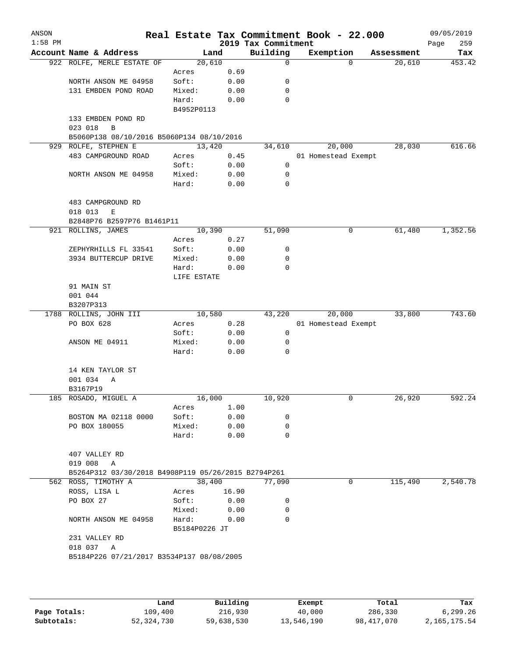|                                                        | Real Estate Tax Commitment Book - 22.000                                                                                                                                                                                                                                                                                               |                                                                                                                                                                   |                                                                                                                                                                                                                         |                                                                                                                                                                                                 |                                              | 09/05/2019<br>259<br>Page                                                 |
|--------------------------------------------------------|----------------------------------------------------------------------------------------------------------------------------------------------------------------------------------------------------------------------------------------------------------------------------------------------------------------------------------------|-------------------------------------------------------------------------------------------------------------------------------------------------------------------|-------------------------------------------------------------------------------------------------------------------------------------------------------------------------------------------------------------------------|-------------------------------------------------------------------------------------------------------------------------------------------------------------------------------------------------|----------------------------------------------|---------------------------------------------------------------------------|
| Account Name & Address                                 |                                                                                                                                                                                                                                                                                                                                        |                                                                                                                                                                   | Building                                                                                                                                                                                                                | Exemption                                                                                                                                                                                       | Assessment                                   | Tax                                                                       |
| 922 ROLFE, MERLE ESTATE OF                             |                                                                                                                                                                                                                                                                                                                                        |                                                                                                                                                                   | 0                                                                                                                                                                                                                       | $\Omega$                                                                                                                                                                                        | 20,610                                       | 453.42                                                                    |
|                                                        | Acres                                                                                                                                                                                                                                                                                                                                  | 0.69                                                                                                                                                              |                                                                                                                                                                                                                         |                                                                                                                                                                                                 |                                              |                                                                           |
| NORTH ANSON ME 04958                                   | Soft:                                                                                                                                                                                                                                                                                                                                  | 0.00                                                                                                                                                              | 0                                                                                                                                                                                                                       |                                                                                                                                                                                                 |                                              |                                                                           |
| 131 EMBDEN POND ROAD                                   |                                                                                                                                                                                                                                                                                                                                        |                                                                                                                                                                   |                                                                                                                                                                                                                         |                                                                                                                                                                                                 |                                              |                                                                           |
|                                                        | Hard:                                                                                                                                                                                                                                                                                                                                  |                                                                                                                                                                   |                                                                                                                                                                                                                         |                                                                                                                                                                                                 |                                              |                                                                           |
|                                                        |                                                                                                                                                                                                                                                                                                                                        |                                                                                                                                                                   |                                                                                                                                                                                                                         |                                                                                                                                                                                                 |                                              |                                                                           |
|                                                        |                                                                                                                                                                                                                                                                                                                                        |                                                                                                                                                                   |                                                                                                                                                                                                                         |                                                                                                                                                                                                 |                                              |                                                                           |
|                                                        |                                                                                                                                                                                                                                                                                                                                        |                                                                                                                                                                   |                                                                                                                                                                                                                         |                                                                                                                                                                                                 |                                              |                                                                           |
|                                                        |                                                                                                                                                                                                                                                                                                                                        |                                                                                                                                                                   |                                                                                                                                                                                                                         |                                                                                                                                                                                                 |                                              | 616.66                                                                    |
|                                                        |                                                                                                                                                                                                                                                                                                                                        |                                                                                                                                                                   |                                                                                                                                                                                                                         |                                                                                                                                                                                                 |                                              |                                                                           |
|                                                        |                                                                                                                                                                                                                                                                                                                                        |                                                                                                                                                                   |                                                                                                                                                                                                                         |                                                                                                                                                                                                 |                                              |                                                                           |
|                                                        |                                                                                                                                                                                                                                                                                                                                        |                                                                                                                                                                   |                                                                                                                                                                                                                         |                                                                                                                                                                                                 |                                              |                                                                           |
|                                                        |                                                                                                                                                                                                                                                                                                                                        |                                                                                                                                                                   |                                                                                                                                                                                                                         |                                                                                                                                                                                                 |                                              |                                                                           |
|                                                        |                                                                                                                                                                                                                                                                                                                                        |                                                                                                                                                                   |                                                                                                                                                                                                                         |                                                                                                                                                                                                 |                                              |                                                                           |
| 483 CAMPGROUND RD                                      |                                                                                                                                                                                                                                                                                                                                        |                                                                                                                                                                   |                                                                                                                                                                                                                         |                                                                                                                                                                                                 |                                              |                                                                           |
| 018 013<br>E                                           |                                                                                                                                                                                                                                                                                                                                        |                                                                                                                                                                   |                                                                                                                                                                                                                         |                                                                                                                                                                                                 |                                              |                                                                           |
|                                                        |                                                                                                                                                                                                                                                                                                                                        |                                                                                                                                                                   |                                                                                                                                                                                                                         |                                                                                                                                                                                                 |                                              |                                                                           |
| 921 ROLLINS, JAMES                                     |                                                                                                                                                                                                                                                                                                                                        |                                                                                                                                                                   | 51,090                                                                                                                                                                                                                  | 0                                                                                                                                                                                               | 61,480                                       | 1,352.56                                                                  |
|                                                        | Acres                                                                                                                                                                                                                                                                                                                                  | 0.27                                                                                                                                                              |                                                                                                                                                                                                                         |                                                                                                                                                                                                 |                                              |                                                                           |
| ZEPHYRHILLS FL 33541                                   | Soft:                                                                                                                                                                                                                                                                                                                                  | 0.00                                                                                                                                                              | 0                                                                                                                                                                                                                       |                                                                                                                                                                                                 |                                              |                                                                           |
| 3934 BUTTERCUP DRIVE                                   | Mixed:                                                                                                                                                                                                                                                                                                                                 | 0.00                                                                                                                                                              | 0                                                                                                                                                                                                                       |                                                                                                                                                                                                 |                                              |                                                                           |
|                                                        | Hard:                                                                                                                                                                                                                                                                                                                                  | 0.00                                                                                                                                                              | 0                                                                                                                                                                                                                       |                                                                                                                                                                                                 |                                              |                                                                           |
|                                                        | LIFE ESTATE                                                                                                                                                                                                                                                                                                                            |                                                                                                                                                                   |                                                                                                                                                                                                                         |                                                                                                                                                                                                 |                                              |                                                                           |
|                                                        |                                                                                                                                                                                                                                                                                                                                        |                                                                                                                                                                   |                                                                                                                                                                                                                         |                                                                                                                                                                                                 |                                              |                                                                           |
|                                                        |                                                                                                                                                                                                                                                                                                                                        |                                                                                                                                                                   |                                                                                                                                                                                                                         |                                                                                                                                                                                                 |                                              |                                                                           |
|                                                        |                                                                                                                                                                                                                                                                                                                                        |                                                                                                                                                                   |                                                                                                                                                                                                                         |                                                                                                                                                                                                 |                                              |                                                                           |
|                                                        |                                                                                                                                                                                                                                                                                                                                        |                                                                                                                                                                   |                                                                                                                                                                                                                         |                                                                                                                                                                                                 |                                              | 743.60                                                                    |
|                                                        |                                                                                                                                                                                                                                                                                                                                        |                                                                                                                                                                   |                                                                                                                                                                                                                         |                                                                                                                                                                                                 |                                              |                                                                           |
|                                                        |                                                                                                                                                                                                                                                                                                                                        |                                                                                                                                                                   |                                                                                                                                                                                                                         |                                                                                                                                                                                                 |                                              |                                                                           |
|                                                        |                                                                                                                                                                                                                                                                                                                                        |                                                                                                                                                                   |                                                                                                                                                                                                                         |                                                                                                                                                                                                 |                                              |                                                                           |
|                                                        |                                                                                                                                                                                                                                                                                                                                        |                                                                                                                                                                   |                                                                                                                                                                                                                         |                                                                                                                                                                                                 |                                              |                                                                           |
|                                                        |                                                                                                                                                                                                                                                                                                                                        |                                                                                                                                                                   |                                                                                                                                                                                                                         |                                                                                                                                                                                                 |                                              |                                                                           |
| 001 034<br>Α                                           |                                                                                                                                                                                                                                                                                                                                        |                                                                                                                                                                   |                                                                                                                                                                                                                         |                                                                                                                                                                                                 |                                              |                                                                           |
| B3167P19                                               |                                                                                                                                                                                                                                                                                                                                        |                                                                                                                                                                   |                                                                                                                                                                                                                         |                                                                                                                                                                                                 |                                              |                                                                           |
| 185 ROSADO, MIGUEL A                                   |                                                                                                                                                                                                                                                                                                                                        |                                                                                                                                                                   | 10,920                                                                                                                                                                                                                  | 0                                                                                                                                                                                               | 26,920                                       | 592.24                                                                    |
|                                                        | Acres                                                                                                                                                                                                                                                                                                                                  | 1.00                                                                                                                                                              |                                                                                                                                                                                                                         |                                                                                                                                                                                                 |                                              |                                                                           |
| BOSTON MA 02118 0000                                   | Soft:                                                                                                                                                                                                                                                                                                                                  |                                                                                                                                                                   | 0                                                                                                                                                                                                                       |                                                                                                                                                                                                 |                                              |                                                                           |
| PO BOX 180055                                          | Mixed:                                                                                                                                                                                                                                                                                                                                 |                                                                                                                                                                   | 0                                                                                                                                                                                                                       |                                                                                                                                                                                                 |                                              |                                                                           |
|                                                        | Hard:                                                                                                                                                                                                                                                                                                                                  |                                                                                                                                                                   | 0                                                                                                                                                                                                                       |                                                                                                                                                                                                 |                                              |                                                                           |
|                                                        |                                                                                                                                                                                                                                                                                                                                        |                                                                                                                                                                   |                                                                                                                                                                                                                         |                                                                                                                                                                                                 |                                              |                                                                           |
|                                                        |                                                                                                                                                                                                                                                                                                                                        |                                                                                                                                                                   |                                                                                                                                                                                                                         |                                                                                                                                                                                                 |                                              |                                                                           |
|                                                        |                                                                                                                                                                                                                                                                                                                                        |                                                                                                                                                                   |                                                                                                                                                                                                                         |                                                                                                                                                                                                 |                                              |                                                                           |
|                                                        |                                                                                                                                                                                                                                                                                                                                        |                                                                                                                                                                   |                                                                                                                                                                                                                         |                                                                                                                                                                                                 |                                              |                                                                           |
|                                                        |                                                                                                                                                                                                                                                                                                                                        |                                                                                                                                                                   |                                                                                                                                                                                                                         |                                                                                                                                                                                                 |                                              | 2,540.78                                                                  |
|                                                        |                                                                                                                                                                                                                                                                                                                                        |                                                                                                                                                                   |                                                                                                                                                                                                                         |                                                                                                                                                                                                 |                                              |                                                                           |
|                                                        |                                                                                                                                                                                                                                                                                                                                        |                                                                                                                                                                   |                                                                                                                                                                                                                         |                                                                                                                                                                                                 |                                              |                                                                           |
|                                                        |                                                                                                                                                                                                                                                                                                                                        |                                                                                                                                                                   |                                                                                                                                                                                                                         |                                                                                                                                                                                                 |                                              |                                                                           |
|                                                        |                                                                                                                                                                                                                                                                                                                                        |                                                                                                                                                                   |                                                                                                                                                                                                                         |                                                                                                                                                                                                 |                                              |                                                                           |
| 231 VALLEY RD                                          |                                                                                                                                                                                                                                                                                                                                        |                                                                                                                                                                   |                                                                                                                                                                                                                         |                                                                                                                                                                                                 |                                              |                                                                           |
|                                                        |                                                                                                                                                                                                                                                                                                                                        |                                                                                                                                                                   |                                                                                                                                                                                                                         |                                                                                                                                                                                                 |                                              |                                                                           |
|                                                        |                                                                                                                                                                                                                                                                                                                                        |                                                                                                                                                                   |                                                                                                                                                                                                                         |                                                                                                                                                                                                 |                                              |                                                                           |
| 018 037 A<br>B5184P226 07/21/2017 B3534P137 08/08/2005 |                                                                                                                                                                                                                                                                                                                                        |                                                                                                                                                                   |                                                                                                                                                                                                                         |                                                                                                                                                                                                 |                                              |                                                                           |
| 929                                                    | 133 EMBDEN POND RD<br>023 018<br>B<br>ROLFE, STEPHEN E<br>483 CAMPGROUND ROAD<br>NORTH ANSON ME 04958<br>91 MAIN ST<br>001 044<br>B3207P313<br>1788 ROLLINS, JOHN III<br>PO BOX 628<br>ANSON ME 04911<br>14 KEN TAYLOR ST<br>407 VALLEY RD<br>019 008<br>A<br>562 ROSS, TIMOTHY A<br>ROSS, LISA L<br>PO BOX 27<br>NORTH ANSON ME 04958 | Mixed:<br>B4952P0113<br>Acres<br>Soft:<br>Mixed:<br>Hard:<br>B2848P76 B2597P76 B1461P11<br>Acres<br>Soft:<br>Mixed:<br>Hard:<br>Acres<br>Soft:<br>Mixed:<br>Hard: | Land<br>20,610<br>0.00<br>0.00<br>B5060P138 08/10/2016 B5060P134 08/10/2016<br>13,420<br>0.45<br>0.00<br>0.00<br>0.00<br>10,390<br>10,580<br>0.28<br>0.00<br>0.00<br>0.00<br>16,000<br>38,400<br>16.90<br>B5184P0226 JT | 0<br>0<br>34,610<br>0<br>0<br>0<br>43,220<br>0<br>0<br>0<br>0.00<br>0.00<br>0.00<br>B5264P312 03/30/2018 B4908P119 05/26/2015 B2794P261<br>77,090<br>0.00<br>0<br>0.00<br>0<br>$\Omega$<br>0.00 | 2019 Tax Commitment<br>20,000<br>20,000<br>0 | 28,030<br>01 Homestead Exempt<br>33,800<br>01 Homestead Exempt<br>115,490 |

|              | Land       | Building   | Exempt     | Total        | Tax          |
|--------------|------------|------------|------------|--------------|--------------|
| Page Totals: | 109,400    | 216,930    | 40,000     | 286,330      | 6,299.26     |
| Subtotals:   | 52,324,730 | 59,638,530 | 13,546,190 | 98, 417, 070 | 2,165,175.54 |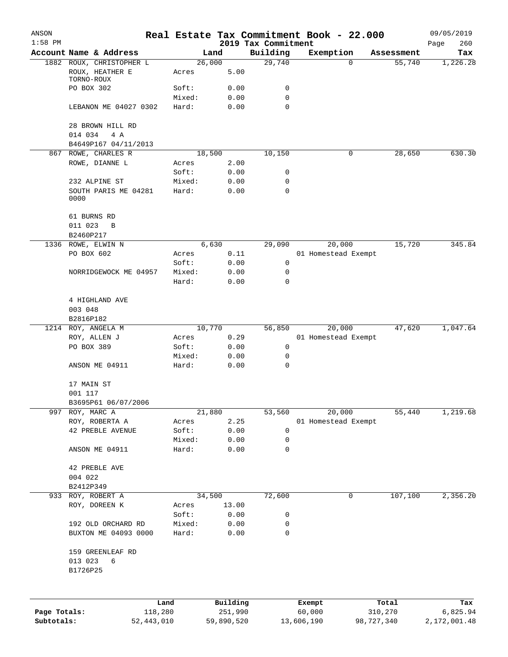| ANSON        |                                               |                 |                 |                     |                                 |                  | Real Estate Tax Commitment Book - 22.000 |                  | 09/05/2019         |
|--------------|-----------------------------------------------|-----------------|-----------------|---------------------|---------------------------------|------------------|------------------------------------------|------------------|--------------------|
| $1:58$ PM    | Account Name & Address                        |                 |                 | Land                | 2019 Tax Commitment<br>Building |                  | Exemption                                | Assessment       | 260<br>Page<br>Tax |
|              | 1882 ROUX, CHRISTOPHER L                      |                 | 26,000          |                     | 29,740                          |                  | $\mathbf 0$                              | 55,740           | 1,226.28           |
|              | ROUX, HEATHER E<br>TORNO-ROUX                 |                 | Acres           | 5.00                |                                 |                  |                                          |                  |                    |
|              | PO BOX 302                                    |                 | Soft:           | 0.00                | 0                               |                  |                                          |                  |                    |
|              |                                               |                 | Mixed:          | 0.00                | 0                               |                  |                                          |                  |                    |
|              | LEBANON ME 04027 0302                         |                 | Hard:           | 0.00                | $\mathbf 0$                     |                  |                                          |                  |                    |
|              | 28 BROWN HILL RD<br>014 034<br>4 A            |                 |                 |                     |                                 |                  |                                          |                  |                    |
|              | B4649P167 04/11/2013                          |                 |                 |                     |                                 |                  |                                          |                  |                    |
|              | 867 ROWE, CHARLES R                           |                 | 18,500          |                     | 10,150                          |                  | 0                                        | 28,650           | 630.30             |
|              | ROWE, DIANNE L                                |                 | Acres           | 2.00                |                                 |                  |                                          |                  |                    |
|              |                                               |                 | Soft:           | 0.00                | 0                               |                  |                                          |                  |                    |
|              | 232 ALPINE ST<br>SOUTH PARIS ME 04281<br>0000 |                 | Mixed:<br>Hard: | 0.00<br>0.00        | 0<br>0                          |                  |                                          |                  |                    |
|              | 61 BURNS RD                                   |                 |                 |                     |                                 |                  |                                          |                  |                    |
|              | 011 023<br>B                                  |                 |                 |                     |                                 |                  |                                          |                  |                    |
|              | B2460P217                                     |                 |                 |                     |                                 |                  |                                          |                  |                    |
|              | 1336 ROWE, ELWIN N                            |                 |                 | 6,630               | 29,090                          |                  | 20,000                                   | 15,720           | 345.84             |
|              | PO BOX 602                                    |                 | Acres           | 0.11                |                                 |                  | 01 Homestead Exempt                      |                  |                    |
|              |                                               |                 | Soft:           | 0.00                | 0                               |                  |                                          |                  |                    |
|              | NORRIDGEWOCK ME 04957                         |                 | Mixed:          | 0.00                | 0                               |                  |                                          |                  |                    |
|              |                                               |                 | Hard:           | 0.00                | 0                               |                  |                                          |                  |                    |
|              | 4 HIGHLAND AVE                                |                 |                 |                     |                                 |                  |                                          |                  |                    |
|              | 003 048                                       |                 |                 |                     |                                 |                  |                                          |                  |                    |
|              | B2816P182                                     |                 |                 |                     |                                 |                  |                                          |                  |                    |
|              | 1214 ROY, ANGELA M                            |                 | 10,770          |                     | 56,850                          |                  | 20,000                                   | 47,620           | 1,047.64           |
|              | ROY, ALLEN J                                  |                 | Acres           | 0.29                |                                 |                  | 01 Homestead Exempt                      |                  |                    |
|              | PO BOX 389                                    |                 | Soft:           | 0.00                | 0                               |                  |                                          |                  |                    |
|              |                                               |                 | Mixed:          | 0.00                | 0                               |                  |                                          |                  |                    |
|              | ANSON ME 04911                                |                 | Hard:           | 0.00                | 0                               |                  |                                          |                  |                    |
|              | 17 MAIN ST<br>001 117                         |                 |                 |                     |                                 |                  |                                          |                  |                    |
|              | B3695P61 06/07/2006                           |                 |                 |                     |                                 |                  |                                          |                  |                    |
| 997          | ROY, MARC A                                   |                 | 21,880          |                     | 53,560                          |                  | 20,000                                   | 55,440           | 1,219.68           |
|              | ROY, ROBERTA A                                |                 | Acres           | 2.25                |                                 |                  | 01 Homestead Exempt                      |                  |                    |
|              | 42 PREBLE AVENUE                              |                 | Soft:           | 0.00                | 0                               |                  |                                          |                  |                    |
|              |                                               |                 | Mixed:          | 0.00                | 0                               |                  |                                          |                  |                    |
|              | ANSON ME 04911                                |                 | Hard:           | 0.00                | 0                               |                  |                                          |                  |                    |
|              | 42 PREBLE AVE                                 |                 |                 |                     |                                 |                  |                                          |                  |                    |
|              | 004 022                                       |                 |                 |                     |                                 |                  |                                          |                  |                    |
|              | B2412P349                                     |                 |                 |                     |                                 |                  |                                          |                  |                    |
| 933          | ROY, ROBERT A                                 |                 | 34,500          |                     | 72,600                          |                  | 0                                        | 107,100          | 2,356.20           |
|              | ROY, DOREEN K                                 |                 | Acres           | 13.00               |                                 |                  |                                          |                  |                    |
|              |                                               |                 | Soft:           | 0.00                | 0                               |                  |                                          |                  |                    |
|              | 192 OLD ORCHARD RD                            |                 | Mixed:          | 0.00                | 0                               |                  |                                          |                  |                    |
|              | BUXTON ME 04093 0000                          |                 | Hard:           | 0.00                | 0                               |                  |                                          |                  |                    |
|              | 159 GREENLEAF RD                              |                 |                 |                     |                                 |                  |                                          |                  |                    |
|              | 013 023<br>6<br>B1726P25                      |                 |                 |                     |                                 |                  |                                          |                  |                    |
|              |                                               |                 |                 |                     |                                 |                  |                                          |                  |                    |
| Page Totals: |                                               | Land<br>118,280 |                 | Building<br>251,990 |                                 | Exempt<br>60,000 |                                          | Total<br>310,270 | Tax<br>6,825.94    |
| Subtotals:   |                                               | 52, 443, 010    |                 | 59,890,520          |                                 | 13,606,190       | 98,727,340                               |                  | 2,172,001.48       |
|              |                                               |                 |                 |                     |                                 |                  |                                          |                  |                    |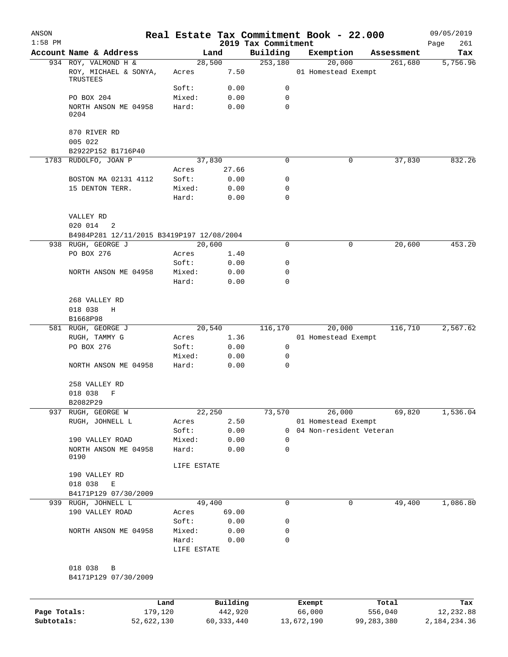| ANSON<br>$1:58$ PM |                                           |            |                      |              | 2019 Tax Commitment | Real Estate Tax Commitment Book - 22.000 |            |            | 09/05/2019<br>Page<br>261 |
|--------------------|-------------------------------------------|------------|----------------------|--------------|---------------------|------------------------------------------|------------|------------|---------------------------|
|                    | Account Name & Address                    |            |                      | Land         | Building            | Exemption                                |            | Assessment | Tax                       |
|                    | 934 ROY, VALMOND H &                      |            |                      | 28,500       | 253,180             | 20,000                                   |            | 261,680    | 5,756.96                  |
|                    | ROY, MICHAEL & SONYA,<br>TRUSTEES         |            | Acres                | 7.50         |                     | 01 Homestead Exempt                      |            |            |                           |
|                    |                                           |            | Soft:                | 0.00         | 0                   |                                          |            |            |                           |
|                    | PO BOX 204                                |            | Mixed:               | 0.00         | 0                   |                                          |            |            |                           |
|                    | NORTH ANSON ME 04958<br>0204              |            | Hard:                | 0.00         | 0                   |                                          |            |            |                           |
|                    | 870 RIVER RD<br>005 022                   |            |                      |              |                     |                                          |            |            |                           |
|                    | B2922P152 B1716P40                        |            |                      |              |                     |                                          |            |            |                           |
|                    | 1783 RUDOLFO, JOAN P                      |            |                      | 37,830       | 0                   |                                          | 0          | 37,830     | 832.26                    |
|                    |                                           |            | Acres                | 27.66        |                     |                                          |            |            |                           |
|                    | BOSTON MA 02131 4112                      |            | Soft:                | 0.00         | 0                   |                                          |            |            |                           |
|                    | 15 DENTON TERR.                           |            | Mixed:               | 0.00         | 0                   |                                          |            |            |                           |
|                    |                                           |            | Hard:                | 0.00         | $\mathbf 0$         |                                          |            |            |                           |
|                    | VALLEY RD<br>020 014<br>2                 |            |                      |              |                     |                                          |            |            |                           |
|                    | B4984P281 12/11/2015 B3419P197 12/08/2004 |            |                      |              |                     |                                          |            |            |                           |
|                    | 938 RUGH, GEORGE J                        |            |                      | 20,600       | 0                   |                                          | 0          | 20,600     | 453.20                    |
|                    | PO BOX 276                                |            | Acres                | 1.40         |                     |                                          |            |            |                           |
|                    |                                           |            | Soft:                | 0.00         | 0                   |                                          |            |            |                           |
|                    | NORTH ANSON ME 04958                      |            | Mixed:               | 0.00         | 0                   |                                          |            |            |                           |
|                    |                                           |            | Hard:                | 0.00         | $\mathbf 0$         |                                          |            |            |                           |
|                    | 268 VALLEY RD                             |            |                      |              |                     |                                          |            |            |                           |
|                    | 018 038<br>Η<br>B1668P98                  |            |                      |              |                     |                                          |            |            |                           |
|                    | 581 RUGH, GEORGE J                        |            |                      | 20,540       | 116,170             | 20,000                                   |            | 116,710    | 2,567.62                  |
|                    | RUGH, TAMMY G                             |            | Acres                | 1.36         |                     | 01 Homestead Exempt                      |            |            |                           |
|                    | PO BOX 276                                |            | Soft:                | 0.00         | 0                   |                                          |            |            |                           |
|                    |                                           |            | Mixed:               | 0.00         | 0                   |                                          |            |            |                           |
|                    | NORTH ANSON ME 04958                      |            | Hard:                | 0.00         | 0                   |                                          |            |            |                           |
|                    | 258 VALLEY RD                             |            |                      |              |                     |                                          |            |            |                           |
|                    | 018 038<br>$_{\rm F}$                     |            |                      |              |                     |                                          |            |            |                           |
|                    | B2082P29                                  |            |                      |              |                     |                                          |            |            |                           |
| 937                | RUGH, GEORGE W                            |            |                      | 22,250       | 73,570              | 26,000                                   |            | 69,820     | 1,536.04                  |
|                    | RUGH, JOHNELL L                           |            | Acres                | 2.50         |                     | 01 Homestead Exempt                      |            |            |                           |
|                    |                                           |            | Soft:                | 0.00         | 0                   | 04 Non-resident Veteran                  |            |            |                           |
|                    | 190 VALLEY ROAD                           |            | Mixed:               | 0.00         | $\mathbf 0$         |                                          |            |            |                           |
|                    | NORTH ANSON ME 04958<br>0190              |            | Hard:                | 0.00         | 0                   |                                          |            |            |                           |
|                    |                                           |            | LIFE ESTATE          |              |                     |                                          |            |            |                           |
|                    | 190 VALLEY RD                             |            |                      |              |                     |                                          |            |            |                           |
|                    | 018 038<br>Ε                              |            |                      |              |                     |                                          |            |            |                           |
|                    | B4171P129 07/30/2009                      |            |                      |              |                     |                                          |            |            |                           |
|                    | 939 RUGH, JOHNELL L                       |            |                      | 49,400       | 0                   |                                          | 0          | 49,400     | 1,086.80                  |
|                    | 190 VALLEY ROAD                           |            | Acres                | 69.00        |                     |                                          |            |            |                           |
|                    |                                           |            | Soft:                | 0.00         | 0                   |                                          |            |            |                           |
|                    | NORTH ANSON ME 04958                      |            | Mixed:               | 0.00         | 0                   |                                          |            |            |                           |
|                    |                                           |            | Hard:<br>LIFE ESTATE | 0.00         | $\mathbf 0$         |                                          |            |            |                           |
|                    | 018 038<br>B                              |            |                      |              |                     |                                          |            |            |                           |
|                    | B4171P129 07/30/2009                      |            |                      |              |                     |                                          |            |            |                           |
|                    |                                           | Land       |                      | Building     |                     | Exempt                                   |            | Total      | Tax                       |
| Page Totals:       |                                           | 179,120    |                      | 442,920      |                     | 66,000                                   |            | 556,040    | 12, 232.88                |
| Subtotals:         |                                           | 52,622,130 |                      | 60, 333, 440 |                     | 13,672,190                               | 99,283,380 |            | 2, 184, 234.36            |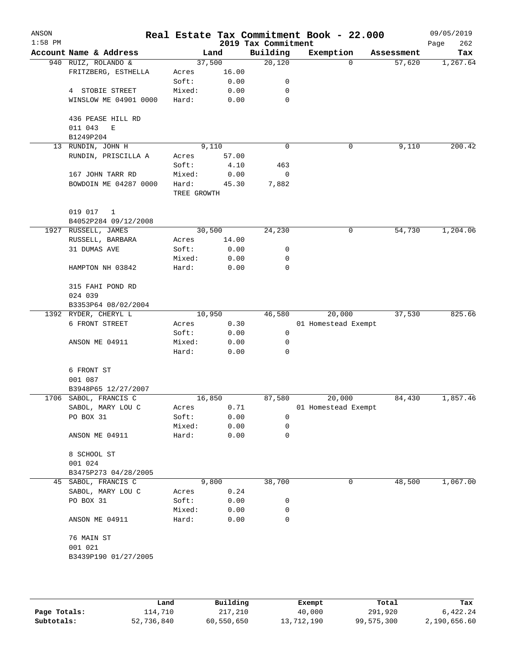| ANSON<br>$1:58$ PM |                                   |             |       | 2019 Tax Commitment | Real Estate Tax Commitment Book - 22.000 |            | 09/05/2019<br>Page<br>262 |
|--------------------|-----------------------------------|-------------|-------|---------------------|------------------------------------------|------------|---------------------------|
|                    | Account Name & Address            |             | Land  | Building            | Exemption                                | Assessment | Tax                       |
|                    | 940 RUIZ, ROLANDO &               | 37,500      |       | 20,120              | 0                                        | 57,620     | 1,267.64                  |
|                    | FRITZBERG, ESTHELLA               | Acres       | 16.00 |                     |                                          |            |                           |
|                    |                                   | Soft:       | 0.00  | 0                   |                                          |            |                           |
|                    | 4 STOBIE STREET                   | Mixed:      | 0.00  | 0                   |                                          |            |                           |
|                    | WINSLOW ME 04901 0000             | Hard:       | 0.00  | 0                   |                                          |            |                           |
|                    | 436 PEASE HILL RD<br>011 043<br>Е |             |       |                     |                                          |            |                           |
|                    | B1249P204                         |             |       |                     |                                          |            |                           |
|                    | 13 RUNDIN, JOHN H                 |             | 9,110 | $\Omega$            | 0                                        | 9,110      | 200.42                    |
|                    | RUNDIN, PRISCILLA A               | Acres       | 57.00 |                     |                                          |            |                           |
|                    |                                   | Soft:       | 4.10  | 463                 |                                          |            |                           |
|                    | 167 JOHN TARR RD                  | Mixed:      | 0.00  | 0                   |                                          |            |                           |
|                    | BOWDOIN ME 04287 0000             | Hard:       | 45.30 | 7,882               |                                          |            |                           |
|                    |                                   | TREE GROWTH |       |                     |                                          |            |                           |
|                    | 019 017<br>1                      |             |       |                     |                                          |            |                           |
|                    | B4052P284 09/12/2008              |             |       |                     |                                          |            |                           |
|                    | 1927 RUSSELL, JAMES               | 30,500      |       | 24,230              | 0                                        | 54,730     | 1,204.06                  |
|                    | RUSSELL, BARBARA                  | Acres       | 14.00 |                     |                                          |            |                           |
|                    | 31 DUMAS AVE                      | Soft:       | 0.00  | 0                   |                                          |            |                           |
|                    |                                   | Mixed:      | 0.00  | 0                   |                                          |            |                           |
|                    | HAMPTON NH 03842                  | Hard:       | 0.00  | 0                   |                                          |            |                           |
|                    | 315 FAHI POND RD                  |             |       |                     |                                          |            |                           |
|                    | 024 039                           |             |       |                     |                                          |            |                           |
|                    | B3353P64 08/02/2004               |             |       |                     |                                          |            |                           |
|                    | 1392 RYDER, CHERYL L              | 10,950      |       | 46,580              | 20,000                                   | 37,530     | 825.66                    |
|                    | 6 FRONT STREET                    | Acres       | 0.30  |                     | 01 Homestead Exempt                      |            |                           |
|                    |                                   | Soft:       | 0.00  | 0                   |                                          |            |                           |
|                    | ANSON ME 04911                    | Mixed:      | 0.00  | 0                   |                                          |            |                           |
|                    |                                   | Hard:       | 0.00  | 0                   |                                          |            |                           |
|                    | 6 FRONT ST                        |             |       |                     |                                          |            |                           |
|                    | 001 087                           |             |       |                     |                                          |            |                           |
|                    | B3948P65 12/27/2007               |             |       |                     |                                          |            |                           |
|                    | 1706 SABOL, FRANCIS C             | 16,850      |       | 87,580              | 20,000                                   | 84,430     | 1,857.46                  |
|                    | SABOL, MARY LOU C                 | Acres       | 0.71  |                     | 01 Homestead Exempt                      |            |                           |
|                    | PO BOX 31                         | Soft:       | 0.00  | 0                   |                                          |            |                           |
|                    |                                   | Mixed:      | 0.00  | 0                   |                                          |            |                           |
|                    | ANSON ME 04911                    | Hard:       | 0.00  | 0                   |                                          |            |                           |
|                    | 8 SCHOOL ST                       |             |       |                     |                                          |            |                           |
|                    | 001 024                           |             |       |                     |                                          |            |                           |
|                    | B3475P273 04/28/2005              |             |       |                     |                                          |            |                           |
| 45                 | SABOL, FRANCIS C                  |             | 9,800 | 38,700              | 0                                        | 48,500     | 1,067.00                  |
|                    | SABOL, MARY LOU C                 | Acres       | 0.24  |                     |                                          |            |                           |
|                    | PO BOX 31                         | Soft:       | 0.00  | 0                   |                                          |            |                           |
|                    |                                   | Mixed:      | 0.00  | 0                   |                                          |            |                           |
|                    | ANSON ME 04911                    | Hard:       | 0.00  | 0                   |                                          |            |                           |
|                    | 76 MAIN ST                        |             |       |                     |                                          |            |                           |
|                    | 001 021                           |             |       |                     |                                          |            |                           |
|                    | B3439P190 01/27/2005              |             |       |                     |                                          |            |                           |
|                    |                                   |             |       |                     |                                          |            |                           |
|                    |                                   |             |       |                     |                                          |            |                           |
|                    |                                   |             |       |                     |                                          |            |                           |

|              | Land       | Building   | Exempt     | Total      | Tax          |
|--------------|------------|------------|------------|------------|--------------|
| Page Totals: | 114,710    | 217,210    | 40,000     | 291,920    | 6,422.24     |
| Subtotals:   | 52,736,840 | 60,550,650 | 13,712,190 | 99,575,300 | 2,190,656.60 |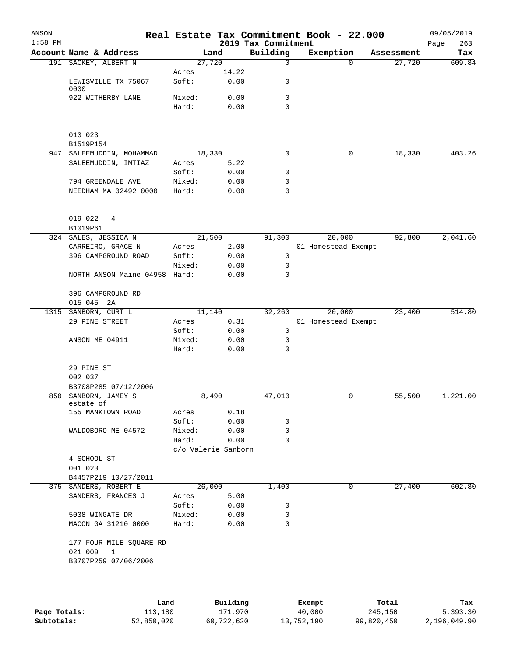| ANSON<br>$1:58$ PM |                                        |                     |       | 2019 Tax Commitment | Real Estate Tax Commitment Book - 22.000 |            | 09/05/2019<br>263<br>Page |
|--------------------|----------------------------------------|---------------------|-------|---------------------|------------------------------------------|------------|---------------------------|
|                    | Account Name & Address                 |                     | Land  | Building            | Exemption                                | Assessment | Tax                       |
|                    | 191 SACKEY, ALBERT N                   | 27,720              |       | $\mathsf{O}$        | $\Omega$                                 | 27,720     | 609.84                    |
|                    |                                        | Acres               | 14.22 |                     |                                          |            |                           |
|                    | LEWISVILLE TX 75067                    | Soft:               | 0.00  | $\mathsf{O}$        |                                          |            |                           |
|                    | 0000<br>922 WITHERBY LANE              | Mixed:              | 0.00  | $\mathbf 0$         |                                          |            |                           |
|                    |                                        | Hard:               | 0.00  | $\mathbf 0$         |                                          |            |                           |
|                    |                                        |                     |       |                     |                                          |            |                           |
|                    |                                        |                     |       |                     |                                          |            |                           |
|                    | 013 023                                |                     |       |                     |                                          |            |                           |
|                    | B1519P154                              |                     |       |                     |                                          |            |                           |
|                    | 947 SALEEMUDDIN, MOHAMMAD              | 18,330              |       | $\mathbf 0$         | 0                                        | 18,330     | 403.26                    |
|                    | SALEEMUDDIN, IMTIAZ                    | Acres               | 5.22  |                     |                                          |            |                           |
|                    |                                        | Soft:               | 0.00  | $\mathsf{O}$        |                                          |            |                           |
|                    | 794 GREENDALE AVE                      | Mixed:              | 0.00  | 0                   |                                          |            |                           |
|                    | NEEDHAM MA 02492 0000                  | Hard:               | 0.00  | $\mathbf 0$         |                                          |            |                           |
|                    | 019 022<br>4                           |                     |       |                     |                                          |            |                           |
|                    | B1019P61                               |                     |       |                     |                                          |            |                           |
|                    | 324 SALES, JESSICA N                   | 21,500              |       | 91,300              | 20,000                                   | 92,800     | 2,041.60                  |
|                    | CARREIRO, GRACE N                      | Acres               | 2.00  |                     | 01 Homestead Exempt                      |            |                           |
|                    | 396 CAMPGROUND ROAD                    | Soft:               | 0.00  | 0                   |                                          |            |                           |
|                    |                                        | Mixed:              | 0.00  | 0                   |                                          |            |                           |
|                    | NORTH ANSON Maine 04958 Hard:          |                     | 0.00  | $\mathbf 0$         |                                          |            |                           |
|                    | 396 CAMPGROUND RD                      |                     |       |                     |                                          |            |                           |
|                    | 015 045 2A                             |                     |       |                     |                                          |            |                           |
|                    | 1315 SANBORN, CURT L<br>29 PINE STREET | 11,140              | 0.31  | 32,260              | 20,000<br>01 Homestead Exempt            | 23,400     | 514.80                    |
|                    |                                        | Acres<br>Soft:      | 0.00  | $\mathsf{O}$        |                                          |            |                           |
|                    | ANSON ME 04911                         | Mixed:              | 0.00  | $\mathbf 0$         |                                          |            |                           |
|                    |                                        | Hard:               | 0.00  | $\mathbf 0$         |                                          |            |                           |
|                    |                                        |                     |       |                     |                                          |            |                           |
|                    | 29 PINE ST                             |                     |       |                     |                                          |            |                           |
|                    | 002 037                                |                     |       |                     |                                          |            |                           |
|                    | B3708P285 07/12/2006                   |                     |       |                     |                                          |            |                           |
|                    | 850 SANBORN, JAMEY S<br>estate of      | 8,490               |       | 47,010              | 0                                        | 55,500     | 1,221.00                  |
|                    | 155 MANKTOWN ROAD                      | Acres               | 0.18  |                     |                                          |            |                           |
|                    |                                        | Soft:               | 0.00  | 0                   |                                          |            |                           |
|                    | WALDOBORO ME 04572                     | Mixed:              | 0.00  | 0                   |                                          |            |                           |
|                    |                                        | Hard:               | 0.00  | 0                   |                                          |            |                           |
|                    |                                        | c/o Valerie Sanborn |       |                     |                                          |            |                           |
|                    | 4 SCHOOL ST                            |                     |       |                     |                                          |            |                           |
|                    | 001 023                                |                     |       |                     |                                          |            |                           |
|                    | B4457P219 10/27/2011                   |                     |       |                     |                                          |            |                           |
|                    | 375 SANDERS, ROBERT E                  | 26,000              |       | 1,400               | 0                                        | 27,400     | 602.80                    |
|                    | SANDERS, FRANCES J                     | Acres               | 5.00  |                     |                                          |            |                           |
|                    |                                        | Soft:               | 0.00  | 0                   |                                          |            |                           |
|                    | 5038 WINGATE DR                        | Mixed:              | 0.00  | 0                   |                                          |            |                           |
|                    | MACON GA 31210 0000                    | Hard:               | 0.00  | 0                   |                                          |            |                           |
|                    | 177 FOUR MILE SQUARE RD                |                     |       |                     |                                          |            |                           |
|                    | 021 009 1                              |                     |       |                     |                                          |            |                           |
|                    | B3707P259 07/06/2006                   |                     |       |                     |                                          |            |                           |
|                    |                                        |                     |       |                     |                                          |            |                           |
|                    |                                        |                     |       |                     |                                          |            |                           |
|                    |                                        |                     |       |                     |                                          |            |                           |

|              | Land       | Building   | Exempt     | Total      | Tax          |
|--------------|------------|------------|------------|------------|--------------|
| Page Totals: | 113,180    | 171,970    | 40,000     | 245,150    | 5,393.30     |
| Subtotals:   | 52,850,020 | 60,722,620 | 13,752,190 | 99,820,450 | 2,196,049.90 |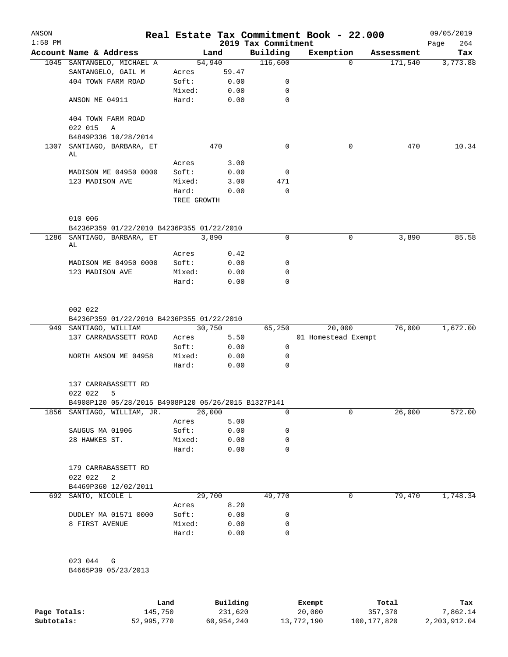| ANSON<br>$1:58$ PM |                                                                     |                      |              | 2019 Tax Commitment | Real Estate Tax Commitment Book - 22.000 |            | 09/05/2019<br>264<br>Page |
|--------------------|---------------------------------------------------------------------|----------------------|--------------|---------------------|------------------------------------------|------------|---------------------------|
|                    | Account Name & Address                                              |                      | Land         | Building            | Exemption                                | Assessment | Tax                       |
|                    | 1045 SANTANGELO, MICHAEL A                                          |                      | 54,940       | 116,600             | $\Omega$                                 | 171,540    | 3,773.88                  |
|                    | SANTANGELO, GAIL M                                                  |                      | Acres 59.47  |                     |                                          |            |                           |
|                    | 404 TOWN FARM ROAD                                                  | Soft:                | 0.00         | 0                   |                                          |            |                           |
|                    |                                                                     | Mixed:               | 0.00         | 0                   |                                          |            |                           |
|                    | ANSON ME 04911                                                      | Hard:                | 0.00         | 0                   |                                          |            |                           |
|                    | 404 TOWN FARM ROAD<br>022 015<br>A                                  |                      |              |                     |                                          |            |                           |
|                    | B4849P336 10/28/2014                                                |                      |              |                     |                                          |            |                           |
|                    | 1307 SANTIAGO, BARBARA, ET<br>AL                                    |                      | 470          | $\mathbf 0$         | 0                                        | 470        | 10.34                     |
|                    |                                                                     | Acres                | 3.00         |                     |                                          |            |                           |
|                    | MADISON ME 04950 0000                                               | Soft:                | 0.00         | 0                   |                                          |            |                           |
|                    | 123 MADISON AVE                                                     | Mixed:               | 3.00         | 471                 |                                          |            |                           |
|                    |                                                                     | Hard:<br>TREE GROWTH | 0.00         | 0                   |                                          |            |                           |
|                    | 010 006                                                             |                      |              |                     |                                          |            |                           |
|                    | B4236P359 01/22/2010 B4236P355 01/22/2010                           |                      |              |                     |                                          |            |                           |
|                    | 1286 SANTIAGO, BARBARA, ET                                          | 3,890                |              | $\mathbf 0$         | 0                                        | 3,890      | 85.58                     |
|                    | AL                                                                  |                      |              |                     |                                          |            |                           |
|                    | MADISON ME 04950 0000                                               | Acres<br>Soft:       | 0.42<br>0.00 | 0                   |                                          |            |                           |
|                    | 123 MADISON AVE                                                     | Mixed:               | 0.00         | 0                   |                                          |            |                           |
|                    |                                                                     | Hard:                | 0.00         | $\Omega$            |                                          |            |                           |
|                    | 002 022<br>B4236P359 01/22/2010 B4236P355 01/22/2010                |                      |              |                     |                                          |            |                           |
|                    | 949 SANTIAGO, WILLIAM                                               |                      | 30,750       | 65,250              | 20,000                                   | 76,000     | 1,672.00                  |
|                    | 137 CARRABASSETT ROAD                                               | Acres                | 5.50         |                     | 01 Homestead Exempt                      |            |                           |
|                    |                                                                     | Soft:                | 0.00         | 0                   |                                          |            |                           |
|                    | NORTH ANSON ME 04958                                                | Mixed:<br>Hard:      | 0.00<br>0.00 | 0<br>$\Omega$       |                                          |            |                           |
|                    | 137 CARRABASSETT RD                                                 |                      |              |                     |                                          |            |                           |
|                    | 022 022<br>5<br>B4908P120 05/28/2015 B4908P120 05/26/2015 B1327P141 |                      |              |                     |                                          |            |                           |
|                    | 1856 SANTIAGO, WILLIAM, JR.                                         |                      | 26,000       | 0                   | 0                                        | 26,000     | 572.00                    |
|                    |                                                                     | Acres                | 5.00         |                     |                                          |            |                           |
|                    | SAUGUS MA 01906                                                     | Soft:                | 0.00         | 0                   |                                          |            |                           |
|                    | 28 HAWKES ST.                                                       | Mixed:               | 0.00         | 0                   |                                          |            |                           |
|                    |                                                                     | Hard:                | 0.00         | 0                   |                                          |            |                           |
|                    | 179 CARRABASSETT RD<br>022 022<br>$\overline{\phantom{0}}^2$        |                      |              |                     |                                          |            |                           |
|                    | B4469P360 12/02/2011                                                |                      |              |                     |                                          |            |                           |
|                    | 692 SANTO, NICOLE L                                                 |                      | 29,700       | 49,770              | 0                                        | 79,470     | 1,748.34                  |
|                    |                                                                     | Acres                | 8.20         |                     |                                          |            |                           |
|                    | DUDLEY MA 01571 0000                                                | Soft:                | 0.00         | 0                   |                                          |            |                           |
|                    | 8 FIRST AVENUE                                                      | Mixed:               | 0.00         | 0                   |                                          |            |                           |
|                    |                                                                     | Hard:                | 0.00         | 0                   |                                          |            |                           |
|                    | 023 044 G                                                           |                      |              |                     |                                          |            |                           |
|                    | B4665P39 05/23/2013                                                 |                      |              |                     |                                          |            |                           |
|                    |                                                                     |                      |              |                     |                                          |            |                           |
|                    |                                                                     |                      |              |                     |                                          |            |                           |

|              | Land       | Building   | Exempt     | Total       | Tax          |
|--------------|------------|------------|------------|-------------|--------------|
| Page Totals: | 145,750    | 231,620    | 20,000     | 357,370     | 7.862.14     |
| Subtotals:   | 52,995,770 | 60,954,240 | 13,772,190 | 100,177,820 | 2,203,912.04 |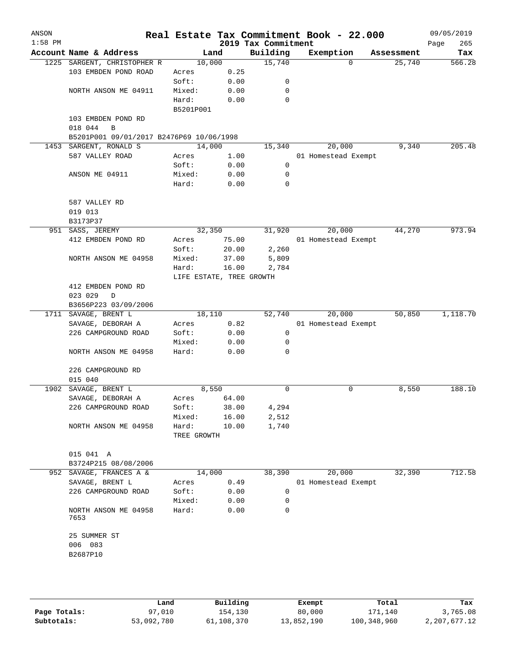| ANSON<br>$1:58$ PM |                                          |                          |       | 2019 Tax Commitment | Real Estate Tax Commitment Book - 22.000 |            | 09/05/2019<br>265<br>Page |
|--------------------|------------------------------------------|--------------------------|-------|---------------------|------------------------------------------|------------|---------------------------|
|                    | Account Name & Address                   | Land                     |       | Building            | Exemption                                | Assessment | Tax                       |
|                    | 1225 SARGENT, CHRISTOPHER R              | 10,000                   |       | 15,740              | $\Omega$                                 | 25,740     | 566.28                    |
|                    | 103 EMBDEN POND ROAD                     | Acres                    | 0.25  |                     |                                          |            |                           |
|                    |                                          | Soft:                    | 0.00  | 0                   |                                          |            |                           |
|                    | NORTH ANSON ME 04911                     | Mixed:                   | 0.00  | 0                   |                                          |            |                           |
|                    |                                          | Hard:                    | 0.00  | 0                   |                                          |            |                           |
|                    |                                          | B5201P001                |       |                     |                                          |            |                           |
|                    | 103 EMBDEN POND RD                       |                          |       |                     |                                          |            |                           |
|                    | 018 044<br>B                             |                          |       |                     |                                          |            |                           |
|                    | B5201P001 09/01/2017 B2476P69 10/06/1998 |                          |       |                     |                                          |            |                           |
| 1453               | SARGENT, RONALD S                        | 14,000                   |       | 15,340              | 20,000                                   | 9,340      | 205.48                    |
|                    | 587 VALLEY ROAD                          | Acres                    | 1.00  |                     | 01 Homestead Exempt                      |            |                           |
|                    |                                          | Soft:                    | 0.00  | 0                   |                                          |            |                           |
|                    | ANSON ME 04911                           | Mixed:                   | 0.00  | 0                   |                                          |            |                           |
|                    |                                          | Hard:                    | 0.00  | 0                   |                                          |            |                           |
|                    |                                          |                          |       |                     |                                          |            |                           |
|                    | 587 VALLEY RD                            |                          |       |                     |                                          |            |                           |
|                    | 019 013                                  |                          |       |                     |                                          |            |                           |
|                    | B3173P37<br>951 SASS, JEREMY             | 32,350                   |       | 31,920              | 20,000                                   | 44,270     | 973.94                    |
|                    | 412 EMBDEN POND RD                       | Acres                    | 75.00 |                     | 01 Homestead Exempt                      |            |                           |
|                    |                                          | Soft:                    | 20.00 | 2,260               |                                          |            |                           |
|                    | NORTH ANSON ME 04958                     | Mixed:                   | 37.00 | 5,809               |                                          |            |                           |
|                    |                                          | Hard:                    | 16.00 | 2,784               |                                          |            |                           |
|                    |                                          | LIFE ESTATE, TREE GROWTH |       |                     |                                          |            |                           |
|                    | 412 EMBDEN POND RD                       |                          |       |                     |                                          |            |                           |
|                    | 023 029<br>D                             |                          |       |                     |                                          |            |                           |
|                    | B3656P223 03/09/2006                     |                          |       |                     |                                          |            |                           |
| 1711               | SAVAGE, BRENT L                          | 18,110                   |       | 52,740              | 20,000                                   | 50,850     | 1,118.70                  |
|                    | SAVAGE, DEBORAH A                        | Acres                    | 0.82  |                     | 01 Homestead Exempt                      |            |                           |
|                    | 226 CAMPGROUND ROAD                      | Soft:                    | 0.00  | 0                   |                                          |            |                           |
|                    |                                          | Mixed:                   | 0.00  | 0                   |                                          |            |                           |
|                    | NORTH ANSON ME 04958                     | Hard:                    | 0.00  | $\Omega$            |                                          |            |                           |
|                    |                                          |                          |       |                     |                                          |            |                           |
|                    | 226 CAMPGROUND RD                        |                          |       |                     |                                          |            |                           |
|                    | 015 040                                  |                          |       |                     |                                          |            |                           |
| 1902               | SAVAGE, BRENT L                          | 8,550                    |       | 0                   | 0                                        | 8,550      | 188.10                    |
|                    | SAVAGE, DEBORAH A                        | Acres                    | 64.00 |                     |                                          |            |                           |
|                    | 226 CAMPGROUND ROAD                      | Soft:                    | 38.00 | 4,294               |                                          |            |                           |
|                    |                                          | Mixed:                   | 16.00 | 2,512               |                                          |            |                           |
|                    | NORTH ANSON ME 04958                     | Hard:                    | 10.00 | 1,740               |                                          |            |                           |
|                    |                                          | TREE GROWTH              |       |                     |                                          |            |                           |
|                    |                                          |                          |       |                     |                                          |            |                           |
|                    | 015 041 A                                |                          |       |                     |                                          |            |                           |
|                    | B3724P215 08/08/2006                     |                          |       |                     |                                          |            |                           |
|                    | 952 SAVAGE, FRANCES A &                  | 14,000                   |       | 38,390              | 20,000                                   | 32,390     | 712.58                    |
|                    | SAVAGE, BRENT L                          | Acres                    | 0.49  |                     | 01 Homestead Exempt                      |            |                           |
|                    | 226 CAMPGROUND ROAD                      | Soft:                    | 0.00  | 0                   |                                          |            |                           |
|                    |                                          | Mixed:                   | 0.00  | 0                   |                                          |            |                           |
|                    | NORTH ANSON ME 04958<br>7653             | Hard:                    | 0.00  | 0                   |                                          |            |                           |
|                    | 25 SUMMER ST                             |                          |       |                     |                                          |            |                           |
|                    | 006 083                                  |                          |       |                     |                                          |            |                           |
|                    | B2687P10                                 |                          |       |                     |                                          |            |                           |
|                    |                                          |                          |       |                     |                                          |            |                           |
|                    |                                          |                          |       |                     |                                          |            |                           |
|                    |                                          |                          |       |                     |                                          |            |                           |
|                    |                                          |                          |       |                     |                                          |            |                           |

|              | Land       | Building   | Exempt     | Total       | Tax          |
|--------------|------------|------------|------------|-------------|--------------|
| Page Totals: | 97,010     | 154,130    | 80,000     | 171,140     | 3,765.08     |
| Subtotals:   | 53,092,780 | 61,108,370 | 13,852,190 | 100,348,960 | 2,207,677.12 |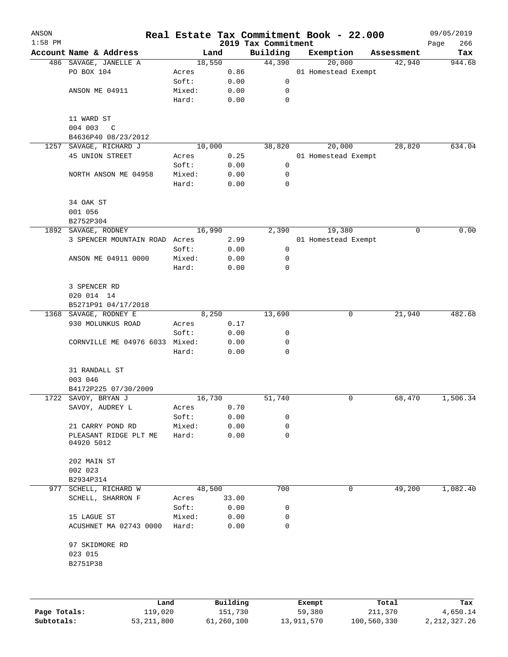| ANSON        |                                     |        |          |                                 | Real Estate Tax Commitment Book - 22.000 |             | 09/05/2019         |
|--------------|-------------------------------------|--------|----------|---------------------------------|------------------------------------------|-------------|--------------------|
| $1:58$ PM    | Account Name & Address              |        | Land     | 2019 Tax Commitment<br>Building | Exemption                                | Assessment  | 266<br>Page<br>Tax |
|              | 486 SAVAGE, JANELLE A               |        | 18,550   | 44,390                          | 20,000                                   | 42,940      | 944.68             |
|              | PO BOX 104                          | Acres  | 0.86     |                                 | 01 Homestead Exempt                      |             |                    |
|              |                                     | Soft:  | 0.00     | 0                               |                                          |             |                    |
|              | ANSON ME 04911                      | Mixed: | 0.00     | 0                               |                                          |             |                    |
|              |                                     | Hard:  | 0.00     | $\mathbf 0$                     |                                          |             |                    |
|              | 11 WARD ST                          |        |          |                                 |                                          |             |                    |
|              | 004 003<br>C                        |        |          |                                 |                                          |             |                    |
|              | B4636P40 08/23/2012                 |        |          |                                 |                                          |             |                    |
| 1257         | SAVAGE, RICHARD J                   |        | 10,000   | 38,820                          | 20,000                                   | 28,820      | 634.04             |
|              | <b>45 UNION STREET</b>              | Acres  | 0.25     |                                 | 01 Homestead Exempt                      |             |                    |
|              |                                     | Soft:  | 0.00     | 0                               |                                          |             |                    |
|              | NORTH ANSON ME 04958                | Mixed: | 0.00     | 0                               |                                          |             |                    |
|              |                                     | Hard:  | 0.00     | $\mathbf 0$                     |                                          |             |                    |
|              | 34 OAK ST                           |        |          |                                 |                                          |             |                    |
|              | 001 056                             |        |          |                                 |                                          |             |                    |
|              | B2752P304                           |        |          |                                 |                                          |             |                    |
|              | 1892 SAVAGE, RODNEY                 |        | 16,990   | 2,390                           | 19,380                                   | 0           | 0.00               |
|              | 3 SPENCER MOUNTAIN ROAD Acres       |        | 2.99     |                                 | 01 Homestead Exempt                      |             |                    |
|              |                                     | Soft:  | 0.00     | 0                               |                                          |             |                    |
|              | ANSON ME 04911 0000                 | Mixed: | 0.00     | 0                               |                                          |             |                    |
|              |                                     | Hard:  | 0.00     | 0                               |                                          |             |                    |
|              | 3 SPENCER RD                        |        |          |                                 |                                          |             |                    |
|              | 020 014 14                          |        |          |                                 |                                          |             |                    |
|              | B5271P91 04/17/2018                 |        |          |                                 |                                          |             |                    |
|              | 1368 SAVAGE, RODNEY E               |        | 8,250    | 13,690                          |                                          | 21,940<br>0 | 482.68             |
|              | 930 MOLUNKUS ROAD                   | Acres  | 0.17     |                                 |                                          |             |                    |
|              |                                     | Soft:  | 0.00     | 0                               |                                          |             |                    |
|              | CORNVILLE ME 04976 6033 Mixed:      |        | 0.00     | 0                               |                                          |             |                    |
|              |                                     | Hard:  | 0.00     | $\mathbf 0$                     |                                          |             |                    |
|              | 31 RANDALL ST                       |        |          |                                 |                                          |             |                    |
|              | 003 046                             |        |          |                                 |                                          |             |                    |
|              | B4172P225 07/30/2009                |        |          |                                 |                                          |             |                    |
|              | 1722 SAVOY, BRYAN J                 |        | 16,730   | 51,740                          |                                          | 0<br>68,470 | 1,506.34           |
|              | SAVOY, AUDREY L                     | Acres  | 0.70     |                                 |                                          |             |                    |
|              |                                     | Soft:  | 0.00     | 0                               |                                          |             |                    |
|              | 21 CARRY POND RD                    | Mixed: | 0.00     | 0                               |                                          |             |                    |
|              | PLEASANT RIDGE PLT ME<br>04920 5012 | Hard:  | 0.00     | 0                               |                                          |             |                    |
|              | 202 MAIN ST                         |        |          |                                 |                                          |             |                    |
|              | 002 023                             |        |          |                                 |                                          |             |                    |
|              | B2934P314                           |        |          |                                 |                                          |             |                    |
| 977          | SCHELL, RICHARD W                   |        | 48,500   | 700                             |                                          | 49,200<br>0 | 1,082.40           |
|              | SCHELL, SHARRON F                   | Acres  | 33.00    |                                 |                                          |             |                    |
|              |                                     | Soft:  | 0.00     | 0                               |                                          |             |                    |
|              | 15 LAGUE ST                         | Mixed: | 0.00     | 0                               |                                          |             |                    |
|              | ACUSHNET MA 02743 0000              | Hard:  | 0.00     | 0                               |                                          |             |                    |
|              | 97 SKIDMORE RD                      |        |          |                                 |                                          |             |                    |
|              | 023 015                             |        |          |                                 |                                          |             |                    |
|              | B2751P38                            |        |          |                                 |                                          |             |                    |
|              |                                     |        |          |                                 |                                          |             |                    |
|              | Land                                |        | Building |                                 | Exempt                                   | Total       | Tax                |
| Page Totals: | 119,020                             |        | 151,730  |                                 | 59,380                                   | 211,370     | 4,650.14           |

**Subtotals:** 53,211,800 61,260,100 13,911,570 100,560,330 2,212,327.26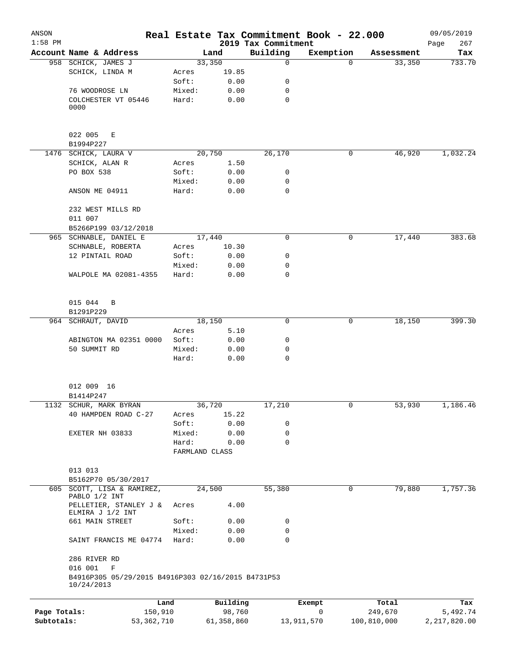| ANSON<br>$1:58$ PM |                                                                  |                |            | 2019 Tax Commitment | Real Estate Tax Commitment Book - 22.000 |             | 09/05/2019<br>267<br>Page |
|--------------------|------------------------------------------------------------------|----------------|------------|---------------------|------------------------------------------|-------------|---------------------------|
|                    | Account Name & Address                                           |                | Land       | Building            | Exemption                                | Assessment  | Tax                       |
|                    | 958 SCHICK, JAMES J                                              |                | 33,350     | $\mathbf 0$         | $\Omega$                                 | 33,350      | 733.70                    |
|                    | SCHICK, LINDA M                                                  | Acres          | 19.85      |                     |                                          |             |                           |
|                    |                                                                  | Soft:          | 0.00       | 0                   |                                          |             |                           |
|                    | 76 WOODROSE LN                                                   | Mixed:         | 0.00       | 0                   |                                          |             |                           |
|                    | COLCHESTER VT 05446<br>0000                                      | Hard:          | 0.00       | $\mathbf 0$         |                                          |             |                           |
|                    | 022 005 E                                                        |                |            |                     |                                          |             |                           |
|                    | B1994P227                                                        |                |            |                     |                                          |             |                           |
|                    | 1476 SCHICK, LAURA V                                             |                | 20,750     | 26,170              | 0                                        | 46,920      | 1,032.24                  |
|                    | SCHICK, ALAN R                                                   | Acres          | 1.50       |                     |                                          |             |                           |
|                    | PO BOX 538                                                       | Soft:          | 0.00       | 0                   |                                          |             |                           |
|                    |                                                                  | Mixed:         | 0.00       | 0                   |                                          |             |                           |
|                    | ANSON ME 04911                                                   | Hard:          | 0.00       | 0                   |                                          |             |                           |
|                    | 232 WEST MILLS RD                                                |                |            |                     |                                          |             |                           |
|                    | 011 007                                                          |                |            |                     |                                          |             |                           |
|                    | B5266P199 03/12/2018                                             |                |            |                     |                                          |             |                           |
|                    | 965 SCHNABLE, DANIEL E                                           |                | 17,440     | $\mathbf 0$         | 0                                        | 17,440      | 383.68                    |
|                    | SCHNABLE, ROBERTA                                                | Acres          | 10.30      |                     |                                          |             |                           |
|                    | 12 PINTAIL ROAD                                                  | Soft:          | 0.00       | 0                   |                                          |             |                           |
|                    |                                                                  | Mixed:         | 0.00       | 0                   |                                          |             |                           |
|                    | WALPOLE MA 02081-4355                                            | Hard:          | 0.00       | $\mathbf 0$         |                                          |             |                           |
|                    | 015 044<br>B                                                     |                |            |                     |                                          |             |                           |
|                    | B1291P229                                                        |                |            |                     |                                          |             |                           |
|                    | 964 SCHRAUT, DAVID                                               |                | 18,150     | 0                   | 0                                        | 18,150      | 399.30                    |
|                    |                                                                  | Acres          | 5.10       |                     |                                          |             |                           |
|                    | ABINGTON MA 02351 0000                                           | Soft:          | 0.00       | 0                   |                                          |             |                           |
|                    | 50 SUMMIT RD                                                     | Mixed:         | 0.00       | 0                   |                                          |             |                           |
|                    |                                                                  | Hard:          | 0.00       | 0                   |                                          |             |                           |
|                    | 012 009 16                                                       |                |            |                     |                                          |             |                           |
|                    | B1414P247                                                        |                |            |                     |                                          |             |                           |
|                    | 1132 SCHUR, MARK BYRAN                                           |                | 36,720     | 17,210              | 0                                        | 53,930      | 1,186.46                  |
|                    | 40 HAMPDEN ROAD C-27                                             | Acres          | 15.22      |                     |                                          |             |                           |
|                    |                                                                  | Soft:          | 0.00       | 0                   |                                          |             |                           |
|                    | EXETER NH 03833                                                  | Mixed:         | 0.00       | 0                   |                                          |             |                           |
|                    |                                                                  | Hard:          | 0.00       | $\mathbf 0$         |                                          |             |                           |
|                    |                                                                  | FARMLAND CLASS |            |                     |                                          |             |                           |
|                    | 013 013                                                          |                |            |                     |                                          |             |                           |
|                    | B5162P70 05/30/2017                                              |                |            |                     |                                          |             |                           |
|                    | 605 SCOTT, LISA & RAMIREZ,<br>PABLO 1/2 INT                      |                | 24,500     | 55,380              | 0                                        | 79,880      | 1,757.36                  |
|                    | PELLETIER, STANLEY J &<br>ELMIRA J 1/2 INT                       | Acres          | 4.00       |                     |                                          |             |                           |
|                    | 661 MAIN STREET                                                  | Soft:          | 0.00       | 0                   |                                          |             |                           |
|                    |                                                                  | Mixed:         | 0.00       | 0                   |                                          |             |                           |
|                    | SAINT FRANCIS ME 04774                                           | Hard:          | 0.00       | $\mathbf 0$         |                                          |             |                           |
|                    | 286 RIVER RD<br>016 001<br>$\mathbf F$                           |                |            |                     |                                          |             |                           |
|                    | B4916P305 05/29/2015 B4916P303 02/16/2015 B4731P53<br>10/24/2013 |                |            |                     |                                          |             |                           |
|                    |                                                                  | Land           | Building   |                     | Exempt                                   | Total       | Tax                       |
| Page Totals:       | 150,910                                                          |                | 98,760     |                     | 0                                        | 249,670     | 5,492.74                  |
| Subtotals:         | 53, 362, 710                                                     |                | 61,358,860 |                     | 13,911,570                               | 100,810,000 | 2, 217, 820.00            |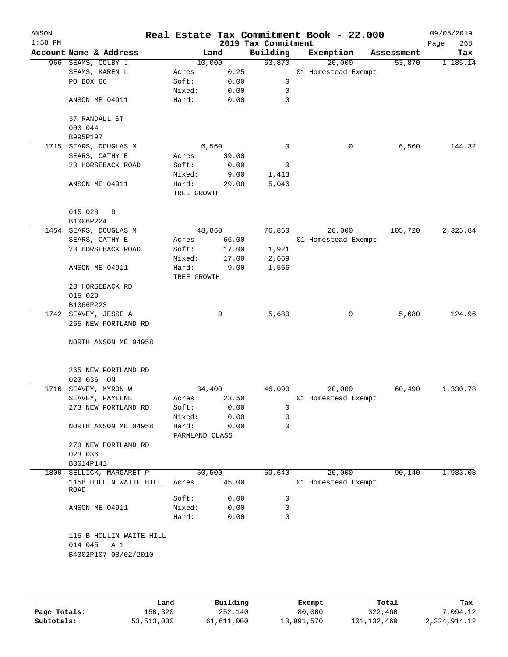| ANSON<br>$1:58$ PM |                         |                |       | Real Estate Tax Commitment Book - 22.000<br>2019 Tax Commitment |                     |        |            | 09/05/2019         |
|--------------------|-------------------------|----------------|-------|-----------------------------------------------------------------|---------------------|--------|------------|--------------------|
|                    | Account Name & Address  |                | Land  | Building                                                        | Exemption           |        | Assessment | 268<br>Page<br>Tax |
|                    | 966 SEAMS, COLBY J      | 10,000         |       | 63,870                                                          |                     | 20,000 | 53,870     | 1,185.14           |
|                    | SEAMS, KAREN L          | Acres          | 0.25  |                                                                 | 01 Homestead Exempt |        |            |                    |
|                    | PO BOX 66               | Soft:          | 0.00  | 0                                                               |                     |        |            |                    |
|                    |                         | Mixed:         | 0.00  | 0                                                               |                     |        |            |                    |
|                    | ANSON ME 04911          | Hard:          | 0.00  | $\mathbf 0$                                                     |                     |        |            |                    |
|                    |                         |                |       |                                                                 |                     |        |            |                    |
|                    | 37 RANDALL ST           |                |       |                                                                 |                     |        |            |                    |
|                    | 003 044                 |                |       |                                                                 |                     |        |            |                    |
|                    | B995P197                |                |       |                                                                 |                     |        |            |                    |
|                    | 1715 SEARS, DOUGLAS M   |                | 6,560 | $\mathbf 0$                                                     |                     | 0      | 6,560      | 144.32             |
|                    | SEARS, CATHY E          |                | 39.00 |                                                                 |                     |        |            |                    |
|                    |                         | Acres          |       |                                                                 |                     |        |            |                    |
|                    | 23 HORSEBACK ROAD       | Soft:          | 0.00  | 0                                                               |                     |        |            |                    |
|                    |                         | Mixed:         | 9.00  | 1,413                                                           |                     |        |            |                    |
|                    | ANSON ME 04911          | Hard:          | 29.00 | 5,046                                                           |                     |        |            |                    |
|                    |                         | TREE GROWTH    |       |                                                                 |                     |        |            |                    |
|                    |                         |                |       |                                                                 |                     |        |            |                    |
|                    | 015 028<br>B            |                |       |                                                                 |                     |        |            |                    |
|                    | B1006P224               |                |       |                                                                 |                     |        |            |                    |
|                    | 1454 SEARS, DOUGLAS M   | 48,860         |       | 76,860                                                          |                     | 20,000 | 105,720    | 2,325.84           |
|                    | SEARS, CATHY E          | Acres          | 66.00 |                                                                 | 01 Homestead Exempt |        |            |                    |
|                    | 23 HORSEBACK ROAD       | Soft:          | 17.00 | 1,921                                                           |                     |        |            |                    |
|                    |                         | Mixed:         | 17.00 | 2,669                                                           |                     |        |            |                    |
|                    | ANSON ME 04911          | Hard:          | 9.00  | 1,566                                                           |                     |        |            |                    |
|                    |                         | TREE GROWTH    |       |                                                                 |                     |        |            |                    |
|                    | 23 HORSEBACK RD         |                |       |                                                                 |                     |        |            |                    |
|                    | 015 029                 |                |       |                                                                 |                     |        |            |                    |
|                    | B1066P223               |                |       |                                                                 |                     |        |            |                    |
|                    | 1742 SEAVEY, JESSE A    |                | 0     | 5,680                                                           |                     | 0      | 5,680      | 124.96             |
|                    | 265 NEW PORTLAND RD     |                |       |                                                                 |                     |        |            |                    |
|                    |                         |                |       |                                                                 |                     |        |            |                    |
|                    | NORTH ANSON ME 04958    |                |       |                                                                 |                     |        |            |                    |
|                    |                         |                |       |                                                                 |                     |        |            |                    |
|                    |                         |                |       |                                                                 |                     |        |            |                    |
|                    | 265 NEW PORTLAND RD     |                |       |                                                                 |                     |        |            |                    |
|                    | 023 036 ON              |                |       |                                                                 |                     |        |            |                    |
|                    | 1716 SEAVEY, MYRON W    | 34,400         |       | 46,090                                                          |                     | 20,000 | 60,490     | 1,330.78           |
|                    | SEAVEY, FAYLENE         | Acres          | 23.50 |                                                                 | 01 Homestead Exempt |        |            |                    |
|                    | 273 NEW PORTLAND RD     | Soft:          | 0.00  | 0                                                               |                     |        |            |                    |
|                    |                         | Mixed:         | 0.00  | 0                                                               |                     |        |            |                    |
|                    | NORTH ANSON ME 04958    | Hard:          | 0.00  | 0                                                               |                     |        |            |                    |
|                    |                         | FARMLAND CLASS |       |                                                                 |                     |        |            |                    |
|                    | 273 NEW PORTLAND RD     |                |       |                                                                 |                     |        |            |                    |
|                    | 023 036                 |                |       |                                                                 |                     |        |            |                    |
|                    | B3014P141               |                |       |                                                                 |                     |        |            |                    |
| 1800               | SELLICK, MARGARET P     | 50,500         |       | 59,640                                                          |                     | 20,000 | 90,140     | 1,983.08           |
|                    | 115B HOLLIN WAITE HILL  | Acres          | 45.00 |                                                                 | 01 Homestead Exempt |        |            |                    |
|                    | ROAD                    |                |       |                                                                 |                     |        |            |                    |
|                    |                         | Soft:          | 0.00  | 0                                                               |                     |        |            |                    |
|                    | ANSON ME 04911          | Mixed:         | 0.00  | 0                                                               |                     |        |            |                    |
|                    |                         | Hard:          | 0.00  | 0                                                               |                     |        |            |                    |
|                    |                         |                |       |                                                                 |                     |        |            |                    |
|                    | 115 B HOLLIN WAITE HILL |                |       |                                                                 |                     |        |            |                    |
|                    | 014 045<br>A 1          |                |       |                                                                 |                     |        |            |                    |
|                    | B4302P107 08/02/2010    |                |       |                                                                 |                     |        |            |                    |
|                    |                         |                |       |                                                                 |                     |        |            |                    |
|                    |                         |                |       |                                                                 |                     |        |            |                    |
|                    |                         |                |       |                                                                 |                     |        |            |                    |

|              | Land       | Building   | Exempt     | Total       | Tax          |
|--------------|------------|------------|------------|-------------|--------------|
| Page Totals: | 150,320    | 252,140    | 80,000     | 322,460     | ,094.12      |
| Subtotals:   | 53,513,030 | 61,611,000 | 13,991,570 | 101,132,460 | 2,224,914.12 |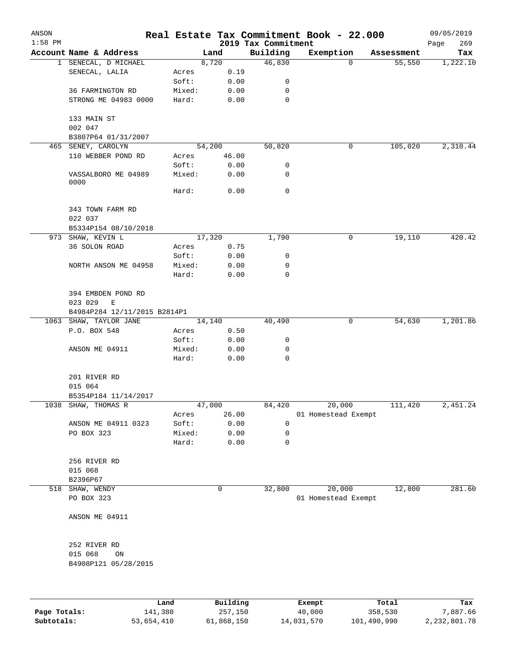| ANSON<br>$1:58$ PM |                                              |        |        | 2019 Tax Commitment | Real Estate Tax Commitment Book - 22.000 |            | 09/05/2019<br>269<br>Page |
|--------------------|----------------------------------------------|--------|--------|---------------------|------------------------------------------|------------|---------------------------|
|                    | Account Name & Address                       |        | Land   | Building            | Exemption                                | Assessment | Tax                       |
|                    | 1 SENECAL, D MICHAEL                         |        | 8,720  | 46,830              | $\Omega$                                 | 55,550     | 1,222.10                  |
|                    | SENECAL, LALIA                               | Acres  | 0.19   |                     |                                          |            |                           |
|                    |                                              | Soft:  | 0.00   | 0                   |                                          |            |                           |
|                    | 36 FARMINGTON RD                             | Mixed: | 0.00   | 0                   |                                          |            |                           |
|                    | STRONG ME 04983 0000                         | Hard:  | 0.00   | $\mathbf 0$         |                                          |            |                           |
|                    | 133 MAIN ST                                  |        |        |                     |                                          |            |                           |
|                    | 002 047                                      |        |        |                     |                                          |            |                           |
|                    | B3807P64 01/31/2007                          |        |        |                     |                                          |            |                           |
|                    | 465 SENEY, CAROLYN                           |        | 54,200 | 50,820              | 0                                        | 105,020    | 2,310.44                  |
|                    | 110 WEBBER POND RD                           | Acres  | 46.00  |                     |                                          |            |                           |
|                    |                                              | Soft:  | 0.00   | 0                   |                                          |            |                           |
|                    | VASSALBORO ME 04989<br>0000                  | Mixed: | 0.00   | 0                   |                                          |            |                           |
|                    |                                              | Hard:  | 0.00   | $\mathbf 0$         |                                          |            |                           |
|                    | 343 TOWN FARM RD                             |        |        |                     |                                          |            |                           |
|                    | 022 037                                      |        |        |                     |                                          |            |                           |
|                    | B5334P154 08/10/2018                         |        |        |                     |                                          |            |                           |
|                    | 973 SHAW, KEVIN L                            |        | 17,320 | 1,790               | $\mathbf 0$                              | 19,110     | 420.42                    |
|                    | 36 SOLON ROAD                                | Acres  | 0.75   |                     |                                          |            |                           |
|                    |                                              | Soft:  | 0.00   | 0                   |                                          |            |                           |
|                    | NORTH ANSON ME 04958                         | Mixed: | 0.00   | 0                   |                                          |            |                           |
|                    |                                              | Hard:  | 0.00   | 0                   |                                          |            |                           |
|                    | 394 EMBDEN POND RD<br>023 029<br>$\mathbf E$ |        |        |                     |                                          |            |                           |
|                    | B4984P284 12/11/2015 B2814P1                 |        |        |                     |                                          |            |                           |
|                    | 1063 SHAW, TAYLOR JANE                       |        | 14,140 | 40,490              | 0                                        | 54,630     | 1,201.86                  |
|                    | P.O. BOX 548                                 | Acres  | 0.50   |                     |                                          |            |                           |
|                    |                                              | Soft:  | 0.00   | 0                   |                                          |            |                           |
|                    | ANSON ME 04911                               | Mixed: | 0.00   | 0                   |                                          |            |                           |
|                    |                                              | Hard:  | 0.00   | 0                   |                                          |            |                           |
|                    | 201 RIVER RD                                 |        |        |                     |                                          |            |                           |
|                    | 015 064                                      |        |        |                     |                                          |            |                           |
|                    | B5354P184 11/14/2017                         |        |        |                     |                                          |            |                           |
|                    | 1038 SHAW, THOMAS R                          |        | 47,000 | 84,420              | 20,000                                   | 111,420    | 2,451.24                  |
|                    |                                              | Acres  | 26.00  |                     | 01 Homestead Exempt                      |            |                           |
|                    | ANSON ME 04911 0323                          | Soft:  | 0.00   | 0                   |                                          |            |                           |
|                    | PO BOX 323                                   | Mixed: | 0.00   | 0                   |                                          |            |                           |
|                    |                                              | Hard:  | 0.00   | 0                   |                                          |            |                           |
|                    | 256 RIVER RD<br>015 068                      |        |        |                     |                                          |            |                           |
|                    | B2396P67                                     |        |        |                     |                                          |            |                           |
|                    | 518 SHAW, WENDY                              |        | 0      | 32,800              | 20,000                                   | 12,800     | 281.60                    |
|                    | PO BOX 323                                   |        |        |                     | 01 Homestead Exempt                      |            |                           |
|                    | ANSON ME 04911                               |        |        |                     |                                          |            |                           |
|                    | 252 RIVER RD                                 |        |        |                     |                                          |            |                           |
|                    | 015 068<br>ON                                |        |        |                     |                                          |            |                           |
|                    | B4908P121 05/28/2015                         |        |        |                     |                                          |            |                           |
|                    |                                              |        |        |                     |                                          |            |                           |
|                    |                                              |        |        |                     |                                          |            |                           |

|              | Land       | Building   | Exempt     | Total       | Tax          |
|--------------|------------|------------|------------|-------------|--------------|
| Page Totals: | 141,380    | 257,150    | 40,000     | 358,530     | 7.887.66     |
| Subtotals:   | 53,654,410 | 61,868,150 | 14,031,570 | 101,490,990 | 2,232,801.78 |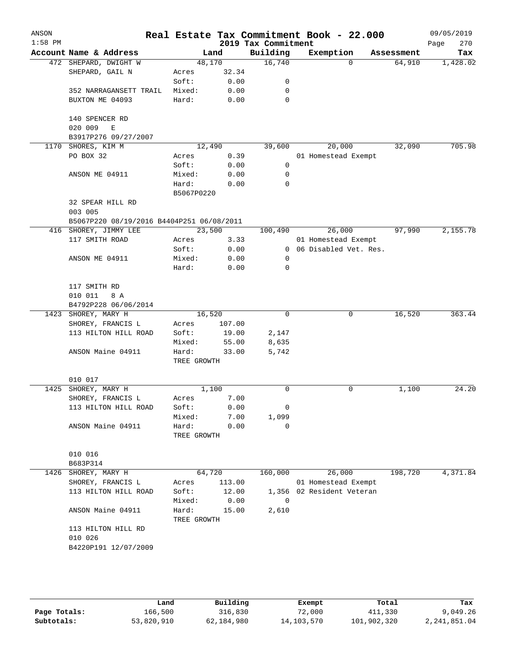| ANSON<br>$1:58$ PM |                                           |             |        | 2019 Tax Commitment | Real Estate Tax Commitment Book - 22.000 |            | 09/05/2019<br>Page<br>270 |
|--------------------|-------------------------------------------|-------------|--------|---------------------|------------------------------------------|------------|---------------------------|
|                    | Account Name & Address                    |             | Land   | Building            | Exemption                                | Assessment | Tax                       |
|                    | 472 SHEPARD, DWIGHT W                     | 48,170      |        | 16,740              | $\Omega$                                 | 64,910     | 1,428.02                  |
|                    | SHEPARD, GAIL N                           | Acres       | 32.34  |                     |                                          |            |                           |
|                    |                                           | Soft:       | 0.00   | 0                   |                                          |            |                           |
|                    | 352 NARRAGANSETT TRAIL                    | Mixed:      | 0.00   | 0                   |                                          |            |                           |
|                    | BUXTON ME 04093                           | Hard:       | 0.00   | 0                   |                                          |            |                           |
|                    | 140 SPENCER RD                            |             |        |                     |                                          |            |                           |
|                    | 020 009<br>E                              |             |        |                     |                                          |            |                           |
|                    | B3917P276 09/27/2007                      |             |        |                     |                                          |            |                           |
| 1170               | SHORES, KIM M                             |             | 12,490 | 39,600              | 20,000                                   | 32,090     | 705.98                    |
|                    | PO BOX 32                                 | Acres       | 0.39   |                     | 01 Homestead Exempt                      |            |                           |
|                    |                                           | Soft:       | 0.00   | $\mathbf 0$         |                                          |            |                           |
|                    | ANSON ME 04911                            | Mixed:      | 0.00   | 0                   |                                          |            |                           |
|                    |                                           | Hard:       | 0.00   | 0                   |                                          |            |                           |
|                    |                                           | B5067P0220  |        |                     |                                          |            |                           |
|                    | 32 SPEAR HILL RD                          |             |        |                     |                                          |            |                           |
|                    | 003 005                                   |             |        |                     |                                          |            |                           |
|                    | B5067P220 08/19/2016 B4404P251 06/08/2011 |             |        |                     |                                          |            |                           |
| 416                | SHOREY, JIMMY LEE                         | 23,500      |        | 100,490             | 26,000                                   | 97,990     | 2,155.78                  |
|                    | 117 SMITH ROAD                            | Acres       | 3.33   |                     | 01 Homestead Exempt                      |            |                           |
|                    |                                           | Soft:       | 0.00   | $\overline{0}$      | 06 Disabled Vet. Res.                    |            |                           |
|                    | ANSON ME 04911                            | Mixed:      | 0.00   | 0                   |                                          |            |                           |
|                    |                                           | Hard:       | 0.00   | 0                   |                                          |            |                           |
|                    |                                           |             |        |                     |                                          |            |                           |
|                    | 117 SMITH RD                              |             |        |                     |                                          |            |                           |
|                    | 010 011<br>8 A                            |             |        |                     |                                          |            |                           |
|                    | B4792P228 06/06/2014                      |             |        |                     |                                          |            |                           |
| 1423               | SHOREY, MARY H                            | 16,520      |        | $\Omega$            | 0                                        | 16,520     | 363.44                    |
|                    | SHOREY, FRANCIS L                         | Acres       | 107.00 |                     |                                          |            |                           |
|                    | 113 HILTON HILL ROAD                      | Soft:       | 19.00  | 2,147               |                                          |            |                           |
|                    |                                           | Mixed:      | 55.00  | 8,635               |                                          |            |                           |
|                    | ANSON Maine 04911                         | Hard:       | 33.00  | 5,742               |                                          |            |                           |
|                    |                                           | TREE GROWTH |        |                     |                                          |            |                           |
|                    |                                           |             |        |                     |                                          |            |                           |
|                    | 010 017                                   |             |        |                     |                                          |            |                           |
| 1425               | SHOREY, MARY H                            |             | 1,100  | 0                   | 0                                        | 1,100      | 24.20                     |
|                    | SHOREY, FRANCIS L                         | Acres       | 7.00   |                     |                                          |            |                           |
|                    | 113 HILTON HILL ROAD                      | Soft:       | 0.00   | 0                   |                                          |            |                           |
|                    |                                           | Mixed:      | 7.00   | 1,099               |                                          |            |                           |
|                    | ANSON Maine 04911                         | Hard:       | 0.00   | 0                   |                                          |            |                           |
|                    |                                           | TREE GROWTH |        |                     |                                          |            |                           |
|                    |                                           |             |        |                     |                                          |            |                           |
|                    | 010 016                                   |             |        |                     |                                          |            |                           |
|                    | B683P314                                  |             |        |                     |                                          |            |                           |
| 1426               | SHOREY, MARY H                            | 64,720      |        | 160,000             | 26,000                                   | 198,720    | 4,371.84                  |
|                    | SHOREY, FRANCIS L                         | Acres       | 113.00 |                     | 01 Homestead Exempt                      |            |                           |
|                    | 113 HILTON HILL ROAD                      | Soft:       | 12.00  |                     | 1,356 02 Resident Veteran                |            |                           |
|                    |                                           | Mixed:      | 0.00   | $\overline{0}$      |                                          |            |                           |
|                    | ANSON Maine 04911                         | Hard:       | 15.00  | 2,610               |                                          |            |                           |
|                    |                                           | TREE GROWTH |        |                     |                                          |            |                           |
|                    | 113 HILTON HILL RD                        |             |        |                     |                                          |            |                           |
|                    | 010 026                                   |             |        |                     |                                          |            |                           |
|                    | B4220P191 12/07/2009                      |             |        |                     |                                          |            |                           |
|                    |                                           |             |        |                     |                                          |            |                           |
|                    |                                           |             |        |                     |                                          |            |                           |
|                    |                                           |             |        |                     |                                          |            |                           |

|              | Land       | Building   | Exempt     | Total       | Tax          |
|--------------|------------|------------|------------|-------------|--------------|
| Page Totals: | 166,500    | 316,830    | 72,000     | 411,330     | 9,049.26     |
| Subtotals:   | 53,820,910 | 62,184,980 | 14,103,570 | 101,902,320 | 2,241,851.04 |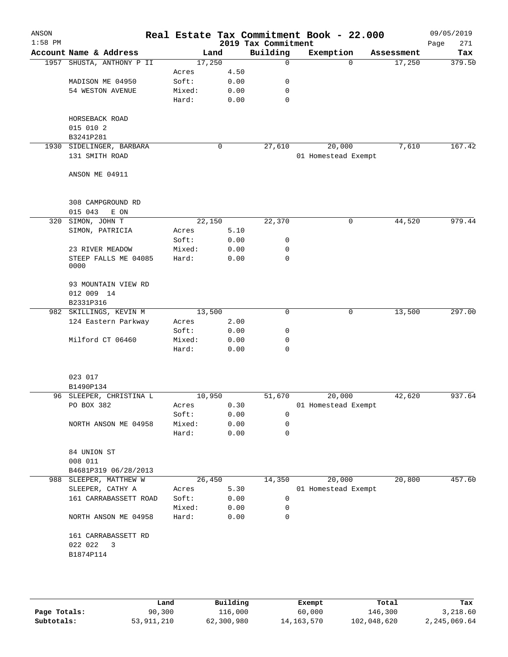| ANSON<br>$1:58$ PM |                                            |                |                | 2019 Tax Commitment | Real Estate Tax Commitment Book - 22.000 |            | 09/05/2019<br>Page<br>271 |
|--------------------|--------------------------------------------|----------------|----------------|---------------------|------------------------------------------|------------|---------------------------|
|                    | Account Name & Address                     |                | Land           | Building            | Exemption                                | Assessment | Tax                       |
|                    | 1957 SHUSTA, ANTHONY P II                  | 17,250         |                | $\Omega$            | $\Omega$                                 | 17,250     | 379.50                    |
|                    |                                            | Acres          | $4\,.50$       |                     |                                          |            |                           |
|                    | MADISON ME 04950                           | Soft:          | 0.00           | 0                   |                                          |            |                           |
|                    | 54 WESTON AVENUE                           | Mixed:         | 0.00           | 0                   |                                          |            |                           |
|                    |                                            | Hard:          | 0.00           | $\mathbf 0$         |                                          |            |                           |
|                    |                                            |                |                |                     |                                          |            |                           |
|                    | HORSEBACK ROAD                             |                |                |                     |                                          |            |                           |
|                    | 015 010 2                                  |                |                |                     |                                          |            |                           |
|                    | B3241P281                                  |                | 0              |                     |                                          | 7,610      | 167.42                    |
|                    | 1930 SIDELINGER, BARBARA<br>131 SMITH ROAD |                |                | 27,610              | 20,000<br>01 Homestead Exempt            |            |                           |
|                    |                                            |                |                |                     |                                          |            |                           |
|                    | ANSON ME 04911                             |                |                |                     |                                          |            |                           |
|                    |                                            |                |                |                     |                                          |            |                           |
|                    | 308 CAMPGROUND RD                          |                |                |                     |                                          |            |                           |
|                    | 015 043<br>E ON                            |                |                |                     |                                          |            |                           |
| 320                | SIMON, JOHN T                              |                | 22,150<br>5.10 | 22,370              | 0                                        | 44,520     | 979.44                    |
|                    | SIMON, PATRICIA                            | Acres<br>Soft: | 0.00           | 0                   |                                          |            |                           |
|                    | 23 RIVER MEADOW                            | Mixed:         | 0.00           | 0                   |                                          |            |                           |
|                    | STEEP FALLS ME 04085                       | Hard:          | 0.00           | $\mathbf 0$         |                                          |            |                           |
|                    | 0000                                       |                |                |                     |                                          |            |                           |
|                    | 93 MOUNTAIN VIEW RD                        |                |                |                     |                                          |            |                           |
|                    | 012 009 14                                 |                |                |                     |                                          |            |                           |
|                    | B2331P316                                  |                |                |                     |                                          |            |                           |
|                    | 982 SKILLINGS, KEVIN M                     | 13,500         |                | $\mathbf 0$         | $\mathbf 0$                              | 13,500     | 297.00                    |
|                    | 124 Eastern Parkway                        | Acres          | 2.00           |                     |                                          |            |                           |
|                    |                                            | Soft:          | 0.00           | 0                   |                                          |            |                           |
|                    | Milford CT 06460                           | Mixed:         | 0.00           | 0                   |                                          |            |                           |
|                    |                                            | Hard:          | 0.00           | 0                   |                                          |            |                           |
|                    | 023 017                                    |                |                |                     |                                          |            |                           |
|                    | B1490P134                                  |                |                |                     |                                          |            |                           |
|                    | 96 SLEEPER, CHRISTINA L                    | 10,950         |                | 51,670              | 20,000                                   | 42,620     | 937.64                    |
|                    | PO BOX 382                                 | Acres          | 0.30           |                     | 01 Homestead Exempt                      |            |                           |
|                    |                                            | Soft:          | 0.00           | 0                   |                                          |            |                           |
|                    | NORTH ANSON ME 04958                       | Mixed:         | 0.00           | 0                   |                                          |            |                           |
|                    |                                            | Hard:          | 0.00           | 0                   |                                          |            |                           |
|                    | 84 UNION ST                                |                |                |                     |                                          |            |                           |
|                    | 008 011                                    |                |                |                     |                                          |            |                           |
|                    | B4681P319 06/28/2013                       |                |                |                     |                                          |            |                           |
| 988                | SLEEPER, MATTHEW W                         | 26,450         |                | 14,350              | 20,000                                   | 20,800     | 457.60                    |
|                    | SLEEPER, CATHY A                           | Acres          | 5.30           |                     | 01 Homestead Exempt                      |            |                           |
|                    | 161 CARRABASSETT ROAD                      | Soft:          | 0.00           | 0                   |                                          |            |                           |
|                    |                                            | Mixed:         | 0.00           | 0                   |                                          |            |                           |
|                    | NORTH ANSON ME 04958                       | Hard:          | 0.00           | 0                   |                                          |            |                           |
|                    | 161 CARRABASSETT RD                        |                |                |                     |                                          |            |                           |
|                    | 022 022<br>3                               |                |                |                     |                                          |            |                           |
|                    | B1874P114                                  |                |                |                     |                                          |            |                           |
|                    |                                            |                |                |                     |                                          |            |                           |
|                    |                                            |                |                |                     |                                          |            |                           |
|                    |                                            |                |                |                     |                                          |            |                           |

|              | Land       | Building   | Exempt     | Total       | Tax          |
|--------------|------------|------------|------------|-------------|--------------|
| Page Totals: | 90,300     | 116,000    | 60,000     | 146,300     | 3,218.60     |
| Subtotals:   | 53,911,210 | 62,300,980 | 14,163,570 | 102,048,620 | 2,245,069.64 |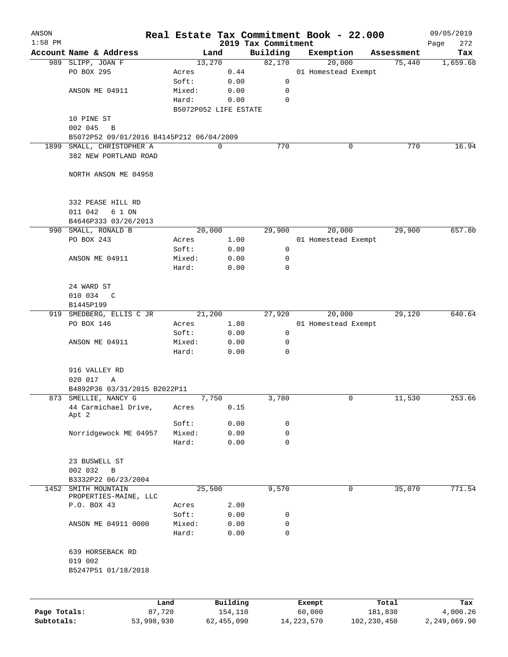| ANSON<br>$1:58$ PM |                                                      |        |                       | 2019 Tax Commitment | Real Estate Tax Commitment Book - 22.000 |            | 09/05/2019<br>Page<br>272 |
|--------------------|------------------------------------------------------|--------|-----------------------|---------------------|------------------------------------------|------------|---------------------------|
|                    | Account Name & Address                               |        | Land                  | Building            | Exemption                                | Assessment | Tax                       |
|                    | 989 SLIPP, JOAN F                                    |        | 13,270                | 82,170              | 20,000                                   | 75,440     | 1,659.68                  |
|                    | PO BOX 295                                           | Acres  | 0.44                  |                     | 01 Homestead Exempt                      |            |                           |
|                    |                                                      | Soft:  | 0.00                  | 0                   |                                          |            |                           |
|                    | ANSON ME 04911                                       | Mixed: | 0.00                  | 0                   |                                          |            |                           |
|                    |                                                      | Hard:  | 0.00                  | 0                   |                                          |            |                           |
|                    |                                                      |        | B5072P052 LIFE ESTATE |                     |                                          |            |                           |
|                    | 10 PINE ST                                           |        |                       |                     |                                          |            |                           |
|                    | 002 045<br>B                                         |        |                       |                     |                                          |            |                           |
|                    | B5072P52 09/01/2016 B4145P212 06/04/2009             |        |                       |                     |                                          |            |                           |
| 1899               | SMALL, CHRISTOPHER A                                 |        | $\mathbf 0$           | 770                 | 0                                        | 770        | 16.94                     |
|                    | 382 NEW PORTLAND ROAD                                |        |                       |                     |                                          |            |                           |
|                    |                                                      |        |                       |                     |                                          |            |                           |
|                    | NORTH ANSON ME 04958                                 |        |                       |                     |                                          |            |                           |
|                    |                                                      |        |                       |                     |                                          |            |                           |
|                    |                                                      |        |                       |                     |                                          |            |                           |
|                    | 332 PEASE HILL RD                                    |        |                       |                     |                                          |            |                           |
|                    | 011 042<br>6 1 ON                                    |        |                       |                     |                                          |            |                           |
|                    | B4646P333 03/26/2013                                 |        |                       |                     |                                          |            |                           |
|                    | 990 SMALL, RONALD B                                  |        | 20,000                | 29,900              | 20,000                                   | 29,900     | 657.80                    |
|                    | PO BOX 243                                           | Acres  | 1.00                  |                     | 01 Homestead Exempt                      |            |                           |
|                    |                                                      | Soft:  | 0.00                  | 0                   |                                          |            |                           |
|                    | ANSON ME 04911                                       | Mixed: | 0.00                  | 0                   |                                          |            |                           |
|                    |                                                      | Hard:  | 0.00                  | 0                   |                                          |            |                           |
|                    |                                                      |        |                       |                     |                                          |            |                           |
|                    | 24 WARD ST                                           |        |                       |                     |                                          |            |                           |
|                    | 010 034<br>$\overline{C}$                            |        |                       |                     |                                          |            |                           |
|                    | B1445P199                                            |        |                       |                     |                                          |            |                           |
|                    | 919 SMEDBERG, ELLIS C JR                             |        | 21,200                | 27,920              | 20,000                                   | 29,120     | 640.64                    |
|                    | PO BOX 146                                           | Acres  | 1.80                  |                     | 01 Homestead Exempt                      |            |                           |
|                    |                                                      | Soft:  | 0.00                  | 0                   |                                          |            |                           |
|                    | ANSON ME 04911                                       | Mixed: | 0.00                  | 0                   |                                          |            |                           |
|                    |                                                      | Hard:  |                       | $\mathbf 0$         |                                          |            |                           |
|                    |                                                      |        | 0.00                  |                     |                                          |            |                           |
|                    | 916 VALLEY RD                                        |        |                       |                     |                                          |            |                           |
|                    |                                                      |        |                       |                     |                                          |            |                           |
|                    | 020 017<br>Α                                         |        |                       |                     |                                          |            |                           |
|                    | B4892P36 03/31/2015 B2022P11<br>873 SMELLIE, NANCY G |        | 7,750                 | 3,780               | 0                                        | 11,530     | 253.66                    |
|                    | 44 Carmichael Drive,                                 |        |                       |                     |                                          |            |                           |
|                    | Apt 2                                                | Acres  | 0.15                  |                     |                                          |            |                           |
|                    |                                                      | Soft:  | 0.00                  | 0                   |                                          |            |                           |
|                    | Norridgewock ME 04957                                | Mixed: | 0.00                  | 0                   |                                          |            |                           |
|                    |                                                      | Hard:  | 0.00                  | 0                   |                                          |            |                           |
|                    |                                                      |        |                       |                     |                                          |            |                           |
|                    | 23 BUSWELL ST                                        |        |                       |                     |                                          |            |                           |
|                    | 002 032<br>$\, {\bf B}$                              |        |                       |                     |                                          |            |                           |
|                    | B3332P22 06/23/2004                                  |        |                       |                     |                                          |            |                           |
| 1452               | SMITH MOUNTAIN                                       |        | 25,500                | 9,570               | 0                                        | 35,070     | 771.54                    |
|                    | PROPERTIES-MAINE, LLC                                |        |                       |                     |                                          |            |                           |
|                    | P.O. BOX 43                                          | Acres  | 2.00                  |                     |                                          |            |                           |
|                    |                                                      | Soft:  | 0.00                  | 0                   |                                          |            |                           |
|                    | ANSON ME 04911 0000                                  | Mixed: | 0.00                  | 0                   |                                          |            |                           |
|                    |                                                      | Hard:  | 0.00                  | 0                   |                                          |            |                           |
|                    |                                                      |        |                       |                     |                                          |            |                           |
|                    | 639 HORSEBACK RD                                     |        |                       |                     |                                          |            |                           |
|                    | 019 002                                              |        |                       |                     |                                          |            |                           |
|                    | B5247P51 01/18/2018                                  |        |                       |                     |                                          |            |                           |
|                    |                                                      |        |                       |                     |                                          |            |                           |
|                    |                                                      |        |                       |                     |                                          |            |                           |
|                    |                                                      |        |                       |                     |                                          |            |                           |
|                    |                                                      | Land   | Building              |                     | Exempt                                   | Total      | Tax                       |
| Page Totals:       |                                                      | 87,720 | 154,110               |                     | 60,000                                   | 181,830    | 4,000.26                  |

**Subtotals:** 53,998,930 62,455,090 14,223,570 102,230,450 2,249,069.90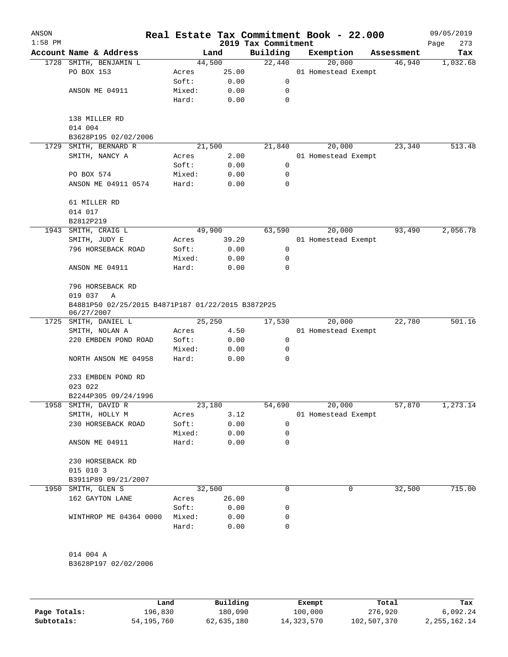| ANSON<br>$1:58$ PM |                                                                 |        |        | 2019 Tax Commitment | Real Estate Tax Commitment Book - 22.000 |            | 09/05/2019<br>273<br>Page |
|--------------------|-----------------------------------------------------------------|--------|--------|---------------------|------------------------------------------|------------|---------------------------|
|                    | Account Name & Address                                          |        | Land   | Building            | Exemption                                | Assessment | Tax                       |
| 1728               | SMITH, BENJAMIN L                                               |        | 44,500 | 22,440              | 20,000                                   | 46,940     | 1,032.68                  |
|                    | PO BOX 153                                                      | Acres  | 25.00  |                     | 01 Homestead Exempt                      |            |                           |
|                    |                                                                 | Soft:  | 0.00   | 0                   |                                          |            |                           |
|                    | ANSON ME 04911                                                  | Mixed: | 0.00   | 0                   |                                          |            |                           |
|                    |                                                                 | Hard:  | 0.00   | 0                   |                                          |            |                           |
|                    | 138 MILLER RD                                                   |        |        |                     |                                          |            |                           |
|                    | 014 004                                                         |        |        |                     |                                          |            |                           |
|                    | B3628P195 02/02/2006                                            |        |        |                     |                                          |            |                           |
| 1729               | SMITH, BERNARD R                                                |        | 21,500 | 21,840              | 20,000                                   | 23,340     | 513.48                    |
|                    | SMITH, NANCY A                                                  | Acres  | 2.00   |                     | 01 Homestead Exempt                      |            |                           |
|                    |                                                                 | Soft:  | 0.00   | 0                   |                                          |            |                           |
|                    | PO BOX 574                                                      | Mixed: | 0.00   | 0                   |                                          |            |                           |
|                    | ANSON ME 04911 0574                                             | Hard:  | 0.00   | 0                   |                                          |            |                           |
|                    | 61 MILLER RD                                                    |        |        |                     |                                          |            |                           |
|                    | 014 017                                                         |        |        |                     |                                          |            |                           |
|                    | B2812P219                                                       |        |        |                     |                                          |            |                           |
| 1943               | SMITH, CRAIG L                                                  |        | 49,900 | 63,590              | 20,000                                   | 93,490     | 2,056.78                  |
|                    | SMITH, JUDY E                                                   | Acres  | 39.20  |                     | 01 Homestead Exempt                      |            |                           |
|                    | 796 HORSEBACK ROAD                                              | Soft:  | 0.00   | 0                   |                                          |            |                           |
|                    |                                                                 | Mixed: | 0.00   | 0                   |                                          |            |                           |
|                    | ANSON ME 04911                                                  | Hard:  | 0.00   | $\mathbf 0$         |                                          |            |                           |
|                    | 796 HORSEBACK RD<br>019 037<br>Α                                |        |        |                     |                                          |            |                           |
|                    | B4881P50 02/25/2015 B4871P187 01/22/2015 B3872P25<br>06/27/2007 |        |        |                     |                                          |            |                           |
| 1725               | SMITH, DANIEL L                                                 |        | 25,250 | 17,530              | 20,000                                   | 22,780     | 501.16                    |
|                    | SMITH, NOLAN A                                                  | Acres  | 4.50   |                     | 01 Homestead Exempt                      |            |                           |
|                    | 220 EMBDEN POND ROAD                                            | Soft:  | 0.00   | 0                   |                                          |            |                           |
|                    |                                                                 | Mixed: | 0.00   | 0                   |                                          |            |                           |
|                    | NORTH ANSON ME 04958                                            | Hard:  | 0.00   | $\mathbf 0$         |                                          |            |                           |
|                    | 233 EMBDEN POND RD                                              |        |        |                     |                                          |            |                           |
|                    | 023 022                                                         |        |        |                     |                                          |            |                           |
|                    | B2244P305 09/24/1996                                            |        |        |                     |                                          |            |                           |
| 1958               | SMITH, DAVID R                                                  |        | 23,180 | 54,690              | 20,000                                   | 57,870     | 1,273.14                  |
|                    | SMITH, HOLLY M                                                  | Acres  | 3.12   |                     | 01 Homestead Exempt                      |            |                           |
|                    | 230 HORSEBACK ROAD                                              | Soft:  | 0.00   | 0                   |                                          |            |                           |
|                    |                                                                 | Mixed: | 0.00   | 0                   |                                          |            |                           |
|                    | ANSON ME 04911                                                  | Hard:  | 0.00   | 0                   |                                          |            |                           |
|                    | 230 HORSEBACK RD                                                |        |        |                     |                                          |            |                           |
|                    | 015 010 3                                                       |        |        |                     |                                          |            |                           |
|                    | B3911P89 09/21/2007                                             |        |        |                     |                                          |            |                           |
| 1950               | SMITH, GLEN S                                                   |        | 32,500 | 0                   | 0                                        | 32,500     | 715.00                    |
|                    | 162 GAYTON LANE                                                 | Acres  | 26.00  |                     |                                          |            |                           |
|                    |                                                                 | Soft:  | 0.00   | 0                   |                                          |            |                           |
|                    | WINTHROP ME 04364 0000                                          | Mixed: | 0.00   | 0                   |                                          |            |                           |
|                    |                                                                 | Hard:  | 0.00   | 0                   |                                          |            |                           |
|                    | 014 004 A                                                       |        |        |                     |                                          |            |                           |
|                    | B3628P197 02/02/2006                                            |        |        |                     |                                          |            |                           |
|                    |                                                                 |        |        |                     |                                          |            |                           |

|              | Land         | Building   | Exempt     | Total       | Tax             |
|--------------|--------------|------------|------------|-------------|-----------------|
| Page Totals: | 196,830      | 180,090    | 100,000    | 276,920     | 6.092.24        |
| Subtotals:   | 54, 195, 760 | 62,635,180 | 14,323,570 | 102,507,370 | 2, 255, 162. 14 |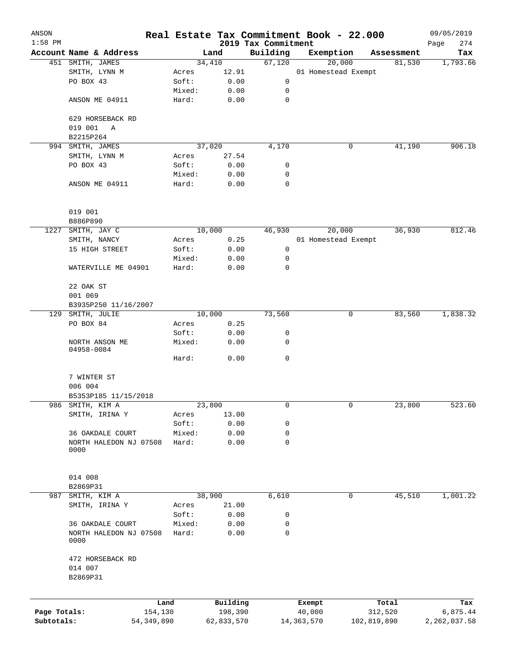| ANSON<br>$1:58$ PM |                                |                 |                |                     |                     | Real Estate Tax Commitment Book - 22.000 |             |                  | 09/05/2019      |
|--------------------|--------------------------------|-----------------|----------------|---------------------|---------------------|------------------------------------------|-------------|------------------|-----------------|
|                    | Account Name & Address         |                 |                |                     | 2019 Tax Commitment |                                          |             |                  | 274<br>Page     |
|                    |                                |                 |                | Land                | Building            | Exemption                                |             | Assessment       | Tax             |
|                    | 451 SMITH, JAMES               |                 |                | 34,410<br>12.91     | 67,120              | 20,000<br>01 Homestead Exempt            |             | 81,530           | 1,793.66        |
|                    | SMITH, LYNN M<br>PO BOX 43     |                 | Acres<br>Soft: | 0.00                | 0                   |                                          |             |                  |                 |
|                    |                                |                 | Mixed:         | 0.00                | 0                   |                                          |             |                  |                 |
|                    | ANSON ME 04911                 |                 | Hard:          | 0.00                | $\mathbf 0$         |                                          |             |                  |                 |
|                    |                                |                 |                |                     |                     |                                          |             |                  |                 |
|                    | 629 HORSEBACK RD               |                 |                |                     |                     |                                          |             |                  |                 |
|                    | 019 001<br>Α                   |                 |                |                     |                     |                                          |             |                  |                 |
|                    | B2215P264                      |                 |                |                     |                     |                                          |             |                  |                 |
|                    | 994 SMITH, JAMES               |                 |                | 37,020              | 4,170               |                                          | 0           | 41,190           | 906.18          |
|                    | SMITH, LYNN M                  |                 | Acres          | 27.54               |                     |                                          |             |                  |                 |
|                    | PO BOX 43                      |                 | Soft:          | 0.00                | 0                   |                                          |             |                  |                 |
|                    |                                |                 | Mixed:         | 0.00                | 0                   |                                          |             |                  |                 |
|                    | ANSON ME 04911                 |                 | Hard:          | 0.00                | $\mathbf 0$         |                                          |             |                  |                 |
|                    |                                |                 |                |                     |                     |                                          |             |                  |                 |
|                    | 019 001                        |                 |                |                     |                     |                                          |             |                  |                 |
|                    | B886P890                       |                 |                |                     |                     |                                          |             |                  |                 |
|                    | 1227 SMITH, JAY C              |                 |                | 10,000              | 46,930              | 20,000                                   |             | 36,930           | 812.46          |
|                    | SMITH, NANCY                   |                 | Acres          | 0.25                |                     | 01 Homestead Exempt                      |             |                  |                 |
|                    | 15 HIGH STREET                 |                 | Soft:          | 0.00                | 0                   |                                          |             |                  |                 |
|                    |                                |                 | Mixed:         | 0.00                | 0                   |                                          |             |                  |                 |
|                    | WATERVILLE ME 04901            |                 | Hard:          | 0.00                | $\mathbf 0$         |                                          |             |                  |                 |
|                    | 22 OAK ST                      |                 |                |                     |                     |                                          |             |                  |                 |
|                    | 001 069                        |                 |                |                     |                     |                                          |             |                  |                 |
|                    | B3935P250 11/16/2007           |                 |                |                     |                     |                                          |             |                  |                 |
|                    | 129 SMITH, JULIE               |                 |                | 10,000              | 73,560              |                                          | 0           | 83,560           | 1,838.32        |
|                    | PO BOX 84                      |                 | Acres          | 0.25                |                     |                                          |             |                  |                 |
|                    |                                |                 | Soft:          | 0.00                | 0                   |                                          |             |                  |                 |
|                    | NORTH ANSON ME<br>04958-0084   |                 | Mixed:         | 0.00                | 0                   |                                          |             |                  |                 |
|                    |                                |                 | Hard:          | 0.00                | $\mathbf 0$         |                                          |             |                  |                 |
|                    | 7 WINTER ST                    |                 |                |                     |                     |                                          |             |                  |                 |
|                    | 006 004                        |                 |                |                     |                     |                                          |             |                  |                 |
|                    | B5353P185 11/15/2018           |                 |                |                     |                     |                                          |             |                  |                 |
| 986                | SMITH, KIM A                   |                 |                | 23,800              | 0                   |                                          | 0           | 23,800           | 523.60          |
|                    | SMITH, IRINA Y                 |                 | Acres          | 13.00               |                     |                                          |             |                  |                 |
|                    |                                |                 | Soft:          | 0.00                | $\mathsf 0$         |                                          |             |                  |                 |
|                    | 36 OAKDALE COURT               |                 | Mixed:         | 0.00                | 0                   |                                          |             |                  |                 |
|                    | NORTH HALEDON NJ 07508<br>0000 |                 | Hard:          | 0.00                | $\mathbf 0$         |                                          |             |                  |                 |
|                    |                                |                 |                |                     |                     |                                          |             |                  |                 |
|                    | 014 008                        |                 |                |                     |                     |                                          |             |                  |                 |
|                    | B2869P31                       |                 |                |                     |                     |                                          |             |                  |                 |
| 987                | SMITH, KIM A                   |                 |                | 38,900              | 6,610               |                                          | 0           | 45,510           | 1,001.22        |
|                    | SMITH, IRINA Y                 |                 | Acres          | 21.00               |                     |                                          |             |                  |                 |
|                    |                                |                 | Soft:          | 0.00                | 0                   |                                          |             |                  |                 |
|                    | 36 OAKDALE COURT               |                 | Mixed:         | 0.00                | 0                   |                                          |             |                  |                 |
|                    | NORTH HALEDON NJ 07508<br>0000 |                 | Hard:          | 0.00                | $\mathbf 0$         |                                          |             |                  |                 |
|                    |                                |                 |                |                     |                     |                                          |             |                  |                 |
|                    | 472 HORSEBACK RD               |                 |                |                     |                     |                                          |             |                  |                 |
|                    | 014 007<br>B2869P31            |                 |                |                     |                     |                                          |             |                  |                 |
|                    |                                |                 |                |                     |                     |                                          |             |                  |                 |
| Page Totals:       |                                | Land<br>154,130 |                | Building<br>198,390 |                     | Exempt<br>40,000                         |             | Total<br>312,520 | Tax<br>6,875.44 |
| Subtotals:         |                                | 54, 349, 890    |                | 62,833,570          |                     | 14, 363, 570                             | 102,819,890 |                  | 2, 262, 037.58  |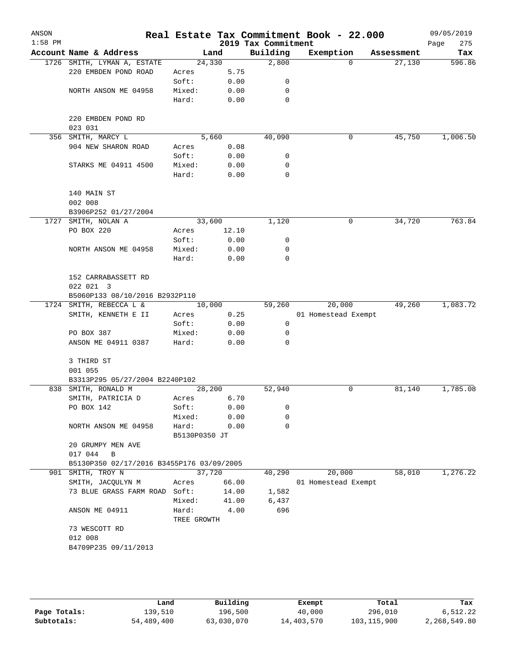| ANSON<br>$1:58$ PM |                                                |               |       | 2019 Tax Commitment | Real Estate Tax Commitment Book - 22.000 |            | 09/05/2019         |
|--------------------|------------------------------------------------|---------------|-------|---------------------|------------------------------------------|------------|--------------------|
|                    | Account Name & Address                         | Land          |       | Building            | Exemption                                | Assessment | Page<br>275<br>Tax |
|                    | 1726 SMITH, LYMAN A, ESTATE                    | 24,330        |       | 2,800               | $\Omega$                                 | 27,130     | 596.86             |
|                    | 220 EMBDEN POND ROAD                           | Acres         | 5.75  |                     |                                          |            |                    |
|                    |                                                | Soft:         | 0.00  | 0                   |                                          |            |                    |
|                    | NORTH ANSON ME 04958                           | Mixed:        | 0.00  | 0                   |                                          |            |                    |
|                    |                                                | Hard:         | 0.00  | 0                   |                                          |            |                    |
|                    |                                                |               |       |                     |                                          |            |                    |
|                    | 220 EMBDEN POND RD                             |               |       |                     |                                          |            |                    |
|                    | 023 031                                        |               |       |                     |                                          |            |                    |
|                    | 356 SMITH, MARCY L                             | 5,660         |       | 40,090              | 0                                        | 45,750     | 1,006.50           |
|                    | 904 NEW SHARON ROAD                            | Acres         | 0.08  |                     |                                          |            |                    |
|                    |                                                | Soft:         | 0.00  | 0                   |                                          |            |                    |
|                    | STARKS ME 04911 4500                           | Mixed:        | 0.00  | 0                   |                                          |            |                    |
|                    |                                                | Hard:         | 0.00  | 0                   |                                          |            |                    |
|                    |                                                |               |       |                     |                                          |            |                    |
|                    | 140 MAIN ST                                    |               |       |                     |                                          |            |                    |
|                    | 002 008                                        |               |       |                     |                                          |            |                    |
|                    | B3906P252 01/27/2004                           |               |       |                     |                                          |            |                    |
|                    | 1727 SMITH, NOLAN A                            | 33,600        |       | 1,120               | 0                                        | 34,720     | 763.84             |
|                    | PO BOX 220                                     | Acres         | 12.10 |                     |                                          |            |                    |
|                    |                                                | Soft:         | 0.00  | 0                   |                                          |            |                    |
|                    | NORTH ANSON ME 04958                           | Mixed:        | 0.00  | 0                   |                                          |            |                    |
|                    |                                                | Hard:         | 0.00  | 0                   |                                          |            |                    |
|                    | 152 CARRABASSETT RD                            |               |       |                     |                                          |            |                    |
|                    | 022 021 3                                      |               |       |                     |                                          |            |                    |
|                    | B5060P133 08/10/2016 B2932P110                 |               |       |                     |                                          |            |                    |
|                    | 1724 SMITH, REBECCA L &                        | 10,000        |       | 59,260              | 20,000                                   | 49,260     | 1,083.72           |
|                    | SMITH, KENNETH E II                            | Acres         | 0.25  |                     | 01 Homestead Exempt                      |            |                    |
|                    |                                                | Soft:         | 0.00  | 0                   |                                          |            |                    |
|                    | PO BOX 387                                     | Mixed:        | 0.00  | 0                   |                                          |            |                    |
|                    | ANSON ME 04911 0387                            | Hard:         | 0.00  | $\mathbf 0$         |                                          |            |                    |
|                    |                                                |               |       |                     |                                          |            |                    |
|                    | 3 THIRD ST                                     |               |       |                     |                                          |            |                    |
|                    | 001 055                                        |               |       |                     |                                          |            |                    |
|                    | B3313P295 05/27/2004 B2240P102                 |               |       |                     |                                          |            |                    |
| 838                | SMITH, RONALD M                                | 28,200        |       | 52,940              | 0                                        | 81,140     | 1,785.08           |
|                    | SMITH, PATRICIA D                              | Acres         | 6.70  |                     |                                          |            |                    |
|                    | PO BOX 142                                     | Soft:         | 0.00  | 0                   |                                          |            |                    |
|                    |                                                | Mixed:        | 0.00  | 0                   |                                          |            |                    |
|                    | NORTH ANSON ME 04958                           | Hard:         | 0.00  | 0                   |                                          |            |                    |
|                    |                                                | B5130P0350 JT |       |                     |                                          |            |                    |
|                    | 20 GRUMPY MEN AVE<br>017 044                   |               |       |                     |                                          |            |                    |
|                    | B<br>B5130P350 02/17/2016 B3455P176 03/09/2005 |               |       |                     |                                          |            |                    |
|                    | 901 SMITH, TROY N                              | 37,720        |       | 40,290              | 20,000                                   | 58,010     | 1,276.22           |
|                    | SMITH, JACQULYN M                              | Acres         | 66.00 |                     | 01 Homestead Exempt                      |            |                    |
|                    | 73 BLUE GRASS FARM ROAD Soft:                  |               | 14.00 | 1,582               |                                          |            |                    |
|                    |                                                | Mixed:        | 41.00 | 6,437               |                                          |            |                    |
|                    | ANSON ME 04911                                 | Hard:         | 4.00  | 696                 |                                          |            |                    |
|                    |                                                | TREE GROWTH   |       |                     |                                          |            |                    |
|                    | 73 WESCOTT RD                                  |               |       |                     |                                          |            |                    |
|                    | 012 008                                        |               |       |                     |                                          |            |                    |
|                    | B4709P235 09/11/2013                           |               |       |                     |                                          |            |                    |
|                    |                                                |               |       |                     |                                          |            |                    |
|                    |                                                |               |       |                     |                                          |            |                    |

|              | Land       | Building   | Exempt     | Total         | Tax          |
|--------------|------------|------------|------------|---------------|--------------|
| Page Totals: | 139,510    | 196,500    | 40,000     | 296,010       | 6,512.22     |
| Subtotals:   | 54,489,400 | 63,030,070 | 14,403,570 | 103, 115, 900 | 2,268,549.80 |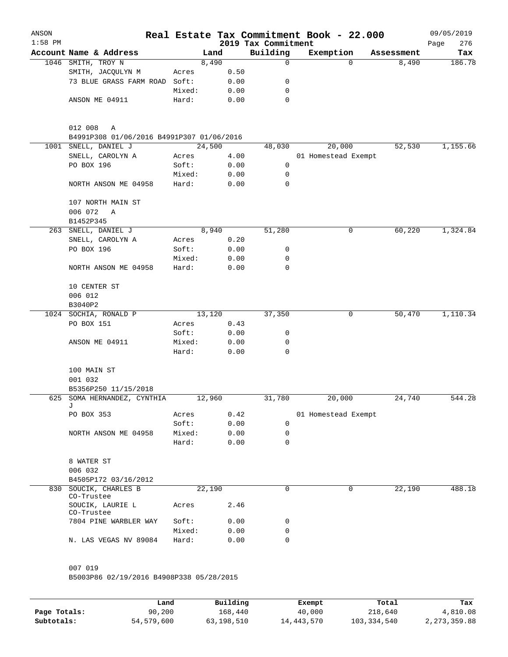| ANSON<br>$1:58$ PM |                                           |                 |        |              | Real Estate Tax Commitment Book - 22.000<br>2019 Tax Commitment |                     |          |            | 09/05/2019<br>276<br>Page |
|--------------------|-------------------------------------------|-----------------|--------|--------------|-----------------------------------------------------------------|---------------------|----------|------------|---------------------------|
|                    | Account Name & Address                    |                 | Land   |              | Building                                                        | Exemption           |          | Assessment | Tax                       |
|                    | 1046 SMITH, TROY N                        |                 | 8,490  |              | $\mathbf 0$                                                     |                     | $\Omega$ | 8,490      | 186.78                    |
|                    | SMITH, JACQULYN M                         | Acres           |        | 0.50         |                                                                 |                     |          |            |                           |
|                    | 73 BLUE GRASS FARM ROAD                   | Soft:           |        | 0.00         | 0                                                               |                     |          |            |                           |
|                    |                                           | Mixed:          |        | 0.00         | 0                                                               |                     |          |            |                           |
|                    | ANSON ME 04911                            | Hard:           |        | 0.00         | 0                                                               |                     |          |            |                           |
|                    | 012 008<br>Α                              |                 |        |              |                                                                 |                     |          |            |                           |
|                    | B4991P308 01/06/2016 B4991P307 01/06/2016 |                 |        |              |                                                                 |                     |          |            |                           |
|                    | 1001 SNELL, DANIEL J                      |                 | 24,500 |              | 48,030                                                          |                     | 20,000   | 52,530     | 1,155.66                  |
|                    | SNELL, CAROLYN A                          | Acres           |        | 4.00         |                                                                 | 01 Homestead Exempt |          |            |                           |
|                    | PO BOX 196                                | Soft:           |        | 0.00         | 0                                                               |                     |          |            |                           |
|                    | NORTH ANSON ME 04958                      | Mixed:<br>Hard: |        | 0.00<br>0.00 | 0<br>$\mathbf 0$                                                |                     |          |            |                           |
|                    | 107 NORTH MAIN ST                         |                 |        |              |                                                                 |                     |          |            |                           |
|                    | 006 072<br>Α                              |                 |        |              |                                                                 |                     |          |            |                           |
|                    | B1452P345                                 |                 |        |              |                                                                 |                     |          |            |                           |
|                    | 263 SNELL, DANIEL J                       |                 | 8,940  |              | 51,280                                                          |                     | 0        | 60,220     | 1,324.84                  |
|                    | SNELL, CAROLYN A                          | Acres           |        | 0.20         |                                                                 |                     |          |            |                           |
|                    | PO BOX 196                                | Soft:           |        | 0.00         | 0                                                               |                     |          |            |                           |
|                    |                                           | Mixed:          |        | 0.00         | 0                                                               |                     |          |            |                           |
|                    | NORTH ANSON ME 04958                      | Hard:           |        | 0.00         | $\mathbf 0$                                                     |                     |          |            |                           |
|                    | 10 CENTER ST                              |                 |        |              |                                                                 |                     |          |            |                           |
|                    | 006 012                                   |                 |        |              |                                                                 |                     |          |            |                           |
|                    | B3040P2                                   |                 |        |              |                                                                 |                     |          |            |                           |
|                    | 1024 SOCHIA, RONALD P                     |                 | 13,120 |              | 37,350                                                          |                     | 0        | 50,470     | 1,110.34                  |
|                    | PO BOX 151                                | Acres           |        | 0.43         |                                                                 |                     |          |            |                           |
|                    |                                           | Soft:           |        | 0.00         | 0                                                               |                     |          |            |                           |
|                    | ANSON ME 04911                            | Mixed:<br>Hard: |        | 0.00<br>0.00 | 0<br>$\mathbf 0$                                                |                     |          |            |                           |
|                    | 100 MAIN ST<br>001 032                    |                 |        |              |                                                                 |                     |          |            |                           |
|                    | B5356P250 11/15/2018                      |                 |        |              |                                                                 |                     |          |            |                           |
|                    | 625 SOMA HERNANDEZ, CYNTHIA<br>J          |                 | 12,960 |              | 31,780                                                          |                     | 20,000   | 24,740     | 544.28                    |
|                    | PO BOX 353                                | Acres           |        | 0.42         |                                                                 | 01 Homestead Exempt |          |            |                           |
|                    |                                           | Soft:           |        | 0.00         | 0                                                               |                     |          |            |                           |
|                    | NORTH ANSON ME 04958                      | Mixed:          |        | 0.00         | 0                                                               |                     |          |            |                           |
|                    |                                           | Hard:           |        | 0.00         | 0                                                               |                     |          |            |                           |
|                    | 8 WATER ST<br>006 032                     |                 |        |              |                                                                 |                     |          |            |                           |
|                    | B4505P172 03/16/2012                      |                 |        |              |                                                                 |                     |          |            |                           |
|                    | 830 SOUCIK, CHARLES B<br>CO-Trustee       |                 | 22,190 |              | 0                                                               |                     | 0        | 22,190     | 488.18                    |
|                    | SOUCIK, LAURIE L<br>CO-Trustee            | Acres           |        | 2.46         |                                                                 |                     |          |            |                           |
|                    | 7804 PINE WARBLER WAY                     | Soft:           |        | 0.00         | 0                                                               |                     |          |            |                           |
|                    |                                           | Mixed:          |        | 0.00         | 0                                                               |                     |          |            |                           |
|                    | N. LAS VEGAS NV 89084                     | Hard:           |        | 0.00         | $\Omega$                                                        |                     |          |            |                           |
|                    |                                           |                 |        |              |                                                                 |                     |          |            |                           |
|                    | 007 019                                   |                 |        |              |                                                                 |                     |          |            |                           |
|                    | B5003P86 02/19/2016 B4908P338 05/28/2015  |                 |        |              |                                                                 |                     |          |            |                           |

**Page Totals:** 90,200 168,440 40,000 218,640 41,810.08<br>**Subtotals:** 54,579,600 63,198,510 14,443,570 103,334,540 2,273,359.88 **Subtotals:** 54,579,600 63,198,510 14,443,570 103,334,540 2,273,359.88 **Land Building Exempt Total Tax**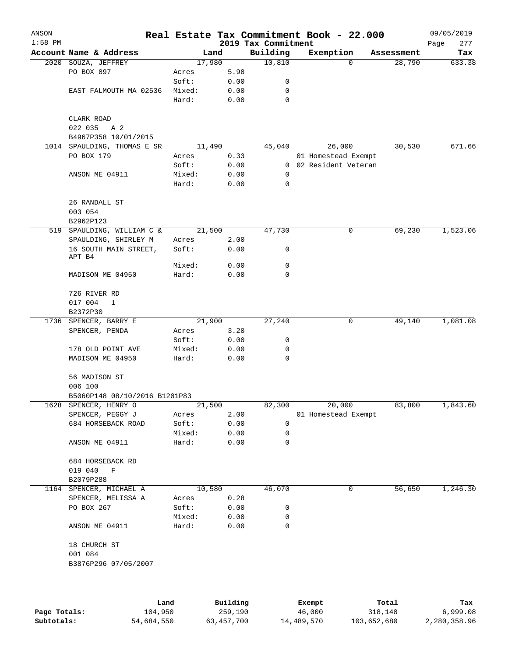| Account Name & Address<br>Building<br>Exemption<br>Land<br>Assessment<br>17,980<br>10,810<br>2020 SOUZA, JEFFREY<br>$\mathbf 0$<br>28,790<br>PO BOX 897<br>5.98<br>Acres<br>Soft:<br>0.00<br>0<br>Mixed:<br>0.00<br>0<br>EAST FALMOUTH MA 02536<br>Hard:<br>0.00<br>0<br>CLARK ROAD<br>022 035<br>A 2<br>B4967P358 10/01/2015<br>1014 SPAULDING, THOMAS E SR<br>11,490<br>45,040<br>26,000<br>30,530<br>PO BOX 179<br>0.33<br>01 Homestead Exempt<br>Acres<br>Soft:<br>0.00<br>0 02 Resident Veteran<br>Mixed:<br>0.00<br>ANSON ME 04911<br>0<br>Hard:<br>0.00<br>$\mathbf 0$<br>26 RANDALL ST<br>003 054<br>B2962P123<br>21,500<br>47,730<br>69,230<br>519 SPAULDING, WILLIAM C &<br>0<br>SPAULDING, SHIRLEY M<br>2.00<br>Acres<br>Soft:<br>0<br>16 SOUTH MAIN STREET,<br>0.00<br>APT B4<br>$\mathbf 0$<br>Mixed:<br>0.00<br>Hard:<br>0.00<br>$\mathbf 0$<br>MADISON ME 04950<br>726 RIVER RD<br>017 004<br>$\mathbf{1}$<br>B2372P30<br>27,240<br>1736<br>SPENCER, BARRY E<br>21,900<br>0<br>49,140<br>3.20<br>SPENCER, PENDA<br>Acres<br>Soft:<br>0.00<br>0<br>Mixed:<br>0.00<br>178 OLD POINT AVE<br>0<br>MADISON ME 04950<br>Hard:<br>0.00<br>0<br>56 MADISON ST<br>006 100<br>B5060P148 08/10/2016 B1201P83<br>SPENCER, HENRY O<br>21,500<br>82,300<br>20,000<br>83,800<br>1,843.60<br>1628<br>SPENCER, PEGGY J<br>01 Homestead Exempt<br>2.00<br>Acres<br>684 HORSEBACK ROAD<br>Soft:<br>0.00<br>0<br>Mixed:<br>0.00<br>0<br>0<br>Hard:<br>0.00<br>ANSON ME 04911<br>684 HORSEBACK RD<br>019 040<br>$\mathbf F$<br>B2079P288<br>56,650<br>1,246.30<br>10,580<br>46,070<br>0<br>1164 SPENCER, MICHAEL A<br>SPENCER, MELISSA A<br>0.28<br>Acres<br>PO BOX 267<br>Soft:<br>0.00<br>0<br>Mixed:<br>0.00<br>0<br>0<br>ANSON ME 04911<br>Hard:<br>0.00<br>18 CHURCH ST<br>001 084<br>B3876P296 07/05/2007<br>Building<br>Total<br>Land<br>Exempt | ANSON<br>$1:58$ PM |  | 2019 Tax Commitment | Real Estate Tax Commitment Book - 22.000 | 09/05/2019<br>277<br>Page |
|--------------------------------------------------------------------------------------------------------------------------------------------------------------------------------------------------------------------------------------------------------------------------------------------------------------------------------------------------------------------------------------------------------------------------------------------------------------------------------------------------------------------------------------------------------------------------------------------------------------------------------------------------------------------------------------------------------------------------------------------------------------------------------------------------------------------------------------------------------------------------------------------------------------------------------------------------------------------------------------------------------------------------------------------------------------------------------------------------------------------------------------------------------------------------------------------------------------------------------------------------------------------------------------------------------------------------------------------------------------------------------------------------------------------------------------------------------------------------------------------------------------------------------------------------------------------------------------------------------------------------------------------------------------------------------------------------------------------------------------------------------------------------------------------------------------------------------------------------|--------------------|--|---------------------|------------------------------------------|---------------------------|
|                                                                                                                                                                                                                                                                                                                                                                                                                                                                                                                                                                                                                                                                                                                                                                                                                                                                                                                                                                                                                                                                                                                                                                                                                                                                                                                                                                                                                                                                                                                                                                                                                                                                                                                                                                                                                                                  |                    |  |                     |                                          | Tax                       |
|                                                                                                                                                                                                                                                                                                                                                                                                                                                                                                                                                                                                                                                                                                                                                                                                                                                                                                                                                                                                                                                                                                                                                                                                                                                                                                                                                                                                                                                                                                                                                                                                                                                                                                                                                                                                                                                  |                    |  |                     |                                          | 633.38                    |
|                                                                                                                                                                                                                                                                                                                                                                                                                                                                                                                                                                                                                                                                                                                                                                                                                                                                                                                                                                                                                                                                                                                                                                                                                                                                                                                                                                                                                                                                                                                                                                                                                                                                                                                                                                                                                                                  |                    |  |                     |                                          |                           |
|                                                                                                                                                                                                                                                                                                                                                                                                                                                                                                                                                                                                                                                                                                                                                                                                                                                                                                                                                                                                                                                                                                                                                                                                                                                                                                                                                                                                                                                                                                                                                                                                                                                                                                                                                                                                                                                  |                    |  |                     |                                          |                           |
|                                                                                                                                                                                                                                                                                                                                                                                                                                                                                                                                                                                                                                                                                                                                                                                                                                                                                                                                                                                                                                                                                                                                                                                                                                                                                                                                                                                                                                                                                                                                                                                                                                                                                                                                                                                                                                                  |                    |  |                     |                                          |                           |
|                                                                                                                                                                                                                                                                                                                                                                                                                                                                                                                                                                                                                                                                                                                                                                                                                                                                                                                                                                                                                                                                                                                                                                                                                                                                                                                                                                                                                                                                                                                                                                                                                                                                                                                                                                                                                                                  |                    |  |                     |                                          |                           |
|                                                                                                                                                                                                                                                                                                                                                                                                                                                                                                                                                                                                                                                                                                                                                                                                                                                                                                                                                                                                                                                                                                                                                                                                                                                                                                                                                                                                                                                                                                                                                                                                                                                                                                                                                                                                                                                  |                    |  |                     |                                          |                           |
|                                                                                                                                                                                                                                                                                                                                                                                                                                                                                                                                                                                                                                                                                                                                                                                                                                                                                                                                                                                                                                                                                                                                                                                                                                                                                                                                                                                                                                                                                                                                                                                                                                                                                                                                                                                                                                                  |                    |  |                     |                                          |                           |
|                                                                                                                                                                                                                                                                                                                                                                                                                                                                                                                                                                                                                                                                                                                                                                                                                                                                                                                                                                                                                                                                                                                                                                                                                                                                                                                                                                                                                                                                                                                                                                                                                                                                                                                                                                                                                                                  |                    |  |                     |                                          |                           |
|                                                                                                                                                                                                                                                                                                                                                                                                                                                                                                                                                                                                                                                                                                                                                                                                                                                                                                                                                                                                                                                                                                                                                                                                                                                                                                                                                                                                                                                                                                                                                                                                                                                                                                                                                                                                                                                  |                    |  |                     |                                          | 671.66                    |
|                                                                                                                                                                                                                                                                                                                                                                                                                                                                                                                                                                                                                                                                                                                                                                                                                                                                                                                                                                                                                                                                                                                                                                                                                                                                                                                                                                                                                                                                                                                                                                                                                                                                                                                                                                                                                                                  |                    |  |                     |                                          |                           |
|                                                                                                                                                                                                                                                                                                                                                                                                                                                                                                                                                                                                                                                                                                                                                                                                                                                                                                                                                                                                                                                                                                                                                                                                                                                                                                                                                                                                                                                                                                                                                                                                                                                                                                                                                                                                                                                  |                    |  |                     |                                          |                           |
|                                                                                                                                                                                                                                                                                                                                                                                                                                                                                                                                                                                                                                                                                                                                                                                                                                                                                                                                                                                                                                                                                                                                                                                                                                                                                                                                                                                                                                                                                                                                                                                                                                                                                                                                                                                                                                                  |                    |  |                     |                                          |                           |
|                                                                                                                                                                                                                                                                                                                                                                                                                                                                                                                                                                                                                                                                                                                                                                                                                                                                                                                                                                                                                                                                                                                                                                                                                                                                                                                                                                                                                                                                                                                                                                                                                                                                                                                                                                                                                                                  |                    |  |                     |                                          |                           |
|                                                                                                                                                                                                                                                                                                                                                                                                                                                                                                                                                                                                                                                                                                                                                                                                                                                                                                                                                                                                                                                                                                                                                                                                                                                                                                                                                                                                                                                                                                                                                                                                                                                                                                                                                                                                                                                  |                    |  |                     |                                          |                           |
|                                                                                                                                                                                                                                                                                                                                                                                                                                                                                                                                                                                                                                                                                                                                                                                                                                                                                                                                                                                                                                                                                                                                                                                                                                                                                                                                                                                                                                                                                                                                                                                                                                                                                                                                                                                                                                                  |                    |  |                     |                                          |                           |
|                                                                                                                                                                                                                                                                                                                                                                                                                                                                                                                                                                                                                                                                                                                                                                                                                                                                                                                                                                                                                                                                                                                                                                                                                                                                                                                                                                                                                                                                                                                                                                                                                                                                                                                                                                                                                                                  |                    |  |                     |                                          |                           |
|                                                                                                                                                                                                                                                                                                                                                                                                                                                                                                                                                                                                                                                                                                                                                                                                                                                                                                                                                                                                                                                                                                                                                                                                                                                                                                                                                                                                                                                                                                                                                                                                                                                                                                                                                                                                                                                  |                    |  |                     |                                          | 1,523.06                  |
|                                                                                                                                                                                                                                                                                                                                                                                                                                                                                                                                                                                                                                                                                                                                                                                                                                                                                                                                                                                                                                                                                                                                                                                                                                                                                                                                                                                                                                                                                                                                                                                                                                                                                                                                                                                                                                                  |                    |  |                     |                                          |                           |
|                                                                                                                                                                                                                                                                                                                                                                                                                                                                                                                                                                                                                                                                                                                                                                                                                                                                                                                                                                                                                                                                                                                                                                                                                                                                                                                                                                                                                                                                                                                                                                                                                                                                                                                                                                                                                                                  |                    |  |                     |                                          |                           |
|                                                                                                                                                                                                                                                                                                                                                                                                                                                                                                                                                                                                                                                                                                                                                                                                                                                                                                                                                                                                                                                                                                                                                                                                                                                                                                                                                                                                                                                                                                                                                                                                                                                                                                                                                                                                                                                  |                    |  |                     |                                          |                           |
|                                                                                                                                                                                                                                                                                                                                                                                                                                                                                                                                                                                                                                                                                                                                                                                                                                                                                                                                                                                                                                                                                                                                                                                                                                                                                                                                                                                                                                                                                                                                                                                                                                                                                                                                                                                                                                                  |                    |  |                     |                                          |                           |
|                                                                                                                                                                                                                                                                                                                                                                                                                                                                                                                                                                                                                                                                                                                                                                                                                                                                                                                                                                                                                                                                                                                                                                                                                                                                                                                                                                                                                                                                                                                                                                                                                                                                                                                                                                                                                                                  |                    |  |                     |                                          |                           |
|                                                                                                                                                                                                                                                                                                                                                                                                                                                                                                                                                                                                                                                                                                                                                                                                                                                                                                                                                                                                                                                                                                                                                                                                                                                                                                                                                                                                                                                                                                                                                                                                                                                                                                                                                                                                                                                  |                    |  |                     |                                          |                           |
|                                                                                                                                                                                                                                                                                                                                                                                                                                                                                                                                                                                                                                                                                                                                                                                                                                                                                                                                                                                                                                                                                                                                                                                                                                                                                                                                                                                                                                                                                                                                                                                                                                                                                                                                                                                                                                                  |                    |  |                     |                                          | 1,081.08                  |
|                                                                                                                                                                                                                                                                                                                                                                                                                                                                                                                                                                                                                                                                                                                                                                                                                                                                                                                                                                                                                                                                                                                                                                                                                                                                                                                                                                                                                                                                                                                                                                                                                                                                                                                                                                                                                                                  |                    |  |                     |                                          |                           |
|                                                                                                                                                                                                                                                                                                                                                                                                                                                                                                                                                                                                                                                                                                                                                                                                                                                                                                                                                                                                                                                                                                                                                                                                                                                                                                                                                                                                                                                                                                                                                                                                                                                                                                                                                                                                                                                  |                    |  |                     |                                          |                           |
|                                                                                                                                                                                                                                                                                                                                                                                                                                                                                                                                                                                                                                                                                                                                                                                                                                                                                                                                                                                                                                                                                                                                                                                                                                                                                                                                                                                                                                                                                                                                                                                                                                                                                                                                                                                                                                                  |                    |  |                     |                                          |                           |
|                                                                                                                                                                                                                                                                                                                                                                                                                                                                                                                                                                                                                                                                                                                                                                                                                                                                                                                                                                                                                                                                                                                                                                                                                                                                                                                                                                                                                                                                                                                                                                                                                                                                                                                                                                                                                                                  |                    |  |                     |                                          |                           |
|                                                                                                                                                                                                                                                                                                                                                                                                                                                                                                                                                                                                                                                                                                                                                                                                                                                                                                                                                                                                                                                                                                                                                                                                                                                                                                                                                                                                                                                                                                                                                                                                                                                                                                                                                                                                                                                  |                    |  |                     |                                          |                           |
|                                                                                                                                                                                                                                                                                                                                                                                                                                                                                                                                                                                                                                                                                                                                                                                                                                                                                                                                                                                                                                                                                                                                                                                                                                                                                                                                                                                                                                                                                                                                                                                                                                                                                                                                                                                                                                                  |                    |  |                     |                                          |                           |
|                                                                                                                                                                                                                                                                                                                                                                                                                                                                                                                                                                                                                                                                                                                                                                                                                                                                                                                                                                                                                                                                                                                                                                                                                                                                                                                                                                                                                                                                                                                                                                                                                                                                                                                                                                                                                                                  |                    |  |                     |                                          |                           |
|                                                                                                                                                                                                                                                                                                                                                                                                                                                                                                                                                                                                                                                                                                                                                                                                                                                                                                                                                                                                                                                                                                                                                                                                                                                                                                                                                                                                                                                                                                                                                                                                                                                                                                                                                                                                                                                  |                    |  |                     |                                          |                           |
|                                                                                                                                                                                                                                                                                                                                                                                                                                                                                                                                                                                                                                                                                                                                                                                                                                                                                                                                                                                                                                                                                                                                                                                                                                                                                                                                                                                                                                                                                                                                                                                                                                                                                                                                                                                                                                                  |                    |  |                     |                                          |                           |
|                                                                                                                                                                                                                                                                                                                                                                                                                                                                                                                                                                                                                                                                                                                                                                                                                                                                                                                                                                                                                                                                                                                                                                                                                                                                                                                                                                                                                                                                                                                                                                                                                                                                                                                                                                                                                                                  |                    |  |                     |                                          |                           |
|                                                                                                                                                                                                                                                                                                                                                                                                                                                                                                                                                                                                                                                                                                                                                                                                                                                                                                                                                                                                                                                                                                                                                                                                                                                                                                                                                                                                                                                                                                                                                                                                                                                                                                                                                                                                                                                  |                    |  |                     |                                          |                           |
|                                                                                                                                                                                                                                                                                                                                                                                                                                                                                                                                                                                                                                                                                                                                                                                                                                                                                                                                                                                                                                                                                                                                                                                                                                                                                                                                                                                                                                                                                                                                                                                                                                                                                                                                                                                                                                                  |                    |  |                     |                                          |                           |
|                                                                                                                                                                                                                                                                                                                                                                                                                                                                                                                                                                                                                                                                                                                                                                                                                                                                                                                                                                                                                                                                                                                                                                                                                                                                                                                                                                                                                                                                                                                                                                                                                                                                                                                                                                                                                                                  |                    |  |                     |                                          |                           |
|                                                                                                                                                                                                                                                                                                                                                                                                                                                                                                                                                                                                                                                                                                                                                                                                                                                                                                                                                                                                                                                                                                                                                                                                                                                                                                                                                                                                                                                                                                                                                                                                                                                                                                                                                                                                                                                  |                    |  |                     |                                          |                           |
|                                                                                                                                                                                                                                                                                                                                                                                                                                                                                                                                                                                                                                                                                                                                                                                                                                                                                                                                                                                                                                                                                                                                                                                                                                                                                                                                                                                                                                                                                                                                                                                                                                                                                                                                                                                                                                                  |                    |  |                     |                                          |                           |
|                                                                                                                                                                                                                                                                                                                                                                                                                                                                                                                                                                                                                                                                                                                                                                                                                                                                                                                                                                                                                                                                                                                                                                                                                                                                                                                                                                                                                                                                                                                                                                                                                                                                                                                                                                                                                                                  |                    |  |                     |                                          |                           |
|                                                                                                                                                                                                                                                                                                                                                                                                                                                                                                                                                                                                                                                                                                                                                                                                                                                                                                                                                                                                                                                                                                                                                                                                                                                                                                                                                                                                                                                                                                                                                                                                                                                                                                                                                                                                                                                  |                    |  |                     |                                          |                           |
|                                                                                                                                                                                                                                                                                                                                                                                                                                                                                                                                                                                                                                                                                                                                                                                                                                                                                                                                                                                                                                                                                                                                                                                                                                                                                                                                                                                                                                                                                                                                                                                                                                                                                                                                                                                                                                                  |                    |  |                     |                                          |                           |
|                                                                                                                                                                                                                                                                                                                                                                                                                                                                                                                                                                                                                                                                                                                                                                                                                                                                                                                                                                                                                                                                                                                                                                                                                                                                                                                                                                                                                                                                                                                                                                                                                                                                                                                                                                                                                                                  |                    |  |                     |                                          |                           |
|                                                                                                                                                                                                                                                                                                                                                                                                                                                                                                                                                                                                                                                                                                                                                                                                                                                                                                                                                                                                                                                                                                                                                                                                                                                                                                                                                                                                                                                                                                                                                                                                                                                                                                                                                                                                                                                  |                    |  |                     |                                          |                           |
|                                                                                                                                                                                                                                                                                                                                                                                                                                                                                                                                                                                                                                                                                                                                                                                                                                                                                                                                                                                                                                                                                                                                                                                                                                                                                                                                                                                                                                                                                                                                                                                                                                                                                                                                                                                                                                                  |                    |  |                     |                                          |                           |
|                                                                                                                                                                                                                                                                                                                                                                                                                                                                                                                                                                                                                                                                                                                                                                                                                                                                                                                                                                                                                                                                                                                                                                                                                                                                                                                                                                                                                                                                                                                                                                                                                                                                                                                                                                                                                                                  |                    |  |                     |                                          |                           |
|                                                                                                                                                                                                                                                                                                                                                                                                                                                                                                                                                                                                                                                                                                                                                                                                                                                                                                                                                                                                                                                                                                                                                                                                                                                                                                                                                                                                                                                                                                                                                                                                                                                                                                                                                                                                                                                  |                    |  |                     |                                          |                           |
|                                                                                                                                                                                                                                                                                                                                                                                                                                                                                                                                                                                                                                                                                                                                                                                                                                                                                                                                                                                                                                                                                                                                                                                                                                                                                                                                                                                                                                                                                                                                                                                                                                                                                                                                                                                                                                                  |                    |  |                     |                                          |                           |
|                                                                                                                                                                                                                                                                                                                                                                                                                                                                                                                                                                                                                                                                                                                                                                                                                                                                                                                                                                                                                                                                                                                                                                                                                                                                                                                                                                                                                                                                                                                                                                                                                                                                                                                                                                                                                                                  |                    |  |                     |                                          | Tax                       |

**Page Totals:** 104,950 259,190 46,000 318,140 6,999.08 **Subtotals:** 54,684,550 63,457,700 14,489,570 103,652,680 2,280,358.96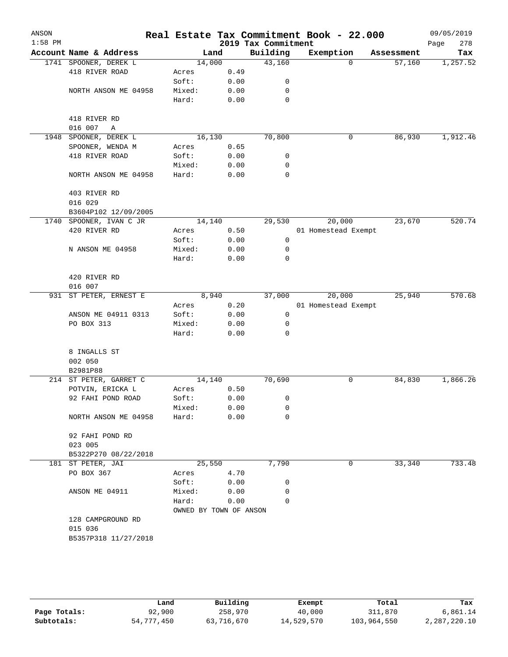| ANSON<br>$1:58$ PM |                        |                        |      | 2019 Tax Commitment | Real Estate Tax Commitment Book - 22.000 |          |            | 09/05/2019<br>Page<br>278 |
|--------------------|------------------------|------------------------|------|---------------------|------------------------------------------|----------|------------|---------------------------|
|                    | Account Name & Address | Land                   |      | Building            | Exemption                                |          | Assessment | Tax                       |
|                    | 1741 SPOONER, DEREK L  | 14,000                 |      | 43,160              |                                          | $\Omega$ | 57,160     | 1,257.52                  |
|                    | 418 RIVER ROAD         | Acres                  | 0.49 |                     |                                          |          |            |                           |
|                    |                        | Soft:                  | 0.00 | 0                   |                                          |          |            |                           |
|                    | NORTH ANSON ME 04958   | Mixed:                 | 0.00 | 0                   |                                          |          |            |                           |
|                    |                        | Hard:                  | 0.00 | 0                   |                                          |          |            |                           |
|                    | 418 RIVER RD           |                        |      |                     |                                          |          |            |                           |
|                    | 016 007<br>Α           |                        |      |                     |                                          |          |            |                           |
| 1948               | SPOONER, DEREK L       | 16,130                 |      | 70,800              |                                          | 0        | 86,930     | 1,912.46                  |
|                    | SPOONER, WENDA M       | Acres                  | 0.65 |                     |                                          |          |            |                           |
|                    | 418 RIVER ROAD         | Soft:                  | 0.00 | 0                   |                                          |          |            |                           |
|                    |                        | Mixed:                 | 0.00 | 0                   |                                          |          |            |                           |
|                    | NORTH ANSON ME 04958   | Hard:                  | 0.00 | 0                   |                                          |          |            |                           |
|                    | 403 RIVER RD           |                        |      |                     |                                          |          |            |                           |
|                    | 016 029                |                        |      |                     |                                          |          |            |                           |
|                    | B3604P102 12/09/2005   |                        |      |                     |                                          |          |            |                           |
| 1740               | SPOONER, IVAN C JR     | 14,140                 |      | 29,530              | 20,000                                   |          | 23,670     | 520.74                    |
|                    | 420 RIVER RD           | Acres                  | 0.50 |                     | 01 Homestead Exempt                      |          |            |                           |
|                    |                        | Soft:                  | 0.00 | $\mathbf 0$         |                                          |          |            |                           |
|                    | N ANSON ME 04958       | Mixed:                 | 0.00 | 0                   |                                          |          |            |                           |
|                    |                        | Hard:                  | 0.00 | 0                   |                                          |          |            |                           |
|                    | 420 RIVER RD           |                        |      |                     |                                          |          |            |                           |
|                    | 016 007                |                        |      |                     |                                          |          |            |                           |
| 931                | ST PETER, ERNEST E     | 8,940                  |      | 37,000              | 20,000                                   |          | 25,940     | 570.68                    |
|                    |                        | Acres                  | 0.20 |                     | 01 Homestead Exempt                      |          |            |                           |
|                    | ANSON ME 04911 0313    | Soft:                  | 0.00 | 0                   |                                          |          |            |                           |
|                    | PO BOX 313             | Mixed:                 | 0.00 | 0                   |                                          |          |            |                           |
|                    |                        | Hard:                  | 0.00 | $\mathbf 0$         |                                          |          |            |                           |
|                    | 8 INGALLS ST           |                        |      |                     |                                          |          |            |                           |
|                    | 002 050                |                        |      |                     |                                          |          |            |                           |
|                    | B2981P88               |                        |      |                     |                                          |          |            |                           |
|                    | 214 ST PETER, GARRET C | 14,140                 |      | 70,690              |                                          | 0        | 84,830     | 1,866.26                  |
|                    | POTVIN, ERICKA L       | Acres                  | 0.50 |                     |                                          |          |            |                           |
|                    | 92 FAHI POND ROAD      | Soft:                  | 0.00 | 0                   |                                          |          |            |                           |
|                    |                        | Mixed:                 | 0.00 | 0                   |                                          |          |            |                           |
|                    | NORTH ANSON ME 04958   | Hard:                  | 0.00 | 0                   |                                          |          |            |                           |
|                    | 92 FAHI POND RD        |                        |      |                     |                                          |          |            |                           |
|                    | 023 005                |                        |      |                     |                                          |          |            |                           |
|                    | B5322P270 08/22/2018   |                        |      |                     |                                          |          |            |                           |
|                    | 181 ST PETER, JAI      | 25,550                 |      | 7,790               |                                          | 0        | 33,340     | 733.48                    |
|                    | PO BOX 367             | Acres                  | 4.70 |                     |                                          |          |            |                           |
|                    |                        | Soft:                  | 0.00 | 0                   |                                          |          |            |                           |
|                    | ANSON ME 04911         | Mixed:                 | 0.00 | 0                   |                                          |          |            |                           |
|                    |                        | Hard:                  | 0.00 | 0                   |                                          |          |            |                           |
|                    |                        | OWNED BY TOWN OF ANSON |      |                     |                                          |          |            |                           |
|                    | 128 CAMPGROUND RD      |                        |      |                     |                                          |          |            |                           |
|                    | 015 036                |                        |      |                     |                                          |          |            |                           |
|                    | B5357P318 11/27/2018   |                        |      |                     |                                          |          |            |                           |
|                    |                        |                        |      |                     |                                          |          |            |                           |
|                    |                        |                        |      |                     |                                          |          |            |                           |
|                    |                        |                        |      |                     |                                          |          |            |                           |

|              | Land       | Building   | Exempt     | Total       | Tax          |
|--------------|------------|------------|------------|-------------|--------------|
| Page Totals: | 92,900     | 258,970    | 40,000     | 311,870     | 6,861.14     |
| Subtotals:   | 54,777,450 | 63,716,670 | 14,529,570 | 103,964,550 | 2,287,220.10 |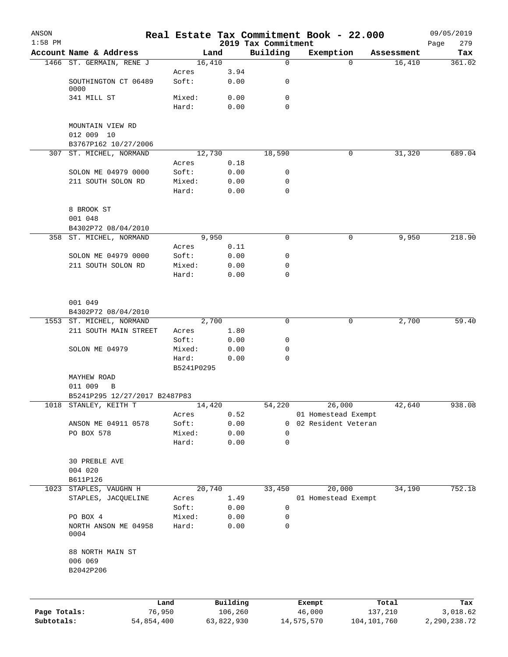| ANSON        |                                                   |                 |               |                                 | Real Estate Tax Commitment Book - 22.000 |            | 09/05/2019         |
|--------------|---------------------------------------------------|-----------------|---------------|---------------------------------|------------------------------------------|------------|--------------------|
| $1:58$ PM    | Account Name & Address                            |                 | Land          | 2019 Tax Commitment<br>Building | Exemption                                | Assessment | 279<br>Page<br>Tax |
|              | 1466 ST. GERMAIN, RENE J                          | 16,410          |               | $\mathbf 0$                     | $\Omega$                                 | 16,410     | 361.02             |
|              |                                                   | Acres           | 3.94          |                                 |                                          |            |                    |
|              | SOUTHINGTON CT 06489<br>0000                      | Soft:           | 0.00          | 0                               |                                          |            |                    |
|              | 341 MILL ST                                       | Mixed:          | 0.00          | 0                               |                                          |            |                    |
|              |                                                   | Hard:           | 0.00          | 0                               |                                          |            |                    |
|              | MOUNTAIN VIEW RD                                  |                 |               |                                 |                                          |            |                    |
|              | 012 009 10<br>B3767P162 10/27/2006                |                 |               |                                 |                                          |            |                    |
| 307          | ST. MICHEL, NORMAND                               | 12,730          |               | 18,590                          | 0                                        | 31,320     | 689.04             |
|              |                                                   | Acres           | 0.18          |                                 |                                          |            |                    |
|              | SOLON ME 04979 0000                               | Soft:           | 0.00          | 0                               |                                          |            |                    |
|              | 211 SOUTH SOLON RD                                | Mixed:          | 0.00          | 0                               |                                          |            |                    |
|              |                                                   | Hard:           | 0.00          | 0                               |                                          |            |                    |
|              | 8 BROOK ST                                        |                 |               |                                 |                                          |            |                    |
|              | 001 048<br>B4302P72 08/04/2010                    |                 |               |                                 |                                          |            |                    |
| 358          | ST. MICHEL, NORMAND                               |                 | 9,950         | $\mathbf 0$                     | 0                                        | 9,950      | 218.90             |
|              |                                                   | Acres           | 0.11          |                                 |                                          |            |                    |
|              | SOLON ME 04979 0000                               | Soft:           | 0.00          | 0                               |                                          |            |                    |
|              | 211 SOUTH SOLON RD                                | Mixed:          | 0.00          | 0                               |                                          |            |                    |
|              |                                                   | Hard:           | 0.00          | 0                               |                                          |            |                    |
|              | 001 049                                           |                 |               |                                 |                                          |            |                    |
|              | B4302P72 08/04/2010                               |                 |               |                                 |                                          |            |                    |
|              | 1553 ST. MICHEL, NORMAND<br>211 SOUTH MAIN STREET | Acres           | 2,700<br>1.80 | 0                               | 0                                        | 2,700      | 59.40              |
|              |                                                   | Soft:           | 0.00          | 0                               |                                          |            |                    |
|              | SOLON ME 04979                                    | Mixed:          | 0.00          | 0                               |                                          |            |                    |
|              |                                                   | Hard:           | 0.00          | 0                               |                                          |            |                    |
|              |                                                   | B5241P0295      |               |                                 |                                          |            |                    |
|              | MAYHEW ROAD                                       |                 |               |                                 |                                          |            |                    |
|              | 011 009<br>В                                      |                 |               |                                 |                                          |            |                    |
|              | B5241P295 12/27/2017 B2487P83                     |                 |               |                                 |                                          |            |                    |
| 1018         | STANLEY, KEITH T                                  | 14,420<br>Acres | 0.52          | 54,220                          | 26,000<br>01 Homestead Exempt            | 42,640     | 938.08             |
|              | ANSON ME 04911 0578                               | Soft:           | 0.00          | 0                               | 02 Resident Veteran                      |            |                    |
|              | PO BOX 578                                        | Mixed:          | 0.00          | 0                               |                                          |            |                    |
|              |                                                   | Hard:           | 0.00          | $\mathbf 0$                     |                                          |            |                    |
|              |                                                   |                 |               |                                 |                                          |            |                    |
|              | 30 PREBLE AVE<br>004 020                          |                 |               |                                 |                                          |            |                    |
|              | B611P126                                          |                 |               |                                 |                                          |            |                    |
| 1023         | STAPLES, VAUGHN H                                 | 20,740          |               | 33,450                          | 20,000                                   | 34,190     | 752.18             |
|              | STAPLES, JACQUELINE                               | Acres           | 1.49          |                                 | 01 Homestead Exempt                      |            |                    |
|              |                                                   | Soft:           | 0.00          | $\mathsf 0$                     |                                          |            |                    |
|              | PO BOX 4                                          | Mixed:          | 0.00          | 0                               |                                          |            |                    |
|              | NORTH ANSON ME 04958<br>0004                      | Hard:           | 0.00          | $\mathbf 0$                     |                                          |            |                    |
|              | 88 NORTH MAIN ST                                  |                 |               |                                 |                                          |            |                    |
|              | 006 069<br>B2042P206                              |                 |               |                                 |                                          |            |                    |
|              |                                                   |                 |               |                                 |                                          |            |                    |
|              |                                                   | Land            | Building      |                                 | Exempt                                   | Total      | Tax                |
| Page Totals: | 76,950                                            |                 | 106,260       |                                 | 46,000                                   | 137,210    | 3,018.62           |

**Subtotals:** 54,854,400 63,822,930 14,575,570 104,101,760 2,290,238.72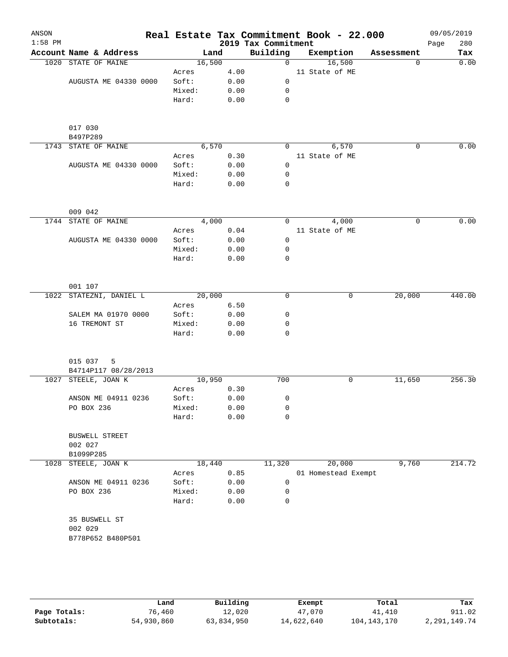| ANSON<br>$1:58$ PM |                         |                 |              | 2019 Tax Commitment | Real Estate Tax Commitment Book - 22.000 |            | 09/05/2019<br>Page<br>280 |
|--------------------|-------------------------|-----------------|--------------|---------------------|------------------------------------------|------------|---------------------------|
|                    | Account Name & Address  | Land            |              | Building            | Exemption                                | Assessment | Tax                       |
| 1020               | STATE OF MAINE          | 16,500          |              | $\Omega$            | 16,500                                   | $\Omega$   | 0.00                      |
|                    |                         | Acres           | 4.00         |                     | 11 State of ME                           |            |                           |
|                    | AUGUSTA ME 04330 0000   | Soft:           | 0.00         | $\mathbf 0$         |                                          |            |                           |
|                    |                         | Mixed:          | 0.00         | 0                   |                                          |            |                           |
|                    |                         | Hard:           | 0.00         | 0                   |                                          |            |                           |
|                    |                         |                 |              |                     |                                          |            |                           |
|                    | 017 030                 |                 |              |                     |                                          |            |                           |
|                    | B497P289                |                 |              |                     |                                          |            |                           |
|                    | 1743 STATE OF MAINE     | 6,570           |              | 0                   | 6,570                                    | 0          | 0.00                      |
|                    |                         | Acres           | 0.30         |                     | 11 State of ME                           |            |                           |
|                    | AUGUSTA ME 04330 0000   | Soft:           | 0.00         | 0                   |                                          |            |                           |
|                    |                         | Mixed:          | 0.00         | 0                   |                                          |            |                           |
|                    |                         | Hard:           | 0.00         | 0                   |                                          |            |                           |
|                    | 009 042                 |                 |              |                     |                                          |            |                           |
|                    | 1744 STATE OF MAINE     | 4,000           |              | $\Omega$            | 4,000                                    | 0          | 0.00                      |
|                    |                         | Acres           | 0.04         |                     | 11 State of ME                           |            |                           |
|                    | AUGUSTA ME 04330 0000   | Soft:           | 0.00         | 0                   |                                          |            |                           |
|                    |                         | Mixed:          | 0.00         | 0                   |                                          |            |                           |
|                    |                         | Hard:           | 0.00         | 0                   |                                          |            |                           |
|                    |                         |                 |              |                     |                                          |            |                           |
|                    | 001 107                 |                 |              |                     |                                          |            |                           |
|                    | 1022 STATEZNI, DANIEL L | 20,000          |              | 0                   | 0                                        | 20,000     | 440.00                    |
|                    |                         | Acres           | 6.50         |                     |                                          |            |                           |
|                    | SALEM MA 01970 0000     | Soft:           | 0.00         | 0                   |                                          |            |                           |
|                    | 16 TREMONT ST           | Mixed:          | 0.00         | 0                   |                                          |            |                           |
|                    |                         | Hard:           | 0.00         | 0                   |                                          |            |                           |
|                    | 015 037<br>5            |                 |              |                     |                                          |            |                           |
|                    | B4714P117 08/28/2013    |                 |              |                     |                                          |            |                           |
| 1027               | STEELE, JOAN K          | 10,950          |              | 700                 | 0                                        | 11,650     | 256.30                    |
|                    |                         | Acres           | 0.30         |                     |                                          |            |                           |
|                    | ANSON ME 04911 0236     | Soft:           | 0.00         | 0                   |                                          |            |                           |
|                    | PO BOX 236              | Mixed:          | 0.00         | 0                   |                                          |            |                           |
|                    |                         | Hard:           | 0.00         | 0                   |                                          |            |                           |
|                    | <b>BUSWELL STREET</b>   |                 |              |                     |                                          |            |                           |
|                    | 002 027                 |                 |              |                     |                                          |            |                           |
|                    | B1099P285               |                 |              |                     |                                          |            |                           |
| 1028               | STEELE, JOAN K          | 18,440          |              | 11,320              | 20,000                                   | 9,760      | 214.72                    |
|                    |                         | Acres           | 0.85         |                     | 01 Homestead Exempt                      |            |                           |
|                    | ANSON ME 04911 0236     | Soft:           | 0.00         | 0                   |                                          |            |                           |
|                    | PO BOX 236              | Mixed:<br>Hard: | 0.00<br>0.00 | 0<br>0              |                                          |            |                           |
|                    | 35 BUSWELL ST           |                 |              |                     |                                          |            |                           |
|                    | 002 029                 |                 |              |                     |                                          |            |                           |
|                    | B778P652 B480P501       |                 |              |                     |                                          |            |                           |
|                    |                         |                 |              |                     |                                          |            |                           |
|                    |                         |                 |              |                     |                                          |            |                           |

|              | Land       | Building   | Exempt     | Total         | Tax             |
|--------------|------------|------------|------------|---------------|-----------------|
| Page Totals: | 76,460     | 12,020     | 47,070     | 41,410        | 911.02          |
| Subtotals:   | 54,930,860 | 63,834,950 | 14,622,640 | 104, 143, 170 | 2, 291, 149. 74 |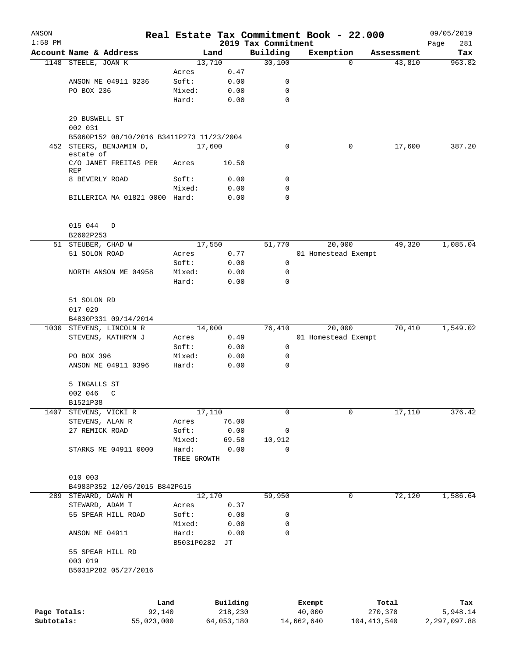| ANSON<br>$1:58$ PM |                                           |                        |              | 2019 Tax Commitment | Real Estate Tax Commitment Book - 22.000 |            | 09/05/2019<br>Page<br>281 |
|--------------------|-------------------------------------------|------------------------|--------------|---------------------|------------------------------------------|------------|---------------------------|
|                    | Account Name & Address                    |                        | Land         | Building            | Exemption                                | Assessment | Tax                       |
|                    | 1148 STEELE, JOAN K                       | 13,710                 |              | 30,100              | $\Omega$                                 | 43,810     | 963.82                    |
|                    |                                           | Acres                  | 0.47         |                     |                                          |            |                           |
|                    | ANSON ME 04911 0236                       | Soft:                  | 0.00         | 0                   |                                          |            |                           |
|                    | PO BOX 236                                | Mixed:                 | 0.00         | 0                   |                                          |            |                           |
|                    |                                           | Hard:                  | 0.00         | 0                   |                                          |            |                           |
|                    | 29 BUSWELL ST<br>002 031                  |                        |              |                     |                                          |            |                           |
|                    | B5060P152 08/10/2016 B3411P273 11/23/2004 |                        |              |                     |                                          |            |                           |
| 452                | STEERS, BENJAMIN D,                       | 17,600                 |              | 0                   | 0                                        | 17,600     | 387.20                    |
|                    | estate of<br>C/O JANET FREITAS PER        | Acres                  | 10.50        |                     |                                          |            |                           |
|                    | REP<br>8 BEVERLY ROAD                     | Soft:                  | 0.00         | 0                   |                                          |            |                           |
|                    |                                           | Mixed:                 | 0.00         | 0                   |                                          |            |                           |
|                    | BILLERICA MA 01821 0000 Hard:             |                        | 0.00         | 0                   |                                          |            |                           |
|                    | 015 044<br>D                              |                        |              |                     |                                          |            |                           |
|                    | B2602P253                                 |                        |              |                     |                                          |            |                           |
|                    | 51 STEUBER, CHAD W                        | 17,550                 |              | 51,770              | 20,000                                   | 49,320     | 1,085.04                  |
|                    | 51 SOLON ROAD                             | Acres                  | 0.77         |                     | 01 Homestead Exempt                      |            |                           |
|                    |                                           | Soft:                  | 0.00         | 0                   |                                          |            |                           |
|                    | NORTH ANSON ME 04958                      | Mixed:                 | 0.00         | 0                   |                                          |            |                           |
|                    |                                           | Hard:                  | 0.00         | 0                   |                                          |            |                           |
|                    | 51 SOLON RD                               |                        |              |                     |                                          |            |                           |
|                    | 017 029                                   |                        |              |                     |                                          |            |                           |
|                    | B4830P331 09/14/2014                      |                        |              |                     |                                          |            |                           |
|                    | 1030 STEVENS, LINCOLN R                   | 14,000                 |              | 76,410              | 20,000                                   | 70,410     | 1,549.02                  |
|                    | STEVENS, KATHRYN J                        | Acres<br>Soft:         | 0.49         | 0                   | 01 Homestead Exempt                      |            |                           |
|                    | PO BOX 396                                | Mixed:                 | 0.00<br>0.00 | 0                   |                                          |            |                           |
|                    | ANSON ME 04911 0396                       | Hard:                  | 0.00         | 0                   |                                          |            |                           |
|                    | 5 INGALLS ST                              |                        |              |                     |                                          |            |                           |
|                    | 002 046<br>$\mathsf{C}$                   |                        |              |                     |                                          |            |                           |
|                    | B1521P38                                  |                        |              |                     |                                          |            |                           |
|                    | 1407 STEVENS, VICKI R                     | 17,110                 |              | 0                   | 0                                        | 17,110     | 376.42                    |
|                    | STEVENS, ALAN R                           | Acres                  | 76.00        |                     |                                          |            |                           |
|                    | 27 REMICK ROAD                            | Soft:                  | 0.00         | 0                   |                                          |            |                           |
|                    |                                           | Mixed:                 | 69.50        | 10,912              |                                          |            |                           |
|                    | STARKS ME 04911 0000                      | Hard:                  | 0.00         | $\Omega$            |                                          |            |                           |
|                    |                                           | TREE GROWTH            |              |                     |                                          |            |                           |
|                    | 010 003                                   |                        |              |                     |                                          |            |                           |
|                    | B4983P352 12/05/2015 B842P615             |                        |              |                     |                                          |            |                           |
|                    | 289 STEWARD, DAWN M                       | 12,170                 |              | 59,950              | 0                                        | 72, 120    | 1,586.64                  |
|                    | STEWARD, ADAM T                           | Acres                  | 0.37         |                     |                                          |            |                           |
|                    | 55 SPEAR HILL ROAD                        | Soft:                  | 0.00         | 0                   |                                          |            |                           |
|                    |                                           | Mixed:                 | 0.00         | 0                   |                                          |            |                           |
|                    | ANSON ME 04911                            | Hard:<br>B5031P0282 JT | 0.00         | 0                   |                                          |            |                           |
|                    | 55 SPEAR HILL RD                          |                        |              |                     |                                          |            |                           |
|                    | 003 019                                   |                        |              |                     |                                          |            |                           |
|                    | B5031P282 05/27/2016                      |                        |              |                     |                                          |            |                           |
|                    |                                           |                        |              |                     |                                          |            |                           |
|                    | Land                                      |                        | Building     |                     | Exempt                                   | Total      | Tax                       |
| Page Totals:       | 92,140                                    |                        | 218,230      |                     | 40,000                                   | 270,370    | 5,948.14                  |

**Subtotals:** 55,023,000 64,053,180 14,662,640 104,413,540 2,297,097.88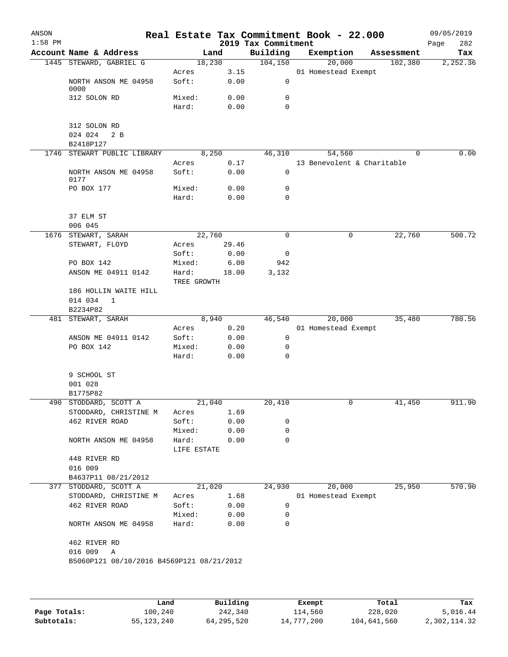| ANSON<br>$1:58$ PM |                                           |                 |              | 2019 Tax Commitment | Real Estate Tax Commitment Book - 22.000 |            | 09/05/2019<br>282<br>Page |
|--------------------|-------------------------------------------|-----------------|--------------|---------------------|------------------------------------------|------------|---------------------------|
|                    | Account Name & Address                    |                 | Land         | Building            | Exemption                                | Assessment | Tax                       |
|                    | 1445 STEWARD, GABRIEL G                   |                 | 18,230       | 104, 150            | 20,000                                   | 102,380    | 2,252.36                  |
|                    |                                           | Acres           | 3.15         |                     | 01 Homestead Exempt                      |            |                           |
|                    | NORTH ANSON ME 04958                      | Soft:           | 0.00         | 0                   |                                          |            |                           |
|                    | 0000                                      |                 |              |                     |                                          |            |                           |
|                    | 312 SOLON RD                              | Mixed:<br>Hard: | 0.00         | 0<br>$\Omega$       |                                          |            |                           |
|                    |                                           |                 | 0.00         |                     |                                          |            |                           |
|                    | 312 SOLON RD                              |                 |              |                     |                                          |            |                           |
|                    | 024 024<br>2 B                            |                 |              |                     |                                          |            |                           |
|                    | B2418P127                                 |                 |              |                     |                                          |            |                           |
|                    | 1746 STEWART PUBLIC LIBRARY               |                 | 8,250        | 46,310              | 54,560                                   | $\Omega$   | 0.00                      |
|                    |                                           | Acres           | 0.17         |                     | 13 Benevolent & Charitable               |            |                           |
|                    | NORTH ANSON ME 04958<br>0177              | Soft:           | 0.00         | 0                   |                                          |            |                           |
|                    | PO BOX 177                                | Mixed:          | 0.00         | 0                   |                                          |            |                           |
|                    |                                           | Hard:           | 0.00         | 0                   |                                          |            |                           |
|                    |                                           |                 |              |                     |                                          |            |                           |
|                    | 37 ELM ST                                 |                 |              |                     |                                          |            |                           |
|                    | 006 045                                   |                 |              |                     |                                          |            |                           |
|                    | 1676 STEWART, SARAH                       |                 | 22,760       | 0                   | 0                                        | 22,760     | 500.72                    |
|                    | STEWART, FLOYD                            | Acres           | 29.46        |                     |                                          |            |                           |
|                    |                                           | Soft:           | 0.00         | 0                   |                                          |            |                           |
|                    | PO BOX 142                                | Mixed:          | 6.00         | 942                 |                                          |            |                           |
|                    | ANSON ME 04911 0142                       | Hard:           | 18.00        | 3,132               |                                          |            |                           |
|                    |                                           | TREE GROWTH     |              |                     |                                          |            |                           |
|                    | 186 HOLLIN WAITE HILL                     |                 |              |                     |                                          |            |                           |
|                    | 014 034<br>1                              |                 |              |                     |                                          |            |                           |
|                    | B2234P82                                  |                 |              |                     |                                          |            |                           |
|                    | 481 STEWART, SARAH                        |                 | 8,940        | 46,540              | 20,000                                   | 35,480     | 780.56                    |
|                    |                                           | Acres           | 0.20         |                     | 01 Homestead Exempt                      |            |                           |
|                    | ANSON ME 04911 0142                       | Soft:           | 0.00         | 0                   |                                          |            |                           |
|                    | PO BOX 142                                | Mixed:          | 0.00         | 0                   |                                          |            |                           |
|                    |                                           | Hard:           | 0.00         | 0                   |                                          |            |                           |
|                    |                                           |                 |              |                     |                                          |            |                           |
|                    | 9 SCHOOL ST                               |                 |              |                     |                                          |            |                           |
|                    | 001 028                                   |                 |              |                     |                                          |            |                           |
|                    | B1775P82                                  |                 |              |                     |                                          |            |                           |
|                    | 490 STODDARD, SCOTT A                     |                 | 21,040       | 20,410              |                                          | 41,450     | 911.90                    |
|                    | STODDARD, CHRISTINE M                     | Acres           | 1.69         |                     |                                          |            |                           |
|                    | 462 RIVER ROAD                            | Soft:           | 0.00         | 0                   |                                          |            |                           |
|                    |                                           | Mixed:          | 0.00         | 0                   |                                          |            |                           |
|                    | NORTH ANSON ME 04958                      | Hard:           | 0.00         | 0                   |                                          |            |                           |
|                    |                                           | LIFE ESTATE     |              |                     |                                          |            |                           |
|                    | 448 RIVER RD                              |                 |              |                     |                                          |            |                           |
|                    | 016 009                                   |                 |              |                     |                                          |            |                           |
|                    | B4637P11 08/21/2012                       |                 |              |                     |                                          |            |                           |
|                    | 377 STODDARD, SCOTT A                     |                 | 21,020       | 24,930              | 20,000                                   | 25,950     | 570.90                    |
|                    | STODDARD, CHRISTINE M                     | Acres           | 1.68         | 0                   | 01 Homestead Exempt                      |            |                           |
|                    | 462 RIVER ROAD                            | Soft:<br>Mixed: | 0.00<br>0.00 | 0                   |                                          |            |                           |
|                    | NORTH ANSON ME 04958                      | Hard:           | 0.00         | 0                   |                                          |            |                           |
|                    |                                           |                 |              |                     |                                          |            |                           |
|                    | 462 RIVER RD                              |                 |              |                     |                                          |            |                           |
|                    | 016 009 A                                 |                 |              |                     |                                          |            |                           |
|                    | B5060P121 08/10/2016 B4569P121 08/21/2012 |                 |              |                     |                                          |            |                           |
|                    |                                           |                 |              |                     |                                          |            |                           |
|                    |                                           |                 |              |                     |                                          |            |                           |
|                    |                                           |                 |              |                     |                                          |            |                           |

|              | Land       | Building   | Exempt     | Total       | Tax          |
|--------------|------------|------------|------------|-------------|--------------|
| Page Totals: | 100,240    | 242,340    | 114,560    | 228,020     | 5,016.44     |
| Subtotals:   | 55,123,240 | 64,295,520 | 14,777,200 | 104,641,560 | 2,302,114.32 |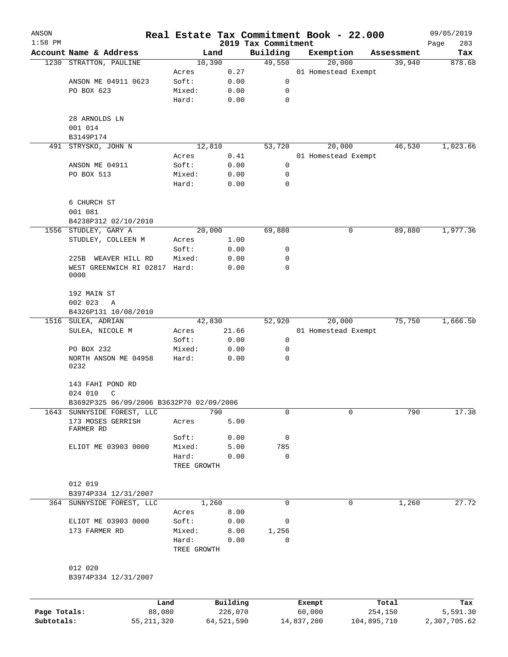| ANSON        |                                                  |                      |                | Real Estate Tax Commitment Book - 22.000 |            |                     |                      | 09/05/2019    |
|--------------|--------------------------------------------------|----------------------|----------------|------------------------------------------|------------|---------------------|----------------------|---------------|
| $1:58$ PM    |                                                  |                      |                | 2019 Tax Commitment                      |            |                     |                      | Page<br>283   |
|              | Account Name & Address<br>1230 STRATTON, PAULINE |                      | Land<br>10,390 | Building<br>49,550                       | Exemption  | 20,000              | Assessment<br>39,940 | Tax<br>878.68 |
|              |                                                  | Acres                | 0.27           |                                          |            | 01 Homestead Exempt |                      |               |
|              | ANSON ME 04911 0623                              | Soft:                | 0.00           | 0                                        |            |                     |                      |               |
|              | PO BOX 623                                       | Mixed:               | 0.00           | 0                                        |            |                     |                      |               |
|              |                                                  | Hard:                | 0.00           | $\mathbf 0$                              |            |                     |                      |               |
|              | 28 ARNOLDS LN                                    |                      |                |                                          |            |                     |                      |               |
|              | 001 014                                          |                      |                |                                          |            |                     |                      |               |
|              | B3149P174                                        |                      |                |                                          |            |                     |                      |               |
| 491          | STRYSKO, JOHN N                                  |                      | 12,810         | 53,720                                   |            | 20,000              | 46,530               | 1,023.66      |
|              |                                                  | Acres                | 0.41           |                                          |            | 01 Homestead Exempt |                      |               |
|              | ANSON ME 04911                                   | Soft:                | 0.00           | 0                                        |            |                     |                      |               |
|              | PO BOX 513                                       | Mixed:<br>Hard:      | 0.00<br>0.00   | 0<br>0                                   |            |                     |                      |               |
|              | 6 CHURCH ST                                      |                      |                |                                          |            |                     |                      |               |
|              | 001 081                                          |                      |                |                                          |            |                     |                      |               |
|              | B4238P312 02/10/2010                             |                      |                |                                          |            |                     |                      |               |
|              | 1556 STUDLEY, GARY A                             |                      | 20,000         | 69,880                                   |            | 0                   | 89,880               | 1,977.36      |
|              | STUDLEY, COLLEEN M                               | Acres                | 1.00           |                                          |            |                     |                      |               |
|              |                                                  | Soft:                | 0.00           | 0                                        |            |                     |                      |               |
|              | 225B<br>WEAVER HILL RD                           | Mixed:               | 0.00           | 0                                        |            |                     |                      |               |
|              | WEST GREENWICH RI 02817 Hard:<br>0000            |                      | 0.00           | 0                                        |            |                     |                      |               |
|              | 192 MAIN ST                                      |                      |                |                                          |            |                     |                      |               |
|              | 002 023<br>Α                                     |                      |                |                                          |            |                     |                      |               |
|              | B4326P131 10/08/2010                             |                      |                |                                          |            |                     |                      |               |
| 1516         | SULEA, ADRIAN                                    |                      | 42,830         | 52,920                                   |            | 20,000              | 75,750               | 1,666.50      |
|              | SULEA, NICOLE M                                  | Acres                | 21.66          |                                          |            | 01 Homestead Exempt |                      |               |
|              |                                                  | Soft:                | 0.00           | 0                                        |            |                     |                      |               |
|              | PO BOX 232                                       | Mixed:               | 0.00           | 0                                        |            |                     |                      |               |
|              | NORTH ANSON ME 04958<br>0232                     | Hard:                | 0.00           | 0                                        |            |                     |                      |               |
|              | 143 FAHI POND RD                                 |                      |                |                                          |            |                     |                      |               |
|              | 024 010<br>C                                     |                      |                |                                          |            |                     |                      |               |
|              | B3692P325 06/09/2006 B3632P70 02/09/2006         |                      |                |                                          |            |                     |                      |               |
| 1643         | SUNNYSIDE FOREST, LLC<br>173 MOSES GERRISH       |                      | 790            | $\mathbf 0$                              |            | $\mathbf 0$         | 790                  | 17.38         |
|              | FARMER RD                                        | Acres                | 5.00           |                                          |            |                     |                      |               |
|              |                                                  | Soft:                | 0.00           | 0                                        |            |                     |                      |               |
|              | ELIOT ME 03903 0000                              | Mixed:               | 5.00           | 785                                      |            |                     |                      |               |
|              |                                                  | Hard:                | 0.00           | $\mathbf 0$                              |            |                     |                      |               |
|              |                                                  | TREE GROWTH          |                |                                          |            |                     |                      |               |
|              | 012 019                                          |                      |                |                                          |            |                     |                      |               |
|              | B3974P334 12/31/2007                             |                      |                |                                          |            |                     |                      |               |
|              | 364 SUNNYSIDE FOREST, LLC                        |                      | 1,260          | $\mathbf 0$                              |            | 0                   | 1,260                | 27.72         |
|              |                                                  | Acres                | 8.00           |                                          |            |                     |                      |               |
|              | ELIOT ME 03903 0000                              | Soft:                | 0.00           | 0                                        |            |                     |                      |               |
|              | 173 FARMER RD                                    | Mixed:               | 8.00           | 1,256                                    |            |                     |                      |               |
|              |                                                  | Hard:<br>TREE GROWTH | 0.00           | $\Omega$                                 |            |                     |                      |               |
|              | 012 020                                          |                      |                |                                          |            |                     |                      |               |
|              | B3974P334 12/31/2007                             |                      |                |                                          |            |                     |                      |               |
|              |                                                  | Land                 | Building       |                                          | Exempt     |                     | Total                | Tax           |
| Page Totals: |                                                  | 88,080               | 226,070        |                                          | 60,000     |                     | 254,150              | 5,591.30      |
| Subtotals:   | 55, 211, 320                                     |                      | 64,521,590     |                                          | 14,837,200 |                     | 104,895,710          | 2,307,705.62  |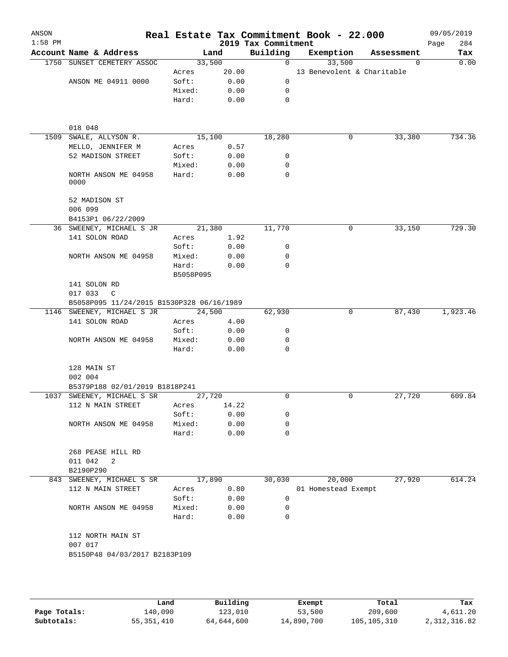| ANSON<br>$1:58$ PM |                                           |                 |              | 2019 Tax Commitment | Real Estate Tax Commitment Book - 22.000 |              | 09/05/2019<br>284<br>Page |
|--------------------|-------------------------------------------|-----------------|--------------|---------------------|------------------------------------------|--------------|---------------------------|
|                    | Account Name & Address                    |                 | Land         | Building            | Exemption                                | Assessment   | Tax                       |
|                    | 1750 SUNSET CEMETERY ASSOC                | 33,500          |              | $\overline{0}$      | 33,500                                   | $\mathbf{0}$ | 0.00                      |
|                    |                                           | Acres           | 20.00        |                     | 13 Benevolent & Charitable               |              |                           |
|                    | ANSON ME 04911 0000                       | Soft:           | 0.00         | 0                   |                                          |              |                           |
|                    |                                           | Mixed:          | 0.00         | 0                   |                                          |              |                           |
|                    |                                           | Hard:           | 0.00         | 0                   |                                          |              |                           |
|                    | 018 048                                   |                 |              |                     |                                          |              |                           |
| 1509               | SWALE, ALLYSON R.                         | 15,100          |              | 18,280              | 0                                        | 33,380       | 734.36                    |
|                    | MELLO, JENNIFER M                         | Acres           | 0.57         |                     |                                          |              |                           |
|                    | 52 MADISON STREET                         | Soft:           | 0.00         | 0                   |                                          |              |                           |
|                    |                                           | Mixed:          | 0.00         | 0                   |                                          |              |                           |
|                    | NORTH ANSON ME 04958<br>0000              | Hard:           | 0.00         | $\mathbf 0$         |                                          |              |                           |
|                    | 52 MADISON ST                             |                 |              |                     |                                          |              |                           |
|                    | 006 099<br>B4153P1 06/22/2009             |                 |              |                     |                                          |              |                           |
|                    | 36 SWEENEY, MICHAEL S JR                  | 21,380          |              | 11,770              | 0                                        | 33,150       | 729.30                    |
|                    | 141 SOLON ROAD                            | Acres           | 1.92         |                     |                                          |              |                           |
|                    |                                           | Soft:           | 0.00         | 0                   |                                          |              |                           |
|                    | NORTH ANSON ME 04958                      | Mixed:          | 0.00         | 0                   |                                          |              |                           |
|                    |                                           | Hard:           | 0.00         | 0                   |                                          |              |                           |
|                    |                                           | B5058P095       |              |                     |                                          |              |                           |
|                    | 141 SOLON RD                              |                 |              |                     |                                          |              |                           |
|                    | 017 033<br>$\mathbb{C}$                   |                 |              |                     |                                          |              |                           |
|                    | B5058P095 11/24/2015 B1530P328 06/16/1989 |                 |              |                     |                                          |              |                           |
|                    | 1146 SWEENEY, MICHAEL S JR                | 24,500          |              | 62,930              | 0                                        | 87,430       | 1,923.46                  |
|                    | 141 SOLON ROAD                            | Acres           | 4.00         |                     |                                          |              |                           |
|                    |                                           | Soft:           | 0.00         | 0                   |                                          |              |                           |
|                    | NORTH ANSON ME 04958                      | Mixed:          | 0.00         | 0                   |                                          |              |                           |
|                    |                                           | Hard:           | 0.00         | $\mathbf 0$         |                                          |              |                           |
|                    | 128 MAIN ST<br>002 004                    |                 |              |                     |                                          |              |                           |
|                    | B5379P188 02/01/2019 B1818P241            |                 |              |                     |                                          |              |                           |
|                    | 1037 SWEENEY, MICHAEL S SR                | 27,720          |              | $\mathbf 0$         | 0                                        | 27,720       | 609.84                    |
|                    | 112 N MAIN STREET                         | Acres           | 14.22        |                     |                                          |              |                           |
|                    |                                           | Soft:           | 0.00         | 0                   |                                          |              |                           |
|                    | NORTH ANSON ME 04958                      | Mixed:          | 0.00         | 0                   |                                          |              |                           |
|                    |                                           | Hard:           | 0.00         | 0                   |                                          |              |                           |
|                    | 268 PEASE HILL RD<br>011 042<br>2         |                 |              |                     |                                          |              |                           |
|                    | B2190P290                                 |                 |              |                     |                                          |              |                           |
|                    | 843 SWEENEY, MICHAEL S SR                 | 17,890          |              | 30,030              | 20,000                                   | 27,920       | 614.24                    |
|                    | 112 N MAIN STREET                         | Acres           | 0.80         |                     | 01 Homestead Exempt                      |              |                           |
|                    |                                           | Soft:           | 0.00         | 0                   |                                          |              |                           |
|                    | NORTH ANSON ME 04958                      | Mixed:<br>Hard: | 0.00<br>0.00 | 0<br>0              |                                          |              |                           |
|                    | 112 NORTH MAIN ST<br>007 017              |                 |              |                     |                                          |              |                           |
|                    | B5150P48 04/03/2017 B2183P109             |                 |              |                     |                                          |              |                           |
|                    |                                           |                 |              |                     |                                          |              |                           |
|                    |                                           |                 |              |                     |                                          |              |                           |
|                    |                                           |                 |              |                     |                                          |              |                           |

|              | Land       | Building   | Exempt     | Total       | Tax          |
|--------------|------------|------------|------------|-------------|--------------|
| Page Totals: | 140,090    | 123,010    | 53,500     | 209,600     | 4,611.20     |
| Subtotals:   | 55,351,410 | 64,644,600 | 14,890,700 | 105,105,310 | 2,312,316.82 |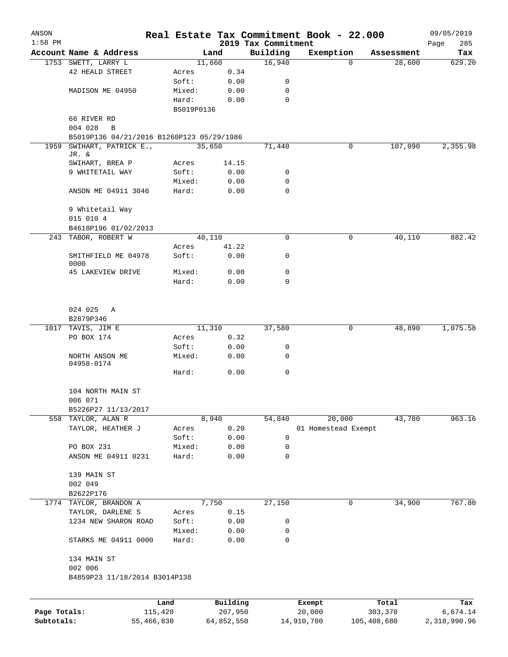| ANSON        |                                           |            |            |            |                     | Real Estate Tax Commitment Book - 22.000 |             | 09/05/2019          |
|--------------|-------------------------------------------|------------|------------|------------|---------------------|------------------------------------------|-------------|---------------------|
| $1:58$ PM    |                                           |            |            |            | 2019 Tax Commitment |                                          |             | 285<br>Page         |
|              | Account Name & Address                    |            |            | Land       | Building            | Exemption                                | Assessment  | Tax                 |
|              | 1753 SWETT, LARRY L                       |            |            | 11,660     | 16,940              |                                          | $\Omega$    | 28,600<br>629.20    |
|              | <b>42 HEALD STREET</b>                    |            | Acres      | 0.34       |                     |                                          |             |                     |
|              |                                           |            | Soft:      | 0.00       | 0                   |                                          |             |                     |
|              | MADISON ME 04950                          |            | Mixed:     | 0.00       | 0                   |                                          |             |                     |
|              |                                           |            | Hard:      | 0.00       | $\mathbf 0$         |                                          |             |                     |
|              |                                           |            | B5019P0136 |            |                     |                                          |             |                     |
|              | 66 RIVER RD                               |            |            |            |                     |                                          |             |                     |
|              | 004 028<br>B                              |            |            |            |                     |                                          |             |                     |
|              | B5019P136 04/21/2016 B1260P123 05/29/1986 |            |            |            |                     |                                          |             |                     |
| 1959         | SWIHART, PATRICK E.,<br>JR. &             |            |            | 35,650     | 71,440              |                                          | 0           | 107,090<br>2,355.98 |
|              | SWIHART, BREA P                           |            | Acres      | 14.15      |                     |                                          |             |                     |
|              | 9 WHITETAIL WAY                           |            | Soft:      | 0.00       | 0                   |                                          |             |                     |
|              |                                           |            | Mixed:     | 0.00       | 0                   |                                          |             |                     |
|              | ANSON ME 04911 3046                       |            | Hard:      | 0.00       | 0                   |                                          |             |                     |
|              |                                           |            |            |            |                     |                                          |             |                     |
|              | 9 Whitetail Way                           |            |            |            |                     |                                          |             |                     |
|              | 015 010 4                                 |            |            |            |                     |                                          |             |                     |
|              | B4618P196 01/02/2013                      |            |            |            |                     |                                          |             |                     |
|              | 243 TABOR, ROBERT W                       |            |            | 40,110     | $\mathbf 0$         |                                          | 0           | 882.42<br>40,110    |
|              |                                           |            | Acres      | 41.22      |                     |                                          |             |                     |
|              | SMITHFIELD ME 04978                       |            | Soft:      | 0.00       | 0                   |                                          |             |                     |
|              | 0000                                      |            |            |            |                     |                                          |             |                     |
|              | 45 LAKEVIEW DRIVE                         |            | Mixed:     | 0.00       | 0                   |                                          |             |                     |
|              |                                           |            | Hard:      | 0.00       | 0                   |                                          |             |                     |
|              |                                           |            |            |            |                     |                                          |             |                     |
|              |                                           |            |            |            |                     |                                          |             |                     |
|              | 024 025<br>A                              |            |            |            |                     |                                          |             |                     |
|              | B2879P346                                 |            |            |            |                     |                                          |             |                     |
|              | 1017 TAVIS, JIM E                         |            |            | 11,310     | 37,580              |                                          | 0           | 48,890<br>1,075.58  |
|              | PO BOX 174                                |            | Acres      | 0.32       |                     |                                          |             |                     |
|              |                                           |            | Soft:      | 0.00       | 0                   |                                          |             |                     |
|              | NORTH ANSON ME                            |            | Mixed:     | 0.00       | 0                   |                                          |             |                     |
|              | 04958-0174                                |            |            |            |                     |                                          |             |                     |
|              |                                           |            | Hard:      | 0.00       | $\mathbf 0$         |                                          |             |                     |
|              |                                           |            |            |            |                     |                                          |             |                     |
|              | 104 NORTH MAIN ST                         |            |            |            |                     |                                          |             |                     |
|              | 006 071                                   |            |            |            |                     |                                          |             |                     |
|              | B5226P27 11/13/2017                       |            |            |            |                     |                                          |             |                     |
|              | 558 TAYLOR, ALAN R                        |            |            | 8,940      | 54,840              | 20,000                                   |             | 43,780<br>963.16    |
|              | TAYLOR, HEATHER J                         |            | Acres      | 0.20       |                     | 01 Homestead Exempt                      |             |                     |
|              |                                           |            | Soft:      | 0.00       | 0                   |                                          |             |                     |
|              | PO BOX 231                                |            | Mixed:     | 0.00       | 0                   |                                          |             |                     |
|              | ANSON ME 04911 0231                       |            | Hard:      | 0.00       | 0                   |                                          |             |                     |
|              |                                           |            |            |            |                     |                                          |             |                     |
|              | 139 MAIN ST                               |            |            |            |                     |                                          |             |                     |
|              | 002 049                                   |            |            |            |                     |                                          |             |                     |
|              | B2622P176                                 |            |            |            |                     |                                          |             |                     |
|              | 1774 TAYLOR, BRANDON A                    |            |            | 7,750      | 27,150              |                                          | 0           | 34,900<br>767.80    |
|              | TAYLOR, DARLENE S                         |            | Acres      | 0.15       |                     |                                          |             |                     |
|              | 1234 NEW SHARON ROAD                      |            | Soft:      | 0.00       | 0                   |                                          |             |                     |
|              |                                           |            | Mixed:     | 0.00       | 0                   |                                          |             |                     |
|              | STARKS ME 04911 0000                      |            | Hard:      | 0.00       | 0                   |                                          |             |                     |
|              |                                           |            |            |            |                     |                                          |             |                     |
|              | 134 MAIN ST                               |            |            |            |                     |                                          |             |                     |
|              | 002 006                                   |            |            |            |                     |                                          |             |                     |
|              | B4859P23 11/18/2014 B3014P138             |            |            |            |                     |                                          |             |                     |
|              |                                           |            |            |            |                     |                                          |             |                     |
|              |                                           | Land       |            | Building   |                     | Exempt                                   | Total       | Tax                 |
| Page Totals: |                                           | 115,420    |            | 207,950    |                     | 20,000                                   | 303,370     | 6,674.14            |
| Subtotals:   |                                           | 55,466,830 |            | 64,852,550 |                     | 14,910,700                               | 105,408,680 | 2,318,990.96        |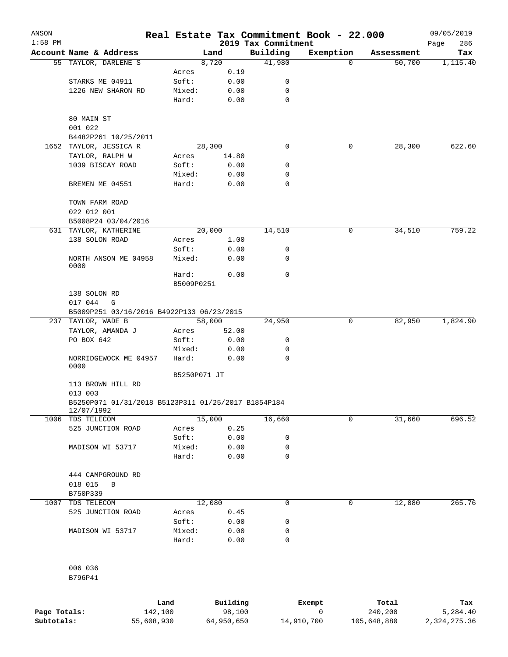| ANSON<br>$1:58$ PM |                                                                 |              |          |                                 | Real Estate Tax Commitment Book - 22.000 |            | 09/05/2019         |
|--------------------|-----------------------------------------------------------------|--------------|----------|---------------------------------|------------------------------------------|------------|--------------------|
|                    | Account Name & Address                                          |              | Land     | 2019 Tax Commitment<br>Building | Exemption                                | Assessment | 286<br>Page<br>Tax |
|                    | 55 TAYLOR, DARLENE S                                            |              | 8,720    | 41,980                          | 0                                        | 50,700     | 1,115.40           |
|                    |                                                                 | Acres        | 0.19     |                                 |                                          |            |                    |
|                    | STARKS ME 04911                                                 | Soft:        | 0.00     | 0                               |                                          |            |                    |
|                    | 1226 NEW SHARON RD                                              | Mixed:       | 0.00     | 0                               |                                          |            |                    |
|                    |                                                                 | Hard:        | 0.00     | 0                               |                                          |            |                    |
|                    | 80 MAIN ST                                                      |              |          |                                 |                                          |            |                    |
|                    | 001 022                                                         |              |          |                                 |                                          |            |                    |
|                    | B4482P261 10/25/2011                                            |              |          |                                 |                                          |            |                    |
|                    | 1652 TAYLOR, JESSICA R                                          |              | 28, 300  | 0                               | 0                                        | 28,300     | 622.60             |
|                    | TAYLOR, RALPH W                                                 | Acres        | 14.80    |                                 |                                          |            |                    |
|                    | 1039 BISCAY ROAD                                                | Soft:        | 0.00     | 0                               |                                          |            |                    |
|                    |                                                                 | Mixed:       | 0.00     | 0                               |                                          |            |                    |
|                    | BREMEN ME 04551                                                 | Hard:        | 0.00     | 0                               |                                          |            |                    |
|                    | TOWN FARM ROAD                                                  |              |          |                                 |                                          |            |                    |
|                    | 022 012 001                                                     |              |          |                                 |                                          |            |                    |
|                    | B5008P24 03/04/2016                                             |              |          |                                 |                                          |            |                    |
|                    | 631 TAYLOR, KATHERINE                                           |              | 20,000   | 14,510                          | 0                                        | 34,510     | 759.22             |
|                    | 138 SOLON ROAD                                                  | Acres        | 1.00     |                                 |                                          |            |                    |
|                    |                                                                 | Soft:        | 0.00     | 0                               |                                          |            |                    |
|                    | NORTH ANSON ME 04958<br>0000                                    | Mixed:       | 0.00     | 0                               |                                          |            |                    |
|                    |                                                                 | Hard:        | 0.00     | 0                               |                                          |            |                    |
|                    |                                                                 | B5009P0251   |          |                                 |                                          |            |                    |
|                    | 138 SOLON RD                                                    |              |          |                                 |                                          |            |                    |
|                    | 017 044<br>G                                                    |              |          |                                 |                                          |            |                    |
|                    | B5009P251 03/16/2016 B4922P133 06/23/2015<br>237 TAYLOR, WADE B |              |          |                                 |                                          |            |                    |
|                    |                                                                 |              | 58,000   | 24,950                          | 0                                        | 82,950     | 1,824.90           |
|                    | TAYLOR, AMANDA J                                                | Acres        | 52.00    |                                 |                                          |            |                    |
|                    | PO BOX 642                                                      | Soft:        | 0.00     | 0                               |                                          |            |                    |
|                    |                                                                 | Mixed:       | 0.00     | 0<br>0                          |                                          |            |                    |
|                    | NORRIDGEWOCK ME 04957<br>0000                                   | Hard:        | 0.00     |                                 |                                          |            |                    |
|                    |                                                                 | B5250P071 JT |          |                                 |                                          |            |                    |
|                    | 113 BROWN HILL RD                                               |              |          |                                 |                                          |            |                    |
|                    | 013 003                                                         |              |          |                                 |                                          |            |                    |
|                    | B5250P071 01/31/2018 B5123P311 01/25/2017 B1854P184             |              |          |                                 |                                          |            |                    |
|                    | 12/07/1992<br>1006 TDS TELECOM                                  |              | 15,000   | 16,660                          | 0                                        | 31,660     | 696.52             |
|                    | 525 JUNCTION ROAD                                               | Acres        | 0.25     |                                 |                                          |            |                    |
|                    |                                                                 | Soft:        | 0.00     | 0                               |                                          |            |                    |
|                    | MADISON WI 53717                                                | Mixed:       | 0.00     | 0                               |                                          |            |                    |
|                    |                                                                 | Hard:        | 0.00     | 0                               |                                          |            |                    |
|                    | 444 CAMPGROUND RD                                               |              |          |                                 |                                          |            |                    |
|                    | 018 015<br>В                                                    |              |          |                                 |                                          |            |                    |
|                    | B750P339                                                        |              |          |                                 |                                          |            |                    |
| 1007               | TDS TELECOM                                                     |              | 12,080   | 0                               | 0                                        | 12,080     | 265.76             |
|                    | 525 JUNCTION ROAD                                               | Acres        | 0.45     |                                 |                                          |            |                    |
|                    |                                                                 | Soft:        | 0.00     | 0                               |                                          |            |                    |
|                    | MADISON WI 53717                                                | Mixed:       | 0.00     | 0                               |                                          |            |                    |
|                    |                                                                 | Hard:        | 0.00     | 0                               |                                          |            |                    |
|                    |                                                                 |              |          |                                 |                                          |            |                    |
|                    | 006 036                                                         |              |          |                                 |                                          |            |                    |
|                    | B796P41                                                         |              |          |                                 |                                          |            |                    |
|                    |                                                                 | Land         | Building |                                 | Exempt                                   | Total      | Tax                |
| Page Totals:       | 142,100                                                         |              | 98,100   |                                 | 0                                        | 240,200    | 5,284.40           |

**Subtotals:** 55,608,930 64,950,650 14,910,700 105,648,880 2,324,275.36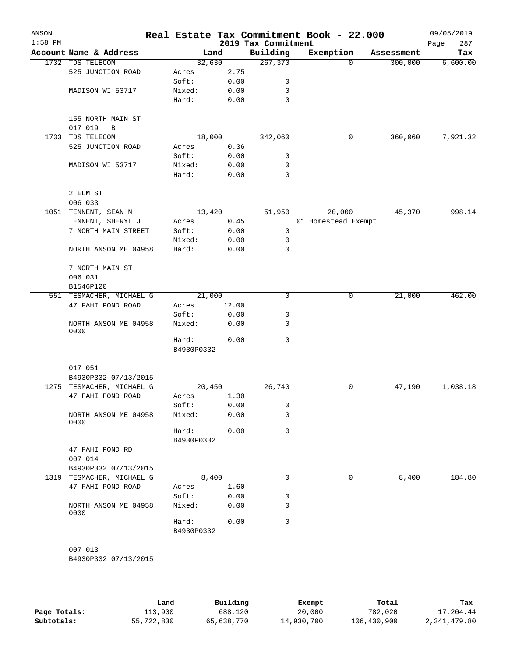| $1:58$ PM<br>2019 Tax Commitment<br>Building<br>Account Name & Address<br>Land<br>267,370<br>1732 TDS TELECOM<br>32,630<br>525 JUNCTION ROAD<br>2.75<br>Acres<br>Soft:<br>0.00<br>0<br>MADISON WI 53717<br>Mixed:<br>0.00<br>0<br>$\mathbf 0$<br>Hard:<br>0.00<br>155 NORTH MAIN ST<br>017 019<br>B<br>1733<br>TDS TELECOM<br>18,000<br>342,060<br>525 JUNCTION ROAD<br>0.36<br>Acres | Exemption           |            |                    |
|---------------------------------------------------------------------------------------------------------------------------------------------------------------------------------------------------------------------------------------------------------------------------------------------------------------------------------------------------------------------------------------|---------------------|------------|--------------------|
|                                                                                                                                                                                                                                                                                                                                                                                       |                     | Assessment | 287<br>Page<br>Tax |
|                                                                                                                                                                                                                                                                                                                                                                                       | $\Omega$            | 300,000    | 6,600.00           |
|                                                                                                                                                                                                                                                                                                                                                                                       |                     |            |                    |
|                                                                                                                                                                                                                                                                                                                                                                                       |                     |            |                    |
|                                                                                                                                                                                                                                                                                                                                                                                       |                     |            |                    |
|                                                                                                                                                                                                                                                                                                                                                                                       |                     |            |                    |
|                                                                                                                                                                                                                                                                                                                                                                                       |                     |            |                    |
|                                                                                                                                                                                                                                                                                                                                                                                       |                     |            |                    |
|                                                                                                                                                                                                                                                                                                                                                                                       | 0                   | 360,060    | 7,921.32           |
|                                                                                                                                                                                                                                                                                                                                                                                       |                     |            |                    |
| Soft:<br>0.00<br>0                                                                                                                                                                                                                                                                                                                                                                    |                     |            |                    |
| MADISON WI 53717<br>Mixed:<br>0.00<br>0                                                                                                                                                                                                                                                                                                                                               |                     |            |                    |
| Hard:<br>0.00<br>0                                                                                                                                                                                                                                                                                                                                                                    |                     |            |                    |
| 2 ELM ST                                                                                                                                                                                                                                                                                                                                                                              |                     |            |                    |
| 006 033                                                                                                                                                                                                                                                                                                                                                                               |                     |            |                    |
| 1051<br>TENNENT, SEAN N<br>13,420<br>51,950                                                                                                                                                                                                                                                                                                                                           | 20,000              | 45,370     | 998.14             |
| TENNENT, SHERYL J<br>0.45<br>Acres                                                                                                                                                                                                                                                                                                                                                    | 01 Homestead Exempt |            |                    |
| $\mathbf 0$<br>7 NORTH MAIN STREET<br>Soft:<br>0.00                                                                                                                                                                                                                                                                                                                                   |                     |            |                    |
| Mixed:<br>0.00<br>0                                                                                                                                                                                                                                                                                                                                                                   |                     |            |                    |
| $\mathbf 0$<br>NORTH ANSON ME 04958<br>Hard:<br>0.00                                                                                                                                                                                                                                                                                                                                  |                     |            |                    |
|                                                                                                                                                                                                                                                                                                                                                                                       |                     |            |                    |
| 7 NORTH MAIN ST                                                                                                                                                                                                                                                                                                                                                                       |                     |            |                    |
| 006 031                                                                                                                                                                                                                                                                                                                                                                               |                     |            |                    |
| B1546P120                                                                                                                                                                                                                                                                                                                                                                             |                     |            |                    |
| 21,000<br>$\mathbf 0$<br>551 TESMACHER, MICHAEL G                                                                                                                                                                                                                                                                                                                                     | 0                   | 21,000     | 462.00             |
| 47 FAHI POND ROAD<br>12.00<br>Acres                                                                                                                                                                                                                                                                                                                                                   |                     |            |                    |
| Soft:<br>0.00<br>0                                                                                                                                                                                                                                                                                                                                                                    |                     |            |                    |
| NORTH ANSON ME 04958<br>Mixed:<br>0.00<br>0<br>0000                                                                                                                                                                                                                                                                                                                                   |                     |            |                    |
| $\mathbf 0$<br>Hard:<br>0.00<br>B4930P0332                                                                                                                                                                                                                                                                                                                                            |                     |            |                    |
| 017 051                                                                                                                                                                                                                                                                                                                                                                               |                     |            |                    |
| B4930P332 07/13/2015                                                                                                                                                                                                                                                                                                                                                                  |                     |            |                    |
| 26,740<br>20,450<br>1275 TESMACHER, MICHAEL G                                                                                                                                                                                                                                                                                                                                         | 0                   | 47,190     | 1,038.18           |
| 47 FAHI POND ROAD<br>1.30<br>Acres                                                                                                                                                                                                                                                                                                                                                    |                     |            |                    |
| 0.00<br>0<br>Soft:                                                                                                                                                                                                                                                                                                                                                                    |                     |            |                    |
| Mixed:<br>0.00<br>0<br>NORTH ANSON ME 04958                                                                                                                                                                                                                                                                                                                                           |                     |            |                    |
| 0000<br>$\mathbf 0$<br>Hard:<br>0.00                                                                                                                                                                                                                                                                                                                                                  |                     |            |                    |
| B4930P0332                                                                                                                                                                                                                                                                                                                                                                            |                     |            |                    |
| 47 FAHI POND RD                                                                                                                                                                                                                                                                                                                                                                       |                     |            |                    |
| 007 014                                                                                                                                                                                                                                                                                                                                                                               |                     |            |                    |
| B4930P332 07/13/2015                                                                                                                                                                                                                                                                                                                                                                  |                     |            |                    |
| $\mathbf 0$<br>1319 TESMACHER, MICHAEL G<br>8,400                                                                                                                                                                                                                                                                                                                                     | 0                   | 8,400      | 184.80             |
|                                                                                                                                                                                                                                                                                                                                                                                       |                     |            |                    |
| 47 FAHI POND ROAD<br>1.60<br>Acres                                                                                                                                                                                                                                                                                                                                                    |                     |            |                    |
| Soft:<br>0.00<br>0                                                                                                                                                                                                                                                                                                                                                                    |                     |            |                    |
| NORTH ANSON ME 04958<br>Mixed:<br>0.00<br>0<br>0000                                                                                                                                                                                                                                                                                                                                   |                     |            |                    |
| $\mathbf 0$<br>Hard:<br>0.00<br>B4930P0332                                                                                                                                                                                                                                                                                                                                            |                     |            |                    |
| 007 013                                                                                                                                                                                                                                                                                                                                                                               |                     |            |                    |
| B4930P332 07/13/2015                                                                                                                                                                                                                                                                                                                                                                  |                     |            |                    |
|                                                                                                                                                                                                                                                                                                                                                                                       |                     |            |                    |

|              | Land       | Building   | Exempt     | Total       | Tax          |
|--------------|------------|------------|------------|-------------|--------------|
| Page Totals: | 113,900    | 688,120    | 20,000     | 782,020     | 17,204.44    |
| Subtotals:   | 55,722,830 | 65,638,770 | 14,930,700 | 106,430,900 | 2,341,479.80 |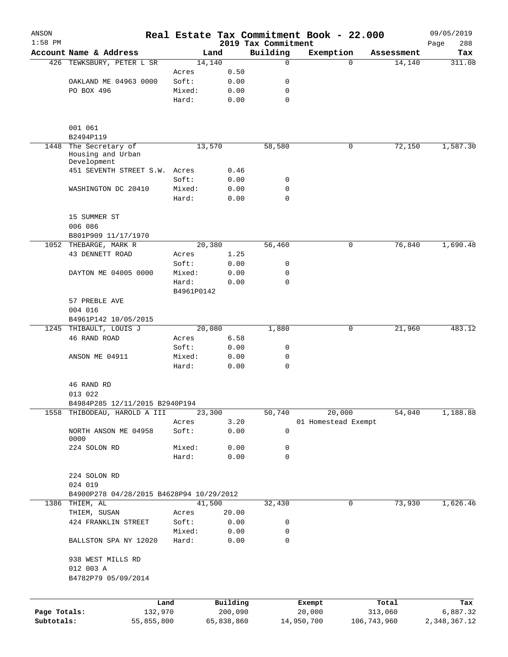| ANSON<br>$1:58$ PM |                                                      |                 |                     | 2019 Tax Commitment | Real Estate Tax Commitment Book - 22.000 |                  | 09/05/2019<br>288<br>Page |
|--------------------|------------------------------------------------------|-----------------|---------------------|---------------------|------------------------------------------|------------------|---------------------------|
|                    | Account Name & Address                               |                 | Land                | Building            | Exemption                                | Assessment       | Tax                       |
|                    | 426 TEWKSBURY, PETER L SR                            |                 | 14,140              | $\mathbf 0$         | $\Omega$                                 | 14,140           | 311.08                    |
|                    |                                                      | Acres           | 0.50                |                     |                                          |                  |                           |
|                    | OAKLAND ME 04963 0000                                | Soft:           | 0.00                | 0                   |                                          |                  |                           |
|                    | PO BOX 496                                           | Mixed:          | 0.00                | 0                   |                                          |                  |                           |
|                    |                                                      | Hard:           | 0.00                | $\mathbf 0$         |                                          |                  |                           |
|                    | 001 061                                              |                 |                     |                     |                                          |                  |                           |
|                    | B2494P119                                            |                 |                     |                     |                                          |                  |                           |
| 1448               | The Secretary of<br>Housing and Urban<br>Development |                 | 13,570              | 58,580              | 0                                        | 72,150           | 1,587.30                  |
|                    | 451 SEVENTH STREET S.W. Acres                        |                 | 0.46                |                     |                                          |                  |                           |
|                    |                                                      | Soft:           | 0.00                | 0                   |                                          |                  |                           |
|                    | WASHINGTON DC 20410                                  | Mixed:          | 0.00                | 0                   |                                          |                  |                           |
|                    |                                                      | Hard:           | 0.00                | $\mathbf 0$         |                                          |                  |                           |
|                    | 15 SUMMER ST                                         |                 |                     |                     |                                          |                  |                           |
|                    | 006 086                                              |                 |                     |                     |                                          |                  |                           |
|                    | B801P909 11/17/1970                                  |                 |                     |                     |                                          |                  |                           |
|                    | 1052 THEBARGE, MARK R                                |                 | 20,380              | 56,460              | 0                                        | 76,840           | 1,690.48                  |
|                    | 43 DENNETT ROAD                                      | Acres           | 1.25                |                     |                                          |                  |                           |
|                    |                                                      | Soft:           | 0.00                | 0                   |                                          |                  |                           |
|                    | DAYTON ME 04005 0000                                 | Mixed:          | 0.00                | 0                   |                                          |                  |                           |
|                    |                                                      | Hard:           | 0.00                | 0                   |                                          |                  |                           |
|                    |                                                      | B4961P0142      |                     |                     |                                          |                  |                           |
|                    | 57 PREBLE AVE                                        |                 |                     |                     |                                          |                  |                           |
|                    | 004 016                                              |                 |                     |                     |                                          |                  |                           |
|                    | B4961P142 10/05/2015<br>1245 THIBAULT, LOUIS J       |                 | 20,080              | 1,880               | 0                                        | 21,960           | 483.12                    |
|                    | 46 RAND ROAD                                         | Acres           | 6.58                |                     |                                          |                  |                           |
|                    |                                                      | Soft:           | 0.00                | 0                   |                                          |                  |                           |
|                    | ANSON ME 04911                                       | Mixed:          | 0.00                | 0                   |                                          |                  |                           |
|                    |                                                      | Hard:           | 0.00                | 0                   |                                          |                  |                           |
|                    | 46 RAND RD<br>013 022                                |                 |                     |                     |                                          |                  |                           |
|                    | B4984P285 12/11/2015 B2940P194                       |                 |                     |                     |                                          |                  |                           |
| 1558               | THIBODEAU, HAROLD A III                              |                 | 23,300              | 50,740              | 20,000                                   | 54,040           | 1,188.88                  |
|                    |                                                      | Acres           | 3.20                |                     | 01 Homestead Exempt                      |                  |                           |
|                    | NORTH ANSON ME 04958<br>0000                         | Soft:           | 0.00                | $\mathbf 0$         |                                          |                  |                           |
|                    | 224 SOLON RD                                         | Mixed:          | 0.00                | 0                   |                                          |                  |                           |
|                    |                                                      | Hard:           | 0.00                | 0                   |                                          |                  |                           |
|                    | 224 SOLON RD                                         |                 |                     |                     |                                          |                  |                           |
|                    | 024 019                                              |                 |                     |                     |                                          |                  |                           |
|                    | B4900P278 04/28/2015 B4628P94 10/29/2012             |                 |                     |                     |                                          |                  |                           |
|                    | 1386 THIEM, AL                                       |                 | 41,500              | 32,430              | 0                                        | 73,930           | 1,626.46                  |
|                    | THIEM, SUSAN                                         | Acres           | 20.00               |                     |                                          |                  |                           |
|                    | 424 FRANKLIN STREET                                  | Soft:           | 0.00                | 0                   |                                          |                  |                           |
|                    | BALLSTON SPA NY 12020                                | Mixed:<br>Hard: | 0.00<br>0.00        | 0<br>0              |                                          |                  |                           |
|                    | 938 WEST MILLS RD                                    |                 |                     |                     |                                          |                  |                           |
|                    | 012 003 A                                            |                 |                     |                     |                                          |                  |                           |
|                    | B4782P79 05/09/2014                                  |                 |                     |                     |                                          |                  |                           |
|                    |                                                      |                 |                     |                     |                                          |                  |                           |
| Page Totals:       | 132,970                                              | Land            | Building<br>200,090 |                     | Exempt<br>20,000                         | Total<br>313,060 | Tax<br>6,887.32           |
| Subtotals:         | 55,855,800                                           |                 | 65,838,860          |                     | 14,950,700                               | 106,743,960      | 2,348,367.12              |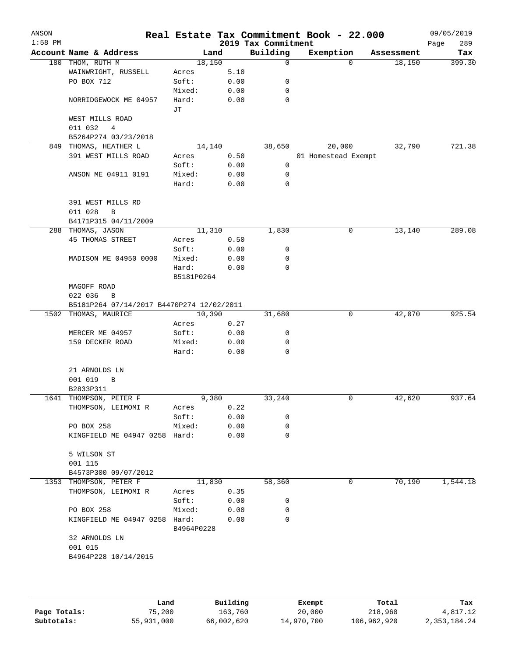| ANSON<br>$1:58$ PM |                                           |                     |      | 2019 Tax Commitment | Real Estate Tax Commitment Book - 22.000 |            | 09/05/2019<br>289<br>Page |
|--------------------|-------------------------------------------|---------------------|------|---------------------|------------------------------------------|------------|---------------------------|
|                    | Account Name & Address                    | Land                |      | Building            | Exemption                                | Assessment | Tax                       |
| 180                | THOM, RUTH M                              | 18,150              |      | 0                   | $\Omega$                                 | 18,150     | 399.30                    |
|                    | WAINWRIGHT, RUSSELL                       | Acres               | 5.10 |                     |                                          |            |                           |
|                    | PO BOX 712                                | Soft:               | 0.00 | 0                   |                                          |            |                           |
|                    |                                           | Mixed:              | 0.00 | 0                   |                                          |            |                           |
|                    | NORRIDGEWOCK ME 04957                     | Hard:<br>JТ         | 0.00 | 0                   |                                          |            |                           |
|                    | WEST MILLS ROAD<br>011 032<br>4           |                     |      |                     |                                          |            |                           |
|                    | B5264P274 03/23/2018                      |                     |      |                     |                                          |            |                           |
| 849                | THOMAS, HEATHER L                         | 14,140              |      | 38,650              | 20,000                                   | 32,790     | 721.38                    |
|                    | 391 WEST MILLS ROAD                       | Acres               | 0.50 |                     | 01 Homestead Exempt                      |            |                           |
|                    |                                           | Soft:               | 0.00 | 0                   |                                          |            |                           |
|                    | ANSON ME 04911 0191                       | Mixed:              | 0.00 | 0                   |                                          |            |                           |
|                    |                                           | Hard:               | 0.00 | 0                   |                                          |            |                           |
|                    | 391 WEST MILLS RD                         |                     |      |                     |                                          |            |                           |
|                    | 011 028<br>B<br>B4171P315 04/11/2009      |                     |      |                     |                                          |            |                           |
|                    | 288 THOMAS, JASON                         | 11,310              |      | 1,830               | 0                                        | 13,140     | 289.08                    |
|                    | <b>45 THOMAS STREET</b>                   | Acres               | 0.50 |                     |                                          |            |                           |
|                    |                                           | Soft:               | 0.00 | 0                   |                                          |            |                           |
|                    | MADISON ME 04950 0000                     | Mixed:              | 0.00 | 0                   |                                          |            |                           |
|                    |                                           | Hard:<br>B5181P0264 | 0.00 | 0                   |                                          |            |                           |
|                    | MAGOFF ROAD                               |                     |      |                     |                                          |            |                           |
|                    | 022 036<br>B                              |                     |      |                     |                                          |            |                           |
|                    | B5181P264 07/14/2017 B4470P274 12/02/2011 |                     |      |                     |                                          |            |                           |
| 1502               | THOMAS, MAURICE                           | 10,390              |      | 31,680              | 0                                        | 42,070     | 925.54                    |
|                    |                                           | Acres               | 0.27 |                     |                                          |            |                           |
|                    | MERCER ME 04957                           | Soft:               | 0.00 | 0                   |                                          |            |                           |
|                    | 159 DECKER ROAD                           | Mixed:              | 0.00 | 0                   |                                          |            |                           |
|                    |                                           | Hard:               | 0.00 | $\mathbf 0$         |                                          |            |                           |
|                    | 21 ARNOLDS LN                             |                     |      |                     |                                          |            |                           |
|                    | 001 019<br>B                              |                     |      |                     |                                          |            |                           |
|                    | B2833P311                                 |                     |      |                     |                                          |            |                           |
| 1641               | THOMPSON, PETER F                         | 9,380               |      | 33,240              | 0                                        | 42,620     | 937.64                    |
|                    | THOMPSON, LEIMOMI R                       | Acres               | 0.22 |                     |                                          |            |                           |
|                    |                                           | Soft:               | 0.00 | 0                   |                                          |            |                           |
|                    | PO BOX 258                                | Mixed:              | 0.00 | 0                   |                                          |            |                           |
|                    | KINGFIELD ME 04947 0258 Hard:             |                     | 0.00 | 0                   |                                          |            |                           |
|                    | 5 WILSON ST<br>001 115                    |                     |      |                     |                                          |            |                           |
|                    | B4573P300 09/07/2012                      |                     |      |                     |                                          |            |                           |
|                    | 1353 THOMPSON, PETER F                    | 11,830              |      | 58,360              | 0                                        | 70,190     | 1,544.18                  |
|                    | THOMPSON, LEIMOMI R                       | Acres               | 0.35 |                     |                                          |            |                           |
|                    |                                           | Soft:               | 0.00 | 0                   |                                          |            |                           |
|                    | PO BOX 258                                | Mixed:              | 0.00 | 0                   |                                          |            |                           |
|                    | KINGFIELD ME 04947 0258                   | Hard:               | 0.00 | $\Omega$            |                                          |            |                           |
|                    |                                           | B4964P0228          |      |                     |                                          |            |                           |
|                    | 32 ARNOLDS LN                             |                     |      |                     |                                          |            |                           |
|                    | 001 015                                   |                     |      |                     |                                          |            |                           |
|                    | B4964P228 10/14/2015                      |                     |      |                     |                                          |            |                           |
|                    |                                           |                     |      |                     |                                          |            |                           |
|                    |                                           |                     |      |                     |                                          |            |                           |

|              | Land       | Building   | Exempt     | Total       | Tax          |
|--------------|------------|------------|------------|-------------|--------------|
| Page Totals: | 75,200     | 163,760    | 20,000     | 218,960     | 4,817.12     |
| Subtotals:   | 55,931,000 | 66,002,620 | 14,970,700 | 106,962,920 | 2,353,184.24 |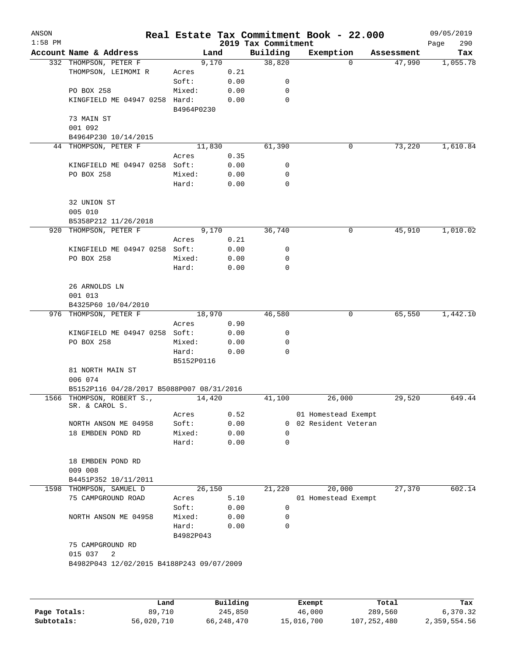| ANSON     |                                           |                 |              |                                 | Real Estate Tax Commitment Book - 22.000 |            | 09/05/2019         |
|-----------|-------------------------------------------|-----------------|--------------|---------------------------------|------------------------------------------|------------|--------------------|
| $1:58$ PM | Account Name & Address                    |                 | Land         | 2019 Tax Commitment<br>Building | Exemption                                | Assessment | 290<br>Page<br>Tax |
|           | 332 THOMPSON, PETER F                     | 9,170           |              | 38,820                          | 0                                        | 47,990     | 1,055.78           |
|           | THOMPSON, LEIMOMI R                       | Acres           | 0.21         |                                 |                                          |            |                    |
|           |                                           | Soft:           | 0.00         | 0                               |                                          |            |                    |
|           | PO BOX 258                                | Mixed:          | 0.00         | 0                               |                                          |            |                    |
|           | KINGFIELD ME 04947 0258 Hard:             |                 | 0.00         | 0                               |                                          |            |                    |
|           |                                           | B4964P0230      |              |                                 |                                          |            |                    |
|           | 73 MAIN ST                                |                 |              |                                 |                                          |            |                    |
|           | 001 092                                   |                 |              |                                 |                                          |            |                    |
|           | B4964P230 10/14/2015                      |                 |              |                                 |                                          |            |                    |
|           | 44 THOMPSON, PETER F                      | 11,830          |              | 61,390                          | 0                                        | 73,220     | 1,610.84           |
|           |                                           | Acres           | 0.35         |                                 |                                          |            |                    |
|           | KINGFIELD ME 04947 0258 Soft:             |                 | 0.00         | 0                               |                                          |            |                    |
|           | PO BOX 258                                | Mixed:          | 0.00         | 0                               |                                          |            |                    |
|           |                                           | Hard:           | 0.00         | 0                               |                                          |            |                    |
|           | 32 UNION ST                               |                 |              |                                 |                                          |            |                    |
|           | 005 010                                   |                 |              |                                 |                                          |            |                    |
|           | B5358P212 11/26/2018                      |                 |              |                                 |                                          |            |                    |
|           | 920 THOMPSON, PETER F                     | 9,170           |              | 36,740                          | 0                                        | 45,910     | 1,010.02           |
|           |                                           | Acres           | 0.21         |                                 |                                          |            |                    |
|           | KINGFIELD ME 04947 0258 Soft:             |                 | 0.00         | 0                               |                                          |            |                    |
|           | PO BOX 258                                | Mixed:          | 0.00         | 0                               |                                          |            |                    |
|           |                                           | Hard:           | 0.00         | 0                               |                                          |            |                    |
|           |                                           |                 |              |                                 |                                          |            |                    |
|           | 26 ARNOLDS LN                             |                 |              |                                 |                                          |            |                    |
|           | 001 013                                   |                 |              |                                 |                                          |            |                    |
|           | B4325P60 10/04/2010                       |                 |              |                                 |                                          |            |                    |
|           | 976 THOMPSON, PETER F                     | 18,970          |              | 46,580                          | 0                                        | 65,550     | 1,442.10           |
|           |                                           | Acres           | 0.90         |                                 |                                          |            |                    |
|           | KINGFIELD ME 04947 0258 Soft:             |                 | 0.00         | 0                               |                                          |            |                    |
|           | PO BOX 258                                | Mixed:          | 0.00         | 0                               |                                          |            |                    |
|           |                                           | Hard:           | 0.00         | 0                               |                                          |            |                    |
|           | 81 NORTH MAIN ST                          | B5152P0116      |              |                                 |                                          |            |                    |
|           | 006 074                                   |                 |              |                                 |                                          |            |                    |
|           | B5152P116 04/28/2017 B5088P007 08/31/2016 |                 |              |                                 |                                          |            |                    |
|           | 1566 THOMPSON, ROBERT S.,                 | 14,420          |              | 41,100                          | 26,000                                   | 29,520     | 649.44             |
|           | SR. & CAROL S.                            |                 |              |                                 |                                          |            |                    |
|           |                                           | Acres           | 0.52         |                                 | 01 Homestead Exempt                      |            |                    |
|           | NORTH ANSON ME 04958                      | Soft:           | 0.00         | $\mathbf{0}$                    | 02 Resident Veteran                      |            |                    |
|           | 18 EMBDEN POND RD                         | Mixed:          | 0.00         | 0                               |                                          |            |                    |
|           |                                           | Hard:           | 0.00         | 0                               |                                          |            |                    |
|           |                                           |                 |              |                                 |                                          |            |                    |
|           | 18 EMBDEN POND RD                         |                 |              |                                 |                                          |            |                    |
|           | 009 008                                   |                 |              |                                 |                                          |            |                    |
|           | B4451P352 10/11/2011                      |                 |              |                                 |                                          |            |                    |
| 1598      | THOMPSON, SAMUEL D<br>75 CAMPGROUND ROAD  | 26,150          |              | 21,220                          | 20,000                                   | 27,370     | 602.14             |
|           |                                           | Acres           | 5.10         | 0                               | 01 Homestead Exempt                      |            |                    |
|           | NORTH ANSON ME 04958                      | Soft:<br>Mixed: | 0.00<br>0.00 | 0                               |                                          |            |                    |
|           |                                           | Hard:           | 0.00         | 0                               |                                          |            |                    |
|           |                                           | B4982P043       |              |                                 |                                          |            |                    |
|           | 75 CAMPGROUND RD                          |                 |              |                                 |                                          |            |                    |
|           | 015 037<br>2                              |                 |              |                                 |                                          |            |                    |
|           | B4982P043 12/02/2015 B4188P243 09/07/2009 |                 |              |                                 |                                          |            |                    |
|           |                                           |                 |              |                                 |                                          |            |                    |
|           |                                           |                 |              |                                 |                                          |            |                    |
|           |                                           |                 |              |                                 |                                          |            |                    |
|           | Land                                      |                 | Building     |                                 | Exempt                                   | Total      | Tax                |
|           |                                           |                 |              |                                 |                                          |            |                    |

|              | Land       | Building   | Exempt     | Total       | Tax          |
|--------------|------------|------------|------------|-------------|--------------|
| Page Totals: | 89,710     | 245,850    | 46,000     | 289,560     | 6,370.32     |
| Subtotals:   | 56,020,710 | 66,248,470 | 15,016,700 | 107,252,480 | 2,359,554.56 |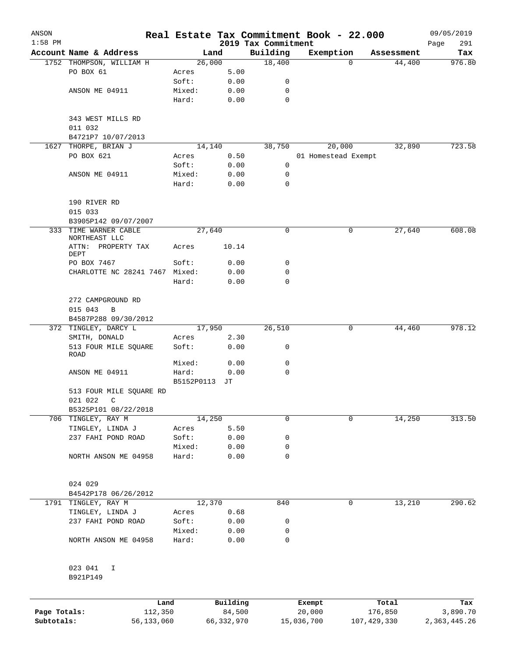| ANSON        |                                             |                |                |                                 | Real Estate Tax Commitment Book - 22.000 |                    | 09/05/2019         |
|--------------|---------------------------------------------|----------------|----------------|---------------------------------|------------------------------------------|--------------------|--------------------|
| $1:58$ PM    | Account Name & Address                      |                | Land           | 2019 Tax Commitment<br>Building | Exemption                                | Assessment         | Page<br>291<br>Tax |
|              | 1752 THOMPSON, WILLIAM H                    |                | 26,000         | 18,400                          |                                          | 44,400<br>$\Omega$ | 976.80             |
|              | PO BOX 61                                   | Acres          | 5.00           |                                 |                                          |                    |                    |
|              |                                             | Soft:          | 0.00           | 0                               |                                          |                    |                    |
|              | ANSON ME 04911                              | Mixed:         | 0.00           | 0                               |                                          |                    |                    |
|              |                                             | Hard:          | 0.00           | $\mathbf 0$                     |                                          |                    |                    |
|              | 343 WEST MILLS RD                           |                |                |                                 |                                          |                    |                    |
|              | 011 032                                     |                |                |                                 |                                          |                    |                    |
|              | B4721P7 10/07/2013                          |                |                |                                 |                                          |                    | 723.58             |
| 1627         | THORPE, BRIAN J<br>PO BOX 621               | Acres          | 14,140<br>0.50 | 38,750                          | 20,000<br>01 Homestead Exempt            | 32,890             |                    |
|              |                                             | Soft:          | 0.00           | 0                               |                                          |                    |                    |
|              | ANSON ME 04911                              | Mixed:         | 0.00           | 0                               |                                          |                    |                    |
|              |                                             | Hard:          | 0.00           | $\mathbf 0$                     |                                          |                    |                    |
|              | 190 RIVER RD                                |                |                |                                 |                                          |                    |                    |
|              | 015 033                                     |                |                |                                 |                                          |                    |                    |
|              | B3905P142 09/07/2007                        |                |                |                                 |                                          |                    |                    |
|              | 333 TIME WARNER CABLE<br>NORTHEAST LLC      |                | 27,640         | 0                               |                                          | 27,640<br>0        | 608.08             |
|              | ATTN:<br>PROPERTY TAX<br>DEPT               | Acres          | 10.14          |                                 |                                          |                    |                    |
|              | PO BOX 7467                                 | Soft:          | 0.00           | 0                               |                                          |                    |                    |
|              | CHARLOTTE NC 28241 7467 Mixed:              |                | 0.00           | 0                               |                                          |                    |                    |
|              |                                             | Hard:          | 0.00           | 0                               |                                          |                    |                    |
|              | 272 CAMPGROUND RD                           |                |                |                                 |                                          |                    |                    |
|              | 015 043<br>B                                |                |                |                                 |                                          |                    |                    |
|              | B4587P288 09/30/2012                        |                |                |                                 |                                          |                    |                    |
|              | 372 TINGLEY, DARCY L                        |                | 17,950         | 26,510                          |                                          | 0<br>44,460        | 978.12             |
|              | SMITH, DONALD<br>513 FOUR MILE SQUARE       | Acres<br>Soft: | 2.30<br>0.00   | 0                               |                                          |                    |                    |
|              | ROAD                                        |                |                |                                 |                                          |                    |                    |
|              |                                             | Mixed:         | 0.00           | 0                               |                                          |                    |                    |
|              | ANSON ME 04911                              | Hard:          | 0.00           | $\mathbf 0$                     |                                          |                    |                    |
|              |                                             | B5152P0113     | JТ             |                                 |                                          |                    |                    |
|              | 513 FOUR MILE SQUARE RD                     |                |                |                                 |                                          |                    |                    |
|              | 021 022<br>C                                |                |                |                                 |                                          |                    |                    |
|              | B5325P101 08/22/2018<br>706 TINGLEY, RAY M  |                | 14,250         | 0                               |                                          | 0<br>14,250        | 313.50             |
|              | TINGLEY, LINDA J                            | Acres          | 5.50           |                                 |                                          |                    |                    |
|              | 237 FAHI POND ROAD                          | Soft:          | 0.00           | 0                               |                                          |                    |                    |
|              |                                             | Mixed:         | 0.00           | 0                               |                                          |                    |                    |
|              | NORTH ANSON ME 04958                        | Hard:          | 0.00           | 0                               |                                          |                    |                    |
|              |                                             |                |                |                                 |                                          |                    |                    |
|              | 024 029                                     |                |                |                                 |                                          |                    |                    |
|              | B4542P178 06/26/2012<br>1791 TINGLEY, RAY M |                | 12,370         | 840                             |                                          | 13,210<br>0        | 290.62             |
|              | TINGLEY, LINDA J                            | Acres          | 0.68           |                                 |                                          |                    |                    |
|              | 237 FAHI POND ROAD                          | Soft:          | 0.00           | 0                               |                                          |                    |                    |
|              |                                             | Mixed:         | 0.00           | 0                               |                                          |                    |                    |
|              | NORTH ANSON ME 04958                        | Hard:          | 0.00           | 0                               |                                          |                    |                    |
|              | 023 041<br>I                                |                |                |                                 |                                          |                    |                    |
|              | B921P149                                    |                |                |                                 |                                          |                    |                    |
|              | Land                                        |                | Building       |                                 | Exempt                                   | Total              | Tax                |
| Page Totals: | 112,350                                     |                | 84,500         |                                 | 20,000                                   | 176,850            | 3,890.70           |
| Subtotals:   | 56,133,060                                  |                | 66, 332, 970   |                                 | 15,036,700                               | 107,429,330        | 2, 363, 445.26     |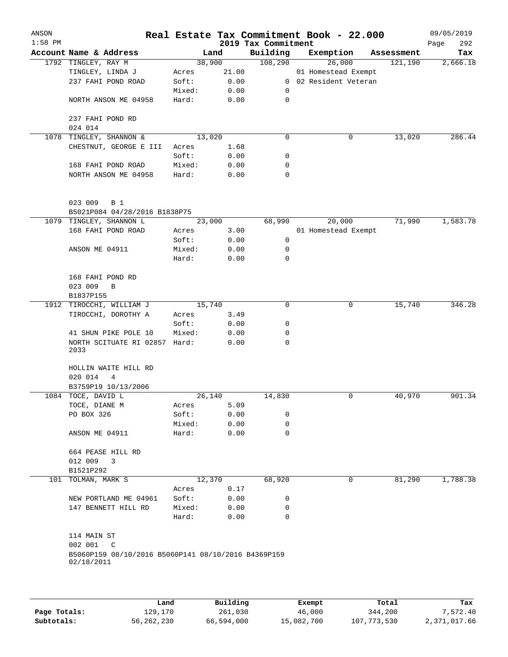| ANSON<br>$1:58$ PM |                                                                   |        |       | 2019 Tax Commitment | Real Estate Tax Commitment Book - 22.000 |            | 09/05/2019<br>292<br>Page |
|--------------------|-------------------------------------------------------------------|--------|-------|---------------------|------------------------------------------|------------|---------------------------|
|                    | Account Name & Address                                            | Land   |       | Building            | Exemption                                | Assessment | Tax                       |
|                    | 1792 TINGLEY, RAY M                                               | 38,900 |       | 108,290             | 26,000                                   | 121,190    | 2,666.18                  |
|                    | TINGLEY, LINDA J                                                  | Acres  | 21.00 |                     | 01 Homestead Exempt                      |            |                           |
|                    | 237 FAHI POND ROAD                                                | Soft:  | 0.00  |                     | 0 02 Resident Veteran                    |            |                           |
|                    |                                                                   | Mixed: | 0.00  | 0                   |                                          |            |                           |
|                    | NORTH ANSON ME 04958                                              | Hard:  | 0.00  | $\mathbf 0$         |                                          |            |                           |
|                    | 237 FAHI POND RD                                                  |        |       |                     |                                          |            |                           |
|                    | 024 014                                                           |        |       |                     |                                          |            |                           |
| 1078               | TINGLEY, SHANNON &                                                | 13,020 |       | $\mathbf 0$         | 0                                        | 13,020     | 286.44                    |
|                    | CHESTNUT, GEORGE E III                                            | Acres  | 1.68  |                     |                                          |            |                           |
|                    |                                                                   | Soft:  | 0.00  | 0                   |                                          |            |                           |
|                    | 168 FAHI POND ROAD                                                | Mixed: | 0.00  | 0                   |                                          |            |                           |
|                    | NORTH ANSON ME 04958                                              | Hard:  | 0.00  | 0                   |                                          |            |                           |
|                    | 023 009<br><b>B</b> 1                                             |        |       |                     |                                          |            |                           |
|                    | B5021P084 04/28/2016 B1838P75                                     |        |       |                     |                                          |            |                           |
|                    | 1079 TINGLEY, SHANNON L                                           | 23,000 |       | 68,990              | 20,000                                   | 71,990     | 1,583.78                  |
|                    | 168 FAHI POND ROAD                                                | Acres  | 3.00  |                     | 01 Homestead Exempt                      |            |                           |
|                    |                                                                   | Soft:  | 0.00  | 0                   |                                          |            |                           |
|                    | ANSON ME 04911                                                    | Mixed: | 0.00  | 0                   |                                          |            |                           |
|                    |                                                                   | Hard:  | 0.00  | $\mathbf 0$         |                                          |            |                           |
|                    | 168 FAHI POND RD<br>023 009                                       |        |       |                     |                                          |            |                           |
|                    | B                                                                 |        |       |                     |                                          |            |                           |
|                    | B1837P155                                                         |        |       |                     |                                          |            |                           |
|                    | 1912 TIROCCHI, WILLIAM J                                          | 15,740 |       | 0                   | 0                                        | 15,740     | 346.28                    |
|                    | TIROCCHI, DOROTHY A                                               | Acres  | 3.49  |                     |                                          |            |                           |
|                    |                                                                   | Soft:  | 0.00  | 0                   |                                          |            |                           |
|                    | 41 SHUN PIKE POLE 10                                              | Mixed: | 0.00  | 0                   |                                          |            |                           |
|                    | NORTH SCITUATE RI 02857 Hard:<br>2033                             |        | 0.00  | $\Omega$            |                                          |            |                           |
|                    | HOLLIN WAITE HILL RD<br>020 014<br>4                              |        |       |                     |                                          |            |                           |
|                    | B3759P19 10/13/2006                                               |        |       |                     |                                          |            |                           |
|                    | 1084 TOCE, DAVID L                                                | 26,140 |       | 14,830              | 0                                        | 40,970     | 901.34                    |
|                    | TOCE, DIANE M                                                     | Acres  | 5.09  |                     |                                          |            |                           |
|                    | PO BOX 326                                                        | Soft:  | 0.00  | 0                   |                                          |            |                           |
|                    |                                                                   | Mixed: | 0.00  | 0                   |                                          |            |                           |
|                    | ANSON ME 04911                                                    | Hard:  | 0.00  | 0                   |                                          |            |                           |
|                    | 664 PEASE HILL RD                                                 |        |       |                     |                                          |            |                           |
|                    | 012 009<br>3                                                      |        |       |                     |                                          |            |                           |
|                    | B1521P292                                                         |        |       |                     |                                          |            |                           |
| 101                | TOLMAN, MARK S                                                    | 12,370 |       | 68,920              | 0                                        | 81,290     | 1,788.38                  |
|                    |                                                                   | Acres  | 0.17  |                     |                                          |            |                           |
|                    | NEW PORTLAND ME 04961                                             | Soft:  | 0.00  | 0                   |                                          |            |                           |
|                    | 147 BENNETT HILL RD                                               | Mixed: | 0.00  | 0                   |                                          |            |                           |
|                    |                                                                   | Hard:  | 0.00  | 0                   |                                          |            |                           |
|                    | 114 MAIN ST                                                       |        |       |                     |                                          |            |                           |
|                    | 002 001<br>$\mathsf{C}$                                           |        |       |                     |                                          |            |                           |
|                    | B5060P159 08/10/2016 B5060P141 08/10/2016 B4369P159<br>02/18/2011 |        |       |                     |                                          |            |                           |
|                    |                                                                   |        |       |                     |                                          |            |                           |
|                    |                                                                   |        |       |                     |                                          |            |                           |

|              | Land       | Building   | Exempt     | Total         | Tax          |
|--------------|------------|------------|------------|---------------|--------------|
| Page Totals: | 129,170    | 261,030    | 46,000     | 344,200       | 7,572.40     |
| Subtotals:   | 56,262,230 | 66,594,000 | 15,082,700 | 107, 773, 530 | 2,371,017.66 |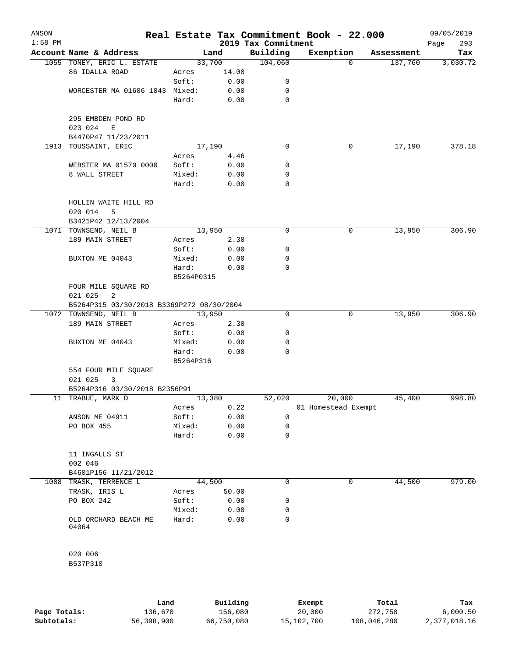| ANSON<br>$1:58$ PM |                                                           |            |       | 2019 Tax Commitment | Real Estate Tax Commitment Book - 22.000 |            | 09/05/2019<br>293<br>Page |
|--------------------|-----------------------------------------------------------|------------|-------|---------------------|------------------------------------------|------------|---------------------------|
|                    | Account Name & Address                                    |            | Land  | Building            | Exemption                                | Assessment | Tax                       |
|                    | 1055 TONEY, ERIC L. ESTATE                                | 33,700     |       | 104,060             | $\Omega$                                 | 137,760    | 3,030.72                  |
|                    | 86 IDALLA ROAD                                            | Acres      | 14.00 |                     |                                          |            |                           |
|                    |                                                           | Soft:      | 0.00  | 0                   |                                          |            |                           |
|                    | WORCESTER MA 01606 1043 Mixed:                            |            | 0.00  | 0                   |                                          |            |                           |
|                    |                                                           | Hard:      | 0.00  | 0                   |                                          |            |                           |
|                    | 295 EMBDEN POND RD<br>023 024<br>E<br>B4470P47 11/23/2011 |            |       |                     |                                          |            |                           |
|                    | 1913 TOUSSAINT, ERIC                                      | 17,190     |       | $\mathbf 0$         | 0                                        | 17,190     | 378.18                    |
|                    |                                                           | Acres      | 4.46  |                     |                                          |            |                           |
|                    | WEBSTER MA 01570 0000                                     | Soft:      | 0.00  | 0                   |                                          |            |                           |
|                    | 8 WALL STREET                                             | Mixed:     | 0.00  | 0                   |                                          |            |                           |
|                    |                                                           | Hard:      | 0.00  | 0                   |                                          |            |                           |
|                    | HOLLIN WAITE HILL RD                                      |            |       |                     |                                          |            |                           |
|                    | 020 014<br>5                                              |            |       |                     |                                          |            |                           |
|                    | B3421P42 12/13/2004                                       |            |       |                     |                                          |            |                           |
|                    | 1071 TOWNSEND, NEIL B                                     | 13,950     |       | 0                   | 0                                        | 13,950     | 306.90                    |
|                    | 189 MAIN STREET                                           | Acres      | 2.30  |                     |                                          |            |                           |
|                    |                                                           | Soft:      | 0.00  | 0                   |                                          |            |                           |
|                    | BUXTON ME 04043                                           | Mixed:     | 0.00  | 0                   |                                          |            |                           |
|                    |                                                           | Hard:      | 0.00  | 0                   |                                          |            |                           |
|                    |                                                           | B5264P0315 |       |                     |                                          |            |                           |
|                    | FOUR MILE SQUARE RD                                       |            |       |                     |                                          |            |                           |
|                    | 021 025<br>2                                              |            |       |                     |                                          |            |                           |
|                    | B5264P315 03/30/2018 B3369P272 08/30/2004                 |            |       |                     |                                          |            |                           |
|                    | 1072 TOWNSEND, NEIL B                                     | 13,950     |       | 0                   | 0                                        | 13,950     | 306.90                    |
|                    | 189 MAIN STREET                                           | Acres      | 2.30  |                     |                                          |            |                           |
|                    |                                                           | Soft:      | 0.00  | 0                   |                                          |            |                           |
|                    | BUXTON ME 04043                                           | Mixed:     | 0.00  | 0                   |                                          |            |                           |
|                    |                                                           | Hard:      | 0.00  | 0                   |                                          |            |                           |
|                    |                                                           | B5264P316  |       |                     |                                          |            |                           |
|                    | 554 FOUR MILE SQUARE                                      |            |       |                     |                                          |            |                           |
|                    | 021 025<br>3                                              |            |       |                     |                                          |            |                           |
|                    | B5264P316 03/30/2018 B2356P91                             |            |       |                     |                                          |            |                           |
|                    | 11 TRABUE, MARK D                                         | 13,380     |       | 52,020              | 20,000                                   | 45,400     | 998.80                    |
|                    |                                                           | Acres      | 0.22  |                     | 01 Homestead Exempt                      |            |                           |
|                    | ANSON ME 04911                                            | Soft:      | 0.00  | 0                   |                                          |            |                           |
|                    | PO BOX 455                                                | Mixed:     | 0.00  | 0                   |                                          |            |                           |
|                    |                                                           | Hard:      | 0.00  | 0                   |                                          |            |                           |
|                    |                                                           |            |       |                     |                                          |            |                           |
|                    | 11 INGALLS ST                                             |            |       |                     |                                          |            |                           |
|                    | 002 046                                                   |            |       |                     |                                          |            |                           |
|                    | B4601P156 11/21/2012                                      |            |       |                     |                                          |            |                           |
|                    | 1088 TRASK, TERRENCE L                                    | 44,500     |       | 0                   | 0                                        | 44,500     | 979.00                    |
|                    | TRASK, IRIS L                                             | Acres      | 50.00 |                     |                                          |            |                           |
|                    | PO BOX 242                                                | Soft:      | 0.00  | 0                   |                                          |            |                           |
|                    |                                                           | Mixed:     | 0.00  | 0                   |                                          |            |                           |
|                    | OLD ORCHARD BEACH ME<br>04064                             | Hard:      | 0.00  | 0                   |                                          |            |                           |
|                    | 020 006<br>B537P310                                       |            |       |                     |                                          |            |                           |
|                    |                                                           |            |       |                     |                                          |            |                           |

|              | Land       | Building   | Exempt     | Total       | Tax          |
|--------------|------------|------------|------------|-------------|--------------|
| Page Totals: | 136,670    | 156,080    | 20,000     | 272,750     | 6,000.50     |
| Subtotals:   | 56,398,900 | 66,750,080 | 15,102,700 | 108,046,280 | 2,377,018.16 |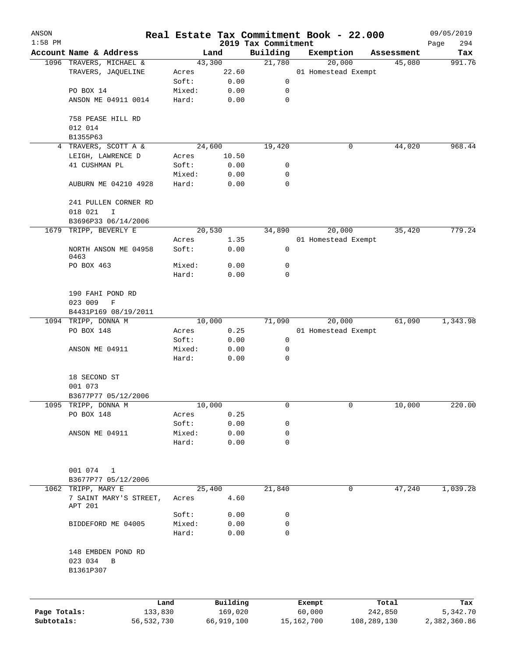| ANSON<br>$1:58$ PM |                                   |              |                 |                                 | 2019 Tax Commitment | Real Estate Tax Commitment Book - 22.000 |             | 09/05/2019         |
|--------------------|-----------------------------------|--------------|-----------------|---------------------------------|---------------------|------------------------------------------|-------------|--------------------|
|                    | Account Name & Address            |              |                 | Land                            | Building            | Exemption                                | Assessment  | Page<br>294<br>Tax |
|                    | 1096 TRAVERS, MICHAEL &           |              |                 | 43,300                          | 21,780              | 20,000                                   | 45,080      | 991.76             |
|                    | TRAVERS, JAQUELINE                |              | Acres           | 22.60                           |                     | 01 Homestead Exempt                      |             |                    |
|                    |                                   |              | Soft:           | 0.00                            | 0                   |                                          |             |                    |
|                    | PO BOX 14                         |              | Mixed:          | 0.00                            | 0                   |                                          |             |                    |
|                    | ANSON ME 04911 0014               |              | Hard:           | 0.00                            | 0                   |                                          |             |                    |
|                    |                                   |              |                 |                                 |                     |                                          |             |                    |
|                    | 758 PEASE HILL RD                 |              |                 |                                 |                     |                                          |             |                    |
|                    | 012 014                           |              |                 |                                 |                     |                                          |             |                    |
|                    | B1355P63                          |              |                 |                                 |                     |                                          |             |                    |
|                    | 4 TRAVERS, SCOTT A &              |              |                 | 24,600                          | 19,420              | 0                                        | 44,020      | 968.44             |
|                    | LEIGH, LAWRENCE D                 |              | Acres           | 10.50                           |                     |                                          |             |                    |
|                    | 41 CUSHMAN PL                     |              | Soft:           | 0.00                            | 0                   |                                          |             |                    |
|                    | AUBURN ME 04210 4928              |              | Mixed:<br>Hard: | 0.00<br>0.00                    | 0<br>$\mathbf 0$    |                                          |             |                    |
|                    |                                   |              |                 |                                 |                     |                                          |             |                    |
|                    | 241 PULLEN CORNER RD              |              |                 |                                 |                     |                                          |             |                    |
|                    | 018 021<br>I                      |              |                 |                                 |                     |                                          |             |                    |
|                    | B3696P33 06/14/2006               |              |                 |                                 |                     |                                          |             |                    |
| 1679               | TRIPP, BEVERLY E                  |              |                 | 20,530                          | 34,890              | 20,000                                   | 35,420      | 779.24             |
|                    |                                   |              | Acres           | 1.35                            |                     | 01 Homestead Exempt                      |             |                    |
|                    | NORTH ANSON ME 04958              |              | Soft:           | ${\bf 0}$ . ${\bf 0}$ ${\bf 0}$ | 0                   |                                          |             |                    |
|                    | 0463                              |              |                 |                                 |                     |                                          |             |                    |
|                    | PO BOX 463                        |              | Mixed:          | 0.00                            | 0                   |                                          |             |                    |
|                    |                                   |              | Hard:           | 0.00                            | 0                   |                                          |             |                    |
|                    | 190 FAHI POND RD                  |              |                 |                                 |                     |                                          |             |                    |
|                    | 023 009<br>F                      |              |                 |                                 |                     |                                          |             |                    |
|                    | B4431P169 08/19/2011              |              |                 |                                 |                     |                                          |             |                    |
|                    | 1094 TRIPP, DONNA M               |              |                 | 10,000                          | 71,090              | 20,000                                   | 61,090      | 1,343.98           |
|                    | PO BOX 148                        |              | Acres           | 0.25                            |                     | 01 Homestead Exempt                      |             |                    |
|                    |                                   |              | Soft:           | 0.00                            | 0                   |                                          |             |                    |
|                    | ANSON ME 04911                    |              | Mixed:          | 0.00                            | 0                   |                                          |             |                    |
|                    |                                   |              | Hard:           | 0.00                            | 0                   |                                          |             |                    |
|                    |                                   |              |                 |                                 |                     |                                          |             |                    |
|                    | 18 SECOND ST                      |              |                 |                                 |                     |                                          |             |                    |
|                    | 001 073                           |              |                 |                                 |                     |                                          |             |                    |
|                    | B3677P77 05/12/2006               |              |                 |                                 |                     |                                          |             |                    |
|                    | 1095 TRIPP, DONNA M               |              |                 | 10,000                          | 0                   | 0                                        | 10,000      | 220.00             |
|                    | PO BOX 148                        |              | Acres           | 0.25                            |                     |                                          |             |                    |
|                    |                                   |              | Soft:           | 0.00                            | 0                   |                                          |             |                    |
|                    | ANSON ME 04911                    |              | Mixed:          | 0.00                            | 0                   |                                          |             |                    |
|                    |                                   |              | Hard:           | 0.00                            | 0                   |                                          |             |                    |
|                    |                                   |              |                 |                                 |                     |                                          |             |                    |
|                    | 001 074<br>$\mathbf{1}$           |              |                 |                                 |                     |                                          |             |                    |
|                    | B3677P77 05/12/2006               |              |                 |                                 |                     |                                          |             |                    |
|                    | 1062 TRIPP, MARY E                |              |                 | 25,400                          | 21,840              | 0                                        | 47,240      | 1,039.28           |
|                    | 7 SAINT MARY'S STREET,<br>APT 201 |              | Acres           | 4.60                            |                     |                                          |             |                    |
|                    |                                   |              | Soft:           | 0.00                            | 0                   |                                          |             |                    |
|                    | BIDDEFORD ME 04005                |              | Mixed:          | 0.00                            | 0                   |                                          |             |                    |
|                    |                                   |              | Hard:           | 0.00                            | 0                   |                                          |             |                    |
|                    |                                   |              |                 |                                 |                     |                                          |             |                    |
|                    | 148 EMBDEN POND RD                |              |                 |                                 |                     |                                          |             |                    |
|                    | 023 034<br>$\mathbf B$            |              |                 |                                 |                     |                                          |             |                    |
|                    | B1361P307                         |              |                 |                                 |                     |                                          |             |                    |
|                    |                                   |              |                 |                                 |                     |                                          |             |                    |
|                    |                                   | Land         |                 | Building                        |                     | Exempt                                   | Total       | Tax                |
| Page Totals:       |                                   | 133,830      |                 | 169,020                         |                     | 60,000                                   | 242,850     | 5,342.70           |
| Subtotals:         |                                   | 56, 532, 730 |                 | 66,919,100                      |                     | 15,162,700                               | 108,289,130 | 2,382,360.86       |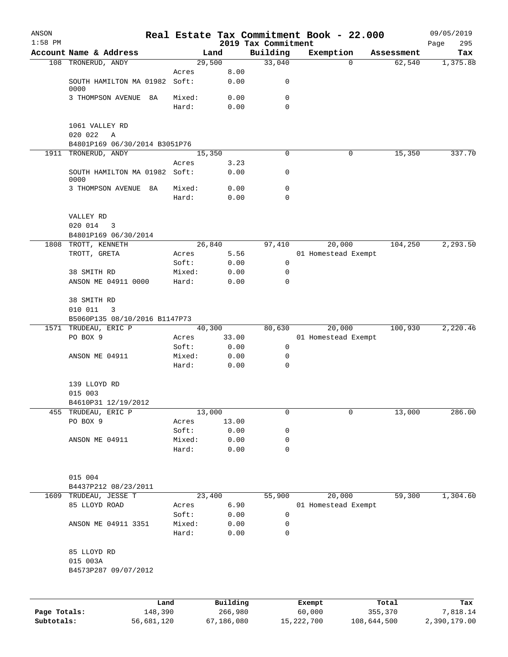| ANSON<br>$1:58$ PM |                                               |                 |                | 2019 Tax Commitment | Real Estate Tax Commitment Book - 22.000 |          |            | 09/05/2019         |
|--------------------|-----------------------------------------------|-----------------|----------------|---------------------|------------------------------------------|----------|------------|--------------------|
|                    | Account Name & Address                        |                 | Land           | Building            | Exemption                                |          | Assessment | 295<br>Page<br>Tax |
|                    | 108 TRONERUD, ANDY                            |                 | 29,500         | 33,040              |                                          | $\Omega$ | 62,540     | 1,375.88           |
|                    |                                               | Acres           | 8.00           |                     |                                          |          |            |                    |
|                    | SOUTH HAMILTON MA 01982 Soft:<br>0000         |                 | 0.00           | 0                   |                                          |          |            |                    |
|                    | 3 THOMPSON AVENUE<br>8A                       | Mixed:          | 0.00           | 0                   |                                          |          |            |                    |
|                    |                                               | Hard:           | 0.00           | 0                   |                                          |          |            |                    |
|                    | 1061 VALLEY RD                                |                 |                |                     |                                          |          |            |                    |
|                    | 020 022<br>Α<br>B4801P169 06/30/2014 B3051P76 |                 |                |                     |                                          |          |            |                    |
|                    | 1911 TRONERUD, ANDY                           |                 | 15,350         | 0                   |                                          | 0        | 15,350     | 337.70             |
|                    |                                               | Acres           | 3.23           |                     |                                          |          |            |                    |
|                    | SOUTH HAMILTON MA 01982 Soft:<br>0000         |                 | 0.00           | 0                   |                                          |          |            |                    |
|                    | 3 THOMPSON AVENUE<br>8A                       | Mixed:          | 0.00           | 0                   |                                          |          |            |                    |
|                    |                                               | Hard:           | 0.00           | $\mathbf 0$         |                                          |          |            |                    |
|                    | VALLEY RD                                     |                 |                |                     |                                          |          |            |                    |
|                    | 020 014<br>3                                  |                 |                |                     |                                          |          |            |                    |
|                    | B4801P169 06/30/2014                          |                 |                |                     |                                          |          |            |                    |
|                    | 1808 TROTT, KENNETH<br>TROTT, GRETA           | Acres           | 26,840<br>5.56 | 97,410              | 20,000<br>01 Homestead Exempt            |          | 104,250    | 2,293.50           |
|                    |                                               | Soft:           | 0.00           | $\mathbf 0$         |                                          |          |            |                    |
|                    | 38 SMITH RD                                   | Mixed:          | 0.00           | 0                   |                                          |          |            |                    |
|                    | ANSON ME 04911 0000                           | Hard:           | 0.00           | $\mathbf 0$         |                                          |          |            |                    |
|                    | 38 SMITH RD                                   |                 |                |                     |                                          |          |            |                    |
|                    | 010 011<br>3                                  |                 |                |                     |                                          |          |            |                    |
|                    | B5060P135 08/10/2016 B1147P73                 |                 |                |                     |                                          |          |            |                    |
|                    | 1571 TRUDEAU, ERIC P                          |                 | 40,300         | 80,630              | 20,000                                   |          | 100,930    | 2,220.46           |
|                    | PO BOX 9                                      | Acres           | 33.00          |                     | 01 Homestead Exempt                      |          |            |                    |
|                    | ANSON ME 04911                                | Soft:<br>Mixed: | 0.00<br>0.00   | 0<br>0              |                                          |          |            |                    |
|                    |                                               | Hard:           | 0.00           | 0                   |                                          |          |            |                    |
|                    | 139 LLOYD RD                                  |                 |                |                     |                                          |          |            |                    |
|                    | 015 003                                       |                 |                |                     |                                          |          |            |                    |
|                    | B4610P31 12/19/2012                           |                 |                |                     |                                          |          |            |                    |
| 455                | TRUDEAU, ERIC P                               |                 | 13,000         | 0                   |                                          | 0        | 13,000     | 286.00             |
|                    | PO BOX 9                                      | Acres           | 13.00          |                     |                                          |          |            |                    |
|                    |                                               | Soft:           | 0.00           | 0                   |                                          |          |            |                    |
|                    | ANSON ME 04911                                | Mixed:<br>Hard: | 0.00<br>0.00   | 0<br>0              |                                          |          |            |                    |
|                    |                                               |                 |                |                     |                                          |          |            |                    |
|                    | 015 004                                       |                 |                |                     |                                          |          |            |                    |
|                    | B4437P212 08/23/2011                          |                 |                |                     |                                          |          |            |                    |
| 1609               | TRUDEAU, JESSE T                              |                 | 23,400         | 55,900              | 20,000                                   |          | 59,300     | 1,304.60           |
|                    | 85 LLOYD ROAD                                 | Acres<br>Soft:  | 6.90<br>0.00   | 0                   | 01 Homestead Exempt                      |          |            |                    |
|                    | ANSON ME 04911 3351                           | Mixed:          | 0.00           | 0                   |                                          |          |            |                    |
|                    |                                               | Hard:           | 0.00           | 0                   |                                          |          |            |                    |
|                    | 85 LLOYD RD                                   |                 |                |                     |                                          |          |            |                    |
|                    | 015 003A                                      |                 |                |                     |                                          |          |            |                    |
|                    | B4573P287 09/07/2012                          |                 |                |                     |                                          |          |            |                    |
|                    |                                               |                 |                |                     |                                          |          |            |                    |
|                    |                                               | Land            | Building       |                     | Exempt                                   |          | Total      | Tax                |
| Page Totals:       | 148,390                                       |                 | 266,980        |                     | 60,000                                   |          | 355,370    | 7,818.14           |

**Subtotals:** 56,681,120 67,186,080 15,222,700 108,644,500 2,390,179.00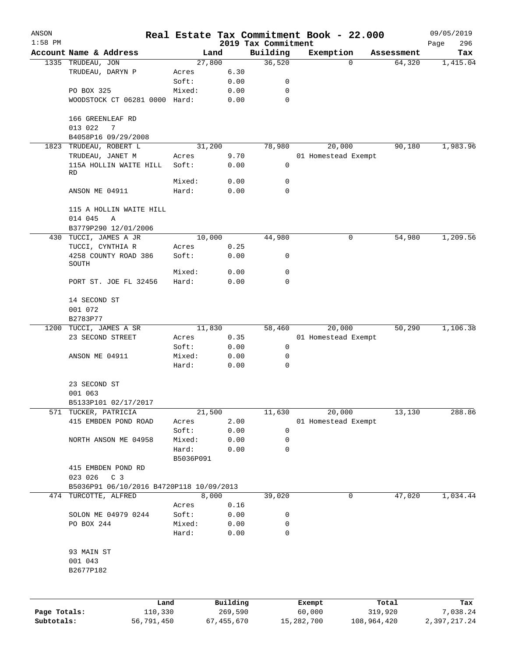| ANSON        |                                                                  |                |              |                                 | Real Estate Tax Commitment Book - 22.000 |            | 09/05/2019         |
|--------------|------------------------------------------------------------------|----------------|--------------|---------------------------------|------------------------------------------|------------|--------------------|
| $1:58$ PM    | Account Name & Address                                           | Land           |              | 2019 Tax Commitment<br>Building | Exemption                                | Assessment | 296<br>Page<br>Tax |
|              | 1335 TRUDEAU, JON                                                | 27,800         |              | 36,520                          | $\Omega$                                 | 64,320     | 1,415.04           |
|              | TRUDEAU, DARYN P                                                 | Acres          | 6.30         |                                 |                                          |            |                    |
|              |                                                                  | Soft:          | 0.00         | 0                               |                                          |            |                    |
|              | PO BOX 325                                                       | Mixed:         | 0.00         | $\mathbf 0$                     |                                          |            |                    |
|              | WOODSTOCK CT 06281 0000 Hard:                                    |                | 0.00         | $\mathbf 0$                     |                                          |            |                    |
|              | 166 GREENLEAF RD<br>013 022<br>7                                 |                |              |                                 |                                          |            |                    |
|              | B4058P16 09/29/2008                                              |                |              |                                 |                                          |            |                    |
| 1823         | TRUDEAU, ROBERT L                                                | 31,200         |              | 78,980                          | 20,000                                   | 90, 180    | 1,983.96           |
|              | TRUDEAU, JANET M                                                 | Acres          | 9.70         |                                 | 01 Homestead Exempt                      |            |                    |
|              | 115A HOLLIN WAITE HILL<br><b>RD</b>                              | Soft:          | 0.00         | 0                               |                                          |            |                    |
|              |                                                                  | Mixed:         | 0.00         | 0                               |                                          |            |                    |
|              | ANSON ME 04911                                                   | Hard:          | 0.00         | $\mathbf 0$                     |                                          |            |                    |
|              | 115 A HOLLIN WAITE HILL<br>014 045<br>Α                          |                |              |                                 |                                          |            |                    |
|              | B3779P290 12/01/2006                                             |                |              |                                 |                                          |            |                    |
| 430          | TUCCI, JAMES A JR                                                | 10,000         |              | 44,980                          | 0                                        | 54,980     | 1,209.56           |
|              | TUCCI, CYNTHIA R                                                 | Acres          | 0.25         |                                 |                                          |            |                    |
|              | 4258 COUNTY ROAD 386<br>SOUTH                                    | Soft:          | 0.00         | 0                               |                                          |            |                    |
|              |                                                                  | Mixed:         | 0.00         | 0                               |                                          |            |                    |
|              | PORT ST. JOE FL 32456                                            | Hard:          | 0.00         | $\mathbf 0$                     |                                          |            |                    |
|              | 14 SECOND ST                                                     |                |              |                                 |                                          |            |                    |
|              | 001 072                                                          |                |              |                                 |                                          |            |                    |
|              | B2783P77                                                         |                |              |                                 |                                          |            |                    |
|              | 1200 TUCCI, JAMES A SR                                           | 11,830         |              | 58,460                          | 20,000                                   | 50,290     | 1,106.38           |
|              | 23 SECOND STREET                                                 | Acres<br>Soft: | 0.35<br>0.00 | 0                               | 01 Homestead Exempt                      |            |                    |
|              | ANSON ME 04911                                                   | Mixed:         | 0.00         | 0                               |                                          |            |                    |
|              |                                                                  | Hard:          | 0.00         | 0                               |                                          |            |                    |
|              | 23 SECOND ST                                                     |                |              |                                 |                                          |            |                    |
|              | 001 063                                                          |                |              |                                 |                                          |            |                    |
|              | B5133P101 02/17/2017                                             |                |              |                                 |                                          |            |                    |
| 571          | TUCKER, PATRICIA                                                 | 21,500         |              | 11,630                          | 20,000                                   | 13,130     | 288.86             |
|              | 415 EMBDEN POND ROAD                                             | Acres          | 2.00         |                                 | 01 Homestead Exempt                      |            |                    |
|              |                                                                  | Soft:          | 0.00         | $\mathbf 0$                     |                                          |            |                    |
|              | NORTH ANSON ME 04958                                             | Mixed:         | 0.00         | 0                               |                                          |            |                    |
|              |                                                                  | Hard:          | 0.00         | 0                               |                                          |            |                    |
|              |                                                                  | B5036P091      |              |                                 |                                          |            |                    |
|              | 415 EMBDEN POND RD                                               |                |              |                                 |                                          |            |                    |
|              | 023 026<br>C <sub>3</sub>                                        |                |              |                                 |                                          |            |                    |
|              | B5036P91 06/10/2016 B4720P118 10/09/2013<br>474 TURCOTTE, ALFRED | 8,000          |              | 39,020                          | 0                                        | 47,020     | 1,034.44           |
|              |                                                                  | Acres          | 0.16         |                                 |                                          |            |                    |
|              | SOLON ME 04979 0244                                              | Soft:          | 0.00         | 0                               |                                          |            |                    |
|              | PO BOX 244                                                       | Mixed:         | 0.00         | 0                               |                                          |            |                    |
|              |                                                                  | Hard:          | 0.00         | 0                               |                                          |            |                    |
|              | 93 MAIN ST<br>001 043<br>B2677P182                               |                |              |                                 |                                          |            |                    |
|              |                                                                  |                |              |                                 |                                          |            |                    |
|              | Land                                                             |                | Building     |                                 | Exempt                                   | Total      | Tax                |
| Page Totals: | 110,330                                                          |                | 269,590      |                                 | 60,000                                   | 319,920    | 7,038.24           |

**Subtotals:** 56,791,450 67,455,670 15,282,700 108,964,420 2,397,217.24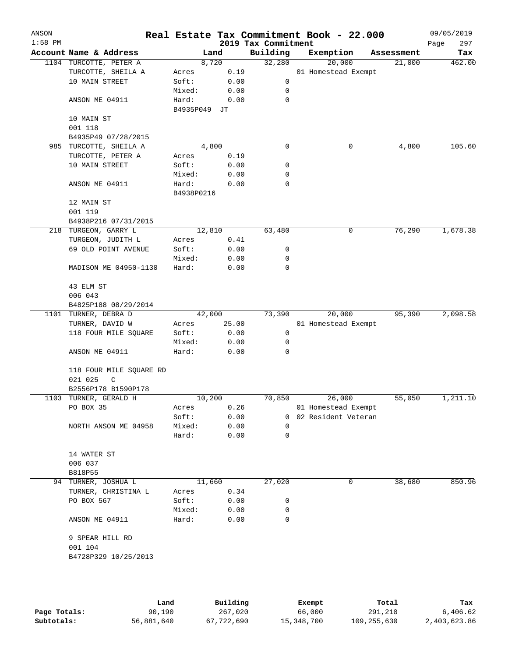| ANSON<br>$1:58$ PM |                         |                       |       | 2019 Tax Commitment | Real Estate Tax Commitment Book - 22.000 |            | 09/05/2019<br>297<br>Page |
|--------------------|-------------------------|-----------------------|-------|---------------------|------------------------------------------|------------|---------------------------|
|                    | Account Name & Address  |                       | Land  | Building            | Exemption                                | Assessment | Tax                       |
|                    | 1104 TURCOTTE, PETER A  |                       | 8,720 | 32,280              | 20,000                                   | 21,000     | 462.00                    |
|                    | TURCOTTE, SHEILA A      | Acres                 | 0.19  |                     | 01 Homestead Exempt                      |            |                           |
|                    | 10 MAIN STREET          | Soft:                 | 0.00  | 0                   |                                          |            |                           |
|                    |                         | Mixed:                | 0.00  | 0                   |                                          |            |                           |
|                    | ANSON ME 04911          | Hard:<br>B4935P049 JT | 0.00  | $\mathbf 0$         |                                          |            |                           |
|                    | 10 MAIN ST              |                       |       |                     |                                          |            |                           |
|                    | 001 118                 |                       |       |                     |                                          |            |                           |
|                    | B4935P49 07/28/2015     |                       |       |                     |                                          |            |                           |
|                    | 985 TURCOTTE, SHEILA A  |                       | 4,800 | 0                   | 0                                        | 4,800      | 105.60                    |
|                    | TURCOTTE, PETER A       | Acres                 | 0.19  |                     |                                          |            |                           |
|                    | 10 MAIN STREET          | Soft:                 | 0.00  | 0                   |                                          |            |                           |
|                    |                         | Mixed:                | 0.00  | 0                   |                                          |            |                           |
|                    | ANSON ME 04911          | Hard:                 | 0.00  | 0                   |                                          |            |                           |
|                    |                         | B4938P0216            |       |                     |                                          |            |                           |
|                    | 12 MAIN ST              |                       |       |                     |                                          |            |                           |
|                    | 001 119                 |                       |       |                     |                                          |            |                           |
|                    | B4938P216 07/31/2015    |                       |       |                     |                                          |            |                           |
|                    | 218 TURGEON, GARRY L    | 12,810                |       | 63,480              | 0                                        | 76,290     | 1,678.38                  |
|                    | TURGEON, JUDITH L       | Acres                 | 0.41  |                     |                                          |            |                           |
|                    | 69 OLD POINT AVENUE     | Soft:                 | 0.00  | 0                   |                                          |            |                           |
|                    |                         | Mixed:                | 0.00  | 0                   |                                          |            |                           |
|                    | MADISON ME 04950-1130   | Hard:                 | 0.00  | 0                   |                                          |            |                           |
|                    | 43 ELM ST               |                       |       |                     |                                          |            |                           |
|                    | 006 043                 |                       |       |                     |                                          |            |                           |
|                    | B4825P188 08/29/2014    |                       |       |                     |                                          |            |                           |
|                    | 1101 TURNER, DEBRA D    | 42,000                |       | 73,390              | 20,000                                   | 95,390     | 2,098.58                  |
|                    | TURNER, DAVID W         | Acres                 | 25.00 |                     | 01 Homestead Exempt                      |            |                           |
|                    | 118 FOUR MILE SQUARE    | Soft:                 | 0.00  | 0                   |                                          |            |                           |
|                    |                         | Mixed:                | 0.00  | 0                   |                                          |            |                           |
|                    | ANSON ME 04911          | Hard:                 | 0.00  | 0                   |                                          |            |                           |
|                    | 118 FOUR MILE SQUARE RD |                       |       |                     |                                          |            |                           |
|                    | 021 025<br>C            |                       |       |                     |                                          |            |                           |
|                    | B2556P178 B1590P178     |                       |       |                     |                                          |            |                           |
|                    | 1103 TURNER, GERALD H   | 10,200                |       | 70,850              | 26,000                                   | 55,050     | 1,211.10                  |
|                    | PO BOX 35               | Acres                 | 0.26  |                     | 01 Homestead Exempt                      |            |                           |
|                    |                         | Soft:                 | 0.00  | 0                   | 02 Resident Veteran                      |            |                           |
|                    | NORTH ANSON ME 04958    | Mixed:                | 0.00  | 0                   |                                          |            |                           |
|                    |                         | Hard:                 | 0.00  | $\mathbf 0$         |                                          |            |                           |
|                    | 14 WATER ST             |                       |       |                     |                                          |            |                           |
|                    | 006 037                 |                       |       |                     |                                          |            |                           |
|                    | B818P55                 |                       |       |                     |                                          |            |                           |
|                    | 94 TURNER, JOSHUA L     | 11,660                |       | 27,020              | 0                                        | 38,680     | 850.96                    |
|                    | TURNER, CHRISTINA L     | Acres                 | 0.34  |                     |                                          |            |                           |
|                    | PO BOX 567              | Soft:                 | 0.00  | 0                   |                                          |            |                           |
|                    |                         | Mixed:                | 0.00  | 0                   |                                          |            |                           |
|                    | ANSON ME 04911          | Hard:                 | 0.00  | $\mathbf 0$         |                                          |            |                           |
|                    | 9 SPEAR HILL RD         |                       |       |                     |                                          |            |                           |
|                    | 001 104                 |                       |       |                     |                                          |            |                           |
|                    | B4728P329 10/25/2013    |                       |       |                     |                                          |            |                           |
|                    |                         |                       |       |                     |                                          |            |                           |
|                    |                         |                       |       |                     |                                          |            |                           |
|                    |                         |                       |       |                     |                                          |            |                           |

|              | Land       | Building   | Exempt     | Total       | Tax          |
|--------------|------------|------------|------------|-------------|--------------|
| Page Totals: | 90,190     | 267,020    | 66,000     | 291,210     | 6,406.62     |
| Subtotals:   | 56,881,640 | 67,722,690 | 15,348,700 | 109,255,630 | 2,403,623.86 |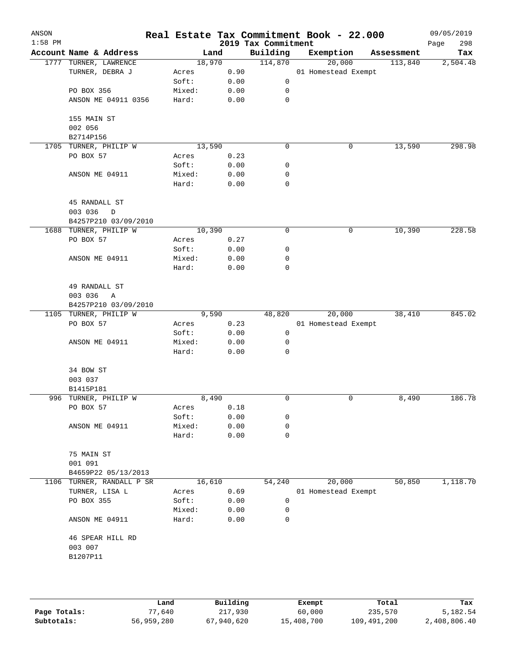| ANSON<br>$1:58$ PM |                        |                 |              | 2019 Tax Commitment | Real Estate Tax Commitment Book - 22.000 |            | 09/05/2019<br>298<br>Page |
|--------------------|------------------------|-----------------|--------------|---------------------|------------------------------------------|------------|---------------------------|
|                    | Account Name & Address |                 | Land         | Building            | Exemption                                | Assessment | Tax                       |
|                    | 1777 TURNER, LAWRENCE  |                 | 18,970       | 114,870             | 20,000                                   | 113,840    | 2,504.48                  |
|                    | TURNER, DEBRA J        | Acres           | 0.90         |                     | 01 Homestead Exempt                      |            |                           |
|                    |                        | Soft:           | 0.00         | 0                   |                                          |            |                           |
|                    | PO BOX 356             | Mixed:          | 0.00         | 0                   |                                          |            |                           |
|                    | ANSON ME 04911 0356    | Hard:           | 0.00         | $\mathbf 0$         |                                          |            |                           |
|                    | 155 MAIN ST            |                 |              |                     |                                          |            |                           |
|                    | 002 056<br>B2714P156   |                 |              |                     |                                          |            |                           |
|                    | 1705 TURNER, PHILIP W  |                 | 13,590       | 0                   | 0                                        | 13,590     | 298.98                    |
|                    | PO BOX 57              | Acres           | 0.23         |                     |                                          |            |                           |
|                    |                        | Soft:           | 0.00         | 0                   |                                          |            |                           |
|                    | ANSON ME 04911         | Mixed:          | 0.00         | 0                   |                                          |            |                           |
|                    |                        | Hard:           | 0.00         | $\mathbf 0$         |                                          |            |                           |
|                    | 45 RANDALL ST          |                 |              |                     |                                          |            |                           |
|                    | 003 036<br>D           |                 |              |                     |                                          |            |                           |
|                    | B4257P210 03/09/2010   |                 |              |                     |                                          |            |                           |
|                    |                        |                 | 10,390       | 0                   | 0                                        | 10,390     | 228.58                    |
|                    | 1688 TURNER, PHILIP W  |                 |              |                     |                                          |            |                           |
|                    | PO BOX 57              | Acres           | 0.27         |                     |                                          |            |                           |
|                    |                        | Soft:           | 0.00         | 0                   |                                          |            |                           |
|                    | ANSON ME 04911         | Mixed:<br>Hard: | 0.00<br>0.00 | 0<br>0              |                                          |            |                           |
|                    |                        |                 |              |                     |                                          |            |                           |
|                    | 49 RANDALL ST          |                 |              |                     |                                          |            |                           |
|                    | 003 036<br>Α           |                 |              |                     |                                          |            |                           |
|                    | B4257P210 03/09/2010   |                 |              |                     |                                          |            |                           |
|                    | 1105 TURNER, PHILIP W  |                 | 9,590        | 48,820              | 20,000                                   | 38,410     | 845.02                    |
|                    | PO BOX 57              | Acres           | 0.23         |                     | 01 Homestead Exempt                      |            |                           |
|                    |                        | Soft:           | 0.00         | 0                   |                                          |            |                           |
|                    | ANSON ME 04911         | Mixed:          | 0.00         | 0                   |                                          |            |                           |
|                    |                        | Hard:           | 0.00         | 0                   |                                          |            |                           |
|                    | 34 BOW ST              |                 |              |                     |                                          |            |                           |
|                    | 003 037                |                 |              |                     |                                          |            |                           |
|                    | B1415P181              |                 |              |                     |                                          |            |                           |
|                    | 996 TURNER, PHILIP W   |                 | 8,490        | 0                   | 0                                        | 8,490      | 186.78                    |
|                    | PO BOX 57              | Acres           | 0.18         |                     |                                          |            |                           |
|                    |                        | Soft:           | 0.00         | 0                   |                                          |            |                           |
|                    | ANSON ME 04911         | Mixed:          | 0.00         | 0                   |                                          |            |                           |
|                    |                        | Hard:           | 0.00         | $\mathbf 0$         |                                          |            |                           |
|                    |                        |                 |              |                     |                                          |            |                           |
|                    | 75 MAIN ST             |                 |              |                     |                                          |            |                           |
|                    | 001 091                |                 |              |                     |                                          |            |                           |
|                    | B4659P22 05/13/2013    |                 |              |                     |                                          |            |                           |
| 1106               | TURNER, RANDALL P SR   | 16,610          |              | 54,240              | 20,000                                   | 50,850     | 1,118.70                  |
|                    | TURNER, LISA L         | Acres           | 0.69         |                     | 01 Homestead Exempt                      |            |                           |
|                    | PO BOX 355             | Soft:           | 0.00         | 0                   |                                          |            |                           |
|                    |                        | Mixed:          | 0.00         | 0                   |                                          |            |                           |
|                    | ANSON ME 04911         | Hard:           | 0.00         | $\mathbf 0$         |                                          |            |                           |
|                    | 46 SPEAR HILL RD       |                 |              |                     |                                          |            |                           |
|                    | 003 007                |                 |              |                     |                                          |            |                           |
|                    | B1207P11               |                 |              |                     |                                          |            |                           |
|                    |                        |                 |              |                     |                                          |            |                           |
|                    |                        |                 |              |                     |                                          |            |                           |
|                    |                        |                 |              |                     |                                          |            |                           |

|              | Land       | Building   | Exempt     | Total       | Tax          |
|--------------|------------|------------|------------|-------------|--------------|
| Page Totals: | 77,640     | 217,930    | 60,000     | 235,570     | 5,182.54     |
| Subtotals:   | 56,959,280 | 67,940,620 | 15,408,700 | 109,491,200 | 2,408,806.40 |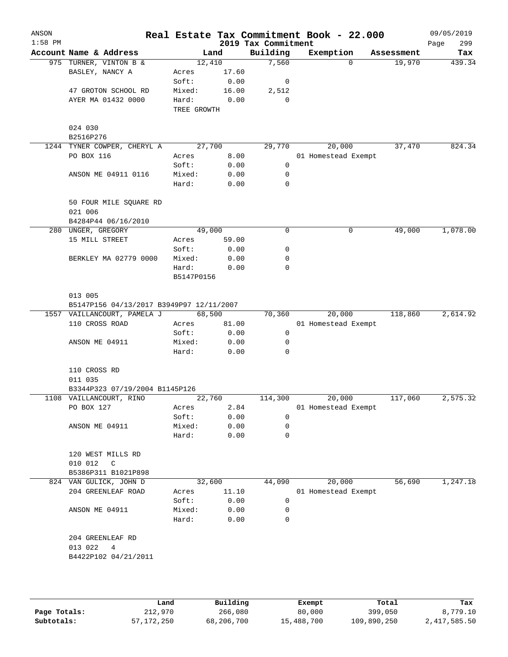| ANSON<br>$1:58$ PM |                                          |                 |              | 2019 Tax Commitment | Real Estate Tax Commitment Book - 22.000 |            | 09/05/2019<br>299<br>Page |
|--------------------|------------------------------------------|-----------------|--------------|---------------------|------------------------------------------|------------|---------------------------|
|                    | Account Name & Address                   |                 | Land         | Building            | Exemption                                | Assessment | Tax                       |
|                    | 975 TURNER, VINTON B &                   | 12,410          |              | 7,560               | $\Omega$                                 | 19,970     | 439.34                    |
|                    | BASLEY, NANCY A                          | Acres           | 17.60        |                     |                                          |            |                           |
|                    |                                          | Soft:           | 0.00         | 0                   |                                          |            |                           |
|                    | 47 GROTON SCHOOL RD                      | Mixed:          | 16.00        | 2,512               |                                          |            |                           |
|                    | AYER MA 01432 0000                       | Hard:           | 0.00         | 0                   |                                          |            |                           |
|                    |                                          | TREE GROWTH     |              |                     |                                          |            |                           |
|                    | 024 030                                  |                 |              |                     |                                          |            |                           |
|                    | B2516P276                                |                 |              |                     |                                          |            |                           |
|                    | 1244 TYNER COWPER, CHERYL A              | 27,700          |              | 29,770              | 20,000                                   | 37,470     | 824.34                    |
|                    | PO BOX 116                               | Acres           | 8.00         |                     | 01 Homestead Exempt                      |            |                           |
|                    |                                          | Soft:           | 0.00         | 0                   |                                          |            |                           |
|                    | ANSON ME 04911 0116                      | Mixed:          | 0.00         | 0                   |                                          |            |                           |
|                    |                                          | Hard:           | 0.00         | $\mathbf 0$         |                                          |            |                           |
|                    | 50 FOUR MILE SQUARE RD                   |                 |              |                     |                                          |            |                           |
|                    | 021 006                                  |                 |              |                     |                                          |            |                           |
|                    | B4284P44 06/16/2010                      |                 |              |                     |                                          |            |                           |
|                    | 280 UNGER, GREGORY                       | 49,000          |              | 0                   | 0                                        | 49,000     | 1,078.00                  |
|                    | 15 MILL STREET                           | Acres           | 59.00        |                     |                                          |            |                           |
|                    |                                          |                 |              |                     |                                          |            |                           |
|                    |                                          | Soft:           | 0.00         | 0                   |                                          |            |                           |
|                    | BERKLEY MA 02779 0000                    | Mixed:          | 0.00         | 0                   |                                          |            |                           |
|                    |                                          | Hard:           | 0.00         | 0                   |                                          |            |                           |
|                    |                                          | B5147P0156      |              |                     |                                          |            |                           |
|                    | 013 005                                  |                 |              |                     |                                          |            |                           |
|                    | B5147P156 04/13/2017 B3949P97 12/11/2007 |                 |              |                     |                                          |            |                           |
|                    | 1557 VAILLANCOURT, PAMELA J              | 68,500          |              | 70,360              | 20,000                                   | 118,860    | 2,614.92                  |
|                    | 110 CROSS ROAD                           | Acres           | 81.00        |                     | 01 Homestead Exempt                      |            |                           |
|                    |                                          | Soft:           | 0.00         | 0                   |                                          |            |                           |
|                    | ANSON ME 04911                           | Mixed:          | 0.00         | 0                   |                                          |            |                           |
|                    |                                          | Hard:           | 0.00         | 0                   |                                          |            |                           |
|                    |                                          |                 |              |                     |                                          |            |                           |
|                    | 110 CROSS RD                             |                 |              |                     |                                          |            |                           |
|                    | 011 035                                  |                 |              |                     |                                          |            |                           |
|                    | B3344P323 07/19/2004 B1145P126           |                 |              |                     |                                          |            |                           |
|                    | 1108 VAILLANCOURT, RINO                  | 22,760          |              | 114,300             | 20,000                                   | 117,060    | 2,575.32                  |
|                    | PO BOX 127                               | Acres           | 2.84         |                     | 01 Homestead Exempt                      |            |                           |
|                    |                                          | Soft:           | 0.00         | 0                   |                                          |            |                           |
|                    | ANSON ME 04911                           | Mixed:          | 0.00         | 0                   |                                          |            |                           |
|                    |                                          | Hard:           | 0.00         | $\mathbf 0$         |                                          |            |                           |
|                    | 120 WEST MILLS RD                        |                 |              |                     |                                          |            |                           |
|                    | 010 012<br>C                             |                 |              |                     |                                          |            |                           |
|                    | B5386P311 B1021P898                      |                 |              |                     |                                          |            |                           |
|                    | 824 VAN GULICK, JOHN D                   |                 | 32,600       | 44,090              | 20,000                                   | 56,690     | 1,247.18                  |
|                    | 204 GREENLEAF ROAD                       | Acres           | 11.10        |                     | 01 Homestead Exempt                      |            |                           |
|                    |                                          |                 | 0.00         |                     |                                          |            |                           |
|                    |                                          | Soft:           |              | 0                   |                                          |            |                           |
|                    | ANSON ME 04911                           | Mixed:<br>Hard: | 0.00<br>0.00 | 0<br>0              |                                          |            |                           |
|                    |                                          |                 |              |                     |                                          |            |                           |
|                    | 204 GREENLEAF RD                         |                 |              |                     |                                          |            |                           |
|                    | 013 022<br>$\overline{4}$                |                 |              |                     |                                          |            |                           |
|                    | B4422P102 04/21/2011                     |                 |              |                     |                                          |            |                           |
|                    |                                          |                 |              |                     |                                          |            |                           |
|                    |                                          |                 |              |                     |                                          |            |                           |
|                    |                                          |                 |              |                     |                                          |            |                           |

|              | Land         | Building   | Exempt     | Total       | Tax          |
|--------------|--------------|------------|------------|-------------|--------------|
| Page Totals: | 212,970      | 266,080    | 80,000     | 399,050     | 8,779.10     |
| Subtotals:   | 57, 172, 250 | 68,206,700 | 15,488,700 | 109,890,250 | 2,417,585.50 |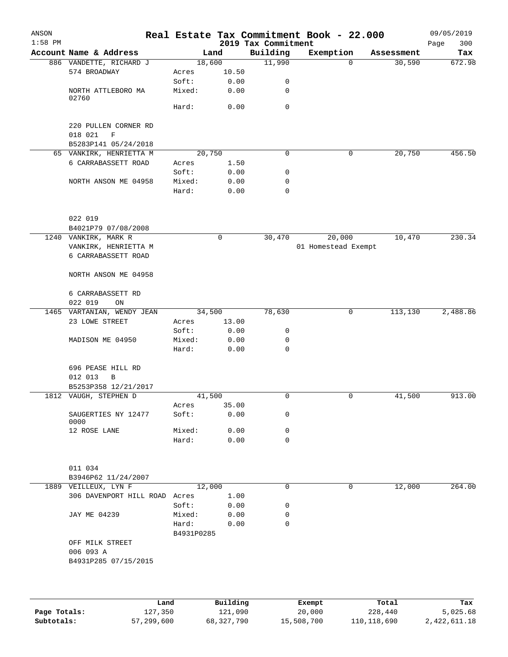| ANSON     |                               |                     |             |                     | Real Estate Tax Commitment Book - 22.000 |            | 09/05/2019  |
|-----------|-------------------------------|---------------------|-------------|---------------------|------------------------------------------|------------|-------------|
| $1:58$ PM |                               |                     |             | 2019 Tax Commitment |                                          |            | 300<br>Page |
|           | Account Name & Address        |                     | Land        | Building            | Exemption                                | Assessment | Tax         |
|           | 886 VANDETTE, RICHARD J       |                     | 18,600      | 11,990              | $\Omega$                                 | 30,590     | 672.98      |
|           | 574 BROADWAY                  | Acres               | 10.50       |                     |                                          |            |             |
|           |                               | Soft:               | 0.00        | 0                   |                                          |            |             |
|           | NORTH ATTLEBORO MA<br>02760   | Mixed:              | 0.00        | $\mathbf 0$         |                                          |            |             |
|           |                               | Hard:               | 0.00        | $\mathbf 0$         |                                          |            |             |
|           |                               |                     |             |                     |                                          |            |             |
|           | 220 PULLEN CORNER RD          |                     |             |                     |                                          |            |             |
|           | 018 021<br>$\mathbf F$        |                     |             |                     |                                          |            |             |
|           | B5283P141 05/24/2018          |                     |             |                     |                                          |            |             |
|           | 65 VANKIRK, HENRIETTA M       |                     | 20,750      | 0                   | 0                                        | 20,750     | 456.50      |
|           | 6 CARRABASSETT ROAD           | Acres               | 1.50        |                     |                                          |            |             |
|           |                               | Soft:               | 0.00        | 0                   |                                          |            |             |
|           | NORTH ANSON ME 04958          | Mixed:              | 0.00        | 0                   |                                          |            |             |
|           |                               | Hard:               | 0.00        | $\mathbf 0$         |                                          |            |             |
|           | 022 019                       |                     |             |                     |                                          |            |             |
|           | B4021P79 07/08/2008           |                     |             |                     |                                          |            |             |
|           | 1240 VANKIRK, MARK R          |                     | $\mathbf 0$ | 30,470              | 20,000                                   | 10,470     | 230.34      |
|           | VANKIRK, HENRIETTA M          |                     |             |                     | 01 Homestead Exempt                      |            |             |
|           | 6 CARRABASSETT ROAD           |                     |             |                     |                                          |            |             |
|           | NORTH ANSON ME 04958          |                     |             |                     |                                          |            |             |
|           | 6 CARRABASSETT RD             |                     |             |                     |                                          |            |             |
|           | 022 019<br>ON                 |                     |             |                     |                                          |            |             |
|           | 1465 VARTANIAN, WENDY JEAN    |                     | 34,500      | 78,630              | 0                                        | 113,130    | 2,488.86    |
|           | 23 LOWE STREET                | Acres               | 13.00       |                     |                                          |            |             |
|           |                               | Soft:               | 0.00        | 0                   |                                          |            |             |
|           | MADISON ME 04950              | Mixed:              | 0.00        | 0                   |                                          |            |             |
|           |                               | Hard:               | 0.00        | $\mathbf 0$         |                                          |            |             |
|           | 696 PEASE HILL RD             |                     |             |                     |                                          |            |             |
|           | 012 013<br>B                  |                     |             |                     |                                          |            |             |
|           | B5253P358 12/21/2017          |                     |             |                     |                                          |            |             |
|           | 1812 VAUGH, STEPHEN D         |                     | 41,500      | $\mathbf 0$         | 0                                        | 41,500     | 913.00      |
|           |                               | Acres               | 35.00       |                     |                                          |            |             |
|           | SAUGERTIES NY 12477<br>0000   | Soft:               | 0.00        | 0                   |                                          |            |             |
|           | 12 ROSE LANE                  | Mixed:              | 0.00        | 0                   |                                          |            |             |
|           |                               | Hard:               | 0.00        | $\mathbf 0$         |                                          |            |             |
|           |                               |                     |             |                     |                                          |            |             |
|           | 011 034                       |                     |             |                     |                                          |            |             |
|           | B3946P62 11/24/2007           |                     |             |                     |                                          |            |             |
|           | 1889 VEILLEUX, LYN F          |                     | 12,000      | $\mathbf 0$         | 0                                        | 12,000     | 264.00      |
|           | 306 DAVENPORT HILL ROAD Acres |                     | 1.00        |                     |                                          |            |             |
|           |                               | Soft:               | 0.00        | 0                   |                                          |            |             |
|           | JAY ME 04239                  | Mixed:              | 0.00        | 0                   |                                          |            |             |
|           |                               | Hard:<br>B4931P0285 | 0.00        | 0                   |                                          |            |             |
|           | OFF MILK STREET               |                     |             |                     |                                          |            |             |
|           | 006 093 A                     |                     |             |                     |                                          |            |             |
|           | B4931P285 07/15/2015          |                     |             |                     |                                          |            |             |
|           |                               |                     |             |                     |                                          |            |             |
|           |                               |                     |             |                     |                                          |            |             |
|           | Land                          |                     | Building    |                     | Exempt                                   | Total      | Tax         |

**Page Totals:** 127,350 121,090 20,000 228,440 5,025.68 **Subtotals:** 57,299,600 68,327,790 15,508,700 110,118,690 2,422,611.18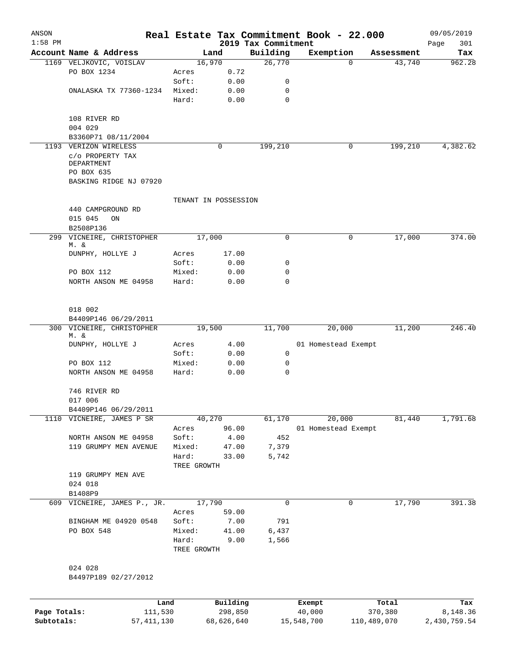| ANSON<br>$1:58$ PM         |                                                   |                      |                       | 2019 Tax Commitment | Real Estate Tax Commitment Book - 22.000 |                        | 09/05/2019<br>301<br>Page |
|----------------------------|---------------------------------------------------|----------------------|-----------------------|---------------------|------------------------------------------|------------------------|---------------------------|
|                            | Account Name & Address                            |                      | Land                  | Building            | Exemption                                | Assessment             | Tax                       |
|                            | 1169 VELJKOVIC, VOISLAV                           |                      | 16,970                | 26,770              |                                          | 43,740<br>$\Omega$     | 962.28                    |
|                            | PO BOX 1234                                       | Acres                | 0.72                  |                     |                                          |                        |                           |
|                            |                                                   | Soft:                | 0.00                  | 0                   |                                          |                        |                           |
|                            | ONALASKA TX 77360-1234                            | Mixed:               | 0.00                  | 0                   |                                          |                        |                           |
|                            |                                                   | Hard:                | 0.00                  | $\mathbf 0$         |                                          |                        |                           |
|                            | 108 RIVER RD                                      |                      |                       |                     |                                          |                        |                           |
|                            | 004 029                                           |                      |                       |                     |                                          |                        |                           |
|                            | B3360P71 08/11/2004                               |                      |                       |                     |                                          |                        |                           |
|                            | 1193 VERIZON WIRELESS                             |                      | 0                     | 199,210             |                                          | 199,210<br>0           | 4,382.62                  |
|                            | C/O PROPERTY TAX                                  |                      |                       |                     |                                          |                        |                           |
|                            | DEPARTMENT<br>PO BOX 635                          |                      |                       |                     |                                          |                        |                           |
|                            | BASKING RIDGE NJ 07920                            |                      |                       |                     |                                          |                        |                           |
|                            |                                                   |                      |                       |                     |                                          |                        |                           |
|                            |                                                   |                      | TENANT IN POSSESSION  |                     |                                          |                        |                           |
|                            | 440 CAMPGROUND RD                                 |                      |                       |                     |                                          |                        |                           |
|                            | 015 045<br>ON                                     |                      |                       |                     |                                          |                        |                           |
|                            | B2508P136                                         |                      |                       |                     |                                          |                        |                           |
| 299                        | VICNEIRE, CHRISTOPHER<br>M. &                     |                      | 17,000                | $\mathbf 0$         |                                          | 17,000<br>0            | 374.00                    |
|                            | DUNPHY, HOLLYE J                                  | Acres                | 17.00                 |                     |                                          |                        |                           |
|                            |                                                   | Soft:                | 0.00                  | 0                   |                                          |                        |                           |
|                            | PO BOX 112                                        | Mixed:               | 0.00                  | $\mathbf 0$         |                                          |                        |                           |
|                            | NORTH ANSON ME 04958                              | Hard:                | 0.00                  | $\Omega$            |                                          |                        |                           |
|                            |                                                   |                      |                       |                     |                                          |                        |                           |
|                            | 018 002                                           |                      |                       |                     |                                          |                        |                           |
|                            | B4409P146 06/29/2011                              |                      |                       |                     |                                          |                        |                           |
|                            | 300 VICNEIRE, CHRISTOPHER                         |                      | 19,500                | 11,700              | 20,000                                   | 11,200                 | 246.40                    |
|                            | M. &                                              |                      |                       |                     |                                          |                        |                           |
|                            | DUNPHY, HOLLYE J                                  | Acres                | 4.00                  |                     | 01 Homestead Exempt                      |                        |                           |
|                            |                                                   | Soft:                | 0.00                  | 0                   |                                          |                        |                           |
|                            | PO BOX 112                                        | Mixed:               | 0.00                  | 0                   |                                          |                        |                           |
|                            | NORTH ANSON ME 04958                              | Hard:                | 0.00                  | $\mathbf 0$         |                                          |                        |                           |
|                            | 746 RIVER RD                                      |                      |                       |                     |                                          |                        |                           |
|                            | 017 006                                           |                      |                       |                     |                                          |                        |                           |
|                            | B4409P146 06/29/2011<br>1110 VICNEIRE, JAMES P SR |                      | 40,270                | 61,170              | 20,000                                   | 81,440                 |                           |
|                            |                                                   | Acres                | 96.00                 |                     | 01 Homestead Exempt                      |                        | 1,791.68                  |
|                            | NORTH ANSON ME 04958                              | Soft:                | 4.00                  | 452                 |                                          |                        |                           |
|                            | 119 GRUMPY MEN AVENUE                             | Mixed:               | 47.00                 | 7,379               |                                          |                        |                           |
|                            |                                                   | Hard:                | 33.00                 | 5,742               |                                          |                        |                           |
|                            |                                                   | TREE GROWTH          |                       |                     |                                          |                        |                           |
|                            | 119 GRUMPY MEN AVE                                |                      |                       |                     |                                          |                        |                           |
|                            | 024 018                                           |                      |                       |                     |                                          |                        |                           |
|                            | B1408P9                                           |                      |                       |                     |                                          |                        |                           |
|                            | 609 VICNEIRE, JAMES P., JR.                       |                      | 17,790                | 0                   |                                          | 17,790<br>0            | 391.38                    |
|                            |                                                   | Acres                | 59.00                 |                     |                                          |                        |                           |
|                            | BINGHAM ME 04920 0548                             | Soft:                | 7.00                  | 791                 |                                          |                        |                           |
|                            | PO BOX 548                                        | Mixed:               | 41.00                 | 6,437               |                                          |                        |                           |
|                            |                                                   | Hard:<br>TREE GROWTH | 9.00                  | 1,566               |                                          |                        |                           |
|                            |                                                   |                      |                       |                     |                                          |                        |                           |
|                            | 024 028<br>B4497P189 02/27/2012                   |                      |                       |                     |                                          |                        |                           |
|                            |                                                   |                      |                       |                     |                                          |                        |                           |
|                            | Land                                              |                      | Building              |                     | Exempt                                   | Total                  | Tax                       |
| Page Totals:<br>Subtotals: | 111,530<br>57, 411, 130                           |                      | 298,850<br>68,626,640 |                     | 40,000<br>15,548,700                     | 370,380<br>110,489,070 | 8,148.36<br>2,430,759.54  |
|                            |                                                   |                      |                       |                     |                                          |                        |                           |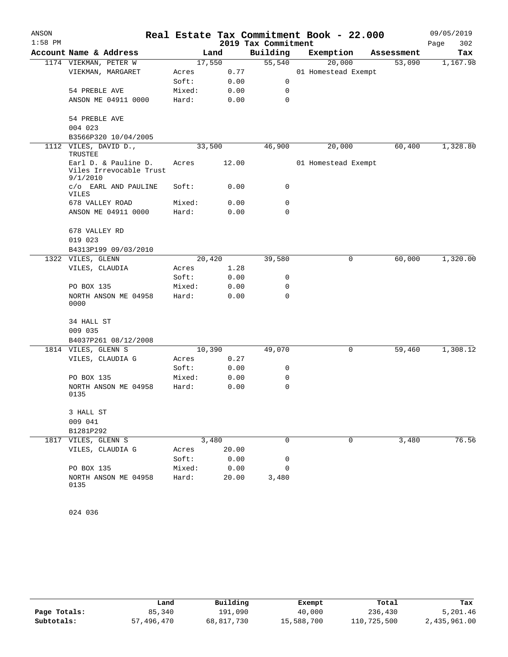| ANSON     |                                                             |        |        |                     | Real Estate Tax Commitment Book - 22.000 |            | 09/05/2019  |
|-----------|-------------------------------------------------------------|--------|--------|---------------------|------------------------------------------|------------|-------------|
| $1:58$ PM |                                                             |        |        | 2019 Tax Commitment |                                          |            | Page<br>302 |
|           | Account Name & Address                                      |        | Land   | Building            | Exemption                                | Assessment | Tax         |
|           | 1174 VIEKMAN, PETER W                                       |        | 17,550 | 55,540              | 20,000                                   | 53,090     | 1,167.98    |
|           | VIEKMAN, MARGARET                                           | Acres  | 0.77   |                     | 01 Homestead Exempt                      |            |             |
|           |                                                             | Soft:  | 0.00   | 0                   |                                          |            |             |
|           | 54 PREBLE AVE                                               | Mixed: | 0.00   | 0                   |                                          |            |             |
|           | ANSON ME 04911 0000                                         | Hard:  | 0.00   | 0                   |                                          |            |             |
|           | 54 PREBLE AVE                                               |        |        |                     |                                          |            |             |
|           | 004 023                                                     |        |        |                     |                                          |            |             |
|           | B3566P320 10/04/2005                                        |        |        |                     |                                          |            |             |
| 1112      | VILES, DAVID D.,<br>TRUSTEE                                 |        | 33,500 | 46,900              | 20,000                                   | 60,400     | 1,328.80    |
|           | Earl D. & Pauline D.<br>Viles Irrevocable Trust<br>9/1/2010 | Acres  | 12.00  |                     | 01 Homestead Exempt                      |            |             |
|           | c/o EARL AND PAULINE<br>VILES                               | Soft:  | 0.00   | 0                   |                                          |            |             |
|           | 678 VALLEY ROAD                                             | Mixed: | 0.00   | 0                   |                                          |            |             |
|           | ANSON ME 04911 0000                                         | Hard:  | 0.00   | 0                   |                                          |            |             |
|           | 678 VALLEY RD                                               |        |        |                     |                                          |            |             |
|           | 019 023                                                     |        |        |                     |                                          |            |             |
|           | B4313P199 09/03/2010                                        |        |        |                     |                                          |            |             |
|           | 1322 VILES, GLENN                                           |        | 20,420 | 39,580              | 0                                        | 60,000     | 1,320.00    |
|           | VILES, CLAUDIA                                              | Acres  | 1.28   |                     |                                          |            |             |
|           |                                                             | Soft:  | 0.00   | 0                   |                                          |            |             |
|           | PO BOX 135                                                  | Mixed: | 0.00   | 0                   |                                          |            |             |
|           | NORTH ANSON ME 04958<br>0000                                | Hard:  | 0.00   | 0                   |                                          |            |             |
|           | 34 HALL ST<br>009 035                                       |        |        |                     |                                          |            |             |
|           | B4037P261 08/12/2008                                        |        |        |                     |                                          |            |             |
|           | 1814 VILES, GLENN S                                         |        | 10,390 | 49,070              | 0                                        | 59,460     | 1,308.12    |
|           | VILES, CLAUDIA G                                            | Acres  | 0.27   |                     |                                          |            |             |
|           |                                                             | Soft:  | 0.00   | 0                   |                                          |            |             |
|           | PO BOX 135                                                  | Mixed: | 0.00   | 0                   |                                          |            |             |
|           | NORTH ANSON ME 04958<br>0135                                | Hard:  | 0.00   | 0                   |                                          |            |             |
|           | 3 HALL ST                                                   |        |        |                     |                                          |            |             |
|           | 009 041                                                     |        |        |                     |                                          |            |             |
|           | B1281P292                                                   |        |        |                     |                                          |            |             |
| 1817      | VILES, GLENN S                                              |        | 3,480  | 0                   | 0                                        | 3,480      | 76.56       |
|           | VILES, CLAUDIA G                                            | Acres  | 20.00  |                     |                                          |            |             |
|           |                                                             | Soft:  | 0.00   | 0                   |                                          |            |             |
|           | PO BOX 135                                                  | Mixed: | 0.00   | 0                   |                                          |            |             |
|           | NORTH ANSON ME 04958<br>0135                                | Hard:  | 20.00  | 3,480               |                                          |            |             |

024 036

|              | Land       | Building   | Exempt     | Total       | Tax          |
|--------------|------------|------------|------------|-------------|--------------|
| Page Totals: | 85,340     | 191,090    | 40,000     | 236,430     | 5,201.46     |
| Subtotals:   | 57,496,470 | 68,817,730 | 15,588,700 | 110,725,500 | 2,435,961.00 |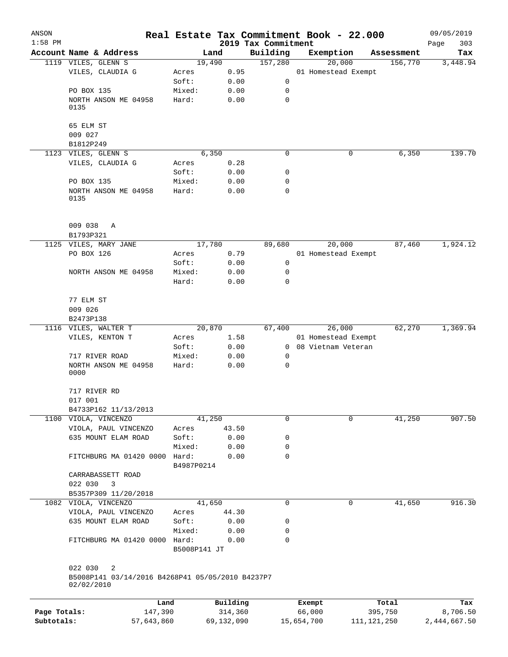| ANSON        |                                                                                |                       |              |                                 | Real Estate Tax Commitment Book - 22.000 |               |            | 09/05/2019         |
|--------------|--------------------------------------------------------------------------------|-----------------------|--------------|---------------------------------|------------------------------------------|---------------|------------|--------------------|
| $1:58$ PM    | Account Name & Address                                                         |                       | Land         | 2019 Tax Commitment<br>Building |                                          |               | Assessment | Page<br>303<br>Tax |
|              | 1119 VILES, GLENN S                                                            | 19,490                |              | 157,280                         | Exemption<br>20,000                      |               | 156,770    | 3,448.94           |
|              | VILES, CLAUDIA G                                                               | Acres                 | 0.95         |                                 | 01 Homestead Exempt                      |               |            |                    |
|              |                                                                                | Soft:                 | 0.00         | 0                               |                                          |               |            |                    |
|              | PO BOX 135                                                                     | Mixed:                | 0.00         | 0                               |                                          |               |            |                    |
|              | NORTH ANSON ME 04958<br>0135                                                   | Hard:                 | 0.00         | $\mathbf 0$                     |                                          |               |            |                    |
|              | 65 ELM ST                                                                      |                       |              |                                 |                                          |               |            |                    |
|              | 009 027                                                                        |                       |              |                                 |                                          |               |            |                    |
|              | B1812P249                                                                      |                       |              |                                 |                                          |               |            |                    |
|              | 1123 VILES, GLENN S                                                            |                       | 6,350        | $\mathbf 0$                     |                                          | 0             | 6,350      | 139.70             |
|              | VILES, CLAUDIA G                                                               | Acres<br>Soft:        | 0.28<br>0.00 | 0                               |                                          |               |            |                    |
|              | PO BOX 135                                                                     | Mixed:                | 0.00         | 0                               |                                          |               |            |                    |
|              | NORTH ANSON ME 04958<br>0135                                                   | Hard:                 | 0.00         | 0                               |                                          |               |            |                    |
|              | 009 038<br>Α<br>B1793P321                                                      |                       |              |                                 |                                          |               |            |                    |
|              | 1125 VILES, MARY JANE                                                          | 17,780                |              | 89,680                          | 20,000                                   |               | 87,460     | 1,924.12           |
|              | PO BOX 126                                                                     | Acres                 | 0.79         |                                 | 01 Homestead Exempt                      |               |            |                    |
|              |                                                                                | Soft:                 | 0.00         | 0                               |                                          |               |            |                    |
|              | NORTH ANSON ME 04958                                                           | Mixed:                | 0.00         | 0                               |                                          |               |            |                    |
|              |                                                                                | Hard:                 | 0.00         | 0                               |                                          |               |            |                    |
|              | 77 ELM ST                                                                      |                       |              |                                 |                                          |               |            |                    |
|              | 009 026                                                                        |                       |              |                                 |                                          |               |            |                    |
|              | B2473P138                                                                      |                       |              |                                 |                                          |               |            |                    |
|              | 1116 VILES, WALTER T                                                           | 20,870                |              | 67,400                          | 26,000                                   |               | 62,270     | 1,369.94           |
|              | VILES, KENTON T                                                                | Acres                 | 1.58         |                                 | 01 Homestead Exempt                      |               |            |                    |
|              |                                                                                | Soft:                 | 0.00         |                                 | 0 08 Vietnam Veteran                     |               |            |                    |
|              | 717 RIVER ROAD                                                                 | Mixed:                | 0.00         | 0                               |                                          |               |            |                    |
|              | NORTH ANSON ME 04958<br>0000                                                   | Hard:                 | 0.00         | 0                               |                                          |               |            |                    |
|              | 717 RIVER RD                                                                   |                       |              |                                 |                                          |               |            |                    |
|              | 017 001<br>B4733P162 11/13/2013                                                |                       |              |                                 |                                          |               |            |                    |
|              | 1100 VIOLA, VINCENZO                                                           | 41,250                |              | 0                               |                                          | 0             | 41,250     | 907.50             |
|              | VIOLA, PAUL VINCENZO                                                           | Acres                 | 43.50        |                                 |                                          |               |            |                    |
|              | 635 MOUNT ELAM ROAD                                                            | Soft:                 | 0.00         | 0                               |                                          |               |            |                    |
|              |                                                                                | Mixed:                | 0.00         | 0                               |                                          |               |            |                    |
|              | FITCHBURG MA 01420 0000                                                        | Hard:                 | 0.00         | $\mathbf 0$                     |                                          |               |            |                    |
|              | CARRABASSETT ROAD                                                              | B4987P0214            |              |                                 |                                          |               |            |                    |
|              | 022 030<br>3                                                                   |                       |              |                                 |                                          |               |            |                    |
|              | B5357P309 11/20/2018<br>1082 VIOLA, VINCENZO                                   | 41,650                |              | 0                               |                                          | 0             | 41,650     | 916.30             |
|              | VIOLA, PAUL VINCENZO                                                           | Acres                 | 44.30        |                                 |                                          |               |            |                    |
|              | 635 MOUNT ELAM ROAD                                                            | Soft:                 | 0.00         | 0                               |                                          |               |            |                    |
|              |                                                                                | Mixed:                | 0.00         | 0                               |                                          |               |            |                    |
|              | FITCHBURG MA 01420 0000                                                        | Hard:<br>B5008P141 JT | 0.00         | 0                               |                                          |               |            |                    |
|              | 022 030<br>2<br>B5008P141 03/14/2016 B4268P41 05/05/2010 B4237P7<br>02/02/2010 |                       |              |                                 |                                          |               |            |                    |
|              | Land                                                                           |                       | Building     |                                 | Exempt                                   |               | Total      | Tax                |
| Page Totals: | 147,390                                                                        |                       | 314,360      |                                 | 66,000                                   |               | 395,750    | 8,706.50           |
| Subtotals:   | 57,643,860                                                                     |                       | 69,132,090   |                                 | 15,654,700                               | 111, 121, 250 |            | 2,444,667.50       |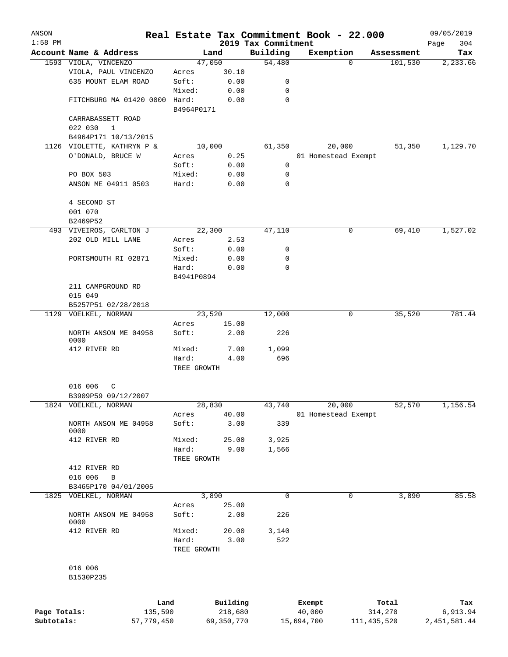| ANSON        |                                              |                      |            |                                 | Real Estate Tax Commitment Book - 22.000 |                                   | 09/05/2019         |
|--------------|----------------------------------------------|----------------------|------------|---------------------------------|------------------------------------------|-----------------------------------|--------------------|
| $1:58$ PM    | Account Name & Address                       |                      | Land       | 2019 Tax Commitment<br>Building | Exemption                                |                                   | 304<br>Page<br>Tax |
|              | 1593 VIOLA, VINCENZO                         |                      | 47,050     | 54,480                          |                                          | Assessment<br>101,530<br>$\Omega$ | 2, 233.66          |
|              | VIOLA, PAUL VINCENZO                         | Acres                | 30.10      |                                 |                                          |                                   |                    |
|              | 635 MOUNT ELAM ROAD                          | Soft:                | 0.00       | 0                               |                                          |                                   |                    |
|              |                                              | Mixed:               | 0.00       | 0                               |                                          |                                   |                    |
|              | FITCHBURG MA 01420 0000                      | Hard:<br>B4964P0171  | 0.00       | $\mathbf 0$                     |                                          |                                   |                    |
|              | CARRABASSETT ROAD<br>022 030<br>$\mathbf{1}$ |                      |            |                                 |                                          |                                   |                    |
|              | B4964P171 10/13/2015                         |                      |            |                                 |                                          |                                   |                    |
|              | 1126 VIOLETTE, KATHRYN P &                   |                      | 10,000     | 61,350                          | 20,000                                   |                                   | 51,350<br>1,129.70 |
|              | O'DONALD, BRUCE W                            | Acres                | 0.25       |                                 | 01 Homestead Exempt                      |                                   |                    |
|              |                                              | Soft:                | 0.00       | 0                               |                                          |                                   |                    |
|              | PO BOX 503                                   | Mixed:               | 0.00       | 0                               |                                          |                                   |                    |
|              | ANSON ME 04911 0503                          | Hard:                | 0.00       | 0                               |                                          |                                   |                    |
|              | 4 SECOND ST                                  |                      |            |                                 |                                          |                                   |                    |
|              | 001 070                                      |                      |            |                                 |                                          |                                   |                    |
|              | B2469P52                                     |                      |            |                                 |                                          |                                   |                    |
|              | 493 VIVEIROS, CARLTON J                      |                      | 22,300     | 47,110                          |                                          | 0                                 | 69,410<br>1,527.02 |
|              | 202 OLD MILL LANE                            | Acres                | 2.53       |                                 |                                          |                                   |                    |
|              |                                              | Soft:                | 0.00       | 0                               |                                          |                                   |                    |
|              | PORTSMOUTH RI 02871                          | Mixed:               | 0.00       | 0<br>$\mathbf 0$                |                                          |                                   |                    |
|              |                                              | Hard:                | 0.00       |                                 |                                          |                                   |                    |
|              | 211 CAMPGROUND RD                            | B4941P0894           |            |                                 |                                          |                                   |                    |
|              | 015 049                                      |                      |            |                                 |                                          |                                   |                    |
|              | B5257P51 02/28/2018                          |                      |            |                                 |                                          |                                   |                    |
|              | 1129 VOELKEL, NORMAN                         |                      | 23,520     | 12,000                          |                                          | 0<br>35,520                       | 781.44             |
|              |                                              | Acres                | 15.00      |                                 |                                          |                                   |                    |
|              | NORTH ANSON ME 04958<br>0000                 | Soft:                | 2.00       | 226                             |                                          |                                   |                    |
|              | 412 RIVER RD                                 | Mixed:               | 7.00       | 1,099                           |                                          |                                   |                    |
|              |                                              | Hard:                | 4.00       | 696                             |                                          |                                   |                    |
|              |                                              | TREE GROWTH          |            |                                 |                                          |                                   |                    |
|              | 016 006<br>C                                 |                      |            |                                 |                                          |                                   |                    |
|              | B3909P59 09/12/2007                          |                      |            |                                 |                                          |                                   |                    |
|              | 1824 VOELKEL, NORMAN                         |                      | 28,830     | 43,740                          | 20,000                                   | 52,570                            | 1,156.54           |
|              |                                              | Acres                | 40.00      |                                 | 01 Homestead Exempt                      |                                   |                    |
|              | NORTH ANSON ME 04958<br>0000                 | Soft:                | 3.00       | 339                             |                                          |                                   |                    |
|              | 412 RIVER RD                                 | Mixed:               | 25.00      | 3,925                           |                                          |                                   |                    |
|              |                                              | Hard:                | 9.00       | 1,566                           |                                          |                                   |                    |
|              |                                              | TREE GROWTH          |            |                                 |                                          |                                   |                    |
|              | 412 RIVER RD                                 |                      |            |                                 |                                          |                                   |                    |
|              | 016 006<br>B                                 |                      |            |                                 |                                          |                                   |                    |
|              | B3465P170 04/01/2005                         |                      |            |                                 |                                          |                                   |                    |
|              | 1825 VOELKEL, NORMAN                         |                      | 3,890      | 0                               |                                          | 0                                 | 3,890<br>85.58     |
|              |                                              | Acres                | 25.00      |                                 |                                          |                                   |                    |
|              | NORTH ANSON ME 04958<br>0000                 | Soft:                | 2.00       | 226                             |                                          |                                   |                    |
|              | 412 RIVER RD                                 | Mixed:               | 20.00      | 3,140                           |                                          |                                   |                    |
|              |                                              | Hard:<br>TREE GROWTH | 3.00       | 522                             |                                          |                                   |                    |
|              | 016 006<br>B1530P235                         |                      |            |                                 |                                          |                                   |                    |
|              |                                              |                      |            |                                 |                                          |                                   |                    |
|              | Land                                         |                      | Building   |                                 | Exempt                                   | Total                             | Tax                |
| Page Totals: | 135,590                                      |                      | 218,680    |                                 | 40,000                                   | 314,270                           | 6,913.94           |
| Subtotals:   | 57,779,450                                   |                      | 69,350,770 |                                 | 15,694,700                               | 111, 435, 520                     | 2, 451, 581.44     |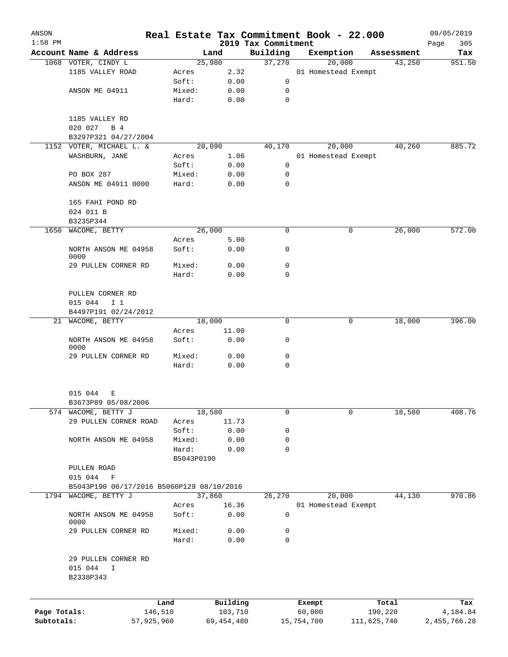| ANSON<br>$1:58$ PM |                                           |                 | Real Estate Tax Commitment Book - 22.000 |                                 |                     |             |                  | 09/05/2019         |
|--------------------|-------------------------------------------|-----------------|------------------------------------------|---------------------------------|---------------------|-------------|------------------|--------------------|
|                    | Account Name & Address                    |                 | Land                                     | 2019 Tax Commitment<br>Building | Exemption           |             | Assessment       | Page<br>305<br>Tax |
|                    | 1068 VOTER, CINDY L                       |                 | 25,980                                   | 37,270                          |                     | 20,000      | 43,250           | 951.50             |
|                    | 1185 VALLEY ROAD                          | Acres           | 2.32                                     |                                 | 01 Homestead Exempt |             |                  |                    |
|                    |                                           | Soft:           | 0.00                                     | 0                               |                     |             |                  |                    |
|                    | ANSON ME 04911                            | Mixed:          | 0.00                                     | 0                               |                     |             |                  |                    |
|                    |                                           | Hard:           | 0.00                                     | $\mathbf 0$                     |                     |             |                  |                    |
|                    | 1185 VALLEY RD                            |                 |                                          |                                 |                     |             |                  |                    |
|                    | 020 027<br>B 4                            |                 |                                          |                                 |                     |             |                  |                    |
|                    | B3297P321 04/27/2004                      |                 |                                          |                                 |                     |             |                  |                    |
|                    | 1152 VOTER, MICHAEL L. &                  |                 | 20,090                                   | 40,170                          |                     | 20,000      | 40,260           | 885.72             |
|                    | WASHBURN, JANE                            | Acres           | 1.06                                     |                                 | 01 Homestead Exempt |             |                  |                    |
|                    |                                           | Soft:           | 0.00                                     | 0                               |                     |             |                  |                    |
|                    | PO BOX 287                                | Mixed:          | 0.00                                     | 0                               |                     |             |                  |                    |
|                    | ANSON ME 04911 0000                       | Hard:           | 0.00                                     | 0                               |                     |             |                  |                    |
|                    | 165 FAHI POND RD                          |                 |                                          |                                 |                     |             |                  |                    |
|                    |                                           |                 |                                          |                                 |                     |             |                  |                    |
|                    | 024 011 B                                 |                 |                                          |                                 |                     |             |                  |                    |
|                    | B3235P344                                 |                 | 26,000                                   | 0                               |                     | 0           |                  | 572.00             |
| 1650               | WACOME, BETTY                             |                 |                                          |                                 |                     |             | 26,000           |                    |
|                    |                                           | Acres           | 5.00                                     |                                 |                     |             |                  |                    |
|                    | NORTH ANSON ME 04958<br>0000              | Soft:           | 0.00                                     | 0                               |                     |             |                  |                    |
|                    | 29 PULLEN CORNER RD                       | Mixed:          | 0.00                                     | 0                               |                     |             |                  |                    |
|                    |                                           | Hard:           | 0.00                                     | 0                               |                     |             |                  |                    |
|                    |                                           |                 |                                          |                                 |                     |             |                  |                    |
|                    | PULLEN CORNER RD                          |                 |                                          |                                 |                     |             |                  |                    |
|                    | 015 044<br>I <sub>1</sub>                 |                 |                                          |                                 |                     |             |                  |                    |
|                    | B4497P191 02/24/2012                      |                 |                                          |                                 |                     |             |                  |                    |
| 21                 | WACOME, BETTY                             |                 | 18,000                                   | 0                               |                     | 0           | 18,000           | 396.00             |
|                    |                                           | Acres           | 11.00                                    |                                 |                     |             |                  |                    |
|                    | NORTH ANSON ME 04958                      | Soft:           | 0.00                                     | 0                               |                     |             |                  |                    |
|                    | 0000                                      |                 |                                          |                                 |                     |             |                  |                    |
|                    | 29 PULLEN CORNER RD                       | Mixed:          | 0.00                                     | 0                               |                     |             |                  |                    |
|                    |                                           | Hard:           | 0.00                                     | 0                               |                     |             |                  |                    |
|                    |                                           |                 |                                          |                                 |                     |             |                  |                    |
|                    | 015 044<br>Е                              |                 |                                          |                                 |                     |             |                  |                    |
|                    | B3673P89 05/08/2006                       |                 |                                          |                                 |                     |             |                  |                    |
|                    | 574 WACOME, BETTY J                       |                 | 18,580                                   | 0                               |                     | 0           | 18,580           | 408.76             |
|                    | 29 PULLEN CORNER ROAD                     | Acres           | 11.73                                    |                                 |                     |             |                  |                    |
|                    |                                           | Soft:           | 0.00                                     | 0                               |                     |             |                  |                    |
|                    | NORTH ANSON ME 04958                      | Mixed:          | 0.00                                     | 0                               |                     |             |                  |                    |
|                    |                                           | Hard:           | 0.00                                     | 0                               |                     |             |                  |                    |
|                    |                                           | B5043P0190      |                                          |                                 |                     |             |                  |                    |
|                    | PULLEN ROAD                               |                 |                                          |                                 |                     |             |                  |                    |
|                    | 015 044<br>$\mathbf F$                    |                 |                                          |                                 |                     |             |                  |                    |
|                    | B5043P190 06/17/2016 B5060P129 08/10/2016 |                 |                                          |                                 |                     |             |                  |                    |
| 1794               | WACOME, BETTY J                           |                 | 37,860                                   | 26,270                          |                     | 20,000      | 44,130           | 970.86             |
|                    |                                           | Acres           | 16.36                                    |                                 | 01 Homestead Exempt |             |                  |                    |
|                    | NORTH ANSON ME 04958<br>0000              | Soft:           | 0.00                                     | 0                               |                     |             |                  |                    |
|                    | 29 PULLEN CORNER RD                       | Mixed:          | 0.00                                     | 0                               |                     |             |                  |                    |
|                    |                                           | Hard:           | 0.00                                     | $\Omega$                        |                     |             |                  |                    |
|                    |                                           |                 |                                          |                                 |                     |             |                  |                    |
|                    | 29 PULLEN CORNER RD                       |                 |                                          |                                 |                     |             |                  |                    |
|                    | 015 044<br>I                              |                 |                                          |                                 |                     |             |                  |                    |
|                    | B2338P343                                 |                 |                                          |                                 |                     |             |                  |                    |
|                    |                                           |                 |                                          |                                 |                     |             |                  |                    |
| Page Totals:       |                                           | Land<br>146,510 | Building<br>103,710                      |                                 | Exempt<br>60,000    |             | Total<br>190,220 | Tax<br>4,184.84    |
| Subtotals:         | 57,925,960                                |                 | 69, 454, 480                             |                                 | 15,754,700          | 111,625,740 |                  | 2,455,766.28       |
|                    |                                           |                 |                                          |                                 |                     |             |                  |                    |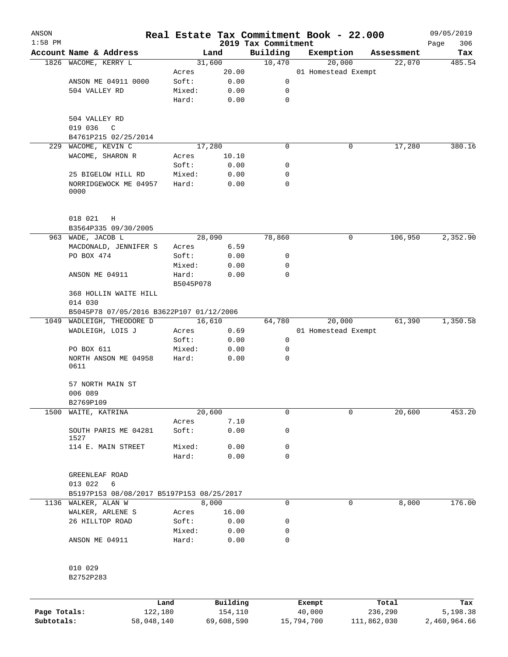| ANSON<br>$1:58$ PM |                                           |                 |          |                                 | Real Estate Tax Commitment Book - 22.000 |              | 09/05/2019         |
|--------------------|-------------------------------------------|-----------------|----------|---------------------------------|------------------------------------------|--------------|--------------------|
|                    | Account Name & Address                    |                 | Land     | 2019 Tax Commitment<br>Building | Exemption                                | Assessment   | Page<br>306<br>Tax |
|                    | 1826 WACOME, KERRY L                      | 31,600          |          | 10,470                          | 20,000                                   | 22,070       | 485.54             |
|                    |                                           | Acres           | 20.00    |                                 | 01 Homestead Exempt                      |              |                    |
|                    | ANSON ME 04911 0000                       | Soft:           | 0.00     | 0                               |                                          |              |                    |
|                    | 504 VALLEY RD                             | Mixed:          | 0.00     | 0                               |                                          |              |                    |
|                    |                                           | Hard:           | 0.00     | 0                               |                                          |              |                    |
|                    | 504 VALLEY RD                             |                 |          |                                 |                                          |              |                    |
|                    | 019 036<br>C                              |                 |          |                                 |                                          |              |                    |
|                    | B4761P215 02/25/2014                      |                 |          |                                 |                                          |              |                    |
| 229                | WACOME, KEVIN C                           | 17,280          |          | 0                               |                                          | 17,280<br>0  | 380.16             |
|                    | WACOME, SHARON R                          | Acres           | 10.10    |                                 |                                          |              |                    |
|                    |                                           | Soft:           | 0.00     | 0                               |                                          |              |                    |
|                    | 25 BIGELOW HILL RD                        | Mixed:          | 0.00     | 0                               |                                          |              |                    |
|                    | NORRIDGEWOCK ME 04957<br>0000             | Hard:           | 0.00     | 0                               |                                          |              |                    |
|                    | 018 021<br>Η                              |                 |          |                                 |                                          |              |                    |
|                    | B3564P335 09/30/2005<br>963 WADE, JACOB L | 28,090          |          | 78,860                          |                                          | 106,950<br>0 | 2,352.90           |
|                    | MACDONALD, JENNIFER S                     | Acres           | 6.59     |                                 |                                          |              |                    |
|                    | PO BOX 474                                | Soft:           | 0.00     | 0                               |                                          |              |                    |
|                    |                                           | Mixed:          | 0.00     | 0                               |                                          |              |                    |
|                    | ANSON ME 04911                            | Hard:           | 0.00     | 0                               |                                          |              |                    |
|                    |                                           | B5045P078       |          |                                 |                                          |              |                    |
|                    | 368 HOLLIN WAITE HILL                     |                 |          |                                 |                                          |              |                    |
|                    | 014 030                                   |                 |          |                                 |                                          |              |                    |
|                    | B5045P78 07/05/2016 B3622P107 01/12/2006  |                 |          |                                 |                                          |              | 1,350.58           |
| 1049               | WADLEIGH, THEODORE D                      | 16,610          |          | 64,780                          | 20,000                                   | 61,390       |                    |
|                    | WADLEIGH, LOIS J                          | Acres           | 0.69     |                                 | 01 Homestead Exempt                      |              |                    |
|                    |                                           | Soft:           | 0.00     | 0                               |                                          |              |                    |
|                    | PO BOX 611<br>NORTH ANSON ME 04958        | Mixed:<br>Hard: | 0.00     | 0<br>0                          |                                          |              |                    |
|                    | 0611                                      |                 | 0.00     |                                 |                                          |              |                    |
|                    | 57 NORTH MAIN ST                          |                 |          |                                 |                                          |              |                    |
|                    | 006 089                                   |                 |          |                                 |                                          |              |                    |
|                    | B2769P109                                 |                 |          |                                 |                                          |              |                    |
| 1500               | WAITE, KATRINA                            | 20,600          |          | 0                               |                                          | 20,600<br>0  | 453.20             |
|                    |                                           | Acres           | 7.10     |                                 |                                          |              |                    |
|                    | SOUTH PARIS ME 04281<br>1527              | Soft:           | 0.00     | 0                               |                                          |              |                    |
|                    | 114 E. MAIN STREET                        | Mixed:          | 0.00     | 0                               |                                          |              |                    |
|                    |                                           | Hard:           | 0.00     | 0                               |                                          |              |                    |
|                    | GREENLEAF ROAD<br>013 022<br>6            |                 |          |                                 |                                          |              |                    |
|                    | B5197P153 08/08/2017 B5197P153 08/25/2017 |                 |          |                                 |                                          |              |                    |
|                    | 1136 WALKER, ALAN W                       |                 | 8,000    | 0                               |                                          | 8,000<br>0   | 176.00             |
|                    | WALKER, ARLENE S                          | Acres           | 16.00    |                                 |                                          |              |                    |
|                    | 26 HILLTOP ROAD                           | Soft:           | 0.00     | 0                               |                                          |              |                    |
|                    |                                           | Mixed:          | 0.00     | 0                               |                                          |              |                    |
|                    | ANSON ME 04911                            | Hard:           | 0.00     | 0                               |                                          |              |                    |
|                    |                                           |                 |          |                                 |                                          |              |                    |
|                    | 010 029<br>B2752P283                      |                 |          |                                 |                                          |              |                    |
|                    |                                           |                 |          |                                 |                                          |              |                    |
|                    | Land                                      |                 | Building |                                 | Exempt                                   | Total        | Tax                |
| Page Totals:       | 122,180                                   |                 | 154,110  |                                 | 40,000                                   | 236,290      | 5,198.38           |

**Subtotals:** 58,048,140 69,608,590 15,794,700 111,862,030 2,460,964.66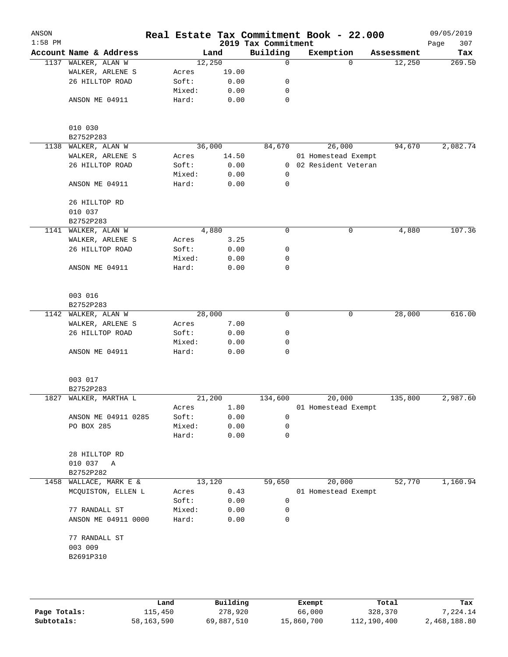| ANSON<br>$1:58$ PM |                            |        |       | 2019 Tax Commitment | Real Estate Tax Commitment Book - 22.000 |            | 09/05/2019<br>Page<br>307 |
|--------------------|----------------------------|--------|-------|---------------------|------------------------------------------|------------|---------------------------|
|                    | Account Name & Address     |        | Land  | Building            | Exemption                                | Assessment | Tax                       |
|                    | 1137 WALKER, ALAN W        | 12,250 |       | $\Omega$            | $\Omega$                                 | 12,250     | 269.50                    |
|                    | WALKER, ARLENE S           | Acres  | 19.00 |                     |                                          |            |                           |
|                    | 26 HILLTOP ROAD            | Soft:  | 0.00  | 0                   |                                          |            |                           |
|                    |                            | Mixed: | 0.00  | 0                   |                                          |            |                           |
|                    | ANSON ME 04911             | Hard:  | 0.00  | 0                   |                                          |            |                           |
|                    | 010 030                    |        |       |                     |                                          |            |                           |
|                    | B2752P283                  |        |       |                     |                                          |            |                           |
|                    | 1138 WALKER, ALAN W        | 36,000 |       | 84,670              | 26,000                                   | 94,670     | 2,082.74                  |
|                    | WALKER, ARLENE S           | Acres  | 14.50 |                     | 01 Homestead Exempt                      |            |                           |
|                    | 26 HILLTOP ROAD            | Soft:  | 0.00  |                     | 0 02 Resident Veteran                    |            |                           |
|                    |                            | Mixed: | 0.00  | 0                   |                                          |            |                           |
|                    | ANSON ME 04911             | Hard:  | 0.00  | 0                   |                                          |            |                           |
|                    | 26 HILLTOP RD<br>010 037   |        |       |                     |                                          |            |                           |
|                    | B2752P283                  |        |       |                     |                                          |            |                           |
|                    | 1141 WALKER, ALAN W        | 4,880  |       | 0                   | 0                                        | 4,880      | 107.36                    |
|                    | WALKER, ARLENE S           | Acres  | 3.25  |                     |                                          |            |                           |
|                    | 26 HILLTOP ROAD            | Soft:  | 0.00  | 0                   |                                          |            |                           |
|                    |                            | Mixed: | 0.00  | 0                   |                                          |            |                           |
|                    | ANSON ME 04911             | Hard:  | 0.00  | 0                   |                                          |            |                           |
|                    | 003 016<br>B2752P283       |        |       |                     |                                          |            |                           |
| 1142               | WALKER, ALAN W             | 28,000 |       | $\mathbf 0$         | 0                                        | 28,000     | 616.00                    |
|                    | WALKER, ARLENE S           | Acres  | 7.00  |                     |                                          |            |                           |
|                    | 26 HILLTOP ROAD            | Soft:  | 0.00  | 0                   |                                          |            |                           |
|                    |                            | Mixed: | 0.00  | 0                   |                                          |            |                           |
|                    | ANSON ME 04911             | Hard:  | 0.00  | $\mathbf 0$         |                                          |            |                           |
|                    | 003 017<br>B2752P283       |        |       |                     |                                          |            |                           |
| 1827               | WALKER, MARTHA L           | 21,200 |       | 134,600             | 20,000                                   | 135,800    | 2,987.60                  |
|                    |                            | Acres  | 1.80  |                     | 01 Homestead Exempt                      |            |                           |
|                    | ANSON ME 04911 0285        | Soft:  | 0.00  | 0                   |                                          |            |                           |
|                    | PO BOX 285                 | Mixed: | 0.00  | 0                   |                                          |            |                           |
|                    |                            | Hard:  | 0.00  | 0                   |                                          |            |                           |
|                    | 28 HILLTOP RD<br>010 037 A |        |       |                     |                                          |            |                           |
|                    | B2752P282                  |        |       |                     |                                          |            |                           |
|                    | 1458 WALLACE, MARK E &     | 13,120 |       | 59,650              | 20,000                                   | 52,770     | 1,160.94                  |
|                    | MCQUISTON, ELLEN L         | Acres  | 0.43  |                     | 01 Homestead Exempt                      |            |                           |
|                    |                            | Soft:  | 0.00  | $\mathbf 0$         |                                          |            |                           |
|                    | 77 RANDALL ST              | Mixed: | 0.00  | 0                   |                                          |            |                           |
|                    | ANSON ME 04911 0000        | Hard:  | 0.00  | 0                   |                                          |            |                           |
|                    | 77 RANDALL ST              |        |       |                     |                                          |            |                           |
|                    | 003 009                    |        |       |                     |                                          |            |                           |
|                    | B2691P310                  |        |       |                     |                                          |            |                           |
|                    |                            |        |       |                     |                                          |            |                           |
|                    |                            |        |       |                     |                                          |            |                           |
|                    |                            |        |       |                     |                                          |            |                           |

|              | Land       | Building   | Exempt     | Total       | Tax          |
|--------------|------------|------------|------------|-------------|--------------|
| Page Totals: | 115,450    | 278,920    | 66,000     | 328,370     | 7.224.14     |
| Subtotals:   | 58,163,590 | 69,887,510 | 15,860,700 | 112,190,400 | 2,468,188.80 |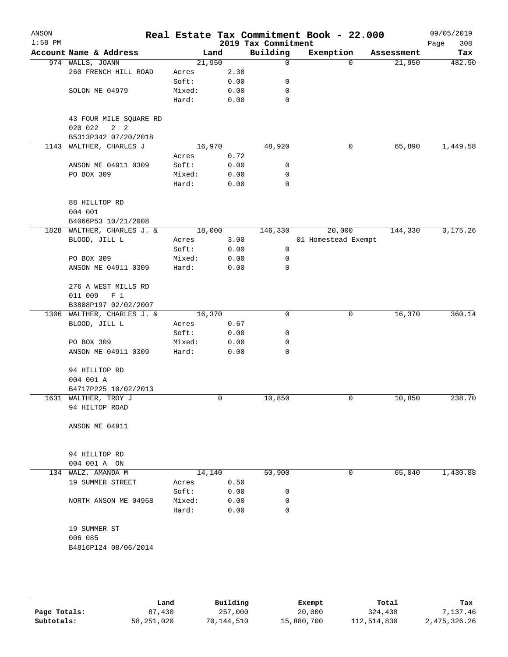| ANSON<br>$1:58$ PM |                                                                          |        |                                 | 2019 Tax Commitment | Real Estate Tax Commitment Book - 22.000 |            | 09/05/2019<br>308<br>Page |
|--------------------|--------------------------------------------------------------------------|--------|---------------------------------|---------------------|------------------------------------------|------------|---------------------------|
|                    | Account Name & Address                                                   | Land   |                                 | Building            | Exemption                                | Assessment | Tax                       |
|                    | 974 WALLS, JOANN                                                         | 21,950 |                                 | 0                   | $\Omega$                                 | 21,950     | 482.90                    |
|                    | 260 FRENCH HILL ROAD                                                     | Acres  | 2.30                            |                     |                                          |            |                           |
|                    |                                                                          | Soft:  | 0.00                            | 0                   |                                          |            |                           |
|                    | SOLON ME 04979                                                           | Mixed: | ${\bf 0}$ . ${\bf 0}$ ${\bf 0}$ | 0                   |                                          |            |                           |
|                    |                                                                          | Hard:  | 0.00                            | $\mathbf 0$         |                                          |            |                           |
|                    | 43 FOUR MILE SQUARE RD<br>020 022<br>$2 \quad 2$<br>B5313P342 07/20/2018 |        |                                 |                     |                                          |            |                           |
| 1143               | WALTHER, CHARLES J                                                       | 16,970 |                                 | 48,920              | 0                                        | 65,890     | 1,449.58                  |
|                    |                                                                          | Acres  | 0.72                            |                     |                                          |            |                           |
|                    | ANSON ME 04911 0309                                                      | Soft:  | 0.00                            | 0                   |                                          |            |                           |
|                    | PO BOX 309                                                               | Mixed: | 0.00                            | 0                   |                                          |            |                           |
|                    |                                                                          | Hard:  | 0.00                            | 0                   |                                          |            |                           |
|                    | 88 HILLTOP RD                                                            |        |                                 |                     |                                          |            |                           |
|                    | 004 001                                                                  |        |                                 |                     |                                          |            |                           |
|                    | B4066P53 10/21/2008                                                      |        |                                 |                     |                                          |            |                           |
|                    | 1828 WALTHER, CHARLES J. &                                               | 18,000 |                                 | 146,330             | 20,000                                   | 144,330    | 3,175.26                  |
|                    | BLOOD, JILL L                                                            | Acres  | 3.00                            |                     | 01 Homestead Exempt                      |            |                           |
|                    |                                                                          | Soft:  | 0.00                            | $\mathsf 0$         |                                          |            |                           |
|                    | PO BOX 309                                                               | Mixed: | 0.00                            | 0                   |                                          |            |                           |
|                    | ANSON ME 04911 0309                                                      | Hard:  | 0.00                            | 0                   |                                          |            |                           |
|                    | 276 A WEST MILLS RD                                                      |        |                                 |                     |                                          |            |                           |
|                    | 011 009<br>F <sub>1</sub>                                                |        |                                 |                     |                                          |            |                           |
|                    | B3808P197 02/02/2007                                                     |        |                                 |                     |                                          |            |                           |
|                    | 1306 WALTHER, CHARLES J. &                                               | 16,370 |                                 | $\mathbf 0$         | 0                                        | 16,370     | 360.14                    |
|                    | BLOOD, JILL L                                                            | Acres  | 0.67                            |                     |                                          |            |                           |
|                    |                                                                          | Soft:  | 0.00                            | 0                   |                                          |            |                           |
|                    | PO BOX 309                                                               | Mixed: | 0.00                            | 0                   |                                          |            |                           |
|                    | ANSON ME 04911 0309                                                      | Hard:  | 0.00                            | 0                   |                                          |            |                           |
|                    | 94 HILLTOP RD                                                            |        |                                 |                     |                                          |            |                           |
|                    | 004 001 A                                                                |        |                                 |                     |                                          |            |                           |
|                    | B4717P225 10/02/2013                                                     |        |                                 |                     |                                          |            |                           |
|                    | 1631 WALTHER, TROY J<br>94 HILTOP ROAD                                   |        | 0                               | 10,850              | 0                                        | 10,850     | 238.70                    |
|                    | ANSON ME 04911                                                           |        |                                 |                     |                                          |            |                           |
|                    |                                                                          |        |                                 |                     |                                          |            |                           |
|                    | 94 HILLTOP RD                                                            |        |                                 |                     |                                          |            |                           |
|                    | 004 001 A ON                                                             |        |                                 |                     |                                          |            |                           |
|                    | 134 WALZ, AMANDA M                                                       | 14,140 |                                 | 50,900              | 0                                        | 65,040     | 1,430.88                  |
|                    | 19 SUMMER STREET                                                         | Acres  | 0.50                            |                     |                                          |            |                           |
|                    |                                                                          | Soft:  | 0.00                            | 0                   |                                          |            |                           |
|                    | NORTH ANSON ME 04958                                                     | Mixed: | 0.00                            | 0                   |                                          |            |                           |
|                    |                                                                          | Hard:  | 0.00                            | 0                   |                                          |            |                           |
|                    | 19 SUMMER ST                                                             |        |                                 |                     |                                          |            |                           |
|                    | 006 085                                                                  |        |                                 |                     |                                          |            |                           |
|                    | B4816P124 08/06/2014                                                     |        |                                 |                     |                                          |            |                           |
|                    |                                                                          |        |                                 |                     |                                          |            |                           |
|                    |                                                                          |        |                                 |                     |                                          |            |                           |
|                    |                                                                          |        |                                 |                     |                                          |            |                           |

|              | Land       | Building   | Exempt     | Total       | Tax          |
|--------------|------------|------------|------------|-------------|--------------|
| Page Totals: | 87,430     | 257,000    | 20,000     | 324,430     | 7.137.46     |
| Subtotals:   | 58,251,020 | 70,144,510 | 15,880,700 | 112,514,830 | 2,475,326.26 |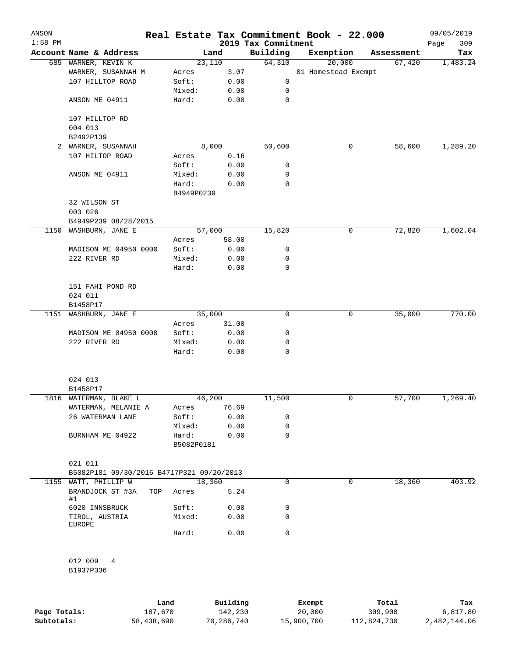| ANSON<br>$1:58$ PM |                                           |                     |          | 2019 Tax Commitment | Real Estate Tax Commitment Book - 22.000 |            | 09/05/2019         |
|--------------------|-------------------------------------------|---------------------|----------|---------------------|------------------------------------------|------------|--------------------|
|                    | Account Name & Address                    |                     | Land     | Building            | Exemption                                | Assessment | 309<br>Page<br>Tax |
|                    | 685 WARNER, KEVIN K                       |                     | 23,110   | 64,310              | 20,000                                   | 67,420     | 1,483.24           |
|                    | WARNER, SUSANNAH M                        | Acres               | 3.07     |                     | 01 Homestead Exempt                      |            |                    |
|                    | 107 HILLTOP ROAD                          | Soft:               | 0.00     | 0                   |                                          |            |                    |
|                    |                                           | Mixed:              | 0.00     | 0                   |                                          |            |                    |
|                    | ANSON ME 04911                            | Hard:               | 0.00     | $\mathbf 0$         |                                          |            |                    |
|                    | 107 HILLTOP RD                            |                     |          |                     |                                          |            |                    |
|                    | 004 013                                   |                     |          |                     |                                          |            |                    |
|                    | B2492P139                                 |                     |          |                     |                                          |            |                    |
|                    | 2 WARNER, SUSANNAH                        |                     | 8,000    | 50,600              | 0                                        | 58,600     | 1,289.20           |
|                    | 107 HILTOP ROAD                           | Acres               | 0.16     |                     |                                          |            |                    |
|                    |                                           | Soft:               | 0.00     | 0                   |                                          |            |                    |
|                    | ANSON ME 04911                            | Mixed:              | 0.00     | 0                   |                                          |            |                    |
|                    |                                           | Hard:               | 0.00     | $\mathbf 0$         |                                          |            |                    |
|                    |                                           | B4949P0239          |          |                     |                                          |            |                    |
|                    | 32 WILSON ST                              |                     |          |                     |                                          |            |                    |
|                    | 003 026                                   |                     |          |                     |                                          |            |                    |
|                    | B4949P239 08/28/2015                      |                     |          |                     |                                          |            |                    |
| 1150               | WASHBURN, JANE E                          |                     | 57,000   | 15,820              | $\mathbf 0$                              | 72,820     | 1,602.04           |
|                    |                                           | Acres               | 58.00    |                     |                                          |            |                    |
|                    | MADISON ME 04950 0000                     | Soft:               | 0.00     | 0                   |                                          |            |                    |
|                    | 222 RIVER RD                              | Mixed:              | 0.00     | 0                   |                                          |            |                    |
|                    |                                           | Hard:               | 0.00     | $\mathbf 0$         |                                          |            |                    |
|                    |                                           |                     |          |                     |                                          |            |                    |
|                    | 151 FAHI POND RD                          |                     |          |                     |                                          |            |                    |
|                    |                                           |                     |          |                     |                                          |            |                    |
|                    | 024 011                                   |                     |          |                     |                                          |            |                    |
|                    | B1458P17                                  |                     |          |                     |                                          |            |                    |
|                    | 1151 WASHBURN, JANE E                     |                     | 35,000   | $\mathbf 0$         | 0                                        | 35,000     | 770.00             |
|                    |                                           | Acres               | 31.00    |                     |                                          |            |                    |
|                    | MADISON ME 04950 0000                     | Soft:               | 0.00     | 0                   |                                          |            |                    |
|                    | 222 RIVER RD                              | Mixed:              | 0.00     | 0                   |                                          |            |                    |
|                    |                                           | Hard:               | 0.00     | 0                   |                                          |            |                    |
|                    | 024 013                                   |                     |          |                     |                                          |            |                    |
|                    | B1458P17                                  |                     |          |                     |                                          |            |                    |
|                    | 1816 WATERMAN, BLAKE L                    |                     | 46,200   | 11,500              | 0                                        | 57,700     | 1,269.40           |
|                    |                                           |                     |          |                     |                                          |            |                    |
|                    | WATERMAN, MELANIE A                       | Acres               | 76.69    |                     |                                          |            |                    |
|                    | 26 WATERMAN LANE                          | Soft:               | 0.00     | 0                   |                                          |            |                    |
|                    |                                           | Mixed:              | 0.00     | 0                   |                                          |            |                    |
|                    | BURNHAM ME 04922                          | Hard:<br>B5082P0181 | 0.00     | $\mathbf 0$         |                                          |            |                    |
|                    | 021 011                                   |                     |          |                     |                                          |            |                    |
|                    | B5082P181 09/30/2016 B4717P321 09/20/2013 |                     |          |                     |                                          |            |                    |
|                    | 1155 WATT, PHILLIP W                      |                     | 18,360   | $\mathbf 0$         | 0                                        | 18,360     | 403.92             |
|                    | BRANDJOCK ST #3A<br>TOP<br>#1             | Acres               | 5.24     |                     |                                          |            |                    |
|                    | 6020 INNSBRUCK                            | Soft:               | 0.00     | 0                   |                                          |            |                    |
|                    | TIROL, AUSTRIA<br>EUROPE                  | Mixed:              | 0.00     | 0                   |                                          |            |                    |
|                    |                                           | Hard:               | 0.00     | 0                   |                                          |            |                    |
|                    |                                           |                     |          |                     |                                          |            |                    |
|                    | 012 009<br>4<br>B1937P336                 |                     |          |                     |                                          |            |                    |
|                    |                                           |                     |          |                     |                                          |            |                    |
|                    |                                           | Land                | Building |                     | Exempt                                   | Total      | Tax                |
|                    |                                           |                     |          |                     |                                          |            |                    |

|              | Land.      | Building   | Exempt     | тосат       | rax.         |
|--------------|------------|------------|------------|-------------|--------------|
| Page Totals: | 187.670    | 142,230    | 20,000     | 309,900     | 6,817.80     |
| Subtotals:   | 58,438,690 | 70,286,740 | 15,900,700 | 112,824,730 | 2,482,144.06 |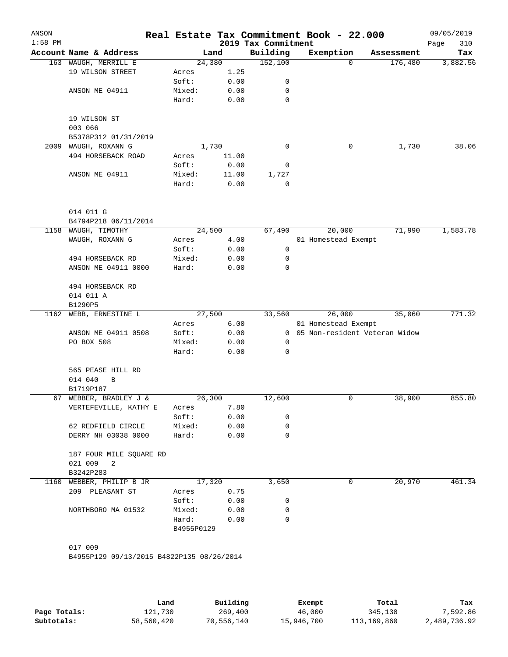| ANSON<br>$1:58$ PM |                                           |            |        | 2019 Tax Commitment | Real Estate Tax Commitment Book - 22.000 |            | 09/05/2019<br>Page<br>310 |
|--------------------|-------------------------------------------|------------|--------|---------------------|------------------------------------------|------------|---------------------------|
|                    | Account Name & Address                    |            | Land   | Building            | Exemption                                | Assessment | Tax                       |
|                    | 163 WAUGH, MERRILL E                      |            | 24,380 | 152,100             | $\Omega$                                 | 176,480    | 3,882.56                  |
|                    | 19 WILSON STREET                          | Acres      | 1.25   |                     |                                          |            |                           |
|                    |                                           | Soft:      | 0.00   | 0                   |                                          |            |                           |
|                    | ANSON ME 04911                            | Mixed:     | 0.00   | 0                   |                                          |            |                           |
|                    |                                           | Hard:      | 0.00   | 0                   |                                          |            |                           |
|                    | 19 WILSON ST                              |            |        |                     |                                          |            |                           |
|                    | 003 066                                   |            |        |                     |                                          |            |                           |
|                    | B5378P312 01/31/2019                      |            |        |                     |                                          |            |                           |
| 2009               | WAUGH, ROXANN G                           |            | 1,730  | $\mathbf 0$         | 0                                        | 1,730      | 38.06                     |
|                    | 494 HORSEBACK ROAD                        | Acres      | 11.00  |                     |                                          |            |                           |
|                    |                                           | Soft:      | 0.00   | 0                   |                                          |            |                           |
|                    | ANSON ME 04911                            | Mixed:     | 11.00  | 1,727               |                                          |            |                           |
|                    |                                           | Hard:      | 0.00   | $\mathbf 0$         |                                          |            |                           |
|                    | 014 011 G                                 |            |        |                     |                                          |            |                           |
|                    | B4794P218 06/11/2014                      |            |        |                     |                                          |            |                           |
| 1158               | WAUGH, TIMOTHY                            |            | 24,500 | 67,490              | 20,000                                   | 71,990     | 1,583.78                  |
|                    | WAUGH, ROXANN G                           | Acres      | 4.00   |                     | 01 Homestead Exempt                      |            |                           |
|                    |                                           | Soft:      | 0.00   | 0                   |                                          |            |                           |
|                    | 494 HORSEBACK RD                          | Mixed:     | 0.00   | 0                   |                                          |            |                           |
|                    | ANSON ME 04911 0000                       | Hard:      | 0.00   | 0                   |                                          |            |                           |
|                    |                                           |            |        |                     |                                          |            |                           |
|                    | 494 HORSEBACK RD                          |            |        |                     |                                          |            |                           |
|                    | 014 011 A                                 |            |        |                     |                                          |            |                           |
|                    | B1290P5                                   |            |        |                     |                                          |            |                           |
| 1162               | WEBB, ERNESTINE L                         |            | 27,500 | 33,560              | 26,000                                   | 35,060     | 771.32                    |
|                    |                                           | Acres      | 6.00   |                     | 01 Homestead Exempt                      |            |                           |
|                    | ANSON ME 04911 0508                       | Soft:      | 0.00   | $\mathbf{0}$        | 05 Non-resident Veteran Widow            |            |                           |
|                    | PO BOX 508                                | Mixed:     | 0.00   | 0                   |                                          |            |                           |
|                    |                                           | Hard:      | 0.00   | 0                   |                                          |            |                           |
|                    | 565 PEASE HILL RD                         |            |        |                     |                                          |            |                           |
|                    | 014 040<br>B                              |            |        |                     |                                          |            |                           |
|                    | B1719P187                                 |            |        |                     |                                          |            |                           |
|                    | 67 WEBBER, BRADLEY J &                    |            | 26,300 | 12,600              | 0                                        | 38,900     | 855.80                    |
|                    | VERTEFEVILLE, KATHY E                     | Acres      | 7.80   |                     |                                          |            |                           |
|                    |                                           | Soft:      | 0.00   | 0                   |                                          |            |                           |
|                    | 62 REDFIELD CIRCLE                        | Mixed:     | 0.00   | 0                   |                                          |            |                           |
|                    | DERRY NH 03038 0000                       | Hard:      | 0.00   | 0                   |                                          |            |                           |
|                    | 187 FOUR MILE SQUARE RD                   |            |        |                     |                                          |            |                           |
|                    | 021 009<br>2                              |            |        |                     |                                          |            |                           |
|                    | B3242P283                                 |            |        |                     |                                          |            |                           |
|                    | 1160 WEBBER, PHILIP B JR                  |            | 17,320 | 3,650               | 0                                        | 20,970     | 461.34                    |
|                    | 209 PLEASANT ST                           | Acres      | 0.75   |                     |                                          |            |                           |
|                    |                                           | Soft:      | 0.00   | 0                   |                                          |            |                           |
|                    | NORTHBORO MA 01532                        | Mixed:     | 0.00   | 0                   |                                          |            |                           |
|                    |                                           | Hard:      | 0.00   | $\Omega$            |                                          |            |                           |
|                    |                                           | B4955P0129 |        |                     |                                          |            |                           |
|                    | 017 009                                   |            |        |                     |                                          |            |                           |
|                    | B4955P129 09/13/2015 B4822P135 08/26/2014 |            |        |                     |                                          |            |                           |
|                    |                                           |            |        |                     |                                          |            |                           |
|                    |                                           |            |        |                     |                                          |            |                           |

|              | Land       | Building   | Exempt     | Total       | Tax          |
|--------------|------------|------------|------------|-------------|--------------|
| Page Totals: | 121,730    | 269,400    | 46,000     | 345,130     | 7,592.86     |
| Subtotals:   | 58,560,420 | 70,556,140 | 15,946,700 | 113,169,860 | 2,489,736.92 |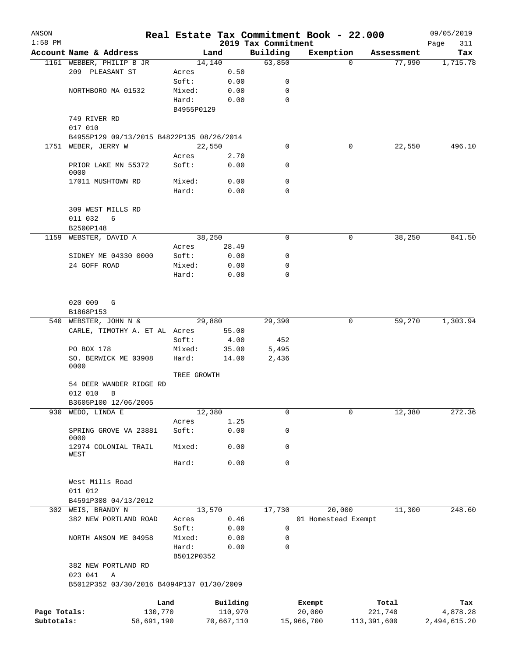| ANSON        |                                           |                     |                |                                 | Real Estate Tax Commitment Book - 22.000 |                    | 09/05/2019         |
|--------------|-------------------------------------------|---------------------|----------------|---------------------------------|------------------------------------------|--------------------|--------------------|
| $1:58$ PM    | Account Name & Address                    |                     | Land           | 2019 Tax Commitment<br>Building | Exemption                                | Assessment         | Page<br>311<br>Tax |
|              | 1161 WEBBER, PHILIP B JR                  |                     | 14,140         | 63,850                          |                                          | 77,990<br>$\Omega$ | 1,715.78           |
|              | 209 PLEASANT ST                           | Acres               | 0.50           |                                 |                                          |                    |                    |
|              |                                           | Soft:               | 0.00           | 0                               |                                          |                    |                    |
|              | NORTHBORO MA 01532                        | Mixed:              | 0.00           | 0                               |                                          |                    |                    |
|              |                                           | Hard:<br>B4955P0129 | 0.00           | $\mathbf 0$                     |                                          |                    |                    |
|              | 749 RIVER RD                              |                     |                |                                 |                                          |                    |                    |
|              | 017 010                                   |                     |                |                                 |                                          |                    |                    |
|              | B4955P129 09/13/2015 B4822P135 08/26/2014 |                     |                |                                 |                                          |                    |                    |
|              | 1751 WEBER, JERRY W                       |                     | 22,550         | 0                               |                                          | 22,550<br>0        | 496.10             |
|              | PRIOR LAKE MN 55372                       | Acres<br>Soft:      | 2.70<br>0.00   | 0                               |                                          |                    |                    |
|              | 0000                                      |                     |                |                                 |                                          |                    |                    |
|              | 17011 MUSHTOWN RD                         | Mixed:              | 0.00           | 0                               |                                          |                    |                    |
|              |                                           | Hard:               | 0.00           | 0                               |                                          |                    |                    |
|              | 309 WEST MILLS RD                         |                     |                |                                 |                                          |                    |                    |
|              | 011 032<br>6                              |                     |                |                                 |                                          |                    |                    |
|              | B2500P148                                 |                     |                |                                 |                                          |                    |                    |
|              | 1159 WEBSTER, DAVID A                     |                     | 38,250         | $\mathbf 0$                     |                                          | 38,250<br>0        | 841.50             |
|              |                                           | Acres               | 28.49          |                                 |                                          |                    |                    |
|              | SIDNEY ME 04330 0000                      | Soft:               | 0.00           | 0                               |                                          |                    |                    |
|              | 24 GOFF ROAD                              | Mixed:              | 0.00           | 0                               |                                          |                    |                    |
|              |                                           | Hard:               | 0.00           | 0                               |                                          |                    |                    |
|              | 020 009<br>G                              |                     |                |                                 |                                          |                    |                    |
|              | B1868P153                                 |                     |                |                                 |                                          |                    |                    |
|              | 540 WEBSTER, JOHN N &                     |                     | 29,880         | 29,390                          |                                          | 0                  | 1,303.94<br>59,270 |
|              | CARLE, TIMOTHY A. ET AL Acres             |                     | 55.00          |                                 |                                          |                    |                    |
|              |                                           | Soft:               | 4.00           | 452                             |                                          |                    |                    |
|              | PO BOX 178<br>SO. BERWICK ME 03908        | Mixed:<br>Hard:     | 35.00<br>14.00 | 5,495<br>2,436                  |                                          |                    |                    |
|              | 0000                                      |                     |                |                                 |                                          |                    |                    |
|              |                                           | TREE GROWTH         |                |                                 |                                          |                    |                    |
|              | 54 DEER WANDER RIDGE RD<br>012 010<br>B   |                     |                |                                 |                                          |                    |                    |
|              | B3605P100 12/06/2005                      |                     |                |                                 |                                          |                    |                    |
| 930          | WEDO, LINDA E                             |                     | 12,380         | 0                               |                                          | 12,380<br>0        | 272.36             |
|              | SPRING GROVE VA 23881                     | Acres<br>Soft:      | 1.25<br>0.00   | 0                               |                                          |                    |                    |
|              | 0000<br>12974 COLONIAL TRAIL              | Mixed:              | 0.00           | 0                               |                                          |                    |                    |
|              | WEST                                      |                     |                | 0                               |                                          |                    |                    |
|              |                                           | Hard:               | 0.00           |                                 |                                          |                    |                    |
|              | West Mills Road                           |                     |                |                                 |                                          |                    |                    |
|              | 011 012                                   |                     |                |                                 |                                          |                    |                    |
|              | B4591P308 04/13/2012                      |                     |                |                                 |                                          |                    |                    |
| 302          | WEIS, BRANDY N                            |                     | 13,570         | 17,730                          | 20,000                                   | 11,300             | 248.60             |
|              | 382 NEW PORTLAND ROAD                     | Acres               | 0.46           |                                 | 01 Homestead Exempt                      |                    |                    |
|              |                                           | Soft:               | 0.00           | 0                               |                                          |                    |                    |
|              | NORTH ANSON ME 04958                      | Mixed:<br>Hard:     | 0.00<br>0.00   | 0<br>0                          |                                          |                    |                    |
|              |                                           | B5012P0352          |                |                                 |                                          |                    |                    |
|              | 382 NEW PORTLAND RD<br>023 041<br>Α       |                     |                |                                 |                                          |                    |                    |
|              | B5012P352 03/30/2016 B4094P137 01/30/2009 |                     |                |                                 |                                          |                    |                    |
|              | Land                                      |                     | Building       |                                 | Exempt                                   | Total              | Tax                |
| Page Totals: | 130,770                                   |                     | 110,970        |                                 | 20,000                                   | 221,740            | 4,878.28           |
| Subtotals:   | 58,691,190                                |                     | 70,667,110     |                                 | 15,966,700                               | 113,391,600        | 2,494,615.20       |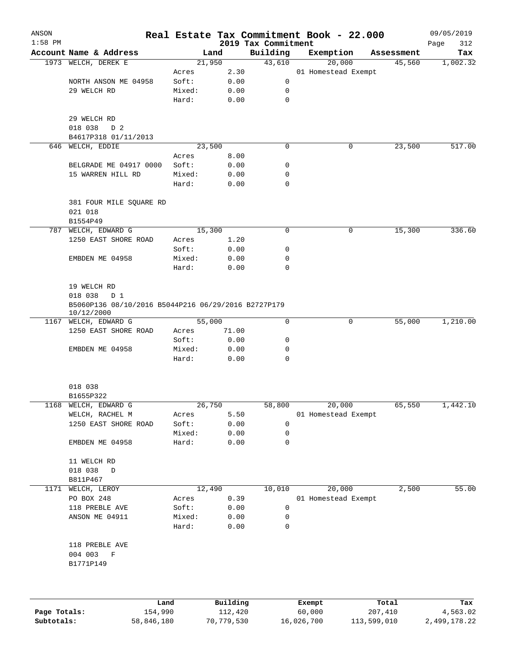| ANSON<br>$1:58$ PM |                                                                   |        |          | 2019 Tax Commitment | Real Estate Tax Commitment Book - 22.000 |            | 09/05/2019<br>312 |
|--------------------|-------------------------------------------------------------------|--------|----------|---------------------|------------------------------------------|------------|-------------------|
|                    | Account Name & Address                                            |        | Land     | Building            | Exemption                                | Assessment | Page<br>Tax       |
|                    | 1973 WELCH, DEREK E                                               |        | 21,950   | 43,610              | 20,000                                   | 45,560     | 1,002.32          |
|                    |                                                                   | Acres  | 2.30     |                     | 01 Homestead Exempt                      |            |                   |
|                    | NORTH ANSON ME 04958                                              | Soft:  | 0.00     | $\mathbf 0$         |                                          |            |                   |
|                    | 29 WELCH RD                                                       | Mixed: | 0.00     | 0                   |                                          |            |                   |
|                    |                                                                   | Hard:  | 0.00     | $\mathbf 0$         |                                          |            |                   |
|                    | 29 WELCH RD                                                       |        |          |                     |                                          |            |                   |
|                    | 018 038 D 2                                                       |        |          |                     |                                          |            |                   |
|                    | B4617P318 01/11/2013                                              |        |          |                     |                                          |            |                   |
|                    | 646 WELCH, EDDIE                                                  |        | 23,500   | $\mathbf 0$         | 0                                        | 23,500     | 517.00            |
|                    |                                                                   | Acres  | 8.00     |                     |                                          |            |                   |
|                    | BELGRADE ME 04917 0000                                            | Soft:  | 0.00     | 0                   |                                          |            |                   |
|                    | 15 WARREN HILL RD                                                 | Mixed: | 0.00     | 0                   |                                          |            |                   |
|                    |                                                                   | Hard:  | 0.00     | 0                   |                                          |            |                   |
|                    | 381 FOUR MILE SQUARE RD<br>021 018                                |        |          |                     |                                          |            |                   |
|                    | B1554P49                                                          |        |          |                     |                                          |            |                   |
|                    | 787 WELCH, EDWARD G                                               | 15,300 |          | 0                   | 0                                        | 15,300     | 336.60            |
|                    | 1250 EAST SHORE ROAD                                              | Acres  | 1.20     |                     |                                          |            |                   |
|                    |                                                                   | Soft:  | 0.00     | 0                   |                                          |            |                   |
|                    | EMBDEN ME 04958                                                   | Mixed: | 0.00     | 0                   |                                          |            |                   |
|                    |                                                                   | Hard:  | 0.00     | $\mathbf 0$         |                                          |            |                   |
|                    | 19 WELCH RD                                                       |        |          |                     |                                          |            |                   |
|                    | 018 038<br>D 1                                                    |        |          |                     |                                          |            |                   |
|                    | B5060P136 08/10/2016 B5044P216 06/29/2016 B2727P179<br>10/12/2000 |        |          |                     |                                          |            |                   |
|                    | 1167 WELCH, EDWARD G                                              | 55,000 |          | $\mathbf 0$         | 0                                        | 55,000     | 1,210.00          |
|                    | 1250 EAST SHORE ROAD                                              | Acres  | 71.00    |                     |                                          |            |                   |
|                    |                                                                   | Soft:  | 0.00     | 0                   |                                          |            |                   |
|                    | EMBDEN ME 04958                                                   | Mixed: | 0.00     | 0                   |                                          |            |                   |
|                    |                                                                   | Hard:  | 0.00     | 0                   |                                          |            |                   |
|                    | 018 038                                                           |        |          |                     |                                          |            |                   |
|                    | B1655P322                                                         |        |          |                     |                                          |            |                   |
|                    | 1168 WELCH, EDWARD G                                              | 26,750 |          | 58,800              | 20,000                                   | 65,550     | 1,442.10          |
|                    | WELCH, RACHEL M                                                   | Acres  | 5.50     |                     | 01 Homestead Exempt                      |            |                   |
|                    | 1250 EAST SHORE ROAD                                              | Soft:  | 0.00     | 0                   |                                          |            |                   |
|                    |                                                                   | Mixed: | 0.00     | 0                   |                                          |            |                   |
|                    | EMBDEN ME 04958                                                   | Hard:  | 0.00     | 0                   |                                          |            |                   |
|                    | 11 WELCH RD                                                       |        |          |                     |                                          |            |                   |
|                    | 018 038<br>D                                                      |        |          |                     |                                          |            |                   |
|                    | B811P467                                                          |        |          |                     |                                          |            |                   |
| 1171               | WELCH, LEROY                                                      | 12,490 |          | 10,010              | 20,000                                   | 2,500      | 55.00             |
|                    | PO BOX 248                                                        | Acres  | 0.39     |                     | 01 Homestead Exempt                      |            |                   |
|                    | 118 PREBLE AVE                                                    | Soft:  | 0.00     | 0                   |                                          |            |                   |
|                    | ANSON ME 04911                                                    | Mixed: | 0.00     | 0                   |                                          |            |                   |
|                    |                                                                   | Hard:  | 0.00     | 0                   |                                          |            |                   |
|                    | 118 PREBLE AVE                                                    |        |          |                     |                                          |            |                   |
|                    | 004 003<br>F                                                      |        |          |                     |                                          |            |                   |
|                    | B1771P149                                                         |        |          |                     |                                          |            |                   |
|                    |                                                                   |        |          |                     |                                          |            |                   |
|                    | Land                                                              |        | Building |                     | Exempt                                   | Total      | Tax               |
| Page Totals:       | 154,990                                                           |        | 112,420  |                     | 60,000                                   | 207,410    | 4,563.02          |

**Subtotals:** 58,846,180 70,779,530 16,026,700 113,599,010 2,499,178.22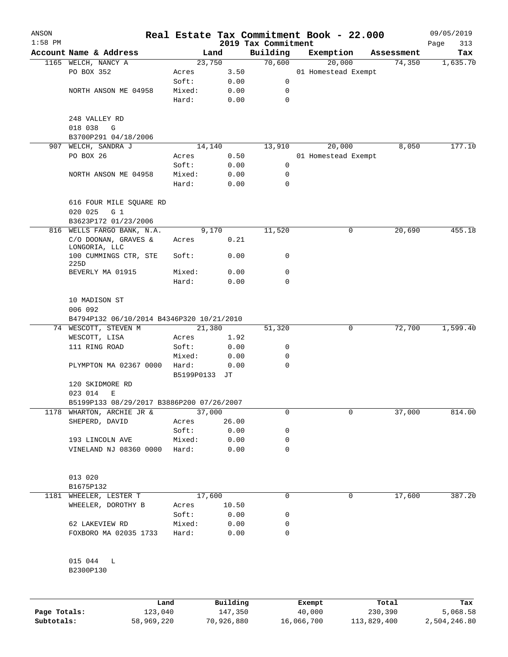| ANSON        |                                             |                     |            |                                 | Real Estate Tax Commitment Book - 22.000 |   |            | 09/05/2019         |
|--------------|---------------------------------------------|---------------------|------------|---------------------------------|------------------------------------------|---|------------|--------------------|
| $1:58$ PM    | Account Name & Address                      |                     | Land       | 2019 Tax Commitment<br>Building | Exemption                                |   | Assessment | Page<br>313<br>Tax |
|              | 1165 WELCH, NANCY A                         |                     | 23,750     | 70,600                          | 20,000                                   |   | 74,350     | 1,635.70           |
|              | PO BOX 352                                  | Acres               | 3.50       |                                 | 01 Homestead Exempt                      |   |            |                    |
|              |                                             | Soft:               | 0.00       | 0                               |                                          |   |            |                    |
|              | NORTH ANSON ME 04958                        | Mixed:              | 0.00       | 0                               |                                          |   |            |                    |
|              |                                             | Hard:               | 0.00       | $\mathbf 0$                     |                                          |   |            |                    |
|              | 248 VALLEY RD                               |                     |            |                                 |                                          |   |            |                    |
|              | 018 038<br>G                                |                     |            |                                 |                                          |   |            |                    |
|              | B3700P291 04/18/2006                        |                     |            |                                 |                                          |   |            |                    |
|              | 907 WELCH, SANDRA J                         |                     | 14,140     | 13,910                          | 20,000                                   |   | 8,050      | 177.10             |
|              | PO BOX 26                                   | Acres               | 0.50       |                                 | 01 Homestead Exempt                      |   |            |                    |
|              |                                             | Soft:               | 0.00       | 0                               |                                          |   |            |                    |
|              | NORTH ANSON ME 04958                        | Mixed:              | 0.00       | 0                               |                                          |   |            |                    |
|              |                                             | Hard:               | 0.00       | $\mathbf 0$                     |                                          |   |            |                    |
|              | 616 FOUR MILE SQUARE RD<br>020 025<br>$G_1$ |                     |            |                                 |                                          |   |            |                    |
|              | B3623P172 01/23/2006                        |                     |            |                                 |                                          |   |            |                    |
|              | 816 WELLS FARGO BANK, N.A.                  |                     | 9,170      | 11,520                          |                                          | 0 | 20,690     | 455.18             |
|              | C/O DOONAN, GRAVES &<br>LONGORIA, LLC       | Acres               | 0.21       |                                 |                                          |   |            |                    |
|              | 100 CUMMINGS CTR, STE<br>225D               | Soft:               | 0.00       | 0                               |                                          |   |            |                    |
|              | BEVERLY MA 01915                            | Mixed:              | 0.00       | 0                               |                                          |   |            |                    |
|              |                                             | Hard:               | 0.00       | 0                               |                                          |   |            |                    |
|              | 10 MADISON ST<br>006 092                    |                     |            |                                 |                                          |   |            |                    |
|              | B4794P132 06/10/2014 B4346P320 10/21/2010   |                     |            |                                 |                                          |   |            |                    |
|              | 74 WESCOTT, STEVEN M                        |                     | 21,380     | 51,320                          |                                          | 0 | 72,700     | 1,599.40           |
|              | WESCOTT, LISA                               | Acres               | 1.92       |                                 |                                          |   |            |                    |
|              | 111 RING ROAD                               | Soft:               | 0.00       | 0                               |                                          |   |            |                    |
|              |                                             | Mixed:              | 0.00       | 0                               |                                          |   |            |                    |
|              | PLYMPTON MA 02367 0000                      | Hard:<br>B5199P0133 | 0.00<br>JТ | $\mathbf 0$                     |                                          |   |            |                    |
|              | 120 SKIDMORE RD                             |                     |            |                                 |                                          |   |            |                    |
|              | 023 014<br>Е                                |                     |            |                                 |                                          |   |            |                    |
|              | B5199P133 08/29/2017 B3886P200 07/26/2007   |                     |            |                                 |                                          |   |            |                    |
| 1178         | WHARTON, ARCHIE JR &                        |                     | 37,000     | 0                               |                                          | 0 | 37,000     | 814.00             |
|              | SHEPERD, DAVID                              | Acres               | 26.00      |                                 |                                          |   |            |                    |
|              |                                             | Soft:               | 0.00       | 0                               |                                          |   |            |                    |
|              | 193 LINCOLN AVE                             | Mixed:              | 0.00       | 0                               |                                          |   |            |                    |
|              | VINELAND NJ 08360 0000                      | Hard:               | 0.00       | $\mathbf 0$                     |                                          |   |            |                    |
|              | 013 020                                     |                     |            |                                 |                                          |   |            |                    |
|              | B1675P132                                   |                     |            |                                 |                                          |   |            |                    |
| 1181         | WHEELER, LESTER T                           |                     | 17,600     | 0                               |                                          | 0 | 17,600     | 387.20             |
|              | WHEELER, DOROTHY B                          | Acres               | 10.50      |                                 |                                          |   |            |                    |
|              |                                             | Soft:               | 0.00       | 0                               |                                          |   |            |                    |
|              | 62 LAKEVIEW RD                              | Mixed:              | 0.00       | 0                               |                                          |   |            |                    |
|              | FOXBORO MA 02035 1733                       | Hard:               | 0.00       | 0                               |                                          |   |            |                    |
|              | 015 044 L                                   |                     |            |                                 |                                          |   |            |                    |
|              | B2300P130                                   |                     |            |                                 |                                          |   |            |                    |
|              |                                             |                     |            |                                 |                                          |   |            |                    |
|              | Land                                        |                     | Building   |                                 | Exempt                                   |   | Total      | Tax                |
| Page Totals: | 123,040                                     |                     | 147,350    |                                 | 40,000                                   |   | 230,390    | 5,068.58           |

**Subtotals:** 58,969,220 70,926,880 16,066,700 113,829,400 2,504,246.80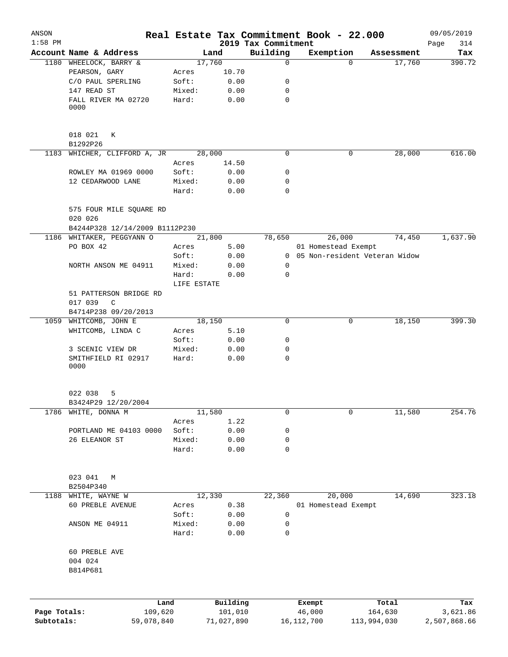| ANSON        |                                    |                 |              |                                 | Real Estate Tax Commitment Book - 22.000 |                                 | 09/05/2019         |
|--------------|------------------------------------|-----------------|--------------|---------------------------------|------------------------------------------|---------------------------------|--------------------|
| $1:58$ PM    | Account Name & Address             |                 | Land         | 2019 Tax Commitment<br>Building | Exemption                                | Assessment                      | 314<br>Page<br>Tax |
|              | 1180 WHEELOCK, BARRY &             |                 | 17,760       | 0                               | $\Omega$                                 | 17,760                          | 390.72             |
|              | PEARSON, GARY                      | Acres           | 10.70        |                                 |                                          |                                 |                    |
|              | C/O PAUL SPERLING                  | Soft:           | 0.00         | 0                               |                                          |                                 |                    |
|              | 147 READ ST                        |                 | 0.00         |                                 |                                          |                                 |                    |
|              |                                    | Mixed:          |              | 0                               |                                          |                                 |                    |
|              | FALL RIVER MA 02720<br>0000        | Hard:           | 0.00         | $\mathbf 0$                     |                                          |                                 |                    |
|              | 018 021<br>К                       |                 |              |                                 |                                          |                                 |                    |
|              | B1292P26                           |                 |              |                                 |                                          |                                 |                    |
|              | 1183 WHICHER, CLIFFORD A, JR       |                 | 28,000       | 0                               | 0                                        | 28,000                          | 616.00             |
|              |                                    | Acres           | 14.50        |                                 |                                          |                                 |                    |
|              | ROWLEY MA 01969 0000               | Soft:           | 0.00         | 0                               |                                          |                                 |                    |
|              | 12 CEDARWOOD LANE                  | Mixed:          | 0.00         | 0                               |                                          |                                 |                    |
|              |                                    | Hard:           | 0.00         | 0                               |                                          |                                 |                    |
|              | 575 FOUR MILE SQUARE RD<br>020 026 |                 |              |                                 |                                          |                                 |                    |
|              | B4244P328 12/14/2009 B1112P230     |                 |              |                                 |                                          |                                 |                    |
|              | 1186 WHITAKER, PEGGYANN O          |                 | 21,800       | 78,650                          | 26,000                                   | 74,450                          | 1,637.90           |
|              | PO BOX 42                          | Acres           | 5.00         |                                 | 01 Homestead Exempt                      |                                 |                    |
|              |                                    | Soft:           | 0.00         |                                 |                                          | 0 05 Non-resident Veteran Widow |                    |
|              | NORTH ANSON ME 04911               | Mixed:          | 0.00         | 0                               |                                          |                                 |                    |
|              |                                    | Hard:           | 0.00         | 0                               |                                          |                                 |                    |
|              |                                    | LIFE ESTATE     |              |                                 |                                          |                                 |                    |
|              | 51 PATTERSON BRIDGE RD             |                 |              |                                 |                                          |                                 |                    |
|              | 017 039<br>$\mathbb{C}$            |                 |              |                                 |                                          |                                 |                    |
|              | B4714P238 09/20/2013               |                 |              |                                 |                                          |                                 |                    |
| 1059         | WHITCOMB, JOHN E                   |                 | 18,150       | $\mathbf 0$                     | 0                                        | 18,150                          | 399.30             |
|              | WHITCOMB, LINDA C                  | Acres           | 5.10         |                                 |                                          |                                 |                    |
|              |                                    | Soft:           | 0.00         | 0                               |                                          |                                 |                    |
|              | 3 SCENIC VIEW DR                   | Mixed:          | 0.00         | 0                               |                                          |                                 |                    |
|              |                                    | Hard:           | 0.00         | 0                               |                                          |                                 |                    |
|              | SMITHFIELD RI 02917<br>0000        |                 |              |                                 |                                          |                                 |                    |
|              | 022 038<br>5                       |                 |              |                                 |                                          |                                 |                    |
|              | B3424P29 12/20/2004                |                 |              |                                 |                                          |                                 |                    |
| 1786         | WHITE, DONNA M                     |                 | 11,580       | 0                               | 0                                        | 11,580                          | 254.76             |
|              |                                    | Acres           | 1.22         |                                 |                                          |                                 |                    |
|              | PORTLAND ME 04103 0000             | Soft:           | 0.00         | 0                               |                                          |                                 |                    |
|              | 26 ELEANOR ST                      | Mixed:          | 0.00         | 0                               |                                          |                                 |                    |
|              |                                    | Hard:           | 0.00         | 0                               |                                          |                                 |                    |
|              |                                    |                 |              |                                 |                                          |                                 |                    |
|              | 023 041<br>М<br>B2504P340          |                 |              |                                 |                                          |                                 |                    |
| 1188         | WHITE, WAYNE W                     |                 | 12,330       | 22,360                          | 20,000                                   | 14,690                          | 323.18             |
|              | <b>60 PREBLE AVENUE</b>            | Acres           | 0.38         |                                 | 01 Homestead Exempt                      |                                 |                    |
|              |                                    | Soft:           |              |                                 |                                          |                                 |                    |
|              |                                    |                 | 0.00         | 0                               |                                          |                                 |                    |
|              | ANSON ME 04911                     | Mixed:<br>Hard: | 0.00<br>0.00 | 0<br>0                          |                                          |                                 |                    |
|              |                                    |                 |              |                                 |                                          |                                 |                    |
|              | 60 PREBLE AVE                      |                 |              |                                 |                                          |                                 |                    |
|              | 004 024                            |                 |              |                                 |                                          |                                 |                    |
|              | B814P681                           |                 |              |                                 |                                          |                                 |                    |
|              |                                    |                 |              |                                 |                                          |                                 |                    |
|              |                                    | Land            | Building     |                                 | Exempt                                   | Total                           | Tax                |
| Page Totals: |                                    | 109,620         | 101,010      |                                 | 46,000                                   | 164,630                         | 3,621.86           |
| Subtotals:   | 59,078,840                         |                 | 71,027,890   |                                 | 16, 112, 700                             | 113,994,030                     | 2,507,868.66       |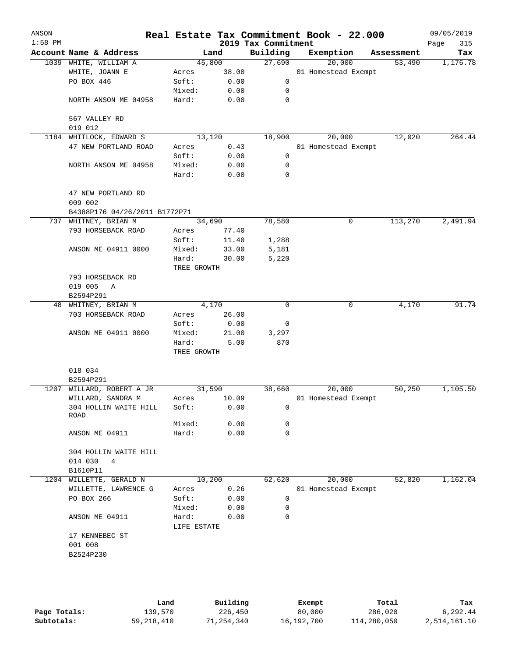| ANSON<br>$1:58$ PM |                                                       |                      |              | 2019 Tax Commitment | Real Estate Tax Commitment Book - 22.000 |            | 09/05/2019<br>Page<br>315 |
|--------------------|-------------------------------------------------------|----------------------|--------------|---------------------|------------------------------------------|------------|---------------------------|
|                    | Account Name & Address                                | Land                 |              | Building            | Exemption                                | Assessment | Tax                       |
|                    | 1039 WHITE, WILLIAM A                                 | 45,800               |              | 27,690              | 20,000                                   | 53,490     | 1,176.78                  |
|                    | WHITE, JOANN E                                        | Acres                | 38.00        |                     | 01 Homestead Exempt                      |            |                           |
|                    | PO BOX 446                                            | Soft:                | 0.00         | 0                   |                                          |            |                           |
|                    |                                                       | Mixed:               | 0.00         | 0                   |                                          |            |                           |
|                    | NORTH ANSON ME 04958                                  | Hard:                | 0.00         | $\mathbf 0$         |                                          |            |                           |
|                    | 567 VALLEY RD<br>019 012                              |                      |              |                     |                                          |            |                           |
|                    | 1184 WHITLOCK, EDWARD S                               | 13,120               |              | 18,900              | 20,000                                   | 12,020     | 264.44                    |
|                    | 47 NEW PORTLAND ROAD                                  | Acres                | 0.43         |                     | 01 Homestead Exempt                      |            |                           |
|                    |                                                       | Soft:                | 0.00         | 0                   |                                          |            |                           |
|                    | NORTH ANSON ME 04958                                  | Mixed:<br>Hard:      | 0.00<br>0.00 | 0<br>$\mathbf 0$    |                                          |            |                           |
|                    | 47 NEW PORTLAND RD                                    |                      |              |                     |                                          |            |                           |
|                    | 009 002                                               |                      |              |                     |                                          |            |                           |
|                    |                                                       |                      |              |                     |                                          |            |                           |
|                    | B4388P176 04/26/2011 B1772P71<br>737 WHITNEY, BRIAN M | 34,690               |              | 78,580              | 0                                        | 113,270    | 2,491.94                  |
|                    | 793 HORSEBACK ROAD                                    |                      |              |                     |                                          |            |                           |
|                    |                                                       | Acres<br>Soft:       | 77.40        | 1,288               |                                          |            |                           |
|                    | ANSON ME 04911 0000                                   |                      | 11.40        |                     |                                          |            |                           |
|                    |                                                       | Mixed:               | 33.00        | 5,181               |                                          |            |                           |
|                    |                                                       | Hard:<br>TREE GROWTH | 30.00        | 5,220               |                                          |            |                           |
|                    | 793 HORSEBACK RD                                      |                      |              |                     |                                          |            |                           |
|                    | 019 005<br>Α                                          |                      |              |                     |                                          |            |                           |
|                    | B2594P291                                             |                      |              |                     |                                          |            |                           |
|                    | 48 WHITNEY, BRIAN M                                   | 4,170                |              | $\Omega$            | 0                                        | 4,170      | 91.74                     |
|                    | 703 HORSEBACK ROAD                                    | Acres                | 26.00        |                     |                                          |            |                           |
|                    |                                                       | Soft:                | 0.00         | 0                   |                                          |            |                           |
|                    | ANSON ME 04911 0000                                   | Mixed:               | 21.00        | 3,297               |                                          |            |                           |
|                    |                                                       | Hard:                | 5.00         | 870                 |                                          |            |                           |
|                    |                                                       | TREE GROWTH          |              |                     |                                          |            |                           |
|                    | 018 034                                               |                      |              |                     |                                          |            |                           |
|                    | B2594P291                                             |                      |              |                     |                                          |            |                           |
| 1207               | WILLARD, ROBERT A JR                                  | 31,590               |              | 38,660              | 20,000                                   | 50,250     | 1,105.50                  |
|                    | WILLARD, SANDRA M                                     | Acres                | 10.09        |                     | 01 Homestead Exempt                      |            |                           |
|                    | 304 HOLLIN WAITE HILL<br>ROAD                         | Soft:                | 0.00         | 0                   |                                          |            |                           |
|                    |                                                       | Mixed:               | 0.00         | 0                   |                                          |            |                           |
|                    | ANSON ME 04911                                        | Hard:                | 0.00         | $\mathbf 0$         |                                          |            |                           |
|                    | 304 HOLLIN WAITE HILL                                 |                      |              |                     |                                          |            |                           |
|                    | 014 030<br>4                                          |                      |              |                     |                                          |            |                           |
|                    | B1610P11                                              |                      |              |                     |                                          |            |                           |
|                    | 1204 WILLETTE, GERALD N                               | 10,200               |              | 62,620              | 20,000                                   | 52,820     | 1,162.04                  |
|                    | WILLETTE, LAWRENCE G                                  | Acres                | 0.26         |                     | 01 Homestead Exempt                      |            |                           |
|                    | PO BOX 266                                            | Soft:                | 0.00         | 0                   |                                          |            |                           |
|                    |                                                       | Mixed:               | 0.00         | 0                   |                                          |            |                           |
|                    | ANSON ME 04911                                        | Hard:<br>LIFE ESTATE | 0.00         | $\mathbf 0$         |                                          |            |                           |
|                    | 17 KENNEBEC ST                                        |                      |              |                     |                                          |            |                           |
|                    | 001 008                                               |                      |              |                     |                                          |            |                           |
|                    | B2524P230                                             |                      |              |                     |                                          |            |                           |
|                    |                                                       |                      |              |                     |                                          |            |                           |
|                    |                                                       |                      |              |                     |                                          |            |                           |
|                    |                                                       |                      |              |                     |                                          |            |                           |
|                    |                                                       |                      |              |                     |                                          |            |                           |

|              | úand       | Building   | Exempt     | Total       | Tax          |
|--------------|------------|------------|------------|-------------|--------------|
| Page Totals: | 139,570    | 226,450    | 80,000     | 286,020     | 6,292.44     |
| Subtotals:   | 59,218,410 | 71,254,340 | 16,192,700 | 114,280,050 | 2,514,161.10 |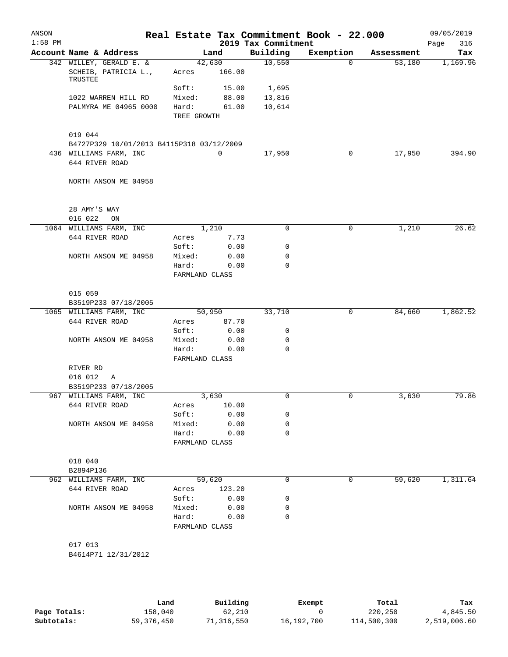| Account Name & Address                                     |                         |                  | 2019 Tax Commitment |           |            | 316<br>Page |
|------------------------------------------------------------|-------------------------|------------------|---------------------|-----------|------------|-------------|
|                                                            |                         | Land             | Building            | Exemption | Assessment | Tax         |
| 342 WILLEY, GERALD E. &<br>SCHEIB, PATRICIA L.,<br>TRUSTEE | Acres                   | 42,630<br>166.00 | 10,550              | 0         | 53,180     | 1,169.96    |
|                                                            | Soft:                   | 15.00            | 1,695               |           |            |             |
| 1022 WARREN HILL RD                                        | Mixed:                  | 88.00            | 13,816              |           |            |             |
| PALMYRA ME 04965 0000                                      | Hard:<br>TREE GROWTH    | 61.00            | 10,614              |           |            |             |
| 019 044<br>B4727P329 10/01/2013 B4115P318 03/12/2009       |                         |                  |                     |           |            |             |
| 436 WILLIAMS FARM, INC                                     |                         | $\mathbf 0$      | 17,950              | 0         | 17,950     | 394.90      |
| 644 RIVER ROAD                                             |                         |                  |                     |           |            |             |
| NORTH ANSON ME 04958                                       |                         |                  |                     |           |            |             |
| 28 AMY'S WAY<br>016 022<br>ON                              |                         |                  |                     |           |            |             |
| 1064 WILLIAMS FARM, INC                                    |                         | 1,210            | $\mathbf 0$         | 0         | 1,210      | 26.62       |
| 644 RIVER ROAD                                             | Acres                   | 7.73             |                     |           |            |             |
|                                                            | Soft:                   | 0.00             | 0                   |           |            |             |
| NORTH ANSON ME 04958                                       | Mixed:                  | 0.00             | 0                   |           |            |             |
|                                                            | Hard:<br>FARMLAND CLASS | 0.00             | 0                   |           |            |             |
| 015 059<br>B3519P233 07/18/2005                            |                         |                  |                     |           |            |             |
| 1065 WILLIAMS FARM, INC                                    |                         | 50,950           | 33,710              | 0         | 84,660     | 1,862.52    |
| 644 RIVER ROAD                                             | Acres                   | 87.70            |                     |           |            |             |
|                                                            | Soft:                   | 0.00             | 0                   |           |            |             |
| NORTH ANSON ME 04958                                       | Mixed:                  | 0.00             | 0                   |           |            |             |
|                                                            | Hard:<br>FARMLAND CLASS | 0.00             | $\mathbf 0$         |           |            |             |
| RIVER RD                                                   |                         |                  |                     |           |            |             |
| 016 012<br>Α                                               |                         |                  |                     |           |            |             |
| B3519P233 07/18/2005                                       |                         |                  |                     |           |            |             |
| 967 WILLIAMS FARM, INC                                     |                         | 3,630            | $\mathbf 0$         | 0         | 3,630      | 79.86       |
| 644 RIVER ROAD                                             | Acres<br>Soft:          | 10.00<br>0.00    | 0                   |           |            |             |
| NORTH ANSON ME 04958                                       | Mixed:                  | 0.00             | 0                   |           |            |             |
|                                                            | Hard:                   | 0.00             | 0                   |           |            |             |
|                                                            | FARMLAND CLASS          |                  |                     |           |            |             |
| 018 040<br>B2894P136                                       |                         |                  |                     |           |            |             |
| 962 WILLIAMS FARM, INC                                     |                         | 59,620           | 0                   | 0         | 59,620     | 1,311.64    |
| 644 RIVER ROAD                                             | Acres                   | 123.20           |                     |           |            |             |
|                                                            | Soft:                   | 0.00             | 0                   |           |            |             |
| NORTH ANSON ME 04958                                       | Mixed:                  | 0.00             | 0                   |           |            |             |
|                                                            | Hard:<br>FARMLAND CLASS | 0.00             | 0                   |           |            |             |
| 017 013                                                    |                         |                  |                     |           |            |             |
| B4614P71 12/31/2012                                        |                         |                  |                     |           |            |             |
|                                                            |                         |                  |                     |           |            |             |

|              | Land         | Building    | Exempt       | Total       | Tax          |
|--------------|--------------|-------------|--------------|-------------|--------------|
| Page Totals: | 158,040      | 62,210      |              | 220,250     | 4,845.50     |
| Subtotals:   | 59, 376, 450 | L, 316, 550 | 16, 192, 700 | 114,500,300 | 2,519,006.60 |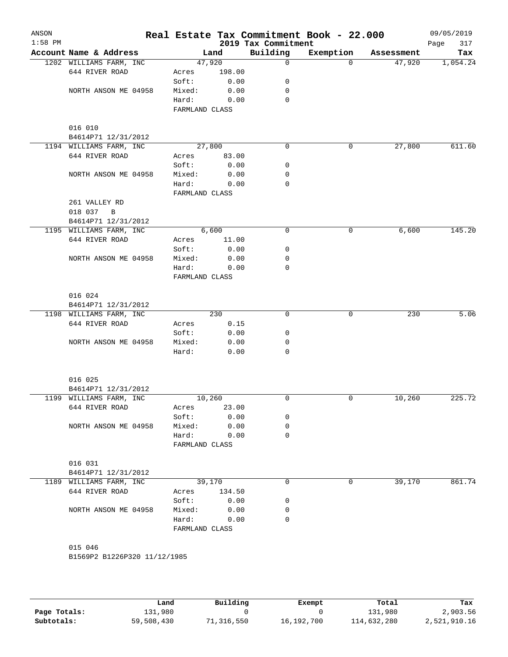| ANSON<br>$1:58$ PM |                                |                |        | 2019 Tax Commitment | Real Estate Tax Commitment Book - 22.000 |            | 09/05/2019<br>Page<br>317 |
|--------------------|--------------------------------|----------------|--------|---------------------|------------------------------------------|------------|---------------------------|
|                    | Account Name & Address         |                | Land   | Building            | Exemption                                | Assessment | Tax                       |
|                    | 1202 WILLIAMS FARM, INC        | 47,920         |        | 0                   | $\Omega$                                 | 47,920     | 1,054.24                  |
|                    | 644 RIVER ROAD                 | Acres          | 198.00 |                     |                                          |            |                           |
|                    |                                | Soft:          | 0.00   | 0                   |                                          |            |                           |
|                    | NORTH ANSON ME 04958           | Mixed:         | 0.00   | 0                   |                                          |            |                           |
|                    |                                | Hard:          | 0.00   | 0                   |                                          |            |                           |
|                    |                                | FARMLAND CLASS |        |                     |                                          |            |                           |
|                    | 016 010                        |                |        |                     |                                          |            |                           |
|                    | B4614P71 12/31/2012            |                |        |                     |                                          |            |                           |
|                    | 1194 WILLIAMS FARM, INC        | 27,800         |        | 0                   | 0                                        | 27,800     | 611.60                    |
|                    | 644 RIVER ROAD                 | Acres          | 83.00  |                     |                                          |            |                           |
|                    |                                | Soft:          | 0.00   | 0                   |                                          |            |                           |
|                    | NORTH ANSON ME 04958           | Mixed:         | 0.00   | 0                   |                                          |            |                           |
|                    |                                | Hard:          | 0.00   | 0                   |                                          |            |                           |
|                    |                                | FARMLAND CLASS |        |                     |                                          |            |                           |
|                    | 261 VALLEY RD                  |                |        |                     |                                          |            |                           |
|                    | 018 037<br>B                   |                |        |                     |                                          |            |                           |
|                    | B4614P71 12/31/2012            |                |        |                     |                                          |            |                           |
|                    | 1195 WILLIAMS FARM, INC        |                | 6,600  | 0                   | 0                                        | 6,600      | 145.20                    |
|                    | 644 RIVER ROAD                 | Acres          | 11.00  |                     |                                          |            |                           |
|                    |                                | Soft:          | 0.00   | 0                   |                                          |            |                           |
|                    | NORTH ANSON ME 04958           | Mixed:         | 0.00   | 0                   |                                          |            |                           |
|                    |                                | Hard:          | 0.00   | 0                   |                                          |            |                           |
|                    |                                | FARMLAND CLASS |        |                     |                                          |            |                           |
|                    | 016 024                        |                |        |                     |                                          |            |                           |
|                    | B4614P71 12/31/2012            |                |        |                     |                                          |            |                           |
|                    | 1198 WILLIAMS FARM, INC        |                | 230    | 0                   | 0                                        | 230        | 5.06                      |
|                    | 644 RIVER ROAD                 | Acres          | 0.15   |                     |                                          |            |                           |
|                    |                                | Soft:          | 0.00   | 0                   |                                          |            |                           |
|                    | NORTH ANSON ME 04958           | Mixed:         | 0.00   | 0                   |                                          |            |                           |
|                    |                                | Hard:          | 0.00   | 0                   |                                          |            |                           |
|                    |                                |                |        |                     |                                          |            |                           |
|                    | 016 025<br>B4614P71 12/31/2012 |                |        |                     |                                          |            |                           |
|                    | 1199 WILLIAMS FARM, INC        | 10,260         |        | 0                   | 0                                        | 10,260     | 225.72                    |
|                    | 644 RIVER ROAD                 | Acres          | 23.00  |                     |                                          |            |                           |
|                    |                                | Soft:          | 0.00   | 0                   |                                          |            |                           |
|                    | NORTH ANSON ME 04958           | Mixed:         | 0.00   | 0                   |                                          |            |                           |
|                    |                                | Hard:          | 0.00   | 0                   |                                          |            |                           |
|                    |                                | FARMLAND CLASS |        |                     |                                          |            |                           |
|                    | 016 031                        |                |        |                     |                                          |            |                           |
|                    | B4614P71 12/31/2012            |                |        |                     |                                          |            |                           |
|                    | 1189 WILLIAMS FARM, INC        | 39,170         |        | 0                   | 0                                        | 39,170     | 861.74                    |
|                    | 644 RIVER ROAD                 | Acres          | 134.50 |                     |                                          |            |                           |
|                    |                                | Soft:          | 0.00   | 0                   |                                          |            |                           |
|                    | NORTH ANSON ME 04958           | Mixed:         | 0.00   | 0                   |                                          |            |                           |
|                    |                                | Hard:          |        | $\Omega$            |                                          |            |                           |
|                    |                                | FARMLAND CLASS | 0.00   |                     |                                          |            |                           |
|                    |                                |                |        |                     |                                          |            |                           |
|                    | 015 046                        |                |        |                     |                                          |            |                           |
|                    | B1569P2 B1226P320 11/12/1985   |                |        |                     |                                          |            |                           |
|                    |                                |                |        |                     |                                          |            |                           |

|              | Land       | Building   | Exempt       | Total       | Tax          |
|--------------|------------|------------|--------------|-------------|--------------|
| Page Totals: | 131,980    |            |              | 131,980     | 2,903.56     |
| Subtotals:   | 59,508,430 | 71,316,550 | 16, 192, 700 | 114,632,280 | 2,521,910.16 |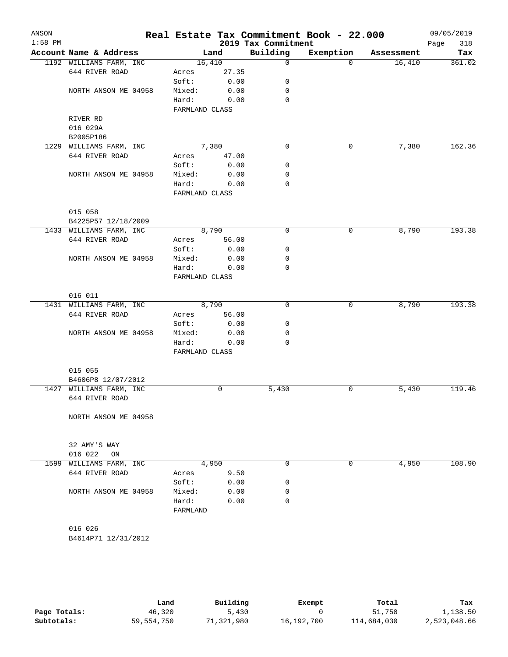| ANSON<br>$1:58$ PM |                         |                |       | 2019 Tax Commitment | Real Estate Tax Commitment Book - 22.000 |            | 09/05/2019<br>318<br>Page |
|--------------------|-------------------------|----------------|-------|---------------------|------------------------------------------|------------|---------------------------|
|                    | Account Name & Address  |                | Land  | Building            | Exemption                                | Assessment | Tax                       |
|                    | 1192 WILLIAMS FARM, INC | 16,410         |       | $\Omega$            | $\Omega$                                 | 16,410     | 361.02                    |
|                    | 644 RIVER ROAD          | Acres          | 27.35 |                     |                                          |            |                           |
|                    |                         | Soft:          | 0.00  | 0                   |                                          |            |                           |
|                    | NORTH ANSON ME 04958    | Mixed:         | 0.00  | 0                   |                                          |            |                           |
|                    |                         | Hard:          | 0.00  | $\Omega$            |                                          |            |                           |
|                    |                         | FARMLAND CLASS |       |                     |                                          |            |                           |
|                    | RIVER RD                |                |       |                     |                                          |            |                           |
|                    | 016 029A                |                |       |                     |                                          |            |                           |
|                    | B2005P186               |                |       |                     |                                          |            |                           |
|                    | 1229 WILLIAMS FARM, INC | 7,380          |       | $\mathbf 0$         | $\mathbf 0$                              | 7,380      | 162.36                    |
|                    | 644 RIVER ROAD          | Acres          | 47.00 |                     |                                          |            |                           |
|                    |                         | Soft:          | 0.00  | 0                   |                                          |            |                           |
|                    | NORTH ANSON ME 04958    | Mixed:         | 0.00  | 0                   |                                          |            |                           |
|                    |                         | Hard:          | 0.00  | 0                   |                                          |            |                           |
|                    |                         | FARMLAND CLASS |       |                     |                                          |            |                           |
|                    |                         |                |       |                     |                                          |            |                           |
|                    | 015 058                 |                |       |                     |                                          |            |                           |
|                    | B4225P57 12/18/2009     |                |       |                     |                                          |            |                           |
|                    | 1433 WILLIAMS FARM, INC | 8,790          |       | 0                   | 0                                        | 8,790      | 193.38                    |
|                    | 644 RIVER ROAD          | Acres          | 56.00 |                     |                                          |            |                           |
|                    |                         |                |       |                     |                                          |            |                           |
|                    |                         | Soft:          | 0.00  | 0                   |                                          |            |                           |
|                    | NORTH ANSON ME 04958    | Mixed:         | 0.00  | 0                   |                                          |            |                           |
|                    |                         | Hard:          | 0.00  | $\mathbf 0$         |                                          |            |                           |
|                    |                         | FARMLAND CLASS |       |                     |                                          |            |                           |
|                    |                         |                |       |                     |                                          |            |                           |
|                    | 016 011                 |                |       |                     |                                          |            |                           |
|                    | 1431 WILLIAMS FARM, INC | 8,790          |       | $\Omega$            | $\mathbf 0$                              | 8,790      | 193.38                    |
|                    | 644 RIVER ROAD          | Acres          | 56.00 |                     |                                          |            |                           |
|                    |                         | Soft:          | 0.00  | 0                   |                                          |            |                           |
|                    | NORTH ANSON ME 04958    | Mixed:         | 0.00  | 0                   |                                          |            |                           |
|                    |                         | Hard:          | 0.00  | $\mathbf 0$         |                                          |            |                           |
|                    |                         | FARMLAND CLASS |       |                     |                                          |            |                           |
|                    |                         |                |       |                     |                                          |            |                           |
|                    | 015 055                 |                |       |                     |                                          |            |                           |
|                    | B4606P8 12/07/2012      |                |       |                     |                                          |            |                           |
| 1427               | WILLIAMS FARM, INC      |                | 0     | 5,430               | 0                                        | 5,430      | 119.46                    |
|                    | 644 RIVER ROAD          |                |       |                     |                                          |            |                           |
|                    |                         |                |       |                     |                                          |            |                           |
|                    | NORTH ANSON ME 04958    |                |       |                     |                                          |            |                           |
|                    |                         |                |       |                     |                                          |            |                           |
|                    |                         |                |       |                     |                                          |            |                           |
|                    | 32 AMY'S WAY            |                |       |                     |                                          |            |                           |
|                    | 016 022<br>ON           |                |       |                     |                                          |            |                           |
|                    | 1599 WILLIAMS FARM, INC | 4,950          |       | 0                   | 0                                        | 4,950      | 108.90                    |
|                    | 644 RIVER ROAD          | Acres          | 9.50  |                     |                                          |            |                           |
|                    |                         | Soft:          | 0.00  | 0                   |                                          |            |                           |
|                    | NORTH ANSON ME 04958    | Mixed:         | 0.00  | 0                   |                                          |            |                           |
|                    |                         | Hard:          | 0.00  | 0                   |                                          |            |                           |
|                    |                         | FARMLAND       |       |                     |                                          |            |                           |
|                    |                         |                |       |                     |                                          |            |                           |
|                    | 016 026                 |                |       |                     |                                          |            |                           |
|                    | B4614P71 12/31/2012     |                |       |                     |                                          |            |                           |
|                    |                         |                |       |                     |                                          |            |                           |
|                    |                         |                |       |                     |                                          |            |                           |

|              | Land       | Building  | Exempt       | Total       | Tax          |
|--------------|------------|-----------|--------------|-------------|--------------|
| Page Totals: | 46,320     | 5,430     |              | 51,750      | 1,138.50     |
| Subtotals:   | 59,554,750 | .,321,980 | 16, 192, 700 | 114,684,030 | 2,523,048.66 |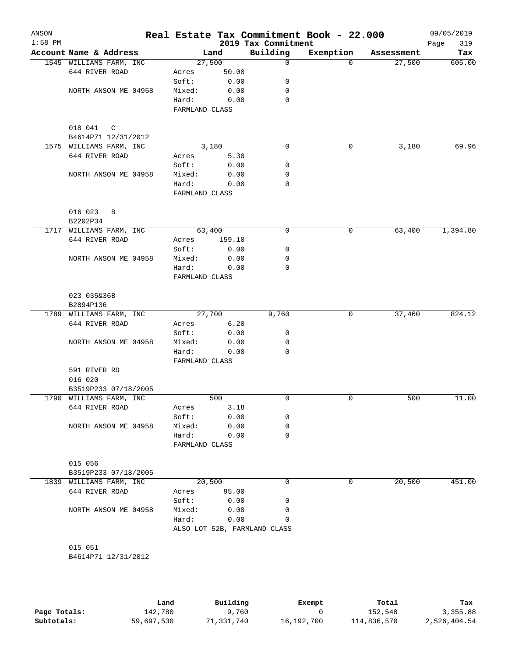| ANSON<br>$1:58$ PM |                         |                         |        | 2019 Tax Commitment          | Real Estate Tax Commitment Book - 22.000 |            | 09/05/2019<br>Page<br>319 |
|--------------------|-------------------------|-------------------------|--------|------------------------------|------------------------------------------|------------|---------------------------|
|                    | Account Name & Address  |                         | Land   | Building                     | Exemption                                | Assessment | Tax                       |
|                    | 1545 WILLIAMS FARM, INC | 27,500                  |        | 0                            | $\Omega$                                 | 27,500     | 605.00                    |
|                    | 644 RIVER ROAD          | Acres                   | 50.00  |                              |                                          |            |                           |
|                    |                         | Soft:                   | 0.00   | 0                            |                                          |            |                           |
|                    | NORTH ANSON ME 04958    | Mixed:                  | 0.00   | 0                            |                                          |            |                           |
|                    |                         | Hard:                   | 0.00   | 0                            |                                          |            |                           |
|                    |                         | FARMLAND CLASS          |        |                              |                                          |            |                           |
|                    | 018 041<br>C            |                         |        |                              |                                          |            |                           |
|                    | B4614P71 12/31/2012     |                         |        |                              |                                          |            |                           |
|                    | 1575 WILLIAMS FARM, INC |                         | 3,180  | $\Omega$                     | 0                                        | 3,180      | 69.96                     |
|                    | 644 RIVER ROAD          | Acres                   | 5.30   |                              |                                          |            |                           |
|                    |                         | Soft:                   | 0.00   | 0                            |                                          |            |                           |
|                    | NORTH ANSON ME 04958    | Mixed:                  | 0.00   | 0                            |                                          |            |                           |
|                    |                         | Hard:<br>FARMLAND CLASS | 0.00   | 0                            |                                          |            |                           |
|                    |                         |                         |        |                              |                                          |            |                           |
|                    | 016 023<br>B            |                         |        |                              |                                          |            |                           |
|                    | B2202P34                |                         |        |                              |                                          |            |                           |
|                    | 1717 WILLIAMS FARM, INC | 63,400                  |        | 0                            | 0                                        | 63,400     | 1,394.80                  |
|                    | 644 RIVER ROAD          | Acres                   | 159.10 |                              |                                          |            |                           |
|                    |                         | Soft:                   | 0.00   | 0                            |                                          |            |                           |
|                    | NORTH ANSON ME 04958    | Mixed:                  | 0.00   | 0                            |                                          |            |                           |
|                    |                         | Hard:                   | 0.00   | 0                            |                                          |            |                           |
|                    |                         | FARMLAND CLASS          |        |                              |                                          |            |                           |
|                    | 023 035&36B             |                         |        |                              |                                          |            |                           |
|                    | B2894P136               |                         |        |                              |                                          |            |                           |
|                    | 1789 WILLIAMS FARM, INC | 27,700                  |        | 9,760                        | 0                                        | 37,460     | 824.12                    |
|                    | 644 RIVER ROAD          | Acres                   | 6.20   |                              |                                          |            |                           |
|                    |                         | Soft:                   | 0.00   | 0                            |                                          |            |                           |
|                    | NORTH ANSON ME 04958    | Mixed:                  | 0.00   | 0                            |                                          |            |                           |
|                    |                         | Hard:                   | 0.00   | 0                            |                                          |            |                           |
|                    |                         | FARMLAND CLASS          |        |                              |                                          |            |                           |
|                    | 591 RIVER RD            |                         |        |                              |                                          |            |                           |
|                    | 016 020                 |                         |        |                              |                                          |            |                           |
|                    | B3519P233 07/18/2005    |                         |        |                              |                                          |            |                           |
|                    | 1790 WILLIAMS FARM, INC |                         | 500    | 0                            | $\mathbf 0$                              | 500        | 11.00                     |
|                    | 644 RIVER ROAD          | Acres                   | 3.18   |                              |                                          |            |                           |
|                    |                         | Soft:                   | 0.00   | 0                            |                                          |            |                           |
|                    | NORTH ANSON ME 04958    | Mixed:                  | 0.00   | 0                            |                                          |            |                           |
|                    |                         | Hard:                   | 0.00   | 0                            |                                          |            |                           |
|                    |                         | FARMLAND CLASS          |        |                              |                                          |            |                           |
|                    | 015 056                 |                         |        |                              |                                          |            |                           |
|                    | B3519P233 07/18/2005    |                         |        |                              |                                          |            |                           |
|                    | 1839 WILLIAMS FARM, INC | 20,500                  |        | 0                            | 0                                        | 20,500     | 451.00                    |
|                    |                         |                         |        |                              |                                          |            |                           |
|                    | 644 RIVER ROAD          | Acres<br>Soft:          | 95.00  |                              |                                          |            |                           |
|                    |                         |                         | 0.00   | 0<br>0                       |                                          |            |                           |
|                    | NORTH ANSON ME 04958    | Mixed:<br>Hard:         | 0.00   | 0                            |                                          |            |                           |
|                    |                         |                         | 0.00   |                              |                                          |            |                           |
|                    |                         |                         |        | ALSO LOT 52B, FARMLAND CLASS |                                          |            |                           |
|                    | 015 051                 |                         |        |                              |                                          |            |                           |
|                    | B4614P71 12/31/2012     |                         |        |                              |                                          |            |                           |
|                    |                         |                         |        |                              |                                          |            |                           |
|                    |                         |                         |        |                              |                                          |            |                           |

|              | Land       | Building   | Exempt     | Total       | Tax          |
|--------------|------------|------------|------------|-------------|--------------|
| Page Totals: | 142,780    | .760       |            | 152,540     | 3,355.88     |
| Subtotals:   | 59,697,530 | 71,331,740 | 16,192,700 | 114,836,570 | 2,526,404.54 |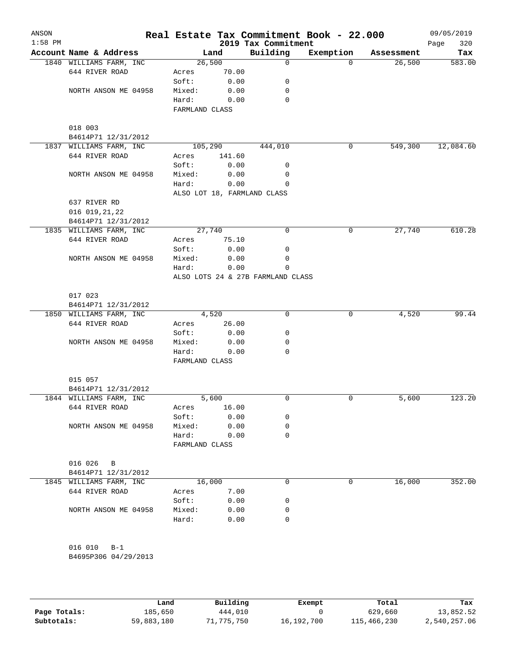| Account Name & Address<br>Land<br>1840 WILLIAMS FARM, INC<br>26,500<br>644 RIVER ROAD<br>70.00<br>Acres<br>Soft:<br>0.00<br>Mixed:<br>0.00<br>NORTH ANSON ME 04958<br>Hard:<br>0.00<br>FARMLAND CLASS<br>018 003<br>B4614P71 12/31/2012<br>1837 WILLIAMS FARM, INC<br>105,290<br>644 RIVER ROAD<br>141.60<br>Acres<br>Soft:<br>0.00<br>Mixed:<br>0.00<br>NORTH ANSON ME 04958<br>Hard:<br>0.00<br>ALSO LOT 18, FARMLAND CLASS<br>637 RIVER RD<br>016 019, 21, 22<br>B4614P71 12/31/2012<br>27,740<br>1835 WILLIAMS FARM, INC<br>644 RIVER ROAD<br>75.10<br>Acres<br>Soft:<br>0.00<br>0.00<br>NORTH ANSON ME 04958<br>Mixed:<br>Hard:<br>0.00<br>ALSO LOTS 24 & 27B FARMLAND CLASS<br>017 023<br>B4614P71 12/31/2012<br>4,520<br>1850 WILLIAMS FARM, INC<br>644 RIVER ROAD<br>26.00<br>Acres<br>Soft:<br>0.00<br>Mixed:<br>NORTH ANSON ME 04958<br>0.00<br>Hard:<br>0.00<br>FARMLAND CLASS<br>015 057<br>B4614P71 12/31/2012<br>1844 WILLIAMS FARM, INC<br>5,600 | Building<br>0<br>0<br>0<br>0<br>444,010<br>0<br>0<br>$\Omega$<br>0<br>0 | Exemption<br>$\Omega$<br>0<br>0 | Assessment<br>26,500<br>549,300<br>27,740 | Page<br>Tax |
|-----------------------------------------------------------------------------------------------------------------------------------------------------------------------------------------------------------------------------------------------------------------------------------------------------------------------------------------------------------------------------------------------------------------------------------------------------------------------------------------------------------------------------------------------------------------------------------------------------------------------------------------------------------------------------------------------------------------------------------------------------------------------------------------------------------------------------------------------------------------------------------------------------------------------------------------------------------------|-------------------------------------------------------------------------|---------------------------------|-------------------------------------------|-------------|
|                                                                                                                                                                                                                                                                                                                                                                                                                                                                                                                                                                                                                                                                                                                                                                                                                                                                                                                                                                 |                                                                         |                                 |                                           | 583.00      |
|                                                                                                                                                                                                                                                                                                                                                                                                                                                                                                                                                                                                                                                                                                                                                                                                                                                                                                                                                                 |                                                                         |                                 |                                           |             |
|                                                                                                                                                                                                                                                                                                                                                                                                                                                                                                                                                                                                                                                                                                                                                                                                                                                                                                                                                                 |                                                                         |                                 |                                           | 12,084.60   |
|                                                                                                                                                                                                                                                                                                                                                                                                                                                                                                                                                                                                                                                                                                                                                                                                                                                                                                                                                                 |                                                                         |                                 |                                           |             |
|                                                                                                                                                                                                                                                                                                                                                                                                                                                                                                                                                                                                                                                                                                                                                                                                                                                                                                                                                                 |                                                                         |                                 |                                           |             |
|                                                                                                                                                                                                                                                                                                                                                                                                                                                                                                                                                                                                                                                                                                                                                                                                                                                                                                                                                                 |                                                                         |                                 |                                           |             |
|                                                                                                                                                                                                                                                                                                                                                                                                                                                                                                                                                                                                                                                                                                                                                                                                                                                                                                                                                                 |                                                                         |                                 |                                           |             |
|                                                                                                                                                                                                                                                                                                                                                                                                                                                                                                                                                                                                                                                                                                                                                                                                                                                                                                                                                                 |                                                                         |                                 |                                           |             |
|                                                                                                                                                                                                                                                                                                                                                                                                                                                                                                                                                                                                                                                                                                                                                                                                                                                                                                                                                                 |                                                                         |                                 |                                           |             |
|                                                                                                                                                                                                                                                                                                                                                                                                                                                                                                                                                                                                                                                                                                                                                                                                                                                                                                                                                                 |                                                                         |                                 |                                           |             |
|                                                                                                                                                                                                                                                                                                                                                                                                                                                                                                                                                                                                                                                                                                                                                                                                                                                                                                                                                                 |                                                                         |                                 |                                           |             |
|                                                                                                                                                                                                                                                                                                                                                                                                                                                                                                                                                                                                                                                                                                                                                                                                                                                                                                                                                                 |                                                                         |                                 |                                           |             |
|                                                                                                                                                                                                                                                                                                                                                                                                                                                                                                                                                                                                                                                                                                                                                                                                                                                                                                                                                                 |                                                                         |                                 |                                           |             |
|                                                                                                                                                                                                                                                                                                                                                                                                                                                                                                                                                                                                                                                                                                                                                                                                                                                                                                                                                                 |                                                                         |                                 |                                           |             |
|                                                                                                                                                                                                                                                                                                                                                                                                                                                                                                                                                                                                                                                                                                                                                                                                                                                                                                                                                                 |                                                                         |                                 |                                           |             |
|                                                                                                                                                                                                                                                                                                                                                                                                                                                                                                                                                                                                                                                                                                                                                                                                                                                                                                                                                                 |                                                                         |                                 |                                           |             |
|                                                                                                                                                                                                                                                                                                                                                                                                                                                                                                                                                                                                                                                                                                                                                                                                                                                                                                                                                                 |                                                                         |                                 |                                           |             |
|                                                                                                                                                                                                                                                                                                                                                                                                                                                                                                                                                                                                                                                                                                                                                                                                                                                                                                                                                                 |                                                                         |                                 |                                           |             |
|                                                                                                                                                                                                                                                                                                                                                                                                                                                                                                                                                                                                                                                                                                                                                                                                                                                                                                                                                                 |                                                                         |                                 |                                           | 610.28      |
|                                                                                                                                                                                                                                                                                                                                                                                                                                                                                                                                                                                                                                                                                                                                                                                                                                                                                                                                                                 |                                                                         |                                 |                                           |             |
|                                                                                                                                                                                                                                                                                                                                                                                                                                                                                                                                                                                                                                                                                                                                                                                                                                                                                                                                                                 |                                                                         |                                 |                                           |             |
|                                                                                                                                                                                                                                                                                                                                                                                                                                                                                                                                                                                                                                                                                                                                                                                                                                                                                                                                                                 | 0                                                                       |                                 |                                           |             |
|                                                                                                                                                                                                                                                                                                                                                                                                                                                                                                                                                                                                                                                                                                                                                                                                                                                                                                                                                                 | 0                                                                       |                                 |                                           |             |
|                                                                                                                                                                                                                                                                                                                                                                                                                                                                                                                                                                                                                                                                                                                                                                                                                                                                                                                                                                 |                                                                         |                                 |                                           |             |
|                                                                                                                                                                                                                                                                                                                                                                                                                                                                                                                                                                                                                                                                                                                                                                                                                                                                                                                                                                 |                                                                         |                                 |                                           |             |
|                                                                                                                                                                                                                                                                                                                                                                                                                                                                                                                                                                                                                                                                                                                                                                                                                                                                                                                                                                 |                                                                         |                                 |                                           |             |
|                                                                                                                                                                                                                                                                                                                                                                                                                                                                                                                                                                                                                                                                                                                                                                                                                                                                                                                                                                 | 0                                                                       | 0                               | 4,520                                     | 99.44       |
|                                                                                                                                                                                                                                                                                                                                                                                                                                                                                                                                                                                                                                                                                                                                                                                                                                                                                                                                                                 |                                                                         |                                 |                                           |             |
|                                                                                                                                                                                                                                                                                                                                                                                                                                                                                                                                                                                                                                                                                                                                                                                                                                                                                                                                                                 | 0                                                                       |                                 |                                           |             |
|                                                                                                                                                                                                                                                                                                                                                                                                                                                                                                                                                                                                                                                                                                                                                                                                                                                                                                                                                                 | 0                                                                       |                                 |                                           |             |
|                                                                                                                                                                                                                                                                                                                                                                                                                                                                                                                                                                                                                                                                                                                                                                                                                                                                                                                                                                 | 0                                                                       |                                 |                                           |             |
|                                                                                                                                                                                                                                                                                                                                                                                                                                                                                                                                                                                                                                                                                                                                                                                                                                                                                                                                                                 |                                                                         |                                 |                                           |             |
|                                                                                                                                                                                                                                                                                                                                                                                                                                                                                                                                                                                                                                                                                                                                                                                                                                                                                                                                                                 |                                                                         |                                 |                                           |             |
|                                                                                                                                                                                                                                                                                                                                                                                                                                                                                                                                                                                                                                                                                                                                                                                                                                                                                                                                                                 |                                                                         |                                 |                                           |             |
|                                                                                                                                                                                                                                                                                                                                                                                                                                                                                                                                                                                                                                                                                                                                                                                                                                                                                                                                                                 |                                                                         |                                 |                                           |             |
|                                                                                                                                                                                                                                                                                                                                                                                                                                                                                                                                                                                                                                                                                                                                                                                                                                                                                                                                                                 | 0                                                                       | 0                               | 5,600                                     | 123.20      |
| 644 RIVER ROAD<br>16.00<br>Acres                                                                                                                                                                                                                                                                                                                                                                                                                                                                                                                                                                                                                                                                                                                                                                                                                                                                                                                                |                                                                         |                                 |                                           |             |
| Soft:<br>0.00                                                                                                                                                                                                                                                                                                                                                                                                                                                                                                                                                                                                                                                                                                                                                                                                                                                                                                                                                   | 0                                                                       |                                 |                                           |             |
| 0.00<br>NORTH ANSON ME 04958<br>Mixed:                                                                                                                                                                                                                                                                                                                                                                                                                                                                                                                                                                                                                                                                                                                                                                                                                                                                                                                          | 0                                                                       |                                 |                                           |             |
| Hard:<br>0.00                                                                                                                                                                                                                                                                                                                                                                                                                                                                                                                                                                                                                                                                                                                                                                                                                                                                                                                                                   | 0                                                                       |                                 |                                           |             |
| FARMLAND CLASS                                                                                                                                                                                                                                                                                                                                                                                                                                                                                                                                                                                                                                                                                                                                                                                                                                                                                                                                                  |                                                                         |                                 |                                           |             |
| 016 026<br>$\overline{B}$                                                                                                                                                                                                                                                                                                                                                                                                                                                                                                                                                                                                                                                                                                                                                                                                                                                                                                                                       |                                                                         |                                 |                                           |             |
| B4614P71 12/31/2012                                                                                                                                                                                                                                                                                                                                                                                                                                                                                                                                                                                                                                                                                                                                                                                                                                                                                                                                             |                                                                         |                                 |                                           |             |
| 16,000<br>1845 WILLIAMS FARM, INC                                                                                                                                                                                                                                                                                                                                                                                                                                                                                                                                                                                                                                                                                                                                                                                                                                                                                                                               | 0                                                                       | 0                               | 16,000                                    | 352.00      |
| 644 RIVER ROAD<br>7.00<br>Acres                                                                                                                                                                                                                                                                                                                                                                                                                                                                                                                                                                                                                                                                                                                                                                                                                                                                                                                                 |                                                                         |                                 |                                           |             |
| Soft:<br>0.00                                                                                                                                                                                                                                                                                                                                                                                                                                                                                                                                                                                                                                                                                                                                                                                                                                                                                                                                                   | 0                                                                       |                                 |                                           |             |
| NORTH ANSON ME 04958<br>Mixed:<br>0.00                                                                                                                                                                                                                                                                                                                                                                                                                                                                                                                                                                                                                                                                                                                                                                                                                                                                                                                          | 0                                                                       |                                 |                                           |             |
| Hard:<br>0.00                                                                                                                                                                                                                                                                                                                                                                                                                                                                                                                                                                                                                                                                                                                                                                                                                                                                                                                                                   | 0                                                                       |                                 |                                           |             |
|                                                                                                                                                                                                                                                                                                                                                                                                                                                                                                                                                                                                                                                                                                                                                                                                                                                                                                                                                                 |                                                                         |                                 |                                           |             |
|                                                                                                                                                                                                                                                                                                                                                                                                                                                                                                                                                                                                                                                                                                                                                                                                                                                                                                                                                                 |                                                                         |                                 |                                           |             |
| 016 010<br>$B-1$                                                                                                                                                                                                                                                                                                                                                                                                                                                                                                                                                                                                                                                                                                                                                                                                                                                                                                                                                |                                                                         |                                 |                                           |             |
| B4695P306 04/29/2013                                                                                                                                                                                                                                                                                                                                                                                                                                                                                                                                                                                                                                                                                                                                                                                                                                                                                                                                            |                                                                         |                                 |                                           |             |

|              | Land       | Building   | Exempt     | Total       | Tax          |
|--------------|------------|------------|------------|-------------|--------------|
| Page Totals: | 185,650    | 444,010    |            | 629,660     | 13,852.52    |
| Subtotals:   | 59,883,180 | 71,775,750 | 16,192,700 | 115,466,230 | 2,540,257.06 |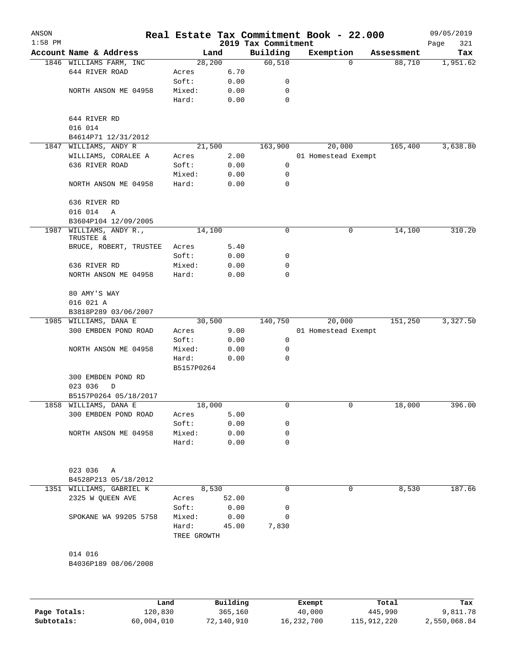| ANSON        |                                                   |                      |          |                     | Real Estate Tax Commitment Book - 22.000 |                      | 09/05/2019      |
|--------------|---------------------------------------------------|----------------------|----------|---------------------|------------------------------------------|----------------------|-----------------|
| $1:58$ PM    |                                                   |                      |          | 2019 Tax Commitment |                                          |                      | Page<br>321     |
|              | Account Name & Address<br>1846 WILLIAMS FARM, INC | Land<br>28,200       |          | Building<br>60,510  | Exemption<br>0                           | Assessment<br>88,710 | Tax<br>1,951.62 |
|              | 644 RIVER ROAD                                    | Acres                | 6.70     |                     |                                          |                      |                 |
|              |                                                   | Soft:                | 0.00     | 0                   |                                          |                      |                 |
|              | NORTH ANSON ME 04958                              | Mixed:               | 0.00     | 0                   |                                          |                      |                 |
|              |                                                   | Hard:                | 0.00     | $\mathbf 0$         |                                          |                      |                 |
|              |                                                   |                      |          |                     |                                          |                      |                 |
|              | 644 RIVER RD                                      |                      |          |                     |                                          |                      |                 |
|              | 016 014                                           |                      |          |                     |                                          |                      |                 |
|              | B4614P71 12/31/2012                               |                      |          |                     |                                          |                      |                 |
| 1847         | WILLIAMS, ANDY R                                  | 21,500               |          | 163,900             | 20,000                                   | 165,400              | 3,638.80        |
|              | WILLIAMS, CORALEE A                               | Acres                | 2.00     |                     | 01 Homestead Exempt                      |                      |                 |
|              | 636 RIVER ROAD                                    | Soft:                | 0.00     | 0                   |                                          |                      |                 |
|              |                                                   | Mixed:               | 0.00     | 0                   |                                          |                      |                 |
|              | NORTH ANSON ME 04958                              | Hard:                | 0.00     | 0                   |                                          |                      |                 |
|              | 636 RIVER RD                                      |                      |          |                     |                                          |                      |                 |
|              | 016 014<br>Α                                      |                      |          |                     |                                          |                      |                 |
|              | B3604P104 12/09/2005                              |                      |          |                     |                                          |                      |                 |
| 1987         | WILLIAMS, ANDY R.,                                | 14,100               |          | 0                   | 0                                        | 14,100               | 310.20          |
|              | TRUSTEE &                                         |                      |          |                     |                                          |                      |                 |
|              | BRUCE, ROBERT, TRUSTEE                            | Acres                | 5.40     |                     |                                          |                      |                 |
|              |                                                   | Soft:                | 0.00     | 0                   |                                          |                      |                 |
|              | 636 RIVER RD                                      | Mixed:               | 0.00     | 0                   |                                          |                      |                 |
|              | NORTH ANSON ME 04958                              | Hard:                | 0.00     | 0                   |                                          |                      |                 |
|              | 80 AMY'S WAY                                      |                      |          |                     |                                          |                      |                 |
|              | 016 021 A                                         |                      |          |                     |                                          |                      |                 |
|              | B3818P289 03/06/2007                              |                      |          |                     |                                          |                      |                 |
| 1985         | WILLIAMS, DANA E                                  | 30,500               |          | 140,750             | 20,000                                   | 151,250              | 3,327.50        |
|              | 300 EMBDEN POND ROAD                              | Acres                | 9.00     |                     | 01 Homestead Exempt                      |                      |                 |
|              |                                                   | Soft:                | 0.00     | 0                   |                                          |                      |                 |
|              | NORTH ANSON ME 04958                              | Mixed:               | 0.00     | 0                   |                                          |                      |                 |
|              |                                                   | Hard:                | 0.00     | $\mathbf 0$         |                                          |                      |                 |
|              |                                                   | B5157P0264           |          |                     |                                          |                      |                 |
|              | 300 EMBDEN POND RD                                |                      |          |                     |                                          |                      |                 |
|              | 023 036<br>D                                      |                      |          |                     |                                          |                      |                 |
|              | B5157P0264 05/18/2017                             |                      |          |                     |                                          |                      |                 |
|              | 1858 WILLIAMS, DANA E                             | 18,000               |          | 0                   | 0                                        | 18,000               | 396.00          |
|              | 300 EMBDEN POND ROAD                              | Acres                | 5.00     |                     |                                          |                      |                 |
|              |                                                   | Soft:                | 0.00     | 0                   |                                          |                      |                 |
|              | NORTH ANSON ME 04958                              | Mixed:               | 0.00     | 0                   |                                          |                      |                 |
|              |                                                   | Hard:                | 0.00     | 0                   |                                          |                      |                 |
|              |                                                   |                      |          |                     |                                          |                      |                 |
|              | 023 036<br>Α                                      |                      |          |                     |                                          |                      |                 |
|              | B4528P213 05/18/2012                              |                      |          |                     |                                          |                      |                 |
|              | 1351 WILLIAMS, GABRIEL K                          | 8,530                |          | 0                   | 0                                        | 8,530                | 187.66          |
|              | 2325 W QUEEN AVE                                  | Acres                | 52.00    |                     |                                          |                      |                 |
|              |                                                   | Soft:                | 0.00     | 0                   |                                          |                      |                 |
|              | SPOKANE WA 99205 5758                             | Mixed:               | 0.00     | 0                   |                                          |                      |                 |
|              |                                                   | Hard:<br>TREE GROWTH | 45.00    | 7,830               |                                          |                      |                 |
|              |                                                   |                      |          |                     |                                          |                      |                 |
|              | 014 016<br>B4036P189 08/06/2008                   |                      |          |                     |                                          |                      |                 |
|              |                                                   |                      |          |                     |                                          |                      |                 |
|              | Land                                              |                      | Building |                     | Exempt                                   | Total                | Tax             |
| Page Totals: | 120,830                                           |                      | 365,160  |                     | 40,000                                   | 445,990              | 9,811.78        |

**Subtotals:** 60,004,010 72,140,910 16,232,700 115,912,220 2,550,068.84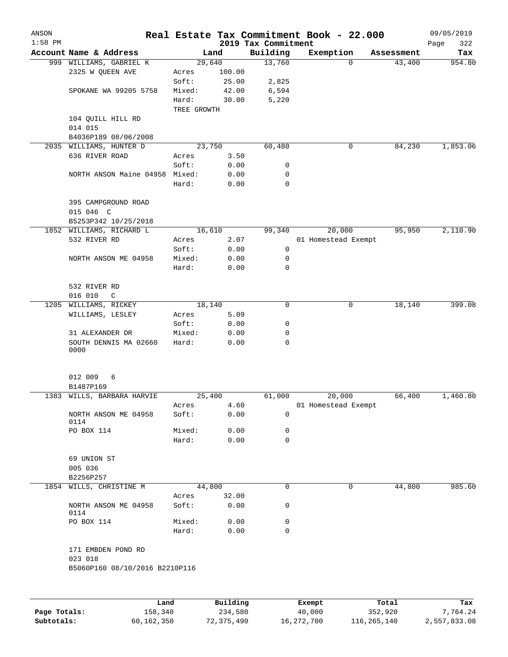| ANSON<br>$1:58$ PM |                                |                |          | 2019 Tax Commitment | Real Estate Tax Commitment Book - 22.000 |            | 09/05/2019<br>322 |
|--------------------|--------------------------------|----------------|----------|---------------------|------------------------------------------|------------|-------------------|
|                    | Account Name & Address         |                | Land     | Building            | Exemption                                | Assessment | Page<br>Tax       |
|                    | 999 WILLIAMS, GABRIEL K        |                | 29,640   | 13,760              | $\Omega$                                 | 43,400     | 954.80            |
|                    | 2325 W QUEEN AVE               | Acres          | 100.00   |                     |                                          |            |                   |
|                    |                                | Soft:          | 25.00    | 2,825               |                                          |            |                   |
|                    | SPOKANE WA 99205 5758          | Mixed:         | 42.00    | 6,594               |                                          |            |                   |
|                    |                                | Hard:          | 30.00    | 5,220               |                                          |            |                   |
|                    |                                | TREE GROWTH    |          |                     |                                          |            |                   |
|                    | 104 QUILL HILL RD              |                |          |                     |                                          |            |                   |
|                    | 014 015                        |                |          |                     |                                          |            |                   |
|                    | B4036P189 08/06/2008           |                |          |                     |                                          |            |                   |
|                    | 2035 WILLIAMS, HUNTER D        |                | 23,750   | 60,480              | 0                                        | 84,230     | 1,853.06          |
|                    | 636 RIVER ROAD                 | Acres          | 3.50     |                     |                                          |            |                   |
|                    |                                | Soft:          |          | 0                   |                                          |            |                   |
|                    |                                |                | 0.00     |                     |                                          |            |                   |
|                    | NORTH ANSON Maine 04958 Mixed: |                | 0.00     | 0                   |                                          |            |                   |
|                    |                                | Hard:          | 0.00     | $\mathbf 0$         |                                          |            |                   |
|                    |                                |                |          |                     |                                          |            |                   |
|                    | 395 CAMPGROUND ROAD            |                |          |                     |                                          |            |                   |
|                    | 015 046 C                      |                |          |                     |                                          |            |                   |
|                    | B5253P342 10/25/2018           |                |          |                     |                                          |            |                   |
|                    | 1852 WILLIAMS, RICHARD L       |                | 16,610   | 99,340              | 20,000                                   | 95,950     | 2,110.90          |
|                    | 532 RIVER RD                   | Acres          | 2.07     |                     | 01 Homestead Exempt                      |            |                   |
|                    |                                | Soft:          | 0.00     | 0                   |                                          |            |                   |
|                    | NORTH ANSON ME 04958           | Mixed:         | 0.00     | 0                   |                                          |            |                   |
|                    |                                | Hard:          | 0.00     | 0                   |                                          |            |                   |
|                    |                                |                |          |                     |                                          |            |                   |
|                    | 532 RIVER RD                   |                |          |                     |                                          |            |                   |
|                    | 016 010<br>$\mathsf{C}$        |                |          |                     |                                          |            |                   |
| 1205               | WILLIAMS, RICKEY               |                | 18,140   | $\mathbf 0$         | 0                                        | 18,140     | 399.08            |
|                    | WILLIAMS, LESLEY               | Acres          | 5.09     |                     |                                          |            |                   |
|                    |                                | Soft:          | 0.00     | 0                   |                                          |            |                   |
|                    | 31 ALEXANDER DR                | Mixed:         | 0.00     | 0                   |                                          |            |                   |
|                    | SOUTH DENNIS MA 02660          | Hard:          | 0.00     | $\mathbf 0$         |                                          |            |                   |
|                    | 0000                           |                |          |                     |                                          |            |                   |
|                    | 012 009<br>6                   |                |          |                     |                                          |            |                   |
|                    | B1487P169                      |                |          |                     |                                          |            |                   |
|                    | 1383 WILLS, BARBARA HARVIE     |                | 25,400   | 61,000              | 20,000                                   | 66,400     | 1,460.80          |
|                    |                                |                | 4.60     |                     | 01 Homestead Exempt                      |            |                   |
|                    | NORTH ANSON ME 04958           | Acres<br>Soft: | 0.00     | 0                   |                                          |            |                   |
|                    | 0114                           |                |          |                     |                                          |            |                   |
|                    | PO BOX 114                     | Mixed:         | 0.00     | 0                   |                                          |            |                   |
|                    |                                | Hard:          | 0.00     | 0                   |                                          |            |                   |
|                    |                                |                |          |                     |                                          |            |                   |
|                    | 69 UNION ST                    |                |          |                     |                                          |            |                   |
|                    | 005 036                        |                |          |                     |                                          |            |                   |
|                    | B2256P257                      |                |          |                     |                                          |            |                   |
|                    | 1854 WILLS, CHRISTINE M        |                | 44,800   | 0                   | 0                                        | 44,800     | 985.60            |
|                    |                                |                | 32.00    |                     |                                          |            |                   |
|                    |                                | Acres          |          |                     |                                          |            |                   |
|                    | NORTH ANSON ME 04958<br>0114   | Soft:          | 0.00     | 0                   |                                          |            |                   |
|                    | PO BOX 114                     | Mixed:         | 0.00     | 0                   |                                          |            |                   |
|                    |                                | Hard:          | 0.00     | 0                   |                                          |            |                   |
|                    |                                |                |          |                     |                                          |            |                   |
|                    | 171 EMBDEN POND RD             |                |          |                     |                                          |            |                   |
|                    | 023 018                        |                |          |                     |                                          |            |                   |
|                    | B5060P160 08/10/2016 B2210P116 |                |          |                     |                                          |            |                   |
|                    |                                |                |          |                     |                                          |            |                   |
|                    |                                |                |          |                     |                                          |            |                   |
|                    |                                |                |          |                     |                                          |            |                   |
|                    |                                | Land           | Building |                     | Exempt                                   | Total      | Tax               |

|              | Land       | Building   | Exempt     | Total       | Tax          |
|--------------|------------|------------|------------|-------------|--------------|
| Page Totals: | 158,340    | 234,580    | 40,000     | 352,920     | 7.764.24     |
| Subtotals:   | 60,162,350 | 72,375,490 | 16,272,700 | 116,265,140 | 2,557,833.08 |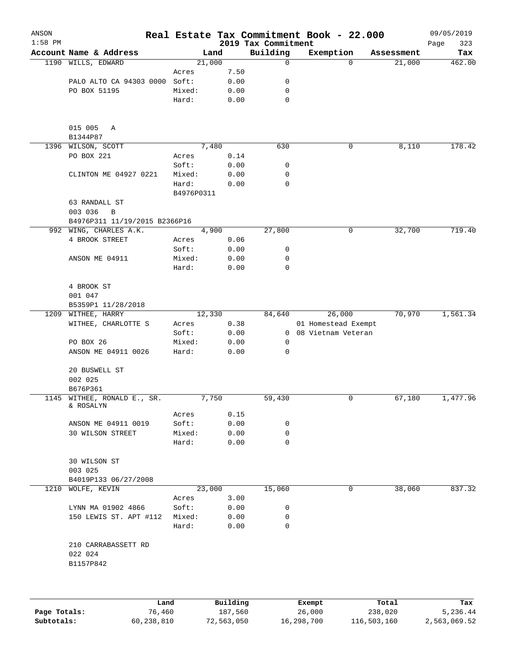| ANSON<br>$1:58$ PM |                               |            |          | 2019 Tax Commitment | Real Estate Tax Commitment Book - 22.000 |            | 09/05/2019<br>Page<br>323 |
|--------------------|-------------------------------|------------|----------|---------------------|------------------------------------------|------------|---------------------------|
|                    | Account Name & Address        | Land       |          | Building            | Exemption                                | Assessment | Tax                       |
|                    | 1190 WILLS, EDWARD            | 21,000     |          | $\mathbf 0$         | 0                                        | 21,000     | 462.00                    |
|                    |                               | Acres      | 7.50     |                     |                                          |            |                           |
|                    | PALO ALTO CA 94303 0000       | Soft:      | 0.00     | 0                   |                                          |            |                           |
|                    | PO BOX 51195                  | Mixed:     | 0.00     | 0                   |                                          |            |                           |
|                    |                               | Hard:      | 0.00     | $\mathbf 0$         |                                          |            |                           |
|                    | 015 005<br>Α                  |            |          |                     |                                          |            |                           |
|                    | B1344P87                      |            |          |                     |                                          |            |                           |
|                    | 1396 WILSON, SCOTT            | 7,480      |          | 630                 | 0                                        | 8,110      | 178.42                    |
|                    | PO BOX 221                    | Acres      | 0.14     |                     |                                          |            |                           |
|                    |                               | Soft:      | 0.00     | 0                   |                                          |            |                           |
|                    | CLINTON ME 04927 0221         | Mixed:     | 0.00     | 0                   |                                          |            |                           |
|                    |                               | Hard:      | 0.00     | $\mathbf 0$         |                                          |            |                           |
|                    |                               | B4976P0311 |          |                     |                                          |            |                           |
|                    | 63 RANDALL ST<br>003 036<br>B |            |          |                     |                                          |            |                           |
|                    | B4976P311 11/19/2015 B2366P16 |            |          |                     |                                          |            |                           |
|                    | 992 WING, CHARLES A.K.        | 4,900      |          | 27,800              | 0                                        | 32,700     | 719.40                    |
|                    | 4 BROOK STREET                | Acres      | 0.06     |                     |                                          |            |                           |
|                    |                               | Soft:      | 0.00     | 0                   |                                          |            |                           |
|                    | ANSON ME 04911                | Mixed:     | 0.00     | 0                   |                                          |            |                           |
|                    |                               | Hard:      | 0.00     | $\mathbf 0$         |                                          |            |                           |
|                    | 4 BROOK ST                    |            |          |                     |                                          |            |                           |
|                    | 001 047                       |            |          |                     |                                          |            |                           |
|                    | B5359P1 11/28/2018            |            |          |                     |                                          |            |                           |
| 1209               | WITHEE, HARRY                 | 12,330     |          | 84,640              | 26,000                                   | 70,970     | 1,561.34                  |
|                    | WITHEE, CHARLOTTE S           | Acres      | 0.38     |                     | 01 Homestead Exempt                      |            |                           |
|                    |                               | Soft:      | 0.00     | $\overline{0}$      | 08 Vietnam Veteran                       |            |                           |
|                    | PO BOX 26                     | Mixed:     | 0.00     | 0                   |                                          |            |                           |
|                    | ANSON ME 04911 0026           | Hard:      | 0.00     | $\mathbf 0$         |                                          |            |                           |
|                    | 20 BUSWELL ST                 |            |          |                     |                                          |            |                           |
|                    | 002 025<br>B676P361           |            |          |                     |                                          |            |                           |
|                    | 1145 WITHEE, RONALD E., SR.   | 7,750      |          | 59,430              | 0                                        | 67,180     | 1,477.96                  |
|                    | & ROSALYN                     | Acres      | 0.15     |                     |                                          |            |                           |
|                    | ANSON ME 04911 0019           | Soft:      | 0.00     | 0                   |                                          |            |                           |
|                    | 30 WILSON STREET              | Mixed:     | 0.00     | 0                   |                                          |            |                           |
|                    |                               | Hard:      | 0.00     | $\mathbf 0$         |                                          |            |                           |
|                    | 30 WILSON ST                  |            |          |                     |                                          |            |                           |
|                    | 003 025                       |            |          |                     |                                          |            |                           |
|                    | B4019P133 06/27/2008          |            |          |                     |                                          |            |                           |
| 1210               | WOLFE, KEVIN                  | 23,000     |          | 15,060              | 0                                        | 38,060     | 837.32                    |
|                    |                               | Acres      | 3.00     |                     |                                          |            |                           |
|                    | LYNN MA 01902 4866            | Soft:      | 0.00     | 0                   |                                          |            |                           |
|                    | 150 LEWIS ST. APT #112        | Mixed:     | 0.00     | 0                   |                                          |            |                           |
|                    |                               | Hard:      | 0.00     | 0                   |                                          |            |                           |
|                    | 210 CARRABASSETT RD           |            |          |                     |                                          |            |                           |
|                    | 022 024<br>B1157P842          |            |          |                     |                                          |            |                           |
|                    |                               |            |          |                     |                                          |            |                           |
|                    |                               |            | Building |                     |                                          |            |                           |
|                    | Land                          |            |          |                     | Exempt                                   | Total      | Tax                       |

**Page Totals:** 76,460 187,560 26,000 238,020 5,236.44 **Subtotals:** 60,238,810 72,563,050 16,298,700 116,503,160 2,563,069.52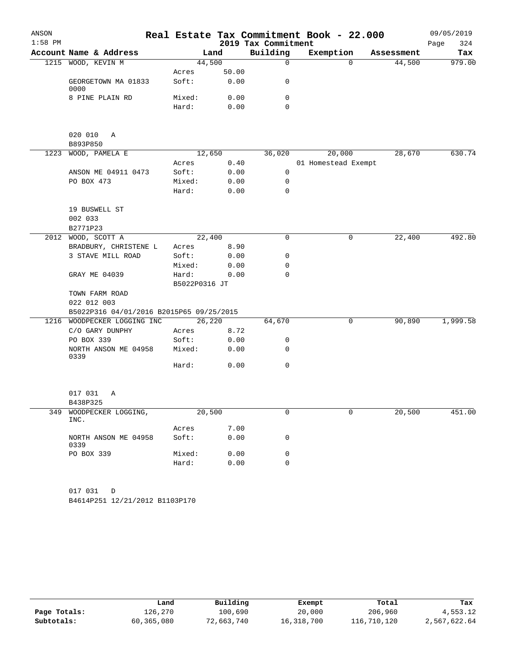| ANSON     |                                                |               |       | Real Estate Tax Commitment Book - 22.000 |                     |          |            | 09/05/2019  |
|-----------|------------------------------------------------|---------------|-------|------------------------------------------|---------------------|----------|------------|-------------|
| $1:58$ PM |                                                |               |       | 2019 Tax Commitment                      |                     |          |            | 324<br>Page |
|           | Account Name & Address                         |               | Land  | Building                                 | Exemption           |          | Assessment | Tax         |
|           | 1215 WOOD, KEVIN M                             | 44,500        |       | 0                                        |                     | $\Omega$ | 44,500     | 979.00      |
|           |                                                | Acres         | 50.00 |                                          |                     |          |            |             |
|           | GEORGETOWN MA 01833<br>0000                    | Soft:         | 0.00  | 0                                        |                     |          |            |             |
|           | 8 PINE PLAIN RD                                | Mixed:        | 0.00  | 0                                        |                     |          |            |             |
|           |                                                | Hard:         | 0.00  | 0                                        |                     |          |            |             |
|           | 020 010<br>Α                                   |               |       |                                          |                     |          |            |             |
|           | B893P850                                       |               |       |                                          |                     |          |            |             |
|           | 1223 WOOD, PAMELA E                            | 12,650        |       | 36,020                                   |                     | 20,000   | 28,670     | 630.74      |
|           |                                                | Acres         | 0.40  |                                          | 01 Homestead Exempt |          |            |             |
|           | ANSON ME 04911 0473                            | Soft:         | 0.00  | $\mathsf{O}$                             |                     |          |            |             |
|           | PO BOX 473                                     | Mixed:        | 0.00  | 0                                        |                     |          |            |             |
|           |                                                | Hard:         | 0.00  | 0                                        |                     |          |            |             |
|           | 19 BUSWELL ST                                  |               |       |                                          |                     |          |            |             |
|           | 002 033                                        |               |       |                                          |                     |          |            |             |
|           | B2771P23                                       |               |       |                                          |                     |          |            |             |
|           | 2012 WOOD, SCOTT A                             | 22,400        |       | 0                                        |                     | 0        | 22, 400    | 492.80      |
|           | BRADBURY, CHRISTENE L                          | Acres         | 8.90  |                                          |                     |          |            |             |
|           | 3 STAVE MILL ROAD                              | Soft:         | 0.00  | 0                                        |                     |          |            |             |
|           |                                                | Mixed:        | 0.00  | 0                                        |                     |          |            |             |
|           | GRAY ME 04039                                  | Hard:         | 0.00  | 0                                        |                     |          |            |             |
|           |                                                | B5022P0316 JT |       |                                          |                     |          |            |             |
|           | TOWN FARM ROAD                                 |               |       |                                          |                     |          |            |             |
|           | 022 012 003                                    |               |       |                                          |                     |          |            |             |
|           | B5022P316 04/01/2016 B2015P65 09/25/2015       |               |       |                                          |                     |          |            |             |
|           | 1216 WOODPECKER LOGGING INC                    | 26,220        |       | 64,670                                   |                     | 0        | 90,890     | 1,999.58    |
|           | C/O GARY DUNPHY                                | Acres         | 8.72  |                                          |                     |          |            |             |
|           | PO BOX 339                                     | Soft:         | 0.00  | 0                                        |                     |          |            |             |
|           | NORTH ANSON ME 04958<br>0339                   | Mixed:        | 0.00  | 0                                        |                     |          |            |             |
|           |                                                | Hard:         | 0.00  | 0                                        |                     |          |            |             |
|           | 017 031<br>Α                                   |               |       |                                          |                     |          |            |             |
|           | B438P325                                       |               |       |                                          |                     |          |            |             |
| 349       | WOODPECKER LOGGING,<br>INC.                    | 20,500        |       | 0                                        |                     | 0        | 20,500     | 451.00      |
|           |                                                | Acres         | 7.00  |                                          |                     |          |            |             |
|           | NORTH ANSON ME 04958<br>0339                   | Soft:         | 0.00  | 0                                        |                     |          |            |             |
|           | PO BOX 339                                     | Mixed:        | 0.00  | 0                                        |                     |          |            |             |
|           |                                                | Hard:         | 0.00  | 0                                        |                     |          |            |             |
|           | 017 031<br>D<br>B4614P251 12/21/2012 B1103P170 |               |       |                                          |                     |          |            |             |

|              | Land       | Building   | Exempt     | Total       | Tax          |
|--------------|------------|------------|------------|-------------|--------------|
| Page Totals: | 126.270    | 100.690    | 20,000     | 206,960     | 4,553.12     |
| Subtotals:   | 60,365,080 | 72,663,740 | 16,318,700 | 116,710,120 | 2,567,622.64 |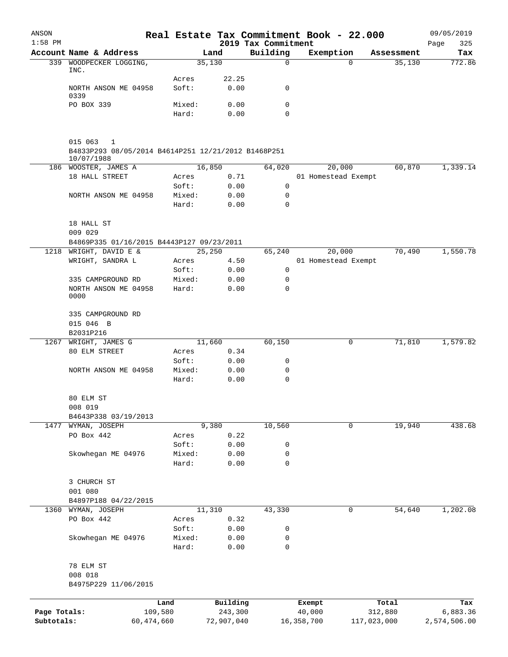| ANSON<br>$1:58$ PM |                                                                   |            |                 |                 | 2019 Tax Commitment | Real Estate Tax Commitment Book - 22.000 |             |            | 09/05/2019         |
|--------------------|-------------------------------------------------------------------|------------|-----------------|-----------------|---------------------|------------------------------------------|-------------|------------|--------------------|
|                    | Account Name & Address                                            |            |                 | Land            | Building            | Exemption                                |             | Assessment | Page<br>325<br>Tax |
| 339                | WOODPECKER LOGGING,                                               |            |                 | 35,130          | $\mathbf 0$         |                                          | $\Omega$    | 35,130     | 772.86             |
|                    | INC.                                                              |            | Acres           | 22.25           |                     |                                          |             |            |                    |
|                    | NORTH ANSON ME 04958                                              |            | Soft:           | 0.00            | 0                   |                                          |             |            |                    |
|                    | 0339                                                              |            |                 |                 |                     |                                          |             |            |                    |
|                    | PO BOX 339                                                        |            | Mixed:<br>Hard: | 0.00<br>0.00    | 0<br>$\mathbf 0$    |                                          |             |            |                    |
|                    |                                                                   |            |                 |                 |                     |                                          |             |            |                    |
|                    | 015 063<br>1                                                      |            |                 |                 |                     |                                          |             |            |                    |
|                    | B4833P293 08/05/2014 B4614P251 12/21/2012 B1468P251<br>10/07/1988 |            |                 |                 |                     |                                          |             |            |                    |
|                    | 186 WOOSTER, JAMES A                                              |            |                 | 16,850          | 64,020              | 20,000                                   |             | 60,870     | 1,339.14           |
|                    | 18 HALL STREET                                                    |            | Acres           | 0.71            |                     | 01 Homestead Exempt                      |             |            |                    |
|                    | NORTH ANSON ME 04958                                              |            | Soft:<br>Mixed: | 0.00<br>0.00    | 0<br>0              |                                          |             |            |                    |
|                    |                                                                   |            | Hard:           | 0.00            | 0                   |                                          |             |            |                    |
|                    | 18 HALL ST                                                        |            |                 |                 |                     |                                          |             |            |                    |
|                    | 009 029                                                           |            |                 |                 |                     |                                          |             |            |                    |
|                    | B4869P335 01/16/2015 B4443P127 09/23/2011                         |            |                 |                 |                     |                                          |             |            |                    |
| 1218               | WRIGHT, DAVID E &<br>WRIGHT, SANDRA L                             |            |                 | 25, 250<br>4.50 | 65,240              | 20,000<br>01 Homestead Exempt            |             | 70,490     | 1,550.78           |
|                    |                                                                   |            | Acres<br>Soft:  | 0.00            | 0                   |                                          |             |            |                    |
|                    | 335 CAMPGROUND RD                                                 |            | Mixed:          | 0.00            | 0                   |                                          |             |            |                    |
|                    | NORTH ANSON ME 04958                                              |            | Hard:           | 0.00            | $\mathbf 0$         |                                          |             |            |                    |
|                    | 0000                                                              |            |                 |                 |                     |                                          |             |            |                    |
|                    | 335 CAMPGROUND RD                                                 |            |                 |                 |                     |                                          |             |            |                    |
|                    | 015 046 B                                                         |            |                 |                 |                     |                                          |             |            |                    |
| 1267               | B2031P216<br>WRIGHT, JAMES G                                      |            |                 | 11,660          | 60,150              |                                          | 0           | 71,810     | 1,579.82           |
|                    | 80 ELM STREET                                                     |            | Acres           | 0.34            |                     |                                          |             |            |                    |
|                    |                                                                   |            | Soft:           | 0.00            | 0                   |                                          |             |            |                    |
|                    | NORTH ANSON ME 04958                                              |            | Mixed:          | 0.00            | 0                   |                                          |             |            |                    |
|                    |                                                                   |            | Hard:           | 0.00            | 0                   |                                          |             |            |                    |
|                    | 80 ELM ST                                                         |            |                 |                 |                     |                                          |             |            |                    |
|                    | 008 019                                                           |            |                 |                 |                     |                                          |             |            |                    |
| 1477               | B4643P338 03/19/2013<br>WYMAN, JOSEPH                             |            |                 | 9,380           | 10,560              |                                          | 0           | 19,940     | 438.68             |
|                    | PO Box 442                                                        |            | Acres           | 0.22            |                     |                                          |             |            |                    |
|                    |                                                                   |            | Soft:           | 0.00            | 0                   |                                          |             |            |                    |
|                    | Skowhegan ME 04976                                                |            | Mixed:          | 0.00            | 0                   |                                          |             |            |                    |
|                    |                                                                   |            | Hard:           | 0.00            | 0                   |                                          |             |            |                    |
|                    | 3 CHURCH ST                                                       |            |                 |                 |                     |                                          |             |            |                    |
|                    | 001 080                                                           |            |                 |                 |                     |                                          |             |            |                    |
|                    | B4897P188 04/22/2015                                              |            |                 |                 |                     |                                          |             |            |                    |
| 1360               | WYMAN, JOSEPH<br>PO Box 442                                       |            |                 | 11,310<br>0.32  | 43,330              |                                          | 0           | 54,640     | 1,202.08           |
|                    |                                                                   |            | Acres<br>Soft:  | 0.00            | 0                   |                                          |             |            |                    |
|                    | Skowhegan ME 04976                                                |            | Mixed:          | 0.00            | 0                   |                                          |             |            |                    |
|                    |                                                                   |            | Hard:           | 0.00            | 0                   |                                          |             |            |                    |
|                    | 78 ELM ST                                                         |            |                 |                 |                     |                                          |             |            |                    |
|                    | 008 018                                                           |            |                 |                 |                     |                                          |             |            |                    |
|                    | B4975P229 11/06/2015                                              |            |                 |                 |                     |                                          |             |            |                    |
|                    |                                                                   | Land       |                 | Building        |                     | Exempt                                   |             | Total      | Tax                |
| Page Totals:       |                                                                   | 109,580    |                 | 243,300         |                     | 40,000                                   |             | 312,880    | 6,883.36           |
| Subtotals:         |                                                                   | 60,474,660 |                 | 72,907,040      |                     | 16,358,700                               | 117,023,000 |            | 2,574,506.00       |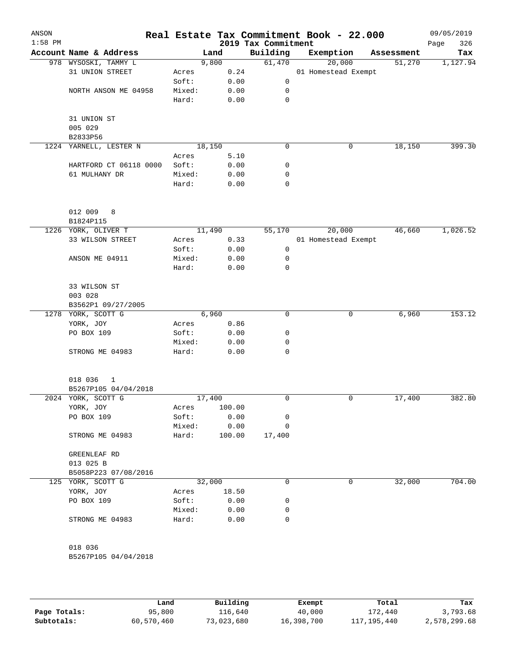| ANSON<br>$1:58$ PM |                        |                 |        |              | Real Estate Tax Commitment Book - 22.000<br>2019 Tax Commitment |                     |              |            | 09/05/2019<br>326<br>Page |
|--------------------|------------------------|-----------------|--------|--------------|-----------------------------------------------------------------|---------------------|--------------|------------|---------------------------|
|                    | Account Name & Address |                 | Land   |              | Building                                                        | Exemption           |              | Assessment | Tax                       |
|                    | 978 WYSOSKI, TAMMY L   |                 | 9,800  |              | 61,470                                                          | 20,000              |              | 51,270     | 1,127.94                  |
|                    | 31 UNION STREET        | Acres           |        | 0.24         |                                                                 | 01 Homestead Exempt |              |            |                           |
|                    |                        | Soft:           |        | 0.00         | 0                                                               |                     |              |            |                           |
|                    | NORTH ANSON ME 04958   | Mixed:          |        | 0.00         | 0                                                               |                     |              |            |                           |
|                    |                        | Hard:           |        | 0.00         | 0                                                               |                     |              |            |                           |
|                    | 31 UNION ST            |                 |        |              |                                                                 |                     |              |            |                           |
|                    | 005 029                |                 |        |              |                                                                 |                     |              |            |                           |
|                    | B2833P56               |                 |        |              |                                                                 |                     |              |            |                           |
|                    | 1224 YARNELL, LESTER N |                 | 18,150 |              | 0                                                               |                     | $\mathsf{O}$ | 18,150     | 399.30                    |
|                    |                        | Acres           |        | 5.10         |                                                                 |                     |              |            |                           |
|                    | HARTFORD CT 06118 0000 | Soft:           |        | 0.00         | 0                                                               |                     |              |            |                           |
|                    | 61 MULHANY DR          | Mixed:<br>Hard: |        | 0.00<br>0.00 | 0<br>0                                                          |                     |              |            |                           |
|                    |                        |                 |        |              |                                                                 |                     |              |            |                           |
|                    | 012 009<br>8           |                 |        |              |                                                                 |                     |              |            |                           |
|                    | B1824P115              |                 |        |              |                                                                 |                     |              |            |                           |
|                    | 1226 YORK, OLIVER T    |                 | 11,490 |              | 55,170                                                          | 20,000              |              | 46,660     | 1,026.52                  |
|                    | 33 WILSON STREET       | Acres           |        | 0.33         |                                                                 | 01 Homestead Exempt |              |            |                           |
|                    |                        | Soft:           |        | 0.00         | 0                                                               |                     |              |            |                           |
|                    | ANSON ME 04911         | Mixed:          |        | 0.00         | 0                                                               |                     |              |            |                           |
|                    |                        | Hard:           |        | 0.00         | 0                                                               |                     |              |            |                           |
|                    | 33 WILSON ST           |                 |        |              |                                                                 |                     |              |            |                           |
|                    | 003 028                |                 |        |              |                                                                 |                     |              |            |                           |
|                    | B3562P1 09/27/2005     |                 |        |              |                                                                 |                     |              |            |                           |
|                    | 1278 YORK, SCOTT G     |                 | 6,960  |              | 0                                                               |                     | 0            | 6,960      | 153.12                    |
|                    | YORK, JOY              | Acres           |        | 0.86         |                                                                 |                     |              |            |                           |
|                    | PO BOX 109             | Soft:           |        | 0.00         | 0                                                               |                     |              |            |                           |
|                    |                        | Mixed:          |        | 0.00         | 0                                                               |                     |              |            |                           |
|                    | STRONG ME 04983        | Hard:           |        | 0.00         | 0                                                               |                     |              |            |                           |
|                    | 018 036<br>1           |                 |        |              |                                                                 |                     |              |            |                           |
|                    | B5267P105 04/04/2018   |                 |        |              |                                                                 |                     |              |            |                           |
|                    | 2024 YORK, SCOTT G     |                 | 17,400 |              | 0                                                               |                     | 0            | 17,400     | 382.80                    |
|                    | YORK, JOY              | Acres           | 100.00 |              |                                                                 |                     |              |            |                           |
|                    | PO BOX 109             | Soft:           |        | 0.00         | 0                                                               |                     |              |            |                           |
|                    |                        | Mixed:          |        | 0.00         | 0                                                               |                     |              |            |                           |
|                    | STRONG ME 04983        | Hard:           | 100.00 |              | 17,400                                                          |                     |              |            |                           |
|                    | GREENLEAF RD           |                 |        |              |                                                                 |                     |              |            |                           |
|                    | 013 025 B              |                 |        |              |                                                                 |                     |              |            |                           |
|                    | B5058P223 07/08/2016   |                 |        |              |                                                                 |                     |              |            |                           |
|                    | 125 YORK, SCOTT G      |                 | 32,000 |              | 0                                                               |                     | 0            | 32,000     | 704.00                    |
|                    | YORK, JOY              | Acres           |        | 18.50        |                                                                 |                     |              |            |                           |
|                    | PO BOX 109             | Soft:           |        | 0.00         | 0                                                               |                     |              |            |                           |
|                    |                        | Mixed:          |        | 0.00         | 0                                                               |                     |              |            |                           |
|                    | STRONG ME 04983        | Hard:           |        | 0.00         | 0                                                               |                     |              |            |                           |
|                    | 018 036                |                 |        |              |                                                                 |                     |              |            |                           |
|                    | B5267P105 04/04/2018   |                 |        |              |                                                                 |                     |              |            |                           |
|                    |                        |                 |        |              |                                                                 |                     |              |            |                           |
|                    |                        |                 |        |              |                                                                 |                     |              |            |                           |
|                    |                        |                 |        |              |                                                                 |                     |              |            |                           |
|                    |                        |                 |        |              |                                                                 |                     |              |            |                           |

|              | Land       | Building   | Exempt     | Total       | Tax          |
|--------------|------------|------------|------------|-------------|--------------|
| Page Totals: | 95,800     | 116,640    | 40,000     | 172,440     | 3,793.68     |
| Subtotals:   | 60,570,460 | 73,023,680 | 16,398,700 | 117,195,440 | 2,578,299.68 |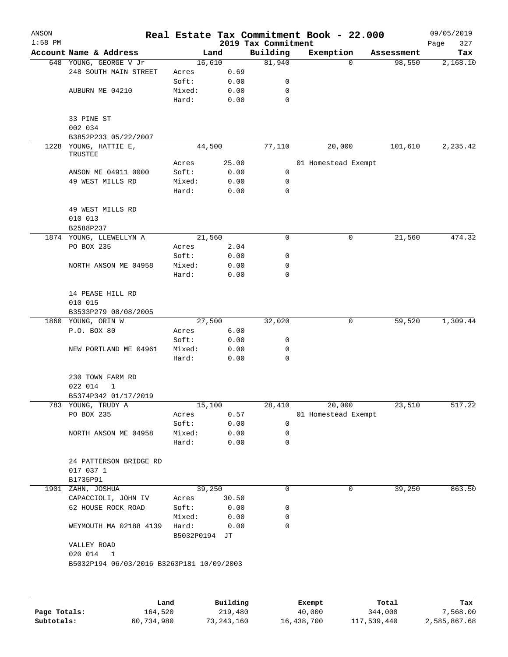| ANSON<br>$1:58$ PM |                                           |                |        | 2019 Tax Commitment | Real Estate Tax Commitment Book - 22.000 |            | 09/05/2019<br>327<br>Page |
|--------------------|-------------------------------------------|----------------|--------|---------------------|------------------------------------------|------------|---------------------------|
|                    | Account Name & Address                    |                | Land   | Building            | Exemption                                | Assessment | Tax                       |
|                    | 648 YOUNG, GEORGE V Jr                    | 16,610         |        | 81,940              | $\Omega$                                 | 98,550     | 2,168.10                  |
|                    | 248 SOUTH MAIN STREET                     | Acres          | 0.69   |                     |                                          |            |                           |
|                    |                                           | Soft:          | 0.00   | 0                   |                                          |            |                           |
|                    | AUBURN ME 04210                           | Mixed:         | 0.00   | 0                   |                                          |            |                           |
|                    |                                           | Hard:          | 0.00   | $\mathbf 0$         |                                          |            |                           |
|                    | 33 PINE ST                                |                |        |                     |                                          |            |                           |
|                    | 002 034                                   |                |        |                     |                                          |            |                           |
|                    | B3852P233 05/22/2007                      |                |        |                     |                                          |            |                           |
| 1228               | YOUNG, HATTIE E,<br>TRUSTEE               |                | 44,500 | 77,110              | 20,000                                   | 101,610    | 2,235.42                  |
|                    |                                           | Acres          | 25.00  |                     | 01 Homestead Exempt                      |            |                           |
|                    | ANSON ME 04911 0000                       | Soft:          | 0.00   | $\mathbf 0$         |                                          |            |                           |
|                    | 49 WEST MILLS RD                          | Mixed:         | 0.00   | 0                   |                                          |            |                           |
|                    |                                           | Hard:          | 0.00   | 0                   |                                          |            |                           |
|                    | 49 WEST MILLS RD                          |                |        |                     |                                          |            |                           |
|                    | 010 013                                   |                |        |                     |                                          |            |                           |
|                    | B2588P237                                 |                |        |                     |                                          |            |                           |
|                    | 1874 YOUNG, LLEWELLYN A                   |                | 21,560 | 0                   | 0                                        | 21,560     | 474.32                    |
|                    | PO BOX 235                                | Acres          | 2.04   |                     |                                          |            |                           |
|                    |                                           | Soft:          | 0.00   | 0                   |                                          |            |                           |
|                    | NORTH ANSON ME 04958                      | Mixed:         | 0.00   | 0                   |                                          |            |                           |
|                    |                                           | Hard:          | 0.00   | 0                   |                                          |            |                           |
|                    | 14 PEASE HILL RD                          |                |        |                     |                                          |            |                           |
|                    | 010 015                                   |                |        |                     |                                          |            |                           |
|                    | B3533P279 08/08/2005                      |                | 27,500 |                     | 0                                        |            | 1,309.44                  |
|                    | 1860 YOUNG, ORIN W<br>P.O. BOX 80         |                | 6.00   | 32,020              |                                          | 59,520     |                           |
|                    |                                           | Acres<br>Soft: | 0.00   | 0                   |                                          |            |                           |
|                    |                                           | Mixed:         | 0.00   | 0                   |                                          |            |                           |
|                    | NEW PORTLAND ME 04961                     | Hard:          | 0.00   | 0                   |                                          |            |                           |
|                    | 230 TOWN FARM RD                          |                |        |                     |                                          |            |                           |
|                    | 022 014<br>1                              |                |        |                     |                                          |            |                           |
|                    | B5374P342 01/17/2019                      |                |        |                     |                                          |            |                           |
|                    | 783 YOUNG, TRUDY A                        | 15,100         |        | 28,410              | 20,000                                   | 23,510     | 517.22                    |
|                    | PO BOX 235                                | Acres          | 0.57   |                     | 01 Homestead Exempt                      |            |                           |
|                    |                                           | Soft:          | 0.00   | 0                   |                                          |            |                           |
|                    | NORTH ANSON ME 04958                      | Mixed:         | 0.00   | 0                   |                                          |            |                           |
|                    |                                           | Hard:          | 0.00   | 0                   |                                          |            |                           |
|                    | 24 PATTERSON BRIDGE RD<br>017 037 1       |                |        |                     |                                          |            |                           |
|                    | B1735P91                                  |                |        |                     |                                          |            |                           |
| 1901               | ZAHN, JOSHUA                              |                | 39,250 | 0                   | 0                                        | 39,250     | 863.50                    |
|                    | CAPACCIOLI, JOHN IV                       | Acres          | 30.50  |                     |                                          |            |                           |
|                    | 62 HOUSE ROCK ROAD                        | Soft:          | 0.00   | 0                   |                                          |            |                           |
|                    |                                           | Mixed:         | 0.00   | 0                   |                                          |            |                           |
|                    | WEYMOUTH MA 02188 4139                    | Hard:          | 0.00   | 0                   |                                          |            |                           |
|                    |                                           | B5032P0194 JT  |        |                     |                                          |            |                           |
|                    | VALLEY ROAD                               |                |        |                     |                                          |            |                           |
|                    | 020 014 1                                 |                |        |                     |                                          |            |                           |
|                    | B5032P194 06/03/2016 B3263P181 10/09/2003 |                |        |                     |                                          |            |                           |
|                    |                                           |                |        |                     |                                          |            |                           |
|                    |                                           |                |        |                     |                                          |            |                           |
|                    |                                           |                |        |                     |                                          |            |                           |
|                    |                                           |                |        |                     |                                          |            |                           |

|              | Land       | Building   | Exempt     | Total       | Tax          |
|--------------|------------|------------|------------|-------------|--------------|
| Page Totals: | 164,520    | 219,480    | 40,000     | 344,000     | 7,568.00     |
| Subtotals:   | 60,734,980 | 73,243,160 | 16,438,700 | 117,539,440 | 2,585,867.68 |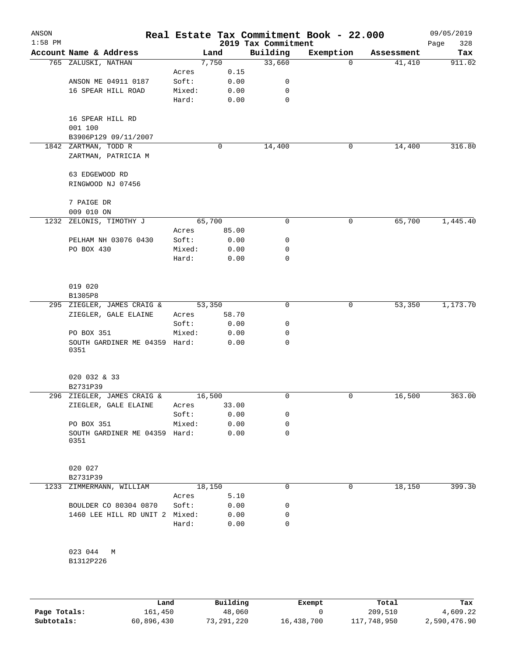| ANSON<br>$1:58$ PM |                                       |        |                | 2019 Tax Commitment |             | Real Estate Tax Commitment Book - 22.000 |          |            | 09/05/2019<br>328 |
|--------------------|---------------------------------------|--------|----------------|---------------------|-------------|------------------------------------------|----------|------------|-------------------|
|                    | Account Name & Address                |        | Land           | Building            |             | Exemption                                |          | Assessment | Page<br>Tax       |
|                    | 765 ZALUSKI, NATHAN                   |        | 7,750          |                     | 33,660      |                                          | $\Omega$ | 41,410     | 911.02            |
|                    |                                       | Acres  | 0.15           |                     |             |                                          |          |            |                   |
|                    | ANSON ME 04911 0187                   | Soft:  | 0.00           |                     | 0           |                                          |          |            |                   |
|                    | 16 SPEAR HILL ROAD                    | Mixed: | 0.00           |                     | 0           |                                          |          |            |                   |
|                    |                                       | Hard:  | 0.00           |                     | 0           |                                          |          |            |                   |
|                    | 16 SPEAR HILL RD                      |        |                |                     |             |                                          |          |            |                   |
|                    | 001 100                               |        |                |                     |             |                                          |          |            |                   |
|                    | B3906P129 09/11/2007                  |        |                |                     |             |                                          |          |            |                   |
|                    | 1842 ZARTMAN, TODD R                  |        | 0              |                     | 14,400      |                                          | 0        | 14,400     | 316.80            |
|                    | ZARTMAN, PATRICIA M                   |        |                |                     |             |                                          |          |            |                   |
|                    | 63 EDGEWOOD RD                        |        |                |                     |             |                                          |          |            |                   |
|                    | RINGWOOD NJ 07456                     |        |                |                     |             |                                          |          |            |                   |
|                    | 7 PAIGE DR                            |        |                |                     |             |                                          |          |            |                   |
|                    | 009 010 ON                            |        |                |                     |             |                                          |          |            |                   |
| 1232               | ZELONIS, TIMOTHY J                    |        | 65,700         |                     | 0           |                                          | 0        | 65,700     | 1,445.40          |
|                    |                                       | Acres  | 85.00          |                     |             |                                          |          |            |                   |
|                    | PELHAM NH 03076 0430                  | Soft:  | 0.00           |                     | 0           |                                          |          |            |                   |
|                    | PO BOX 430                            | Mixed: | 0.00           |                     | 0           |                                          |          |            |                   |
|                    |                                       | Hard:  | 0.00           |                     | 0           |                                          |          |            |                   |
|                    | 019 020                               |        |                |                     |             |                                          |          |            |                   |
|                    | B1305P8                               |        |                |                     |             |                                          |          |            |                   |
|                    | 295 ZIEGLER, JAMES CRAIG &            |        | 53,350         |                     | $\mathbf 0$ |                                          | 0        | 53,350     | 1,173.70          |
|                    | ZIEGLER, GALE ELAINE                  | Acres  | 58.70          |                     |             |                                          |          |            |                   |
|                    |                                       | Soft:  | 0.00           |                     | 0           |                                          |          |            |                   |
|                    | PO BOX 351                            | Mixed: | 0.00           |                     | 0           |                                          |          |            |                   |
|                    | SOUTH GARDINER ME 04359 Hard:<br>0351 |        | 0.00           |                     | $\mathbf 0$ |                                          |          |            |                   |
|                    | 020 032 & 33                          |        |                |                     |             |                                          |          |            |                   |
|                    | B2731P39                              |        |                |                     |             |                                          |          |            |                   |
|                    | 296 ZIEGLER, JAMES CRAIG &            |        | 16,500         |                     | 0           |                                          | 0        | 16,500     | 363.00            |
|                    | ZIEGLER, GALE ELAINE                  | Acres  | 33.00          |                     |             |                                          |          |            |                   |
|                    |                                       | Soft:  | 0.00           |                     | 0           |                                          |          |            |                   |
|                    | PO BOX 351                            | Mixed: | 0.00           |                     | 0           |                                          |          |            |                   |
|                    | SOUTH GARDINER ME 04359 Hard:<br>0351 |        | 0.00           |                     | $\mathbf 0$ |                                          |          |            |                   |
|                    |                                       |        |                |                     |             |                                          |          |            |                   |
|                    | 020 027                               |        |                |                     |             |                                          |          |            |                   |
|                    | B2731P39                              |        |                |                     | 0           |                                          | 0        | 18,150     | 399.30            |
| 1233               | ZIMMERMANN, WILLIAM                   | Acres  | 18,150<br>5.10 |                     |             |                                          |          |            |                   |
|                    | BOULDER CO 80304 0870                 | Soft:  | 0.00           |                     | 0           |                                          |          |            |                   |
|                    | 1460 LEE HILL RD UNIT 2               | Mixed: | 0.00           |                     | 0           |                                          |          |            |                   |
|                    |                                       | Hard:  | 0.00           |                     | 0           |                                          |          |            |                   |
|                    |                                       |        |                |                     |             |                                          |          |            |                   |
|                    | 023 044<br>M                          |        |                |                     |             |                                          |          |            |                   |
|                    | B1312P226                             |        |                |                     |             |                                          |          |            |                   |

|              | Land       | Building   | Exempt     | Total       | Tax          |
|--------------|------------|------------|------------|-------------|--------------|
| Page Totals: | 161,450    | 48,060     |            | 209,510     | 4,609.22     |
| Subtotals:   | 60,896,430 | 73,291,220 | 16,438,700 | 117,748,950 | 2,590,476.90 |